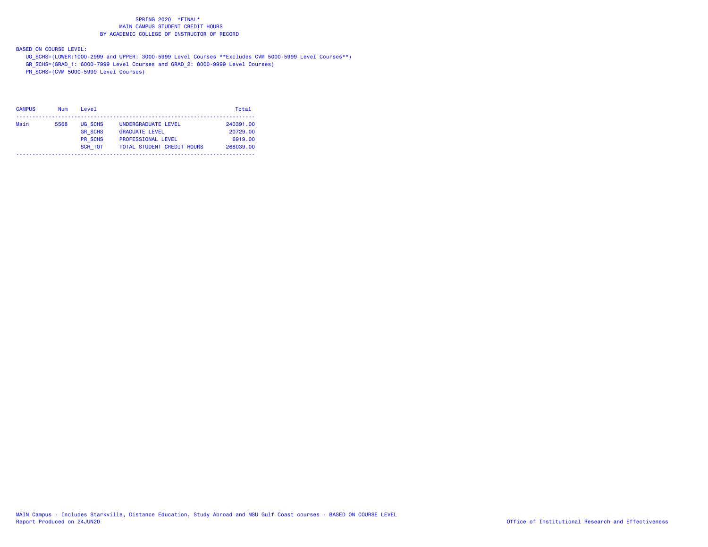BASED ON COURSE LEVEL:

- UG\_SCHS=(LOWER:1000-2999 and UPPER: 3000-5999 Level Courses \*\*Excludes CVM 5000-5999 Level Courses\*\*)
- GR\_SCHS=(GRAD\_1: 6000-7999 Level Courses and GRAD\_2: 8000-9999 Level Courses)
- PR\_SCHS=(CVM 5000-5999 Level Courses)

| <b>CAMPUS</b> | <b>Num</b> | Level          |                                   | Total     |
|---------------|------------|----------------|-----------------------------------|-----------|
| Main          | 5568       | UG SCHS        | UNDERGRADUATE LEVEL               | 240391.00 |
|               |            | <b>GR SCHS</b> | <b>GRADUATE LEVEL</b>             | 20729.00  |
|               |            | <b>PR SCHS</b> | <b>PROFESSIONAL LEVEL</b>         | 6919.00   |
|               |            | <b>SCH TOT</b> | <b>TOTAL STUDENT CREDIT HOURS</b> | 268039.00 |
|               |            |                |                                   |           |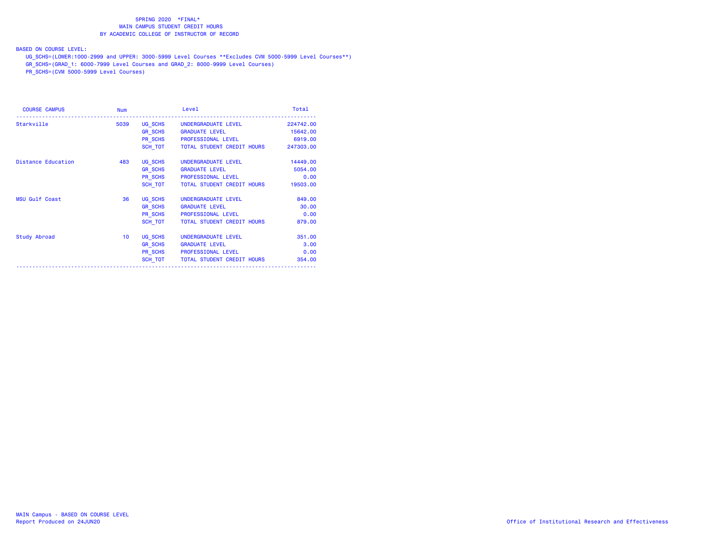BASED ON COURSE LEVEL:

UG\_SCHS=(LOWER:1000-2999 and UPPER: 3000-5999 Level Courses \*\*Excludes CVM 5000-5999 Level Courses\*\*)

GR\_SCHS=(GRAD\_1: 6000-7999 Level Courses and GRAD\_2: 8000-9999 Level Courses)

| Level                      | Total                                                                                                                                                                                                                                                                                                                                                                                                                                                                                        |
|----------------------------|----------------------------------------------------------------------------------------------------------------------------------------------------------------------------------------------------------------------------------------------------------------------------------------------------------------------------------------------------------------------------------------------------------------------------------------------------------------------------------------------|
|                            | 224742.00                                                                                                                                                                                                                                                                                                                                                                                                                                                                                    |
|                            | 15642.00                                                                                                                                                                                                                                                                                                                                                                                                                                                                                     |
|                            | 6919.00                                                                                                                                                                                                                                                                                                                                                                                                                                                                                      |
|                            |                                                                                                                                                                                                                                                                                                                                                                                                                                                                                              |
|                            | 14449.00                                                                                                                                                                                                                                                                                                                                                                                                                                                                                     |
|                            | 5054.00                                                                                                                                                                                                                                                                                                                                                                                                                                                                                      |
|                            | 0.00                                                                                                                                                                                                                                                                                                                                                                                                                                                                                         |
|                            | 19503.00                                                                                                                                                                                                                                                                                                                                                                                                                                                                                     |
|                            | 849.00                                                                                                                                                                                                                                                                                                                                                                                                                                                                                       |
|                            | 30.00                                                                                                                                                                                                                                                                                                                                                                                                                                                                                        |
|                            | 0.00                                                                                                                                                                                                                                                                                                                                                                                                                                                                                         |
| TOTAL STUDENT CREDIT HOURS | 879.00                                                                                                                                                                                                                                                                                                                                                                                                                                                                                       |
| UNDERGRADUATE LEVEL        | 351.00                                                                                                                                                                                                                                                                                                                                                                                                                                                                                       |
|                            | 3.00                                                                                                                                                                                                                                                                                                                                                                                                                                                                                         |
|                            | 0.00                                                                                                                                                                                                                                                                                                                                                                                                                                                                                         |
|                            | 354.00                                                                                                                                                                                                                                                                                                                                                                                                                                                                                       |
| 5039                       | UG SCHS UNDERGRADUATE LEVEL<br><b>GR SCHS GRADUATE LEVEL</b><br>PR SCHS PROFESSIONAL LEVEL<br>SCH TOT<br>TOTAL STUDENT CREDIT HOURS 247303.00<br>UG SCHS UNDERGRADUATE LEVEL<br><b>GR SCHS GRADUATE LEVEL</b><br>PR SCHS PROFESSIONAL LEVEL<br>SCH TOT TOTAL STUDENT CREDIT HOURS<br>UG SCHS UNDERGRADUATE LEVEL<br>GR SCHS GRADUATE LEVEL<br>PR_SCHS PROFESSIONAL LEVEL<br>SCH TOT<br>UG SCHS<br>GR SCHS GRADUATE LEVEL<br>PR_SCHS PROFESSIONAL LEVEL<br>SCH TOT TOTAL STUDENT CREDIT HOURS |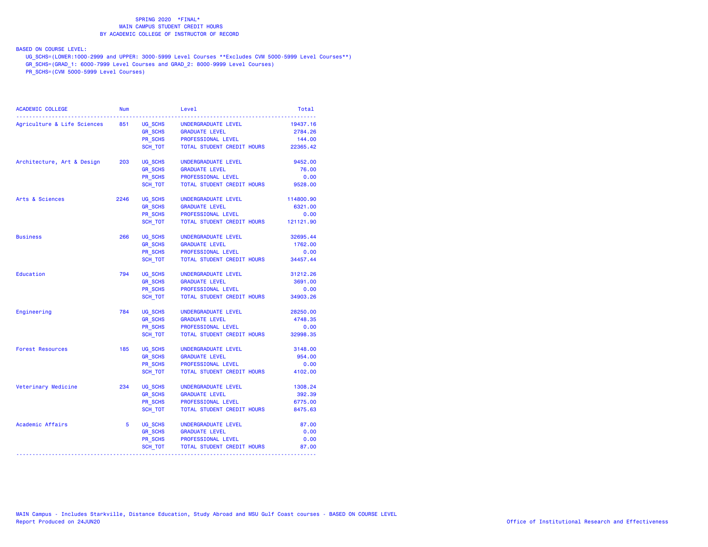BASED ON COURSE LEVEL:

UG\_SCHS=(LOWER:1000-2999 and UPPER: 3000-5999 Level Courses \*\*Excludes CVM 5000-5999 Level Courses\*\*)

GR\_SCHS=(GRAD\_1: 6000-7999 Level Courses and GRAD\_2: 8000-9999 Level Courses)

| <b>ACADEMIC COLLEGE</b>     | <b>Num</b> |                | Level                      | Total     |
|-----------------------------|------------|----------------|----------------------------|-----------|
| Agriculture & Life Sciences | 851        | UG_SCHS        | UNDERGRADUATE LEVEL        | 19437.16  |
|                             |            | <b>GR SCHS</b> | <b>GRADUATE LEVEL</b>      | 2784.26   |
|                             |            | PR SCHS        | PROFESSIONAL LEVEL         | 144.00    |
|                             |            | SCH TOT        | TOTAL STUDENT CREDIT HOURS | 22365.42  |
| Architecture, Art & Design  | 203        | UG SCHS        | UNDERGRADUATE LEVEL        | 9452.00   |
|                             |            | <b>GR SCHS</b> | <b>GRADUATE LEVEL</b>      | 76.00     |
|                             |            | PR_SCHS        | PROFESSIONAL LEVEL         | 0.00      |
|                             |            | SCH_TOT        | TOTAL STUDENT CREDIT HOURS | 9528.00   |
| Arts & Sciences             | 2246       | UG SCHS        | UNDERGRADUATE LEVEL        | 114800.90 |
|                             |            | <b>GR_SCHS</b> | <b>GRADUATE LEVEL</b>      | 6321.00   |
|                             |            | <b>PR SCHS</b> | PROFESSIONAL LEVEL         | 0.00      |
|                             |            | SCH TOT        | TOTAL STUDENT CREDIT HOURS | 121121.90 |
| <b>Business</b>             | 266        | UG_SCHS        | UNDERGRADUATE LEVEL        | 32695.44  |
|                             |            | <b>GR SCHS</b> | <b>GRADUATE LEVEL</b>      | 1762.00   |
|                             |            | <b>PR SCHS</b> | PROFESSIONAL LEVEL         | 0.00      |
|                             |            | SCH TOT        | TOTAL STUDENT CREDIT HOURS | 34457.44  |
| Education                   | 794        | UG SCHS        | UNDERGRADUATE LEVEL        | 31212.26  |
|                             |            | GR_SCHS        | <b>GRADUATE LEVEL</b>      | 3691.00   |
|                             |            | <b>PR SCHS</b> | PROFESSIONAL LEVEL         | 0.00      |
|                             |            | SCH TOT        | TOTAL STUDENT CREDIT HOURS | 34903.26  |
| Engineering                 | 784        | UG SCHS        | UNDERGRADUATE LEVEL        | 28250.00  |
|                             |            | <b>GR_SCHS</b> | <b>GRADUATE LEVEL</b>      | 4748.35   |
|                             |            | <b>PR SCHS</b> | PROFESSIONAL LEVEL         | 0.00      |
|                             |            | SCH TOT        | TOTAL STUDENT CREDIT HOURS | 32998.35  |
| <b>Forest Resources</b>     | 185        | UG_SCHS        | UNDERGRADUATE LEVEL        | 3148.00   |
|                             |            | GR_SCHS        | <b>GRADUATE LEVEL</b>      | 954.00    |
|                             |            | <b>PR SCHS</b> | PROFESSIONAL LEVEL         | 0.00      |
|                             |            | SCH TOT        | TOTAL STUDENT CREDIT HOURS | 4102.00   |
| Veterinary Medicine         | 234        | UG SCHS        | UNDERGRADUATE LEVEL        | 1308.24   |
|                             |            | GR_SCHS        | <b>GRADUATE LEVEL</b>      | 392.39    |
|                             |            | <b>PR SCHS</b> | PROFESSIONAL LEVEL         | 6775.00   |
|                             |            | SCH TOT        | TOTAL STUDENT CREDIT HOURS | 8475.63   |
| Academic Affairs            | 5          | UG_SCHS        | UNDERGRADUATE LEVEL        | 87.00     |
|                             |            | <b>GR_SCHS</b> | <b>GRADUATE LEVEL</b>      | 0.00      |
|                             |            | PR_SCHS        | PROFESSIONAL LEVEL         | 0.00      |
|                             |            | SCH_TOT        | TOTAL STUDENT CREDIT HOURS | 87.00     |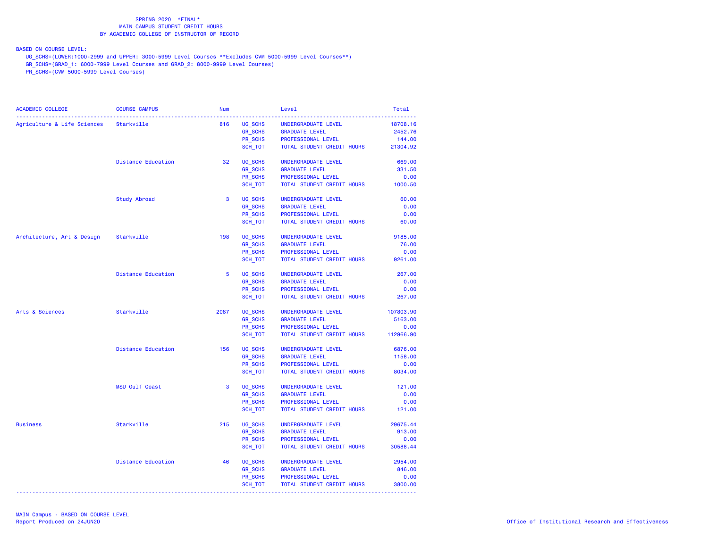BASED ON COURSE LEVEL:

UG\_SCHS=(LOWER:1000-2999 and UPPER: 3000-5999 Level Courses \*\*Excludes CVM 5000-5999 Level Courses\*\*)

GR\_SCHS=(GRAD\_1: 6000-7999 Level Courses and GRAD\_2: 8000-9999 Level Courses)

| <b>COURSE CAMPUS</b>      | <b>Num</b>                                                                      |                | Level                                                                                                                           | Total                                                                                                                                                                                                                                                                                                                                                                                                                                                                                                          |
|---------------------------|---------------------------------------------------------------------------------|----------------|---------------------------------------------------------------------------------------------------------------------------------|----------------------------------------------------------------------------------------------------------------------------------------------------------------------------------------------------------------------------------------------------------------------------------------------------------------------------------------------------------------------------------------------------------------------------------------------------------------------------------------------------------------|
|                           | 816                                                                             |                | UNDERGRADUATE LEVEL                                                                                                             | 18708.16                                                                                                                                                                                                                                                                                                                                                                                                                                                                                                       |
|                           |                                                                                 |                | <b>GRADUATE LEVEL</b>                                                                                                           | 2452.76                                                                                                                                                                                                                                                                                                                                                                                                                                                                                                        |
|                           |                                                                                 |                |                                                                                                                                 | 144.00                                                                                                                                                                                                                                                                                                                                                                                                                                                                                                         |
|                           |                                                                                 |                |                                                                                                                                 |                                                                                                                                                                                                                                                                                                                                                                                                                                                                                                                |
| Distance Education        | 32                                                                              | UG SCHS        | UNDERGRADUATE LEVEL                                                                                                             | 669.00                                                                                                                                                                                                                                                                                                                                                                                                                                                                                                         |
|                           |                                                                                 | <b>GR_SCHS</b> | <b>GRADUATE LEVEL</b>                                                                                                           | 331.50                                                                                                                                                                                                                                                                                                                                                                                                                                                                                                         |
|                           |                                                                                 | PR_SCHS        | PROFESSIONAL LEVEL                                                                                                              | 0.00                                                                                                                                                                                                                                                                                                                                                                                                                                                                                                           |
|                           |                                                                                 | SCH_TOT        |                                                                                                                                 |                                                                                                                                                                                                                                                                                                                                                                                                                                                                                                                |
| Study Abroad              | 3                                                                               | UG SCHS        | UNDERGRADUATE LEVEL                                                                                                             | 60.00                                                                                                                                                                                                                                                                                                                                                                                                                                                                                                          |
|                           |                                                                                 | <b>GR_SCHS</b> | <b>GRADUATE LEVEL</b>                                                                                                           | 0.00                                                                                                                                                                                                                                                                                                                                                                                                                                                                                                           |
|                           |                                                                                 | PR SCHS        | PROFESSIONAL LEVEL                                                                                                              | 0.00                                                                                                                                                                                                                                                                                                                                                                                                                                                                                                           |
|                           |                                                                                 | SCH_TOT        | TOTAL STUDENT CREDIT HOURS                                                                                                      | 60.00                                                                                                                                                                                                                                                                                                                                                                                                                                                                                                          |
|                           | 198                                                                             | UG SCHS        | UNDERGRADUATE LEVEL                                                                                                             | 9185.00                                                                                                                                                                                                                                                                                                                                                                                                                                                                                                        |
|                           |                                                                                 | <b>GR_SCHS</b> | <b>GRADUATE LEVEL</b>                                                                                                           | 76.00                                                                                                                                                                                                                                                                                                                                                                                                                                                                                                          |
|                           |                                                                                 | PR SCHS        |                                                                                                                                 | 0.00                                                                                                                                                                                                                                                                                                                                                                                                                                                                                                           |
|                           |                                                                                 |                |                                                                                                                                 | 9261.00                                                                                                                                                                                                                                                                                                                                                                                                                                                                                                        |
| <b>Distance Education</b> | $-5$                                                                            | UG SCHS        | UNDERGRADUATE LEVEL                                                                                                             | 267.00                                                                                                                                                                                                                                                                                                                                                                                                                                                                                                         |
|                           |                                                                                 | <b>GR_SCHS</b> | <b>GRADUATE LEVEL</b>                                                                                                           | 0.00                                                                                                                                                                                                                                                                                                                                                                                                                                                                                                           |
|                           |                                                                                 | PR_SCHS        | PROFESSIONAL LEVEL                                                                                                              | 0.00                                                                                                                                                                                                                                                                                                                                                                                                                                                                                                           |
|                           |                                                                                 | SCH_TOT        |                                                                                                                                 | 267.00                                                                                                                                                                                                                                                                                                                                                                                                                                                                                                         |
| Starkville                | 2087                                                                            | UG SCHS        | UNDERGRADUATE LEVEL                                                                                                             | 107803.90                                                                                                                                                                                                                                                                                                                                                                                                                                                                                                      |
|                           |                                                                                 | <b>GR_SCHS</b> | <b>GRADUATE LEVEL</b>                                                                                                           | 5163.00                                                                                                                                                                                                                                                                                                                                                                                                                                                                                                        |
|                           |                                                                                 | PR SCHS        | PROFESSIONAL LEVEL                                                                                                              | 0.00                                                                                                                                                                                                                                                                                                                                                                                                                                                                                                           |
|                           |                                                                                 | SCH_TOT        |                                                                                                                                 | 112966.90                                                                                                                                                                                                                                                                                                                                                                                                                                                                                                      |
| <b>Distance Education</b> | 156                                                                             | UG SCHS        | UNDERGRADUATE LEVEL                                                                                                             | 6876.00                                                                                                                                                                                                                                                                                                                                                                                                                                                                                                        |
|                           |                                                                                 |                | <b>GRADUATE LEVEL</b>                                                                                                           | 1158.00                                                                                                                                                                                                                                                                                                                                                                                                                                                                                                        |
|                           |                                                                                 |                | PROFESSIONAL LEVEL                                                                                                              | 0.00                                                                                                                                                                                                                                                                                                                                                                                                                                                                                                           |
|                           |                                                                                 |                |                                                                                                                                 | 8034.00                                                                                                                                                                                                                                                                                                                                                                                                                                                                                                        |
| <b>MSU Gulf Coast</b>     | 3                                                                               | UG SCHS        | UNDERGRADUATE LEVEL                                                                                                             | 121.00                                                                                                                                                                                                                                                                                                                                                                                                                                                                                                         |
|                           |                                                                                 |                |                                                                                                                                 | 0.00                                                                                                                                                                                                                                                                                                                                                                                                                                                                                                           |
|                           |                                                                                 |                |                                                                                                                                 | 0.00                                                                                                                                                                                                                                                                                                                                                                                                                                                                                                           |
|                           |                                                                                 |                |                                                                                                                                 | 121.00                                                                                                                                                                                                                                                                                                                                                                                                                                                                                                         |
| Starkville                | 215                                                                             | UG SCHS        | UNDERGRADUATE LEVEL                                                                                                             | 29675.44                                                                                                                                                                                                                                                                                                                                                                                                                                                                                                       |
|                           |                                                                                 |                |                                                                                                                                 | 913.00                                                                                                                                                                                                                                                                                                                                                                                                                                                                                                         |
|                           |                                                                                 |                |                                                                                                                                 | 0.00                                                                                                                                                                                                                                                                                                                                                                                                                                                                                                           |
|                           |                                                                                 |                |                                                                                                                                 | 30588.44                                                                                                                                                                                                                                                                                                                                                                                                                                                                                                       |
| Distance Education        | 46                                                                              | UG SCHS        | UNDERGRADUATE LEVEL                                                                                                             | 2954.00                                                                                                                                                                                                                                                                                                                                                                                                                                                                                                        |
|                           |                                                                                 | <b>GR SCHS</b> | <b>GRADUATE LEVEL</b>                                                                                                           | 846.00                                                                                                                                                                                                                                                                                                                                                                                                                                                                                                         |
|                           |                                                                                 |                | PROFESSIONAL LEVEL                                                                                                              | 0.00                                                                                                                                                                                                                                                                                                                                                                                                                                                                                                           |
|                           |                                                                                 |                |                                                                                                                                 | 3800.00                                                                                                                                                                                                                                                                                                                                                                                                                                                                                                        |
|                           | Agriculture & Life Sciences Starkville<br>Architecture, Art & Design Starkville |                | SCH_TOT<br><b>GR_SCHS</b><br>SCH_TOT<br><b>GR_SCHS</b><br>PR SCHS<br>SCH_TOT<br><b>GR SCHS</b><br>PR SCHS<br>SCH TOT<br>SCH_TOT | UG SCHS<br><b>GR_SCHS</b><br>PROFESSIONAL LEVEL<br>PR_SCHS<br>TOTAL STUDENT CREDIT HOURS 21304.92<br>SCH TOT<br>TOTAL STUDENT CREDIT HOURS 1000.50<br>PROFESSIONAL LEVEL<br>TOTAL STUDENT CREDIT HOURS<br>TOTAL STUDENT CREDIT HOURS<br>TOTAL STUDENT CREDIT HOURS<br>PR SCHS<br>TOTAL STUDENT CREDIT HOURS<br><b>GRADUATE LEVEL</b><br>PROFESSIONAL LEVEL<br>TOTAL STUDENT CREDIT HOURS<br><b>GRADUATE LEVEL</b><br>PROFESSIONAL LEVEL<br>TOTAL STUDENT CREDIT HOURS<br>PR SCHS<br>TOTAL STUDENT CREDIT HOURS |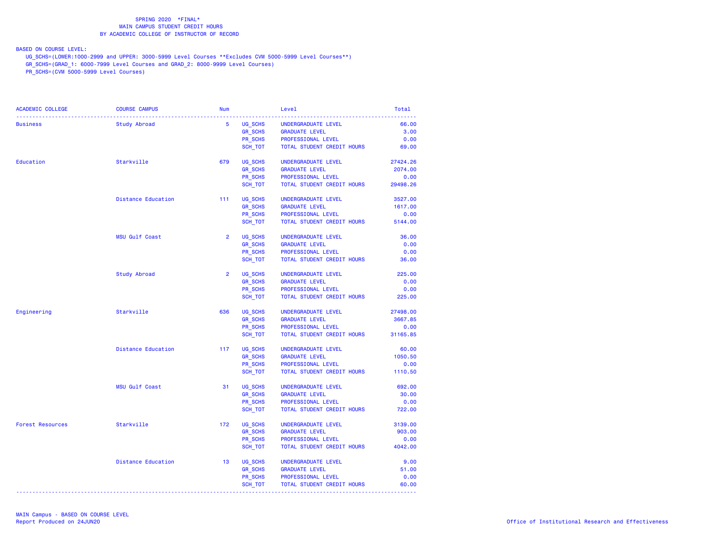BASED ON COURSE LEVEL:

UG\_SCHS=(LOWER:1000-2999 and UPPER: 3000-5999 Level Courses \*\*Excludes CVM 5000-5999 Level Courses\*\*)

GR\_SCHS=(GRAD\_1: 6000-7999 Level Courses and GRAD\_2: 8000-9999 Level Courses)

| ACADEMIC COLLEGE        | <b>COURSE CAMPUS</b>      | <b>Num</b>     |                | Level                      | Total    |
|-------------------------|---------------------------|----------------|----------------|----------------------------|----------|
| <b>Business</b>         | Study Abroad              | $5^{\circ}$    | UG SCHS        | UNDERGRADUATE LEVEL        | 66.00    |
|                         |                           |                | <b>GR SCHS</b> | <b>GRADUATE LEVEL</b>      | 3.00     |
|                         |                           |                | PR SCHS        | PROFESSIONAL LEVEL         | 0.00     |
|                         |                           |                | SCH_TOT        | TOTAL STUDENT CREDIT HOURS | 69.00    |
| Education               | Starkville                | 679            | UG SCHS        | UNDERGRADUATE LEVEL        | 27424.26 |
|                         |                           |                | <b>GR SCHS</b> | <b>GRADUATE LEVEL</b>      | 2074.00  |
|                         |                           |                | PR SCHS        | PROFESSIONAL LEVEL         | 0.00     |
|                         |                           |                | SCH TOT        | TOTAL STUDENT CREDIT HOURS | 29498.26 |
|                         | <b>Distance Education</b> | 111            | UG_SCHS        | UNDERGRADUATE LEVEL        | 3527.00  |
|                         |                           |                | <b>GR SCHS</b> | <b>GRADUATE LEVEL</b>      | 1617.00  |
|                         |                           |                | PR SCHS        | PROFESSIONAL LEVEL         | 0.00     |
|                         |                           |                | SCH TOT        | TOTAL STUDENT CREDIT HOURS | 5144.00  |
|                         | MSU Gulf Coast            | $\overline{2}$ | UG SCHS        | UNDERGRADUATE LEVEL        | 36.00    |
|                         |                           |                | <b>GR SCHS</b> | <b>GRADUATE LEVEL</b>      | 0.00     |
|                         |                           |                | PR SCHS        | PROFESSIONAL LEVEL         | 0.00     |
|                         |                           |                | SCH TOT        | TOTAL STUDENT CREDIT HOURS | 36.00    |
|                         | Study Abroad              | $\overline{2}$ | UG SCHS        | UNDERGRADUATE LEVEL        | 225.00   |
|                         |                           |                | <b>GR_SCHS</b> | <b>GRADUATE LEVEL</b>      | 0.00     |
|                         |                           |                | PR SCHS        | PROFESSIONAL LEVEL         | 0.00     |
|                         |                           |                | SCH TOT        | TOTAL STUDENT CREDIT HOURS | 225.00   |
| Engineering             | Starkville                | 636            | UG SCHS        | UNDERGRADUATE LEVEL        | 27498.00 |
|                         |                           |                | <b>GR SCHS</b> | <b>GRADUATE LEVEL</b>      | 3667.85  |
|                         |                           |                | PR_SCHS        | PROFESSIONAL LEVEL         | 0.00     |
|                         |                           |                | SCH_TOT        | TOTAL STUDENT CREDIT HOURS | 31165.85 |
|                         | Distance Education        | 117            | UG SCHS        | UNDERGRADUATE LEVEL        | 60.00    |
|                         |                           |                | <b>GR_SCHS</b> | <b>GRADUATE LEVEL</b>      | 1050.50  |
|                         |                           |                | PR SCHS        | PROFESSIONAL LEVEL         | 0.00     |
|                         |                           |                | SCH_TOT        | TOTAL STUDENT CREDIT HOURS | 1110.50  |
|                         | <b>MSU Gulf Coast</b>     | 31             | UG SCHS        | UNDERGRADUATE LEVEL        | 692.00   |
|                         |                           |                | <b>GR_SCHS</b> | <b>GRADUATE LEVEL</b>      | 30.00    |
|                         |                           |                | PR SCHS        | PROFESSIONAL LEVEL         | 0.00     |
|                         |                           |                | SCH TOT        | TOTAL STUDENT CREDIT HOURS | 722.00   |
| <b>Forest Resources</b> | Starkville                | 172            | UG SCHS        | UNDERGRADUATE LEVEL        | 3139.00  |
|                         |                           |                | <b>GR_SCHS</b> | <b>GRADUATE LEVEL</b>      | 903.00   |
|                         |                           |                | PR SCHS        | PROFESSIONAL LEVEL         | 0.00     |
|                         |                           |                | SCH TOT        | TOTAL STUDENT CREDIT HOURS | 4042.00  |
|                         | <b>Distance Education</b> | 13             | UG_SCHS        | UNDERGRADUATE LEVEL        | 9.00     |
|                         |                           |                | <b>GR_SCHS</b> | <b>GRADUATE LEVEL</b>      | 51.00    |
|                         |                           |                | PR SCHS        | PROFESSIONAL LEVEL         | 0.00     |
|                         |                           |                | SCH_TOT        | TOTAL STUDENT CREDIT HOURS | 60.00    |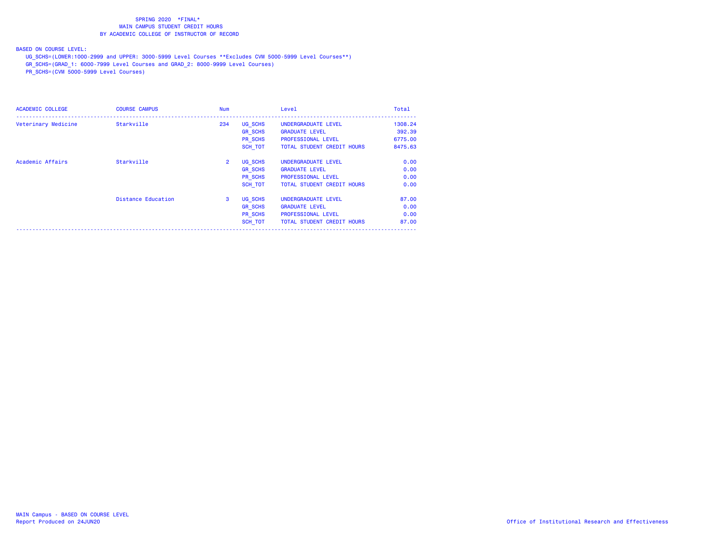BASED ON COURSE LEVEL:

UG\_SCHS=(LOWER:1000-2999 and UPPER: 3000-5999 Level Courses \*\*Excludes CVM 5000-5999 Level Courses\*\*)

GR\_SCHS=(GRAD\_1: 6000-7999 Level Courses and GRAD\_2: 8000-9999 Level Courses)

| <b>ACADEMIC COLLEGE</b> | <b>COURSE CAMPUS</b>      | Num            |                | Level                      | Total   |
|-------------------------|---------------------------|----------------|----------------|----------------------------|---------|
| Veterinary Medicine     | Starkville                | 234            | UG SCHS        | UNDERGRADUATE LEVEL        | 1308.24 |
|                         |                           |                | <b>GR SCHS</b> | <b>GRADUATE LEVEL</b>      | 392.39  |
|                         |                           |                | <b>PR SCHS</b> | <b>PROFESSIONAL LEVEL</b>  | 6775.00 |
|                         |                           |                | SCH TOT        | TOTAL STUDENT CREDIT HOURS | 8475.63 |
| Academic Affairs        | Starkville                | $\overline{2}$ | UG SCHS        | UNDERGRADUATE LEVEL        | 0.00    |
|                         |                           |                | <b>GR SCHS</b> | <b>GRADUATE LEVEL</b>      | 0.00    |
|                         |                           |                | <b>PR SCHS</b> | <b>PROFESSIONAL LEVEL</b>  | 0.00    |
|                         |                           |                | SCH TOT        | TOTAL STUDENT CREDIT HOURS | 0.00    |
|                         | <b>Distance Education</b> | 3              | UG SCHS        | UNDERGRADUATE LEVEL        | 87.00   |
|                         |                           |                | <b>GR SCHS</b> | <b>GRADUATE LEVEL</b>      | 0.00    |
|                         |                           |                | PR SCHS        | <b>PROFESSIONAL LEVEL</b>  | 0.00    |
|                         |                           |                | SCH TOT        | TOTAL STUDENT CREDIT HOURS | 87.00   |
|                         |                           |                |                |                            |         |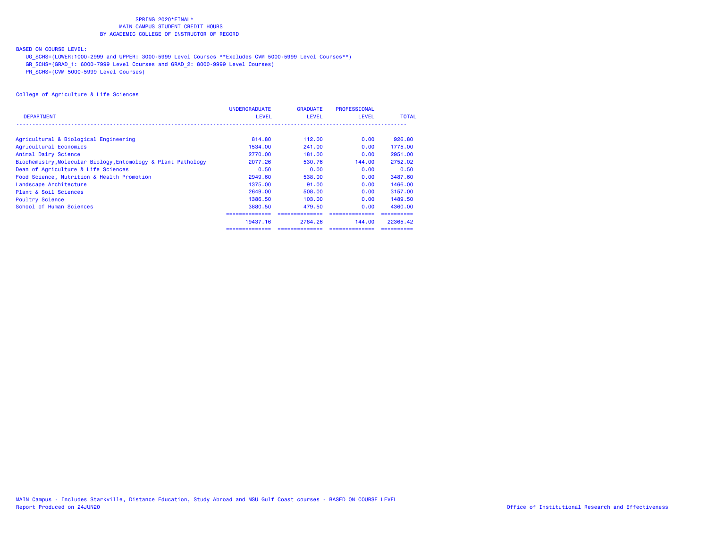### BASED ON COURSE LEVEL:

UG\_SCHS=(LOWER:1000-2999 and UPPER: 3000-5999 Level Courses \*\*Excludes CVM 5000-5999 Level Courses\*\*)

GR\_SCHS=(GRAD\_1: 6000-7999 Level Courses and GRAD\_2: 8000-9999 Level Courses)

PR\_SCHS=(CVM 5000-5999 Level Courses)

|                                                               | <b>UNDERGRADUATE</b> | <b>GRADUATE</b> | <b>PROFESSIONAL</b> |              |
|---------------------------------------------------------------|----------------------|-----------------|---------------------|--------------|
| <b>DEPARTMENT</b>                                             | <b>LEVEL</b>         | <b>LEVEL</b>    | <b>LEVEL</b>        | <b>TOTAL</b> |
|                                                               |                      |                 |                     |              |
| Agricultural & Biological Engineering                         | 814,80               | 112.00          | 0.00                | 926,80       |
| Agricultural Economics                                        | 1534.00              | 241,00          | 0.00                | 1775.00      |
| Animal Dairy Science                                          | 2770.00              | 181.00          | 0.00                | 2951.00      |
| Biochemistry, Molecular Biology, Entomology & Plant Pathology | 2077.26              | 530.76          | 144.00              | 2752.02      |
| Dean of Agriculture & Life Sciences                           | 0.50                 | 0.00            | 0.00                | 0.50         |
| Food Science, Nutrition & Health Promotion                    | 2949.60              | 538.00          | 0.00                | 3487.60      |
| Landscape Architecture                                        | 1375.00              | 91.00           | 0.00                | 1466.00      |
| Plant & Soil Sciences                                         | 2649.00              | 508.00          | 0.00                | 3157.00      |
| <b>Poultry Science</b>                                        | 1386.50              | 103,00          | 0.00                | 1489.50      |
| School of Human Sciences                                      | 3880.50              | 479.50          | 0.00                | 4360.00      |
|                                                               | ===============      |                 |                     |              |
|                                                               | 19437.16             | 2784.26         | 144.00              | 22365.42     |
|                                                               | ==============       |                 | ===============     | ==========   |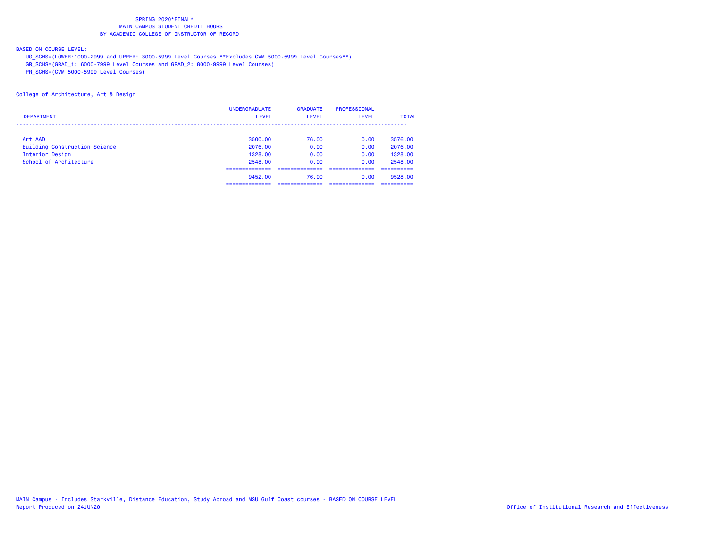### BASED ON COURSE LEVEL:

UG\_SCHS=(LOWER:1000-2999 and UPPER: 3000-5999 Level Courses \*\*Excludes CVM 5000-5999 Level Courses\*\*)

GR\_SCHS=(GRAD\_1: 6000-7999 Level Courses and GRAD\_2: 8000-9999 Level Courses)

PR\_SCHS=(CVM 5000-5999 Level Courses)

College of Architecture, Art & Design

|                                      | <b>UNDERGRADUATE</b>            | <b>GRADUATE</b> | <b>PROFESSIONAL</b> |              |
|--------------------------------------|---------------------------------|-----------------|---------------------|--------------|
| <b>DEPARTMENT</b>                    | <b>LEVEL</b>                    | <b>LEVEL</b>    | <b>LEVEL</b>        | <b>TOTAL</b> |
|                                      |                                 |                 |                     |              |
| Art AAD                              | 3500.00                         | 76.00           | 0.00                | 3576.00      |
| <b>Building Construction Science</b> | 2076.00                         | 0.00            | 0.00                | 2076.00      |
| Interior Design                      | 1328.00                         | 0.00            | 0.00                | 1328,00      |
| School of Architecture               | 2548.00                         | 0.00            | 0.00                | 2548.00      |
|                                      | ------------<br>--------------- |                 |                     | ---------    |
|                                      | 9452.00                         | 76.00           | 0.00                | 9528.00      |
|                                      |                                 |                 |                     |              |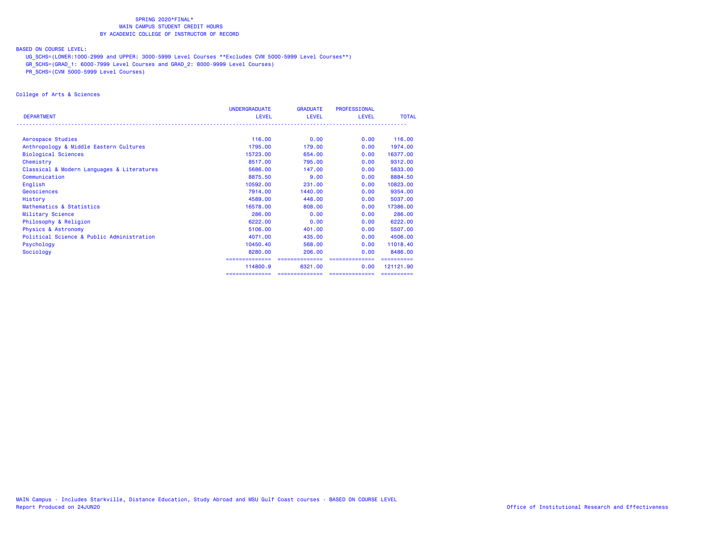### BASED ON COURSE LEVEL:

UG\_SCHS=(LOWER:1000-2999 and UPPER: 3000-5999 Level Courses \*\*Excludes CVM 5000-5999 Level Courses\*\*)

GR\_SCHS=(GRAD\_1: 6000-7999 Level Courses and GRAD\_2: 8000-9999 Level Courses)

PR\_SCHS=(CVM 5000-5999 Level Courses)

College of Arts & Sciences

|                                            | <b>UNDERGRADUATE</b> | <b>GRADUATE</b> | <b>PROFESSIONAL</b> |              |
|--------------------------------------------|----------------------|-----------------|---------------------|--------------|
| <b>DEPARTMENT</b>                          | <b>LEVEL</b>         | <b>LEVEL</b>    | <b>LEVEL</b>        | <b>TOTAL</b> |
|                                            |                      |                 |                     |              |
| Aerospace Studies                          | 116,00               | 0.00            | 0.00                | 116.00       |
| Anthropology & Middle Eastern Cultures     | 1795.00              | 179.00          | 0.00                | 1974.00      |
| <b>Biological Sciences</b>                 | 15723.00             | 654.00          | 0.00                | 16377.00     |
| Chemistry                                  | 8517.00              | 795.00          | 0.00                | 9312.00      |
| Classical & Modern Languages & Literatures | 5686.00              | 147,00          | 0.00                | 5833.00      |
| Communication                              | 8875.50              | 9.00            | 0.00                | 8884.50      |
| English                                    | 10592.00             | 231,00          | 0.00                | 10823.00     |
| Geosciences                                | 7914.00              | 1440.00         | 0.00                | 9354.00      |
| History                                    | 4589.00              | 448,00          | 0.00                | 5037.00      |
| Mathematics & Statistics                   | 16578.00             | 808,00          | 0.00                | 17386.00     |
| Military Science                           | 286,00               | 0.00            | 0.00                | 286.00       |
| Philosophy & Religion                      | 6222.00              | 0.00            | 0.00                | 6222.00      |
| <b>Physics &amp; Astronomy</b>             | 5106.00              | 401.00          | 0.00                | 5507.00      |
| Political Science & Public Administration  | 4071.00              | 435,00          | 0.00                | 4506.00      |
| Psychology                                 | 10450.40             | 568,00          | 0.00                | 11018.40     |
| Sociology                                  | 8280.00              | 206.00          | 0.00                | 8486.00      |
|                                            | ==============       | ==============  | ==============      |              |
|                                            | 114800.9             | 6321.00         | 0.00                | 121121.90    |
|                                            |                      | ==============  | --------------      | ==========   |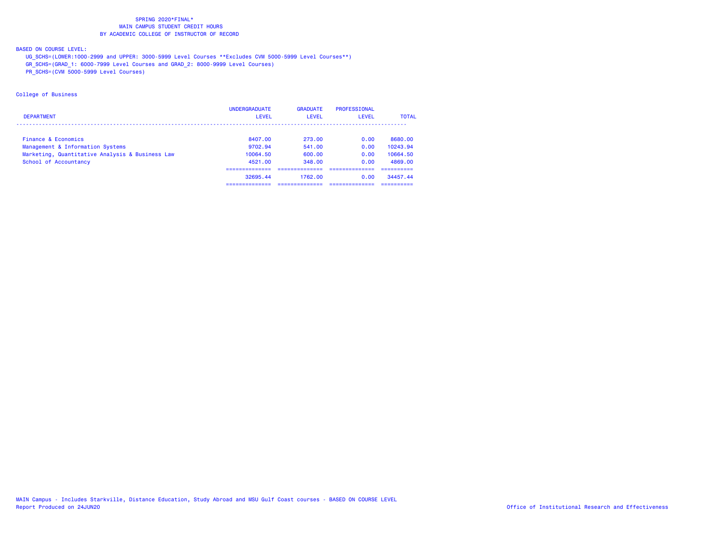### BASED ON COURSE LEVEL:

UG\_SCHS=(LOWER:1000-2999 and UPPER: 3000-5999 Level Courses \*\*Excludes CVM 5000-5999 Level Courses\*\*)

GR\_SCHS=(GRAD\_1: 6000-7999 Level Courses and GRAD\_2: 8000-9999 Level Courses)

PR\_SCHS=(CVM 5000-5999 Level Courses)

### College of Business

|                                                 | <b>UNDERGRADUATE</b> | <b>GRADUATE</b> | PROFESSIONAL |              |
|-------------------------------------------------|----------------------|-----------------|--------------|--------------|
| <b>DEPARTMENT</b>                               | <b>LEVEL</b>         | LEVEL           | LEVEL        | <b>TOTAL</b> |
|                                                 |                      |                 |              |              |
| Finance & Economics                             | 8407.00              | 273.00          | 0.00         | 8680.00      |
| Management & Information Systems                | 9702.94              | 541.00          | 0.00         | 10243.94     |
| Marketing, Quantitative Analysis & Business Law | 10064.50             | 600.00          | 0.00         | 10664.50     |
| School of Accountancy                           | 4521.00              | 348.00          | 0.00         | 4869.00      |
|                                                 |                      |                 |              |              |
|                                                 | 32695.44             | 1762.00         | 0.00         | 34457.44     |
|                                                 | ----------           |                 |              |              |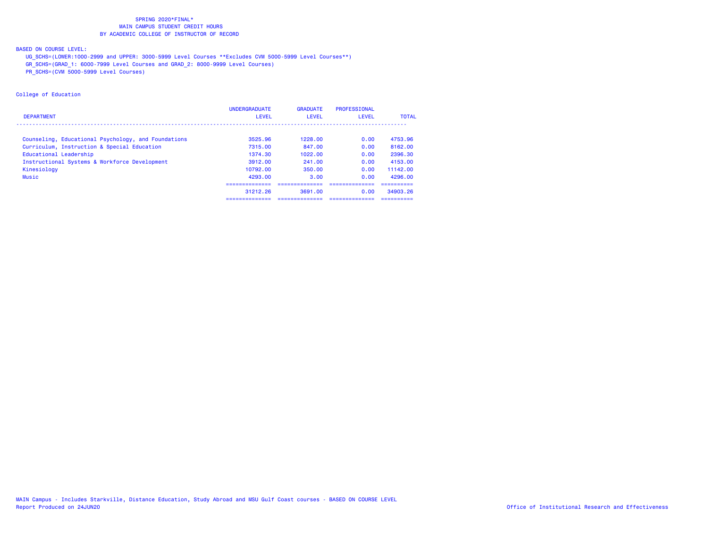### BASED ON COURSE LEVEL:

UG\_SCHS=(LOWER:1000-2999 and UPPER: 3000-5999 Level Courses \*\*Excludes CVM 5000-5999 Level Courses\*\*)

GR\_SCHS=(GRAD\_1: 6000-7999 Level Courses and GRAD\_2: 8000-9999 Level Courses)

PR\_SCHS=(CVM 5000-5999 Level Courses)

### College of Education

|                                                     | <b>UNDERGRADUATE</b>            | <b>GRADUATE</b> | PROFESSIONAL |              |
|-----------------------------------------------------|---------------------------------|-----------------|--------------|--------------|
| <b>DEPARTMENT</b>                                   | <b>LEVEL</b>                    | <b>LEVEL</b>    | <b>LEVEL</b> | <b>TOTAL</b> |
|                                                     |                                 |                 |              |              |
| Counseling, Educational Psychology, and Foundations | 3525.96                         | 1228.00         | 0.00         | 4753.96      |
| Curriculum, Instruction & Special Education         | 7315.00                         | 847.00          | 0.00         | 8162.00      |
| Educational Leadership                              | 1374.30                         | 1022.00         | 0.00         | 2396.30      |
| Instructional Systems & Workforce Development       | 3912.00                         | 241.00          | 0.00         | 4153.00      |
| Kinesiology                                         | 10792.00                        | 350.00          | 0.00         | 11142.00     |
| Music                                               | 4293.00                         | 3.00            | 0.00         | 4296.00      |
|                                                     |                                 |                 |              |              |
|                                                     | 31212.26                        | 3691.00         | 0.00         | 34903.26     |
|                                                     | -------------<br>-------------- | --------------- |              | ----------   |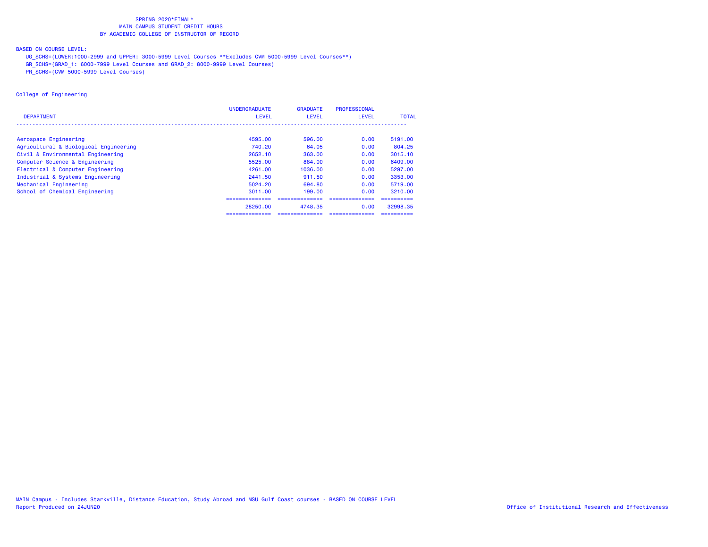### BASED ON COURSE LEVEL:

UG\_SCHS=(LOWER:1000-2999 and UPPER: 3000-5999 Level Courses \*\*Excludes CVM 5000-5999 Level Courses\*\*)

GR\_SCHS=(GRAD\_1: 6000-7999 Level Courses and GRAD\_2: 8000-9999 Level Courses)

PR\_SCHS=(CVM 5000-5999 Level Courses)

### College of Engineering

|                                       | <b>UNDERGRADUATE</b> | <b>GRADUATE</b> | PROFESSIONAL    |              |
|---------------------------------------|----------------------|-----------------|-----------------|--------------|
| <b>DEPARTMENT</b>                     | <b>LEVEL</b>         | <b>LEVEL</b>    | <b>LEVEL</b>    | <b>TOTAL</b> |
|                                       |                      |                 |                 |              |
| Aerospace Engineering                 | 4595.00              | 596,00          | 0.00            | 5191.00      |
| Agricultural & Biological Engineering | 740.20               | 64.05           | 0.00            | 804.25       |
| Civil & Environmental Engineering     | 2652.10              | 363.00          | 0.00            | 3015.10      |
| Computer Science & Engineering        | 5525.00              | 884,00          | 0.00            | 6409.00      |
| Electrical & Computer Engineering     | 4261.00              | 1036.00         | 0.00            | 5297.00      |
| Industrial & Systems Engineering      | 2441.50              | 911.50          | 0.00            | 3353.00      |
| Mechanical Engineering                | 5024.20              | 694.80          | 0.00            | 5719.00      |
| School of Chemical Engineering        | 3011.00              | 199.00          | 0.00            | 3210.00      |
|                                       |                      |                 |                 |              |
|                                       | 28250.00             | 4748.35         | 0.00            | 32998.35     |
|                                       | ==============       | ==============  | =============== | ==========   |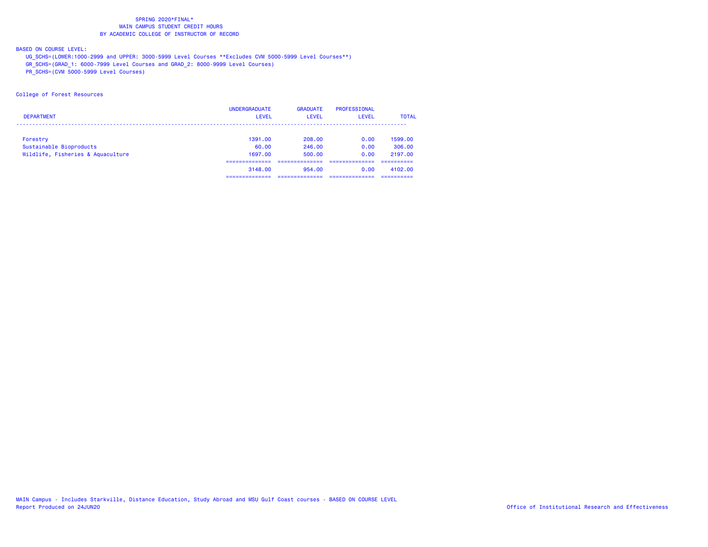BASED ON COURSE LEVEL:

UG\_SCHS=(LOWER:1000-2999 and UPPER: 3000-5999 Level Courses \*\*Excludes CVM 5000-5999 Level Courses\*\*)

GR\_SCHS=(GRAD\_1: 6000-7999 Level Courses and GRAD\_2: 8000-9999 Level Courses)

PR\_SCHS=(CVM 5000-5999 Level Courses)

College of Forest Resources

|                                   | <b>UNDERGRADUATE</b> | <b>GRADUATE</b> | PROFESSIONAL |              |
|-----------------------------------|----------------------|-----------------|--------------|--------------|
| <b>DEPARTMENT</b>                 | <b>LEVEL</b>         | <b>LEVEL</b>    | <b>LEVEL</b> | <b>TOTAL</b> |
|                                   |                      |                 |              |              |
| Forestry                          | 1391.00              | 208,00          | 0.00         | 1599.00      |
| Sustainable Bioproducts           | 60.00                | 246,00          | 0.00         | 306,00       |
| Wildlife, Fisheries & Aquaculture | 1697.00              | 500,00          | 0.00         | 2197.00      |
|                                   | 3148.00              | 954.00          | 0.00         | 4102.00      |
|                                   |                      |                 |              |              |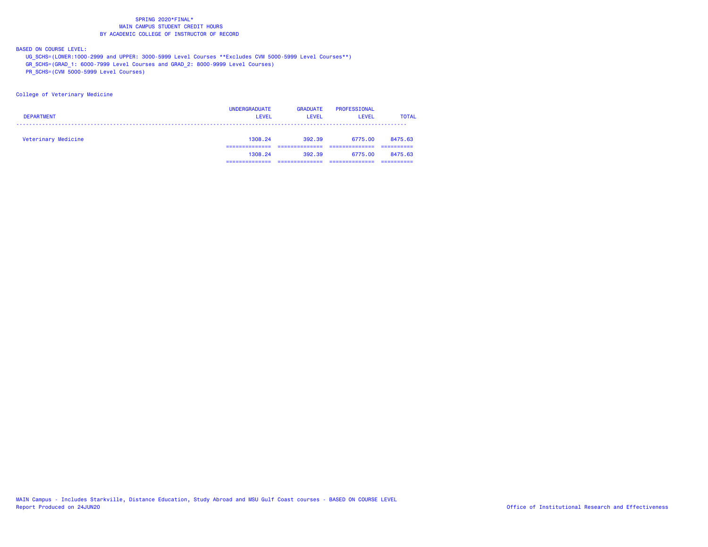BASED ON COURSE LEVEL:

UG\_SCHS=(LOWER:1000-2999 and UPPER: 3000-5999 Level Courses \*\*Excludes CVM 5000-5999 Level Courses\*\*)

GR\_SCHS=(GRAD\_1: 6000-7999 Level Courses and GRAD\_2: 8000-9999 Level Courses)

PR\_SCHS=(CVM 5000-5999 Level Courses)

College of Veterinary Medicine

| <b>DEPARTMENT</b>   | <b>UNDERGRADUATE</b><br><b>LEVEL</b> | <b>GRADUATE</b><br>LEVEL | <b>PROFESSIONAL</b><br><b>LEVEL</b> | <b>TOTAL</b> |
|---------------------|--------------------------------------|--------------------------|-------------------------------------|--------------|
| Veterinary Medicine | 1308.24                              | 392.39                   | 6775.00                             | 8475.63      |
|                     | 1308.24                              | 392.39                   | 6775.00                             | 8475.63      |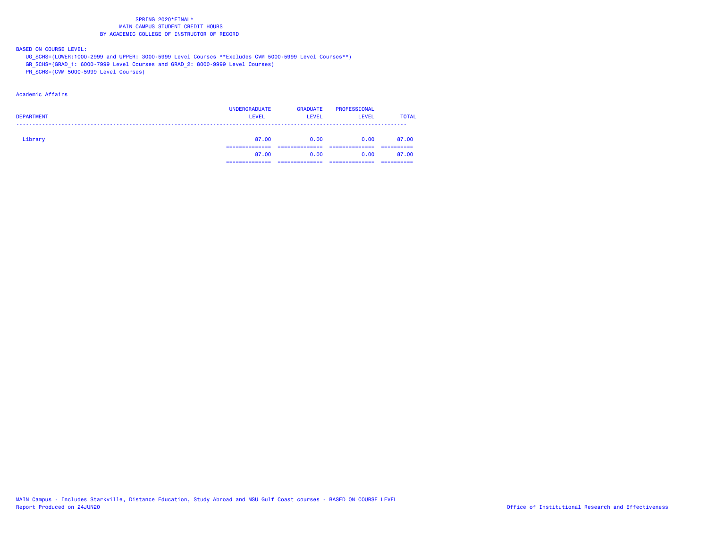BASED ON COURSE LEVEL:

UG\_SCHS=(LOWER:1000-2999 and UPPER: 3000-5999 Level Courses \*\*Excludes CVM 5000-5999 Level Courses\*\*)

GR\_SCHS=(GRAD\_1: 6000-7999 Level Courses and GRAD\_2: 8000-9999 Level Courses)

PR\_SCHS=(CVM 5000-5999 Level Courses)

### Academic Affairs

| <b>DEPARTMENT</b> | <b>UNDERGRADUATE</b><br><b>LEVEL</b> | <b>GRADUATE</b><br><b>LEVEL</b> | PROFESSIONAL<br><b>LEVEL</b> | <b>TOTAL</b> |
|-------------------|--------------------------------------|---------------------------------|------------------------------|--------------|
| Library           | 87.00                                | 0.00                            | 0.00                         | 87.00        |
|                   | 87.00                                | 0.00                            | 0.00                         | 87.00        |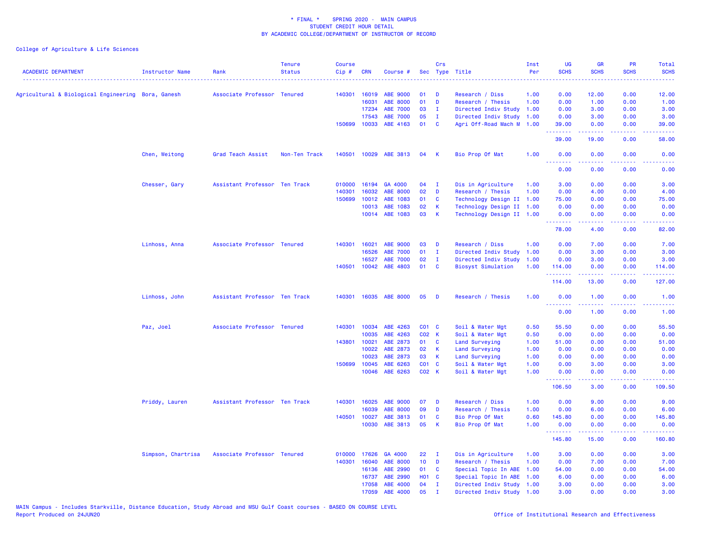| <b>ACADEMIC DEPARTMENT</b>                         | <b>Instructor Name</b> | Rank                          | <b>Tenure</b><br><b>Status</b> | <b>Course</b><br>Cip# | <b>CRN</b>     | Course #              |                 | Crs                          | Sec Type Title                                         | Inst<br>Per  | <b>UG</b><br><b>SCHS</b>                                                                                                          | <b>GR</b><br><b>SCHS</b> | <b>PR</b><br><b>SCHS</b> | Total<br><b>SCHS</b>                                                                                                                                           |
|----------------------------------------------------|------------------------|-------------------------------|--------------------------------|-----------------------|----------------|-----------------------|-----------------|------------------------------|--------------------------------------------------------|--------------|-----------------------------------------------------------------------------------------------------------------------------------|--------------------------|--------------------------|----------------------------------------------------------------------------------------------------------------------------------------------------------------|
|                                                    |                        | Associate Professor Tenured   |                                | 140301                | 16019          | ABE 9000              | 01              | D                            | Research / Diss                                        | 1.00         | $\sim$ $\sim$ $\sim$ $\sim$<br>0.00                                                                                               | 12.00                    | 0.00                     | 12.00                                                                                                                                                          |
| Agricultural & Biological Engineering Bora, Ganesh |                        |                               |                                |                       | 16031          | <b>ABE 8000</b>       | 01              | D                            | Research / Thesis                                      | 1.00         | 0.00                                                                                                                              | 1.00                     | 0.00                     | 1.00                                                                                                                                                           |
|                                                    |                        |                               |                                |                       | 17234          | <b>ABE 7000</b>       | 03              | I.                           | Directed Indiv Study 1.00                              |              | 0.00                                                                                                                              | 3.00                     | 0.00                     | 3.00                                                                                                                                                           |
|                                                    |                        |                               |                                |                       | 17543          | <b>ABE 7000</b>       | 05              | $\mathbf{I}$                 | Directed Indiv Study 1.00                              |              | 0.00                                                                                                                              | 3.00                     | 0.00                     | 3.00                                                                                                                                                           |
|                                                    |                        |                               |                                | 150699                | 10033          | ABE 4163              | 01              | C                            | Agri Off-Road Mach M 1.00                              |              | 39.00                                                                                                                             | 0.00                     | 0.00                     | 39.00                                                                                                                                                          |
|                                                    |                        |                               |                                |                       |                |                       |                 |                              |                                                        |              | .<br>39.00                                                                                                                        | بالأبابات<br>19.00       | 0.00                     | 58.00                                                                                                                                                          |
|                                                    | Chen, Weitong          | Grad Teach Assist             | Non-Ten Track                  |                       |                | 140501 10029 ABE 3813 | 04              | -K                           | Bio Prop Of Mat                                        | 1.00         | 0.00                                                                                                                              | 0.00                     | 0.00                     | 0.00                                                                                                                                                           |
|                                                    |                        |                               |                                |                       |                |                       |                 |                              |                                                        |              | $\frac{1}{2} \left( \frac{1}{2} \right) \left( \frac{1}{2} \right) \left( \frac{1}{2} \right) \left( \frac{1}{2} \right)$<br>0.00 | 0.00                     | 0.00                     | 0.00                                                                                                                                                           |
|                                                    | Chesser, Gary          | Assistant Professor Ten Track |                                | 010000                | 16194          | GA 4000               | 04              | $\mathbf{I}$                 | Dis in Agriculture                                     | 1.00         | 3.00                                                                                                                              | 0.00                     | 0.00                     | 3.00                                                                                                                                                           |
|                                                    |                        |                               |                                | 140301                | 16032          | <b>ABE 8000</b>       | 02              | D                            | Research / Thesis                                      | 1.00         | 0.00                                                                                                                              | 4.00                     | 0.00                     | 4.00                                                                                                                                                           |
|                                                    |                        |                               |                                | 150699                | 10012          | ABE 1083              | 01              | <b>C</b>                     | Technology Design II 1.00                              |              | 75.00                                                                                                                             | 0.00                     | 0.00                     | 75.00                                                                                                                                                          |
|                                                    |                        |                               |                                |                       | 10013          | ABE 1083              | 02              | К                            | Technology Design II 1.00                              |              | 0.00                                                                                                                              | 0.00                     | 0.00                     | 0.00                                                                                                                                                           |
|                                                    |                        |                               |                                |                       |                | 10014 ABE 1083        | 03              | K                            | Technology Design II 1.00                              |              | 0.00<br>.                                                                                                                         | 0.00<br>.                | 0.00<br>د د د د .        | 0.00<br>$\omega$ is a $\omega$                                                                                                                                 |
|                                                    |                        |                               |                                |                       |                |                       |                 |                              |                                                        |              | 78.00                                                                                                                             | 4.00                     | 0.00                     | 82.00                                                                                                                                                          |
|                                                    | Linhoss, Anna          | Associate Professor Tenured   |                                | 140301                | 16021          | ABE 9000              | 03              | D                            | Research / Diss                                        | 1.00         | 0.00                                                                                                                              | 7.00                     | 0.00                     | 7.00                                                                                                                                                           |
|                                                    |                        |                               |                                |                       | 16526          | <b>ABE 7000</b>       | 01              | $\mathbf{I}$                 | Directed Indiv Study 1.00                              |              | 0.00                                                                                                                              | 3.00                     | 0.00                     | 3.00                                                                                                                                                           |
|                                                    |                        |                               |                                |                       | 16527          | <b>ABE 7000</b>       | 02              | $\mathbf{I}$                 | Directed Indiv Study 1.00                              |              | 0.00                                                                                                                              | 3.00                     | 0.00                     | 3.00                                                                                                                                                           |
|                                                    |                        |                               |                                | 140501                | 10042          | ABE 4803              | 01              | C                            | <b>Biosyst Simulation</b>                              | 1.00         | 114.00<br>.                                                                                                                       | 0.00<br>.                | 0.00<br>د د د د .        | 114.00<br>المتمامين                                                                                                                                            |
|                                                    |                        |                               |                                |                       |                |                       |                 |                              |                                                        |              | 114.00                                                                                                                            | 13.00                    | 0.00                     | 127.00                                                                                                                                                         |
|                                                    | Linhoss, John          | Assistant Professor Ten Track |                                | 140301                |                | 16035 ABE 8000        | 05              | D                            | Research / Thesis                                      | 1.00         | 0.00<br>-----                                                                                                                     | 1.00<br>.                | 0.00<br>$  -$            | 1.00                                                                                                                                                           |
|                                                    |                        |                               |                                |                       |                |                       |                 |                              |                                                        |              | 0.00                                                                                                                              | 1.00                     | 0.00                     | 1.00                                                                                                                                                           |
|                                                    | Paz, Joel              | Associate Professor Tenured   |                                | 140301                | 10034          | ABE 4263              | $CO1$ C         |                              | Soil & Water Mgt                                       | 0.50         | 55.50                                                                                                                             | 0.00                     | 0.00                     | 55.50                                                                                                                                                          |
|                                                    |                        |                               |                                |                       | 10035          | ABE 4263              | C02 K           |                              | Soil & Water Mgt                                       | 0.50         | 0.00                                                                                                                              | 0.00                     | 0.00                     | 0.00                                                                                                                                                           |
|                                                    |                        |                               |                                | 143801 10021          |                | ABE 2873              | 01              | C                            | Land Surveying                                         | 1.00         | 51.00                                                                                                                             | 0.00                     | 0.00                     | 51.00                                                                                                                                                          |
|                                                    |                        |                               |                                |                       | 10022          | ABE 2873              | 02              | К                            | Land Surveying                                         | 1.00         | 0.00                                                                                                                              | 0.00                     | 0.00                     | 0.00                                                                                                                                                           |
|                                                    |                        |                               |                                |                       | 10023          | ABE 2873              | 03              | К                            | Land Surveying                                         | 1.00         | 0.00                                                                                                                              | 0.00                     | 0.00                     | 0.00                                                                                                                                                           |
|                                                    |                        |                               |                                | 150699                | 10045          | ABE 6263              | $CO1$ $C$       |                              | Soil & Water Mgt                                       | 1.00         | 0.00                                                                                                                              | 3.00                     | 0.00                     | 3.00                                                                                                                                                           |
|                                                    |                        |                               |                                |                       | 10046          | ABE 6263              | C02 K           |                              | Soil & Water Mgt                                       | 1.00         | 0.00<br><b></b>                                                                                                                   | 0.00<br>.                | 0.00<br>.                | 0.00<br>.                                                                                                                                                      |
|                                                    |                        |                               |                                |                       |                |                       |                 |                              |                                                        |              | 106.50                                                                                                                            | 3.00                     | 0.00                     | 109.50                                                                                                                                                         |
|                                                    | Priddy, Lauren         | Assistant Professor Ten Track |                                | 140301                | 16025          | <b>ABE 9000</b>       | 07              | D                            | Research / Diss                                        | 1.00         | 0.00                                                                                                                              | 9.00                     | 0.00                     | 9.00                                                                                                                                                           |
|                                                    |                        |                               |                                |                       | 16039          | <b>ABE 8000</b>       | 09              | D                            | Research / Thesis                                      | 1.00         | 0.00                                                                                                                              | 6.00                     | 0.00                     | 6.00                                                                                                                                                           |
|                                                    |                        |                               |                                | 140501                | 10027<br>10030 | ABE 3813<br>ABE 3813  | 01<br>05        | C<br>K                       | Bio Prop Of Mat<br>Bio Prop Of Mat                     | 0.60<br>1.00 | 145.80<br>0.00                                                                                                                    | 0.00<br>0.00             | 0.00<br>0.00             | 145.80<br>0.00                                                                                                                                                 |
|                                                    |                        |                               |                                |                       |                |                       |                 |                              |                                                        |              | .<br>145.80                                                                                                                       | .<br>15.00               | .<br>0.00                | $\frac{1}{2} \left( \frac{1}{2} \right) \left( \frac{1}{2} \right) \left( \frac{1}{2} \right) \left( \frac{1}{2} \right) \left( \frac{1}{2} \right)$<br>160.80 |
|                                                    |                        |                               |                                |                       |                |                       |                 |                              |                                                        |              |                                                                                                                                   |                          |                          |                                                                                                                                                                |
|                                                    | Simpson, Chartrisa     | Associate Professor Tenured   |                                | 010000                | 17626          | GA 4000               | 22              | $\mathbf{I}$                 | Dis in Agriculture                                     | 1.00         | 3.00                                                                                                                              | 0.00                     | 0.00                     | 3.00                                                                                                                                                           |
|                                                    |                        |                               |                                | 140301                | 16040          | <b>ABE 8000</b>       | 10 <sub>1</sub> | D                            | Research / Thesis                                      | 1.00         | 0.00                                                                                                                              | 7.00                     | 0.00                     | 7.00                                                                                                                                                           |
|                                                    |                        |                               |                                |                       | 16136          | ABE 2990              | 01              | C                            | Special Topic In ABE 1.00                              |              | 54.00                                                                                                                             | 0.00                     | 0.00                     | 54.00                                                                                                                                                          |
|                                                    |                        |                               |                                |                       | 16737          | ABE 2990              | <b>HO1</b>      | $\mathbf{C}$<br>$\mathbf{I}$ | Special Topic In ABE 1.00                              |              | 6.00                                                                                                                              | 0.00                     | 0.00                     | 6.00                                                                                                                                                           |
|                                                    |                        |                               |                                |                       | 17058<br>17059 | ABE 4000<br>ABE 4000  | 04<br>05        | л.                           | Directed Indiv Study 1.00<br>Directed Indiv Study 1.00 |              | 3.00<br>3.00                                                                                                                      | 0.00<br>0.00             | 0.00<br>0.00             | 3.00<br>3.00                                                                                                                                                   |
|                                                    |                        |                               |                                |                       |                |                       |                 |                              |                                                        |              |                                                                                                                                   |                          |                          |                                                                                                                                                                |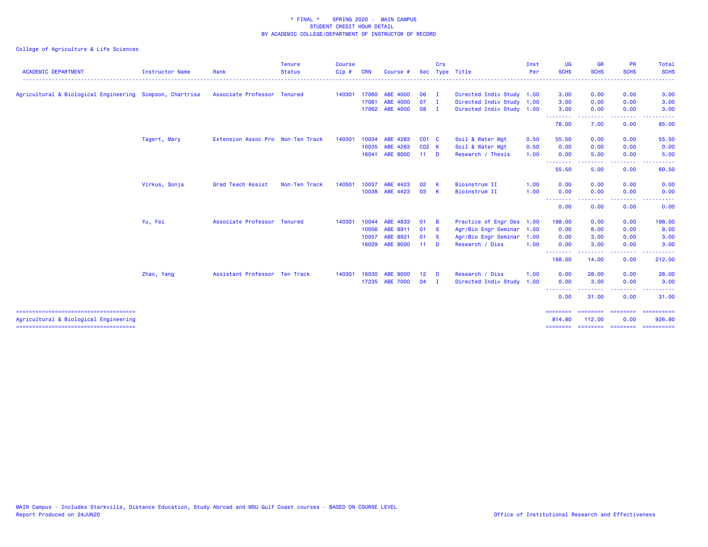| <b>ACADEMIC DEPARTMENT</b>                               | <b>Instructor Name</b> | Rank                              | <b>Tenure</b><br><b>Status</b> | Course<br>$Cip$ # | CRN   | Course #        | <b>Sec</b>      | Crs            | Type Title                | Inst<br>Per | <b>UG</b><br><b>SCHS</b>    | <b>GR</b><br><b>SCHS</b> | <b>PR</b><br><b>SCHS</b> | Total<br><b>SCHS</b> |
|----------------------------------------------------------|------------------------|-----------------------------------|--------------------------------|-------------------|-------|-----------------|-----------------|----------------|---------------------------|-------------|-----------------------------|--------------------------|--------------------------|----------------------|
|                                                          |                        |                                   |                                |                   |       |                 |                 |                |                           |             |                             |                          |                          |                      |
| Agricultural & Biological Engineering Simpson, Chartrisa |                        | Associate Professor Tenured       |                                | 140301 17060      |       | ABE 4000        | $06$ I          |                | Directed Indiv Study 1.00 |             | 3.00                        | 0.00                     | 0.00                     | 3.00                 |
|                                                          |                        |                                   |                                |                   | 17061 | ABE 4000        | $07$ I          |                | Directed Indiv Study 1.00 |             | 3.00                        | 0.00                     | 0.00                     | 3.00                 |
|                                                          |                        |                                   |                                |                   |       | 17062 ABE 4000  | $08$ I          |                | Directed Indiv Study 1.00 |             | 3.00<br><b></b>             | 0.00                     | 0.00                     | 3.00                 |
|                                                          |                        |                                   |                                |                   |       |                 |                 |                |                           |             | 78.00                       | 7.00                     | 0.00                     | 85.00                |
|                                                          | Tagert, Mary           | Extension Assoc Pro Non-Ten Track |                                | 140301            | 10034 | ABE 4263        | $CO1$ $C$       |                | Soil & Water Mgt          | 0.50        | 55.50                       | 0.00                     | 0.00                     | 55.50                |
|                                                          |                        |                                   |                                |                   | 10035 | ABE 4263        | C02 K           |                | Soil & Water Mgt          | 0.50        | 0.00                        | 0.00                     | 0.00                     | 0.00                 |
|                                                          |                        |                                   |                                |                   | 16041 | <b>ABE 8000</b> | $11$ D          |                | Research / Thesis         | 1.00        | 0.00                        | 5.00<br>. <u>.</u> .     | 0.00<br>.                | 5.00<br>.            |
|                                                          |                        |                                   |                                |                   |       |                 |                 |                |                           |             | .<br>55.50                  | 5.00                     | 0.00                     | 60.50                |
|                                                          | Virkus, Sonja          | Grad Teach Assist                 | Non-Ten Track                  | 140501            | 10037 | ABE 4423        | 02              | <b>K</b>       | Bioinstrum II             | 1.00        | 0.00                        | 0.00                     | 0.00                     | 0.00                 |
|                                                          |                        |                                   |                                |                   |       | 10038 ABE 4423  | 03 K            |                | Bioinstrum II             | 1.00        | 0.00                        | 0.00                     | 0.00                     | 0.00                 |
|                                                          |                        |                                   |                                |                   |       |                 |                 |                |                           |             | --------<br>0.00            | 0.00                     | 0.00                     | 0.00                 |
|                                                          | Yu, Fei                | Associate Professor Tenured       |                                | 140301            | 10044 | ABE 4833        | 01              | B              | Practice of Engr Des 1.00 |             | 198.00                      | 0.00                     | 0.00                     | 198.00               |
|                                                          |                        |                                   |                                |                   | 10056 | ABE 8911        | 01 S            |                | Agr/Bio Engr Seminar 1.00 |             | 0.00                        | 8.00                     | 0.00                     | 8.00                 |
|                                                          |                        |                                   |                                |                   | 10057 | ABE 8921        | 01 S            |                | Agr/Bio Engr Seminar 1.00 |             | 0.00                        | 3.00                     | 0.00                     | 3.00                 |
|                                                          |                        |                                   |                                |                   |       | 16029 ABE 9000  | $11$ D          |                | Research / Diss           | 1.00        | 0.00<br>.                   | 3.00                     | 0.00<br>. <b>. .</b>     | 3.00                 |
|                                                          |                        |                                   |                                |                   |       |                 |                 |                |                           |             | 198.00                      | 14.00                    | 0.00                     | 212.00               |
|                                                          | Zhao, Yang             | Assistant Professor Ten Track     |                                | 140301            | 16030 | <b>ABE 9000</b> | 12 <sup>7</sup> | $\blacksquare$ | Research / Diss           | 1.00        | 0.00                        | 28.00                    | 0.00                     | 28.00                |
|                                                          |                        |                                   |                                |                   |       | 17235 ABE 7000  | $04$ I          |                | Directed Indiv Study 1.00 |             | 0.00                        | 3.00                     | 0.00                     | 3.00                 |
|                                                          |                        |                                   |                                |                   |       |                 |                 |                |                           |             | .<br>0.00                   | 31.00                    | 0.00                     | 31.00                |
| Agricultural & Biological Engineering                    |                        |                                   |                                |                   |       |                 |                 |                |                           |             | $=$ = = = = = = =<br>814.80 | ========<br>112.00       | ========<br>0.00         | ==========<br>926.80 |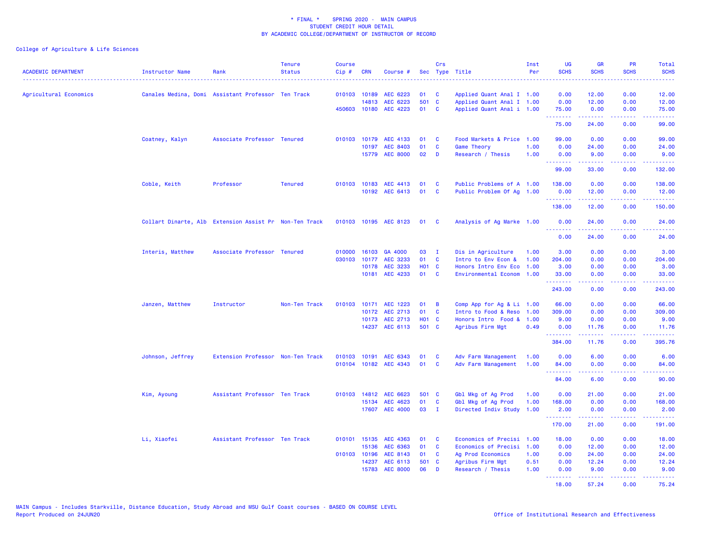| <b>ACADEMIC DEPARTMENT</b> | Instructor Name  | Rank                                                   | <b>Tenure</b><br><b>Status</b> | <b>Course</b><br>Cip# | <b>CRN</b>   | Course #              |                   | Crs          | Sec Type Title            | Inst<br>Per | <b>UG</b><br><b>SCHS</b> | <b>GR</b><br><b>SCHS</b>                                                                                                                                                                                                                                                                                                                                                                                                                                                                        | PR<br><b>SCHS</b>                   | Total<br><b>SCHS</b><br>2222.                                                                                                                                |
|----------------------------|------------------|--------------------------------------------------------|--------------------------------|-----------------------|--------------|-----------------------|-------------------|--------------|---------------------------|-------------|--------------------------|-------------------------------------------------------------------------------------------------------------------------------------------------------------------------------------------------------------------------------------------------------------------------------------------------------------------------------------------------------------------------------------------------------------------------------------------------------------------------------------------------|-------------------------------------|--------------------------------------------------------------------------------------------------------------------------------------------------------------|
| Agricultural Economics     |                  | Canales Medina, Domi Assistant Professor Ten Track     |                                |                       | 010103 10189 | AEC 6223              | 01                | <b>C</b>     | Applied Quant Anal I 1.00 |             | 0.00                     | 12.00                                                                                                                                                                                                                                                                                                                                                                                                                                                                                           | 0.00                                | 12.00                                                                                                                                                        |
|                            |                  |                                                        |                                |                       | 14813        | AEC 6223              | 501               | $\mathbf{C}$ | Applied Quant Anal I 1.00 |             | 0.00                     | 12.00                                                                                                                                                                                                                                                                                                                                                                                                                                                                                           | 0.00                                | 12.00                                                                                                                                                        |
|                            |                  |                                                        |                                |                       |              | 450603 10180 AEC 4223 | 01                | <b>C</b>     | Applied Quant Anal i 1.00 |             | 75.00<br><u>.</u>        | 0.00<br>2.2.2.2.2.2.2                                                                                                                                                                                                                                                                                                                                                                                                                                                                           | 0.00<br>22222                       | 75.00<br>.                                                                                                                                                   |
|                            |                  |                                                        |                                |                       |              |                       |                   |              |                           |             | 75.00                    | 24.00                                                                                                                                                                                                                                                                                                                                                                                                                                                                                           | 0.00                                | 99.00                                                                                                                                                        |
|                            | Coatney, Kalyn   | Associate Professor Tenured                            |                                | 010103                |              | 10179 AEC 4133        | 01                | C            | Food Markets & Price 1.00 |             | 99.00                    | 0.00                                                                                                                                                                                                                                                                                                                                                                                                                                                                                            | 0.00                                | 99.00                                                                                                                                                        |
|                            |                  |                                                        |                                |                       | 10197        | <b>AEC 8403</b>       | 01                | C            | Game Theory               | 1.00        | 0.00                     | 24.00                                                                                                                                                                                                                                                                                                                                                                                                                                                                                           | 0.00                                | 24.00                                                                                                                                                        |
|                            |                  |                                                        |                                |                       |              | 15779 AEC 8000        | 02                | D            | Research / Thesis         | 1.00        | 0.00<br>.                | 9.00<br>المستمدة                                                                                                                                                                                                                                                                                                                                                                                                                                                                                | 0.00<br>.                           | 9.00<br>.                                                                                                                                                    |
|                            |                  |                                                        |                                |                       |              |                       |                   |              |                           |             | 99.00                    | 33.00                                                                                                                                                                                                                                                                                                                                                                                                                                                                                           | 0.00                                | 132.00                                                                                                                                                       |
|                            | Coble, Keith     | Professor                                              | <b>Tenured</b>                 |                       | 010103 10183 | AEC 4413              | 01                | <b>C</b>     | Public Problems of A 1.00 |             | 138.00                   | 0.00                                                                                                                                                                                                                                                                                                                                                                                                                                                                                            | 0.00                                | 138.00                                                                                                                                                       |
|                            |                  |                                                        |                                |                       |              | 10192 AEC 6413        | 01                | <b>C</b>     | Public Problem Of Ag 1.00 |             | 0.00                     | 12.00                                                                                                                                                                                                                                                                                                                                                                                                                                                                                           | 0.00                                | 12.00                                                                                                                                                        |
|                            |                  |                                                        |                                |                       |              |                       |                   |              |                           |             | <b>.</b> .<br>138.00     | $\begin{array}{cccccccccc} \multicolumn{2}{c}{} & \multicolumn{2}{c}{} & \multicolumn{2}{c}{} & \multicolumn{2}{c}{} & \multicolumn{2}{c}{} & \multicolumn{2}{c}{} & \multicolumn{2}{c}{} & \multicolumn{2}{c}{} & \multicolumn{2}{c}{} & \multicolumn{2}{c}{} & \multicolumn{2}{c}{} & \multicolumn{2}{c}{} & \multicolumn{2}{c}{} & \multicolumn{2}{c}{} & \multicolumn{2}{c}{} & \multicolumn{2}{c}{} & \multicolumn{2}{c}{} & \multicolumn{2}{c}{} & \multicolumn{2}{c}{} & \mult$<br>12.00 | المتمامية<br>0.00                   | .<br>150.00                                                                                                                                                  |
|                            |                  | Collart Dinarte, Alb Extension Assist Pr Non-Ten Track |                                |                       |              | 010103 10195 AEC 8123 | 01                | $\mathbf{C}$ | Analysis of Ag Marke 1.00 |             | 0.00<br><u>.</u>         | 24.00<br><b><i><u><u>.</u></u></i></b>                                                                                                                                                                                                                                                                                                                                                                                                                                                          | 0.00<br>.                           | 24.00<br><u>.</u>                                                                                                                                            |
|                            |                  |                                                        |                                |                       |              |                       |                   |              |                           |             | 0.00                     | 24.00                                                                                                                                                                                                                                                                                                                                                                                                                                                                                           | 0.00                                | 24.00                                                                                                                                                        |
|                            | Interis, Matthew | Associate Professor Tenured                            |                                | 010000                |              | 16103 GA 4000         | 03                | $\mathbf{I}$ | Dis in Agriculture        | 1.00        | 3.00                     | 0.00                                                                                                                                                                                                                                                                                                                                                                                                                                                                                            | 0.00                                | 3.00                                                                                                                                                         |
|                            |                  |                                                        |                                | 030103                | 10177        | AEC 3233              | 01                | <b>C</b>     | Intro to Env Econ &       | 1.00        | 204.00                   | 0.00                                                                                                                                                                                                                                                                                                                                                                                                                                                                                            | 0.00                                | 204.00                                                                                                                                                       |
|                            |                  |                                                        |                                |                       | 10178        | AEC 3233              | H <sub>01</sub> C |              | Honors Intro Env Eco 1.00 |             | 3.00                     | 0.00                                                                                                                                                                                                                                                                                                                                                                                                                                                                                            | 0.00                                | 3.00                                                                                                                                                         |
|                            |                  |                                                        |                                |                       | 10181        | AEC 4233              | 01                | <b>C</b>     | Environmental Econom      | 1.00        | 33.00<br><b>.</b> .      | 0.00<br>22222                                                                                                                                                                                                                                                                                                                                                                                                                                                                                   | 0.00<br>.                           | 33.00<br>.                                                                                                                                                   |
|                            |                  |                                                        |                                |                       |              |                       |                   |              |                           |             | 243.00                   | 0.00                                                                                                                                                                                                                                                                                                                                                                                                                                                                                            | 0.00                                | 243.00                                                                                                                                                       |
|                            | Janzen, Matthew  | Instructor                                             | Non-Ten Track                  | 010103                | 10171        | AEC 1223              | 01                | B            | Comp App for Ag & Li 1.00 |             | 66.00                    | 0.00                                                                                                                                                                                                                                                                                                                                                                                                                                                                                            | 0.00                                | 66.00                                                                                                                                                        |
|                            |                  |                                                        |                                |                       |              | 10172 AEC 2713        | 01                | <b>C</b>     | Intro to Food & Reso 1.00 |             | 309.00                   | 0.00                                                                                                                                                                                                                                                                                                                                                                                                                                                                                            | 0.00                                | 309.00                                                                                                                                                       |
|                            |                  |                                                        |                                |                       |              | 10173 AEC 2713        | H01 C             |              | Honors Intro Food & 1.00  |             | 9.00                     | 0.00                                                                                                                                                                                                                                                                                                                                                                                                                                                                                            | 0.00                                | 9.00                                                                                                                                                         |
|                            |                  |                                                        |                                |                       | 14237        | AEC 6113              | 501 C             |              | Agribus Firm Mgt          | 0.49        | 0.00<br>.                | 11.76<br>$\frac{1}{2} \left( \frac{1}{2} \right) \left( \frac{1}{2} \right) \left( \frac{1}{2} \right) \left( \frac{1}{2} \right) \left( \frac{1}{2} \right)$                                                                                                                                                                                                                                                                                                                                   | 0.00<br>المتحدث                     | 11.76<br>.                                                                                                                                                   |
|                            |                  |                                                        |                                |                       |              |                       |                   |              |                           |             | 384.00                   | 11.76                                                                                                                                                                                                                                                                                                                                                                                                                                                                                           | 0.00                                | 395.76                                                                                                                                                       |
|                            | Johnson, Jeffrey | Extension Professor Non-Ten Track                      |                                | 010103                | 10191        | AEC 6343              | 01                | <b>C</b>     | Adv Farm Management       | 1.00        | 0.00                     | 6.00                                                                                                                                                                                                                                                                                                                                                                                                                                                                                            | 0.00                                | 6.00                                                                                                                                                         |
|                            |                  |                                                        |                                |                       |              | 010104 10182 AEC 4343 | 01                | <b>C</b>     | Adv Farm Management       | 1.00        | 84.00<br>.               | 0.00<br>.                                                                                                                                                                                                                                                                                                                                                                                                                                                                                       | 0.00<br>د د د د د                   | 84.00<br>.                                                                                                                                                   |
|                            |                  |                                                        |                                |                       |              |                       |                   |              |                           |             | 84.00                    | 6.00                                                                                                                                                                                                                                                                                                                                                                                                                                                                                            | 0.00                                | 90.00                                                                                                                                                        |
|                            | Kim, Ayoung      | Assistant Professor Ten Track                          |                                |                       | 010103 14812 | AEC 6623              | 501 C             |              | Gbl Mkg of Ag Prod        | 1.00        | 0.00                     | 21.00                                                                                                                                                                                                                                                                                                                                                                                                                                                                                           | 0.00                                | 21.00                                                                                                                                                        |
|                            |                  |                                                        |                                |                       | 15134        | AEC 4623              | 01                | <b>C</b>     | Gbl Mkg of Ag Prod        | 1.00        | 168.00                   | 0.00                                                                                                                                                                                                                                                                                                                                                                                                                                                                                            | 0.00                                | 168.00                                                                                                                                                       |
|                            |                  |                                                        |                                |                       |              | 17607 AEC 4000        | 03 I              |              | Directed Indiv Study 1.00 |             | 2.00<br>.                | 0.00                                                                                                                                                                                                                                                                                                                                                                                                                                                                                            | 0.00<br>$\sim$ $\sim$ $\sim$ $\sim$ | 2.00<br>$\frac{1}{2} \left( \frac{1}{2} \right) \left( \frac{1}{2} \right) \left( \frac{1}{2} \right) \left( \frac{1}{2} \right) \left( \frac{1}{2} \right)$ |
|                            |                  |                                                        |                                |                       |              |                       |                   |              |                           |             | 170.00                   | 21.00                                                                                                                                                                                                                                                                                                                                                                                                                                                                                           | 0.00                                | 191.00                                                                                                                                                       |
|                            | Li, Xiaofei      | Assistant Professor Ten Track                          |                                |                       |              | 010101 15135 AEC 4363 | 01                | <b>C</b>     | Economics of Precisi      | 1.00        | 18.00                    | 0.00                                                                                                                                                                                                                                                                                                                                                                                                                                                                                            | 0.00                                | 18.00                                                                                                                                                        |
|                            |                  |                                                        |                                |                       | 15136        | AEC 6363              | 01                | <b>C</b>     | Economics of Precisi      | 1.00        | 0.00                     | 12.00                                                                                                                                                                                                                                                                                                                                                                                                                                                                                           | 0.00                                | 12.00                                                                                                                                                        |
|                            |                  |                                                        |                                | 010103 10196          |              | AEC 8143              | 01                | <b>C</b>     | Ag Prod Economics         | 1.00        | 0.00                     | 24.00                                                                                                                                                                                                                                                                                                                                                                                                                                                                                           | 0.00                                | 24.00                                                                                                                                                        |
|                            |                  |                                                        |                                |                       | 14237        | AEC 6113              | 501 C             |              | Agribus Firm Mgt          | 0.51        | 0.00                     | 12.24                                                                                                                                                                                                                                                                                                                                                                                                                                                                                           | 0.00                                | 12.24                                                                                                                                                        |
|                            |                  |                                                        |                                |                       | 15783        | <b>AEC 8000</b>       | 06                | D            | Research / Thesis         | 1.00        | 0.00<br>.                | 9.00<br>2.2.2.2.2                                                                                                                                                                                                                                                                                                                                                                                                                                                                               | 0.00<br>22222                       | 9.00<br>22222                                                                                                                                                |
|                            |                  |                                                        |                                |                       |              |                       |                   |              |                           |             | 18.00                    | 57.24                                                                                                                                                                                                                                                                                                                                                                                                                                                                                           | 0.00                                | 75.24                                                                                                                                                        |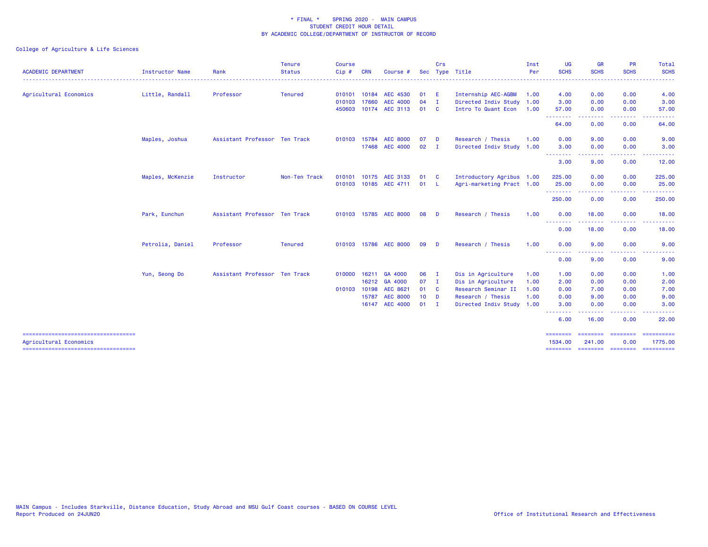|                                                               |                        |                               | <b>Tenure</b>  | <b>Course</b> |            |                       |              | Crs            |                           | Inst | <b>UG</b>                                                                                                                                | <b>GR</b>                                                                                                                                                    | <b>PR</b>                                                                                              | Total                 |
|---------------------------------------------------------------|------------------------|-------------------------------|----------------|---------------|------------|-----------------------|--------------|----------------|---------------------------|------|------------------------------------------------------------------------------------------------------------------------------------------|--------------------------------------------------------------------------------------------------------------------------------------------------------------|--------------------------------------------------------------------------------------------------------|-----------------------|
| <b>ACADEMIC DEPARTMENT</b>                                    | <b>Instructor Name</b> | Rank                          | <b>Status</b>  | Cip#          | <b>CRN</b> | Course                |              |                | Sec Type Title            | Per  | <b>SCHS</b>                                                                                                                              | <b>SCHS</b>                                                                                                                                                  | <b>SCHS</b>                                                                                            | <b>SCHS</b><br>-----  |
| Agricultural Economics                                        | Little, Randall        | Professor                     | <b>Tenured</b> | 010101        | 10184      | <b>AEC 4530</b>       | 01           | -E             | Internship AEC-AGBM       | 1.00 | 4.00                                                                                                                                     | 0.00                                                                                                                                                         | 0.00                                                                                                   | 4.00                  |
|                                                               |                        |                               |                | 010103        | 17660      | <b>AEC 4000</b>       | 04           | $\mathbf{I}$   | Directed Indiv Study      | 1.00 | 3.00                                                                                                                                     | 0.00                                                                                                                                                         | 0.00                                                                                                   | 3.00                  |
|                                                               |                        |                               |                | 450603        |            | 10174 AEC 3113        | 01           | <b>C</b>       | Intro To Quant Econ       | 1.00 | 57.00<br>.                                                                                                                               | 0.00<br>.                                                                                                                                                    | 0.00<br>.                                                                                              | 57.00<br>. <b>.</b>   |
|                                                               |                        |                               |                |               |            |                       |              |                |                           |      | 64.00                                                                                                                                    | 0.00                                                                                                                                                         | 0.00                                                                                                   | 64.00                 |
|                                                               | Maples, Joshua         | Assistant Professor Ten Track |                | 010103        | 15784      | <b>AEC 8000</b>       | 07           | <b>D</b>       | Research / Thesis         | 1.00 | 0.00                                                                                                                                     | 9.00                                                                                                                                                         | 0.00                                                                                                   | 9.00                  |
|                                                               |                        |                               |                |               | 17468      | <b>AEC 4000</b>       | 02           | $\blacksquare$ | Directed Indiv Study 1.00 |      | 3.00<br>.                                                                                                                                | 0.00<br>$\frac{1}{2} \left( \frac{1}{2} \right) \left( \frac{1}{2} \right) \left( \frac{1}{2} \right) \left( \frac{1}{2} \right) \left( \frac{1}{2} \right)$ | 0.00<br>$\frac{1}{2} \left( \frac{1}{2} \right) \left( \frac{1}{2} \right) \left( \frac{1}{2} \right)$ | 3.00                  |
|                                                               |                        |                               |                |               |            |                       |              |                |                           |      | 3.00                                                                                                                                     | 9.00                                                                                                                                                         | 0.00                                                                                                   | 12.00                 |
|                                                               | Maples, McKenzie       | Instructor                    | Non-Ten Track  | 010101        |            | 10175 AEC 3133        | 01           | - C            | Introductory Agribus 1.00 |      | 225.00                                                                                                                                   | 0.00                                                                                                                                                         | 0.00                                                                                                   | 225.00                |
|                                                               |                        |                               |                |               |            | 010103 10185 AEC 4711 | 01           | - L            | Agri-marketing Pract 1.00 |      | 25.00<br>.                                                                                                                               | 0.00                                                                                                                                                         | 0.00                                                                                                   | 25.00                 |
|                                                               |                        |                               |                |               |            |                       |              |                |                           |      | 250.00                                                                                                                                   | 0.00                                                                                                                                                         | 0.00                                                                                                   | 250.00                |
|                                                               | Park, Eunchun          | Assistant Professor Ten Track |                |               |            | 010103 15785 AEC 8000 | 08           | - D            | Research / Thesis         | 1.00 | 0.00                                                                                                                                     | 18.00                                                                                                                                                        | 0.00                                                                                                   | 18.00                 |
|                                                               |                        |                               |                |               |            |                       |              |                |                           |      | --------<br>0.00                                                                                                                         | 18.00                                                                                                                                                        | 0.00                                                                                                   | 18.00                 |
|                                                               | Petrolia, Daniel       | Professor                     | <b>Tenured</b> |               |            | 010103 15786 AEC 8000 | 09           | - D            | Research / Thesis         | 1.00 | 0.00                                                                                                                                     | 9.00                                                                                                                                                         | 0.00                                                                                                   | 9.00                  |
|                                                               |                        |                               |                |               |            |                       |              |                |                           |      | <u> - - - - - - - -</u><br>0.00                                                                                                          | 9.00                                                                                                                                                         | 0.00                                                                                                   | 9.00                  |
|                                                               | Yun, Seong Do          | Assistant Professor Ten Track |                | 010000        | 16211      | GA 4000               | 06           | $\mathbf I$    | Dis in Agriculture        | 1.00 | 1.00                                                                                                                                     | 0.00                                                                                                                                                         | 0.00                                                                                                   | 1.00                  |
|                                                               |                        |                               |                |               |            | 16212 GA 4000         | 07           | $\blacksquare$ | Dis in Agriculture        | 1.00 | 2.00                                                                                                                                     | 0.00                                                                                                                                                         | 0.00                                                                                                   | 2.00                  |
|                                                               |                        |                               |                | 010103        | 10198      | AEC 8621              | 01 C         |                | Research Seminar II       | 1.00 | 0.00                                                                                                                                     | 7.00                                                                                                                                                         | 0.00                                                                                                   | 7.00                  |
|                                                               |                        |                               |                |               |            | 15787 AEC 8000        | $10$ D       |                | Research / Thesis         | 1.00 | 0.00                                                                                                                                     | 9.00                                                                                                                                                         | 0.00                                                                                                   | 9.00                  |
|                                                               |                        |                               |                |               |            | 16147 AEC 4000        | $01 \quad I$ |                | Directed Indiv Study 1.00 |      | 3.00<br>---<br>$\frac{1}{2} \left( \frac{1}{2} \right) \left( \frac{1}{2} \right) \left( \frac{1}{2} \right) \left( \frac{1}{2} \right)$ | 0.00                                                                                                                                                         | 0.00                                                                                                   | 3.00                  |
|                                                               |                        |                               |                |               |            |                       |              |                |                           |      | 6.00                                                                                                                                     | 16.00                                                                                                                                                        | 0.00                                                                                                   | 22.00                 |
| -----------------------------------<br>Agricultural Economics |                        |                               |                |               |            |                       |              |                |                           |      | --------<br>1534.00                                                                                                                      | .<br>241.00                                                                                                                                                  | ---------<br>0.00                                                                                      | ==========<br>1775.00 |
|                                                               |                        |                               |                |               |            |                       |              |                |                           |      | <b>SESSESSE</b>                                                                                                                          | <b>ESSESSEE</b>                                                                                                                                              | ---------                                                                                              | ==========            |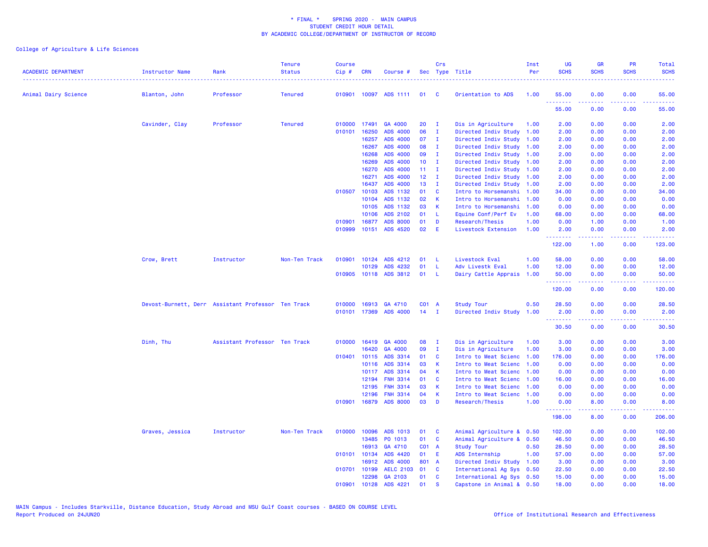| <b>ACADEMIC DEPARTMENT</b> | <b>Instructor Name</b>                             | Rank                          | <b>Tenure</b><br><b>Status</b> | <b>Course</b><br>Cip# | <b>CRN</b>   | Course #              | Sec             | Crs          | Type Title                | Inst<br>Per | <b>UG</b><br><b>SCHS</b> | <b>GR</b><br><b>SCHS</b> | PR<br><b>SCHS</b>     | Total<br><b>SCHS</b>                       |
|----------------------------|----------------------------------------------------|-------------------------------|--------------------------------|-----------------------|--------------|-----------------------|-----------------|--------------|---------------------------|-------------|--------------------------|--------------------------|-----------------------|--------------------------------------------|
| Animal Dairy Science       | Blanton, John                                      | Professor                     | <b>Tenured</b>                 |                       |              | 010901 10097 ADS 1111 | 01              | <b>C</b>     | Orientation to ADS        | 1.00        | 55.00                    | 0.00                     | 0.00                  | 55.00                                      |
|                            |                                                    |                               |                                |                       |              |                       |                 |              |                           |             | 55.00                    | 0.00                     | 0.00                  | 55.00                                      |
|                            | Cavinder, Clay                                     | Professor                     | <b>Tenured</b>                 | 010000                | 17491        | GA 4000               | 20              | $\mathbf{I}$ | Dis in Agriculture        | 1.00        | 2.00                     | 0.00                     | 0.00                  | 2.00                                       |
|                            |                                                    |                               |                                | 010101                | 16250        | ADS 4000              | 06              | $\mathbf{I}$ | Directed Indiv Study      | 1.00        | 2.00                     | 0.00                     | 0.00                  | 2.00                                       |
|                            |                                                    |                               |                                |                       | 16257        | <b>ADS 4000</b>       | 07              | Ι.           | Directed Indiv Study      | 1.00        | 2.00                     | 0.00                     | 0.00                  | 2.00                                       |
|                            |                                                    |                               |                                |                       | 16267        | <b>ADS 4000</b>       | 08              | п.           | Directed Indiv Study      | 1.00        | 2.00                     | 0.00                     | 0.00                  | 2.00                                       |
|                            |                                                    |                               |                                |                       | 16268        | <b>ADS 4000</b>       | 09              | $\mathbf{I}$ | Directed Indiv Study      | 1.00        | 2.00                     | 0.00                     | 0.00                  | 2.00                                       |
|                            |                                                    |                               |                                |                       | 16269        | <b>ADS 4000</b>       | 10              | $\mathbf{I}$ | Directed Indiv Study      | 1.00        | 2.00                     | 0.00                     | 0.00                  | 2.00                                       |
|                            |                                                    |                               |                                |                       | 16270        | <b>ADS 4000</b>       | 11              | л.           | Directed Indiv Study      | 1.00        | 2.00                     | 0.00                     | 0.00                  | 2.00                                       |
|                            |                                                    |                               |                                |                       | 16271        | ADS 4000              | 12 <sub>2</sub> | Ι.           | Directed Indiv Study      | 1.00        | 2.00                     | 0.00                     | 0.00                  | 2.00                                       |
|                            |                                                    |                               |                                |                       | 16437        | ADS 4000              | 13              | $\mathbf{I}$ | Directed Indiv Study      | 1.00        | 2.00                     | 0.00                     | 0.00                  | 2.00                                       |
|                            |                                                    |                               |                                | 010507                | 10103        | ADS 1132              | 01              | C            | Intro to Horsemanshi      | 1.00        | 34.00                    | 0.00                     | 0.00                  | 34.00                                      |
|                            |                                                    |                               |                                |                       | 10104        | ADS 1132              | 02              | K            | Intro to Horsemanshi      | 1.00        | 0.00                     | 0.00                     | 0.00                  | 0.00                                       |
|                            |                                                    |                               |                                |                       | 10105        | ADS 1132              | 03              | K            | Intro to Horsemanshi      | 1.00        | 0.00                     | 0.00                     | 0.00                  | 0.00                                       |
|                            |                                                    |                               |                                |                       | 10106        | ADS 2102              | 01              | -L.          | Equine Conf/Perf Ev       | 1.00        | 68.00                    | 0.00                     | 0.00                  | 68.00                                      |
|                            |                                                    |                               |                                | 010901                | 16877        | <b>ADS 8000</b>       | 01              | D            | Research/Thesis           | 1.00        | 0.00                     | 1.00                     | 0.00                  | 1.00                                       |
|                            |                                                    |                               |                                | 010999                | 10151        | ADS 4520              | 02              | E            | Livestock Extension       | 1.00        | 2.00<br>.                | 0.00<br>.                | 0.00<br>الدائد الدائد | 2.00<br>$\sim$ $\sim$ $\sim$ $\sim$ $\sim$ |
|                            |                                                    |                               |                                |                       |              |                       |                 |              |                           |             | 122.00                   | 1.00                     | 0.00                  | 123.00                                     |
|                            | Crow, Brett                                        | Instructor                    | Non-Ten Track                  | 010901                | 10124        | ADS 4212              | 01              | -L           | Livestock Eval            | 1.00        | 58.00                    | 0.00                     | 0.00                  | 58.00                                      |
|                            |                                                    |                               |                                |                       | 10129        | ADS 4232              | 01              | <b>L</b>     | Adv Livestk Eval          | 1.00        | 12.00                    | 0.00                     | 0.00                  | 12.00                                      |
|                            |                                                    |                               |                                |                       |              | 010905 10118 ADS 3812 | 01              | -L           | Dairy Cattle Apprais 1.00 |             | 50.00<br><u>.</u>        | 0.00<br>-----            | 0.00<br>.             | 50.00<br>.                                 |
|                            |                                                    |                               |                                |                       |              |                       |                 |              |                           |             | 120.00                   | 0.00                     | 0.00                  | 120.00                                     |
|                            | Devost-Burnett, Derr Assistant Professor Ten Track |                               |                                | 010000                | 16913        | GA 4710               | C01 A           |              | <b>Study Tour</b>         | 0.50        | 28.50                    | 0.00                     | 0.00                  | 28.50                                      |
|                            |                                                    |                               |                                | 010101                | 17369        | <b>ADS 4000</b>       | 14              | $\mathbf{I}$ | Directed Indiv Study      | 1.00        | 2.00<br><b></b>          | 0.00                     | 0.00                  | 2.00                                       |
|                            |                                                    |                               |                                |                       |              |                       |                 |              |                           |             | 30.50                    | 0.00                     | 0.00                  | 30.50                                      |
|                            | Dinh, Thu                                          | Assistant Professor Ten Track |                                |                       | 010000 16419 | GA 4000               | 08              | Ι.           | Dis in Agriculture        | 1.00        | 3.00                     | 0.00                     | 0.00                  | 3.00                                       |
|                            |                                                    |                               |                                |                       | 16420        | GA 4000               | 09              | $\mathbf{I}$ | Dis in Agriculture        | 1.00        | 3.00                     | 0.00                     | 0.00                  | 3.00                                       |
|                            |                                                    |                               |                                | 010401                | 10115        | ADS 3314              | 01              | C            | Intro to Meat Scienc      | 1.00        | 176.00                   | 0.00                     | 0.00                  | 176.00                                     |
|                            |                                                    |                               |                                |                       | 10116        | ADS 3314              | 03              | K            | Intro to Meat Scienc      | 1.00        | 0.00                     | 0.00                     | 0.00                  | 0.00                                       |
|                            |                                                    |                               |                                |                       | 10117        | ADS 3314              | 04              | K            | Intro to Meat Scienc      | 1.00        | 0.00                     | 0.00                     | 0.00                  | 0.00                                       |
|                            |                                                    |                               |                                |                       | 12194        | <b>FNH 3314</b>       | 01              | <b>C</b>     | Intro to Meat Scienc      | 1.00        | 16.00                    | 0.00                     | 0.00                  | 16.00                                      |
|                            |                                                    |                               |                                |                       | 12195        | <b>FNH 3314</b>       | 03              | K            | Intro to Meat Scienc      | 1.00        | 0.00                     | 0.00                     | 0.00                  | 0.00                                       |
|                            |                                                    |                               |                                |                       | 12196        | <b>FNH 3314</b>       | 04              | $\mathsf K$  | Intro to Meat Scienc      | 1.00        | 0.00                     | 0.00                     | 0.00                  | 0.00                                       |
|                            |                                                    |                               |                                | 010901                | 16879        | <b>ADS 8000</b>       | 03              | D            | Research/Thesis           | 1.00        | 0.00<br>.                | 8.00                     | 0.00                  | 8.00                                       |
|                            |                                                    |                               |                                |                       |              |                       |                 |              |                           |             | 198.00                   | 8.00                     | 0.00                  | 206.00                                     |
|                            | Graves, Jessica                                    | Instructor                    | Non-Ten Track                  | 010000                | 10096        | ADS 1013              | 01              | C            | Animal Agriculture & 0.50 |             | 102.00                   | 0.00                     | 0.00                  | 102.00                                     |
|                            |                                                    |                               |                                |                       | 13485        | PO 1013               | 01              | C            | Animal Agriculture & 0.50 |             | 46.50                    | 0.00                     | 0.00                  | 46.50                                      |
|                            |                                                    |                               |                                |                       | 16913        | GA 4710               | C01 A           |              | Study Tour                | 0.50        | 28.50                    | 0.00                     | 0.00                  | 28.50                                      |
|                            |                                                    |                               |                                | 010101                | 10134        | ADS 4420              | 01              | -E           | ADS Internship            | 1.00        | 57.00                    | 0.00                     | 0.00                  | 57.00                                      |
|                            |                                                    |                               |                                |                       | 16912        | <b>ADS 4000</b>       | 801             | <b>A</b>     | Directed Indiv Study      | 1.00        | 3.00                     | 0.00                     | 0.00                  | 3.00                                       |
|                            |                                                    |                               |                                | 010701                | 10199        | AELC 2103 01          |                 | <b>C</b>     | International Ag Sys 0.50 |             | 22.50                    | 0.00                     | 0.00                  | 22.50                                      |
|                            |                                                    |                               |                                |                       | 12298        | GA 2103               | 01              | C            | International Ag Sys 0.50 |             | 15.00                    | 0.00                     | 0.00                  | 15.00                                      |
|                            |                                                    |                               |                                | 010901                | 10128        | ADS 4221              | 01              | $\mathbf{s}$ | Capstone in Animal & 0.50 |             | 18.00                    | 0.00                     | 0.00                  | 18.00                                      |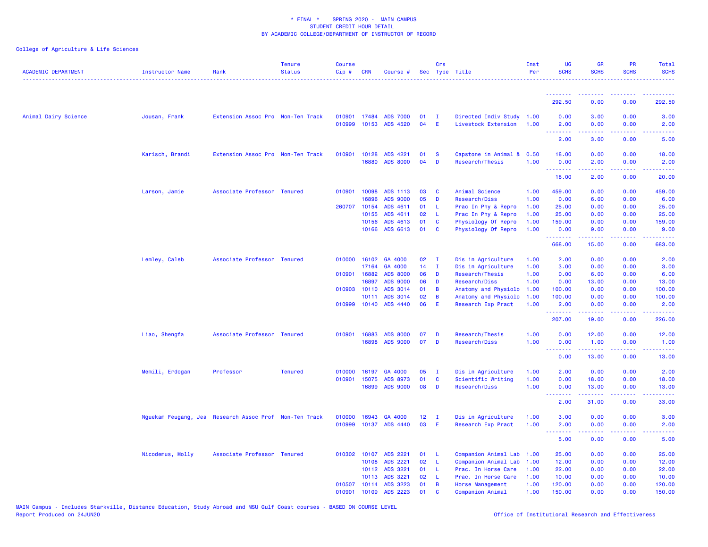| <b>ACADEMIC DEPARTMENT</b> | Instructor Name                                        | Rank                              | <b>Tenure</b><br><b>Status</b> | <b>Course</b><br>Cip# | <b>CRN</b>   | Course #             |                 | Crs          | Sec Type Title                               | Inst<br>Per  | <b>UG</b><br><b>SCHS</b>                                   | <b>GR</b><br><b>SCHS</b>           | <b>PR</b><br><b>SCHS</b>            | Total<br><b>SCHS</b>                                                                                                                                           |
|----------------------------|--------------------------------------------------------|-----------------------------------|--------------------------------|-----------------------|--------------|----------------------|-----------------|--------------|----------------------------------------------|--------------|------------------------------------------------------------|------------------------------------|-------------------------------------|----------------------------------------------------------------------------------------------------------------------------------------------------------------|
|                            |                                                        |                                   |                                |                       |              |                      |                 |              |                                              |              | <u> - - - - - - - -</u>                                    |                                    | $  -$                               |                                                                                                                                                                |
|                            |                                                        |                                   |                                |                       |              |                      |                 |              |                                              |              | 292.50                                                     | 0.00                               | 0.00                                | 292.50                                                                                                                                                         |
| Animal Dairy Science       | Jousan, Frank                                          | Extension Assoc Pro Non-Ten Track |                                | 010901                | 17484        | <b>ADS 7000</b>      | 01              | $\mathbf{I}$ | Directed Indiv Study 1.00                    |              | 0.00                                                       | 3.00                               | 0.00                                | 3.00                                                                                                                                                           |
|                            |                                                        |                                   |                                | 010999                |              | 10153 ADS 4520       | 04              | E            | Livestock Extension                          | 1.00         | 2.00<br>.                                                  | 0.00<br>.                          | 0.00<br>$\sim$ $\sim$ $\sim$ $\sim$ | 2.00<br>.                                                                                                                                                      |
|                            |                                                        |                                   |                                |                       |              |                      |                 |              |                                              |              | 2.00                                                       | 3.00                               | 0.00                                | 5.00                                                                                                                                                           |
|                            | Karisch, Brandi                                        | Extension Assoc Pro Non-Ten Track |                                | 010901                | 10128        | ADS 4221             | 01              | <b>S</b>     | Capstone in Animal &                         | 0.50         | 18.00                                                      | 0.00                               | 0.00                                | 18.00                                                                                                                                                          |
|                            |                                                        |                                   |                                |                       | 16880        | <b>ADS 8000</b>      | 04              | D            | Research/Thesis                              | 1.00         | 0.00                                                       | 2.00                               | 0.00                                | 2.00                                                                                                                                                           |
|                            |                                                        |                                   |                                |                       |              |                      |                 |              |                                              |              | .<br>18.00                                                 | .<br>2.00                          | د د د د<br>0.00                     | المتمامين<br>20.00                                                                                                                                             |
|                            | Larson, Jamie                                          | Associate Professor Tenured       |                                | 010901                | 10098        | ADS 1113             | 03              | C            | Animal Science                               | 1.00         | 459.00                                                     | 0.00                               | 0.00                                | 459.00                                                                                                                                                         |
|                            |                                                        |                                   |                                |                       | 16896        | <b>ADS 9000</b>      | 05              | D            | Research/Diss                                | 1.00         | 0.00                                                       | 6.00                               | 0.00                                | 6.00                                                                                                                                                           |
|                            |                                                        |                                   |                                |                       | 260707 10154 | ADS 4611             | 01              | L            | Prac In Phy & Repro                          | 1.00         | 25.00                                                      | 0.00                               | 0.00                                | 25.00                                                                                                                                                          |
|                            |                                                        |                                   |                                |                       | 10155        | ADS 4611             | 02              | -L           | Prac In Phy & Repro                          | 1.00         | 25.00                                                      | 0.00                               | 0.00                                | 25.00                                                                                                                                                          |
|                            |                                                        |                                   |                                |                       | 10156        | ADS 4613             | 01              | C            | Physiology Of Repro                          | 1.00         | 159.00                                                     | 0.00                               | 0.00                                | 159.00                                                                                                                                                         |
|                            |                                                        |                                   |                                |                       |              | 10166 ADS 6613       | 01              | C            | Physiology Of Repro                          | 1.00         | 0.00                                                       | 9.00                               | 0.00                                | 9.00                                                                                                                                                           |
|                            |                                                        |                                   |                                |                       |              |                      |                 |              |                                              |              | .<br>668.00                                                | 22222<br>15.00                     | .<br>0.00                           | $\frac{1}{2} \left( \frac{1}{2} \right) \left( \frac{1}{2} \right) \left( \frac{1}{2} \right) \left( \frac{1}{2} \right) \left( \frac{1}{2} \right)$<br>683.00 |
|                            | Lemley, Caleb                                          | Associate Professor Tenured       |                                |                       | 010000 16102 | GA 4000              | 02              | - I          | Dis in Agriculture                           | 1.00         | 2.00                                                       | 0.00                               | 0.00                                | 2.00                                                                                                                                                           |
|                            |                                                        |                                   |                                |                       | 17164        | GA 4000              | 14              | $\mathbf{I}$ | Dis in Agriculture                           | 1.00         | 3.00                                                       | 0.00                               | 0.00                                | 3.00                                                                                                                                                           |
|                            |                                                        |                                   |                                | 010901                | 16882        | <b>ADS 8000</b>      | 06              | D            | Research/Thesis                              | 1.00         | 0.00                                                       | 6.00                               | 0.00                                | 6.00                                                                                                                                                           |
|                            |                                                        |                                   |                                |                       | 16897        | <b>ADS 9000</b>      | 06              | D            | Research/Diss                                | 1.00         | 0.00                                                       | 13.00                              | 0.00                                | 13.00                                                                                                                                                          |
|                            |                                                        |                                   |                                |                       | 010903 10110 | ADS 3014             | 01              | B            | Anatomy and Physiolo                         | 1.00         | 100.00                                                     | 0.00                               | 0.00                                | 100.00                                                                                                                                                         |
|                            |                                                        |                                   |                                |                       | 10111        | ADS 3014             | 02              | B            | Anatomy and Physiolo                         | 1.00         | 100.00                                                     | 0.00                               | 0.00                                | 100.00                                                                                                                                                         |
|                            |                                                        |                                   |                                |                       | 010999 10140 | ADS 4440             | 06              | Ε            | Research Exp Pract                           | 1.00         | 2.00                                                       | 0.00                               | 0.00                                | 2.00                                                                                                                                                           |
|                            |                                                        |                                   |                                |                       |              |                      |                 |              |                                              |              | .<br>207.00                                                | 19.00                              | 0.00                                | 226.00                                                                                                                                                         |
|                            | Liao, Shengfa                                          | Associate Professor Tenured       |                                |                       | 010901 16883 | <b>ADS 8000</b>      | 07              | D            | Research/Thesis                              | 1.00         | 0.00                                                       | 12.00                              | 0.00                                | 12.00                                                                                                                                                          |
|                            |                                                        |                                   |                                |                       | 16898        | <b>ADS 9000</b>      | 07              | D            | Research/Diss                                | 1.00         | 0.00                                                       | 1.00                               | 0.00                                | 1.00                                                                                                                                                           |
|                            |                                                        |                                   |                                |                       |              |                      |                 |              |                                              |              | <u>.</u><br>0.00                                           | $\omega$ is a $\omega$ in<br>13.00 | بالأباب<br>0.00                     | $\omega_{\rm{eff}}$ and $\omega_{\rm{eff}}$<br>13.00                                                                                                           |
|                            |                                                        |                                   |                                |                       |              |                      |                 |              |                                              |              |                                                            |                                    |                                     |                                                                                                                                                                |
|                            | Memili, Erdogan                                        | Professor                         | <b>Tenured</b>                 | 010000                | 16197        | GA 4000              | 05              | $\mathbf{I}$ | Dis in Agriculture                           | 1.00         | 2.00                                                       | 0.00                               | 0.00                                | 2.00                                                                                                                                                           |
|                            |                                                        |                                   |                                | 010901                | 15075        | ADS 8973             | 01              | C            | Scientific Writing                           | 1.00         | 0.00                                                       | 18.00                              | 0.00                                | 18.00                                                                                                                                                          |
|                            |                                                        |                                   |                                |                       | 16899        | <b>ADS 9000</b>      | 08              | D            | Research/Diss                                | 1.00         | 0.00<br><b><i><u><u><b>Little Little</b></u></u></i></b>   | 13.00<br>22222                     | 0.00<br>والمحامر                    | 13.00<br>$\frac{1}{2} \left( \frac{1}{2} \right) \left( \frac{1}{2} \right) \left( \frac{1}{2} \right) \left( \frac{1}{2} \right)$                             |
|                            |                                                        |                                   |                                |                       |              |                      |                 |              |                                              |              | 2.00                                                       | 31.00                              | 0.00                                | 33.00                                                                                                                                                          |
|                            | Nguekam Feugang, Jea Research Assoc Prof Non-Ten Track |                                   |                                |                       |              | 010000 16943 GA 4000 | 12 <sub>1</sub> | $\mathbf{I}$ | Dis in Agriculture                           | 1.00         | 3.00                                                       | 0.00                               | 0.00                                | 3.00                                                                                                                                                           |
|                            |                                                        |                                   |                                | 010999                |              | 10137 ADS 4440       | 03              | Ε            | Research Exp Pract                           | 1.00         | 2.00                                                       | 0.00                               | 0.00                                | 2.00                                                                                                                                                           |
|                            |                                                        |                                   |                                |                       |              |                      |                 |              |                                              |              | <b><i><u><u><b>A</b></u></u> A A A A A A A</i></b><br>5.00 | 22222<br>0.00                      | .<br>0.00                           | $\frac{1}{2} \left( \frac{1}{2} \right) \left( \frac{1}{2} \right) \left( \frac{1}{2} \right) \left( \frac{1}{2} \right)$<br>5.00                              |
|                            |                                                        | Associate Professor Tenured       |                                |                       | 010302 10107 | ADS 2221             | 01              | <b>L</b>     |                                              |              |                                                            |                                    |                                     |                                                                                                                                                                |
|                            | Nicodemus, Molly                                       |                                   |                                |                       | 10108        | ADS 2221             | 02              | L            | Companion Animal Lab<br>Companion Animal Lab | 1.00<br>1.00 | 25.00<br>12.00                                             | 0.00<br>0.00                       | 0.00<br>0.00                        | 25.00<br>12.00                                                                                                                                                 |
|                            |                                                        |                                   |                                |                       |              | 10112 ADS 3221       | 01              | - L          | Prac. In Horse Care                          | 1.00         | 22.00                                                      | 0.00                               | 0.00                                | 22.00                                                                                                                                                          |
|                            |                                                        |                                   |                                |                       | 10113        | ADS 3221             | 02              | L            | Prac. In Horse Care                          | 1.00         | 10.00                                                      | 0.00                               | 0.00                                | 10.00                                                                                                                                                          |
|                            |                                                        |                                   |                                | 010507                |              | 10114 ADS 3223       | 01              | B            | Horse Management                             | 1.00         | 120.00                                                     | 0.00                               | 0.00                                | 120.00                                                                                                                                                         |
|                            |                                                        |                                   |                                | 010901                | 10109        | ADS 2223             | 01              | $\mathbf{c}$ | <b>Companion Animal</b>                      | 1.00         | 150.00                                                     | 0.00                               | 0.00                                | 150.00                                                                                                                                                         |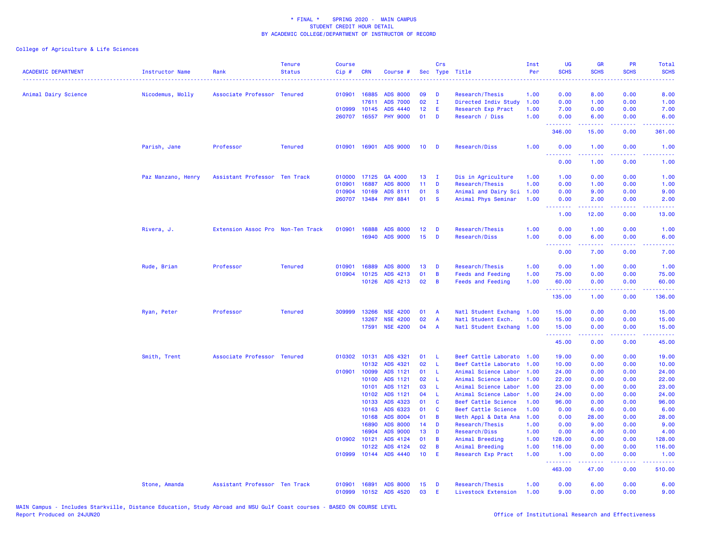| <b>ACADEMIC DEPARTMENT</b> | <b>Instructor Name</b> | Rank                              | <b>Tenure</b><br><b>Status</b> | <b>Course</b><br>Cip# | <b>CRN</b>   | Course #                    | Sec             | Crs            | Type Title                       | Inst<br>Per  | UG<br><b>SCHS</b> | <b>GR</b><br><b>SCHS</b>                                                                                                                                     | <b>PR</b><br><b>SCHS</b>                    | Total<br><b>SCHS</b>                                                                                                                                           |
|----------------------------|------------------------|-----------------------------------|--------------------------------|-----------------------|--------------|-----------------------------|-----------------|----------------|----------------------------------|--------------|-------------------|--------------------------------------------------------------------------------------------------------------------------------------------------------------|---------------------------------------------|----------------------------------------------------------------------------------------------------------------------------------------------------------------|
| Animal Dairy Science       | Nicodemus, Molly       | Associate Professor Tenured       |                                |                       | 010901 16885 | <b>ADS 8000</b>             | 09              | D              | Research/Thesis                  | 1.00         | 0.00              | 8.00                                                                                                                                                         | 0.00                                        | 8.00                                                                                                                                                           |
|                            |                        |                                   |                                |                       | 17611        | <b>ADS 7000</b>             | 02              | $\mathbf{I}$   | Directed Indiv Study             | 1.00         | 0.00              | 1.00                                                                                                                                                         | 0.00                                        | 1.00                                                                                                                                                           |
|                            |                        |                                   |                                |                       | 010999 10145 | ADS 4440                    | 12              | Ε              | Research Exp Pract               | 1.00         | 7.00              | 0.00                                                                                                                                                         | 0.00                                        | 7.00                                                                                                                                                           |
|                            |                        |                                   |                                | 260707                | 16557        | <b>PHY 9000</b>             | 01              | D              | Research / Diss                  | 1.00         | 0.00<br>.         | 6.00<br>22222                                                                                                                                                | 0.00<br>$\sim$ $\sim$ $\sim$ $\sim$         | 6.00<br>.                                                                                                                                                      |
|                            |                        |                                   |                                |                       |              |                             |                 |                |                                  |              | 346.00            | 15.00                                                                                                                                                        | 0.00                                        | 361.00                                                                                                                                                         |
|                            | Parish, Jane           | Professor                         | <b>Tenured</b>                 |                       | 010901 16901 | <b>ADS 9000</b>             | 10 <sub>1</sub> | <b>D</b>       | Research/Diss                    | 1.00         | 0.00<br>.         | 1.00<br>.                                                                                                                                                    | 0.00<br>.                                   | 1.00<br>.                                                                                                                                                      |
|                            |                        |                                   |                                |                       |              |                             |                 |                |                                  |              | 0.00              | 1.00                                                                                                                                                         | 0.00                                        | 1.00                                                                                                                                                           |
|                            | Paz Manzano, Henry     | Assistant Professor Ten Track     |                                | 010000                | 17125        | GA 4000                     | 13              | - 1            | Dis in Agriculture               | 1.00         | 1.00              | 0.00                                                                                                                                                         | 0.00                                        | 1.00                                                                                                                                                           |
|                            |                        |                                   |                                | 010901                | 16887        | <b>ADS 8000</b>             | 11 <sub>1</sub> | D              | Research/Thesis                  | 1.00         | 0.00              | 1.00                                                                                                                                                         | 0.00                                        | 1.00                                                                                                                                                           |
|                            |                        |                                   |                                | 010904                | 10169        | ADS 8111                    | 01              | <b>S</b>       | Animal and Dairy Sci             | 1.00         | 0.00              | 9.00                                                                                                                                                         | 0.00                                        | 9.00                                                                                                                                                           |
|                            |                        |                                   |                                |                       | 260707 13484 | <b>PHY 8841</b>             | 01              | <b>S</b>       | Animal Phys Seminar              | 1.00         | 0.00<br><u>.</u>  | 2.00<br>$\frac{1}{2} \left( \frac{1}{2} \right) \left( \frac{1}{2} \right) \left( \frac{1}{2} \right) \left( \frac{1}{2} \right) \left( \frac{1}{2} \right)$ | 0.00                                        | 2.00                                                                                                                                                           |
|                            |                        |                                   |                                |                       |              |                             |                 |                |                                  |              | 1.00              | 12.00                                                                                                                                                        | 0.00                                        | 13.00                                                                                                                                                          |
|                            | Rivera, J.             | Extension Assoc Pro Non-Ten Track |                                | 010901                | 16888        | <b>ADS 8000</b>             | 12              | D              | Research/Thesis                  | 1.00         | 0.00              | 1.00                                                                                                                                                         | 0.00                                        | 1.00                                                                                                                                                           |
|                            |                        |                                   |                                |                       | 16940        | <b>ADS 9000</b>             | 15              | D              | Research/Diss                    | 1.00         | 0.00              | 6.00                                                                                                                                                         | 0.00                                        | 6.00                                                                                                                                                           |
|                            |                        |                                   |                                |                       |              |                             |                 |                |                                  |              | .                 |                                                                                                                                                              | $\omega_{\rm{eff}}$ and $\omega_{\rm{eff}}$ |                                                                                                                                                                |
|                            |                        |                                   |                                |                       |              |                             |                 |                |                                  |              | 0.00              | 7.00                                                                                                                                                         | 0.00                                        | 7.00                                                                                                                                                           |
|                            | Rude, Brian            | Professor                         | <b>Tenured</b>                 | 010901                | 16889        | <b>ADS 8000</b>             | 13              | D              | Research/Thesis                  | 1.00         | 0.00              | 1.00                                                                                                                                                         | 0.00                                        | 1.00                                                                                                                                                           |
|                            |                        |                                   |                                | 010904                | 10125        | ADS 4213                    | 01              | B              | <b>Feeds and Feeding</b>         | 1.00         | 75.00             | 0.00                                                                                                                                                         | 0.00                                        | 75.00                                                                                                                                                          |
|                            |                        |                                   |                                |                       | 10126        | ADS 4213                    | 02              | B              | <b>Feeds and Feeding</b>         | 1.00         | 60.00<br>.        | 0.00                                                                                                                                                         | 0.00                                        | 60.00                                                                                                                                                          |
|                            |                        |                                   |                                |                       |              |                             |                 |                |                                  |              | 135.00            | 1.00                                                                                                                                                         | 0.00                                        | 136.00                                                                                                                                                         |
|                            | Ryan, Peter            | Professor                         | <b>Tenured</b>                 | 309999                | 13266        | <b>NSE 4200</b>             | 01              | $\overline{A}$ | Natl Student Exchang             | 1.00         | 15.00             | 0.00                                                                                                                                                         | 0.00                                        | 15.00                                                                                                                                                          |
|                            |                        |                                   |                                |                       | 13267        | <b>NSE 4200</b>             | 02              | $\overline{A}$ | Natl Student Exch.               | 1.00         | 15.00             | 0.00                                                                                                                                                         | 0.00                                        | 15.00                                                                                                                                                          |
|                            |                        |                                   |                                |                       | 17591        | <b>NSE 4200</b>             | 04              | $\overline{A}$ | Natl Student Exchang             | 1.00         | 15.00<br>.        | 0.00<br>.                                                                                                                                                    | 0.00<br>$\frac{1}{2}$                       | 15.00<br>$\frac{1}{2} \left( \frac{1}{2} \right) \left( \frac{1}{2} \right) \left( \frac{1}{2} \right)$                                                        |
|                            |                        |                                   |                                |                       |              |                             |                 |                |                                  |              | 45.00             | 0.00                                                                                                                                                         | 0.00                                        | 45.00                                                                                                                                                          |
|                            | Smith, Trent           | Associate Professor Tenured       |                                |                       | 010302 10131 | ADS 4321                    | 01              | L              | Beef Cattle Laborato             | 1.00         | 19.00             | 0.00                                                                                                                                                         | 0.00                                        | 19.00                                                                                                                                                          |
|                            |                        |                                   |                                |                       | 10132        | ADS 4321                    | 02              | L              | Beef Cattle Laborato             | 1.00         | 10.00             | 0.00                                                                                                                                                         | 0.00                                        | 10.00                                                                                                                                                          |
|                            |                        |                                   |                                |                       | 010901 10099 | ADS 1121                    | 01              | L              | Animal Science Labor             | 1.00         | 24.00             | 0.00                                                                                                                                                         | 0.00                                        | 24.00                                                                                                                                                          |
|                            |                        |                                   |                                |                       | 10100        | ADS 1121                    | 02              | L              | Animal Science Labor             | 1.00         | 22.00             | 0.00                                                                                                                                                         | 0.00                                        | 22.00                                                                                                                                                          |
|                            |                        |                                   |                                |                       | 10101        | ADS 1121                    | 03              | -L             | Animal Science Labor             | 1.00         | 23.00             | 0.00                                                                                                                                                         | 0.00                                        | 23.00                                                                                                                                                          |
|                            |                        |                                   |                                |                       | 10102        | ADS 1121                    | 04              | L              | Animal Science Labor             | 1.00         | 24.00             | 0.00                                                                                                                                                         | 0.00                                        | 24.00                                                                                                                                                          |
|                            |                        |                                   |                                |                       | 10133        | ADS 4323                    | 01              | C              | Beef Cattle Science              | 1.00         | 96.00             | 0.00                                                                                                                                                         | 0.00                                        | 96.00                                                                                                                                                          |
|                            |                        |                                   |                                |                       | 10163        | ADS 6323                    | 01              | C              | Beef Cattle Science              | 1.00         | 0.00              | 6.00                                                                                                                                                         | 0.00                                        | 6.00                                                                                                                                                           |
|                            |                        |                                   |                                |                       | 10168        | ADS 8004                    | 01              | B              | Meth Appl & Data Ana             | 1.00         | 0.00              | 28.00                                                                                                                                                        | 0.00                                        | 28.00                                                                                                                                                          |
|                            |                        |                                   |                                |                       | 16890        | <b>ADS 8000</b>             | 14              | D              | Research/Thesis                  | 1.00         | 0.00              | 9.00                                                                                                                                                         | 0.00                                        | 9.00                                                                                                                                                           |
|                            |                        |                                   |                                | 010902 10121          | 16904        | <b>ADS 9000</b><br>ADS 4124 | 13<br>01        | D<br>B         | Research/Diss<br>Animal Breeding | 1.00<br>1.00 | 0.00<br>128,00    | 4.00<br>0.00                                                                                                                                                 | 0.00<br>0.00                                | 4.00<br>128,00                                                                                                                                                 |
|                            |                        |                                   |                                |                       | 10122        | ADS 4124                    | 02              | B              | Animal Breeding                  | 1.00         | 116.00            | 0.00                                                                                                                                                         | 0.00                                        | 116.00                                                                                                                                                         |
|                            |                        |                                   |                                | 010999                | 10144        | ADS 4440                    | 10 <sup>1</sup> | E              | Research Exp Pract               | 1.00         | 1.00              | 0.00                                                                                                                                                         | 0.00                                        | 1.00                                                                                                                                                           |
|                            |                        |                                   |                                |                       |              |                             |                 |                |                                  |              | .<br>463.00       | المتمام المتمار<br>47.00                                                                                                                                     | .<br>0.00                                   | $\frac{1}{2} \left( \frac{1}{2} \right) \left( \frac{1}{2} \right) \left( \frac{1}{2} \right) \left( \frac{1}{2} \right) \left( \frac{1}{2} \right)$<br>510.00 |
|                            | Stone, Amanda          | Assistant Professor Ten Track     |                                | 010901                | 16891        | <b>ADS 8000</b>             | 15              | D              | Research/Thesis                  | 1.00         | 0.00              | 6.00                                                                                                                                                         | 0.00                                        | 6.00                                                                                                                                                           |
|                            |                        |                                   |                                | 010999                | 10152        | ADS 4520                    | 03              | Ε              | Livestock Extension              | 1.00         | 9.00              | 0.00                                                                                                                                                         | 0.00                                        | 9.00                                                                                                                                                           |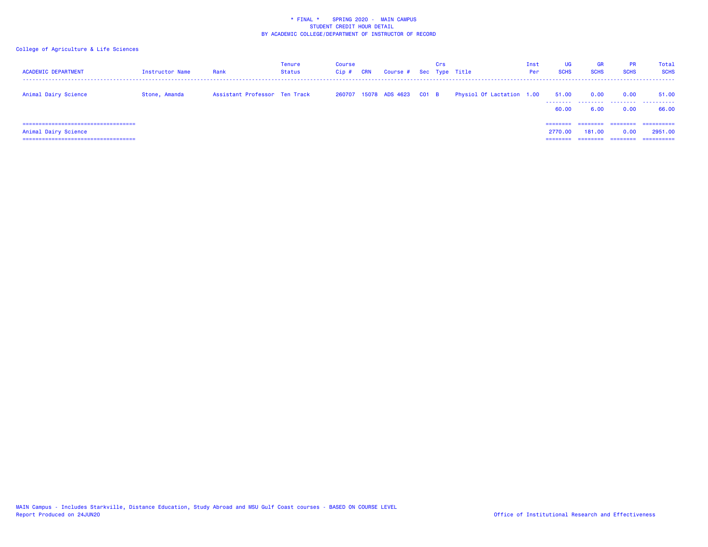| <b>ACADEMIC DEPARTMENT</b>                                                                      | <b>Instructor Name</b> | Rank                          | Tenure<br><b>Status</b> | Course<br>$Cip$ # | <b>CRN</b> | Course # Sec Type Title     | Crs |                           | Inst<br>Per | <b>UG</b><br><b>SCHS</b> | GR<br><b>SCHS</b>        | <b>PR</b><br><b>SCHS</b> | Total<br><b>SCHS</b>                |
|-------------------------------------------------------------------------------------------------|------------------------|-------------------------------|-------------------------|-------------------|------------|-----------------------------|-----|---------------------------|-------------|--------------------------|--------------------------|--------------------------|-------------------------------------|
| Animal Dairy Science                                                                            | Stone, Amanda          | Assistant Professor Ten Track |                         |                   |            | 260707 15078 ADS 4623 C01 B |     | Physiol Of Lactation 1.00 |             | 51.00<br>.<br>60.00      | 0.00<br>--------<br>6.00 | 0.00<br>--------<br>0.00 | 51.00<br>.<br>66.00                 |
| =====================================<br>Animal Dairy Science<br>============================== |                        |                               |                         |                   |            |                             |     |                           |             | ========<br>2770.00      | 181,00                   | 0.00                     | ==========<br>2951,00<br>========== |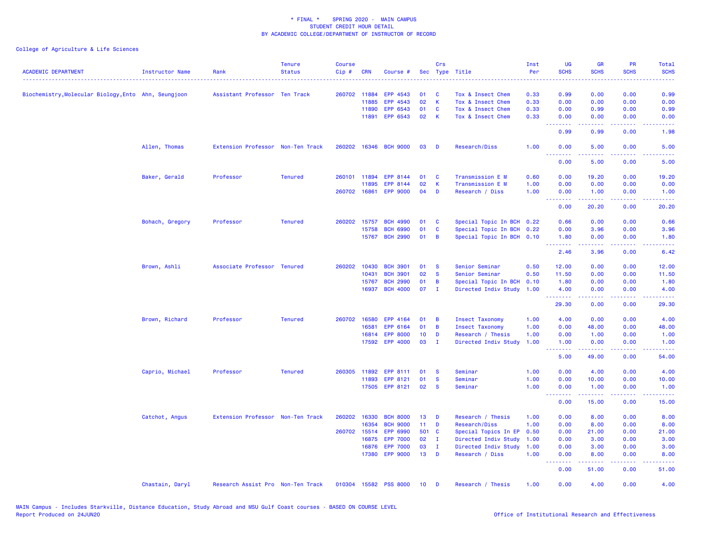| <b>ACADEMIC DEPARTMENT</b>                           | <b>Instructor Name</b> | Rank                              | <b>Tenure</b><br><b>Status</b> | <b>Course</b><br>$Cip \#$ | <b>CRN</b>   | Course #              |                 | Crs          | Sec Type Title            | Inst<br>Per | <b>UG</b><br><b>SCHS</b>                           | <b>GR</b><br><b>SCHS</b>                                                                                                                                     | PR<br><b>SCHS</b>                                                                                                                 | Total<br><b>SCHS</b>                                                                                                              |
|------------------------------------------------------|------------------------|-----------------------------------|--------------------------------|---------------------------|--------------|-----------------------|-----------------|--------------|---------------------------|-------------|----------------------------------------------------|--------------------------------------------------------------------------------------------------------------------------------------------------------------|-----------------------------------------------------------------------------------------------------------------------------------|-----------------------------------------------------------------------------------------------------------------------------------|
| Biochemistry, Molecular Biology, Ento Ahn, Seungjoon |                        | Assistant Professor Ten Track     |                                |                           | 260702 11884 | EPP 4543              | 01              | - C          | Tox & Insect Chem         | 0.33        | 0.99                                               | 0.00                                                                                                                                                         | 0.00                                                                                                                              | 0.99                                                                                                                              |
|                                                      |                        |                                   |                                |                           | 11885        | EPP 4543              | 02              | $\mathsf{K}$ | Tox & Insect Chem         | 0.33        | 0.00                                               | 0.00                                                                                                                                                         | 0.00                                                                                                                              | 0.00                                                                                                                              |
|                                                      |                        |                                   |                                |                           | 11890        | EPP 6543              | 01              | C            | Tox & Insect Chem         | 0.33        | 0.00                                               | 0.99                                                                                                                                                         | 0.00                                                                                                                              | 0.99                                                                                                                              |
|                                                      |                        |                                   |                                |                           | 11891        | EPP 6543              | 02              | K            | Tox & Insect Chem         | 0.33        | 0.00<br>--------                                   | 0.00<br>.                                                                                                                                                    | 0.00<br>$\frac{1}{2} \left( \frac{1}{2} \right) \left( \frac{1}{2} \right) \left( \frac{1}{2} \right) \left( \frac{1}{2} \right)$ | 0.00<br>$\frac{1}{2} \left( \frac{1}{2} \right) \left( \frac{1}{2} \right) \left( \frac{1}{2} \right) \left( \frac{1}{2} \right)$ |
|                                                      |                        |                                   |                                |                           |              |                       |                 |              |                           |             | 0.99                                               | 0.99                                                                                                                                                         | 0.00                                                                                                                              | 1.98                                                                                                                              |
|                                                      | Allen, Thomas          | Extension Professor Non-Ten Track |                                |                           |              | 260202 16346 BCH 9000 | 03              | D            | Research/Diss             | 1.00        | 0.00<br><u> - - - - - - - -</u>                    | 5.00<br>.                                                                                                                                                    | 0.00<br>.                                                                                                                         | 5.00<br>$- - - -$                                                                                                                 |
|                                                      |                        |                                   |                                |                           |              |                       |                 |              |                           |             | 0.00                                               | 5.00                                                                                                                                                         | 0.00                                                                                                                              | 5.00                                                                                                                              |
|                                                      | Baker, Gerald          | Professor                         | <b>Tenured</b>                 |                           | 260101 11894 | EPP 8144              | 01              | C            | Transmission E M          | 0.60        | 0.00                                               | 19.20                                                                                                                                                        | 0.00                                                                                                                              | 19.20                                                                                                                             |
|                                                      |                        |                                   |                                |                           | 11895        | EPP 8144              | 02              | К            | Transmission E M          | 1.00        | 0.00                                               | 0.00                                                                                                                                                         | 0.00                                                                                                                              | 0.00                                                                                                                              |
|                                                      |                        |                                   |                                |                           | 260702 16861 | <b>EPP 9000</b>       | 04              | D            | Research / Diss           | 1.00        | 0.00<br>--------                                   | 1.00<br>$\frac{1}{2} \left( \frac{1}{2} \right) \left( \frac{1}{2} \right) \left( \frac{1}{2} \right) \left( \frac{1}{2} \right) \left( \frac{1}{2} \right)$ | 0.00<br>.                                                                                                                         | 1.00<br>وعاعاتها                                                                                                                  |
|                                                      |                        |                                   |                                |                           |              |                       |                 |              |                           |             | 0.00                                               | 20.20                                                                                                                                                        | 0.00                                                                                                                              | 20.20                                                                                                                             |
|                                                      | Bohach, Gregory        | Professor                         | <b>Tenured</b>                 |                           | 260202 15757 | <b>BCH 4990</b>       | 01              | C            | Special Topic In BCH 0.22 |             | 0.66                                               | 0.00                                                                                                                                                         | 0.00                                                                                                                              | 0.66                                                                                                                              |
|                                                      |                        |                                   |                                |                           | 15758        | <b>BCH 6990</b>       | 01              | $\mathbf{C}$ | Special Topic In BCH 0.22 |             | 0.00                                               | 3.96                                                                                                                                                         | 0.00                                                                                                                              | 3.96                                                                                                                              |
|                                                      |                        |                                   |                                |                           |              | 15767 BCH 2990        | 01              | B            | Special Topic In BCH 0.10 |             | 1.80<br><b><i><u><u> - - - - - - -</u></u></i></b> | 0.00                                                                                                                                                         | 0.00<br>والمحامر                                                                                                                  | 1.80<br>2222                                                                                                                      |
|                                                      |                        |                                   |                                |                           |              |                       |                 |              |                           |             | 2.46                                               | 3.96                                                                                                                                                         | 0.00                                                                                                                              | 6.42                                                                                                                              |
|                                                      | Brown, Ashli           | Associate Professor Tenured       |                                | 260202                    | 10430        | <b>BCH 3901</b>       | 01              | <b>S</b>     | Senior Seminar            | 0.50        | 12.00                                              | 0.00                                                                                                                                                         | 0.00                                                                                                                              | 12.00                                                                                                                             |
|                                                      |                        |                                   |                                |                           | 10431        | <b>BCH 3901</b>       | 02              | <b>S</b>     | Senior Seminar            | 0.50        | 11.50                                              | 0.00                                                                                                                                                         | 0.00                                                                                                                              | 11.50                                                                                                                             |
|                                                      |                        |                                   |                                |                           | 15767        | <b>BCH 2990</b>       | 01              | В            | Special Topic In BCH      | 0.10        | 1.80                                               | 0.00                                                                                                                                                         | 0.00                                                                                                                              | 1.80                                                                                                                              |
|                                                      |                        |                                   |                                |                           | 16937        | <b>BCH 4000</b>       | 07              | $\mathbf{I}$ | Directed Indiv Study      | 1.00        | 4.00<br><b></b>                                    | 0.00<br>.                                                                                                                                                    | 0.00                                                                                                                              | 4.00                                                                                                                              |
|                                                      |                        |                                   |                                |                           |              |                       |                 |              |                           |             | 29.30                                              | 0.00                                                                                                                                                         | 0.00                                                                                                                              | 29.30                                                                                                                             |
|                                                      | Brown, Richard         | Professor                         | <b>Tenured</b>                 |                           | 260702 16580 | EPP 4164              | 01              | B            | <b>Insect Taxonomy</b>    | 1.00        | 4.00                                               | 0.00                                                                                                                                                         | 0.00                                                                                                                              | 4.00                                                                                                                              |
|                                                      |                        |                                   |                                |                           | 16581        | EPP 6164              | 01              | B            | <b>Insect Taxonomy</b>    | 1.00        | 0.00                                               | 48.00                                                                                                                                                        | 0.00                                                                                                                              | 48.00                                                                                                                             |
|                                                      |                        |                                   |                                |                           | 16814        | <b>EPP 8000</b>       | 10 <sup>1</sup> | D            | Research / Thesis         | 1.00        | 0.00                                               | 1.00                                                                                                                                                         | 0.00                                                                                                                              | 1.00                                                                                                                              |
|                                                      |                        |                                   |                                |                           |              | 17592 EPP 4000        | 03              | $\mathbf{I}$ | Directed Indiv Study      | 1.00        | 1.00<br><u>.</u>                                   | 0.00<br>.                                                                                                                                                    | 0.00<br>.                                                                                                                         | 1.00<br>.                                                                                                                         |
|                                                      |                        |                                   |                                |                           |              |                       |                 |              |                           |             | 5.00                                               | 49.00                                                                                                                                                        | 0.00                                                                                                                              | 54.00                                                                                                                             |
|                                                      | Caprio, Michael        | Professor                         | <b>Tenured</b>                 | 260305                    | 11892        | EPP 8111              | 01              | <b>S</b>     | Seminar                   | 1.00        | 0.00                                               | 4.00                                                                                                                                                         | 0.00                                                                                                                              | 4.00                                                                                                                              |
|                                                      |                        |                                   |                                |                           | 11893        | <b>EPP 8121</b>       | 01              | <b>S</b>     | Seminar                   | 1.00        | 0.00                                               | 10.00                                                                                                                                                        | 0.00                                                                                                                              | 10.00                                                                                                                             |
|                                                      |                        |                                   |                                |                           |              | 17505 EPP 8121        | 02              | <b>S</b>     | Seminar                   | 1.00        | 0.00<br>--------                                   | 1.00<br>$\frac{1}{2} \left( \frac{1}{2} \right) \left( \frac{1}{2} \right) \left( \frac{1}{2} \right) \left( \frac{1}{2} \right) \left( \frac{1}{2} \right)$ | 0.00<br>.                                                                                                                         | 1.00<br>.                                                                                                                         |
|                                                      |                        |                                   |                                |                           |              |                       |                 |              |                           |             | 0.00                                               | 15.00                                                                                                                                                        | 0.00                                                                                                                              | 15.00                                                                                                                             |
|                                                      | Catchot, Angus         | Extension Professor Non-Ten Track |                                |                           | 260202 16330 | <b>BCH 8000</b>       | 13              | D            | Research / Thesis         | 1.00        | 0.00                                               | 8.00                                                                                                                                                         | 0.00                                                                                                                              | 8.00                                                                                                                              |
|                                                      |                        |                                   |                                |                           | 16354        | <b>BCH 9000</b>       | 11              | D            | Research/Diss             | 1.00        | 0.00                                               | 8.00                                                                                                                                                         | 0.00                                                                                                                              | 8.00                                                                                                                              |
|                                                      |                        |                                   |                                |                           | 260702 15514 | EPP 6990              | 501 C           |              | Special Topics In EP      | 0.50        | 0.00                                               | 21.00                                                                                                                                                        | 0.00                                                                                                                              | 21.00                                                                                                                             |
|                                                      |                        |                                   |                                |                           | 16875        | <b>EPP 7000</b>       | 02              | $\mathbf{I}$ | Directed Indiv Study      | 1.00        | 0.00                                               | 3.00                                                                                                                                                         | 0.00                                                                                                                              | 3.00                                                                                                                              |
|                                                      |                        |                                   |                                |                           | 16876        | <b>EPP 7000</b>       | 03              | $\mathbf{I}$ | Directed Indiv Study      | 1.00        | 0.00                                               | 3.00                                                                                                                                                         | 0.00                                                                                                                              | 3.00                                                                                                                              |
|                                                      |                        |                                   |                                |                           |              | 17380 EPP 9000        | 13              | D            | Research / Diss           | 1.00        | 0.00<br>.                                          | 8.00<br>-----                                                                                                                                                | 0.00<br>والمحامر                                                                                                                  | 8.00<br>المتمامين                                                                                                                 |
|                                                      |                        |                                   |                                |                           |              |                       |                 |              |                           |             | 0.00                                               | 51.00                                                                                                                                                        | 0.00                                                                                                                              | 51.00                                                                                                                             |
|                                                      | Chastain, Daryl        | Research Assist Pro Non-Ten Track |                                |                           |              | 010304 15582 PSS 8000 | 10              | Ð            | Research / Thesis         | 1.00        | 0.00                                               | 4.00                                                                                                                                                         | 0.00                                                                                                                              | 4.00                                                                                                                              |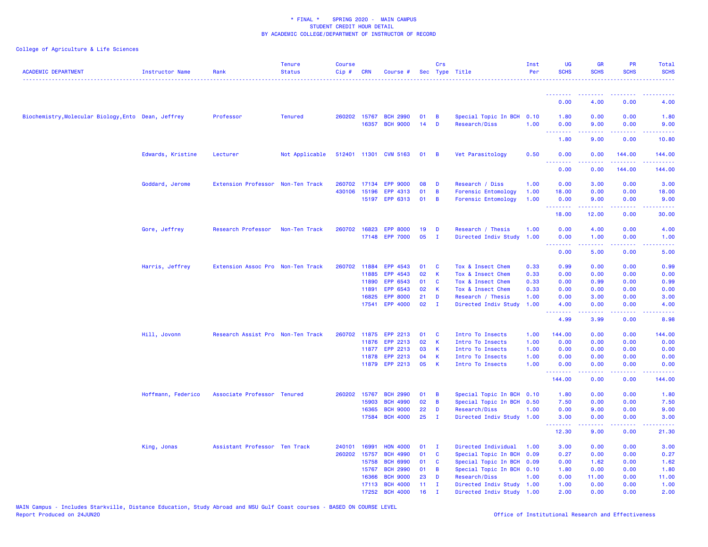| <b>ACADEMIC DEPARTMENT</b>                          | <b>Instructor Name</b> | Rank                              | <b>Tenure</b><br><b>Status</b> | <b>Course</b><br>Cip# | <b>CRN</b> | Course #              |    | Crs          | Sec Type Title            | Inst<br>Per | UG<br><b>SCHS</b>                                                                                                                                                                                                                                                                                                                                                                                                                                                                              | <b>GR</b><br><b>SCHS</b>                                                                                                                                     | <b>PR</b><br><b>SCHS</b> | Total<br><b>SCHS</b><br>.                                                                                                          |
|-----------------------------------------------------|------------------------|-----------------------------------|--------------------------------|-----------------------|------------|-----------------------|----|--------------|---------------------------|-------------|------------------------------------------------------------------------------------------------------------------------------------------------------------------------------------------------------------------------------------------------------------------------------------------------------------------------------------------------------------------------------------------------------------------------------------------------------------------------------------------------|--------------------------------------------------------------------------------------------------------------------------------------------------------------|--------------------------|------------------------------------------------------------------------------------------------------------------------------------|
|                                                     |                        |                                   |                                |                       |            |                       |    |              |                           |             | <b><i><u><u>ALLER A</u>LL</u></i></b>                                                                                                                                                                                                                                                                                                                                                                                                                                                          | .                                                                                                                                                            | .                        |                                                                                                                                    |
|                                                     |                        |                                   |                                |                       |            |                       |    |              |                           |             | 0.00                                                                                                                                                                                                                                                                                                                                                                                                                                                                                           | 4.00                                                                                                                                                         | 0.00                     | 4.00                                                                                                                               |
| Biochemistry, Molecular Biology, Ento Dean, Jeffrey |                        | Professor                         | <b>Tenured</b>                 |                       |            | 260202 15767 BCH 2990 | 01 | B            | Special Topic In BCH 0.10 |             | 1.80                                                                                                                                                                                                                                                                                                                                                                                                                                                                                           | 0.00                                                                                                                                                         | 0.00                     | 1.80                                                                                                                               |
|                                                     |                        |                                   |                                |                       | 16357      | <b>BCH 9000</b>       | 14 | D            | Research/Diss             | 1.00        | 0.00                                                                                                                                                                                                                                                                                                                                                                                                                                                                                           | 9.00                                                                                                                                                         | 0.00                     | 9.00                                                                                                                               |
|                                                     |                        |                                   |                                |                       |            |                       |    |              |                           |             | 1.80                                                                                                                                                                                                                                                                                                                                                                                                                                                                                           | $\frac{1}{2} \left( \frac{1}{2} \right) \left( \frac{1}{2} \right) \left( \frac{1}{2} \right) \left( \frac{1}{2} \right) \left( \frac{1}{2} \right)$<br>9.00 | 22222<br>0.00            | .<br>10.80                                                                                                                         |
|                                                     | Edwards, Kristine      | Lecturer                          | Not Applicable                 |                       |            | 512401 11301 CVM 5163 | 01 | - B          | Vet Parasitology          | 0.50        | 0.00                                                                                                                                                                                                                                                                                                                                                                                                                                                                                           | 0.00                                                                                                                                                         | 144.00                   | 144.00                                                                                                                             |
|                                                     |                        |                                   |                                |                       |            |                       |    |              |                           |             | .<br>0.00                                                                                                                                                                                                                                                                                                                                                                                                                                                                                      | 0.00                                                                                                                                                         | 144.00                   | 144.00                                                                                                                             |
|                                                     | Goddard, Jerome        | Extension Professor Non-Ten Track |                                |                       |            | 260702 17134 EPP 9000 | 08 | D            | Research / Diss           | 1.00        | 0.00                                                                                                                                                                                                                                                                                                                                                                                                                                                                                           | 3.00                                                                                                                                                         | 0.00                     | 3.00                                                                                                                               |
|                                                     |                        |                                   |                                | 430106                | 15196      | EPP 4313              | 01 | B            | Forensic Entomology       | 1.00        | 18.00                                                                                                                                                                                                                                                                                                                                                                                                                                                                                          | 0.00                                                                                                                                                         | 0.00                     | 18.00                                                                                                                              |
|                                                     |                        |                                   |                                |                       | 15197      | EPP 6313              | 01 | B            | Forensic Entomology       | 1.00        | 0.00                                                                                                                                                                                                                                                                                                                                                                                                                                                                                           | 9.00                                                                                                                                                         | 0.00                     | 9.00                                                                                                                               |
|                                                     |                        |                                   |                                |                       |            |                       |    |              |                           |             | .<br>18.00                                                                                                                                                                                                                                                                                                                                                                                                                                                                                     | .<br>12.00                                                                                                                                                   | 0.00                     | 30.00                                                                                                                              |
|                                                     | Gore, Jeffrey          | Research Professor                | Non-Ten Track                  | 260702 16823          |            | <b>EPP 8000</b>       | 19 | D            | Research / Thesis         | 1.00        | 0.00                                                                                                                                                                                                                                                                                                                                                                                                                                                                                           | 4.00                                                                                                                                                         | 0.00                     | 4.00                                                                                                                               |
|                                                     |                        |                                   |                                |                       |            | 17148 EPP 7000        | 05 | $\mathbf{I}$ | Directed Indiv Study      | 1.00        | 0.00                                                                                                                                                                                                                                                                                                                                                                                                                                                                                           | 1.00                                                                                                                                                         | 0.00                     | 1.00                                                                                                                               |
|                                                     |                        |                                   |                                |                       |            |                       |    |              |                           |             | <u> - - - - - - - -</u>                                                                                                                                                                                                                                                                                                                                                                                                                                                                        | <u>.</u>                                                                                                                                                     | .                        | <b><i><u><u>.</u></u></i></b>                                                                                                      |
|                                                     |                        |                                   |                                |                       |            |                       |    |              |                           |             | 0.00                                                                                                                                                                                                                                                                                                                                                                                                                                                                                           | 5.00                                                                                                                                                         | 0.00                     | 5.00                                                                                                                               |
|                                                     | Harris, Jeffrey        | Extension Assoc Pro Non-Ten Track |                                | 260702                | 11884      | EPP 4543              | 01 | C            | Tox & Insect Chem         | 0.33        | 0.99                                                                                                                                                                                                                                                                                                                                                                                                                                                                                           | 0.00                                                                                                                                                         | 0.00                     | 0.99                                                                                                                               |
|                                                     |                        |                                   |                                |                       | 11885      | EPP 4543              | 02 | К            | Tox & Insect Chem         | 0.33        | 0.00                                                                                                                                                                                                                                                                                                                                                                                                                                                                                           | 0.00                                                                                                                                                         | 0.00                     | 0.00                                                                                                                               |
|                                                     |                        |                                   |                                |                       | 11890      | EPP 6543              | 01 | C            | Tox & Insect Chem         | 0.33        | 0.00                                                                                                                                                                                                                                                                                                                                                                                                                                                                                           | 0.99                                                                                                                                                         | 0.00                     | 0.99                                                                                                                               |
|                                                     |                        |                                   |                                |                       | 11891      | EPP 6543              | 02 | K            | Tox & Insect Chem         | 0.33        | 0.00                                                                                                                                                                                                                                                                                                                                                                                                                                                                                           | 0.00                                                                                                                                                         | 0.00                     | 0.00                                                                                                                               |
|                                                     |                        |                                   |                                |                       | 16825      | <b>EPP 8000</b>       | 21 | D            | Research / Thesis         | 1.00        | 0.00                                                                                                                                                                                                                                                                                                                                                                                                                                                                                           | 3.00                                                                                                                                                         | 0.00                     | 3.00                                                                                                                               |
|                                                     |                        |                                   |                                |                       | 17541      | EPP 4000              | 02 | $\mathbf{I}$ | Directed Indiv Study      | 1.00        | 4.00<br>.                                                                                                                                                                                                                                                                                                                                                                                                                                                                                      | 0.00<br>المتمالين                                                                                                                                            | 0.00                     | 4.00                                                                                                                               |
|                                                     |                        |                                   |                                |                       |            |                       |    |              |                           |             | 4.99                                                                                                                                                                                                                                                                                                                                                                                                                                                                                           | 3.99                                                                                                                                                         | 0.00                     | 8.98                                                                                                                               |
|                                                     | Hill, Jovonn           | Research Assist Pro Non-Ten Track |                                |                       |            | 260702 11875 EPP 2213 | 01 | - C          | Intro To Insects          | 1.00        | 144.00                                                                                                                                                                                                                                                                                                                                                                                                                                                                                         | 0.00                                                                                                                                                         | 0.00                     | 144.00                                                                                                                             |
|                                                     |                        |                                   |                                |                       | 11876      | EPP 2213              | 02 | K            | Intro To Insects          | 1.00        | 0.00                                                                                                                                                                                                                                                                                                                                                                                                                                                                                           | 0.00                                                                                                                                                         | 0.00                     | 0.00                                                                                                                               |
|                                                     |                        |                                   |                                |                       | 11877      | EPP 2213              | 03 | К            | Intro To Insects          | 1.00        | 0.00                                                                                                                                                                                                                                                                                                                                                                                                                                                                                           | 0.00                                                                                                                                                         | 0.00                     | 0.00                                                                                                                               |
|                                                     |                        |                                   |                                |                       | 11878      | EPP 2213              | 04 | К            | Intro To Insects          | 1.00        | 0.00                                                                                                                                                                                                                                                                                                                                                                                                                                                                                           | 0.00                                                                                                                                                         | 0.00                     | 0.00                                                                                                                               |
|                                                     |                        |                                   |                                |                       |            | 11879 EPP 2213        | 05 | $\mathsf{K}$ | Intro To Insects          | 1.00        | 0.00<br>$\begin{array}{cccccccccccccc} \multicolumn{2}{c}{} & \multicolumn{2}{c}{} & \multicolumn{2}{c}{} & \multicolumn{2}{c}{} & \multicolumn{2}{c}{} & \multicolumn{2}{c}{} & \multicolumn{2}{c}{} & \multicolumn{2}{c}{} & \multicolumn{2}{c}{} & \multicolumn{2}{c}{} & \multicolumn{2}{c}{} & \multicolumn{2}{c}{} & \multicolumn{2}{c}{} & \multicolumn{2}{c}{} & \multicolumn{2}{c}{} & \multicolumn{2}{c}{} & \multicolumn{2}{c}{} & \multicolumn{2}{c}{} & \multicolumn{2}{c}{} & \$ | 0.00<br>22222                                                                                                                                                | 0.00<br>.                | 0.00<br>. <b>.</b>                                                                                                                 |
|                                                     |                        |                                   |                                |                       |            |                       |    |              |                           |             | 144.00                                                                                                                                                                                                                                                                                                                                                                                                                                                                                         | 0.00                                                                                                                                                         | 0.00                     | 144.00                                                                                                                             |
|                                                     | Hoffmann, Federico     | Associate Professor Tenured       |                                | 260202 15767          |            | <b>BCH 2990</b>       | 01 | B            | Special Topic In BCH 0.10 |             | 1.80                                                                                                                                                                                                                                                                                                                                                                                                                                                                                           | 0.00                                                                                                                                                         | 0.00                     | 1.80                                                                                                                               |
|                                                     |                        |                                   |                                |                       | 15903      | <b>BCH 4990</b>       | 02 | B            | Special Topic In BCH 0.50 |             | 7.50                                                                                                                                                                                                                                                                                                                                                                                                                                                                                           | 0.00                                                                                                                                                         | 0.00                     | 7.50                                                                                                                               |
|                                                     |                        |                                   |                                |                       | 16365      | <b>BCH 9000</b>       | 22 | D            | Research/Diss             | 1.00        | 0.00                                                                                                                                                                                                                                                                                                                                                                                                                                                                                           | 9.00                                                                                                                                                         | 0.00                     | 9.00                                                                                                                               |
|                                                     |                        |                                   |                                |                       | 17584      | <b>BCH 4000</b>       | 25 | $\mathbf{I}$ | Directed Indiv Study 1.00 |             | 3.00                                                                                                                                                                                                                                                                                                                                                                                                                                                                                           | 0.00                                                                                                                                                         | 0.00                     | 3.00                                                                                                                               |
|                                                     |                        |                                   |                                |                       |            |                       |    |              |                           |             | <u>.</u><br>12.30                                                                                                                                                                                                                                                                                                                                                                                                                                                                              | <u>.</u><br>9.00                                                                                                                                             | .<br>0.00                | $\frac{1}{2} \left( \frac{1}{2} \right) \left( \frac{1}{2} \right) \left( \frac{1}{2} \right) \left( \frac{1}{2} \right)$<br>21.30 |
|                                                     | King, Jonas            | Assistant Professor Ten Track     |                                | 240101                | 16991      | <b>HON 4000</b>       | 01 | $\mathbf{I}$ | Directed Individual       | 1.00        | 3.00                                                                                                                                                                                                                                                                                                                                                                                                                                                                                           | 0.00                                                                                                                                                         | 0.00                     | 3.00                                                                                                                               |
|                                                     |                        |                                   |                                | 260202 15757          |            | <b>BCH 4990</b>       | 01 | C            | Special Topic In BCH      | 0.09        | 0.27                                                                                                                                                                                                                                                                                                                                                                                                                                                                                           | 0.00                                                                                                                                                         | 0.00                     | 0.27                                                                                                                               |
|                                                     |                        |                                   |                                |                       | 15758      | <b>BCH 6990</b>       | 01 | C            | Special Topic In BCH      | 0.09        | 0.00                                                                                                                                                                                                                                                                                                                                                                                                                                                                                           | 1.62                                                                                                                                                         | 0.00                     | 1.62                                                                                                                               |
|                                                     |                        |                                   |                                |                       | 15767      | <b>BCH 2990</b>       | 01 | B            | Special Topic In BCH 0.10 |             | 1.80                                                                                                                                                                                                                                                                                                                                                                                                                                                                                           | 0.00                                                                                                                                                         | 0.00                     | 1.80                                                                                                                               |
|                                                     |                        |                                   |                                |                       | 16366      | <b>BCH 9000</b>       | 23 | D            | Research/Diss             | 1.00        | 0.00                                                                                                                                                                                                                                                                                                                                                                                                                                                                                           | 11.00                                                                                                                                                        | 0.00                     | 11.00                                                                                                                              |
|                                                     |                        |                                   |                                |                       | 17113      | <b>BCH 4000</b>       | 11 | Ι.           | Directed Indiv Study 1.00 |             | 1.00                                                                                                                                                                                                                                                                                                                                                                                                                                                                                           | 0.00                                                                                                                                                         | 0.00                     | 1.00                                                                                                                               |
|                                                     |                        |                                   |                                |                       | 17252      | <b>BCH 4000</b>       | 16 |              | Directed Indiv Study 1.00 |             | 2.00                                                                                                                                                                                                                                                                                                                                                                                                                                                                                           | 0.00                                                                                                                                                         | 0.00                     | 2.00                                                                                                                               |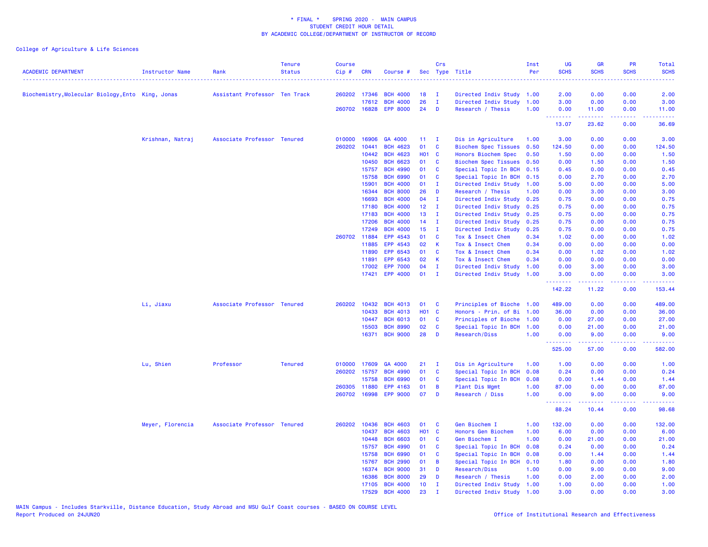| <b>ACADEMIC DEPARTMENT</b>                        | Instructor Name  | Rank                          | <b>Tenure</b><br><b>Status</b> | <b>Course</b><br>Cip# | CRN            | Course #                    |                 | Crs                      | Sec Type Title<br>.                       | Inst<br>Per  | <b>UG</b><br><b>SCHS</b> | <b>GR</b><br><b>SCHS</b> | <b>PR</b><br><b>SCHS</b> | Total<br><b>SCHS</b> |
|---------------------------------------------------|------------------|-------------------------------|--------------------------------|-----------------------|----------------|-----------------------------|-----------------|--------------------------|-------------------------------------------|--------------|--------------------------|--------------------------|--------------------------|----------------------|
| Biochemistry, Molecular Biology, Ento King, Jonas |                  | Assistant Professor Ten Track |                                | 260202 17346          |                | <b>BCH 4000</b>             | 18              | п.                       | Directed Indiv Study 1.00                 |              | 2.00                     | 0.00                     | 0.00                     | 2.00                 |
|                                                   |                  |                               |                                |                       | 17612          | <b>BCH 4000</b>             | 26              | $\mathbf{I}$             | Directed Indiv Study                      | 1.00         | 3.00                     | 0.00                     | 0.00                     | 3.00                 |
|                                                   |                  |                               |                                | 260702 16828          |                | <b>EPP 8000</b>             | 24              | D                        | Research / Thesis                         | 1.00         | 0.00                     | 11.00                    | 0.00                     | 11.00                |
|                                                   |                  |                               |                                |                       |                |                             |                 |                          |                                           |              | <b>.</b> .<br>13.07      | .<br>23.62               | الأنابات<br>0.00         | وعاعاها<br>36.69     |
|                                                   | Krishnan, Natraj | Associate Professor Tenured   |                                | 010000                | 16906          | GA 4000                     | 11              | $\mathbf{I}$             | Dis in Agriculture                        | 1.00         | 3.00                     | 0.00                     | 0.00                     | 3.00                 |
|                                                   |                  |                               |                                | 260202                | 10441          | <b>BCH 4623</b>             | 01              | C                        | <b>Biochem Spec Tissues</b>               | 0.50         | 124.50                   | 0.00                     | 0.00                     | 124.50               |
|                                                   |                  |                               |                                |                       | 10442          | <b>BCH 4623</b>             | <b>HO1 C</b>    |                          | Honors Biochem Spec                       | 0.50         | 1.50                     | 0.00                     | 0.00                     | 1.50                 |
|                                                   |                  |                               |                                |                       | 10450          | <b>BCH 6623</b>             | 01              | <b>C</b>                 | <b>Biochem Spec Tissues</b>               | 0.50         | 0.00                     | 1.50                     | 0.00                     | 1.50                 |
|                                                   |                  |                               |                                |                       | 15757          | <b>BCH 4990</b>             | 01              | <b>C</b>                 | Special Topic In BCH                      | 0.15         | 0.45                     | 0.00                     | 0.00                     | 0.45                 |
|                                                   |                  |                               |                                |                       | 15758          | <b>BCH 6990</b>             | 01              | $\mathbf{C}$             | Special Topic In BCH                      | 0.15         | 0.00                     | 2.70                     | 0.00                     | 2.70                 |
|                                                   |                  |                               |                                |                       | 15901          | <b>BCH 4000</b>             | 01              | $\mathbf I$              | Directed Indiv Study                      | 1.00         | 5.00                     | 0.00                     | 0.00                     | 5.00                 |
|                                                   |                  |                               |                                |                       | 16344          | <b>BCH 8000</b>             | 26              | D                        | Research / Thesis                         | 1.00         | 0.00                     | 3.00                     | 0.00                     | 3.00                 |
|                                                   |                  |                               |                                |                       | 16693          | <b>BCH 4000</b>             | 04              | $\mathbf{I}$             | Directed Indiv Study                      | 0.25         | 0.75                     | 0.00                     | 0.00                     | 0.75                 |
|                                                   |                  |                               |                                |                       | 17180          | <b>BCH 4000</b>             | 12 <sub>2</sub> | T                        | Directed Indiv Study                      | 0.25         | 0.75                     | 0.00                     | 0.00                     | 0.75                 |
|                                                   |                  |                               |                                |                       | 17183          | <b>BCH 4000</b>             | 13              | $\mathbf I$              | Directed Indiv Study                      | 0.25         | 0.75                     | 0.00                     | 0.00                     | 0.75                 |
|                                                   |                  |                               |                                |                       | 17206          | <b>BCH 4000</b>             | 14              | I.                       | Directed Indiv Study                      | 0.25         | 0.75                     | 0.00                     | 0.00                     | 0.75                 |
|                                                   |                  |                               |                                | 260702                | 17249<br>11884 | <b>BCH 4000</b><br>EPP 4543 | 15<br>01        | $\mathbf{I}$<br><b>C</b> | Directed Indiv Study<br>Tox & Insect Chem | 0.25<br>0.34 | 0.75<br>1.02             | 0.00<br>0.00             | 0.00<br>0.00             | 0.75                 |
|                                                   |                  |                               |                                |                       | 11885          | EPP 4543                    | 02              | К                        |                                           |              | 0.00                     |                          |                          | 1.02<br>0.00         |
|                                                   |                  |                               |                                |                       | 11890          | EPP 6543                    | 01              | C                        | Tox & Insect Chem<br>Tox & Insect Chem    | 0.34<br>0.34 |                          | 0.00<br>1.02             | 0.00<br>0.00             | 1.02                 |
|                                                   |                  |                               |                                |                       | 11891          | EPP 6543                    | 02              | K                        | Tox & Insect Chem                         | 0.34         | 0.00<br>0.00             | 0.00                     | 0.00                     | 0.00                 |
|                                                   |                  |                               |                                |                       | 17002          | <b>EPP 7000</b>             | 04              | $\mathbf I$              | Directed Indiv Study                      | 1.00         | 0.00                     | 3.00                     | 0.00                     | 3.00                 |
|                                                   |                  |                               |                                |                       | 17421          | <b>EPP 4000</b>             | 01              | $\mathbf{I}$             | Directed Indiv Study                      | 1.00         | 3.00                     | 0.00                     | 0.00                     | 3.00                 |
|                                                   |                  |                               |                                |                       |                |                             |                 |                          |                                           |              | --------<br>142.22       | د د د د د<br>11.22       | .<br>0.00                | .<br>153.44          |
|                                                   | Li, Jiaxu        | Associate Professor Tenured   |                                | 260202                | 10432          | <b>BCH 4013</b>             | 01              | <b>C</b>                 | Principles of Bioche                      | 1.00         | 489.00                   | 0.00                     | 0.00                     | 489.00               |
|                                                   |                  |                               |                                |                       | 10433          | <b>BCH 4013</b>             | <b>HO1 C</b>    |                          | Honors - Prin. of Bi                      | 1.00         | 36.00                    | 0.00                     | 0.00                     | 36.00                |
|                                                   |                  |                               |                                |                       | 10447          | <b>BCH 6013</b>             | 01              | C                        | Principles of Bioche                      | 1.00         | 0.00                     | 27.00                    | 0.00                     | 27.00                |
|                                                   |                  |                               |                                |                       | 15503          | <b>BCH 8990</b>             | 02              | $\mathbf{C}$             | Special Topic In BCH                      | 1.00         | 0.00                     | 21.00                    | 0.00                     | 21.00                |
|                                                   |                  |                               |                                |                       | 16371          | <b>BCH 9000</b>             | 28              | D                        | Research/Diss                             | 1.00         | 0.00                     | 9.00                     | 0.00                     | 9.00                 |
|                                                   |                  |                               |                                |                       |                |                             |                 |                          |                                           |              | .<br>525.00              | والمستوات<br>57.00       | .<br>0.00                | 582.00               |
|                                                   | Lu, Shien        | Professor                     | <b>Tenured</b>                 | 010000                | 17609          | GA 4000                     | 21              | $\mathbf{I}$             | Dis in Agriculture                        | 1.00         | 1.00                     | 0.00                     | 0.00                     | 1.00                 |
|                                                   |                  |                               |                                | 260202                | 15757          | <b>BCH 4990</b>             | 01              | $\mathbf{C}$             | Special Topic In BCH                      | 0.08         | 0.24                     | 0.00                     | 0.00                     | 0.24                 |
|                                                   |                  |                               |                                |                       | 15758          | <b>BCH 6990</b>             | 01              | C                        | Special Topic In BCH                      | 0.08         | 0.00                     | 1.44                     | 0.00                     | 1.44                 |
|                                                   |                  |                               |                                | 260305                | 11880          | EPP 4163                    | 01              | B                        | Plant Dis Mgmt                            | 1.00         | 87.00                    | 0.00                     | 0.00                     | 87.00                |
|                                                   |                  |                               |                                | 260702                | 16998          | <b>EPP 9000</b>             | 07              | D                        | Research / Diss                           | 1.00         | 0.00                     | 9.00                     | 0.00                     | 9.00                 |
|                                                   |                  |                               |                                |                       |                |                             |                 |                          |                                           |              | <b>.</b> .<br>88.24      | المتمالي<br>10.44        | الأعاماء<br>0.00         | المتمامين<br>98.68   |
|                                                   | Meyer, Florencia | Associate Professor Tenured   |                                | 260202                | 10436          | <b>BCH 4603</b>             | 01              | C                        | Gen Biochem I                             | 1.00         | 132.00                   | 0.00                     | 0.00                     | 132.00               |
|                                                   |                  |                               |                                |                       | 10437          | <b>BCH 4603</b>             | H01 C           |                          | Honors Gen Biochem                        | 1.00         | 6.00                     | 0.00                     | 0.00                     | 6.00                 |
|                                                   |                  |                               |                                |                       | 10448          | <b>BCH 6603</b>             | 01              | C                        | Gen Biochem I                             | 1.00         | 0.00                     | 21.00                    | 0.00                     | 21.00                |
|                                                   |                  |                               |                                |                       | 15757          | <b>BCH 4990</b>             | 01              | <b>C</b>                 | Special Topic In BCH                      | 0.08         | 0.24                     | 0.00                     | 0.00                     | 0.24                 |
|                                                   |                  |                               |                                |                       | 15758          | <b>BCH 6990</b>             | 01              | <b>C</b>                 | Special Topic In BCH                      | 0.08         | 0.00                     | 1.44                     | 0.00                     | 1.44                 |
|                                                   |                  |                               |                                |                       | 15767          | <b>BCH 2990</b>             | 01              | B                        | Special Topic In BCH                      | 0.10         | 1.80                     | 0.00                     | 0.00                     | 1.80                 |
|                                                   |                  |                               |                                |                       | 16374          | <b>BCH 9000</b>             | 31              | D                        | Research/Diss                             | 1.00         | 0.00                     | 9.00                     | 0.00                     | 9.00                 |
|                                                   |                  |                               |                                |                       | 16386          | <b>BCH 8000</b>             | 29              | D                        | Research / Thesis                         | 1.00         | 0.00                     | 2.00                     | 0.00                     | 2.00                 |
|                                                   |                  |                               |                                |                       | 17105          | <b>BCH 4000</b>             | 10              | $\mathbf I$              | Directed Indiv Study                      | 1.00         | 1.00                     | 0.00                     | 0.00                     | 1.00                 |
|                                                   |                  |                               |                                |                       | 17529          | <b>BCH 4000</b>             | 23              |                          | Directed Indiv Study                      | 1.00         | 3.00                     | 0.00                     | 0.00                     | 3.00                 |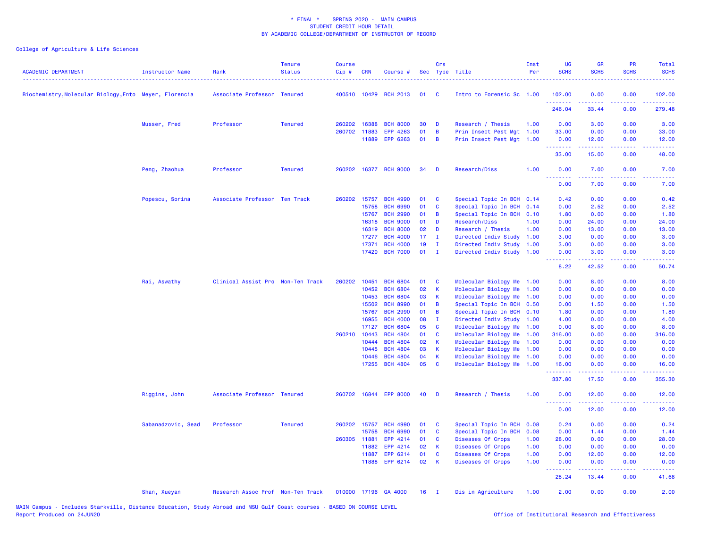| <b>ACADEMIC DEPARTMENT</b>                             | <b>Instructor Name</b> | Rank                              | <b>Tenure</b><br><b>Status</b> | <b>Course</b><br>Cip# | <b>CRN</b> | Course #              |    | Crs<br>Sec Type Title |                           | Inst<br>Per | <b>UG</b><br><b>SCHS</b> | <b>GR</b><br><b>SCHS</b> | PR<br><b>SCHS</b> | Total<br><b>SCHS</b>      |
|--------------------------------------------------------|------------------------|-----------------------------------|--------------------------------|-----------------------|------------|-----------------------|----|-----------------------|---------------------------|-------------|--------------------------|--------------------------|-------------------|---------------------------|
| Biochemistry, Molecular Biology, Ento Meyer, Florencia |                        | Associate Professor Tenured       |                                |                       |            | 400510 10429 BCH 2013 | 01 | <b>C</b>              | Intro to Forensic Sc 1.00 |             | 102,00<br><u>.</u>       | 0.00                     | 0.00<br>ولايت     | 102.00<br>22222           |
|                                                        |                        |                                   |                                |                       |            |                       |    |                       |                           |             | 246.04                   | 33.44                    | 0.00              | 279.48                    |
|                                                        | Musser, Fred           | Professor                         | <b>Tenured</b>                 | 260202                | 16388      | <b>BCH 8000</b>       | 30 | D                     | Research / Thesis         | 1.00        | 0.00                     | 3.00                     | 0.00              | 3.00                      |
|                                                        |                        |                                   |                                | 260702                | 11883      | EPP 4263              | 01 | B                     | Prin Insect Pest Mgt 1.00 |             | 33.00                    | 0.00                     | 0.00              | 33.00                     |
|                                                        |                        |                                   |                                |                       | 11889      | EPP 6263              | 01 | B                     | Prin Insect Pest Mgt 1.00 |             | 0.00<br><u>.</u>         | 12.00<br>بالأبادي        | 0.00<br>.         | 12.00<br>وعاعاها          |
|                                                        |                        |                                   |                                |                       |            |                       |    |                       |                           |             | 33.00                    | 15.00                    | 0.00              | 48.00                     |
|                                                        | Peng, Zhaohua          | Professor                         | <b>Tenured</b>                 | 260202                |            | 16377 BCH 9000        | 34 | D                     | Research/Diss             | 1.00        | 0.00<br><u>.</u>         | 7.00<br>a a a a a        | 0.00<br>.         | 7.00<br>$\omega$ is a set |
|                                                        |                        |                                   |                                |                       |            |                       |    |                       |                           |             | 0.00                     | 7.00                     | 0.00              | 7.00                      |
|                                                        | Popescu, Sorina        | Associate Professor Ten Track     |                                | 260202                | 15757      | <b>BCH 4990</b>       | 01 | <b>C</b>              | Special Topic In BCH 0.14 |             | 0.42                     | 0.00                     | 0.00              | 0.42                      |
|                                                        |                        |                                   |                                |                       | 15758      | <b>BCH 6990</b>       | 01 | C                     | Special Topic In BCH      | 0.14        | 0.00                     | 2.52                     | 0.00              | 2.52                      |
|                                                        |                        |                                   |                                |                       | 15767      | <b>BCH 2990</b>       | 01 | B                     | Special Topic In BCH 0.10 |             | 1.80                     | 0.00                     | 0.00              | 1.80                      |
|                                                        |                        |                                   |                                |                       | 16318      | <b>BCH 9000</b>       | 01 | D                     | Research/Diss             | 1.00        | 0.00                     | 24.00                    | 0.00              | 24.00                     |
|                                                        |                        |                                   |                                |                       | 16319      | <b>BCH 8000</b>       | 02 | D                     | Research / Thesis         | 1.00        | 0.00                     | 13.00                    | 0.00              | 13.00                     |
|                                                        |                        |                                   |                                |                       | 17277      | <b>BCH 4000</b>       | 17 | $\mathbf{I}$          | Directed Indiv Study      | 1.00        | 3.00                     | 0.00                     | 0.00              | 3.00                      |
|                                                        |                        |                                   |                                |                       | 17371      | <b>BCH 4000</b>       | 19 | T                     | Directed Indiv Study      | 1.00        | 3.00                     | 0.00                     | 0.00              | 3.00                      |
|                                                        |                        |                                   |                                |                       | 17420      | <b>BCH 7000</b>       | 01 | $\mathbf{I}$          | Directed Indiv Study 1.00 |             | 0.00<br>.                | 3.00<br>المتمام والمناور | 0.00<br>22222     | 3.00<br>والمستناب         |
|                                                        |                        |                                   |                                |                       |            |                       |    |                       |                           |             | 8.22                     | 42.52                    | 0.00              | 50.74                     |
|                                                        | Rai, Aswathy           | Clinical Assist Pro Non-Ten Track |                                | 260202                | 10451      | <b>BCH 6804</b>       | 01 | C                     | Molecular Biology Me 1.00 |             | 0.00                     | 8.00                     | 0.00              | 8.00                      |
|                                                        |                        |                                   |                                |                       | 10452      | <b>BCH 6804</b>       | 02 | $\mathsf K$           | Molecular Biology Me      | 1.00        | 0.00                     | 0.00                     | 0.00              | 0.00                      |
|                                                        |                        |                                   |                                |                       | 10453      | <b>BCH 6804</b>       | 03 | K                     | Molecular Biology Me 1.00 |             | 0.00                     | 0.00                     | 0.00              | 0.00                      |
|                                                        |                        |                                   |                                |                       | 15502      | <b>BCH 8990</b>       | 01 | B                     | Special Topic In BCH 0.50 |             | 0.00                     | 1.50                     | 0.00              | 1.50                      |
|                                                        |                        |                                   |                                |                       | 15767      | <b>BCH 2990</b>       | 01 | B                     | Special Topic In BCH 0.10 |             | 1.80                     | 0.00                     | 0.00              | 1.80                      |
|                                                        |                        |                                   |                                |                       | 16955      | <b>BCH 4000</b>       | 80 | $\mathbf{I}$          | Directed Indiv Study 1.00 |             | 4.00                     | 0.00                     | 0.00              | 4.00                      |
|                                                        |                        |                                   |                                |                       | 17127      | <b>BCH 6804</b>       | 05 | C                     | Molecular Biology Me      | 1.00        | 0.00                     | 8.00                     | 0.00              | 8.00                      |
|                                                        |                        |                                   |                                | 260210                | 10443      | <b>BCH 4804</b>       | 01 | C                     | Molecular Biology Me      | 1.00        | 316.00                   | 0.00                     | 0.00              | 316.00                    |
|                                                        |                        |                                   |                                |                       | 10444      | <b>BCH 4804</b>       | 02 | K                     | Molecular Biology Me      | 1.00        | 0.00                     | 0.00                     | 0.00              | 0.00                      |
|                                                        |                        |                                   |                                |                       | 10445      | <b>BCH 4804</b>       | 03 | K                     | Molecular Biology Me      | 1.00        | 0.00                     | 0.00                     | 0.00              | 0.00                      |
|                                                        |                        |                                   |                                |                       | 10446      | <b>BCH 4804</b>       | 04 | K                     | Molecular Biology Me      | 1.00        | 0.00                     | 0.00                     | 0.00              | 0.00                      |
|                                                        |                        |                                   |                                |                       | 17255      | <b>BCH 4804</b>       | 05 | C                     | Molecular Biology Me 1.00 |             | 16.00<br>.               | 0.00                     | 0.00<br>.         | 16.00                     |
|                                                        |                        |                                   |                                |                       |            |                       |    |                       |                           |             | 337.80                   | 17.50                    | 0.00              | 355.30                    |
|                                                        | Riggins, John          | Associate Professor Tenured       |                                |                       |            | 260702 16844 EPP 8000 | 40 | D                     | Research / Thesis         | 1.00        | 0.00<br>.                | 12.00<br>.               | 0.00<br>.         | 12.00<br>.                |
|                                                        |                        |                                   |                                |                       |            |                       |    |                       |                           |             | 0.00                     | 12.00                    | 0.00              | 12.00                     |
|                                                        | Sabanadzovic, Sead     | Professor                         | <b>Tenured</b>                 | 260202                | 15757      | <b>BCH 4990</b>       | 01 | C                     | Special Topic In BCH      | 0.08        | 0.24                     | 0.00                     | 0.00              | 0.24                      |
|                                                        |                        |                                   |                                |                       | 15758      | <b>BCH 6990</b>       | 01 | C                     | Special Topic In BCH      | 0.08        | 0.00                     | 1.44                     | 0.00              | 1.44                      |
|                                                        |                        |                                   |                                | 260305                | 11881      | EPP 4214              | 01 | C                     | Diseases Of Crops         | 1.00        | 28.00                    | 0.00                     | 0.00              | 28.00                     |
|                                                        |                        |                                   |                                |                       | 11882      | EPP 4214              | 02 | К                     | Diseases Of Crops         | 1.00        | 0.00                     | 0.00                     | 0.00              | 0.00                      |
|                                                        |                        |                                   |                                |                       | 11887      | EPP 6214              | 01 | C                     | Diseases Of Crops         | 1.00        | 0.00                     | 12.00                    | 0.00              | 12.00                     |
|                                                        |                        |                                   |                                |                       |            | 11888 EPP 6214        | 02 | K                     | Diseases Of Crops         | 1.00        | 0.00<br><b></b>          | 0.00<br>د د د د د        | 0.00<br>.         | 0.00<br>المتمامين         |
|                                                        |                        |                                   |                                |                       |            |                       |    |                       |                           |             | 28.24                    | 13.44                    | 0.00              | 41.68                     |
|                                                        | Shan, Xueyan           | Research Assoc Prof Non-Ten Track |                                |                       |            | 010000 17196 GA 4000  | 16 | $\mathbf{I}$          | Dis in Agriculture        | 1.00        | 2.00                     | 0.00                     | 0.00              | 2.00                      |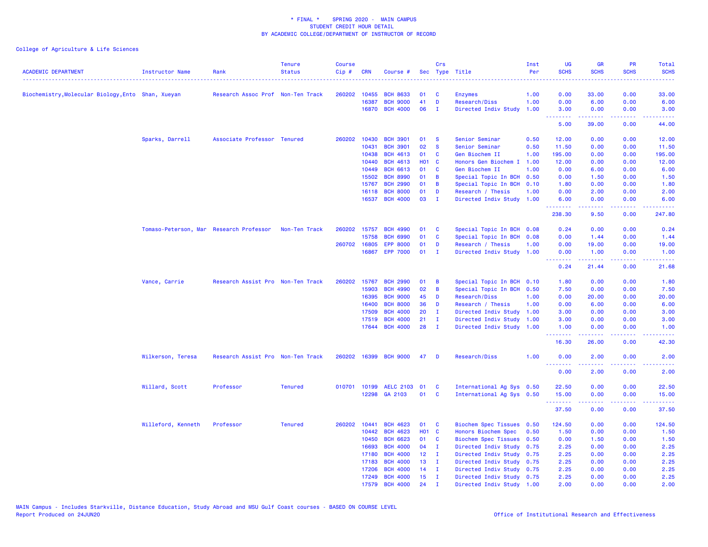| <b>ACADEMIC DEPARTMENT</b>                         | <b>Instructor Name</b> | Rank                                    | <b>Tenure</b><br><b>Status</b> | <b>Course</b><br>$Cip \#$ | <b>CRN</b>   | Course #                          |                   | Crs               | Sec Type Title                                 | Inst<br>Per | <b>UG</b><br><b>SCHS</b>                         | <b>GR</b><br><b>SCHS</b>                                                                                                                                     | PR<br><b>SCHS</b>                   | Total<br><b>SCHS</b>                                                                                                                                         |
|----------------------------------------------------|------------------------|-----------------------------------------|--------------------------------|---------------------------|--------------|-----------------------------------|-------------------|-------------------|------------------------------------------------|-------------|--------------------------------------------------|--------------------------------------------------------------------------------------------------------------------------------------------------------------|-------------------------------------|--------------------------------------------------------------------------------------------------------------------------------------------------------------|
|                                                    |                        |                                         |                                |                           |              |                                   |                   |                   |                                                |             | .                                                |                                                                                                                                                              | $- - - -$                           | والمستناب                                                                                                                                                    |
| Biochemistry, Molecular Biology, Ento Shan, Xueyan |                        | Research Assoc Prof Non-Ten Track       |                                | 260202                    | 10455        | <b>BCH 8633</b>                   | 01                | C                 | <b>Enzymes</b>                                 | 1.00        | 0.00                                             | 33.00                                                                                                                                                        | 0.00                                | 33.00                                                                                                                                                        |
|                                                    |                        |                                         |                                |                           | 16387        | <b>BCH 9000</b>                   | 41                | D                 | Research/Diss                                  | 1.00        | 0.00                                             | 6.00                                                                                                                                                         | 0.00                                | 6.00                                                                                                                                                         |
|                                                    |                        |                                         |                                |                           |              | 16870 BCH 4000                    | 06                | $\mathbf{I}$      | Directed Indiv Study                           | 1.00        | 3.00<br>.                                        | 0.00<br>$\frac{1}{2} \left( \frac{1}{2} \right) \left( \frac{1}{2} \right) \left( \frac{1}{2} \right) \left( \frac{1}{2} \right) \left( \frac{1}{2} \right)$ | 0.00<br>.                           | 3.00<br>$\frac{1}{2} \left( \frac{1}{2} \right) \left( \frac{1}{2} \right) \left( \frac{1}{2} \right) \left( \frac{1}{2} \right)$                            |
|                                                    |                        |                                         |                                |                           |              |                                   |                   |                   |                                                |             | 5.00                                             | 39.00                                                                                                                                                        | 0.00                                | 44.00                                                                                                                                                        |
|                                                    | Sparks, Darrell        | Associate Professor Tenured             |                                | 260202                    | 10430        | <b>BCH 3901</b>                   | 01                | - S               | Senior Seminar                                 | 0.50        | 12.00                                            | 0.00                                                                                                                                                         | 0.00                                | 12.00                                                                                                                                                        |
|                                                    |                        |                                         |                                |                           | 10431        | <b>BCH 3901</b>                   | 02                | <b>S</b>          | Senior Seminar                                 | 0.50        | 11.50                                            | 0.00                                                                                                                                                         | 0.00                                | 11.50                                                                                                                                                        |
|                                                    |                        |                                         |                                |                           | 10438        | <b>BCH 4613</b>                   | 01                | C                 | Gen Biochem II                                 | 1.00        | 195.00                                           | 0.00                                                                                                                                                         | 0.00                                | 195.00                                                                                                                                                       |
|                                                    |                        |                                         |                                |                           | 10440        | <b>BCH 4613</b>                   | <b>HO1 C</b>      | <b>C</b>          | Honors Gen Biochem I                           | 1.00        | 12.00                                            | 0.00                                                                                                                                                         | 0.00                                | 12.00                                                                                                                                                        |
|                                                    |                        |                                         |                                |                           | 10449        | <b>BCH 6613</b>                   | 01                |                   | Gen Biochem II                                 | 1.00        | 0.00                                             | 6.00                                                                                                                                                         | 0.00                                | 6.00                                                                                                                                                         |
|                                                    |                        |                                         |                                |                           | 15502        | <b>BCH 8990</b>                   | 01                | B                 | Special Topic In BCH 0.50                      |             | 0.00                                             | 1.50                                                                                                                                                         | 0.00                                | 1.50                                                                                                                                                         |
|                                                    |                        |                                         |                                |                           | 15767        | <b>BCH 2990</b>                   | 01<br>01          | B                 | Special Topic In BCH                           | 0.10        | 1.80                                             | 0.00                                                                                                                                                         | 0.00                                | 1.80                                                                                                                                                         |
|                                                    |                        |                                         |                                |                           | 16118        | <b>BCH 8000</b><br>16537 BCH 4000 | 03                | D<br>$\mathbf{I}$ | Research / Thesis<br>Directed Indiv Study 1.00 | 1.00        | 0.00<br>6.00                                     | 2.00<br>0.00                                                                                                                                                 | 0.00<br>0.00                        | 2.00<br>6.00                                                                                                                                                 |
|                                                    |                        |                                         |                                |                           |              |                                   |                   |                   |                                                |             | <b><i><u>AAAAAAA</u></i></b>                     | $\frac{1}{2} \left( \frac{1}{2} \right) \left( \frac{1}{2} \right) \left( \frac{1}{2} \right) \left( \frac{1}{2} \right) \left( \frac{1}{2} \right)$         | 22222                               | .                                                                                                                                                            |
|                                                    |                        |                                         |                                |                           |              |                                   |                   |                   |                                                |             | 238.30                                           | 9.50                                                                                                                                                         | 0.00                                | 247.80                                                                                                                                                       |
|                                                    |                        | Tomaso-Peterson, Mar Research Professor | Non-Ten Track                  | 260202                    | 15757        | <b>BCH 4990</b>                   | 01                | <b>C</b>          | Special Topic In BCH 0.08                      |             | 0.24                                             | 0.00                                                                                                                                                         | 0.00                                | 0.24                                                                                                                                                         |
|                                                    |                        |                                         |                                |                           | 15758        | <b>BCH 6990</b>                   | 01                | C                 | Special Topic In BCH 0.08                      |             | 0.00                                             | 1.44                                                                                                                                                         | 0.00                                | 1.44                                                                                                                                                         |
|                                                    |                        |                                         |                                |                           | 260702 16805 | <b>EPP 8000</b>                   | 01                | D                 | Research / Thesis                              | 1.00        | 0.00                                             | 19.00                                                                                                                                                        | 0.00                                | 19.00                                                                                                                                                        |
|                                                    |                        |                                         |                                |                           | 16867        | <b>EPP 7000</b>                   | 01                | $\mathbf{I}$      | Directed Indiv Study 1.00                      |             | 0.00<br>.                                        | 1.00<br>.                                                                                                                                                    | 0.00<br>.                           | 1.00<br>.                                                                                                                                                    |
|                                                    |                        |                                         |                                |                           |              |                                   |                   |                   |                                                |             | 0.24                                             | 21.44                                                                                                                                                        | 0.00                                | 21.68                                                                                                                                                        |
|                                                    | Vance, Carrie          | Research Assist Pro Non-Ten Track       |                                | 260202                    | 15767        | <b>BCH 2990</b>                   | 01                | B                 | Special Topic In BCH 0.10                      |             | 1.80                                             | 0.00                                                                                                                                                         | 0.00                                | 1.80                                                                                                                                                         |
|                                                    |                        |                                         |                                |                           | 15903        | <b>BCH 4990</b>                   | 02                | B                 | Special Topic In BCH 0.50                      |             | 7.50                                             | 0.00                                                                                                                                                         | 0.00                                | 7.50                                                                                                                                                         |
|                                                    |                        |                                         |                                |                           | 16395        | <b>BCH 9000</b>                   | 45                | D                 | Research/Diss                                  | 1.00        | 0.00                                             | 20.00                                                                                                                                                        | 0.00                                | 20.00                                                                                                                                                        |
|                                                    |                        |                                         |                                |                           | 16400        | <b>BCH 8000</b>                   | 36                | D                 | Research / Thesis                              | 1.00        | 0.00                                             | 6.00                                                                                                                                                         | 0.00                                | 6.00                                                                                                                                                         |
|                                                    |                        |                                         |                                |                           | 17509        | <b>BCH 4000</b>                   | 20                | Ι.                | Directed Indiv Study                           | 1.00        | 3.00                                             | 0.00                                                                                                                                                         | 0.00                                | 3.00                                                                                                                                                         |
|                                                    |                        |                                         |                                |                           | 17519        | <b>BCH 4000</b>                   | 21                | $\mathbf{I}$      | Directed Indiv Study                           | 1.00        | 3.00                                             | 0.00                                                                                                                                                         | 0.00                                | 3.00                                                                                                                                                         |
|                                                    |                        |                                         |                                |                           | 17644        | <b>BCH 4000</b>                   | 28                | $\mathbf{I}$      | Directed Indiv Study 1.00                      |             | 1.00<br>.                                        | 0.00                                                                                                                                                         | 0.00<br>$\sim$ $\sim$ $\sim$ $\sim$ | 1.00                                                                                                                                                         |
|                                                    |                        |                                         |                                |                           |              |                                   |                   |                   |                                                |             | 16.30                                            | 26.00                                                                                                                                                        | 0.00                                | 42.30                                                                                                                                                        |
|                                                    | Wilkerson, Teresa      | Research Assist Pro Non-Ten Track       |                                |                           |              | 260202 16399 BCH 9000             | 47                | D                 | Research/Diss                                  | 1.00        | 0.00                                             | 2.00                                                                                                                                                         | 0.00                                | 2.00                                                                                                                                                         |
|                                                    |                        |                                         |                                |                           |              |                                   |                   |                   |                                                |             | .<br>0.00                                        | .<br>2.00                                                                                                                                                    | .<br>0.00                           | $\frac{1}{2} \left( \frac{1}{2} \right) \left( \frac{1}{2} \right) \left( \frac{1}{2} \right) \left( \frac{1}{2} \right) \left( \frac{1}{2} \right)$<br>2.00 |
|                                                    | Willard, Scott         | Professor                               | <b>Tenured</b>                 |                           |              | 010701 10199 AELC 2103 01         |                   | <b>C</b>          | International Ag Sys 0.50                      |             | 22.50                                            | 0.00                                                                                                                                                         | 0.00                                | 22.50                                                                                                                                                        |
|                                                    |                        |                                         |                                |                           |              | 12298 GA 2103                     | 01                | C                 | International Ag Sys 0.50                      |             | 15.00                                            | 0.00                                                                                                                                                         | 0.00                                | 15.00                                                                                                                                                        |
|                                                    |                        |                                         |                                |                           |              |                                   |                   |                   |                                                |             | <b><i><u><u><b>Little Little</b></u></u></i></b> | المتمام والمناور                                                                                                                                             | .                                   | .                                                                                                                                                            |
|                                                    |                        |                                         |                                |                           |              |                                   |                   |                   |                                                |             | 37.50                                            | 0.00                                                                                                                                                         | 0.00                                | 37.50                                                                                                                                                        |
|                                                    | Willeford, Kenneth     | Professor                               | <b>Tenured</b>                 | 260202                    | 10441        | <b>BCH 4623</b>                   | 01                | <b>C</b>          | <b>Biochem Spec Tissues</b>                    | 0.50        | 124.50                                           | 0.00                                                                                                                                                         | 0.00                                | 124.50                                                                                                                                                       |
|                                                    |                        |                                         |                                |                           | 10442        | <b>BCH 4623</b>                   | HO <sub>1</sub> C |                   | Honors Biochem Spec                            | 0.50        | 1.50                                             | 0.00                                                                                                                                                         | 0.00                                | 1.50                                                                                                                                                         |
|                                                    |                        |                                         |                                |                           | 10450        | <b>BCH 6623</b>                   | 01                | C                 | Biochem Spec Tissues 0.50                      |             | 0.00                                             | 1.50                                                                                                                                                         | 0.00                                | 1.50                                                                                                                                                         |
|                                                    |                        |                                         |                                |                           | 16693        | <b>BCH 4000</b>                   | 04                | $\mathbf{I}$      | Directed Indiv Study                           | 0.75        | 2.25                                             | 0.00                                                                                                                                                         | 0.00                                | 2.25                                                                                                                                                         |
|                                                    |                        |                                         |                                |                           | 17180        | <b>BCH 4000</b>                   | 12 <sub>2</sub>   | $\mathbf{I}$      | Directed Indiv Study                           | 0.75        | 2.25                                             | 0.00                                                                                                                                                         | 0.00                                | 2.25                                                                                                                                                         |
|                                                    |                        |                                         |                                |                           | 17183        | <b>BCH 4000</b>                   | 13 <sup>7</sup>   | $\mathbf{I}$      | Directed Indiv Study 0.75                      |             | 2.25                                             | 0.00                                                                                                                                                         | 0.00                                | 2.25                                                                                                                                                         |
|                                                    |                        |                                         |                                |                           | 17206        | <b>BCH 4000</b>                   | 14                | $\mathbf{I}$      | Directed Indiv Study 0.75                      |             | 2.25                                             | 0.00                                                                                                                                                         | 0.00                                | 2.25                                                                                                                                                         |
|                                                    |                        |                                         |                                |                           | 17249        | <b>BCH 4000</b>                   | 15                | $\mathbf{I}$      | Directed Indiv Study 0.75                      |             | 2.25                                             | 0.00                                                                                                                                                         | 0.00                                | 2.25                                                                                                                                                         |
|                                                    |                        |                                         |                                |                           | 17579        | <b>BCH 4000</b>                   | 24                | $\mathbf{r}$      | Directed Indiv Study 1.00                      |             | 2.00                                             | 0.00                                                                                                                                                         | 0.00                                | 2.00                                                                                                                                                         |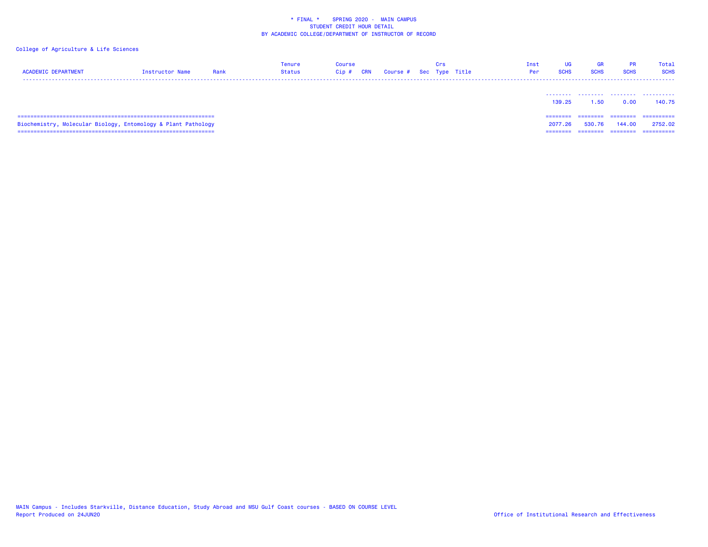| <b>ACADEMIC DEPARTMENT</b>                                    | Instructor Name | Rank | <b>Tenure</b><br>Status | <b>Course</b><br>Cip# | CRN | Course # Sec Type Title | Crs | Inst<br>Per | UG<br><b>SCHS</b>           | <b>GR</b><br><b>SCHS</b> | <b>PR</b><br><b>SCHS</b>        | Total<br><b>SCHS</b>                |
|---------------------------------------------------------------|-----------------|------|-------------------------|-----------------------|-----|-------------------------|-----|-------------|-----------------------------|--------------------------|---------------------------------|-------------------------------------|
|                                                               |                 |      |                         |                       |     |                         |     |             | 139.25                      | 1.50                     | 0.00                            | 140.75                              |
| Biochemistry, Molecular Biology, Entomology & Plant Pathology |                 |      |                         |                       |     |                         |     |             | ========<br>2077.26<br>---- | ========<br>530.76       | ---------<br>144.00<br>======== | ==========<br>2752.02<br>========== |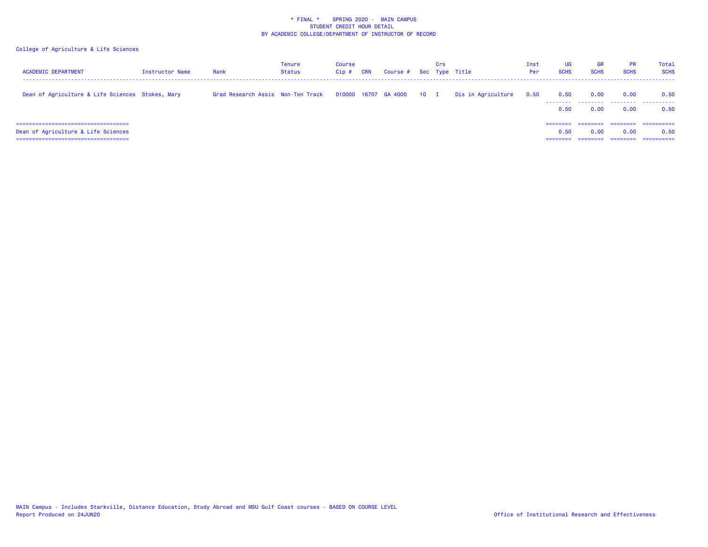| <b>ACADEMIC DEPARTMENT</b>                                                   | Instructor Name | Rank                              | <b>Tenure</b><br>Status | Course<br>$Cip$ # | <b>CRN</b> | Course # Sec Type Title | Crs |                                              | Inst<br>Per | <b>UG</b><br><b>SCHS</b> | <b>GR</b><br><b>SCHS</b> | <b>PR</b><br><b>SCHS</b>     | Total<br><b>SCHS</b>             |
|------------------------------------------------------------------------------|-----------------|-----------------------------------|-------------------------|-------------------|------------|-------------------------|-----|----------------------------------------------|-------------|--------------------------|--------------------------|------------------------------|----------------------------------|
| Dean of Agriculture & Life Sciences Stokes, Mary                             |                 | Grad Research Assis Non-Ten Track |                         |                   |            |                         |     | 010000 16707 GA 4000 10 I Dis in Agriculture | 0.50        | 0.50<br>--------<br>0.50 | 0.00<br>.<br>0.00        | 0.00<br>.<br>0.00            | 0.50<br>.<br>0.50                |
| Dean of Agriculture & Life Sciences<br>===================================== |                 |                                   |                         |                   |            |                         |     |                                              |             | ========<br>0.50         | ========<br>0.00         | ========<br>0.00<br>======== | ==========<br>0.50<br>========== |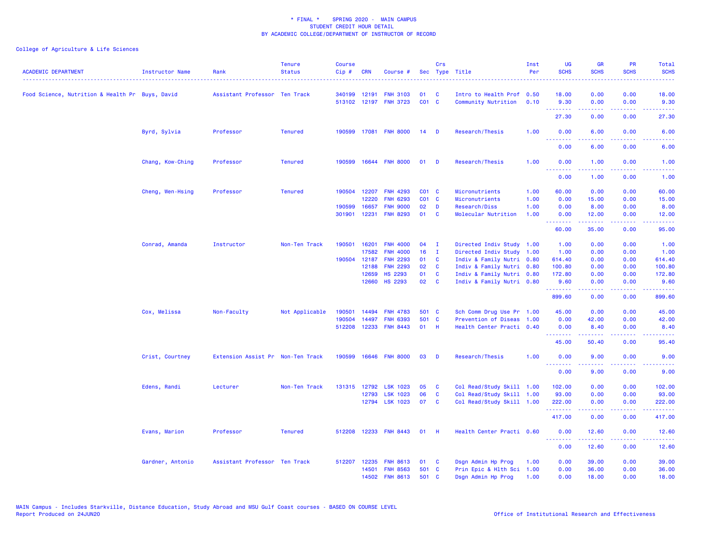| <b>ACADEMIC DEPARTMENT</b>                      | Instructor Name  | Rank                              | <b>Tenure</b><br><b>Status</b> | <b>Course</b><br>Cip# | <b>CRN</b>   | Course #                           |             | Crs<br>Sec Type Title |                           | Inst<br>Per  | <b>UG</b><br><b>SCHS</b>                                                                                                                                                                                                                                                                                                                                                                                                                                                                       | <b>GR</b><br><b>SCHS</b> | PR<br><b>SCHS</b> | Total<br><b>SCHS</b>                                                                                                              |
|-------------------------------------------------|------------------|-----------------------------------|--------------------------------|-----------------------|--------------|------------------------------------|-------------|-----------------------|---------------------------|--------------|------------------------------------------------------------------------------------------------------------------------------------------------------------------------------------------------------------------------------------------------------------------------------------------------------------------------------------------------------------------------------------------------------------------------------------------------------------------------------------------------|--------------------------|-------------------|-----------------------------------------------------------------------------------------------------------------------------------|
|                                                 |                  |                                   |                                |                       |              |                                    |             |                       |                           |              |                                                                                                                                                                                                                                                                                                                                                                                                                                                                                                |                          |                   | $\frac{1}{2} \left( \frac{1}{2} \right) \left( \frac{1}{2} \right) \left( \frac{1}{2} \right) \left( \frac{1}{2} \right)$         |
| Food Science, Nutrition & Health Pr Buys, David |                  | Assistant Professor Ten Track     |                                | 340199                | 12191        | <b>FNH 3103</b>                    | 01          | C                     | Intro to Health Prof 0.50 |              | 18.00                                                                                                                                                                                                                                                                                                                                                                                                                                                                                          | 0.00                     | 0.00              | 18.00                                                                                                                             |
|                                                 |                  |                                   |                                |                       |              | 513102 12197 FNH 3723              | $CO1$ C     |                       | Community Nutrition       | 0.10         | 9.30                                                                                                                                                                                                                                                                                                                                                                                                                                                                                           | 0.00                     | 0.00              | 9.30                                                                                                                              |
|                                                 |                  |                                   |                                |                       |              |                                    |             |                       |                           |              | --------<br>27.30                                                                                                                                                                                                                                                                                                                                                                                                                                                                              | -----<br>0.00            | .<br>0.00         | وعاعاتها<br>27.30                                                                                                                 |
|                                                 | Byrd, Sylvia     | Professor                         | <b>Tenured</b>                 | 190599                |              | 17081 FNH 8000                     | 14          | <b>D</b>              | Research/Thesis           | 1.00         | 0.00                                                                                                                                                                                                                                                                                                                                                                                                                                                                                           | 6.00                     | 0.00              | 6.00                                                                                                                              |
|                                                 |                  |                                   |                                |                       |              |                                    |             |                       |                           |              | 0.00                                                                                                                                                                                                                                                                                                                                                                                                                                                                                           | 6.00                     | 0.00              | 6.00                                                                                                                              |
|                                                 | Chang, Kow-Ching | Professor                         | <b>Tenured</b>                 | 190599                |              | 16644 FNH 8000                     | 01          | <b>D</b>              | Research/Thesis           | 1.00         | 0.00                                                                                                                                                                                                                                                                                                                                                                                                                                                                                           | 1.00                     | 0.00              | 1.00                                                                                                                              |
|                                                 |                  |                                   |                                |                       |              |                                    |             |                       |                           |              | <u>.</u><br>0.00                                                                                                                                                                                                                                                                                                                                                                                                                                                                               | .<br>1.00                | 0.00              | $\frac{1}{2} \left( \frac{1}{2} \right) \left( \frac{1}{2} \right) \left( \frac{1}{2} \right) \left( \frac{1}{2} \right)$<br>1.00 |
|                                                 |                  |                                   |                                |                       |              |                                    |             |                       |                           |              |                                                                                                                                                                                                                                                                                                                                                                                                                                                                                                |                          |                   |                                                                                                                                   |
|                                                 | Cheng, Wen-Hsing | Professor                         | <b>Tenured</b>                 |                       | 190504 12207 | <b>FNH 4293</b>                    | $CO1$ C     |                       | Micronutrients            | 1.00         | 60.00                                                                                                                                                                                                                                                                                                                                                                                                                                                                                          | 0.00                     | 0.00              | 60.00                                                                                                                             |
|                                                 |                  |                                   |                                |                       | 12220        | <b>FNH 6293</b><br><b>FNH 9000</b> | CO1 C<br>02 |                       | Micronutrients            | 1.00<br>1.00 | 0.00<br>0.00                                                                                                                                                                                                                                                                                                                                                                                                                                                                                   | 15.00                    | 0.00              | 15.00                                                                                                                             |
|                                                 |                  |                                   |                                | 190599                | 16657        |                                    | 01          | D                     | Research/Diss             |              |                                                                                                                                                                                                                                                                                                                                                                                                                                                                                                | 8.00                     | 0.00              | 8.00                                                                                                                              |
|                                                 |                  |                                   |                                | 301901                | 12231        | <b>FNH 8293</b>                    |             | <b>C</b>              | Molecular Nutrition       | 1.00         | 0.00<br>.                                                                                                                                                                                                                                                                                                                                                                                                                                                                                      | 12.00<br>.               | 0.00<br>.         | 12.00<br>.                                                                                                                        |
|                                                 |                  |                                   |                                |                       |              |                                    |             |                       |                           |              | 60.00                                                                                                                                                                                                                                                                                                                                                                                                                                                                                          | 35.00                    | 0.00              | 95.00                                                                                                                             |
|                                                 | Conrad, Amanda   | Instructor                        | Non-Ten Track                  | 190501                | 16201        | <b>FNH 4000</b>                    | 04          | $\mathbf{I}$          | Directed Indiv Study 1.00 |              | 1.00                                                                                                                                                                                                                                                                                                                                                                                                                                                                                           | 0.00                     | 0.00              | 1.00                                                                                                                              |
|                                                 |                  |                                   |                                |                       | 17582        | <b>FNH 4000</b>                    | 16          | п.                    | Directed Indiv Study 1.00 |              | 1.00                                                                                                                                                                                                                                                                                                                                                                                                                                                                                           | 0.00                     | 0.00              | 1.00                                                                                                                              |
|                                                 |                  |                                   |                                |                       | 190504 12187 | <b>FNH 2293</b>                    | 01          | <b>C</b>              | Indiv & Family Nutri 0.80 |              | 614.40                                                                                                                                                                                                                                                                                                                                                                                                                                                                                         | 0.00                     | 0.00              | 614.40                                                                                                                            |
|                                                 |                  |                                   |                                |                       | 12188        | <b>FNH 2293</b>                    | 02          | <b>C</b>              | Indiv & Family Nutri 0.80 |              | 100.80                                                                                                                                                                                                                                                                                                                                                                                                                                                                                         | 0.00                     | 0.00              | 100.80                                                                                                                            |
|                                                 |                  |                                   |                                |                       | 12659        | <b>HS 2293</b>                     | 01          | <b>C</b>              | Indiv & Family Nutri 0.80 |              | 172.80                                                                                                                                                                                                                                                                                                                                                                                                                                                                                         | 0.00                     | 0.00              | 172.80                                                                                                                            |
|                                                 |                  |                                   |                                |                       |              | 12660 HS 2293                      | 02          | $\mathbf{C}$          | Indiv & Family Nutri 0.80 |              | 9.60                                                                                                                                                                                                                                                                                                                                                                                                                                                                                           | 0.00                     | 0.00              | 9.60                                                                                                                              |
|                                                 |                  |                                   |                                |                       |              |                                    |             |                       |                           |              | --------<br>899.60                                                                                                                                                                                                                                                                                                                                                                                                                                                                             | 22222<br>0.00            | .<br>0.00         | وعاعاته عامل<br>899.60                                                                                                            |
|                                                 | Cox, Melissa     | Non-Faculty                       | Not Applicable                 | 190501                | 14494        | <b>FNH 4783</b>                    | 501 C       |                       | Sch Comm Drug Use Pr 1.00 |              | 45.00                                                                                                                                                                                                                                                                                                                                                                                                                                                                                          | 0.00                     | 0.00              | 45.00                                                                                                                             |
|                                                 |                  |                                   |                                | 190504                | 14497        | <b>FNH 6393</b>                    | 501 C       |                       | Prevention of Diseas      | 1.00         | 0.00                                                                                                                                                                                                                                                                                                                                                                                                                                                                                           | 42.00                    | 0.00              | 42.00                                                                                                                             |
|                                                 |                  |                                   |                                | 512208                |              | 12233 FNH 8443                     | 01 H        |                       | Health Center Practi 0.40 |              | 0.00                                                                                                                                                                                                                                                                                                                                                                                                                                                                                           | 8.40                     | 0.00              | 8.40                                                                                                                              |
|                                                 |                  |                                   |                                |                       |              |                                    |             |                       |                           |              | <b></b><br>45.00                                                                                                                                                                                                                                                                                                                                                                                                                                                                               | $- - - - -$<br>50.40     | د د د د<br>0.00   | .<br>95.40                                                                                                                        |
|                                                 | Crist, Courtney  | Extension Assist Pr Non-Ten Track |                                | 190599                |              | 16646 FNH 8000                     | 03          | D                     | Research/Thesis           | 1.00         | 0.00                                                                                                                                                                                                                                                                                                                                                                                                                                                                                           | 9.00                     | 0.00              | 9.00                                                                                                                              |
|                                                 |                  |                                   |                                |                       |              |                                    |             |                       |                           |              | 0.00                                                                                                                                                                                                                                                                                                                                                                                                                                                                                           | 9.00                     | 0.00              | 9.00                                                                                                                              |
|                                                 | Edens, Randi     | Lecturer                          | Non-Ten Track                  |                       | 131315 12792 | <b>LSK 1023</b>                    | 05          | C                     | Col Read/Study Skill 1.00 |              | 102.00                                                                                                                                                                                                                                                                                                                                                                                                                                                                                         | 0.00                     | 0.00              | 102.00                                                                                                                            |
|                                                 |                  |                                   |                                |                       | 12793        | <b>LSK 1023</b>                    | 06          | $\mathbf{C}$          | Col Read/Study Skill 1.00 |              | 93.00                                                                                                                                                                                                                                                                                                                                                                                                                                                                                          | 0.00                     | 0.00              | 93.00                                                                                                                             |
|                                                 |                  |                                   |                                |                       |              | 12794 LSK 1023                     | 07          | <b>C</b>              | Col Read/Study Skill 1.00 |              | 222.00                                                                                                                                                                                                                                                                                                                                                                                                                                                                                         | 0.00                     | 0.00              | 222.00                                                                                                                            |
|                                                 |                  |                                   |                                |                       |              |                                    |             |                       |                           |              | <u>.</u><br>417.00                                                                                                                                                                                                                                                                                                                                                                                                                                                                             | .<br>0.00                | بالمحامي<br>0.00  | .<br>417.00                                                                                                                       |
|                                                 | Evans, Marion    | Professor                         | <b>Tenured</b>                 | 512208                |              | 12233 FNH 8443                     | 01          | H                     | Health Center Practi 0.60 |              | 0.00                                                                                                                                                                                                                                                                                                                                                                                                                                                                                           | 12.60                    | 0.00              | 12.60                                                                                                                             |
|                                                 |                  |                                   |                                |                       |              |                                    |             |                       |                           |              | $\begin{array}{cccccccccccccc} \multicolumn{2}{c}{} & \multicolumn{2}{c}{} & \multicolumn{2}{c}{} & \multicolumn{2}{c}{} & \multicolumn{2}{c}{} & \multicolumn{2}{c}{} & \multicolumn{2}{c}{} & \multicolumn{2}{c}{} & \multicolumn{2}{c}{} & \multicolumn{2}{c}{} & \multicolumn{2}{c}{} & \multicolumn{2}{c}{} & \multicolumn{2}{c}{} & \multicolumn{2}{c}{} & \multicolumn{2}{c}{} & \multicolumn{2}{c}{} & \multicolumn{2}{c}{} & \multicolumn{2}{c}{} & \multicolumn{2}{c}{} & \$<br>0.00 | 12.60                    | 0.00              | 12.60                                                                                                                             |
|                                                 | Gardner, Antonio | Assistant Professor Ten Track     |                                | 512207                | 12235        | <b>FNH 8613</b>                    | 01          | $\mathbf{c}$          | Dsgn Admin Hp Prog        | 1.00         | 0.00                                                                                                                                                                                                                                                                                                                                                                                                                                                                                           | 39.00                    | 0.00              | 39.00                                                                                                                             |
|                                                 |                  |                                   |                                |                       | 14501        | <b>FNH 8563</b>                    | 501 C       |                       | Prin Epic & Hlth Sci 1.00 |              | 0.00                                                                                                                                                                                                                                                                                                                                                                                                                                                                                           | 36.00                    | 0.00              | 36.00                                                                                                                             |
|                                                 |                  |                                   |                                |                       | 14502        | <b>FNH 8613</b>                    | 501 C       |                       | Dsgn Admin Hp Prog        | 1.00         | 0.00                                                                                                                                                                                                                                                                                                                                                                                                                                                                                           | 18.00                    | 0.00              | 18.00                                                                                                                             |
|                                                 |                  |                                   |                                |                       |              |                                    |             |                       |                           |              |                                                                                                                                                                                                                                                                                                                                                                                                                                                                                                |                          |                   |                                                                                                                                   |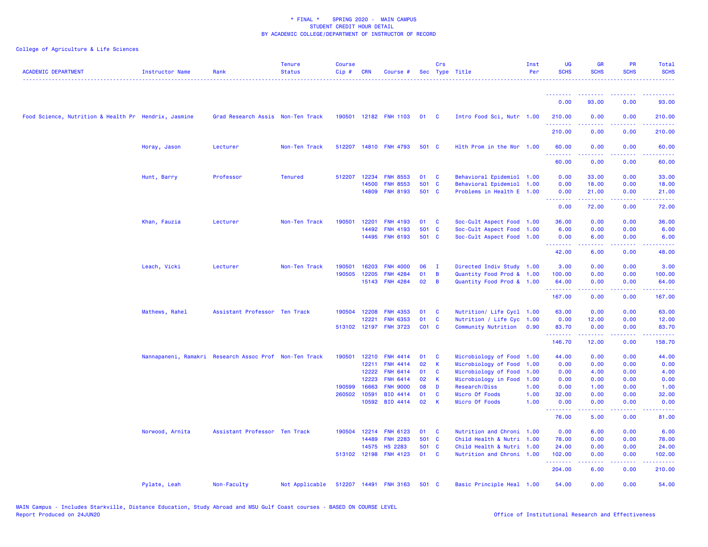| <b>ACADEMIC DEPARTMENT</b>                           | <b>Instructor Name</b> | Rank                                                   | <b>Tenure</b><br><b>Status</b> | <b>Course</b><br>Cip# | <b>CRN</b> | Course #              |                   | Crs          | Sec Type Title            | Inst<br>Per | <b>UG</b><br><b>SCHS</b> | <b>GR</b><br><b>SCHS</b> | PR<br><b>SCHS</b>                                                                                                                 | Total<br><b>SCHS</b><br>. |
|------------------------------------------------------|------------------------|--------------------------------------------------------|--------------------------------|-----------------------|------------|-----------------------|-------------------|--------------|---------------------------|-------------|--------------------------|--------------------------|-----------------------------------------------------------------------------------------------------------------------------------|---------------------------|
|                                                      |                        |                                                        |                                |                       |            |                       |                   |              |                           |             | <u>.</u>                 | --------                 | .                                                                                                                                 | <u>.</u>                  |
|                                                      |                        |                                                        |                                |                       |            |                       |                   |              |                           |             | 0.00                     | 93.00                    | 0.00                                                                                                                              | 93.00                     |
| Food Science, Nutrition & Health Pr Hendrix, Jasmine |                        | Grad Research Assis Non-Ten Track                      |                                |                       |            | 190501 12182 FNH 1103 | 01 C              |              | Intro Food Sci, Nutr 1.00 |             | 210.00<br><b></b>        | 0.00                     | 0.00<br>$\sim$ $\sim$ $\sim$ $\sim$                                                                                               | 210.00<br><b>.</b> .      |
|                                                      |                        |                                                        |                                |                       |            |                       |                   |              |                           |             | 210.00                   | 0.00                     | 0.00                                                                                                                              | 210.00                    |
|                                                      | Horay, Jason           | Lecturer                                               | Non-Ten Track                  |                       |            | 512207 14810 FNH 4793 | 501 C             |              | Hlth Prom in the Wor 1.00 |             | 60.00<br>.               | 0.00<br><u>.</u>         | 0.00<br>$\frac{1}{2} \left( \frac{1}{2} \right) \left( \frac{1}{2} \right) \left( \frac{1}{2} \right) \left( \frac{1}{2} \right)$ | 60.00<br>.                |
|                                                      |                        |                                                        |                                |                       |            |                       |                   |              |                           |             | 60.00                    | 0.00                     | 0.00                                                                                                                              | 60.00                     |
|                                                      | Hunt, Barry            | Professor                                              | <b>Tenured</b>                 | 512207                | 12234      | <b>FNH 8553</b>       | 01                | C            | Behavioral Epidemiol 1.00 |             | 0.00                     | 33.00                    | 0.00                                                                                                                              | 33.00                     |
|                                                      |                        |                                                        |                                |                       | 14500      | <b>FNH 8553</b>       | 501 C             |              | Behavioral Epidemiol 1.00 |             | 0.00                     | 18.00                    | 0.00                                                                                                                              | 18.00                     |
|                                                      |                        |                                                        |                                |                       | 14809      | <b>FNH 8193</b>       | 501 C             |              | Problems in Health E 1.00 |             | 0.00<br><b>.</b>         | 21.00<br>.               | 0.00<br>.                                                                                                                         | 21.00<br>.                |
|                                                      |                        |                                                        |                                |                       |            |                       |                   |              |                           |             | 0.00                     | 72.00                    | 0.00                                                                                                                              | 72.00                     |
|                                                      | Khan, Fauzia           | Lecturer                                               | Non-Ten Track                  | 190501                | 12201      | <b>FNH 4193</b>       | 01                | C            | Soc-Cult Aspect Food 1.00 |             | 36.00                    | 0.00                     | 0.00                                                                                                                              | 36.00                     |
|                                                      |                        |                                                        |                                |                       | 14492      | <b>FNH 4193</b>       | 501               | $\mathbf{C}$ | Soc-Cult Aspect Food 1.00 |             | 6.00                     | 0.00                     | 0.00                                                                                                                              | 6.00                      |
|                                                      |                        |                                                        |                                |                       |            | 14495 FNH 6193        | 501 C             |              | Soc-Cult Aspect Food 1.00 |             | 0.00<br><b>.</b>         | 6.00                     | 0.00<br>بالمحام                                                                                                                   | 6.00                      |
|                                                      |                        |                                                        |                                |                       |            |                       |                   |              |                           |             | 42.00                    | 6.00                     | 0.00                                                                                                                              | 48.00                     |
|                                                      | Leach, Vicki           | Lecturer                                               | Non-Ten Track                  | 190501                | 16203      | <b>FNH 4000</b>       | 06                | $\mathbf{I}$ | Directed Indiv Study 1.00 |             | 3.00                     | 0.00                     | 0.00                                                                                                                              | 3.00                      |
|                                                      |                        |                                                        |                                | 190505                | 12205      | <b>FNH 4284</b>       | 01                | B            | Quantity Food Prod & 1.00 |             | 100.00                   | 0.00                     | 0.00                                                                                                                              | 100.00                    |
|                                                      |                        |                                                        |                                |                       |            | 15143 FNH 4284        | 02                | B            | Quantity Food Prod & 1.00 |             | 64.00<br>.               | 0.00<br>.                | 0.00<br>.                                                                                                                         | 64.00<br><u>.</u>         |
|                                                      |                        |                                                        |                                |                       |            |                       |                   |              |                           |             | 167.00                   | 0.00                     | 0.00                                                                                                                              | 167.00                    |
|                                                      | Mathews, Rahel         | Assistant Professor Ten Track                          |                                | 190504                | 12208      | <b>FNH 4353</b>       | 01                | C            | Nutrition/ Life Cycl 1.00 |             | 63.00                    | 0.00                     | 0.00                                                                                                                              | 63.00                     |
|                                                      |                        |                                                        |                                |                       | 12221      | <b>FNH 6353</b>       | 01                | C            | Nutrition / Life Cyc 1.00 |             | 0.00                     | 12.00                    | 0.00                                                                                                                              | 12.00                     |
|                                                      |                        |                                                        |                                |                       |            | 513102 12197 FNH 3723 | CO <sub>1</sub> C |              | Community Nutrition 0.90  |             | 83.70<br><b></b>         | 0.00<br>.                | 0.00<br>.                                                                                                                         | 83.70<br>.                |
|                                                      |                        |                                                        |                                |                       |            |                       |                   |              |                           |             | 146.70                   | 12.00                    | 0.00                                                                                                                              | 158.70                    |
|                                                      |                        | Nannapaneni, Ramakri Research Assoc Prof Non-Ten Track |                                | 190501                | 12210      | <b>FNH 4414</b>       | 01                | C            | Microbiology of Food      | 1.00        | 44.00                    | 0.00                     | 0.00                                                                                                                              | 44.00                     |
|                                                      |                        |                                                        |                                |                       | 12211      | <b>FNH 4414</b>       | 02                | К            | Microbiology of Food      | 1.00        | 0.00                     | 0.00                     | 0.00                                                                                                                              | 0.00                      |
|                                                      |                        |                                                        |                                |                       | 12222      | <b>FNH 6414</b>       | 01                | C            | Microbiology of Food      | 1.00        | 0.00                     | 4.00                     | 0.00                                                                                                                              | 4.00                      |
|                                                      |                        |                                                        |                                |                       | 12223      | FNH 6414              | 02                | К            | Microbiology in Food      | 1.00        | 0.00                     | 0.00                     | 0.00                                                                                                                              | 0.00                      |
|                                                      |                        |                                                        |                                | 190599                | 16663      | <b>FNH 9000</b>       | 08                | D            | Research/Diss             | 1.00        | 0.00                     | 1.00                     | 0.00                                                                                                                              | 1.00                      |
|                                                      |                        |                                                        |                                | 260502                | 10591      | BIO 4414              | 01                | C            | Micro Of Foods            | 1.00        | 32.00                    | 0.00                     | 0.00                                                                                                                              | 32.00                     |
|                                                      |                        |                                                        |                                |                       |            | 10592 BIO 4414        | 02                | К            | Micro Of Foods            | 1.00        | 0.00<br>.                | 0.00<br>22222            | 0.00<br>.                                                                                                                         | 0.00<br>.                 |
|                                                      |                        |                                                        |                                |                       |            |                       |                   |              |                           |             | 76.00                    | 5.00                     | 0.00                                                                                                                              | 81.00                     |
|                                                      | Norwood, Arnita        | Assistant Professor Ten Track                          |                                | 190504                | 12214      | <b>FNH 6123</b>       | 01                | C            | Nutrition and Chroni 1.00 |             | 0.00                     | 6.00                     | 0.00                                                                                                                              | 6.00                      |
|                                                      |                        |                                                        |                                |                       | 14489      | <b>FNH 2283</b>       | 501 C             |              | Child Health & Nutri 1.00 |             | 78.00                    | 0.00                     | 0.00                                                                                                                              | 78.00                     |
|                                                      |                        |                                                        |                                |                       | 14575      | <b>HS 2283</b>        | 501               | <b>C</b>     | Child Health & Nutri 1.00 |             | 24.00                    | 0.00                     | 0.00                                                                                                                              | 24.00                     |
|                                                      |                        |                                                        |                                |                       |            | 513102 12198 FNH 4123 | 01                | <b>C</b>     | Nutrition and Chroni 1.00 |             | 102.00<br>.              | 0.00<br>22222            | 0.00<br>.                                                                                                                         | 102.00<br>222223          |
|                                                      |                        |                                                        |                                |                       |            |                       |                   |              |                           |             | 204.00                   | 6.00                     | 0.00                                                                                                                              | 210.00                    |
|                                                      | Pylate, Leah           | Non-Faculty                                            | Not Applicable                 |                       |            | 512207 14491 FNH 3163 | 501 C             |              | Basic Principle Heal 1.00 |             | 54.00                    | 0.00                     | 0.00                                                                                                                              | 54.00                     |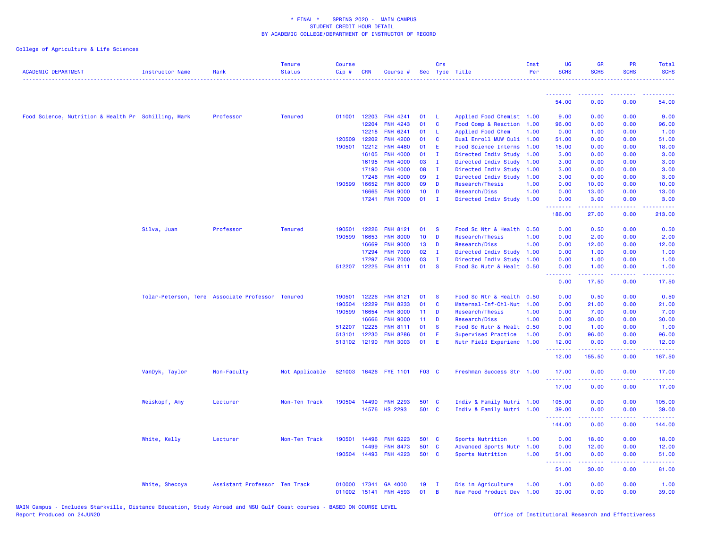| <b>ACADEMIC DEPARTMENT</b>                          | <b>Instructor Name</b> | Rank                                             | <b>Tenure</b><br><b>Status</b> | <b>Course</b><br>Cip# | <b>CRN</b>   | Course #              | Sec             | Crs          | Type Title                | Inst<br>Per | <b>UG</b><br><b>SCHS</b>         | <b>GR</b><br><b>SCHS</b>                                                                                                                             | PR<br><b>SCHS</b>                                                                                                                 | Total<br><b>SCHS</b>                         |
|-----------------------------------------------------|------------------------|--------------------------------------------------|--------------------------------|-----------------------|--------------|-----------------------|-----------------|--------------|---------------------------|-------------|----------------------------------|------------------------------------------------------------------------------------------------------------------------------------------------------|-----------------------------------------------------------------------------------------------------------------------------------|----------------------------------------------|
|                                                     |                        |                                                  |                                |                       |              |                       |                 |              |                           |             | --------                         |                                                                                                                                                      |                                                                                                                                   |                                              |
|                                                     |                        |                                                  |                                |                       |              |                       |                 |              |                           |             | 54.00                            | 0.00                                                                                                                                                 | 0.00                                                                                                                              | 54.00                                        |
| Food Science, Nutrition & Health Pr Schilling, Mark |                        | Professor                                        | <b>Tenured</b>                 | 011001                | 12203        | <b>FNH 4241</b>       | 01              | -L           | Applied Food Chemist 1.00 |             | 9.00                             | 0.00                                                                                                                                                 | 0.00                                                                                                                              | 9.00                                         |
|                                                     |                        |                                                  |                                |                       | 12204        | <b>FNH 4243</b>       | 01              | <b>C</b>     | Food Comp & Reaction      | 1.00        | 96.00                            | 0.00                                                                                                                                                 | 0.00                                                                                                                              | 96.00                                        |
|                                                     |                        |                                                  |                                |                       | 12218        | FNH 6241              | 01              | L.           | Applied Food Chem         | 1.00        | 0.00                             | 1.00                                                                                                                                                 | 0.00                                                                                                                              | 1.00                                         |
|                                                     |                        |                                                  |                                | 120509                | 12202        | <b>FNH 4200</b>       | 01              | C            | Dual Enroll MUW Culi 1.00 |             | 51.00                            | 0.00                                                                                                                                                 | 0.00                                                                                                                              | 51.00                                        |
|                                                     |                        |                                                  |                                | 190501                | 12212        | <b>FNH 4480</b>       | 01              | Ε            | Food Science Interns      | 1.00        | 18.00                            | 0.00                                                                                                                                                 | 0.00                                                                                                                              | 18.00                                        |
|                                                     |                        |                                                  |                                |                       | 16105        | <b>FNH 4000</b>       | 01              | $\mathbf{I}$ | Directed Indiv Study      | 1.00        | 3.00                             | 0.00                                                                                                                                                 | 0.00                                                                                                                              | 3.00                                         |
|                                                     |                        |                                                  |                                |                       | 16195        | <b>FNH 4000</b>       | 03              | $\mathbf{I}$ | Directed Indiv Study      | 1.00        | 3.00                             | 0.00                                                                                                                                                 | 0.00                                                                                                                              | 3.00                                         |
|                                                     |                        |                                                  |                                |                       | 17190        | <b>FNH 4000</b>       | 08              | $\mathbf{I}$ | Directed Indiv Study      | 1.00        | 3.00                             | 0.00                                                                                                                                                 | 0.00                                                                                                                              | 3.00                                         |
|                                                     |                        |                                                  |                                |                       | 17246        | <b>FNH 4000</b>       | 09              | $\mathbf{I}$ | Directed Indiv Study      | 1.00        | 3.00                             | 0.00                                                                                                                                                 | 0.00                                                                                                                              | 3.00                                         |
|                                                     |                        |                                                  |                                | 190599                | 16652        | <b>FNH 8000</b>       | 09              | D            | Research/Thesis           | 1.00        | 0.00                             | 10.00                                                                                                                                                | 0.00                                                                                                                              | 10.00                                        |
|                                                     |                        |                                                  |                                |                       | 16665        | <b>FNH 9000</b>       | 10 <sub>1</sub> | D            | Research/Diss             | 1.00        | 0.00                             | 13.00                                                                                                                                                | 0.00                                                                                                                              | 13.00                                        |
|                                                     |                        |                                                  |                                |                       | 17241        | <b>FNH 7000</b>       | 01              | $\mathbf{I}$ | Directed Indiv Study      | 1.00        | 0.00<br>.                        | 3.00                                                                                                                                                 | 0.00                                                                                                                              | 3.00                                         |
|                                                     |                        |                                                  |                                |                       |              |                       |                 |              |                           |             | 186.00                           | 27.00                                                                                                                                                | 0.00                                                                                                                              | 213.00                                       |
|                                                     | Silva, Juan            | Professor                                        | <b>Tenured</b>                 | 190501                | 12226        | <b>FNH 8121</b>       | 01              | <b>S</b>     | Food Sc Ntr & Health 0.50 |             | 0.00                             | 0.50                                                                                                                                                 | 0.00                                                                                                                              | 0.50                                         |
|                                                     |                        |                                                  |                                | 190599                | 16653        | <b>FNH 8000</b>       | 10 <sub>1</sub> | D            | Research/Thesis           | 1.00        | 0.00                             | 2.00                                                                                                                                                 | 0.00                                                                                                                              | 2.00                                         |
|                                                     |                        |                                                  |                                |                       | 16669        | <b>FNH 9000</b>       | 13              | D            | Research/Diss             | 1.00        | 0.00                             | 12.00                                                                                                                                                | 0.00                                                                                                                              | 12.00                                        |
|                                                     |                        |                                                  |                                |                       | 17294        | <b>FNH 7000</b>       | 02              | $\mathbf{I}$ | Directed Indiv Study      | 1.00        | 0.00                             | 1.00                                                                                                                                                 | 0.00                                                                                                                              | 1.00                                         |
|                                                     |                        |                                                  |                                |                       | 17297        | <b>FNH 7000</b>       | 03              | $\mathbf{I}$ | Directed Indiv Study      | 1.00        | 0.00                             | 1.00                                                                                                                                                 | 0.00                                                                                                                              | 1.00                                         |
|                                                     |                        |                                                  |                                |                       | 512207 12225 | <b>FNH 8111</b>       | 01              | <b>S</b>     | Food Sc Nutr & Healt 0.50 |             | 0.00                             | 1.00                                                                                                                                                 | 0.00                                                                                                                              | 1.00                                         |
|                                                     |                        |                                                  |                                |                       |              |                       |                 |              |                           |             | .<br>0.00                        | .<br>17.50                                                                                                                                           | .<br>0.00                                                                                                                         | وعاديات<br>17.50                             |
|                                                     |                        | Tolar-Peterson, Tere Associate Professor Tenured |                                | 190501                | 12226        | <b>FNH 8121</b>       | 01              | <b>S</b>     | Food Sc Ntr & Health      | 0.50        | 0.00                             | 0.50                                                                                                                                                 | 0.00                                                                                                                              | 0.50                                         |
|                                                     |                        |                                                  |                                | 190504                | 12229        | <b>FNH 8233</b>       | 01              | C            | Maternal-Inf-Chl-Nut      | 1.00        | 0.00                             | 21.00                                                                                                                                                | 0.00                                                                                                                              | 21.00                                        |
|                                                     |                        |                                                  |                                | 190599                | 16654        | <b>FNH 8000</b>       | 11              | D            | Research/Thesis           | 1.00        | 0.00                             | 7.00                                                                                                                                                 | 0.00                                                                                                                              | 7.00                                         |
|                                                     |                        |                                                  |                                |                       | 16666        | <b>FNH 9000</b>       | 11              | D            | Research/Diss             | 1.00        | 0.00                             | 30.00                                                                                                                                                | 0.00                                                                                                                              | 30.00                                        |
|                                                     |                        |                                                  |                                |                       | 512207 12225 | <b>FNH 8111</b>       | 01              | <b>S</b>     | Food Sc Nutr & Healt 0.50 |             | 0.00                             | 1.00                                                                                                                                                 | 0.00                                                                                                                              | 1.00                                         |
|                                                     |                        |                                                  |                                | 513101                | 12230        | <b>FNH 8286</b>       | 01              | E            | Supervised Practice       | 1.00        | 0.00                             | 96.00                                                                                                                                                | 0.00                                                                                                                              | 96.00                                        |
|                                                     |                        |                                                  |                                |                       |              | 513102 12190 FNH 3003 | 01              | E            | Nutr Field Experienc      | 1.00        | 12.00                            | 0.00                                                                                                                                                 | 0.00                                                                                                                              | 12.00                                        |
|                                                     |                        |                                                  |                                |                       |              |                       |                 |              |                           |             | <u> - - - - - - - -</u><br>12.00 | 155.50                                                                                                                                               | $\frac{1}{2} \left( \frac{1}{2} \right) \left( \frac{1}{2} \right) \left( \frac{1}{2} \right) \left( \frac{1}{2} \right)$<br>0.00 | $\sim$ $\sim$ $\sim$ $\sim$ $\sim$<br>167.50 |
|                                                     | VanDyk, Taylor         | Non-Faculty                                      | Not Applicable                 |                       |              | 521003 16426 FYE 1101 | <b>F03 C</b>    |              | Freshman Success Str 1.00 |             | 17.00                            | 0.00                                                                                                                                                 | 0.00                                                                                                                              | 17.00                                        |
|                                                     |                        |                                                  |                                |                       |              |                       |                 |              |                           |             | .                                | $\frac{1}{2} \left( \frac{1}{2} \right) \left( \frac{1}{2} \right) \left( \frac{1}{2} \right) \left( \frac{1}{2} \right) \left( \frac{1}{2} \right)$ | .                                                                                                                                 | .                                            |
|                                                     |                        |                                                  |                                |                       |              |                       |                 |              |                           |             | 17.00                            | 0.00                                                                                                                                                 | 0.00                                                                                                                              | 17.00                                        |
|                                                     | Weiskopf, Amy          | Lecturer                                         | Non-Ten Track                  | 190504                | 14490        | <b>FNH 2293</b>       | 501 C           |              | Indiv & Family Nutri 1.00 |             | 105.00                           | 0.00                                                                                                                                                 | 0.00                                                                                                                              | 105.00                                       |
|                                                     |                        |                                                  |                                |                       | 14576        | <b>HS 2293</b>        | 501 C           |              | Indiv & Family Nutri 1.00 |             | 39.00                            | 0.00                                                                                                                                                 | 0.00                                                                                                                              | 39.00                                        |
|                                                     |                        |                                                  |                                |                       |              |                       |                 |              |                           |             | .<br>144.00                      | 0.00                                                                                                                                                 | د د د د<br>0.00                                                                                                                   | .<br>144.00                                  |
|                                                     | White, Kelly           | Lecturer                                         | Non-Ten Track                  | 190501                | 14496        | <b>FNH 6223</b>       | 501 C           |              | Sports Nutrition          | 1.00        | 0.00                             | 18.00                                                                                                                                                | 0.00                                                                                                                              | 18.00                                        |
|                                                     |                        |                                                  |                                |                       | 14499        | <b>FNH 8473</b>       | 501             | <b>C</b>     | Advanced Sports Nutr      | 1.00        | 0.00                             | 12.00                                                                                                                                                | 0.00                                                                                                                              | 12.00                                        |
|                                                     |                        |                                                  |                                | 190504                | 14493        | <b>FNH 4223</b>       | 501 C           |              | Sports Nutrition          | 1.00        | 51.00                            | 0.00                                                                                                                                                 | 0.00                                                                                                                              | 51.00                                        |
|                                                     |                        |                                                  |                                |                       |              |                       |                 |              |                           |             | .<br>51.00                       | 22222<br>30.00                                                                                                                                       | د د د د<br>0.00                                                                                                                   | والوالواتين<br>81.00                         |
|                                                     |                        |                                                  |                                |                       |              |                       |                 |              |                           |             |                                  |                                                                                                                                                      |                                                                                                                                   |                                              |
|                                                     | White, Shecoya         | Assistant Professor Ten Track                    |                                | 010000                | 17341        | GA 4000               | 19              | $\mathbf{I}$ | Dis in Agriculture        | 1.00        | 1.00                             | 0.00                                                                                                                                                 | 0.00                                                                                                                              | 1.00                                         |
|                                                     |                        |                                                  |                                | 011002                |              | 15141 FNH 4593        | 01              | B            | New Food Product Dev      | 1.00        | 39.00                            | 0.00                                                                                                                                                 | 0.00                                                                                                                              | 39.00                                        |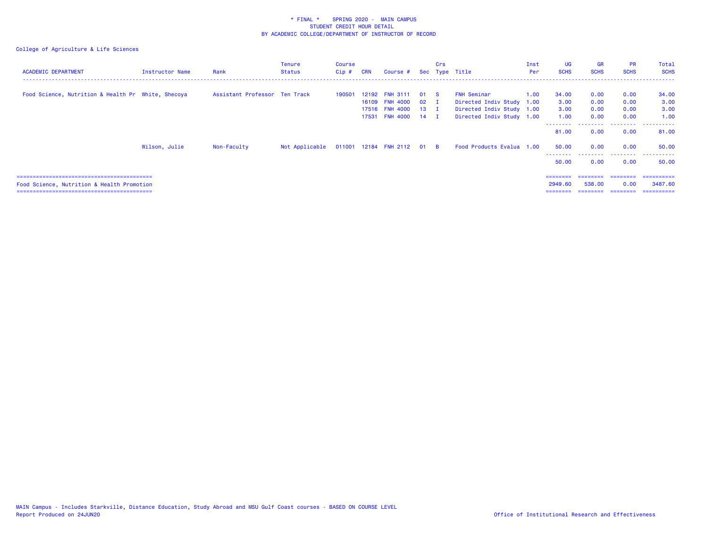| <b>ACADEMIC DEPARTMENT</b>                         | Instructor Name | Rank                          | <b>Tenure</b><br>Status | Course<br>$Cip$ # | <b>CRN</b> | Course #                                           |                                | Crs | Sec Type Title                                                        | Inst<br>Per | <b>UG</b><br><b>SCHS</b>   | <b>GR</b><br><b>SCHS</b> | <b>PR</b><br><b>SCHS</b> | Total<br><b>SCHS</b>  |
|----------------------------------------------------|-----------------|-------------------------------|-------------------------|-------------------|------------|----------------------------------------------------|--------------------------------|-----|-----------------------------------------------------------------------|-------------|----------------------------|--------------------------|--------------------------|-----------------------|
| Food Science, Nutrition & Health Pr White, Shecoya |                 | Assistant Professor Ten Track |                         | 190501            |            | 12192 FNH 3111<br>16109 FNH 4000<br>17516 FNH 4000 | 01 S<br>$02$ I<br>$13 \quad I$ |     | FNH Seminar<br>Directed Indiv Study 1.00<br>Directed Indiv Study 1.00 | 1.00        | 34.00<br>3.00<br>3.00      | 0.00<br>0.00<br>0.00     | 0.00<br>0.00<br>0.00     | 34.00<br>3.00<br>3.00 |
|                                                    |                 |                               |                         |                   |            | 17531 FNH 4000 14 I                                |                                |     | Directed Indiv Study 1.00                                             |             | 1.00<br>81.00              | 0.00<br>0.00             | 0.00<br>0.00             | 1.00<br>81.00         |
|                                                    | Wilson, Julie   | Non-Faculty                   | Not Applicable          |                   |            | 011001 12184 FNH 2112 01 B                         |                                |     | Food Products Evalua 1.00                                             |             | 50.00                      | 0.00                     | 0.00                     | 50.00<br>.            |
|                                                    |                 |                               |                         |                   |            |                                                    |                                |     |                                                                       |             | 50.00<br>$=$ = = = = = = = | 0.00<br>========         | 0.00<br>---------        | 50.00<br>==========   |
| Food Science, Nutrition & Health Promotion         |                 |                               |                         |                   |            |                                                    |                                |     |                                                                       |             | 2949.60<br>========        | 538,00<br>---------      | 0.00<br>--------         | 3487.60<br>=========  |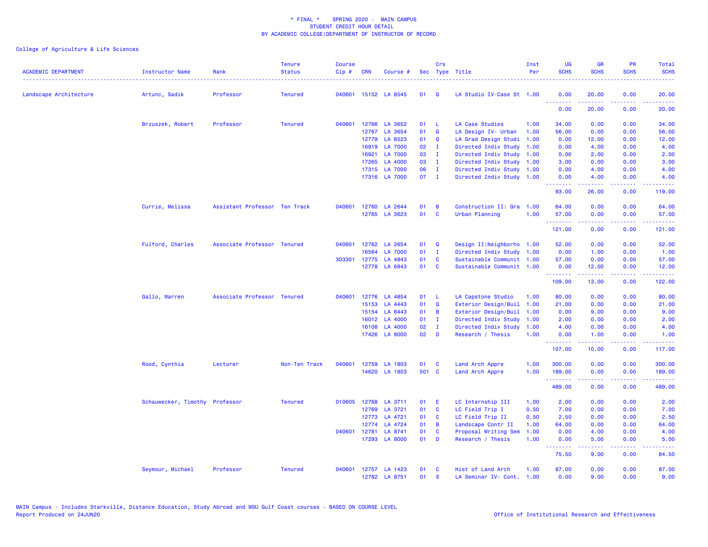| <b>ACADEMIC DEPARTMENT</b> | Instructor Name                | Rank                          | <b>Tenure</b><br><b>Status</b> | <b>Course</b><br>Cip# | <b>CRN</b> | Course #                       |              | Crs          | Sec Type Title                                    | Inst<br>Per | <b>UG</b><br><b>SCHS</b> | <b>GR</b><br><b>SCHS</b>                                                                                                                                      | PR<br><b>SCHS</b>  | Total<br><b>SCHS</b>      |
|----------------------------|--------------------------------|-------------------------------|--------------------------------|-----------------------|------------|--------------------------------|--------------|--------------|---------------------------------------------------|-------------|--------------------------|---------------------------------------------------------------------------------------------------------------------------------------------------------------|--------------------|---------------------------|
| Landscape Architecture     | Artunc, Sadik                  | Professor                     | <b>Tenured</b>                 |                       |            | 040601 15152 LA 8545           | 01           | Q            | LA Studio IV-Case St 1.00                         |             | 0.00<br><b>.</b>         | 20.00<br>بالأباليات                                                                                                                                           | 0.00<br>$\sim 100$ | 20.00<br>وساعات           |
|                            |                                |                               |                                |                       |            |                                |              |              |                                                   |             | 0.00                     | 20.00                                                                                                                                                         | 0.00               | 20.00                     |
|                            | Brzuszek, Robert               | Professor                     | <b>Tenured</b>                 | 040601                |            | 12766 LA 3652                  | 01           | -L           | <b>LA Case Studies</b>                            | 1.00        | 34.00                    | 0.00                                                                                                                                                          | 0.00               | 34.00                     |
|                            |                                |                               |                                |                       |            | 12767 LA 3654                  | 01           | $\mathbf Q$  | LA Design IV- Urban                               | 1.00        | 56.00                    | 0.00                                                                                                                                                          | 0.00               | 56.00                     |
|                            |                                |                               |                                |                       |            | 12779 LA 8523                  | 01           | Q            | LA Grad Design Studi                              | 1.00        | 0.00                     | 12.00                                                                                                                                                         | 0.00               | 12.00                     |
|                            |                                |                               |                                |                       | 16919      | <b>LA 7000</b>                 | 02           | $\mathbf{I}$ | Directed Indiv Study                              | 1.00        | 0.00                     | 4.00                                                                                                                                                          | 0.00               | 4.00                      |
|                            |                                |                               |                                |                       | 16921      | LA 7000                        | 03           | $\mathbf{I}$ | Directed Indiv Study                              | 1.00        | 0.00                     | 2.00                                                                                                                                                          | 0.00               | 2.00                      |
|                            |                                |                               |                                |                       | 17265      | LA 4000                        | 03           | $\mathbf{I}$ | Directed Indiv Study                              | 1.00        | 3.00                     | 0.00                                                                                                                                                          | 0.00               | 3.00                      |
|                            |                                |                               |                                |                       |            | 17315 LA 7000<br>17316 LA 7000 | 06<br>$07$ I | $\mathbf{I}$ | Directed Indiv Study<br>Directed Indiv Study 1.00 | 1.00        | 0.00<br>0.00             | 4.00<br>4.00                                                                                                                                                  | 0.00<br>0.00       | 4.00<br>4.00              |
|                            |                                |                               |                                |                       |            |                                |              |              |                                                   |             | <u>.</u><br>93.00        | $\frac{1}{2} \left( \frac{1}{2} \right) \left( \frac{1}{2} \right) \left( \frac{1}{2} \right) \left( \frac{1}{2} \right) \left( \frac{1}{2} \right)$<br>26.00 | .<br>0.00          | .<br>119.00               |
|                            | Currie, Melissa                | Assistant Professor Ten Track |                                | 040601                |            | 12760 LA 2644                  | 01           | B            | Construction II: Gra                              | 1.00        | 64.00                    | 0.00                                                                                                                                                          | 0.00               | 64.00                     |
|                            |                                |                               |                                |                       |            | 12765 LA 3623                  | 01           | $\mathbf c$  | Urban Planning                                    | 1.00        | 57.00<br>.               | 0.00<br>.                                                                                                                                                     | 0.00<br>د د د د    | 57.00<br>.                |
|                            |                                |                               |                                |                       |            |                                |              |              |                                                   |             | 121.00                   | 0.00                                                                                                                                                          | 0.00               | 121.00                    |
|                            | Fulford, Charles               | Associate Professor Tenured   |                                | 040601                |            | 12762 LA 2654                  | 01           | $\mathbf Q$  | Design II: Neighborho 1.00                        |             | 52.00                    | 0.00                                                                                                                                                          | 0.00               | 52.00                     |
|                            |                                |                               |                                |                       | 16564      | <b>LA 7000</b>                 | 01           | $\mathbf{I}$ | Directed Indiv Study 1.00                         |             | 0.00                     | 1.00                                                                                                                                                          | 0.00               | 1.00                      |
|                            |                                |                               |                                | 303301                | 12775      | LA 4843                        | 01           | C            | Sustainable Communit 1.00                         |             | 57.00                    | 0.00                                                                                                                                                          | 0.00               | 57.00                     |
|                            |                                |                               |                                |                       |            | 12778 LA 6843                  | 01           | $\mathbf{C}$ | Sustainable Communit 1.00                         |             | 0.00<br><b>.</b> .       | 12.00<br>.                                                                                                                                                    | 0.00<br>22222      | 12.00<br><u>.</u>         |
|                            |                                |                               |                                |                       |            |                                |              |              |                                                   |             | 109.00                   | 13.00                                                                                                                                                         | 0.00               | 122.00                    |
|                            | Gallo, Warren                  | Associate Professor Tenured   |                                | 040601                |            | 12776 LA 4854                  | 01           | - L          | LA Capstone Studio                                | 1.00        | 80.00                    | 0.00                                                                                                                                                          | 0.00               | 80.00                     |
|                            |                                |                               |                                |                       | 15153      | LA 4443                        | 01           | $\mathbf Q$  | Exterior Design/Buil 1.00                         |             | 21.00                    | 0.00                                                                                                                                                          | 0.00               | 21.00                     |
|                            |                                |                               |                                |                       |            | 15154 LA 6443                  | 01           | B            | Exterior Design/Buil                              | 1.00        | 0.00                     | 9.00                                                                                                                                                          | 0.00               | 9.00                      |
|                            |                                |                               |                                |                       |            | 16012 LA 4000                  | 01           | $\mathbf{I}$ | Directed Indiv Study                              | 1.00        | 2.00                     | 0.00                                                                                                                                                          | 0.00               | 2.00                      |
|                            |                                |                               |                                |                       |            | 16108 LA 4000                  | 02           | $\mathbf{I}$ | Directed Indiv Study                              | 1.00        | 4.00                     | 0.00                                                                                                                                                          | 0.00               | 4.00                      |
|                            |                                |                               |                                |                       |            | 17426 LA 8000                  | 02           | D            | Research / Thesis                                 | 1.00        | 0.00<br>.                | 1.00<br>$\frac{1}{2} \left( \frac{1}{2} \right) \left( \frac{1}{2} \right) \left( \frac{1}{2} \right) \left( \frac{1}{2} \right)$                             | 0.00<br>.          | 1.00<br><u>.</u>          |
|                            |                                |                               |                                |                       |            |                                |              |              |                                                   |             | 107.00                   | 10.00                                                                                                                                                         | 0.00               | 117.00                    |
|                            | Rood, Cynthia                  | Lecturer                      | Non-Ten Track                  | 040601                | 12759      | LA 1803                        | 01           | <b>C</b>     | Land Arch Appre                                   | 1.00        | 300.00                   | 0.00                                                                                                                                                          | 0.00               | 300.00                    |
|                            |                                |                               |                                |                       |            | 14620 LA 1803                  | 501 C        |              | Land Arch Appre                                   | 1.00        | 189.00<br>.              | 0.00<br>-----                                                                                                                                                 | 0.00<br>.          | 189.00<br>والأساط المالية |
|                            |                                |                               |                                |                       |            |                                |              |              |                                                   |             | 489.00                   | 0.00                                                                                                                                                          | 0.00               | 489.00                    |
|                            | Schauwecker, Timothy Professor |                               | <b>Tenured</b>                 | 010605                | 12768      | LA 3711                        | 01           | E.           | LC Internship III                                 | 1.00        | 2.00                     | 0.00                                                                                                                                                          | 0.00               | 2.00                      |
|                            |                                |                               |                                |                       |            | 12769 LA 3721                  | 01           | C            | LC Field Trip I                                   | 0.50        | 7.00                     | 0.00                                                                                                                                                          | 0.00               | 7.00                      |
|                            |                                |                               |                                |                       |            | 12773 LA 4721                  | 01           | C            | LC Field Trip II                                  | 0.50        | 2.50                     | 0.00                                                                                                                                                          | 0.00               | 2.50                      |
|                            |                                |                               |                                |                       | 12774      | LA 4724                        | 01           | B            | Landscape Contr II                                | 1.00        | 64.00                    | 0.00                                                                                                                                                          | 0.00               | 64.00                     |
|                            |                                |                               |                                | 040601                | 12781      | LA 8741                        | 01           | C            | Proposal Writing Sem                              | 1.00        | 0.00                     | 4.00                                                                                                                                                          | 0.00               | 4.00                      |
|                            |                                |                               |                                |                       |            | 17293 LA 8000                  | 01           | D            | Research / Thesis                                 | 1.00        | 0.00<br><b>.</b> .       | 5.00<br>.                                                                                                                                                     | 0.00<br>د د د د    | 5.00<br>وعاديات           |
|                            |                                |                               |                                |                       |            |                                |              |              |                                                   |             | 75.50                    | 9.00                                                                                                                                                          | 0.00               | 84.50                     |
|                            | Seymour, Michael               | Professor                     | <b>Tenured</b>                 | 040601                |            | 12757 LA 1423                  | 01           | C            | Hist of Land Arch                                 | 1.00        | 87.00                    | 0.00                                                                                                                                                          | 0.00               | 87.00                     |
|                            |                                |                               |                                |                       |            | 12782 LA 8751                  | 01           | $\mathbf{s}$ | LA Seminar IV- Cont.                              | 1.00        | 0.00                     | 9.00                                                                                                                                                          | 0.00               | 9.00                      |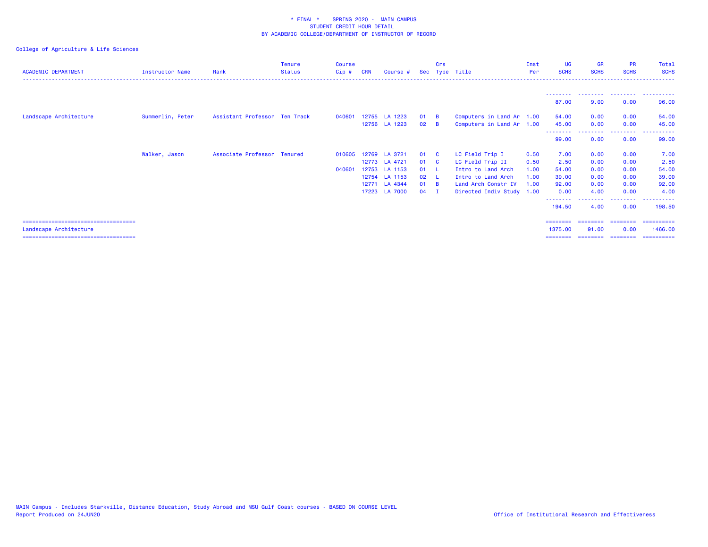| <b>ACADEMIC DEPARTMENT</b>            | <b>Instructor Name</b> | Rank                          | <b>Tenure</b><br><b>Status</b> | Course<br>$Cip$ # | <b>CRN</b> | Course #      |        | Crs            | Sec Type Title            | Inst<br>Per | <b>UG</b><br><b>SCHS</b> | <b>GR</b><br><b>SCHS</b> | <b>PR</b><br><b>SCHS</b> | Total<br><b>SCHS</b> |
|---------------------------------------|------------------------|-------------------------------|--------------------------------|-------------------|------------|---------------|--------|----------------|---------------------------|-------------|--------------------------|--------------------------|--------------------------|----------------------|
|                                       |                        |                               |                                |                   |            |               |        |                |                           |             | ---------                | .                        | .                        |                      |
|                                       |                        |                               |                                |                   |            |               |        |                |                           |             | 87.00                    | 9.00                     | 0.00                     | 96.00                |
| Landscape Architecture                | Summerlin, Peter       | Assistant Professor Ten Track |                                | 040601            |            | 12755 LA 1223 | 01     | $\overline{B}$ | Computers in Land Ar 1.00 |             | 54.00                    | 0.00                     | 0.00                     | 54.00                |
|                                       |                        |                               |                                |                   |            | 12756 LA 1223 | 02     | <b>B</b>       | Computers in Land Ar 1.00 |             | 45.00<br>--------        | 0.00                     | 0.00<br>---------        | 45.00<br>----------  |
|                                       |                        |                               |                                |                   |            |               |        |                |                           |             | 99.00                    | 0.00                     | 0.00                     | 99.00                |
|                                       | Walker, Jason          | Associate Professor Tenured   |                                | 010605            |            | 12769 LA 3721 | 01     | - C            | LC Field Trip I           | 0.50        | 7.00                     | 0.00                     | 0.00                     | 7.00                 |
|                                       |                        |                               |                                |                   |            | 12773 LA 4721 | 01     | <b>C</b>       | LC Field Trip II          | 0.50        | 2.50                     | 0.00                     | 0.00                     | 2.50                 |
|                                       |                        |                               |                                | 040601            |            | 12753 LA 1153 | 01     | - 11           | Intro to Land Arch        | 1.00        | 54.00                    | 0.00                     | 0.00                     | 54.00                |
|                                       |                        |                               |                                |                   |            | 12754 LA 1153 | 02     | - L            | Intro to Land Arch        | 1.00        | 39.00                    | 0.00                     | 0.00                     | 39.00                |
|                                       |                        |                               |                                |                   |            | 12771 LA 4344 | 01 B   |                | Land Arch Constr IV       | 1.00        | 92.00                    | 0.00                     | 0.00                     | 92.00                |
|                                       |                        |                               |                                |                   |            | 17223 LA 7000 | $04$ I |                | Directed Indiv Study 1.00 |             | 0.00                     | 4.00                     | 0.00                     | 4.00                 |
|                                       |                        |                               |                                |                   |            |               |        |                |                           |             | 194.50                   | 4.00                     | 0.00                     | 198.50               |
| ===================================== |                        |                               |                                |                   |            |               |        |                |                           |             |                          |                          |                          | -----------          |
| Landscape Architecture                |                        |                               |                                |                   |            |               |        |                |                           |             | 1375.00                  | 91.00                    | 0.00                     | 1466.00              |
| ===================================== |                        |                               |                                |                   |            |               |        |                |                           |             | ---------                | ========                 | ---------                | ==========           |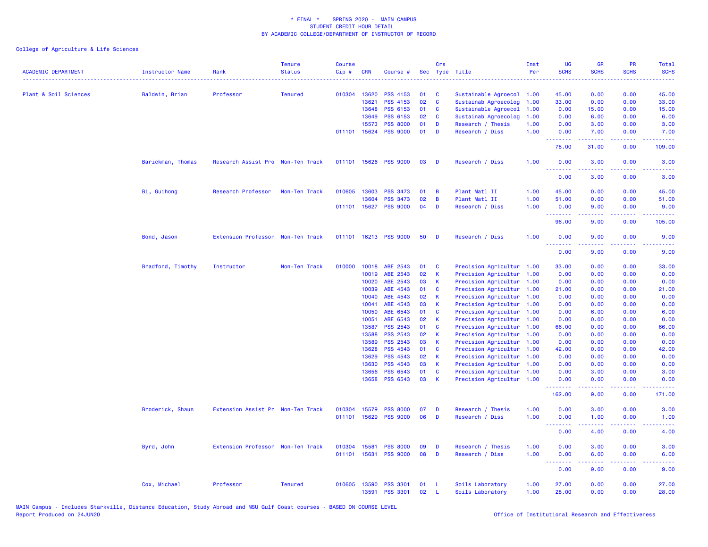| <b>ACADEMIC DEPARTMENT</b> | <b>Instructor Name</b> | Rank                              | <b>Tenure</b><br><b>Status</b> | <b>Course</b><br>Cip# | <b>CRN</b>            | Course #                           | Sec      | Crs          | Type Title                                   | Inst<br>Per  | <b>UG</b><br><b>SCHS</b>        | <b>GR</b><br><b>SCHS</b>                                                                                                                                     | PR<br><b>SCHS</b> | Total<br><b>SCHS</b>                                                                                                                                         |
|----------------------------|------------------------|-----------------------------------|--------------------------------|-----------------------|-----------------------|------------------------------------|----------|--------------|----------------------------------------------|--------------|---------------------------------|--------------------------------------------------------------------------------------------------------------------------------------------------------------|-------------------|--------------------------------------------------------------------------------------------------------------------------------------------------------------|
|                            |                        |                                   |                                |                       |                       |                                    |          |              |                                              |              |                                 |                                                                                                                                                              |                   |                                                                                                                                                              |
| Plant & Soil Sciences      | Baldwin, Brian         | Professor                         | <b>Tenured</b>                 |                       | 010304 13620          | <b>PSS 4153</b>                    | 01       | C            | Sustainable Agroecol                         | 1.00         | 45.00                           | 0.00                                                                                                                                                         | 0.00              | 45.00                                                                                                                                                        |
|                            |                        |                                   |                                |                       | 13621                 | PSS 4153                           | 02       | C            | Sustainab Agroecolog                         | 1.00         | 33.00                           | 0.00                                                                                                                                                         | 0.00              | 33.00                                                                                                                                                        |
|                            |                        |                                   |                                |                       | 13648                 | <b>PSS 6153</b>                    | 01       | $\mathbf c$  | Sustainable Agroecol                         | 1.00         | 0.00                            | 15.00                                                                                                                                                        | 0.00              | 15.00                                                                                                                                                        |
|                            |                        |                                   |                                |                       | 13649                 | PSS 6153                           | 02       | C            | Sustainab Agroecolog                         | 1.00         | 0.00                            | 6.00                                                                                                                                                         | 0.00              | 6.00                                                                                                                                                         |
|                            |                        |                                   |                                |                       | 15573<br>011101 15624 | <b>PSS 8000</b><br><b>PSS 9000</b> | 01<br>01 | D<br>D       | Research / Thesis<br>Research / Diss         | 1.00<br>1.00 | 0.00<br>0.00                    | 3.00<br>7.00                                                                                                                                                 | 0.00<br>0.00      | 3.00<br>7.00                                                                                                                                                 |
|                            |                        |                                   |                                |                       |                       |                                    |          |              |                                              |              | .<br>78.00                      | 31.00                                                                                                                                                        | 0.00              | 109.00                                                                                                                                                       |
|                            | Barickman, Thomas      | Research Assist Pro Non-Ten Track |                                | 011101 15626          |                       | <b>PSS 9000</b>                    | 03       | D            | Research / Diss                              | 1.00         | 0.00<br>.                       | 3.00<br>$\frac{1}{2}$                                                                                                                                        | 0.00<br>.         | 3.00                                                                                                                                                         |
|                            |                        |                                   |                                |                       |                       |                                    |          |              |                                              |              | 0.00                            | 3.00                                                                                                                                                         | 0.00              | 3.00                                                                                                                                                         |
|                            | Bi, Guihong            | Research Professor                | Non-Ten Track                  | 010605                | 13603                 | <b>PSS 3473</b>                    | 01       | B            | Plant Matl II                                | 1.00         | 45.00                           | 0.00                                                                                                                                                         | 0.00              | 45.00                                                                                                                                                        |
|                            |                        |                                   |                                |                       | 13604                 | <b>PSS 3473</b>                    | 02       | B            | Plant Matl II                                | 1.00         | 51.00                           | 0.00                                                                                                                                                         | 0.00              | 51.00                                                                                                                                                        |
|                            |                        |                                   |                                |                       | 011101 15627          | <b>PSS 9000</b>                    | 04       | D            | Research / Diss                              | 1.00         | 0.00<br><u>.</u>                | 9.00<br>$\frac{1}{2} \left( \frac{1}{2} \right) \left( \frac{1}{2} \right) \left( \frac{1}{2} \right) \left( \frac{1}{2} \right) \left( \frac{1}{2} \right)$ | 0.00<br>د د د د . | 9.00<br>$\frac{1}{2} \left( \frac{1}{2} \right) \left( \frac{1}{2} \right) \left( \frac{1}{2} \right) \left( \frac{1}{2} \right) \left( \frac{1}{2} \right)$ |
|                            |                        |                                   |                                |                       |                       |                                    |          |              |                                              |              | 96.00                           | 9.00                                                                                                                                                         | 0.00              | 105.00                                                                                                                                                       |
|                            | Bond, Jason            | Extension Professor Non-Ten Track |                                |                       |                       | 011101 16213 PSS 9000              | 50       | D            | Research / Diss                              | 1.00         | 0.00<br><u> - - - - - - - -</u> | 9.00                                                                                                                                                         | 0.00              | 9.00                                                                                                                                                         |
|                            |                        |                                   |                                |                       |                       |                                    |          |              |                                              |              | 0.00                            | 9.00                                                                                                                                                         | 0.00              | 9.00                                                                                                                                                         |
|                            | Bradford, Timothy      | Instructor                        | Non-Ten Track                  | 010000                | 10018                 | ABE 2543                           | 01       | C            | Precision Agricultur 1.00                    |              | 33.00                           | 0.00                                                                                                                                                         | 0.00              | 33.00                                                                                                                                                        |
|                            |                        |                                   |                                |                       | 10019                 | ABE 2543                           | 02       | K            | Precision Agricultur                         | 1.00         | 0.00                            | 0.00                                                                                                                                                         | 0.00              | 0.00                                                                                                                                                         |
|                            |                        |                                   |                                |                       | 10020                 | ABE 2543                           | 03       | К            | Precision Agricultur                         | 1.00         | 0.00                            | 0.00                                                                                                                                                         | 0.00              | 0.00                                                                                                                                                         |
|                            |                        |                                   |                                |                       | 10039                 | ABE 4543                           | 01       | C            | Precision Agricultur                         | 1.00         | 21.00                           | 0.00                                                                                                                                                         | 0.00              | 21.00                                                                                                                                                        |
|                            |                        |                                   |                                |                       | 10040                 | ABE 4543                           | 02       | $\mathsf{K}$ | Precision Agricultur                         | 1.00         | 0.00                            | 0.00                                                                                                                                                         | 0.00              | 0.00                                                                                                                                                         |
|                            |                        |                                   |                                |                       | 10041                 | ABE 4543                           | 03       | К            | Precision Agricultur                         | 1.00         | 0.00                            | 0.00                                                                                                                                                         | 0.00              | 0.00                                                                                                                                                         |
|                            |                        |                                   |                                |                       | 10050<br>10051        | ABE 6543<br>ABE 6543               | 01<br>02 | C<br>К       | Precision Agricultur                         | 1.00         | 0.00                            | 6.00                                                                                                                                                         | 0.00              | 6.00<br>0.00                                                                                                                                                 |
|                            |                        |                                   |                                |                       | 13587                 | <b>PSS 2543</b>                    | 01       | C            | Precision Agricultur 1.00                    |              | 0.00<br>66.00                   | 0.00<br>0.00                                                                                                                                                 | 0.00<br>0.00      | 66.00                                                                                                                                                        |
|                            |                        |                                   |                                |                       | 13588                 | <b>PSS 2543</b>                    | 02       | К            | Precision Agricultur<br>Precision Agricultur | 1.00<br>1.00 | 0.00                            | 0.00                                                                                                                                                         | 0.00              | 0.00                                                                                                                                                         |
|                            |                        |                                   |                                |                       | 13589                 | <b>PSS 2543</b>                    | 03       | K            | Precision Agricultur                         | 1.00         | 0.00                            | 0.00                                                                                                                                                         | 0.00              | 0.00                                                                                                                                                         |
|                            |                        |                                   |                                |                       | 13628                 | <b>PSS 4543</b>                    | 01       | C            | Precision Agricultur                         | 1.00         | 42.00                           | 0.00                                                                                                                                                         | 0.00              | 42.00                                                                                                                                                        |
|                            |                        |                                   |                                |                       | 13629                 | PSS 4543                           | 02       | К            | Precision Agricultur                         | 1.00         | 0.00                            | 0.00                                                                                                                                                         | 0.00              | 0.00                                                                                                                                                         |
|                            |                        |                                   |                                |                       | 13630                 | PSS 4543                           | 03       | $\mathsf{K}$ | Precision Agricultur 1.00                    |              | 0.00                            | 0.00                                                                                                                                                         | 0.00              | 0.00                                                                                                                                                         |
|                            |                        |                                   |                                |                       | 13656                 | PSS 6543                           | 01       | C            | Precision Agricultur 1.00                    |              | 0.00                            | 3.00                                                                                                                                                         | 0.00              | 3.00                                                                                                                                                         |
|                            |                        |                                   |                                |                       | 13658                 | <b>PSS 6543</b>                    | 03       | $\mathsf{K}$ | Precision Agricultur 1.00                    |              | 0.00                            | 0.00                                                                                                                                                         | 0.00              | 0.00                                                                                                                                                         |
|                            |                        |                                   |                                |                       |                       |                                    |          |              |                                              |              | .<br>162.00                     | 22222<br>9.00                                                                                                                                                | ن د د د<br>0.00   | 171.00                                                                                                                                                       |
|                            | Broderick, Shaun       | Extension Assist Pr Non-Ten Track |                                | 010304                | 15579                 | <b>PSS 8000</b>                    | 07       | D            | Research / Thesis                            | 1.00         | 0.00                            | 3.00                                                                                                                                                         | 0.00              | 3.00                                                                                                                                                         |
|                            |                        |                                   |                                | 011101                | 15629                 | <b>PSS 9000</b>                    | 06       | D            | Research / Diss                              | 1.00         | 0.00<br>.                       | 1.00<br>$\frac{1}{2} \left( \frac{1}{2} \right) \left( \frac{1}{2} \right) \left( \frac{1}{2} \right) \left( \frac{1}{2} \right) \left( \frac{1}{2} \right)$ | 0.00<br>.         | 1.00                                                                                                                                                         |
|                            |                        |                                   |                                |                       |                       |                                    |          |              |                                              |              | 0.00                            | 4.00                                                                                                                                                         | 0.00              | 4.00                                                                                                                                                         |
|                            | Byrd, John             | Extension Professor Non-Ten Track |                                | 010304                | 15581                 | <b>PSS 8000</b>                    | 09       | D            | Research / Thesis                            | 1.00         | 0.00                            | 3.00                                                                                                                                                         | 0.00              | 3.00                                                                                                                                                         |
|                            |                        |                                   |                                |                       | 011101 15631          | <b>PSS 9000</b>                    | 08       | D            | Research / Diss                              | 1.00         | 0.00<br>.                       | 6.00<br>$\frac{1}{2} \left( \frac{1}{2} \right) \left( \frac{1}{2} \right) \left( \frac{1}{2} \right) \left( \frac{1}{2} \right) \left( \frac{1}{2} \right)$ | 0.00<br>.         | 6.00<br>$\frac{1}{2} \left( \frac{1}{2} \right) \left( \frac{1}{2} \right) \left( \frac{1}{2} \right) \left( \frac{1}{2} \right)$                            |
|                            |                        |                                   |                                |                       |                       |                                    |          |              |                                              |              | 0.00                            | 9.00                                                                                                                                                         | 0.00              | 9.00                                                                                                                                                         |
|                            | Cox, Michael           | Professor                         | <b>Tenured</b>                 | 010605                | 13590<br>13591        | <b>PSS 3301</b><br><b>PSS 3301</b> | 01<br>02 | -L<br>L      | Soils Laboratory<br>Soils Laboratory         | 1.00<br>1.00 | 27.00<br>28.00                  | 0.00<br>0.00                                                                                                                                                 | 0.00<br>0.00      | 27.00<br>28.00                                                                                                                                               |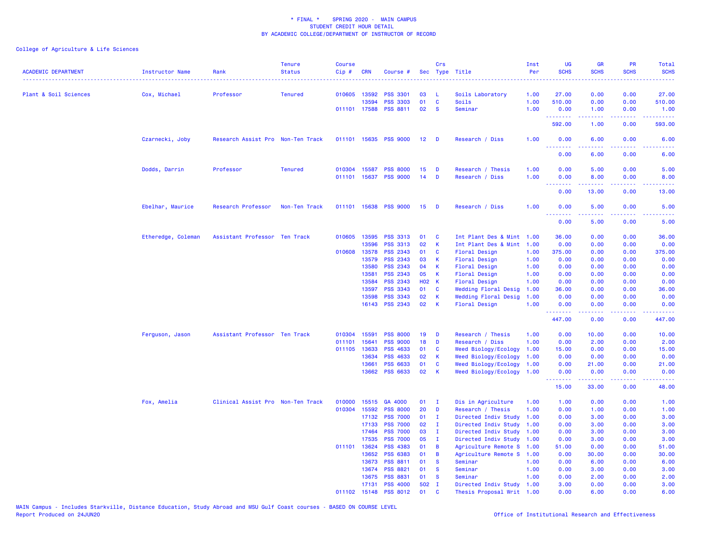| <b>ACADEMIC DEPARTMENT</b> | <b>Instructor Name</b> | Rank                              | <b>Tenure</b><br><b>Status</b> | <b>Course</b><br>Cip# | <b>CRN</b>     | Course #                          | Sec             | Crs               | Type Title                            | Inst<br>Per  | <b>UG</b><br><b>SCHS</b> | <b>GR</b><br><b>SCHS</b> | PR<br><b>SCHS</b>                   | <b>Total</b><br><b>SCHS</b>                                                                                                       |
|----------------------------|------------------------|-----------------------------------|--------------------------------|-----------------------|----------------|-----------------------------------|-----------------|-------------------|---------------------------------------|--------------|--------------------------|--------------------------|-------------------------------------|-----------------------------------------------------------------------------------------------------------------------------------|
| Plant & Soil Sciences      | Cox, Michael           | Professor                         | <b>Tenured</b>                 |                       | 010605 13592   | <b>PSS 3301</b>                   | 03              | L.                | Soils Laboratory                      | 1.00         | 27.00                    | 0.00                     | 0.00                                | 27.00                                                                                                                             |
|                            |                        |                                   |                                |                       | 13594          | <b>PSS 3303</b>                   | 01              | C                 | Soils                                 | 1.00         | 510.00                   | 0.00                     | 0.00                                | 510.00                                                                                                                            |
|                            |                        |                                   |                                |                       |                | 011101 17588 PSS 8811             | 02              | <b>S</b>          | Seminar                               | 1.00         | 0.00<br>.                | 1.00<br>.                | 0.00<br>د د د د                     | 1.00<br>.                                                                                                                         |
|                            |                        |                                   |                                |                       |                |                                   |                 |                   |                                       |              | 592.00                   | 1.00                     | 0.00                                | 593.00                                                                                                                            |
|                            | Czarnecki, Joby        | Research Assist Pro Non-Ten Track |                                |                       |                | 011101 15635 PSS 9000             | 12 <sub>2</sub> | D                 | Research / Diss                       | 1.00         | 0.00<br>.                | 6.00                     | 0.00<br>$\sim$ $\sim$ $\sim$ $\sim$ | 6.00<br>.                                                                                                                         |
|                            |                        |                                   |                                |                       |                |                                   |                 |                   |                                       |              | 0.00                     | 6.00                     | 0.00                                | 6.00                                                                                                                              |
|                            | Dodds, Darrin          | Professor                         | <b>Tenured</b>                 | 010304                | 15587          | <b>PSS 8000</b>                   | 15              | D                 | Research / Thesis                     | 1.00         | 0.00                     | 5.00                     | 0.00                                | 5.00                                                                                                                              |
|                            |                        |                                   |                                | 011101                |                | 15637 PSS 9000                    | 14              | D                 | Research / Diss                       | 1.00         | 0.00<br>.                | 8.00                     | 0.00                                | 8.00                                                                                                                              |
|                            |                        |                                   |                                |                       |                |                                   |                 |                   |                                       |              | 0.00                     | 13.00                    | 0.00                                | 13.00                                                                                                                             |
|                            | Ebelhar, Maurice       | Research Professor                | Non-Ten Track                  |                       |                | 011101 15638 PSS 9000             | 15              | D                 | Research / Diss                       | 1.00         | 0.00                     | 5.00                     | 0.00<br>وعاعات                      | 5.00                                                                                                                              |
|                            |                        |                                   |                                |                       |                |                                   |                 |                   |                                       |              | 0.00                     | 5.00                     | 0.00                                | 5.00                                                                                                                              |
|                            | Etheredge, Coleman     | Assistant Professor Ten Track     |                                |                       | 010605 13595   | <b>PSS 3313</b>                   | 01              | C                 | Int Plant Des & Mint                  | 1.00         | 36.00                    | 0.00                     | 0.00                                | 36.00                                                                                                                             |
|                            |                        |                                   |                                |                       | 13596          | PSS 3313                          | 02              | $\mathsf K$       | Int Plant Des & Mint                  | 1.00         | 0.00                     | 0.00                     | 0.00                                | 0.00                                                                                                                              |
|                            |                        |                                   |                                | 010608                | 13578          | <b>PSS 2343</b>                   | 01              | C                 | Floral Design                         | 1.00         | 375.00                   | 0.00                     | 0.00                                | 375.00                                                                                                                            |
|                            |                        |                                   |                                |                       | 13579          | PSS 2343                          | 03              | K                 | <b>Floral Design</b>                  | 1.00         | 0.00                     | 0.00                     | 0.00                                | 0.00                                                                                                                              |
|                            |                        |                                   |                                |                       | 13580          | <b>PSS 2343</b>                   | 04              | K                 | Floral Design                         | 1.00         | 0.00                     | 0.00                     | 0.00                                | 0.00                                                                                                                              |
|                            |                        |                                   |                                |                       | 13581          | <b>PSS 2343</b>                   | 05              | К                 | <b>Floral Design</b>                  | 1.00         | 0.00                     | 0.00                     | 0.00                                | 0.00                                                                                                                              |
|                            |                        |                                   |                                |                       | 13584          | <b>PSS 2343</b>                   | <b>HO2 K</b>    |                   | Floral Design                         | 1.00         | 0.00                     | 0.00                     | 0.00                                | 0.00                                                                                                                              |
|                            |                        |                                   |                                |                       | 13597          | <b>PSS 3343</b>                   | 01              | $\mathbf{C}$      | Wedding Floral Desig                  | 1.00         | 36.00                    | 0.00                     | 0.00                                | 36.00                                                                                                                             |
|                            |                        |                                   |                                |                       | 13598          | <b>PSS 3343</b><br>16143 PSS 2343 | 02<br>02        | K<br>K            | Wedding Floral Desig<br>Floral Design | 1.00<br>1.00 | 0.00<br>0.00             | 0.00<br>0.00             | 0.00<br>0.00                        | 0.00<br>0.00                                                                                                                      |
|                            |                        |                                   |                                |                       |                |                                   |                 |                   |                                       |              | .                        |                          | والمحامر                            | .                                                                                                                                 |
|                            |                        |                                   |                                |                       |                |                                   |                 |                   |                                       |              | 447.00                   | 0.00                     | 0.00                                | 447.00                                                                                                                            |
|                            | Ferguson, Jason        | Assistant Professor Ten Track     |                                | 010304                | 15591          | <b>PSS 8000</b>                   | 19              | D                 | Research / Thesis                     | 1.00         | 0.00                     | 10.00                    | 0.00                                | 10.00                                                                                                                             |
|                            |                        |                                   |                                | 011101                | 15641          | <b>PSS 9000</b>                   | 18              | D                 | Research / Diss                       | 1.00         | 0.00                     | 2.00                     | 0.00                                | 2.00                                                                                                                              |
|                            |                        |                                   |                                | 011105                | 13633          | <b>PSS 4633</b>                   | 01              | C                 | Weed Biology/Ecology                  | 1.00         | 15.00                    | 0.00                     | 0.00                                | 15.00                                                                                                                             |
|                            |                        |                                   |                                |                       | 13634          | <b>PSS 4633</b>                   | 02              | K                 | Weed Biology/Ecology                  | 1.00         | 0.00                     | 0.00                     | 0.00                                | 0.00                                                                                                                              |
|                            |                        |                                   |                                |                       | 13661          | <b>PSS 6633</b>                   | 01              | C                 | Weed Biology/Ecology                  | 1.00         | 0.00                     | 21.00                    | 0.00                                | 21.00                                                                                                                             |
|                            |                        |                                   |                                |                       | 13662          | PSS 6633                          | 02              | $\mathbf K$       | Weed Biology/Ecology                  | 1.00         | 0.00<br><u>.</u>         | 0.00<br>.                | 0.00<br>$\sim$ $\sim$ $\sim$ $\sim$ | 0.00<br>$\frac{1}{2} \left( \frac{1}{2} \right) \left( \frac{1}{2} \right) \left( \frac{1}{2} \right) \left( \frac{1}{2} \right)$ |
|                            |                        |                                   |                                |                       |                |                                   |                 |                   |                                       |              | 15.00                    | 33.00                    | 0.00                                | 48.00                                                                                                                             |
|                            | Fox, Amelia            | Clinical Assist Pro Non-Ten Track |                                | 010000                | 15515          | GA 4000                           | 01              | - I               | Dis in Agriculture                    | 1.00         | 1.00                     | 0.00                     | 0.00                                | 1.00                                                                                                                              |
|                            |                        |                                   |                                | 010304                | 15592          | <b>PSS 8000</b>                   | 20              | D                 | Research / Thesis                     | 1.00         | 0.00                     | 1.00                     | 0.00                                | 1.00                                                                                                                              |
|                            |                        |                                   |                                |                       | 17132          | <b>PSS 7000</b>                   | 01              | $\mathbf{I}$      | Directed Indiv Study                  | 1.00         | 0.00                     | 3.00                     | 0.00                                | 3.00                                                                                                                              |
|                            |                        |                                   |                                |                       | 17133          | <b>PSS 7000</b>                   | 02              | $\mathbf{I}$      | Directed Indiv Study                  | 1.00         | 0.00                     | 3.00                     | 0.00                                | 3.00                                                                                                                              |
|                            |                        |                                   |                                |                       | 17464          | <b>PSS 7000</b>                   | 03              | $\mathbf{I}$      | Directed Indiv Study                  | 1.00         | 0.00                     | 3.00                     | 0.00                                | 3.00                                                                                                                              |
|                            |                        |                                   |                                |                       | 17535          | <b>PSS 7000</b>                   | 05              | T                 | Directed Indiv Study                  | 1.00         | 0.00                     | 3.00                     | 0.00                                | 3.00                                                                                                                              |
|                            |                        |                                   |                                | 011101                | 13624          | <b>PSS 4383</b>                   | 01              | B                 | Agriculture Remote S                  | 1.00         | 51.00                    | 0.00                     | 0.00                                | 51.00                                                                                                                             |
|                            |                        |                                   |                                |                       | 13652<br>13673 | <b>PSS 6383</b>                   | 01<br>01        | B<br>$\mathbf{s}$ | Agriculture Remote S<br>Seminar       | 1.00<br>1.00 | 0.00                     | 30.00<br>6.00            | 0.00<br>0.00                        | 30.00                                                                                                                             |
|                            |                        |                                   |                                |                       | 13674          | PSS 8811<br><b>PSS 8821</b>       | 01              | $\mathbf{s}$      | Seminar                               | 1.00         | 0.00<br>0.00             | 3.00                     | 0.00                                | 6.00<br>3.00                                                                                                                      |
|                            |                        |                                   |                                |                       | 13675          | <b>PSS 8831</b>                   | 01              | <b>S</b>          | Seminar                               | 1.00         | 0.00                     | 2.00                     | 0.00                                | 2.00                                                                                                                              |
|                            |                        |                                   |                                |                       | 17131          | <b>PSS 4000</b>                   | 502             | $\mathbf{I}$      | Directed Indiv Study 1.00             |              | 3.00                     | 0.00                     | 0.00                                | 3.00                                                                                                                              |
|                            |                        |                                   |                                | 011102                | 15148          | <b>PSS 8012</b>                   | 01              | C                 | Thesis Proposal Writ 1.00             |              | 0.00                     | 6.00                     | 0.00                                | 6.00                                                                                                                              |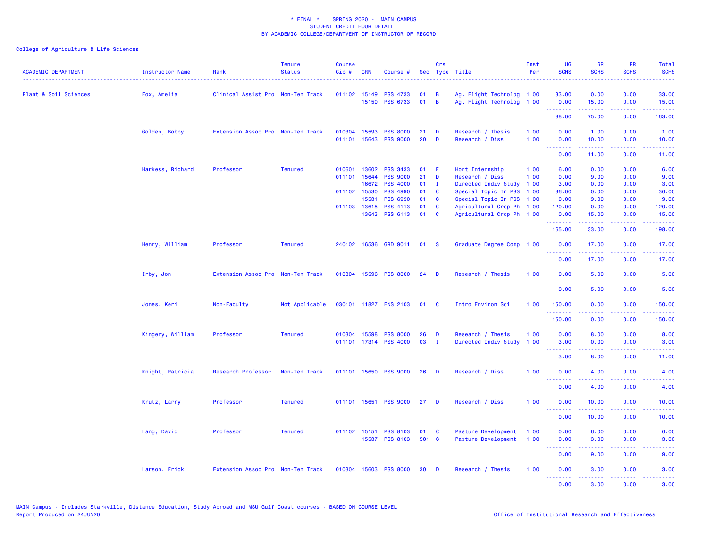| <b>ACADEMIC DEPARTMENT</b> | <b>Instructor Name</b><br>. | Rank                              | <b>Tenure</b><br><b>Status</b> | <b>Course</b><br>Cip# | <b>CRN</b>   | Course #              |       | Crs            | Sec Type Title            | Inst<br>Per | <b>UG</b><br><b>SCHS</b> | <b>GR</b><br><b>SCHS</b>                                                                                                                                     | <b>PR</b><br><b>SCHS</b>                                                                                                  | Total<br><b>SCHS</b><br>$\sim$ $\sim$ $\sim$ $\sim$                                                                               |
|----------------------------|-----------------------------|-----------------------------------|--------------------------------|-----------------------|--------------|-----------------------|-------|----------------|---------------------------|-------------|--------------------------|--------------------------------------------------------------------------------------------------------------------------------------------------------------|---------------------------------------------------------------------------------------------------------------------------|-----------------------------------------------------------------------------------------------------------------------------------|
| Plant & Soil Sciences      | Fox, Amelia                 | Clinical Assist Pro Non-Ten Track |                                | 011102 15149          |              | <b>PSS 4733</b>       | 01    | B              | Ag. Flight Technolog 1.00 |             | 33.00                    | 0.00                                                                                                                                                         | 0.00                                                                                                                      | 33.00                                                                                                                             |
|                            |                             |                                   |                                |                       |              | 15150 PSS 6733        | 01    | $\overline{B}$ | Ag. Flight Technolog 1.00 |             | 0.00<br>.                | 15.00<br>.                                                                                                                                                   | 0.00<br>.                                                                                                                 | 15.00<br>والموالي الموالي                                                                                                         |
|                            |                             |                                   |                                |                       |              |                       |       |                |                           |             | 88.00                    | 75.00                                                                                                                                                        | 0.00                                                                                                                      | 163.00                                                                                                                            |
|                            | Golden, Bobby               | Extension Assoc Pro Non-Ten Track |                                | 010304                | 15593        | <b>PSS 8000</b>       | 21    | D              | Research / Thesis         | 1.00        | 0.00                     | 1.00                                                                                                                                                         | 0.00                                                                                                                      | 1.00                                                                                                                              |
|                            |                             |                                   |                                |                       | 011101 15643 | <b>PSS 9000</b>       | 20    | D              | Research / Diss           | 1.00        | 0.00<br>.                | 10.00<br>.                                                                                                                                                   | 0.00<br>.                                                                                                                 | 10.00<br>.                                                                                                                        |
|                            |                             |                                   |                                |                       |              |                       |       |                |                           |             | 0.00                     | 11.00                                                                                                                                                        | 0.00                                                                                                                      | 11.00                                                                                                                             |
|                            | Harkess, Richard            | Professor                         | <b>Tenured</b>                 | 010601                | 13602        | PSS 3433              | 01    | Æ              | Hort Internship           | 1.00        | 6.00                     | 0.00                                                                                                                                                         | 0.00                                                                                                                      | 6.00                                                                                                                              |
|                            |                             |                                   |                                | 011101 15644          |              | <b>PSS 9000</b>       | 21    | D              | Research / Diss           | 1.00        | 0.00                     | 9.00                                                                                                                                                         | 0.00                                                                                                                      | 9.00                                                                                                                              |
|                            |                             |                                   |                                |                       | 16672        | <b>PSS 4000</b>       | 01    | $\mathbf{I}$   | Directed Indiv Study      | 1.00        | 3.00                     | 0.00                                                                                                                                                         | 0.00                                                                                                                      | 3.00                                                                                                                              |
|                            |                             |                                   |                                | 011102 15530          |              | <b>PSS 4990</b>       | 01    | C              | Special Topic In PSS      | 1.00        | 36.00                    | 0.00                                                                                                                                                         | 0.00                                                                                                                      | 36.00                                                                                                                             |
|                            |                             |                                   |                                |                       | 15531        | PSS 6990              | 01    | C              | Special Topic In PSS 1.00 |             | 0.00                     | 9.00                                                                                                                                                         | 0.00                                                                                                                      | 9.00                                                                                                                              |
|                            |                             |                                   |                                |                       | 011103 13615 | PSS 4113              | 01    | C              | Agricultural Crop Ph 1.00 |             | 120.00                   | 0.00                                                                                                                                                         | 0.00                                                                                                                      | 120.00                                                                                                                            |
|                            |                             |                                   |                                |                       | 13643        | <b>PSS 6113</b>       | 01    | C              | Agricultural Crop Ph 1.00 |             | 0.00<br>.                | 15.00<br>22222                                                                                                                                               | 0.00                                                                                                                      | 15.00                                                                                                                             |
|                            |                             |                                   |                                |                       |              |                       |       |                |                           |             | 165.00                   | 33.00                                                                                                                                                        | 0.00                                                                                                                      | 198.00                                                                                                                            |
|                            | Henry, William              | Professor                         | <b>Tenured</b>                 |                       |              | 240102 16536 GRD 9011 | 01    | <b>S</b>       | Graduate Degree Comp 1.00 |             | 0.00                     | 17.00                                                                                                                                                        | 0.00                                                                                                                      | 17.00                                                                                                                             |
|                            |                             |                                   |                                |                       |              |                       |       |                |                           |             | 1.1.1.1.1.1.1<br>0.00    | $\frac{1}{2} \left( \frac{1}{2} \right) \left( \frac{1}{2} \right) \left( \frac{1}{2} \right) \left( \frac{1}{2} \right)$<br>17.00                           | $\frac{1}{2} \left( \frac{1}{2} \right) \left( \frac{1}{2} \right) \left( \frac{1}{2} \right)$<br>0.00                    | 17.00                                                                                                                             |
|                            | Irby, Jon                   | Extension Assoc Pro Non-Ten Track |                                |                       |              | 010304 15596 PSS 8000 | 24    | D              | Research / Thesis         | 1.00        | 0.00                     | 5.00                                                                                                                                                         | 0.00                                                                                                                      | 5.00                                                                                                                              |
|                            |                             |                                   |                                |                       |              |                       |       |                |                           |             | .<br>0.00                | .<br>5.00                                                                                                                                                    | .<br>0.00                                                                                                                 | $\frac{1}{2} \left( \frac{1}{2} \right) \left( \frac{1}{2} \right) \left( \frac{1}{2} \right) \left( \frac{1}{2} \right)$<br>5.00 |
|                            | Jones, Keri                 | Non-Faculty                       | Not Applicable                 |                       |              | 030101 11827 ENS 2103 | 01    | <b>C</b>       | Intro Environ Sci         | 1.00        | 150.00                   | 0.00                                                                                                                                                         | 0.00                                                                                                                      | 150.00                                                                                                                            |
|                            |                             |                                   |                                |                       |              |                       |       |                |                           |             | .<br>150.00              | $- - - - -$<br>0.00                                                                                                                                          | .<br>0.00                                                                                                                 | المام ماما ما<br>150.00                                                                                                           |
|                            | Kingery, William            | Professor                         | <b>Tenured</b>                 |                       | 010304 15598 | <b>PSS 8000</b>       | 26    | D              | Research / Thesis         | 1.00        | 0.00                     | 8.00                                                                                                                                                         | 0.00                                                                                                                      | 8.00                                                                                                                              |
|                            |                             |                                   |                                |                       |              | 011101 17314 PSS 4000 | 03    | $\mathbf{I}$   | Directed Indiv Study 1.00 |             | 3.00                     | 0.00                                                                                                                                                         | 0.00                                                                                                                      | 3.00                                                                                                                              |
|                            |                             |                                   |                                |                       |              |                       |       |                |                           |             | .                        | .                                                                                                                                                            | $\frac{1}{2} \left( \frac{1}{2} \right) \left( \frac{1}{2} \right) \left( \frac{1}{2} \right) \left( \frac{1}{2} \right)$ |                                                                                                                                   |
|                            |                             |                                   |                                |                       |              |                       |       |                |                           |             | 3.00                     | 8.00                                                                                                                                                         | 0.00                                                                                                                      | 11.00                                                                                                                             |
|                            | Knight, Patricia            | Research Professor                | Non-Ten Track                  |                       |              | 011101 15650 PSS 9000 | - 26  | <b>D</b>       | Research / Diss           | 1.00        | 0.00<br>.                | 4.00<br>$\frac{1}{2} \left( \frac{1}{2} \right) \left( \frac{1}{2} \right) \left( \frac{1}{2} \right) \left( \frac{1}{2} \right) \left( \frac{1}{2} \right)$ | 0.00<br>.                                                                                                                 | 4.00<br>$\frac{1}{2} \left( \frac{1}{2} \right) \left( \frac{1}{2} \right) \left( \frac{1}{2} \right) \left( \frac{1}{2} \right)$ |
|                            |                             |                                   |                                |                       |              |                       |       |                |                           |             | 0.00                     | 4.00                                                                                                                                                         | 0.00                                                                                                                      | 4.00                                                                                                                              |
|                            | Krutz, Larry                | Professor                         | <b>Tenured</b>                 |                       | 011101 15651 | <b>PSS 9000</b>       | 27    | D              | Research / Diss           | 1.00        | 0.00<br>.                | 10.00<br>2.2.2.2.2                                                                                                                                           | 0.00<br>.                                                                                                                 | 10.00<br>.                                                                                                                        |
|                            |                             |                                   |                                |                       |              |                       |       |                |                           |             | 0.00                     | 10.00                                                                                                                                                        | 0.00                                                                                                                      | 10.00                                                                                                                             |
|                            | Lang, David                 | Professor                         | <b>Tenured</b>                 |                       | 011102 15151 | <b>PSS 8103</b>       | 01    | $\mathbf{C}$   | Pasture Development       | 1.00        | 0.00                     | 6.00                                                                                                                                                         | 0.00                                                                                                                      | 6.00                                                                                                                              |
|                            |                             |                                   |                                |                       |              | 15537 PSS 8103        | 501 C |                | Pasture Development       | 1.00        | 0.00                     | 3.00                                                                                                                                                         | 0.00                                                                                                                      | 3.00                                                                                                                              |
|                            |                             |                                   |                                |                       |              |                       |       |                |                           |             | .<br>0.00                | .<br>9.00                                                                                                                                                    | $\sim$ $\sim$ $\sim$ $\sim$<br>0.00                                                                                       | 9.00                                                                                                                              |
|                            | Larson, Erick               | Extension Assoc Pro Non-Ten Track |                                |                       |              | 010304 15603 PSS 8000 | 30    | <b>D</b>       | Research / Thesis         | 1.00        | 0.00                     | 3.00                                                                                                                                                         | 0.00                                                                                                                      | 3.00                                                                                                                              |
|                            |                             |                                   |                                |                       |              |                       |       |                |                           |             | .<br>0.00                | د د د د د<br>3.00                                                                                                                                            | .<br>0.00                                                                                                                 | .<br>3.00                                                                                                                         |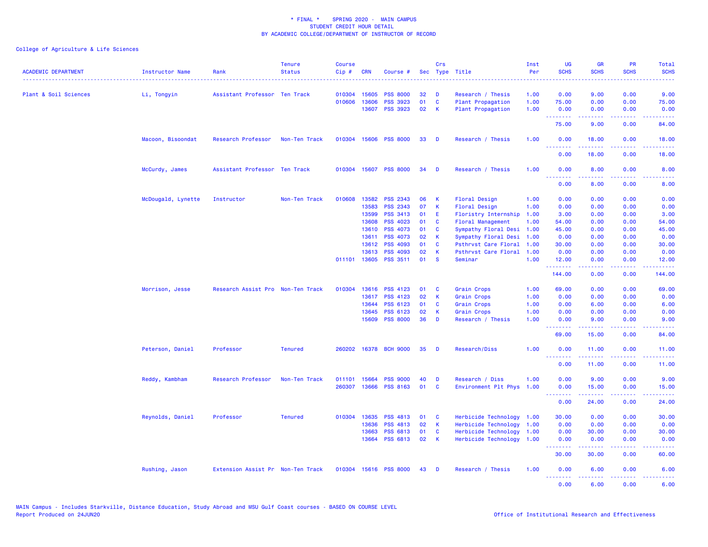| <b>ACADEMIC DEPARTMENT</b> | <b>Instructor Name</b> | Rank                              | <b>Tenure</b><br><b>Status</b> | <b>Course</b><br>$Cip \#$ | <b>CRN</b>   | Course #              |    | Crs         | Sec Type Title            | Inst<br>Per | <b>UG</b><br><b>SCHS</b> | <b>GR</b><br><b>SCHS</b>                                                                                                                                     | <b>PR</b><br><b>SCHS</b>                                                                                                          | Total<br><b>SCHS</b> |
|----------------------------|------------------------|-----------------------------------|--------------------------------|---------------------------|--------------|-----------------------|----|-------------|---------------------------|-------------|--------------------------|--------------------------------------------------------------------------------------------------------------------------------------------------------------|-----------------------------------------------------------------------------------------------------------------------------------|----------------------|
| Plant & Soil Sciences      | Li, Tongyin            | Assistant Professor Ten Track     |                                |                           | 010304 15605 | <b>PSS 8000</b>       | 32 | D           | Research / Thesis         | 1.00        | 0.00                     | 9.00                                                                                                                                                         | 0.00                                                                                                                              | 9.00                 |
|                            |                        |                                   |                                |                           | 010606 13606 | <b>PSS 3923</b>       | 01 | $\mathbf c$ | Plant Propagation         | 1.00        | 75.00                    | 0.00                                                                                                                                                         | 0.00                                                                                                                              | 75.00                |
|                            |                        |                                   |                                |                           | 13607        | <b>PSS 3923</b>       | 02 | К           | Plant Propagation         | 1.00        | 0.00<br>.                | 0.00<br>$\frac{1}{2} \left( \frac{1}{2} \right) \left( \frac{1}{2} \right) \left( \frac{1}{2} \right) \left( \frac{1}{2} \right) \left( \frac{1}{2} \right)$ | 0.00<br>.                                                                                                                         | 0.00<br>وعاعاتها     |
|                            |                        |                                   |                                |                           |              |                       |    |             |                           |             | 75.00                    | 9.00                                                                                                                                                         | 0.00                                                                                                                              | 84.00                |
|                            | Macoon, Bisoondat      | Research Professor                | Non-Ten Track                  | 010304 15606              |              | <b>PSS 8000</b>       | 33 | D           | Research / Thesis         | 1.00        | 0.00<br><u>.</u>         | 18.00                                                                                                                                                        | 0.00                                                                                                                              | 18.00                |
|                            |                        |                                   |                                |                           |              |                       |    |             |                           |             | 0.00                     | 18.00                                                                                                                                                        | 0.00                                                                                                                              | 18.00                |
|                            | McCurdy, James         | Assistant Professor Ten Track     |                                |                           | 010304 15607 | <b>PSS 8000</b>       | 34 | D           | Research / Thesis         | 1.00        | 0.00<br>.                | 8.00                                                                                                                                                         | 0.00                                                                                                                              | 8.00                 |
|                            |                        |                                   |                                |                           |              |                       |    |             |                           |             | 0.00                     | .<br>8.00                                                                                                                                                    | 0.00                                                                                                                              | 8.00                 |
|                            | McDougald, Lynette     | Instructor                        | Non-Ten Track                  | 010608                    | 13582        | <b>PSS 2343</b>       | 06 | K           | Floral Design             | 1.00        | 0.00                     | 0.00                                                                                                                                                         | 0.00                                                                                                                              | 0.00                 |
|                            |                        |                                   |                                |                           | 13583        | <b>PSS 2343</b>       | 07 | К           | Floral Design             | 1.00        | 0.00                     | 0.00                                                                                                                                                         | 0.00                                                                                                                              | 0.00                 |
|                            |                        |                                   |                                |                           | 13599        | PSS 3413              | 01 | Ε           | Floristry Internship      | 1.00        | 3.00                     | 0.00                                                                                                                                                         | 0.00                                                                                                                              | 3.00                 |
|                            |                        |                                   |                                |                           | 13608        | PSS 4023              | 01 | C           | <b>Floral Management</b>  | 1.00        | 54.00                    | 0.00                                                                                                                                                         | 0.00                                                                                                                              | 54.00                |
|                            |                        |                                   |                                |                           | 13610        | <b>PSS 4073</b>       | 01 | C           | Sympathy Floral Desi      | 1.00        | 45.00                    | 0.00                                                                                                                                                         | 0.00                                                                                                                              | 45.00                |
|                            |                        |                                   |                                |                           | 13611        | <b>PSS 4073</b>       | 02 | K           | Sympathy Floral Desi      | 1.00        | 0.00                     | 0.00                                                                                                                                                         | 0.00                                                                                                                              | 0.00                 |
|                            |                        |                                   |                                |                           | 13612        | <b>PSS 4093</b>       | 01 | C           | Psthrvst Care Floral      | 1.00        | 30.00                    | 0.00                                                                                                                                                         | 0.00                                                                                                                              | 30.00                |
|                            |                        |                                   |                                |                           | 13613        | PSS 4093              | 02 | K           | Psthrvst Care Floral      | 1.00        | 0.00                     | 0.00                                                                                                                                                         | 0.00                                                                                                                              | 0.00                 |
|                            |                        |                                   |                                |                           | 011101 13605 | <b>PSS 3511</b>       | 01 | <b>S</b>    | Seminar                   | 1.00        | 12.00<br><u>.</u>        | 0.00<br><u>.</u>                                                                                                                                             | 0.00<br>. <u>.</u> .                                                                                                              | 12.00                |
|                            |                        |                                   |                                |                           |              |                       |    |             |                           |             | 144.00                   | 0.00                                                                                                                                                         | 0.00                                                                                                                              | 144.00               |
|                            | Morrison, Jesse        | Research Assist Pro Non-Ten Track |                                | 010304                    | 13616        | <b>PSS 4123</b>       | 01 | C           | Grain Crops               | 1.00        | 69.00                    | 0.00                                                                                                                                                         | 0.00                                                                                                                              | 69.00                |
|                            |                        |                                   |                                |                           | 13617        | <b>PSS 4123</b>       | 02 | K           | Grain Crops               | 1.00        | 0.00                     | 0.00                                                                                                                                                         | 0.00                                                                                                                              | 0.00                 |
|                            |                        |                                   |                                |                           | 13644        | PSS 6123              | 01 | C           | Grain Crops               | 1.00        | 0.00                     | 6.00                                                                                                                                                         | 0.00                                                                                                                              | 6.00                 |
|                            |                        |                                   |                                |                           | 13645        | PSS 6123              | 02 | К           | Grain Crops               | 1.00        | 0.00                     | 0.00                                                                                                                                                         | 0.00                                                                                                                              | 0.00                 |
|                            |                        |                                   |                                |                           | 15609        | <b>PSS 8000</b>       | 36 | D           | Research / Thesis         | 1.00        | 0.00<br>.                | 9.00<br>$\frac{1}{2}$                                                                                                                                        | 0.00<br>$\frac{1}{2} \left( \frac{1}{2} \right) \left( \frac{1}{2} \right) \left( \frac{1}{2} \right) \left( \frac{1}{2} \right)$ | 9.00                 |
|                            |                        |                                   |                                |                           |              |                       |    |             |                           |             | 69.00                    | 15.00                                                                                                                                                        | 0.00                                                                                                                              | 84.00                |
|                            | Peterson, Daniel       | Professor                         | <b>Tenured</b>                 | 260202                    | 16378        | <b>BCH 9000</b>       | 35 | D           | Research/Diss             | 1.00        | 0.00<br>.                | 11.00<br>بالالالال                                                                                                                                           | 0.00<br>بالمحام                                                                                                                   | 11.00<br>الأعامات    |
|                            |                        |                                   |                                |                           |              |                       |    |             |                           |             | 0.00                     | 11.00                                                                                                                                                        | 0.00                                                                                                                              | 11.00                |
|                            | Reddy, Kambham         | Research Professor                | Non-Ten Track                  | 011101                    | 15664        | <b>PSS 9000</b>       | 40 | D           | Research / Diss           | 1.00        | 0.00                     | 9.00                                                                                                                                                         | 0.00                                                                                                                              | 9.00                 |
|                            |                        |                                   |                                | 260307                    | 13666        | <b>PSS 8163</b>       | 01 | C           | Environment Plt Phys      | 1.00        | 0.00                     | 15.00                                                                                                                                                        | 0.00                                                                                                                              | 15.00                |
|                            |                        |                                   |                                |                           |              |                       |    |             |                           |             | .<br>0.00                | .<br>24.00                                                                                                                                                   | .<br>0.00                                                                                                                         | .<br>24.00           |
|                            | Reynolds, Daniel       | Professor                         | <b>Tenured</b>                 |                           | 010304 13635 | <b>PSS 4813</b>       | 01 | <b>C</b>    | Herbicide Technology 1.00 |             | 30.00                    | 0.00                                                                                                                                                         | 0.00                                                                                                                              | 30.00                |
|                            |                        |                                   |                                |                           | 13636        | <b>PSS 4813</b>       | 02 | К           | Herbicide Technology      | 1.00        | 0.00                     | 0.00                                                                                                                                                         | 0.00                                                                                                                              | 0.00                 |
|                            |                        |                                   |                                |                           | 13663        | <b>PSS 6813</b>       | 01 | C           | Herbicide Technology      | 1.00        | 0.00                     | 30.00                                                                                                                                                        | 0.00                                                                                                                              | 30.00                |
|                            |                        |                                   |                                |                           | 13664        | <b>PSS 6813</b>       | 02 | К           | Herbicide Technology      | 1.00        | 0.00                     | 0.00                                                                                                                                                         | 0.00                                                                                                                              | 0.00                 |
|                            |                        |                                   |                                |                           |              |                       |    |             |                           |             | .<br>30.00               | 30.00                                                                                                                                                        | $\omega_{\rm{eff}}$ and $\omega_{\rm{eff}}$<br>0.00                                                                               | 60.00                |
|                            | Rushing, Jason         | Extension Assist Pr Non-Ten Track |                                |                           |              | 010304 15616 PSS 8000 | 43 | D           | Research / Thesis         | 1.00        | 0.00<br>.                | 6.00<br>.                                                                                                                                                    | 0.00<br>$\omega$ is a $\omega$                                                                                                    | 6.00<br>----         |
|                            |                        |                                   |                                |                           |              |                       |    |             |                           |             | 0.00                     | 6.00                                                                                                                                                         | 0.00                                                                                                                              | 6.00                 |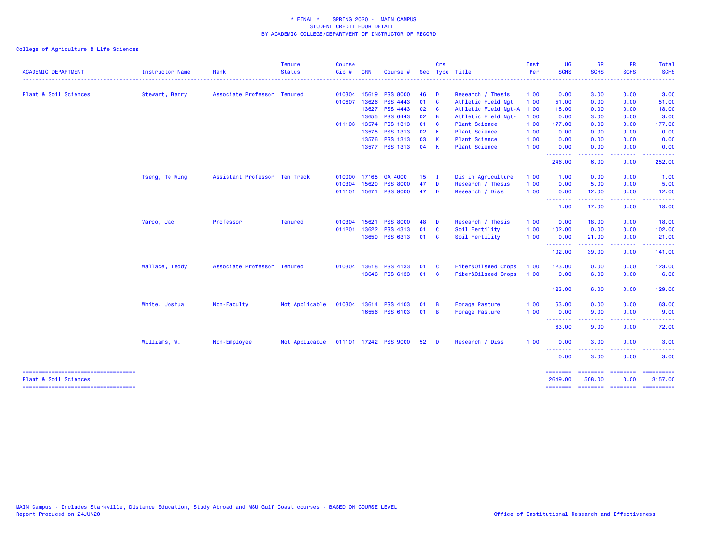| Plant & Soil Sciences<br>Stewart, Barry<br>Associate Professor Tenured<br>010304<br>15619<br><b>PSS 8000</b><br>46<br>D<br>Research / Thesis<br>1.00<br>0.00<br>3.00<br>0.00<br>13626<br><b>PSS 4443</b><br>010607<br>01<br><b>C</b><br>Athletic Field Mgt<br>1.00<br>51.00<br>0.00<br>0.00<br>13627<br><b>PSS 4443</b><br>02<br>C<br>Athletic Field Mgt-A<br>0.00<br>0.00<br>1.00<br>18.00<br><b>PSS 6443</b><br>13655<br>02<br>$\overline{B}$<br>0.00<br>Athletic Field Mgt-<br>1.00<br>0.00<br>3.00<br><b>PSS 1313</b><br>011103 13574<br>01<br>C<br><b>Plant Science</b><br>0.00<br>1.00<br>177.00<br>0.00<br>02<br>13575 PSS 1313<br><b>Plant Science</b><br>0.00<br>-K<br>1.00<br>0.00<br>0.00<br><b>PSS 1313</b><br>03<br>$\mathsf{K}$<br>13576<br><b>Plant Science</b><br>1.00<br>0.00<br>0.00<br>0.00<br>13577 PSS 1313<br>04<br>K<br><b>Plant Science</b><br>1.00<br>0.00<br>0.00<br>0.00<br>--------<br>246.00<br>6.00<br>0.00<br>252.00<br>Tseng, Te Ming<br>Assistant Professor Ten Track<br>15<br>Dis in Agriculture<br>0.00<br>17165<br>GA 4000<br>1.00<br>1.00<br>0.00<br>010000<br>$\mathbf I$<br>15620<br><b>PSS 8000</b><br>47<br>0.00<br>D<br>Research / Thesis<br>1.00<br>0.00<br>5.00<br>010304<br>15671<br><b>PSS 9000</b><br>47<br>Research / Diss<br>1.00<br>12.00<br>0.00<br>011101<br>D<br>0.00<br>--------<br>1.00<br>17.00<br>0.00<br>Varco, Jac<br>Professor<br><b>Tenured</b><br>15621<br><b>PSS 8000</b><br>48<br>D<br>Research / Thesis<br>1.00<br>0.00<br>18.00<br>0.00<br>010304<br>13622<br><b>PSS 4313</b><br>01<br>C<br>Soil Fertility<br>1.00<br>102.00<br>0.00<br>0.00<br>011201<br>13650<br>PSS 6313<br>01<br>1.00<br>0.00<br><b>C</b><br>Soil Fertility<br>0.00<br>21.00<br>.<br>.<br>.<br>102.00<br>39.00<br>0.00<br>Fiber&Oilseed Crops<br>Wallace, Teddy<br>Associate Professor Tenured<br>13618<br><b>PSS 4133</b><br>01<br>C<br>1.00<br>123.00<br>0.00<br>0.00<br>010304<br>01<br>Fiber&Oilseed Crops<br>1.00<br>0.00<br>13646 PSS 6133<br><b>C</b><br>0.00<br>6.00<br>.<br>.<br>123.00<br>6.00<br>0.00<br>1.00<br>White, Joshua<br>Non-Faculty<br>Not Applicable<br>010304<br>13614<br><b>PSS 4103</b><br>01<br>B<br>Forage Pasture<br>63.00<br>0.00<br>0.00<br>1.00<br>16556 PSS 6103<br>01<br>0.00<br>9.00<br>0.00<br>$\overline{B}$<br>Forage Pasture<br><u> - - - - - - - -</u><br>.<br>$\frac{1}{2} \left( \frac{1}{2} \right) \left( \frac{1}{2} \right) \left( \frac{1}{2} \right) \left( \frac{1}{2} \right)$<br>.<br>63.00<br>9.00<br>0.00<br>Williams, W.<br>Non-Employee<br>Not Applicable<br>011101 17242 PSS 9000<br>52 <sub>2</sub><br>Research / Diss<br>1.00<br>0.00<br>3.00<br>0.00<br>D<br>.<br>$\frac{1}{2} \left( \frac{1}{2} \right) \left( \frac{1}{2} \right) \left( \frac{1}{2} \right)$<br>----<br>.<br>0.00<br>0.00<br>3.00<br>======================================<br>==========<br>========<br>========<br>========<br>Plant & Soil Sciences<br>3157.00<br>2649.00<br>508.00<br>0.00<br>======== =======<br>$\begin{array}{cccccccccc} \multicolumn{2}{c}{} & \multicolumn{2}{c}{} & \multicolumn{2}{c}{} & \multicolumn{2}{c}{} & \multicolumn{2}{c}{} & \multicolumn{2}{c}{} & \multicolumn{2}{c}{} & \multicolumn{2}{c}{} & \multicolumn{2}{c}{} & \multicolumn{2}{c}{} & \multicolumn{2}{c}{} & \multicolumn{2}{c}{} & \multicolumn{2}{c}{} & \multicolumn{2}{c}{} & \multicolumn{2}{c}{} & \multicolumn{2}{c}{} & \multicolumn{2}{c}{} & \multicolumn{2}{c}{} & \multicolumn{2}{c}{} & \mult$ | <b>ACADEMIC DEPARTMENT</b>            | Instructor Name | Rank | <b>Tenure</b><br><b>Status</b> | <b>Course</b><br>Cip# | <b>CRN</b> | Course # | Crs | Sec Type Title | Inst<br>Per | UG<br><b>SCHS</b> | <b>GR</b><br><b>SCHS</b> | PR<br><b>SCHS</b> | Total<br><b>SCHS</b> |
|----------------------------------------------------------------------------------------------------------------------------------------------------------------------------------------------------------------------------------------------------------------------------------------------------------------------------------------------------------------------------------------------------------------------------------------------------------------------------------------------------------------------------------------------------------------------------------------------------------------------------------------------------------------------------------------------------------------------------------------------------------------------------------------------------------------------------------------------------------------------------------------------------------------------------------------------------------------------------------------------------------------------------------------------------------------------------------------------------------------------------------------------------------------------------------------------------------------------------------------------------------------------------------------------------------------------------------------------------------------------------------------------------------------------------------------------------------------------------------------------------------------------------------------------------------------------------------------------------------------------------------------------------------------------------------------------------------------------------------------------------------------------------------------------------------------------------------------------------------------------------------------------------------------------------------------------------------------------------------------------------------------------------------------------------------------------------------------------------------------------------------------------------------------------------------------------------------------------------------------------------------------------------------------------------------------------------------------------------------------------------------------------------------------------------------------------------------------------------------------------------------------------------------------------------------------------------------------------------------------------------------------------------------------------------------------------------------------------------------------------------------------------------------------------------------------------------------------------------------------------------------------------------------------------------------------------------------------------------------------------------------------------------------------------------------------------------------------------------------------------------------------------------------------------------------------------------------------------------------------------------------------------------------------------------------------------------------------------------------------------------------------------------------------------------------------------------------------------------------|---------------------------------------|-----------------|------|--------------------------------|-----------------------|------------|----------|-----|----------------|-------------|-------------------|--------------------------|-------------------|----------------------|
| 3.00<br>51.00<br>18.00<br>3.00<br>177.00<br>0.00<br>0.00<br>0.00<br>1.00<br>5.00<br>12.00<br>18.00<br>18.00<br>102.00<br>21.00<br>141.00<br>123.00<br>6.00<br>129.00<br>63.00<br>9.00<br>72.00<br>3.00<br>3.00                                                                                                                                                                                                                                                                                                                                                                                                                                                                                                                                                                                                                                                                                                                                                                                                                                                                                                                                                                                                                                                                                                                                                                                                                                                                                                                                                                                                                                                                                                                                                                                                                                                                                                                                                                                                                                                                                                                                                                                                                                                                                                                                                                                                                                                                                                                                                                                                                                                                                                                                                                                                                                                                                                                                                                                                                                                                                                                                                                                                                                                                                                                                                                                                                                                                   |                                       |                 |      |                                |                       |            |          |     |                |             |                   |                          |                   |                      |
|                                                                                                                                                                                                                                                                                                                                                                                                                                                                                                                                                                                                                                                                                                                                                                                                                                                                                                                                                                                                                                                                                                                                                                                                                                                                                                                                                                                                                                                                                                                                                                                                                                                                                                                                                                                                                                                                                                                                                                                                                                                                                                                                                                                                                                                                                                                                                                                                                                                                                                                                                                                                                                                                                                                                                                                                                                                                                                                                                                                                                                                                                                                                                                                                                                                                                                                                                                                                                                                                                  |                                       |                 |      |                                |                       |            |          |     |                |             |                   |                          |                   |                      |
|                                                                                                                                                                                                                                                                                                                                                                                                                                                                                                                                                                                                                                                                                                                                                                                                                                                                                                                                                                                                                                                                                                                                                                                                                                                                                                                                                                                                                                                                                                                                                                                                                                                                                                                                                                                                                                                                                                                                                                                                                                                                                                                                                                                                                                                                                                                                                                                                                                                                                                                                                                                                                                                                                                                                                                                                                                                                                                                                                                                                                                                                                                                                                                                                                                                                                                                                                                                                                                                                                  |                                       |                 |      |                                |                       |            |          |     |                |             |                   |                          |                   |                      |
|                                                                                                                                                                                                                                                                                                                                                                                                                                                                                                                                                                                                                                                                                                                                                                                                                                                                                                                                                                                                                                                                                                                                                                                                                                                                                                                                                                                                                                                                                                                                                                                                                                                                                                                                                                                                                                                                                                                                                                                                                                                                                                                                                                                                                                                                                                                                                                                                                                                                                                                                                                                                                                                                                                                                                                                                                                                                                                                                                                                                                                                                                                                                                                                                                                                                                                                                                                                                                                                                                  |                                       |                 |      |                                |                       |            |          |     |                |             |                   |                          |                   |                      |
|                                                                                                                                                                                                                                                                                                                                                                                                                                                                                                                                                                                                                                                                                                                                                                                                                                                                                                                                                                                                                                                                                                                                                                                                                                                                                                                                                                                                                                                                                                                                                                                                                                                                                                                                                                                                                                                                                                                                                                                                                                                                                                                                                                                                                                                                                                                                                                                                                                                                                                                                                                                                                                                                                                                                                                                                                                                                                                                                                                                                                                                                                                                                                                                                                                                                                                                                                                                                                                                                                  |                                       |                 |      |                                |                       |            |          |     |                |             |                   |                          |                   |                      |
|                                                                                                                                                                                                                                                                                                                                                                                                                                                                                                                                                                                                                                                                                                                                                                                                                                                                                                                                                                                                                                                                                                                                                                                                                                                                                                                                                                                                                                                                                                                                                                                                                                                                                                                                                                                                                                                                                                                                                                                                                                                                                                                                                                                                                                                                                                                                                                                                                                                                                                                                                                                                                                                                                                                                                                                                                                                                                                                                                                                                                                                                                                                                                                                                                                                                                                                                                                                                                                                                                  |                                       |                 |      |                                |                       |            |          |     |                |             |                   |                          |                   |                      |
|                                                                                                                                                                                                                                                                                                                                                                                                                                                                                                                                                                                                                                                                                                                                                                                                                                                                                                                                                                                                                                                                                                                                                                                                                                                                                                                                                                                                                                                                                                                                                                                                                                                                                                                                                                                                                                                                                                                                                                                                                                                                                                                                                                                                                                                                                                                                                                                                                                                                                                                                                                                                                                                                                                                                                                                                                                                                                                                                                                                                                                                                                                                                                                                                                                                                                                                                                                                                                                                                                  |                                       |                 |      |                                |                       |            |          |     |                |             |                   |                          |                   |                      |
|                                                                                                                                                                                                                                                                                                                                                                                                                                                                                                                                                                                                                                                                                                                                                                                                                                                                                                                                                                                                                                                                                                                                                                                                                                                                                                                                                                                                                                                                                                                                                                                                                                                                                                                                                                                                                                                                                                                                                                                                                                                                                                                                                                                                                                                                                                                                                                                                                                                                                                                                                                                                                                                                                                                                                                                                                                                                                                                                                                                                                                                                                                                                                                                                                                                                                                                                                                                                                                                                                  |                                       |                 |      |                                |                       |            |          |     |                |             |                   |                          |                   |                      |
|                                                                                                                                                                                                                                                                                                                                                                                                                                                                                                                                                                                                                                                                                                                                                                                                                                                                                                                                                                                                                                                                                                                                                                                                                                                                                                                                                                                                                                                                                                                                                                                                                                                                                                                                                                                                                                                                                                                                                                                                                                                                                                                                                                                                                                                                                                                                                                                                                                                                                                                                                                                                                                                                                                                                                                                                                                                                                                                                                                                                                                                                                                                                                                                                                                                                                                                                                                                                                                                                                  |                                       |                 |      |                                |                       |            |          |     |                |             |                   |                          |                   |                      |
|                                                                                                                                                                                                                                                                                                                                                                                                                                                                                                                                                                                                                                                                                                                                                                                                                                                                                                                                                                                                                                                                                                                                                                                                                                                                                                                                                                                                                                                                                                                                                                                                                                                                                                                                                                                                                                                                                                                                                                                                                                                                                                                                                                                                                                                                                                                                                                                                                                                                                                                                                                                                                                                                                                                                                                                                                                                                                                                                                                                                                                                                                                                                                                                                                                                                                                                                                                                                                                                                                  |                                       |                 |      |                                |                       |            |          |     |                |             |                   |                          |                   |                      |
|                                                                                                                                                                                                                                                                                                                                                                                                                                                                                                                                                                                                                                                                                                                                                                                                                                                                                                                                                                                                                                                                                                                                                                                                                                                                                                                                                                                                                                                                                                                                                                                                                                                                                                                                                                                                                                                                                                                                                                                                                                                                                                                                                                                                                                                                                                                                                                                                                                                                                                                                                                                                                                                                                                                                                                                                                                                                                                                                                                                                                                                                                                                                                                                                                                                                                                                                                                                                                                                                                  |                                       |                 |      |                                |                       |            |          |     |                |             |                   |                          |                   |                      |
|                                                                                                                                                                                                                                                                                                                                                                                                                                                                                                                                                                                                                                                                                                                                                                                                                                                                                                                                                                                                                                                                                                                                                                                                                                                                                                                                                                                                                                                                                                                                                                                                                                                                                                                                                                                                                                                                                                                                                                                                                                                                                                                                                                                                                                                                                                                                                                                                                                                                                                                                                                                                                                                                                                                                                                                                                                                                                                                                                                                                                                                                                                                                                                                                                                                                                                                                                                                                                                                                                  |                                       |                 |      |                                |                       |            |          |     |                |             |                   |                          |                   |                      |
|                                                                                                                                                                                                                                                                                                                                                                                                                                                                                                                                                                                                                                                                                                                                                                                                                                                                                                                                                                                                                                                                                                                                                                                                                                                                                                                                                                                                                                                                                                                                                                                                                                                                                                                                                                                                                                                                                                                                                                                                                                                                                                                                                                                                                                                                                                                                                                                                                                                                                                                                                                                                                                                                                                                                                                                                                                                                                                                                                                                                                                                                                                                                                                                                                                                                                                                                                                                                                                                                                  |                                       |                 |      |                                |                       |            |          |     |                |             |                   |                          |                   |                      |
|                                                                                                                                                                                                                                                                                                                                                                                                                                                                                                                                                                                                                                                                                                                                                                                                                                                                                                                                                                                                                                                                                                                                                                                                                                                                                                                                                                                                                                                                                                                                                                                                                                                                                                                                                                                                                                                                                                                                                                                                                                                                                                                                                                                                                                                                                                                                                                                                                                                                                                                                                                                                                                                                                                                                                                                                                                                                                                                                                                                                                                                                                                                                                                                                                                                                                                                                                                                                                                                                                  |                                       |                 |      |                                |                       |            |          |     |                |             |                   |                          |                   |                      |
|                                                                                                                                                                                                                                                                                                                                                                                                                                                                                                                                                                                                                                                                                                                                                                                                                                                                                                                                                                                                                                                                                                                                                                                                                                                                                                                                                                                                                                                                                                                                                                                                                                                                                                                                                                                                                                                                                                                                                                                                                                                                                                                                                                                                                                                                                                                                                                                                                                                                                                                                                                                                                                                                                                                                                                                                                                                                                                                                                                                                                                                                                                                                                                                                                                                                                                                                                                                                                                                                                  |                                       |                 |      |                                |                       |            |          |     |                |             |                   |                          |                   |                      |
|                                                                                                                                                                                                                                                                                                                                                                                                                                                                                                                                                                                                                                                                                                                                                                                                                                                                                                                                                                                                                                                                                                                                                                                                                                                                                                                                                                                                                                                                                                                                                                                                                                                                                                                                                                                                                                                                                                                                                                                                                                                                                                                                                                                                                                                                                                                                                                                                                                                                                                                                                                                                                                                                                                                                                                                                                                                                                                                                                                                                                                                                                                                                                                                                                                                                                                                                                                                                                                                                                  |                                       |                 |      |                                |                       |            |          |     |                |             |                   |                          |                   |                      |
|                                                                                                                                                                                                                                                                                                                                                                                                                                                                                                                                                                                                                                                                                                                                                                                                                                                                                                                                                                                                                                                                                                                                                                                                                                                                                                                                                                                                                                                                                                                                                                                                                                                                                                                                                                                                                                                                                                                                                                                                                                                                                                                                                                                                                                                                                                                                                                                                                                                                                                                                                                                                                                                                                                                                                                                                                                                                                                                                                                                                                                                                                                                                                                                                                                                                                                                                                                                                                                                                                  |                                       |                 |      |                                |                       |            |          |     |                |             |                   |                          |                   |                      |
|                                                                                                                                                                                                                                                                                                                                                                                                                                                                                                                                                                                                                                                                                                                                                                                                                                                                                                                                                                                                                                                                                                                                                                                                                                                                                                                                                                                                                                                                                                                                                                                                                                                                                                                                                                                                                                                                                                                                                                                                                                                                                                                                                                                                                                                                                                                                                                                                                                                                                                                                                                                                                                                                                                                                                                                                                                                                                                                                                                                                                                                                                                                                                                                                                                                                                                                                                                                                                                                                                  |                                       |                 |      |                                |                       |            |          |     |                |             |                   |                          |                   |                      |
|                                                                                                                                                                                                                                                                                                                                                                                                                                                                                                                                                                                                                                                                                                                                                                                                                                                                                                                                                                                                                                                                                                                                                                                                                                                                                                                                                                                                                                                                                                                                                                                                                                                                                                                                                                                                                                                                                                                                                                                                                                                                                                                                                                                                                                                                                                                                                                                                                                                                                                                                                                                                                                                                                                                                                                                                                                                                                                                                                                                                                                                                                                                                                                                                                                                                                                                                                                                                                                                                                  |                                       |                 |      |                                |                       |            |          |     |                |             |                   |                          |                   |                      |
|                                                                                                                                                                                                                                                                                                                                                                                                                                                                                                                                                                                                                                                                                                                                                                                                                                                                                                                                                                                                                                                                                                                                                                                                                                                                                                                                                                                                                                                                                                                                                                                                                                                                                                                                                                                                                                                                                                                                                                                                                                                                                                                                                                                                                                                                                                                                                                                                                                                                                                                                                                                                                                                                                                                                                                                                                                                                                                                                                                                                                                                                                                                                                                                                                                                                                                                                                                                                                                                                                  |                                       |                 |      |                                |                       |            |          |     |                |             |                   |                          |                   |                      |
|                                                                                                                                                                                                                                                                                                                                                                                                                                                                                                                                                                                                                                                                                                                                                                                                                                                                                                                                                                                                                                                                                                                                                                                                                                                                                                                                                                                                                                                                                                                                                                                                                                                                                                                                                                                                                                                                                                                                                                                                                                                                                                                                                                                                                                                                                                                                                                                                                                                                                                                                                                                                                                                                                                                                                                                                                                                                                                                                                                                                                                                                                                                                                                                                                                                                                                                                                                                                                                                                                  |                                       |                 |      |                                |                       |            |          |     |                |             |                   |                          |                   |                      |
|                                                                                                                                                                                                                                                                                                                                                                                                                                                                                                                                                                                                                                                                                                                                                                                                                                                                                                                                                                                                                                                                                                                                                                                                                                                                                                                                                                                                                                                                                                                                                                                                                                                                                                                                                                                                                                                                                                                                                                                                                                                                                                                                                                                                                                                                                                                                                                                                                                                                                                                                                                                                                                                                                                                                                                                                                                                                                                                                                                                                                                                                                                                                                                                                                                                                                                                                                                                                                                                                                  |                                       |                 |      |                                |                       |            |          |     |                |             |                   |                          |                   |                      |
|                                                                                                                                                                                                                                                                                                                                                                                                                                                                                                                                                                                                                                                                                                                                                                                                                                                                                                                                                                                                                                                                                                                                                                                                                                                                                                                                                                                                                                                                                                                                                                                                                                                                                                                                                                                                                                                                                                                                                                                                                                                                                                                                                                                                                                                                                                                                                                                                                                                                                                                                                                                                                                                                                                                                                                                                                                                                                                                                                                                                                                                                                                                                                                                                                                                                                                                                                                                                                                                                                  |                                       |                 |      |                                |                       |            |          |     |                |             |                   |                          |                   |                      |
|                                                                                                                                                                                                                                                                                                                                                                                                                                                                                                                                                                                                                                                                                                                                                                                                                                                                                                                                                                                                                                                                                                                                                                                                                                                                                                                                                                                                                                                                                                                                                                                                                                                                                                                                                                                                                                                                                                                                                                                                                                                                                                                                                                                                                                                                                                                                                                                                                                                                                                                                                                                                                                                                                                                                                                                                                                                                                                                                                                                                                                                                                                                                                                                                                                                                                                                                                                                                                                                                                  |                                       |                 |      |                                |                       |            |          |     |                |             |                   |                          |                   |                      |
|                                                                                                                                                                                                                                                                                                                                                                                                                                                                                                                                                                                                                                                                                                                                                                                                                                                                                                                                                                                                                                                                                                                                                                                                                                                                                                                                                                                                                                                                                                                                                                                                                                                                                                                                                                                                                                                                                                                                                                                                                                                                                                                                                                                                                                                                                                                                                                                                                                                                                                                                                                                                                                                                                                                                                                                                                                                                                                                                                                                                                                                                                                                                                                                                                                                                                                                                                                                                                                                                                  |                                       |                 |      |                                |                       |            |          |     |                |             |                   |                          |                   |                      |
|                                                                                                                                                                                                                                                                                                                                                                                                                                                                                                                                                                                                                                                                                                                                                                                                                                                                                                                                                                                                                                                                                                                                                                                                                                                                                                                                                                                                                                                                                                                                                                                                                                                                                                                                                                                                                                                                                                                                                                                                                                                                                                                                                                                                                                                                                                                                                                                                                                                                                                                                                                                                                                                                                                                                                                                                                                                                                                                                                                                                                                                                                                                                                                                                                                                                                                                                                                                                                                                                                  |                                       |                 |      |                                |                       |            |          |     |                |             |                   |                          |                   |                      |
|                                                                                                                                                                                                                                                                                                                                                                                                                                                                                                                                                                                                                                                                                                                                                                                                                                                                                                                                                                                                                                                                                                                                                                                                                                                                                                                                                                                                                                                                                                                                                                                                                                                                                                                                                                                                                                                                                                                                                                                                                                                                                                                                                                                                                                                                                                                                                                                                                                                                                                                                                                                                                                                                                                                                                                                                                                                                                                                                                                                                                                                                                                                                                                                                                                                                                                                                                                                                                                                                                  |                                       |                 |      |                                |                       |            |          |     |                |             |                   |                          |                   |                      |
|                                                                                                                                                                                                                                                                                                                                                                                                                                                                                                                                                                                                                                                                                                                                                                                                                                                                                                                                                                                                                                                                                                                                                                                                                                                                                                                                                                                                                                                                                                                                                                                                                                                                                                                                                                                                                                                                                                                                                                                                                                                                                                                                                                                                                                                                                                                                                                                                                                                                                                                                                                                                                                                                                                                                                                                                                                                                                                                                                                                                                                                                                                                                                                                                                                                                                                                                                                                                                                                                                  | ===================================== |                 |      |                                |                       |            |          |     |                |             | ========          |                          |                   |                      |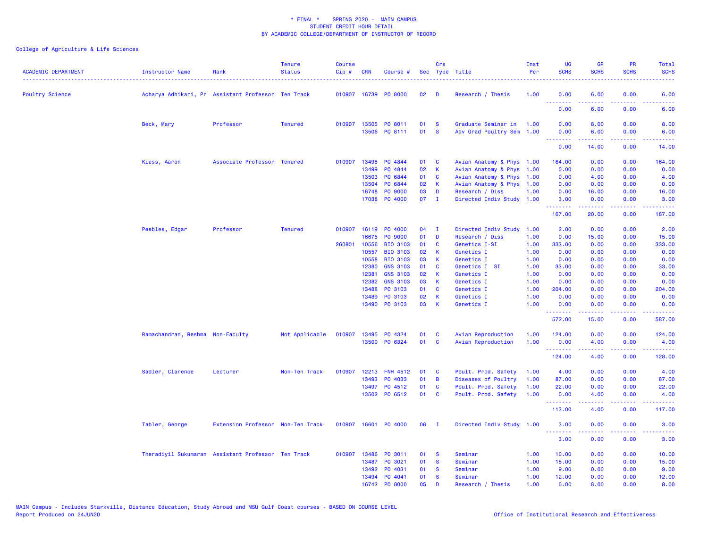| <b>ACADEMIC DEPARTMENT</b> | Instructor Name                                    | Rank                              | <b>Tenure</b><br><b>Status</b> | <b>Course</b><br>Cip# | <b>CRN</b> | Course #                              |          | Crs                  | Sec Type Title                                   | Inst<br>Per | <b>UG</b><br><b>SCHS</b>                                   | <b>GR</b><br><b>SCHS</b> | <b>PR</b><br><b>SCHS</b>                                                                                                          | Total<br><b>SCHS</b> |
|----------------------------|----------------------------------------------------|-----------------------------------|--------------------------------|-----------------------|------------|---------------------------------------|----------|----------------------|--------------------------------------------------|-------------|------------------------------------------------------------|--------------------------|-----------------------------------------------------------------------------------------------------------------------------------|----------------------|
| <b>Poultry Science</b>     | Acharya Adhikari, Pr Assistant Professor Ten Track |                                   |                                |                       |            | 010907 16739 PO 8000                  | 02       | D                    | Research / Thesis                                | 1.00        | 0.00<br>.                                                  | 6.00<br>.                | 0.00<br>$\frac{1}{2} \left( \frac{1}{2} \right) \left( \frac{1}{2} \right) \left( \frac{1}{2} \right) \left( \frac{1}{2} \right)$ | 6.00<br>.            |
|                            |                                                    |                                   |                                |                       |            |                                       |          |                      |                                                  |             | 0.00                                                       | 6.00                     | 0.00                                                                                                                              | 6.00                 |
|                            | Beck, Mary                                         | Professor                         | <b>Tenured</b>                 |                       |            | 010907 13505 PO 8011<br>13506 PO 8111 | 01<br>01 | <b>S</b><br><b>S</b> | Graduate Seminar in<br>Adv Grad Poultry Sem 1.00 | 1.00        | 0.00<br>0.00<br><u>.</u>                                   | 8.00<br>6.00             | 0.00<br>0.00<br>22222                                                                                                             | 8.00<br>6.00         |
|                            |                                                    |                                   |                                |                       |            |                                       |          |                      |                                                  |             | 0.00                                                       | .<br>14.00               | 0.00                                                                                                                              | .<br>14.00           |
|                            | Kiess, Aaron                                       | Associate Professor Tenured       |                                | 010907                | 13498      | PO 4844                               | 01       | C                    | Avian Anatomy & Phys 1.00                        |             | 164.00                                                     | 0.00                     | 0.00                                                                                                                              | 164.00               |
|                            |                                                    |                                   |                                |                       | 13499      | PO 4844                               | 02       | K                    | Avian Anatomy & Phys 1.00                        |             | 0.00                                                       | 0.00                     | 0.00                                                                                                                              | 0.00                 |
|                            |                                                    |                                   |                                |                       | 13503      | PO 6844                               | 01       | <b>C</b>             | Avian Anatomy & Phys 1.00                        |             | 0.00                                                       | 4.00                     | 0.00                                                                                                                              | 4.00                 |
|                            |                                                    |                                   |                                |                       | 13504      | PO 6844                               | 02       | К                    | Avian Anatomy & Phys 1.00                        |             | 0.00                                                       | 0.00                     | 0.00                                                                                                                              | 0.00                 |
|                            |                                                    |                                   |                                |                       | 16748      | PO 9000                               | 03       | D                    | Research / Diss                                  | 1.00        | 0.00                                                       | 16.00                    | 0.00                                                                                                                              | 16.00                |
|                            |                                                    |                                   |                                |                       |            | 17038 PO 4000                         | $07$ I   |                      | Directed Indiv Study 1.00                        |             | 3.00<br><b><i><u><u><b>a</b></u></u> a a a a a a a</i></b> | 0.00<br>.                | 0.00<br>22222                                                                                                                     | 3.00<br>.            |
|                            |                                                    |                                   |                                |                       |            |                                       |          |                      |                                                  |             | 167.00                                                     | 20.00                    | 0.00                                                                                                                              | 187.00               |
|                            | Peebles, Edgar                                     | Professor                         | <b>Tenured</b>                 |                       |            | 010907 16119 P0 4000                  | 04       | $\mathbf{I}$         | Directed Indiv Study                             | 1.00        | 2.00                                                       | 0.00                     | 0.00                                                                                                                              | 2.00                 |
|                            |                                                    |                                   |                                |                       | 16675      | PO 9000                               | 01       | D                    | Research / Diss                                  | 1.00        | 0.00                                                       | 15.00                    | 0.00                                                                                                                              | 15.00                |
|                            |                                                    |                                   |                                | 260801                | 10556      | <b>BIO 3103</b>                       | 01       | C                    | Genetics I-SI                                    | 1.00        | 333.00                                                     | 0.00                     | 0.00                                                                                                                              | 333.00               |
|                            |                                                    |                                   |                                |                       | 10557      | <b>BIO 3103</b>                       | 02       | K                    | Genetics I                                       | 1.00        | 0.00                                                       | 0.00                     | 0.00                                                                                                                              | 0.00                 |
|                            |                                                    |                                   |                                |                       | 10558      | <b>BIO 3103</b>                       | 03       | К                    | Genetics I                                       | 1.00        | 0.00                                                       | 0.00                     | 0.00                                                                                                                              | 0.00                 |
|                            |                                                    |                                   |                                |                       | 12380      | <b>GNS 3103</b>                       | 01       | C                    | Genetics I SI                                    | 1.00        | 33.00                                                      | 0.00                     | 0.00                                                                                                                              | 33.00                |
|                            |                                                    |                                   |                                |                       | 12381      | <b>GNS 3103</b>                       | 02       | K                    | Genetics I                                       | 1.00        | 0.00                                                       | 0.00                     | 0.00                                                                                                                              | 0.00                 |
|                            |                                                    |                                   |                                |                       | 12382      | <b>GNS 3103</b>                       | 03       | К                    | Genetics I                                       | 1.00        | 0.00                                                       | 0.00                     | 0.00                                                                                                                              | 0.00                 |
|                            |                                                    |                                   |                                |                       | 13488      | PO 3103                               | 01       | C                    | Genetics I                                       | 1.00        | 204.00                                                     | 0.00                     | 0.00                                                                                                                              | 204.00               |
|                            |                                                    |                                   |                                |                       | 13489      | PO 3103                               | 02       | K                    | Genetics I                                       | 1.00        | 0.00                                                       | 0.00                     | 0.00                                                                                                                              | 0.00                 |
|                            |                                                    |                                   |                                |                       |            | 13490 PO 3103                         | 03       | К                    | Genetics I                                       | 1.00        | 0.00<br>.                                                  | 0.00                     | 0.00<br>$\sim$ $\sim$ $\sim$ $\sim$                                                                                               | 0.00<br>المتمامين    |
|                            |                                                    |                                   |                                |                       |            |                                       |          |                      |                                                  |             | 572.00                                                     | 15.00                    | 0.00                                                                                                                              | 587.00               |
|                            | Ramachandran, Reshma Non-Faculty                   |                                   | Not Applicable                 | 010907                |            | 13495 PO 4324                         | 01       | <b>C</b>             | Avian Reproduction                               | 1.00        | 124.00                                                     | 0.00                     | 0.00                                                                                                                              | 124.00               |
|                            |                                                    |                                   |                                |                       |            | 13500 PO 6324                         | 01       | $\mathbf{C}$         | Avian Reproduction                               | 1.00        | 0.00                                                       | 4.00                     | 0.00                                                                                                                              | 4.00                 |
|                            |                                                    |                                   |                                |                       |            |                                       |          |                      |                                                  |             | <b></b>                                                    | .                        | د د د د                                                                                                                           | المتمام ماما         |
|                            |                                                    |                                   |                                |                       |            |                                       |          |                      |                                                  |             | 124.00                                                     | 4.00                     | 0.00                                                                                                                              | 128.00               |
|                            | Sadler, Clarence                                   | Lecturer                          | Non-Ten Track                  | 010907                |            | 12213 FNH 4512                        | 01       | <b>C</b>             | Poult. Prod. Safety                              | 1.00        | 4.00                                                       | 0.00                     | 0.00                                                                                                                              | 4.00                 |
|                            |                                                    |                                   |                                |                       | 13493      | PO 4033                               | 01       | В                    | Diseases of Poultry                              | 1.00        | 87.00                                                      | 0.00                     | 0.00                                                                                                                              | 87.00                |
|                            |                                                    |                                   |                                |                       |            | 13497 PO 4512                         | 01       | C                    | Poult. Prod. Safety                              | 1.00        | 22.00                                                      | 0.00                     | 0.00                                                                                                                              | 22.00                |
|                            |                                                    |                                   |                                |                       |            | 13502 PO 6512                         | 01 C     |                      | Poult. Prod. Safety                              | 1.00        | 0.00<br><u>.</u>                                           | 4.00<br>22222            | 0.00<br>.                                                                                                                         | 4.00<br>22222        |
|                            |                                                    |                                   |                                |                       |            |                                       |          |                      |                                                  |             | 113.00                                                     | 4.00                     | 0.00                                                                                                                              | 117.00               |
|                            | Tabler, George                                     | Extension Professor Non-Ten Track |                                |                       |            | 010907 16601 PO 4000                  | 06       | $\mathbf{I}$         | Directed Indiv Study 1.00                        |             | 3.00                                                       | 0.00                     | 0.00                                                                                                                              | 3.00                 |
|                            |                                                    |                                   |                                |                       |            |                                       |          |                      |                                                  |             | <b><i><u><u> - - - - - - -</u></u></i></b><br>3.00         | .<br>0.00                | .<br>0.00                                                                                                                         | .<br>3.00            |
|                            | Theradiyil Sukumaran Assistant Professor Ten Track |                                   |                                | 010907 13486          |            | PO 3011                               | 01       | -S                   | Seminar                                          | 1.00        | 10.00                                                      | 0.00                     | 0.00                                                                                                                              | 10.00                |
|                            |                                                    |                                   |                                |                       | 13487      | PO 3021                               | 01       | <b>S</b>             | Seminar                                          | 1.00        | 15.00                                                      | 0.00                     | 0.00                                                                                                                              | 15.00                |
|                            |                                                    |                                   |                                |                       | 13492      | PO 4031                               | 01       | <b>S</b>             | Seminar                                          | 1.00        | 9.00                                                       | 0.00                     | 0.00                                                                                                                              | 9.00                 |
|                            |                                                    |                                   |                                |                       |            | 13494 PO 4041                         | 01       | <b>S</b>             | Seminar                                          | 1.00        | 12.00                                                      | 0.00                     | 0.00                                                                                                                              | 12.00                |
|                            |                                                    |                                   |                                |                       |            | 16742 PO 8000                         | 05       | D                    | Research / Thesis                                | 1.00        | 0.00                                                       | 8.00                     | 0.00                                                                                                                              | 8.00                 |
|                            |                                                    |                                   |                                |                       |            |                                       |          |                      |                                                  |             |                                                            |                          |                                                                                                                                   |                      |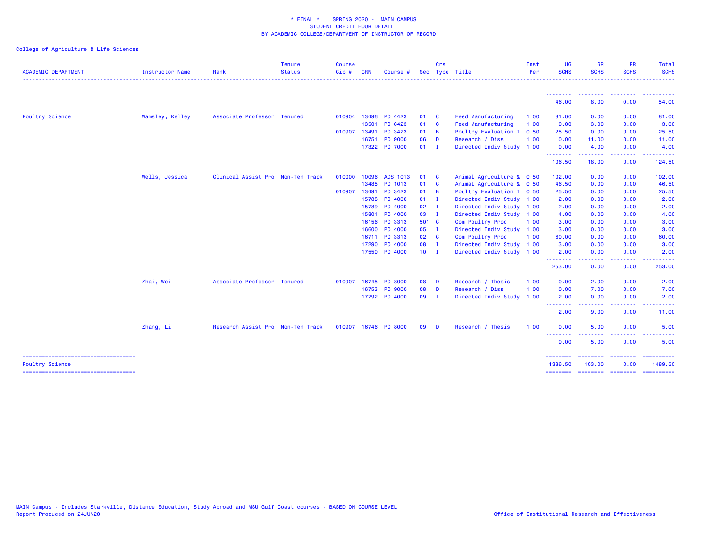| <b>ACADEMIC DEPARTMENT</b>                                      | <b>Instructor Name</b> | Rank                              | <b>Tenure</b><br><b>Status</b> | <b>Course</b><br>Cip# | <b>CRN</b> | Course #             |               | Crs            | Sec Type Title            | Inst<br>Per | UG<br><b>SCHS</b>                                          | <b>GR</b><br><b>SCHS</b>                                                                                                                                     | <b>PR</b><br><b>SCHS</b> | Total<br><b>SCHS</b>                                                                                                                                                                                                                                                                                                                                                                                                                                                                   |
|-----------------------------------------------------------------|------------------------|-----------------------------------|--------------------------------|-----------------------|------------|----------------------|---------------|----------------|---------------------------|-------------|------------------------------------------------------------|--------------------------------------------------------------------------------------------------------------------------------------------------------------|--------------------------|----------------------------------------------------------------------------------------------------------------------------------------------------------------------------------------------------------------------------------------------------------------------------------------------------------------------------------------------------------------------------------------------------------------------------------------------------------------------------------------|
|                                                                 |                        |                                   |                                |                       |            |                      |               |                |                           |             |                                                            |                                                                                                                                                              |                          |                                                                                                                                                                                                                                                                                                                                                                                                                                                                                        |
|                                                                 |                        |                                   |                                |                       |            |                      |               |                |                           |             | --------<br>46.00                                          | 8.00                                                                                                                                                         | 0.00                     | 54.00                                                                                                                                                                                                                                                                                                                                                                                                                                                                                  |
| <b>Poultry Science</b>                                          | Wamsley, Kelley        | Associate Professor Tenured       |                                | 010904 13496          |            | PO 4423              | 01            | <b>C</b>       | <b>Feed Manufacturing</b> | 1.00        | 81.00                                                      | 0.00                                                                                                                                                         | 0.00                     | 81.00                                                                                                                                                                                                                                                                                                                                                                                                                                                                                  |
|                                                                 |                        |                                   |                                |                       | 13501      | PO 6423              | 01            | $\mathbf{C}$   | <b>Feed Manufacturing</b> | 1.00        | 0.00                                                       | 3.00                                                                                                                                                         | 0.00                     | 3.00                                                                                                                                                                                                                                                                                                                                                                                                                                                                                   |
|                                                                 |                        |                                   |                                | 010907 13491          |            | PO 3423              | 01            | $\overline{B}$ | Poultry Evaluation I      | 0.50        | 25.50                                                      | 0.00                                                                                                                                                         | 0.00                     | 25.50                                                                                                                                                                                                                                                                                                                                                                                                                                                                                  |
|                                                                 |                        |                                   |                                |                       | 16751      | PO 9000              | 06            | D              | Research / Diss           | 1.00        | 0.00                                                       | 11.00                                                                                                                                                        | 0.00                     | 11.00                                                                                                                                                                                                                                                                                                                                                                                                                                                                                  |
|                                                                 |                        |                                   |                                |                       | 17322      | PO 7000              | 01            | $\mathbf{I}$   | Directed Indiv Study 1.00 |             | 0.00                                                       | 4.00                                                                                                                                                         | 0.00                     | 4.00                                                                                                                                                                                                                                                                                                                                                                                                                                                                                   |
|                                                                 |                        |                                   |                                |                       |            |                      |               |                |                           |             | .<br>106.50                                                | <b></b><br>18.00                                                                                                                                             | -----<br>0.00            | . <u>.</u> .<br>124.50                                                                                                                                                                                                                                                                                                                                                                                                                                                                 |
|                                                                 | Wells, Jessica         | Clinical Assist Pro Non-Ten Track |                                | 010000                | 10096      | ADS 1013             | 01            | <b>C</b>       | Animal Agriculture & 0.50 |             | 102.00                                                     | 0.00                                                                                                                                                         | 0.00                     | 102.00                                                                                                                                                                                                                                                                                                                                                                                                                                                                                 |
|                                                                 |                        |                                   |                                |                       | 13485      | PO 1013              | 01            | $\mathbf{C}$   | Animal Agriculture & 0.50 |             | 46.50                                                      | 0.00                                                                                                                                                         | 0.00                     | 46.50                                                                                                                                                                                                                                                                                                                                                                                                                                                                                  |
|                                                                 |                        |                                   |                                | 010907 13491          |            | PO 3423              | 01            | <b>B</b>       | Poultry Evaluation I 0.50 |             | 25.50                                                      | 0.00                                                                                                                                                         | 0.00                     | 25.50                                                                                                                                                                                                                                                                                                                                                                                                                                                                                  |
|                                                                 |                        |                                   |                                |                       | 15788      | PO 4000              | 01            | $\mathbf{I}$   | Directed Indiv Study 1.00 |             | 2.00                                                       | 0.00                                                                                                                                                         | 0.00                     | 2.00                                                                                                                                                                                                                                                                                                                                                                                                                                                                                   |
|                                                                 |                        |                                   |                                |                       | 15789      | P0 4000              | $02 \qquad I$ |                | Directed Indiv Study 1.00 |             | 2.00                                                       | 0.00                                                                                                                                                         | 0.00                     | 2.00                                                                                                                                                                                                                                                                                                                                                                                                                                                                                   |
|                                                                 |                        |                                   |                                |                       | 15801      | P0 4000              | 03 I          |                | Directed Indiv Study 1.00 |             | 4.00                                                       | 0.00                                                                                                                                                         | 0.00                     | 4.00                                                                                                                                                                                                                                                                                                                                                                                                                                                                                   |
|                                                                 |                        |                                   |                                |                       | 16156      | PO 3313              | 501 C         |                | Com Poultry Prod          | 1.00        | 3.00                                                       | 0.00                                                                                                                                                         | 0.00                     | 3.00                                                                                                                                                                                                                                                                                                                                                                                                                                                                                   |
|                                                                 |                        |                                   |                                |                       | 16600      | PO 4000              | 05            | - 1            | Directed Indiv Study 1.00 |             | 3.00                                                       | 0.00                                                                                                                                                         | 0.00                     | 3.00                                                                                                                                                                                                                                                                                                                                                                                                                                                                                   |
|                                                                 |                        |                                   |                                |                       | 16711      | PO 3313              | 02            | $\mathbf{C}$   | Com Poultry Prod          | 1.00        | 60.00                                                      | 0.00                                                                                                                                                         | 0.00                     | 60.00                                                                                                                                                                                                                                                                                                                                                                                                                                                                                  |
|                                                                 |                        |                                   |                                |                       | 17290      | P0 4000              | 08            | $\blacksquare$ | Directed Indiv Study 1.00 |             | 3.00                                                       | 0.00                                                                                                                                                         | 0.00                     | 3.00                                                                                                                                                                                                                                                                                                                                                                                                                                                                                   |
|                                                                 |                        |                                   |                                |                       |            | 17550 PO 4000        | $10$ I        |                | Directed Indiv Study 1.00 |             | 2.00<br>.                                                  | 0.00                                                                                                                                                         | 0.00                     | 2.00                                                                                                                                                                                                                                                                                                                                                                                                                                                                                   |
|                                                                 |                        |                                   |                                |                       |            |                      |               |                |                           |             | 253.00                                                     | 0.00                                                                                                                                                         | 0.00                     | 253.00                                                                                                                                                                                                                                                                                                                                                                                                                                                                                 |
|                                                                 | Zhai, Wei              | Associate Professor Tenured       |                                | 010907                |            | 16745 PO 8000        | 08            | D              | Research / Thesis         | 1.00        | 0.00                                                       | 2.00                                                                                                                                                         | 0.00                     | 2.00                                                                                                                                                                                                                                                                                                                                                                                                                                                                                   |
|                                                                 |                        |                                   |                                |                       |            | 16753 PO 9000        | 08            | <b>D</b>       | Research / Diss           | 1.00        | 0.00                                                       | 7.00                                                                                                                                                         | 0.00                     | 7.00                                                                                                                                                                                                                                                                                                                                                                                                                                                                                   |
|                                                                 |                        |                                   |                                |                       |            | 17292 P0 4000        | 09            | $\mathbf{I}$   | Directed Indiv Study      | 1.00        | 2.00<br><b><i><u><u><b>a</b></u></u> a a a a a a a</i></b> | 0.00                                                                                                                                                         | 0.00<br>.                | 2.00<br>.                                                                                                                                                                                                                                                                                                                                                                                                                                                                              |
|                                                                 |                        |                                   |                                |                       |            |                      |               |                |                           |             | 2.00                                                       | $\frac{1}{2} \left( \frac{1}{2} \right) \left( \frac{1}{2} \right) \left( \frac{1}{2} \right) \left( \frac{1}{2} \right) \left( \frac{1}{2} \right)$<br>9.00 | 0.00                     | 11.00                                                                                                                                                                                                                                                                                                                                                                                                                                                                                  |
|                                                                 | Zhang, Li              | Research Assist Pro Non-Ten Track |                                |                       |            | 010907 16746 PO 8000 | 09            | D              | Research / Thesis         | 1.00        | 0.00                                                       | 5.00                                                                                                                                                         | 0.00                     | 5.00                                                                                                                                                                                                                                                                                                                                                                                                                                                                                   |
|                                                                 |                        |                                   |                                |                       |            |                      |               |                |                           |             | --------<br>0.00                                           | 5.00                                                                                                                                                         | $  -$<br>0.00            | 5.00                                                                                                                                                                                                                                                                                                                                                                                                                                                                                   |
| =====================================<br><b>Poultry Science</b> |                        |                                   |                                |                       |            |                      |               |                |                           |             | ========<br>1386.50                                        | ========<br>103.00                                                                                                                                           | ========<br>0.00         | ==========<br>1489.50                                                                                                                                                                                                                                                                                                                                                                                                                                                                  |
| =====================================                           |                        |                                   |                                |                       |            |                      |               |                |                           |             | <b>ESSESSES</b>                                            | ======== ========                                                                                                                                            |                          | $\begin{array}{cccccccccc} \multicolumn{2}{c}{} & \multicolumn{2}{c}{} & \multicolumn{2}{c}{} & \multicolumn{2}{c}{} & \multicolumn{2}{c}{} & \multicolumn{2}{c}{} & \multicolumn{2}{c}{} & \multicolumn{2}{c}{} & \multicolumn{2}{c}{} & \multicolumn{2}{c}{} & \multicolumn{2}{c}{} & \multicolumn{2}{c}{} & \multicolumn{2}{c}{} & \multicolumn{2}{c}{} & \multicolumn{2}{c}{} & \multicolumn{2}{c}{} & \multicolumn{2}{c}{} & \multicolumn{2}{c}{} & \multicolumn{2}{c}{} & \mult$ |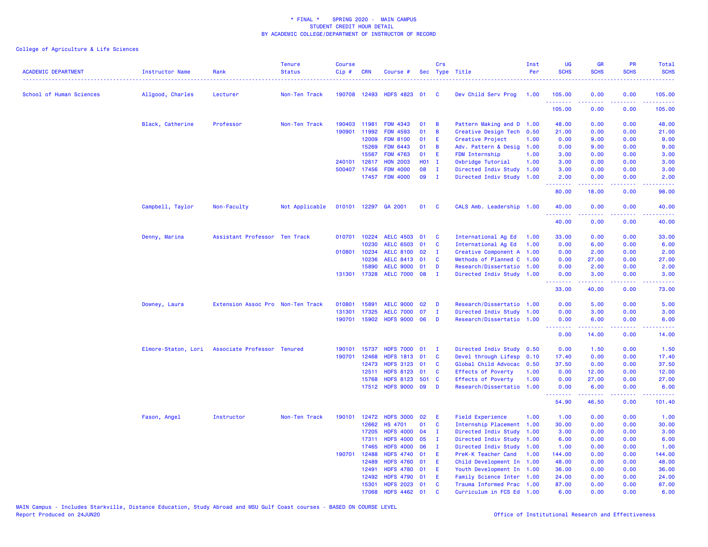|                            |                        |                                   | <b>Tenure</b>  | <b>Course</b> |                |                                      |          | Crs                         |                                                        | Inst | <b>UG</b>                                          | <b>GR</b>     | PR                                                                                                                                | Total                                                                                                                                                          |
|----------------------------|------------------------|-----------------------------------|----------------|---------------|----------------|--------------------------------------|----------|-----------------------------|--------------------------------------------------------|------|----------------------------------------------------|---------------|-----------------------------------------------------------------------------------------------------------------------------------|----------------------------------------------------------------------------------------------------------------------------------------------------------------|
| <b>ACADEMIC DEPARTMENT</b> | <b>Instructor Name</b> | Rank                              | <b>Status</b>  | Cip#          | <b>CRN</b>     | Course #                             |          |                             | Sec Type Title                                         | Per  | <b>SCHS</b>                                        | <b>SCHS</b>   | <b>SCHS</b>                                                                                                                       | <b>SCHS</b>                                                                                                                                                    |
| School of Human Sciences   | Allgood, Charles       | Lecturer                          | Non-Ten Track  |               | 190708 12493   | <b>HDFS 4823</b>                     | 01       | C                           | Dev Child Serv Prog                                    | 1.00 | 105.00                                             | 0.00          | 0.00                                                                                                                              | 105.00                                                                                                                                                         |
|                            |                        |                                   |                |               |                |                                      |          |                             |                                                        |      | 105.00                                             | .<br>0.00     | .<br>0.00                                                                                                                         | $\frac{1}{2} \left( \frac{1}{2} \right) \left( \frac{1}{2} \right) \left( \frac{1}{2} \right) \left( \frac{1}{2} \right) \left( \frac{1}{2} \right)$<br>105.00 |
|                            | Black, Catherine       | Professor                         | Non-Ten Track  | 190403        | 11981          | <b>FDM 4343</b>                      | 01       | В                           | Pattern Making and D 1.00                              |      | 48.00                                              | 0.00          | 0.00                                                                                                                              | 48.00                                                                                                                                                          |
|                            |                        |                                   |                | 190901        | 11992          | <b>FDM 4593</b>                      | 01       | B                           | Creative Design Tech 0.50                              |      | 21.00                                              | 0.00          | 0.00                                                                                                                              | 21.00                                                                                                                                                          |
|                            |                        |                                   |                |               | 12009          | <b>FDM 8100</b>                      | 01       | Ε                           | Creative Project                                       | 1.00 | 0.00                                               | 9.00          | 0.00                                                                                                                              | 9.00                                                                                                                                                           |
|                            |                        |                                   |                |               | 15269          | <b>FDM 6443</b>                      | 01       | В                           | Adv. Pattern & Desig                                   | 1.00 | 0.00                                               | 9.00          | 0.00                                                                                                                              | 9.00                                                                                                                                                           |
|                            |                        |                                   |                |               | 15567          | <b>FDM 4763</b>                      | 01       | Ε                           | FDM Internship                                         | 1.00 | 3.00                                               | 0.00          | 0.00                                                                                                                              | 3.00                                                                                                                                                           |
|                            |                        |                                   |                |               | 240101 12617   | <b>HON 2003</b>                      | H01 I    |                             | Oxbridge Tutorial                                      | 1.00 | 3.00                                               | 0.00          | 0.00                                                                                                                              | 3.00                                                                                                                                                           |
|                            |                        |                                   |                |               | 500407 17456   | <b>FDM 4000</b>                      | 08       | $\mathbf{I}$                | Directed Indiv Study 1.00                              |      | 3.00                                               | 0.00          | 0.00                                                                                                                              | 3.00                                                                                                                                                           |
|                            |                        |                                   |                |               |                | 17457 FDM 4000                       | 09       | $\mathbf{I}$                | Directed Indiv Study 1.00                              |      | 2.00                                               | 0.00          | 0.00                                                                                                                              | 2.00                                                                                                                                                           |
|                            |                        |                                   |                |               |                |                                      |          |                             |                                                        |      | 80.00                                              | 18.00         | 0.00                                                                                                                              | 98.00                                                                                                                                                          |
|                            | Campbell, Taylor       | Non-Faculty                       | Not Applicable |               |                | 010101 12297 GA 2001                 | 01       | <b>C</b>                    | CALS Amb. Leadership 1.00                              |      | 40.00<br>.                                         | 0.00<br>.     | 0.00<br>.                                                                                                                         | 40.00<br>.                                                                                                                                                     |
|                            |                        |                                   |                |               |                |                                      |          |                             |                                                        |      | 40.00                                              | 0.00          | 0.00                                                                                                                              | 40.00                                                                                                                                                          |
|                            | Denny, Marina          | Assistant Professor Ten Track     |                | 010701        | 10224          | <b>AELC 4503</b>                     | 01       | C                           | International Ag Ed                                    | 1.00 | 33.00                                              | 0.00          | 0.00                                                                                                                              | 33.00                                                                                                                                                          |
|                            |                        |                                   |                |               | 10230          | <b>AELC 6503</b>                     | 01       | C                           | International Ag Ed                                    | 1.00 | 0.00                                               | 6.00          | 0.00                                                                                                                              | 6.00                                                                                                                                                           |
|                            |                        |                                   |                | 010801        | 10234          | AELC 8100 02                         |          | - I                         | Creative Component A 1.00                              |      | 0.00                                               | 2.00          | 0.00                                                                                                                              | 2.00                                                                                                                                                           |
|                            |                        |                                   |                |               | 10236          | AELC 8413 01                         |          | C                           | Methods of Planned C 1.00                              |      | 0.00                                               | 27.00         | 0.00                                                                                                                              | 27.00                                                                                                                                                          |
|                            |                        |                                   |                |               | 15890          | <b>AELC 9000</b>                     | 01       | D                           | Research/Dissertatio 1.00                              |      | 0.00                                               | 2.00          | 0.00                                                                                                                              | 2.00                                                                                                                                                           |
|                            |                        |                                   |                |               | 131301 17328   | AELC 7000 08                         |          | $\mathbf{I}$                | Directed Indiv Study 1.00                              |      | 0.00<br>.                                          | 3.00<br>----- | 0.00<br>.                                                                                                                         | 3.00<br>المتماما                                                                                                                                               |
|                            |                        |                                   |                |               |                |                                      |          |                             |                                                        |      | 33.00                                              | 40.00         | 0.00                                                                                                                              | 73.00                                                                                                                                                          |
|                            | Downey, Laura          | Extension Assoc Pro Non-Ten Track |                | 010801        | 15891          | <b>AELC 9000</b>                     | 02       | D                           | Research/Dissertatio 1.00                              |      | 0.00                                               | 5.00          | 0.00                                                                                                                              | 5.00                                                                                                                                                           |
|                            |                        |                                   |                | 131301        | 17325          | <b>AELC 7000</b>                     | 07       | T                           | Directed Indiv Study 1.00                              |      | 0.00                                               | 3.00          | 0.00                                                                                                                              | 3.00                                                                                                                                                           |
|                            |                        |                                   |                | 190701        | 15902          | <b>HDFS 9000</b>                     | 06       | D                           | Research/Dissertatio 1.00                              |      | 0.00<br><b><i><u><u> - - - - - - -</u></u></i></b> | 6.00<br>.     | 0.00<br>.                                                                                                                         | 6.00<br>.                                                                                                                                                      |
|                            |                        |                                   |                |               |                |                                      |          |                             |                                                        |      | 0.00                                               | 14.00         | 0.00                                                                                                                              | 14.00                                                                                                                                                          |
|                            | Elmore-Staton, Lori    | Associate Professor Tenured       |                | 190101        | 15737          | <b>HDFS 7000</b>                     | 01       | - 1                         | Directed Indiv Study 0.50                              |      | 0.00                                               | 1.50          | 0.00                                                                                                                              | 1.50                                                                                                                                                           |
|                            |                        |                                   |                | 190701        | 12468          | <b>HDFS 1813</b>                     | 01       | C                           | Devel through Lifesp 0.10                              |      | 17.40                                              | 0.00          | 0.00                                                                                                                              | 17.40                                                                                                                                                          |
|                            |                        |                                   |                |               | 12473          | HDFS 3123 01                         |          | C                           | Global Child Advocac 0.50                              |      | 37.50                                              | 0.00          | 0.00                                                                                                                              | 37.50                                                                                                                                                          |
|                            |                        |                                   |                |               | 12511          | <b>HDFS 8123</b>                     | 01       | C                           | Effects of Poverty                                     | 1.00 | 0.00                                               | 12.00         | 0.00                                                                                                                              | 12.00                                                                                                                                                          |
|                            |                        |                                   |                |               | 15768          | <b>HDFS 8123</b>                     | 501      | $\mathbf{C}$                | <b>Effects of Poverty</b>                              | 1.00 | 0.00                                               | 27.00         | 0.00                                                                                                                              | 27.00                                                                                                                                                          |
|                            |                        |                                   |                |               |                | 17512 HDFS 9000 09                   |          | D                           | Research/Dissertatio 1.00                              |      | 0.00<br><u>.</u>                                   | 6.00          | 0.00<br>$\frac{1}{2} \left( \frac{1}{2} \right) \left( \frac{1}{2} \right) \left( \frac{1}{2} \right) \left( \frac{1}{2} \right)$ | 6.00                                                                                                                                                           |
|                            |                        |                                   |                |               |                |                                      |          |                             |                                                        |      | 54.90                                              | 46.50         | 0.00                                                                                                                              | 101.40                                                                                                                                                         |
|                            | Fason, Angel           | Instructor                        | Non-Ten Track  |               |                | 190101 12472 HDFS 3000               | 02       | Ε                           | <b>Field Experience</b>                                | 1.00 | 1.00                                               | 0.00          | 0.00                                                                                                                              | 1.00                                                                                                                                                           |
|                            |                        |                                   |                |               | 12662          | <b>HS 4701</b>                       | 01       | C                           | Internship Placement 1.00                              |      | 30.00                                              | 0.00          | 0.00                                                                                                                              | 30.00                                                                                                                                                          |
|                            |                        |                                   |                |               | 17205          | <b>HDFS 4000</b>                     | 04       | $\mathbf{I}$                | Directed Indiv Study                                   | 1.00 | 3.00                                               | 0.00          | 0.00                                                                                                                              | 3.00                                                                                                                                                           |
|                            |                        |                                   |                |               | 17311<br>17465 | <b>HDFS 4000</b><br><b>HDFS 4000</b> | 05<br>06 | $\mathbf I$<br>$\mathbf{I}$ | Directed Indiv Study 1.00<br>Directed Indiv Study 1.00 |      | 6.00<br>1.00                                       | 0.00<br>0.00  | 0.00<br>0.00                                                                                                                      | 6.00<br>1.00                                                                                                                                                   |
|                            |                        |                                   |                | 190701        | 12488          | <b>HDFS 4740</b>                     | 01       | E                           | PreK-K Teacher Cand                                    | 1.00 | 144.00                                             | 0.00          | 0.00                                                                                                                              | 144.00                                                                                                                                                         |
|                            |                        |                                   |                |               | 12489          | <b>HDFS 4760</b>                     | 01       | Ε                           | Child Development In 1.00                              |      | 48.00                                              | 0.00          | 0.00                                                                                                                              | 48.00                                                                                                                                                          |
|                            |                        |                                   |                |               | 12491          | HDFS 4780 01                         |          | Ε                           | Youth Development In 1.00                              |      | 36.00                                              | 0.00          | 0.00                                                                                                                              | 36.00                                                                                                                                                          |
|                            |                        |                                   |                |               | 12492          | HDFS 4790 01                         |          | Ε                           | Family Science Inter 1.00                              |      | 24.00                                              | 0.00          | 0.00                                                                                                                              | 24.00                                                                                                                                                          |
|                            |                        |                                   |                |               | 15301          | HDFS 2023 01                         |          | C                           | Trauma Informed Prac 1.00                              |      | 87.00                                              | 0.00          | 0.00                                                                                                                              | 87.00                                                                                                                                                          |
|                            |                        |                                   |                |               | 17068          | HDFS 4462 01                         |          | $\mathbf{c}$                | Curriculum in FCS Ed 1.00                              |      | 6.00                                               | 0.00          | 0.00                                                                                                                              | 6.00                                                                                                                                                           |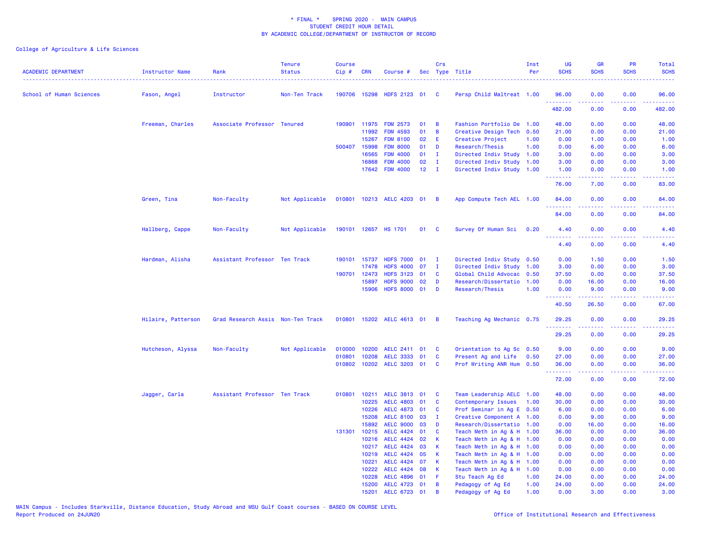| <b>ACADEMIC DEPARTMENT</b> | <b>Instructor Name</b> | Rank                              | <b>Tenure</b><br><b>Status</b> | <b>Course</b><br>Cip# | <b>CRN</b>   | Course #                  |                 | Crs            | Sec Type Title            | Inst<br>Per | <b>UG</b><br><b>SCHS</b> | <b>GR</b><br><b>SCHS</b>                                                                                                                                     | PR<br><b>SCHS</b>              | Total<br><b>SCHS</b>   |
|----------------------------|------------------------|-----------------------------------|--------------------------------|-----------------------|--------------|---------------------------|-----------------|----------------|---------------------------|-------------|--------------------------|--------------------------------------------------------------------------------------------------------------------------------------------------------------|--------------------------------|------------------------|
| School of Human Sciences   | Fason, Angel           | Instructor                        | Non-Ten Track                  |                       |              | 190706 15298 HDFS 2123 01 |                 | <b>C</b>       | Persp Child Maltreat 1.00 |             | 96.00<br>.               | 0.00                                                                                                                                                         | 0.00<br>والمحامر               | 96.00<br>.             |
|                            |                        |                                   |                                |                       |              |                           |                 |                |                           |             | 482.00                   | 0.00                                                                                                                                                         | 0.00                           | 482.00                 |
|                            | Freeman, Charles       | Associate Professor Tenured       |                                | 190901                | 11975        | <b>FDM 2573</b>           | 01              | В              | Fashion Portfolio De 1.00 |             | 48.00                    | 0.00                                                                                                                                                         | 0.00                           | 48.00                  |
|                            |                        |                                   |                                |                       | 11992        | <b>FDM 4593</b>           | 01              | B              | Creative Design Tech 0.50 |             | 21.00                    | 0.00                                                                                                                                                         | 0.00                           | 21.00                  |
|                            |                        |                                   |                                |                       | 15267        | <b>FDM 8100</b>           | 02              | Ε              | Creative Project          | 1.00        | 0.00                     | 1.00                                                                                                                                                         | 0.00                           | 1.00                   |
|                            |                        |                                   |                                |                       | 500407 15998 | <b>FDM 8000</b>           | 01              | D              | Research/Thesis           | 1.00        | 0.00                     | 6.00                                                                                                                                                         | 0.00                           | 6.00                   |
|                            |                        |                                   |                                |                       | 16565        | <b>FDM 4000</b>           | 01              | $\mathbf{I}$   | Directed Indiv Study 1.00 |             | 3.00                     | 0.00                                                                                                                                                         | 0.00                           | 3.00                   |
|                            |                        |                                   |                                |                       | 16868        | <b>FDM 4000</b>           | 02              | I.             | Directed Indiv Study 1.00 |             | 3.00                     | 0.00                                                                                                                                                         | 0.00                           | 3.00                   |
|                            |                        |                                   |                                |                       |              | 17642 FDM 4000            | 12 <sub>2</sub> | $\mathbf{I}$   | Directed Indiv Study 1.00 |             | 1.00<br>.                | 0.00                                                                                                                                                         | 0.00<br>$\omega$ is a $\omega$ | 1.00<br>والدامات بداية |
|                            |                        |                                   |                                |                       |              |                           |                 |                |                           |             | 76.00                    | 7.00                                                                                                                                                         | 0.00                           | 83.00                  |
|                            | Green, Tina            | Non-Faculty                       | Not Applicable                 |                       |              | 010801 10213 AELC 4203 01 |                 | $\overline{B}$ | App Compute Tech AEL 1.00 |             | 84.00                    | 0.00                                                                                                                                                         | 0.00                           | 84.00                  |
|                            |                        |                                   |                                |                       |              |                           |                 |                |                           |             | 84.00                    | 0.00                                                                                                                                                         | 0.00                           | 84.00                  |
|                            | Hallberg, Cappe        | Non-Faculty                       | Not Applicable                 |                       |              | 190101 12657 HS 1701      | 01              | <b>C</b>       | Survey Of Human Sci       | 0.20        | 4.40                     | 0.00                                                                                                                                                         | 0.00                           | 4.40                   |
|                            |                        |                                   |                                |                       |              |                           |                 |                |                           |             | 4.40                     | 0.00                                                                                                                                                         | 0.00                           | 4.40                   |
|                            | Hardman, Alisha        | Assistant Professor Ten Track     |                                |                       | 190101 15737 | <b>HDFS 7000</b>          | 01              | $\mathbf{I}$   | Directed Indiv Study 0.50 |             | 0.00                     | 1.50                                                                                                                                                         | 0.00                           | 1.50                   |
|                            |                        |                                   |                                |                       | 17478        | <b>HDFS 4000</b>          | 07              | $\mathbf{I}$   | Directed Indiv Study 1.00 |             | 3.00                     | 0.00                                                                                                                                                         | 0.00                           | 3.00                   |
|                            |                        |                                   |                                | 190701                | 12473        | <b>HDFS 3123</b>          | 01              | C              | Global Child Advocac 0.50 |             | 37.50                    | 0.00                                                                                                                                                         | 0.00                           | 37.50                  |
|                            |                        |                                   |                                |                       | 15897        | <b>HDFS 9000</b>          | 02              | D              | Research/Dissertatio      | 1.00        | 0.00                     | 16.00                                                                                                                                                        | 0.00                           | 16.00                  |
|                            |                        |                                   |                                |                       |              | 15906 HDFS 8000 01        |                 | D              | Research/Thesis           | 1.00        | 0.00<br>.                | 9.00<br>$\frac{1}{2} \left( \frac{1}{2} \right) \left( \frac{1}{2} \right) \left( \frac{1}{2} \right) \left( \frac{1}{2} \right) \left( \frac{1}{2} \right)$ | 0.00<br>د د د د                | 9.00                   |
|                            |                        |                                   |                                |                       |              |                           |                 |                |                           |             | 40.50                    | 26.50                                                                                                                                                        | 0.00                           | 67.00                  |
|                            | Hilaire, Patterson     | Grad Research Assis Non-Ten Track |                                |                       |              | 010801 15202 AELC 4613 01 |                 | <b>B</b>       | Teaching Ag Mechanic 0.75 |             | 29.25<br>.               | 0.00<br>22222                                                                                                                                                | 0.00<br>22222                  | 29.25<br>.             |
|                            |                        |                                   |                                |                       |              |                           |                 |                |                           |             | 29.25                    | 0.00                                                                                                                                                         | 0.00                           | 29.25                  |
|                            | Hutcheson, Alyssa      | Non-Faculty                       | Not Applicable                 | 010000                | 10200        | AELC 2411 01              |                 | C              | Orientation to Ag Sc 0.50 |             | 9.00                     | 0.00                                                                                                                                                         | 0.00                           | 9.00                   |
|                            |                        |                                   |                                | 010801                | 10208        | AELC 3333 01              |                 | C              | Present Ag and Life 0.50  |             | 27.00                    | 0.00                                                                                                                                                         | 0.00                           | 27.00                  |
|                            |                        |                                   |                                |                       |              | 010802 10202 AELC 3203 01 |                 | C              | Prof Writing ANR Hum 0.50 |             | 36.00<br><u>.</u>        | 0.00<br>.                                                                                                                                                    | 0.00<br>.                      | 36.00<br>.             |
|                            |                        |                                   |                                |                       |              |                           |                 |                |                           |             | 72.00                    | 0.00                                                                                                                                                         | 0.00                           | 72.00                  |
|                            | Jagger, Carla          | Assistant Professor Ten Track     |                                | 010801                |              | 10211 AELC 3813 01        |                 | C              | Team Leadership AELC 1.00 |             | 48.00                    | 0.00                                                                                                                                                         | 0.00                           | 48.00                  |
|                            |                        |                                   |                                |                       | 10225        | <b>AELC 4803</b>          | 01              | C              | Contemporary Issues       | 1.00        | 30.00                    | 0.00                                                                                                                                                         | 0.00                           | 30.00                  |
|                            |                        |                                   |                                |                       | 10226        | AELC 4873 01              |                 | C              | Prof Seminar in Ag E 0.50 |             | 6.00                     | 0.00                                                                                                                                                         | 0.00                           | 6.00                   |
|                            |                        |                                   |                                |                       | 15208        | <b>AELC 8100</b>          | 03              | л.             | Creative Component A 1.00 |             | 0.00                     | 9.00                                                                                                                                                         | 0.00                           | 9.00                   |
|                            |                        |                                   |                                |                       | 15892        | <b>AELC 9000</b>          | 03              | D              | Research/Dissertatio 1.00 |             | 0.00                     | 16.00                                                                                                                                                        | 0.00                           | 16.00                  |
|                            |                        |                                   |                                | 131301                | 10215        | <b>AELC 4424</b>          | 01              | C              | Teach Meth in Ag & H 1.00 |             | 36.00                    | 0.00                                                                                                                                                         | 0.00                           | 36.00                  |
|                            |                        |                                   |                                |                       | 10216        | AELC 4424 02              |                 | К              | Teach Meth in Ag & H 1.00 |             | 0.00                     | 0.00                                                                                                                                                         | 0.00                           | 0.00                   |
|                            |                        |                                   |                                |                       |              | 10217 AELC 4424 03        |                 | K              | Teach Meth in Ag & H 1.00 |             | 0.00                     | 0.00                                                                                                                                                         | 0.00                           | 0.00                   |
|                            |                        |                                   |                                |                       | 10219        | <b>AELC 4424</b>          | 05              | К              | Teach Meth in Ag & H 1.00 |             | 0.00                     | 0.00                                                                                                                                                         | 0.00                           | 0.00                   |
|                            |                        |                                   |                                |                       | 10221        | AELC 4424 07              |                 | К              | Teach Meth in Ag & H 1.00 |             | 0.00                     | 0.00                                                                                                                                                         | 0.00                           | 0.00                   |
|                            |                        |                                   |                                |                       | 10222        | AELC 4424 08              |                 | К              | Teach Meth in Ag & H 1.00 |             | 0.00                     | 0.00                                                                                                                                                         | 0.00                           | 0.00                   |
|                            |                        |                                   |                                |                       | 10228        | <b>AELC 4896</b>          | 01              | F              | Stu Teach Ag Ed           | 1.00        | 24.00                    | 0.00                                                                                                                                                         | 0.00                           | 24.00                  |
|                            |                        |                                   |                                |                       | 15200        | AELC 4723 01              |                 | B              | Pedagogy of Ag Ed         | 1.00        | 24.00                    | 0.00                                                                                                                                                         | 0.00                           | 24.00                  |
|                            |                        |                                   |                                |                       | 15201        | AELC 6723 01              |                 | B              | Pedagogy of Ag Ed         | 1.00        | 0.00                     | 3.00                                                                                                                                                         | 0.00                           | 3.00                   |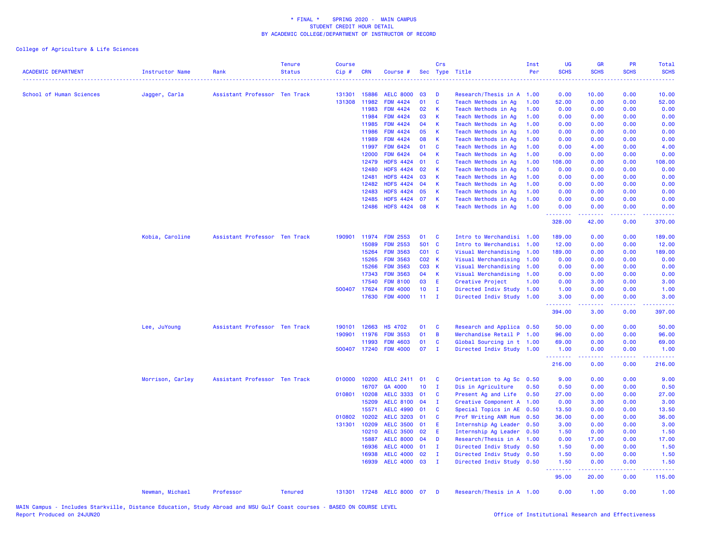| <b>ACADEMIC DEPARTMENT</b> | <b>Instructor Name</b> | Rank                          | <b>Tenure</b><br><b>Status</b> | <b>Course</b><br>$Cip \#$ | <b>CRN</b>   | Course #                  |       | Crs            | Sec Type Title            | Inst<br>Per | <b>UG</b><br><b>SCHS</b> | <b>GR</b><br><b>SCHS</b>                                                                                                | <b>PR</b><br><b>SCHS</b> | <b>Total</b><br><b>SCHS</b> |
|----------------------------|------------------------|-------------------------------|--------------------------------|---------------------------|--------------|---------------------------|-------|----------------|---------------------------|-------------|--------------------------|-------------------------------------------------------------------------------------------------------------------------|--------------------------|-----------------------------|
| School of Human Sciences   | Jagger, Carla          | Assistant Professor Ten Track |                                | 131301                    | 15886        | <b>AELC 8000</b>          | 03    | D              | Research/Thesis in A 1.00 |             | 0.00                     | 10.00                                                                                                                   | 0.00                     | 10.00                       |
|                            |                        |                               |                                | 131308                    | 11982        | FDM 4424                  | 01    | $\mathbf{C}$   | Teach Methods in Ag       | 1.00        | 52.00                    | 0.00                                                                                                                    | 0.00                     | 52.00                       |
|                            |                        |                               |                                |                           | 11983        | <b>FDM 4424</b>           | 02    | $\mathsf{K}$   | Teach Methods in Ag       | 1.00        | 0.00                     | 0.00                                                                                                                    | 0.00                     | 0.00                        |
|                            |                        |                               |                                |                           | 11984        | <b>FDM 4424</b>           | 03    | <b>K</b>       | Teach Methods in Ag       | 1.00        | 0.00                     | 0.00                                                                                                                    | 0.00                     | 0.00                        |
|                            |                        |                               |                                |                           | 11985        | <b>FDM 4424</b>           | 04    | K              | Teach Methods in Ag       | 1.00        | 0.00                     | 0.00                                                                                                                    | 0.00                     | 0.00                        |
|                            |                        |                               |                                |                           | 11986        | <b>FDM 4424</b>           | 05    | $\mathsf{K}$   | Teach Methods in Ag       | 1.00        | 0.00                     | 0.00                                                                                                                    | 0.00                     | 0.00                        |
|                            |                        |                               |                                |                           | 11989        | <b>FDM 4424</b>           | 08    | -K             | Teach Methods in Ag       | 1.00        | 0.00                     | 0.00                                                                                                                    | 0.00                     | 0.00                        |
|                            |                        |                               |                                |                           | 11997        | <b>FDM 6424</b>           | 01    | <b>C</b>       | Teach Methods in Ag       | 1.00        | 0.00                     | 4.00                                                                                                                    | 0.00                     | 4.00                        |
|                            |                        |                               |                                |                           | 12000        | <b>FDM 6424</b>           | 04    | - K            | Teach Methods in Ag       | 1.00        | 0.00                     | 0.00                                                                                                                    | 0.00                     | 0.00                        |
|                            |                        |                               |                                |                           | 12479        | <b>HDFS 4424</b>          | 01    | $\mathbf{C}$   | Teach Methods in Ag       | 1.00        | 108.00                   | 0.00                                                                                                                    | 0.00                     | 108.00                      |
|                            |                        |                               |                                |                           | 12480        | <b>HDFS 4424</b>          | 02    | <b>K</b>       | Teach Methods in Ag       | 1.00        | 0.00                     | 0.00                                                                                                                    | 0.00                     | 0.00                        |
|                            |                        |                               |                                |                           | 12481        | <b>HDFS 4424</b>          | 03    | К              | Teach Methods in Ag       | 1.00        | 0.00                     | 0.00                                                                                                                    | 0.00                     | 0.00                        |
|                            |                        |                               |                                |                           | 12482        | <b>HDFS 4424</b>          | 04    | K              | Teach Methods in Ag       | 1.00        | 0.00                     | 0.00                                                                                                                    | 0.00                     | 0.00                        |
|                            |                        |                               |                                |                           | 12483        | <b>HDFS 4424</b>          | 05    | K              | Teach Methods in Ag       | 1.00        | 0.00                     | 0.00                                                                                                                    | 0.00                     | 0.00                        |
|                            |                        |                               |                                |                           | 12485        | <b>HDFS 4424</b>          | 07    | К              | Teach Methods in Ag       | 1.00        | 0.00                     | 0.00                                                                                                                    | 0.00                     | 0.00                        |
|                            |                        |                               |                                |                           | 12486        | HDFS 4424 08              |       | $\mathsf{K}$   | Teach Methods in Ag       | 1.00        | 0.00                     | 0.00                                                                                                                    | 0.00                     | 0.00                        |
|                            |                        |                               |                                |                           |              |                           |       |                |                           |             | .<br>328.00              | بالمستمال<br>42.00                                                                                                      | 0.00                     | 370.00                      |
|                            | Kobia, Caroline        | Assistant Professor Ten Track |                                | 190901                    | 11974        | <b>FDM 2553</b>           | 01    | C              | Intro to Merchandisi 1.00 |             | 189.00                   | 0.00                                                                                                                    | 0.00                     | 189.00                      |
|                            |                        |                               |                                |                           | 15089        | <b>FDM 2553</b>           | 501 C |                | Intro to Merchandisi 1.00 |             | 12.00                    | 0.00                                                                                                                    | 0.00                     | 12.00                       |
|                            |                        |                               |                                |                           | 15264        | <b>FDM 3563</b>           | C01 C |                | Visual Merchandising 1.00 |             | 189.00                   | 0.00                                                                                                                    | 0.00                     | 189.00                      |
|                            |                        |                               |                                |                           | 15265        | <b>FDM 3563</b>           | C02 K |                | Visual Merchandising      | 1.00        | 0.00                     | 0.00                                                                                                                    | 0.00                     | 0.00                        |
|                            |                        |                               |                                |                           | 15266        | <b>FDM 3563</b>           | C03 K |                | Visual Merchandising 1.00 |             | 0.00                     | 0.00                                                                                                                    | 0.00                     | 0.00                        |
|                            |                        |                               |                                |                           | 17343        | <b>FDM 3563</b>           | 04    | K              | Visual Merchandising 1.00 |             | 0.00                     | 0.00                                                                                                                    | 0.00                     | 0.00                        |
|                            |                        |                               |                                |                           | 17540        | <b>FDM 8100</b>           | 03    | -E             | Creative Project          | 1.00        | 0.00                     | 3.00                                                                                                                    | 0.00                     | 3.00                        |
|                            |                        |                               |                                |                           | 500407 17624 | <b>FDM 4000</b>           | 10    | $\mathbf I$    | Directed Indiv Study 1.00 |             | 1.00                     | 0.00                                                                                                                    | 0.00                     | 1.00                        |
|                            |                        |                               |                                |                           | 17630        | <b>FDM 4000</b>           | 11    | $\mathbf{I}$   | Directed Indiv Study 1.00 |             | 3.00<br>. <b>.</b>       | 0.00<br>.                                                                                                               | 0.00<br>.                | 3.00                        |
|                            |                        |                               |                                |                           |              |                           |       |                |                           |             | 394.00                   | 3.00                                                                                                                    | 0.00                     | 397.00                      |
|                            | Lee, JuYoung           | Assistant Professor Ten Track |                                | 190101                    | 12663        | <b>HS 4702</b>            | 01    | <b>C</b>       | Research and Applica 0.50 |             | 50.00                    | 0.00                                                                                                                    | 0.00                     | 50.00                       |
|                            |                        |                               |                                | 190901                    | 11976        | <b>FDM 3553</b>           | 01    | $\overline{B}$ | Merchandise Retail P 1.00 |             | 96.00                    | 0.00                                                                                                                    | 0.00                     | 96.00                       |
|                            |                        |                               |                                |                           | 11993        | <b>FDM 4603</b>           | 01    | $\mathbf{C}$   | Global Sourcing in t 1.00 |             | 69.00                    | 0.00                                                                                                                    | 0.00                     | 69.00                       |
|                            |                        |                               |                                |                           | 500407 17240 | <b>FDM 4000</b>           | 07    | $\mathbf I$    | Directed Indiv Study 1.00 |             | 1.00<br>.                | 0.00<br>.                                                                                                               | 0.00<br>.                | 1.00                        |
|                            |                        |                               |                                |                           |              |                           |       |                |                           |             | 216.00                   | 0.00                                                                                                                    | 0.00                     | 216.00                      |
|                            | Morrison, Carley       | Assistant Professor Ten Track |                                | 010000                    | 10200        | AELC 2411 01              |       | C              | Orientation to Ag Sc      | 0.50        | 9.00                     | 0.00                                                                                                                    | 0.00                     | 9.00                        |
|                            |                        |                               |                                |                           | 16707        | GA 4000                   | 10    | I.             | Dis in Agriculture        | 0.50        | 0.50                     | 0.00                                                                                                                    | 0.00                     | 0.50                        |
|                            |                        |                               |                                | 010801                    | 10208        | <b>AELC 3333</b>          | 01    | <b>C</b>       | Present Ag and Life       | 0.50        | 27.00                    | 0.00                                                                                                                    | 0.00                     | 27.00                       |
|                            |                        |                               |                                |                           | 15209        | <b>AELC 8100</b>          | 04    | $\mathbf I$    | Creative Component A      | 1.00        | 0.00                     | 3.00                                                                                                                    | 0.00                     | 3.00                        |
|                            |                        |                               |                                |                           | 15571        | <b>AELC 4990</b>          | 01    | C              | Special Topics in AE      | 0.50        | 13.50                    | 0.00                                                                                                                    | 0.00                     | 13.50                       |
|                            |                        |                               |                                | 010802                    | 10202        | <b>AELC 3203</b>          | 01    | <b>C</b>       | Prof Writing ANR Hum      | 0.50        | 36.00                    | 0.00                                                                                                                    | 0.00                     | 36.00                       |
|                            |                        |                               |                                | 131301                    | 10209        | <b>AELC 3500</b>          | 01    | E              | Internship Ag Leader 0.50 |             | 3.00                     | 0.00                                                                                                                    | 0.00                     | 3.00                        |
|                            |                        |                               |                                |                           | 10210        | <b>AELC 3500</b>          | 02    | E              | Internship Ag Leader 0.50 |             | 1.50                     | 0.00                                                                                                                    | 0.00                     | 1.50                        |
|                            |                        |                               |                                |                           | 15887        | <b>AELC 8000</b>          | 04    | D              | Research/Thesis in A 1.00 |             | 0.00                     | 17.00                                                                                                                   | 0.00                     | 17.00                       |
|                            |                        |                               |                                |                           | 16936        | <b>AELC 4000</b>          | 01    | I.             | Directed Indiv Study 0.50 |             | 1.50                     | 0.00                                                                                                                    | 0.00                     | 1.50                        |
|                            |                        |                               |                                |                           | 16938        | <b>AELC 4000</b>          | 02    | $\mathbf I$    | Directed Indiv Study 0.50 |             | 1.50                     | 0.00                                                                                                                    | 0.00                     | 1.50                        |
|                            |                        |                               |                                |                           | 16939        | AELC 4000 03              |       | $\mathbf{I}$   | Directed Indiv Study 0.50 |             | 1.50<br>.                | 0.00<br>$\begin{array}{cccccccccccccc} \bullet & \bullet & \bullet & \bullet & \bullet & \bullet & \bullet \end{array}$ | 0.00<br>.                | 1.50                        |
|                            |                        |                               |                                |                           |              |                           |       |                |                           |             | 95.00                    | 20.00                                                                                                                   | 0.00                     | 115.00                      |
|                            | Newman, Michael        | Professor                     | <b>Tenured</b>                 |                           |              | 131301 17248 AELC 8000 07 |       | - D            | Research/Thesis in A 1.00 |             | 0.00                     | 1.00                                                                                                                    | 0.00                     | 1.00                        |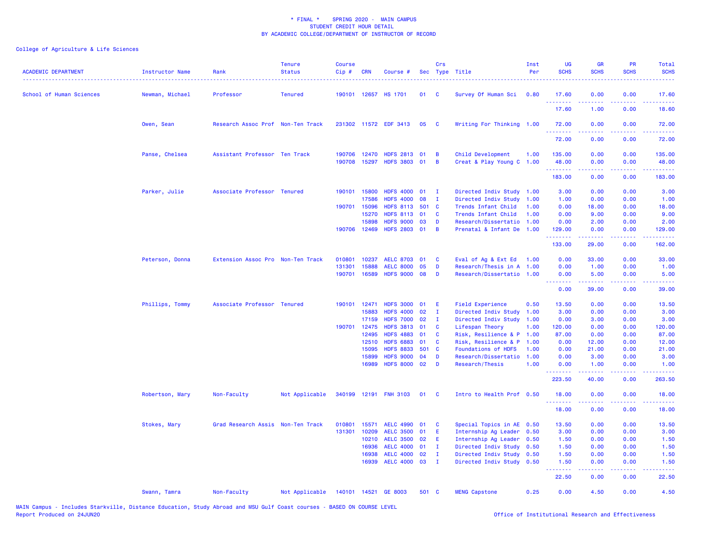| <b>ACADEMIC DEPARTMENT</b> | <b>Instructor Name</b> | Rank                              | <b>Tenure</b><br><b>Status</b> | <b>Course</b><br>Cip# | <b>CRN</b>     | Course #                         |       | Crs            | Sec Type Title                                 | Inst<br>Per  | UG<br><b>SCHS</b>    | GR<br><b>SCHS</b>                                                                                                                                             | PR<br><b>SCHS</b>              | Total<br><b>SCHS</b>                                                                                                              |
|----------------------------|------------------------|-----------------------------------|--------------------------------|-----------------------|----------------|----------------------------------|-------|----------------|------------------------------------------------|--------------|----------------------|---------------------------------------------------------------------------------------------------------------------------------------------------------------|--------------------------------|-----------------------------------------------------------------------------------------------------------------------------------|
| School of Human Sciences   | Newman, Michael        | Professor                         | <b>Tenured</b>                 |                       |                | 190101 12657 HS 1701             | 01    | <b>C</b>       | Survey Of Human Sci                            | 0.80         | 17.60                | 0.00                                                                                                                                                          | 0.00                           | 17.60                                                                                                                             |
|                            |                        |                                   |                                |                       |                |                                  |       |                |                                                |              | <u>.</u><br>17.60    | 1.00                                                                                                                                                          | ولالات<br>0.00                 | .<br>18.60                                                                                                                        |
|                            | Owen, Sean             | Research Assoc Prof Non-Ten Track |                                |                       |                | 231302 11572 EDF 3413            | 05    | <b>C</b>       | Writing For Thinking 1.00                      |              | 72.00<br>.           | 0.00<br><u>.</u>                                                                                                                                              | 0.00<br>.                      | 72.00<br><u>.</u>                                                                                                                 |
|                            |                        |                                   |                                |                       |                |                                  |       |                |                                                |              | 72.00                | 0.00                                                                                                                                                          | 0.00                           | 72.00                                                                                                                             |
|                            | Panse, Chelsea         | Assistant Professor Ten Track     |                                | 190706<br>190708      | 12470<br>15297 | HDFS 2813 01<br>HDFS 3803 01     |       | B<br>B         | Child Development<br>Creat & Play Young C 1.00 | 1.00         | 135.00<br>48.00<br>. | 0.00<br>0.00<br>22222                                                                                                                                         | 0.00<br>0.00<br>د د د د        | 135.00<br>48.00<br>.                                                                                                              |
|                            |                        |                                   |                                |                       |                |                                  |       |                |                                                |              | 183.00               | 0.00                                                                                                                                                          | 0.00                           | 183.00                                                                                                                            |
|                            | Parker, Julie          | Associate Professor Tenured       |                                | 190101                | 15800<br>17586 | HDFS 4000 01<br><b>HDFS 4000</b> | 08    | I.<br>T        | Directed Indiv Study<br>Directed Indiv Study   | 1.00<br>1.00 | 3.00<br>1.00         | 0.00<br>0.00                                                                                                                                                  | 0.00<br>0.00                   | 3.00<br>1.00                                                                                                                      |
|                            |                        |                                   |                                | 190701                | 15096          | HDFS 8113 501 C                  |       |                | Trends Infant Child                            | 1.00         | 0.00                 | 18.00                                                                                                                                                         | 0.00                           | 18.00                                                                                                                             |
|                            |                        |                                   |                                |                       | 15270          | <b>HDFS 8113</b>                 | 01    | <b>C</b>       | Trends Infant Child                            | 1.00         | 0.00                 | 9.00                                                                                                                                                          | 0.00                           | 9.00                                                                                                                              |
|                            |                        |                                   |                                |                       | 15898          | <b>HDFS 9000</b>                 | 03    | D              | Research/Dissertatio                           | 1.00         | 0.00                 | 2.00                                                                                                                                                          | 0.00                           | 2.00                                                                                                                              |
|                            |                        |                                   |                                |                       | 190706 12469   | HDFS 2803 01                     |       | $\overline{B}$ | Prenatal & Infant De                           | 1.00         | 129.00<br>.          | 0.00                                                                                                                                                          | 0.00<br>بالمحامي               | 129.00<br>.                                                                                                                       |
|                            |                        |                                   |                                |                       |                |                                  |       |                |                                                |              | 133.00               | $\frac{1}{2} \left( \frac{1}{2} \right) \left( \frac{1}{2} \right) \left( \frac{1}{2} \right) \left( \frac{1}{2} \right) \left( \frac{1}{2} \right)$<br>29.00 | 0.00                           | 162.00                                                                                                                            |
|                            | Peterson, Donna        | Extension Assoc Pro Non-Ten Track |                                | 010801                | 10237          | AELC 8703 01                     |       | <b>C</b>       | Eval of Ag & Ext Ed                            | 1.00         | 0.00                 | 33.00                                                                                                                                                         | 0.00                           | 33.00                                                                                                                             |
|                            |                        |                                   |                                | 131301                | 15888          | <b>AELC 8000</b>                 | 05    | D              | Research/Thesis in A 1.00                      |              | 0.00                 | 1.00                                                                                                                                                          | 0.00                           | 1.00                                                                                                                              |
|                            |                        |                                   |                                | 190701                | 16589          | HDFS 9000 08                     |       | D              | Research/Dissertatio 1.00                      |              | 0.00<br><u>.</u>     | 5.00<br>2.2.2.2.2                                                                                                                                             | 0.00<br>.                      | 5.00<br>$\frac{1}{2} \left( \frac{1}{2} \right) \left( \frac{1}{2} \right) \left( \frac{1}{2} \right) \left( \frac{1}{2} \right)$ |
|                            |                        |                                   |                                |                       |                |                                  |       |                |                                                |              | 0.00                 | 39.00                                                                                                                                                         | 0.00                           | 39.00                                                                                                                             |
|                            | Phillips, Tommy        | Associate Professor Tenured       |                                | 190101                | 12471          | <b>HDFS 3000</b>                 | 01    | E              | <b>Field Experience</b>                        | 0.50         | 13.50                | 0.00                                                                                                                                                          | 0.00                           | 13.50                                                                                                                             |
|                            |                        |                                   |                                |                       | 15883          | <b>HDFS 4000</b>                 | 02    | $\mathbf I$    | Directed Indiv Study                           | 1.00         | 3.00                 | 0.00                                                                                                                                                          | 0.00                           | 3.00                                                                                                                              |
|                            |                        |                                   |                                |                       | 17159          | <b>HDFS 7000</b>                 | 02    | $\mathbf I$    | Directed Indiv Study 1.00                      |              | 0.00                 | 3.00                                                                                                                                                          | 0.00                           | 3.00                                                                                                                              |
|                            |                        |                                   |                                |                       | 190701 12475   | HDFS 3813 01                     |       | $\mathbf{C}$   | Lifespan Theory                                | 1.00         | 120.00               | 0.00                                                                                                                                                          | 0.00                           | 120.00                                                                                                                            |
|                            |                        |                                   |                                |                       | 12495          | <b>HDFS 4883</b>                 | 01    | C              | Risk, Resilience & P 1.00                      |              | 87.00                | 0.00                                                                                                                                                          | 0.00                           | 87.00                                                                                                                             |
|                            |                        |                                   |                                |                       | 12510          | <b>HDFS 6883</b>                 | 01    | C              | Risk, Resilience & P                           | 1.00         | 0.00                 | 12.00                                                                                                                                                         | 0.00                           | 12.00                                                                                                                             |
|                            |                        |                                   |                                |                       | 15095          | <b>HDFS 8833</b>                 | 501 C |                | Foundations of HDFS                            | 1.00         | 0.00                 | 21.00                                                                                                                                                         | 0.00                           | 21.00                                                                                                                             |
|                            |                        |                                   |                                |                       | 15899          | <b>HDFS 9000</b>                 | 04    | D              | Research/Dissertatio                           | 1.00         | 0.00                 | 3.00                                                                                                                                                          | 0.00                           | 3.00                                                                                                                              |
|                            |                        |                                   |                                |                       | 16989          | <b>HDFS 8000</b>                 | 02    | D              | Research/Thesis                                | 1.00         | 0.00<br><u>.</u>     | 1.00                                                                                                                                                          | 0.00<br>$\omega$ is a $\omega$ | 1.00<br>الدعاعات                                                                                                                  |
|                            |                        |                                   |                                |                       |                |                                  |       |                |                                                |              | 223.50               | 40.00                                                                                                                                                         | 0.00                           | 263.50                                                                                                                            |
|                            | Robertson, Mary        | Non-Faculty                       | Not Applicable                 |                       |                | 340199 12191 FNH 3103            | 01    | $\mathbf{C}$   | Intro to Health Prof 0.50                      |              | 18,00<br><u>.</u>    | 0.00                                                                                                                                                          | 0.00<br>.                      | 18.00<br>.                                                                                                                        |
|                            |                        |                                   |                                |                       |                |                                  |       |                |                                                |              | 18.00                | 0.00                                                                                                                                                          | 0.00                           | 18.00                                                                                                                             |
|                            | Stokes, Mary           | Grad Research Assis Non-Ten Track |                                | 010801                | 15571          | <b>AELC 4990</b>                 | 01    | <b>C</b>       | Special Topics in AE 0.50                      |              | 13.50                | 0.00                                                                                                                                                          | 0.00                           | 13.50                                                                                                                             |
|                            |                        |                                   |                                | 131301                | 10209          | <b>AELC 3500</b>                 | 01    | Ε              | Internship Ag Leader 0.50                      |              | 3.00                 | 0.00                                                                                                                                                          | 0.00                           | 3.00                                                                                                                              |
|                            |                        |                                   |                                |                       | 10210          | <b>AELC 3500</b>                 | 02    | E              | Internship Ag Leader                           | 0.50         | 1.50                 | 0.00                                                                                                                                                          | 0.00                           | 1.50                                                                                                                              |
|                            |                        |                                   |                                |                       | 16936          | <b>AELC 4000</b>                 | 01    | $\mathbf I$    | Directed Indiv Study                           | 0.50         | 1.50                 | 0.00                                                                                                                                                          | 0.00                           | 1.50                                                                                                                              |
|                            |                        |                                   |                                |                       | 16938          | <b>AELC 4000</b>                 | 02    | $\mathbf{I}$   | Directed Indiv Study                           | 0.50         | 1.50                 | 0.00                                                                                                                                                          | 0.00                           | 1.50                                                                                                                              |
|                            |                        |                                   |                                |                       |                | 16939 AELC 4000 03               |       | $\mathbf{I}$   | Directed Indiv Study 0.50                      |              | 1.50<br>.            | 0.00<br>22222                                                                                                                                                 | 0.00<br>.                      | 1.50<br>.                                                                                                                         |
|                            |                        |                                   |                                |                       |                |                                  |       |                |                                                |              | 22.50                | 0.00                                                                                                                                                          | 0.00                           | 22.50                                                                                                                             |
|                            | Swann, Tamra           | Non-Faculty                       | Not Applicable                 |                       |                | 140101 14521 GE 8003             | 501 C |                | <b>MENG Capstone</b>                           | 0.25         | 0.00                 | 4.50                                                                                                                                                          | 0.00                           | 4.50                                                                                                                              |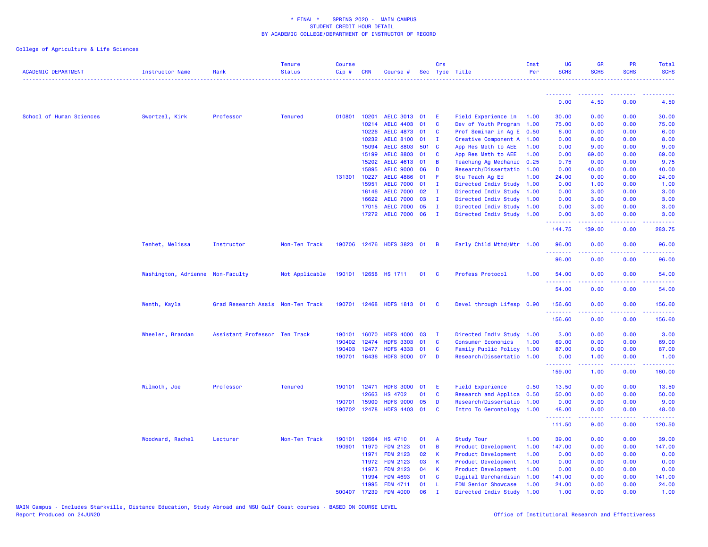| <b>ACADEMIC DEPARTMENT</b> | Instructor Name                  | Rank                              | <b>Tenure</b><br><b>Status</b> | <b>Course</b><br>Cip# | CRN          | Course #                  |          | Crs                 | Sec Type Title            | Inst<br>Per | <b>UG</b><br><b>SCHS</b>              | GR<br><b>SCHS</b> | <b>PR</b><br><b>SCHS</b>       | Total<br><b>SCHS</b><br>وعاعاها                                                                                                    |
|----------------------------|----------------------------------|-----------------------------------|--------------------------------|-----------------------|--------------|---------------------------|----------|---------------------|---------------------------|-------------|---------------------------------------|-------------------|--------------------------------|------------------------------------------------------------------------------------------------------------------------------------|
|                            |                                  |                                   |                                |                       |              |                           |          |                     |                           |             | <b><i><u><u>ALLER ARE</u></u></i></b> | ---------         | .                              |                                                                                                                                    |
|                            |                                  |                                   |                                |                       |              |                           |          |                     |                           |             | 0.00                                  | 4.50              | 0.00                           | 4.50                                                                                                                               |
| School of Human Sciences   | Swortzel, Kirk                   | Professor                         | <b>Tenured</b>                 | 010801                | 10201        | AELC 3013 01              |          | E                   | Field Experience in       | 1.00        | 30.00                                 | 0.00              | 0.00                           | 30.00                                                                                                                              |
|                            |                                  |                                   |                                |                       | 10214        | <b>AELC 4403</b>          | 01       | C                   | Dev of Youth Program      | 1.00        | 75.00                                 | 0.00              | 0.00                           | 75.00                                                                                                                              |
|                            |                                  |                                   |                                |                       | 10226        | AELC 4873 01              |          | <b>C</b>            | Prof Seminar in Ag E 0.50 |             | 6.00                                  | 0.00              | 0.00                           | 6.00                                                                                                                               |
|                            |                                  |                                   |                                |                       | 10232        | <b>AELC 8100</b>          | 01       | $\mathbf I$         | Creative Component A 1.00 |             | 0.00                                  | 8.00              | 0.00                           | 8.00                                                                                                                               |
|                            |                                  |                                   |                                |                       | 15094        | <b>AELC 8803</b>          | 501 C    |                     | App Res Meth to AEE       | 1.00        | 0.00                                  | 9.00              | 0.00                           | 9.00                                                                                                                               |
|                            |                                  |                                   |                                |                       | 15199        | <b>AELC 8803</b>          | 01       | C                   | App Res Meth to AEE       | 1.00        | 0.00                                  | 69.00             | 0.00                           | 69.00                                                                                                                              |
|                            |                                  |                                   |                                |                       | 15202        | AELC 4613 01              |          | B                   | Teaching Ag Mechanic 0.25 |             | 9.75                                  | 0.00              | 0.00                           | 9.75                                                                                                                               |
|                            |                                  |                                   |                                |                       | 15895        | <b>AELC 9000</b>          | 06       | D                   | Research/Dissertatio      | 1.00        | 0.00                                  | 40.00             | 0.00                           | 40.00                                                                                                                              |
|                            |                                  |                                   |                                | 131301                | 10227        | AELC 4886 01              |          | F.                  | Stu Teach Ag Ed           | 1.00        | 24.00                                 | 0.00              | 0.00                           | 24.00                                                                                                                              |
|                            |                                  |                                   |                                |                       | 15951        | AELC 7000 01              |          | $\mathbf{I}$        | Directed Indiv Study 1.00 |             | 0.00                                  | 1.00              | 0.00                           | 1.00                                                                                                                               |
|                            |                                  |                                   |                                |                       | 16146        | <b>AELC 7000</b>          | 02       | $\mathbf I$         | Directed Indiv Study 1.00 |             | 0.00                                  | 3.00              | 0.00                           | 3.00                                                                                                                               |
|                            |                                  |                                   |                                |                       | 16622        | <b>AELC 7000</b>          | 03       | $\mathbf{I}$        | Directed Indiv Study 1.00 |             | 0.00                                  | 3.00              | 0.00                           | 3.00                                                                                                                               |
|                            |                                  |                                   |                                |                       | 17015        | <b>AELC 7000</b>          | 05       | $\mathbf I$         | Directed Indiv Study 1.00 |             | 0.00                                  | 3.00              | 0.00                           | 3.00                                                                                                                               |
|                            |                                  |                                   |                                |                       |              | 17272 AELC 7000 06        |          | $\mathbf{I}$        | Directed Indiv Study 1.00 |             | 0.00<br>.                             | 3.00<br>22222     | 0.00<br>$\omega$ is a $\omega$ | 3.00<br>$\sim$ $\sim$ $\sim$ $\sim$                                                                                                |
|                            |                                  |                                   |                                |                       |              |                           |          |                     |                           |             | 144.75                                | 139.00            | 0.00                           | 283.75                                                                                                                             |
|                            | Tenhet, Melissa                  | Instructor                        | Non-Ten Track                  |                       |              | 190706 12476 HDFS 3823 01 |          | $\overline{B}$      | Early Child Mthd/Mtr 1.00 |             | 96.00<br>.                            | 0.00              | 0.00<br>.                      | 96.00<br>$\frac{1}{2} \left( \frac{1}{2} \right) \left( \frac{1}{2} \right) \left( \frac{1}{2} \right) \left( \frac{1}{2} \right)$ |
|                            |                                  |                                   |                                |                       |              |                           |          |                     |                           |             | 96.00                                 | 0.00              | 0.00                           | 96.00                                                                                                                              |
|                            | Washington, Adrienne Non-Faculty |                                   | Not Applicable                 |                       |              | 190101 12658 HS 1711      | 01 C     |                     | Profess Protocol          | 1.00        | 54,00                                 | 0.00              | 0.00                           | 54.00                                                                                                                              |
|                            |                                  |                                   |                                |                       |              |                           |          |                     |                           |             | 54.00                                 | 0.00              | 0.00                           | 54.00                                                                                                                              |
|                            | Wenth, Kayla                     | Grad Research Assis Non-Ten Track |                                | 190701                | 12468        | HDFS 1813 01              |          | <b>C</b>            | Devel through Lifesp 0.90 |             | 156.60                                | 0.00              | 0.00                           | 156.60                                                                                                                             |
|                            |                                  |                                   |                                |                       |              |                           |          |                     |                           |             | .<br>156.60                           | 0.00              | 0.00                           | .<br>156.60                                                                                                                        |
|                            |                                  |                                   |                                |                       |              |                           |          |                     |                           |             |                                       |                   |                                |                                                                                                                                    |
|                            | Wheeler, Brandan                 | Assistant Professor Ten Track     |                                | 190101                | 16070        | <b>HDFS 4000</b>          | 03       | $\mathbf{I}$        | Directed Indiv Study 1.00 |             | 3.00                                  | 0.00              | 0.00                           | 3.00                                                                                                                               |
|                            |                                  |                                   |                                | 190402                | 12474        | HDFS 3303 01              |          | $\mathbf{C}$        | <b>Consumer Economics</b> | 1.00        | 69.00                                 | 0.00              | 0.00                           | 69.00                                                                                                                              |
|                            |                                  |                                   |                                | 190403                | 12477        | <b>HDFS 4333</b>          | 01       | $\mathbf{C}$        | Family Public Policy 1.00 |             | 87.00                                 | 0.00              | 0.00                           | 87.00                                                                                                                              |
|                            |                                  |                                   |                                |                       | 190701 16436 | HDFS 9000 07              |          | D                   | Research/Dissertatio 1.00 |             | 0.00                                  | 1.00              | 0.00                           | 1.00                                                                                                                               |
|                            |                                  |                                   |                                |                       |              |                           |          |                     |                           |             | <u>.</u><br>159.00                    | .<br>1.00         | بالأباد<br>0.00                | .<br>160.00                                                                                                                        |
|                            | Wilmoth, Joe                     | Professor                         | <b>Tenured</b>                 |                       | 190101 12471 | <b>HDFS 3000</b>          | 01       | E.                  | <b>Field Experience</b>   | 0.50        | 13.50                                 | 0.00              | 0.00                           | 13.50                                                                                                                              |
|                            |                                  |                                   |                                |                       | 12663        | <b>HS 4702</b>            | 01       | C                   | Research and Applica 0.50 |             | 50.00                                 | 0.00              | 0.00                           | 50.00                                                                                                                              |
|                            |                                  |                                   |                                | 190701                | 15900        | <b>HDFS 9000</b>          | 05       | D                   | Research/Dissertatio 1.00 |             | 0.00                                  | 9.00              | 0.00                           | 9.00                                                                                                                               |
|                            |                                  |                                   |                                | 190702                | 12478        | HDFS 4403 01              |          | <b>C</b>            | Intro To Gerontology 1.00 |             | 48.00                                 | 0.00              | 0.00                           | 48.00                                                                                                                              |
|                            |                                  |                                   |                                |                       |              |                           |          |                     |                           |             | <b>.</b>                              | .                 | $\omega$ is $\omega$ in        | .                                                                                                                                  |
|                            |                                  |                                   |                                |                       |              |                           |          |                     |                           |             | 111.50                                | 9.00              | 0.00                           | 120.50                                                                                                                             |
|                            | Woodward, Rachel                 | Lecturer                          | Non-Ten Track                  | 190101                | 12664        | <b>HS 4710</b>            | 01       | A                   | <b>Study Tour</b>         | 1.00        | 39.00                                 | 0.00              | 0.00                           | 39.00                                                                                                                              |
|                            |                                  |                                   |                                | 190901                | 11970        | <b>FDM 2123</b>           | 01       | $\overline{B}$      | Product Development       | 1.00        | 147.00                                | 0.00              | 0.00                           | 147.00                                                                                                                             |
|                            |                                  |                                   |                                |                       | 11971        | <b>FDM 2123</b>           | 02       | К                   | Product Development       | 1.00        | 0.00                                  | 0.00              | 0.00                           | 0.00                                                                                                                               |
|                            |                                  |                                   |                                |                       | 11972        | <b>FDM 2123</b>           | 03       | К                   | Product Development       | 1.00        | 0.00                                  | 0.00              | 0.00                           | 0.00                                                                                                                               |
|                            |                                  |                                   |                                |                       | 11973        | <b>FDM 2123</b>           | 04       | К                   | Product Development       | 1.00        | 0.00                                  | 0.00              | 0.00                           | 0.00                                                                                                                               |
|                            |                                  |                                   |                                |                       | 11994        | <b>FDM 4693</b>           | 01       | C                   | Digital Merchandisin      | 1.00        | 141.00                                | 0.00              | 0.00                           | 141.00                                                                                                                             |
|                            |                                  |                                   |                                |                       | 11995        | <b>FDM 4711</b>           | 01<br>06 | -L.<br>$\mathbf{I}$ | FDM Senior Showcase       | 1.00        | 24.00                                 | 0.00<br>0.00      | 0.00                           | 24.00                                                                                                                              |
|                            |                                  |                                   |                                | 500407                | 17239        | <b>FDM 4000</b>           |          |                     | Directed Indiv Study 1.00 |             | 1.00                                  |                   | 0.00                           | 1.00                                                                                                                               |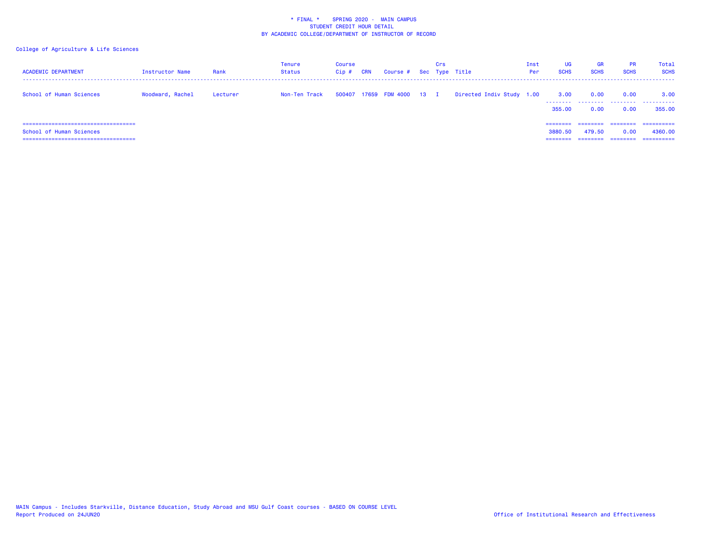| <b>ACADEMIC DEPARTMENT</b>                                                                          | Instructor Name  | Rank     | Tenure<br>Status | Course<br>$Cip$ # | <b>CRN</b> | Course # Sec Type Title |        | Crs |                           | Inst<br>Per | <b>UG</b><br><b>SCHS</b>        | GR<br><b>SCHS</b>        | <b>PR</b><br><b>SCHS</b>  | Total<br><b>SCHS</b>                |
|-----------------------------------------------------------------------------------------------------|------------------|----------|------------------|-------------------|------------|-------------------------|--------|-----|---------------------------|-------------|---------------------------------|--------------------------|---------------------------|-------------------------------------|
| School of Human Sciences                                                                            | Woodward, Rachel | Lecturer | Non-Ten Track    |                   |            | 500407 17659 FDM 4000   | $13$ I |     | Directed Indiv Study 1.00 |             | 3.00<br>.<br>355,00             | 0.00<br>--------<br>0.00 | 0.00<br>---------<br>0.00 | 3.00<br>.<br>355,00                 |
| =====================================<br>School of Human Sciences<br>============================== |                  |          |                  |                   |            |                         |        |     |                           |             | ========<br>3880.50<br>======== | 479.50                   | 0.00                      | ==========<br>4360,00<br>========== |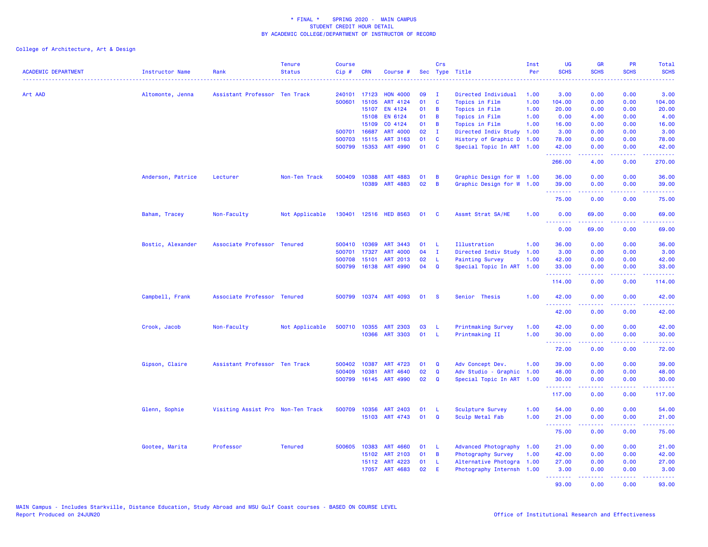| <b>ACADEMIC DEPARTMENT</b> | <b>Instructor Name</b><br><u>.</u> | Rank                              | <b>Tenure</b><br><b>Status</b> | <b>Course</b><br>Cip# | <b>CRN</b>   | Course #              |    | Crs          | Sec Type Title            | Inst<br>Per | <b>UG</b><br><b>SCHS</b> | <b>GR</b><br><b>SCHS</b>                                                                                                                                      | PR<br><b>SCHS</b>                                                                                                                 | <b>Total</b><br><b>SCHS</b> |
|----------------------------|------------------------------------|-----------------------------------|--------------------------------|-----------------------|--------------|-----------------------|----|--------------|---------------------------|-------------|--------------------------|---------------------------------------------------------------------------------------------------------------------------------------------------------------|-----------------------------------------------------------------------------------------------------------------------------------|-----------------------------|
| Art AAD                    | Altomonte, Jenna                   | Assistant Professor Ten Track     |                                | 240101                | 17123        | <b>HON 4000</b>       | 09 | п.           | Directed Individual       | 1.00        | 3.00                     | 0.00                                                                                                                                                          | 0.00                                                                                                                              | 3.00                        |
|                            |                                    |                                   |                                | 500601                | 15105        | ART 4124              | 01 | C            | Topics in Film            | 1.00        | 104.00                   | 0.00                                                                                                                                                          | 0.00                                                                                                                              | 104.00                      |
|                            |                                    |                                   |                                |                       | 15107        | EN 4124               | 01 | B            | Topics in Film            | 1.00        | 20.00                    | 0.00                                                                                                                                                          | 0.00                                                                                                                              | 20.00                       |
|                            |                                    |                                   |                                |                       | 15108        | EN 6124               | 01 | B            | Topics in Film            | 1.00        | 0.00                     | 4.00                                                                                                                                                          | 0.00                                                                                                                              | 4.00                        |
|                            |                                    |                                   |                                |                       | 15109        | CO 4124               | 01 | B            | Topics in Film            | 1.00        | 16.00                    | 0.00                                                                                                                                                          | 0.00                                                                                                                              | 16.00                       |
|                            |                                    |                                   |                                | 500701                | 16687        | <b>ART 4000</b>       | 02 | $\mathbf{I}$ | Directed Indiv Study      | 1.00        | 3.00                     | 0.00                                                                                                                                                          | 0.00                                                                                                                              | 3.00                        |
|                            |                                    |                                   |                                | 500703                | 15115        | <b>ART 3163</b>       | 01 | C            | History of Graphic D      | 1.00        | 78.00                    | 0.00                                                                                                                                                          | 0.00                                                                                                                              | 78.00                       |
|                            |                                    |                                   |                                |                       | 500799 15353 | ART 4990              | 01 | C            | Special Topic In ART 1.00 |             | 42.00<br>.               | 0.00                                                                                                                                                          | 0.00<br>$\frac{1}{2} \left( \frac{1}{2} \right) \left( \frac{1}{2} \right) \left( \frac{1}{2} \right) \left( \frac{1}{2} \right)$ | 42.00                       |
|                            |                                    |                                   |                                |                       |              |                       |    |              |                           |             | 266.00                   | 4.00                                                                                                                                                          | 0.00                                                                                                                              | 270.00                      |
|                            | Anderson, Patrice                  | Lecturer                          | Non-Ten Track                  | 500409                | 10388        | ART 4883              | 01 | B            | Graphic Design for W 1.00 |             | 36.00                    | 0.00                                                                                                                                                          | 0.00                                                                                                                              | 36.00                       |
|                            |                                    |                                   |                                |                       | 10389        | ART 4883              | 02 | B            | Graphic Design for W      | 1.00        | 39.00                    | 0.00                                                                                                                                                          | 0.00                                                                                                                              | 39.00                       |
|                            |                                    |                                   |                                |                       |              |                       |    |              |                           |             | 75.00                    | 0.00                                                                                                                                                          | 0.00                                                                                                                              | 75.00                       |
|                            | Baham, Tracey                      | Non-Faculty                       | Not Applicable                 | 130401                |              | 12516 HED 8563        | 01 | <b>C</b>     | Assmt Strat SA/HE         | 1.00        | 0.00<br>.                | 69.00<br>$\frac{1}{2} \left( \frac{1}{2} \right) \left( \frac{1}{2} \right) \left( \frac{1}{2} \right) \left( \frac{1}{2} \right) \left( \frac{1}{2} \right)$ | 0.00                                                                                                                              | 69.00<br>وعاعاها            |
|                            |                                    |                                   |                                |                       |              |                       |    |              |                           |             | 0.00                     | 69.00                                                                                                                                                         | 0.00                                                                                                                              | 69.00                       |
|                            | Bostic, Alexander                  | Associate Professor Tenured       |                                | 500410                | 10369        | ART 3443              | 01 | -L           | Illustration              | 1.00        | 36.00                    | 0.00                                                                                                                                                          | 0.00                                                                                                                              | 36.00                       |
|                            |                                    |                                   |                                | 500701                | 17327        | <b>ART 4000</b>       | 04 | $\mathbf{I}$ | Directed Indiv Study      | 1.00        | 3.00                     | 0.00                                                                                                                                                          | 0.00                                                                                                                              | 3.00                        |
|                            |                                    |                                   |                                | 500708                | 15101        | <b>ART 2013</b>       | 02 | -L           | <b>Painting Survey</b>    | 1.00        | 42.00                    | 0.00                                                                                                                                                          | 0.00                                                                                                                              | 42.00                       |
|                            |                                    |                                   |                                | 500799                | 16138        | ART 4990              | 04 | Q            | Special Topic In ART      | 1.00        | 33.00                    | 0.00                                                                                                                                                          | 0.00                                                                                                                              | 33.00                       |
|                            |                                    |                                   |                                |                       |              |                       |    |              |                           |             |                          | 0.00                                                                                                                                                          | 0.00                                                                                                                              |                             |
|                            |                                    |                                   |                                |                       |              |                       |    |              |                           |             | 114.00                   |                                                                                                                                                               |                                                                                                                                   | 114.00                      |
|                            | Campbell, Frank                    | Associate Professor Tenured       |                                |                       |              | 500799 10374 ART 4093 | 01 | <b>S</b>     | Senior Thesis             | 1.00        | 42.00<br>.               | 0.00<br>.                                                                                                                                                     | 0.00<br>بالمحام                                                                                                                   | 42.00<br>.                  |
|                            |                                    |                                   |                                |                       |              |                       |    |              |                           |             | 42.00                    | 0.00                                                                                                                                                          | 0.00                                                                                                                              | 42.00                       |
|                            | Crook, Jacob                       | Non-Faculty                       | Not Applicable                 | 500710                | 10355        | <b>ART 2303</b>       | 03 | L            | Printmaking Survey        | 1.00        | 42.00                    | 0.00                                                                                                                                                          | 0.00                                                                                                                              | 42.00                       |
|                            |                                    |                                   |                                |                       | 10366        | <b>ART 3303</b>       | 01 | -L.          | Printmaking II            | 1.00        | 30.00<br><b></b>         | 0.00<br>.                                                                                                                                                     | 0.00<br>$\frac{1}{2} \left( \frac{1}{2} \right) \left( \frac{1}{2} \right) \left( \frac{1}{2} \right) \left( \frac{1}{2} \right)$ | 30.00<br>.                  |
|                            |                                    |                                   |                                |                       |              |                       |    |              |                           |             | 72.00                    | 0.00                                                                                                                                                          | 0.00                                                                                                                              | 72.00                       |
|                            | Gipson, Claire                     | Assistant Professor Ten Track     |                                | 500402                | 10387        | ART 4723              | 01 | Q            | Adv Concept Dev.          | 1.00        | 39.00                    | 0.00                                                                                                                                                          | 0.00                                                                                                                              | 39.00                       |
|                            |                                    |                                   |                                | 500409                | 10381        | ART 4640              | 02 | $\mathbf Q$  | Adv Studio - Graphic      | 1.00        | 48.00                    | 0.00                                                                                                                                                          | 0.00                                                                                                                              | 48.00                       |
|                            |                                    |                                   |                                | 500799                | 16145        | ART 4990              | 02 | $\mathbf Q$  | Special Topic In ART 1.00 |             | 30.00<br><u>.</u>        | 0.00                                                                                                                                                          | 0.00                                                                                                                              | 30.00                       |
|                            |                                    |                                   |                                |                       |              |                       |    |              |                           |             | 117.00                   | 0.00                                                                                                                                                          | 0.00                                                                                                                              | 117.00                      |
|                            | Glenn, Sophie                      | Visiting Assist Pro Non-Ten Track |                                |                       | 500709 10356 | ART 2403              | 01 | -L           | Sculpture Survey          | 1.00        | 54.00                    | 0.00                                                                                                                                                          | 0.00                                                                                                                              | 54.00                       |
|                            |                                    |                                   |                                |                       |              | 15103 ART 4743        | 01 | $\mathbf Q$  | Sculp Metal Fab           | 1.00        | 21.00                    | 0.00                                                                                                                                                          | 0.00                                                                                                                              | 21.00                       |
|                            |                                    |                                   |                                |                       |              |                       |    |              |                           |             | .<br>75.00               | .<br>0.00                                                                                                                                                     | .<br>0.00                                                                                                                         | وعاعاها<br>75.00            |
|                            | Gootee, Marita                     | Professor                         | <b>Tenured</b>                 | 500605                | 10383        | <b>ART 4660</b>       | 01 | L            | Advanced Photography      | 1.00        | 21.00                    | 0.00                                                                                                                                                          | 0.00                                                                                                                              | 21.00                       |
|                            |                                    |                                   |                                |                       | 15102        | ART 2103              | 01 | B            | Photography Survey        | 1.00        | 42.00                    | 0.00                                                                                                                                                          | 0.00                                                                                                                              | 42.00                       |
|                            |                                    |                                   |                                |                       | 15112        | ART 4223              | 01 | L            | Alternative Photogra      | 1.00        | 27.00                    | 0.00                                                                                                                                                          | 0.00                                                                                                                              | 27.00                       |
|                            |                                    |                                   |                                |                       | 17057        | ART 4683              | 02 | Ε            | Photography Internsh 1.00 |             | 3.00<br>.                | 0.00<br>.                                                                                                                                                     | 0.00<br>د د د د                                                                                                                   | 3.00<br>المتمامين           |
|                            |                                    |                                   |                                |                       |              |                       |    |              |                           |             | 93.00                    | 0.00                                                                                                                                                          | 0.00                                                                                                                              | 93.00                       |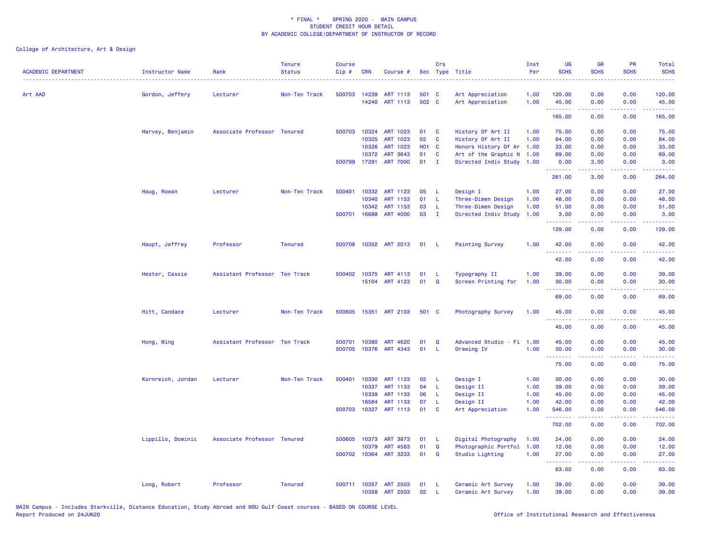| <b>ACADEMIC DEPARTMENT</b> | <b>Instructor Name</b> | Rank                          | <b>Tenure</b><br><b>Status</b> | <b>Course</b><br>Cip# | <b>CRN</b>   | Course #              |              | Crs          | Sec Type Title            | Inst<br>Per | <b>UG</b><br><b>SCHS</b> | <b>GR</b><br><b>SCHS</b>                                                                                                                                     | PR<br><b>SCHS</b>                   | Total<br><b>SCHS</b> |
|----------------------------|------------------------|-------------------------------|--------------------------------|-----------------------|--------------|-----------------------|--------------|--------------|---------------------------|-------------|--------------------------|--------------------------------------------------------------------------------------------------------------------------------------------------------------|-------------------------------------|----------------------|
| Art AAD                    | Gordon, Jeffery        | Lecturer                      | Non-Ten Track                  | 500703                | 14239        | ART 1113              | 501 C        |              | Art Appreciation          | 1.00        | 120.00                   | 0.00                                                                                                                                                         | 0.00                                | 120.00               |
|                            |                        |                               |                                |                       | 14240        | ART 1113              | 502 C        |              | Art Appreciation          | 1.00        | 45.00<br>.               | 0.00<br>$\frac{1}{2} \left( \frac{1}{2} \right) \left( \frac{1}{2} \right) \left( \frac{1}{2} \right) \left( \frac{1}{2} \right) \left( \frac{1}{2} \right)$ | 0.00<br>.                           | 45.00<br>.           |
|                            |                        |                               |                                |                       |              |                       |              |              |                           |             | 165.00                   | 0.00                                                                                                                                                         | 0.00                                | 165.00               |
|                            | Harvey, Benjamin       | Associate Professor Tenured   |                                |                       | 500703 10324 | ART 1023              | 01           | C            | History Of Art II         | 1.00        | 75.00                    | 0.00                                                                                                                                                         | 0.00                                | 75.00                |
|                            |                        |                               |                                |                       | 10325        | ART 1023              | 02           | $\mathbf{C}$ | History Of Art II         | 1.00        | 84.00                    | 0.00                                                                                                                                                         | 0.00                                | 84.00                |
|                            |                        |                               |                                |                       | 10326        | ART 1023              | <b>HO1 C</b> |              | Honors History Of Ar      | 1.00        | 33.00                    | 0.00                                                                                                                                                         | 0.00                                | 33.00                |
|                            |                        |                               |                                |                       | 10372        | ART 3643              | 01           | C            | Art of the Graphic N 1.00 |             | 69.00                    | 0.00                                                                                                                                                         | 0.00                                | 69.00                |
|                            |                        |                               |                                |                       |              | 500799 17291 ART 7000 | 01           | $\mathbf I$  | Directed Indiv Study 1.00 |             | 0.00<br>.                | 3.00<br>.                                                                                                                                                    | 0.00<br>$\sim$ $\sim$ $\sim$ $\sim$ | 3.00                 |
|                            |                        |                               |                                |                       |              |                       |              |              |                           |             | 261.00                   | 3.00                                                                                                                                                         | 0.00                                | 264.00               |
|                            | Haug, Rowan            | Lecturer                      | Non-Ten Track                  | 500401                | 10332        | ART 1123              | 05           | - L          | Design I                  | 1.00        | 27.00                    | 0.00                                                                                                                                                         | 0.00                                | 27.00                |
|                            |                        |                               |                                |                       | 10340        | ART 1153              | 01           | - L          | Three-Dimen Design        | 1.00        | 48.00                    | 0.00                                                                                                                                                         | 0.00                                | 48.00                |
|                            |                        |                               |                                |                       | 10342        | ART 1153              | 03           | - L          | Three-Dimen Design        | 1.00        | 51.00                    | 0.00                                                                                                                                                         | 0.00                                | 51.00                |
|                            |                        |                               |                                | 500701                | 16688        | <b>ART 4000</b>       | 03           | $\mathbf I$  | Directed Indiv Study      | 1.00        | 3.00<br>.                | 0.00                                                                                                                                                         | 0.00                                | 3.00                 |
|                            |                        |                               |                                |                       |              |                       |              |              |                           |             | 129.00                   | 0.00                                                                                                                                                         | 0.00                                | 129.00               |
|                            | Haupt, Jeffrey         | Professor                     | <b>Tenured</b>                 |                       |              | 500708 10352 ART 2013 | 01 L         |              | <b>Painting Survey</b>    | 1.00        | 42.00                    | 0.00                                                                                                                                                         | 0.00                                | 42.00                |
|                            |                        |                               |                                |                       |              |                       |              |              |                           |             | .<br>42.00               | .<br>0.00                                                                                                                                                    | د د د د<br>0.00                     | 42.00                |
|                            | Hester, Cassie         | Assistant Professor Ten Track |                                | 500402                | 10375        | ART 4113              | 01           | - L          | Typography II             | 1.00        | 39.00                    | 0.00                                                                                                                                                         | 0.00                                | 39.00                |
|                            |                        |                               |                                |                       |              | 15104 ART 4123        | 01           | Q            | Screen Printing for       | 1.00        | 30.00<br>.               | 0.00                                                                                                                                                         | 0.00                                | 30.00                |
|                            |                        |                               |                                |                       |              |                       |              |              |                           |             | 69.00                    | 0.00                                                                                                                                                         | 0.00                                | 69.00                |
|                            | Hitt, Candace          | Lecturer                      | Non-Ten Track                  | 500605                |              | 15351 ART 2103        | 501 C        |              | Photography Survey        | 1.00        | 45.00<br>.               | 0.00                                                                                                                                                         | 0.00                                | 45.00                |
|                            |                        |                               |                                |                       |              |                       |              |              |                           |             | 45.00                    | 0.00                                                                                                                                                         | 0.00                                | 45.00                |
|                            | Hong, Ming             | Assistant Professor Ten Track |                                | 500701                | 10380        | <b>ART 4620</b>       | 01           | $\mathbf Q$  | Advanced Studio - Fi 1.00 |             | 45.00                    | 0.00                                                                                                                                                         | 0.00                                | 45.00                |
|                            |                        |                               |                                | 500705                |              | 10376 ART 4343        | 01           | - L          | Drawing IV                | 1.00        | 30.00                    | 0.00                                                                                                                                                         | 0.00                                | 30.00                |
|                            |                        |                               |                                |                       |              |                       |              |              |                           |             | .<br>75.00               | .<br>0.00                                                                                                                                                    | .<br>0.00                           | 75.00                |
|                            | Kornreich, Jordan      | Lecturer                      | Non-Ten Track                  | 500401                | 10330        | ART 1123              | 02           | - L          | Design I                  | 1.00        | 30.00                    | 0.00                                                                                                                                                         | 0.00                                | 30.00                |
|                            |                        |                               |                                |                       | 10337        | ART 1133              | 04           | - L          | Design II                 | 1.00        | 39.00                    | 0.00                                                                                                                                                         | 0.00                                | 39.00                |
|                            |                        |                               |                                |                       | 10339        | <b>ART 1133</b>       | 06           | - L          | Design II                 | 1.00        | 45.00                    | 0.00                                                                                                                                                         | 0.00                                | 45.00                |
|                            |                        |                               |                                |                       | 16584        | ART 1133              | 07           | -L           | Design II                 | 1.00        | 42.00                    | 0.00                                                                                                                                                         | 0.00                                | 42.00                |
|                            |                        |                               |                                | 500703                | 10327        | ART 1113              | 01           | $\mathbf{C}$ | Art Appreciation          | 1.00        | 546.00<br>.              | 0.00<br>.                                                                                                                                                    | 0.00<br>.                           | 546.00<br><b></b>    |
|                            |                        |                               |                                |                       |              |                       |              |              |                           |             | 702.00                   | 0.00                                                                                                                                                         | 0.00                                | 702.00               |
|                            | Lippillo, Dominic      | Associate Professor Tenured   |                                | 500605                | 10373        | <b>ART 3873</b>       | 01           | - L          | Digital Photography       | 1.00        | 24.00                    | 0.00                                                                                                                                                         | 0.00                                | 24.00                |
|                            |                        |                               |                                |                       | 10379        | ART 4583              | 01           | $\mathbf Q$  | Photographic Portfol 1.00 |             | 12.00                    | 0.00                                                                                                                                                         | 0.00                                | 12.00                |
|                            |                        |                               |                                |                       |              | 500702 10364 ART 3233 | 01           | $\mathbf Q$  | Studio Lighting           | 1.00        | 27.00<br>.               | 0.00                                                                                                                                                         | 0.00<br>المتمام المتاب              | 27.00                |
|                            |                        |                               |                                |                       |              |                       |              |              |                           |             | 63.00                    | 0.00                                                                                                                                                         | 0.00                                | 63.00                |
|                            | Long, Robert           | Professor                     | <b>Tenured</b>                 |                       | 500711 10357 | ART 2503              | 01           | - 1.         | Ceramic Art Survey        | 1.00        | 39.00                    | 0.00                                                                                                                                                         | 0.00                                | 39.00                |
|                            |                        |                               |                                |                       | 10358        | <b>ART 2503</b>       | 02           | $\mathsf{L}$ | Ceramic Art Survey        | 1.00        | 39.00                    | 0.00                                                                                                                                                         | 0.00                                | 39.00                |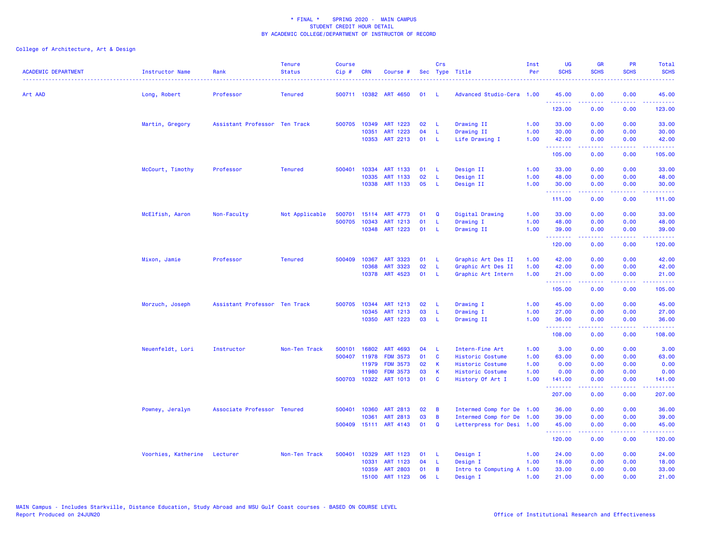| <b>ACADEMIC DEPARTMENT</b> | Instructor Name              | Rank                          | <b>Tenure</b><br><b>Status</b> | <b>Course</b><br>Cip# | <b>CRN</b>   | Course #              |      | Crs          | Sec Type Title            | Inst<br>Per | <b>UG</b><br><b>SCHS</b>                                  | <b>GR</b><br><b>SCHS</b> | PR<br><b>SCHS</b> | Total<br><b>SCHS</b> |
|----------------------------|------------------------------|-------------------------------|--------------------------------|-----------------------|--------------|-----------------------|------|--------------|---------------------------|-------------|-----------------------------------------------------------|--------------------------|-------------------|----------------------|
| Art AAD                    | Long, Robert                 | Professor                     | <b>Tenured</b>                 |                       |              | 500711 10382 ART 4650 | 01   | -L           | Advanced Studio-Cera 1.00 |             | 45.00<br>.                                                | 0.00                     | 0.00              | 45.00                |
|                            |                              |                               |                                |                       |              |                       |      |              |                           |             | 123.00                                                    | .<br>0.00                | د د د د<br>0.00   | <u>.</u><br>123.00   |
|                            | Martin, Gregory              | Assistant Professor Ten Track |                                |                       |              | 500705 10349 ART 1223 | 02   | -L           | Drawing II                | 1.00        | 33.00                                                     | 0.00                     | 0.00              | 33.00                |
|                            |                              |                               |                                |                       | 10351        | ART 1223              | 04   | L.           | Drawing II                | 1.00        | 30.00                                                     | 0.00                     | 0.00              | 30.00                |
|                            |                              |                               |                                |                       |              | 10353 ART 2213        | 01   | - L          | Life Drawing I            | 1.00        | 42.00<br><b><i><u><u><b>Little Little</b></u></u></i></b> | 0.00<br>.                | 0.00<br>د د د د   | 42.00<br>.           |
|                            |                              |                               |                                |                       |              |                       |      |              |                           |             | 105.00                                                    | 0.00                     | 0.00              | 105.00               |
|                            | McCourt, Timothy             | Professor                     | <b>Tenured</b>                 |                       |              | 500401 10334 ART 1133 | 01 L |              | Design II                 | 1.00        | 33.00                                                     | 0.00                     | 0.00              | 33.00                |
|                            |                              |                               |                                |                       | 10335        | ART 1133              | 02   | -L.          | Design II                 | 1.00        | 48.00                                                     | 0.00                     | 0.00              | 48.00                |
|                            |                              |                               |                                |                       |              | 10338 ART 1133        | 05   | -L.          | Design II                 | 1.00        | 30.00<br><b><i><u><u><b>a</b></u></u> a a a a a a</i></b> | 0.00<br>.                | 0.00<br>المالمات  | 30.00<br>.           |
|                            |                              |                               |                                |                       |              |                       |      |              |                           |             | 111.00                                                    | 0.00                     | 0.00              | 111.00               |
|                            | McElfish, Aaron              | Non-Faculty                   | Not Applicable                 | 500701                |              | 15114 ART 4773        | 01   | Q            | Digital Drawing           | 1.00        | 33.00                                                     | 0.00                     | 0.00              | 33.00                |
|                            |                              |                               |                                | 500705                | 10343        | ART 1213              | 01   | -L           | Drawing I                 | 1.00        | 48.00                                                     | 0.00                     | 0.00              | 48.00                |
|                            |                              |                               |                                |                       |              | 10348 ART 1223        | 01   | - L          | Drawing II                | 1.00        | 39.00<br><b><i><u><u><b>Little Little</b></u></u></i></b> | 0.00<br>.                | 0.00<br>.         | 39.00<br>.           |
|                            |                              |                               |                                |                       |              |                       |      |              |                           |             | 120.00                                                    | 0.00                     | 0.00              | 120.00               |
|                            | Mixon, Jamie                 | Professor                     | <b>Tenured</b>                 | 500409                | 10367        | ART 3323              | 01 L |              | Graphic Art Des II        | 1.00        | 42.00                                                     | 0.00                     | 0.00              | 42.00                |
|                            |                              |                               |                                |                       | 10368        | ART 3323              | 02   | L            | Graphic Art Des II        | 1.00        | 42.00                                                     | 0.00                     | 0.00              | 42.00                |
|                            |                              |                               |                                |                       |              | 10378 ART 4523        | 01   | - L          | Graphic Art Intern        | 1.00        | 21.00<br><b><i><u><u><b>Little Little</b></u></u></i></b> | 0.00<br>.                | 0.00<br>المستمال  | 21.00<br>.           |
|                            |                              |                               |                                |                       |              |                       |      |              |                           |             | 105.00                                                    | 0.00                     | 0.00              | 105.00               |
|                            | Morzuch, Joseph              | Assistant Professor Ten Track |                                |                       | 500705 10344 | ART 1213              | 02   | - L          | Drawing I                 | 1.00        | 45.00                                                     | 0.00                     | 0.00              | 45.00                |
|                            |                              |                               |                                |                       | 10345        | ART 1213              | 03   | <b>L</b>     | Drawing I                 | 1.00        | 27.00                                                     | 0.00                     | 0.00              | 27.00                |
|                            |                              |                               |                                |                       |              | 10350 ART 1223        | 03   | - L          | Drawing II                | 1.00        | 36.00<br><u>.</u>                                         | 0.00<br>.                | 0.00<br>.         | 36.00<br>.           |
|                            |                              |                               |                                |                       |              |                       |      |              |                           |             | 108.00                                                    | 0.00                     | 0.00              | 108.00               |
|                            | Neuenfeldt, Lori             | Instructor                    | Non-Ten Track                  | 500101                | 16802        | ART 4693              | 04   | - L          | Intern-Fine Art           | 1.00        | 3.00                                                      | 0.00                     | 0.00              | 3.00                 |
|                            |                              |                               |                                | 500407                | 11978        | <b>FDM 3573</b>       | 01   | <b>C</b>     | Historic Costume          | 1.00        | 63.00                                                     | 0.00                     | 0.00              | 63.00                |
|                            |                              |                               |                                |                       | 11979        | <b>FDM 3573</b>       | 02   | $\mathsf{K}$ | Historic Costume          | 1.00        | 0.00                                                      | 0.00                     | 0.00              | 0.00                 |
|                            |                              |                               |                                |                       | 11980        | <b>FDM 3573</b>       | 03   | $\mathsf K$  | Historic Costume          | 1.00        | 0.00                                                      | 0.00                     | 0.00              | 0.00                 |
|                            |                              |                               |                                |                       |              | 500703 10322 ART 1013 | 01   | <b>C</b>     | History Of Art I          | 1.00        | 141.00<br>.                                               | 0.00                     | 0.00<br>د د د د   | 141.00<br>.          |
|                            |                              |                               |                                |                       |              |                       |      |              |                           |             | 207.00                                                    | 0.00                     | 0.00              | 207.00               |
|                            | Powney, Jeralyn              | Associate Professor Tenured   |                                | 500401                | 10360        | ART 2813              | 02   | B            | Intermed Comp for De      | 1.00        | 36.00                                                     | 0.00                     | 0.00              | 36.00                |
|                            |                              |                               |                                |                       | 10361        | ART 2813              | 03   | B            | Intermed Comp for De      | 1.00        | 39.00                                                     | 0.00                     | 0.00              | 39.00                |
|                            |                              |                               |                                | 500409                |              | 15111 ART 4143        | 01   | Q            | Letterpress for Desi 1.00 |             | 45.00<br>.                                                | 0.00                     | 0.00<br>وبالمنابذ | 45.00<br>.           |
|                            |                              |                               |                                |                       |              |                       |      |              |                           |             | 120.00                                                    | 0.00                     | 0.00              | 120.00               |
|                            | Voorhies, Katherine Lecturer |                               | Non-Ten Track                  | 500401                | 10329        | ART 1123              | 01   | - L          | Design I                  | 1.00        | 24.00                                                     | 0.00                     | 0.00              | 24.00                |
|                            |                              |                               |                                |                       | 10331        | ART 1123              | 04   | -L           | Design I                  | 1.00        | 18.00                                                     | 0.00                     | 0.00              | 18.00                |
|                            |                              |                               |                                |                       | 10359        | <b>ART 2803</b>       | 01   | B            | Intro to Computing A      | 1.00        | 33.00                                                     | 0.00                     | 0.00              | 33.00                |
|                            |                              |                               |                                |                       | 15100        | ART 1123              | 06   | <b>L</b>     | Design I                  | 1.00        | 21.00                                                     | 0.00                     | 0.00              | 21.00                |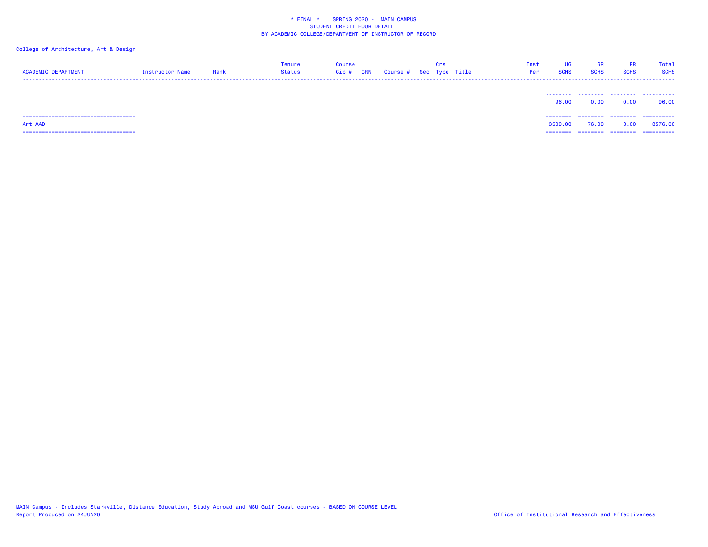| <b>ACADEMIC DEPARTMENT</b>             | Instructor Name | Rank | Tenure<br>Status | Course<br>Cip#<br><b>CRN</b> | Course # Sec Type Title | Crs | Inst<br>Per | UG<br><b>SCHS</b> | <b>GR</b><br><b>SCHS</b> | PR.<br><b>SCHS</b> | Total<br><b>SCHS</b> |
|----------------------------------------|-----------------|------|------------------|------------------------------|-------------------------|-----|-------------|-------------------|--------------------------|--------------------|----------------------|
|                                        |                 |      |                  |                              |                         |     |             | 96.00             | .<br>0.00                | .<br>0.00          | .<br>96.00           |
| ====================================   |                 |      |                  |                              |                         |     |             | ========          | ---------                | ========           | ==========           |
| Art AAD                                |                 |      |                  |                              |                         |     |             | 3500.00           | 76.00                    | 0.00               | 3576.00              |
| ====================================== |                 |      |                  |                              |                         |     |             | ========          | ========                 | ---------          | ==========           |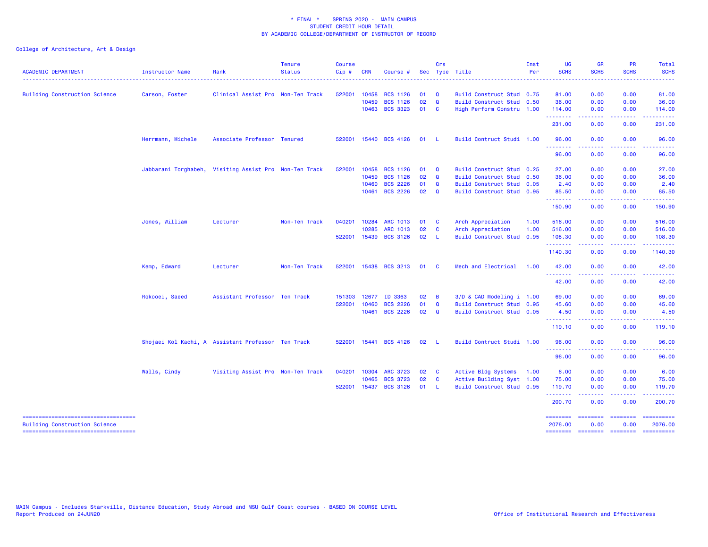| <b>ACADEMIC DEPARTMENT</b>           | <b>Instructor Name</b> | Rank                                                   | <b>Tenure</b><br><b>Status</b> | <b>Course</b><br>Cip# | <b>CRN</b>     | Course #                           |              | Crs                         | Sec Type Title                                         | Inst<br>Per | <b>UG</b><br><b>SCHS</b>         | <b>GR</b><br><b>SCHS</b>                                                                                                                                     | <b>PR</b><br><b>SCHS</b> | Total<br><b>SCHS</b>  |
|--------------------------------------|------------------------|--------------------------------------------------------|--------------------------------|-----------------------|----------------|------------------------------------|--------------|-----------------------------|--------------------------------------------------------|-------------|----------------------------------|--------------------------------------------------------------------------------------------------------------------------------------------------------------|--------------------------|-----------------------|
|                                      |                        |                                                        |                                |                       |                |                                    |              |                             |                                                        |             |                                  |                                                                                                                                                              |                          |                       |
| <b>Building Construction Science</b> | Carson, Foster         | Clinical Assist Pro Non-Ten Track                      |                                | 522001                | 10458<br>10459 | <b>BCS 1126</b><br><b>BCS 1126</b> | 01<br>02     | $\mathbf{Q}$<br>$\mathbf Q$ | Build Construct Stud 0.75<br>Build Construct Stud 0.50 |             | 81.00<br>36.00                   | 0.00<br>0.00                                                                                                                                                 | 0.00<br>0.00             | 81.00<br>36.00        |
|                                      |                        |                                                        |                                |                       | 10463          | <b>BCS 3323</b>                    | 01 C         |                             | High Perform Constru 1.00                              |             | 114.00                           | 0.00                                                                                                                                                         | 0.00                     | 114.00                |
|                                      |                        |                                                        |                                |                       |                |                                    |              |                             |                                                        |             | .                                | د د د د د                                                                                                                                                    | د د د د                  | .                     |
|                                      |                        |                                                        |                                |                       |                |                                    |              |                             |                                                        |             | 231.00                           | 0.00                                                                                                                                                         | 0.00                     | 231.00                |
|                                      | Herrmann, Michele      | Associate Professor Tenured                            |                                | 522001                |                | 15440 BCS 4126                     | 01           | - L                         | Build Contruct Studi 1.00                              |             | 96.00<br>.                       | 0.00                                                                                                                                                         | 0.00                     | 96.00                 |
|                                      |                        |                                                        |                                |                       |                |                                    |              |                             |                                                        |             | 96.00                            | 0.00                                                                                                                                                         | 0.00                     | 96.00                 |
|                                      |                        | Jabbarani Torghabeh, Visiting Assist Pro Non-Ten Track |                                | 522001                | 10458          | <b>BCS 1126</b>                    | 01           | Q                           | <b>Build Construct Stud</b>                            | 0.25        | 27.00                            | 0.00                                                                                                                                                         | 0.00                     | 27.00                 |
|                                      |                        |                                                        |                                |                       | 10459          | <b>BCS 1126</b>                    | 02           | $\mathbf{Q}$                | Build Construct Stud 0.50                              |             | 36.00                            | 0.00                                                                                                                                                         | 0.00                     | 36.00                 |
|                                      |                        |                                                        |                                |                       | 10460          | <b>BCS 2226</b>                    | 01           | $\mathbf{Q}$                | Build Construct Stud 0.05                              |             | 2.40                             | 0.00                                                                                                                                                         | 0.00                     | 2.40                  |
|                                      |                        |                                                        |                                |                       | 10461          | <b>BCS 2226</b>                    | 02           | $\mathbf{Q}$                | Build Construct Stud 0.95                              |             | 85.50<br>.                       | 0.00<br>$\frac{1}{2} \left( \frac{1}{2} \right) \left( \frac{1}{2} \right) \left( \frac{1}{2} \right) \left( \frac{1}{2} \right) \left( \frac{1}{2} \right)$ | 0.00<br>.                | 85.50<br>.            |
|                                      |                        |                                                        |                                |                       |                |                                    |              |                             |                                                        |             | 150.90                           | 0.00                                                                                                                                                         | 0.00                     | 150.90                |
|                                      | Jones, William         | Lecturer                                               | Non-Ten Track                  | 040201                | 10284          | <b>ARC 1013</b>                    | 01           | <b>C</b>                    | Arch Appreciation                                      | 1.00        | 516.00                           | 0.00                                                                                                                                                         | 0.00                     | 516.00                |
|                                      |                        |                                                        |                                |                       | 10285          | <b>ARC 1013</b>                    | 02           | $\mathbf{C}$                | Arch Appreciation                                      | 1.00        | 516.00                           | 0.00                                                                                                                                                         | 0.00                     | 516.00                |
|                                      |                        |                                                        |                                | 522001                |                | 15439 BCS 3126                     | 02 L         |                             | Build Construct Stud                                   | 0.95        | 108.30<br>.                      | 0.00<br><u>.</u>                                                                                                                                             | 0.00<br>.                | 108.30<br>.           |
|                                      |                        |                                                        |                                |                       |                |                                    |              |                             |                                                        |             | 1140.30                          | 0.00                                                                                                                                                         | 0.00                     | 1140.30               |
|                                      | Kemp, Edward           | Lecturer                                               | Non-Ten Track                  | 522001                |                | 15438 BCS 3213                     | 01           | $\mathbf{C}$                | Mech and Electrical                                    | 1.00        | 42.00                            | 0.00                                                                                                                                                         | 0.00                     | 42.00                 |
|                                      |                        |                                                        |                                |                       |                |                                    |              |                             |                                                        |             | <u> - - - - - - - -</u><br>42.00 | .<br>0.00                                                                                                                                                    | . <b>.</b><br>0.00       | .<br>42.00            |
|                                      | Rokooei, Saeed         | Assistant Professor Ten Track                          |                                | 151303                | 12677          | ID 3363                            | 02           | $\overline{B}$              | 3/D & CAD Modeling i 1.00                              |             | 69.00                            | 0.00                                                                                                                                                         | 0.00                     | 69.00                 |
|                                      |                        |                                                        |                                | 522001                | 10460          | <b>BCS 2226</b>                    | 01           | $\mathbf Q$                 | Build Construct Stud 0.95                              |             | 45.60                            | 0.00                                                                                                                                                         | 0.00                     | 45.60                 |
|                                      |                        |                                                        |                                |                       |                | 10461 BCS 2226                     | $02 \quad Q$ |                             | Build Construct Stud 0.05                              |             | 4.50<br><u>.</u>                 | 0.00                                                                                                                                                         | 0.00                     | 4.50                  |
|                                      |                        |                                                        |                                |                       |                |                                    |              |                             |                                                        |             | 119.10                           | 0.00                                                                                                                                                         | 0.00                     | 119.10                |
|                                      |                        | Shojaei Kol Kachi, A Assistant Professor Ten Track     |                                |                       |                | 522001 15441 BCS 4126              | 02           | - L                         | Build Contruct Studi 1.00                              |             | 96.00                            | 0.00                                                                                                                                                         | 0.00                     | 96.00                 |
|                                      |                        |                                                        |                                |                       |                |                                    |              |                             |                                                        |             | <u>.</u><br>96.00                | 0.00                                                                                                                                                         | .<br>0.00                | 96.00                 |
|                                      | Walls, Cindy           | Visiting Assist Pro Non-Ten Track                      |                                | 040201                | 10304          | <b>ARC 3723</b>                    | 02           | <b>C</b>                    | Active Bldg Systems                                    | 1.00        | 6.00                             | 0.00                                                                                                                                                         | 0.00                     | 6.00                  |
|                                      |                        |                                                        |                                |                       | 10465          | <b>BCS 3723</b>                    | 02           | $\mathbf{C}$                | Active Building Syst 1.00                              |             | 75.00                            | 0.00                                                                                                                                                         | 0.00                     | 75.00                 |
|                                      |                        |                                                        |                                | 522001                |                | 15437 BCS 3126                     | 01 L         |                             | Build Construct Stud 0.95                              |             | 119.70                           | 0.00                                                                                                                                                         | 0.00                     | 119.70                |
|                                      |                        |                                                        |                                |                       |                |                                    |              |                             |                                                        |             | .<br>200.70                      | 0.00                                                                                                                                                         | 0.00                     | .<br>200.70           |
| <b>Building Construction Science</b> |                        |                                                        |                                |                       |                |                                    |              |                             |                                                        |             | ========<br>2076.00              | ========<br>0.00                                                                                                                                             | <b>EEEEEEEE</b><br>0.00  | ==========<br>2076.00 |
| ----------------------------------   |                        |                                                        |                                |                       |                |                                    |              |                             |                                                        |             | $=$ = = = = = = =                | ======== ========                                                                                                                                            |                          | ==========            |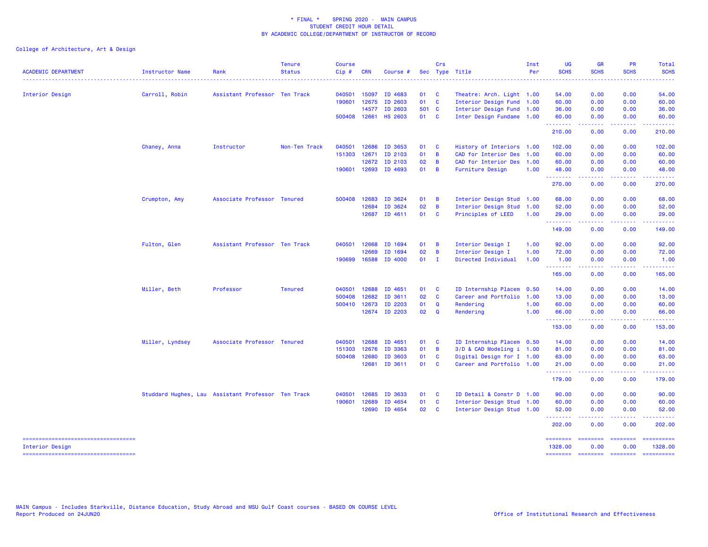| <b>ACADEMIC DEPARTMENT</b>                                | Instructor Name | Rank                                               | <b>Tenure</b><br><b>Status</b> | <b>Course</b><br>$Cip$ # | <b>CRN</b>   | Course #       |        | Crs                     | Sec Type Title                                         | Inst<br>Per | <b>UG</b><br><b>SCHS</b> | <b>GR</b><br><b>SCHS</b> | <b>PR</b><br><b>SCHS</b> | <b>Total</b><br><b>SCHS</b>                                                                                                                                                                                                                                                                                                                                                                                                                                                                       |
|-----------------------------------------------------------|-----------------|----------------------------------------------------|--------------------------------|--------------------------|--------------|----------------|--------|-------------------------|--------------------------------------------------------|-------------|--------------------------|--------------------------|--------------------------|---------------------------------------------------------------------------------------------------------------------------------------------------------------------------------------------------------------------------------------------------------------------------------------------------------------------------------------------------------------------------------------------------------------------------------------------------------------------------------------------------|
|                                                           |                 |                                                    |                                |                          |              |                |        |                         |                                                        |             |                          |                          |                          |                                                                                                                                                                                                                                                                                                                                                                                                                                                                                                   |
| Interior Design                                           | Carroll, Robin  | Assistant Professor Ten Track                      |                                | 040501                   | 15097        | ID 4683        | 01     | $\mathbf{C}$            | Theatre: Arch. Light 1.00                              |             | 54.00                    | 0.00                     | 0.00                     | 54.00                                                                                                                                                                                                                                                                                                                                                                                                                                                                                             |
|                                                           |                 |                                                    |                                | 190601                   | 12675        | ID 2603        | 01     | $\mathbf{C}$            | Interior Design Fund 1.00                              |             | 60.00                    | 0.00                     | 0.00                     | 60.00                                                                                                                                                                                                                                                                                                                                                                                                                                                                                             |
|                                                           |                 |                                                    |                                |                          | 14577        | ID 2603        | 501 C  |                         | Interior Design Fund 1.00                              |             | 36.00                    | 0.00                     | 0.00                     | 36.00                                                                                                                                                                                                                                                                                                                                                                                                                                                                                             |
|                                                           |                 |                                                    |                                | 500408 12661             |              | <b>HS 2603</b> | 01 C   |                         | Inter Design Fundame 1.00                              |             | 60.00<br>.               | 0.00<br>د د د د د        | 0.00<br>.                | 60.00<br>------                                                                                                                                                                                                                                                                                                                                                                                                                                                                                   |
|                                                           |                 |                                                    |                                |                          |              |                |        |                         |                                                        |             | 210.00                   | 0.00                     | 0.00                     | 210.00                                                                                                                                                                                                                                                                                                                                                                                                                                                                                            |
|                                                           | Chaney, Anna    | Instructor                                         | Non-Ten Track                  | 040501                   | 12686        | ID 3653        | 01     | $\mathbf{C}$            | History of Interiors 1.00                              |             | 102.00                   | 0.00                     | 0.00                     | 102.00                                                                                                                                                                                                                                                                                                                                                                                                                                                                                            |
|                                                           |                 |                                                    |                                | 151303                   | 12671        | ID 2103        | 01     | $\overline{B}$          | CAD for Interior Des 1.00                              |             | 60.00                    | 0.00                     | 0.00                     | 60.00                                                                                                                                                                                                                                                                                                                                                                                                                                                                                             |
|                                                           |                 |                                                    |                                |                          | 12672        | ID 2103        | 02     | $\overline{B}$          | CAD for Interior Des 1.00                              |             | 60.00                    | 0.00                     | 0.00                     | 60.00                                                                                                                                                                                                                                                                                                                                                                                                                                                                                             |
|                                                           |                 |                                                    |                                |                          | 190601 12693 | ID 4693        | 01     | $\overline{B}$          | Furniture Design                                       | 1.00        | 48.00                    | 0.00                     | 0.00                     | 48.00                                                                                                                                                                                                                                                                                                                                                                                                                                                                                             |
|                                                           |                 |                                                    |                                |                          |              |                |        |                         |                                                        |             | <u>.</u><br>270.00       | . <u>.</u> .<br>0.00     | .<br>0.00                | .<br>270.00                                                                                                                                                                                                                                                                                                                                                                                                                                                                                       |
|                                                           | Crumpton, Amy   | Associate Professor Tenured                        |                                | 500408                   | 12683        | ID 3624        | 01     | $\overline{B}$          | Interior Design Stud 1.00                              |             | 68.00                    | 0.00                     | 0.00                     | 68.00                                                                                                                                                                                                                                                                                                                                                                                                                                                                                             |
|                                                           |                 |                                                    |                                |                          | 12684        | ID 3624        | 02     | $\overline{B}$          | Interior Design Stud 1.00                              |             | 52.00                    | 0.00                     | 0.00                     | 52.00                                                                                                                                                                                                                                                                                                                                                                                                                                                                                             |
|                                                           |                 |                                                    |                                |                          | 12687        | ID 4611        | 01     | $\mathbf{C}$            | Principles of LEED                                     | 1.00        | 29.00                    | 0.00                     | 0.00                     | 29.00                                                                                                                                                                                                                                                                                                                                                                                                                                                                                             |
|                                                           |                 |                                                    |                                |                          |              |                |        |                         |                                                        |             | .<br>149.00              | .<br>0.00                | .<br>0.00                | .<br>149.00                                                                                                                                                                                                                                                                                                                                                                                                                                                                                       |
|                                                           | Fulton, Glen    | Assistant Professor Ten Track                      |                                | 040501                   | 12668        | ID 1694        | 01     | $\overline{B}$          | Interior Design I                                      | 1.00        | 92.00                    | 0.00                     | 0.00                     | 92.00                                                                                                                                                                                                                                                                                                                                                                                                                                                                                             |
|                                                           |                 |                                                    |                                |                          | 12669        | ID 1694        | 02     | B                       | Interior Design I                                      | 1.00        | 72.00                    | 0.00                     | 0.00                     | 72.00                                                                                                                                                                                                                                                                                                                                                                                                                                                                                             |
|                                                           |                 |                                                    |                                | 190699                   | 16588        | ID 4000        | $01$ I |                         | Directed Individual                                    | 1.00        | 1.00                     | 0.00                     | 0.00                     | 1.00                                                                                                                                                                                                                                                                                                                                                                                                                                                                                              |
|                                                           |                 |                                                    |                                |                          |              |                |        |                         |                                                        |             | <b>.</b> .<br>165.00     | 2.2.2.2.2<br>0.00        | .<br>0.00                | 165.00                                                                                                                                                                                                                                                                                                                                                                                                                                                                                            |
|                                                           | Miller, Beth    | Professor                                          | <b>Tenured</b>                 | 040501                   | 12688        | ID 4651        | 01 C   |                         | ID Internship Placem                                   | 0.50        | 14.00                    | 0.00                     | 0.00                     | 14.00                                                                                                                                                                                                                                                                                                                                                                                                                                                                                             |
|                                                           |                 |                                                    |                                | 500408                   | 12682        | ID 3611        | 02     | $\mathbf{C}$            | Career and Portfolio                                   | 1.00        | 13.00                    | 0.00                     | 0.00                     | 13.00                                                                                                                                                                                                                                                                                                                                                                                                                                                                                             |
|                                                           |                 |                                                    |                                |                          | 500410 12673 | ID 2203        | 01     | $\mathbf Q$             | Rendering                                              | 1.00        | 60.00                    | 0.00                     | 0.00                     | 60.00                                                                                                                                                                                                                                                                                                                                                                                                                                                                                             |
|                                                           |                 |                                                    |                                |                          | 12674        | ID 2203        | 02     | $\mathbf Q$             | Rendering                                              | 1.00        | 66.00                    | 0.00                     | 0.00                     | 66.00                                                                                                                                                                                                                                                                                                                                                                                                                                                                                             |
|                                                           |                 |                                                    |                                |                          |              |                |        |                         |                                                        |             | .<br>153.00              | المتمام المتمار<br>0.00  | . <b>.</b><br>0.00       | <u>.</u><br>153.00                                                                                                                                                                                                                                                                                                                                                                                                                                                                                |
|                                                           | Miller, Lyndsey | Associate Professor Tenured                        |                                | 040501                   | 12688        | ID 4651        | 01     | $\overline{\mathbf{c}}$ | ID Internship Placem 0.50                              |             | 14.00                    | 0.00                     | 0.00                     | 14.00                                                                                                                                                                                                                                                                                                                                                                                                                                                                                             |
|                                                           |                 |                                                    |                                | 151303                   | 12676        | ID 3363        | 01     | $\overline{B}$          | 3/D & CAD Modeling i 1.00                              |             | 81.00                    | 0.00                     | 0.00                     | 81.00                                                                                                                                                                                                                                                                                                                                                                                                                                                                                             |
|                                                           |                 |                                                    |                                | 500408                   | 12680        | ID 3603        | 01     | <b>C</b>                | Digital Design for I 1.00                              |             | 63.00                    | 0.00                     | 0.00                     | 63.00                                                                                                                                                                                                                                                                                                                                                                                                                                                                                             |
|                                                           |                 |                                                    |                                |                          | 12681        | ID 3611        | 01     | <b>C</b>                | Career and Portfolio 1.00                              |             | 21.00                    | 0.00                     | 0.00                     | 21.00                                                                                                                                                                                                                                                                                                                                                                                                                                                                                             |
|                                                           |                 |                                                    |                                |                          |              |                |        |                         |                                                        |             | .<br>179.00              | .<br>0.00                | .<br>0.00                | .<br>179.00                                                                                                                                                                                                                                                                                                                                                                                                                                                                                       |
|                                                           |                 |                                                    |                                | 040501                   | 12685        | ID 3633        | 01     | $\mathbf{C}$            | ID Detail & Constr D 1.00                              |             | 90.00                    | 0.00                     | 0.00                     | 90.00                                                                                                                                                                                                                                                                                                                                                                                                                                                                                             |
|                                                           |                 | Studdard Hughes, Lau Assistant Professor Ten Track |                                | 190601                   | 12689        | ID 4654        | 01     | $\mathbf{C}$            |                                                        |             | 60.00                    | 0.00                     | 0.00                     | 60.00                                                                                                                                                                                                                                                                                                                                                                                                                                                                                             |
|                                                           |                 |                                                    |                                |                          | 12690        | ID 4654        | 02 C   |                         | Interior Design Stud 1.00<br>Interior Design Stud 1.00 |             | 52.00                    | 0.00                     | 0.00                     | 52.00                                                                                                                                                                                                                                                                                                                                                                                                                                                                                             |
|                                                           |                 |                                                    |                                |                          |              |                |        |                         |                                                        |             | .                        | .                        |                          |                                                                                                                                                                                                                                                                                                                                                                                                                                                                                                   |
|                                                           |                 |                                                    |                                |                          |              |                |        |                         |                                                        |             | 202.00                   | 0.00                     | 0.00                     | 202.00                                                                                                                                                                                                                                                                                                                                                                                                                                                                                            |
| ======================================<br>Interior Design |                 |                                                    |                                |                          |              |                |        |                         |                                                        |             | ========<br>1328.00      | ========<br>0.00         | <b>EDESSER</b><br>0.00   | $\begin{array}{cccccccccc} \multicolumn{2}{c}{} & \multicolumn{2}{c}{} & \multicolumn{2}{c}{} & \multicolumn{2}{c}{} & \multicolumn{2}{c}{} & \multicolumn{2}{c}{} & \multicolumn{2}{c}{} & \multicolumn{2}{c}{} & \multicolumn{2}{c}{} & \multicolumn{2}{c}{} & \multicolumn{2}{c}{} & \multicolumn{2}{c}{} & \multicolumn{2}{c}{} & \multicolumn{2}{c}{} & \multicolumn{2}{c}{} & \multicolumn{2}{c}{} & \multicolumn{2}{c}{} & \multicolumn{2}{c}{} & \multicolumn{2}{c}{} & \mult$<br>1328.00 |
| ----------------------------------                        |                 |                                                    |                                |                          |              |                |        |                         |                                                        |             | ========                 | <b>ESSESSES</b>          | --------------------     |                                                                                                                                                                                                                                                                                                                                                                                                                                                                                                   |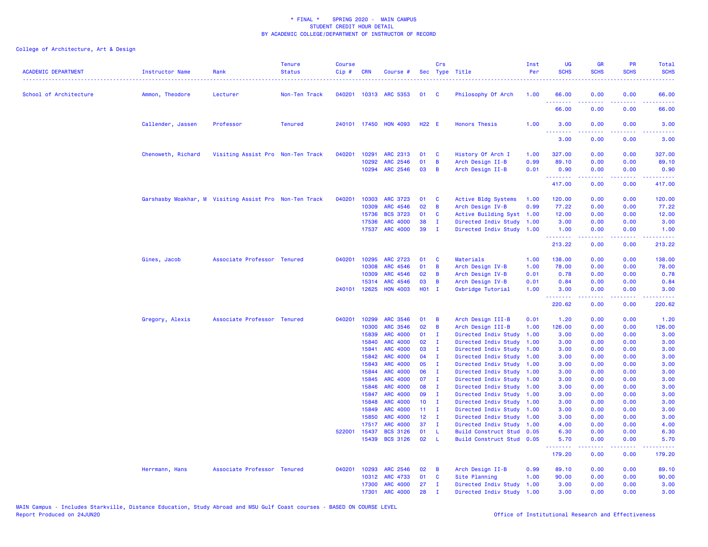| <b>ACADEMIC DEPARTMENT</b> | <b>Instructor Name</b>                                 | Rank                              | <b>Tenure</b><br><b>Status</b> | <b>Course</b><br>Cip# | <b>CRN</b> | Course #              |                 | Crs                     | Sec Type Title            | Inst<br>Per | <b>UG</b><br><b>SCHS</b>        | <b>GR</b><br><b>SCHS</b>                                                                                                                                     | PR<br><b>SCHS</b> | Total<br><b>SCHS</b>                                                                                                                                                                    |
|----------------------------|--------------------------------------------------------|-----------------------------------|--------------------------------|-----------------------|------------|-----------------------|-----------------|-------------------------|---------------------------|-------------|---------------------------------|--------------------------------------------------------------------------------------------------------------------------------------------------------------|-------------------|-----------------------------------------------------------------------------------------------------------------------------------------------------------------------------------------|
| School of Architecture     | Ammon, Theodore                                        | Lecturer                          | Non-Ten Track                  |                       |            | 040201 10313 ARC 5353 | 01              | $\overline{\mathbf{C}}$ | Philosophy Of Arch        | 1.00        | 66.00                           | 0.00                                                                                                                                                         | 0.00              | 66.00                                                                                                                                                                                   |
|                            |                                                        |                                   |                                |                       |            |                       |                 |                         |                           |             | .<br>66.00                      | 0.00                                                                                                                                                         | 0.00              | 66.00                                                                                                                                                                                   |
|                            | Callender, Jassen                                      | Professor                         | <b>Tenured</b>                 |                       |            | 240101 17450 HON 4093 | H22 E           |                         | <b>Honors Thesis</b>      | 1.00        | 3.00<br><u> - - - - - - - -</u> | 0.00<br>.                                                                                                                                                    | 0.00<br>$   -$    | 3.00                                                                                                                                                                                    |
|                            |                                                        |                                   |                                |                       |            |                       |                 |                         |                           |             | 3.00                            | 0.00                                                                                                                                                         | 0.00              | 3.00                                                                                                                                                                                    |
|                            | Chenoweth, Richard                                     | Visiting Assist Pro Non-Ten Track |                                | 040201                | 10291      | ARC 2313              | 01              | C                       | History Of Arch I         | 1.00        | 327.00                          | 0.00                                                                                                                                                         | 0.00              | 327.00                                                                                                                                                                                  |
|                            |                                                        |                                   |                                |                       | 10292      | <b>ARC 2546</b>       | 01              | $\overline{B}$          | Arch Design II-B          | 0.99        | 89.10                           | 0.00                                                                                                                                                         | 0.00              | 89.10                                                                                                                                                                                   |
|                            |                                                        |                                   |                                |                       | 10294      | <b>ARC 2546</b>       | 03              | $\overline{B}$          | Arch Design II-B          | 0.01        | 0.90                            | 0.00<br>2.2.2.2.2                                                                                                                                            | 0.00<br>22222     | 0.90<br>.                                                                                                                                                                               |
|                            |                                                        |                                   |                                |                       |            |                       |                 |                         |                           |             | .<br>417.00                     | 0.00                                                                                                                                                         | 0.00              | 417.00                                                                                                                                                                                  |
|                            | Garshasby Moakhar, M Visiting Assist Pro Non-Ten Track |                                   |                                | 040201                | 10303      | <b>ARC 3723</b>       | 01              | C                       | Active Bldg Systems       | 1.00        | 120.00                          | 0.00                                                                                                                                                         | 0.00              | 120.00                                                                                                                                                                                  |
|                            |                                                        |                                   |                                |                       | 10309      | ARC 4546              | 02              | $\overline{B}$          | Arch Design IV-B          | 0.99        | 77.22                           | 0.00                                                                                                                                                         | 0.00              | 77.22                                                                                                                                                                                   |
|                            |                                                        |                                   |                                |                       | 15736      | <b>BCS 3723</b>       | 01              | $\mathbf{C}$            | Active Building Syst 1.00 |             | 12.00                           | 0.00                                                                                                                                                         | 0.00              | 12.00                                                                                                                                                                                   |
|                            |                                                        |                                   |                                |                       | 17536      | <b>ARC 4000</b>       | 38              | $\mathbf I$             | Directed Indiv Study 1.00 |             | 3.00                            | 0.00                                                                                                                                                         | 0.00              | 3.00                                                                                                                                                                                    |
|                            |                                                        |                                   |                                |                       | 17537      | <b>ARC 4000</b>       | 39              | $\mathbf I$             | Directed Indiv Study 1.00 |             | 1.00<br>.                       | 0.00<br>$\frac{1}{2} \left( \frac{1}{2} \right) \left( \frac{1}{2} \right) \left( \frac{1}{2} \right) \left( \frac{1}{2} \right) \left( \frac{1}{2} \right)$ | 0.00<br>.         | 1.00<br>.                                                                                                                                                                               |
|                            |                                                        |                                   |                                |                       |            |                       |                 |                         |                           |             | 213.22                          | 0.00                                                                                                                                                         | 0.00              | 213.22                                                                                                                                                                                  |
|                            | Gines, Jacob                                           | Associate Professor Tenured       |                                | 040201                | 10295      | <b>ARC 2723</b>       | 01              | C                       | Materials                 | 1.00        | 138.00                          | 0.00                                                                                                                                                         | 0.00              | 138.00                                                                                                                                                                                  |
|                            |                                                        |                                   |                                |                       | 10308      | ARC 4546              | 01              | B                       | Arch Design IV-B          | 1.00        | 78.00                           | 0.00                                                                                                                                                         | 0.00              | 78.00                                                                                                                                                                                   |
|                            |                                                        |                                   |                                |                       | 10309      | ARC 4546              | 02              | B                       | Arch Design IV-B          | 0.01        | 0.78                            | 0.00                                                                                                                                                         | 0.00              | 0.78                                                                                                                                                                                    |
|                            |                                                        |                                   |                                |                       | 15314      | ARC 4546              | 03              | B                       | Arch Design IV-B          | 0.01        | 0.84                            | 0.00                                                                                                                                                         | 0.00              | 0.84                                                                                                                                                                                    |
|                            |                                                        |                                   |                                | 240101                | 12625      | <b>HON 4003</b>       | H01 I           |                         | Oxbridge Tutorial         | 1.00        | 3.00<br><u>.</u>                | 0.00<br>المستملة                                                                                                                                             | 0.00<br>.         | 3.00<br>$\frac{1}{2} \left( \frac{1}{2} \right) \left( \frac{1}{2} \right) \left( \frac{1}{2} \right) \left( \frac{1}{2} \right) \left( \frac{1}{2} \right) \left( \frac{1}{2} \right)$ |
|                            |                                                        |                                   |                                |                       |            |                       |                 |                         |                           |             | 220.62                          | 0.00                                                                                                                                                         | 0.00              | 220.62                                                                                                                                                                                  |
|                            | Gregory, Alexis                                        | Associate Professor Tenured       |                                | 040201                | 10299      | <b>ARC 3546</b>       | 01              | B                       | Arch Design III-B         | 0.01        | 1.20                            | 0.00                                                                                                                                                         | 0.00              | 1.20                                                                                                                                                                                    |
|                            |                                                        |                                   |                                |                       | 10300      | <b>ARC 3546</b>       | 02              | $\overline{B}$          | Arch Design III-B         | 1.00        | 126.00                          | 0.00                                                                                                                                                         | 0.00              | 126.00                                                                                                                                                                                  |
|                            |                                                        |                                   |                                |                       | 15839      | <b>ARC 4000</b>       | 01              | $\mathbf I$             | Directed Indiv Study      | 1.00        | 3.00                            | 0.00                                                                                                                                                         | 0.00              | 3.00                                                                                                                                                                                    |
|                            |                                                        |                                   |                                |                       | 15840      | <b>ARC 4000</b>       | 02              | $\mathbf I$             | Directed Indiv Study      | 1.00        | 3.00                            | 0.00                                                                                                                                                         | 0.00              | 3.00                                                                                                                                                                                    |
|                            |                                                        |                                   |                                |                       | 15841      | <b>ARC 4000</b>       | 03              | $\mathbf{I}$            | Directed Indiv Study      | 1.00        | 3.00                            | 0.00                                                                                                                                                         | 0.00              | 3.00                                                                                                                                                                                    |
|                            |                                                        |                                   |                                |                       | 15842      | <b>ARC 4000</b>       | 04              | $\mathbf{I}$            | Directed Indiv Study 1.00 |             | 3.00                            | 0.00                                                                                                                                                         | 0.00              | 3.00                                                                                                                                                                                    |
|                            |                                                        |                                   |                                |                       | 15843      | <b>ARC 4000</b>       | 05              | $\mathbf I$             | Directed Indiv Study 1.00 |             | 3.00                            | 0.00                                                                                                                                                         | 0.00              | 3.00                                                                                                                                                                                    |
|                            |                                                        |                                   |                                |                       | 15844      | <b>ARC 4000</b>       | 06              | $\mathbf{I}$            | Directed Indiv Study 1.00 |             | 3.00                            | 0.00                                                                                                                                                         | 0.00              | 3.00                                                                                                                                                                                    |
|                            |                                                        |                                   |                                |                       | 15845      | <b>ARC 4000</b>       | 07              | $\mathbf I$             | Directed Indiv Study 1.00 |             | 3.00                            | 0.00                                                                                                                                                         | 0.00              | 3.00                                                                                                                                                                                    |
|                            |                                                        |                                   |                                |                       | 15846      | <b>ARC 4000</b>       | 08              | $\mathbf{I}$            | Directed Indiv Study 1.00 |             | 3.00                            | 0.00                                                                                                                                                         | 0.00              | 3.00                                                                                                                                                                                    |
|                            |                                                        |                                   |                                |                       | 15847      | <b>ARC 4000</b>       | 09              | $\mathbf I$             | Directed Indiv Study 1.00 |             | 3.00                            | 0.00                                                                                                                                                         | 0.00              | 3.00                                                                                                                                                                                    |
|                            |                                                        |                                   |                                |                       | 15848      | <b>ARC 4000</b>       | 10 <sub>1</sub> | $\mathbf{I}$            | Directed Indiv Study 1.00 |             | 3.00                            | 0.00                                                                                                                                                         | 0.00              | 3.00                                                                                                                                                                                    |
|                            |                                                        |                                   |                                |                       | 15849      | <b>ARC 4000</b>       | 11 <sub>1</sub> | $\mathbf I$             | Directed Indiv Study 1.00 |             | 3.00                            | 0.00                                                                                                                                                         | 0.00              | 3.00                                                                                                                                                                                    |
|                            |                                                        |                                   |                                |                       | 15850      | ARC 4000              | 12              | $\mathbf{I}$            | Directed Indiv Study 1.00 |             | 3.00                            | 0.00                                                                                                                                                         | 0.00              | 3.00                                                                                                                                                                                    |
|                            |                                                        |                                   |                                |                       | 17517      | <b>ARC 4000</b>       | 37              | $\mathbf{I}$            | Directed Indiv Study 1.00 |             | 4.00                            | 0.00                                                                                                                                                         | 0.00              | 4.00                                                                                                                                                                                    |
|                            |                                                        |                                   |                                | 522001                | 15437      | <b>BCS 3126</b>       | 01              | - L                     | Build Construct Stud 0.05 |             | 6.30                            | 0.00                                                                                                                                                         | 0.00              | 6.30                                                                                                                                                                                    |
|                            |                                                        |                                   |                                |                       | 15439      | <b>BCS 3126</b>       | 02              | - L                     | Build Construct Stud 0.05 |             | 5.70<br>.                       | 0.00<br>.                                                                                                                                                    | 0.00<br>المتمالين | 5.70                                                                                                                                                                                    |
|                            |                                                        |                                   |                                |                       |            |                       |                 |                         |                           |             | 179.20                          | 0.00                                                                                                                                                         | 0.00              | 179.20                                                                                                                                                                                  |
|                            | Herrmann, Hans                                         | Associate Professor Tenured       |                                | 040201                | 10293      | <b>ARC 2546</b>       | 02              | $\overline{B}$          | Arch Design II-B          | 0.99        | 89.10                           | 0.00                                                                                                                                                         | 0.00              | 89.10                                                                                                                                                                                   |
|                            |                                                        |                                   |                                |                       | 10312      | ARC 4733              | 01              | <b>C</b>                | Site Planning             | 1.00        | 90.00                           | 0.00                                                                                                                                                         | 0.00              | 90.00                                                                                                                                                                                   |
|                            |                                                        |                                   |                                |                       | 17300      | <b>ARC 4000</b>       | 27              | <b>I</b>                | Directed Indiv Study      | 1.00        | 3.00                            | 0.00                                                                                                                                                         | 0.00              | 3.00                                                                                                                                                                                    |
|                            |                                                        |                                   |                                |                       | 17301      | ARC 4000              | 28              | $\mathbf{r}$            | Directed Indiv Study 1.00 |             | 3.00                            | 0.00                                                                                                                                                         | 0.00              | 3.00                                                                                                                                                                                    |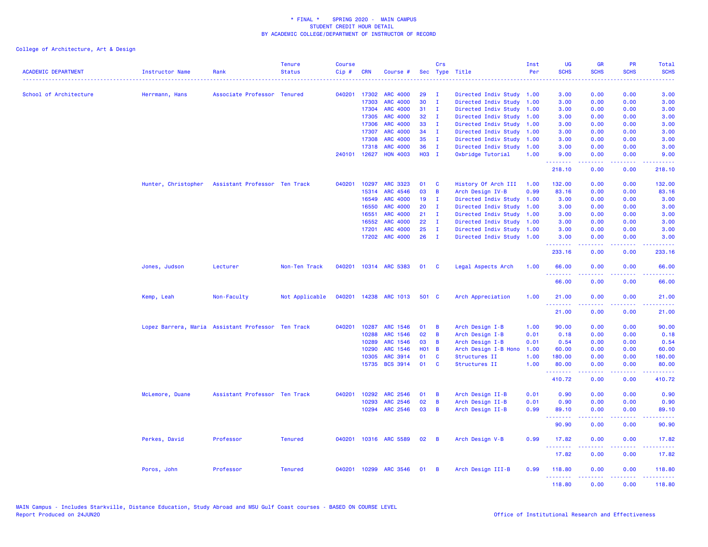| <b>ACADEMIC DEPARTMENT</b> | <b>Instructor Name</b>                             | Rank                          | <b>Tenure</b><br><b>Status</b> | <b>Course</b><br>$Cip \#$ | <b>CRN</b>   | Course #              |              | Crs            | Sec Type Title            | Inst<br>Per | <b>UG</b><br><b>SCHS</b> | <b>GR</b><br><b>SCHS</b>                                                                                                                                     | <b>PR</b><br><b>SCHS</b> | Total<br><b>SCHS</b>                                                                                                                                           |
|----------------------------|----------------------------------------------------|-------------------------------|--------------------------------|---------------------------|--------------|-----------------------|--------------|----------------|---------------------------|-------------|--------------------------|--------------------------------------------------------------------------------------------------------------------------------------------------------------|--------------------------|----------------------------------------------------------------------------------------------------------------------------------------------------------------|
| School of Architecture     | Herrmann, Hans                                     | Associate Professor Tenured   |                                |                           | 040201 17302 | <b>ARC 4000</b>       | 29           | $\mathbf{I}$   | Directed Indiv Study 1.00 |             | 3.00                     | 0.00                                                                                                                                                         | 0.00                     | 3.00                                                                                                                                                           |
|                            |                                                    |                               |                                |                           | 17303        | <b>ARC 4000</b>       | 30           | $\mathbf{I}$   | Directed Indiv Study      | 1.00        | 3.00                     | 0.00                                                                                                                                                         | 0.00                     | 3.00                                                                                                                                                           |
|                            |                                                    |                               |                                |                           | 17304        | <b>ARC 4000</b>       | 31           | $\mathbf{I}$   | Directed Indiv Study      | 1.00        | 3.00                     | 0.00                                                                                                                                                         | 0.00                     | 3.00                                                                                                                                                           |
|                            |                                                    |                               |                                |                           | 17305        | <b>ARC 4000</b>       | 32           | - I            | Directed Indiv Study      | 1.00        | 3.00                     | 0.00                                                                                                                                                         | 0.00                     | 3.00                                                                                                                                                           |
|                            |                                                    |                               |                                |                           | 17306        | <b>ARC 4000</b>       | 33           | $\mathbf{I}$   | Directed Indiv Study      | 1.00        | 3.00                     | 0.00                                                                                                                                                         | 0.00                     | 3.00                                                                                                                                                           |
|                            |                                                    |                               |                                |                           | 17307        | <b>ARC 4000</b>       | 34           | $\mathbf{I}$   | Directed Indiv Study      | 1.00        | 3.00                     | 0.00                                                                                                                                                         | 0.00                     | 3.00                                                                                                                                                           |
|                            |                                                    |                               |                                |                           | 17308        | <b>ARC 4000</b>       | 35           | $\mathbf{I}$   | Directed Indiv Study      | 1.00        | 3.00                     | 0.00                                                                                                                                                         | 0.00                     | 3.00                                                                                                                                                           |
|                            |                                                    |                               |                                |                           | 17318        | <b>ARC 4000</b>       | 36           | $\mathbf{I}$   | Directed Indiv Study 1.00 |             | 3.00                     | 0.00                                                                                                                                                         | 0.00                     | 3.00                                                                                                                                                           |
|                            |                                                    |                               |                                |                           | 240101 12627 | <b>HON 4003</b>       | H03 I        |                | Oxbridge Tutorial         | 1.00        | 9.00<br>.                | 0.00<br>-----                                                                                                                                                | 0.00<br>.                | 9.00<br>.                                                                                                                                                      |
|                            |                                                    |                               |                                |                           |              |                       |              |                |                           |             | 218.10                   | 0.00                                                                                                                                                         | 0.00                     | 218.10                                                                                                                                                         |
|                            | Hunter, Christopher                                | Assistant Professor Ten Track |                                | 040201                    | 10297        | <b>ARC 3323</b>       | 01           | <b>C</b>       | History Of Arch III       | 1.00        | 132.00                   | 0.00                                                                                                                                                         | 0.00                     | 132.00                                                                                                                                                         |
|                            |                                                    |                               |                                |                           | 15314        | ARC 4546              | 03           | B              | Arch Design IV-B          | 0.99        | 83.16                    | 0.00                                                                                                                                                         | 0.00                     | 83.16                                                                                                                                                          |
|                            |                                                    |                               |                                |                           | 16549        | <b>ARC 4000</b>       | 19           | $\mathbf I$    | Directed Indiv Study      | 1.00        | 3.00                     | 0.00                                                                                                                                                         | 0.00                     | 3.00                                                                                                                                                           |
|                            |                                                    |                               |                                |                           | 16550        | <b>ARC 4000</b>       | 20           | $\mathbf{I}$   | Directed Indiv Study      | 1.00        | 3.00                     | 0.00                                                                                                                                                         | 0.00                     | 3.00                                                                                                                                                           |
|                            |                                                    |                               |                                |                           | 16551        | <b>ARC 4000</b>       | 21           | $\mathbf{I}$   | Directed Indiv Study      | 1.00        | 3.00                     | 0.00                                                                                                                                                         | 0.00                     | 3.00                                                                                                                                                           |
|                            |                                                    |                               |                                |                           | 16552        | <b>ARC 4000</b>       | 22           | $\mathbf{I}$   | Directed Indiv Study      | 1.00        | 3.00                     | 0.00                                                                                                                                                         | 0.00                     | 3.00                                                                                                                                                           |
|                            |                                                    |                               |                                |                           | 17201        | <b>ARC 4000</b>       | 25           | $\mathbf{I}$   | Directed Indiv Study      | 1.00        | 3.00                     | 0.00                                                                                                                                                         | 0.00                     | 3.00                                                                                                                                                           |
|                            |                                                    |                               |                                |                           | 17202        | <b>ARC 4000</b>       | 26           | $\mathbf{I}$   | Directed Indiv Study 1.00 |             | 3.00<br>.                | 0.00<br>$\frac{1}{2} \left( \frac{1}{2} \right) \left( \frac{1}{2} \right) \left( \frac{1}{2} \right) \left( \frac{1}{2} \right) \left( \frac{1}{2} \right)$ | 0.00<br>.                | 3.00<br>$\frac{1}{2} \left( \frac{1}{2} \right) \left( \frac{1}{2} \right) \left( \frac{1}{2} \right) \left( \frac{1}{2} \right) \left( \frac{1}{2} \right)$   |
|                            |                                                    |                               |                                |                           |              |                       |              |                |                           |             | 233.16                   | 0.00                                                                                                                                                         | 0.00                     | 233.16                                                                                                                                                         |
|                            | Jones, Judson                                      | Lecturer                      | Non-Ten Track                  |                           |              | 040201 10314 ARC 5383 | 01           | <b>C</b>       | Legal Aspects Arch        | 1.00        | 66.00<br><u>.</u>        | 0.00                                                                                                                                                         | 0.00                     | 66.00<br>$\frac{1}{2} \left( \frac{1}{2} \right) \left( \frac{1}{2} \right) \left( \frac{1}{2} \right) \left( \frac{1}{2} \right)$                             |
|                            |                                                    |                               |                                |                           |              |                       |              |                |                           |             | 66.00                    | 0.00                                                                                                                                                         | 0.00                     | 66.00                                                                                                                                                          |
|                            | Kemp, Leah                                         | Non-Faculty                   | Not Applicable                 |                           |              | 040201 14238 ARC 1013 | 501 C        |                | Arch Appreciation         | 1.00        | 21.00                    | 0.00                                                                                                                                                         | 0.00                     | 21.00                                                                                                                                                          |
|                            |                                                    |                               |                                |                           |              |                       |              |                |                           |             | <u>.</u><br>21.00        | $\frac{1}{2} \left( \frac{1}{2} \right) \left( \frac{1}{2} \right) \left( \frac{1}{2} \right) \left( \frac{1}{2} \right) \left( \frac{1}{2} \right)$<br>0.00 | .<br>0.00                | .<br>21.00                                                                                                                                                     |
|                            | Lopez Barrera, Maria Assistant Professor Ten Track |                               |                                | 040201                    | 10287        | ARC 1546              | 01           | B              | Arch Design I-B           | 1.00        | 90.00                    | 0.00                                                                                                                                                         | 0.00                     | 90.00                                                                                                                                                          |
|                            |                                                    |                               |                                |                           | 10288        | ARC 1546              | 02           | B              | Arch Design I-B           | 0.01        | 0.18                     | 0.00                                                                                                                                                         | 0.00                     | 0.18                                                                                                                                                           |
|                            |                                                    |                               |                                |                           | 10289        | ARC 1546              | 03           | B              | Arch Design I-B           | 0.01        | 0.54                     | 0.00                                                                                                                                                         | 0.00                     | 0.54                                                                                                                                                           |
|                            |                                                    |                               |                                |                           | 10290        | <b>ARC 1546</b>       | <b>HO1 B</b> |                | Arch Design I-B Hono      | 1.00        | 60.00                    | 0.00                                                                                                                                                         | 0.00                     | 60.00                                                                                                                                                          |
|                            |                                                    |                               |                                |                           | 10305        | <b>ARC 3914</b>       | 01           | C              | Structures II             | 1.00        | 180.00                   | 0.00                                                                                                                                                         | 0.00                     | 180.00                                                                                                                                                         |
|                            |                                                    |                               |                                |                           | 15735        | <b>BCS 3914</b>       | 01           | <b>C</b>       | Structures II             | 1.00        | 80.00<br>.               | 0.00<br>$\frac{1}{2} \left( \frac{1}{2} \right) \left( \frac{1}{2} \right) \left( \frac{1}{2} \right) \left( \frac{1}{2} \right) \left( \frac{1}{2} \right)$ | 0.00<br>.                | 80.00<br>.                                                                                                                                                     |
|                            |                                                    |                               |                                |                           |              |                       |              |                |                           |             | 410.72                   | 0.00                                                                                                                                                         | 0.00                     | 410.72                                                                                                                                                         |
|                            | McLemore, Duane                                    | Assistant Professor Ten Track |                                | 040201                    | 10292        | ARC 2546              | 01           | B              | Arch Design II-B          | 0.01        | 0.90                     | 0.00                                                                                                                                                         | 0.00                     | 0.90                                                                                                                                                           |
|                            |                                                    |                               |                                |                           | 10293        | <b>ARC 2546</b>       | 02           | B              | Arch Design II-B          | 0.01        | 0.90                     | 0.00                                                                                                                                                         | 0.00                     | 0.90                                                                                                                                                           |
|                            |                                                    |                               |                                |                           |              | 10294 ARC 2546        | 03           | B              | Arch Design II-B          | 0.99        | 89.10<br>.               | 0.00<br>.                                                                                                                                                    | 0.00<br>$  -$            | 89.10<br>.                                                                                                                                                     |
|                            |                                                    |                               |                                |                           |              |                       |              |                |                           |             | 90.90                    | 0.00                                                                                                                                                         | 0.00                     | 90.90                                                                                                                                                          |
|                            | Perkes, David                                      | Professor                     | <b>Tenured</b>                 |                           |              | 040201 10316 ARC 5589 | 02           | $\overline{B}$ | Arch Design V-B           | 0.99        | 17.82                    | 0.00                                                                                                                                                         | 0.00                     | 17.82                                                                                                                                                          |
|                            |                                                    |                               |                                |                           |              |                       |              |                |                           |             | 17.82                    | 0.00                                                                                                                                                         | 0.00                     | 17.82                                                                                                                                                          |
|                            | Poros, John                                        | Professor                     | <b>Tenured</b>                 |                           |              | 040201 10299 ARC 3546 | 01           | - B            | Arch Design III-B         | 0.99        | 118.80<br>.              | 0.00<br>22222                                                                                                                                                | 0.00<br>ن د د د          | 118.80<br>$\frac{1}{2} \left( \frac{1}{2} \right) \left( \frac{1}{2} \right) \left( \frac{1}{2} \right) \left( \frac{1}{2} \right) \left( \frac{1}{2} \right)$ |
|                            |                                                    |                               |                                |                           |              |                       |              |                |                           |             | 118,80                   | 0.00                                                                                                                                                         | 0.00                     | 118.80                                                                                                                                                         |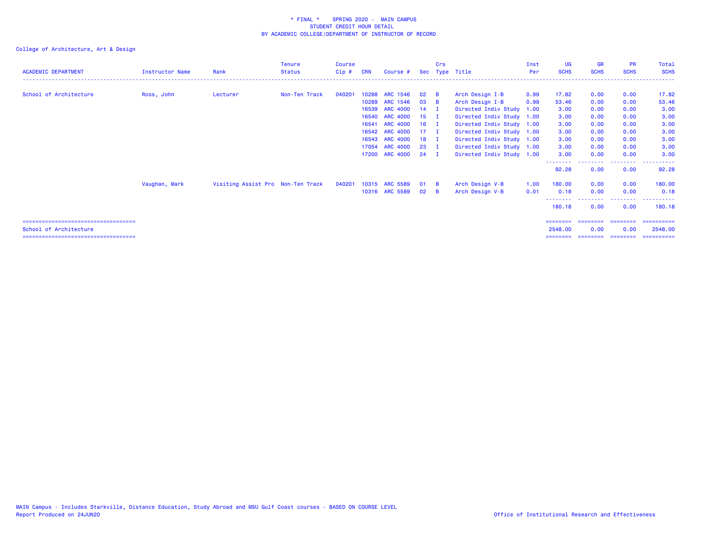| <b>ACADEMIC DEPARTMENT</b>            | <b>Instructor Name</b> | Rank                              | <b>Tenure</b><br><b>Status</b> | Course<br>$Cip$ # | <b>CRN</b> | Course #        |              | Crs          | Sec Type Title            | Inst<br><b>Per</b> | <b>UG</b><br><b>SCHS</b> | <b>GR</b><br><b>SCHS</b> | <b>PR</b><br><b>SCHS</b> | Total<br><b>SCHS</b> |
|---------------------------------------|------------------------|-----------------------------------|--------------------------------|-------------------|------------|-----------------|--------------|--------------|---------------------------|--------------------|--------------------------|--------------------------|--------------------------|----------------------|
|                                       |                        |                                   |                                |                   |            |                 |              |              |                           |                    |                          |                          |                          |                      |
| School of Architecture                | Ross, John             | Lecturer                          | Non-Ten Track                  | 040201            | 10288      | ARC 1546        | 02           | - в          | Arch Design I-B           | 0.99               | 17.82                    | 0.00                     | 0.00                     | 17.82                |
|                                       |                        |                                   |                                |                   | 10289      | ARC 1546        | 03           | - B          | Arch Design I-B           | 0.99               | 53.46                    | 0.00                     | 0.00                     | 53.46                |
|                                       |                        |                                   |                                |                   | 16539      | <b>ARC 4000</b> | 14           | $\mathbf{I}$ | Directed Indiv Study      | 1.00               | 3.00                     | 0.00                     | 0.00                     | 3.00                 |
|                                       |                        |                                   |                                |                   | 16540      | <b>ARC 4000</b> | $15$ I       |              | Directed Indiv Study 1.00 |                    | 3.00                     | 0.00                     | 0.00                     | 3.00                 |
|                                       |                        |                                   |                                |                   | 16541      | <b>ARC 4000</b> | $16$ I       |              | Directed Indiv Study 1.00 |                    | 3.00                     | 0.00                     | 0.00                     | 3.00                 |
|                                       |                        |                                   |                                |                   |            | 16542 ARC 4000  | $17 \quad I$ |              | Directed Indiv Study 1.00 |                    | 3.00                     | 0.00                     | 0.00                     | 3.00                 |
|                                       |                        |                                   |                                |                   |            | 16543 ARC 4000  | $18$ I       |              | Directed Indiv Study 1.00 |                    | 3.00                     | 0.00                     | 0.00                     | 3.00                 |
|                                       |                        |                                   |                                |                   |            | 17054 ARC 4000  | $23 \quad I$ |              | Directed Indiv Study 1.00 |                    | 3.00                     | 0.00                     | 0.00                     | 3.00                 |
|                                       |                        |                                   |                                |                   |            | 17200 ARC 4000  | 24 I         |              | Directed Indiv Study 1.00 |                    | 3.00                     | 0.00                     | 0.00                     | 3.00                 |
|                                       |                        |                                   |                                |                   |            |                 |              |              |                           |                    | --------<br>92.28        | 0.00                     | --------<br>0.00         | 92.28                |
|                                       | Vaughan, Mark          | Visiting Assist Pro Non-Ten Track |                                | 040201            |            | 10315 ARC 5589  | 01           | - B          | Arch Design V-B           | 1.00               | 180.00                   | 0.00                     | 0.00                     | 180.00               |
|                                       |                        |                                   |                                |                   |            | 10316 ARC 5589  | 02           | - B          | Arch Design V-B           | 0.01               | 0.18                     | 0.00                     | 0.00                     | 0.18                 |
|                                       |                        |                                   |                                |                   |            |                 |              |              |                           |                    | 180.18                   | 0.00                     | 0.00                     | ----------<br>180.18 |
| ===================================== |                        |                                   |                                |                   |            |                 |              |              |                           |                    | ========                 | ========                 | ========                 | ==========           |
| School of Architecture                |                        |                                   |                                |                   |            |                 |              |              |                           |                    | 2548.00                  | 0.00                     | 0.00                     | 2548.00              |
| ===================================== |                        |                                   |                                |                   |            |                 |              |              |                           |                    | ========                 | ========                 | ---------                | ==========           |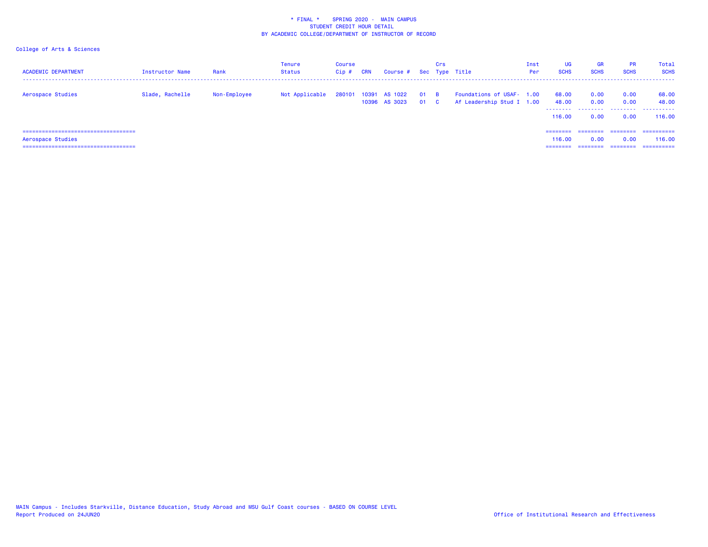| <b>ACADEMIC DEPARTMENT</b>             | <b>Instructor Name</b> | Rank         | Tenure<br>Status | <b>Course</b><br>$Cip$ # | <b>CRN</b> | Course # Sec Type Title               |              | Crs      |                                                        | Inst<br>Per | <b>UG</b><br><b>SCHS</b> | <b>GR</b><br><b>SCHS</b> | <b>PR</b><br><b>SCHS</b> | Total<br><b>SCHS</b> |
|----------------------------------------|------------------------|--------------|------------------|--------------------------|------------|---------------------------------------|--------------|----------|--------------------------------------------------------|-------------|--------------------------|--------------------------|--------------------------|----------------------|
| Aerospace Studies                      | Slade, Rachelle        | Non-Employee | Not Applicable   |                          |            | 280101 10391 AS 1022<br>10396 AS 3023 | $01$ B<br>01 | <b>C</b> | Foundations of USAF- 1.00<br>Af Leadership Stud I 1.00 |             | 68.00<br>48.00           | 0.00<br>0.00             | 0.00<br>0.00             | 68.00<br>48.00       |
|                                        |                        |              |                  |                          |            |                                       |              |          |                                                        |             | 116.00                   | 0.00                     | 0.00                     | 116.00               |
| ====================================== |                        |              |                  |                          |            |                                       |              |          |                                                        |             | ========                 | ========                 | ========                 | -----------          |
| Aerospace Studies                      |                        |              |                  |                          |            |                                       |              |          |                                                        |             | 116.00                   | 0.00                     | 0.00                     | 116,00               |
|                                        |                        |              |                  |                          |            |                                       |              |          |                                                        |             | ========                 | ========                 | ========                 | -----------          |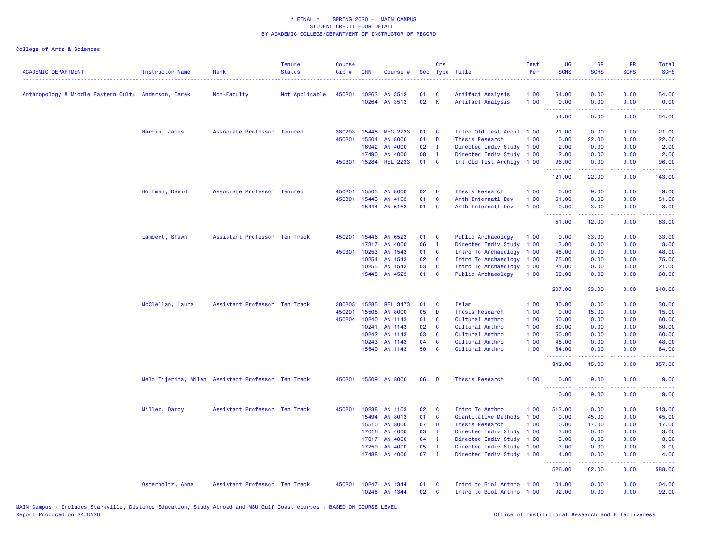| <b>ACADEMIC DEPARTMENT</b>                          | <b>Instructor Name</b> | Rank                                               | <b>Tenure</b><br><b>Status</b> | <b>Course</b><br>Cip# | <b>CRN</b>   | Course #        | Sec   | Crs          | Type Title                | Inst<br>Per | <b>UG</b><br><b>SCHS</b> | <b>GR</b><br><b>SCHS</b>                                                                                                                                     | <b>PR</b><br><b>SCHS</b>            | Total<br><b>SCHS</b> |
|-----------------------------------------------------|------------------------|----------------------------------------------------|--------------------------------|-----------------------|--------------|-----------------|-------|--------------|---------------------------|-------------|--------------------------|--------------------------------------------------------------------------------------------------------------------------------------------------------------|-------------------------------------|----------------------|
| Anthropology & Middle Eastern Cultu Anderson, Derek |                        | Non-Faculty                                        | Not Applicable                 | 450201                | 10263        | AN 3513         | 01    | C            | Artifact Analysis         | 1.00        | 54.00                    | 0.00                                                                                                                                                         | 0.00                                | 54.00                |
|                                                     |                        |                                                    |                                |                       | 10264        | AN 3513         | 02    | $\mathsf{K}$ | Artifact Analysis         | 1.00        | 0.00                     | 0.00                                                                                                                                                         | 0.00                                | 0.00                 |
|                                                     |                        |                                                    |                                |                       |              |                 |       |              |                           |             | .<br>54.00               | $\frac{1}{2} \left( \frac{1}{2} \right) \left( \frac{1}{2} \right) \left( \frac{1}{2} \right) \left( \frac{1}{2} \right) \left( \frac{1}{2} \right)$<br>0.00 | .<br>0.00                           | .<br>54.00           |
|                                                     | Hardin, James          | Associate Professor Tenured                        |                                | 380203                | 15448        | <b>MEC 2233</b> | 01    | C            | Intro Old Test Archl 1.00 |             | 21.00                    | 0.00                                                                                                                                                         | 0.00                                | 21.00                |
|                                                     |                        |                                                    |                                | 450201                | 15504        | <b>AN 8000</b>  | 01    | D            | Thesis Research           | 1.00        | 0.00                     | 22.00                                                                                                                                                        | 0.00                                | 22.00                |
|                                                     |                        |                                                    |                                |                       | 16942        | AN 4000         | 02    | $\mathbf{I}$ | Directed Indiv Study      | 1.00        | 2.00                     | 0.00                                                                                                                                                         | 0.00                                | 2.00                 |
|                                                     |                        |                                                    |                                |                       | 17490        | AN 4000         | 08    | $\mathbf{I}$ | Directed Indiv Study 1.00 |             | 2.00                     | 0.00                                                                                                                                                         | 0.00                                | 2.00                 |
|                                                     |                        |                                                    |                                |                       | 450301 15284 | <b>REL 2233</b> | 01    | C            | Int Old Test Archlgy 1.00 |             | 96.00                    | 0.00                                                                                                                                                         | 0.00                                | 96.00                |
|                                                     |                        |                                                    |                                |                       |              |                 |       |              |                           |             | .<br>121.00              | .<br>22.00                                                                                                                                                   | .<br>0.00                           | 143.00               |
|                                                     | Hoffman, David         | Associate Professor Tenured                        |                                | 450201                | 15505        | <b>AN 8000</b>  | 02    | D            | Thesis Research           | 1.00        | 0.00                     | 9.00                                                                                                                                                         | 0.00                                | 9.00                 |
|                                                     |                        |                                                    |                                | 450301                | 15443        | AN 4163         | 01    | C            | Anth Internatl Dev        | 1.00        | 51.00                    | 0.00                                                                                                                                                         | 0.00                                | 51.00                |
|                                                     |                        |                                                    |                                |                       |              | 15444 AN 6163   | 01    | C            | Anth Internatl Dev        | 1.00        | 0.00                     | 3.00                                                                                                                                                         | 0.00                                | 3.00                 |
|                                                     |                        |                                                    |                                |                       |              |                 |       |              |                           |             | .<br>51.00               | .<br>12.00                                                                                                                                                   | 22222<br>0.00                       | .<br>63.00           |
|                                                     | Lambert, Shawn         | Assistant Professor Ten Track                      |                                | 450201                | 15446        | AN 6523         | 01    | C            | Public Archaeology        | 1.00        | 0.00                     | 33.00                                                                                                                                                        | 0.00                                | 33.00                |
|                                                     |                        |                                                    |                                |                       | 17317        | AN 4000         | 06    | $\mathbf{I}$ | Directed Indiv Study      | 1.00        | 3.00                     | 0.00                                                                                                                                                         | 0.00                                | 3.00                 |
|                                                     |                        |                                                    |                                | 450301                | 10253        | AN 1543         | 01    | <b>C</b>     | Intro To Archaeology      | 1.00        | 48.00                    | 0.00                                                                                                                                                         | 0.00                                | 48.00                |
|                                                     |                        |                                                    |                                |                       | 10254        | AN 1543         | 02    | C            | Intro To Archaeology      | 1.00        | 75.00                    | 0.00                                                                                                                                                         | 0.00                                | 75.00                |
|                                                     |                        |                                                    |                                |                       | 10255        | AN 1543         | 03    | C            | Intro To Archaeology      | 1.00        | 21.00                    | 0.00                                                                                                                                                         | 0.00                                | 21.00                |
|                                                     |                        |                                                    |                                |                       | 15445        | AN 4523         | 01    | C            | Public Archaeology        | 1.00        | 60.00                    | 0.00                                                                                                                                                         | 0.00                                | 60.00                |
|                                                     |                        |                                                    |                                |                       |              |                 |       |              |                           |             | <u>.</u><br>207.00       | .<br>33.00                                                                                                                                                   | .<br>0.00                           | .<br>240.00          |
|                                                     | McClellan, Laura       | Assistant Professor Ten Track                      |                                | 380205                | 15285        | <b>REL 3473</b> | 01    | C            | <b>Islam</b>              | 1.00        | 30.00                    | 0.00                                                                                                                                                         | 0.00                                | 30.00                |
|                                                     |                        |                                                    |                                | 450201                | 15508        | <b>AN 8000</b>  | 05    | D            | Thesis Research           | 1.00        | 0.00                     | 15.00                                                                                                                                                        | 0.00                                | 15.00                |
|                                                     |                        |                                                    |                                | 450204                | 10240        | AN 1143         | 01    | C            | Cultural Anthro           | 1.00        | 60.00                    | 0.00                                                                                                                                                         | 0.00                                | 60.00                |
|                                                     |                        |                                                    |                                |                       | 10241        | AN 1143         | 02    | $\mathbf{C}$ | Cultural Anthro           | 1.00        | 60.00                    | 0.00                                                                                                                                                         | 0.00                                | 60.00                |
|                                                     |                        |                                                    |                                |                       | 10242        | AN 1143         | 03    | C            | Cultural Anthro           | 1.00        | 60.00                    | 0.00                                                                                                                                                         | 0.00                                | 60.00                |
|                                                     |                        |                                                    |                                |                       | 10243        | AN 1143         | 04    | C            | Cultural Anthro           | 1.00        | 48.00                    | 0.00                                                                                                                                                         | 0.00                                | 48.00                |
|                                                     |                        |                                                    |                                |                       | 15549        | AN 1143         | 501 C |              | Cultural Anthro           | 1.00        | 84.00<br>.               | 0.00<br>بالمستبدية                                                                                                                                           | 0.00<br>$\sim$ $\sim$ $\sim$ $\sim$ | 84.00<br>.           |
|                                                     |                        |                                                    |                                |                       |              |                 |       |              |                           |             | 342.00                   | 15.00                                                                                                                                                        | 0.00                                | 357.00               |
|                                                     |                        | Melo Tijerina, Milen Assistant Professor Ten Track |                                | 450201                | 15509        | <b>AN 8000</b>  | 06    | D            | Thesis Research           | 1.00        | 0.00<br><u>.</u>         | 9.00<br>22222                                                                                                                                                | 0.00<br>الداعات عادة                | 9.00<br>.            |
|                                                     |                        |                                                    |                                |                       |              |                 |       |              |                           |             | 0.00                     | 9.00                                                                                                                                                         | 0.00                                | 9.00                 |
|                                                     | Miller, Darcy          | Assistant Professor Ten Track                      |                                | 450201                | 10238        | AN 1103         | 02    | C            | Intro To Anthro           | 1.00        | 513.00                   | 0.00                                                                                                                                                         | 0.00                                | 513.00               |
|                                                     |                        |                                                    |                                |                       | 15494        | AN 8013         | 01    | $\mathbf c$  | Quantitative Methods      | 1.00        | 0.00                     | 45.00                                                                                                                                                        | 0.00                                | 45.00                |
|                                                     |                        |                                                    |                                |                       | 15510        | <b>AN 8000</b>  | 07    | D            | <b>Thesis Research</b>    | 1.00        | 0.00                     | 17.00                                                                                                                                                        | 0.00                                | 17.00                |
|                                                     |                        |                                                    |                                |                       | 17016        | AN 4000         | 03    | $\mathbf{I}$ | Directed Indiv Study      | 1.00        | 3.00                     | 0.00                                                                                                                                                         | 0.00                                | 3.00                 |
|                                                     |                        |                                                    |                                |                       | 17017        | AN 4000         | 04    | $\mathbf{I}$ | Directed Indiv Study      | 1.00        | 3.00                     | 0.00                                                                                                                                                         | 0.00                                | 3.00                 |
|                                                     |                        |                                                    |                                |                       | 17259        | AN 4000         | 05    | $\mathbf{I}$ | Directed Indiv Study      | 1.00        | 3.00                     | 0.00                                                                                                                                                         | 0.00                                | 3.00                 |
|                                                     |                        |                                                    |                                |                       | 17488        | AN 4000         | 07    | $\mathbf{I}$ | Directed Indiv Study 1.00 |             | 4.00<br>.                | 0.00<br>$\frac{1}{2} \left( \frac{1}{2} \right) \left( \frac{1}{2} \right) \left( \frac{1}{2} \right) \left( \frac{1}{2} \right)$                            | 0.00<br>.                           | 4.00<br>المتمام مال  |
|                                                     |                        |                                                    |                                |                       |              |                 |       |              |                           |             | 526.00                   | 62.00                                                                                                                                                        | 0.00                                | 588.00               |
|                                                     | Osterholtz, Anna       | Assistant Professor Ten Track                      |                                | 450201                |              | 10247 AN 1344   | 01    | C            | Intro to Biol Anthro 1.00 |             | 104.00                   | 0.00                                                                                                                                                         | 0.00                                | 104.00               |
|                                                     |                        |                                                    |                                |                       |              | 10248 AN 1344   | 02    | C            | Intro to Biol Anthro 1.00 |             | 92.00                    | 0.00                                                                                                                                                         | 0.00                                | 92.00                |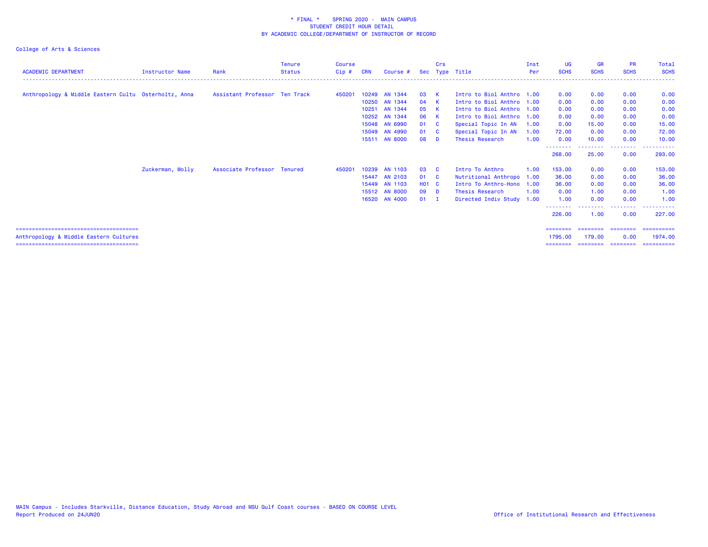| <b>ACADEMIC DEPARTMENT</b>                           | <b>Instructor Name</b> | Rank                          | <b>Tenure</b><br><b>Status</b> | <b>Course</b><br>Cip# | <b>CRN</b> | Course #      |         | Crs            | Sec Type Title            | Inst<br>Per | <b>UG</b><br><b>SCHS</b> | <b>GR</b><br><b>SCHS</b> | <b>PR</b><br><b>SCHS</b> | Total<br><b>SCHS</b>  |
|------------------------------------------------------|------------------------|-------------------------------|--------------------------------|-----------------------|------------|---------------|---------|----------------|---------------------------|-------------|--------------------------|--------------------------|--------------------------|-----------------------|
|                                                      |                        |                               |                                |                       |            |               |         |                |                           |             |                          |                          |                          |                       |
| Anthropology & Middle Eastern Cultu Osterholtz, Anna |                        | Assistant Professor Ten Track |                                | 450201                |            | 10249 AN 1344 | 03 K    |                | Intro to Biol Anthro 1.00 |             | 0.00                     | 0.00                     | 0.00                     | 0.00                  |
|                                                      |                        |                               |                                |                       | 10250      | AN 1344       | 04      | $\mathbf{K}$   | Intro to Biol Anthro 1.00 |             | 0.00                     | 0.00                     | 0.00                     | 0.00                  |
|                                                      |                        |                               |                                |                       | 10251      | AN 1344       | 05      | $\mathbf{K}$   | Intro to Biol Anthro 1.00 |             | 0.00                     | 0.00                     | 0.00                     | 0.00                  |
|                                                      |                        |                               |                                |                       |            | 10252 AN 1344 | 06      | <b>K</b>       | Intro to Biol Anthro 1.00 |             | 0.00                     | 0.00                     | 0.00                     | 0.00                  |
|                                                      |                        |                               |                                |                       | 15048      | AN 6990       | 01      | - C            | Special Topic In AN       | 1.00        | 0.00                     | 15.00                    | 0.00                     | 15.00                 |
|                                                      |                        |                               |                                |                       | 15049      | AN 4990       | 01      | - C            | Special Topic In AN       | 1.00        | 72.00                    | 0.00                     | 0.00                     | 72.00                 |
|                                                      |                        |                               |                                |                       |            | 15511 AN 8000 | 08      | - D            | Thesis Research           | 1.00        | 0.00                     | 10.00                    | 0.00                     | 10.00                 |
|                                                      |                        |                               |                                |                       |            |               |         |                |                           |             | 268.00                   | 25.00                    | --------<br>0.00         | 293.00                |
|                                                      | Zuckerman, Molly       | Associate Professor Tenured   |                                | 450201                |            | 10239 AN 1103 | 03      | $\mathbf{C}$   | Intro To Anthro           | 1.00        | 153.00                   | 0.00                     | 0.00                     | 153.00                |
|                                                      |                        |                               |                                |                       |            | 15447 AN 2103 | 01 C    |                | Nutritional Anthropo      | 1.00        | 36.00                    | 0.00                     | 0.00                     | 36.00                 |
|                                                      |                        |                               |                                |                       |            | 15449 AN 1103 | $H01$ C |                | Intro To Anthro-Hono 1.00 |             | 36.00                    | 0.00                     | 0.00                     | 36.00                 |
|                                                      |                        |                               |                                |                       |            | 15512 AN 8000 | $09$ D  |                | Thesis Research           | 1.00        | 0.00                     | 1.00                     | 0.00                     | 1.00                  |
|                                                      |                        |                               |                                |                       |            | 16520 AN 4000 | 01      | $\blacksquare$ | Directed Indiv Study 1.00 |             | 1.00                     | 0.00                     | 0.00                     | 1.00                  |
|                                                      |                        |                               |                                |                       |            |               |         |                |                           |             | 226.00                   | 1.00                     | --------<br>0.00         | .<br>227.00           |
|                                                      |                        |                               |                                |                       |            |               |         |                |                           |             | ========                 |                          | ========                 | ==========            |
| Anthropology & Middle Eastern Cultures               |                        |                               |                                |                       |            |               |         |                |                           |             | 1795.00                  | 179.00<br>========       | 0.00<br>---------        | 1974.00<br>========== |
|                                                      |                        |                               |                                |                       |            |               |         |                |                           |             |                          |                          |                          |                       |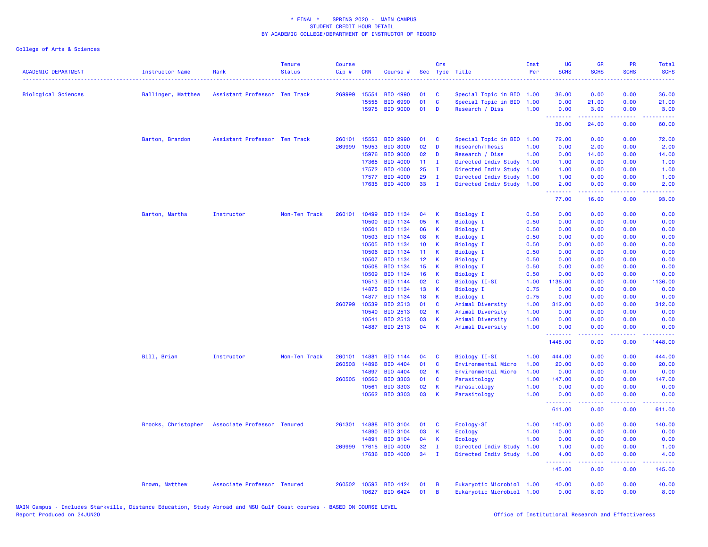| <b>ACADEMIC DEPARTMENT</b> | <b>Instructor Name</b> | Rank                                            | <b>Tenure</b><br><b>Status</b> | <b>Course</b><br>Cip# | <b>CRN</b> | Course #        | Sec             | Crs          | Type Title                | Inst<br>Per | <b>UG</b><br><b>SCHS</b> | GR<br><b>SCHS</b>                                                                                                                                            | PR<br><b>SCHS</b>            | Total<br><b>SCHS</b>                                                                                                              |
|----------------------------|------------------------|-------------------------------------------------|--------------------------------|-----------------------|------------|-----------------|-----------------|--------------|---------------------------|-------------|--------------------------|--------------------------------------------------------------------------------------------------------------------------------------------------------------|------------------------------|-----------------------------------------------------------------------------------------------------------------------------------|
| <b>Biological Sciences</b> | Ballinger, Matthew     | Assistant Professor Ten Track                   |                                | 269999                | 15554      | BIO 4990        | 01              | C            | Special Topic in BIO 1.00 |             | 36.00                    | 0.00                                                                                                                                                         | 0.00                         | 36.00                                                                                                                             |
|                            |                        |                                                 |                                |                       | 15555      | BIO 6990        | 01              | $\mathbf{C}$ | Special Topic in BIO      | 1.00        | 0.00                     | 21.00                                                                                                                                                        | 0.00                         | 21.00                                                                                                                             |
|                            |                        |                                                 |                                |                       |            | 15975 BIO 9000  | 01              | D            | Research / Diss           | 1.00        | 0.00<br><u>.</u>         | 3.00<br>.                                                                                                                                                    | 0.00<br>.                    | 3.00<br>.                                                                                                                         |
|                            |                        |                                                 |                                |                       |            |                 |                 |              |                           |             | 36.00                    | 24.00                                                                                                                                                        | 0.00                         | 60.00                                                                                                                             |
|                            | Barton, Brandon        | Assistant Professor Ten Track                   |                                | 260101                | 15553      | <b>BIO 2990</b> | 01              | C            | Special Topic in BIO      | 1.00        | 72.00                    | 0.00                                                                                                                                                         | 0.00                         | 72.00                                                                                                                             |
|                            |                        |                                                 |                                | 269999                | 15953      | <b>BIO 8000</b> | 02              | D            | Research/Thesis           | 1.00        | 0.00                     | 2.00                                                                                                                                                         | 0.00                         | 2.00                                                                                                                              |
|                            |                        |                                                 |                                |                       | 15976      | <b>BIO 9000</b> | 02              | D            | Research / Diss           | 1.00        | 0.00                     | 14.00                                                                                                                                                        | 0.00                         | 14.00                                                                                                                             |
|                            |                        |                                                 |                                |                       | 17365      | <b>BIO 4000</b> | 11 <sub>1</sub> | - 1          | Directed Indiv Study 1.00 |             | 1.00                     | 0.00                                                                                                                                                         | 0.00                         | 1.00                                                                                                                              |
|                            |                        |                                                 |                                |                       | 17572      | BIO 4000        | 25              | $\mathbf{I}$ | Directed Indiv Study      | 1.00        | 1.00                     | 0.00                                                                                                                                                         | 0.00                         | 1.00                                                                                                                              |
|                            |                        |                                                 |                                |                       | 17577      | BIO 4000        | 29              | $\mathbf{I}$ | Directed Indiv Study      | 1.00        | 1.00                     | 0.00                                                                                                                                                         | 0.00                         | 1.00                                                                                                                              |
|                            |                        |                                                 |                                |                       |            | 17635 BIO 4000  | 33              | $\mathbf{I}$ | Directed Indiv Study 1.00 |             | 2.00<br>.                | 0.00<br>$\frac{1}{2} \left( \frac{1}{2} \right) \left( \frac{1}{2} \right) \left( \frac{1}{2} \right) \left( \frac{1}{2} \right) \left( \frac{1}{2} \right)$ | 0.00<br>.                    | 2.00<br>$\frac{1}{2} \left( \frac{1}{2} \right) \left( \frac{1}{2} \right) \left( \frac{1}{2} \right) \left( \frac{1}{2} \right)$ |
|                            |                        |                                                 |                                |                       |            |                 |                 |              |                           |             | 77.00                    | 16.00                                                                                                                                                        | 0.00                         | 93.00                                                                                                                             |
|                            | Barton, Martha         | Instructor                                      | Non-Ten Track                  | 260101                | 10499      | BIO 1134        | 04              | К            | <b>Biology I</b>          | 0.50        | 0.00                     | 0.00                                                                                                                                                         | 0.00                         | 0.00                                                                                                                              |
|                            |                        |                                                 |                                |                       | 10500      | BIO 1134        | 05              | K            | <b>Biology I</b>          | 0.50        | 0.00                     | 0.00                                                                                                                                                         | 0.00                         | 0.00                                                                                                                              |
|                            |                        |                                                 |                                |                       | 10501      | BIO 1134        | 06              | К            | <b>Biology I</b>          | 0.50        | 0.00                     | 0.00                                                                                                                                                         | 0.00                         | 0.00                                                                                                                              |
|                            |                        |                                                 |                                |                       | 10503      | BIO 1134        | 08              | К            | <b>Biology I</b>          | 0.50        | 0.00                     | 0.00                                                                                                                                                         | 0.00                         | 0.00                                                                                                                              |
|                            |                        |                                                 |                                |                       | 10505      | BIO 1134        | 10 <sup>°</sup> | К            | <b>Biology I</b>          | 0.50        | 0.00                     | 0.00                                                                                                                                                         | 0.00                         | 0.00                                                                                                                              |
|                            |                        |                                                 |                                |                       | 10506      | BIO 1134        | 11              | К            | <b>Biology I</b>          | 0.50        | 0.00                     | 0.00                                                                                                                                                         | 0.00                         | 0.00                                                                                                                              |
|                            |                        |                                                 |                                |                       | 10507      | BIO 1134        | 12 <sub>2</sub> | К            | <b>Biology I</b>          | 0.50        | 0.00                     | 0.00                                                                                                                                                         | 0.00                         | 0.00                                                                                                                              |
|                            |                        |                                                 |                                |                       | 10508      | BIO 1134        | 15              | K            | <b>Biology I</b>          | 0.50        | 0.00                     | 0.00                                                                                                                                                         | 0.00                         | 0.00                                                                                                                              |
|                            |                        |                                                 |                                |                       | 10509      | BIO 1134        | 16              | К            | <b>Biology I</b>          | 0.50        | 0.00                     | 0.00                                                                                                                                                         | 0.00                         | 0.00                                                                                                                              |
|                            |                        |                                                 |                                |                       | 10513      | BIO 1144        | 02              | C            | <b>Biology II-SI</b>      | 1.00        | 1136.00                  | 0.00                                                                                                                                                         | 0.00                         | 1136.00                                                                                                                           |
|                            |                        |                                                 |                                |                       | 14875      | BIO 1134        | 13              | К            | Biology I                 | 0.75        | 0.00                     | 0.00                                                                                                                                                         | 0.00                         | 0.00                                                                                                                              |
|                            |                        |                                                 |                                |                       | 14877      | BIO 1134        | 18              | К            | <b>Biology I</b>          | 0.75        | 0.00                     | 0.00                                                                                                                                                         | 0.00                         | 0.00                                                                                                                              |
|                            |                        |                                                 |                                | 260799                | 10539      | BIO 2513        | 01              | C            | Animal Diversity          | 1.00        | 312.00                   | 0.00                                                                                                                                                         | 0.00                         | 312.00                                                                                                                            |
|                            |                        |                                                 |                                |                       | 10540      | BIO 2513        | 02              | К            | Animal Diversity          | 1.00        | 0.00                     | 0.00                                                                                                                                                         | 0.00                         | 0.00                                                                                                                              |
|                            |                        |                                                 |                                |                       | 10541      | BIO 2513        | 03              | К            | Animal Diversity          | 1.00        | 0.00                     | 0.00                                                                                                                                                         | 0.00                         | 0.00                                                                                                                              |
|                            |                        |                                                 |                                |                       | 14887      | BIO 2513        | 04              | $\mathsf K$  | Animal Diversity          | 1.00        | 0.00<br>.                | 0.00<br>.                                                                                                                                                    | 0.00<br>.                    | 0.00<br>الماما مامان                                                                                                              |
|                            |                        |                                                 |                                |                       |            |                 |                 |              |                           |             | 1448.00                  | 0.00                                                                                                                                                         | 0.00                         | 1448.00                                                                                                                           |
|                            | Bill, Brian            | Instructor                                      | Non-Ten Track                  | 260101                | 14881      | BIO 1144        | 04              | C            | Biology II-SI             | 1.00        | 444.00                   | 0.00                                                                                                                                                         | 0.00                         | 444.00                                                                                                                            |
|                            |                        |                                                 |                                | 260503                | 14896      | BIO 4404        | 01              | C            | Environmental Micro       | 1.00        | 20.00                    | 0.00                                                                                                                                                         | 0.00                         | 20.00                                                                                                                             |
|                            |                        |                                                 |                                |                       | 14897      | BIO 4404        | 02              | К            | Environmental Micro       | 1.00        | 0.00                     | 0.00                                                                                                                                                         | 0.00                         | 0.00                                                                                                                              |
|                            |                        |                                                 |                                | 260505                | 10560      | <b>BIO 3303</b> | 01              | $\mathbf{C}$ | Parasitology              | 1.00        | 147.00                   | 0.00                                                                                                                                                         | 0.00                         | 147.00                                                                                                                            |
|                            |                        |                                                 |                                |                       | 10561      | <b>BIO 3303</b> | 02              | К            | Parasitology              | 1.00        | 0.00                     | 0.00                                                                                                                                                         | 0.00                         | 0.00                                                                                                                              |
|                            |                        |                                                 |                                |                       |            | 10562 BIO 3303  | 03              | К            | Parasitology              | 1.00        | 0.00                     | 0.00                                                                                                                                                         | 0.00                         | 0.00                                                                                                                              |
|                            |                        |                                                 |                                |                       |            |                 |                 |              |                           |             | 611.00                   | 0.00                                                                                                                                                         | $\sim$ $\sim$ $\sim$<br>0.00 | 611.00                                                                                                                            |
|                            |                        | Brooks, Christopher Associate Professor Tenured |                                | 261301                | 14888      | <b>BIO 3104</b> | 01              | C            | Ecology-SI                | 1.00        | 140.00                   | 0.00                                                                                                                                                         | 0.00                         | 140.00                                                                                                                            |
|                            |                        |                                                 |                                |                       | 14890      | <b>BIO 3104</b> | 03              | K            | Ecology                   | 1.00        | 0.00                     | 0.00                                                                                                                                                         | 0.00                         | 0.00                                                                                                                              |
|                            |                        |                                                 |                                |                       | 14891      | <b>BIO 3104</b> | 04              | К            | Ecology                   | 1.00        | 0.00                     | 0.00                                                                                                                                                         | 0.00                         | 0.00                                                                                                                              |
|                            |                        |                                                 |                                | 269999                | 17615      | BIO 4000        | 32              | T            | Directed Indiv Study      | 1.00        | 1.00                     | 0.00                                                                                                                                                         | 0.00                         | 1.00                                                                                                                              |
|                            |                        |                                                 |                                |                       | 17636      | <b>BIO 4000</b> | 34              | T            | Directed Indiv Study      | 1.00        | 4.00                     | 0.00                                                                                                                                                         | 0.00                         | 4.00                                                                                                                              |
|                            |                        |                                                 |                                |                       |            |                 |                 |              |                           |             | .<br>145.00              | 22222<br>0.00                                                                                                                                                | د د د د .<br>0.00            | 22222<br>145.00                                                                                                                   |
|                            | Brown, Matthew         | Associate Professor Tenured                     |                                | 260502                | 10593      | BIO 4424        | 01              | В            | Eukaryotic Microbiol 1.00 |             | 40.00                    | 0.00                                                                                                                                                         | 0.00                         | 40.00                                                                                                                             |
|                            |                        |                                                 |                                |                       |            | 10627 BIO 6424  | 01              | B            | Eukaryotic Microbiol 1.00 |             | 0.00                     | 8.00                                                                                                                                                         | 0.00                         | 8.00                                                                                                                              |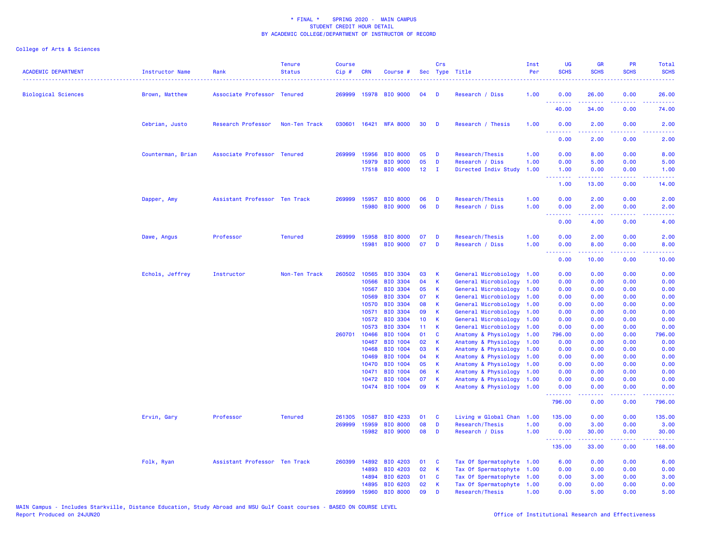| <b>ACADEMIC DEPARTMENT</b> | <b>Instructor Name</b> | Rank                          | <b>Tenure</b><br><b>Status</b> | <b>Course</b><br>Cip# | CRN                   | Course #                    |                 | Crs          | Sec Type Title                               | Inst<br>Per  | UG<br><b>SCHS</b> | <b>GR</b><br><b>SCHS</b>                                                                                                                                     | PR<br><b>SCHS</b>                                                                                                                 | <b>Total</b><br><b>SCHS</b>                                                                                                       |
|----------------------------|------------------------|-------------------------------|--------------------------------|-----------------------|-----------------------|-----------------------------|-----------------|--------------|----------------------------------------------|--------------|-------------------|--------------------------------------------------------------------------------------------------------------------------------------------------------------|-----------------------------------------------------------------------------------------------------------------------------------|-----------------------------------------------------------------------------------------------------------------------------------|
| <b>Biological Sciences</b> | Brown, Matthew         | Associate Professor Tenured   |                                | 269999                |                       | 15978 BIO 9000              | 04              | D            | Research / Diss                              | 1.00         | 0.00<br>.         | 26.00                                                                                                                                                        | 0.00                                                                                                                              | 26.00                                                                                                                             |
|                            |                        |                               |                                |                       |                       |                             |                 |              |                                              |              | 40.00             | د د د د د<br>34.00                                                                                                                                           | 0.00                                                                                                                              | 74.00                                                                                                                             |
|                            | Cebrian, Justo         | Research Professor            | Non-Ten Track                  |                       |                       | 030601 16421 WFA 8000       | 30              | D            | Research / Thesis                            | 1.00         | 0.00<br>.         | 2.00<br><u>.</u>                                                                                                                                             | 0.00<br>$\frac{1}{2} \left( \frac{1}{2} \right) \left( \frac{1}{2} \right) \left( \frac{1}{2} \right) \left( \frac{1}{2} \right)$ | 2.00                                                                                                                              |
|                            |                        |                               |                                |                       |                       |                             |                 |              |                                              |              | 0.00              | 2.00                                                                                                                                                         | 0.00                                                                                                                              | 2.00                                                                                                                              |
|                            | Counterman, Brian      | Associate Professor Tenured   |                                | 269999                | 15956                 | <b>BIO 8000</b>             | 05              | D            | Research/Thesis                              | 1.00         | 0.00              | 8.00                                                                                                                                                         | 0.00                                                                                                                              | 8.00                                                                                                                              |
|                            |                        |                               |                                |                       | 15979                 | <b>BIO 9000</b>             | 05              | D            | Research / Diss                              | 1.00         | 0.00              | 5.00                                                                                                                                                         | 0.00                                                                                                                              | 5.00                                                                                                                              |
|                            |                        |                               |                                |                       | 17518                 | BIO 4000                    | 12 <sup>7</sup> | $\mathbf{I}$ | Directed Indiv Study                         | 1.00         | 1.00              | 0.00<br>.                                                                                                                                                    | 0.00<br>.                                                                                                                         | 1.00                                                                                                                              |
|                            |                        |                               |                                |                       |                       |                             |                 |              |                                              |              | .<br>1.00         | 13.00                                                                                                                                                        | 0.00                                                                                                                              | 14.00                                                                                                                             |
|                            | Dapper, Amy            | Assistant Professor Ten Track |                                | 269999                | 15957                 | <b>BIO 8000</b>             | 06              | D            | Research/Thesis                              | 1.00         | 0.00              | 2.00                                                                                                                                                         | 0.00                                                                                                                              | 2.00                                                                                                                              |
|                            |                        |                               |                                |                       | 15980                 | <b>BIO 9000</b>             | 06              | D            | Research / Diss                              | 1.00         | 0.00              | 2.00                                                                                                                                                         | 0.00                                                                                                                              | 2.00                                                                                                                              |
|                            |                        |                               |                                |                       |                       |                             |                 |              |                                              |              | .<br>0.00         | $\frac{1}{2} \left( \frac{1}{2} \right) \left( \frac{1}{2} \right) \left( \frac{1}{2} \right) \left( \frac{1}{2} \right) \left( \frac{1}{2} \right)$<br>4.00 | .<br>0.00                                                                                                                         | $\frac{1}{2} \left( \frac{1}{2} \right) \left( \frac{1}{2} \right) \left( \frac{1}{2} \right) \left( \frac{1}{2} \right)$<br>4.00 |
|                            | Dawe, Angus            | Professor                     | <b>Tenured</b>                 | 269999                | 15958                 | <b>BIO 8000</b>             | 07              | D            | Research/Thesis                              | 1.00         | 0.00              | 2.00                                                                                                                                                         | 0.00                                                                                                                              | 2.00                                                                                                                              |
|                            |                        |                               |                                |                       | 15981                 | <b>BIO 9000</b>             | 07              | D            | Research / Diss                              | 1.00         | 0.00              | 8.00                                                                                                                                                         | 0.00                                                                                                                              | 8.00                                                                                                                              |
|                            |                        |                               |                                |                       |                       |                             |                 |              |                                              |              | .<br>0.00         | 10.00                                                                                                                                                        | 0.00                                                                                                                              | 10.00                                                                                                                             |
|                            | Echols, Jeffrey        | Instructor                    | Non-Ten Track                  | 260502                | 10565                 | <b>BIO 3304</b>             | 03              | К            | General Microbiology                         | 1.00         | 0.00              | 0.00                                                                                                                                                         | 0.00                                                                                                                              | 0.00                                                                                                                              |
|                            |                        |                               |                                |                       | 10566                 | <b>BIO 3304</b>             | 04              | К            | General Microbiology                         | 1.00         | 0.00              | 0.00                                                                                                                                                         | 0.00                                                                                                                              | 0.00                                                                                                                              |
|                            |                        |                               |                                |                       | 10567                 | <b>BIO 3304</b>             | 05              | К            | General Microbiology                         | 1.00         | 0.00              | 0.00                                                                                                                                                         | 0.00                                                                                                                              | 0.00                                                                                                                              |
|                            |                        |                               |                                |                       | 10569                 | <b>BIO 3304</b>             | 07              | К            | General Microbiology                         | 1.00         | 0.00              | 0.00                                                                                                                                                         | 0.00                                                                                                                              | 0.00                                                                                                                              |
|                            |                        |                               |                                |                       | 10570                 | <b>BIO 3304</b>             | 08              | K            | General Microbiology                         | 1.00         | 0.00              | 0.00                                                                                                                                                         | 0.00                                                                                                                              | 0.00                                                                                                                              |
|                            |                        |                               |                                |                       | 10571                 | <b>BIO 3304</b>             | 09              | К            | General Microbiology                         | 1.00         | 0.00              | 0.00                                                                                                                                                         | 0.00                                                                                                                              | 0.00                                                                                                                              |
|                            |                        |                               |                                |                       | 10572                 | <b>BIO 3304</b>             | 10<br>11        | К<br>K       | General Microbiology                         | 1.00         | 0.00              | 0.00                                                                                                                                                         | 0.00                                                                                                                              | 0.00                                                                                                                              |
|                            |                        |                               |                                |                       | 10573<br>260701 10466 | <b>BIO 3304</b><br>BIO 1004 | 01              | C            | General Microbiology<br>Anatomy & Physiology | 1.00<br>1.00 | 0.00<br>796.00    | 0.00<br>0.00                                                                                                                                                 | 0.00<br>0.00                                                                                                                      | 0.00<br>796.00                                                                                                                    |
|                            |                        |                               |                                |                       | 10467                 | <b>BIO 1004</b>             | 02              | K            | Anatomy & Physiology                         | 1.00         | 0.00              | 0.00                                                                                                                                                         | 0.00                                                                                                                              | 0.00                                                                                                                              |
|                            |                        |                               |                                |                       | 10468                 | BIO 1004                    | 03              | К            | Anatomy & Physiology                         | 1.00         | 0.00              | 0.00                                                                                                                                                         | 0.00                                                                                                                              | 0.00                                                                                                                              |
|                            |                        |                               |                                |                       | 10469                 | BIO 1004                    | 04              | К            | Anatomy & Physiology                         | 1.00         | 0.00              | 0.00                                                                                                                                                         | 0.00                                                                                                                              | 0.00                                                                                                                              |
|                            |                        |                               |                                |                       | 10470                 | <b>BIO 1004</b>             | 05              | К            | Anatomy & Physiology                         | 1.00         | 0.00              | 0.00                                                                                                                                                         | 0.00                                                                                                                              | 0.00                                                                                                                              |
|                            |                        |                               |                                |                       | 10471                 | <b>BIO 1004</b>             | 06              | K            | Anatomy & Physiology                         | 1.00         | 0.00              | 0.00                                                                                                                                                         | 0.00                                                                                                                              | 0.00                                                                                                                              |
|                            |                        |                               |                                |                       | 10472                 | <b>BIO 1004</b>             | 07              | K            | Anatomy & Physiology                         | 1.00         | 0.00              | 0.00                                                                                                                                                         | 0.00                                                                                                                              | 0.00                                                                                                                              |
|                            |                        |                               |                                |                       |                       | 10474 BIO 1004              | 09              | К            | Anatomy & Physiology                         | 1.00         | 0.00<br>.         | 0.00                                                                                                                                                         | 0.00<br>والمحامر                                                                                                                  | 0.00                                                                                                                              |
|                            |                        |                               |                                |                       |                       |                             |                 |              |                                              |              | 796.00            | 0.00                                                                                                                                                         | 0.00                                                                                                                              | 796.00                                                                                                                            |
|                            | Ervin, Gary            | Professor                     | <b>Tenured</b>                 | 261305                | 10587                 | BIO 4233                    | 01              | C            | Living w Global Chan 1.00                    |              | 135.00            | 0.00                                                                                                                                                         | 0.00                                                                                                                              | 135.00                                                                                                                            |
|                            |                        |                               |                                | 269999                | 15959                 | <b>BIO 8000</b>             | 08              | D            | Research/Thesis                              | 1.00         | 0.00              | 3.00                                                                                                                                                         | 0.00                                                                                                                              | 3.00                                                                                                                              |
|                            |                        |                               |                                |                       | 15982                 | <b>BIO 9000</b>             | 08              | D            | Research / Diss                              | 1.00         | 0.00<br>.         | 30.00                                                                                                                                                        | 0.00                                                                                                                              | 30.00<br>.                                                                                                                        |
|                            |                        |                               |                                |                       |                       |                             |                 |              |                                              |              | 135.00            | 33.00                                                                                                                                                        | 0.00                                                                                                                              | 168.00                                                                                                                            |
|                            | Folk, Ryan             | Assistant Professor Ten Track |                                |                       | 260399 14892          | BIO 4203                    | 01              | C            | Tax Of Spermatophyte 1.00                    |              | 6.00              | 0.00                                                                                                                                                         | 0.00                                                                                                                              | 6.00                                                                                                                              |
|                            |                        |                               |                                |                       | 14893                 | BIO 4203                    | 02              | K            | Tax Of Spermatophyte 1.00                    |              | 0.00              | 0.00                                                                                                                                                         | 0.00                                                                                                                              | 0.00                                                                                                                              |
|                            |                        |                               |                                |                       | 14894                 | BIO 6203                    | 01              | C            | Tax Of Spermatophyte 1.00                    |              | 0.00              | 3.00                                                                                                                                                         | 0.00                                                                                                                              | 3.00                                                                                                                              |
|                            |                        |                               |                                |                       | 14895                 | BIO 6203                    | 02              | K            | Tax Of Spermatophyte 1.00                    |              | 0.00              | 0.00                                                                                                                                                         | 0.00                                                                                                                              | 0.00                                                                                                                              |
|                            |                        |                               |                                | 269999                | 15960                 | <b>BIO 8000</b>             | 09              | D            | Research/Thesis                              | 1.00         | 0.00              | 5.00                                                                                                                                                         | 0.00                                                                                                                              | 5.00                                                                                                                              |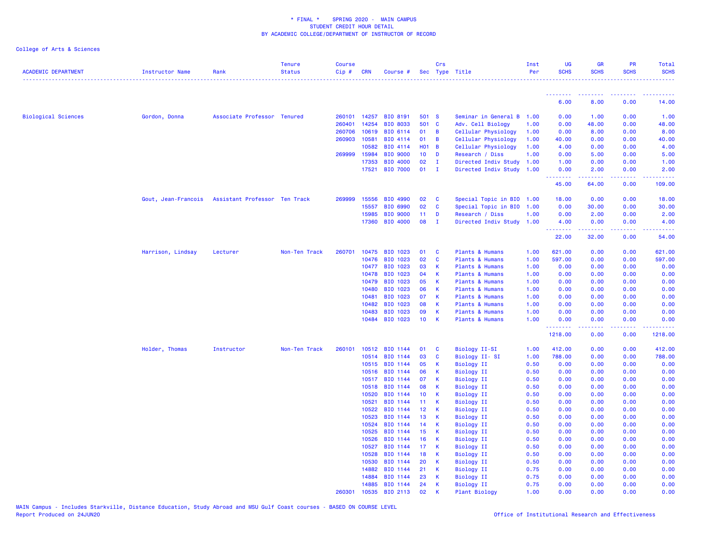| <b>ACADEMIC DEPARTMENT</b> | Instructor Name     | Rank                          | <b>Tenure</b><br><b>Status</b> | <b>Course</b><br>$Cip$ # | <b>CRN</b>     | Course #             |                 | Crs            | Sec Type Title                  | Inst<br>Per  | <b>UG</b><br><b>SCHS</b> | <b>GR</b><br><b>SCHS</b> | <b>PR</b><br><b>SCHS</b> | Total<br><b>SCHS</b> |
|----------------------------|---------------------|-------------------------------|--------------------------------|--------------------------|----------------|----------------------|-----------------|----------------|---------------------------------|--------------|--------------------------|--------------------------|--------------------------|----------------------|
|                            |                     |                               |                                |                          |                |                      |                 |                |                                 |              |                          |                          |                          |                      |
|                            |                     |                               |                                |                          |                |                      |                 |                |                                 |              | .<br>6.00                | <b>.</b> .<br>8.00       | 0.00                     | 14.00                |
| <b>Biological Sciences</b> | Gordon, Donna       | Associate Professor Tenured   |                                |                          | 260101 14257   | <b>BIO 8191</b>      | 501 S           |                | Seminar in General B 1.00       |              | 0.00                     | 1.00                     | 0.00                     | 1.00                 |
|                            |                     |                               |                                | 260401                   | 14254          | <b>BIO 8033</b>      | 501 C           |                | Adv. Cell Biology               | 1.00         | 0.00                     | 48.00                    | 0.00                     | 48.00                |
|                            |                     |                               |                                | 260706                   | 10619          | BIO 6114             | 01              | $\blacksquare$ | Cellular Physiology             | 1.00         | 0.00                     | 8.00                     | 0.00                     | 8.00                 |
|                            |                     |                               |                                | 260903                   | 10581          | BIO 4114             | 01              | $\overline{B}$ | Cellular Physiology             | 1.00         | 40.00                    | 0.00                     | 0.00                     | 40.00                |
|                            |                     |                               |                                |                          | 10582          | BIO 4114             | <b>HO1 B</b>    |                | Cellular Physiology             | 1.00         | 4.00                     | 0.00                     | 0.00                     | 4.00                 |
|                            |                     |                               |                                | 269999 15984             |                | <b>BIO 9000</b>      | 10 <sub>1</sub> | $\mathbf{D}$   | Research / Diss                 | 1.00         | 0.00                     | 5.00                     | 0.00                     | 5.00                 |
|                            |                     |                               |                                |                          | 17353          | <b>BIO 4000</b>      | 02              | $\mathbf{I}$   | Directed Indiv Study            | 1.00         | 1.00                     | 0.00                     | 0.00                     | 1.00                 |
|                            |                     |                               |                                |                          | 17521          | <b>BIO 7000</b>      | 01              | $\mathbf I$    | Directed Indiv Study 1.00       |              | 0.00<br>.                | 2.00<br>.                | 0.00<br>.                | 2.00                 |
|                            |                     |                               |                                |                          |                |                      |                 |                |                                 |              | 45.00                    | 64.00                    | 0.00                     | 109.00               |
|                            | Gout, Jean-Francois | Assistant Professor Ten Track |                                | 269999                   | 15556          | BIO 4990             | 02              | <b>C</b>       | Special Topic in BIO 1.00       |              | 18.00                    | 0.00                     | 0.00                     | 18.00                |
|                            |                     |                               |                                |                          | 15557          | BIO 6990             | 02              | $\mathbf{C}$   | Special Topic in BIO 1.00       |              | 0.00                     | 30.00                    | 0.00                     | 30.00                |
|                            |                     |                               |                                |                          | 15985          | <b>BIO 9000</b>      | 11              | D              | Research / Diss                 | 1.00         | 0.00                     | 2.00                     | 0.00                     | 2.00                 |
|                            |                     |                               |                                |                          | 17360          | BIO 4000             | 08              | - I            | Directed Indiv Study 1.00       |              | 4.00<br>.                | 0.00                     | 0.00                     | 4.00                 |
|                            |                     |                               |                                |                          |                |                      |                 |                |                                 |              | 22.00                    | 32.00                    | 0.00                     | 54.00                |
|                            | Harrison, Lindsay   | Lecturer                      | Non-Ten Track                  | 260701                   | 10475          | BIO 1023             | 01              | <b>C</b>       | Plants & Humans                 | 1.00         | 621.00                   | 0.00                     | 0.00                     | 621.00               |
|                            |                     |                               |                                |                          | 10476          | BIO 1023             | 02              | $\mathbf{C}$   | Plants & Humans                 | 1.00         | 597.00                   | 0.00                     | 0.00                     | 597.00               |
|                            |                     |                               |                                |                          | 10477          | BIO 1023             | 03              | $\mathsf{K}$   | Plants & Humans                 | 1.00         | 0.00                     | 0.00                     | 0.00                     | 0.00                 |
|                            |                     |                               |                                |                          | 10478          | BIO 1023             | 04              | K              | Plants & Humans                 | 1.00         | 0.00                     | 0.00                     | 0.00                     | 0.00                 |
|                            |                     |                               |                                |                          | 10479          | BIO 1023             | 05              | $\mathsf{K}$   | Plants & Humans                 | 1.00         | 0.00                     | 0.00                     | 0.00                     | 0.00                 |
|                            |                     |                               |                                |                          | 10480          | BIO 1023             | 06              | <b>K</b>       | Plants & Humans                 | 1.00         | 0.00                     | 0.00                     | 0.00                     | 0.00                 |
|                            |                     |                               |                                |                          | 10481          | BIO 1023             | 07              | - K            | Plants & Humans                 | 1.00         | 0.00                     | 0.00                     | 0.00                     | 0.00                 |
|                            |                     |                               |                                |                          | 10482          | BIO 1023             | 08              | $\mathsf{K}$   | Plants & Humans                 | 1.00         | 0.00                     | 0.00                     | 0.00                     | 0.00                 |
|                            |                     |                               |                                |                          | 10483          | BIO 1023             | 09              | $\mathsf{K}$   | Plants & Humans                 | 1.00         | 0.00                     | 0.00                     | 0.00                     | 0.00                 |
|                            |                     |                               |                                |                          | 10484          | BIO 1023             | 10              | K              | Plants & Humans                 | 1.00         | 0.00<br>.                | 0.00<br>.                | 0.00<br>.                | 0.00                 |
|                            |                     |                               |                                |                          |                |                      |                 |                |                                 |              | 1218.00                  | 0.00                     | 0.00                     | 1218.00              |
|                            | Holder, Thomas      | Instructor                    | Non-Ten Track                  | 260101                   | 10512          | BIO 1144             | 01              | <b>C</b>       | Biology II-SI                   | 1.00         | 412.00                   | 0.00                     | 0.00                     | 412.00               |
|                            |                     |                               |                                |                          | 10514          | BIO 1144             | 03              | <b>C</b>       | Biology II-SI                   | 1.00         | 788.00                   | 0.00                     | 0.00                     | 788.00               |
|                            |                     |                               |                                |                          | 10515          | BIO 1144             | 05              | $\mathsf{K}$   | <b>Biology II</b>               | 0.50         | 0.00                     | 0.00                     | 0.00                     | 0.00                 |
|                            |                     |                               |                                |                          | 10516          | BIO 1144             | 06              | K              | Biology II                      | 0.50         | 0.00                     | 0.00                     | 0.00                     | 0.00                 |
|                            |                     |                               |                                |                          | 10517          | BIO 1144             | 07              | К              | <b>Biology II</b>               | 0.50         | 0.00                     | 0.00                     | 0.00                     | 0.00                 |
|                            |                     |                               |                                |                          | 10518          | BIO 1144             | 08              | K              | <b>Biology II</b>               | 0.50         | 0.00                     | 0.00                     | 0.00                     | 0.00                 |
|                            |                     |                               |                                |                          | 10520          | BIO 1144             | 10 <sup>°</sup> | <b>K</b>       | Biology II                      | 0.50         | 0.00                     | 0.00                     | 0.00                     | 0.00                 |
|                            |                     |                               |                                |                          | 10521          | BIO 1144             | 11 <sub>1</sub> | K              | <b>Biology II</b>               | 0.50         | 0.00                     | 0.00                     | 0.00                     | 0.00                 |
|                            |                     |                               |                                |                          | 10522          | BIO 1144             | 12 <sub>2</sub> | K              | Biology II                      | 0.50         | 0.00                     | 0.00                     | 0.00                     | 0.00                 |
|                            |                     |                               |                                |                          | 10523          | BIO 1144<br>BIO 1144 | 13              | $\mathsf{K}$   | <b>Biology II</b>               | 0.50         | 0.00                     | 0.00<br>0.00             | 0.00                     | 0.00<br>0.00         |
|                            |                     |                               |                                |                          | 10524<br>10525 | <b>BIO 1144</b>      | 14<br>15        | K<br>K         | Biology II<br><b>Biology II</b> | 0.50<br>0.50 | 0.00<br>0.00             | 0.00                     | 0.00<br>0.00             | 0.00                 |
|                            |                     |                               |                                |                          | 10526          | BIO 1144             | 16              | K              | <b>Biology II</b>               | 0.50         | 0.00                     | 0.00                     | 0.00                     | 0.00                 |
|                            |                     |                               |                                |                          | 10527          | BIO 1144             | 17              | <b>K</b>       | Biology II                      | 0.50         | 0.00                     | 0.00                     | 0.00                     | 0.00                 |
|                            |                     |                               |                                |                          | 10528          | BIO 1144             | 18              | $\mathsf{K}$   | <b>Biology II</b>               | 0.50         | 0.00                     | 0.00                     | 0.00                     | 0.00                 |
|                            |                     |                               |                                |                          | 10530          | BIO 1144             | 20              | K              | Biology II                      | 0.50         | 0.00                     | 0.00                     | 0.00                     | 0.00                 |
|                            |                     |                               |                                |                          | 14882          | BIO 1144             | 21              | K              | <b>Biology II</b>               | 0.75         | 0.00                     | 0.00                     | 0.00                     | 0.00                 |
|                            |                     |                               |                                |                          | 14884          | BIO 1144             | 23              | K              | <b>Biology II</b>               | 0.75         | 0.00                     | 0.00                     | 0.00                     | 0.00                 |
|                            |                     |                               |                                |                          | 14885          | BIO 1144             | 24              | K              | <b>Biology II</b>               | 0.75         | 0.00                     | 0.00                     | 0.00                     | 0.00                 |
|                            |                     |                               |                                | 260301                   | 10535          | BIO 2113             | 02              | K              | <b>Plant Biology</b>            | 1.00         | 0.00                     | 0.00                     | 0.00                     | 0.00                 |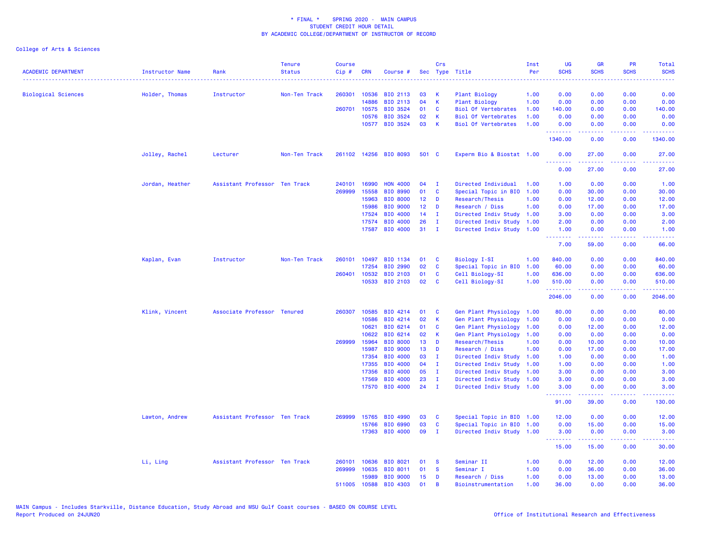| <b>ACADEMIC DEPARTMENT</b> | <b>Instructor Name</b> | Rank                          | <b>Tenure</b><br><b>Status</b> | <b>Course</b><br>Cip# | <b>CRN</b>     | Course #                    |                 | Crs                          | Sec Type Title                                    | Inst<br>Per  | <b>UG</b><br><b>SCHS</b> | <b>GR</b><br><b>SCHS</b>                                                                                                          | <b>PR</b><br><b>SCHS</b> | Total<br><b>SCHS</b> |
|----------------------------|------------------------|-------------------------------|--------------------------------|-----------------------|----------------|-----------------------------|-----------------|------------------------------|---------------------------------------------------|--------------|--------------------------|-----------------------------------------------------------------------------------------------------------------------------------|--------------------------|----------------------|
|                            |                        |                               |                                | 260301                | 10536          |                             | 03              |                              | <b>Plant Biology</b>                              |              | 0.00                     | 0.00                                                                                                                              | 0.00                     | 0.00                 |
| <b>Biological Sciences</b> | Holder, Thomas         | Instructor                    | Non-Ten Track                  |                       | 14886          | BIO 2113<br>BIO 2113        | 04              | K<br>K                       | <b>Plant Biology</b>                              | 1.00<br>1.00 | 0.00                     | 0.00                                                                                                                              | 0.00                     | 0.00                 |
|                            |                        |                               |                                | 260701                | 10575          | BIO 3524                    | 01              | C                            | Biol Of Vertebrates                               | 1.00         | 140.00                   | 0.00                                                                                                                              | 0.00                     | 140.00               |
|                            |                        |                               |                                |                       | 10576          | BIO 3524                    | 02              | К                            | <b>Biol Of Vertebrates</b>                        | 1.00         | 0.00                     | 0.00                                                                                                                              | 0.00                     | 0.00                 |
|                            |                        |                               |                                |                       |                | 10577 BIO 3524              | 03              | K                            | <b>Biol Of Vertebrates</b>                        | 1.00         | 0.00<br>.                | 0.00<br>22222                                                                                                                     | 0.00<br>.                | 0.00                 |
|                            |                        |                               |                                |                       |                |                             |                 |                              |                                                   |              | 1340.00                  | 0.00                                                                                                                              | 0.00                     | 1340.00              |
|                            | Jolley, Rachel         | Lecturer                      | Non-Ten Track                  |                       |                | 261102 14256 BIO 8093       | 501 C           |                              | Experm Bio & Biostat 1.00                         |              | 0.00<br>.                | 27.00<br>.                                                                                                                        | 0.00<br>.                | 27.00<br>.           |
|                            |                        |                               |                                |                       |                |                             |                 |                              |                                                   |              | 0.00                     | 27.00                                                                                                                             | 0.00                     | 27.00                |
|                            | Jordan, Heather        | Assistant Professor Ten Track |                                | 240101                | 16990          | <b>HON 4000</b>             | 04              | $\mathbf{I}$                 | Directed Individual                               | 1.00         | 1.00                     | 0.00                                                                                                                              | 0.00                     | 1.00                 |
|                            |                        |                               |                                | 269999                | 15558          | BIO 8990                    | 01              | C                            | Special Topic in BIO                              | 1.00         | 0.00                     | 30.00                                                                                                                             | 0.00                     | 30.00                |
|                            |                        |                               |                                |                       | 15963          | <b>BIO 8000</b>             | 12 <sub>1</sub> | D                            | Research/Thesis                                   | 1.00         | 0.00                     | 12.00                                                                                                                             | 0.00                     | 12.00                |
|                            |                        |                               |                                |                       | 15986          | <b>BIO 9000</b>             | 12 <sub>1</sub> | D                            | Research / Diss                                   | 1.00         | 0.00                     | 17.00                                                                                                                             | 0.00                     | 17.00                |
|                            |                        |                               |                                |                       | 17524          | BIO 4000                    | 14              | п.                           | Directed Indiv Study 1.00                         |              | 3.00                     | 0.00                                                                                                                              | 0.00                     | 3.00                 |
|                            |                        |                               |                                |                       | 17574          | BIO 4000                    | 26              | $\mathbf{I}$                 | Directed Indiv Study                              | 1.00         | 2.00                     | 0.00                                                                                                                              | 0.00                     | 2.00                 |
|                            |                        |                               |                                |                       | 17587          | BIO 4000                    | 31              | $\mathbf I$                  | Directed Indiv Study 1.00                         |              | 1.00<br>.                | 0.00<br>$\frac{1}{2} \left( \frac{1}{2} \right) \left( \frac{1}{2} \right) \left( \frac{1}{2} \right) \left( \frac{1}{2} \right)$ | 0.00<br>د د د د          | 1.00<br>المتمام      |
|                            |                        |                               |                                |                       |                |                             |                 |                              |                                                   |              | 7.00                     | 59.00                                                                                                                             | 0.00                     | 66.00                |
|                            | Kaplan, Evan           | Instructor                    | Non-Ten Track                  | 260101                | 10497          | BIO 1134                    | 01              | C                            | Biology I-SI                                      | 1.00         | 840.00                   | 0.00                                                                                                                              | 0.00                     | 840.00               |
|                            |                        |                               |                                |                       | 17254          | BIO 2990                    | 02              | C                            | Special Topic in BIO                              | 1.00         | 60.00                    | 0.00                                                                                                                              | 0.00                     | 60.00                |
|                            |                        |                               |                                |                       | 260401 10532   | BIO 2103                    | 01              | <b>C</b>                     | Cell Biology-SI                                   | 1.00         | 636.00                   | 0.00                                                                                                                              | 0.00                     | 636.00               |
|                            |                        |                               |                                |                       | 10533          | BIO 2103                    | 02              | C                            | Cell Biology-SI                                   | 1.00         | 510.00<br>.              | 0.00<br>22222                                                                                                                     | 0.00<br>بالمحامي         | 510.00<br>.          |
|                            |                        |                               |                                |                       |                |                             |                 |                              |                                                   |              | 2046.00                  | 0.00                                                                                                                              | 0.00                     | 2046.00              |
|                            | Klink, Vincent         | Associate Professor Tenured   |                                | 260307                | 10585          | BIO 4214                    | 01              | C                            | Gen Plant Physiology                              | 1.00         | 80.00                    | 0.00                                                                                                                              | 0.00                     | 80.00                |
|                            |                        |                               |                                |                       | 10586          | BIO 4214                    | 02              | K                            | Gen Plant Physiology                              | 1.00         | 0.00                     | 0.00                                                                                                                              | 0.00                     | 0.00                 |
|                            |                        |                               |                                |                       | 10621          | BIO 6214                    | 01              | C                            | Gen Plant Physiology                              | 1.00         | 0.00                     | 12.00                                                                                                                             | 0.00                     | 12.00                |
|                            |                        |                               |                                |                       | 10622          | BIO 6214                    | 02              | К                            | Gen Plant Physiology                              | 1.00         | 0.00                     | 0.00                                                                                                                              | 0.00                     | 0.00                 |
|                            |                        |                               |                                |                       | 269999 15964   | <b>BIO 8000</b>             | 13              | D                            | Research/Thesis                                   | 1.00         | 0.00                     | 10.00                                                                                                                             | 0.00                     | 10.00                |
|                            |                        |                               |                                |                       | 15987          | <b>BIO 9000</b>             | 13 <sub>1</sub> | D                            | Research / Diss                                   | 1.00         | 0.00                     | 17.00                                                                                                                             | 0.00                     | 17.00                |
|                            |                        |                               |                                |                       | 17354          | BIO 4000                    | 03              | п.                           | Directed Indiv Study                              | 1.00         | 1.00                     | 0.00                                                                                                                              | 0.00                     | 1.00                 |
|                            |                        |                               |                                |                       | 17355<br>17356 | <b>BIO 4000</b><br>BIO 4000 | 04<br>05        | $\mathbf{I}$<br>$\mathbf{I}$ | Directed Indiv Study                              | 1.00         | 1.00<br>3.00             | 0.00<br>0.00                                                                                                                      | 0.00<br>0.00             | 1.00                 |
|                            |                        |                               |                                |                       |                |                             |                 |                              | Directed Indiv Study 1.00                         |              |                          |                                                                                                                                   |                          | 3.00                 |
|                            |                        |                               |                                |                       | 17569<br>17570 | BIO 4000<br><b>BIO 4000</b> | 23<br>24        | Ι.<br>$\mathbf{I}$           | Directed Indiv Study<br>Directed Indiv Study 1.00 | 1.00         | 3.00<br>3.00             | 0.00<br>0.00                                                                                                                      | 0.00<br>0.00             | 3.00<br>3.00         |
|                            |                        |                               |                                |                       |                |                             |                 |                              |                                                   |              | .<br>91.00               | بالأباليات<br>39.00                                                                                                               | وبالأباد<br>0.00         | المستمال<br>130.00   |
|                            | Lawton, Andrew         | Assistant Professor Ten Track |                                | 269999                | 15765          | BIO 4990                    | 03              | C                            | Special Topic in BIO 1.00                         |              | 12.00                    | 0.00                                                                                                                              | 0.00                     | 12.00                |
|                            |                        |                               |                                |                       | 15766          | <b>BIO 6990</b>             | 03              | C                            | Special Topic in BIO                              | 1.00         | 0.00                     | 15.00                                                                                                                             | 0.00                     | 15.00                |
|                            |                        |                               |                                |                       | 17363          | BIO 4000                    | 09              | $\mathbf{I}$                 | Directed Indiv Study 1.00                         |              | 3.00                     | 0.00                                                                                                                              | 0.00                     | 3.00                 |
|                            |                        |                               |                                |                       |                |                             |                 |                              |                                                   |              | .<br>15.00               | .<br>15.00                                                                                                                        | .<br>0.00                | .<br>30.00           |
|                            | Li, Ling               | Assistant Professor Ten Track |                                | 260101                | 10636          | <b>BIO 8021</b>             | 01              | <b>S</b>                     | Seminar II                                        | 1.00         | 0.00                     | 12.00                                                                                                                             | 0.00                     | 12.00                |
|                            |                        |                               |                                | 269999                | 10635          | BIO 8011                    | 01              | <b>S</b>                     | Seminar I                                         | 1.00         | 0.00                     | 36.00                                                                                                                             | 0.00                     | 36.00                |
|                            |                        |                               |                                |                       | 15989          | <b>BIO 9000</b>             | 15              | D                            | Research / Diss                                   | 1.00         | 0.00                     | 13.00                                                                                                                             | 0.00                     | 13.00                |
|                            |                        |                               |                                |                       | 511005 10588   | BIO 4303                    | 01              | B                            | Bioinstrumentation                                | 1.00         | 36.00                    | 0.00                                                                                                                              | 0.00                     | 36.00                |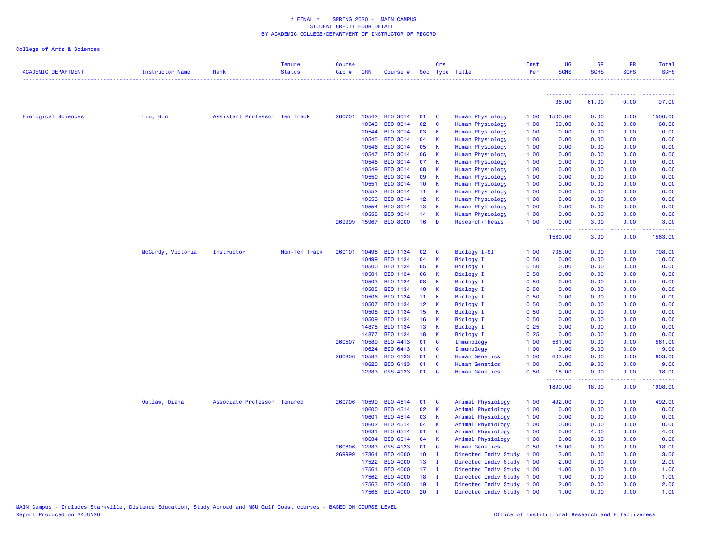| <b>ACADEMIC DEPARTMENT</b> | Instructor Name   | Rank                          | <b>Tenure</b><br><b>Status</b> | <b>Course</b><br>Cip# | <b>CRN</b>     | Course #             |                 | Crs               | Sec Type Title                      | Inst<br>Per  | UG<br><b>SCHS</b> | GR<br><b>SCHS</b> | <b>PR</b><br><b>SCHS</b> | Total<br><b>SCHS</b> |
|----------------------------|-------------------|-------------------------------|--------------------------------|-----------------------|----------------|----------------------|-----------------|-------------------|-------------------------------------|--------------|-------------------|-------------------|--------------------------|----------------------|
|                            |                   |                               |                                |                       |                |                      |                 |                   |                                     |              |                   |                   |                          |                      |
|                            |                   |                               |                                |                       |                |                      |                 |                   |                                     |              | <u>.</u><br>36.00 | 61.00             | 0.00                     | 97.00                |
| <b>Biological Sciences</b> | Liu, Bin          | Assistant Professor Ten Track |                                |                       | 260701 10542   | <b>BIO 3014</b>      | 01              | C                 | Human Physiology                    | 1.00         | 1500.00           | 0.00              | 0.00                     | 1500.00              |
|                            |                   |                               |                                |                       | 10543          | BIO 3014             | 02              | $\mathbf{C}$      | Human Physiology                    | 1.00         | 60.00             | 0.00              | 0.00                     | 60.00                |
|                            |                   |                               |                                |                       | 10544          | <b>BIO 3014</b>      | 03              | K                 | Human Physiology                    | 1.00         | 0.00              | 0.00              | 0.00                     | 0.00                 |
|                            |                   |                               |                                |                       | 10545          | <b>BIO 3014</b>      | 04              | К                 | Human Physiology                    | 1.00         | 0.00              | 0.00              | 0.00                     | 0.00                 |
|                            |                   |                               |                                |                       | 10546          | BIO 3014             | 05              | К                 | Human Physiology                    | 1.00         | 0.00              | 0.00              | 0.00                     | 0.00                 |
|                            |                   |                               |                                |                       | 10547          | BIO 3014             | 06              | K                 | Human Physiology                    | 1.00         | 0.00              | 0.00              | 0.00                     | 0.00                 |
|                            |                   |                               |                                |                       | 10548          | BIO 3014             | 07              | К                 | Human Physiology                    | 1.00         | 0.00              | 0.00              | 0.00                     | 0.00                 |
|                            |                   |                               |                                |                       | 10549          | <b>BIO 3014</b>      | 08              | К                 | Human Physiology                    | 1.00         | 0.00              | 0.00              | 0.00                     | 0.00                 |
|                            |                   |                               |                                |                       | 10550          | <b>BIO 3014</b>      | 09              | K                 | Human Physiology                    | 1.00         | 0.00              | 0.00              | 0.00                     | 0.00                 |
|                            |                   |                               |                                |                       | 10551          | BIO 3014             | 10 <sub>1</sub> | K                 | Human Physiology                    | 1.00         | 0.00              | 0.00              | 0.00                     | 0.00                 |
|                            |                   |                               |                                |                       | 10552          | <b>BIO 3014</b>      | 11 <sub>1</sub> | К                 | Human Physiology                    | 1.00         | 0.00              | 0.00              | 0.00                     | 0.00                 |
|                            |                   |                               |                                |                       | 10553          | BIO 3014             | 12              | К                 | Human Physiology                    | 1.00         | 0.00              | 0.00              | 0.00                     | 0.00                 |
|                            |                   |                               |                                |                       | 10554          | BIO 3014             | 13              | $\mathbf K$       | Human Physiology                    | 1.00         | 0.00              | 0.00              | 0.00                     | 0.00                 |
|                            |                   |                               |                                |                       | 10555          | BIO 3014             | 14              | $\mathsf{K}$      | Human Physiology                    | 1.00         | 0.00              | 0.00              | 0.00                     | 0.00                 |
|                            |                   |                               |                                | 269999                | 15967          | <b>BIO 8000</b>      | 16              | D                 | Research/Thesis                     | 1.00         | 0.00<br>.         | 3.00<br>د د د د   | 0.00                     | 3.00                 |
|                            |                   |                               |                                |                       |                |                      |                 |                   |                                     |              | 1560.00           | 3.00              | 0.00                     | 1563.00              |
|                            | McCurdy, Victoria | Instructor                    | Non-Ten Track                  | 260101                | 10498          | BIO 1134             | 02              | C                 | Biology I-SI                        | 1.00         | 708.00            | 0.00              | 0.00                     | 708.00               |
|                            |                   |                               |                                |                       | 10499          | BIO 1134             | 04              | $\,$ K            | <b>Biology I</b>                    | 0.50         | 0.00              | 0.00              | 0.00                     | 0.00                 |
|                            |                   |                               |                                |                       | 10500          | BIO 1134             | 05              | K                 | <b>Biology I</b>                    | 0.50         | 0.00              | 0.00              | 0.00                     | 0.00                 |
|                            |                   |                               |                                |                       | 10501          | BIO 1134             | 06              | К                 | <b>Biology I</b>                    | 0.50         | 0.00              | 0.00              | 0.00                     | 0.00                 |
|                            |                   |                               |                                |                       | 10503          | BIO 1134             | 08              | К                 | Biology I                           | 0.50         | 0.00              | 0.00              | 0.00                     | 0.00                 |
|                            |                   |                               |                                |                       | 10505          | BIO 1134             | 10 <sub>1</sub> | K                 | <b>Biology I</b>                    | 0.50         | 0.00              | 0.00              | 0.00                     | 0.00                 |
|                            |                   |                               |                                |                       | 10506          | BIO 1134             | 11              | К                 | <b>Biology I</b>                    | 0.50         | 0.00              | 0.00              | 0.00                     | 0.00                 |
|                            |                   |                               |                                |                       | 10507          | BIO 1134             | 12              | K                 | <b>Biology I</b>                    | 0.50         | 0.00              | 0.00              | 0.00                     | 0.00                 |
|                            |                   |                               |                                |                       | 10508          | BIO 1134             | 15              | К                 | <b>Biology I</b>                    | 0.50         | 0.00              | 0.00              | 0.00                     | 0.00                 |
|                            |                   |                               |                                |                       | 10509          | BIO 1134             | 16              | K                 | <b>Biology I</b>                    | 0.50         | 0.00              | 0.00              | 0.00                     | 0.00                 |
|                            |                   |                               |                                |                       | 14875          | BIO 1134             | 13              | К                 | <b>Biology I</b>                    | 0.25         | 0.00              | 0.00              | 0.00                     | 0.00                 |
|                            |                   |                               |                                |                       | 14877          | BIO 1134             | 18              | К                 | <b>Biology I</b>                    | 0.25         | 0.00              | 0.00              | 0.00                     | 0.00                 |
|                            |                   |                               |                                | 260507                | 10589<br>10624 | BIO 4413<br>BIO 6413 | 01<br>01        | C<br>$\mathbf{C}$ | Immunology                          | 1.00<br>1.00 | 561.00<br>0.00    | 0.00              | 0.00<br>0.00             | 561.00<br>9.00       |
|                            |                   |                               |                                | 260806                | 10583          | BIO 4133             | 01              | C                 | Immunology<br><b>Human Genetics</b> | 1.00         | 603.00            | 9.00<br>0.00      | 0.00                     | 603.00               |
|                            |                   |                               |                                |                       | 10620          | BIO 6133             | 01              | $\mathbf{C}$      | <b>Human Genetics</b>               | 1.00         | 0.00              | 9.00              | 0.00                     | 9.00                 |
|                            |                   |                               |                                |                       | 12383          | <b>GNS 4133</b>      | 01              | C                 | <b>Human Genetics</b>               | 0.50         | 18.00             | 0.00              | 0.00                     | 18.00                |
|                            |                   |                               |                                |                       |                |                      |                 |                   |                                     |              | .<br>1890.00      | 18.00             | 0.00                     | 1908.00              |
|                            | Outlaw, Diana     | Associate Professor Tenured   |                                | 260706                | 10599          | BIO 4514             | 01              | $\mathbf{C}$      | Animal Physiology                   | 1.00         | 492.00            | 0.00              | 0.00                     | 492.00               |
|                            |                   |                               |                                |                       | 10600          | BIO 4514             | 02              | K                 | Animal Physiology                   | 1.00         | 0.00              | 0.00              | 0.00                     | 0.00                 |
|                            |                   |                               |                                |                       | 10601          | BIO 4514             | 03              | K                 | Animal Physiology                   | 1.00         | 0.00              | 0.00              | 0.00                     | 0.00                 |
|                            |                   |                               |                                |                       | 10602          | BIO 4514             | 04              | K                 | Animal Physiology                   | 1.00         | 0.00              | 0.00              | 0.00                     | 0.00                 |
|                            |                   |                               |                                |                       | 10631          | BIO 6514             | 01              | C                 | Animal Physiology                   | 1.00         | 0.00              | 4.00              | 0.00                     | 4.00                 |
|                            |                   |                               |                                |                       | 10634          | BIO 6514             | 04              | K                 | Animal Physiology                   | 1.00         | 0.00              | 0.00              | 0.00                     | 0.00                 |
|                            |                   |                               |                                | 260806                | 12383          | <b>GNS 4133</b>      | 01              | C                 | <b>Human Genetics</b>               | 0.50         | 18.00             | 0.00              | 0.00                     | 18.00                |
|                            |                   |                               |                                | 269999                | 17364          | <b>BIO 4000</b>      | 10 <sub>1</sub> | - I               | Directed Indiv Study                | 1.00         | 3.00              | 0.00              | 0.00                     | 3.00                 |
|                            |                   |                               |                                |                       | 17522          | BIO 4000             | 13              | $\mathbf{I}$      | Directed Indiv Study                | 1.00         | 2.00              | 0.00              | 0.00                     | 2.00                 |
|                            |                   |                               |                                |                       | 17561          | BIO 4000             | 17 <sub>2</sub> | $\blacksquare$    | Directed Indiv Study 1.00           |              | 1.00              | 0.00              | 0.00                     | 1.00                 |
|                            |                   |                               |                                |                       | 17562          | <b>BIO 4000</b>      | 18              | $\mathbf{I}$      | Directed Indiv Study 1.00           |              | 1.00              | 0.00              | 0.00                     | 1.00                 |
|                            |                   |                               |                                |                       | 17563          | BIO 4000             | 19              | $\mathbf I$       | Directed Indiv Study 1.00           |              | 2.00              | 0.00              | 0.00                     | 2.00                 |
|                            |                   |                               |                                |                       | 17565          | BIO 4000             | 20              | $\mathbf I$       | Directed Indiv Study 1.00           |              | 1.00              | 0.00              | 0.00                     | 1.00                 |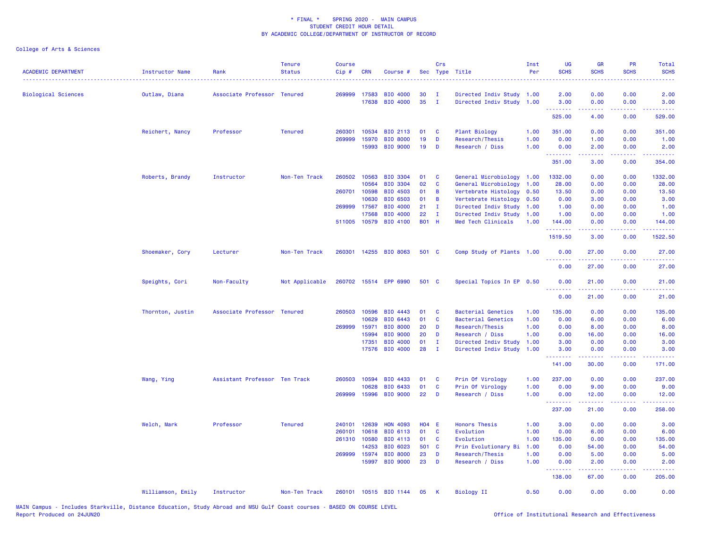| <b>ACADEMIC DEPARTMENT</b> | Instructor Name   | Rank                          | <b>Tenure</b><br><b>Status</b> | <b>Course</b><br>Cip# | <b>CRN</b>            | Course #                           |                    | Crs            | Sec Type Title                                  | Inst<br>Per  | <b>UG</b><br><b>SCHS</b>                                                                                                          | <b>GR</b><br><b>SCHS</b>                                                                                                                                      | PR<br><b>SCHS</b> | Total<br><b>SCHS</b> |
|----------------------------|-------------------|-------------------------------|--------------------------------|-----------------------|-----------------------|------------------------------------|--------------------|----------------|-------------------------------------------------|--------------|-----------------------------------------------------------------------------------------------------------------------------------|---------------------------------------------------------------------------------------------------------------------------------------------------------------|-------------------|----------------------|
| <b>Biological Sciences</b> | Outlaw, Diana     | Associate Professor Tenured   |                                | 269999                | 17583                 | <b>BIO 4000</b>                    | 30                 | $\mathbf{I}$   | Directed Indiv Study 1.00                       |              | 2.00                                                                                                                              | 0.00                                                                                                                                                          | 0.00              | 2.00                 |
|                            |                   |                               |                                |                       | 17638                 | <b>BIO 4000</b>                    | 35                 | $\mathbf{I}$   | Directed Indiv Study 1.00                       |              | 3.00<br>.                                                                                                                         | 0.00<br>.                                                                                                                                                     | 0.00              | 3.00                 |
|                            |                   |                               |                                |                       |                       |                                    |                    |                |                                                 |              | 525.00                                                                                                                            | 4.00                                                                                                                                                          | 0.00              | 529.00               |
|                            | Reichert, Nancy   | Professor                     | <b>Tenured</b>                 | 260301                | 10534                 | BIO 2113                           | 01                 | <b>C</b>       | Plant Biology                                   | 1.00         | 351.00                                                                                                                            | 0.00                                                                                                                                                          | 0.00              | 351.00               |
|                            |                   |                               |                                | 269999                | 15970                 | <b>BIO 8000</b>                    | 19                 | D              | Research/Thesis                                 | 1.00         | 0.00                                                                                                                              | 1.00                                                                                                                                                          | 0.00              | 1.00                 |
|                            |                   |                               |                                |                       | 15993                 | <b>BIO 9000</b>                    | 19                 | D              | Research / Diss                                 | 1.00         | 0.00<br>$\frac{1}{2} \left( \frac{1}{2} \right) \left( \frac{1}{2} \right) \left( \frac{1}{2} \right) \left( \frac{1}{2} \right)$ | 2.00                                                                                                                                                          | 0.00              | 2.00                 |
|                            |                   |                               |                                |                       |                       |                                    |                    |                |                                                 |              | 351.00                                                                                                                            | 3.00                                                                                                                                                          | 0.00              | 354.00               |
|                            | Roberts, Brandy   | Instructor                    | Non-Ten Track                  |                       | 260502 10563          | <b>BIO 3304</b>                    | 01                 | $\mathbf{C}$   | General Microbiology 1.00                       |              | 1332.00                                                                                                                           | 0.00                                                                                                                                                          | 0.00              | 1332.00              |
|                            |                   |                               |                                |                       | 10564                 | <b>BIO 3304</b>                    | 02                 | <b>C</b>       | General Microbiology 1.00                       |              | 28.00                                                                                                                             | 0.00                                                                                                                                                          | 0.00              | 28.00                |
|                            |                   |                               |                                |                       | 260701 10598          | <b>BIO 4503</b>                    | 01                 | $\overline{B}$ | Vertebrate Histology 0.50                       |              | 13.50                                                                                                                             | 0.00                                                                                                                                                          | 0.00              | 13.50                |
|                            |                   |                               |                                |                       | 10630                 | <b>BIO 6503</b>                    | 01                 | $\overline{B}$ | Vertebrate Histology                            | 0.50         | 0.00                                                                                                                              | 3.00                                                                                                                                                          | 0.00              | 3.00                 |
|                            |                   |                               |                                | 269999                | 17567                 | BIO 4000                           | 21                 | $\mathbf{I}$   | Directed Indiv Study 1.00                       |              | 1.00                                                                                                                              | 0.00                                                                                                                                                          | 0.00              | 1.00                 |
|                            |                   |                               |                                | 511005                | 17568<br>10579        | BIO 4000<br><b>BIO 4100</b>        | 22<br><b>B01 H</b> | $\mathbf{I}$   | Directed Indiv Study 1.00<br>Med Tech Clinicals | 1.00         | 1.00<br>144.00                                                                                                                    | 0.00<br>0.00                                                                                                                                                  | 0.00<br>0.00      | 1.00<br>144.00       |
|                            |                   |                               |                                |                       |                       |                                    |                    |                |                                                 |              | .                                                                                                                                 | .                                                                                                                                                             | .                 | .                    |
|                            |                   |                               |                                |                       |                       |                                    |                    |                |                                                 |              | 1519.50                                                                                                                           | 3.00                                                                                                                                                          | 0.00              | 1522.50              |
|                            | Shoemaker, Cory   | Lecturer                      | Non-Ten Track                  | 260301                |                       | 14255 BIO 8063                     | 501 C              |                | Comp Study of Plants 1.00                       |              | 0.00<br>.                                                                                                                         | 27.00                                                                                                                                                         | 0.00              | 27.00                |
|                            |                   |                               |                                |                       |                       |                                    |                    |                |                                                 |              | 0.00                                                                                                                              | 27.00                                                                                                                                                         | 0.00              | 27.00                |
|                            | Speights, Cori    | Non-Faculty                   | Not Applicable                 |                       |                       | 260702 15514 EPP 6990              | 501 C              |                | Special Topics In EP 0.50                       |              | 0.00                                                                                                                              | 21.00                                                                                                                                                         | 0.00              | 21.00                |
|                            |                   |                               |                                |                       |                       |                                    |                    |                |                                                 |              | 0.00                                                                                                                              | 21.00                                                                                                                                                         | 0.00              | 21.00                |
|                            | Thornton, Justin  | Associate Professor Tenured   |                                | 260503                | 10596                 | BIO 4443                           | 01                 | $\mathbf{C}$   | <b>Bacterial Genetics</b>                       | 1.00         | 135.00                                                                                                                            | 0.00                                                                                                                                                          | 0.00              | 135.00               |
|                            |                   |                               |                                |                       | 10629                 | BIO 6443                           | 01                 | $\mathbf{C}$   | <b>Bacterial Genetics</b>                       | 1.00         | 0.00                                                                                                                              | 6.00                                                                                                                                                          | 0.00              | 6.00                 |
|                            |                   |                               |                                | 269999                | 15971                 | <b>BIO 8000</b>                    | 20                 | D              | Research/Thesis                                 | 1.00         | 0.00                                                                                                                              | 8.00                                                                                                                                                          | 0.00              | 8.00                 |
|                            |                   |                               |                                |                       | 15994                 | <b>BIO 9000</b>                    | 20                 | D              | Research / Diss                                 | 1.00         | 0.00                                                                                                                              | 16.00                                                                                                                                                         | 0.00              | 16.00                |
|                            |                   |                               |                                |                       | 17351                 | BIO 4000                           | 01                 | $\mathbf{I}$   | Directed Indiv Study                            | 1.00         | 3.00                                                                                                                              | 0.00                                                                                                                                                          | 0.00              | 3.00                 |
|                            |                   |                               |                                |                       |                       | 17576 BIO 4000                     | 28                 | $\mathbf{I}$   | Directed Indiv Study 1.00                       |              | 3.00<br>.                                                                                                                         | 0.00<br>.                                                                                                                                                     | 0.00<br>.         | 3.00                 |
|                            |                   |                               |                                |                       |                       |                                    |                    |                |                                                 |              | 141.00                                                                                                                            | 30.00                                                                                                                                                         | 0.00              | 171.00               |
|                            | Wang, Ying        | Assistant Professor Ten Track |                                | 260503                | 10594                 | BIO 4433                           | 01                 | $\mathbf{C}$   | Prin Of Virology                                | 1.00         | 237.00                                                                                                                            | 0.00                                                                                                                                                          | 0.00              | 237.00               |
|                            |                   |                               |                                |                       | 10628                 | BIO 6433                           | 01                 | <b>C</b>       | Prin Of Virology                                | 1.00         | 0.00                                                                                                                              | 9.00                                                                                                                                                          | 0.00              | 9.00                 |
|                            |                   |                               |                                | 269999                | 15996                 | <b>BIO 9000</b>                    | 22                 | D              | Research / Diss                                 | 1.00         | 0.00<br>.                                                                                                                         | 12.00<br>$\frac{1}{2} \left( \frac{1}{2} \right) \left( \frac{1}{2} \right) \left( \frac{1}{2} \right) \left( \frac{1}{2} \right) \left( \frac{1}{2} \right)$ | 0.00              | 12.00<br>------      |
|                            |                   |                               |                                |                       |                       |                                    |                    |                |                                                 |              | 237.00                                                                                                                            | 21.00                                                                                                                                                         | 0.00              | 258.00               |
|                            | Welch, Mark       | Professor                     | <b>Tenured</b>                 | 240101                | 12639                 | <b>HON 4093</b>                    | H04 E              |                | <b>Honors Thesis</b>                            | 1.00         | 3.00                                                                                                                              | 0.00                                                                                                                                                          | 0.00              | 3.00                 |
|                            |                   |                               |                                | 260101                | 10618                 | BIO 6113                           | 01                 | $\mathbf{C}$   | Evolution                                       | 1.00         | 0.00                                                                                                                              | 6.00                                                                                                                                                          | 0.00              | 6.00                 |
|                            |                   |                               |                                | 261310                | 10580                 | BIO 4113                           | 01                 | <b>C</b>       | Evolution                                       | 1.00         | 135.00                                                                                                                            | 0.00                                                                                                                                                          | 0.00              | 135.00               |
|                            |                   |                               |                                |                       | 14253                 | BIO 6023                           | 501 C              |                | Prin Evolutionary Bi                            | 1.00         | 0.00                                                                                                                              | 54.00                                                                                                                                                         | 0.00              | 54.00                |
|                            |                   |                               |                                |                       | 269999 15974<br>15997 | <b>BIO 8000</b><br><b>BIO 9000</b> | 23<br>23           | D<br>D         | Research/Thesis                                 | 1.00<br>1.00 | 0.00                                                                                                                              | 5.00                                                                                                                                                          | 0.00              | 5.00                 |
|                            |                   |                               |                                |                       |                       |                                    |                    |                | Research / Diss                                 |              | 0.00<br><b>.</b> .                                                                                                                | 2.00<br>.                                                                                                                                                     | 0.00<br>المستملة  | 2.00<br>.            |
|                            |                   |                               |                                |                       |                       |                                    |                    |                |                                                 |              | 138.00                                                                                                                            | 67.00                                                                                                                                                         | 0.00              | 205.00               |
|                            | Williamson, Emily | Instructor                    | Non-Ten Track                  | 260101                |                       | 10515 BIO 1144                     | 05                 | K              | <b>Biology II</b>                               | 0.50         | 0.00                                                                                                                              | 0.00                                                                                                                                                          | 0.00              | 0.00                 |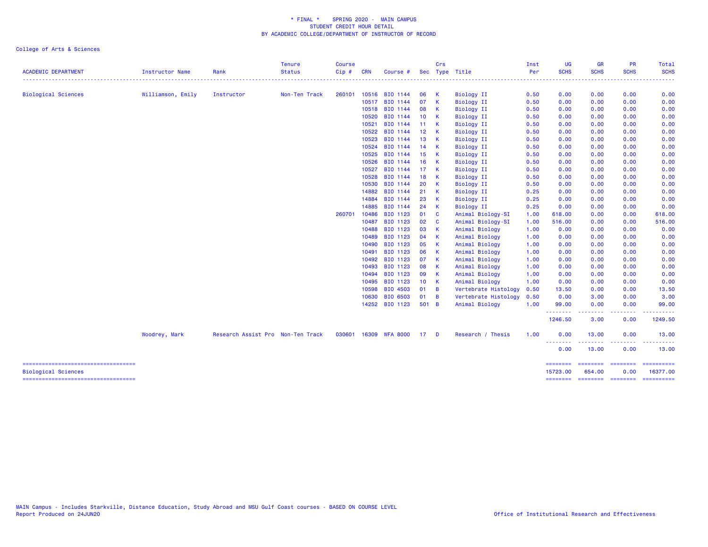| . <u>.</u> .<br>.<br><b>.</b><br>.<br><b>Biological Sciences</b><br>Williamson, Emily<br>Instructor<br>Non-Ten Track<br>260101<br>10516 BIO 1144<br>06<br>$\mathsf{K}$<br><b>Biology II</b><br>0.50<br>0.00<br>0.00<br>0.00<br>07<br>10517<br>BIO 1144<br>$\mathbf{K}$<br><b>Biology II</b><br>0.50<br>0.00<br>0.00<br>0.00<br>BIO 1144<br><b>Biology II</b><br>10518<br>08 K<br>0.50<br>0.00<br>0.00<br>0.00<br>10520<br>BIO 1144<br>10 <sub>1</sub><br><b>Biology II</b><br>0.00<br>0.00<br>$\mathsf{K}$<br>0.50<br>0.00<br>10521<br>BIO 1144<br>0.00<br>0.00<br>11 K<br><b>Biology II</b><br>0.50<br>0.00<br>BIO 1144<br>10522<br>12 K<br><b>Biology II</b><br>0.50<br>0.00<br>0.00<br>0.00<br>BIO 1144<br>10523<br>13 K<br><b>Biology II</b><br>0.50<br>0.00<br>0.00<br>0.00<br>10524<br>BIO 1144<br>0.00<br>14<br>$\overline{\mathbf{K}}$<br><b>Biology II</b><br>0.50<br>0.00<br>0.00<br>10525<br>BIO 1144<br>15 <sub>1</sub><br>$\overline{\mathbf{K}}$<br><b>Biology II</b><br>0.50<br>0.00<br>0.00<br>0.00<br>BIO 1144<br>10526<br>16<br>$\overline{\mathbf{K}}$<br><b>Biology II</b><br>0.50<br>0.00<br>0.00<br>0.00<br>10527<br>BIO 1144<br>17 <sub>1</sub><br>0.00<br>0.00<br>0.00<br><b>K</b><br><b>Biology II</b><br>0.50<br>10528<br>BIO 1144<br>18<br>$\mathbf{K}$<br><b>Biology II</b><br>0.50<br>0.00<br>0.00<br>0.00<br>BIO 1144<br>10530<br>20<br>K<br><b>Biology II</b><br>0.50<br>0.00<br>0.00<br>0.00<br>21<br>14882<br>BIO 1144<br>$\mathbf{K}$<br><b>Biology II</b><br>0.00<br>0.00<br>0.00<br>0.25<br>BIO 1144<br>14884<br>23<br><b>Biology II</b><br>0.00<br>0.00<br>K<br>0.25<br>0.00<br>14885<br>BIO 1144<br>24<br>$\mathbf{K}$<br><b>Biology II</b><br>0.25<br>0.00<br>0.00<br>0.00<br>260701<br>10486<br>BIO 1123<br>01<br>$\overline{\mathbf{c}}$<br>Animal Biology-SI<br>618.00<br>0.00<br>0.00<br>1.00<br>BIO 1123<br>02<br>0.00<br>10487<br>$\mathbf{C}$<br>Animal Biology-SI<br>1.00<br>516.00<br>0.00<br>BIO 1123<br>03 K<br>0.00<br>10488<br>Animal Biology<br>1.00<br>0.00<br>0.00<br>BIO 1123<br>10489<br>04 K<br>Animal Biology<br>1.00<br>0.00<br>0.00<br>0.00<br>10490<br>BIO 1123<br>05<br>$\mathbf{K}$<br>Animal Biology<br>0.00<br>0.00<br>0.00<br>1.00<br>BIO 1123<br>06<br>$\mathbf{K}$<br>10491<br>Animal Biology<br>0.00<br>0.00<br>0.00<br>1.00<br>BIO 1123<br>10492<br>07 K<br>0.00<br>Animal Biology<br>1.00<br>0.00<br>0.00<br>10493<br>BIO 1123<br>08<br>$\mathbf{K}$<br>Animal Biology<br>0.00<br>0.00<br>1.00<br>0.00<br>BIO 1123<br>10494<br>09<br>$\mathbf{K}$<br>Animal Biology<br>0.00<br>0.00<br>0.00<br>1.00<br>BIO 1123<br>10495<br>10 K<br>Animal Biology<br>0.00<br>1.00<br>0.00<br>0.00<br>BIO 4503<br>10598<br>$01 \quad B$<br>Vertebrate Histology<br>0.50<br>13.50<br>0.00<br>0.00<br>10630<br>BIO 6503<br>01<br><b>B</b><br>Vertebrate Histology<br>0.50<br>0.00<br>3.00<br>0.00<br>14252 BIO 1123<br>501 B<br>99.00<br>0.00<br>Animal Biology<br>1.00<br>0.00<br><u>.</u><br>-----<br>1246.50<br>3.00<br>0.00<br>0.00<br>030601 16309 WFA 8000<br>Research / Thesis<br>1.00<br>13.00<br>0.00<br>Woodrey, Mark<br>Research Assist Pro Non-Ten Track<br>17 D<br><u> 2222222</u><br>.<br>.<br>0.00<br>13.00<br>0.00<br>-----------------------------------<br>========<br><b>EDESSERS</b><br>accesses. | <b>ACADEMIC DEPARTMENT</b> | Instructor Name | Rank | <b>Tenure</b><br><b>Status</b> | <b>Course</b><br>Cip# | <b>CRN</b> | Course # | Crs | Sec Type Title | Inst<br>Per | <b>UG</b><br><b>SCHS</b> | <b>GR</b><br><b>SCHS</b> | <b>PR</b><br><b>SCHS</b> | Total<br><b>SCHS</b>                                                                                                                                                                                                                                                                                                                                                                                                                                                                   |
|-----------------------------------------------------------------------------------------------------------------------------------------------------------------------------------------------------------------------------------------------------------------------------------------------------------------------------------------------------------------------------------------------------------------------------------------------------------------------------------------------------------------------------------------------------------------------------------------------------------------------------------------------------------------------------------------------------------------------------------------------------------------------------------------------------------------------------------------------------------------------------------------------------------------------------------------------------------------------------------------------------------------------------------------------------------------------------------------------------------------------------------------------------------------------------------------------------------------------------------------------------------------------------------------------------------------------------------------------------------------------------------------------------------------------------------------------------------------------------------------------------------------------------------------------------------------------------------------------------------------------------------------------------------------------------------------------------------------------------------------------------------------------------------------------------------------------------------------------------------------------------------------------------------------------------------------------------------------------------------------------------------------------------------------------------------------------------------------------------------------------------------------------------------------------------------------------------------------------------------------------------------------------------------------------------------------------------------------------------------------------------------------------------------------------------------------------------------------------------------------------------------------------------------------------------------------------------------------------------------------------------------------------------------------------------------------------------------------------------------------------------------------------------------------------------------------------------------------------------------------------------------------------------------------------------------------------------------------------------------------------------------------------------------------------------------------------------------------------------------------------------------------------------------------------------------------------------------------------------------------------------------------------------|----------------------------|-----------------|------|--------------------------------|-----------------------|------------|----------|-----|----------------|-------------|--------------------------|--------------------------|--------------------------|----------------------------------------------------------------------------------------------------------------------------------------------------------------------------------------------------------------------------------------------------------------------------------------------------------------------------------------------------------------------------------------------------------------------------------------------------------------------------------------|
|                                                                                                                                                                                                                                                                                                                                                                                                                                                                                                                                                                                                                                                                                                                                                                                                                                                                                                                                                                                                                                                                                                                                                                                                                                                                                                                                                                                                                                                                                                                                                                                                                                                                                                                                                                                                                                                                                                                                                                                                                                                                                                                                                                                                                                                                                                                                                                                                                                                                                                                                                                                                                                                                                                                                                                                                                                                                                                                                                                                                                                                                                                                                                                                                                                                                             |                            |                 |      |                                |                       |            |          |     |                |             |                          |                          |                          | .                                                                                                                                                                                                                                                                                                                                                                                                                                                                                      |
|                                                                                                                                                                                                                                                                                                                                                                                                                                                                                                                                                                                                                                                                                                                                                                                                                                                                                                                                                                                                                                                                                                                                                                                                                                                                                                                                                                                                                                                                                                                                                                                                                                                                                                                                                                                                                                                                                                                                                                                                                                                                                                                                                                                                                                                                                                                                                                                                                                                                                                                                                                                                                                                                                                                                                                                                                                                                                                                                                                                                                                                                                                                                                                                                                                                                             |                            |                 |      |                                |                       |            |          |     |                |             |                          |                          |                          | 0.00                                                                                                                                                                                                                                                                                                                                                                                                                                                                                   |
|                                                                                                                                                                                                                                                                                                                                                                                                                                                                                                                                                                                                                                                                                                                                                                                                                                                                                                                                                                                                                                                                                                                                                                                                                                                                                                                                                                                                                                                                                                                                                                                                                                                                                                                                                                                                                                                                                                                                                                                                                                                                                                                                                                                                                                                                                                                                                                                                                                                                                                                                                                                                                                                                                                                                                                                                                                                                                                                                                                                                                                                                                                                                                                                                                                                                             |                            |                 |      |                                |                       |            |          |     |                |             |                          |                          |                          | 0.00                                                                                                                                                                                                                                                                                                                                                                                                                                                                                   |
|                                                                                                                                                                                                                                                                                                                                                                                                                                                                                                                                                                                                                                                                                                                                                                                                                                                                                                                                                                                                                                                                                                                                                                                                                                                                                                                                                                                                                                                                                                                                                                                                                                                                                                                                                                                                                                                                                                                                                                                                                                                                                                                                                                                                                                                                                                                                                                                                                                                                                                                                                                                                                                                                                                                                                                                                                                                                                                                                                                                                                                                                                                                                                                                                                                                                             |                            |                 |      |                                |                       |            |          |     |                |             |                          |                          |                          | 0.00                                                                                                                                                                                                                                                                                                                                                                                                                                                                                   |
|                                                                                                                                                                                                                                                                                                                                                                                                                                                                                                                                                                                                                                                                                                                                                                                                                                                                                                                                                                                                                                                                                                                                                                                                                                                                                                                                                                                                                                                                                                                                                                                                                                                                                                                                                                                                                                                                                                                                                                                                                                                                                                                                                                                                                                                                                                                                                                                                                                                                                                                                                                                                                                                                                                                                                                                                                                                                                                                                                                                                                                                                                                                                                                                                                                                                             |                            |                 |      |                                |                       |            |          |     |                |             |                          |                          |                          | 0.00                                                                                                                                                                                                                                                                                                                                                                                                                                                                                   |
|                                                                                                                                                                                                                                                                                                                                                                                                                                                                                                                                                                                                                                                                                                                                                                                                                                                                                                                                                                                                                                                                                                                                                                                                                                                                                                                                                                                                                                                                                                                                                                                                                                                                                                                                                                                                                                                                                                                                                                                                                                                                                                                                                                                                                                                                                                                                                                                                                                                                                                                                                                                                                                                                                                                                                                                                                                                                                                                                                                                                                                                                                                                                                                                                                                                                             |                            |                 |      |                                |                       |            |          |     |                |             |                          |                          |                          | 0.00                                                                                                                                                                                                                                                                                                                                                                                                                                                                                   |
|                                                                                                                                                                                                                                                                                                                                                                                                                                                                                                                                                                                                                                                                                                                                                                                                                                                                                                                                                                                                                                                                                                                                                                                                                                                                                                                                                                                                                                                                                                                                                                                                                                                                                                                                                                                                                                                                                                                                                                                                                                                                                                                                                                                                                                                                                                                                                                                                                                                                                                                                                                                                                                                                                                                                                                                                                                                                                                                                                                                                                                                                                                                                                                                                                                                                             |                            |                 |      |                                |                       |            |          |     |                |             |                          |                          |                          | 0.00                                                                                                                                                                                                                                                                                                                                                                                                                                                                                   |
|                                                                                                                                                                                                                                                                                                                                                                                                                                                                                                                                                                                                                                                                                                                                                                                                                                                                                                                                                                                                                                                                                                                                                                                                                                                                                                                                                                                                                                                                                                                                                                                                                                                                                                                                                                                                                                                                                                                                                                                                                                                                                                                                                                                                                                                                                                                                                                                                                                                                                                                                                                                                                                                                                                                                                                                                                                                                                                                                                                                                                                                                                                                                                                                                                                                                             |                            |                 |      |                                |                       |            |          |     |                |             |                          |                          |                          | 0.00                                                                                                                                                                                                                                                                                                                                                                                                                                                                                   |
|                                                                                                                                                                                                                                                                                                                                                                                                                                                                                                                                                                                                                                                                                                                                                                                                                                                                                                                                                                                                                                                                                                                                                                                                                                                                                                                                                                                                                                                                                                                                                                                                                                                                                                                                                                                                                                                                                                                                                                                                                                                                                                                                                                                                                                                                                                                                                                                                                                                                                                                                                                                                                                                                                                                                                                                                                                                                                                                                                                                                                                                                                                                                                                                                                                                                             |                            |                 |      |                                |                       |            |          |     |                |             |                          |                          |                          | 0.00                                                                                                                                                                                                                                                                                                                                                                                                                                                                                   |
|                                                                                                                                                                                                                                                                                                                                                                                                                                                                                                                                                                                                                                                                                                                                                                                                                                                                                                                                                                                                                                                                                                                                                                                                                                                                                                                                                                                                                                                                                                                                                                                                                                                                                                                                                                                                                                                                                                                                                                                                                                                                                                                                                                                                                                                                                                                                                                                                                                                                                                                                                                                                                                                                                                                                                                                                                                                                                                                                                                                                                                                                                                                                                                                                                                                                             |                            |                 |      |                                |                       |            |          |     |                |             |                          |                          |                          | 0.00                                                                                                                                                                                                                                                                                                                                                                                                                                                                                   |
|                                                                                                                                                                                                                                                                                                                                                                                                                                                                                                                                                                                                                                                                                                                                                                                                                                                                                                                                                                                                                                                                                                                                                                                                                                                                                                                                                                                                                                                                                                                                                                                                                                                                                                                                                                                                                                                                                                                                                                                                                                                                                                                                                                                                                                                                                                                                                                                                                                                                                                                                                                                                                                                                                                                                                                                                                                                                                                                                                                                                                                                                                                                                                                                                                                                                             |                            |                 |      |                                |                       |            |          |     |                |             |                          |                          |                          | 0.00                                                                                                                                                                                                                                                                                                                                                                                                                                                                                   |
|                                                                                                                                                                                                                                                                                                                                                                                                                                                                                                                                                                                                                                                                                                                                                                                                                                                                                                                                                                                                                                                                                                                                                                                                                                                                                                                                                                                                                                                                                                                                                                                                                                                                                                                                                                                                                                                                                                                                                                                                                                                                                                                                                                                                                                                                                                                                                                                                                                                                                                                                                                                                                                                                                                                                                                                                                                                                                                                                                                                                                                                                                                                                                                                                                                                                             |                            |                 |      |                                |                       |            |          |     |                |             |                          |                          |                          | 0.00                                                                                                                                                                                                                                                                                                                                                                                                                                                                                   |
|                                                                                                                                                                                                                                                                                                                                                                                                                                                                                                                                                                                                                                                                                                                                                                                                                                                                                                                                                                                                                                                                                                                                                                                                                                                                                                                                                                                                                                                                                                                                                                                                                                                                                                                                                                                                                                                                                                                                                                                                                                                                                                                                                                                                                                                                                                                                                                                                                                                                                                                                                                                                                                                                                                                                                                                                                                                                                                                                                                                                                                                                                                                                                                                                                                                                             |                            |                 |      |                                |                       |            |          |     |                |             |                          |                          |                          | 0.00                                                                                                                                                                                                                                                                                                                                                                                                                                                                                   |
|                                                                                                                                                                                                                                                                                                                                                                                                                                                                                                                                                                                                                                                                                                                                                                                                                                                                                                                                                                                                                                                                                                                                                                                                                                                                                                                                                                                                                                                                                                                                                                                                                                                                                                                                                                                                                                                                                                                                                                                                                                                                                                                                                                                                                                                                                                                                                                                                                                                                                                                                                                                                                                                                                                                                                                                                                                                                                                                                                                                                                                                                                                                                                                                                                                                                             |                            |                 |      |                                |                       |            |          |     |                |             |                          |                          |                          | 0.00                                                                                                                                                                                                                                                                                                                                                                                                                                                                                   |
|                                                                                                                                                                                                                                                                                                                                                                                                                                                                                                                                                                                                                                                                                                                                                                                                                                                                                                                                                                                                                                                                                                                                                                                                                                                                                                                                                                                                                                                                                                                                                                                                                                                                                                                                                                                                                                                                                                                                                                                                                                                                                                                                                                                                                                                                                                                                                                                                                                                                                                                                                                                                                                                                                                                                                                                                                                                                                                                                                                                                                                                                                                                                                                                                                                                                             |                            |                 |      |                                |                       |            |          |     |                |             |                          |                          |                          | 0.00                                                                                                                                                                                                                                                                                                                                                                                                                                                                                   |
|                                                                                                                                                                                                                                                                                                                                                                                                                                                                                                                                                                                                                                                                                                                                                                                                                                                                                                                                                                                                                                                                                                                                                                                                                                                                                                                                                                                                                                                                                                                                                                                                                                                                                                                                                                                                                                                                                                                                                                                                                                                                                                                                                                                                                                                                                                                                                                                                                                                                                                                                                                                                                                                                                                                                                                                                                                                                                                                                                                                                                                                                                                                                                                                                                                                                             |                            |                 |      |                                |                       |            |          |     |                |             |                          |                          |                          | 0.00                                                                                                                                                                                                                                                                                                                                                                                                                                                                                   |
|                                                                                                                                                                                                                                                                                                                                                                                                                                                                                                                                                                                                                                                                                                                                                                                                                                                                                                                                                                                                                                                                                                                                                                                                                                                                                                                                                                                                                                                                                                                                                                                                                                                                                                                                                                                                                                                                                                                                                                                                                                                                                                                                                                                                                                                                                                                                                                                                                                                                                                                                                                                                                                                                                                                                                                                                                                                                                                                                                                                                                                                                                                                                                                                                                                                                             |                            |                 |      |                                |                       |            |          |     |                |             |                          |                          |                          | 0.00                                                                                                                                                                                                                                                                                                                                                                                                                                                                                   |
|                                                                                                                                                                                                                                                                                                                                                                                                                                                                                                                                                                                                                                                                                                                                                                                                                                                                                                                                                                                                                                                                                                                                                                                                                                                                                                                                                                                                                                                                                                                                                                                                                                                                                                                                                                                                                                                                                                                                                                                                                                                                                                                                                                                                                                                                                                                                                                                                                                                                                                                                                                                                                                                                                                                                                                                                                                                                                                                                                                                                                                                                                                                                                                                                                                                                             |                            |                 |      |                                |                       |            |          |     |                |             |                          |                          |                          | 618.00                                                                                                                                                                                                                                                                                                                                                                                                                                                                                 |
|                                                                                                                                                                                                                                                                                                                                                                                                                                                                                                                                                                                                                                                                                                                                                                                                                                                                                                                                                                                                                                                                                                                                                                                                                                                                                                                                                                                                                                                                                                                                                                                                                                                                                                                                                                                                                                                                                                                                                                                                                                                                                                                                                                                                                                                                                                                                                                                                                                                                                                                                                                                                                                                                                                                                                                                                                                                                                                                                                                                                                                                                                                                                                                                                                                                                             |                            |                 |      |                                |                       |            |          |     |                |             |                          |                          |                          | 516.00                                                                                                                                                                                                                                                                                                                                                                                                                                                                                 |
|                                                                                                                                                                                                                                                                                                                                                                                                                                                                                                                                                                                                                                                                                                                                                                                                                                                                                                                                                                                                                                                                                                                                                                                                                                                                                                                                                                                                                                                                                                                                                                                                                                                                                                                                                                                                                                                                                                                                                                                                                                                                                                                                                                                                                                                                                                                                                                                                                                                                                                                                                                                                                                                                                                                                                                                                                                                                                                                                                                                                                                                                                                                                                                                                                                                                             |                            |                 |      |                                |                       |            |          |     |                |             |                          |                          |                          | 0.00                                                                                                                                                                                                                                                                                                                                                                                                                                                                                   |
|                                                                                                                                                                                                                                                                                                                                                                                                                                                                                                                                                                                                                                                                                                                                                                                                                                                                                                                                                                                                                                                                                                                                                                                                                                                                                                                                                                                                                                                                                                                                                                                                                                                                                                                                                                                                                                                                                                                                                                                                                                                                                                                                                                                                                                                                                                                                                                                                                                                                                                                                                                                                                                                                                                                                                                                                                                                                                                                                                                                                                                                                                                                                                                                                                                                                             |                            |                 |      |                                |                       |            |          |     |                |             |                          |                          |                          | 0.00                                                                                                                                                                                                                                                                                                                                                                                                                                                                                   |
|                                                                                                                                                                                                                                                                                                                                                                                                                                                                                                                                                                                                                                                                                                                                                                                                                                                                                                                                                                                                                                                                                                                                                                                                                                                                                                                                                                                                                                                                                                                                                                                                                                                                                                                                                                                                                                                                                                                                                                                                                                                                                                                                                                                                                                                                                                                                                                                                                                                                                                                                                                                                                                                                                                                                                                                                                                                                                                                                                                                                                                                                                                                                                                                                                                                                             |                            |                 |      |                                |                       |            |          |     |                |             |                          |                          |                          | 0.00                                                                                                                                                                                                                                                                                                                                                                                                                                                                                   |
|                                                                                                                                                                                                                                                                                                                                                                                                                                                                                                                                                                                                                                                                                                                                                                                                                                                                                                                                                                                                                                                                                                                                                                                                                                                                                                                                                                                                                                                                                                                                                                                                                                                                                                                                                                                                                                                                                                                                                                                                                                                                                                                                                                                                                                                                                                                                                                                                                                                                                                                                                                                                                                                                                                                                                                                                                                                                                                                                                                                                                                                                                                                                                                                                                                                                             |                            |                 |      |                                |                       |            |          |     |                |             |                          |                          |                          | 0.00                                                                                                                                                                                                                                                                                                                                                                                                                                                                                   |
|                                                                                                                                                                                                                                                                                                                                                                                                                                                                                                                                                                                                                                                                                                                                                                                                                                                                                                                                                                                                                                                                                                                                                                                                                                                                                                                                                                                                                                                                                                                                                                                                                                                                                                                                                                                                                                                                                                                                                                                                                                                                                                                                                                                                                                                                                                                                                                                                                                                                                                                                                                                                                                                                                                                                                                                                                                                                                                                                                                                                                                                                                                                                                                                                                                                                             |                            |                 |      |                                |                       |            |          |     |                |             |                          |                          |                          | 0.00                                                                                                                                                                                                                                                                                                                                                                                                                                                                                   |
|                                                                                                                                                                                                                                                                                                                                                                                                                                                                                                                                                                                                                                                                                                                                                                                                                                                                                                                                                                                                                                                                                                                                                                                                                                                                                                                                                                                                                                                                                                                                                                                                                                                                                                                                                                                                                                                                                                                                                                                                                                                                                                                                                                                                                                                                                                                                                                                                                                                                                                                                                                                                                                                                                                                                                                                                                                                                                                                                                                                                                                                                                                                                                                                                                                                                             |                            |                 |      |                                |                       |            |          |     |                |             |                          |                          |                          | 0.00                                                                                                                                                                                                                                                                                                                                                                                                                                                                                   |
|                                                                                                                                                                                                                                                                                                                                                                                                                                                                                                                                                                                                                                                                                                                                                                                                                                                                                                                                                                                                                                                                                                                                                                                                                                                                                                                                                                                                                                                                                                                                                                                                                                                                                                                                                                                                                                                                                                                                                                                                                                                                                                                                                                                                                                                                                                                                                                                                                                                                                                                                                                                                                                                                                                                                                                                                                                                                                                                                                                                                                                                                                                                                                                                                                                                                             |                            |                 |      |                                |                       |            |          |     |                |             |                          |                          |                          | 0.00                                                                                                                                                                                                                                                                                                                                                                                                                                                                                   |
|                                                                                                                                                                                                                                                                                                                                                                                                                                                                                                                                                                                                                                                                                                                                                                                                                                                                                                                                                                                                                                                                                                                                                                                                                                                                                                                                                                                                                                                                                                                                                                                                                                                                                                                                                                                                                                                                                                                                                                                                                                                                                                                                                                                                                                                                                                                                                                                                                                                                                                                                                                                                                                                                                                                                                                                                                                                                                                                                                                                                                                                                                                                                                                                                                                                                             |                            |                 |      |                                |                       |            |          |     |                |             |                          |                          |                          | 0.00                                                                                                                                                                                                                                                                                                                                                                                                                                                                                   |
|                                                                                                                                                                                                                                                                                                                                                                                                                                                                                                                                                                                                                                                                                                                                                                                                                                                                                                                                                                                                                                                                                                                                                                                                                                                                                                                                                                                                                                                                                                                                                                                                                                                                                                                                                                                                                                                                                                                                                                                                                                                                                                                                                                                                                                                                                                                                                                                                                                                                                                                                                                                                                                                                                                                                                                                                                                                                                                                                                                                                                                                                                                                                                                                                                                                                             |                            |                 |      |                                |                       |            |          |     |                |             |                          |                          |                          | 13.50                                                                                                                                                                                                                                                                                                                                                                                                                                                                                  |
|                                                                                                                                                                                                                                                                                                                                                                                                                                                                                                                                                                                                                                                                                                                                                                                                                                                                                                                                                                                                                                                                                                                                                                                                                                                                                                                                                                                                                                                                                                                                                                                                                                                                                                                                                                                                                                                                                                                                                                                                                                                                                                                                                                                                                                                                                                                                                                                                                                                                                                                                                                                                                                                                                                                                                                                                                                                                                                                                                                                                                                                                                                                                                                                                                                                                             |                            |                 |      |                                |                       |            |          |     |                |             |                          |                          |                          | 3.00                                                                                                                                                                                                                                                                                                                                                                                                                                                                                   |
|                                                                                                                                                                                                                                                                                                                                                                                                                                                                                                                                                                                                                                                                                                                                                                                                                                                                                                                                                                                                                                                                                                                                                                                                                                                                                                                                                                                                                                                                                                                                                                                                                                                                                                                                                                                                                                                                                                                                                                                                                                                                                                                                                                                                                                                                                                                                                                                                                                                                                                                                                                                                                                                                                                                                                                                                                                                                                                                                                                                                                                                                                                                                                                                                                                                                             |                            |                 |      |                                |                       |            |          |     |                |             |                          |                          |                          | 99.00                                                                                                                                                                                                                                                                                                                                                                                                                                                                                  |
|                                                                                                                                                                                                                                                                                                                                                                                                                                                                                                                                                                                                                                                                                                                                                                                                                                                                                                                                                                                                                                                                                                                                                                                                                                                                                                                                                                                                                                                                                                                                                                                                                                                                                                                                                                                                                                                                                                                                                                                                                                                                                                                                                                                                                                                                                                                                                                                                                                                                                                                                                                                                                                                                                                                                                                                                                                                                                                                                                                                                                                                                                                                                                                                                                                                                             |                            |                 |      |                                |                       |            |          |     |                |             |                          |                          |                          | 1249.50                                                                                                                                                                                                                                                                                                                                                                                                                                                                                |
|                                                                                                                                                                                                                                                                                                                                                                                                                                                                                                                                                                                                                                                                                                                                                                                                                                                                                                                                                                                                                                                                                                                                                                                                                                                                                                                                                                                                                                                                                                                                                                                                                                                                                                                                                                                                                                                                                                                                                                                                                                                                                                                                                                                                                                                                                                                                                                                                                                                                                                                                                                                                                                                                                                                                                                                                                                                                                                                                                                                                                                                                                                                                                                                                                                                                             |                            |                 |      |                                |                       |            |          |     |                |             |                          |                          |                          | 13.00                                                                                                                                                                                                                                                                                                                                                                                                                                                                                  |
|                                                                                                                                                                                                                                                                                                                                                                                                                                                                                                                                                                                                                                                                                                                                                                                                                                                                                                                                                                                                                                                                                                                                                                                                                                                                                                                                                                                                                                                                                                                                                                                                                                                                                                                                                                                                                                                                                                                                                                                                                                                                                                                                                                                                                                                                                                                                                                                                                                                                                                                                                                                                                                                                                                                                                                                                                                                                                                                                                                                                                                                                                                                                                                                                                                                                             |                            |                 |      |                                |                       |            |          |     |                |             |                          |                          |                          | 13.00                                                                                                                                                                                                                                                                                                                                                                                                                                                                                  |
|                                                                                                                                                                                                                                                                                                                                                                                                                                                                                                                                                                                                                                                                                                                                                                                                                                                                                                                                                                                                                                                                                                                                                                                                                                                                                                                                                                                                                                                                                                                                                                                                                                                                                                                                                                                                                                                                                                                                                                                                                                                                                                                                                                                                                                                                                                                                                                                                                                                                                                                                                                                                                                                                                                                                                                                                                                                                                                                                                                                                                                                                                                                                                                                                                                                                             |                            |                 |      |                                |                       |            |          |     |                |             |                          |                          |                          | $\begin{array}{cccccccccc} \multicolumn{2}{c}{} & \multicolumn{2}{c}{} & \multicolumn{2}{c}{} & \multicolumn{2}{c}{} & \multicolumn{2}{c}{} & \multicolumn{2}{c}{} & \multicolumn{2}{c}{} & \multicolumn{2}{c}{} & \multicolumn{2}{c}{} & \multicolumn{2}{c}{} & \multicolumn{2}{c}{} & \multicolumn{2}{c}{} & \multicolumn{2}{c}{} & \multicolumn{2}{c}{} & \multicolumn{2}{c}{} & \multicolumn{2}{c}{} & \multicolumn{2}{c}{} & \multicolumn{2}{c}{} & \multicolumn{2}{c}{} & \mult$ |
| <b>Biological Sciences</b><br>15723.00<br>654.00<br>0.00<br>=====================================<br>========<br>======== ======== =========                                                                                                                                                                                                                                                                                                                                                                                                                                                                                                                                                                                                                                                                                                                                                                                                                                                                                                                                                                                                                                                                                                                                                                                                                                                                                                                                                                                                                                                                                                                                                                                                                                                                                                                                                                                                                                                                                                                                                                                                                                                                                                                                                                                                                                                                                                                                                                                                                                                                                                                                                                                                                                                                                                                                                                                                                                                                                                                                                                                                                                                                                                                                |                            |                 |      |                                |                       |            |          |     |                |             |                          |                          |                          | 16377.00                                                                                                                                                                                                                                                                                                                                                                                                                                                                               |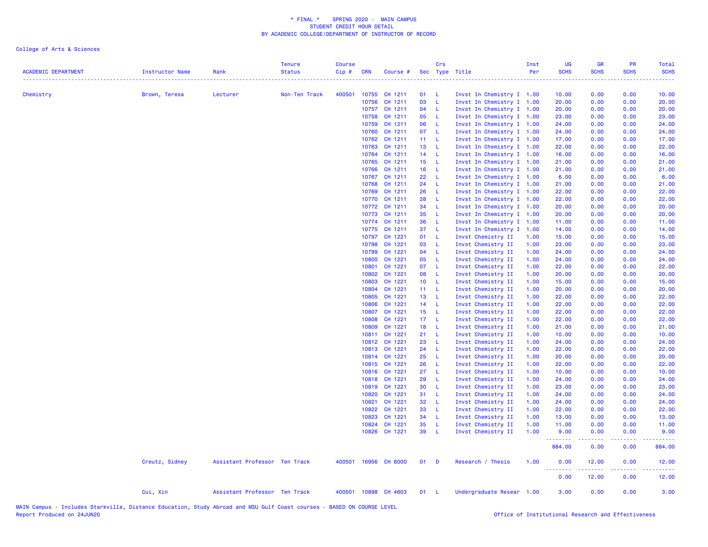| <b>ACADEMIC DEPARTMENT</b> | Instructor Name | Rank                          | <b>Tenure</b><br><b>Status</b><br>. <b>.</b> . | <b>Course</b><br>Cip# | <b>CRN</b>     | Course #             |                 | Crs        | Sec Type Title                                         | Inst<br>Per  | UG<br><b>SCHS</b> | <b>GR</b><br><b>SCHS</b> | <b>PR</b><br><b>SCHS</b> | Total<br><b>SCHS</b> |
|----------------------------|-----------------|-------------------------------|------------------------------------------------|-----------------------|----------------|----------------------|-----------------|------------|--------------------------------------------------------|--------------|-------------------|--------------------------|--------------------------|----------------------|
| Chemistry                  | Brown, Teresa   | Lecturer                      | Non-Ten Track                                  | 400501                | 10755          | CH 1211              | 01              | - L        | Invst In Chemistry I 1.00                              |              | 10.00             | 0.00                     | 0.00                     | 10.00                |
|                            |                 |                               |                                                |                       | 10756          | CH 1211              | 03              | - L        | Invst In Chemistry I 1.00                              |              | 20.00             | 0.00                     | 0.00                     | 20.00                |
|                            |                 |                               |                                                |                       |                | 10757 CH 1211        | 04              | $-1$       | Invst In Chemistry I 1.00                              |              | 20.00             | 0.00                     | 0.00                     | 20.00                |
|                            |                 |                               |                                                |                       | 10758          | CH 1211              | 05              | $-L$       | Invst In Chemistry I 1.00                              |              | 23.00             | 0.00                     | 0.00                     | 23.00                |
|                            |                 |                               |                                                |                       | 10759          | CH 1211              | 06              | - L        | Invst In Chemistry I 1.00                              |              | 24.00             | 0.00                     | 0.00                     | 24.00                |
|                            |                 |                               |                                                |                       | 10760          | CH 1211              | 07 L            |            | Invst In Chemistry I 1.00                              |              | 24.00             | 0.00                     | 0.00                     | 24.00                |
|                            |                 |                               |                                                |                       | 10762          | CH 1211              | 11 L            |            | Invst In Chemistry I 1.00                              |              | 17.00             | 0.00                     | 0.00                     | 17.00                |
|                            |                 |                               |                                                |                       | 10763          | CH 1211              | 13 L            |            | Invst In Chemistry I 1.00                              |              | 22.00             | 0.00                     | 0.00                     | 22.00                |
|                            |                 |                               |                                                |                       | 10764          | CH 1211              | 14 L            |            | Invst In Chemistry I 1.00                              |              | 16.00             | 0.00                     | 0.00                     | 16.00                |
|                            |                 |                               |                                                |                       | 10765          | CH 1211              | 15 L            |            | Invst In Chemistry I 1.00                              |              | 21.00             | 0.00                     | 0.00                     | 21.00                |
|                            |                 |                               |                                                |                       | 10766          | CH 1211              | 16 L            |            | Invst In Chemistry I 1.00                              |              | 21.00             | 0.00                     | 0.00                     | 21.00                |
|                            |                 |                               |                                                |                       | 10767          | CH 1211<br>CH 1211   | 22 L<br>24      | - L        | Invst In Chemistry I 1.00                              |              | 6.00<br>21.00     | 0.00<br>0.00             | 0.00<br>0.00             | 6.00<br>21.00        |
|                            |                 |                               |                                                |                       | 10768<br>10769 | CH 1211              | 26              | - L        | Invst In Chemistry I 1.00<br>Invst In Chemistry I 1.00 |              | 22.00             | 0.00                     | 0.00                     | 22.00                |
|                            |                 |                               |                                                |                       | 10770          | CH 1211              | 28              | - L        | Invst In Chemistry I 1.00                              |              | 22.00             | 0.00                     | 0.00                     | 22.00                |
|                            |                 |                               |                                                |                       | 10772          | CH 1211              | 34              | - L        | Invst In Chemistry I 1.00                              |              | 20.00             | 0.00                     | 0.00                     | 20.00                |
|                            |                 |                               |                                                |                       | 10773          | CH 1211              | 35              | $-L$       | Invst In Chemistry I 1.00                              |              | 20.00             | 0.00                     | 0.00                     | 20.00                |
|                            |                 |                               |                                                |                       |                | 10774 CH 1211        | 36              | - L        | Invst In Chemistry I 1.00                              |              | 11.00             | 0.00                     | 0.00                     | 11.00                |
|                            |                 |                               |                                                |                       | 10775          | CH 1211              | 37              | - L        | Invst In Chemistry I 1.00                              |              | 14.00             | 0.00                     | 0.00                     | 14.00                |
|                            |                 |                               |                                                |                       | 10797          | CH 1221              | 01 L            |            | Invst Chemistry II                                     | 1.00         | 15.00             | 0.00                     | 0.00                     | 15.00                |
|                            |                 |                               |                                                |                       | 10798          | CH 1221              | 03 L            |            | Invst Chemistry II                                     | 1.00         | 23.00             | 0.00                     | 0.00                     | 23.00                |
|                            |                 |                               |                                                |                       | 10799          | CH 1221              | 04              | - L        | Invst Chemistry II                                     | 1.00         | 24.00             | 0.00                     | 0.00                     | 24.00                |
|                            |                 |                               |                                                |                       | 10800          | CH 1221              | 05              | - L        | Invst Chemistry II                                     | 1.00         | 24.00             | 0.00                     | 0.00                     | 24.00                |
|                            |                 |                               |                                                |                       | 10801          | CH 1221              | 07              | - L        | Invst Chemistry II                                     | 1.00         | 22.00             | 0.00                     | 0.00                     | 22.00                |
|                            |                 |                               |                                                |                       | 10802          | CH 1221              | 08 L            |            | Invst Chemistry II                                     | 1.00         | 20.00             | 0.00                     | 0.00                     | 20.00                |
|                            |                 |                               |                                                |                       | 10803          | CH 1221              | 10 <sub>1</sub> | - L        | Invst Chemistry II                                     | 1.00         | 15.00             | 0.00                     | 0.00                     | 15.00                |
|                            |                 |                               |                                                |                       | 10804          | CH 1221              | 11 L            |            | Invst Chemistry II                                     | 1.00         | 20.00             | 0.00                     | 0.00                     | 20.00                |
|                            |                 |                               |                                                |                       | 10805          | CH 1221              | 13 L            |            | Invst Chemistry II                                     | 1.00         | 22.00             | 0.00                     | 0.00                     | 22.00                |
|                            |                 |                               |                                                |                       | 10806          | CH 1221              | 14 L            |            | Invst Chemistry II                                     | 1.00         | 22.00             | 0.00                     | 0.00                     | 22.00                |
|                            |                 |                               |                                                |                       | 10807          | CH 1221              | 15 L            |            | Invst Chemistry II                                     | 1.00         | 22.00             | 0.00                     | 0.00                     | 22.00                |
|                            |                 |                               |                                                |                       | 10808          | CH 1221              | 17 L            |            | Invst Chemistry II                                     | 1.00         | 22.00             | 0.00                     | 0.00                     | 22.00                |
|                            |                 |                               |                                                |                       | 10809          | CH 1221              | 18 L            |            | Invst Chemistry II                                     | 1.00         | 21.00             | 0.00                     | 0.00                     | 21.00                |
|                            |                 |                               |                                                |                       | 10811          | CH 1221              | 21              | - L        | Invst Chemistry II                                     | 1.00         | 10.00             | 0.00                     | 0.00                     | 10.00                |
|                            |                 |                               |                                                |                       | 10812          | CH 1221              | 23 L            |            | Invst Chemistry II                                     | 1.00         | 24.00             | 0.00                     | 0.00                     | 24.00                |
|                            |                 |                               |                                                |                       | 10813          | CH 1221              | 24              | - L        | Invst Chemistry II                                     | 1.00         | 22.00             | 0.00                     | 0.00                     | 22.00                |
|                            |                 |                               |                                                |                       | 10814          | CH 1221              | 25 L            |            | Invst Chemistry II                                     | 1.00         | 20.00             | 0.00                     | 0.00                     | 20.00                |
|                            |                 |                               |                                                |                       | 10815          | CH 1221              | 26              | - L        | Invst Chemistry II                                     | 1.00         | 22.00             | 0.00                     | 0.00                     | 22.00                |
|                            |                 |                               |                                                |                       | 10816          | CH 1221              | 27              | - L        | Invst Chemistry II                                     | 1.00         | 10.00             | 0.00                     | 0.00                     | 10.00                |
|                            |                 |                               |                                                |                       | 10818<br>10819 | CH 1221<br>CH 1221   | 29<br>30        | - L<br>- L | Invst Chemistry II<br>Invst Chemistry II               | 1.00<br>1.00 | 24.00<br>23.00    | 0.00<br>0.00             | 0.00<br>0.00             | 24.00<br>23.00       |
|                            |                 |                               |                                                |                       | 10820          | CH 1221              | 31              | $-1$       | Invst Chemistry II                                     | 1.00         | 24.00             | 0.00                     | 0.00                     | 24.00                |
|                            |                 |                               |                                                |                       | 10821          | CH 1221              | 32              | - L        | Invst Chemistry II                                     | 1.00         | 24.00             | 0.00                     | 0.00                     | 24.00                |
|                            |                 |                               |                                                |                       | 10822          | CH 1221              | 33 L            |            | Invst Chemistry II                                     | 1.00         | 22.00             | 0.00                     | 0.00                     | 22.00                |
|                            |                 |                               |                                                |                       | 10823          | CH 1221              | 34              | $-L$       | Invst Chemistry II                                     | 1.00         | 13.00             | 0.00                     | 0.00                     | 13.00                |
|                            |                 |                               |                                                |                       | 10824          | CH 1221              | 35              | $-L$       | Invst Chemistry II                                     | 1.00         | 11.00             | 0.00                     | 0.00                     | 11.00                |
|                            |                 |                               |                                                |                       |                | 10826 CH 1221        | 39 L            |            | Invst Chemistry II                                     | 1.00         | 9.00              | 0.00                     | 0.00                     | 9.00                 |
|                            |                 |                               |                                                |                       |                |                      |                 |            |                                                        |              | .<br>884.00       | .<br>0.00                | .<br>0.00                | 884.00               |
|                            | Creutz, Sidney  | Assistant Professor Ten Track |                                                |                       |                | 400501 16956 CH 8000 | $01$ D          |            | Research / Thesis                                      | 1.00         | 0.00<br>.         | 12.00                    | 0.00                     | 12.00                |
|                            |                 |                               |                                                |                       |                |                      |                 |            |                                                        |              | 0.00              | 12.00                    | 0.00                     | 12.00                |
|                            | Cui, Xin        | Assistant Professor Ten Track |                                                |                       |                | 400501 10898 CH 4603 | 01 L            |            | Undergraduate Resear 1.00                              |              | 3.00              | 0.00                     | 0.00                     | 3.00                 |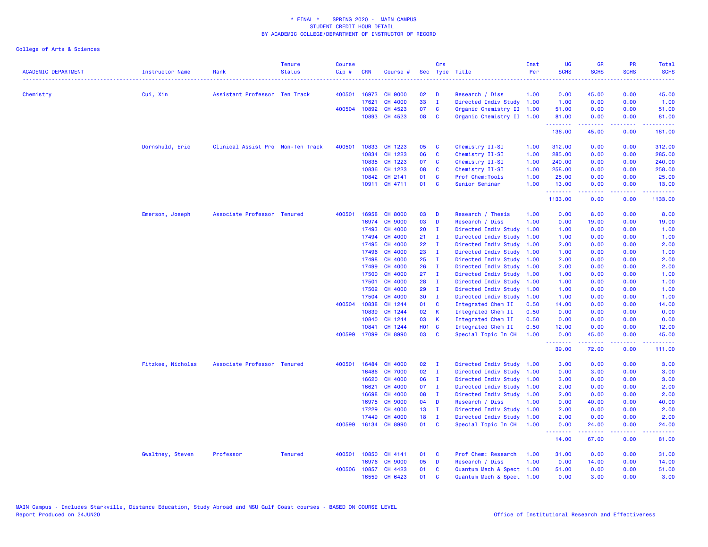| <b>ACADEMIC DEPARTMENT</b> | <b>Instructor Name</b> | Rank                              | <b>Tenure</b><br><b>Status</b> | Course<br>$Cip$ # | <b>CRN</b> | Course #       |                   | Crs          | Sec Type Title            | Inst<br>Per | UG<br><b>SCHS</b>                                   | <b>GR</b><br><b>SCHS</b> | PR<br><b>SCHS</b> | Total<br><b>SCHS</b>                                                                                                      |
|----------------------------|------------------------|-----------------------------------|--------------------------------|-------------------|------------|----------------|-------------------|--------------|---------------------------|-------------|-----------------------------------------------------|--------------------------|-------------------|---------------------------------------------------------------------------------------------------------------------------|
|                            |                        |                                   |                                |                   |            |                |                   |              |                           |             | الداعات عاما                                        |                          |                   | $\frac{1}{2} \left( \frac{1}{2} \right) \left( \frac{1}{2} \right) \left( \frac{1}{2} \right) \left( \frac{1}{2} \right)$ |
| Chemistry                  | Cui, Xin               | Assistant Professor Ten Track     |                                | 400501            | 16973      | <b>CH 9000</b> | 02                | D            | Research / Diss           | 1.00        | 0.00                                                | 45.00                    | 0.00              | 45.00                                                                                                                     |
|                            |                        |                                   |                                |                   | 17621      | CH 4000        | 33                | $\mathbf{I}$ | Directed Indiv Study 1.00 |             | 1.00                                                | 0.00                     | 0.00              | 1.00                                                                                                                      |
|                            |                        |                                   |                                | 400504            | 10892      | CH 4523        | 07                | <b>C</b>     | Organic Chemistry II 1.00 |             | 51.00                                               | 0.00                     | 0.00              | 51.00                                                                                                                     |
|                            |                        |                                   |                                |                   |            | 10893 CH 4523  | 08                | C            | Organic Chemistry II 1.00 |             | 81.00<br><b><i><u><u> - - - - - - -</u></u></i></b> | 0.00<br><b>.</b>         | 0.00<br>.         | 81.00<br>.                                                                                                                |
|                            |                        |                                   |                                |                   |            |                |                   |              |                           |             | 136.00                                              | 45.00                    | 0.00              | 181.00                                                                                                                    |
|                            | Dornshuld, Eric        | Clinical Assist Pro Non-Ten Track |                                | 400501            |            | 10833 CH 1223  | 05                | <b>C</b>     | Chemistry II-SI           | 1.00        | 312.00                                              | 0.00                     | 0.00              | 312.00                                                                                                                    |
|                            |                        |                                   |                                |                   | 10834      | CH 1223        | 06                | C            | Chemistry II-SI           | 1.00        | 285.00                                              | 0.00                     | 0.00              | 285.00                                                                                                                    |
|                            |                        |                                   |                                |                   | 10835      | CH 1223        | 07                | C            | Chemistry II-SI           | 1.00        | 240.00                                              | 0.00                     | 0.00              | 240.00                                                                                                                    |
|                            |                        |                                   |                                |                   | 10836      | CH 1223        | 08                | C            | Chemistry II-SI           | 1.00        | 258.00                                              | 0.00                     | 0.00              | 258.00                                                                                                                    |
|                            |                        |                                   |                                |                   | 10842      | CH 2141        | 01                | C            | Prof Chem: Tools          | 1.00        | 25.00                                               | 0.00                     | 0.00              | 25.00                                                                                                                     |
|                            |                        |                                   |                                |                   |            | 10911 CH 4711  | 01                | C            | Senior Seminar            | 1.00        | 13.00<br>.                                          | 0.00<br>.                | 0.00<br>----      | 13.00<br>2.2.2.2.1                                                                                                        |
|                            |                        |                                   |                                |                   |            |                |                   |              |                           |             | 1133.00                                             | 0.00                     | 0.00              | 1133.00                                                                                                                   |
|                            | Emerson, Joseph        | Associate Professor Tenured       |                                | 400501            | 16958      | <b>CH 8000</b> | 03                | D            | Research / Thesis         | 1.00        | 0.00                                                | 8.00                     | 0.00              | 8.00                                                                                                                      |
|                            |                        |                                   |                                |                   | 16974      | <b>CH 9000</b> | 03                | D            | Research / Diss           | 1.00        | 0.00                                                | 19.00                    | 0.00              | 19.00                                                                                                                     |
|                            |                        |                                   |                                |                   | 17493      | CH 4000        | 20                | $\mathbf{I}$ | Directed Indiv Study      | 1.00        | 1.00                                                | 0.00                     | 0.00              | 1.00                                                                                                                      |
|                            |                        |                                   |                                |                   | 17494      | CH 4000        | 21                | $\mathbf{I}$ | Directed Indiv Study      | 1.00        | 1.00                                                | 0.00                     | 0.00              | 1.00                                                                                                                      |
|                            |                        |                                   |                                |                   | 17495      | CH 4000        | 22                | $\mathbf{I}$ | Directed Indiv Study      | 1.00        | 2.00                                                | 0.00                     | 0.00              | 2.00                                                                                                                      |
|                            |                        |                                   |                                |                   | 17496      | CH 4000        | 23                | $\mathbf{I}$ | Directed Indiv Study 1.00 |             | 1.00                                                | 0.00                     | 0.00              | 1.00                                                                                                                      |
|                            |                        |                                   |                                |                   | 17498      | CH 4000        | 25                | $\mathbf{I}$ | Directed Indiv Study 1.00 |             | 2.00                                                | 0.00                     | 0.00              | 2.00                                                                                                                      |
|                            |                        |                                   |                                |                   | 17499      | CH 4000        | 26 <sup>°</sup>   | - I          | Directed Indiv Study      | 1.00        | 2.00                                                | 0.00                     | 0.00              | 2.00                                                                                                                      |
|                            |                        |                                   |                                |                   | 17500      | CH 4000        | 27                | - I          | Directed Indiv Study      | 1.00        | 1.00                                                | 0.00                     | 0.00              | 1.00                                                                                                                      |
|                            |                        |                                   |                                |                   | 17501      | CH 4000        | 28                | $\mathbf{I}$ | Directed Indiv Study      | 1.00        | 1.00                                                | 0.00                     | 0.00              | 1.00                                                                                                                      |
|                            |                        |                                   |                                |                   | 17502      | CH 4000        | 29                | $\mathbf{I}$ | Directed Indiv Study      | 1.00        | 1.00                                                | 0.00                     | 0.00              | 1.00                                                                                                                      |
|                            |                        |                                   |                                |                   | 17504      | CH 4000        | 30                | $\mathbf{I}$ | Directed Indiv Study      | 1.00        | 1.00                                                | 0.00                     | 0.00              | 1.00                                                                                                                      |
|                            |                        |                                   |                                | 400504            | 10838      | CH 1244        | 01                | C            | Integrated Chem II        | 0.50        | 14.00                                               | 0.00                     | 0.00              | 14.00                                                                                                                     |
|                            |                        |                                   |                                |                   | 10839      | CH 1244        | 02                | К            | Integrated Chem II        | 0.50        | 0.00                                                | 0.00                     | 0.00              | 0.00                                                                                                                      |
|                            |                        |                                   |                                |                   | 10840      | CH 1244        | 03                | K            | Integrated Chem II        | 0.50        | 0.00                                                | 0.00                     | 0.00              | 0.00                                                                                                                      |
|                            |                        |                                   |                                |                   | 10841      | CH 1244        | HO <sub>1</sub> C |              | Integrated Chem II        | 0.50        | 12.00                                               | 0.00                     | 0.00              | 12.00                                                                                                                     |
|                            |                        |                                   |                                | 400599            | 17099      | <b>CH 8990</b> | 03                | <b>C</b>     | Special Topic In CH       | 1.00        | 0.00                                                | 45.00                    | 0.00              | 45.00                                                                                                                     |
|                            |                        |                                   |                                |                   |            |                |                   |              |                           |             | .<br>39.00                                          | .<br>72.00               | .<br>0.00         | .<br>111.00                                                                                                               |
|                            | Fitzkee, Nicholas      | Associate Professor Tenured       |                                | 400501            | 16484      | CH 4000        | 02                | $\mathbf{I}$ | Directed Indiv Study 1.00 |             | 3.00                                                | 0.00                     | 0.00              | 3.00                                                                                                                      |
|                            |                        |                                   |                                |                   | 16486      | <b>CH 7000</b> | 02                | $\mathbf{I}$ | Directed Indiv Study 1.00 |             | 0.00                                                | 3.00                     | 0.00              | 3.00                                                                                                                      |
|                            |                        |                                   |                                |                   | 16620      | CH 4000        | 06                | $\mathbf{I}$ | Directed Indiv Study 1.00 |             | 3.00                                                | 0.00                     | 0.00              | 3.00                                                                                                                      |
|                            |                        |                                   |                                |                   | 16621      | CH 4000        | 07                | $\mathbf{I}$ | Directed Indiv Study 1.00 |             | 2.00                                                | 0.00                     | 0.00              | 2.00                                                                                                                      |
|                            |                        |                                   |                                |                   | 16698      | CH 4000        | 08                | $\mathbf{I}$ | Directed Indiv Study 1.00 |             | 2.00                                                | 0.00                     | 0.00              | 2.00                                                                                                                      |
|                            |                        |                                   |                                |                   | 16975      | <b>CH 9000</b> | 04                | D            | Research / Diss           | 1.00        | 0.00                                                | 40.00                    | 0.00              | 40.00                                                                                                                     |
|                            |                        |                                   |                                |                   | 17229      | CH 4000        | 13 <sup>°</sup>   | $\mathbf{I}$ | Directed Indiv Study      | 1.00        | 2.00                                                | 0.00                     | 0.00              | 2.00                                                                                                                      |
|                            |                        |                                   |                                |                   | 17449      | CH 4000        | 18                | I.           | Directed Indiv Study      | 1.00        | 2.00                                                | 0.00                     | 0.00              | 2.00                                                                                                                      |
|                            |                        |                                   |                                | 400599            |            | 16134 CH 8990  | 01                | <b>C</b>     | Special Topic In CH       | 1.00        | 0.00                                                | 24.00                    | 0.00              | 24.00                                                                                                                     |
|                            |                        |                                   |                                |                   |            |                |                   |              |                           |             | .<br>14.00                                          | 22222<br>67.00           | د د د د<br>0.00   | المتماما<br>81.00                                                                                                         |
|                            | Gwaltney, Steven       | Professor                         | <b>Tenured</b>                 | 400501            | 10850      | CH 4141        | 01                | C            | Prof Chem: Research       | 1.00        | 31.00                                               | 0.00                     | 0.00              | 31.00                                                                                                                     |
|                            |                        |                                   |                                |                   | 16976      | <b>CH 9000</b> | 05                | D            | Research / Diss           | 1.00        | 0.00                                                | 14.00                    | 0.00              | 14.00                                                                                                                     |
|                            |                        |                                   |                                | 400506            | 10857      | CH 4423        | 01                | C            | Quantum Mech & Spect 1.00 |             | 51.00                                               | 0.00                     | 0.00              | 51.00                                                                                                                     |
|                            |                        |                                   |                                |                   | 16559      | CH 6423        | 01                | $\mathbf{c}$ | Quantum Mech & Spect 1.00 |             | 0.00                                                | 3.00                     | 0.00              | 3.00                                                                                                                      |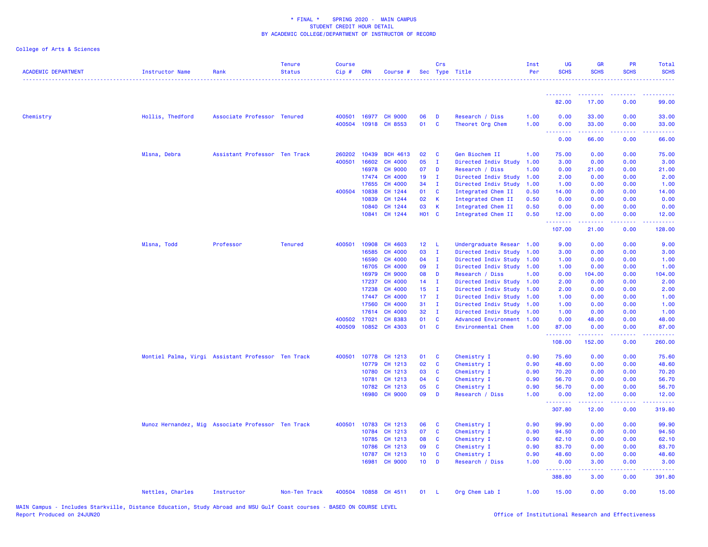| <b>ACADEMIC DEPARTMENT</b> | Instructor Name  | Rank                                               | <b>Tenure</b><br><b>Status</b> | <b>Course</b><br>Cip# | <b>CRN</b>   | Course #        |                 | Crs          | Sec Type Title            | Inst<br>Per | <b>UG</b><br><b>SCHS</b> | <b>GR</b><br><b>SCHS</b> | PR<br><b>SCHS</b> | Total<br><b>SCHS</b> |
|----------------------------|------------------|----------------------------------------------------|--------------------------------|-----------------------|--------------|-----------------|-----------------|--------------|---------------------------|-------------|--------------------------|--------------------------|-------------------|----------------------|
|                            |                  |                                                    |                                |                       |              |                 |                 |              |                           |             | .                        | <u> - - - - - - - -</u>  |                   |                      |
|                            |                  |                                                    |                                |                       |              |                 |                 |              |                           |             | 82.00                    | 17.00                    | 0.00              | 99.00                |
| Chemistry                  | Hollis, Thedford | Associate Professor Tenured                        |                                | 400501                |              | 16977 CH 9000   | 06              | <b>D</b>     | Research / Diss           | 1.00        | 0.00                     | 33.00                    | 0.00              | 33.00                |
|                            |                  |                                                    |                                | 400504                |              | 10918 CH 8553   | 01              | $\mathbf{C}$ | Theoret Org Chem          | 1.00        | 0.00<br><b>.</b> .       | 33.00<br>.               | 0.00<br>22222     | 33.00<br>.           |
|                            |                  |                                                    |                                |                       |              |                 |                 |              |                           |             | 0.00                     | 66.00                    | 0.00              | 66.00                |
|                            | Mlsna, Debra     | Assistant Professor Ten Track                      |                                | 260202                | 10439        | <b>BCH 4613</b> | 02              | <b>C</b>     | Gen Biochem II            | 1.00        | 75.00                    | 0.00                     | 0.00              | 75.00                |
|                            |                  |                                                    |                                | 400501                | 16602        | CH 4000         | 05              | $\mathbf{I}$ | Directed Indiv Study      | 1.00        | 3.00                     | 0.00                     | 0.00              | 3.00                 |
|                            |                  |                                                    |                                |                       | 16978        | <b>CH 9000</b>  | 07              | D            | Research / Diss           | 1.00        | 0.00                     | 21.00                    | 0.00              | 21.00                |
|                            |                  |                                                    |                                |                       | 17474        | CH 4000         | 19 <sup>°</sup> | $\mathbf{I}$ | Directed Indiv Study      | 1.00        | 2.00                     | 0.00                     | 0.00              | 2.00                 |
|                            |                  |                                                    |                                |                       | 17655        | CH 4000         | 34              | $\mathbf{I}$ | Directed Indiv Study      | 1.00        | 1.00                     | 0.00                     | 0.00              | 1.00                 |
|                            |                  |                                                    |                                | 400504                | 10838        | CH 1244         | 01              | $\mathbf{C}$ | Integrated Chem II        | 0.50        | 14.00                    | 0.00                     | 0.00              | 14.00                |
|                            |                  |                                                    |                                |                       | 10839        | CH 1244         | 02              | $\mathbf{K}$ | Integrated Chem II        | 0.50        | 0.00                     | 0.00                     | 0.00              | 0.00                 |
|                            |                  |                                                    |                                |                       | 10840        | CH 1244         | 03              | $\mathbf{K}$ | Integrated Chem II        | 0.50        | 0.00                     | 0.00                     | 0.00              | 0.00                 |
|                            |                  |                                                    |                                |                       |              | 10841 CH 1244   | H01 C           |              | Integrated Chem II        | 0.50        | 12.00<br>.               | 0.00<br>.                | 0.00<br>22222     | 12.00<br><u>.</u>    |
|                            |                  |                                                    |                                |                       |              |                 |                 |              |                           |             | 107.00                   | 21.00                    | 0.00              | 128.00               |
|                            | Mlsna, Todd      | Professor                                          | <b>Tenured</b>                 |                       | 400501 10908 | CH 4603         | 12 L            |              | Undergraduate Resear 1.00 |             | 9.00                     | 0.00                     | 0.00              | 9.00                 |
|                            |                  |                                                    |                                |                       | 16585        | CH 4000         | 03              | $\mathbf{I}$ | Directed Indiv Study      | 1.00        | 3.00                     | 0.00                     | 0.00              | 3.00                 |
|                            |                  |                                                    |                                |                       | 16590        | CH 4000         | 04              | $\mathbf{I}$ | Directed Indiv Study 1.00 |             | 1.00                     | 0.00                     | 0.00              | 1.00                 |
|                            |                  |                                                    |                                |                       | 16705        | <b>CH 4000</b>  | 09              | $\mathbf{I}$ | Directed Indiv Study 1.00 |             | 1.00                     | 0.00                     | 0.00              | 1.00                 |
|                            |                  |                                                    |                                |                       | 16979        | <b>CH 9000</b>  | 08              | <b>D</b>     | Research / Diss           | 1.00        | 0.00                     | 104.00                   | 0.00              | 104.00               |
|                            |                  |                                                    |                                |                       | 17237        | CH 4000         | $14$ I          |              | Directed Indiv Study      | 1.00        | 2.00                     | 0.00                     | 0.00              | 2.00                 |
|                            |                  |                                                    |                                |                       | 17238        | <b>CH 4000</b>  | 15              | $\mathbf{I}$ | Directed Indiv Study 1.00 |             | 2.00                     | 0.00                     | 0.00              | 2.00                 |
|                            |                  |                                                    |                                |                       | 17447        | <b>CH 4000</b>  | $17$ I          |              | Directed Indiv Study 1.00 |             | 1.00                     | 0.00                     | 0.00              | 1.00                 |
|                            |                  |                                                    |                                |                       | 17560        | CH 4000         | 31              | $\mathbf{I}$ | Directed Indiv Study 1.00 |             | 1.00                     | 0.00                     | 0.00              | 1.00                 |
|                            |                  |                                                    |                                |                       | 17614        | <b>CH 4000</b>  | 32              | $\mathbf{I}$ | Directed Indiv Study 1.00 |             | 1.00                     | 0.00                     | 0.00              | 1.00                 |
|                            |                  |                                                    |                                | 400502                | 17021        | CH 8383         | 01              | $\mathbf{C}$ | Advanced Environment 1.00 |             | 0.00                     | 48.00                    | 0.00              | 48.00                |
|                            |                  |                                                    |                                | 400509                |              | 10852 CH 4303   | 01              | $\mathbf{C}$ | Environmental Chem        | 1.00        | 87.00<br>-------         | 0.00<br>د د د د د        | 0.00<br>.         | 87.00<br>.           |
|                            |                  |                                                    |                                |                       |              |                 |                 |              |                           |             | 108.00                   | 152.00                   | 0.00              | 260.00               |
|                            |                  | Montiel Palma, Virgi Assistant Professor Ten Track |                                | 400501                | 10778        | CH 1213         | 01              | $\mathbf{C}$ | Chemistry I               | 0.90        | 75.60                    | 0.00                     | 0.00              | 75.60                |
|                            |                  |                                                    |                                |                       | 10779        | CH 1213         | 02              | <b>C</b>     | Chemistry I               | 0.90        | 48.60                    | 0.00                     | 0.00              | 48.60                |
|                            |                  |                                                    |                                |                       | 10780        | CH 1213         | 03              | $\mathbf{C}$ | Chemistry I               | 0.90        | 70.20                    | 0.00                     | 0.00              | 70.20                |
|                            |                  |                                                    |                                |                       | 10781        | CH 1213         | 04              | <b>C</b>     | Chemistry I               | 0.90        | 56.70                    | 0.00                     | 0.00              | 56.70                |
|                            |                  |                                                    |                                |                       | 10782        | CH 1213         | 05              | $\mathbf{C}$ | Chemistry I               | 0.90        | 56.70                    | 0.00                     | 0.00              | 56.70                |
|                            |                  |                                                    |                                |                       | 16980        | <b>CH 9000</b>  | 09              | D            | Research / Diss           | 1.00        | 0.00<br>.                | 12.00<br>بالأباليات      | 0.00<br>.         | 12.00<br>------      |
|                            |                  |                                                    |                                |                       |              |                 |                 |              |                           |             | 307.80                   | 12.00                    | 0.00              | 319.80               |
|                            |                  | Munoz Hernandez, Mig Associate Professor Ten Track |                                | 400501                | 10783        | CH 1213         | 06              | <b>C</b>     | Chemistry I               | 0.90        | 99.90                    | 0.00                     | 0.00              | 99.90                |
|                            |                  |                                                    |                                |                       | 10784        | CH 1213         | 07              | <b>C</b>     | Chemistry I               | 0.90        | 94.50                    | 0.00                     | 0.00              | 94.50                |
|                            |                  |                                                    |                                |                       | 10785        | CH 1213         | 08              | $\mathbf{C}$ | Chemistry I               | 0.90        | 62.10                    | 0.00                     | 0.00              | 62.10                |
|                            |                  |                                                    |                                |                       | 10786        | CH 1213         | 09              | <b>C</b>     | Chemistry I               | 0.90        | 83.70                    | 0.00                     | 0.00              | 83.70                |
|                            |                  |                                                    |                                |                       | 10787        | CH 1213         | 10              | <b>C</b>     | Chemistry I               | 0.90        | 48.60                    | 0.00                     | 0.00              | 48.60                |
|                            |                  |                                                    |                                |                       |              | 16981 CH 9000   | $10$ D          |              | Research / Diss           | 1.00        | 0.00<br>.                | 3.00<br>$- - - - -$      | 0.00<br><b>.</b>  | 3.00                 |
|                            |                  |                                                    |                                |                       |              |                 |                 |              |                           |             | 388.80                   | 3.00                     | 0.00              | 391.80               |
|                            | Nettles, Charles | Instructor                                         | Non-Ten Track                  | 400504                |              | 10858 CH 4511   | 01              | - L          | Org Chem Lab I            | 1.00        | 15.00                    | 0.00                     | 0.00              | 15.00                |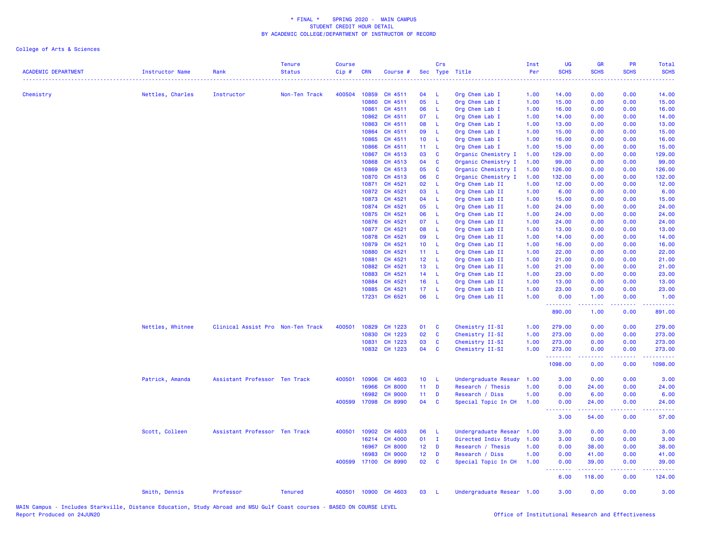College of Arts & Sciences

| <b>ACADEMIC DEPARTMENT</b> | Instructor Name  | Rank                              | <b>Tenure</b><br><b>Status</b> | <b>Course</b><br>Cip# | <b>CRN</b> | Course #       |                 | Crs          | Sec Type Title            | Inst<br>Per | <b>UG</b><br><b>SCHS</b>                                                                                                                                                                                                                                                                                                                                                                                                                                                                       | <b>GR</b><br><b>SCHS</b> | <b>PR</b><br><b>SCHS</b>                                                                                                  | Total<br><b>SCHS</b> |
|----------------------------|------------------|-----------------------------------|--------------------------------|-----------------------|------------|----------------|-----------------|--------------|---------------------------|-------------|------------------------------------------------------------------------------------------------------------------------------------------------------------------------------------------------------------------------------------------------------------------------------------------------------------------------------------------------------------------------------------------------------------------------------------------------------------------------------------------------|--------------------------|---------------------------------------------------------------------------------------------------------------------------|----------------------|
| Chemistry                  | Nettles, Charles | Instructor                        | Non-Ten Track                  | 400504                | 10859      | CH 4511        | 04              | - L          | Org Chem Lab I            | 1.00        | 14.00                                                                                                                                                                                                                                                                                                                                                                                                                                                                                          | 0.00                     | 0.00                                                                                                                      | 14.00                |
|                            |                  |                                   |                                |                       | 10860      | CH 4511        | 05              | -L           | Org Chem Lab I            | 1.00        | 15.00                                                                                                                                                                                                                                                                                                                                                                                                                                                                                          | 0.00                     | 0.00                                                                                                                      | 15.00                |
|                            |                  |                                   |                                |                       | 10861      | CH 4511        | 06              | - L          | Org Chem Lab I            | 1.00        | 16.00                                                                                                                                                                                                                                                                                                                                                                                                                                                                                          | 0.00                     | 0.00                                                                                                                      | 16.00                |
|                            |                  |                                   |                                |                       | 10862      | CH 4511        | 07              | - L          | Org Chem Lab I            | 1.00        | 14.00                                                                                                                                                                                                                                                                                                                                                                                                                                                                                          | 0.00                     | 0.00                                                                                                                      | 14.00                |
|                            |                  |                                   |                                |                       | 10863      | CH 4511        | 80              | - L          | Org Chem Lab I            | 1.00        | 13.00                                                                                                                                                                                                                                                                                                                                                                                                                                                                                          | 0.00                     | 0.00                                                                                                                      | 13.00                |
|                            |                  |                                   |                                |                       | 10864      | CH 4511        | 09              | - L          | Org Chem Lab I            | 1.00        | 15.00                                                                                                                                                                                                                                                                                                                                                                                                                                                                                          | 0.00                     | 0.00                                                                                                                      | 15.00                |
|                            |                  |                                   |                                |                       | 10865      | CH 4511        | 10 <sub>1</sub> | $\mathsf{L}$ | Org Chem Lab I            | 1.00        | 16.00                                                                                                                                                                                                                                                                                                                                                                                                                                                                                          | 0.00                     | 0.00                                                                                                                      | 16.00                |
|                            |                  |                                   |                                |                       | 10866      | CH 4511        | 11 <sub>1</sub> | - L          | Org Chem Lab I            | 1.00        | 15.00                                                                                                                                                                                                                                                                                                                                                                                                                                                                                          | 0.00                     | 0.00                                                                                                                      | 15.00                |
|                            |                  |                                   |                                |                       | 10867      | CH 4513        | 03              | <b>C</b>     | Organic Chemistry I       | 1.00        | 129.00                                                                                                                                                                                                                                                                                                                                                                                                                                                                                         | 0.00                     | 0.00                                                                                                                      | 129.00               |
|                            |                  |                                   |                                |                       | 10868      | CH 4513        | 04              | $\mathbf{C}$ | Organic Chemistry I       | 1.00        | 99.00                                                                                                                                                                                                                                                                                                                                                                                                                                                                                          | 0.00                     | 0.00                                                                                                                      | 99.00                |
|                            |                  |                                   |                                |                       | 10869      | CH 4513        | 05              | $\mathbf{C}$ | Organic Chemistry I       | 1.00        | 126.00                                                                                                                                                                                                                                                                                                                                                                                                                                                                                         | 0.00                     | 0.00                                                                                                                      | 126.00               |
|                            |                  |                                   |                                |                       | 10870      | CH 4513        | 06              | <b>C</b>     | Organic Chemistry I       | 1.00        | 132.00                                                                                                                                                                                                                                                                                                                                                                                                                                                                                         | 0.00                     | 0.00                                                                                                                      | 132.00               |
|                            |                  |                                   |                                |                       | 10871      | CH 4521        | 02 <sub>2</sub> | -L           | Org Chem Lab II           | 1.00        | 12.00                                                                                                                                                                                                                                                                                                                                                                                                                                                                                          | 0.00                     | 0.00                                                                                                                      | 12.00                |
|                            |                  |                                   |                                |                       | 10872      | CH 4521        | 03              | - L          | Org Chem Lab II           | 1.00        | 6.00                                                                                                                                                                                                                                                                                                                                                                                                                                                                                           | 0.00                     | 0.00                                                                                                                      | 6.00                 |
|                            |                  |                                   |                                |                       | 10873      | CH 4521        | 04              | - L          | Org Chem Lab II           | 1.00        | 15.00                                                                                                                                                                                                                                                                                                                                                                                                                                                                                          | 0.00                     | 0.00                                                                                                                      | 15.00                |
|                            |                  |                                   |                                |                       | 10874      | CH 4521        | 05              | - L          | Org Chem Lab II           | 1.00        | 24.00                                                                                                                                                                                                                                                                                                                                                                                                                                                                                          | 0.00                     | 0.00                                                                                                                      | 24.00                |
|                            |                  |                                   |                                |                       | 10875      | CH 4521        | 06              | - L          | Org Chem Lab II           | 1.00        | 24.00                                                                                                                                                                                                                                                                                                                                                                                                                                                                                          | 0.00                     | 0.00                                                                                                                      | 24.00                |
|                            |                  |                                   |                                |                       | 10876      | CH 4521        | 07              | - L          | Org Chem Lab II           | 1.00        | 24.00                                                                                                                                                                                                                                                                                                                                                                                                                                                                                          | 0.00                     | 0.00                                                                                                                      | 24.00                |
|                            |                  |                                   |                                |                       | 10877      | CH 4521        | 80              | $\mathsf{L}$ | Org Chem Lab II           | 1.00        | 13.00                                                                                                                                                                                                                                                                                                                                                                                                                                                                                          | 0.00                     | 0.00                                                                                                                      | 13.00                |
|                            |                  |                                   |                                |                       | 10878      | CH 4521        | 09              | - L          | Org Chem Lab II           | 1.00        | 14.00                                                                                                                                                                                                                                                                                                                                                                                                                                                                                          | 0.00                     | 0.00                                                                                                                      | 14.00                |
|                            |                  |                                   |                                |                       | 10879      | CH 4521        | 10 <sub>1</sub> | - L          | Org Chem Lab II           | 1.00        | 16.00                                                                                                                                                                                                                                                                                                                                                                                                                                                                                          | 0.00                     | 0.00                                                                                                                      | 16.00                |
|                            |                  |                                   |                                |                       | 10880      | CH 4521        | $11 - L$        |              | Org Chem Lab II           | 1.00        | 22.00                                                                                                                                                                                                                                                                                                                                                                                                                                                                                          | 0.00                     | 0.00                                                                                                                      | 22.00                |
|                            |                  |                                   |                                |                       | 10881      | CH 4521        | 12 <sub>1</sub> | $-L$         | Org Chem Lab II           | 1.00        | 21.00                                                                                                                                                                                                                                                                                                                                                                                                                                                                                          | 0.00                     | 0.00                                                                                                                      | 21.00                |
|                            |                  |                                   |                                |                       | 10882      | CH 4521        | 13 <sup>°</sup> | $\mathsf{L}$ | Org Chem Lab II           | 1.00        | 21.00                                                                                                                                                                                                                                                                                                                                                                                                                                                                                          | 0.00                     | 0.00                                                                                                                      | 21.00                |
|                            |                  |                                   |                                |                       | 10883      | CH 4521        | 14 L            |              | Org Chem Lab II           | 1.00        | 23.00                                                                                                                                                                                                                                                                                                                                                                                                                                                                                          | 0.00                     | 0.00                                                                                                                      | 23.00                |
|                            |                  |                                   |                                |                       | 10884      | CH 4521        | 16              | $-L$         | Org Chem Lab II           | 1.00        | 13.00                                                                                                                                                                                                                                                                                                                                                                                                                                                                                          | 0.00                     | 0.00                                                                                                                      | 13.00                |
|                            |                  |                                   |                                |                       | 10885      | CH 4521        | 17 <sub>1</sub> | - L          | Org Chem Lab II           | 1.00        | 23.00                                                                                                                                                                                                                                                                                                                                                                                                                                                                                          | 0.00                     | 0.00                                                                                                                      | 23.00                |
|                            |                  |                                   |                                |                       | 17231      | CH 6521        | 06              | - L          | Org Chem Lab II           | 1.00        | 0.00                                                                                                                                                                                                                                                                                                                                                                                                                                                                                           | 1.00                     | 0.00                                                                                                                      | 1.00                 |
|                            |                  |                                   |                                |                       |            |                |                 |              |                           |             | .                                                                                                                                                                                                                                                                                                                                                                                                                                                                                              | . <u>. .</u>             | $\frac{1}{2} \left( \frac{1}{2} \right) \left( \frac{1}{2} \right) \left( \frac{1}{2} \right) \left( \frac{1}{2} \right)$ | .                    |
|                            |                  |                                   |                                |                       |            |                |                 |              |                           |             | 890.00                                                                                                                                                                                                                                                                                                                                                                                                                                                                                         | 1.00                     | 0.00                                                                                                                      | 891.00               |
|                            | Nettles, Whitnee | Clinical Assist Pro Non-Ten Track |                                | 400501                | 10829      | CH 1223        | 01              | <b>C</b>     | Chemistry II-SI           | 1.00        | 279.00                                                                                                                                                                                                                                                                                                                                                                                                                                                                                         | 0.00                     | 0.00                                                                                                                      | 279.00               |
|                            |                  |                                   |                                |                       | 10830      | CH 1223        | 02              | <b>C</b>     | Chemistry II-SI           | 1.00        | 273.00                                                                                                                                                                                                                                                                                                                                                                                                                                                                                         | 0.00                     | 0.00                                                                                                                      | 273.00               |
|                            |                  |                                   |                                |                       | 10831      | CH 1223        | 03              | $\mathbf{C}$ | Chemistry II-SI           | 1.00        | 273.00                                                                                                                                                                                                                                                                                                                                                                                                                                                                                         | 0.00                     | 0.00                                                                                                                      | 273.00               |
|                            |                  |                                   |                                |                       |            | 10832 CH 1223  | 04              | C            | Chemistry II-SI           | 1.00        | 273.00<br>.                                                                                                                                                                                                                                                                                                                                                                                                                                                                                    | 0.00                     | 0.00                                                                                                                      | 273.00               |
|                            |                  |                                   |                                |                       |            |                |                 |              |                           |             | 1098.00                                                                                                                                                                                                                                                                                                                                                                                                                                                                                        | 0.00                     | 0.00                                                                                                                      | 1098.00              |
|                            | Patrick, Amanda  | Assistant Professor Ten Track     |                                | 400501                | 10906      | CH 4603        | 10 <sub>1</sub> | - L          | Undergraduate Resear      | 1.00        | 3.00                                                                                                                                                                                                                                                                                                                                                                                                                                                                                           | 0.00                     | 0.00                                                                                                                      | 3.00                 |
|                            |                  |                                   |                                |                       | 16966      | <b>CH 8000</b> | $11 -$          | $\mathbf{D}$ | Research / Thesis         | 1.00        | 0.00                                                                                                                                                                                                                                                                                                                                                                                                                                                                                           | 24.00                    | 0.00                                                                                                                      | 24.00                |
|                            |                  |                                   |                                |                       | 16982      | <b>CH 9000</b> | 11 <sub>1</sub> | $\mathbf{D}$ | Research / Diss           | 1.00        | 0.00                                                                                                                                                                                                                                                                                                                                                                                                                                                                                           | 6.00                     | 0.00                                                                                                                      | 6.00                 |
|                            |                  |                                   |                                | 400599                | 17098      | CH 8990        | 04              | $\mathbf{C}$ | Special Topic In CH       | 1.00        | 0.00                                                                                                                                                                                                                                                                                                                                                                                                                                                                                           | 24.00                    | 0.00                                                                                                                      | 24.00                |
|                            |                  |                                   |                                |                       |            |                |                 |              |                           |             | $\begin{array}{cccccccccccccc} \multicolumn{2}{c}{} & \multicolumn{2}{c}{} & \multicolumn{2}{c}{} & \multicolumn{2}{c}{} & \multicolumn{2}{c}{} & \multicolumn{2}{c}{} & \multicolumn{2}{c}{} & \multicolumn{2}{c}{} & \multicolumn{2}{c}{} & \multicolumn{2}{c}{} & \multicolumn{2}{c}{} & \multicolumn{2}{c}{} & \multicolumn{2}{c}{} & \multicolumn{2}{c}{} & \multicolumn{2}{c}{} & \multicolumn{2}{c}{} & \multicolumn{2}{c}{} & \multicolumn{2}{c}{} & \multicolumn{2}{c}{} & \$<br>3.00 | 54.00                    | 0.00                                                                                                                      | 57.00                |
|                            | Scott, Colleen   | Assistant Professor Ten Track     |                                | 400501                | 10902      | CH 4603        | 06              | - L          | Undergraduate Resear 1.00 |             | 3.00                                                                                                                                                                                                                                                                                                                                                                                                                                                                                           | 0.00                     | 0.00                                                                                                                      | 3.00                 |
|                            |                  |                                   |                                |                       | 16214      | CH 4000        | 01              | $\mathbf{I}$ | Directed Indiv Study      | 1.00        | 3.00                                                                                                                                                                                                                                                                                                                                                                                                                                                                                           | 0.00                     | 0.00                                                                                                                      | 3.00                 |
|                            |                  |                                   |                                |                       | 16967      | <b>CH 8000</b> | 12 <sup>7</sup> | D            | Research / Thesis         | 1.00        | 0.00                                                                                                                                                                                                                                                                                                                                                                                                                                                                                           | 38.00                    | 0.00                                                                                                                      | 38.00                |
|                            |                  |                                   |                                |                       | 16983      | <b>CH 9000</b> | 12 <sub>1</sub> | D            | Research / Diss           | 1.00        | 0.00                                                                                                                                                                                                                                                                                                                                                                                                                                                                                           | 41.00                    | 0.00                                                                                                                      | 41.00                |
|                            |                  |                                   |                                | 400599                |            | 17100 CH 8990  | 02              | $\mathbf{C}$ | Special Topic In CH       | 1.00        | 0.00                                                                                                                                                                                                                                                                                                                                                                                                                                                                                           | 39.00                    | 0.00                                                                                                                      | 39.00                |
|                            |                  |                                   |                                |                       |            |                |                 |              |                           |             | 6.00                                                                                                                                                                                                                                                                                                                                                                                                                                                                                           | 118.00                   | 0.00                                                                                                                      | 124.00               |
|                            | Smith, Dennis    | Professor                         | <b>Tenured</b>                 | 400501                |            | 10900 CH 4603  | 03              | - L          | Undergraduate Resear 1.00 |             | 3.00                                                                                                                                                                                                                                                                                                                                                                                                                                                                                           | 0.00                     | 0.00                                                                                                                      | 3.00                 |
|                            |                  |                                   |                                |                       |            |                |                 |              |                           |             |                                                                                                                                                                                                                                                                                                                                                                                                                                                                                                |                          |                                                                                                                           |                      |

MAIN Campus - Includes Starkville, Distance Education, Study Abroad and MSU Gulf Coast courses - BASED ON COURSE LEVEL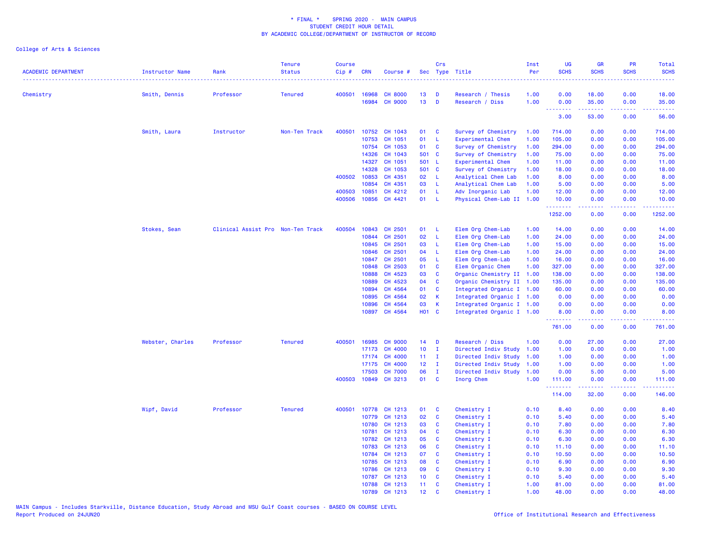| <b>ACADEMIC DEPARTMENT</b> | <b>Instructor Name</b> | Rank                              | <b>Tenure</b><br><b>Status</b> | <b>Course</b><br>Cip# | <b>CRN</b> | Course #             |                 | Crs          | Sec Type Title            | Inst<br>Per | <b>UG</b><br><b>SCHS</b>            | <b>GR</b><br><b>SCHS</b> | <b>PR</b><br><b>SCHS</b> | Total<br><b>SCHS</b><br>22220                                                                                                                                  |
|----------------------------|------------------------|-----------------------------------|--------------------------------|-----------------------|------------|----------------------|-----------------|--------------|---------------------------|-------------|-------------------------------------|--------------------------|--------------------------|----------------------------------------------------------------------------------------------------------------------------------------------------------------|
| Chemistry                  | Smith, Dennis          | Professor                         | <b>Tenured</b>                 | 400501                | 16968      | <b>CH 8000</b>       | 13              | D            | Research / Thesis         | 1.00        | 0.00                                | 18.00                    | 0.00                     | 18.00                                                                                                                                                          |
|                            |                        |                                   |                                |                       | 16984      | <b>CH 9000</b>       | 13              | D            | Research / Diss           | 1.00        | 0.00                                | 35.00                    | 0.00                     | 35.00                                                                                                                                                          |
|                            |                        |                                   |                                |                       |            |                      |                 |              |                           |             | $\sim$ $\sim$ $\sim$ $\sim$<br>3.00 | بالأباليات<br>53.00      | وعاويا<br>0.00           | المتمامين<br>56.00                                                                                                                                             |
|                            | Smith, Laura           | Instructor                        | Non-Ten Track                  | 400501                | 10752      | CH 1043              | 01              | C            | Survey of Chemistry       | 1.00        | 714.00                              | 0.00                     | 0.00                     | 714.00                                                                                                                                                         |
|                            |                        |                                   |                                |                       | 10753      | CH 1051              | 01              | - L          | Experimental Chem         | 1.00        | 105.00                              | 0.00                     | 0.00                     | 105.00                                                                                                                                                         |
|                            |                        |                                   |                                |                       | 10754      | CH 1053              | 01              | C            | Survey of Chemistry       | 1.00        | 294.00                              | 0.00                     | 0.00                     | 294.00                                                                                                                                                         |
|                            |                        |                                   |                                |                       | 14326      | CH 1043              | 501 C           |              | Survey of Chemistry       | 1.00        | 75.00                               | 0.00                     | 0.00                     | 75.00                                                                                                                                                          |
|                            |                        |                                   |                                |                       | 14327      | CH 1051              | 501 L           |              | Experimental Chem         | 1.00        | 11.00                               | 0.00                     | 0.00                     | 11.00                                                                                                                                                          |
|                            |                        |                                   |                                |                       | 14328      | CH 1053              | 501 C           |              | Survey of Chemistry       | 1.00        | 18.00                               | 0.00                     | 0.00                     | 18.00                                                                                                                                                          |
|                            |                        |                                   |                                | 400502                | 10853      | CH 4351              | 02              | - L          | Analytical Chem Lab       | 1.00        | 8.00                                | 0.00                     | 0.00                     | 8.00                                                                                                                                                           |
|                            |                        |                                   |                                |                       | 10854      | CH 4351              | 03              | - L          | Analytical Chem Lab       | 1.00        | 5.00                                | 0.00                     | 0.00                     | 5.00                                                                                                                                                           |
|                            |                        |                                   |                                | 400503                | 10851      | CH 4212              | 01              | - L          | Adv Inorganic Lab         | 1.00        | 12.00                               | 0.00                     | 0.00                     | 12.00                                                                                                                                                          |
|                            |                        |                                   |                                | 400506                | 10856      | CH 4421              | 01              | - L          | Physical Chem-Lab II      | 1.00        | 10.00                               | 0.00<br>.                | 0.00                     | 10.00<br>$\frac{1}{2} \left( \frac{1}{2} \right) \left( \frac{1}{2} \right) \left( \frac{1}{2} \right) \left( \frac{1}{2} \right) \left( \frac{1}{2} \right)$  |
|                            |                        |                                   |                                |                       |            |                      |                 |              |                           |             | .<br>1252.00                        | 0.00                     | 0.00                     | 1252.00                                                                                                                                                        |
|                            | Stokes, Sean           | Clinical Assist Pro Non-Ten Track |                                | 400504                | 10843      | CH 2501              | 01              | - L          | Elem Org Chem-Lab         | 1.00        | 14.00                               | 0.00                     | 0.00                     | 14.00                                                                                                                                                          |
|                            |                        |                                   |                                |                       | 10844      | CH 2501              | 02              | L            | Elem Org Chem-Lab         | 1.00        | 24.00                               | 0.00                     | 0.00                     | 24.00                                                                                                                                                          |
|                            |                        |                                   |                                |                       | 10845      | CH 2501              | 03              | L.           | Elem Org Chem-Lab         | 1.00        | 15.00                               | 0.00                     | 0.00                     | 15.00                                                                                                                                                          |
|                            |                        |                                   |                                |                       | 10846      | CH 2501              | 04              | - L          | Elem Org Chem-Lab         | 1.00        | 24.00                               | 0.00                     | 0.00                     | 24.00                                                                                                                                                          |
|                            |                        |                                   |                                |                       | 10847      | CH 2501              | 05              | L            | Elem Org Chem-Lab         | 1.00        | 16.00                               | 0.00                     | 0.00                     | 16.00                                                                                                                                                          |
|                            |                        |                                   |                                |                       | 10848      | CH 2503              | 01              | C            | Elem Organic Chem         | 1.00        | 327.00                              | 0.00                     | 0.00                     | 327.00                                                                                                                                                         |
|                            |                        |                                   |                                |                       | 10888      | CH 4523              | 03              | C            | Organic Chemistry II      | 1.00        | 138.00                              | 0.00                     | 0.00                     | 138.00                                                                                                                                                         |
|                            |                        |                                   |                                |                       | 10889      | CH 4523              | 04              | C            | Organic Chemistry II 1.00 |             | 135.00                              | 0.00                     | 0.00                     | 135.00                                                                                                                                                         |
|                            |                        |                                   |                                |                       | 10894      | CH 4564              | 01              | C            | Integrated Organic I 1.00 |             | 60.00                               | 0.00                     | 0.00                     | 60.00                                                                                                                                                          |
|                            |                        |                                   |                                |                       | 10895      | CH 4564              | 02              | K            | Integrated Organic I 1.00 |             | 0.00                                | 0.00                     | 0.00                     | 0.00                                                                                                                                                           |
|                            |                        |                                   |                                |                       | 10896      | CH 4564              | 03              | К            | Integrated Organic I 1.00 |             | 0.00                                | 0.00                     | 0.00                     | 0.00                                                                                                                                                           |
|                            |                        |                                   |                                |                       |            | 10897 CH 4564        | <b>HO1 C</b>    |              | Integrated Organic I 1.00 |             | 8.00                                | 0.00                     | 0.00                     | 8.00                                                                                                                                                           |
|                            |                        |                                   |                                |                       |            |                      |                 |              |                           |             | 761.00                              | 0.00                     | 0.00                     | 761.00                                                                                                                                                         |
|                            | Webster, Charles       | Professor                         | <b>Tenured</b>                 | 400501                | 16985      | <b>CH 9000</b>       | 14              | D            | Research / Diss           | 1.00        | 0.00                                | 27.00                    | 0.00                     | 27.00                                                                                                                                                          |
|                            |                        |                                   |                                |                       | 17173      | CH 4000              | 10 <sub>1</sub> | Ι.           | Directed Indiv Study      | 1.00        | 1.00                                | 0.00                     | 0.00                     | 1.00                                                                                                                                                           |
|                            |                        |                                   |                                |                       | 17174      | CH 4000              | 11 <sub>1</sub> | $\mathbf{I}$ | Directed Indiv Study      | 1.00        | 1.00                                | 0.00                     | 0.00                     | 1.00                                                                                                                                                           |
|                            |                        |                                   |                                |                       | 17175      | CH 4000              | 12 <sup>°</sup> | $\mathbf I$  | Directed Indiv Study      | 1.00        | 1.00                                | 0.00                     | 0.00                     | 1.00                                                                                                                                                           |
|                            |                        |                                   |                                |                       | 17503      | <b>CH 7000</b>       | 06              | $\mathbf{I}$ | Directed Indiv Study      | 1.00        | 0.00                                | 5.00                     | 0.00                     | 5.00                                                                                                                                                           |
|                            |                        |                                   |                                |                       |            | 400503 10849 CH 3213 | 01              | $\mathbf{C}$ | Inorg Chem                | 1.00        | 111.00                              | 0.00                     | 0.00                     | 111.00                                                                                                                                                         |
|                            |                        |                                   |                                |                       |            |                      |                 |              |                           |             | .<br>114.00                         | د د د د د<br>32.00       | .<br>0.00                | $\frac{1}{2} \left( \frac{1}{2} \right) \left( \frac{1}{2} \right) \left( \frac{1}{2} \right) \left( \frac{1}{2} \right) \left( \frac{1}{2} \right)$<br>146.00 |
|                            | Wipf, David            | Professor                         | <b>Tenured</b>                 | 400501                | 10778      | CH 1213              | 01              | C            | Chemistry I               | 0.10        | 8.40                                | 0.00                     | 0.00                     | 8.40                                                                                                                                                           |
|                            |                        |                                   |                                |                       | 10779      | CH 1213              | 02              | C            | Chemistry I               | 0.10        | 5.40                                | 0.00                     | 0.00                     | 5.40                                                                                                                                                           |
|                            |                        |                                   |                                |                       | 10780      | CH 1213              | 03              | C            | Chemistry I               | 0.10        | 7.80                                | 0.00                     | 0.00                     | 7.80                                                                                                                                                           |
|                            |                        |                                   |                                |                       | 10781      | CH 1213              | 04              | C            | Chemistry I               | 0.10        | 6.30                                | 0.00                     | 0.00                     | 6.30                                                                                                                                                           |
|                            |                        |                                   |                                |                       | 10782      | CH 1213              | 05              | C            | Chemistry I               | 0.10        | 6.30                                | 0.00                     | 0.00                     | 6.30                                                                                                                                                           |
|                            |                        |                                   |                                |                       | 10783      | CH 1213              | 06              | C            | Chemistry I               | 0.10        | 11.10                               | 0.00                     | 0.00                     | 11.10                                                                                                                                                          |
|                            |                        |                                   |                                |                       | 10784      | CH 1213              | 07              | C            | Chemistry I               | 0.10        | 10.50                               | 0.00                     | 0.00                     | 10.50                                                                                                                                                          |
|                            |                        |                                   |                                |                       | 10785      | CH 1213              | 08              | C            | Chemistry I               | 0.10        | 6.90                                | 0.00                     | 0.00                     | 6.90                                                                                                                                                           |
|                            |                        |                                   |                                |                       | 10786      | CH 1213              | 09              | C            | Chemistry I               | 0.10        | 9.30                                | 0.00                     | 0.00                     | 9.30                                                                                                                                                           |
|                            |                        |                                   |                                |                       | 10787      | CH 1213              | 10 <sub>1</sub> | C            | Chemistry I               | 0.10        | 5.40                                | 0.00                     | 0.00                     | 5.40                                                                                                                                                           |
|                            |                        |                                   |                                |                       | 10788      | CH 1213              | 11 <sub>1</sub> | <b>C</b>     | Chemistry I               | 1.00        | 81.00                               | 0.00                     | 0.00                     | 81.00                                                                                                                                                          |
|                            |                        |                                   |                                |                       | 10789      | CH 1213              | 12 <sub>2</sub> | $\mathbf{c}$ | Chemistry I               | 1.00        | 48.00                               | 0.00                     | 0.00                     | 48.00                                                                                                                                                          |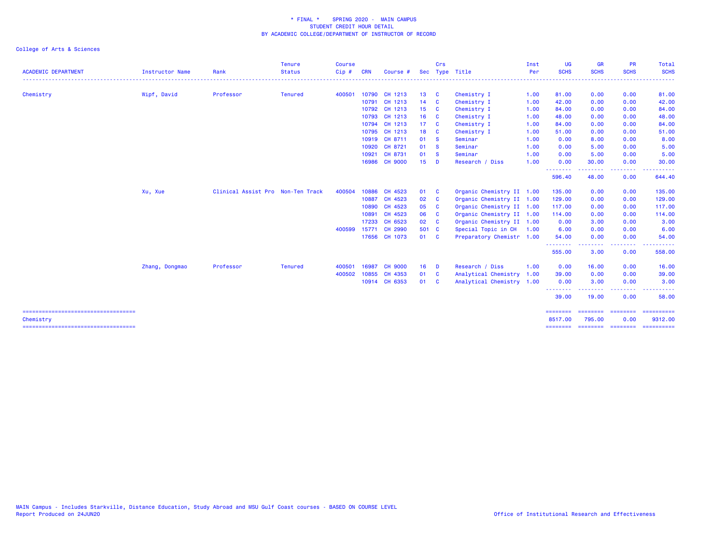| UG                                                                                                                                                                         | Inst |                           | Crs            |                 |                |            | <b>Course</b> | <b>Tenure</b>  |                                   |                        |                                                    |
|----------------------------------------------------------------------------------------------------------------------------------------------------------------------------|------|---------------------------|----------------|-----------------|----------------|------------|---------------|----------------|-----------------------------------|------------------------|----------------------------------------------------|
| <b>SCHS</b><br><b>SCHS</b>                                                                                                                                                 | Per  | Sec Type Title            |                |                 | Course #       | <b>CRN</b> | Cip#          | <b>Status</b>  | Rank                              | <b>Instructor Name</b> | <b>ACADEMIC DEPARTMENT</b>                         |
| 0.00<br>81.00                                                                                                                                                              | 1.00 | Chemistry I               | $\mathbf{C}$   | 13 <sup>°</sup> | 10790 CH 1213  |            | 400501        | <b>Tenured</b> | Professor                         | Wipf, David            | Chemistry                                          |
| 42.00<br>0.00                                                                                                                                                              | 1.00 | Chemistry I               | $\mathbf{C}$   | 14              | 10791 CH 1213  |            |               |                |                                   |                        |                                                    |
| 0.00<br>84.00                                                                                                                                                              | 1.00 | Chemistry I               | <b>C</b>       | 15              | 10792 CH 1213  |            |               |                |                                   |                        |                                                    |
| 48.00<br>0.00                                                                                                                                                              | 1.00 | Chemistry I               | - C            | 16              | CH 1213        | 10793      |               |                |                                   |                        |                                                    |
| 0.00<br>84.00                                                                                                                                                              | 1.00 | Chemistry I               | - C            | 17 <sup>2</sup> | CH 1213        | 10794      |               |                |                                   |                        |                                                    |
| 0.00<br>51.00                                                                                                                                                              | 1.00 | Chemistry I               | <b>C</b>       | 18              | CH 1213        | 10795      |               |                |                                   |                        |                                                    |
| 8.00<br>0.00                                                                                                                                                               | 1.00 | Seminar                   | <b>S</b>       | 01              | CH 8711        | 10919      |               |                |                                   |                        |                                                    |
| 0.00<br>5.00                                                                                                                                                               | 1.00 | Seminar                   | <b>S</b>       | 01              | CH 8721        | 10920      |               |                |                                   |                        |                                                    |
| 0.00<br>5.00                                                                                                                                                               | 1.00 | Seminar                   | - S            | 01              | CH 8731        | 10921      |               |                |                                   |                        |                                                    |
| 0.00<br>30.00<br>.<br>$\frac{1}{2} \left( \frac{1}{2} \right) \left( \frac{1}{2} \right) \left( \frac{1}{2} \right) \left( \frac{1}{2} \right) \left( \frac{1}{2} \right)$ | 1.00 | Research / Diss           | <b>D</b>       | 15              | <b>CH 9000</b> | 16986      |               |                |                                   |                        |                                                    |
| 596.40<br>48.00                                                                                                                                                            |      |                           |                |                 |                |            |               |                |                                   |                        |                                                    |
| 135.00<br>0.00                                                                                                                                                             |      | Organic Chemistry II 1.00 | <b>C</b>       | 01              | CH 4523        | 10886      | 400504        |                | Clinical Assist Pro Non-Ten Track | Xu, Xue                |                                                    |
| 129.00<br>0.00                                                                                                                                                             |      | Organic Chemistry II 1.00 | - C            | 02              | CH 4523        | 10887      |               |                |                                   |                        |                                                    |
| 117.00<br>0.00                                                                                                                                                             |      | Organic Chemistry II 1.00 | <b>C</b>       | 05              | CH 4523        | 10890      |               |                |                                   |                        |                                                    |
| 0.00<br>114.00                                                                                                                                                             |      | Organic Chemistry II 1.00 | <b>C</b>       | 06              | CH 4523        | 10891      |               |                |                                   |                        |                                                    |
| 0.00<br>3.00                                                                                                                                                               |      | Organic Chemistry II 1.00 |                | 02 C            | 17233 CH 6523  |            |               |                |                                   |                        |                                                    |
| 6.00<br>0.00                                                                                                                                                               | 1.00 | Special Topic in CH       |                | 501 C           | CH 2990        | 15771      | 400599        |                |                                   |                        |                                                    |
| 0.00<br>54.00                                                                                                                                                              |      | Preparatory Chemistr 1.00 |                | 01 C            | 17656 CH 1073  |            |               |                |                                   |                        |                                                    |
| 555.00<br>3.00                                                                                                                                                             |      |                           |                |                 |                |            |               |                |                                   |                        |                                                    |
| 0.00<br>16.00                                                                                                                                                              | 1.00 | Research / Diss           | $\blacksquare$ | 16              | <b>CH 9000</b> | 16987      | 400501        | <b>Tenured</b> | Professor                         | Zhang, Dongmao         |                                                    |
| 39.00<br>0.00                                                                                                                                                              | 1.00 | Analytical Chemistry      | <b>C</b>       | 01              | CH 4353        | 10855      | 400502        |                |                                   |                        |                                                    |
| 0.00<br>3.00                                                                                                                                                               |      | Analytical Chemistry 1.00 | - C            | 01              | 10914 CH 6353  |            |               |                |                                   |                        |                                                    |
| --------<br>39.00<br>19.00                                                                                                                                                 |      |                           |                |                 |                |            |               |                |                                   |                        |                                                    |
| ========<br>========<br>8517.00<br>795.00                                                                                                                                  |      |                           |                |                 |                |            |               |                |                                   |                        | =====================================              |
| <b>ESSESSES</b><br>======== ========                                                                                                                                       |      |                           |                |                 |                |            |               |                |                                   |                        |                                                    |
|                                                                                                                                                                            |      |                           |                |                 |                |            |               |                |                                   |                        | Chemistry<br>===================================== |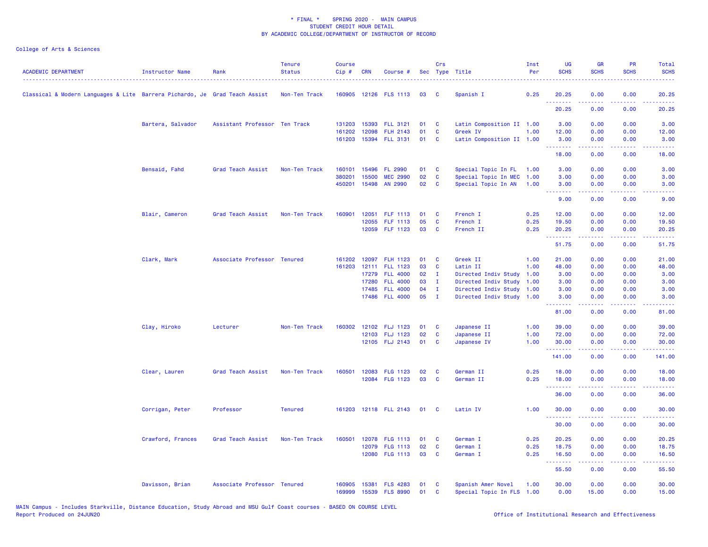| <b>ACADEMIC DEPARTMENT</b>                                                 | Instructor Name   | Rank                          | <b>Tenure</b><br><b>Status</b> | <b>Course</b><br>Cip# | <b>CRN</b>   | Course #              |    | Crs          | Sec Type Title            | Inst<br>Per | <b>UG</b><br><b>SCHS</b> | <b>GR</b><br><b>SCHS</b>                                                                               | <b>PR</b><br><b>SCHS</b> | Total<br><b>SCHS</b>                                                                                                                                         |
|----------------------------------------------------------------------------|-------------------|-------------------------------|--------------------------------|-----------------------|--------------|-----------------------|----|--------------|---------------------------|-------------|--------------------------|--------------------------------------------------------------------------------------------------------|--------------------------|--------------------------------------------------------------------------------------------------------------------------------------------------------------|
| Classical & Modern Languages & Lite Barrera Pichardo, Je Grad Teach Assist |                   |                               | Non-Ten Track                  |                       |              | 160905 12126 FLS 1113 | 03 | <b>C</b>     | Spanish I                 | 0.25        | 20.25                    | 0.00                                                                                                   | 0.00                     | 20.25                                                                                                                                                        |
|                                                                            |                   |                               |                                |                       |              |                       |    |              |                           |             | .<br>20.25               | .<br>0.00                                                                                              | 0.00                     | والمستناط<br>20.25                                                                                                                                           |
|                                                                            | Bartera, Salvador | Assistant Professor Ten Track |                                |                       | 131203 15393 | <b>FLL 3121</b>       | 01 | <b>C</b>     | Latin Composition II 1.00 |             | 3.00                     | 0.00                                                                                                   | 0.00                     | 3.00                                                                                                                                                         |
|                                                                            |                   |                               |                                | 161202                | 12098        | <b>FLH 2143</b>       | 01 | $\mathbf{C}$ | Greek IV                  | 1.00        | 12.00                    | 0.00                                                                                                   | 0.00                     | 12.00                                                                                                                                                        |
|                                                                            |                   |                               |                                |                       |              | 161203 15394 FLL 3131 | 01 | <b>C</b>     | Latin Composition II 1.00 |             | 3.00<br>.                | 0.00<br>$\frac{1}{2} \left( \frac{1}{2} \right) \left( \frac{1}{2} \right) \left( \frac{1}{2} \right)$ | 0.00                     | 3.00                                                                                                                                                         |
|                                                                            |                   |                               |                                |                       |              |                       |    |              |                           |             | 18.00                    | 0.00                                                                                                   | 0.00                     | 18.00                                                                                                                                                        |
|                                                                            | Bensaid, Fahd     | Grad Teach Assist             | Non-Ten Track                  | 160101                | 15496        | FL 2990               | 01 | $\mathbf{C}$ | Special Topic In FL 1.00  |             | 3.00                     | 0.00                                                                                                   | 0.00                     | 3.00                                                                                                                                                         |
|                                                                            |                   |                               |                                | 380201                | 15500        | <b>MEC 2990</b>       | 02 | $\mathbf{C}$ | Special Topic In MEC 1.00 |             | 3.00                     | 0.00                                                                                                   | 0.00                     | 3.00                                                                                                                                                         |
|                                                                            |                   |                               |                                | 450201                | 15498        | AN 2990               | 02 | $\mathbf{C}$ | Special Topic In AN 1.00  |             | 3.00<br>.                | 0.00<br>بالمستمال                                                                                      | 0.00<br>.                | 3.00<br>$\frac{1}{2} \left( \frac{1}{2} \right) \left( \frac{1}{2} \right) \left( \frac{1}{2} \right) \left( \frac{1}{2} \right) \left( \frac{1}{2} \right)$ |
|                                                                            |                   |                               |                                |                       |              |                       |    |              |                           |             | 9.00                     | 0.00                                                                                                   | 0.00                     | 9.00                                                                                                                                                         |
|                                                                            | Blair, Cameron    | Grad Teach Assist             | Non-Ten Track                  | 160901                | 12051        | FLF 1113              | 01 | $\mathbf{C}$ | French I                  | 0.25        | 12.00                    | 0.00                                                                                                   | 0.00                     | 12.00                                                                                                                                                        |
|                                                                            |                   |                               |                                |                       | 12055        | FLF 1113              | 05 | $\mathbf{C}$ | French I                  | 0.25        | 19.50                    | 0.00                                                                                                   | 0.00                     | 19.50                                                                                                                                                        |
|                                                                            |                   |                               |                                |                       |              | 12059 FLF 1123        | 03 | C            | French II                 | 0.25        | 20.25<br>.               | 0.00<br>المتمام المتمار                                                                                | 0.00<br>.                | 20.25<br>.                                                                                                                                                   |
|                                                                            |                   |                               |                                |                       |              |                       |    |              |                           |             | 51.75                    | 0.00                                                                                                   | 0.00                     | 51.75                                                                                                                                                        |
|                                                                            | Clark, Mark       | Associate Professor Tenured   |                                | 161202                | 12097        | <b>FLH 1123</b>       | 01 | C            | Greek II                  | 1.00        | 21.00                    | 0.00                                                                                                   | 0.00                     | 21.00                                                                                                                                                        |
|                                                                            |                   |                               |                                | 161203                | 12111        | <b>FLL 1123</b>       | 03 | $\mathbf{C}$ | Latin II                  | 1.00        | 48.00                    | 0.00                                                                                                   | 0.00                     | 48.00                                                                                                                                                        |
|                                                                            |                   |                               |                                |                       | 17279        | <b>FLL 4000</b>       | 02 | $\mathbf{I}$ | Directed Indiv Study      | 1.00        | 3.00                     | 0.00                                                                                                   | 0.00                     | 3.00                                                                                                                                                         |
|                                                                            |                   |                               |                                |                       | 17280        | <b>FLL 4000</b>       | 03 | $\mathbf I$  | Directed Indiv Study 1.00 |             | 3.00                     | 0.00                                                                                                   | 0.00                     | 3.00                                                                                                                                                         |
|                                                                            |                   |                               |                                |                       | 17485        | <b>FLL 4000</b>       | 04 | $\mathbf I$  | Directed Indiv Study 1.00 |             | 3.00                     | 0.00                                                                                                   | 0.00                     | 3.00                                                                                                                                                         |
|                                                                            |                   |                               |                                |                       | 17486        | <b>FLL 4000</b>       | 05 | $\mathbf{I}$ | Directed Indiv Study 1.00 |             | 3.00<br>.                | 0.00<br>.                                                                                              | 0.00<br>.                | 3.00                                                                                                                                                         |
|                                                                            |                   |                               |                                |                       |              |                       |    |              |                           |             | 81.00                    | 0.00                                                                                                   | 0.00                     | 81.00                                                                                                                                                        |
|                                                                            | Clay, Hiroko      | Lecturer                      | Non-Ten Track                  | 160302                | 12102        | <b>FLJ 1123</b>       | 01 | <b>C</b>     | Japanese II               | 1.00        | 39.00                    | 0.00                                                                                                   | 0.00                     | 39.00                                                                                                                                                        |
|                                                                            |                   |                               |                                |                       |              | 12103 FLJ 1123        | 02 | C            | Japanese II               | 1.00        | 72.00                    | 0.00                                                                                                   | 0.00                     | 72.00                                                                                                                                                        |
|                                                                            |                   |                               |                                |                       |              | 12105 FLJ 2143        | 01 | <b>C</b>     | Japanese IV               | 1.00        | 30.00<br>.               | 0.00<br>.                                                                                              | 0.00<br>.                | 30.00<br>.                                                                                                                                                   |
|                                                                            |                   |                               |                                |                       |              |                       |    |              |                           |             | 141.00                   | 0.00                                                                                                   | 0.00                     | 141.00                                                                                                                                                       |
|                                                                            | Clear, Lauren     | Grad Teach Assist             | Non-Ten Track                  | 160501                | 12083        | <b>FLG 1123</b>       | 02 | C            | German II                 | 0.25        | 18.00                    | 0.00                                                                                                   | 0.00                     | 18.00                                                                                                                                                        |
|                                                                            |                   |                               |                                |                       |              | 12084 FLG 1123        | 03 | <b>C</b>     | German II                 | 0.25        | 18.00                    | 0.00                                                                                                   | 0.00                     | 18.00                                                                                                                                                        |
|                                                                            |                   |                               |                                |                       |              |                       |    |              |                           |             | .<br>36.00               | 0.00                                                                                                   | 0.00                     | 36.00                                                                                                                                                        |
|                                                                            | Corrigan, Peter   | Professor                     | <b>Tenured</b>                 |                       |              | 161203 12118 FLL 2143 | 01 | $\mathbf{C}$ | Latin IV                  | 1.00        | 30.00                    | 0.00                                                                                                   | 0.00                     | 30.00                                                                                                                                                        |
|                                                                            |                   |                               |                                |                       |              |                       |    |              |                           |             | .<br>30.00               | 0.00                                                                                                   | 0.00                     | .<br>30.00                                                                                                                                                   |
|                                                                            | Crawford, Frances | Grad Teach Assist             | Non-Ten Track                  | 160501                |              | 12078 FLG 1113        | 01 | C            | German I                  | 0.25        | 20.25                    | 0.00                                                                                                   | 0.00                     | 20.25                                                                                                                                                        |
|                                                                            |                   |                               |                                |                       | 12079        | <b>FLG 1113</b>       | 02 | C            | German I                  | 0.25        | 18.75                    | 0.00                                                                                                   | 0.00                     | 18.75                                                                                                                                                        |
|                                                                            |                   |                               |                                |                       | 12080        | <b>FLG 1113</b>       | 03 | $\mathbf{C}$ | German I                  | 0.25        | 16.50                    | 0.00                                                                                                   | 0.00                     | 16.50                                                                                                                                                        |
|                                                                            |                   |                               |                                |                       |              |                       |    |              |                           |             | .<br>55.50               | 22222<br>0.00                                                                                          | .<br>0.00                | .<br>55.50                                                                                                                                                   |
|                                                                            | Davisson, Brian   | Associate Professor Tenured   |                                | 160905                |              | 15381 FLS 4283        | 01 | <b>C</b>     | Spanish Amer Novel        | 1.00        | 30.00                    | 0.00                                                                                                   | 0.00                     | 30.00                                                                                                                                                        |
|                                                                            |                   |                               |                                | 169999                |              | 15539 FLS 8990        | 01 | <b>C</b>     | Special Topic In FLS 1.00 |             | 0.00                     | 15.00                                                                                                  | 0.00                     | 15.00                                                                                                                                                        |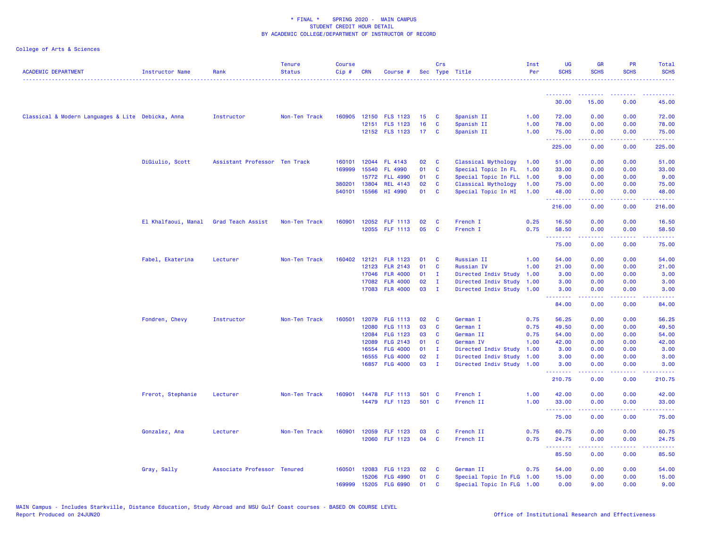| <b>ACADEMIC DEPARTMENT</b>                        | Instructor Name     | Rank                          | <b>Tenure</b><br><b>Status</b> | <b>Course</b><br>Cip# | <b>CRN</b>     | Course #                           |                 | Crs               | Sec Type Title                    | Inst<br>Per  | <b>UG</b><br><b>SCHS</b>                                  | <b>GR</b><br><b>SCHS</b> | PR<br><b>SCHS</b>                   | Total<br><b>SCHS</b> |
|---------------------------------------------------|---------------------|-------------------------------|--------------------------------|-----------------------|----------------|------------------------------------|-----------------|-------------------|-----------------------------------|--------------|-----------------------------------------------------------|--------------------------|-------------------------------------|----------------------|
|                                                   |                     |                               |                                |                       |                |                                    |                 |                   |                                   |              |                                                           |                          |                                     |                      |
|                                                   |                     |                               |                                |                       |                |                                    |                 |                   |                                   |              | <u> - - - - - - - -</u><br>30.00                          | --------<br>15.00        | .<br>0.00                           | 45.00                |
| Classical & Modern Languages & Lite Debicka, Anna |                     | Instructor                    | Non-Ten Track                  | 160905                |                | 12150 FLS 1123                     | 15              | C                 | Spanish II                        | 1.00         | 72.00                                                     | 0.00                     | 0.00                                | 72.00                |
|                                                   |                     |                               |                                |                       |                | 12151 FLS 1123                     | 16              | C                 | Spanish II                        | 1.00         | 78.00                                                     | 0.00                     | 0.00                                | 78.00                |
|                                                   |                     |                               |                                |                       |                | 12152 FLS 1123                     | 17 <sub>1</sub> | C                 | Spanish II                        | 1.00         | 75.00                                                     | 0.00                     | 0.00                                | 75.00                |
|                                                   |                     |                               |                                |                       |                |                                    |                 |                   |                                   |              | <u>.</u><br>225.00                                        | بالأباب<br>0.00          | الأبالات<br>0.00                    | .<br>225.00          |
|                                                   | DiGiulio, Scott     | Assistant Professor Ten Track |                                | 160101                |                | 12044 FL 4143                      | 02              | C                 | Classical Mythology               | 1.00         | 51.00                                                     | 0.00                     | 0.00                                | 51.00                |
|                                                   |                     |                               |                                | 169999                | 15540          | <b>FL 4990</b>                     | 01              | C                 | Special Topic In FL               | 1.00         | 33.00                                                     | 0.00                     | 0.00                                | 33.00                |
|                                                   |                     |                               |                                |                       | 15772          | <b>FLL 4990</b>                    | 01              | C                 | Special Topic In FLL              | 1.00         | 9.00                                                      | 0.00                     | 0.00                                | 9.00                 |
|                                                   |                     |                               |                                | 380201                | 13804          | <b>REL 4143</b>                    | 02              | <b>C</b>          | Classical Mythology               | 1.00         | 75.00                                                     | 0.00                     | 0.00                                | 75.00                |
|                                                   |                     |                               |                                | 540101                | 15566          | HI 4990                            | 01              | C                 | Special Topic In HI               | 1.00         | 48.00                                                     | 0.00                     | 0.00                                | 48.00                |
|                                                   |                     |                               |                                |                       |                |                                    |                 |                   |                                   |              | .<br>216.00                                               | 0.00                     | $\sim$ $\sim$ $\sim$ $\sim$<br>0.00 | المتمامي<br>216.00   |
|                                                   | El Khalfaoui, Manal | Grad Teach Assist             | Non-Ten Track                  | 160901                |                | 12052 FLF 1113                     | 02              | C                 | French I                          | 0.25         | 16.50                                                     | 0.00                     | 0.00                                | 16.50                |
|                                                   |                     |                               |                                |                       |                | 12055 FLF 1113                     | 05              | C                 | French I                          | 0.75         | 58.50                                                     | 0.00                     | 0.00                                | 58.50                |
|                                                   |                     |                               |                                |                       |                |                                    |                 |                   |                                   |              | <b><i><u><u> - - - - - - -</u></u></i></b><br>75.00       | المستمال<br>0.00         | د د د د .<br>0.00                   | .<br>75.00           |
|                                                   | Fabel, Ekaterina    | Lecturer                      | Non-Ten Track                  | 160402                | 12121          | <b>FLR 1123</b>                    | 01              | C                 | Russian II                        | 1.00         | 54.00                                                     | 0.00                     | 0.00                                | 54.00                |
|                                                   |                     |                               |                                |                       | 12123          | <b>FLR 2143</b>                    | 01              | C                 | <b>Russian IV</b>                 |              |                                                           |                          |                                     |                      |
|                                                   |                     |                               |                                |                       |                | 17046 FLR 4000                     | 01              | $\mathbf{I}$      | Directed Indiv Study              | 1.00<br>1.00 | 21.00<br>3.00                                             | 0.00<br>0.00             | 0.00<br>0.00                        | 21.00<br>3.00        |
|                                                   |                     |                               |                                |                       | 17082          | <b>FLR 4000</b>                    | 02              | $\mathbf{I}$      | Directed Indiv Study 1.00         |              | 3.00                                                      | 0.00                     | 0.00                                | 3.00                 |
|                                                   |                     |                               |                                |                       |                | 17083 FLR 4000                     | 03              | $\mathbf{I}$      | Directed Indiv Study 1.00         |              | 3.00                                                      | 0.00                     | 0.00                                | 3.00                 |
|                                                   |                     |                               |                                |                       |                |                                    |                 |                   |                                   |              | <b><i><u><u><b>Little Little</b></u></u></i></b><br>84.00 | .<br>0.00                | د د د د<br>0.00                     | دعاعا عامات<br>84.00 |
|                                                   |                     |                               |                                |                       |                |                                    |                 |                   |                                   |              |                                                           |                          |                                     |                      |
|                                                   | Fondren, Chevy      | Instructor                    | Non-Ten Track                  | 160501                |                | 12079 FLG 1113                     | 02              | <b>C</b>          | German I                          | 0.75         | 56.25                                                     | 0.00                     | 0.00                                | 56.25                |
|                                                   |                     |                               |                                |                       | 12080<br>12084 | <b>FLG 1113</b><br><b>FLG 1123</b> | 03<br>03        | C<br>C            | German I<br>German II             | 0.75         | 49.50                                                     | 0.00                     | 0.00                                | 49.50                |
|                                                   |                     |                               |                                |                       |                |                                    |                 |                   |                                   | 0.75         | 54.00                                                     | 0.00                     | 0.00                                | 54.00                |
|                                                   |                     |                               |                                |                       | 12089<br>16554 | <b>FLG 2143</b><br><b>FLG 4000</b> | 01<br>01        | C<br>$\mathbf{I}$ | German IV<br>Directed Indiv Study | 1.00<br>1.00 | 42.00<br>3.00                                             | 0.00<br>0.00             | 0.00<br>0.00                        | 42.00<br>3.00        |
|                                                   |                     |                               |                                |                       | 16555          | <b>FLG 4000</b>                    | 02              | $\mathbf{I}$      | Directed Indiv Study              | 1.00         | 3.00                                                      | 0.00                     | 0.00                                | 3.00                 |
|                                                   |                     |                               |                                |                       |                | 16857 FLG 4000                     | 03              | $\blacksquare$    | Directed Indiv Study 1.00         |              | 3.00                                                      | 0.00                     | 0.00                                | 3.00                 |
|                                                   |                     |                               |                                |                       |                |                                    |                 |                   |                                   |              | .<br>210.75                                               | .<br>0.00                | .<br>0.00                           | 210.75               |
|                                                   |                     |                               |                                |                       |                |                                    |                 |                   |                                   |              |                                                           |                          |                                     |                      |
|                                                   | Frerot, Stephanie   | Lecturer                      | Non-Ten Track                  | 160901                |                | 14478 FLF 1113                     | 501 C           |                   | French I                          | 1.00         | 42.00                                                     | 0.00                     | 0.00                                | 42.00                |
|                                                   |                     |                               |                                |                       |                | 14479 FLF 1123                     | 501             | <b>C</b>          | French II                         | 1.00         | 33.00                                                     | 0.00                     | 0.00                                | 33.00                |
|                                                   |                     |                               |                                |                       |                |                                    |                 |                   |                                   |              | 75.00                                                     | 0.00                     | 0.00                                | 75.00                |
|                                                   | Gonzalez, Ana       | Lecturer                      | Non-Ten Track                  | 160901                |                | 12059 FLF 1123                     | 03              | <b>C</b>          | French II                         | 0.75         | 60.75                                                     | 0.00                     | 0.00                                | 60.75                |
|                                                   |                     |                               |                                |                       |                | 12060 FLF 1123                     | 04              | C                 | French II                         | 0.75         | 24.75                                                     | 0.00                     | 0.00<br>د د د د                     | 24.75                |
|                                                   |                     |                               |                                |                       |                |                                    |                 |                   |                                   |              | 85.50                                                     | 0.00                     | 0.00                                | 85.50                |
|                                                   | Gray, Sally         | Associate Professor Tenured   |                                | 160501                | 12083          | <b>FLG 1123</b>                    | 02              | <b>C</b>          | German II                         | 0.75         | 54.00                                                     | 0.00                     | 0.00                                | 54.00                |
|                                                   |                     |                               |                                |                       |                | 15206 FLG 4990                     | 01              | C                 | Special Topic In FLG 1.00         |              | 15.00                                                     | 0.00                     | 0.00                                | 15.00                |
|                                                   |                     |                               |                                | 169999                |                | 15205 FLG 6990                     | 01              | $\mathbf{C}$      | Special Topic In FLG 1.00         |              | 0.00                                                      | 9.00                     | 0.00                                | 9.00                 |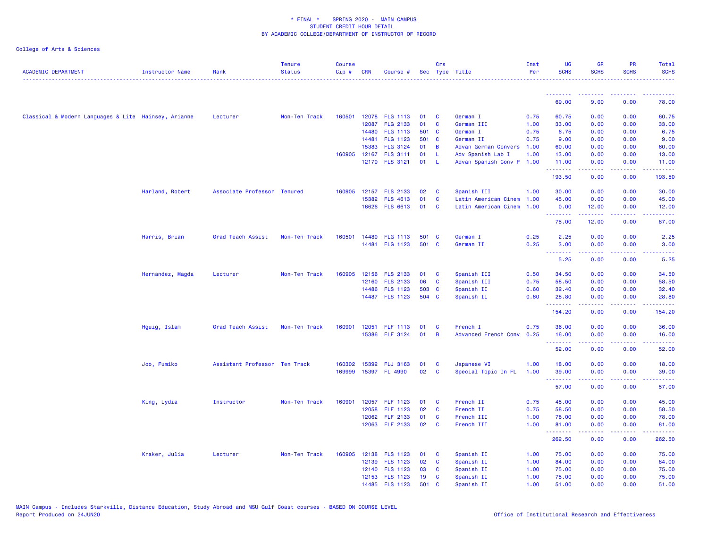| <b>ACADEMIC DEPARTMENT</b>                           | Instructor Name  | Rank                          | <b>Tenure</b><br><b>Status</b> | <b>Course</b><br>Cip# | <b>CRN</b> | Course #                          |                | Crs            | Sec Type Title              | Inst<br>Per  | UG<br><b>SCHS</b> | <b>GR</b><br><b>SCHS</b>                                                                                                                                      | <b>PR</b><br><b>SCHS</b>        | Total<br><b>SCHS</b>                                                                                                                                          |
|------------------------------------------------------|------------------|-------------------------------|--------------------------------|-----------------------|------------|-----------------------------------|----------------|----------------|-----------------------------|--------------|-------------------|---------------------------------------------------------------------------------------------------------------------------------------------------------------|---------------------------------|---------------------------------------------------------------------------------------------------------------------------------------------------------------|
|                                                      |                  |                               | .                              |                       |            |                                   |                |                |                             |              |                   |                                                                                                                                                               |                                 |                                                                                                                                                               |
|                                                      |                  |                               |                                |                       |            |                                   |                |                |                             |              | .<br>69.00        | <b><i><u>AAAAAAAA</u></i></b><br>9.00                                                                                                                         | <u> - - - - - - - -</u><br>0.00 | . <u>.</u><br>78.00                                                                                                                                           |
| Classical & Modern Languages & Lite Hainsey, Arianne |                  | Lecturer                      | Non-Ten Track                  |                       |            | 160501 12078 FLG 1113             | 01             | $\mathbf{C}$   | German I                    | 0.75         | 60.75             | 0.00                                                                                                                                                          | 0.00                            | 60.75                                                                                                                                                         |
|                                                      |                  |                               |                                |                       | 12087      | <b>FLG 2133</b>                   | 01             | $\mathbf{C}$   | German III                  | 1.00         | 33.00             | 0.00                                                                                                                                                          | 0.00                            | 33.00                                                                                                                                                         |
|                                                      |                  |                               |                                |                       | 14480      | <b>FLG 1113</b>                   | 501 C          |                | German I                    | 0.75         | 6.75              | 0.00                                                                                                                                                          | 0.00                            | 6.75                                                                                                                                                          |
|                                                      |                  |                               |                                |                       | 14481      | <b>FLG 1123</b>                   | 501 C          |                | German II                   | 0.75         | 9.00              | 0.00                                                                                                                                                          | 0.00                            | 9.00                                                                                                                                                          |
|                                                      |                  |                               |                                |                       | 15383      | <b>FLG 3124</b>                   | 01             | $\overline{B}$ | Advan German Convers 1.00   |              | 60.00             | 0.00                                                                                                                                                          | 0.00                            | 60.00                                                                                                                                                         |
|                                                      |                  |                               |                                |                       |            | 160905 12167 FLS 3111             | 01             | - L            | Adv Spanish Lab I           | 1.00         | 13.00             | 0.00                                                                                                                                                          | 0.00                            | 13.00                                                                                                                                                         |
|                                                      |                  |                               |                                |                       |            | 12170 FLS 3121                    | 01             | - L            | Advan Spanish Conv P 1.00   |              | 11.00             | 0.00                                                                                                                                                          | 0.00                            | 11.00                                                                                                                                                         |
|                                                      |                  |                               |                                |                       |            |                                   |                |                |                             |              | .<br>193.50       | 0.00                                                                                                                                                          | 0.00                            | .<br>193.50                                                                                                                                                   |
|                                                      | Harland, Robert  | Associate Professor Tenured   |                                |                       |            | 160905 12157 FLS 2133             | 02             | $\mathbf{C}$   | Spanish III                 | 1.00         | 30.00             | 0.00                                                                                                                                                          | 0.00                            | 30.00                                                                                                                                                         |
|                                                      |                  |                               |                                |                       | 15382      | <b>FLS 4613</b>                   | 01             | $\mathbf{C}$   | Latin American Cinem        | 1.00         | 45.00             | 0.00                                                                                                                                                          | 0.00                            | 45.00                                                                                                                                                         |
|                                                      |                  |                               |                                |                       |            | 16626 FLS 6613                    | 01             | $\mathbf{C}$   | Latin American Cinem        | 1.00         | 0.00              | 12.00                                                                                                                                                         | 0.00                            | 12.00                                                                                                                                                         |
|                                                      |                  |                               |                                |                       |            |                                   |                |                |                             |              | .<br>75.00        | $\frac{1}{2} \left( \frac{1}{2} \right) \left( \frac{1}{2} \right) \left( \frac{1}{2} \right) \left( \frac{1}{2} \right) \left( \frac{1}{2} \right)$<br>12.00 | .<br>0.00                       | المتمامين<br>87.00                                                                                                                                            |
|                                                      |                  |                               |                                |                       |            |                                   |                |                |                             |              |                   |                                                                                                                                                               |                                 |                                                                                                                                                               |
|                                                      | Harris, Brian    | Grad Teach Assist             | Non-Ten Track                  | 160501                | 14480      | <b>FLG 1113</b><br>14481 FLG 1123 | 501 C<br>501 C |                | German I<br>German II       | 0.25<br>0.25 | 2.25<br>3.00      | 0.00<br>0.00                                                                                                                                                  | 0.00<br>0.00                    | 2.25<br>3.00                                                                                                                                                  |
|                                                      |                  |                               |                                |                       |            |                                   |                |                |                             |              | .                 | .                                                                                                                                                             | .                               | <u>.</u>                                                                                                                                                      |
|                                                      |                  |                               |                                |                       |            |                                   |                |                |                             |              | 5.25              | 0.00                                                                                                                                                          | 0.00                            | 5.25                                                                                                                                                          |
|                                                      | Hernandez, Magda | Lecturer                      | Non-Ten Track                  | 160905                |            | 12156 FLS 2133                    | 01 C           |                | Spanish III                 | 0.50         | 34.50             | 0.00                                                                                                                                                          | 0.00                            | 34.50                                                                                                                                                         |
|                                                      |                  |                               |                                |                       |            | 12160 FLS 2133                    | 06             | <b>C</b>       | Spanish III                 | 0.75         | 58.50             | 0.00                                                                                                                                                          | 0.00                            | 58.50                                                                                                                                                         |
|                                                      |                  |                               |                                |                       |            | 14486 FLS 1123                    | 503 C          |                | Spanish II                  | 0.60         | 32.40             | 0.00                                                                                                                                                          | 0.00                            | 32.40                                                                                                                                                         |
|                                                      |                  |                               |                                |                       |            | 14487 FLS 1123                    | 504 C          |                | Spanish II                  | 0.60         | 28.80<br><u>.</u> | 0.00                                                                                                                                                          | 0.00<br>22222                   | 28.80                                                                                                                                                         |
|                                                      |                  |                               |                                |                       |            |                                   |                |                |                             |              | 154.20            | المستملة<br>0.00                                                                                                                                              | 0.00                            | 222222<br>154.20                                                                                                                                              |
|                                                      | Hguig, Islam     | Grad Teach Assist             | Non-Ten Track                  | 160901                |            | 12051 FLF 1113                    | 01             | <b>C</b>       | French I                    | 0.75         | 36.00             | 0.00                                                                                                                                                          | 0.00                            | 36.00                                                                                                                                                         |
|                                                      |                  |                               |                                |                       |            | 15386 FLF 3124                    | 01             | $\overline{B}$ | <b>Advanced French Conv</b> | 0.25         | 16.00             | 0.00                                                                                                                                                          | 0.00                            | 16.00                                                                                                                                                         |
|                                                      |                  |                               |                                |                       |            |                                   |                |                |                             |              | .<br>52.00        | <b></b><br>0.00                                                                                                                                               | 0.00                            | المتمامين<br>52.00                                                                                                                                            |
|                                                      | Joo, Fumiko      | Assistant Professor Ten Track |                                | 160302                |            | 15392 FLJ 3163                    | 01             | <b>C</b>       | Japanese VI                 | 1.00         | 18.00             | 0.00                                                                                                                                                          | 0.00                            | 18.00                                                                                                                                                         |
|                                                      |                  |                               |                                | 169999                |            | 15397 FL 4990                     | 02             | $\mathbf{C}$   | Special Topic In FL         | 1.00         | 39.00             | 0.00                                                                                                                                                          | 0.00                            | 39.00                                                                                                                                                         |
|                                                      |                  |                               |                                |                       |            |                                   |                |                |                             |              | .<br>57.00        | .<br>0.00                                                                                                                                                     | 22222<br>0.00                   | .<br>57.00                                                                                                                                                    |
|                                                      |                  |                               |                                |                       |            |                                   |                |                |                             |              |                   |                                                                                                                                                               |                                 |                                                                                                                                                               |
|                                                      | King, Lydia      | Instructor                    | Non-Ten Track                  | 160901                | 12057      | <b>FLF 1123</b>                   | 01             | $\mathbf{C}$   | French II                   | 0.75         | 45.00             | 0.00                                                                                                                                                          | 0.00                            | 45.00                                                                                                                                                         |
|                                                      |                  |                               |                                |                       | 12058      | <b>FLF 1123</b>                   | 02             | $\mathbf{C}$   | French II                   | 0.75         | 58.50             | 0.00                                                                                                                                                          | 0.00                            | 58.50                                                                                                                                                         |
|                                                      |                  |                               |                                |                       | 12062      | <b>FLF 2133</b>                   | 01             | <b>C</b>       | French III                  | 1.00         | 78.00             | 0.00                                                                                                                                                          | 0.00                            | 78.00                                                                                                                                                         |
|                                                      |                  |                               |                                |                       |            | 12063 FLF 2133                    | 02             | $\mathbf{C}$   | French III                  | 1.00         | 81.00<br>.        | 0.00                                                                                                                                                          | 0.00                            | 81.00<br>$\frac{1}{2} \left( \frac{1}{2} \right) \left( \frac{1}{2} \right) \left( \frac{1}{2} \right) \left( \frac{1}{2} \right) \left( \frac{1}{2} \right)$ |
|                                                      |                  |                               |                                |                       |            |                                   |                |                |                             |              | 262.50            | 0.00                                                                                                                                                          | 0.00                            | 262.50                                                                                                                                                        |
|                                                      | Kraker, Julia    | Lecturer                      | Non-Ten Track                  | 160905                |            | 12138 FLS 1123                    | 01             | $\mathbf{C}$   | Spanish II                  | 1.00         | 75.00             | 0.00                                                                                                                                                          | 0.00                            | 75.00                                                                                                                                                         |
|                                                      |                  |                               |                                |                       |            | 12139 FLS 1123                    | 02             | $\mathbf{C}$   | Spanish II                  | 1.00         | 84.00             | 0.00                                                                                                                                                          | 0.00                            | 84.00                                                                                                                                                         |
|                                                      |                  |                               |                                |                       |            | 12140 FLS 1123                    | 03             | <b>C</b>       | Spanish II                  | 1.00         | 75.00             | 0.00                                                                                                                                                          | 0.00                            | 75.00                                                                                                                                                         |
|                                                      |                  |                               |                                |                       |            | 12153 FLS 1123                    | 19             | <b>C</b>       | Spanish II                  | 1.00         | 75.00             | 0.00                                                                                                                                                          | 0.00                            | 75.00                                                                                                                                                         |
|                                                      |                  |                               |                                |                       |            | 14485 FLS 1123                    | 501            | C              | Spanish II                  | 1.00         | 51.00             | 0.00                                                                                                                                                          | 0.00                            | 51.00                                                                                                                                                         |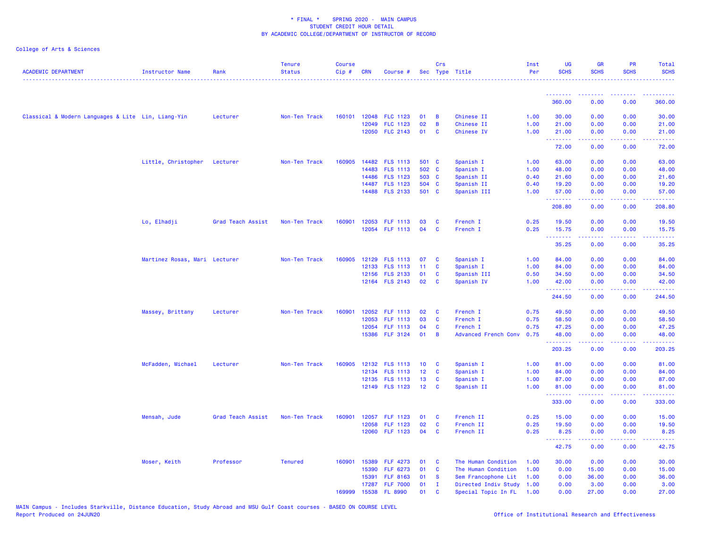| <b>ACADEMIC DEPARTMENT</b>                         | <b>Instructor Name</b>        | Rank              | <b>Tenure</b><br><b>Status</b> | <b>Course</b><br>Cip# | <b>CRN</b> | Course #                  |          | Crs                         | Sec Type Title                                   | Inst<br>Per | <b>UG</b><br><b>SCHS</b> | <b>GR</b><br><b>SCHS</b>                                                                                                                                     | PR<br><b>SCHS</b>                                                                                                                 | Total<br><b>SCHS</b> |
|----------------------------------------------------|-------------------------------|-------------------|--------------------------------|-----------------------|------------|---------------------------|----------|-----------------------------|--------------------------------------------------|-------------|--------------------------|--------------------------------------------------------------------------------------------------------------------------------------------------------------|-----------------------------------------------------------------------------------------------------------------------------------|----------------------|
|                                                    |                               |                   |                                |                       |            |                           |          |                             |                                                  |             | .                        | .                                                                                                                                                            |                                                                                                                                   |                      |
|                                                    |                               |                   |                                |                       |            |                           |          |                             |                                                  |             | 360.00                   | 0.00                                                                                                                                                         | 0.00                                                                                                                              | 360.00               |
| Classical & Modern Languages & Lite Lin, Liang-Yin |                               | Lecturer          | Non-Ten Track                  | 160101                | 12048      | <b>FLC 1123</b>           | 01       | B                           | Chinese II                                       | 1.00        | 30.00                    | 0.00                                                                                                                                                         | 0.00                                                                                                                              | 30.00                |
|                                                    |                               |                   |                                |                       | 12049      | <b>FLC 1123</b>           | 02       | $\overline{B}$              | Chinese II                                       | 1.00        | 21.00                    | 0.00                                                                                                                                                         | 0.00                                                                                                                              | 21.00                |
|                                                    |                               |                   |                                |                       |            | 12050 FLC 2143            | 01       | $\mathbf{C}$                | Chinese IV                                       | 1.00        | 21.00<br>.               | 0.00<br>.                                                                                                                                                    | 0.00<br>.                                                                                                                         | 21.00<br>.           |
|                                                    |                               |                   |                                |                       |            |                           |          |                             |                                                  |             | 72.00                    | 0.00                                                                                                                                                         | 0.00                                                                                                                              | 72.00                |
|                                                    | Little, Christopher Lecturer  |                   | Non-Ten Track                  |                       |            | 160905 14482 FLS 1113     | 501 C    |                             | Spanish I                                        | 1.00        | 63.00                    | 0.00                                                                                                                                                         | 0.00                                                                                                                              | 63.00                |
|                                                    |                               |                   |                                |                       | 14483      | <b>FLS 1113</b>           | 502 C    |                             | Spanish I                                        | 1.00        | 48.00                    | 0.00                                                                                                                                                         | 0.00                                                                                                                              | 48.00                |
|                                                    |                               |                   |                                |                       | 14486      | <b>FLS 1123</b>           | 503 C    |                             | Spanish II                                       | 0.40        | 21.60                    | 0.00                                                                                                                                                         | 0.00                                                                                                                              | 21.60                |
|                                                    |                               |                   |                                |                       |            | 14487 FLS 1123            | 504 C    |                             | Spanish II                                       | 0.40        | 19.20                    | 0.00                                                                                                                                                         | 0.00                                                                                                                              | 19.20                |
|                                                    |                               |                   |                                |                       |            | 14488 FLS 2133            | 501 C    |                             | Spanish III                                      | 1.00        | 57.00<br>.               | 0.00<br>$\frac{1}{2} \left( \frac{1}{2} \right) \left( \frac{1}{2} \right) \left( \frac{1}{2} \right) \left( \frac{1}{2} \right) \left( \frac{1}{2} \right)$ | 0.00<br>.                                                                                                                         | 57.00<br>.           |
|                                                    |                               |                   |                                |                       |            |                           |          |                             |                                                  |             | 208.80                   | 0.00                                                                                                                                                         | 0.00                                                                                                                              | 208.80               |
|                                                    | Lo, Elhadji                   | Grad Teach Assist | Non-Ten Track                  | 160901                | 12053      | <b>FLF 1113</b>           | 03       | C                           | French I                                         | 0.25        | 19.50                    | 0.00                                                                                                                                                         | 0.00                                                                                                                              | 19.50                |
|                                                    |                               |                   |                                |                       |            | 12054 FLF 1113            | 04       | C                           | French I                                         | 0.25        | 15.75<br>.               | 0.00<br>$\frac{1}{2} \left( \frac{1}{2} \right) \left( \frac{1}{2} \right) \left( \frac{1}{2} \right) \left( \frac{1}{2} \right) \left( \frac{1}{2} \right)$ | 0.00<br>.                                                                                                                         | 15.75<br>.           |
|                                                    |                               |                   |                                |                       |            |                           |          |                             |                                                  |             | 35.25                    | 0.00                                                                                                                                                         | 0.00                                                                                                                              | 35.25                |
|                                                    | Martinez Rosas, Mari Lecturer |                   | Non-Ten Track                  | 160905                |            | 12129 FLS 1113            | 07       | <b>C</b>                    | Spanish I                                        | 1.00        | 84.00                    | 0.00                                                                                                                                                         | 0.00                                                                                                                              | 84.00                |
|                                                    |                               |                   |                                |                       | 12133      | <b>FLS 1113</b>           | 11       | <b>C</b>                    | Spanish I                                        | 1.00        | 84.00                    | 0.00                                                                                                                                                         | 0.00                                                                                                                              | 84.00                |
|                                                    |                               |                   |                                |                       |            | 12156 FLS 2133            | 01       | <b>C</b>                    | Spanish III                                      | 0.50        | 34.50                    | 0.00                                                                                                                                                         | 0.00                                                                                                                              | 34.50                |
|                                                    |                               |                   |                                |                       |            | 12164 FLS 2143            | 02       | C                           | Spanish IV                                       | 1.00        | 42.00<br>.               | 0.00<br>.                                                                                                                                                    | 0.00<br>$\frac{1}{2} \left( \frac{1}{2} \right) \left( \frac{1}{2} \right) \left( \frac{1}{2} \right) \left( \frac{1}{2} \right)$ | 42.00<br>.           |
|                                                    |                               |                   |                                |                       |            |                           |          |                             |                                                  |             | 244.50                   | 0.00                                                                                                                                                         | 0.00                                                                                                                              | 244.50               |
|                                                    | Massey, Brittany              | Lecturer          | Non-Ten Track                  | 160901                | 12052      | <b>FLF 1113</b>           | 02       | C                           | French I                                         | 0.75        | 49.50                    | 0.00                                                                                                                                                         | 0.00                                                                                                                              | 49.50                |
|                                                    |                               |                   |                                |                       | 12053      | <b>FLF 1113</b>           | 03       | $\mathbf{C}$                | French I                                         | 0.75        | 58.50                    | 0.00                                                                                                                                                         | 0.00                                                                                                                              | 58.50                |
|                                                    |                               |                   |                                |                       | 12054      | FLF 1113                  | 04       | <b>C</b>                    | French I                                         | 0.75        | 47.25                    | 0.00                                                                                                                                                         | 0.00                                                                                                                              | 47.25                |
|                                                    |                               |                   |                                |                       |            | 15386 FLF 3124            | 01       | $\overline{B}$              | Advanced French Conv 0.75                        |             | 48.00<br>.               | 0.00<br>$\frac{1}{2} \left( \frac{1}{2} \right) \left( \frac{1}{2} \right) \left( \frac{1}{2} \right) \left( \frac{1}{2} \right) \left( \frac{1}{2} \right)$ | 0.00<br>.                                                                                                                         | 48.00                |
|                                                    |                               |                   |                                |                       |            |                           |          |                             |                                                  |             | 203.25                   | 0.00                                                                                                                                                         | 0.00                                                                                                                              | 203.25               |
|                                                    | McFadden, Michael             | Lecturer          | Non-Ten Track                  | 160905                |            | 12132 FLS 1113            | 10       | $\overline{\mathbf{C}}$     | Spanish I                                        | 1.00        | 81.00                    | 0.00                                                                                                                                                         | 0.00                                                                                                                              | 81.00                |
|                                                    |                               |                   |                                |                       |            | 12134 FLS 1113            | 12       | $\mathbf{C}$                | Spanish I                                        | 1.00        | 84.00                    | 0.00                                                                                                                                                         | 0.00                                                                                                                              | 84.00                |
|                                                    |                               |                   |                                |                       |            | 12135 FLS 1113            | 13       | <b>C</b>                    | Spanish I                                        | 1.00        | 87.00                    | 0.00                                                                                                                                                         | 0.00                                                                                                                              | 87.00                |
|                                                    |                               |                   |                                |                       |            | 12149 FLS 1123            | 12       | C                           | Spanish II                                       | 1.00        | 81.00<br><u>.</u>        | 0.00<br>2.2.2.2.2                                                                                                                                            | 0.00<br>.                                                                                                                         | 81.00<br>.           |
|                                                    |                               |                   |                                |                       |            |                           |          |                             |                                                  |             | 333.00                   | 0.00                                                                                                                                                         | 0.00                                                                                                                              | 333.00               |
|                                                    | Mensah, Jude                  | Grad Teach Assist | Non-Ten Track                  | 160901                |            | 12057 FLF 1123            | 01       | $\mathbf{C}$                | French II                                        | 0.25        | 15.00                    | 0.00                                                                                                                                                         | 0.00                                                                                                                              | 15.00                |
|                                                    |                               |                   |                                |                       | 12058      | <b>FLF 1123</b>           | 02       | $\mathbf{C}$                | French II                                        | 0.25        | 19.50                    | 0.00                                                                                                                                                         | 0.00                                                                                                                              | 19.50                |
|                                                    |                               |                   |                                |                       |            | 12060 FLF 1123            | 04       | $\mathbf{C}$                | French II                                        | 0.25        | 8.25<br>.                | 0.00                                                                                                                                                         | 0.00                                                                                                                              | 8.25<br>د د د د د    |
|                                                    |                               |                   |                                |                       |            |                           |          |                             |                                                  |             | 42.75                    | 0.00                                                                                                                                                         | 0.00                                                                                                                              | 42.75                |
|                                                    | Moser, Keith                  | Professor         | <b>Tenured</b>                 | 160901                | 15389      | <b>FLF 4273</b>           | 01       | <b>C</b>                    | The Human Condition                              | 1.00        | 30.00                    | 0.00                                                                                                                                                         | 0.00                                                                                                                              | 30.00                |
|                                                    |                               |                   |                                |                       | 15390      | FLF 6273                  | 01       | $\overline{\mathbf{C}}$     | The Human Condition                              | 1.00        | 0.00                     | 15.00                                                                                                                                                        | 0.00                                                                                                                              | 15.00                |
|                                                    |                               |                   |                                |                       | 15391      | <b>FLF 8163</b>           | 01       | <b>S</b>                    | Sem Francophone Lit                              | 1.00        | 0.00                     | 36.00                                                                                                                                                        | 0.00                                                                                                                              | 36.00                |
|                                                    |                               |                   |                                | 169999                | 15538      | 17287 FLF 7000<br>FL 8990 | 01<br>01 | $\mathbf I$<br>$\mathbf{C}$ | Directed Indiv Study 1.00<br>Special Topic In FL | 1.00        | 0.00<br>0.00             | 3.00<br>27.00                                                                                                                                                | 0.00<br>0.00                                                                                                                      | 3.00<br>27.00        |
|                                                    |                               |                   |                                |                       |            |                           |          |                             |                                                  |             |                          |                                                                                                                                                              |                                                                                                                                   |                      |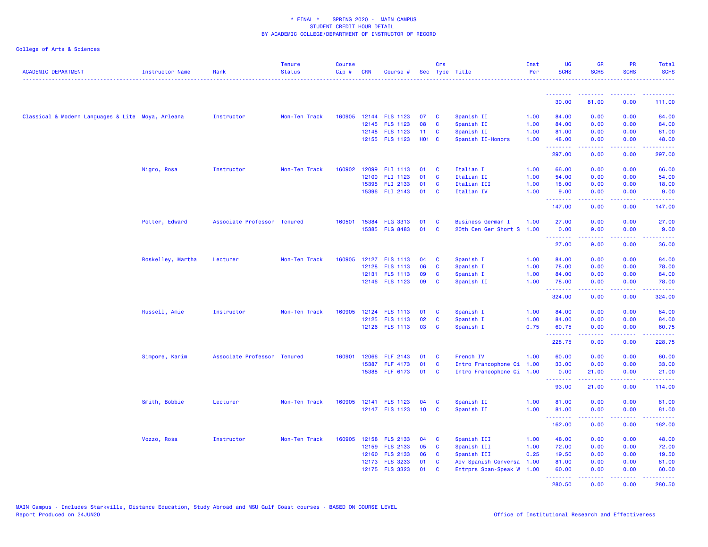| <b>ACADEMIC DEPARTMENT</b>                        | <b>Instructor Name</b> | Rank                        | <b>Tenure</b><br><b>Status</b> | <b>Course</b><br>Cip# | <b>CRN</b> | Course #        |              | Crs          | Sec Type Title            | Inst<br>Per | <b>UG</b><br><b>SCHS</b> | <b>GR</b><br><b>SCHS</b>               | PR<br><b>SCHS</b>                                                                                                                                    | Total<br><b>SCHS</b> |
|---------------------------------------------------|------------------------|-----------------------------|--------------------------------|-----------------------|------------|-----------------|--------------|--------------|---------------------------|-------------|--------------------------|----------------------------------------|------------------------------------------------------------------------------------------------------------------------------------------------------|----------------------|
|                                                   |                        |                             |                                |                       |            |                 |              |              |                           |             | --------                 | --------                               | $\frac{1}{2} \left( \frac{1}{2} \right) \left( \frac{1}{2} \right) \left( \frac{1}{2} \right) \left( \frac{1}{2} \right) \left( \frac{1}{2} \right)$ | .<br>.               |
|                                                   |                        |                             |                                |                       |            |                 |              |              |                           |             | 30.00                    | 81.00                                  | 0.00                                                                                                                                                 | 111.00               |
| Classical & Modern Languages & Lite Moya, Arleana |                        | Instructor                  | Non-Ten Track                  | 160905                |            | 12144 FLS 1123  | 07           | - C          | Spanish II                | 1.00        | 84.00                    | 0.00                                   | 0.00                                                                                                                                                 | 84.00                |
|                                                   |                        |                             |                                |                       |            | 12145 FLS 1123  | 08           | <b>C</b>     | Spanish II                | 1.00        | 84.00                    | 0.00                                   | 0.00                                                                                                                                                 | 84.00                |
|                                                   |                        |                             |                                |                       |            | 12148 FLS 1123  | 11           | <b>C</b>     | Spanish II                | 1.00        | 81.00                    | 0.00                                   | 0.00                                                                                                                                                 | 81.00                |
|                                                   |                        |                             |                                |                       |            | 12155 FLS 1123  | <b>HO1 C</b> |              | Spanish II-Honors         | 1.00        | 48.00<br>.               | 0.00<br>.                              | 0.00<br>.                                                                                                                                            | 48.00<br><u>.</u>    |
|                                                   |                        |                             |                                |                       |            |                 |              |              |                           |             | 297.00                   | 0.00                                   | 0.00                                                                                                                                                 | 297.00               |
|                                                   | Nigro, Rosa            | Instructor                  | Non-Ten Track                  | 160902                |            | 12099 FLI 1113  | 01           | <b>C</b>     | Italian I                 | 1.00        | 66.00                    | 0.00                                   | 0.00                                                                                                                                                 | 66.00                |
|                                                   |                        |                             |                                |                       | 12100      | FLI 1123        | 01           | <b>C</b>     | Italian II                | 1.00        | 54.00                    | 0.00                                   | 0.00                                                                                                                                                 | 54.00                |
|                                                   |                        |                             |                                |                       | 15395      | FLI 2133        | 01           | <b>C</b>     | Italian III               | 1.00        | 18.00                    | 0.00                                   | 0.00                                                                                                                                                 | 18.00                |
|                                                   |                        |                             |                                |                       |            | 15396 FLI 2143  | 01           | <b>C</b>     | Italian IV                | 1.00        | 9.00<br><b>.</b> .       | 0.00<br>22222                          | 0.00<br>$\frac{1}{2} \left( \frac{1}{2} \right) \left( \frac{1}{2} \right) \left( \frac{1}{2} \right) \left( \frac{1}{2} \right)$                    | 9.00<br>222222       |
|                                                   |                        |                             |                                |                       |            |                 |              |              |                           |             | 147.00                   | 0.00                                   | 0.00                                                                                                                                                 | 147.00               |
|                                                   | Potter, Edward         | Associate Professor Tenured |                                | 160501                | 15384      | <b>FLG 3313</b> | 01           | <b>C</b>     | <b>Business German I</b>  | 1.00        | 27.00                    | 0.00                                   | 0.00                                                                                                                                                 | 27.00                |
|                                                   |                        |                             |                                |                       | 15385      | <b>FLG 8483</b> | 01           | <b>C</b>     | 20th Cen Ger Short S 1.00 |             | 0.00<br>.                | 9.00<br>22222                          | 0.00<br>22222                                                                                                                                        | 9.00<br>.            |
|                                                   |                        |                             |                                |                       |            |                 |              |              |                           |             | 27.00                    | 9.00                                   | 0.00                                                                                                                                                 | 36.00                |
|                                                   | Roskelley, Martha      | Lecturer                    | Non-Ten Track                  | 160905                |            | 12127 FLS 1113  | 04           | <b>C</b>     | Spanish I                 | 1.00        | 84.00                    | 0.00                                   | 0.00                                                                                                                                                 | 84.00                |
|                                                   |                        |                             |                                |                       | 12128      | <b>FLS 1113</b> | 06           | $\mathbf{C}$ | Spanish I                 | 1.00        | 78.00                    | 0.00                                   | 0.00                                                                                                                                                 | 78.00                |
|                                                   |                        |                             |                                |                       | 12131      | <b>FLS 1113</b> | 09           | C            | Spanish I                 | 1.00        | 84.00                    | 0.00                                   | 0.00                                                                                                                                                 | 84.00                |
|                                                   |                        |                             |                                |                       |            | 12146 FLS 1123  | 09           | <b>C</b>     | Spanish II                | 1.00        | 78.00<br>.               | 0.00<br><u>.</u>                       | 0.00<br>.                                                                                                                                            | 78.00<br>.           |
|                                                   |                        |                             |                                |                       |            |                 |              |              |                           |             | 324.00                   | 0.00                                   | 0.00                                                                                                                                                 | 324.00               |
|                                                   | Russell, Amie          | Instructor                  | Non-Ten Track                  | 160905                |            | 12124 FLS 1113  | 01           | <b>C</b>     | Spanish I                 | 1.00        | 84.00                    | 0.00                                   | 0.00                                                                                                                                                 | 84.00                |
|                                                   |                        |                             |                                |                       |            | 12125 FLS 1113  | 02           | <b>C</b>     | Spanish I                 | 1.00        | 84.00                    | 0.00                                   | 0.00                                                                                                                                                 | 84.00                |
|                                                   |                        |                             |                                |                       |            | 12126 FLS 1113  | 03           | <b>C</b>     | Spanish I                 | 0.75        | 60.75<br>.               | 0.00<br>.                              | 0.00<br>.                                                                                                                                            | 60.75<br>.           |
|                                                   |                        |                             |                                |                       |            |                 |              |              |                           |             | 228.75                   | 0.00                                   | 0.00                                                                                                                                                 | 228.75               |
|                                                   | Simpore, Karim         | Associate Professor Tenured |                                | 160901                | 12066      | <b>FLF 2143</b> | 01           | <b>C</b>     | French IV                 | 1.00        | 60.00                    | 0.00                                   | 0.00                                                                                                                                                 | 60.00                |
|                                                   |                        |                             |                                |                       | 15387      | <b>FLF 4173</b> | 01           | <b>C</b>     | Intro Francophone Ci 1.00 |             | 33.00                    | 0.00                                   | 0.00                                                                                                                                                 | 33.00                |
|                                                   |                        |                             |                                |                       |            | 15388 FLF 6173  | 01           | <b>C</b>     | Intro Francophone Ci 1.00 |             | 0.00<br><u>.</u>         | 21.00<br><b><i><u><u>.</u></u></i></b> | 0.00<br>.                                                                                                                                            | 21.00<br><u>.</u>    |
|                                                   |                        |                             |                                |                       |            |                 |              |              |                           |             | 93.00                    | 21.00                                  | 0.00                                                                                                                                                 | 114.00               |
|                                                   | Smith, Bobbie          | Lecturer                    | Non-Ten Track                  | 160905                |            | 12141 FLS 1123  | 04           | <b>C</b>     | Spanish II                | 1.00        | 81.00                    | 0.00                                   | 0.00                                                                                                                                                 | 81.00                |
|                                                   |                        |                             |                                |                       |            | 12147 FLS 1123  | 10           | <b>C</b>     | Spanish II                | 1.00        | 81.00<br>.               | 0.00                                   | 0.00<br>.                                                                                                                                            | 81.00<br>.           |
|                                                   |                        |                             |                                |                       |            |                 |              |              |                           |             | 162.00                   | 0.00                                   | 0.00                                                                                                                                                 | 162.00               |
|                                                   | Vozzo, Rosa            | Instructor                  | Non-Ten Track                  | 160905                |            | 12158 FLS 2133  | 04           | <b>C</b>     | Spanish III               | 1.00        | 48.00                    | 0.00                                   | 0.00                                                                                                                                                 | 48.00                |
|                                                   |                        |                             |                                |                       |            | 12159 FLS 2133  | 05           | <b>C</b>     | Spanish III               | 1.00        | 72.00                    | 0.00                                   | 0.00                                                                                                                                                 | 72.00                |
|                                                   |                        |                             |                                |                       |            | 12160 FLS 2133  | 06           | <b>C</b>     | Spanish III               | 0.25        | 19.50                    | 0.00                                   | 0.00                                                                                                                                                 | 19.50                |
|                                                   |                        |                             |                                |                       |            | 12173 FLS 3233  | 01           | <b>C</b>     | Adv Spanish Conversa 1.00 |             | 81.00                    | 0.00                                   | 0.00                                                                                                                                                 | 81.00                |
|                                                   |                        |                             |                                |                       |            | 12175 FLS 3323  | 01           | <b>C</b>     | Entrprs Span-Speak W      | 1.00        | 60.00<br>.               | 0.00<br>22222                          | 0.00<br>. <b>.</b>                                                                                                                                   | 60.00<br>.           |
|                                                   |                        |                             |                                |                       |            |                 |              |              |                           |             | 280.50                   | 0.00                                   | 0.00                                                                                                                                                 | 280.50               |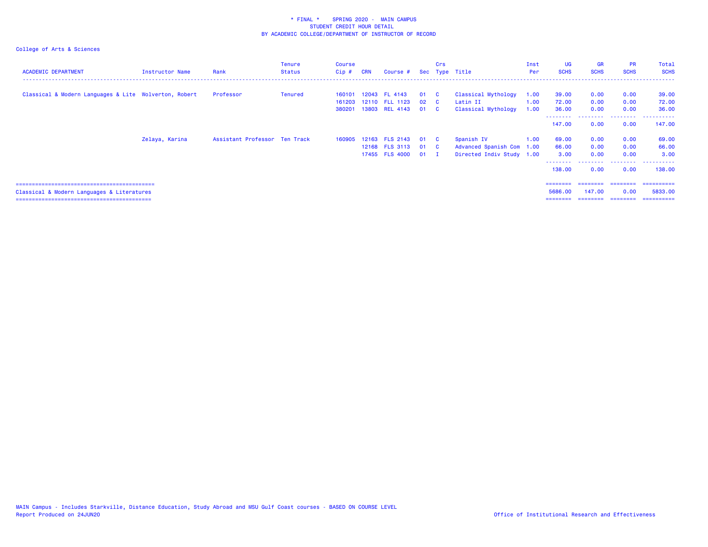| <b>ACADEMIC DEPARTMENT</b>                            | Instructor Name | Rank                          | <b>Tenure</b><br><b>Status</b> | Course<br>Cip # | <b>CRN</b> | Course #       |              | Crs            | Sec Type Title            | Inst<br>Per | UG<br><b>SCHS</b> | <b>GR</b><br><b>SCHS</b> | <b>PR</b><br><b>SCHS</b> | Total<br><b>SCHS</b> |
|-------------------------------------------------------|-----------------|-------------------------------|--------------------------------|-----------------|------------|----------------|--------------|----------------|---------------------------|-------------|-------------------|--------------------------|--------------------------|----------------------|
|                                                       |                 | Professor                     |                                |                 |            | 12043 FL 4143  | 01           | $\mathbf{C}$   | Classical Mythology       |             | 39.00             | 0.00                     |                          |                      |
| Classical & Modern Languages & Lite Wolverton, Robert |                 |                               | Tenured                        | 160101          |            |                |              |                |                           | 1.00        |                   |                          | 0.00                     | 39.00                |
|                                                       |                 |                               |                                | 161203          |            | 12110 FLL 1123 | $02 \quad C$ |                | Latin II                  | 1.00        | 72.00             | 0.00                     | 0.00                     | 72.00                |
|                                                       |                 |                               |                                | 380201          |            | 13803 REL 4143 | 01           | $\overline{c}$ | Classical Mythology       | 1.00        | 36.00             | 0.00                     | 0.00                     | 36.00                |
|                                                       |                 |                               |                                |                 |            |                |              |                |                           |             | 147.00            | 0.00                     | 0.00                     | 147.00               |
|                                                       | Zelaya, Karina  | Assistant Professor Ten Track |                                | 160905          |            | 12163 FLS 2143 | 01           | $\mathbf{C}$   | Spanish IV                | 1.00        | 69.00             | 0.00                     | 0.00                     | 69.00                |
|                                                       |                 |                               |                                |                 |            | 12168 FLS 3113 | 01 C         |                | Advanced Spanish Com 1.00 |             | 66.00             | 0.00                     | 0.00                     | 66.00                |
|                                                       |                 |                               |                                |                 |            | 17455 FLS 4000 | $01$ I       |                | Directed Indiv Study 1.00 |             | 3.00              | 0.00                     | 0.00                     | 3.00                 |
|                                                       |                 |                               |                                |                 |            |                |              |                |                           |             | 138.00            | 0.00                     | 0.00                     | ----------<br>138.00 |
|                                                       |                 |                               |                                |                 |            |                |              |                |                           |             |                   | ========                 | ---------                | ==========           |
| Classical & Modern Languages & Literatures            |                 |                               |                                |                 |            |                |              |                |                           |             | 5686.00           | 147,00                   | 0.00                     | 5833.00              |
|                                                       |                 |                               |                                |                 |            |                |              |                |                           |             | ========          | ========                 | ---------                | ==========           |
|                                                       |                 |                               |                                |                 |            |                |              |                |                           |             |                   |                          |                          |                      |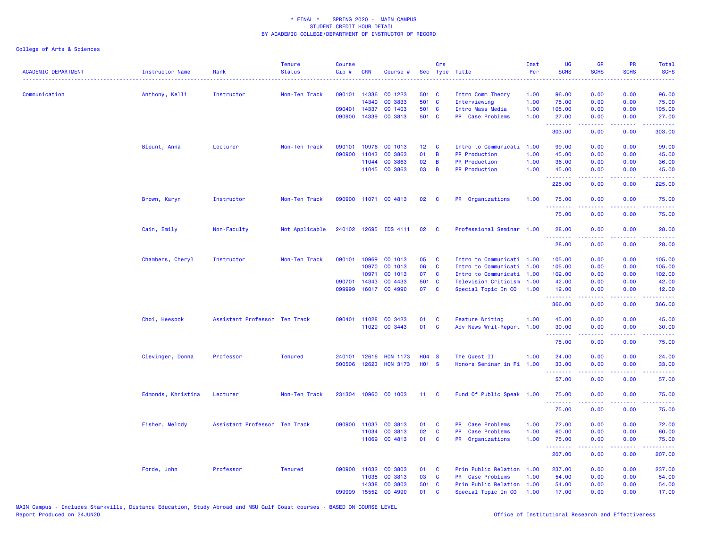| <b>ACADEMIC DEPARTMENT</b><br>------------------------------------ | Instructor Name<br>. <u>.</u> . | Rank                          | <b>Tenure</b><br><b>Status</b> | <b>Course</b><br>Cip# | <b>CRN</b>   | Course #              |                   | Crs          | Sec Type Title                    | Inst<br>Per | <b>UG</b><br><b>SCHS</b> | <b>GR</b><br><b>SCHS</b> | <b>PR</b><br><b>SCHS</b>                                                                               | Total<br><b>SCHS</b> |
|--------------------------------------------------------------------|---------------------------------|-------------------------------|--------------------------------|-----------------------|--------------|-----------------------|-------------------|--------------|-----------------------------------|-------------|--------------------------|--------------------------|--------------------------------------------------------------------------------------------------------|----------------------|
| Communication                                                      | Anthony, Kelli                  | Instructor                    | Non-Ten Track                  | 090101                | 14336        | CO 1223               | 501 C             |              | Intro Comm Theory                 | 1.00        | 96.00                    | 0.00                     | 0.00                                                                                                   | 96.00                |
|                                                                    |                                 |                               |                                |                       | 14340        | CO 3833               | 501 C             |              | Interviewing                      | 1.00        | 75.00                    | 0.00                     | 0.00                                                                                                   | 75.00                |
|                                                                    |                                 |                               |                                | 090401                | 14337        | CO 1403               | 501 C             |              | Intro Mass Media                  | 1.00        | 105.00                   | 0.00                     | 0.00                                                                                                   | 105.00               |
|                                                                    |                                 |                               |                                | 090900                | 14339        | CO 3813               | 501 C             |              | PR Case Problems                  | 1.00        | 27.00<br><u>.</u>        | 0.00                     | 0.00                                                                                                   | 27.00                |
|                                                                    |                                 |                               |                                |                       |              |                       |                   |              |                                   |             | 303.00                   | 0.00                     | 0.00                                                                                                   | 303.00               |
|                                                                    | Blount, Anna                    | Lecturer                      | Non-Ten Track                  | 090101                |              | 10976 CO 1013         | 12 <sub>2</sub>   | <b>C</b>     | Intro to Communicati 1.00         |             | 99.00                    | 0.00                     | 0.00                                                                                                   | 99.00                |
|                                                                    |                                 |                               |                                | 090900                | 11043        | CO 3863               | 01                | B            | <b>PR Production</b>              | 1.00        | 45.00                    | 0.00                     | 0.00                                                                                                   | 45.00                |
|                                                                    |                                 |                               |                                |                       | 11044        | CO 3863               | 02                | B            | <b>PR Production</b>              | 1.00        | 36.00                    | 0.00                     | 0.00                                                                                                   | 36.00                |
|                                                                    |                                 |                               |                                |                       |              | 11045 CO 3863         | 03                | B            | <b>PR Production</b>              | 1.00        | 45.00<br>.               | 0.00<br>.                | 0.00<br>$\omega$ is $\omega$ in                                                                        | 45.00                |
|                                                                    |                                 |                               |                                |                       |              |                       |                   |              |                                   |             | 225.00                   | 0.00                     | 0.00                                                                                                   | 225.00               |
|                                                                    | Brown, Karyn                    | Instructor                    | Non-Ten Track                  |                       |              | 090900 11071 CO 4813  | 02                | <b>C</b>     | PR Organizations                  | 1.00        | 75.00<br>.               | 0.00                     | 0.00                                                                                                   | 75.00                |
|                                                                    |                                 |                               |                                |                       |              |                       |                   |              |                                   |             | 75.00                    | 0.00                     | 0.00                                                                                                   | 75.00                |
|                                                                    | Cain, Emily                     | Non-Faculty                   | Not Applicable                 |                       |              | 240102 12695 IDS 4111 | 02                | <b>C</b>     | Professional Seminar 1.00         |             | 28.00<br>.               | 0.00                     | 0.00                                                                                                   | 28.00                |
|                                                                    |                                 |                               |                                |                       |              |                       |                   |              |                                   |             | 28.00                    | 0.00                     | 0.00                                                                                                   | 28.00                |
|                                                                    | Chambers, Cheryl                | Instructor                    | Non-Ten Track                  | 090101                | 10969        | CO 1013               | 05                | C            | Intro to Communicati 1.00         |             | 105.00                   | 0.00                     | 0.00                                                                                                   | 105.00               |
|                                                                    |                                 |                               |                                |                       | 10970        | CO 1013               | 06                | $\mathbf{C}$ | Intro to Communicati 1.00         |             | 105.00                   | 0.00                     | 0.00                                                                                                   | 105.00               |
|                                                                    |                                 |                               |                                |                       | 10971        | CO 1013               | 07                | C            | Intro to Communicati              | 1.00        | 102.00                   | 0.00                     | 0.00                                                                                                   | 102.00               |
|                                                                    |                                 |                               |                                | 090701                | 14343        | CO 4433               | 501 C             |              | Television Criticism              | 1.00        | 42.00                    | 0.00                     | 0.00                                                                                                   | 42.00                |
|                                                                    |                                 |                               |                                | 099999                |              | 16017 CO 4990         | 07                | $\mathbf{C}$ | Special Topic In CO               | 1.00        | 12.00<br>.               | 0.00<br>.                | 0.00<br>د د د د                                                                                        | 12.00                |
|                                                                    |                                 |                               |                                |                       |              |                       |                   |              |                                   |             | 366.00                   | 0.00                     | 0.00                                                                                                   | 366.00               |
|                                                                    | Choi, Heesook                   | Assistant Professor Ten Track |                                | 090401                | 11028        | CO 3423               | 01                | C            | <b>Feature Writing</b>            | 1.00        | 45.00                    | 0.00                     | 0.00                                                                                                   | 45.00                |
|                                                                    |                                 |                               |                                |                       | 11029        | CO 3443               | 01                | C            | Adv News Writ-Report 1.00         |             | 30.00                    | 0.00                     | 0.00                                                                                                   | 30.00                |
|                                                                    |                                 |                               |                                |                       |              |                       |                   |              |                                   |             | .<br>75.00               | .<br>0.00                | $  -$<br>0.00                                                                                          | $- - - - -$<br>75.00 |
|                                                                    | Clevinger, Donna                | Professor                     | <b>Tenured</b>                 | 240101                | 12616        | <b>HON 1173</b>       | <b>HO4 S</b>      |              | The Quest II                      | 1.00        | 24.00                    | 0.00                     | 0.00                                                                                                   | 24.00                |
|                                                                    |                                 |                               |                                | 500506                | 12623        | <b>HON 3173</b>       | H <sub>01</sub> S |              | Honors Seminar in Fi 1.00         |             | 33.00                    | 0.00                     | 0.00                                                                                                   | 33.00                |
|                                                                    |                                 |                               |                                |                       |              |                       |                   |              |                                   |             | .<br>57.00               | .<br>0.00                | $\frac{1}{2} \left( \frac{1}{2} \right) \left( \frac{1}{2} \right) \left( \frac{1}{2} \right)$<br>0.00 | .<br>57.00           |
|                                                                    | Edmonds, Khristina              | Lecturer                      | Non-Ten Track                  |                       |              | 231304 10960 CO 1003  | 11 <sub>1</sub>   | - C          | Fund Of Public Speak 1.00         |             | 75.00                    | 0.00                     | 0.00                                                                                                   | 75.00                |
|                                                                    |                                 |                               |                                |                       |              |                       |                   |              |                                   |             | .<br>75.00               | 0.00                     | $\sim$ $\sim$ $\sim$ $\sim$<br>0.00                                                                    | 75.00                |
|                                                                    | Fisher, Melody                  | Assistant Professor Ten Track |                                |                       | 090900 11033 | CO 3813               | 01                | C            | PR Case Problems                  | 1.00        | 72.00                    | 0.00                     | 0.00                                                                                                   | 72.00                |
|                                                                    |                                 |                               |                                |                       | 11034        | CO 3813               | 02                | C            | <b>PR</b><br><b>Case Problems</b> | 1.00        | 60.00                    | 0.00                     | 0.00                                                                                                   | 60.00                |
|                                                                    |                                 |                               |                                |                       | 11069        | CO 4813               | 01                | C            | PR Organizations                  | 1.00        | 75.00                    | 0.00                     | 0.00                                                                                                   | 75.00                |
|                                                                    |                                 |                               |                                |                       |              |                       |                   |              |                                   |             | .<br>207.00              | <u>.</u><br>0.00         | 0.00                                                                                                   | 207.00               |
|                                                                    | Forde, John                     | Professor                     | <b>Tenured</b>                 |                       | 090900 11032 | CO 3803               | 01                | C            | Prin Public Relation 1.00         |             | 237.00                   | 0.00                     | 0.00                                                                                                   | 237.00               |
|                                                                    |                                 |                               |                                |                       | 11035        | CO 3813               | 03                | C            | PR Case Problems                  | 1.00        | 54.00                    | 0.00                     | 0.00                                                                                                   | 54.00                |
|                                                                    |                                 |                               |                                |                       | 14338        | CO 3803               | 501 C             |              | Prin Public Relation 1.00         |             | 54.00                    | 0.00                     | 0.00                                                                                                   | 54.00                |
|                                                                    |                                 |                               |                                | 099999                | 15552        | CO 4990               | 01                | C            | Special Topic In CO               | 1.00        | 17.00                    | 0.00                     | 0.00                                                                                                   | 17.00                |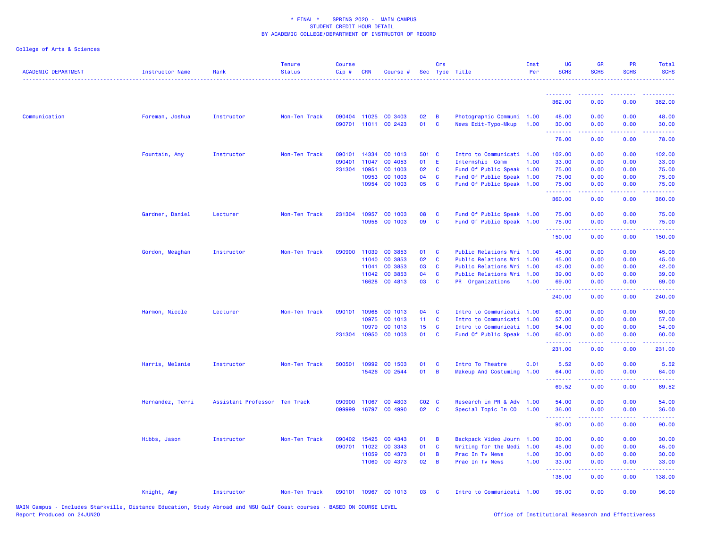| <b>ACADEMIC DEPARTMENT</b> | <b>Instructor Name</b> | Rank                          | <b>Tenure</b><br><b>Status</b> | <b>Course</b><br>$Cip$ # | <b>CRN</b>   | Course #             |                   | Crs            | Sec Type Title            | Inst<br>Per | <b>UG</b><br><b>SCHS</b> | <b>GR</b><br><b>SCHS</b>                                                                                                          | <b>PR</b><br><b>SCHS</b> | <b>Total</b><br><b>SCHS</b> |
|----------------------------|------------------------|-------------------------------|--------------------------------|--------------------------|--------------|----------------------|-------------------|----------------|---------------------------|-------------|--------------------------|-----------------------------------------------------------------------------------------------------------------------------------|--------------------------|-----------------------------|
|                            |                        |                               |                                |                          |              |                      |                   |                |                           |             | <u>.</u>                 | <u>.</u>                                                                                                                          | .                        | <u>.</u>                    |
|                            |                        |                               |                                |                          |              |                      |                   |                |                           |             | 362.00                   | 0.00                                                                                                                              | 0.00                     | 362.00                      |
| Communication              | Foreman, Joshua        | Instructor                    | Non-Ten Track                  |                          | 090404 11025 | CO 3403              | 02                | $\overline{B}$ | Photographic Communi 1.00 |             | 48.00                    | 0.00                                                                                                                              | 0.00                     | 48.00                       |
|                            |                        |                               |                                |                          |              | 090701 11011 CO 2423 | 01                | $\mathbf{C}$   | News Edit-Typo-Mkup       | 1.00        | 30.00<br>.               | 0.00                                                                                                                              | 0.00                     | 30.00                       |
|                            |                        |                               |                                |                          |              |                      |                   |                |                           |             | 78.00                    | 0.00                                                                                                                              | 0.00                     | 78.00                       |
|                            | Fountain, Amy          | Instructor                    | Non-Ten Track                  | 090101                   | 14334        | CO 1013              | 501 C             |                | Intro to Communicati 1.00 |             | 102.00                   | 0.00                                                                                                                              | 0.00                     | 102.00                      |
|                            |                        |                               |                                | 090401                   | 11047        | CO 4053              | 01                | -E             | Internship Comm           | 1.00        | 33.00                    | 0.00                                                                                                                              | 0.00                     | 33.00                       |
|                            |                        |                               |                                | 231304                   | 10951        | CO 1003              | 02                | <b>C</b>       | Fund Of Public Speak 1.00 |             | 75.00                    | 0.00                                                                                                                              | 0.00                     | 75.00                       |
|                            |                        |                               |                                |                          | 10953        | CO 1003              | 04                | <b>C</b>       | Fund Of Public Speak 1.00 |             | 75.00                    | 0.00                                                                                                                              | 0.00                     | 75.00                       |
|                            |                        |                               |                                |                          | 10954        | CO 1003              | 05                | <b>C</b>       | Fund Of Public Speak 1.00 |             | 75.00<br>.               | 0.00<br>$\frac{1}{2} \left( \frac{1}{2} \right) \left( \frac{1}{2} \right) \left( \frac{1}{2} \right) \left( \frac{1}{2} \right)$ | 0.00                     | 75.00                       |
|                            |                        |                               |                                |                          |              |                      |                   |                |                           |             | 360.00                   | 0.00                                                                                                                              | 0.00                     | 360.00                      |
|                            | Gardner, Daniel        | Lecturer                      | Non-Ten Track                  | 231304                   | 10957        | CO 1003              | 08                | C              | Fund Of Public Speak 1.00 |             | 75.00                    | 0.00                                                                                                                              | 0.00                     | 75.00                       |
|                            |                        |                               |                                |                          | 10958        | CO 1003              | 09                | $\mathbf{C}$   | Fund Of Public Speak 1.00 |             | 75.00                    | 0.00                                                                                                                              | 0.00                     | 75.00                       |
|                            |                        |                               |                                |                          |              |                      |                   |                |                           |             | .<br>150.00              | 22222<br>0.00                                                                                                                     | .<br>0.00                | .<br>150.00                 |
|                            |                        |                               |                                |                          |              |                      |                   |                |                           |             |                          |                                                                                                                                   |                          |                             |
|                            | Gordon, Meaghan        | Instructor                    | Non-Ten Track                  | 090900                   | 11039        | CO 3853              | 01                | <b>C</b>       | Public Relations Wri 1.00 |             | 45.00                    | 0.00                                                                                                                              | 0.00                     | 45.00                       |
|                            |                        |                               |                                |                          | 11040        | CO 3853              | 02                | <b>C</b>       | Public Relations Wri 1.00 |             | 45.00                    | 0.00                                                                                                                              | 0.00                     | 45.00                       |
|                            |                        |                               |                                |                          | 11041        | CO 3853              | 03                | C              | Public Relations Wri 1.00 |             | 42.00                    | 0.00                                                                                                                              | 0.00                     | 42.00                       |
|                            |                        |                               |                                |                          | 11042        | CO 3853              | 04                | $\mathbf{C}$   | Public Relations Wri 1.00 |             | 39.00                    | 0.00                                                                                                                              | 0.00                     | 39.00                       |
|                            |                        |                               |                                |                          | 16628        | CO 4813              | 03                | <b>C</b>       | PR Organizations          | 1.00        | 69.00<br>.               | 0.00<br>$\sim$ $\sim$ $\sim$                                                                                                      | 0.00<br>.                | 69.00<br>. <u>.</u>         |
|                            |                        |                               |                                |                          |              |                      |                   |                |                           |             | 240.00                   | 0.00                                                                                                                              | 0.00                     | 240.00                      |
|                            | Harmon, Nicole         | Lecturer                      | Non-Ten Track                  | 090101                   | 10968        | CO 1013              | 04                | <b>C</b>       | Intro to Communicati 1.00 |             | 60.00                    | 0.00                                                                                                                              | 0.00                     | 60.00                       |
|                            |                        |                               |                                |                          | 10975        | CO 1013              | 11 <sub>1</sub>   | <b>C</b>       | Intro to Communicati 1.00 |             | 57.00                    | 0.00                                                                                                                              | 0.00                     | 57.00                       |
|                            |                        |                               |                                |                          | 10979        | CO 1013              | 15 <sub>1</sub>   | <b>C</b>       | Intro to Communicati 1.00 |             | 54.00                    | 0.00                                                                                                                              | 0.00                     | 54.00                       |
|                            |                        |                               |                                |                          | 231304 10950 | CO 1003              | 01                | <b>C</b>       | Fund Of Public Speak 1.00 |             | 60.00<br>.               | 0.00<br>$\omega$ is a set of                                                                                                      | 0.00<br>. <b>.</b>       | 60.00<br><u>.</u>           |
|                            |                        |                               |                                |                          |              |                      |                   |                |                           |             | 231.00                   | 0.00                                                                                                                              | 0.00                     | 231.00                      |
|                            | Harris, Melanie        | Instructor                    | Non-Ten Track                  | 500501                   | 10992        | CO 1503              | 01                | <b>C</b>       | Intro To Theatre          | 0.01        | 5.52                     | 0.00                                                                                                                              | 0.00                     | 5.52                        |
|                            |                        |                               |                                |                          | 15426        | CO 2544              | 01                | $\overline{B}$ | Makeup And Costuming      | 1.00        | 64.00<br>.               | 0.00                                                                                                                              | 0.00                     | 64.00                       |
|                            |                        |                               |                                |                          |              |                      |                   |                |                           |             | 69.52                    | 0.00                                                                                                                              | 0.00                     | 69.52                       |
|                            | Hernandez, Terri       | Assistant Professor Ten Track |                                | 090900                   | 11067        | CO 4803              | CO <sub>2</sub> C |                | Research in PR & Adv 1.00 |             | 54.00                    | 0.00                                                                                                                              | 0.00                     | 54.00                       |
|                            |                        |                               |                                | 099999                   |              | 16797 CO 4990        | 02                | $\mathbf{C}$   | Special Topic In CO       | 1.00        | 36.00<br>.               | 0.00<br>.                                                                                                                         | 0.00<br>.                | 36.00                       |
|                            |                        |                               |                                |                          |              |                      |                   |                |                           |             | 90.00                    | 0.00                                                                                                                              | 0.00                     | 90.00                       |
|                            | Hibbs, Jason           | Instructor                    | Non-Ten Track                  | 090402                   | 15425        | CO 4343              | 01                | $\overline{B}$ | Backpack Video Journ 1.00 |             | 30.00                    | 0.00                                                                                                                              | 0.00                     | 30.00                       |
|                            |                        |                               |                                | 090701                   | 11022        | CO 3343              | 01                | <b>C</b>       | Writing for the Medi 1.00 |             | 45.00                    | 0.00                                                                                                                              | 0.00                     | 45.00                       |
|                            |                        |                               |                                |                          | 11059        | CO 4373              | 01                | B              | Prac In Tv News           | 1.00        | 30.00                    | 0.00                                                                                                                              | 0.00                     | 30.00                       |
|                            |                        |                               |                                |                          | 11060        | CO 4373              | 02                | B              | Prac In Tv News           | 1.00        | 33.00<br>.               | 0.00<br>$\frac{1}{2} \left( \frac{1}{2} \right) \left( \frac{1}{2} \right) \left( \frac{1}{2} \right) \left( \frac{1}{2} \right)$ | 0.00                     | 33.00                       |
|                            |                        |                               |                                |                          |              |                      |                   |                |                           |             | 138.00                   | 0.00                                                                                                                              | 0.00                     | 138.00                      |
|                            | Knight, Amy            | Instructor                    | Non-Ten Track                  |                          |              | 090101 10967 CO 1013 | 03                | $\mathbf{C}$   | Intro to Communicati 1.00 |             | 96.00                    | 0.00                                                                                                                              | 0.00                     | 96.00                       |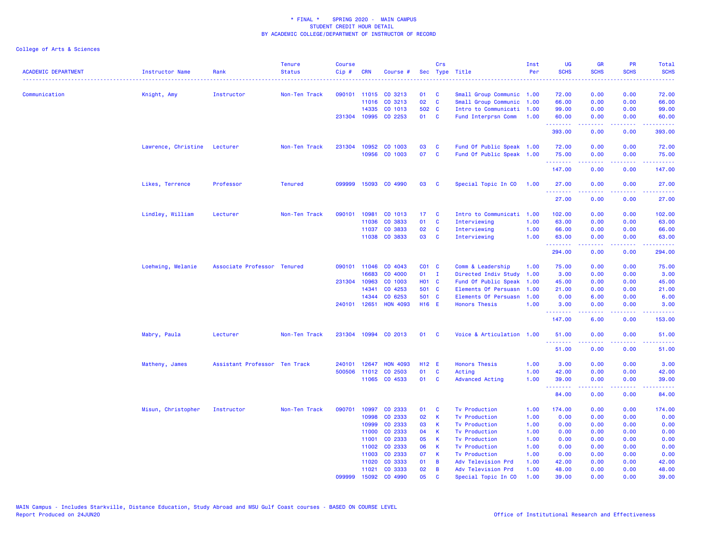| <b>ACADEMIC DEPARTMENT</b> | Instructor Name              | Rank                          | <b>Tenure</b><br><b>Status</b> | <b>Course</b><br>Cip# | <b>CRN</b>   | Course #             |                 | Crs                     | Sec Type Title            | Inst<br>Per | <b>UG</b><br><b>SCHS</b> | <b>GR</b><br><b>SCHS</b>                                                                                                                                     | <b>PR</b><br><b>SCHS</b>                                                                                                          | Total<br><b>SCHS</b><br>$\frac{1}{2} \left( \frac{1}{2} \right) \left( \frac{1}{2} \right) \left( \frac{1}{2} \right) \left( \frac{1}{2} \right)$ |
|----------------------------|------------------------------|-------------------------------|--------------------------------|-----------------------|--------------|----------------------|-----------------|-------------------------|---------------------------|-------------|--------------------------|--------------------------------------------------------------------------------------------------------------------------------------------------------------|-----------------------------------------------------------------------------------------------------------------------------------|---------------------------------------------------------------------------------------------------------------------------------------------------|
| Communication              | Knight, Amy                  | Instructor                    | Non-Ten Track                  |                       |              | 090101 11015 CO 3213 | 01              | <b>C</b>                | Small Group Communic 1.00 |             | 72.00                    | 0.00                                                                                                                                                         | 0.00                                                                                                                              | 72.00                                                                                                                                             |
|                            |                              |                               |                                |                       | 11016        | CO 3213              | 02              | $\mathbf{C}$            | Small Group Communic      | 1.00        | 66.00                    | 0.00                                                                                                                                                         | 0.00                                                                                                                              | 66.00                                                                                                                                             |
|                            |                              |                               |                                |                       | 14335        | CO 1013              | 502 C           |                         | Intro to Communicati      | 1.00        | 99.00                    | 0.00                                                                                                                                                         | 0.00                                                                                                                              | 99.00                                                                                                                                             |
|                            |                              |                               |                                |                       |              | 231304 10995 CO 2253 | 01 C            |                         | Fund Interprsn Comm       | 1.00        | 60.00                    | 0.00                                                                                                                                                         | 0.00                                                                                                                              | 60.00                                                                                                                                             |
|                            |                              |                               |                                |                       |              |                      |                 |                         |                           |             | .<br>393.00              | .<br>0.00                                                                                                                                                    | $\frac{1}{2} \left( \frac{1}{2} \right) \left( \frac{1}{2} \right) \left( \frac{1}{2} \right) \left( \frac{1}{2} \right)$<br>0.00 | .<br>393.00                                                                                                                                       |
|                            | Lawrence, Christine Lecturer |                               | Non-Ten Track                  |                       |              | 231304 10952 CO 1003 | 03              | <b>C</b>                | Fund Of Public Speak 1.00 |             | 72.00                    | 0.00                                                                                                                                                         | 0.00                                                                                                                              | 72.00                                                                                                                                             |
|                            |                              |                               |                                |                       | 10956        | CO 1003              | 07              | <b>C</b>                | Fund Of Public Speak 1.00 |             | 75.00                    | 0.00                                                                                                                                                         | 0.00                                                                                                                              | 75.00                                                                                                                                             |
|                            |                              |                               |                                |                       |              |                      |                 |                         |                           |             | 2.2.2.2.2.2<br>147.00    | 0.00                                                                                                                                                         | 0.00                                                                                                                              | 147.00                                                                                                                                            |
|                            | Likes, Terrence              | Professor                     | <b>Tenured</b>                 | 099999                |              | 15093 CO 4990        | 03              | <b>C</b>                | Special Topic In CO       | 1.00        | 27.00                    | 0.00                                                                                                                                                         | 0.00                                                                                                                              | 27.00                                                                                                                                             |
|                            |                              |                               |                                |                       |              |                      |                 |                         |                           |             | .<br>27.00               | $\frac{1}{2} \left( \frac{1}{2} \right) \left( \frac{1}{2} \right) \left( \frac{1}{2} \right) \left( \frac{1}{2} \right) \left( \frac{1}{2} \right)$<br>0.00 | $\frac{1}{2} \left( \frac{1}{2} \right) \left( \frac{1}{2} \right) \left( \frac{1}{2} \right) \left( \frac{1}{2} \right)$<br>0.00 | .<br>27.00                                                                                                                                        |
|                            | Lindley, William             | Lecturer                      | Non-Ten Track                  |                       | 090101 10981 | CO 1013              | 17 <sup>2</sup> | $\overline{\mathbf{C}}$ | Intro to Communicati      | 1.00        | 102.00                   | 0.00                                                                                                                                                         | 0.00                                                                                                                              | 102.00                                                                                                                                            |
|                            |                              |                               |                                |                       | 11036        | CO 3833              | 01              | <b>C</b>                | Interviewing              | 1.00        | 63.00                    | 0.00                                                                                                                                                         | 0.00                                                                                                                              | 63.00                                                                                                                                             |
|                            |                              |                               |                                |                       | 11037        | CO 3833              | 02              | <b>C</b>                | Interviewing              | 1.00        | 66.00                    | 0.00                                                                                                                                                         | 0.00                                                                                                                              | 66.00                                                                                                                                             |
|                            |                              |                               |                                |                       |              | 11038 CO 3833        | 03              | <b>C</b>                | Interviewing              | 1.00        | 63.00                    | 0.00                                                                                                                                                         | 0.00                                                                                                                              | 63.00                                                                                                                                             |
|                            |                              |                               |                                |                       |              |                      |                 |                         |                           |             | . <b>.</b><br>294.00     | $- - - - -$<br>0.00                                                                                                                                          | .<br>0.00                                                                                                                         | .<br>294.00                                                                                                                                       |
|                            | Loehwing, Melanie            | Associate Professor Tenured   |                                | 090101                | 11046        | CO 4043              | CO1 C           |                         | Comm & Leadership         | 1.00        | 75.00                    | 0.00                                                                                                                                                         | 0.00                                                                                                                              | 75.00                                                                                                                                             |
|                            |                              |                               |                                |                       | 16683        | CO 4000              | 01              | $\mathbf{I}$            | Directed Indiv Study      | 1.00        | 3.00                     | 0.00                                                                                                                                                         | 0.00                                                                                                                              | 3.00                                                                                                                                              |
|                            |                              |                               |                                |                       | 231304 10963 | CO 1003              | <b>HO1 C</b>    |                         | Fund Of Public Speak      | 1.00        | 45.00                    | 0.00                                                                                                                                                         | 0.00                                                                                                                              | 45.00                                                                                                                                             |
|                            |                              |                               |                                |                       | 14341        | CO 4253              | 501 C           |                         | Elements Of Persuasn      | 1.00        | 21.00                    | 0.00                                                                                                                                                         | 0.00                                                                                                                              | 21.00                                                                                                                                             |
|                            |                              |                               |                                |                       | 14344        | CO 6253              | 501 C           |                         | Elements Of Persuasn      | 1.00        | 0.00                     | 6.00                                                                                                                                                         | 0.00                                                                                                                              | 6.00                                                                                                                                              |
|                            |                              |                               |                                |                       | 240101 12651 | <b>HON 4093</b>      | H16 E           |                         | <b>Honors Thesis</b>      | 1.00        | 3.00                     | 0.00                                                                                                                                                         | 0.00                                                                                                                              | 3.00                                                                                                                                              |
|                            |                              |                               |                                |                       |              |                      |                 |                         |                           |             | .<br>147.00              | 2.2.2.2.2<br>6.00                                                                                                                                            | .<br>0.00                                                                                                                         | .<br>153.00                                                                                                                                       |
|                            | Mabry, Paula                 | Lecturer                      | Non-Ten Track                  |                       |              | 231304 10994 CO 2013 | 01              | <b>C</b>                | Voice & Articulation 1.00 |             | 51.00                    | 0.00                                                                                                                                                         | 0.00                                                                                                                              | 51.00                                                                                                                                             |
|                            |                              |                               |                                |                       |              |                      |                 |                         |                           |             | .<br>51.00               | 0.00                                                                                                                                                         | 0.00                                                                                                                              | 51.00                                                                                                                                             |
|                            | Matheny, James               | Assistant Professor Ten Track |                                | 240101                | 12647        | <b>HON 4093</b>      | H12 E           |                         | <b>Honors Thesis</b>      | 1.00        | 3.00                     | 0.00                                                                                                                                                         | 0.00                                                                                                                              | 3.00                                                                                                                                              |
|                            |                              |                               |                                |                       | 500506 11012 | CO 2503              | 01              | C                       | Acting                    | 1.00        | 42.00                    | 0.00                                                                                                                                                         | 0.00                                                                                                                              | 42.00                                                                                                                                             |
|                            |                              |                               |                                |                       |              | 11065 CO 4533        | 01              | C                       | Advanced Acting           | 1.00        | 39.00                    | 0.00                                                                                                                                                         | 0.00                                                                                                                              | 39.00                                                                                                                                             |
|                            |                              |                               |                                |                       |              |                      |                 |                         |                           |             | .<br>84.00               | .<br>0.00                                                                                                                                                    | .<br>0.00                                                                                                                         | 84.00                                                                                                                                             |
|                            | Misun, Christopher           | Instructor                    | Non-Ten Track                  | 090701                | 10997        | CO 2333              | 01              | <b>C</b>                | <b>Tv Production</b>      | 1.00        | 174.00                   | 0.00                                                                                                                                                         | 0.00                                                                                                                              | 174.00                                                                                                                                            |
|                            |                              |                               |                                |                       | 10998        | CO 2333              | 02              | К                       | <b>Tv Production</b>      | 1.00        | 0.00                     | 0.00                                                                                                                                                         | 0.00                                                                                                                              | 0.00                                                                                                                                              |
|                            |                              |                               |                                |                       | 10999        | CO 2333              | 03              | К                       | <b>Tv Production</b>      | 1.00        | 0.00                     | 0.00                                                                                                                                                         | 0.00                                                                                                                              | 0.00                                                                                                                                              |
|                            |                              |                               |                                |                       | 11000        | CO 2333              | 04              | К                       | <b>Tv Production</b>      | 1.00        | 0.00                     | 0.00                                                                                                                                                         | 0.00                                                                                                                              | 0.00                                                                                                                                              |
|                            |                              |                               |                                |                       | 11001        | CO 2333              | 05              | K                       | <b>Tv Production</b>      | 1.00        | 0.00                     | 0.00                                                                                                                                                         | 0.00                                                                                                                              | 0.00                                                                                                                                              |
|                            |                              |                               |                                |                       | 11002        | CO 2333              | 06              | К                       | <b>Tv Production</b>      | 1.00        | 0.00                     | 0.00                                                                                                                                                         | 0.00                                                                                                                              | 0.00                                                                                                                                              |
|                            |                              |                               |                                |                       | 11003        | CO 2333              | 07              | К                       | <b>Tv Production</b>      | 1.00        | 0.00                     | 0.00                                                                                                                                                         | 0.00                                                                                                                              | 0.00                                                                                                                                              |
|                            |                              |                               |                                |                       | 11020        | CO 3333              | 01              | B                       | Adv Television Prd        | 1.00        | 42.00                    | 0.00                                                                                                                                                         | 0.00                                                                                                                              | 42.00                                                                                                                                             |
|                            |                              |                               |                                |                       | 11021        | CO 3333              | 02              | B                       | Adv Television Prd        | 1.00        | 48.00                    | 0.00                                                                                                                                                         | 0.00                                                                                                                              | 48.00                                                                                                                                             |
|                            |                              |                               |                                | 099999                | 15092        | CO 4990              | 05              | $\mathbf{C}$            | Special Topic In CO       | 1.00        | 39.00                    | 0.00                                                                                                                                                         | 0.00                                                                                                                              | 39.00                                                                                                                                             |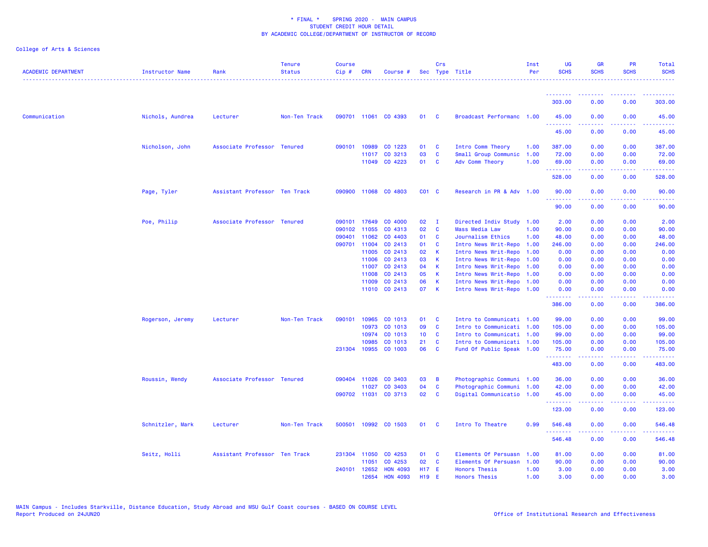| <b>ACADEMIC DEPARTMENT</b> | Instructor Name  | Rank                          | <b>Tenure</b><br><b>Status</b> | <b>Course</b><br>Cip# | <b>CRN</b>   | Course #             |                 | Crs            | Sec Type Title            | Inst<br>Per | <b>UG</b><br><b>SCHS</b> | <b>GR</b><br><b>SCHS</b> | <b>PR</b><br><b>SCHS</b>                                                                                                          | Total<br><b>SCHS</b> |
|----------------------------|------------------|-------------------------------|--------------------------------|-----------------------|--------------|----------------------|-----------------|----------------|---------------------------|-------------|--------------------------|--------------------------|-----------------------------------------------------------------------------------------------------------------------------------|----------------------|
|                            |                  |                               |                                |                       |              |                      |                 |                |                           |             | .                        |                          |                                                                                                                                   |                      |
|                            |                  |                               |                                |                       |              |                      |                 |                |                           |             | 303.00                   | 0.00                     | 0.00                                                                                                                              | 303.00               |
| Communication              | Nichols, Aundrea | Lecturer                      | Non-Ten Track                  |                       |              | 090701 11061 CO 4393 | 01 C            |                | Broadcast Performanc 1.00 |             | 45.00<br>.               | 0.00                     | 0.00                                                                                                                              | 45.00                |
|                            |                  |                               |                                |                       |              |                      |                 |                |                           |             | 45.00                    | 0.00                     | 0.00                                                                                                                              | 45.00                |
|                            | Nicholson, John  | Associate Professor Tenured   |                                |                       | 090101 10989 | CO 1223              | 01              | $\mathbf{C}$   | Intro Comm Theory         | 1.00        | 387.00                   | 0.00                     | 0.00                                                                                                                              | 387.00               |
|                            |                  |                               |                                |                       |              | 11017 CO 3213        | 03              | <b>C</b>       | Small Group Communic      | 1.00        | 72.00                    | 0.00                     | 0.00                                                                                                                              | 72.00                |
|                            |                  |                               |                                |                       |              | 11049 CO 4223        | 01 C            |                | Adv Comm Theory           | 1.00        | 69.00<br>.               | 0.00<br>.                | 0.00                                                                                                                              | 69.00<br>.           |
|                            |                  |                               |                                |                       |              |                      |                 |                |                           |             | 528.00                   | 0.00                     | 0.00                                                                                                                              | 528.00               |
|                            | Page, Tyler      | Assistant Professor Ten Track |                                | 090900                |              | 11068 CO 4803        | $CO1$ $C$       |                | Research in PR & Adv 1.00 |             | 90.00                    | 0.00                     | 0.00                                                                                                                              | 90.00                |
|                            |                  |                               |                                |                       |              |                      |                 |                |                           |             | .<br>90.00               | .<br>0.00                | $\frac{1}{2} \left( \frac{1}{2} \right) \left( \frac{1}{2} \right) \left( \frac{1}{2} \right) \left( \frac{1}{2} \right)$<br>0.00 | .<br>90.00           |
|                            | Poe, Philip      | Associate Professor Tenured   |                                |                       | 090101 17649 | CO 4000              | 02              | - 1            | Directed Indiv Study 1.00 |             | 2.00                     | 0.00                     | 0.00                                                                                                                              | 2.00                 |
|                            |                  |                               |                                | 090102                | 11055        | CO 4313              | 02              | $\mathbf{C}$   | <b>Mass Media Law</b>     | 1.00        | 90.00                    | 0.00                     | 0.00                                                                                                                              | 90.00                |
|                            |                  |                               |                                | 090401                | 11062        | CO 4403              | 01              | <b>C</b>       | Journalism Ethics         | 1.00        | 48.00                    | 0.00                     | 0.00                                                                                                                              | 48.00                |
|                            |                  |                               |                                |                       | 090701 11004 | CO 2413              | 01              | <b>C</b>       | Intro News Writ-Repo 1.00 |             | 246.00                   | 0.00                     | 0.00                                                                                                                              | 246.00               |
|                            |                  |                               |                                |                       | 11005        | CO 2413              | 02              | $\mathsf{K}$   | Intro News Writ-Repo 1.00 |             | 0.00                     | 0.00                     | 0.00                                                                                                                              | 0.00                 |
|                            |                  |                               |                                |                       | 11006        | CO 2413              | 03              | $\mathbf{K}$   | Intro News Writ-Repo 1.00 |             | 0.00                     | 0.00                     | 0.00                                                                                                                              | 0.00                 |
|                            |                  |                               |                                |                       | 11007        | CO 2413              | 04              | K              | Intro News Writ-Repo 1.00 |             | 0.00                     | 0.00                     | 0.00                                                                                                                              | 0.00                 |
|                            |                  |                               |                                |                       | 11008        | CO 2413              | 05              | $\mathsf{K}$   | Intro News Writ-Repo 1.00 |             | 0.00                     | 0.00                     | 0.00                                                                                                                              | 0.00                 |
|                            |                  |                               |                                |                       | 11009        | CO 2413              | 06              | $\mathsf{K}$   | Intro News Writ-Repo 1.00 |             | 0.00                     | 0.00                     | 0.00                                                                                                                              | 0.00                 |
|                            |                  |                               |                                |                       |              | 11010 CO 2413        | 07              | $\mathbf{K}$   | Intro News Writ-Repo 1.00 |             | 0.00                     | 0.00                     | 0.00                                                                                                                              | 0.00                 |
|                            |                  |                               |                                |                       |              |                      |                 |                |                           |             | <u>.</u><br>386.00       | 0.00                     | 0.00                                                                                                                              | 386.00               |
|                            | Rogerson, Jeremy | Lecturer                      | Non-Ten Track                  | 090101                | 10965        | CO 1013              | 01              | <b>C</b>       | Intro to Communicati 1.00 |             | 99.00                    | 0.00                     | 0.00                                                                                                                              | 99.00                |
|                            |                  |                               |                                |                       | 10973        | CO 1013              | 09              | $\mathbf{C}$   | Intro to Communicati 1.00 |             | 105.00                   | 0.00                     | 0.00                                                                                                                              | 105.00               |
|                            |                  |                               |                                |                       | 10974        | CO 1013              | 10 <sub>1</sub> | <b>C</b>       | Intro to Communicati 1.00 |             | 99.00                    | 0.00                     | 0.00                                                                                                                              | 99.00                |
|                            |                  |                               |                                |                       | 10985        | CO 1013              | 21              | $\mathbf{C}$   | Intro to Communicati 1.00 |             | 105.00                   | 0.00                     | 0.00                                                                                                                              | 105.00               |
|                            |                  |                               |                                |                       | 231304 10955 | CO 1003              | 06              | $\mathbf{C}$   | Fund Of Public Speak 1.00 |             | 75.00<br>.               | 0.00<br>22222            | 0.00<br>.                                                                                                                         | 75.00<br>.           |
|                            |                  |                               |                                |                       |              |                      |                 |                |                           |             | 483.00                   | 0.00                     | 0.00                                                                                                                              | 483.00               |
|                            | Roussin, Wendy   | Associate Professor Tenured   |                                |                       | 090404 11026 | CO 3403              | 03              | $\overline{B}$ | Photographic Communi 1.00 |             | 36.00                    | 0.00                     | 0.00                                                                                                                              | 36.00                |
|                            |                  |                               |                                |                       | 11027        | CO 3403              | 04              | $\mathbf{C}$   | Photographic Communi 1.00 |             | 42.00                    | 0.00                     | 0.00                                                                                                                              | 42.00                |
|                            |                  |                               |                                |                       |              | 090702 11031 CO 3713 | 02              | $\mathbf{C}$   | Digital Communicatio 1.00 |             | 45.00<br>.               | 0.00<br>2.2.2.2.2        | 0.00<br>.                                                                                                                         | 45.00<br>.           |
|                            |                  |                               |                                |                       |              |                      |                 |                |                           |             | 123.00                   | 0.00                     | 0.00                                                                                                                              | 123.00               |
|                            | Schnitzler, Mark | Lecturer                      | Non-Ten Track                  | 500501                |              | 10992 CO 1503        | 01 C            |                | Intro To Theatre          | 0.99        | 546.48                   | 0.00                     | 0.00                                                                                                                              | 546.48               |
|                            |                  |                               |                                |                       |              |                      |                 |                |                           |             | . <b>.</b><br>546.48     | 0.00                     | 0.00                                                                                                                              | 546.48               |
|                            | Seitz, Holli     | Assistant Professor Ten Track |                                |                       | 231304 11050 | CO 4253              | 01              | - C            | Elements Of Persuasn      | 1.00        | 81.00                    | 0.00                     | 0.00                                                                                                                              | 81.00                |
|                            |                  |                               |                                |                       | 11051        | CO 4253              | 02              | $\mathbf{C}$   | Elements Of Persuasn      | 1.00        | 90.00                    | 0.00                     | 0.00                                                                                                                              | 90.00                |
|                            |                  |                               |                                |                       | 240101 12652 | <b>HON 4093</b>      | H17 E           |                | <b>Honors Thesis</b>      | 1.00        | 3.00                     | 0.00                     | 0.00                                                                                                                              | 3.00                 |
|                            |                  |                               |                                |                       | 12654        | <b>HON 4093</b>      | <b>H19</b>      | -E             | <b>Honors Thesis</b>      | 1.00        | 3.00                     | 0.00                     | 0.00                                                                                                                              | 3.00                 |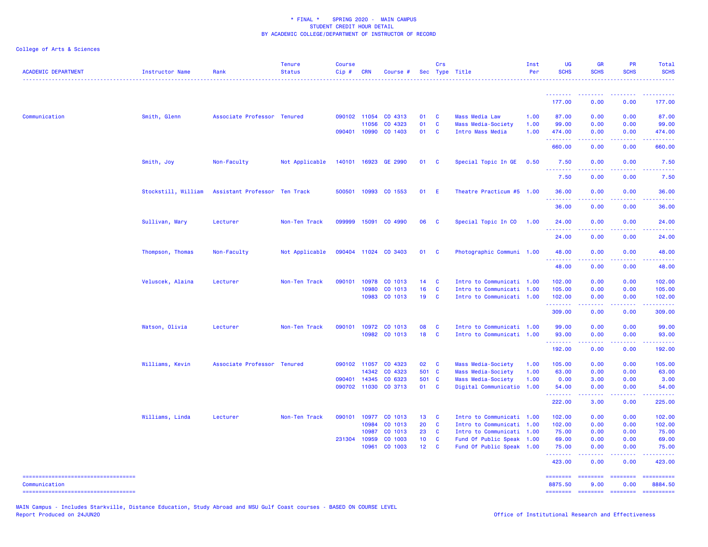College of Arts & Sciences

| <b>ACADEMIC DEPARTMENT</b>         | Instructor Name     | Rank                          | <b>Tenure</b><br><b>Status</b> | <b>Course</b><br>$Cip$ # | <b>CRN</b>            | Course #             |                       | Crs                      | Sec Type Title                                         | Inst<br>Per | <b>UG</b><br><b>SCHS</b> | <b>GR</b><br><b>SCHS</b>                                                                               | PR<br><b>SCHS</b> | <b>Total</b><br><b>SCHS</b>                                                                                                                                                                                                                                                                                                                                                                                                          |
|------------------------------------|---------------------|-------------------------------|--------------------------------|--------------------------|-----------------------|----------------------|-----------------------|--------------------------|--------------------------------------------------------|-------------|--------------------------|--------------------------------------------------------------------------------------------------------|-------------------|--------------------------------------------------------------------------------------------------------------------------------------------------------------------------------------------------------------------------------------------------------------------------------------------------------------------------------------------------------------------------------------------------------------------------------------|
|                                    |                     |                               |                                |                          |                       |                      |                       |                          |                                                        |             | <u>.</u>                 | --------                                                                                               |                   |                                                                                                                                                                                                                                                                                                                                                                                                                                      |
|                                    |                     |                               |                                |                          |                       |                      |                       |                          |                                                        |             | 177.00                   | 0.00                                                                                                   | 0.00              | 177.00                                                                                                                                                                                                                                                                                                                                                                                                                               |
| Communication                      | Smith, Glenn        | Associate Professor Tenured   |                                |                          | 090102 11054          | CO 4313              | 01                    | <b>C</b>                 | <b>Mass Media Law</b>                                  | 1.00        | 87.00                    | 0.00                                                                                                   | 0.00              | 87.00                                                                                                                                                                                                                                                                                                                                                                                                                                |
|                                    |                     |                               |                                |                          | 11056                 | CO 4323              | 01                    | <b>C</b>                 | Mass Media-Society                                     | 1.00        | 99.00                    | 0.00                                                                                                   | 0.00              | 99.00                                                                                                                                                                                                                                                                                                                                                                                                                                |
|                                    |                     |                               |                                | 090401 10990             |                       | CO 1403              | 01                    | <b>C</b>                 | Intro Mass Media                                       | 1.00        | 474.00<br>. <u>.</u>     | 0.00                                                                                                   | 0.00              | 474.00                                                                                                                                                                                                                                                                                                                                                                                                                               |
|                                    |                     |                               |                                |                          |                       |                      |                       |                          |                                                        |             | 660.00                   | 0.00                                                                                                   | 0.00              | 660.00                                                                                                                                                                                                                                                                                                                                                                                                                               |
|                                    | Smith, Joy          | Non-Faculty                   | Not Applicable                 |                          |                       | 140101 16923 GE 2990 | 01                    | $\mathbf{C}$             | Special Topic In GE                                    | 0.50        | 7.50<br>.                | 0.00                                                                                                   | 0.00              | 7.50                                                                                                                                                                                                                                                                                                                                                                                                                                 |
|                                    |                     |                               |                                |                          |                       |                      |                       |                          |                                                        |             | 7.50                     | 0.00                                                                                                   | 0.00              | 7.50                                                                                                                                                                                                                                                                                                                                                                                                                                 |
|                                    | Stockstill, William | Assistant Professor Ten Track |                                |                          |                       | 500501 10993 CO 1553 | 01                    | - E                      | Theatre Practicum #5 1.00                              |             | 36.00                    | 0.00                                                                                                   | 0.00              | 36.00                                                                                                                                                                                                                                                                                                                                                                                                                                |
|                                    |                     |                               |                                |                          |                       |                      |                       |                          |                                                        |             | 36.00                    | 0.00                                                                                                   | 0.00              | 36.00                                                                                                                                                                                                                                                                                                                                                                                                                                |
|                                    | Sullivan, Mary      | Lecturer                      | Non-Ten Track                  | 099999                   | 15091                 | CO 4990              | 06                    | $\mathbf{C}$             | Special Topic In CO                                    | 1.00        | 24.00                    | 0.00                                                                                                   | 0.00              | 24.00                                                                                                                                                                                                                                                                                                                                                                                                                                |
|                                    |                     |                               |                                |                          |                       |                      |                       |                          |                                                        |             | .<br>24.00               | $\frac{1}{2} \left( \frac{1}{2} \right) \left( \frac{1}{2} \right) \left( \frac{1}{2} \right)$<br>0.00 | 0.00              | $\frac{1}{2} \left( \frac{1}{2} \right) \left( \frac{1}{2} \right) \left( \frac{1}{2} \right) \left( \frac{1}{2} \right) \left( \frac{1}{2} \right)$<br>24.00                                                                                                                                                                                                                                                                        |
|                                    | Thompson, Thomas    | Non-Faculty                   | Not Applicable                 |                          |                       | 090404 11024 CO 3403 | 01                    | $\mathbf{c}$             | Photographic Communi 1.00                              |             | 48.00                    | 0.00                                                                                                   | 0.00              | 48.00                                                                                                                                                                                                                                                                                                                                                                                                                                |
|                                    |                     |                               |                                |                          |                       |                      |                       |                          |                                                        |             | .<br>48.00               | 0.00                                                                                                   | 0.00              | 48.00                                                                                                                                                                                                                                                                                                                                                                                                                                |
|                                    |                     |                               |                                |                          |                       |                      |                       |                          |                                                        |             |                          |                                                                                                        |                   |                                                                                                                                                                                                                                                                                                                                                                                                                                      |
|                                    | Veluscek, Alaina    | Lecturer                      | Non-Ten Track                  | 090101                   | 10978                 | CO 1013              | 14                    | $\mathbf{C}$             | Intro to Communicati 1.00                              |             | 102.00                   | 0.00                                                                                                   | 0.00              | 102.00                                                                                                                                                                                                                                                                                                                                                                                                                               |
|                                    |                     |                               |                                |                          | 10980<br>10983        | CO 1013<br>CO 1013   | 16<br>19              | C<br><b>C</b>            | Intro to Communicati 1.00<br>Intro to Communicati 1.00 |             | 105.00<br>102.00         | 0.00<br>0.00                                                                                           | 0.00<br>0.00      | 105.00<br>102.00                                                                                                                                                                                                                                                                                                                                                                                                                     |
|                                    |                     |                               |                                |                          |                       |                      |                       |                          |                                                        |             | .                        | . <b>.</b>                                                                                             | .                 | <u>.</u>                                                                                                                                                                                                                                                                                                                                                                                                                             |
|                                    |                     |                               |                                |                          |                       |                      |                       |                          |                                                        |             | 309.00                   | 0.00                                                                                                   | 0.00              | 309.00                                                                                                                                                                                                                                                                                                                                                                                                                               |
|                                    | Watson, Olivia      | Lecturer                      | Non-Ten Track                  |                          |                       | 090101 10972 CO 1013 | 08                    | <b>C</b>                 | Intro to Communicati 1.00                              |             | 99.00                    | 0.00                                                                                                   | 0.00              | 99.00                                                                                                                                                                                                                                                                                                                                                                                                                                |
|                                    |                     |                               |                                |                          |                       | 10982 CO 1013        | 18                    | $\mathbf{C}$             | Intro to Communicati 1.00                              |             | 93.00                    | 0.00                                                                                                   | 0.00              | 93.00                                                                                                                                                                                                                                                                                                                                                                                                                                |
|                                    |                     |                               |                                |                          |                       |                      |                       |                          |                                                        |             | .<br>192.00              | 0.00                                                                                                   | 0.00              | 192.00                                                                                                                                                                                                                                                                                                                                                                                                                               |
|                                    | Williams, Kevin     | Associate Professor Tenured   |                                | 090102 11057             |                       | CO 4323              | 02 C                  |                          | Mass Media-Society                                     | 1.00        | 105.00                   | 0.00                                                                                                   | 0.00              | 105.00                                                                                                                                                                                                                                                                                                                                                                                                                               |
|                                    |                     |                               |                                |                          | 14342                 | CO 4323              | 501 C                 |                          | Mass Media-Society                                     | 1.00        | 63.00                    | 0.00                                                                                                   | 0.00              | 63.00                                                                                                                                                                                                                                                                                                                                                                                                                                |
|                                    |                     |                               |                                |                          | 090401 14345          | CO 6323              | 501 C                 |                          | Mass Media-Society                                     | 1.00        | 0.00                     | 3.00                                                                                                   | 0.00              | 3.00                                                                                                                                                                                                                                                                                                                                                                                                                                 |
|                                    |                     |                               |                                |                          |                       | 090702 11030 CO 3713 | 01                    | $\mathbf{C}$             | Digital Communicatio 1.00                              |             | 54.00<br>.               | 0.00<br>-----                                                                                          | 0.00<br>.         | 54.00<br>.                                                                                                                                                                                                                                                                                                                                                                                                                           |
|                                    |                     |                               |                                |                          |                       |                      |                       |                          |                                                        |             | 222.00                   | 3.00                                                                                                   | 0.00              | 225.00                                                                                                                                                                                                                                                                                                                                                                                                                               |
|                                    | Williams, Linda     | Lecturer                      | Non-Ten Track                  | 090101                   | 10977                 | CO 1013              | 13 C                  |                          | Intro to Communicati 1.00                              |             | 102.00                   | 0.00                                                                                                   | 0.00              | 102.00                                                                                                                                                                                                                                                                                                                                                                                                                               |
|                                    |                     |                               |                                |                          | 10984                 | CO 1013              | 20                    | $\mathbf{C}$             | Intro to Communicati 1.00                              |             | 102.00                   | 0.00                                                                                                   | 0.00              | 102.00                                                                                                                                                                                                                                                                                                                                                                                                                               |
|                                    |                     |                               |                                |                          | 10987<br>231304 10959 | CO 1013<br>CO 1003   | 23<br>10 <sub>1</sub> | <b>C</b><br>$\mathbf{C}$ | Intro to Communicati 1.00<br>Fund Of Public Speak 1.00 |             | 75.00<br>69.00           | 0.00<br>0.00                                                                                           | 0.00<br>0.00      | 75.00<br>69.00                                                                                                                                                                                                                                                                                                                                                                                                                       |
|                                    |                     |                               |                                |                          | 10961                 | CO 1003              | $12 \quad C$          |                          | Fund Of Public Speak 1.00                              |             | 75.00                    | 0.00                                                                                                   | 0.00              | 75.00                                                                                                                                                                                                                                                                                                                                                                                                                                |
|                                    |                     |                               |                                |                          |                       |                      |                       |                          |                                                        |             | .<br>423.00              | 0.00                                                                                                   | 0.00              | 423.00                                                                                                                                                                                                                                                                                                                                                                                                                               |
| ---------------------------------- |                     |                               |                                |                          |                       |                      |                       |                          |                                                        |             | ========                 | <b>ESSESSE</b>                                                                                         | <b>SESSESSE</b>   | $\begin{minipage}{0.9\linewidth} \hspace*{-0.2cm} \textbf{1} & \textbf{2} & \textbf{3} & \textbf{5} & \textbf{6} & \textbf{7} \\ \textbf{5} & \textbf{6} & \textbf{7} & \textbf{8} & \textbf{8} & \textbf{8} & \textbf{9} \\ \textbf{6} & \textbf{7} & \textbf{8} & \textbf{8} & \textbf{8} & \textbf{9} & \textbf{9} \\ \textbf{7} & \textbf{8} & \textbf{8} & \textbf{8} & \textbf{9} & \textbf{9} & \textbf{9} \\ \textbf{8} & \$ |
| Communication                      |                     |                               |                                |                          |                       |                      |                       |                          |                                                        |             | 8875.50                  | 9.00                                                                                                   | 0.00              | 8884.50                                                                                                                                                                                                                                                                                                                                                                                                                              |

===================================

MAIN Campus - Includes Starkville, Distance Education, Study Abroad and MSU Gulf Coast courses - BASED ON COURSE LEVEL

======== ======== ======== ==========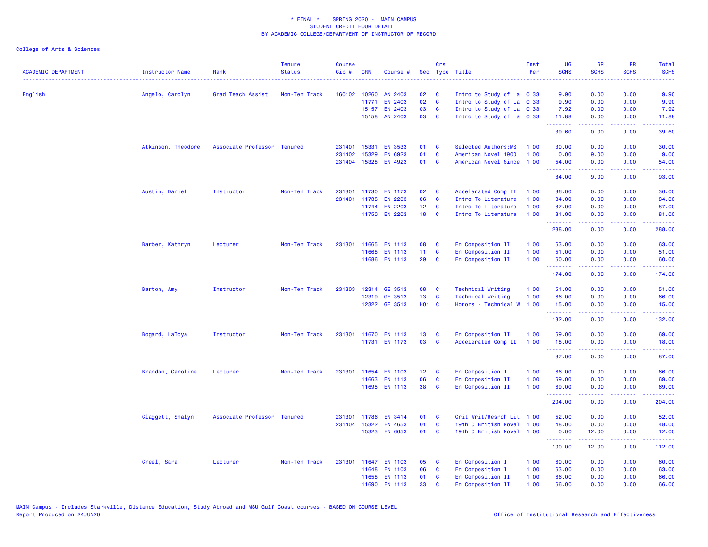| English<br>160102 10260<br>AN 2403<br>02<br>C<br>9.90<br>Angelo, Carolyn<br>Grad Teach Assist<br>Non-Ten Track<br>Intro to Study of La 0.33<br>02<br>EN 2403<br>$\mathbf{C}$<br>Intro to Study of La 0.33<br>9.90<br>11771<br>03<br><b>EN 2403</b><br>$\mathbf{C}$<br>Intro to Study of La 0.33<br>7.92<br>15157<br>03<br>$\overline{\mathbf{C}}$<br>15158 AN 2403<br>Intro to Study of La 0.33<br>11.88<br><u>.</u><br>39.60<br>15331<br><b>EN 3533</b><br>Atkinson, Theodore<br>Associate Professor Tenured<br>231401<br>01<br>C<br>Selected Authors:MS<br>1.00<br>30.00<br>$\mathbf{C}$<br>231402<br>15329<br>EN 6923<br>01<br>American Novel 1900<br>1.00<br>0.00 | 0.00<br>0.00<br>0.00<br>0.00<br>22222<br>0.00<br>0.00<br>9.00<br>0.00<br>9.00                                                                                | 0.00<br>0.00<br>0.00<br>0.00<br>ن د د د<br>0.00<br>0.00<br>0.00<br>0.00 | 9.90<br>9.90<br>7.92<br>11.88<br>.<br>39.60<br>30.00<br>9.00<br>54.00 |
|-----------------------------------------------------------------------------------------------------------------------------------------------------------------------------------------------------------------------------------------------------------------------------------------------------------------------------------------------------------------------------------------------------------------------------------------------------------------------------------------------------------------------------------------------------------------------------------------------------------------------------------------------------------------------|--------------------------------------------------------------------------------------------------------------------------------------------------------------|-------------------------------------------------------------------------|-----------------------------------------------------------------------|
|                                                                                                                                                                                                                                                                                                                                                                                                                                                                                                                                                                                                                                                                       |                                                                                                                                                              |                                                                         |                                                                       |
|                                                                                                                                                                                                                                                                                                                                                                                                                                                                                                                                                                                                                                                                       |                                                                                                                                                              |                                                                         |                                                                       |
|                                                                                                                                                                                                                                                                                                                                                                                                                                                                                                                                                                                                                                                                       |                                                                                                                                                              |                                                                         |                                                                       |
|                                                                                                                                                                                                                                                                                                                                                                                                                                                                                                                                                                                                                                                                       |                                                                                                                                                              |                                                                         |                                                                       |
|                                                                                                                                                                                                                                                                                                                                                                                                                                                                                                                                                                                                                                                                       |                                                                                                                                                              |                                                                         |                                                                       |
|                                                                                                                                                                                                                                                                                                                                                                                                                                                                                                                                                                                                                                                                       |                                                                                                                                                              |                                                                         |                                                                       |
|                                                                                                                                                                                                                                                                                                                                                                                                                                                                                                                                                                                                                                                                       |                                                                                                                                                              |                                                                         |                                                                       |
|                                                                                                                                                                                                                                                                                                                                                                                                                                                                                                                                                                                                                                                                       |                                                                                                                                                              |                                                                         |                                                                       |
| 231404<br>15328<br>EN 4923<br>01<br>$\mathbf{C}$<br>1.00<br>American Novel Since<br>54.00<br>.                                                                                                                                                                                                                                                                                                                                                                                                                                                                                                                                                                        |                                                                                                                                                              |                                                                         |                                                                       |
| 84.00                                                                                                                                                                                                                                                                                                                                                                                                                                                                                                                                                                                                                                                                 |                                                                                                                                                              | 0.00                                                                    | 93.00                                                                 |
| Austin, Daniel<br><b>EN 1173</b><br>02<br>C<br>36.00<br>Instructor<br>Non-Ten Track<br>231301<br>11730<br>Accelerated Comp II<br>1.00                                                                                                                                                                                                                                                                                                                                                                                                                                                                                                                                 | 0.00                                                                                                                                                         | 0.00                                                                    | 36.00                                                                 |
| <b>EN 2203</b><br>06<br>$\mathbf{C}$<br>231401 11738<br>Intro To Literature<br>1.00<br>84.00                                                                                                                                                                                                                                                                                                                                                                                                                                                                                                                                                                          | 0.00                                                                                                                                                         | 0.00                                                                    | 84.00                                                                 |
| 11744<br><b>EN 2203</b><br>12 <sub>2</sub><br>$\mathbf{C}$<br>1.00<br>87.00<br>Intro To Literature                                                                                                                                                                                                                                                                                                                                                                                                                                                                                                                                                                    | 0.00                                                                                                                                                         | 0.00                                                                    | 87.00                                                                 |
| 18<br>11750 EN 2203<br><b>C</b><br>1.00<br>Intro To Literature<br>81.00<br>.                                                                                                                                                                                                                                                                                                                                                                                                                                                                                                                                                                                          | 0.00<br>22222                                                                                                                                                | 0.00                                                                    | 81.00                                                                 |
| 288.00                                                                                                                                                                                                                                                                                                                                                                                                                                                                                                                                                                                                                                                                | 0.00                                                                                                                                                         | 0.00                                                                    | 288.00                                                                |
| 08<br>Lecturer<br>Non-Ten Track<br>231301<br>11665<br><b>EN 1113</b><br>C<br>En Composition II<br>1.00<br>63.00<br>Barber, Kathryn                                                                                                                                                                                                                                                                                                                                                                                                                                                                                                                                    | 0.00                                                                                                                                                         | 0.00                                                                    | 63.00                                                                 |
| 11<br>$\mathbf{C}$<br>1.00<br>11668<br><b>EN 1113</b><br>En Composition II<br>51.00                                                                                                                                                                                                                                                                                                                                                                                                                                                                                                                                                                                   | 0.00                                                                                                                                                         | 0.00                                                                    | 51.00                                                                 |
| 11686 EN 1113<br>29<br><b>C</b><br>En Composition II<br>1.00<br>60.00                                                                                                                                                                                                                                                                                                                                                                                                                                                                                                                                                                                                 | 0.00                                                                                                                                                         | 0.00                                                                    | 60.00                                                                 |
| .<br>174.00                                                                                                                                                                                                                                                                                                                                                                                                                                                                                                                                                                                                                                                           | .<br>0.00                                                                                                                                                    | .<br>0.00                                                               | 174.00                                                                |
| Barton, Amy<br>Instructor<br>Non-Ten Track<br>231303<br>12314<br>GE 3513<br>08<br><b>C</b><br><b>Technical Writing</b><br>1.00<br>51.00                                                                                                                                                                                                                                                                                                                                                                                                                                                                                                                               | 0.00                                                                                                                                                         | 0.00                                                                    | 51.00                                                                 |
| 13<br>12319 GE 3513<br>$\mathbf{C}$<br><b>Technical Writing</b><br>1.00<br>66.00                                                                                                                                                                                                                                                                                                                                                                                                                                                                                                                                                                                      | 0.00                                                                                                                                                         | 0.00                                                                    | 66.00                                                                 |
| 12322 GE 3513<br><b>HO1 C</b><br>Honors - Technical W 1.00<br>15.00                                                                                                                                                                                                                                                                                                                                                                                                                                                                                                                                                                                                   | 0.00                                                                                                                                                         | 0.00                                                                    | 15.00                                                                 |
| .<br>132.00                                                                                                                                                                                                                                                                                                                                                                                                                                                                                                                                                                                                                                                           | $\frac{1}{2} \left( \frac{1}{2} \right) \left( \frac{1}{2} \right) \left( \frac{1}{2} \right) \left( \frac{1}{2} \right) \left( \frac{1}{2} \right)$<br>0.00 | .<br>0.00                                                               | <u>.</u><br>132.00                                                    |
| En Composition II<br>Bogard, LaToya<br>Instructor<br>Non-Ten Track<br>231301 11670 EN 1113<br>13<br><b>C</b><br>1.00<br>69.00                                                                                                                                                                                                                                                                                                                                                                                                                                                                                                                                         | 0.00                                                                                                                                                         | 0.00                                                                    | 69.00                                                                 |
| 11731 EN 1173<br>03<br>$\mathbf{C}$<br>Accelerated Comp II<br>1.00<br>18.00                                                                                                                                                                                                                                                                                                                                                                                                                                                                                                                                                                                           | 0.00                                                                                                                                                         | 0.00                                                                    | 18.00                                                                 |
| .<br>87.00                                                                                                                                                                                                                                                                                                                                                                                                                                                                                                                                                                                                                                                            | . <u>.</u> .<br>0.00                                                                                                                                         | $\sim$ $\sim$ $\sim$ $\sim$<br>0.00                                     | 87.00                                                                 |
| Brandon, Caroline<br>Lecturer<br>Non-Ten Track<br>231301 11654<br><b>EN 1103</b><br>12 <sub>2</sub><br>$\overline{\mathbf{C}}$<br>En Composition I<br>1.00<br>66.00                                                                                                                                                                                                                                                                                                                                                                                                                                                                                                   | 0.00                                                                                                                                                         | 0.00                                                                    | 66.00                                                                 |
| <b>EN 1113</b><br>06<br>$\mathbf{C}$<br>En Composition II<br>1.00<br>11663<br>69.00                                                                                                                                                                                                                                                                                                                                                                                                                                                                                                                                                                                   | 0.00                                                                                                                                                         | 0.00                                                                    | 69.00                                                                 |
| 38<br>11695 EN 1113<br><b>C</b><br>En Composition II<br>1.00<br>69.00                                                                                                                                                                                                                                                                                                                                                                                                                                                                                                                                                                                                 | 0.00                                                                                                                                                         | 0.00                                                                    | 69.00                                                                 |
| .<br>204.00                                                                                                                                                                                                                                                                                                                                                                                                                                                                                                                                                                                                                                                           | بالمستبقات<br>0.00                                                                                                                                           | .<br>0.00                                                               | د د د د د د<br>204.00                                                 |
| Claggett, Shalyn<br>Associate Professor Tenured<br><b>EN 3414</b><br>01<br>C<br>Crit Writ/Resrch Lit 1.00<br>52.00<br>231301<br>11786                                                                                                                                                                                                                                                                                                                                                                                                                                                                                                                                 | 0.00                                                                                                                                                         | 0.00                                                                    | 52.00                                                                 |
| 01<br>$\mathbf{C}$<br>231404<br>15322<br>EN 4653<br>19th C British Novel<br>1.00<br>48.00                                                                                                                                                                                                                                                                                                                                                                                                                                                                                                                                                                             | 0.00                                                                                                                                                         | 0.00                                                                    | 48.00                                                                 |
| 15323<br><b>EN 6653</b><br>01 C<br>19th C British Novel 1.00<br>0.00                                                                                                                                                                                                                                                                                                                                                                                                                                                                                                                                                                                                  | 12.00                                                                                                                                                        | 0.00                                                                    | 12.00                                                                 |
| .<br>100.00                                                                                                                                                                                                                                                                                                                                                                                                                                                                                                                                                                                                                                                           | .<br>12.00                                                                                                                                                   | .<br>0.00                                                               | . <u>.</u><br>112.00                                                  |
| Creel, Sara<br>Lecturer<br>Non-Ten Track<br>231301<br>11647<br><b>EN 1103</b><br>05<br><b>C</b><br>En Composition I<br>1.00<br>60.00                                                                                                                                                                                                                                                                                                                                                                                                                                                                                                                                  | 0.00                                                                                                                                                         | 0.00                                                                    | 60.00                                                                 |
| 11648<br><b>EN 1103</b><br>06<br><b>C</b><br>En Composition I<br>1.00<br>63.00                                                                                                                                                                                                                                                                                                                                                                                                                                                                                                                                                                                        | 0.00                                                                                                                                                         | 0.00                                                                    | 63.00                                                                 |
| EN 1113<br>01<br>66.00<br>11658<br><b>C</b><br>En Composition II<br>1.00                                                                                                                                                                                                                                                                                                                                                                                                                                                                                                                                                                                              | 0.00                                                                                                                                                         | 0.00                                                                    | 66.00                                                                 |
| 33<br>11690<br><b>EN 1113</b><br><b>C</b><br>En Composition II<br>1.00<br>66.00                                                                                                                                                                                                                                                                                                                                                                                                                                                                                                                                                                                       | 0.00                                                                                                                                                         | 0.00                                                                    | 66.00                                                                 |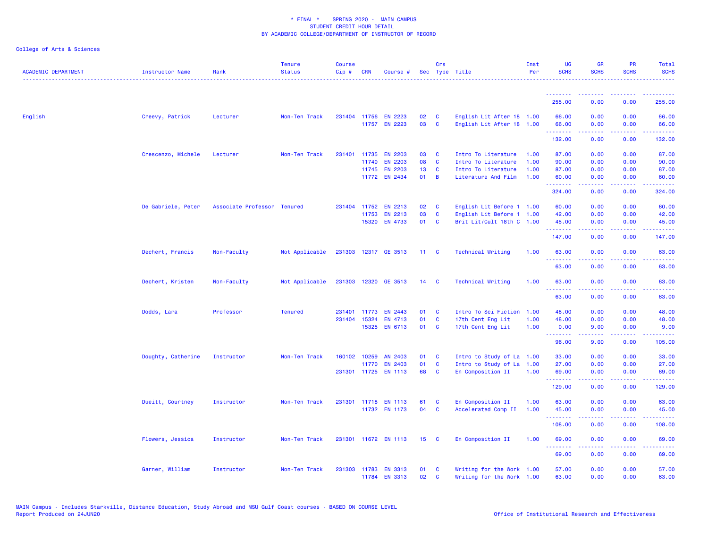| <b>ACADEMIC DEPARTMENT</b> | <b>Instructor Name</b> | Rank                        | <b>Tenure</b><br><b>Status</b> | <b>Course</b><br>Cip# | <b>CRN</b>   | Course #                              |                 | Crs            | Sec Type Title                                         | Inst<br>Per | <b>UG</b><br><b>SCHS</b>  | <b>GR</b><br><b>SCHS</b>                                                                                                                                     | <b>PR</b><br><b>SCHS</b>                                                                               | Total<br><b>SCHS</b> |
|----------------------------|------------------------|-----------------------------|--------------------------------|-----------------------|--------------|---------------------------------------|-----------------|----------------|--------------------------------------------------------|-------------|---------------------------|--------------------------------------------------------------------------------------------------------------------------------------------------------------|--------------------------------------------------------------------------------------------------------|----------------------|
|                            |                        |                             |                                |                       |              |                                       |                 |                |                                                        |             |                           |                                                                                                                                                              |                                                                                                        |                      |
|                            |                        |                             |                                |                       |              |                                       |                 |                |                                                        |             | 255.00                    | 0.00                                                                                                                                                         | 0.00                                                                                                   | 255.00               |
| English                    | Creevy, Patrick        | Lecturer                    | Non-Ten Track                  |                       |              | 231404 11756 EN 2223                  | 02              | C              | English Lit After 18 1.00                              |             | 66.00                     | 0.00                                                                                                                                                         | 0.00                                                                                                   | 66.00                |
|                            |                        |                             |                                |                       |              | 11757 EN 2223                         | 03              | $\mathbf c$    | English Lit After 18 1.00                              |             | 66.00                     | 0.00                                                                                                                                                         | 0.00                                                                                                   | 66.00                |
|                            |                        |                             |                                |                       |              |                                       |                 |                |                                                        |             | .<br>132.00               | .<br>0.00                                                                                                                                                    | المتحدث<br>0.00                                                                                        | .<br>132.00          |
|                            | Crescenzo, Michele     | Lecturer                    | Non-Ten Track                  | 231401                | 11735        | <b>EN 2203</b>                        | 03              | <b>C</b>       | Intro To Literature                                    | 1.00        | 87.00                     | 0.00                                                                                                                                                         | 0.00                                                                                                   | 87.00                |
|                            |                        |                             |                                |                       | 11740        | <b>EN 2203</b>                        | 08              | C              | Intro To Literature                                    | 1.00        | 90.00                     | 0.00                                                                                                                                                         | 0.00                                                                                                   | 90.00                |
|                            |                        |                             |                                |                       |              | 11745 EN 2203                         | 13              | C              | Intro To Literature                                    | 1.00        | 87.00                     | 0.00                                                                                                                                                         | 0.00                                                                                                   | 87.00                |
|                            |                        |                             |                                |                       |              | 11772 EN 2434                         | 01              | $\overline{B}$ | Literature And Film                                    | 1.00        | 60.00                     | 0.00                                                                                                                                                         | 0.00                                                                                                   | 60.00                |
|                            |                        |                             |                                |                       |              |                                       |                 |                |                                                        |             | - - - - - - - -<br>324.00 | <u>.</u><br>0.00                                                                                                                                             | $\frac{1}{2} \left( \frac{1}{2} \right) \left( \frac{1}{2} \right) \left( \frac{1}{2} \right)$<br>0.00 | .<br>324.00          |
|                            | De Gabriele, Peter     | Associate Professor Tenured |                                |                       | 231404 11752 | <b>EN 2213</b>                        | 02              | C              | English Lit Before 1 1.00                              |             | 60.00                     | 0.00                                                                                                                                                         | 0.00                                                                                                   | 60.00                |
|                            |                        |                             |                                |                       | 11753        | EN 2213                               | 03              | $\mathbf c$    | English Lit Before 1 1.00                              |             | 42.00                     | 0.00                                                                                                                                                         | 0.00                                                                                                   | 42.00                |
|                            |                        |                             |                                |                       | 15320        | EN 4733                               | 01              | <b>C</b>       | Brit Lit/Cult 18th C 1.00                              |             | 45.00                     | 0.00                                                                                                                                                         | 0.00                                                                                                   | 45.00                |
|                            |                        |                             |                                |                       |              |                                       |                 |                |                                                        |             | .<br>147.00               | 0.00                                                                                                                                                         | $\frac{1}{2} \left( \frac{1}{2} \right) \left( \frac{1}{2} \right) \left( \frac{1}{2} \right)$<br>0.00 | 147.00               |
|                            | Dechert, Francis       | Non-Faculty                 | Not Applicable                 |                       |              | 231303 12317 GE 3513                  | $11 -$          | <b>C</b>       | <b>Technical Writing</b>                               | 1.00        | 63.00                     | 0.00                                                                                                                                                         | 0.00                                                                                                   | 63.00                |
|                            |                        |                             |                                |                       |              |                                       |                 |                |                                                        |             | .<br>63.00                | 0.00                                                                                                                                                         | 0.00                                                                                                   | .<br>63.00           |
|                            | Dechert, Kristen       | Non-Faculty                 | Not Applicable                 |                       |              | 231303 12320 GE 3513                  | 14 <sub>°</sub> |                | <b>Technical Writing</b>                               | 1.00        | 63.00                     | 0.00                                                                                                                                                         | 0.00                                                                                                   | 63.00                |
|                            |                        |                             |                                |                       |              |                                       |                 |                |                                                        |             | .<br>63.00                | <u>.</u><br>0.00                                                                                                                                             | .<br>0.00                                                                                              | .<br>63.00           |
|                            | Dodds, Lara            | Professor                   | <b>Tenured</b>                 | 231401                | 11773        | <b>EN 2443</b>                        | 01              | <b>C</b>       | Intro To Sci Fiction                                   | 1.00        | 48.00                     | 0.00                                                                                                                                                         | 0.00                                                                                                   | 48.00                |
|                            |                        |                             |                                | 231404                | 15324        | EN 4713                               | 01              | <b>C</b>       | 17th Cent Eng Lit                                      | 1.00        | 48.00                     | 0.00                                                                                                                                                         | 0.00                                                                                                   | 48.00                |
|                            |                        |                             |                                |                       |              | 15325 EN 6713                         | 01 C            |                | 17th Cent Eng Lit                                      | 1.00        | 0.00                      | 9.00                                                                                                                                                         | 0.00                                                                                                   | 9.00                 |
|                            |                        |                             |                                |                       |              |                                       |                 |                |                                                        |             | .<br>96.00                | $\frac{1}{2} \left( \frac{1}{2} \right) \left( \frac{1}{2} \right) \left( \frac{1}{2} \right) \left( \frac{1}{2} \right) \left( \frac{1}{2} \right)$<br>9.00 | .<br>0.00                                                                                              | .<br>105.00          |
|                            | Doughty, Catherine     | Instructor                  | Non-Ten Track                  | 160102                | 10259        | AN 2403                               | 01              | C              | Intro to Study of La                                   | 1.00        | 33.00                     | 0.00                                                                                                                                                         | 0.00                                                                                                   | 33.00                |
|                            |                        |                             |                                |                       | 11770        | EN 2403                               | 01              | C              | Intro to Study of La                                   | 1.00        | 27.00                     | 0.00                                                                                                                                                         | 0.00                                                                                                   | 27.00                |
|                            |                        |                             |                                |                       |              | 231301 11725 EN 1113                  | 68              | <b>C</b>       | En Composition II                                      | 1.00        | 69.00                     | 0.00                                                                                                                                                         | 0.00                                                                                                   | 69.00                |
|                            |                        |                             |                                |                       |              |                                       |                 |                |                                                        |             | .<br>129.00               | $\frac{1}{2} \left( \frac{1}{2} \right) \left( \frac{1}{2} \right) \left( \frac{1}{2} \right) \left( \frac{1}{2} \right) \left( \frac{1}{2} \right)$<br>0.00 | .<br>0.00                                                                                              | .<br>129.00          |
|                            | Dueitt, Courtney       | Instructor                  | Non-Ten Track                  |                       |              | 231301 11718 EN 1113                  | 61              | C              | En Composition II                                      | 1.00        | 63.00                     | 0.00                                                                                                                                                         | 0.00                                                                                                   | 63.00                |
|                            |                        |                             |                                |                       |              | 11732 EN 1173                         | 04              | C              | Accelerated Comp II                                    | 1.00        | 45.00                     | 0.00                                                                                                                                                         | 0.00                                                                                                   | 45.00                |
|                            |                        |                             |                                |                       |              |                                       |                 |                |                                                        |             | .                         |                                                                                                                                                              |                                                                                                        |                      |
|                            |                        |                             |                                |                       |              |                                       |                 |                |                                                        |             | 108.00                    | 0.00                                                                                                                                                         | 0.00                                                                                                   | 108.00               |
|                            | Flowers, Jessica       | Instructor                  | Non-Ten Track                  |                       |              | 231301 11672 EN 1113                  | 15 <sub>1</sub> | <b>C</b>       | En Composition II                                      | 1.00        | 69.00                     | 0.00                                                                                                                                                         | 0.00                                                                                                   | 69.00                |
|                            |                        |                             |                                |                       |              |                                       |                 |                |                                                        |             | 69.00                     | 0.00                                                                                                                                                         | 0.00                                                                                                   | 69.00                |
|                            | Garner, William        | Instructor                  | Non-Ten Track                  |                       |              | 231303 11783 EN 3313<br>11784 EN 3313 | 01<br>02        | C<br>C         | Writing for the Work 1.00<br>Writing for the Work 1.00 |             | 57.00<br>63.00            | 0.00<br>0.00                                                                                                                                                 | 0.00<br>0.00                                                                                           | 57.00<br>63.00       |
|                            |                        |                             |                                |                       |              |                                       |                 |                |                                                        |             |                           |                                                                                                                                                              |                                                                                                        |                      |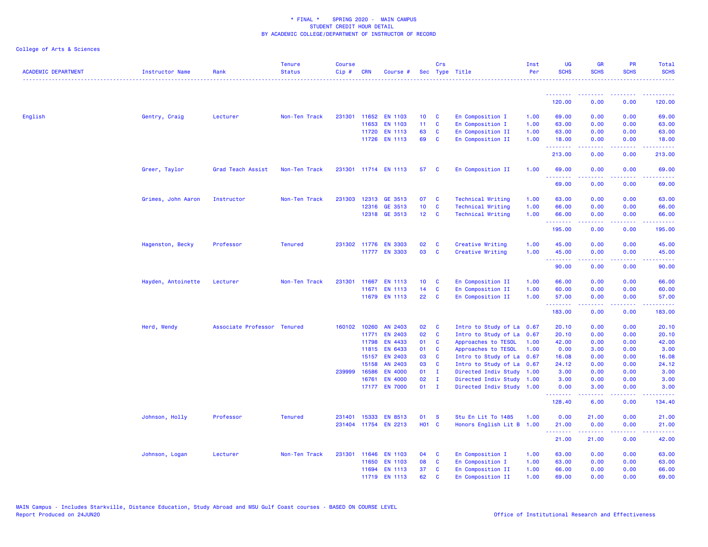| <b>ACADEMIC DEPARTMENT</b> | Instructor Name    | Rank                        | <b>Tenure</b><br><b>Status</b> | <b>Course</b><br>Cip# | <b>CRN</b>   | Course #                        |                 | Crs                     | Sec Type Title                                         | Inst<br>Per | <b>UG</b><br><b>SCHS</b> | <b>GR</b><br><b>SCHS</b>                                                                                                                                      | <b>PR</b><br><b>SCHS</b>                                                                               | Total<br><b>SCHS</b> |
|----------------------------|--------------------|-----------------------------|--------------------------------|-----------------------|--------------|---------------------------------|-----------------|-------------------------|--------------------------------------------------------|-------------|--------------------------|---------------------------------------------------------------------------------------------------------------------------------------------------------------|--------------------------------------------------------------------------------------------------------|----------------------|
|                            |                    |                             |                                |                       |              |                                 |                 |                         |                                                        |             | .                        |                                                                                                                                                               |                                                                                                        |                      |
|                            |                    |                             |                                |                       |              |                                 |                 |                         |                                                        |             | 120.00                   | 0.00                                                                                                                                                          | 0.00                                                                                                   | 120.00               |
| English                    | Gentry, Craig      | Lecturer                    | Non-Ten Track                  |                       | 231301 11652 | <b>EN 1103</b>                  | 10 <sub>1</sub> | $\overline{\mathbf{C}}$ | En Composition I                                       | 1.00        | 69.00                    | 0.00                                                                                                                                                          | 0.00                                                                                                   | 69.00                |
|                            |                    |                             |                                |                       | 11653        | <b>EN 1103</b>                  | 11 <sub>1</sub> | $\mathbf{C}$            | En Composition I                                       | 1.00        | 63.00                    | 0.00                                                                                                                                                          | 0.00                                                                                                   | 63.00                |
|                            |                    |                             |                                |                       | 11720        | <b>EN 1113</b>                  | 63              | $\mathbf{C}$            | En Composition II                                      | 1.00        | 63.00                    | 0.00                                                                                                                                                          | 0.00                                                                                                   | 63.00                |
|                            |                    |                             |                                |                       |              | 11726 EN 1113                   | 69              | $\mathbf{C}$            | En Composition II                                      | 1.00        | 18.00<br>.               | 0.00                                                                                                                                                          | 0.00                                                                                                   | 18.00                |
|                            |                    |                             |                                |                       |              |                                 |                 |                         |                                                        |             | 213.00                   | 0.00                                                                                                                                                          | 0.00                                                                                                   | 213.00               |
|                            | Greer, Taylor      | Grad Teach Assist           | Non-Ten Track                  |                       |              | 231301 11714 EN 1113            | 57              | <b>C</b>                | En Composition II                                      | 1.00        | 69.00<br>.               | 0.00<br>.                                                                                                                                                     | 0.00<br>$\sim$ $\sim$ $\sim$ $\sim$                                                                    | 69.00<br>.           |
|                            |                    |                             |                                |                       |              |                                 |                 |                         |                                                        |             | 69.00                    | 0.00                                                                                                                                                          | 0.00                                                                                                   | 69.00                |
|                            | Grimes, John Aaron | Instructor                  | Non-Ten Track                  |                       |              | 231303 12313 GE 3513            | 07              | <b>C</b>                | <b>Technical Writing</b>                               | 1.00        | 63.00                    | 0.00                                                                                                                                                          | 0.00                                                                                                   | 63.00                |
|                            |                    |                             |                                |                       |              | 12316 GE 3513                   | 10 <sub>1</sub> | $\mathbf{C}$            | <b>Technical Writing</b>                               | 1.00        | 66.00                    | 0.00                                                                                                                                                          | 0.00                                                                                                   | 66.00                |
|                            |                    |                             |                                |                       |              | 12318 GE 3513                   | 12 C            |                         | <b>Technical Writing</b>                               | 1.00        | 66.00<br>.               | 0.00<br>.                                                                                                                                                     | 0.00<br>الدامات ب                                                                                      | 66.00<br>.           |
|                            |                    |                             |                                |                       |              |                                 |                 |                         |                                                        |             | 195.00                   | 0.00                                                                                                                                                          | 0.00                                                                                                   | 195.00               |
|                            | Hagenston, Becky   | Professor                   | <b>Tenured</b>                 |                       |              | 231302 11776 EN 3303            | 02              | $\mathbf{C}$            | Creative Writing                                       | 1.00        | 45.00                    | 0.00                                                                                                                                                          | 0.00                                                                                                   | 45.00                |
|                            |                    |                             |                                |                       |              | 11777 EN 3303                   | 03              | $\mathbf{C}$            | Creative Writing                                       | 1.00        | 45.00                    | 0.00                                                                                                                                                          | 0.00                                                                                                   | 45.00                |
|                            |                    |                             |                                |                       |              |                                 |                 |                         |                                                        |             | .<br>90.00               | 0.00                                                                                                                                                          | 0.00                                                                                                   | 90.00                |
|                            | Hayden, Antoinette | Lecturer                    | Non-Ten Track                  | 231301                | 11667        | <b>EN 1113</b>                  | 10 <sub>1</sub> | $\overline{\mathbf{C}}$ | En Composition II                                      | 1.00        | 66.00                    | 0.00                                                                                                                                                          | 0.00                                                                                                   | 66.00                |
|                            |                    |                             |                                |                       | 11671        | <b>EN 1113</b>                  | 14              | $\mathbf{C}$            | En Composition II                                      | 1.00        | 60.00                    | 0.00                                                                                                                                                          | 0.00                                                                                                   | 60.00                |
|                            |                    |                             |                                |                       |              | 11679 EN 1113                   | 22              | $\mathbf{C}$            | En Composition II                                      | 1.00        | 57.00<br>.               | 0.00                                                                                                                                                          | 0.00                                                                                                   | 57.00                |
|                            |                    |                             |                                |                       |              |                                 |                 |                         |                                                        |             | 183.00                   | 0.00                                                                                                                                                          | 0.00                                                                                                   | 183.00               |
|                            | Herd, Wendy        | Associate Professor Tenured |                                |                       | 160102 10260 | AN 2403                         | 02              | $\mathbf{C}$            | Intro to Study of La 0.67                              |             | 20.10                    | 0.00                                                                                                                                                          | 0.00                                                                                                   | 20.10                |
|                            |                    |                             |                                |                       | 11771        | <b>EN 2403</b>                  | 02              | $\mathbf{C}$            | Intro to Study of La 0.67                              |             | 20.10                    | 0.00                                                                                                                                                          | 0.00                                                                                                   | 20.10                |
|                            |                    |                             |                                |                       | 11798        | EN 4433                         | 01              | <b>C</b>                | Approaches to TESOL                                    | 1.00        | 42.00                    | 0.00                                                                                                                                                          | 0.00                                                                                                   | 42.00                |
|                            |                    |                             |                                |                       | 11815        | <b>EN 6433</b>                  | 01              | <b>C</b>                | Approaches to TESOL                                    | 1.00        | 0.00                     | 3.00                                                                                                                                                          | 0.00                                                                                                   | 3.00                 |
|                            |                    |                             |                                |                       | 15157        | <b>EN 2403</b>                  | 03              | <b>C</b>                | Intro to Study of La                                   | 0.67        | 16.08                    | 0.00                                                                                                                                                          | 0.00                                                                                                   | 16.08                |
|                            |                    |                             |                                |                       | 15158        | AN 2403                         | 03              | $\mathbf{C}$            | Intro to Study of La 0.67                              |             | 24.12                    | 0.00                                                                                                                                                          | 0.00                                                                                                   | 24.12                |
|                            |                    |                             |                                | 239999                | 16586        | <b>EN 4000</b>                  | 01              | $\blacksquare$          | Directed Indiv Study 1.00                              |             | 3.00                     | 0.00                                                                                                                                                          | 0.00                                                                                                   | 3.00                 |
|                            |                    |                             |                                |                       | 16761        | <b>EN 4000</b><br>17177 EN 7000 | 02<br>$01$ I    | $\blacksquare$          | Directed Indiv Study 1.00<br>Directed Indiv Study 1.00 |             | 3.00<br>0.00             | 0.00<br>3.00                                                                                                                                                  | 0.00<br>0.00                                                                                           | 3.00<br>3.00         |
|                            |                    |                             |                                |                       |              |                                 |                 |                         |                                                        |             | .<br>128.40              | .<br>6.00                                                                                                                                                     | $\frac{1}{2} \left( \frac{1}{2} \right) \left( \frac{1}{2} \right) \left( \frac{1}{2} \right)$<br>0.00 | .<br>134.40          |
|                            | Johnson, Holly     | Professor                   | <b>Tenured</b>                 | 231401                | 15333        | <b>EN 8513</b>                  | 01              | - S                     | Stu En Lit To 1485                                     | 1.00        | 0.00                     | 21.00                                                                                                                                                         | 0.00                                                                                                   | 21.00                |
|                            |                    |                             |                                |                       |              | 231404 11754 EN 2213            | <b>HO1 C</b>    |                         | Honors English Lit B 1.00                              |             | 21.00                    | 0.00                                                                                                                                                          | 0.00                                                                                                   | 21.00                |
|                            |                    |                             |                                |                       |              |                                 |                 |                         |                                                        |             | .<br>21.00               | $\frac{1}{2} \left( \frac{1}{2} \right) \left( \frac{1}{2} \right) \left( \frac{1}{2} \right) \left( \frac{1}{2} \right) \left( \frac{1}{2} \right)$<br>21.00 | 0.00                                                                                                   | 42.00                |
|                            | Johnson, Logan     | Lecturer                    | Non-Ten Track                  |                       | 231301 11646 | <b>EN 1103</b>                  | 04              | $\mathbf{C}$            | En Composition I                                       | 1.00        | 63.00                    | 0.00                                                                                                                                                          | 0.00                                                                                                   | 63.00                |
|                            |                    |                             |                                |                       | 11650        | <b>EN 1103</b>                  | 08              | $\mathbf{C}$            | En Composition I                                       | 1.00        | 63.00                    | 0.00                                                                                                                                                          | 0.00                                                                                                   | 63.00                |
|                            |                    |                             |                                |                       | 11694        | <b>EN 1113</b>                  | 37              | $\mathbf{C}$            | En Composition II                                      | 1.00        | 66.00                    | 0.00                                                                                                                                                          | 0.00                                                                                                   | 66.00                |
|                            |                    |                             |                                |                       | 11719        | <b>EN 1113</b>                  | 62              | <b>C</b>                | En Composition II                                      | 1.00        | 69.00                    | 0.00                                                                                                                                                          | 0.00                                                                                                   | 69.00                |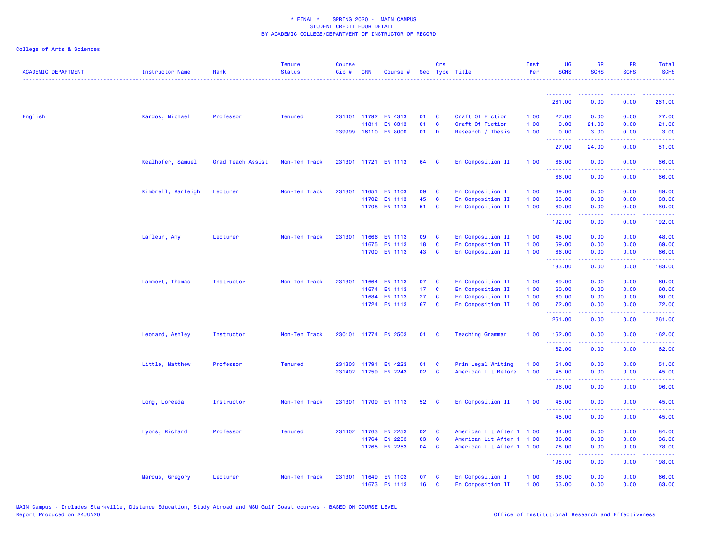| <b>ACADEMIC DEPARTMENT</b> | Instructor Name    | Rank              | <b>Tenure</b><br><b>Status</b> | <b>Course</b><br>Cip# | <b>CRN</b>   | Course #                        |          | Crs                      | Sec Type Title                                         | Inst<br>Per | <b>UG</b><br><b>SCHS</b> | GR<br><b>SCHS</b>                                                                                                                                            | <b>PR</b><br><b>SCHS</b>            | Total<br><b>SCHS</b> |
|----------------------------|--------------------|-------------------|--------------------------------|-----------------------|--------------|---------------------------------|----------|--------------------------|--------------------------------------------------------|-------------|--------------------------|--------------------------------------------------------------------------------------------------------------------------------------------------------------|-------------------------------------|----------------------|
|                            |                    |                   |                                |                       |              |                                 |          |                          |                                                        |             | <b>.</b>                 |                                                                                                                                                              |                                     |                      |
|                            |                    |                   |                                |                       |              |                                 |          |                          |                                                        |             | 261.00                   | 0.00                                                                                                                                                         | 0.00                                | 261.00               |
| English                    | Kardos, Michael    | Professor         | <b>Tenured</b>                 |                       | 231401 11792 | <b>EN 4313</b>                  | 01       | <b>C</b>                 | Craft Of Fiction                                       | 1.00        | 27.00                    | 0.00                                                                                                                                                         | 0.00                                | 27.00                |
|                            |                    |                   |                                |                       | 11811        | EN 6313                         | 01       | $\mathbf{C}$             | Craft Of Fiction                                       | 1.00        | 0.00                     | 21.00                                                                                                                                                        | 0.00                                | 21.00                |
|                            |                    |                   |                                |                       |              | 239999 16110 EN 8000            | 01 D     |                          | Research / Thesis                                      | 1.00        | 0.00<br><b></b>          | 3.00<br>.                                                                                                                                                    | 0.00<br>.                           | 3.00                 |
|                            |                    |                   |                                |                       |              |                                 |          |                          |                                                        |             | 27.00                    | 24.00                                                                                                                                                        | 0.00                                | 51.00                |
|                            | Kealhofer, Samuel  | Grad Teach Assist | Non-Ten Track                  |                       |              | 231301 11721 EN 1113            | 64       | $\overline{\mathbf{C}}$  | En Composition II                                      | 1.00        | 66.00                    | 0.00                                                                                                                                                         | 0.00                                | 66.00                |
|                            |                    |                   |                                |                       |              |                                 |          |                          |                                                        |             | 66.00                    | 0.00                                                                                                                                                         | 0.00                                | 66.00                |
|                            | Kimbrell, Karleigh | Lecturer          | Non-Ten Track                  | 231301                | 11651        | <b>EN 1103</b>                  | 09       | $\mathbf{C}$             | En Composition I                                       | 1.00        | 69.00                    | 0.00                                                                                                                                                         | 0.00                                | 69.00                |
|                            |                    |                   |                                |                       |              | 11702 EN 1113                   | 45       | $\mathbf{C}$             | En Composition II                                      | 1.00        | 63.00                    | 0.00                                                                                                                                                         | 0.00                                | 63.00                |
|                            |                    |                   |                                |                       |              | 11708 EN 1113                   | 51       | $\mathbf{C}$             | En Composition II                                      | 1.00        | 60.00                    | 0.00                                                                                                                                                         | 0.00                                | 60.00                |
|                            |                    |                   |                                |                       |              |                                 |          |                          |                                                        |             | .<br>192.00              | .<br>0.00                                                                                                                                                    | <b><i><u>ALLA</u></i></b><br>0.00   | .<br>192.00          |
|                            | Lafleur, Amy       | Lecturer          | Non-Ten Track                  | 231301                | 11666        | <b>EN 1113</b>                  | 09       | $\mathbf{C}$             | En Composition II                                      | 1.00        | 48.00                    | 0.00                                                                                                                                                         | 0.00                                | 48.00                |
|                            |                    |                   |                                |                       | 11675        | <b>EN 1113</b>                  | 18       | $\mathbf{C}$             | En Composition II                                      | 1.00        | 69.00                    | 0.00                                                                                                                                                         | 0.00                                | 69.00                |
|                            |                    |                   |                                |                       |              | 11700 EN 1113                   | 43       | $\mathbf{C}$             | En Composition II                                      | 1.00        | 66.00                    | 0.00                                                                                                                                                         | 0.00                                | 66.00                |
|                            |                    |                   |                                |                       |              |                                 |          |                          |                                                        |             | .<br>183.00              | .<br>0.00                                                                                                                                                    | $\sim$ $\sim$ $\sim$ $\sim$<br>0.00 | .<br>183.00          |
|                            | Lammert, Thomas    | Instructor        | Non-Ten Track                  | 231301                | 11664        | <b>EN 1113</b>                  | 07       | $\mathbf{C}$             | En Composition II                                      | 1.00        | 69.00                    | 0.00                                                                                                                                                         | 0.00                                | 69.00                |
|                            |                    |                   |                                |                       | 11674        | <b>EN 1113</b>                  | 17       | $\mathbf{C}$             | En Composition II                                      | 1.00        | 60.00                    | 0.00                                                                                                                                                         | 0.00                                | 60.00                |
|                            |                    |                   |                                |                       | 11684        | <b>EN 1113</b>                  | 27       | <b>C</b>                 | En Composition II                                      | 1.00        | 60.00                    | 0.00                                                                                                                                                         | 0.00                                | 60.00                |
|                            |                    |                   |                                |                       |              | 11724 EN 1113                   | 67 C     |                          | En Composition II                                      | 1.00        | 72.00                    | 0.00                                                                                                                                                         | 0.00                                | 72.00                |
|                            |                    |                   |                                |                       |              |                                 |          |                          |                                                        |             | .<br>261.00              | .<br>0.00                                                                                                                                                    | .<br>0.00                           | .<br>261.00          |
|                            | Leonard, Ashley    | Instructor        | Non-Ten Track                  |                       |              | 230101 11774 EN 2503            | 01       | $\mathbf{C}$             | <b>Teaching Grammar</b>                                | 1.00        | 162.00                   | 0.00                                                                                                                                                         | 0.00                                | 162.00               |
|                            |                    |                   |                                |                       |              |                                 |          |                          |                                                        |             | .<br>162.00              | 0.00                                                                                                                                                         | 0.00                                | 162.00               |
|                            | Little, Matthew    | Professor         | <b>Tenured</b>                 |                       | 231303 11791 | <b>EN 4223</b>                  | 01       | $\mathbf{C}$             | Prin Legal Writing                                     | 1.00        | 51.00                    | 0.00                                                                                                                                                         | 0.00                                | 51.00                |
|                            |                    |                   |                                |                       |              | 231402 11759 EN 2243            | 02       | $\mathbf{C}$             | American Lit Before                                    | 1.00        | 45.00                    | 0.00                                                                                                                                                         | 0.00                                | 45.00                |
|                            |                    |                   |                                |                       |              |                                 |          |                          |                                                        |             | .<br>96.00               | $\frac{1}{2} \left( \frac{1}{2} \right) \left( \frac{1}{2} \right) \left( \frac{1}{2} \right) \left( \frac{1}{2} \right) \left( \frac{1}{2} \right)$<br>0.00 | .<br>0.00                           | .<br>96.00           |
|                            | Long, Loreeda      | Instructor        | Non-Ten Track                  |                       |              | 231301 11709 EN 1113            | 52       | $\mathbf{C}$             | En Composition II                                      | 1.00        | 45.00                    | 0.00                                                                                                                                                         | 0.00                                | 45.00                |
|                            |                    |                   |                                |                       |              |                                 |          |                          |                                                        |             | .<br>45.00               | .<br>0.00                                                                                                                                                    | د د د د<br>0.00                     | .<br>45.00           |
|                            |                    |                   |                                |                       |              |                                 |          |                          |                                                        |             |                          |                                                                                                                                                              |                                     |                      |
|                            | Lyons, Richard     | Professor         | <b>Tenured</b>                 |                       | 231402 11763 | <b>EN 2253</b>                  | 02       | $\mathbf{C}$             | American Lit After 1 1.00                              |             | 84.00                    | 0.00                                                                                                                                                         | 0.00                                | 84.00                |
|                            |                    |                   |                                |                       | 11764        | <b>EN 2253</b><br>11765 EN 2253 | 03<br>04 | <b>C</b><br>$\mathbf{C}$ | American Lit After 1 1.00<br>American Lit After 1 1.00 |             | 36.00                    | 0.00<br>0.00                                                                                                                                                 | 0.00<br>0.00                        | 36.00                |
|                            |                    |                   |                                |                       |              |                                 |          |                          |                                                        |             | 78.00<br>.               | 2.2.2.2.2                                                                                                                                                    | .                                   | 78.00<br>.           |
|                            |                    |                   |                                |                       |              |                                 |          |                          |                                                        |             | 198.00                   | 0.00                                                                                                                                                         | 0.00                                | 198.00               |
|                            | Marcus, Gregory    | Lecturer          | Non-Ten Track                  | 231301                |              | 11649 EN 1103                   | 07       | $\mathbf{C}$             | En Composition I                                       | 1.00        | 66.00                    | 0.00                                                                                                                                                         | 0.00                                | 66.00                |
|                            |                    |                   |                                |                       |              | 11673 EN 1113                   | 16       | $\mathbf{C}$             | En Composition II                                      | 1.00        | 63.00                    | 0.00                                                                                                                                                         | 0.00                                | 63.00                |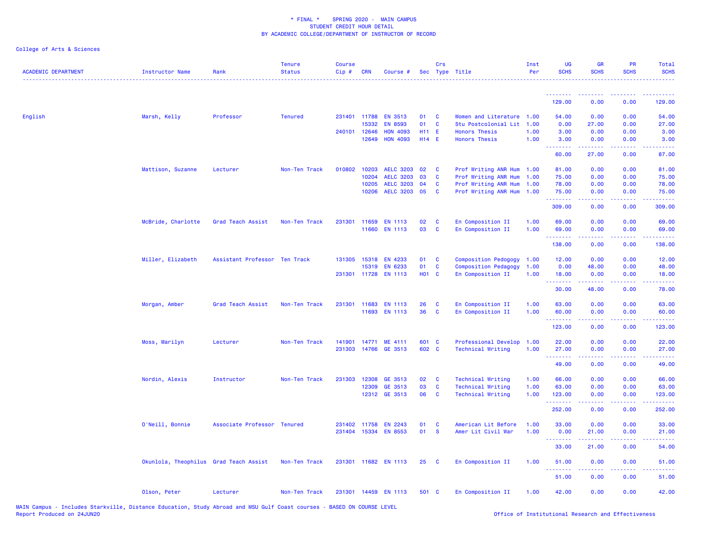| <b>ACADEMIC DEPARTMENT</b> | <b>Instructor Name</b>                 | Rank                          | <b>Tenure</b><br><b>Status</b> | <b>Course</b><br>$Cip$ # | <b>CRN</b>   | Course #             |       | Crs                     | Sec Type Title              | Inst<br>Per | <b>UG</b><br><b>SCHS</b> | <b>GR</b><br><b>SCHS</b> | <b>PR</b><br><b>SCHS</b> | Total<br><b>SCHS</b>                |
|----------------------------|----------------------------------------|-------------------------------|--------------------------------|--------------------------|--------------|----------------------|-------|-------------------------|-----------------------------|-------------|--------------------------|--------------------------|--------------------------|-------------------------------------|
|                            |                                        |                               |                                |                          |              |                      |       |                         |                             |             | <b></b>                  | <u> - - - - - - - -</u>  | <b></b>                  | . <u>.</u> .                        |
|                            |                                        |                               |                                |                          |              |                      |       |                         |                             |             | 129.00                   | 0.00                     | 0.00                     | 129.00                              |
| English                    | Marsh, Kelly                           | Professor                     | <b>Tenured</b>                 |                          | 231401 11788 | <b>EN 3513</b>       | 01    | $\mathbf{C}$            | Women and Literature 1.00   |             | 54.00                    | 0.00                     | 0.00                     | 54.00                               |
|                            |                                        |                               |                                |                          | 15332        | <b>EN 8593</b>       | 01    | <b>C</b>                | Stu Postcolonial Lit 1.00   |             | 0.00                     | 27.00                    | 0.00                     | 27.00                               |
|                            |                                        |                               |                                | 240101 12646             |              | <b>HON 4093</b>      | H11 E |                         | <b>Honors Thesis</b>        | 1.00        | 3.00                     | 0.00                     | 0.00                     | 3.00                                |
|                            |                                        |                               |                                |                          | 12649        | <b>HON 4093</b>      | H14 E |                         | <b>Honors Thesis</b>        | 1.00        | 3.00<br><u>.</u>         | 0.00<br>.                | 0.00<br>.                | 3.00<br>.                           |
|                            |                                        |                               |                                |                          |              |                      |       |                         |                             |             | 60.00                    | 27.00                    | 0.00                     | 87.00                               |
|                            | Mattison, Suzanne                      | Lecturer                      | Non-Ten Track                  | 010802                   | 10203        | <b>AELC 3203</b>     | 02    | $\mathbf{C}$            | Prof Writing ANR Hum 1.00   |             | 81.00                    | 0.00                     | 0.00                     | 81.00                               |
|                            |                                        |                               |                                |                          | 10204        | <b>AELC 3203</b>     | 03    | $\mathbf{C}$            | Prof Writing ANR Hum 1.00   |             | 75.00                    | 0.00                     | 0.00                     | 75.00                               |
|                            |                                        |                               |                                |                          | 10205        | <b>AELC 3203</b>     | 04    | $\mathbf{C}$            | Prof Writing ANR Hum 1.00   |             | 78.00                    | 0.00                     | 0.00                     | 78.00                               |
|                            |                                        |                               |                                |                          | 10206        | <b>AELC 3203</b>     | 05    | $\mathbf{C}$            | Prof Writing ANR Hum 1.00   |             | 75.00<br>.               | 0.00<br>$- - - - -$      | 0.00<br>بالأباب          | 75.00<br>.                          |
|                            |                                        |                               |                                |                          |              |                      |       |                         |                             |             | 309.00                   | 0.00                     | 0.00                     | 309.00                              |
|                            | McBride, Charlotte                     | Grad Teach Assist             | Non-Ten Track                  | 231301                   | 11659        | <b>EN 1113</b>       | 02    | $\mathbf{C}$            | En Composition II           | 1.00        | 69.00                    | 0.00                     | 0.00                     | 69.00                               |
|                            |                                        |                               |                                |                          |              | 11660 EN 1113        | 03    | $\mathbf{C}$            | En Composition II           | 1.00        | 69.00<br>.               | 0.00                     | 0.00                     | 69.00                               |
|                            |                                        |                               |                                |                          |              |                      |       |                         |                             |             | 138.00                   | 0.00                     | 0.00                     | 138.00                              |
|                            | Miller, Elizabeth                      | Assistant Professor Ten Track |                                | 131305                   | 15318        | <b>EN 4233</b>       | 01    | $\mathbf{C}$            | Composition Pedogogy        | 1.00        | 12.00                    | 0.00                     | 0.00                     | 12.00                               |
|                            |                                        |                               |                                |                          | 15319        | <b>EN 6233</b>       | 01    | $\mathbf{C}$            | <b>Composition Pedagogy</b> | 1.00        | 0.00                     | 48.00                    | 0.00                     | 48.00                               |
|                            |                                        |                               |                                |                          |              | 231301 11728 EN 1113 | H01 C |                         | En Composition II           | 1.00        | 18.00<br><u>.</u>        | 0.00<br>.                | 0.00<br>.                | 18.00<br>.                          |
|                            |                                        |                               |                                |                          |              |                      |       |                         |                             |             | 30.00                    | 48.00                    | 0.00                     | 78.00                               |
|                            | Morgan, Amber                          | Grad Teach Assist             | Non-Ten Track                  | 231301                   |              | 11683 EN 1113        | 26    | $\mathbf{C}$            | En Composition II           | 1.00        | 63.00                    | 0.00                     | 0.00                     | 63.00                               |
|                            |                                        |                               |                                |                          |              | 11693 EN 1113        | 36    | $\mathbf{C}$            | En Composition II           | 1.00        | 60.00                    | 0.00                     | 0.00                     | 60.00                               |
|                            |                                        |                               |                                |                          |              |                      |       |                         |                             |             | .<br>123.00              | 0.00                     | 0.00                     | 123.00                              |
|                            | Moss, Marilyn                          | Lecturer                      | Non-Ten Track                  | 141901                   | 14771        | ME 4111              | 601 C |                         | Professional Develop        | 1.00        | 22.00                    | 0.00                     | 0.00                     | 22.00                               |
|                            |                                        |                               |                                |                          |              | 231303 14766 GE 3513 | 602 C |                         | <b>Technical Writing</b>    | 1.00        | 27.00                    | 0.00                     | 0.00                     | 27.00                               |
|                            |                                        |                               |                                |                          |              |                      |       |                         |                             |             | --------                 | .                        | .                        | .                                   |
|                            |                                        |                               |                                |                          |              |                      |       |                         |                             |             | 49.00                    | 0.00                     | 0.00                     | 49.00                               |
|                            | Nordin, Alexis                         | Instructor                    | Non-Ten Track                  | 231303                   | 12308        | GE 3513              | 02    | $\mathbf{C}$            | <b>Technical Writing</b>    | 1.00        | 66.00                    | 0.00                     | 0.00                     | 66.00                               |
|                            |                                        |                               |                                |                          | 12309        | GE 3513              | 03    | $\mathbf{C}$            | <b>Technical Writing</b>    | 1.00        | 63.00                    | 0.00                     | 0.00                     | 63.00                               |
|                            |                                        |                               |                                |                          |              | 12312 GE 3513        | 06    | $\mathbf{C}$            | <b>Technical Writing</b>    | 1.00        | 123.00<br>.              | 0.00                     | 0.00<br>.                | 123.00<br><b>.</b>                  |
|                            |                                        |                               |                                |                          |              |                      |       |                         |                             |             | 252.00                   | 0.00                     | 0.00                     | 252.00                              |
|                            | O'Neill, Bonnie                        | Associate Professor Tenured   |                                | 231402 11758             |              | <b>EN 2243</b>       | 01    | $\mathbf{C}$            | American Lit Before         | 1.00        | 33.00                    | 0.00                     | 0.00                     | 33.00                               |
|                            |                                        |                               |                                |                          |              | 231404 15334 EN 8553 | 01    | $\mathbf{s}$            | Amer Lit Civil War          | 1.00        | 0.00<br>.                | 21.00<br><u>.</u>        | 0.00                     | 21.00<br><b><i><u>AAAAA</u></i></b> |
|                            |                                        |                               |                                |                          |              |                      |       |                         |                             |             | 33.00                    | 21.00                    | 0.00                     | 54.00                               |
|                            | Okunlola, Theophilus Grad Teach Assist |                               | Non-Ten Track                  |                          |              | 231301 11682 EN 1113 | 25    | $\overline{\mathbf{C}}$ | En Composition II           | 1.00        | 51.00                    | 0.00                     | 0.00                     | 51.00                               |
|                            |                                        |                               |                                |                          |              |                      |       |                         |                             |             | 51.00                    | 0.00                     | 0.00                     | 51.00                               |
|                            | Olson, Peter                           | Lecturer                      | Non-Ten Track                  |                          |              | 231301 14459 EN 1113 | 501 C |                         | En Composition II           | 1.00        | 42.00                    | 0.00                     | 0.00                     | 42.00                               |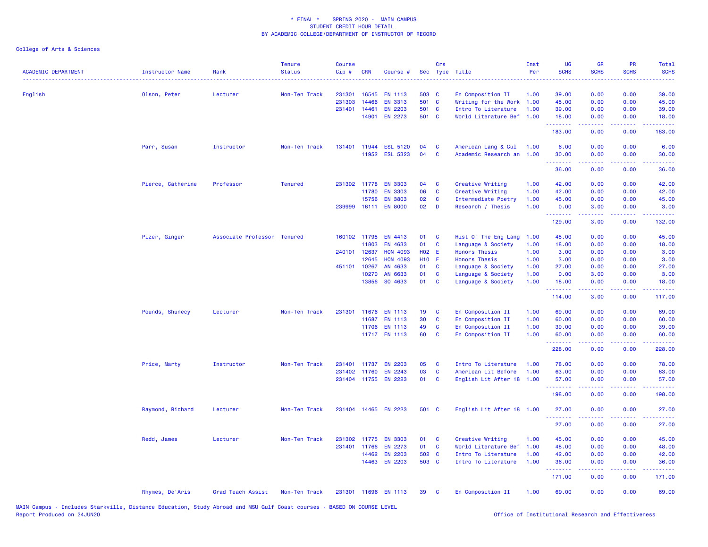| <b>ACADEMIC DEPARTMENT</b> | <b>Instructor Name</b> | Rank                        | <b>Tenure</b><br><b>Status</b> | <b>Course</b><br>Cip# | <b>CRN</b> | Course #             |              | Crs          | Sec Type Title            | Inst<br>Per | <b>UG</b><br><b>SCHS</b> | <b>GR</b><br><b>SCHS</b>                                                                                                                                     | PR<br><b>SCHS</b> | Total<br><b>SCHS</b> |
|----------------------------|------------------------|-----------------------------|--------------------------------|-----------------------|------------|----------------------|--------------|--------------|---------------------------|-------------|--------------------------|--------------------------------------------------------------------------------------------------------------------------------------------------------------|-------------------|----------------------|
| English                    | Olson, Peter           | Lecturer                    | Non-Ten Track                  | 231301                | 16545      | <b>EN 1113</b>       | 503 C        |              | En Composition II         | 1.00        | 39,00                    | 0.00                                                                                                                                                         | 0.00              | 39.00                |
|                            |                        |                             |                                | 231303                | 14466      | <b>EN 3313</b>       | 501 C        |              | Writing for the Work      | 1.00        | 45.00                    | 0.00                                                                                                                                                         | 0.00              | 45.00                |
|                            |                        |                             |                                | 231401 14461          |            | <b>EN 2203</b>       | 501 C        |              | Intro To Literature       | 1.00        | 39.00                    | 0.00                                                                                                                                                         | 0.00              | 39.00                |
|                            |                        |                             |                                |                       | 14901      | EN 2273              | 501 C        |              | World Literature Bef      | 1.00        | 18.00<br>.               | 0.00<br>22222                                                                                                                                                | 0.00<br>.         | 18.00<br>.           |
|                            |                        |                             |                                |                       |            |                      |              |              |                           |             | 183.00                   | 0.00                                                                                                                                                         | 0.00              | 183.00               |
|                            | Parr, Susan            | Instructor                  | Non-Ten Track                  | 131401                | 11944      | <b>ESL 5120</b>      | 04           | C            | American Lang & Cul       | 1.00        | 6.00                     | 0.00                                                                                                                                                         | 0.00              | 6.00                 |
|                            |                        |                             |                                |                       | 11952      | <b>ESL 5323</b>      | 04           | C            | Academic Research an 1.00 |             | 30.00                    | 0.00                                                                                                                                                         | 0.00              | 30.00                |
|                            |                        |                             |                                |                       |            |                      |              |              |                           |             | 36.00                    | 0.00                                                                                                                                                         | 0.00              | 36.00                |
|                            | Pierce, Catherine      | Professor                   | <b>Tenured</b>                 | 231302 11778          |            | <b>EN 3303</b>       | 04           | C            | Creative Writing          | 1.00        | 42.00                    | 0.00                                                                                                                                                         | 0.00              | 42.00                |
|                            |                        |                             |                                |                       | 11780      | <b>EN 3303</b>       | 06           | C            | Creative Writing          | 1.00        | 42.00                    | 0.00                                                                                                                                                         | 0.00              | 42.00                |
|                            |                        |                             |                                |                       | 15756      | <b>EN 3803</b>       | 02           | C            | Intermediate Poetry       | 1.00        | 45.00                    | 0.00                                                                                                                                                         | 0.00              | 45.00                |
|                            |                        |                             |                                |                       |            | 239999 16111 EN 8000 | 02           | <b>D</b>     | Research / Thesis         | 1.00        | 0.00<br>.                | 3.00<br>$\frac{1}{2} \left( \frac{1}{2} \right) \left( \frac{1}{2} \right) \left( \frac{1}{2} \right) \left( \frac{1}{2} \right) \left( \frac{1}{2} \right)$ | 0.00<br>.         | 3.00<br>22222        |
|                            |                        |                             |                                |                       |            |                      |              |              |                           |             | 129.00                   | 3.00                                                                                                                                                         | 0.00              | 132.00               |
|                            | Pizer, Ginger          | Associate Professor Tenured |                                | 160102 11795          |            | EN 4413              | 01           | <b>C</b>     | Hist Of The Eng Lang      | 1.00        | 45.00                    | 0.00                                                                                                                                                         | 0.00              | 45.00                |
|                            |                        |                             |                                |                       | 11803      | EN 4633              | 01           | $\mathbf c$  | Language & Society        | 1.00        | 18.00                    | 0.00                                                                                                                                                         | 0.00              | 18.00                |
|                            |                        |                             |                                | 240101 12637          |            | <b>HON 4093</b>      | H02 E        |              | <b>Honors Thesis</b>      | 1.00        | 3.00                     | 0.00                                                                                                                                                         | 0.00              | 3.00                 |
|                            |                        |                             |                                |                       | 12645      | <b>HON 4093</b>      | <b>H10 E</b> |              | <b>Honors Thesis</b>      | 1.00        | 3.00                     | 0.00                                                                                                                                                         | 0.00              | 3.00                 |
|                            |                        |                             |                                | 451101 10267          |            | AN 4633              | 01           | C            | Language & Society        | 1.00        | 27.00                    | 0.00                                                                                                                                                         | 0.00              | 27.00                |
|                            |                        |                             |                                |                       | 10270      | AN 6633              | 01           | C            | Language & Society        | 1.00        | 0.00                     | 3.00                                                                                                                                                         | 0.00              | 3.00                 |
|                            |                        |                             |                                |                       | 13856      | SO 4633              | 01           | C            | Language & Society        | 1.00        | 18.00<br>.               | 0.00<br>.                                                                                                                                                    | 0.00<br>المتمالين | 18.00<br>.           |
|                            |                        |                             |                                |                       |            |                      |              |              |                           |             | 114.00                   | 3.00                                                                                                                                                         | 0.00              | 117.00               |
|                            | Pounds, Shunecy        | Lecturer                    | Non-Ten Track                  | 231301                | 11676      | <b>EN 1113</b>       | 19           | C            | En Composition II         | 1.00        | 69.00                    | 0.00                                                                                                                                                         | 0.00              | 69.00                |
|                            |                        |                             |                                |                       | 11687      | <b>EN 1113</b>       | 30           | C            | En Composition II         | 1.00        | 60.00                    | 0.00                                                                                                                                                         | 0.00              | 60.00                |
|                            |                        |                             |                                |                       | 11706      | <b>EN 1113</b>       | 49           | C            | En Composition II         | 1.00        | 39.00                    | 0.00                                                                                                                                                         | 0.00              | 39.00                |
|                            |                        |                             |                                |                       |            | 11717 EN 1113        | 60           | C            | En Composition II         | 1.00        | 60.00<br><u>.</u>        | 0.00<br>$\frac{1}{2} \left( \frac{1}{2} \right) \left( \frac{1}{2} \right) \left( \frac{1}{2} \right) \left( \frac{1}{2} \right) \left( \frac{1}{2} \right)$ | 0.00<br>.         | 60.00<br>.           |
|                            |                        |                             |                                |                       |            |                      |              |              |                           |             | 228.00                   | 0.00                                                                                                                                                         | 0.00              | 228.00               |
|                            | Price, Marty           | Instructor                  | Non-Ten Track                  | 231401 11737          |            | <b>EN 2203</b>       | 05           | C            | Intro To Literature       | 1.00        | 78.00                    | 0.00                                                                                                                                                         | 0.00              | 78.00                |
|                            |                        |                             |                                | 231402                | 11760      | EN 2243              | 03           | C            | American Lit Before       | 1.00        | 63.00                    | 0.00                                                                                                                                                         | 0.00              | 63.00                |
|                            |                        |                             |                                |                       |            | 231404 11755 EN 2223 | 01           | C            | English Lit After 18 1.00 |             | 57.00<br>.               | 0.00                                                                                                                                                         | 0.00              | 57.00                |
|                            |                        |                             |                                |                       |            |                      |              |              |                           |             | 198.00                   | 0.00                                                                                                                                                         | 0.00              | 198.00               |
|                            | Raymond, Richard       | Lecturer                    | Non-Ten Track                  |                       |            | 231404 14465 EN 2223 | 501 C        |              | English Lit After 18 1.00 |             | 27.00<br><b></b>         | 0.00<br>.                                                                                                                                                    | 0.00              | 27.00<br>وعاعاتها    |
|                            |                        |                             |                                |                       |            |                      |              |              |                           |             | 27.00                    | 0.00                                                                                                                                                         | 0.00              | 27.00                |
|                            | Redd, James            | Lecturer                    | Non-Ten Track                  | 231302                | 11775      | <b>EN 3303</b>       | 01           | C            | Creative Writing          | 1.00        | 45.00                    | 0.00                                                                                                                                                         | 0.00              | 45.00                |
|                            |                        |                             |                                | 231401 11766          |            | <b>EN 2273</b>       | 01           | $\mathbf{C}$ | World Literature Bef      | 1.00        | 48.00                    | 0.00                                                                                                                                                         | 0.00              | 48.00                |
|                            |                        |                             |                                |                       | 14462      | <b>EN 2203</b>       | 502 C        |              | Intro To Literature       | 1.00        | 42.00                    | 0.00                                                                                                                                                         | 0.00              | 42.00                |
|                            |                        |                             |                                |                       | 14463      | <b>EN 2203</b>       | 503 C        |              | Intro To Literature       | 1.00        | 36.00<br><u>.</u>        | 0.00<br>.                                                                                                                                                    | 0.00              | 36.00<br>.           |
|                            |                        |                             |                                |                       |            |                      |              |              |                           |             | 171.00                   | 0.00                                                                                                                                                         | 0.00              | 171.00               |
|                            | Rhymes, De'Aris        | Grad Teach Assist           | Non-Ten Track                  |                       |            | 231301 11696 EN 1113 | 39           | <b>C</b>     | En Composition II         | 1.00        | 69.00                    | 0.00                                                                                                                                                         | 0.00              | 69.00                |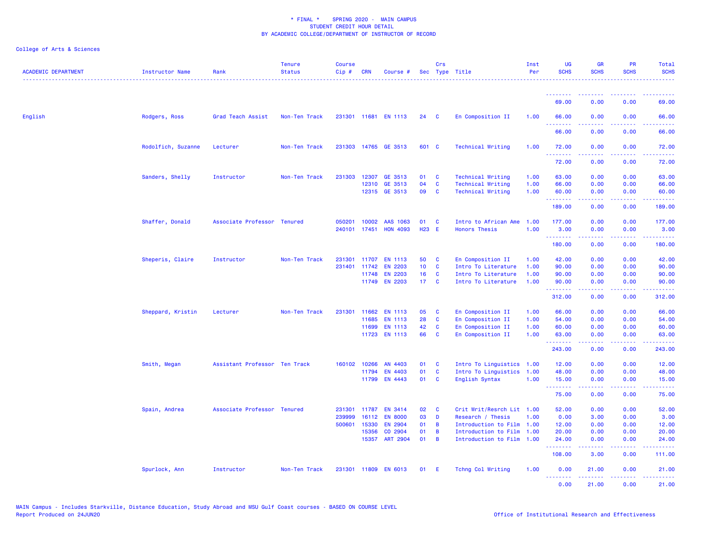| <b>ACADEMIC DEPARTMENT</b> | Instructor Name    | Rank                          | <b>Tenure</b><br><b>Status</b> | <b>Course</b><br>Cip# | CRN          | Course #                  |                 | Crs                 | Sec Type Title                                       | Inst<br>Per  | <b>UG</b><br><b>SCHS</b> | <b>GR</b><br><b>SCHS</b>                                                                                                                                     | <b>PR</b><br><b>SCHS</b> | Total<br><b>SCHS</b> |
|----------------------------|--------------------|-------------------------------|--------------------------------|-----------------------|--------------|---------------------------|-----------------|---------------------|------------------------------------------------------|--------------|--------------------------|--------------------------------------------------------------------------------------------------------------------------------------------------------------|--------------------------|----------------------|
|                            |                    |                               |                                |                       |              |                           |                 |                     |                                                      |              | <u>.</u>                 |                                                                                                                                                              |                          |                      |
|                            |                    |                               |                                |                       |              |                           |                 |                     |                                                      |              | 69.00                    | 0.00                                                                                                                                                         | 0.00                     | 69.00                |
| English                    | Rodgers, Ross      | Grad Teach Assist             | Non-Ten Track                  |                       |              | 231301 11681 EN 1113      | 24              | $\mathbf{C}$        | En Composition II                                    | 1.00         | 66.00<br><u>.</u>        | 0.00<br>22222                                                                                                                                                | 0.00<br>د د د د .        | 66.00<br>.           |
|                            |                    |                               |                                |                       |              |                           |                 |                     |                                                      |              | 66.00                    | 0.00                                                                                                                                                         | 0.00                     | 66.00                |
|                            | Rodolfich, Suzanne | Lecturer                      | Non-Ten Track                  |                       |              | 231303 14765 GE 3513      | 601 C           |                     | <b>Technical Writing</b>                             | 1.00         | 72.00<br>.               | 0.00<br>22222                                                                                                                                                | 0.00<br>.                | 72.00<br>.           |
|                            |                    |                               |                                |                       |              |                           |                 |                     |                                                      |              | 72.00                    | 0.00                                                                                                                                                         | 0.00                     | 72.00                |
|                            | Sanders, Shelly    | Instructor                    | Non-Ten Track                  | 231303                | 12307        | GE 3513                   | 01              | C                   | <b>Technical Writing</b>                             | 1.00         | 63.00                    | 0.00                                                                                                                                                         | 0.00                     | 63.00                |
|                            |                    |                               |                                |                       | 12310        | GE 3513<br>12315 GE 3513  | 04<br>09        | C<br><b>C</b>       | <b>Technical Writing</b><br><b>Technical Writing</b> | 1.00<br>1.00 | 66.00<br>60.00           | 0.00<br>0.00                                                                                                                                                 | 0.00<br>0.00             | 66.00<br>60.00       |
|                            |                    |                               |                                |                       |              |                           |                 |                     |                                                      |              |                          |                                                                                                                                                              |                          |                      |
|                            |                    |                               |                                |                       |              |                           |                 |                     |                                                      |              | 189.00                   | 0.00                                                                                                                                                         | 0.00                     | 189.00               |
|                            | Shaffer, Donald    | Associate Professor Tenured   |                                | 050201                | 10002        | AAS 1063                  | 01              | <b>C</b>            | Intro to African Ame                                 | 1.00         | 177.00                   | 0.00                                                                                                                                                         | 0.00                     | 177.00               |
|                            |                    |                               |                                | 240101                | 17451        | <b>HON 4093</b>           | H23 E           |                     | <b>Honors Thesis</b>                                 | 1.00         | 3.00                     | 0.00                                                                                                                                                         | 0.00                     | 3.00                 |
|                            |                    |                               |                                |                       |              |                           |                 |                     |                                                      |              | .<br>180.00              | 0.00                                                                                                                                                         | 0.00                     | 180.00               |
|                            | Sheperis, Claire   | Instructor                    | Non-Ten Track                  | 231301                | 11707        | <b>EN 1113</b>            | 50              | C                   | En Composition II                                    | 1.00         | 42.00                    | 0.00                                                                                                                                                         | 0.00                     | 42.00                |
|                            |                    |                               |                                | 231401                | 11742        | <b>EN 2203</b>            | 10 <sup>°</sup> | <b>C</b>            | Intro To Literature                                  | 1.00         | 90.00                    | 0.00                                                                                                                                                         | 0.00                     | 90.00                |
|                            |                    |                               |                                |                       | 11748        | <b>EN 2203</b>            | 16              | C                   | Intro To Literature                                  | 1.00         | 90.00                    | 0.00                                                                                                                                                         | 0.00                     | 90.00                |
|                            |                    |                               |                                |                       |              | 11749 EN 2203             | 17 C            |                     | Intro To Literature                                  | 1.00         | 90.00<br>.               | 0.00<br>$\frac{1}{2} \left( \frac{1}{2} \right) \left( \frac{1}{2} \right) \left( \frac{1}{2} \right) \left( \frac{1}{2} \right) \left( \frac{1}{2} \right)$ | 0.00<br>.                | 90.00<br><u>.</u>    |
|                            |                    |                               |                                |                       |              |                           |                 |                     |                                                      |              | 312.00                   | 0.00                                                                                                                                                         | 0.00                     | 312.00               |
|                            | Sheppard, Kristin  | Lecturer                      | Non-Ten Track                  | 231301                | 11662        | <b>EN 1113</b>            | 05              | C                   | En Composition II                                    | 1.00         | 66.00                    | 0.00                                                                                                                                                         | 0.00                     | 66.00                |
|                            |                    |                               |                                |                       | 11685        | <b>EN 1113</b>            | 28              | C                   | En Composition II                                    | 1.00         | 54.00                    | 0.00                                                                                                                                                         | 0.00                     | 54.00                |
|                            |                    |                               |                                |                       | 11699        | <b>EN 1113</b>            | 42              | C                   | En Composition II                                    | 1.00         | 60.00                    | 0.00                                                                                                                                                         | 0.00                     | 60.00                |
|                            |                    |                               |                                |                       |              | 11723 EN 1113             | 66              | C                   | En Composition II                                    | 1.00         | 63.00<br><u>.</u>        | 0.00<br>.                                                                                                                                                    | 0.00                     | 63.00<br>.           |
|                            |                    |                               |                                |                       |              |                           |                 |                     |                                                      |              | 243.00                   | 0.00                                                                                                                                                         | 0.00                     | 243.00               |
|                            | Smith, Megan       | Assistant Professor Ten Track |                                |                       | 160102 10266 | AN 4403                   | 01              | <b>C</b>            | Intro To Linguistics 1.00                            |              | 12.00                    | 0.00                                                                                                                                                         | 0.00                     | 12.00                |
|                            |                    |                               |                                |                       | 11794        | EN 4403                   | 01              | $\mathbf{C}$        | Intro To Linguistics 1.00                            |              | 48.00                    | 0.00                                                                                                                                                         | 0.00                     | 48.00                |
|                            |                    |                               |                                |                       | 11799        | EN 4443                   | 01              | $\mathbf{C}$        | English Syntax                                       | 1.00         | 15.00<br>.               | 0.00<br>.                                                                                                                                                    | 0.00                     | 15.00<br>.           |
|                            |                    |                               |                                |                       |              |                           |                 |                     |                                                      |              | 75.00                    | 0.00                                                                                                                                                         | 0.00                     | 75.00                |
|                            | Spain, Andrea      | Associate Professor Tenured   |                                | 231301                | 11787        | <b>EN 3414</b>            | 02              | C                   | Crit Writ/Resrch Lit 1.00                            |              | 52.00                    | 0.00                                                                                                                                                         | 0.00                     | 52.00                |
|                            |                    |                               |                                | 239999                | 16112        | <b>EN 8000</b>            | 03              | D                   | Research / Thesis                                    | 1.00         | 0.00                     | 3.00                                                                                                                                                         | 0.00                     | 3.00                 |
|                            |                    |                               |                                | 500601                | 15330        | EN 2904                   | 01              | B                   | Introduction to Film                                 | 1.00         | 12.00                    | 0.00                                                                                                                                                         | 0.00                     | 12.00                |
|                            |                    |                               |                                |                       | 15356        | CO 2904<br>15357 ART 2904 | 01<br>01        | B<br>$\overline{B}$ | Introduction to Film<br>Introduction to Film 1.00    | 1.00         | 20.00<br>24.00           | 0.00<br>0.00                                                                                                                                                 | 0.00<br>0.00             | 20.00<br>24.00       |
|                            |                    |                               |                                |                       |              |                           |                 |                     |                                                      |              | .                        | د د د د د                                                                                                                                                    | .                        | .                    |
|                            |                    |                               |                                |                       |              |                           |                 |                     |                                                      |              | 108.00                   | 3.00                                                                                                                                                         | 0.00                     | 111.00               |
|                            | Spurlock, Ann      | Instructor                    | Non-Ten Track                  |                       |              | 231301 11809 EN 6013      | 01              | E                   | Tchng Col Writing                                    | 1.00         | 0.00<br>.                | 21.00<br>.                                                                                                                                                   | 0.00<br>.                | 21.00<br>.           |
|                            |                    |                               |                                |                       |              |                           |                 |                     |                                                      |              | 0.00                     | 21.00                                                                                                                                                        | 0.00                     | 21.00                |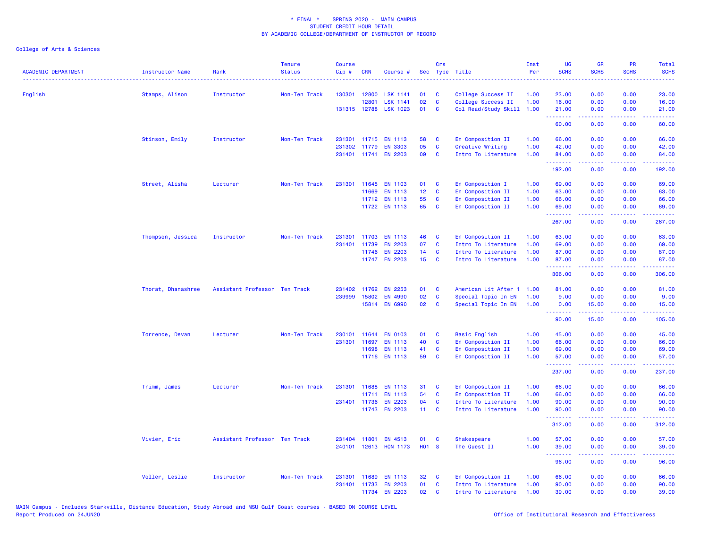| <b>ACADEMIC DEPARTMENT</b> | <b>Instructor Name</b> | Rank                          | <b>Tenure</b><br><b>Status</b> | <b>Course</b><br>Cip# | <b>CRN</b>   | Course #              |                 | Crs          | Sec Type Title            | Inst<br>Per | <b>UG</b><br><b>SCHS</b> | <b>GR</b><br><b>SCHS</b> | PR<br><b>SCHS</b> | Total<br><b>SCHS</b> |
|----------------------------|------------------------|-------------------------------|--------------------------------|-----------------------|--------------|-----------------------|-----------------|--------------|---------------------------|-------------|--------------------------|--------------------------|-------------------|----------------------|
| English                    | Stamps, Alison         | Instructor                    | Non-Ten Track                  | 130301                | 12800        | <b>LSK 1141</b>       | 01              | C            | College Success II        | 1.00        | 23.00                    | 0.00                     | 0.00              | 23.00                |
|                            |                        |                               |                                |                       | 12801        | <b>LSK 1141</b>       | 02              | C            | College Success II        | 1.00        | 16.00                    | 0.00                     | 0.00              | 16.00                |
|                            |                        |                               |                                |                       |              | 131315 12788 LSK 1023 | 01              | $\mathbf{C}$ | Col Read/Study Skill 1.00 |             | 21.00<br><u>.</u>        | 0.00<br>.                | 0.00<br>.         | 21.00<br>.           |
|                            |                        |                               |                                |                       |              |                       |                 |              |                           |             | 60.00                    | 0.00                     | 0.00              | 60.00                |
|                            | Stinson, Emily         | Instructor                    | Non-Ten Track                  | 231301                |              | 11715 EN 1113         | 58              | C            | En Composition II         | 1.00        | 66.00                    | 0.00                     | 0.00              | 66.00                |
|                            |                        |                               |                                | 231302                | 11779        | <b>EN 3303</b>        | 05              | C            | Creative Writing          | 1.00        | 42.00                    | 0.00                     | 0.00              | 42.00                |
|                            |                        |                               |                                |                       |              | 231401 11741 EN 2203  | 09              | C            | Intro To Literature       | 1.00        | 84.00<br>.               | 0.00                     | 0.00              | 84.00<br>والمستحدث   |
|                            |                        |                               |                                |                       |              |                       |                 |              |                           |             | 192.00                   | 0.00                     | 0.00              | 192.00               |
|                            | Street, Alisha         | Lecturer                      | Non-Ten Track                  | 231301                |              | 11645 EN 1103         | 01              | C            | En Composition I          | 1.00        | 69.00                    | 0.00                     | 0.00              | 69.00                |
|                            |                        |                               |                                |                       | 11669        | EN 1113               | 12 <sub>2</sub> | $\mathbf{C}$ | En Composition II         | 1.00        | 63.00                    | 0.00                     | 0.00              | 63.00                |
|                            |                        |                               |                                |                       |              | 11712 EN 1113         | 55              | C            | En Composition II         | 1.00        | 66.00                    | 0.00                     | 0.00              | 66.00                |
|                            |                        |                               |                                |                       |              | 11722 EN 1113         | 65              | C            | En Composition II         | 1.00        | 69.00<br><u>.</u>        | 0.00<br>22222            | 0.00<br>.         | 69.00<br><u>.</u>    |
|                            |                        |                               |                                |                       |              |                       |                 |              |                           |             | 267.00                   | 0.00                     | 0.00              | 267.00               |
|                            | Thompson, Jessica      | Instructor                    | Non-Ten Track                  | 231301                | 11703        | <b>EN 1113</b>        | 46              | C            | En Composition II         | 1.00        | 63.00                    | 0.00                     | 0.00              | 63.00                |
|                            |                        |                               |                                | 231401                | 11739        | <b>EN 2203</b>        | 07              | $\mathbf{C}$ | Intro To Literature       | 1.00        | 69.00                    | 0.00                     | 0.00              | 69.00                |
|                            |                        |                               |                                |                       | 11746        | <b>EN 2203</b>        | 14              | C            | Intro To Literature       | 1.00        | 87.00                    | 0.00                     | 0.00              | 87.00                |
|                            |                        |                               |                                |                       |              | 11747 EN 2203         | 15 <sub>1</sub> | C            | Intro To Literature       | 1.00        | 87.00<br>.               | 0.00                     | 0.00              | 87.00<br>.           |
|                            |                        |                               |                                |                       |              |                       |                 |              |                           |             | 306.00                   | 0.00                     | 0.00              | 306.00               |
|                            | Thorat, Dhanashree     | Assistant Professor Ten Track |                                |                       | 231402 11762 | <b>EN 2253</b>        | 01              | C            | American Lit After 1 1.00 |             | 81.00                    | 0.00                     | 0.00              | 81.00                |
|                            |                        |                               |                                | 239999                | 15802        | EN 4990               | 02              | $\mathbf{C}$ | Special Topic In EN       | 1.00        | 9.00                     | 0.00                     | 0.00              | 9.00                 |
|                            |                        |                               |                                |                       |              | 15814 EN 6990         | 02              | C            | Special Topic In EN       | 1.00        | 0.00<br>.                | 15.00                    | 0.00              | 15.00                |
|                            |                        |                               |                                |                       |              |                       |                 |              |                           |             | 90.00                    | 15.00                    | 0.00              | 105.00               |
|                            | Torrence, Devan        | Lecturer                      | Non-Ten Track                  | 230101                | 11644        | <b>EN 0103</b>        | 01              | C            | <b>Basic English</b>      | 1.00        | 45.00                    | 0.00                     | 0.00              | 45.00                |
|                            |                        |                               |                                | 231301                | 11697        | <b>EN 1113</b>        | 40              | C            | En Composition II         | 1.00        | 66.00                    | 0.00                     | 0.00              | 66.00                |
|                            |                        |                               |                                |                       | 11698        | <b>EN 1113</b>        | 41              | C            | En Composition II         | 1.00        | 69.00                    | 0.00                     | 0.00              | 69.00                |
|                            |                        |                               |                                |                       |              | 11716 EN 1113         | 59              | C            | En Composition II         | 1.00        | 57.00<br>.               | 0.00<br>22222            | 0.00<br>.         | 57.00<br>.           |
|                            |                        |                               |                                |                       |              |                       |                 |              |                           |             | 237.00                   | 0.00                     | 0.00              | 237.00               |
|                            | Trimm, James           | Lecturer                      | Non-Ten Track                  | 231301                | 11688        | <b>EN 1113</b>        | 31              | C            | En Composition II         | 1.00        | 66.00                    | 0.00                     | 0.00              | 66.00                |
|                            |                        |                               |                                |                       | 11711        | EN 1113               | 54              | C            | En Composition II         | 1.00        | 66.00                    | 0.00                     | 0.00              | 66.00                |
|                            |                        |                               |                                |                       | 231401 11736 | <b>EN 2203</b>        | 04              | C            | Intro To Literature       | 1.00        | 90.00                    | 0.00                     | 0.00              | 90.00                |
|                            |                        |                               |                                |                       | 11743        | <b>EN 2203</b>        | 11 <sub>1</sub> | C            | Intro To Literature       | 1.00        | 90.00<br>.               | 0.00<br>$-1$             | 0.00              | 90.00                |
|                            |                        |                               |                                |                       |              |                       |                 |              |                           |             | 312.00                   | 0.00                     | 0.00              | 312.00               |
|                            | Vivier, Eric           | Assistant Professor Ten Track |                                |                       | 231404 11801 | EN 4513               | 01              | <b>C</b>     | Shakespeare               | 1.00        | 57.00                    | 0.00                     | 0.00              | 57.00                |
|                            |                        |                               |                                | 240101                |              | 12613 HON 1173        | <b>HO1 S</b>    |              | The Quest II              | 1.00        | 39.00                    | 0.00                     | 0.00              | 39.00                |
|                            |                        |                               |                                |                       |              |                       |                 |              |                           |             | .<br>96.00               | .<br>0.00                | 0.00              | .<br>96.00           |
|                            | Voller, Leslie         | Instructor                    | Non-Ten Track                  | 231301                | 11689        | <b>EN 1113</b>        | 32              | C            | En Composition II         | 1.00        | 66.00                    | 0.00                     | 0.00              | 66.00                |
|                            |                        |                               |                                | 231401                | 11733        | <b>EN 2203</b>        | 01              | $\mathbf{C}$ | Intro To Literature       | 1.00        | 90.00                    | 0.00                     | 0.00              | 90.00                |
|                            |                        |                               |                                |                       |              | 11734 EN 2203         | 02              | C            | Intro To Literature       | 1.00        | 39.00                    | 0.00                     | 0.00              | 39.00                |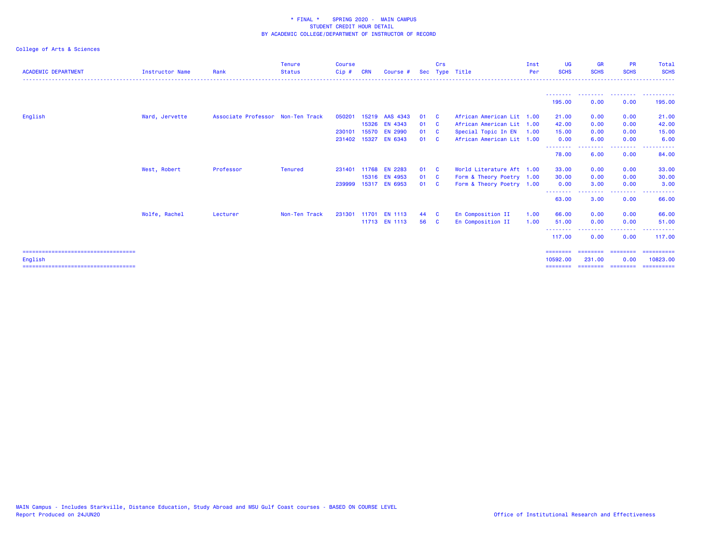| <b>ACADEMIC DEPARTMENT</b>             | <b>Instructor Name</b> | Rank                              | <b>Tenure</b><br><b>Status</b> | <b>Course</b><br>Cip# | <b>CRN</b> | Course #             |      | Crs                     | Sec Type Title            | Inst<br>Per | UG<br><b>SCHS</b>           | <b>GR</b><br><b>SCHS</b> | <b>PR</b><br><b>SCHS</b> | Total<br><b>SCHS</b>                                                                                                                                                                                                                                                                                                                                                                                                                                                                   |
|----------------------------------------|------------------------|-----------------------------------|--------------------------------|-----------------------|------------|----------------------|------|-------------------------|---------------------------|-------------|-----------------------------|--------------------------|--------------------------|----------------------------------------------------------------------------------------------------------------------------------------------------------------------------------------------------------------------------------------------------------------------------------------------------------------------------------------------------------------------------------------------------------------------------------------------------------------------------------------|
|                                        |                        |                                   |                                |                       |            |                      |      |                         |                           |             |                             |                          |                          |                                                                                                                                                                                                                                                                                                                                                                                                                                                                                        |
|                                        |                        |                                   |                                |                       |            |                      |      |                         |                           |             | 195.00                      | 0.00                     | . <u>.</u> .<br>0.00     | 195.00                                                                                                                                                                                                                                                                                                                                                                                                                                                                                 |
| English                                | Ward, Jervette         | Associate Professor Non-Ten Track |                                | 050201                |            | 15219 AAS 4343       | 01   | - C                     | African American Lit 1.00 |             | 21.00                       | 0.00                     | 0.00                     | 21.00                                                                                                                                                                                                                                                                                                                                                                                                                                                                                  |
|                                        |                        |                                   |                                |                       |            | 15326 EN 4343        | 01 C |                         | African American Lit 1.00 |             | 42.00                       | 0.00                     | 0.00                     | 42.00                                                                                                                                                                                                                                                                                                                                                                                                                                                                                  |
|                                        |                        |                                   |                                | 230101                |            | 15570 EN 2990        | 01   | <b>C</b>                | Special Topic In EN       | 1.00        | 15.00                       | 0.00                     | 0.00                     | 15.00                                                                                                                                                                                                                                                                                                                                                                                                                                                                                  |
|                                        |                        |                                   |                                |                       |            | 231402 15327 EN 6343 | 01   | <b>C</b>                | African American Lit 1.00 |             | 0.00                        | 6.00                     | 0.00                     | 6.00                                                                                                                                                                                                                                                                                                                                                                                                                                                                                   |
|                                        |                        |                                   |                                |                       |            |                      |      |                         |                           |             | ---------<br>78.00          | . <u>.</u><br>6.00       | .<br>0.00                | .<br>84.00                                                                                                                                                                                                                                                                                                                                                                                                                                                                             |
|                                        | West, Robert           | Professor                         | Tenured                        | 231401                |            | 11768 EN 2283        | 01   | <b>C</b>                | World Literature Aft 1.00 |             | 33.00                       | 0.00                     | 0.00                     | 33.00                                                                                                                                                                                                                                                                                                                                                                                                                                                                                  |
|                                        |                        |                                   |                                |                       |            | 15316 EN 4953        | 01   | $\overline{\mathbf{C}}$ | Form & Theory Poetry 1.00 |             | 30.00                       | 0.00                     | 0.00                     | 30.00                                                                                                                                                                                                                                                                                                                                                                                                                                                                                  |
|                                        |                        |                                   |                                |                       |            | 239999 15317 EN 6953 | 01   | <b>C</b>                | Form & Theory Poetry 1.00 |             | 0.00                        | 3.00                     | 0.00                     | 3.00                                                                                                                                                                                                                                                                                                                                                                                                                                                                                   |
|                                        |                        |                                   |                                |                       |            |                      |      |                         |                           |             | --------<br>63.00           | 3.00                     | .<br>0.00                | 66.00                                                                                                                                                                                                                                                                                                                                                                                                                                                                                  |
|                                        | Wolfe, Rachel          | Lecturer                          | Non-Ten Track                  | 231301                |            | 11701 EN 1113        | 44 C |                         | En Composition II         | 1.00        | 66.00                       | 0.00                     | 0.00                     | 66.00                                                                                                                                                                                                                                                                                                                                                                                                                                                                                  |
|                                        |                        |                                   |                                |                       |            | 11713 EN 1113        | 56 C |                         | En Composition II         | 1.00        | 51.00                       | 0.00                     | 0.00                     | 51.00                                                                                                                                                                                                                                                                                                                                                                                                                                                                                  |
|                                        |                        |                                   |                                |                       |            |                      |      |                         |                           |             | <u>.</u><br>117.00          | 0.00                     | .<br>0.00                | 117.00                                                                                                                                                                                                                                                                                                                                                                                                                                                                                 |
| ====================================== |                        |                                   |                                |                       |            |                      |      |                         |                           |             | $=$ $=$ $=$ $=$ $=$ $=$ $=$ | ---------                | <b>CHREIBHE</b>          | $\begin{array}{cccccccccc} \multicolumn{2}{c}{} & \multicolumn{2}{c}{} & \multicolumn{2}{c}{} & \multicolumn{2}{c}{} & \multicolumn{2}{c}{} & \multicolumn{2}{c}{} & \multicolumn{2}{c}{} & \multicolumn{2}{c}{} & \multicolumn{2}{c}{} & \multicolumn{2}{c}{} & \multicolumn{2}{c}{} & \multicolumn{2}{c}{} & \multicolumn{2}{c}{} & \multicolumn{2}{c}{} & \multicolumn{2}{c}{} & \multicolumn{2}{c}{} & \multicolumn{2}{c}{} & \multicolumn{2}{c}{} & \multicolumn{2}{c}{} & \mult$ |
| English                                |                        |                                   |                                |                       |            |                      |      |                         |                           |             | 10592.00                    | 231,00                   | 0.00                     | 10823.00                                                                                                                                                                                                                                                                                                                                                                                                                                                                               |
| =====================================  |                        |                                   |                                |                       |            |                      |      |                         |                           |             | ========                    | ========                 | ---------                | ==========                                                                                                                                                                                                                                                                                                                                                                                                                                                                             |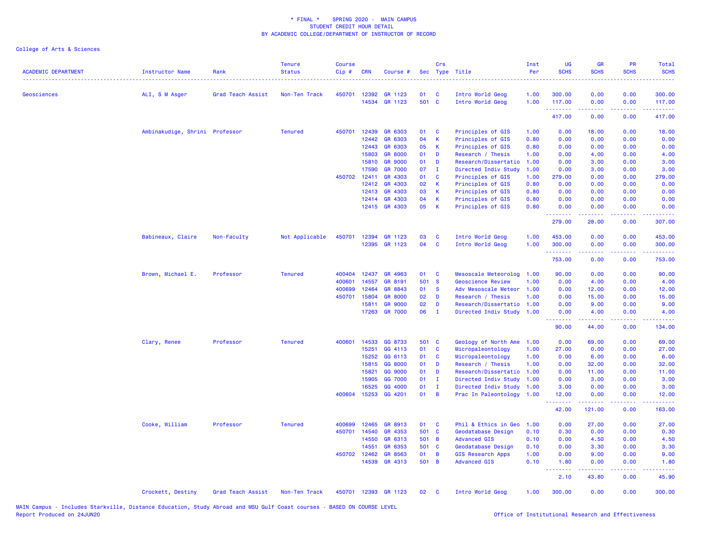| <b>ACADEMIC DEPARTMENT</b> | Instructor Name                | Rank              | <b>Tenure</b><br><b>Status</b> | <b>Course</b><br>Cip# | <b>CRN</b> | Course #       |       | Crs          | Sec Type Title           | Inst<br>Per | <b>UG</b><br><b>SCHS</b> | GR<br><b>SCHS</b>                                                                                                                                            | <b>PR</b><br><b>SCHS</b>            | Total<br><b>SCHS</b><br>----                                                                                                                                   |
|----------------------------|--------------------------------|-------------------|--------------------------------|-----------------------|------------|----------------|-------|--------------|--------------------------|-------------|--------------------------|--------------------------------------------------------------------------------------------------------------------------------------------------------------|-------------------------------------|----------------------------------------------------------------------------------------------------------------------------------------------------------------|
| Geosciences                | ALI, S M Asger                 | Grad Teach Assist | Non-Ten Track                  | 450701                | 12392      | GR 1123        | 01    | C            | Intro World Geog         | 1.00        | 300.00                   | 0.00                                                                                                                                                         | 0.00                                | 300.00                                                                                                                                                         |
|                            |                                |                   |                                |                       | 14534      | GR 1123        | 501 C |              | Intro World Geog         | 1.00        | 117.00<br>.              | 0.00<br>$\frac{1}{2} \left( \frac{1}{2} \right) \left( \frac{1}{2} \right) \left( \frac{1}{2} \right) \left( \frac{1}{2} \right) \left( \frac{1}{2} \right)$ | 0.00<br>.                           | 117.00<br>.                                                                                                                                                    |
|                            |                                |                   |                                |                       |            |                |       |              |                          |             | 417.00                   | 0.00                                                                                                                                                         | 0.00                                | 417.00                                                                                                                                                         |
|                            | Ambinakudige, Shrini Professor |                   | <b>Tenured</b>                 | 450701                | 12439      | GR 6303        | 01    | C            | Principles of GIS        | 1.00        | 0.00                     | 18.00                                                                                                                                                        | 0.00                                | 18.00                                                                                                                                                          |
|                            |                                |                   |                                |                       | 12442      | GR 6303        | 04    | $\mathsf{K}$ | Principles of GIS        | 0.80        | 0.00                     | 0.00                                                                                                                                                         | 0.00                                | 0.00                                                                                                                                                           |
|                            |                                |                   |                                |                       | 12443      | GR 6303        | 05    | К            | Principles of GIS        | 0.80        | 0.00                     | 0.00                                                                                                                                                         | 0.00                                | 0.00                                                                                                                                                           |
|                            |                                |                   |                                |                       | 15803      | <b>GR 8000</b> | 01    | D            | Research / Thesis        | 1.00        | 0.00                     | 4.00                                                                                                                                                         | 0.00                                | 4.00                                                                                                                                                           |
|                            |                                |                   |                                |                       | 15810      | <b>GR 9000</b> | 01    | D            | Research/Dissertatio     | 1.00        | 0.00                     | 3.00                                                                                                                                                         | 0.00                                | 3.00                                                                                                                                                           |
|                            |                                |                   |                                |                       | 17590      | <b>GR 7000</b> | 07    | $\mathbf{I}$ | Directed Indiv Study     | 1.00        | 0.00                     | 3.00                                                                                                                                                         | 0.00                                | 3.00                                                                                                                                                           |
|                            |                                |                   |                                | 450702 12411          |            | GR 4303        | 01    | C            | Principles of GIS        | 1.00        | 279.00                   | 0.00                                                                                                                                                         | 0.00                                | 279.00                                                                                                                                                         |
|                            |                                |                   |                                |                       | 12412      | GR 4303        | 02    | K            | Principles of GIS        | 0.80        | 0.00                     | 0.00                                                                                                                                                         | 0.00                                | 0.00                                                                                                                                                           |
|                            |                                |                   |                                |                       | 12413      | GR 4303        | 03    | $\mathsf K$  | Principles of GIS        | 0.80        | 0.00                     | 0.00                                                                                                                                                         | 0.00                                | 0.00                                                                                                                                                           |
|                            |                                |                   |                                |                       | 12414      | GR 4303        | 04    | $\mathsf K$  | Principles of GIS        | 0.80        | 0.00                     | 0.00                                                                                                                                                         | 0.00                                | 0.00                                                                                                                                                           |
|                            |                                |                   |                                |                       |            | 12415 GR 4303  | 05    | $\mathsf{K}$ | Principles of GIS        | 0.80        | 0.00<br>.                | 0.00<br><u>.</u>                                                                                                                                             | 0.00                                | 0.00                                                                                                                                                           |
|                            |                                |                   |                                |                       |            |                |       |              |                          |             | 279.00                   | 28.00                                                                                                                                                        | 0.00                                | 307.00                                                                                                                                                         |
|                            | Babineaux, Claire              | Non-Faculty       | Not Applicable                 | 450701                | 12394      | GR 1123        | 03    | C            | Intro World Geog         | 1.00        | 453.00                   | 0.00                                                                                                                                                         | 0.00                                | 453.00                                                                                                                                                         |
|                            |                                |                   |                                |                       | 12395      | GR 1123        | 04    | C            | Intro World Geog         | 1.00        | 300.00<br>.              | 0.00<br>-----                                                                                                                                                | 0.00<br>$\sim$ $\sim$ $\sim$        | 300.00<br>$\frac{1}{2} \left( \frac{1}{2} \right) \left( \frac{1}{2} \right) \left( \frac{1}{2} \right) \left( \frac{1}{2} \right) \left( \frac{1}{2} \right)$ |
|                            |                                |                   |                                |                       |            |                |       |              |                          |             | 753.00                   | 0.00                                                                                                                                                         | 0.00                                | 753.00                                                                                                                                                         |
|                            | Brown, Michael E.              | Professor         | <b>Tenured</b>                 | 400404                | 12437      | GR 4963        | 01    | C            | Mesoscale Meteorolog     | 1.00        | 90.00                    | 0.00                                                                                                                                                         | 0.00                                | 90.00                                                                                                                                                          |
|                            |                                |                   |                                | 400601                | 14557      | GR 8191        | 501 S |              | <b>Geoscience Review</b> | 1.00        | 0.00                     | 4.00                                                                                                                                                         | 0.00                                | 4.00                                                                                                                                                           |
|                            |                                |                   |                                | 400699                | 12464      | GR 8843        | 01    | <b>S</b>     | Adv Mesoscale Meteor     | 1.00        | 0.00                     | 12.00                                                                                                                                                        | 0.00                                | 12.00                                                                                                                                                          |
|                            |                                |                   |                                | 450701                | 15804      | <b>GR 8000</b> | 02    | D            | Research / Thesis        | 1.00        | 0.00                     | 15.00                                                                                                                                                        | 0.00                                | 15.00                                                                                                                                                          |
|                            |                                |                   |                                |                       | 15811      | <b>GR 9000</b> | 02    | D            | Research/Dissertatio     | 1.00        | 0.00                     | 9.00                                                                                                                                                         | 0.00                                | 9.00                                                                                                                                                           |
|                            |                                |                   |                                |                       | 17263      | <b>GR 7000</b> | 06    | $\mathbf I$  | Directed Indiv Study     | 1.00        | 0.00<br>.                | 4.00<br>$\frac{1}{2} \left( \frac{1}{2} \right) \left( \frac{1}{2} \right) \left( \frac{1}{2} \right) \left( \frac{1}{2} \right) \left( \frac{1}{2} \right)$ | 0.00<br>بالأباد                     | 4.00<br>.                                                                                                                                                      |
|                            |                                |                   |                                |                       |            |                |       |              |                          |             | 90.00                    | 44.00                                                                                                                                                        | 0.00                                | 134.00                                                                                                                                                         |
|                            | Clary, Renee                   | Professor         | <b>Tenured</b>                 | 400601                | 14533      | GG 8733        | 501 C |              | Geology of North Ame     | 1.00        | 0.00                     | 69.00                                                                                                                                                        | 0.00                                | 69.00                                                                                                                                                          |
|                            |                                |                   |                                |                       | 15251      | GG 4113        | 01    | $\mathbf c$  | Micropaleontology        | 1.00        | 27.00                    | 0.00                                                                                                                                                         | 0.00                                | 27.00                                                                                                                                                          |
|                            |                                |                   |                                |                       | 15252      | GG 6113        | 01    | C            | Micropaleontology        | 1.00        | 0.00                     | 6.00                                                                                                                                                         | 0.00                                | 6.00                                                                                                                                                           |
|                            |                                |                   |                                |                       | 15815      | GG 8000        | 01    | D            | Research / Thesis        | 1.00        | 0.00                     | 32.00                                                                                                                                                        | 0.00                                | 32.00                                                                                                                                                          |
|                            |                                |                   |                                |                       | 15821      | GG 9000        | 01    | D            | Research/Dissertatio     | 1.00        | 0.00                     | 11.00                                                                                                                                                        | 0.00                                | 11.00                                                                                                                                                          |
|                            |                                |                   |                                |                       | 15905      | GG 7000        | 01    | $\mathbf I$  | Directed Indiv Study     | 1.00        | 0.00                     | 3.00                                                                                                                                                         | 0.00                                | 3.00                                                                                                                                                           |
|                            |                                |                   |                                |                       | 16525      | GG 4000        | 01    | $\mathbf I$  | Directed Indiv Study     | 1.00        | 3.00                     | 0.00                                                                                                                                                         | 0.00                                | 3.00                                                                                                                                                           |
|                            |                                |                   |                                | 400604                | 15253      | GG 4201        | 01    | B            | Prac In Paleontology     | 1.00        | 12.00                    | 0.00                                                                                                                                                         | 0.00<br>$\sim$ $\sim$ $\sim$ $\sim$ | 12.00<br>$\omega$ is a $\omega$                                                                                                                                |
|                            |                                |                   |                                |                       |            |                |       |              |                          |             | 42.00                    | 121.00                                                                                                                                                       | 0.00                                | 163.00                                                                                                                                                         |
|                            | Cooke, William                 | Professor         | <b>Tenured</b>                 | 400699                | 12465      | GR 8913        | 01    | C            | Phil & Ethics in Geo     | 1.00        | 0.00                     | 27.00                                                                                                                                                        | 0.00                                | 27.00                                                                                                                                                          |
|                            |                                |                   |                                | 450701                | 14540      | GR 4353        | 501 C |              | Geodatabase Design       | 0.10        | 0.30                     | 0.00                                                                                                                                                         | 0.00                                | 0.30                                                                                                                                                           |
|                            |                                |                   |                                |                       | 14550      | GR 6313        | 501 B |              | <b>Advanced GIS</b>      | 0.10        | 0.00                     | 4.50                                                                                                                                                         | 0.00                                | 4.50                                                                                                                                                           |
|                            |                                |                   |                                |                       | 14551      | GR 6353        | 501 C |              | Geodatabase Design       | 0.10        | 0.00                     | 3.30                                                                                                                                                         | 0.00                                | 3.30                                                                                                                                                           |
|                            |                                |                   |                                | 450702 12462          |            | GR 8563        | 01    | B            | <b>GIS Research Apps</b> | 1.00        | 0.00                     | 9.00                                                                                                                                                         | 0.00                                | 9.00                                                                                                                                                           |
|                            |                                |                   |                                |                       | 14539      | GR 4313        | 501 B |              | <b>Advanced GIS</b>      | 0.10        | 1.80<br><u>.</u>         | 0.00                                                                                                                                                         | 0.00                                | 1.80<br>$   -$                                                                                                                                                 |
|                            |                                |                   |                                |                       |            |                |       |              |                          |             | 2.10                     | 43.80                                                                                                                                                        | 0.00                                | 45.90                                                                                                                                                          |
|                            | Crockett, Destiny              | Grad Teach Assist | Non-Ten Track                  | 450701                |            | 12393 GR 1123  | 02    | C            | Intro World Geog         | 1.00        | 300.00                   | 0.00                                                                                                                                                         | 0.00                                | 300.00                                                                                                                                                         |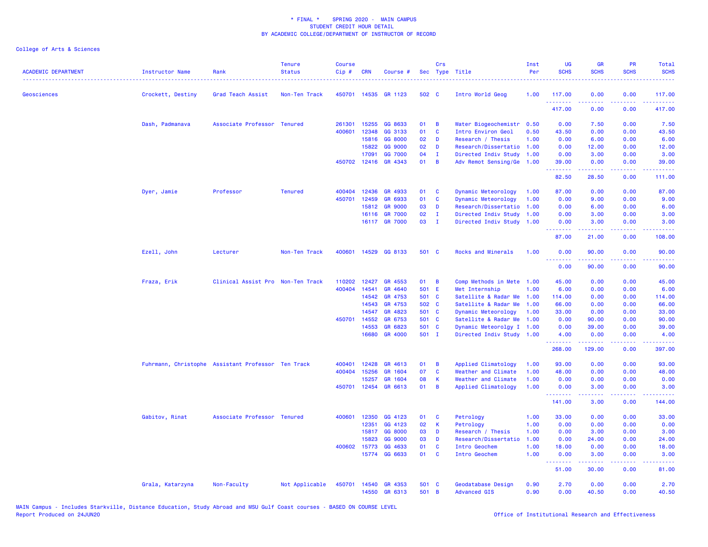| <b>ACADEMIC DEPARTMENT</b><br>------------------------------------ | Instructor Name   | Rank                                               | <b>Tenure</b><br><b>Status</b> | <b>Course</b><br>Cip# | <b>CRN</b>   | Course #       |       | Crs            | Sec Type Title            | Inst<br>Per | <b>UG</b><br><b>SCHS</b> | <b>GR</b><br><b>SCHS</b> | <b>PR</b><br><b>SCHS</b> | <b>Total</b><br><b>SCHS</b> |
|--------------------------------------------------------------------|-------------------|----------------------------------------------------|--------------------------------|-----------------------|--------------|----------------|-------|----------------|---------------------------|-------------|--------------------------|--------------------------|--------------------------|-----------------------------|
| Geosciences                                                        | Crockett, Destiny | Grad Teach Assist                                  | Non-Ten Track                  | 450701                | 14535        | GR 1123        | 502 C |                | Intro World Geog          | 1.00        | 117.00                   | 0.00                     | 0.00                     | 117.00                      |
|                                                                    |                   |                                                    |                                |                       |              |                |       |                |                           |             | <u>.</u><br>417.00       | 0.00                     | 0.00                     | 417.00                      |
|                                                                    | Dash, Padmanava   | Associate Professor Tenured                        |                                | 261301                | 15255        | GG 8633        | 01    | $\overline{B}$ | Water Biogeochemistr      | 0.50        | 0.00                     | 7.50                     | 0.00                     | 7.50                        |
|                                                                    |                   |                                                    |                                | 400601                | 12348        | GG 3133        | 01    | <b>C</b>       | Intro Environ Geol        | 0.50        | 43.50                    | 0.00                     | 0.00                     | 43.50                       |
|                                                                    |                   |                                                    |                                |                       | 15816        | GG 8000        | 02    | D              | Research / Thesis         | 1.00        | 0.00                     | 6.00                     | 0.00                     | 6.00                        |
|                                                                    |                   |                                                    |                                |                       | 15822        | GG 9000        | 02    | D              | Research/Dissertatio 1.00 |             | 0.00                     | 12.00                    | 0.00                     | 12.00                       |
|                                                                    |                   |                                                    |                                |                       | 17091        | GG 7000        | 04    | $\mathbf{I}$   | Directed Indiv Study 1.00 |             | 0.00                     | 3.00                     | 0.00                     | 3.00                        |
|                                                                    |                   |                                                    |                                |                       | 450702 12416 | GR 4343        | 01    | B              | Adv Remot Sensing/Ge 1.00 |             | 39.00<br>بالأباليات      | 0.00<br>د د د د د        | 0.00<br>د د د د .        | 39.00<br>22222)             |
|                                                                    |                   |                                                    |                                |                       |              |                |       |                |                           |             | 82.50                    | 28.50                    | 0.00                     | 111.00                      |
|                                                                    | Dyer, Jamie       | Professor                                          | <b>Tenured</b>                 | 400404                | 12436        | GR 4933        | 01    | $\mathbf{C}$   | Dynamic Meteorology       | 1.00        | 87.00                    | 0.00                     | 0.00                     | 87.00                       |
|                                                                    |                   |                                                    |                                | 450701                | 12459        | GR 6933        | 01    | $\mathbf{C}$   | Dynamic Meteorology       | 1.00        | 0.00                     | 9.00                     | 0.00                     | 9.00                        |
|                                                                    |                   |                                                    |                                |                       | 15812        | <b>GR 9000</b> | 03    | D              | Research/Dissertatio      | 1.00        | 0.00                     | 6.00                     | 0.00                     | 6.00                        |
|                                                                    |                   |                                                    |                                |                       | 16116        | <b>GR 7000</b> | 02    | $\mathbf{I}$   | Directed Indiv Study 1.00 |             | 0.00                     | 3.00                     | 0.00                     | 3.00                        |
|                                                                    |                   |                                                    |                                |                       | 16117        | <b>GR 7000</b> | 03    | $\blacksquare$ | Directed Indiv Study 1.00 |             | 0.00<br>2222.            | 3.00                     | 0.00                     | 3.00                        |
|                                                                    |                   |                                                    |                                |                       |              |                |       |                |                           |             | 87.00                    | 21.00                    | 0.00                     | 108.00                      |
|                                                                    | Ezell, John       | Lecturer                                           | Non-Ten Track                  | 400601                | 14529        | GG 8133        | 501 C |                | Rocks and Minerals        | 1.00        | 0.00<br><u>.</u>         | 90.00                    | 0.00                     | 90.00                       |
|                                                                    |                   |                                                    |                                |                       |              |                |       |                |                           |             | 0.00                     | 90.00                    | 0.00                     | 90.00                       |
|                                                                    | Fraza, Erik       | Clinical Assist Pro Non-Ten Track                  |                                | 110202                | 12427        | GR 4553        | 01    | B              | Comp Methods in Mete 1.00 |             | 45.00                    | 0.00                     | 0.00                     | 45.00                       |
|                                                                    |                   |                                                    |                                | 400404                | 14541        | GR 4640        | 501 E |                | Met Internship            | 1.00        | 6.00                     | 0.00                     | 0.00                     | 6.00                        |
|                                                                    |                   |                                                    |                                |                       | 14542        | GR 4753        | 501 C |                | Satellite & Radar Me 1.00 |             | 114.00                   | 0.00                     | 0.00                     | 114.00                      |
|                                                                    |                   |                                                    |                                |                       | 14543        | GR 4753        | 502 C |                | Satellite & Radar Me      | 1.00        | 66.00                    | 0.00                     | 0.00                     | 66.00                       |
|                                                                    |                   |                                                    |                                |                       | 14547        | GR 4823        | 501 C |                | Dynamic Meteorology       | 1.00        | 33.00                    | 0.00                     | 0.00                     | 33.00                       |
|                                                                    |                   |                                                    |                                |                       | 450701 14552 | GR 6753        | 501 C |                | Satellite & Radar Me 1.00 |             | 0.00                     | 90.00                    | 0.00                     | 90.00                       |
|                                                                    |                   |                                                    |                                |                       | 14553        | GR 6823        | 501 C |                | Dynamic Meteorolgy I 1.00 |             | 0.00                     | 39.00                    | 0.00                     | 39.00                       |
|                                                                    |                   |                                                    |                                |                       | 16680        | GR 4000        | 501 I |                | Directed Indiv Study 1.00 |             | 4.00                     | 0.00                     | 0.00                     | 4.00                        |
|                                                                    |                   |                                                    |                                |                       |              |                |       |                |                           |             | .<br>268.00              | 222222<br>129.00         | .<br>0.00                | .<br>397.00                 |
|                                                                    |                   | Fuhrmann, Christophe Assistant Professor Ten Track |                                | 400401                | 12428        | GR 4613        | 01    | B              | Applied Climatology       | 1.00        | 93.00                    | 0.00                     | 0.00                     | 93.00                       |
|                                                                    |                   |                                                    |                                | 400404                | 15256        | GR 1604        | 07    | $\mathbf{C}$   | Weather and Climate       | 1.00        | 48.00                    | 0.00                     | 0.00                     | 48.00                       |
|                                                                    |                   |                                                    |                                |                       | 15257        | GR 1604        | 08    | -K             | Weather and Climate       | 1.00        | 0.00                     | 0.00                     | 0.00                     | 0.00                        |
|                                                                    |                   |                                                    |                                | 450701                | 12454        | GR 6613        | 01    | B              | Applied Climatology       | 1.00        | 0.00<br>.                | 3.00                     | 0.00                     | 3.00                        |
|                                                                    |                   |                                                    |                                |                       |              |                |       |                |                           |             | 141.00                   | 3.00                     | 0.00                     | 144.00                      |
|                                                                    | Gabitov, Rinat    | Associate Professor Tenured                        |                                | 400601                | 12350        | GG 4123        | 01    | C              | Petrology                 | 1.00        | 33.00                    | 0.00                     | 0.00                     | 33.00                       |
|                                                                    |                   |                                                    |                                |                       | 12351        | GG 4123        | 02    | $\mathbf K$    | Petrology                 | 1.00        | 0.00                     | 0.00                     | 0.00                     | 0.00                        |
|                                                                    |                   |                                                    |                                |                       | 15817        | GG 8000        | 03    | D              | Research / Thesis         | 1.00        | 0.00                     | 3.00                     | 0.00                     | 3.00                        |
|                                                                    |                   |                                                    |                                |                       | 15823        | GG 9000        | 03    | D              | Research/Dissertatio      | 1.00        | 0.00                     | 24.00                    | 0.00                     | 24.00                       |
|                                                                    |                   |                                                    |                                | 400602                | 15773        | GG 4633        | 01    | C              | Intro Geochem             | 1.00        | 18.00                    | 0.00                     | 0.00                     | 18.00                       |
|                                                                    |                   |                                                    |                                |                       | 15774        | GG 6633        | 01    | <b>C</b>       | Intro Geochem             | 1.00        | 0.00<br>.                | 3.00<br>.                | 0.00<br>.                | 3.00<br>.                   |
|                                                                    |                   |                                                    |                                |                       |              |                |       |                |                           |             | 51.00                    | 30.00                    | 0.00                     | 81.00                       |
|                                                                    | Grala, Katarzyna  | Non-Faculty                                        | Not Applicable                 | 450701                | 14540        | GR 4353        | 501 C |                | Geodatabase Design        | 0.90        | 2.70                     | 0.00                     | 0.00                     | 2.70                        |
|                                                                    |                   |                                                    |                                |                       | 14550        | GR 6313        | 501 B |                | <b>Advanced GIS</b>       | 0.90        | 0.00                     | 40.50                    | 0.00                     | 40.50                       |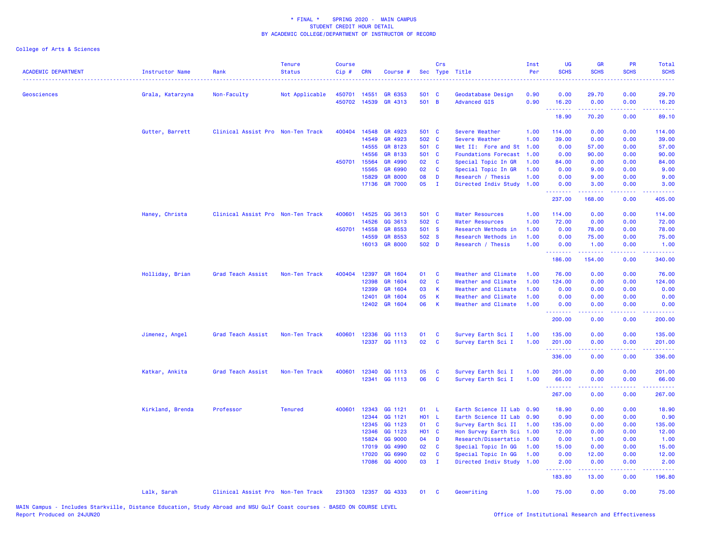| <b>ACADEMIC DEPARTMENT</b> | <b>Instructor Name</b> | Rank                              | <b>Tenure</b><br><b>Status</b> | <b>Course</b><br>Cip# | <b>CRN</b> | Course #             |            | Crs          | Sec Type Title              | Inst<br>Per | <b>UG</b><br><b>SCHS</b>                                                                                                                                                                                                                                                                                                                                                                                                                                                                        | <b>GR</b><br><b>SCHS</b>                                                                                                                                     | PR<br><b>SCHS</b>            | Total<br><b>SCHS</b><br>$\sim$ $\sim$ $\sim$ $\sim$                                                                                                            |
|----------------------------|------------------------|-----------------------------------|--------------------------------|-----------------------|------------|----------------------|------------|--------------|-----------------------------|-------------|-------------------------------------------------------------------------------------------------------------------------------------------------------------------------------------------------------------------------------------------------------------------------------------------------------------------------------------------------------------------------------------------------------------------------------------------------------------------------------------------------|--------------------------------------------------------------------------------------------------------------------------------------------------------------|------------------------------|----------------------------------------------------------------------------------------------------------------------------------------------------------------|
| Geosciences                | Grala, Katarzyna       | Non-Faculty                       | Not Applicable                 | 450701                | 14551      | GR 6353              | 501 C      |              | Geodatabase Design          | 0.90        | 0.00                                                                                                                                                                                                                                                                                                                                                                                                                                                                                            | 29.70                                                                                                                                                        | 0.00                         | 29.70                                                                                                                                                          |
|                            |                        |                                   |                                | 450702                | 14539      | GR 4313              | 501 B      |              | <b>Advanced GIS</b>         | 0.90        | 16.20<br>$\begin{array}{cccccccccc} \multicolumn{2}{c}{} & \multicolumn{2}{c}{} & \multicolumn{2}{c}{} & \multicolumn{2}{c}{} & \multicolumn{2}{c}{} & \multicolumn{2}{c}{} & \multicolumn{2}{c}{} & \multicolumn{2}{c}{} & \multicolumn{2}{c}{} & \multicolumn{2}{c}{} & \multicolumn{2}{c}{} & \multicolumn{2}{c}{} & \multicolumn{2}{c}{} & \multicolumn{2}{c}{} & \multicolumn{2}{c}{} & \multicolumn{2}{c}{} & \multicolumn{2}{c}{} & \multicolumn{2}{c}{} & \multicolumn{2}{c}{} & \mult$ | 0.00<br>$-1 - 1 - 1$                                                                                                                                         | 0.00<br>$  -$                | 16.20<br>.                                                                                                                                                     |
|                            |                        |                                   |                                |                       |            |                      |            |              |                             |             | 18.90                                                                                                                                                                                                                                                                                                                                                                                                                                                                                           | 70.20                                                                                                                                                        | 0.00                         | 89.10                                                                                                                                                          |
|                            | Gutter, Barrett        | Clinical Assist Pro Non-Ten Track |                                | 400404                | 14548      | GR 4923              | 501 C      |              | Severe Weather              | 1.00        | 114.00                                                                                                                                                                                                                                                                                                                                                                                                                                                                                          | 0.00                                                                                                                                                         | 0.00                         | 114.00                                                                                                                                                         |
|                            |                        |                                   |                                |                       | 14549      | GR 4923              | 502 C      |              | Severe Weather              | 1.00        | 39.00                                                                                                                                                                                                                                                                                                                                                                                                                                                                                           | 0.00                                                                                                                                                         | 0.00                         | 39.00                                                                                                                                                          |
|                            |                        |                                   |                                |                       | 14555      | GR 8123              | 501 C      |              | Met II: Fore and St         | 1.00        | 0.00                                                                                                                                                                                                                                                                                                                                                                                                                                                                                            | 57.00                                                                                                                                                        | 0.00                         | 57.00                                                                                                                                                          |
|                            |                        |                                   |                                |                       | 14556      | GR 8133              | 501 C      |              | <b>Foundations Forecast</b> | 1.00        | 0.00                                                                                                                                                                                                                                                                                                                                                                                                                                                                                            | 90.00                                                                                                                                                        | 0.00                         | 90.00                                                                                                                                                          |
|                            |                        |                                   |                                | 450701 15564          |            | GR 4990              | 02         | C            | Special Topic In GR         | 1.00        | 84.00                                                                                                                                                                                                                                                                                                                                                                                                                                                                                           | 0.00                                                                                                                                                         | 0.00                         | 84.00                                                                                                                                                          |
|                            |                        |                                   |                                |                       | 15565      | GR 6990              | 02         | C            | Special Topic In GR         | 1.00        | 0.00                                                                                                                                                                                                                                                                                                                                                                                                                                                                                            | 9.00                                                                                                                                                         | 0.00                         | 9.00                                                                                                                                                           |
|                            |                        |                                   |                                |                       | 15829      | <b>GR 8000</b>       | 08         | D            | Research / Thesis           | 1.00        | 0.00                                                                                                                                                                                                                                                                                                                                                                                                                                                                                            | 9.00                                                                                                                                                         | 0.00                         | 9.00                                                                                                                                                           |
|                            |                        |                                   |                                |                       | 17136      | <b>GR 7000</b>       | 05         | $\mathbf{I}$ | Directed Indiv Study        | 1.00        | 0.00<br>.                                                                                                                                                                                                                                                                                                                                                                                                                                                                                       | 3.00                                                                                                                                                         | 0.00<br>$\sim$ $\sim$ $\sim$ | 3.00                                                                                                                                                           |
|                            |                        |                                   |                                |                       |            |                      |            |              |                             |             | 237.00                                                                                                                                                                                                                                                                                                                                                                                                                                                                                          | 168.00                                                                                                                                                       | 0.00                         | 405.00                                                                                                                                                         |
|                            | Haney, Christa         | Clinical Assist Pro Non-Ten Track |                                | 400601                | 14525      | GG 3613              | 501 C      |              | <b>Water Resources</b>      | 1.00        | 114.00                                                                                                                                                                                                                                                                                                                                                                                                                                                                                          | 0.00                                                                                                                                                         | 0.00                         | 114.00                                                                                                                                                         |
|                            |                        |                                   |                                |                       | 14526      | GG 3613              | 502 C      |              | <b>Water Resources</b>      | 1.00        | 72.00                                                                                                                                                                                                                                                                                                                                                                                                                                                                                           | 0.00                                                                                                                                                         | 0.00                         | 72.00                                                                                                                                                          |
|                            |                        |                                   |                                | 450701                | 14558      | GR 8553              | 501 S      |              | Research Methods in         | 1.00        | 0.00                                                                                                                                                                                                                                                                                                                                                                                                                                                                                            | 78.00                                                                                                                                                        | 0.00                         | 78.00                                                                                                                                                          |
|                            |                        |                                   |                                |                       | 14559      | GR 8553              | 502 S      |              | Research Methods in         | 1.00        | 0.00                                                                                                                                                                                                                                                                                                                                                                                                                                                                                            | 75.00                                                                                                                                                        | 0.00                         | 75.00                                                                                                                                                          |
|                            |                        |                                   |                                |                       |            | 16013 GR 8000        | 502 D      |              | Research / Thesis           | 1.00        | 0.00<br>.                                                                                                                                                                                                                                                                                                                                                                                                                                                                                       | 1.00<br>.                                                                                                                                                    | 0.00<br>.                    | 1.00<br>$\mathbf{1} \cdot \mathbf{1} \cdot \mathbf{1} \cdot \mathbf{1} \cdot \mathbf{1}$                                                                       |
|                            |                        |                                   |                                |                       |            |                      |            |              |                             |             | 186.00                                                                                                                                                                                                                                                                                                                                                                                                                                                                                          | 154.00                                                                                                                                                       | 0.00                         | 340.00                                                                                                                                                         |
|                            | Holliday, Brian        | Grad Teach Assist                 | Non-Ten Track                  | 400404                | 12397      | GR 1604              | 01         | C            | Weather and Climate         | 1.00        | 76.00                                                                                                                                                                                                                                                                                                                                                                                                                                                                                           | 0.00                                                                                                                                                         | 0.00                         | 76.00                                                                                                                                                          |
|                            |                        |                                   |                                |                       | 12398      | GR 1604              | 02         | C            | Weather and Climate         | 1.00        | 124.00                                                                                                                                                                                                                                                                                                                                                                                                                                                                                          | 0.00                                                                                                                                                         | 0.00                         | 124.00                                                                                                                                                         |
|                            |                        |                                   |                                |                       | 12399      | GR 1604              | 03         | K            | Weather and Climate         | 1.00        | 0.00                                                                                                                                                                                                                                                                                                                                                                                                                                                                                            | 0.00                                                                                                                                                         | 0.00                         | 0.00                                                                                                                                                           |
|                            |                        |                                   |                                |                       | 12401      | GR 1604              | 05         | K            | Weather and Climate         | 1.00        | 0.00                                                                                                                                                                                                                                                                                                                                                                                                                                                                                            | 0.00                                                                                                                                                         | 0.00                         | 0.00                                                                                                                                                           |
|                            |                        |                                   |                                |                       | 12402      | GR 1604              | 06         | $\mathsf K$  | Weather and Climate         | 1.00        | 0.00<br>.                                                                                                                                                                                                                                                                                                                                                                                                                                                                                       | 0.00<br>22222                                                                                                                                                | 0.00<br>.                    | 0.00<br>$\frac{1}{2} \left( \frac{1}{2} \right) \left( \frac{1}{2} \right) \left( \frac{1}{2} \right) \left( \frac{1}{2} \right) \left( \frac{1}{2} \right)$   |
|                            |                        |                                   |                                |                       |            |                      |            |              |                             |             | 200.00                                                                                                                                                                                                                                                                                                                                                                                                                                                                                          | 0.00                                                                                                                                                         | 0.00                         | 200.00                                                                                                                                                         |
|                            | Jimenez, Angel         | Grad Teach Assist                 | Non-Ten Track                  | 400601                | 12336      | GG 1113              | 01         | C            | Survey Earth Sci I          | 1.00        | 135.00                                                                                                                                                                                                                                                                                                                                                                                                                                                                                          | 0.00                                                                                                                                                         | 0.00                         | 135.00                                                                                                                                                         |
|                            |                        |                                   |                                |                       |            | 12337 GG 1113        | 02         | $\mathbf c$  | Survey Earth Sci I          | 1.00        | 201.00                                                                                                                                                                                                                                                                                                                                                                                                                                                                                          | 0.00                                                                                                                                                         | 0.00                         | 201.00                                                                                                                                                         |
|                            |                        |                                   |                                |                       |            |                      |            |              |                             |             | .<br>336.00                                                                                                                                                                                                                                                                                                                                                                                                                                                                                     | 0.00                                                                                                                                                         | 0.00                         | $\frac{1}{2} \left( \frac{1}{2} \right) \left( \frac{1}{2} \right) \left( \frac{1}{2} \right) \left( \frac{1}{2} \right) \left( \frac{1}{2} \right)$<br>336.00 |
|                            |                        |                                   |                                |                       |            |                      |            |              |                             |             |                                                                                                                                                                                                                                                                                                                                                                                                                                                                                                 |                                                                                                                                                              |                              |                                                                                                                                                                |
|                            | Katkar, Ankita         | Grad Teach Assist                 | Non-Ten Track                  | 400601                | 12340      | GG 1113              | 05         | C            | Survey Earth Sci I          | 1.00        | 201.00                                                                                                                                                                                                                                                                                                                                                                                                                                                                                          | 0.00                                                                                                                                                         | 0.00                         | 201.00                                                                                                                                                         |
|                            |                        |                                   |                                |                       |            | 12341 GG 1113        | 06         | C            | Survey Earth Sci I          | 1.00        | 66.00<br><u>.</u>                                                                                                                                                                                                                                                                                                                                                                                                                                                                               | 0.00<br><u>.</u>                                                                                                                                             | 0.00<br>.                    | 66.00<br>.                                                                                                                                                     |
|                            |                        |                                   |                                |                       |            |                      |            |              |                             |             | 267.00                                                                                                                                                                                                                                                                                                                                                                                                                                                                                          | 0.00                                                                                                                                                         | 0.00                         | 267.00                                                                                                                                                         |
|                            | Kirkland, Brenda       | Professor                         | <b>Tenured</b>                 | 400601                | 12343      | GG 1121              | 01         | - L          | Earth Science II Lab        | 0.90        | 18.90                                                                                                                                                                                                                                                                                                                                                                                                                                                                                           | 0.00                                                                                                                                                         | 0.00                         | 18.90                                                                                                                                                          |
|                            |                        |                                   |                                |                       | 12344      | GG 1121              | <b>HO1</b> | -L           | Earth Science II Lab        | 0.90        | 0.90                                                                                                                                                                                                                                                                                                                                                                                                                                                                                            | 0.00                                                                                                                                                         | 0.00                         | 0.90                                                                                                                                                           |
|                            |                        |                                   |                                |                       | 12345      | GG 1123              | 01         | C            | Survey Earth Sci II         | 1.00        | 135.00                                                                                                                                                                                                                                                                                                                                                                                                                                                                                          | 0.00                                                                                                                                                         | 0.00                         | 135.00                                                                                                                                                         |
|                            |                        |                                   |                                |                       | 12346      | GG 1123              | <b>HO1</b> | C            | Hon Survey Earth Sci        | 1.00        | 12.00                                                                                                                                                                                                                                                                                                                                                                                                                                                                                           | 0.00                                                                                                                                                         | 0.00                         | 12.00                                                                                                                                                          |
|                            |                        |                                   |                                |                       | 15824      | GG 9000              | 04         | D            | Research/Dissertatio        | 1.00        | 0.00                                                                                                                                                                                                                                                                                                                                                                                                                                                                                            | 1.00                                                                                                                                                         | 0.00                         | 1.00                                                                                                                                                           |
|                            |                        |                                   |                                |                       | 17019      | GG 4990              | 02         | C            | Special Topic In GG         | 1.00        | 15.00                                                                                                                                                                                                                                                                                                                                                                                                                                                                                           | 0.00                                                                                                                                                         | 0.00                         | 15.00                                                                                                                                                          |
|                            |                        |                                   |                                |                       | 17020      | GG 6990              | 02         | C            | Special Topic In GG         | 1.00        | 0.00                                                                                                                                                                                                                                                                                                                                                                                                                                                                                            | 12.00                                                                                                                                                        | 0.00                         | 12.00                                                                                                                                                          |
|                            |                        |                                   |                                |                       | 17086      | GG 4000              | 03         | $\mathbf{I}$ | Directed Indiv Study        | 1.00        | 2.00<br>- - - - - - - -                                                                                                                                                                                                                                                                                                                                                                                                                                                                         | 0.00<br>$\frac{1}{2} \left( \frac{1}{2} \right) \left( \frac{1}{2} \right) \left( \frac{1}{2} \right) \left( \frac{1}{2} \right) \left( \frac{1}{2} \right)$ | 0.00<br>.                    | 2.00<br>.                                                                                                                                                      |
|                            |                        |                                   |                                |                       |            |                      |            |              |                             |             | 183.80                                                                                                                                                                                                                                                                                                                                                                                                                                                                                          | 13.00                                                                                                                                                        | 0.00                         | 196.80                                                                                                                                                         |
|                            | Lalk, Sarah            | Clinical Assist Pro Non-Ten Track |                                |                       |            | 231303 12357 GG 4333 | 01         | C            | Geowriting                  | 1.00        | 75.00                                                                                                                                                                                                                                                                                                                                                                                                                                                                                           | 0.00                                                                                                                                                         | 0.00                         | 75.00                                                                                                                                                          |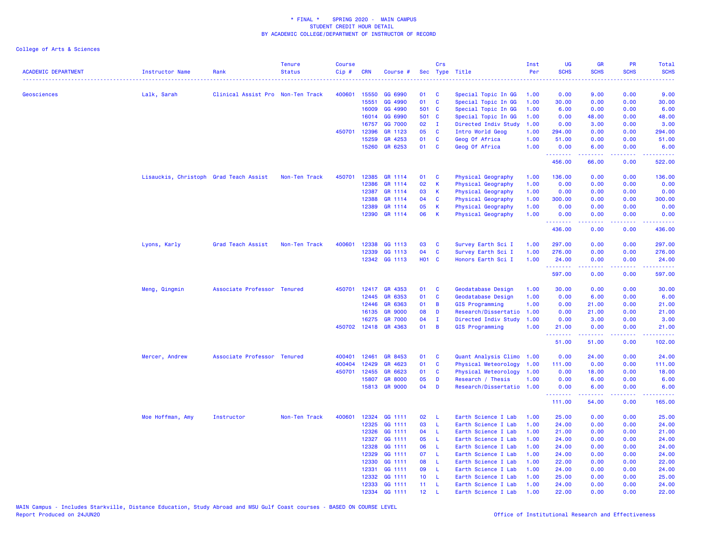| <b>ACADEMIC DEPARTMENT</b> | Instructor Name                        | Rank                              | <b>Tenure</b><br><b>Status</b> | <b>Course</b><br>Cip# | CRN            | Course #           |                  | Crs          | Sec Type Title            | Inst<br>Per  | <b>UG</b><br><b>SCHS</b> | <b>GR</b><br><b>SCHS</b> | <b>PR</b><br><b>SCHS</b> | Total<br><b>SCHS</b> |
|----------------------------|----------------------------------------|-----------------------------------|--------------------------------|-----------------------|----------------|--------------------|------------------|--------------|---------------------------|--------------|--------------------------|--------------------------|--------------------------|----------------------|
|                            |                                        |                                   |                                |                       |                |                    |                  |              |                           |              |                          |                          |                          |                      |
| <b>Geosciences</b>         | Lalk, Sarah                            | Clinical Assist Pro Non-Ten Track |                                | 400601                | 15550          | GG 6990            | 01               | C            | Special Topic In GG       | 1.00         | 0.00                     | 9.00                     | 0.00                     | 9.00                 |
|                            |                                        |                                   |                                |                       | 15551          | GG 4990            | 01               | C            | Special Topic In GG       | 1.00         | 30.00                    | 0.00                     | 0.00                     | 30.00                |
|                            |                                        |                                   |                                |                       | 16009          | GG 4990            | 501 C            |              | Special Topic In GG       | 1.00         | 6.00                     | 0.00                     | 0.00                     | 6.00                 |
|                            |                                        |                                   |                                |                       | 16014          | GG 6990            | 501 C            |              | Special Topic In GG       | 1.00         | 0.00                     | 48.00                    | 0.00                     | 48.00                |
|                            |                                        |                                   |                                |                       | 16757          | GG 7000            | 02               | $\mathbf{I}$ | Directed Indiv Study      | 1.00         | 0.00                     | 3.00                     | 0.00                     | 3.00                 |
|                            |                                        |                                   |                                | 450701                | 12396          | GR 1123            | 05               | <b>C</b>     | Intro World Geog          | 1.00         | 294.00                   | 0.00                     | 0.00                     | 294.00               |
|                            |                                        |                                   |                                |                       | 15259<br>15260 | GR 4253<br>GR 6253 | 01<br>01         | C<br>C       | Geog Of Africa            | 1.00<br>1.00 | 51.00<br>0.00            | 0.00<br>6.00             | 0.00<br>0.00             | 51.00<br>6.00        |
|                            |                                        |                                   |                                |                       |                |                    |                  |              | Geog Of Africa            |              | .                        | .                        | .                        | .                    |
|                            |                                        |                                   |                                |                       |                |                    |                  |              |                           |              | 456.00                   | 66.00                    | 0.00                     | 522.00               |
|                            | Lisauckis, Christoph Grad Teach Assist |                                   | Non-Ten Track                  | 450701                | 12385          | GR 1114            | 01               | C            | Physical Geography        | 1.00         | 136.00                   | 0.00                     | 0.00                     | 136.00               |
|                            |                                        |                                   |                                |                       | 12386          | GR 1114            | 02               | K            | Physical Geography        | 1.00         | 0.00                     | 0.00                     | 0.00                     | 0.00                 |
|                            |                                        |                                   |                                |                       | 12387          | GR 1114            | 03               | К            | <b>Physical Geography</b> | 1.00         | 0.00                     | 0.00                     | 0.00                     | 0.00                 |
|                            |                                        |                                   |                                |                       | 12388          | GR 1114            | 04               | C            | Physical Geography        | 1.00         | 300.00                   | 0.00                     | 0.00                     | 300.00               |
|                            |                                        |                                   |                                |                       | 12389          | GR 1114            | 05               | К            | Physical Geography        | 1.00         | 0.00                     | 0.00                     | 0.00                     | 0.00                 |
|                            |                                        |                                   |                                |                       | 12390          | GR 1114            | 06               | K            | Physical Geography        | 1.00         | 0.00<br>.                | 0.00<br>22222            | 0.00<br>.                | 0.00<br><u>.</u>     |
|                            |                                        |                                   |                                |                       |                |                    |                  |              |                           |              | 436.00                   | 0.00                     | 0.00                     | 436.00               |
|                            | Lyons, Karly                           | Grad Teach Assist                 | Non-Ten Track                  | 400601                | 12338          | GG 1113            | 03               | C            | Survey Earth Sci I        | 1.00         | 297.00                   | 0.00                     | 0.00                     | 297.00               |
|                            |                                        |                                   |                                |                       | 12339          | GG 1113            | 04               | C            | Survey Earth Sci I        | 1.00         | 276.00                   | 0.00                     | 0.00                     | 276.00               |
|                            |                                        |                                   |                                |                       |                | 12342 GG 1113      | <b>HO1 C</b>     |              | Honors Earth Sci I        | 1.00         | 24.00                    | 0.00                     | 0.00                     | 24.00                |
|                            |                                        |                                   |                                |                       |                |                    |                  |              |                           |              | <u>.</u><br>597.00       | 2.2.2.2.2<br>0.00        | .<br>0.00                | .<br>597.00          |
|                            | Meng, Qingmin                          | Associate Professor Tenured       |                                | 450701                | 12417          | GR 4353            | 01               | C            | Geodatabase Design        | 1.00         | 30.00                    | 0.00                     | 0.00                     | 30.00                |
|                            |                                        |                                   |                                |                       | 12445          | GR 6353            | 01               | C            | Geodatabase Design        | 1.00         | 0.00                     | 6.00                     | 0.00                     | 6.00                 |
|                            |                                        |                                   |                                |                       | 12446          | GR 6363            | 01               | B            | GIS Programming           | 1.00         | 0.00                     | 21.00                    | 0.00                     | 21.00                |
|                            |                                        |                                   |                                |                       | 16135          | <b>GR 9000</b>     | 08               | D            | Research/Dissertatio      | 1.00         | 0.00                     | 21.00                    | 0.00                     | 21.00                |
|                            |                                        |                                   |                                |                       | 16275          | <b>GR 7000</b>     | 04               | $\mathbf{I}$ | Directed Indiv Study      | 1.00         | 0.00                     | 3.00                     | 0.00                     | 3.00                 |
|                            |                                        |                                   |                                |                       | 450702 12418   | GR 4363            | 01               | B            | GIS Programming           | 1.00         | 21.00<br>.               | 0.00<br><u>.</u>         | 0.00                     | 21.00<br>.           |
|                            |                                        |                                   |                                |                       |                |                    |                  |              |                           |              | 51.00                    | 51.00                    | 0.00                     | 102.00               |
|                            | Mercer, Andrew                         | Associate Professor Tenured       |                                | 400401                | 12461          | GR 8453            | 01               | C            | Quant Analysis Climo 1.00 |              | 0.00                     | 24.00                    | 0.00                     | 24.00                |
|                            |                                        |                                   |                                | 400404                | 12429          | GR 4623            | 01               | C            | Physical Meteorology      | 1.00         | 111.00                   | 0.00                     | 0.00                     | 111.00               |
|                            |                                        |                                   |                                | 450701                | 12455          | GR 6623            | 01               | C            | Physical Meteorology      | 1.00         | 0.00                     | 18.00                    | 0.00                     | 18.00                |
|                            |                                        |                                   |                                |                       | 15807          | <b>GR 8000</b>     | 05               | D            | Research / Thesis         | 1.00         | 0.00                     | 6.00                     | 0.00                     | 6.00                 |
|                            |                                        |                                   |                                |                       |                | 15813 GR 9000      | 04               | D            | Research/Dissertatio 1.00 |              | 0.00                     | 6.00                     | 0.00                     | 6.00                 |
|                            |                                        |                                   |                                |                       |                |                    |                  |              |                           |              | .<br>111.00              | $- - - - -$<br>54.00     | .<br>0.00                | .<br>165.00          |
|                            | Moe Hoffman, Amy                       | Instructor                        | Non-Ten Track                  | 400601                |                | 12324 GG 1111      | 02               | L            | Earth Science I Lab       | 1.00         | 25.00                    | 0.00                     | 0.00                     | 25.00                |
|                            |                                        |                                   |                                |                       | 12325          | GG 1111            | 03               | L            | Earth Science I Lab       | 1.00         | 24.00                    | 0.00                     | 0.00                     | 24.00                |
|                            |                                        |                                   |                                |                       | 12326          | GG 1111            | 04               | L            | Earth Science I Lab       | 1.00         | 21.00                    | 0.00                     | 0.00                     | 21.00                |
|                            |                                        |                                   |                                |                       | 12327          | GG 1111            | 05               | L            | Earth Science I Lab       | 1.00         | 24.00                    | 0.00                     | 0.00                     | 24.00                |
|                            |                                        |                                   |                                |                       | 12328          | GG 1111            | 06               | L            | Earth Science I Lab       | 1.00         | 24.00                    | 0.00                     | 0.00                     | 24.00                |
|                            |                                        |                                   |                                |                       | 12329          | GG 1111            | 07               | L            | Earth Science I Lab       | 1.00         | 24.00                    | 0.00                     | 0.00                     | 24.00                |
|                            |                                        |                                   |                                |                       | 12330          | GG 1111            | 08               | L            | Earth Science I Lab       | 1.00         | 22.00                    | 0.00                     | 0.00                     | 22.00                |
|                            |                                        |                                   |                                |                       | 12331          | GG 1111            | 09               | L            | Earth Science I Lab       | 1.00         | 24.00                    | 0.00                     | 0.00                     | 24.00                |
|                            |                                        |                                   |                                |                       | 12332          | GG 1111            | 10 <sup>1</sup>  | L            | Earth Science I Lab       | 1.00         | 25.00                    | 0.00                     | 0.00                     | 25.00                |
|                            |                                        |                                   |                                |                       | 12333          | GG 1111            | 11               | -L           | Earth Science I Lab       | 1.00         | 24.00                    | 0.00                     | 0.00                     | 24.00                |
|                            |                                        |                                   |                                |                       | 12334          | GG 1111            | 12 <sup>12</sup> | $\mathbf{I}$ | Earth Science I Lab       | 1.00         | 22.00                    | 0.00                     | 0.00                     | 22.00                |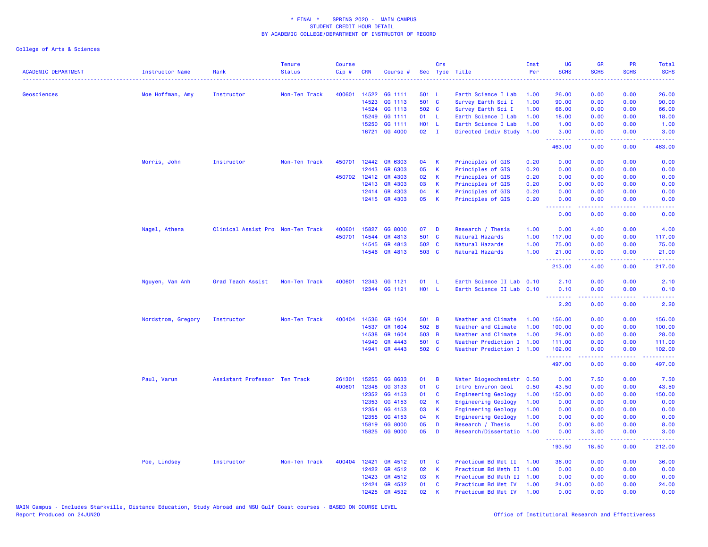| <b>ACADEMIC DEPARTMENT</b> | Instructor Name    | Rank                              | <b>Tenure</b><br><b>Status</b> | <b>Course</b><br>Cip# | <b>CRN</b>     | Course #                 |             | Crs               | Sec Type Title                         | Inst<br>Per  | UG<br><b>SCHS</b> | <b>GR</b><br><b>SCHS</b> | PR<br><b>SCHS</b>           | Total<br><b>SCHS</b> |
|----------------------------|--------------------|-----------------------------------|--------------------------------|-----------------------|----------------|--------------------------|-------------|-------------------|----------------------------------------|--------------|-------------------|--------------------------|-----------------------------|----------------------|
|                            |                    |                                   |                                |                       |                |                          |             |                   |                                        |              |                   |                          |                             |                      |
| <b>Geosciences</b>         | Moe Hoffman, Amy   | Instructor                        | Non-Ten Track                  | 400601                | 14522          | GG 1111                  | 501 L       |                   | Earth Science I Lab                    | 1.00         | 26.00             | 0.00                     | 0.00                        | 26.00                |
|                            |                    |                                   |                                |                       | 14523          | GG 1113                  | 501 C       |                   | Survey Earth Sci I                     | 1.00         | 90.00             | 0.00                     | 0.00                        | 90.00                |
|                            |                    |                                   |                                |                       | 14524          | GG 1113                  | 502 C       |                   | Survey Earth Sci I                     | 1.00         | 66.00             | 0.00                     | 0.00                        | 66.00                |
|                            |                    |                                   |                                |                       | 15249          | GG 1111                  | 01          | -L.               | Earth Science I Lab                    | 1.00         | 18.00             | 0.00                     | 0.00                        | 18.00                |
|                            |                    |                                   |                                |                       | 15250          | GG 1111                  | H01 L       |                   | Earth Science I Lab                    | 1.00         | 1.00              | 0.00                     | 0.00                        | 1.00                 |
|                            |                    |                                   |                                |                       |                | 16721 GG 4000            | 02          | $\mathbf{I}$      | Directed Indiv Study                   | 1.00         | 3.00<br>.         | 0.00<br>-----            | 0.00<br>.                   | 3.00<br>المستمال     |
|                            |                    |                                   |                                |                       |                |                          |             |                   |                                        |              | 463.00            | 0.00                     | 0.00                        | 463.00               |
|                            | Morris, John       | Instructor                        | Non-Ten Track                  | 450701                | 12442          | GR 6303                  | 04          | K                 | Principles of GIS                      | 0.20         | 0.00              | 0.00                     | 0.00                        | 0.00                 |
|                            |                    |                                   |                                |                       | 12443          | GR 6303                  | 05          | К                 | Principles of GIS                      | 0.20         | 0.00              | 0.00                     | 0.00                        | 0.00                 |
|                            |                    |                                   |                                |                       | 450702 12412   | GR 4303                  | 02          | К                 | Principles of GIS                      | 0.20         | 0.00              | 0.00                     | 0.00                        | 0.00                 |
|                            |                    |                                   |                                |                       | 12413          | GR 4303                  | 03          | K                 | Principles of GIS                      | 0.20         | 0.00              | 0.00                     | 0.00                        | 0.00                 |
|                            |                    |                                   |                                |                       | 12414          | GR 4303<br>12415 GR 4303 | 04<br>05    | K<br>$\mathsf{K}$ | Principles of GIS<br>Principles of GIS | 0.20<br>0.20 | 0.00<br>0.00      | 0.00<br>0.00             | 0.00<br>0.00                | 0.00<br>0.00         |
|                            |                    |                                   |                                |                       |                |                          |             |                   |                                        |              | .<br>0.00         | 0.00                     | 0.00                        | .<br>0.00            |
|                            |                    |                                   |                                |                       |                |                          |             |                   |                                        |              |                   |                          |                             |                      |
|                            | Nagel, Athena      | Clinical Assist Pro Non-Ten Track |                                | 400601<br>450701      | 15827<br>14544 | GG 8000<br>GR 4813       | 07<br>501 C | D                 | Research / Thesis                      | 1.00<br>1.00 | 0.00              | 4.00<br>0.00             | 0.00<br>0.00                | 4.00                 |
|                            |                    |                                   |                                |                       | 14545          | GR 4813                  | 502 C       |                   | Natural Hazards                        | 1.00         | 117.00<br>75.00   | 0.00                     | 0.00                        | 117.00<br>75.00      |
|                            |                    |                                   |                                |                       |                | 14546 GR 4813            | 503 C       |                   | Natural Hazards<br>Natural Hazards     | 1.00         | 21.00             | 0.00                     | 0.00                        | 21.00                |
|                            |                    |                                   |                                |                       |                |                          |             |                   |                                        |              | .<br>213.00       | .<br>4.00                | د د د د<br>0.00             | 217.00               |
|                            | Nguyen, Van Anh    | Grad Teach Assist                 | Non-Ten Track                  | 400601                | 12343          | GG 1121                  | 01          | -L                | Earth Science II Lab 0.10              |              | 2.10              | 0.00                     | 0.00                        | 2.10                 |
|                            |                    |                                   |                                |                       |                | 12344 GG 1121            | H01 L       |                   | Earth Science II Lab 0.10              |              | 0.10              | 0.00                     | 0.00                        | 0.10                 |
|                            |                    |                                   |                                |                       |                |                          |             |                   |                                        |              | .                 | .                        | $\sim$ $\sim$ $\sim$ $\sim$ |                      |
|                            |                    |                                   |                                |                       |                |                          |             |                   |                                        |              | 2.20              | 0.00                     | 0.00                        | 2.20                 |
|                            | Nordstrom, Gregory | Instructor                        | Non-Ten Track                  | 400404                | 14536          | GR 1604                  | 501 B       |                   | Weather and Climate                    | 1.00         | 156.00            | 0.00                     | 0.00                        | 156.00               |
|                            |                    |                                   |                                |                       | 14537          | GR 1604                  | 502 B       |                   | Weather and Climate                    | 1.00         | 100.00            | 0.00                     | 0.00                        | 100.00               |
|                            |                    |                                   |                                |                       | 14538          | GR 1604                  | 503 B       |                   | Weather and Climate                    | 1.00         | 28.00             | 0.00                     | 0.00                        | 28.00                |
|                            |                    |                                   |                                |                       | 14940          | GR 4443                  | 501 C       |                   | Weather Prediction I 1.00              |              | 111.00            | 0.00                     | 0.00                        | 111.00               |
|                            |                    |                                   |                                |                       | 14941          | GR 4443                  | 502 C       |                   | Weather Prediction I 1.00              |              | 102.00<br>.       | 0.00                     | 0.00                        | 102.00               |
|                            |                    |                                   |                                |                       |                |                          |             |                   |                                        |              | 497.00            | 0.00                     | 0.00                        | 497.00               |
|                            | Paul, Varun        | Assistant Professor Ten Track     |                                | 261301                | 15255          | GG 8633                  | 01          | B                 | Water Biogeochemistr                   | 0.50         | 0.00              | 7.50                     | 0.00                        | 7.50                 |
|                            |                    |                                   |                                | 400601                | 12348          | GG 3133                  | 01          | C                 | Intro Environ Geol                     | 0.50         | 43.50             | 0.00                     | 0.00                        | 43.50                |
|                            |                    |                                   |                                |                       | 12352          | GG 4153                  | 01          | C                 | <b>Engineering Geology</b>             | 1.00         | 150.00            | 0.00                     | 0.00                        | 150.00               |
|                            |                    |                                   |                                |                       | 12353          | GG 4153                  | 02          | K                 | <b>Engineering Geology</b>             | 1.00         | 0.00              | 0.00                     | 0.00                        | 0.00                 |
|                            |                    |                                   |                                |                       | 12354          | GG 4153                  | 03          | К                 | <b>Engineering Geology</b>             | 1.00         | 0.00              | 0.00                     | 0.00                        | 0.00                 |
|                            |                    |                                   |                                |                       | 12355          | GG 4153                  | 04          | K                 | <b>Engineering Geology</b>             | 1.00         | 0.00              | 0.00                     | 0.00                        | 0.00                 |
|                            |                    |                                   |                                |                       | 15819          | GG 8000                  | 05          | D                 | Research / Thesis                      | 1.00         | 0.00              | 8.00                     | 0.00                        | 8.00                 |
|                            |                    |                                   |                                |                       | 15825          | <b>GG 9000</b>           | 05          | D                 | Research/Dissertatio                   | 1.00         | 0.00<br>.         | 3.00<br>.                | 0.00                        | 3.00                 |
|                            |                    |                                   |                                |                       |                |                          |             |                   |                                        |              | 193.50            | 18.50                    | 0.00                        | 212.00               |
|                            | Poe, Lindsey       | Instructor                        | Non-Ten Track                  |                       | 400404 12421   | GR 4512                  | 01          | C                 | Practicum Bd Met II                    | 1.00         | 36.00             | 0.00                     | 0.00                        | 36.00                |
|                            |                    |                                   |                                |                       | 12422          | GR 4512                  | 02          | K                 | Practicum Bd Meth II 1.00              |              | 0.00              | 0.00                     | 0.00                        | 0.00                 |
|                            |                    |                                   |                                |                       | 12423          | GR 4512                  | 03          | K                 | Practicum Bd Meth II 1.00              |              | 0.00              | 0.00                     | 0.00                        | 0.00                 |
|                            |                    |                                   |                                |                       | 12424          | GR 4532                  | 01          | C                 | Practicum Bd Met IV                    | 1.00         | 24.00             | 0.00                     | 0.00                        | 24.00                |
|                            |                    |                                   |                                |                       | 12425          | GR 4532                  | 02          | K                 | Practicum Bd Met IV                    | 1.00         | 0.00              | 0.00                     | 0.00                        | 0.00                 |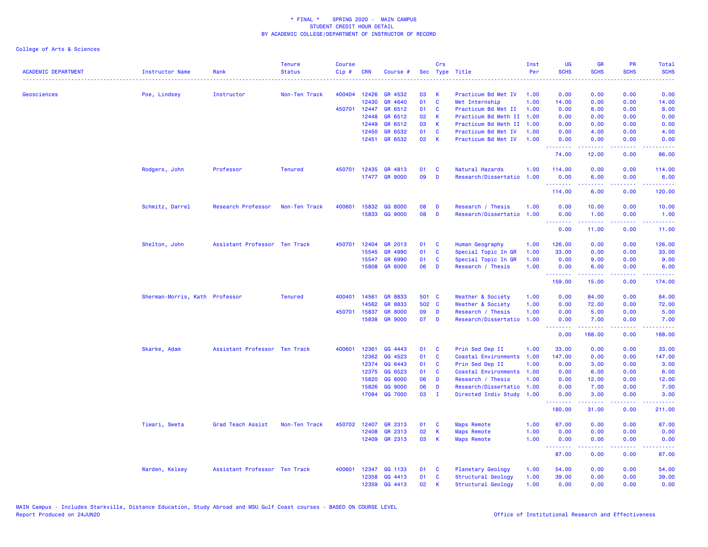| <b>ACADEMIC DEPARTMENT</b> | <b>Instructor Name</b>         | Rank                          | <b>Tenure</b><br><b>Status</b> | <b>Course</b><br>Cip# | <b>CRN</b>     | Course #           |          | Crs                      | Sec Type Title                          | Inst<br>Per  | <b>UG</b><br><b>SCHS</b>                                   | <b>GR</b><br><b>SCHS</b>                                                                                                                                     | PR<br><b>SCHS</b>            | Total<br><b>SCHS</b>     |
|----------------------------|--------------------------------|-------------------------------|--------------------------------|-----------------------|----------------|--------------------|----------|--------------------------|-----------------------------------------|--------------|------------------------------------------------------------|--------------------------------------------------------------------------------------------------------------------------------------------------------------|------------------------------|--------------------------|
| Geosciences                | Poe, Lindsey                   | Instructor                    | Non-Ten Track                  |                       | 400404 12426   | GR 4532            | 03       | К                        | Practicum Bd Met IV                     | 1.00         | 0.00                                                       | 0.00                                                                                                                                                         | 0.00                         | 0.00                     |
|                            |                                |                               |                                |                       | 12430          | GR 4640            | 01       | $\mathbf{C}$             | Met Internship                          | 1.00         | 14.00                                                      | 0.00                                                                                                                                                         | 0.00                         | 14.00                    |
|                            |                                |                               |                                |                       | 450701 12447   | GR 6512            | 01       | <b>C</b>                 | Practicum Bd Met II                     | 1.00         | 0.00                                                       | 8.00                                                                                                                                                         | 0.00                         | 8.00                     |
|                            |                                |                               |                                |                       | 12448          | GR 6512            | 02       | К                        | Practicum Bd Meth II                    | 1.00         | 0.00                                                       | 0.00                                                                                                                                                         | 0.00                         | 0.00                     |
|                            |                                |                               |                                |                       | 12449          | GR 6512            | 03       | $\mathsf K$              | Practicum Bd Meth II                    | 1.00         | 0.00                                                       | 0.00                                                                                                                                                         | 0.00                         | 0.00                     |
|                            |                                |                               |                                |                       | 12450          | GR 6532            | 01       | C                        | Practicum Bd Met IV                     | 1.00         | 0.00                                                       | 4.00                                                                                                                                                         | 0.00                         | 4.00                     |
|                            |                                |                               |                                |                       | 12451          | GR 6532            | 02       | -K                       | Practicum Bd Met IV                     | 1.00         | 0.00<br>.                                                  | 0.00                                                                                                                                                         | 0.00                         | 0.00                     |
|                            |                                |                               |                                |                       |                |                    |          |                          |                                         |              | 74.00                                                      | 12.00                                                                                                                                                        | 0.00                         | 86.00                    |
|                            | Rodgers, John                  | Professor                     | <b>Tenured</b>                 | 450701                | 12435          | GR 4813            | 01       | - C                      | Natural Hazards                         | 1.00         | 114.00                                                     | 0.00                                                                                                                                                         | 0.00                         | 114.00                   |
|                            |                                |                               |                                |                       |                | 17477 GR 9000      | 09       | D                        | Research/Dissertatio                    | 1.00         | 0.00<br><u>.</u>                                           | 6.00<br><u>.</u>                                                                                                                                             | 0.00<br>.                    | 6.00<br>.                |
|                            |                                |                               |                                |                       |                |                    |          |                          |                                         |              | 114.00                                                     | 6.00                                                                                                                                                         | 0.00                         | 120.00                   |
|                            | Schmitz, Darrel                | Research Professor            | Non-Ten Track                  | 400601                | 15832          | GG 8000            | 08       | D                        | Research / Thesis                       | 1.00         | 0.00                                                       | 10.00                                                                                                                                                        | 0.00                         | 10.00                    |
|                            |                                |                               |                                |                       | 15833          | GG 9000            | 08       | D                        | Research/Dissertatio                    | 1.00         | 0.00<br><b><i><u><u><b>a</b></u></u> a a a a a a a</i></b> | 1.00<br>.                                                                                                                                                    | 0.00<br>.                    | 1.00<br>.                |
|                            |                                |                               |                                |                       |                |                    |          |                          |                                         |              | 0.00                                                       | 11.00                                                                                                                                                        | 0.00                         | 11.00                    |
|                            | Shelton, John                  | Assistant Professor Ten Track |                                | 450701                | 12404          | GR 2013            | 01       | C                        | Human Geography                         | 1.00         | 126.00                                                     | 0.00                                                                                                                                                         | 0.00                         | 126.00                   |
|                            |                                |                               |                                |                       | 15545          | GR 4990            | 01       | $\mathbf{C}$             | Special Topic In GR                     | 1.00         | 33.00                                                      | 0.00                                                                                                                                                         | 0.00                         | 33.00                    |
|                            |                                |                               |                                |                       | 15547          | GR 6990            | 01       | C                        | Special Topic In GR                     | 1.00         | 0.00                                                       | 9.00                                                                                                                                                         | 0.00                         | 9.00                     |
|                            |                                |                               |                                |                       | 15808          | <b>GR 8000</b>     | 06       | D                        | Research / Thesis                       | 1.00         | 0.00<br><b>.</b> .                                         | 6.00<br>$\frac{1}{2} \left( \frac{1}{2} \right) \left( \frac{1}{2} \right) \left( \frac{1}{2} \right) \left( \frac{1}{2} \right) \left( \frac{1}{2} \right)$ | 0.00<br>$\sim$ $\sim$ $\sim$ | 6.00<br>والمتحدث للمنابذ |
|                            |                                |                               |                                |                       |                |                    |          |                          |                                         |              | 159.00                                                     | 15.00                                                                                                                                                        | 0.00                         | 174.00                   |
|                            | Sherman-Morris, Kath Professor |                               | <b>Tenured</b>                 | 400401                | 14561          | GR 8833            | 501 C    |                          | Weather & Society                       | 1.00         | 0.00                                                       | 84.00                                                                                                                                                        | 0.00                         | 84.00                    |
|                            |                                |                               |                                |                       | 14562          | GR 8833            | 502 C    |                          | Weather & Society                       | 1.00         | 0.00                                                       | 72.00                                                                                                                                                        | 0.00                         | 72.00                    |
|                            |                                |                               |                                | 450701                | 15837          | <b>GR 8000</b>     | 09       | D                        | Research / Thesis                       | 1.00         | 0.00                                                       | 5.00                                                                                                                                                         | 0.00                         | 5.00                     |
|                            |                                |                               |                                |                       | 15838          | <b>GR 9000</b>     | 07       | $\mathbf{D}$             | Research/Dissertatio                    | 1.00         | 0.00<br>$\sim$ $\sim$ $\sim$ $\sim$                        | 7.00                                                                                                                                                         | 0.00<br>----                 | 7.00                     |
|                            |                                |                               |                                |                       |                |                    |          |                          |                                         |              | 0.00                                                       | 168.00                                                                                                                                                       | 0.00                         | 168.00                   |
|                            | Skarke, Adam                   | Assistant Professor Ten Track |                                | 400601                | 12361<br>12362 | GG 4443<br>GG 4523 | 01<br>01 | <b>C</b><br>$\mathbf{C}$ | Prin Sed Dep II<br>Coastal Environments | 1.00<br>1.00 | 33.00<br>147.00                                            | 0.00<br>0.00                                                                                                                                                 | 0.00<br>0.00                 | 33.00<br>147.00          |
|                            |                                |                               |                                |                       | 12374          | GG 6443            | 01       | C                        | Prin Sed Dep II                         | 1.00         | 0.00                                                       | 3.00                                                                                                                                                         | 0.00                         | 3.00                     |
|                            |                                |                               |                                |                       | 12375          | GG 6523            | 01       | $\mathbf{C}$             | Coastal Environments                    | 1.00         | 0.00                                                       | 6.00                                                                                                                                                         | 0.00                         | 6.00                     |
|                            |                                |                               |                                |                       | 15820          | GG 8000            | 06       | D                        | Research / Thesis                       | 1.00         | 0.00                                                       | 12.00                                                                                                                                                        | 0.00                         | 12.00                    |
|                            |                                |                               |                                |                       | 15826          | GG 9000            | 06       | D                        | Research/Dissertatio                    | 1.00         | 0.00                                                       | 7.00                                                                                                                                                         | 0.00                         | 7.00                     |
|                            |                                |                               |                                |                       | 17084          | GG 7000            | 03       | $\mathbf{I}$             | Directed Indiv Study 1.00               |              | 0.00                                                       | 3.00                                                                                                                                                         | 0.00                         | 3.00                     |
|                            |                                |                               |                                |                       |                |                    |          |                          |                                         |              | .<br>180.00                                                | 31.00                                                                                                                                                        | والمحامر<br>0.00             | 211.00                   |
|                            | Tiwari, Sweta                  | Grad Teach Assist             | Non-Ten Track                  | 450702                | 12407          | GR 2313            | 01       | C                        | <b>Maps Remote</b>                      | 1.00         | 87.00                                                      | 0.00                                                                                                                                                         | 0.00                         | 87.00                    |
|                            |                                |                               |                                |                       | 12408          | GR 2313            | 02       | К                        | <b>Maps Remote</b>                      | 1.00         | 0.00                                                       | 0.00                                                                                                                                                         | 0.00                         | 0.00                     |
|                            |                                |                               |                                |                       | 12409          | GR 2313            | 03       | K                        | <b>Maps Remote</b>                      | 1.00         | 0.00<br><u>.</u>                                           | 0.00<br>.                                                                                                                                                    | 0.00<br>.                    | 0.00<br>.                |
|                            |                                |                               |                                |                       |                |                    |          |                          |                                         |              | 87.00                                                      | 0.00                                                                                                                                                         | 0.00                         | 87.00                    |
|                            | Warden, Kelsey                 | Assistant Professor Ten Track |                                | 400601                | 12347          | GG 1133            | 01       | - C                      | Planetary Geology                       | 1.00         | 54.00                                                      | 0.00                                                                                                                                                         | 0.00                         | 54.00                    |
|                            |                                |                               |                                |                       | 12358          | GG 4413            | 01       | <b>C</b>                 | Structural Geology                      | 1.00         | 39.00                                                      | 0.00                                                                                                                                                         | 0.00                         | 39.00                    |
|                            |                                |                               |                                |                       | 12359          | GG 4413            | 02       | К                        | Structural Geology                      | 1.00         | 0.00                                                       | 0.00                                                                                                                                                         | 0.00                         | 0.00                     |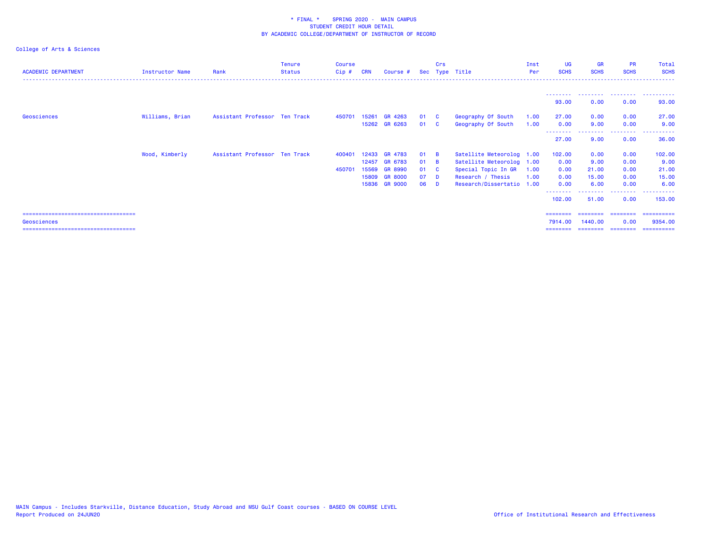| <b>ACADEMIC DEPARTMENT</b>    | Instructor Name | Rank                          | <b>Tenure</b><br><b>Status</b> | <b>Course</b><br>Cip# | <b>CRN</b> | Course #       |    | Crs                     | Sec Type Title            | Inst<br>Per | <b>UG</b><br><b>SCHS</b> | <b>GR</b><br><b>SCHS</b> | <b>PR</b><br><b>SCHS</b> | Total<br><b>SCHS</b> |
|-------------------------------|-----------------|-------------------------------|--------------------------------|-----------------------|------------|----------------|----|-------------------------|---------------------------|-------------|--------------------------|--------------------------|--------------------------|----------------------|
|                               |                 |                               |                                |                       |            |                |    |                         |                           |             |                          |                          |                          |                      |
|                               |                 |                               |                                |                       |            |                |    |                         |                           |             | 93.00                    | .<br>0.00                | .<br>0.00                | .<br>93.00           |
| Geosciences                   | Williams, Brian | Assistant Professor Ten Track |                                | 450701                | 15261      | GR 4263        | 01 | <b>C</b>                | Geography Of South        | 1.00        | 27.00                    | 0.00                     | 0.00                     | 27.00                |
|                               |                 |                               |                                |                       |            | 15262 GR 6263  | 01 | $\overline{\mathbf{C}}$ | Geography Of South        | 1.00        | 0.00                     | 9.00<br>.                | 0.00<br>.                | 9.00<br>----------   |
|                               |                 |                               |                                |                       |            |                |    |                         |                           |             | --------<br>27.00        | 9.00                     | 0.00                     | 36.00                |
|                               | Wood, Kimberly  | Assistant Professor Ten Track |                                | 400401                |            | 12433 GR 4783  | 01 | <b>B</b>                | Satellite Meteorolog 1.00 |             | 102.00                   | 0.00                     | 0.00                     | 102.00               |
|                               |                 |                               |                                |                       | 12457      | <b>GR 6783</b> | 01 | <b>B</b>                | Satellite Meteorolog 1.00 |             | 0.00                     | 9.00                     | 0.00                     | 9.00                 |
|                               |                 |                               |                                | 450701                | 15569      | <b>GR 8990</b> | 01 | - C                     | Special Topic In GR       | 1.00        | 0.00                     | 21.00                    | 0.00                     | 21.00                |
|                               |                 |                               |                                |                       | 15809      | <b>GR 8000</b> | 07 | <b>D</b>                | Research / Thesis         | 1.00        | 0.00                     | 15.00                    | 0.00                     | 15.00                |
|                               |                 |                               |                                |                       |            | 15836 GR 9000  | 06 | <b>D</b>                | Research/Dissertatio 1.00 |             | 0.00                     | 6.00                     | 0.00                     | 6.00                 |
|                               |                 |                               |                                |                       |            |                |    |                         |                           |             | 102.00                   | 51.00                    | ---------<br>0.00        | ----------<br>153.00 |
|                               |                 |                               |                                |                       |            |                |    |                         |                           |             | $=$ = = = = = = =        | ========                 | ========                 | -----------          |
| Geosciences                   |                 |                               |                                |                       |            |                |    |                         |                           |             | 7914.00                  | 1440.00                  | 0.00                     | 9354,00              |
| ============================= |                 |                               |                                |                       |            |                |    |                         |                           |             |                          |                          |                          |                      |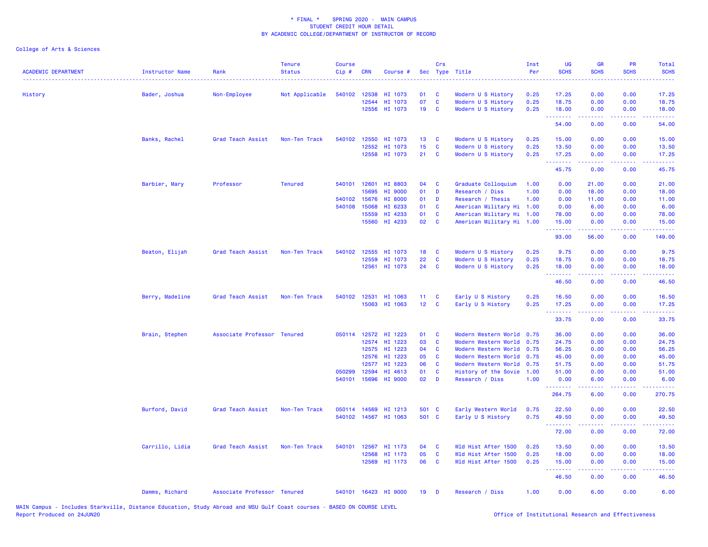| <b>ACADEMIC DEPARTMENT</b> | <b>Instructor Name</b> | Rank                        | <b>Tenure</b><br><b>Status</b> | <b>Course</b><br>Cip# | <b>CRN</b>     | Course #             |                 | Crs           | Sec Type Title                           | Inst<br>Per | UG<br><b>SCHS</b>   | <b>GR</b><br><b>SCHS</b>                                                                                                                                     | PR<br><b>SCHS</b> | Total<br><b>SCHS</b>                                                                                                                                           |
|----------------------------|------------------------|-----------------------------|--------------------------------|-----------------------|----------------|----------------------|-----------------|---------------|------------------------------------------|-------------|---------------------|--------------------------------------------------------------------------------------------------------------------------------------------------------------|-------------------|----------------------------------------------------------------------------------------------------------------------------------------------------------------|
| History                    | Bader, Joshua          | Non-Employee                | Not Applicable                 |                       | 540102 12538   | HI 1073              | 01              | <b>C</b>      | Modern U S History                       | 0.25        | 17.25               | 0.00                                                                                                                                                         | 0.00              | 17.25                                                                                                                                                          |
|                            |                        |                             |                                |                       | 12544          | HI 1073              | 07              | C             | Modern U S History                       | 0.25        | 18.75               | 0.00                                                                                                                                                         | 0.00              | 18.75                                                                                                                                                          |
|                            |                        |                             |                                |                       | 12556          | HI 1073              | 19              | C             | Modern U S History                       | 0.25        | 18.00<br>.          | 0.00<br>$\frac{1}{2} \left( \frac{1}{2} \right) \left( \frac{1}{2} \right) \left( \frac{1}{2} \right) \left( \frac{1}{2} \right) \left( \frac{1}{2} \right)$ | 0.00<br>.         | 18.00<br>.                                                                                                                                                     |
|                            |                        |                             |                                |                       |                |                      |                 |               |                                          |             | 54.00               | 0.00                                                                                                                                                         | 0.00              | 54.00                                                                                                                                                          |
|                            | Banks, Rachel          | Grad Teach Assist           | Non-Ten Track                  |                       | 540102 12550   | HI 1073              | 13 <sup>°</sup> | <b>C</b>      | Modern U S History                       | 0.25        | 15.00               | 0.00                                                                                                                                                         | 0.00              | 15.00                                                                                                                                                          |
|                            |                        |                             |                                |                       | 12552          | HI 1073              | 15              | C             | Modern U S History                       | 0.25        | 13.50               | 0.00                                                                                                                                                         | 0.00              | 13.50                                                                                                                                                          |
|                            |                        |                             |                                |                       | 12558          | HI 1073              | 21              | C             | Modern U S History                       | 0.25        | 17.25<br>.          | 0.00<br>$\frac{1}{2} \left( \frac{1}{2} \right) \left( \frac{1}{2} \right) \left( \frac{1}{2} \right) \left( \frac{1}{2} \right) \left( \frac{1}{2} \right)$ | 0.00              | 17.25<br>.                                                                                                                                                     |
|                            |                        |                             |                                |                       |                |                      |                 |               |                                          |             | 45.75               | 0.00                                                                                                                                                         | 0.00              | 45.75                                                                                                                                                          |
|                            | Barbier, Mary          | Professor                   | <b>Tenured</b>                 |                       | 540101 12601   | HI 8803              | 04              | C             | Graduate Colloquium                      | 1.00        | 0.00                | 21.00                                                                                                                                                        | 0.00              | 21.00                                                                                                                                                          |
|                            |                        |                             |                                |                       | 15695          | HI 9000              | 01              | D             | Research / Diss                          | 1.00        | 0.00                | 18.00                                                                                                                                                        | 0.00              | 18.00                                                                                                                                                          |
|                            |                        |                             |                                |                       | 540102 15676   | <b>HI 8000</b>       | 01              | D             | Research / Thesis                        | 1.00        | 0.00                | 11.00                                                                                                                                                        | 0.00              | 11.00                                                                                                                                                          |
|                            |                        |                             |                                |                       | 540108 15068   | HI 6233              | 01              | C             | American Military Hi 1.00                |             | 0.00                | 6.00                                                                                                                                                         | 0.00              | 6.00                                                                                                                                                           |
|                            |                        |                             |                                |                       | 15559          | HI 4233              | 01              | C             | American Military Hi 1.00                |             | 78.00               | 0.00                                                                                                                                                         | 0.00              | 78.00                                                                                                                                                          |
|                            |                        |                             |                                |                       | 15560          | HI 4233              | 02              | C             | American Military Hi 1.00                |             | 15.00<br>.          | 0.00<br>.                                                                                                                                                    | 0.00<br>.         | 15.00<br>22222                                                                                                                                                 |
|                            |                        |                             |                                |                       |                |                      |                 |               |                                          |             | 93.00               | 56.00                                                                                                                                                        | 0.00              | 149.00                                                                                                                                                         |
|                            | Beaton, Elijah         | Grad Teach Assist           | Non-Ten Track                  | 540102                | 12555          | HI 1073              | 18              | C             | Modern U S History                       | 0.25        | 9.75                | 0.00                                                                                                                                                         | 0.00              | 9.75                                                                                                                                                           |
|                            |                        |                             |                                |                       | 12559          | HI 1073              | 22              | C             | Modern U S History                       | 0.25        | 18.75               | 0.00                                                                                                                                                         | 0.00              | 18.75                                                                                                                                                          |
|                            |                        |                             |                                |                       | 12561          | HI 1073              | 24              | C             | Modern U S History                       | 0.25        | 18.00               | 0.00                                                                                                                                                         | 0.00              | 18.00                                                                                                                                                          |
|                            |                        |                             |                                |                       |                |                      |                 |               |                                          |             | .<br>46.50          | 0.00                                                                                                                                                         | 0.00              | وعاعاها<br>46.50                                                                                                                                               |
|                            | Berry, Madeline        | Grad Teach Assist           | Non-Ten Track                  |                       | 540102 12531   | HI 1063              | 11              | C             | Early U S History                        | 0.25        | 16.50               | 0.00                                                                                                                                                         | 0.00              | 16.50                                                                                                                                                          |
|                            |                        |                             |                                |                       | 15063          | HI 1063              | 12 <sub>2</sub> | $\mathbf{C}$  | Early U S History                        | 0.25        | 17.25               | 0.00                                                                                                                                                         | 0.00              | 17.25                                                                                                                                                          |
|                            |                        |                             |                                |                       |                |                      |                 |               |                                          |             | . <b>.</b><br>33.75 | $\frac{1}{2} \left( \frac{1}{2} \right) \left( \frac{1}{2} \right) \left( \frac{1}{2} \right) \left( \frac{1}{2} \right) \left( \frac{1}{2} \right)$<br>0.00 | .<br>0.00         | .<br>33.75                                                                                                                                                     |
|                            |                        |                             |                                |                       |                |                      |                 |               |                                          |             |                     |                                                                                                                                                              |                   |                                                                                                                                                                |
|                            | Brain, Stephen         | Associate Professor Tenured |                                |                       | 050114 12572   | HI 1223              | 01              | <b>C</b>      | Modern Western World                     | 0.75        | 36.00               | 0.00                                                                                                                                                         | 0.00              | 36.00                                                                                                                                                          |
|                            |                        |                             |                                |                       | 12574          | HI 1223              | 03<br>04        | C<br><b>C</b> | Modern Western World                     | 0.75        | 24.75               | 0.00                                                                                                                                                         | 0.00              | 24.75                                                                                                                                                          |
|                            |                        |                             |                                |                       | 12575<br>12576 | HI 1223<br>HI 1223   | 05              | C             | Modern Western World                     | 0.75        | 56.25<br>45.00      | 0.00<br>0.00                                                                                                                                                 | 0.00<br>0.00      | 56.25<br>45.00                                                                                                                                                 |
|                            |                        |                             |                                |                       | 12577          | HI 1223              | 06              | C             | Modern Western World 0.75                | 0.75        | 51.75               | 0.00                                                                                                                                                         | 0.00              | 51.75                                                                                                                                                          |
|                            |                        |                             |                                | 050299                | 12594          | HI 4613              | 01              | <b>C</b>      | Modern Western World                     | 1.00        | 51.00               | 0.00                                                                                                                                                         | 0.00              | 51.00                                                                                                                                                          |
|                            |                        |                             |                                |                       | 540101 15696   | <b>HI 9000</b>       | 02              | D             | History of the Sovie<br>Research / Diss  | 1.00        | 0.00                | 6.00                                                                                                                                                         | 0.00              | 6.00                                                                                                                                                           |
|                            |                        |                             |                                |                       |                |                      |                 |               |                                          |             | .<br>264.75         | .<br>6.00                                                                                                                                                    | 0.00              | $\frac{1}{2} \left( \frac{1}{2} \right) \left( \frac{1}{2} \right) \left( \frac{1}{2} \right) \left( \frac{1}{2} \right) \left( \frac{1}{2} \right)$<br>270.75 |
|                            |                        |                             |                                |                       | 050114 14569   | HI 1213              | 501 C           |               |                                          | 0.75        | 22.50               | 0.00                                                                                                                                                         | 0.00              | 22.50                                                                                                                                                          |
|                            | Burford, David         | Grad Teach Assist           | Non-Ten Track                  |                       |                | 540102 14567 HI 1063 | 501 C           |               | Early Western World<br>Early U S History | 0.75        | 49.50               | 0.00                                                                                                                                                         | 0.00              |                                                                                                                                                                |
|                            |                        |                             |                                |                       |                |                      |                 |               |                                          |             | .                   | <u>.</u>                                                                                                                                                     | .                 | 49.50<br>.                                                                                                                                                     |
|                            |                        |                             |                                |                       |                |                      |                 |               |                                          |             | 72.00               | 0.00                                                                                                                                                         | 0.00              | 72.00                                                                                                                                                          |
|                            | Carrillo, Lidia        | Grad Teach Assist           | Non-Ten Track                  | 540101                | 12567          | HI 1173              | 04              | C             | Wld Hist After 1500                      | 0.25        | 13.50               | 0.00                                                                                                                                                         | 0.00              | 13.50                                                                                                                                                          |
|                            |                        |                             |                                |                       | 12568          | HI 1173              | 05              | C             | Wld Hist After 1500                      | 0.25        | 18.00               | 0.00                                                                                                                                                         | 0.00              | 18.00                                                                                                                                                          |
|                            |                        |                             |                                |                       | 12569          | HI 1173              | 06              | C             | Wld Hist After 1500                      | 0.25        | 15.00<br><u>.</u>   | 0.00<br>-----                                                                                                                                                | 0.00              | 15.00<br>المتمام المالي                                                                                                                                        |
|                            |                        |                             |                                |                       |                |                      |                 |               |                                          |             | 46.50               | 0.00                                                                                                                                                         | 0.00              | 46.50                                                                                                                                                          |
|                            | Damms, Richard         | Associate Professor Tenured |                                |                       |                | 540101 16423 HI 9000 | 19              | D             | Research / Diss                          | 1.00        | 0.00                | 6.00                                                                                                                                                         | 0.00              | 6.00                                                                                                                                                           |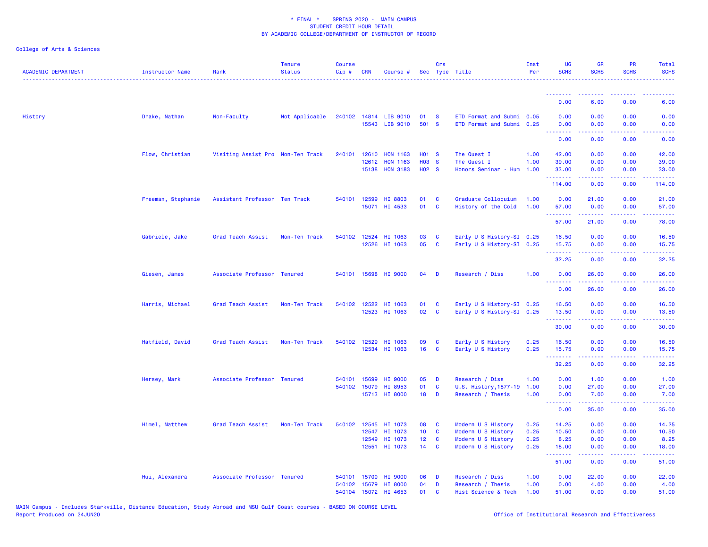| <b>ACADEMIC DEPARTMENT</b> | Instructor Name    | Rank                              | <b>Tenure</b><br><b>Status</b> | Course<br>Cip# | <b>CRN</b>            | Course #                                |                                   | Crs                          | Sec Type Title                                         | Inst<br>Per  | <b>UG</b><br><b>SCHS</b>                                                                                                                                                                                                                                                                                                                                                                                                                                                               | GR<br><b>SCHS</b>                                                                                                                                            | PR<br><b>SCHS</b>                                                                               | <b>Total</b><br><b>SCHS</b> |
|----------------------------|--------------------|-----------------------------------|--------------------------------|----------------|-----------------------|-----------------------------------------|-----------------------------------|------------------------------|--------------------------------------------------------|--------------|----------------------------------------------------------------------------------------------------------------------------------------------------------------------------------------------------------------------------------------------------------------------------------------------------------------------------------------------------------------------------------------------------------------------------------------------------------------------------------------|--------------------------------------------------------------------------------------------------------------------------------------------------------------|-------------------------------------------------------------------------------------------------|-----------------------------|
|                            |                    |                                   |                                |                |                       |                                         |                                   |                              |                                                        |              | $\begin{array}{cccccccccccccc} \multicolumn{2}{c}{} & \multicolumn{2}{c}{} & \multicolumn{2}{c}{} & \multicolumn{2}{c}{} & \multicolumn{2}{c}{} & \multicolumn{2}{c}{} & \multicolumn{2}{c}{} & \multicolumn{2}{c}{} & \multicolumn{2}{c}{} & \multicolumn{2}{c}{} & \multicolumn{2}{c}{} & \multicolumn{2}{c}{} & \multicolumn{2}{c}{} & \multicolumn{2}{c}{} & \multicolumn{2}{c}{} & \multicolumn{2}{c}{} & \multicolumn{2}{c}{} & \multicolumn{2}{c}{} & \multicolumn{2}{c}{} & \$ |                                                                                                                                                              |                                                                                                 |                             |
|                            |                    |                                   |                                |                |                       |                                         |                                   |                              |                                                        |              | 0.00                                                                                                                                                                                                                                                                                                                                                                                                                                                                                   | 6.00                                                                                                                                                         | 0.00                                                                                            | 6.00                        |
| History                    | Drake, Nathan      | Non-Faculty                       | Not Applicable                 |                |                       | 240102 14814 LIB 9010<br>15543 LIB 9010 | 01 S<br>501 S                     |                              | ETD Format and Submi 0.05<br>ETD Format and Submi 0.25 |              | 0.00<br>0.00<br>$\sim$ $\sim$ $\sim$ $\sim$                                                                                                                                                                                                                                                                                                                                                                                                                                            | 0.00<br>0.00<br>$\sim$ $\sim$ $\sim$ $\sim$                                                                                                                  | 0.00<br>0.00                                                                                    | 0.00<br>0.00                |
|                            |                    |                                   |                                |                |                       |                                         |                                   |                              |                                                        |              | 0.00                                                                                                                                                                                                                                                                                                                                                                                                                                                                                   | 0.00                                                                                                                                                         | 0.00                                                                                            | 0.00                        |
|                            | Flow, Christian    | Visiting Assist Pro Non-Ten Track |                                |                | 240101 12610          | <b>HON 1163</b>                         | <b>HO1 S</b>                      |                              | The Quest I                                            | 1.00         | 42.00                                                                                                                                                                                                                                                                                                                                                                                                                                                                                  | 0.00                                                                                                                                                         | 0.00                                                                                            | 42.00                       |
|                            |                    |                                   |                                |                | 12612                 | <b>HON 1163</b><br>15138 HON 3183       | <b>HO3 S</b><br>H <sub>02</sub> S |                              | The Quest I<br>Honors Seminar - Hum                    | 1.00<br>1.00 | 39.00<br>33.00                                                                                                                                                                                                                                                                                                                                                                                                                                                                         | 0.00<br>0.00                                                                                                                                                 | 0.00<br>0.00                                                                                    | 39.00<br>33.00              |
|                            |                    |                                   |                                |                |                       |                                         |                                   |                              |                                                        |              | .<br>114.00                                                                                                                                                                                                                                                                                                                                                                                                                                                                            | $\frac{1}{2} \left( \frac{1}{2} \right) \left( \frac{1}{2} \right) \left( \frac{1}{2} \right) \left( \frac{1}{2} \right) \left( \frac{1}{2} \right)$<br>0.00 | .<br>0.00                                                                                       | 114.00                      |
|                            | Freeman, Stephanie | Assistant Professor Ten Track     |                                |                | 540101 12599          | HI 8803                                 | 01                                | $\mathbf{C}$                 | Graduate Colloquium                                    | 1.00         | 0.00                                                                                                                                                                                                                                                                                                                                                                                                                                                                                   | 21.00                                                                                                                                                        | 0.00                                                                                            | 21.00                       |
|                            |                    |                                   |                                |                |                       | 15071 HI 4533                           | 01                                | $\overline{\mathbf{C}}$      | History of the Cold                                    | 1.00         | 57.00<br>.                                                                                                                                                                                                                                                                                                                                                                                                                                                                             | 0.00<br>$- - - - - - -$                                                                                                                                      | 0.00<br>.                                                                                       | 57.00<br>.                  |
|                            |                    |                                   |                                |                |                       |                                         |                                   |                              |                                                        |              | 57.00                                                                                                                                                                                                                                                                                                                                                                                                                                                                                  | 21.00                                                                                                                                                        | 0.00                                                                                            | 78.00                       |
|                            | Gabriele, Jake     | Grad Teach Assist                 | Non-Ten Track                  | 540102         | 12524                 | HI 1063<br>12526 HI 1063                | 03<br>05                          | $\mathbf{C}$<br>$\mathbf{C}$ | Early U S History-SI 0.25<br>Early U S History-SI 0.25 |              | 16.50<br>15.75                                                                                                                                                                                                                                                                                                                                                                                                                                                                         | 0.00<br>0.00                                                                                                                                                 | 0.00<br>0.00                                                                                    | 16.50<br>15.75              |
|                            |                    |                                   |                                |                |                       |                                         |                                   |                              |                                                        |              | <u>.</u><br>32.25                                                                                                                                                                                                                                                                                                                                                                                                                                                                      | 0.00                                                                                                                                                         | 0.00                                                                                            | 32.25                       |
|                            | Giesen, James      | Associate Professor Tenured       |                                |                |                       | 540101 15698 HI 9000                    | 04                                | $\mathbf{D}$                 | Research / Diss                                        | 1.00         | 0.00                                                                                                                                                                                                                                                                                                                                                                                                                                                                                   | 26.00                                                                                                                                                        | 0.00                                                                                            | 26.00                       |
|                            |                    |                                   |                                |                |                       |                                         |                                   |                              |                                                        |              | $\sim$ $\sim$ $\sim$<br>0.00                                                                                                                                                                                                                                                                                                                                                                                                                                                           | 26.00                                                                                                                                                        | 0.00                                                                                            | 26.00                       |
|                            | Harris, Michael    | Grad Teach Assist                 | Non-Ten Track                  |                | 540102 12522          | HI 1063                                 | 01                                | $\mathbf{C}$                 | Early U S History-SI 0.25                              |              | 16.50                                                                                                                                                                                                                                                                                                                                                                                                                                                                                  | 0.00                                                                                                                                                         | 0.00                                                                                            | 16.50                       |
|                            |                    |                                   |                                |                |                       | 12523 HI 1063                           | 02                                | $\mathbf{C}$                 | Early U S History-SI 0.25                              |              | 13.50<br>.                                                                                                                                                                                                                                                                                                                                                                                                                                                                             | 0.00<br><b><i><u></u></i></b>                                                                                                                                | 0.00<br>.                                                                                       | 13.50<br>.                  |
|                            |                    |                                   |                                |                |                       |                                         |                                   |                              |                                                        |              | 30.00                                                                                                                                                                                                                                                                                                                                                                                                                                                                                  | 0.00                                                                                                                                                         | 0.00                                                                                            | 30.00                       |
|                            | Hatfield, David    | Grad Teach Assist                 | Non-Ten Track                  | 540102         | 12529                 | HI 1063<br>12534 HI 1063                | 09<br>16                          | $\mathbf{C}$<br>$\mathbf{C}$ | Early U S History<br>Early U S History                 | 0.25<br>0.25 | 16.50<br>15.75                                                                                                                                                                                                                                                                                                                                                                                                                                                                         | 0.00<br>0.00                                                                                                                                                 | 0.00<br>0.00                                                                                    | 16.50<br>15.75              |
|                            |                    |                                   |                                |                |                       |                                         |                                   |                              |                                                        |              | .<br>32.25                                                                                                                                                                                                                                                                                                                                                                                                                                                                             | 0.00                                                                                                                                                         | 0.00                                                                                            | 32.25                       |
|                            |                    |                                   |                                |                |                       |                                         |                                   |                              |                                                        |              |                                                                                                                                                                                                                                                                                                                                                                                                                                                                                        |                                                                                                                                                              |                                                                                                 |                             |
|                            | Hersey, Mark       | Associate Professor Tenured       |                                | 540101         | 15699<br>540102 15079 | HI 9000<br>HI 8953                      | 05<br>01                          | <b>D</b><br>$\mathbf{C}$     | Research / Diss<br>U.S. History, 1877-19               | 1.00<br>1.00 | 0.00<br>0.00                                                                                                                                                                                                                                                                                                                                                                                                                                                                           | 1.00<br>27.00                                                                                                                                                | 0.00<br>0.00                                                                                    | 1.00<br>27.00               |
|                            |                    |                                   |                                |                |                       | 15713 HI 8000                           | 18                                | D                            | Research / Thesis                                      | 1.00         | 0.00<br><b><i><u><u> - - - - - - -</u></u></i></b>                                                                                                                                                                                                                                                                                                                                                                                                                                     | 7.00<br>.                                                                                                                                                    | 0.00<br>-----                                                                                   | 7.00                        |
|                            |                    |                                   |                                |                |                       |                                         |                                   |                              |                                                        |              | 0.00                                                                                                                                                                                                                                                                                                                                                                                                                                                                                   | 35.00                                                                                                                                                        | 0.00                                                                                            | .<br>35.00                  |
|                            | Himel, Matthew     | Grad Teach Assist                 | Non-Ten Track                  |                | 540102 12545          | HI 1073                                 | 08                                | $\mathbf{C}$                 | Modern U S History                                     | 0.25         | 14.25                                                                                                                                                                                                                                                                                                                                                                                                                                                                                  | 0.00                                                                                                                                                         | 0.00                                                                                            | 14.25                       |
|                            |                    |                                   |                                |                | 12547                 | HI 1073                                 | 10 <sub>1</sub>                   | $\mathbf{C}$                 | Modern U S History                                     | 0.25         | 10.50                                                                                                                                                                                                                                                                                                                                                                                                                                                                                  | 0.00                                                                                                                                                         | 0.00                                                                                            | 10.50                       |
|                            |                    |                                   |                                |                | 12549<br>12551        | HI 1073<br>HI 1073                      | 12 <sub>2</sub><br>$14$ C         | $\mathbf{C}$                 | Modern U S History<br>Modern U S History               | 0.25<br>0.25 | 8.25<br>18.00                                                                                                                                                                                                                                                                                                                                                                                                                                                                          | 0.00<br>0.00                                                                                                                                                 | 0.00<br>0.00                                                                                    | 8.25<br>18.00               |
|                            |                    |                                   |                                |                |                       |                                         |                                   |                              |                                                        |              | .<br>51.00                                                                                                                                                                                                                                                                                                                                                                                                                                                                             | <b>Sandar</b><br>0.00                                                                                                                                        | $\mathbf{L}^{\prime} = \mathbf{L}^{\prime} + \mathbf{L}^{\prime} + \mathbf{L}^{\prime}$<br>0.00 | .<br>51.00                  |
|                            | Hui, Alexandra     | Associate Professor Tenured       |                                | 540101         | 15700                 | <b>HI 9000</b>                          | 06                                | D                            | Research / Diss                                        | 1.00         | 0.00                                                                                                                                                                                                                                                                                                                                                                                                                                                                                   | 22.00                                                                                                                                                        | 0.00                                                                                            | 22.00                       |
|                            |                    |                                   |                                |                |                       | 540102 15679 HI 8000                    | 04                                | D                            | Research / Thesis                                      | 1.00         | 0.00                                                                                                                                                                                                                                                                                                                                                                                                                                                                                   | 4.00<br>0.00                                                                                                                                                 | 0.00                                                                                            | 4.00                        |
|                            |                    |                                   |                                | 540104         |                       | 15072 HI 4653                           | 01                                | C                            | Hist Science & Tech                                    | 1.00         | 51.00                                                                                                                                                                                                                                                                                                                                                                                                                                                                                  |                                                                                                                                                              | 0.00                                                                                            | 51.00                       |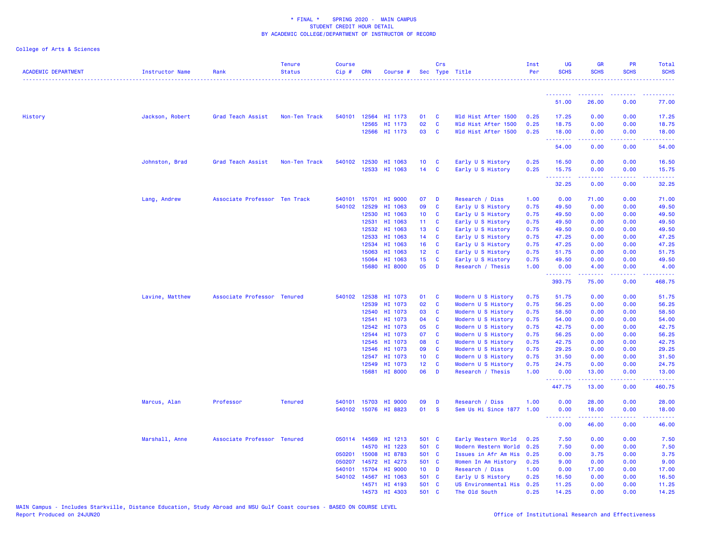| <b>ACADEMIC DEPARTMENT</b> | Instructor Name | Rank                          | <b>Tenure</b><br><b>Status</b> | <b>Course</b><br>Cip# | <b>CRN</b>     | Course #             |                                     | Crs                      | Sec Type Title                           | Inst<br>Per  | UG<br><b>SCHS</b>     | <b>GR</b><br><b>SCHS</b>                                                                                                                                      | <b>PR</b><br><b>SCHS</b> | Total<br><b>SCHS</b> |
|----------------------------|-----------------|-------------------------------|--------------------------------|-----------------------|----------------|----------------------|-------------------------------------|--------------------------|------------------------------------------|--------------|-----------------------|---------------------------------------------------------------------------------------------------------------------------------------------------------------|--------------------------|----------------------|
|                            |                 |                               |                                |                       |                |                      |                                     |                          |                                          |              | <u>.</u>              |                                                                                                                                                               |                          |                      |
|                            |                 |                               |                                |                       |                |                      |                                     |                          |                                          |              | 51.00                 | 26.00                                                                                                                                                         | 0.00                     | 77.00                |
| History                    | Jackson, Robert | Grad Teach Assist             | Non-Ten Track                  |                       | 540101 12564   | HI 1173              | 01                                  | $\mathbf{C}$             | Wld Hist After 1500                      | 0.25         | 17.25                 | 0.00                                                                                                                                                          | 0.00                     | 17.25                |
|                            |                 |                               |                                |                       | 12565          | HI 1173              | 02                                  | $\mathbf{C}$             | Wld Hist After 1500                      | 0.25         | 18.75                 | 0.00                                                                                                                                                          | 0.00                     | 18.75                |
|                            |                 |                               |                                |                       |                | 12566 HI 1173        | 03                                  | $\mathbf{C}$             | Wld Hist After 1500                      | 0.25         | 18.00<br><u>.</u>     | 0.00<br>المستمال                                                                                                                                              | 0.00<br>بالأباب          | 18.00<br>بالأباليات  |
|                            |                 |                               |                                |                       |                |                      |                                     |                          |                                          |              | 54.00                 | 0.00                                                                                                                                                          | 0.00                     | 54.00                |
|                            | Johnston, Brad  | Grad Teach Assist             | Non-Ten Track                  |                       | 540102 12530   | HI 1063              | 10 <sup>°</sup>                     | $\mathbf{C}$             | Early U S History                        | 0.25         | 16.50                 | 0.00                                                                                                                                                          | 0.00                     | 16.50                |
|                            |                 |                               |                                |                       | 12533          | HI 1063              | $14$ C                              |                          | Early U S History                        | 0.25         | 15.75<br>.            | 0.00<br><b>.</b>                                                                                                                                              | 0.00<br>.                | 15.75<br>.           |
|                            |                 |                               |                                |                       |                |                      |                                     |                          |                                          |              | 32.25                 | 0.00                                                                                                                                                          | 0.00                     | 32.25                |
|                            | Lang, Andrew    | Associate Professor Ten Track |                                | 540101                | 15701          | HI 9000              | 07                                  | <b>D</b>                 | Research / Diss                          | 1.00         | 0.00                  | 71.00                                                                                                                                                         | 0.00                     | 71.00                |
|                            |                 |                               |                                |                       | 540102 12529   | HI 1063              | 09                                  | $\mathbf{C}$             | Early U S History                        | 0.75         | 49.50                 | 0.00                                                                                                                                                          | 0.00                     | 49.50                |
|                            |                 |                               |                                |                       | 12530          | HI 1063              | 10                                  | <b>C</b>                 | Early U S History                        | 0.75         | 49.50                 | 0.00                                                                                                                                                          | 0.00                     | 49.50                |
|                            |                 |                               |                                |                       | 12531          | HI 1063              | 11 <sub>1</sub>                     | $\mathbf{C}$             | Early U S History                        | 0.75         | 49.50                 | 0.00                                                                                                                                                          | 0.00                     | 49.50<br>49.50       |
|                            |                 |                               |                                |                       | 12532<br>12533 | HI 1063<br>HI 1063   | 13 <sup>°</sup><br>14 <sup>14</sup> | <b>C</b><br>$\mathbf{C}$ | Early U S History<br>Early U S History   | 0.75<br>0.75 | 49.50<br>47.25        | 0.00<br>0.00                                                                                                                                                  | 0.00<br>0.00             | 47.25                |
|                            |                 |                               |                                |                       | 12534          | HI 1063              | 16                                  | $\mathbf{C}$             | Early U S History                        | 0.75         | 47.25                 | 0.00                                                                                                                                                          | 0.00                     | 47.25                |
|                            |                 |                               |                                |                       | 15063          | HI 1063              | 12 <sub>1</sub>                     | <b>C</b>                 | Early U S History                        | 0.75         | 51.75                 | 0.00                                                                                                                                                          | 0.00                     | 51.75                |
|                            |                 |                               |                                |                       | 15064          | HI 1063              | 15                                  | <b>C</b>                 | Early U S History                        | 0.75         | 49.50                 | 0.00                                                                                                                                                          | 0.00                     | 49.50                |
|                            |                 |                               |                                |                       | 15680          | HI 8000              | 05                                  | D                        | Research / Thesis                        | 1.00         | 0.00                  | 4.00                                                                                                                                                          | 0.00                     | 4.00                 |
|                            |                 |                               |                                |                       |                |                      |                                     |                          |                                          |              | .<br>393.75           | $\frac{1}{2} \left( \frac{1}{2} \right) \left( \frac{1}{2} \right) \left( \frac{1}{2} \right) \left( \frac{1}{2} \right) \left( \frac{1}{2} \right)$<br>75.00 | .<br>0.00                | <u>.</u><br>468.75   |
|                            | Lavine, Matthew | Associate Professor Tenured   |                                | 540102                | 12538          | HI 1073              | 01                                  | $\mathbf{C}$             | Modern U S History                       | 0.75         | 51.75                 | 0.00                                                                                                                                                          | 0.00                     | 51.75                |
|                            |                 |                               |                                |                       | 12539          | HI 1073              | 02                                  | <b>C</b>                 | Modern U S History                       | 0.75         | 56.25                 | 0.00                                                                                                                                                          | 0.00                     | 56.25                |
|                            |                 |                               |                                |                       | 12540          | HI 1073              | 03                                  | <b>C</b>                 | Modern U S History                       | 0.75         | 58.50                 | 0.00                                                                                                                                                          | 0.00                     | 58.50                |
|                            |                 |                               |                                |                       | 12541          | HI 1073              | 04                                  | $\mathbf{C}$             | Modern U S History                       | 0.75         | 54.00                 | 0.00                                                                                                                                                          | 0.00                     | 54.00                |
|                            |                 |                               |                                |                       | 12542          | HI 1073              | 05                                  | <b>C</b>                 | Modern U S History                       | 0.75         | 42.75                 | 0.00                                                                                                                                                          | 0.00                     | 42.75                |
|                            |                 |                               |                                |                       | 12544          | HI 1073              | 07                                  | <b>C</b>                 | Modern U S History                       | 0.75         | 56.25                 | 0.00                                                                                                                                                          | 0.00                     | 56.25                |
|                            |                 |                               |                                |                       | 12545          | HI 1073              | 80                                  | <b>C</b>                 | Modern U S History                       | 0.75         | 42.75                 | 0.00                                                                                                                                                          | 0.00                     | 42.75                |
|                            |                 |                               |                                |                       | 12546<br>12547 | HI 1073<br>HI 1073   | 09<br>10 <sup>°</sup>               | <b>C</b><br><b>C</b>     | Modern U S History                       | 0.75<br>0.75 | 29.25<br>31.50        | 0.00<br>0.00                                                                                                                                                  | 0.00<br>0.00             | 29.25<br>31.50       |
|                            |                 |                               |                                |                       | 12549          | HI 1073              | 12 <sup>°</sup>                     | <b>C</b>                 | Modern U S History<br>Modern U S History | 0.75         | 24.75                 | 0.00                                                                                                                                                          | 0.00                     | 24.75                |
|                            |                 |                               |                                |                       | 15681          | HI 8000              | 06                                  | D                        | Research / Thesis                        | 1.00         | 0.00                  | 13.00                                                                                                                                                         | 0.00                     | 13.00                |
|                            |                 |                               |                                |                       |                |                      |                                     |                          |                                          |              | <b></b><br>447.75     | المتمام المتمار<br>13.00                                                                                                                                      | .<br>0.00                | <u>.</u><br>460.75   |
|                            | Marcus, Alan    | Professor                     | <b>Tenured</b>                 |                       | 540101 15703   | HI 9000              | 09                                  | <b>D</b>                 | Research / Diss                          | 1.00         | 0.00                  | 28.00                                                                                                                                                         | 0.00                     | 28.00                |
|                            |                 |                               |                                |                       |                | 540102 15076 HI 8823 | 01                                  | <b>S</b>                 | Sem Us Hi Since 1877 1.00                |              | 0.00                  | 18.00                                                                                                                                                         | 0.00                     | 18.00                |
|                            |                 |                               |                                |                       |                |                      |                                     |                          |                                          |              | 1.1.1.1.1.1.1<br>0.00 | .<br>46.00                                                                                                                                                    | .<br>0.00                | .<br>46.00           |
|                            | Marshall, Anne  | Associate Professor Tenured   |                                |                       | 050114 14569   | HI 1213              | 501 C                               |                          | Early Western World                      | 0.25         | 7.50                  | 0.00                                                                                                                                                          | 0.00                     | 7.50                 |
|                            |                 |                               |                                |                       | 14570          | HI 1223              | 501 C                               |                          | Modern Western World 0.25                |              | 7.50                  | 0.00                                                                                                                                                          | 0.00                     | 7.50                 |
|                            |                 |                               |                                | 050201                | 15008          | HI 8783              | 501 C                               |                          | Issues in Afr Am His                     | 0.25         | 0.00                  | 3.75                                                                                                                                                          | 0.00                     | 3.75                 |
|                            |                 |                               |                                | 050207                | 14572          | HI 4273              | 501 C                               |                          | Women In Am History                      | 0.25         | 9.00                  | 0.00                                                                                                                                                          | 0.00                     | 9.00                 |
|                            |                 |                               |                                |                       | 540101 15704   | HI 9000              | $10$ D                              |                          | Research / Diss                          | 1.00         | 0.00                  | 17.00                                                                                                                                                         | 0.00                     | 17.00                |
|                            |                 |                               |                                |                       | 540102 14567   | HI 1063              | 501 C                               |                          | Early U S History                        | 0.25         | 16.50                 | 0.00                                                                                                                                                          | 0.00                     | 16.50                |
|                            |                 |                               |                                |                       | 14571          | HI 4193              | 501 C                               |                          | US Environmental His 0.25                |              | 11.25                 | 0.00                                                                                                                                                          | 0.00                     | 11.25                |
|                            |                 |                               |                                |                       | 14573          | HI 4303              | 501 C                               |                          | The Old South                            | 0.25         | 14.25                 | 0.00                                                                                                                                                          | 0.00                     | 14.25                |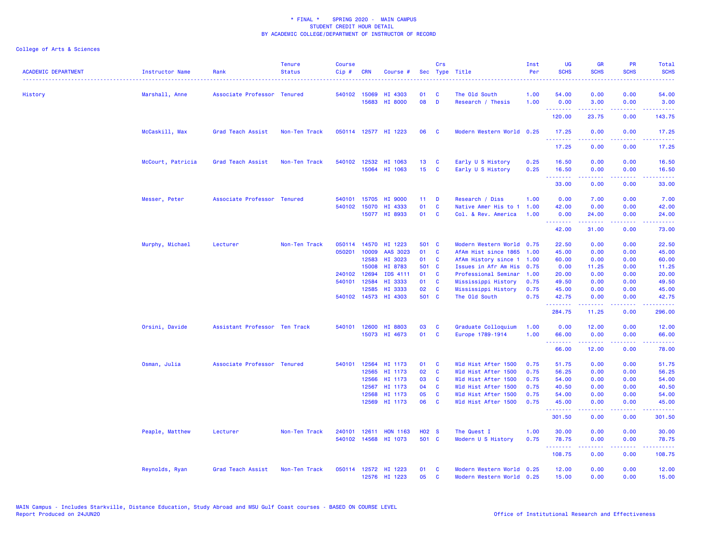| <b>ACADEMIC DEPARTMENT</b> | Instructor Name   | Rank                          | <b>Tenure</b><br><b>Status</b> | <b>Course</b><br>Cip# | <b>CRN</b>   | Course #                        |                   | Crs                     | Sec Type Title                              | Inst<br>Per  | <b>UG</b><br><b>SCHS</b> | <b>GR</b><br><b>SCHS</b>                                                                                                                                     | <b>PR</b><br><b>SCHS</b>            | Total<br><b>SCHS</b>                                                                                                                                                                     |
|----------------------------|-------------------|-------------------------------|--------------------------------|-----------------------|--------------|---------------------------------|-------------------|-------------------------|---------------------------------------------|--------------|--------------------------|--------------------------------------------------------------------------------------------------------------------------------------------------------------|-------------------------------------|------------------------------------------------------------------------------------------------------------------------------------------------------------------------------------------|
| History                    | Marshall, Anne    | Associate Professor Tenured   |                                |                       | 540102 15069 | HI 4303                         | 01                | C                       | The Old South                               | 1.00         | 54.00                    | 0.00                                                                                                                                                         | 0.00                                | 54.00                                                                                                                                                                                    |
|                            |                   |                               |                                |                       | 15683        | HI 8000                         | 08                | D                       | Research / Thesis                           | 1.00         | 0.00                     | 3.00                                                                                                                                                         | 0.00                                | 3.00                                                                                                                                                                                     |
|                            |                   |                               |                                |                       |              |                                 |                   |                         |                                             |              | .<br>120.00              | $\omega = \omega \left( \omega \right) \omega$<br>23.75                                                                                                      | $\sim$ $\sim$ $\sim$ $\sim$<br>0.00 | $\omega = \omega \omega + \omega$<br>143.75                                                                                                                                              |
|                            | McCaskill, Max    | Grad Teach Assist             | Non-Ten Track                  |                       |              | 050114 12577 HI 1223            | 06                | - C                     | Modern Western World 0.25                   |              | 17.25                    | 0.00                                                                                                                                                         | 0.00                                | 17.25                                                                                                                                                                                    |
|                            |                   |                               |                                |                       |              |                                 |                   |                         |                                             |              | <u>.</u><br>17.25        | 0.00                                                                                                                                                         | 0.00                                | 17.25                                                                                                                                                                                    |
|                            | McCourt, Patricia | Grad Teach Assist             | Non-Ten Track                  |                       | 540102 12532 | HI 1063                         | 13                | $\mathbf{C}$            | Early U S History                           | 0.25         | 16.50                    | 0.00                                                                                                                                                         | 0.00                                | 16.50                                                                                                                                                                                    |
|                            |                   |                               |                                |                       |              | 15064 HI 1063                   | 15 <sub>1</sub>   | $\overline{\mathbf{C}}$ | Early U S History                           | 0.25         | 16.50<br>.               | 0.00<br>$\frac{1}{2} \left( \frac{1}{2} \right) \left( \frac{1}{2} \right) \left( \frac{1}{2} \right) \left( \frac{1}{2} \right) \left( \frac{1}{2} \right)$ | 0.00<br>.                           | 16.50<br>.                                                                                                                                                                               |
|                            |                   |                               |                                |                       |              |                                 |                   |                         |                                             |              | 33.00                    | 0.00                                                                                                                                                         | 0.00                                | 33.00                                                                                                                                                                                    |
|                            | Messer, Peter     | Associate Professor Tenured   |                                | 540101                | 15705        | HI 9000                         | 11 <sub>1</sub>   | D                       | Research / Diss                             | 1.00         | 0.00                     | 7.00                                                                                                                                                         | 0.00                                | 7.00                                                                                                                                                                                     |
|                            |                   |                               |                                | 540102                | 15070        | HI 4333<br>15077 HI 8933        | 01<br>01          | <b>C</b><br><b>C</b>    | Native Amer His to 1<br>Col. & Rev. America | 1.00<br>1.00 | 42.00<br>0.00            | 0.00<br>24.00                                                                                                                                                | 0.00<br>0.00                        | 42.00<br>24.00                                                                                                                                                                           |
|                            |                   |                               |                                |                       |              |                                 |                   |                         |                                             |              | .                        | .                                                                                                                                                            | .                                   | .                                                                                                                                                                                        |
|                            |                   |                               |                                |                       |              |                                 |                   |                         |                                             |              | 42.00                    | 31.00                                                                                                                                                        | 0.00                                | 73.00                                                                                                                                                                                    |
|                            | Murphy, Michael   | Lecturer                      | Non-Ten Track                  | 050114                | 14570        | HI 1223                         | 501 C             |                         | Modern Western World 0.75                   |              | 22.50                    | 0.00                                                                                                                                                         | 0.00                                | 22.50                                                                                                                                                                                    |
|                            |                   |                               |                                | 050201                | 10009        | AAS 3023                        | 01                | <b>C</b>                | AfAm Hist since 1865                        | 1.00         | 45.00                    | 0.00                                                                                                                                                         | 0.00                                | 45.00                                                                                                                                                                                    |
|                            |                   |                               |                                |                       | 12583        | HI 3023                         | 01 C              |                         | AfAm History since 1 1.00                   |              | 60.00                    | 0.00                                                                                                                                                         | 0.00                                | 60.00                                                                                                                                                                                    |
|                            |                   |                               |                                |                       | 15008        | HI 8783                         | 501 C             |                         | Issues in Afr Am His                        | 0.75         | 0.00                     | 11.25                                                                                                                                                        | 0.00                                | 11.25                                                                                                                                                                                    |
|                            |                   |                               |                                |                       | 240102 12694 | IDS 4111                        | 01                | <b>C</b>                | Professional Seminar                        | 1.00         | 20.00                    | 0.00                                                                                                                                                         | 0.00                                | 20.00                                                                                                                                                                                    |
|                            |                   |                               |                                |                       | 540101 12584 | HI 3333                         | 01                | C                       | Mississippi History                         | 0.75         | 49.50                    | 0.00                                                                                                                                                         | 0.00                                | 49.50                                                                                                                                                                                    |
|                            |                   |                               |                                |                       | 12585        | HI 3333<br>540102 14573 HI 4303 | 02<br>501 C       | $\mathbf{C}$            | Mississippi History<br>The Old South        | 0.75<br>0.75 | 45.00<br>42.75           | 0.00<br>0.00                                                                                                                                                 | 0.00<br>0.00                        | 45.00<br>42.75                                                                                                                                                                           |
|                            |                   |                               |                                |                       |              |                                 |                   |                         |                                             |              | .<br>284.75              | بالمستمال<br>11.25                                                                                                                                           | 0.00                                | د د د د د د<br>296.00                                                                                                                                                                    |
|                            | Orsini, Davide    | Assistant Professor Ten Track |                                |                       | 540101 12600 | HI 8803                         | 03                | C                       | Graduate Colloquium                         | 1.00         | 0.00                     | 12.00                                                                                                                                                        | 0.00                                | 12.00                                                                                                                                                                                    |
|                            |                   |                               |                                |                       |              | 15073 HI 4673                   | 01                | <b>C</b>                | Europe 1789-1914                            | 1.00         | 66.00<br><u>.</u>        | 0.00<br><u>.</u>                                                                                                                                             | 0.00<br>. <b>.</b>                  | 66.00<br><u>.</u>                                                                                                                                                                        |
|                            |                   |                               |                                |                       |              |                                 |                   |                         |                                             |              | 66.00                    | 12.00                                                                                                                                                        | 0.00                                | 78.00                                                                                                                                                                                    |
|                            | Osman, Julia      | Associate Professor Tenured   |                                | 540101                | 12564        | HI 1173                         | 01                | <b>C</b>                | Wld Hist After 1500                         | 0.75         | 51.75                    | 0.00                                                                                                                                                         | 0.00                                | 51.75                                                                                                                                                                                    |
|                            |                   |                               |                                |                       | 12565        | HI 1173                         | 02                | $\mathbf{C}$            | Wld Hist After 1500                         | 0.75         | 56.25                    | 0.00                                                                                                                                                         | 0.00                                | 56.25                                                                                                                                                                                    |
|                            |                   |                               |                                |                       | 12566        | HI 1173                         | 03                | <b>C</b>                | Wld Hist After 1500                         | 0.75         | 54.00                    | 0.00                                                                                                                                                         | 0.00                                | 54.00                                                                                                                                                                                    |
|                            |                   |                               |                                |                       | 12567        | HI 1173                         | 04                | <b>C</b>                | Wld Hist After 1500                         | 0.75         | 40.50                    | 0.00                                                                                                                                                         | 0.00                                | 40.50                                                                                                                                                                                    |
|                            |                   |                               |                                |                       | 12568        | HI 1173                         | 05                | $\mathbf{C}$            | Wld Hist After 1500                         | 0.75         | 54.00                    | 0.00                                                                                                                                                         | 0.00                                | 54.00                                                                                                                                                                                    |
|                            |                   |                               |                                |                       | 12569        | HI 1173                         | 06                | $\mathbf{C}$            | Wld Hist After 1500                         | 0.75         | 45.00<br>.               | 0.00<br>$\frac{1}{2} \left( \frac{1}{2} \right) \left( \frac{1}{2} \right) \left( \frac{1}{2} \right) \left( \frac{1}{2} \right) \left( \frac{1}{2} \right)$ | 0.00<br>22222                       | 45.00<br>.                                                                                                                                                                               |
|                            |                   |                               |                                |                       |              |                                 |                   |                         |                                             |              | 301.50                   | 0.00                                                                                                                                                         | 0.00                                | 301.50                                                                                                                                                                                   |
|                            | Peaple, Matthew   | Lecturer                      | Non-Ten Track                  | 240101                | 12611        | <b>HON 1163</b>                 | H <sub>02</sub> S |                         | The Quest I                                 | 1.00         | 30.00                    | 0.00                                                                                                                                                         | 0.00                                | 30.00                                                                                                                                                                                    |
|                            |                   |                               |                                |                       |              | 540102 14568 HI 1073            | 501 C             |                         | Modern U S History                          | 0.75         | 78.75<br>.               | 0.00<br>$- - - - -$                                                                                                                                          | 0.00<br>.                           | 78.75<br>$\frac{1}{2} \left( \frac{1}{2} \right) \left( \frac{1}{2} \right) \left( \frac{1}{2} \right) \left( \frac{1}{2} \right) \left( \frac{1}{2} \right) \left( \frac{1}{2} \right)$ |
|                            |                   |                               |                                |                       |              |                                 |                   |                         |                                             |              | 108.75                   | 0.00                                                                                                                                                         | 0.00                                | 108.75                                                                                                                                                                                   |
|                            | Reynolds, Ryan    | Grad Teach Assist             | Non-Ten Track                  |                       |              | 050114 12572 HI 1223            | 01                | $\mathbf{C}$            | Modern Western World 0.25                   |              | 12.00                    | 0.00                                                                                                                                                         | 0.00                                | 12.00                                                                                                                                                                                    |
|                            |                   |                               |                                |                       |              | 12576 HI 1223                   | 05                | $\mathbf{C}$            | Modern Western World 0.25                   |              | 15.00                    | 0.00                                                                                                                                                         | 0.00                                | 15.00                                                                                                                                                                                    |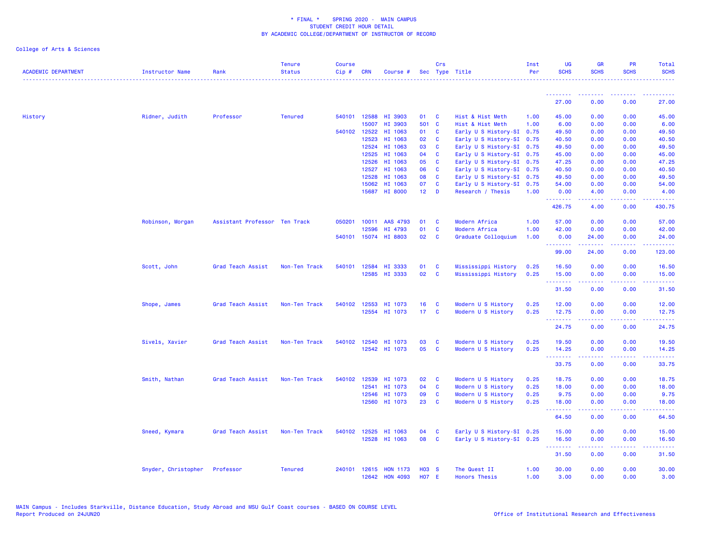| <b>ACADEMIC DEPARTMENT</b> | Instructor Name     | Rank                          | <b>Tenure</b><br><b>Status</b> | <b>Course</b><br>Cip# | <b>CRN</b>   | Course #                 |                 | Crs                      | Sec Type Title                           | Inst<br>Per  | <b>UG</b><br><b>SCHS</b> | <b>GR</b><br><b>SCHS</b>                                                                                                          | PR<br><b>SCHS</b> | Total<br><b>SCHS</b> |
|----------------------------|---------------------|-------------------------------|--------------------------------|-----------------------|--------------|--------------------------|-----------------|--------------------------|------------------------------------------|--------------|--------------------------|-----------------------------------------------------------------------------------------------------------------------------------|-------------------|----------------------|
|                            |                     |                               |                                |                       |              |                          |                 |                          |                                          |              | <u> - - - - - - - -</u>  |                                                                                                                                   |                   |                      |
|                            |                     |                               |                                |                       |              |                          |                 |                          |                                          |              | 27.00                    | 0.00                                                                                                                              | 0.00              | 27.00                |
| History                    | Ridner, Judith      | Professor                     | <b>Tenured</b>                 |                       | 540101 12588 | HI 3903                  | 01 C            |                          | Hist & Hist Meth                         | 1.00         | 45.00                    | 0.00                                                                                                                              | 0.00              | 45.00                |
|                            |                     |                               |                                |                       | 15007        | HI 3903                  | 501 C           |                          | Hist & Hist Meth                         | 1.00         | 6.00                     | 0.00                                                                                                                              | 0.00              | 6.00                 |
|                            |                     |                               |                                |                       | 540102 12522 | HI 1063                  | 01 C            |                          | Early U S History-SI 0.75                |              | 49.50                    | 0.00                                                                                                                              | 0.00              | 49.50                |
|                            |                     |                               |                                |                       | 12523        | HI 1063                  | 02              | $\mathbf{C}$             | Early U S History-SI 0.75                |              | 40.50                    | 0.00                                                                                                                              | 0.00              | 40.50                |
|                            |                     |                               |                                |                       | 12524        | HI 1063                  | 03              | $\mathbf{C}$             | Early U S History-SI 0.75                |              | 49.50                    | 0.00                                                                                                                              | 0.00              | 49.50                |
|                            |                     |                               |                                |                       | 12525        | HI 1063                  | 04              | <b>C</b>                 | Early U S History-SI 0.75                |              | 45.00                    | 0.00                                                                                                                              | 0.00              | 45.00                |
|                            |                     |                               |                                |                       | 12526        | HI 1063                  | 05              | <b>C</b>                 | Early U S History-SI 0.75                |              | 47.25                    | 0.00                                                                                                                              | 0.00              | 47.25                |
|                            |                     |                               |                                |                       | 12527        | HI 1063                  | 06              | $\mathbf{C}$             | Early U S History-SI 0.75                |              | 40.50                    | 0.00                                                                                                                              | 0.00              | 40.50                |
|                            |                     |                               |                                |                       | 12528        | HI 1063                  | 08              | $\mathbf{C}$             | Early U S History-SI 0.75                |              | 49.50                    | 0.00                                                                                                                              | 0.00              | 49.50                |
|                            |                     |                               |                                |                       | 15062        | HI 1063                  | 07              | C                        | Early U S History-SI 0.75                |              | 54.00                    | 0.00                                                                                                                              | 0.00              | 54.00                |
|                            |                     |                               |                                |                       | 15687        | <b>HI 8000</b>           | 12 <sup>2</sup> | <b>D</b>                 | Research / Thesis                        | 1.00         | 0.00<br>.                | 4.00<br>.                                                                                                                         | 0.00<br>المالمات  | 4.00<br>.            |
|                            |                     |                               |                                |                       |              |                          |                 |                          |                                          |              | 426.75                   | 4.00                                                                                                                              | 0.00              | 430.75               |
|                            | Robinson, Morgan    | Assistant Professor Ten Track |                                | 050201                | 10011        | AAS 4793                 | 01              | $\mathbf{C}$             | Modern Africa                            | 1.00         | 57.00                    | 0.00                                                                                                                              | 0.00              | 57.00                |
|                            |                     |                               |                                |                       | 12596        | HI 4793                  | 01              | <b>C</b>                 | Modern Africa                            | 1.00         | 42.00                    | 0.00                                                                                                                              | 0.00              | 42.00                |
|                            |                     |                               |                                |                       |              | 540101 15074 HI 8803     | 02              | <b>C</b>                 | Graduate Colloquium                      | 1.00         | 0.00                     | 24.00                                                                                                                             | 0.00              | 24.00                |
|                            |                     |                               |                                |                       |              |                          |                 |                          |                                          |              | --------                 | . <u>.</u>                                                                                                                        | .                 | .                    |
|                            |                     |                               |                                |                       |              |                          |                 |                          |                                          |              | 99.00                    | 24.00                                                                                                                             | 0.00              | 123.00               |
|                            | Scott, John         | Grad Teach Assist             | Non-Ten Track                  | 540101                | 12584        | HI 3333                  | 01              | $\mathbf{C}$             | Mississippi History                      | 0.25         | 16.50                    | 0.00                                                                                                                              | 0.00              | 16.50                |
|                            |                     |                               |                                |                       |              | 12585 HI 3333            | 02              | $\mathbf{C}$             | Mississippi History                      | 0.25         | 15.00                    | 0.00                                                                                                                              | 0.00              | 15.00                |
|                            |                     |                               |                                |                       |              |                          |                 |                          |                                          |              | .<br>31.50               | 0.00                                                                                                                              | 0.00              | 31.50                |
|                            | Shope, James        | Grad Teach Assist             | Non-Ten Track                  |                       | 540102 12553 | HI 1073                  | 16              | <b>C</b>                 | Modern U S History                       | 0.25         | 12.00                    | 0.00                                                                                                                              | 0.00              | 12.00                |
|                            |                     |                               |                                |                       |              | 12554 HI 1073            | 17 <sub>C</sub> |                          | Modern U S History                       | 0.25         | 12.75                    | 0.00                                                                                                                              | 0.00              | 12.75                |
|                            |                     |                               |                                |                       |              |                          |                 |                          |                                          |              | ---------<br>24.75       | .<br>0.00                                                                                                                         | .<br>0.00         | <u>.</u><br>24.75    |
|                            |                     |                               |                                |                       |              |                          |                 |                          |                                          |              |                          |                                                                                                                                   |                   |                      |
|                            | Sivels, Xavier      | Grad Teach Assist             | Non-Ten Track                  |                       | 540102 12540 | HI 1073<br>12542 HI 1073 | 03<br>05        | $\mathbf{C}$<br><b>C</b> | Modern U S History<br>Modern U S History | 0.25<br>0.25 | 19.50                    | 0.00<br>0.00                                                                                                                      | 0.00<br>0.00      | 19.50<br>14.25       |
|                            |                     |                               |                                |                       |              |                          |                 |                          |                                          |              | 14.25<br><u>.</u>        | .                                                                                                                                 | لأعامي            |                      |
|                            |                     |                               |                                |                       |              |                          |                 |                          |                                          |              | 33.75                    | 0.00                                                                                                                              | 0.00              | 33.75                |
|                            | Smith, Nathan       | Grad Teach Assist             | Non-Ten Track                  | 540102                | 12539        | HI 1073                  | 02              | $\mathbf{C}$             | Modern U S History                       | 0.25         | 18.75                    | 0.00                                                                                                                              | 0.00              | 18.75                |
|                            |                     |                               |                                |                       | 12541        | HI 1073                  | 04              | $\mathbf{C}$             | Modern U S History                       | 0.25         | 18.00                    | 0.00                                                                                                                              | 0.00              | 18.00                |
|                            |                     |                               |                                |                       | 12546        | HI 1073                  | 09              | C                        | Modern U S History                       | 0.25         | 9.75                     | 0.00                                                                                                                              | 0.00              | 9.75                 |
|                            |                     |                               |                                |                       | 12560        | HI 1073                  | 23              | $\mathbf{C}$             | Modern U S History                       | 0.25         | 18.00                    | 0.00                                                                                                                              | 0.00              | 18.00                |
|                            |                     |                               |                                |                       |              |                          |                 |                          |                                          |              | <u>.</u><br>64.50        | $\frac{1}{2} \left( \frac{1}{2} \right) \left( \frac{1}{2} \right) \left( \frac{1}{2} \right) \left( \frac{1}{2} \right)$<br>0.00 | .<br>0.00         | .<br>64.50           |
|                            | Sneed, Kymara       | Grad Teach Assist             | Non-Ten Track                  | 540102                | 12525        | HI 1063                  | 04              | <b>C</b>                 | Early U S History-SI 0.25                |              | 15.00                    | 0.00                                                                                                                              | 0.00              | 15.00                |
|                            |                     |                               |                                |                       | 12528        | HI 1063                  | 08              | $\mathbf{C}$             | Early U S History-SI 0.25                |              | 16.50                    | 0.00                                                                                                                              | 0.00              | 16.50                |
|                            |                     |                               |                                |                       |              |                          |                 |                          |                                          |              | .                        | $\frac{1}{2} \left( \frac{1}{2} \right) \left( \frac{1}{2} \right) \left( \frac{1}{2} \right) \left( \frac{1}{2} \right)$         | .                 | . <u>.</u> .         |
|                            |                     |                               |                                |                       |              |                          |                 |                          |                                          |              | 31.50                    | 0.00                                                                                                                              | 0.00              | 31.50                |
|                            | Snyder, Christopher | Professor                     | <b>Tenured</b>                 |                       | 240101 12615 | <b>HON 1173</b>          | $H03$ S         |                          | The Quest II                             | 1.00         | 30.00                    | 0.00                                                                                                                              | 0.00              | 30.00                |
|                            |                     |                               |                                |                       | 12642        | <b>HON 4093</b>          | <b>HO7 E</b>    |                          | <b>Honors Thesis</b>                     | 1.00         | 3.00                     | 0.00                                                                                                                              | 0.00              | 3.00                 |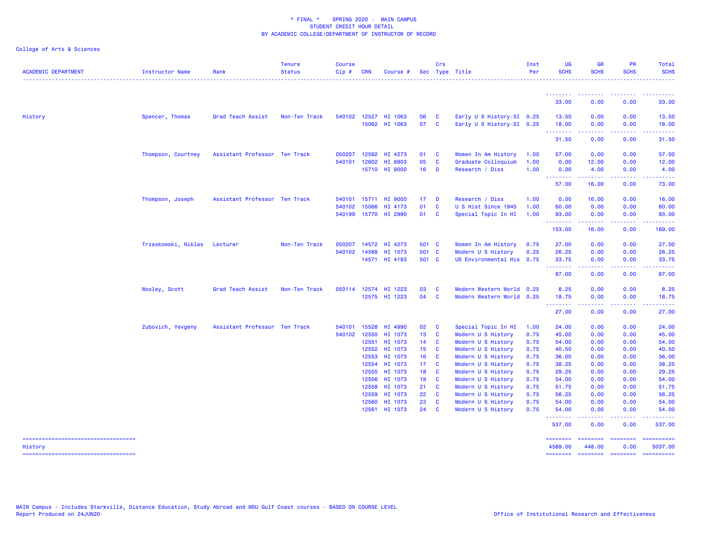College of Arts & Sciences

| <b>ACADEMIC DEPARTMENT</b>                        | Instructor Name              | Rank                          | <b>Tenure</b><br><b>Status</b> | <b>Course</b><br>$Cip$ # | <b>CRN</b>     | Course #             |                 | Crs            | Sec Type Title                             | Inst<br>Per  | <b>UG</b><br><b>SCHS</b>         | <b>GR</b><br><b>SCHS</b>    | PR<br><b>SCHS</b>                            | Total<br><b>SCHS</b>  |
|---------------------------------------------------|------------------------------|-------------------------------|--------------------------------|--------------------------|----------------|----------------------|-----------------|----------------|--------------------------------------------|--------------|----------------------------------|-----------------------------|----------------------------------------------|-----------------------|
|                                                   |                              |                               |                                |                          |                |                      |                 |                |                                            |              |                                  |                             | --------                                     | <u>.</u>              |
|                                                   |                              |                               |                                |                          |                |                      |                 |                |                                            |              | --------<br>33.00                | .<br>0.00                   | 0.00                                         | 33.00                 |
| History                                           | Spencer, Thomas              | Grad Teach Assist             | Non-Ten Track                  |                          |                | 540102 12527 HI 1063 | 06              | <b>C</b>       | Early U S History-SI 0.25                  |              | 13.50                            | 0.00                        | 0.00                                         | 13.50                 |
|                                                   |                              |                               |                                |                          |                | 15062 HI 1063        | 07 C            |                | Early U S History-SI 0.25                  |              | 18.00<br>.                       | 0.00                        | 0.00                                         | 18.00                 |
|                                                   |                              |                               |                                |                          |                |                      |                 |                |                                            |              | 31.50                            | 0.00                        | 0.00                                         | 31.50                 |
|                                                   | Thompson, Courtney           | Assistant Professor Ten Track |                                | 050207<br>540101         | 12592<br>12602 | HI 4273<br>HI 8803   | 01 C<br>05      | $\mathbf{C}$   | Women In Am History<br>Graduate Colloquium | 1.00<br>1.00 | 57.00<br>0.00                    | 0.00<br>12.00               | 0.00<br>0.00                                 | 57.00<br>12.00        |
|                                                   |                              |                               |                                |                          |                | 15710 HI 9000        | 16              | <b>D</b>       | Research / Diss                            | 1.00         | 0.00                             | 4.00                        | 0.00                                         | 4.00                  |
|                                                   |                              |                               |                                |                          |                |                      |                 |                |                                            |              | --------<br>57.00                | --------<br>16.00           | <b><i><u><u> - - - -</u></u></i></b><br>0.00 | <b></b><br>73.00      |
|                                                   | Thompson, Joseph             | Assistant Professor Ten Track |                                |                          |                | 540101 15711 HI 9000 | 17 <sub>1</sub> | $\blacksquare$ | Research / Diss                            | 1.00         | 0.00                             | 16.00                       | 0.00                                         | 16.00                 |
|                                                   |                              |                               |                                |                          | 540102 15066   | HI 4173              | 01              | $\mathbf{C}$   | U S Hist Since 1945                        | 1.00         | 60.00                            | 0.00                        | 0.00                                         | 60.00                 |
|                                                   |                              |                               |                                |                          |                | 540199 15770 HI 2990 | 01 C            |                | Special Topic In HI                        | 1.00         | 93.00<br>.                       | 0.00                        | 0.00                                         | 93.00                 |
|                                                   |                              |                               |                                |                          |                |                      |                 |                |                                            |              | 153.00                           | 16.00                       | 0.00                                         | 169.00                |
|                                                   | Trzaskowski, Niklas Lecturer |                               | Non-Ten Track                  | 050207                   |                | 14572 HI 4273        | 501 C           |                | Women In Am History                        | 0.75         | 27.00                            | 0.00                        | 0.00                                         | 27.00                 |
|                                                   |                              |                               |                                |                          | 540102 14568   | HI 1073              | 501 C           |                | Modern U S History                         | 0.25         | 26.25                            | 0.00                        | 0.00                                         | 26.25                 |
|                                                   |                              |                               |                                |                          |                | 14571 HI 4193        | 501 C           |                | US Environmental His 0.75                  |              | 33.75<br><u>.</u> .              | 0.00<br>.                   | 0.00<br>a a a a al                           | 33.75<br>.            |
|                                                   |                              |                               |                                |                          |                |                      |                 |                |                                            |              | 87.00                            | 0.00                        | 0.00                                         | 87.00                 |
|                                                   | Wooley, Scott                | Grad Teach Assist             | Non-Ten Track                  |                          |                | 050114 12574 HI 1223 | 03              | - C            | Modern Western World 0.25                  |              | 8.25                             | 0.00                        | 0.00                                         | 8.25                  |
|                                                   |                              |                               |                                |                          |                | 12575 HI 1223        | 04 C            |                | Modern Western World 0.25                  |              | 18.75<br><u> - - - - - - - -</u> | 0.00                        | 0.00                                         | 18.75                 |
|                                                   |                              |                               |                                |                          |                |                      |                 |                |                                            |              | 27.00                            | 0.00                        | 0.00                                         | 27.00                 |
|                                                   | Zubovich, Yevgeny            | Assistant Professor Ten Track |                                |                          | 540101 15528   | HI 4990              | 02 C            |                | Special Topic In HI                        | 1.00         | 24.00                            | 0.00                        | 0.00                                         | 24.00                 |
|                                                   |                              |                               |                                |                          | 540102 12550   | HI 1073              | 13 <sup>7</sup> | <b>C</b>       | Modern U S History                         | 0.75         | 45.00                            | 0.00                        | 0.00                                         | 45.00                 |
|                                                   |                              |                               |                                |                          | 12551<br>12552 | HI 1073<br>HI 1073   | $14$ C<br>15C   |                | Modern U S History<br>Modern U S History   | 0.75<br>0.75 | 54.00<br>40.50                   | 0.00<br>0.00                | 0.00<br>0.00                                 | 54.00<br>40.50        |
|                                                   |                              |                               |                                |                          | 12553          | HI 1073              | 16 <sup>1</sup> | $\mathbf{C}$   | Modern U S History                         | 0.75         | 36.00                            | 0.00                        | 0.00                                         | 36.00                 |
|                                                   |                              |                               |                                |                          | 12554          | HI 1073              | 17C             |                | Modern U S History                         | 0.75         | 38.25                            | 0.00                        | 0.00                                         | 38.25                 |
|                                                   |                              |                               |                                |                          | 12555          | HI 1073              | 18 C            |                | Modern U S History                         | 0.75         | 29.25                            | 0.00                        | 0.00                                         | 29.25                 |
|                                                   |                              |                               |                                |                          | 12556          | HI 1073              | 19C             |                | Modern U S History                         | 0.75         | 54.00                            | 0.00                        | 0.00                                         | 54.00                 |
|                                                   |                              |                               |                                |                          | 12558          | HI 1073              | 21              | $\mathbf{C}$   | Modern U S History                         | 0.75         | 51.75                            | 0.00                        | 0.00                                         | 51.75                 |
|                                                   |                              |                               |                                |                          | 12559          | HI 1073              | 22              | <b>C</b>       | Modern U S History                         | 0.75         | 56.25                            | 0.00                        | 0.00                                         | 56.25                 |
|                                                   |                              |                               |                                |                          | 12560          | HI 1073              | 23              | <b>C</b>       | Modern U S History                         | 0.75         | 54.00                            | 0.00                        | 0.00                                         | 54.00                 |
|                                                   |                              |                               |                                |                          |                | 12561 HI 1073        | $24$ C          |                | Modern U S History                         | 0.75         | 54.00                            | 0.00                        | 0.00                                         | 54.00                 |
|                                                   |                              |                               |                                |                          |                |                      |                 |                |                                            |              | 537.00                           | 0.00                        | 0.00                                         | 537.00                |
| ======================================<br>History |                              |                               |                                |                          |                |                      |                 |                |                                            |              | ========<br>4589.00              | ======== ========<br>448.00 | 0.00                                         | ==========<br>5037.00 |

===================================

======== ======== ======== ==========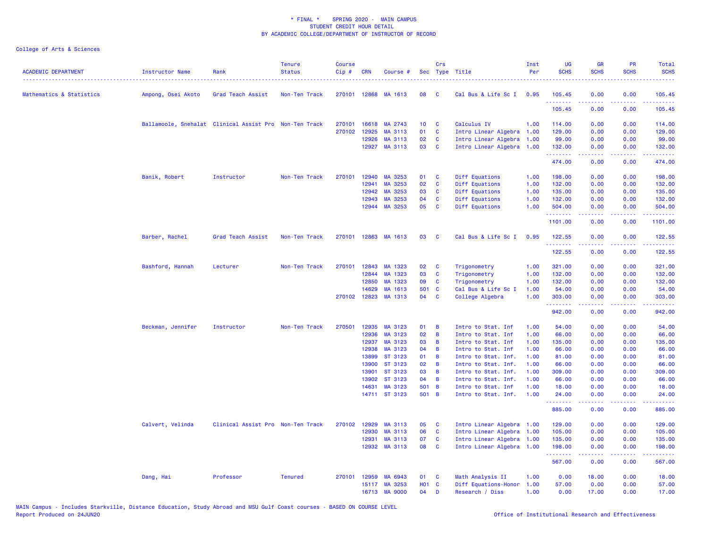| <b>ACADEMIC DEPARTMENT</b> | Instructor Name                                        | Rank                              | <b>Tenure</b><br><b>Status</b> | <b>Course</b><br>Cip# | <b>CRN</b>     | Course #             |                 | Crs         | Sec Type Title                             | Inst<br>Per  | <b>UG</b><br><b>SCHS</b> | <b>GR</b><br><b>SCHS</b>                                                                                                                                     | <b>PR</b><br><b>SCHS</b>            | <b>Total</b><br><b>SCHS</b>                                                                                                                                    |
|----------------------------|--------------------------------------------------------|-----------------------------------|--------------------------------|-----------------------|----------------|----------------------|-----------------|-------------|--------------------------------------------|--------------|--------------------------|--------------------------------------------------------------------------------------------------------------------------------------------------------------|-------------------------------------|----------------------------------------------------------------------------------------------------------------------------------------------------------------|
| Mathematics & Statistics   | Ampong, Osei Akoto                                     | Grad Teach Assist                 | Non-Ten Track                  |                       | 270101 12868   | MA 1613              | 08              | <b>C</b>    | Cal Bus & Life Sc I                        | 0.95         | 105.45                   | 0.00                                                                                                                                                         | 0.00                                | 105.45                                                                                                                                                         |
|                            |                                                        |                                   |                                |                       |                |                      |                 |             |                                            |              | 105.45                   | 0.00                                                                                                                                                         | 0.00                                | 105.45                                                                                                                                                         |
|                            | Ballamoole, Snehalat Clinical Assist Pro Non-Ten Track |                                   |                                | 270101                | 16618          | MA 2743              | 10 <sup>1</sup> | C           | Calculus IV                                | 1.00         | 114.00                   | 0.00                                                                                                                                                         | 0.00                                | 114.00                                                                                                                                                         |
|                            |                                                        |                                   |                                |                       | 270102 12925   | MA 3113              | 01              | C           | Intro Linear Algebra                       | 1.00         | 129.00                   | 0.00                                                                                                                                                         | 0.00                                | 129.00                                                                                                                                                         |
|                            |                                                        |                                   |                                |                       | 12926          | MA 3113              | 02              | C           | Intro Linear Algebra                       | 1.00         | 99.00                    | 0.00                                                                                                                                                         | 0.00                                | 99.00                                                                                                                                                          |
|                            |                                                        |                                   |                                |                       |                | 12927 MA 3113        | 03              | <b>C</b>    | Intro Linear Algebra                       | 1.00         | 132.00<br>.              | 0.00<br>$\frac{1}{2} \left( \frac{1}{2} \right) \left( \frac{1}{2} \right) \left( \frac{1}{2} \right) \left( \frac{1}{2} \right)$                            | 0.00<br>.                           | 132.00<br>$\frac{1}{2} \left( \frac{1}{2} \right) \left( \frac{1}{2} \right) \left( \frac{1}{2} \right) \left( \frac{1}{2} \right) \left( \frac{1}{2} \right)$ |
|                            |                                                        |                                   |                                |                       |                |                      |                 |             |                                            |              | 474.00                   | 0.00                                                                                                                                                         | 0.00                                | 474.00                                                                                                                                                         |
|                            | Banik, Robert                                          | Instructor                        | Non-Ten Track                  | 270101                | 12940          | MA 3253              | 01              | C           | Diff Equations                             | 1.00         | 198.00                   | 0.00                                                                                                                                                         | 0.00                                | 198.00                                                                                                                                                         |
|                            |                                                        |                                   |                                |                       | 12941          | MA 3253              | 02              | $\mathbf c$ | Diff Equations                             | 1.00         | 132.00                   | 0.00                                                                                                                                                         | 0.00                                | 132.00                                                                                                                                                         |
|                            |                                                        |                                   |                                |                       | 12942          | MA 3253              | 03              | C           | Diff Equations                             | 1.00         | 135.00                   | 0.00                                                                                                                                                         | 0.00                                | 135.00                                                                                                                                                         |
|                            |                                                        |                                   |                                |                       | 12943          | MA 3253              | 04              | C           | Diff Equations                             | 1.00         | 132.00                   | 0.00                                                                                                                                                         | 0.00                                | 132.00                                                                                                                                                         |
|                            |                                                        |                                   |                                |                       |                | 12944 MA 3253        | 05              | C           | Diff Equations                             | 1.00         | 504.00<br>.              | 0.00<br>.                                                                                                                                                    | 0.00<br>$\sim$ $\sim$ $\sim$ $\sim$ | 504.00                                                                                                                                                         |
|                            |                                                        |                                   |                                |                       |                |                      |                 |             |                                            |              | 1101.00                  | 0.00                                                                                                                                                         | 0.00                                | 1101.00                                                                                                                                                        |
|                            | Barber, Rachel                                         | Grad Teach Assist                 | Non-Ten Track                  |                       |                | 270101 12863 MA 1613 | 03              | <b>C</b>    | Cal Bus & Life Sc I                        | 0.95         | 122.55                   | 0.00                                                                                                                                                         | 0.00                                | 122.55                                                                                                                                                         |
|                            |                                                        |                                   |                                |                       |                |                      |                 |             |                                            |              | .<br>122.55              | .<br>0.00                                                                                                                                                    | -----<br>0.00                       | .<br>122.55                                                                                                                                                    |
|                            | Bashford, Hannah                                       | Lecturer                          | Non-Ten Track                  | 270101                | 12843          | MA 1323              | 02              | C           | Trigonometry                               | 1.00         | 321.00                   | 0.00                                                                                                                                                         | 0.00                                | 321.00                                                                                                                                                         |
|                            |                                                        |                                   |                                |                       | 12844          | MA 1323              | 03              | C           | Trigonometry                               | 1.00         | 132.00                   | 0.00                                                                                                                                                         | 0.00                                | 132.00                                                                                                                                                         |
|                            |                                                        |                                   |                                |                       | 12850          | MA 1323              | 09              | C           | Trigonometry                               | 1.00         | 132.00                   | 0.00                                                                                                                                                         | 0.00                                | 132.00                                                                                                                                                         |
|                            |                                                        |                                   |                                |                       | 14629          | MA 1613              | 501 C           |             | Cal Bus & Life Sc I                        | 1.00         | 54.00                    | 0.00                                                                                                                                                         | 0.00                                | 54.00                                                                                                                                                          |
|                            |                                                        |                                   |                                |                       | 270102 12823   | MA 1313              | 04              | C           | College Algebra                            | 1.00         | 303.00<br>.              | 0.00<br>$\frac{1}{2} \left( \frac{1}{2} \right) \left( \frac{1}{2} \right) \left( \frac{1}{2} \right) \left( \frac{1}{2} \right) \left( \frac{1}{2} \right)$ | 0.00<br>.                           | 303.00<br>$-1 - 1 - 1 - 1$                                                                                                                                     |
|                            |                                                        |                                   |                                |                       |                |                      |                 |             |                                            |              | 942.00                   | 0.00                                                                                                                                                         | 0.00                                | 942.00                                                                                                                                                         |
|                            | Beckman, Jennifer                                      | Instructor                        | Non-Ten Track                  | 270501                | 12935          | MA 3123              | 01              | B           | Intro to Stat. Inf                         | 1.00         | 54.00                    | 0.00                                                                                                                                                         | 0.00                                | 54.00                                                                                                                                                          |
|                            |                                                        |                                   |                                |                       | 12936          | MA 3123              | 02              | B           | Intro to Stat. Inf                         | 1.00         | 66.00                    | 0.00                                                                                                                                                         | 0.00                                | 66.00                                                                                                                                                          |
|                            |                                                        |                                   |                                |                       | 12937          | MA 3123              | 03              | B           | Intro to Stat. Inf                         | 1.00         | 135.00                   | 0.00                                                                                                                                                         | 0.00                                | 135.00                                                                                                                                                         |
|                            |                                                        |                                   |                                |                       | 12938          | MA 3123              | 04              | B           | Intro to Stat. Inf                         | 1.00         | 66.00                    | 0.00                                                                                                                                                         | 0.00                                | 66.00                                                                                                                                                          |
|                            |                                                        |                                   |                                |                       | 13899<br>13900 | ST 3123<br>ST 3123   | 01<br>02        | B<br>B      | Intro to Stat. Inf.                        | 1.00         | 81.00<br>66.00           | 0.00                                                                                                                                                         | 0.00                                | 81.00<br>66.00                                                                                                                                                 |
|                            |                                                        |                                   |                                |                       | 13901          | ST 3123              | 03              | B           | Intro to Stat. Inf.<br>Intro to Stat. Inf. | 1.00<br>1.00 | 309.00                   | 0.00<br>0.00                                                                                                                                                 | 0.00<br>0.00                        | 309.00                                                                                                                                                         |
|                            |                                                        |                                   |                                |                       | 13902          | ST 3123              | 04              | B           | Intro to Stat. Inf.                        | 1.00         | 66.00                    | 0.00                                                                                                                                                         | 0.00                                | 66.00                                                                                                                                                          |
|                            |                                                        |                                   |                                |                       | 14631          | MA 3123              | 501 B           |             | Intro to Stat. Inf                         | 1.00         | 18.00                    | 0.00                                                                                                                                                         | 0.00                                | 18.00                                                                                                                                                          |
|                            |                                                        |                                   |                                |                       |                | 14711 ST 3123        | 501 B           |             | Intro to Stat. Inf.                        | 1.00         | 24.00                    | 0.00                                                                                                                                                         | 0.00                                | 24.00                                                                                                                                                          |
|                            |                                                        |                                   |                                |                       |                |                      |                 |             |                                            |              | .<br>885.00              | $\frac{1}{2} \left( \frac{1}{2} \right) \left( \frac{1}{2} \right) \left( \frac{1}{2} \right) \left( \frac{1}{2} \right) \left( \frac{1}{2} \right)$<br>0.00 | .<br>0.00                           | 2.2.2.2.2.<br>885.00                                                                                                                                           |
|                            | Calvert, Velinda                                       | Clinical Assist Pro Non-Ten Track |                                | 270102                | 12929          | MA 3113              | 05              | C           | Intro Linear Algebra                       | 1.00         | 129.00                   | 0.00                                                                                                                                                         | 0.00                                | 129.00                                                                                                                                                         |
|                            |                                                        |                                   |                                |                       | 12930          | MA 3113              | 06              | C           | Intro Linear Algebra                       | 1.00         | 105.00                   | 0.00                                                                                                                                                         | 0.00                                | 105.00                                                                                                                                                         |
|                            |                                                        |                                   |                                |                       | 12931          | MA 3113              | 07              | C           | Intro Linear Algebra                       | 1.00         | 135.00                   | 0.00                                                                                                                                                         | 0.00                                | 135.00                                                                                                                                                         |
|                            |                                                        |                                   |                                |                       |                | 12932 MA 3113        | 08              | C           | Intro Linear Algebra                       | 1.00         | 198.00<br>.              | 0.00<br>.                                                                                                                                                    | 0.00<br>.                           | 198.00<br>$\frac{1}{2} \left( \frac{1}{2} \right) \left( \frac{1}{2} \right) \left( \frac{1}{2} \right) \left( \frac{1}{2} \right) \left( \frac{1}{2} \right)$ |
|                            |                                                        |                                   |                                |                       |                |                      |                 |             |                                            |              | 567.00                   | 0.00                                                                                                                                                         | 0.00                                | 567.00                                                                                                                                                         |
|                            | Dang, Hai                                              | Professor                         | <b>Tenured</b>                 | 270101                | 12959          | MA 6943              | 01              | C           | Math Analysis II                           | 1.00         | 0.00                     | 18.00                                                                                                                                                        | 0.00                                | 18.00                                                                                                                                                          |
|                            |                                                        |                                   |                                |                       |                | 15117 MA 3253        | <b>HO1 C</b>    |             | Diff Equations-Honor                       | 1.00         | 57.00                    | 0.00                                                                                                                                                         | 0.00                                | 57.00                                                                                                                                                          |
|                            |                                                        |                                   |                                |                       |                | 16713 MA 9000        | 04              | D           | Research / Diss                            | 1.00         | 0.00                     | 17,00                                                                                                                                                        | 0.00                                | 17.00                                                                                                                                                          |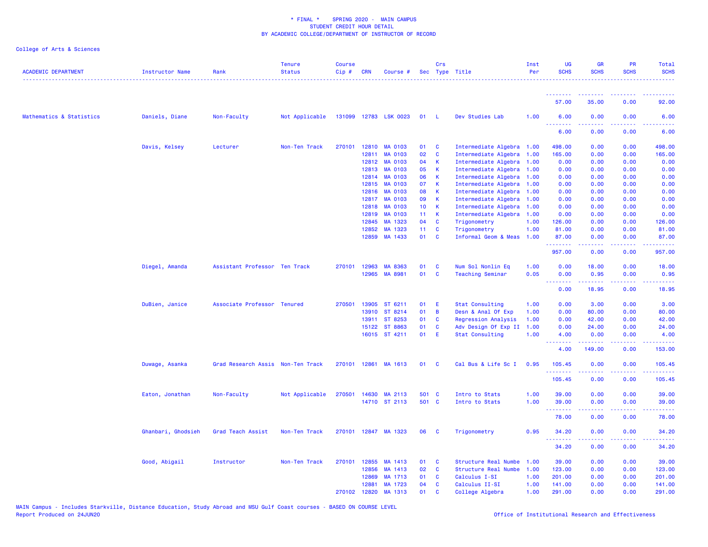| <b>ACADEMIC DEPARTMENT</b> | Instructor Name    | Rank                              | <b>Tenure</b><br><b>Status</b> | Course<br>$Cip$ # | <b>CRN</b> | Course #              |                 | Crs            | Sec Type Title             | Inst<br>Per | UG<br><b>SCHS</b>                 | GR<br><b>SCHS</b>     | <b>PR</b><br><b>SCHS</b> | Total<br><b>SCHS</b>                        |
|----------------------------|--------------------|-----------------------------------|--------------------------------|-------------------|------------|-----------------------|-----------------|----------------|----------------------------|-------------|-----------------------------------|-----------------------|--------------------------|---------------------------------------------|
|                            |                    |                                   |                                |                   |            |                       |                 |                |                            |             | .<br>57.00                        | 35.00                 | 0.00                     | 92.00                                       |
| Mathematics & Statistics   | Daniels, Diane     | Non-Faculty                       | Not Applicable                 |                   |            | 131099 12783 LSK 0023 | 01 L            |                | Dev Studies Lab            | 1.00        | 6.00                              | 0.00                  | 0.00                     | 6.00                                        |
|                            |                    |                                   |                                |                   |            |                       |                 |                |                            |             | <u>.</u><br>6.00                  | 0.00                  | 0.00                     | 6.00                                        |
|                            | Davis, Kelsey      | Lecturer                          | Non-Ten Track                  | 270101            | 12810      | <b>MA 0103</b>        | 01              | $\mathbf{C}$   | Intermediate Algebra 1.00  |             | 498.00                            | 0.00                  | 0.00                     | 498.00                                      |
|                            |                    |                                   |                                |                   | 12811      | <b>MA 0103</b>        | 02              | $\mathbf{C}$   | Intermediate Algebra 1.00  |             | 165.00                            | 0.00                  | 0.00                     | 165.00                                      |
|                            |                    |                                   |                                |                   | 12812      | MA 0103               | 04              | $\mathsf{K}$   | Intermediate Algebra 1.00  |             | 0.00                              | 0.00                  | 0.00                     | 0.00                                        |
|                            |                    |                                   |                                |                   | 12813      | <b>MA 0103</b>        | 05              | K              | Intermediate Algebra 1.00  |             | 0.00                              | 0.00                  | 0.00                     | 0.00                                        |
|                            |                    |                                   |                                |                   | 12814      | MA 0103               | 06              | $\mathbf{K}$   | Intermediate Algebra 1.00  |             | 0.00                              | 0.00                  | 0.00                     | 0.00                                        |
|                            |                    |                                   |                                |                   | 12815      | <b>MA 0103</b>        | 07              | K              | Intermediate Algebra 1.00  |             | 0.00                              | 0.00                  | 0.00                     | 0.00                                        |
|                            |                    |                                   |                                |                   | 12816      | <b>MA 0103</b>        | 80              | <b>K</b>       | Intermediate Algebra 1.00  |             | 0.00                              | 0.00                  | 0.00                     | 0.00                                        |
|                            |                    |                                   |                                |                   | 12817      | <b>MA 0103</b>        | 09              | $\mathsf{K}$   | Intermediate Algebra 1.00  |             | 0.00                              | 0.00                  | 0.00                     | 0.00                                        |
|                            |                    |                                   |                                |                   | 12818      | MA 0103               | 10 <sub>1</sub> | $\mathbf{K}$   | Intermediate Algebra 1.00  |             | 0.00                              | 0.00                  | 0.00                     | 0.00                                        |
|                            |                    |                                   |                                |                   | 12819      | <b>MA 0103</b>        | 11 K            |                | Intermediate Algebra 1.00  |             | 0.00                              | 0.00                  | 0.00                     | 0.00                                        |
|                            |                    |                                   |                                |                   | 12845      | MA 1323               | 04              | $\mathbf{C}$   | Trigonometry               | 1.00        | 126.00                            | 0.00                  | 0.00                     | 126.00                                      |
|                            |                    |                                   |                                |                   | 12852      | MA 1323               | 11 <sub>1</sub> | $\mathbf{C}$   | Trigonometry               | 1.00        | 81.00                             | 0.00                  | 0.00                     | 81.00                                       |
|                            |                    |                                   |                                |                   | 12859      | MA 1433               | 01              | $\mathbf{C}$   | Informal Geom & Meas 1.00  |             | 87.00<br><u>.</u>                 | 0.00<br>بالمستبط      | 0.00<br>المستما          | 87.00<br>.                                  |
|                            |                    |                                   |                                |                   |            |                       |                 |                |                            |             | 957.00                            | 0.00                  | 0.00                     | 957.00                                      |
|                            | Diegel, Amanda     | Assistant Professor Ten Track     |                                | 270101            | 12963      | MA 8363               | 01              | <b>C</b>       | Num Sol Nonlin Eq          | 1.00        | 0.00                              | 18.00                 | 0.00                     | 18.00                                       |
|                            |                    |                                   |                                |                   | 12965      | MA 8981               | 01              | $\mathbf{C}$   | <b>Teaching Seminar</b>    | 0.05        | 0.00<br><u>.</u>                  | 0.95                  | 0.00                     | 0.95                                        |
|                            |                    |                                   |                                |                   |            |                       |                 |                |                            |             | 0.00                              | 18.95                 | 0.00                     | 18.95                                       |
|                            | DuBien, Janice     | Associate Professor Tenured       |                                | 270501            | 13905      | ST 6211               | 01              | - E            | <b>Stat Consulting</b>     | 1.00        | 0.00                              | 3.00                  | 0.00                     | 3.00                                        |
|                            |                    |                                   |                                |                   | 13910      | ST 8214               | 01              | $\overline{B}$ | Desn & Anal Of Exp         | 1.00        | 0.00                              | 80.00                 | 0.00                     | 80.00                                       |
|                            |                    |                                   |                                |                   | 13911      | ST 8253               | 01              | $\mathbf{C}$   | <b>Regression Analysis</b> | 1.00        | 0.00                              | 42.00                 | 0.00                     | 42.00                                       |
|                            |                    |                                   |                                |                   | 15122      | ST 8863               | 01              | C              | Adv Design Of Exp II       | 1.00        | 0.00                              | 24.00                 | 0.00                     | 24.00                                       |
|                            |                    |                                   |                                |                   |            | 16015 ST 4211         | 01              | - E            | <b>Stat Consulting</b>     | 1.00        | 4.00<br>.                         | 0.00                  | 0.00<br>.                | 4.00                                        |
|                            |                    |                                   |                                |                   |            |                       |                 |                |                            |             | 4.00                              | 149.00                | 0.00                     | 153.00                                      |
|                            | Duwage, Asanka     | Grad Research Assis Non-Ten Track |                                |                   |            | 270101 12861 MA 1613  | 01 C            |                | Cal Bus & Life Sc I        | 0.95        | 105.45<br><u> - - - - - - - -</u> | 0.00<br>$\frac{1}{2}$ | 0.00<br>.                | 105.45<br><b><i><u><u>AAAAA</u></u></i></b> |
|                            |                    |                                   |                                |                   |            |                       |                 |                |                            |             | 105.45                            | 0.00                  | 0.00                     | 105.45                                      |
|                            | Eaton, Jonathan    | Non-Faculty                       | Not Applicable                 | 270501            |            | 14630 MA 2113         | 501 C           |                | Intro to Stats             | 1.00        | 39.00                             | 0.00                  | 0.00                     | 39.00                                       |
|                            |                    |                                   |                                |                   |            | 14710 ST 2113         | 501 C           |                | Intro to Stats             | 1.00        | 39.00                             | 0.00                  | 0.00                     | 39.00                                       |
|                            |                    |                                   |                                |                   |            |                       |                 |                |                            |             | .                                 |                       |                          | .                                           |
|                            |                    |                                   |                                |                   |            |                       |                 |                |                            |             | 78.00                             | 0.00                  | 0.00                     | 78.00                                       |
|                            | Ghanbari, Ghodsieh | Grad Teach Assist                 | Non-Ten Track                  |                   |            | 270101 12847 MA 1323  | 06              | $\mathbf{C}$   | Trigonometry               | 0.95        | 34.20<br>.                        | 0.00                  | 0.00                     | 34.20                                       |
|                            |                    |                                   |                                |                   |            |                       |                 |                |                            |             | 34.20                             | 0.00                  | 0.00                     | 34.20                                       |
|                            | Good, Abigail      | Instructor                        | Non-Ten Track                  | 270101            | 12855      | MA 1413               | 01              | $\mathbf{C}$   | Structure Real Numbe       | 1.00        | 39.00                             | 0.00                  | 0.00                     | 39.00                                       |
|                            |                    |                                   |                                |                   | 12856      | MA 1413               | 02              | $\mathbf{C}$   | Structure Real Numbe       | 1.00        | 123.00                            | 0.00                  | 0.00                     | 123.00                                      |
|                            |                    |                                   |                                |                   | 12869      | MA 1713               | 01              | <b>C</b>       | Calculus I-SI              | 1.00        | 201.00                            | 0.00                  | 0.00                     | 201.00                                      |
|                            |                    |                                   |                                |                   | 12881      | MA 1723               | 04              | <b>C</b>       | Calculus II-SI             | 1.00        | 141.00                            | 0.00                  | 0.00                     | 141.00                                      |
|                            |                    |                                   |                                | 270102            | 12820      | MA 1313               | 01              | C              | College Algebra            | 1.00        | 291.00                            | 0.00                  | 0.00                     | 291.00                                      |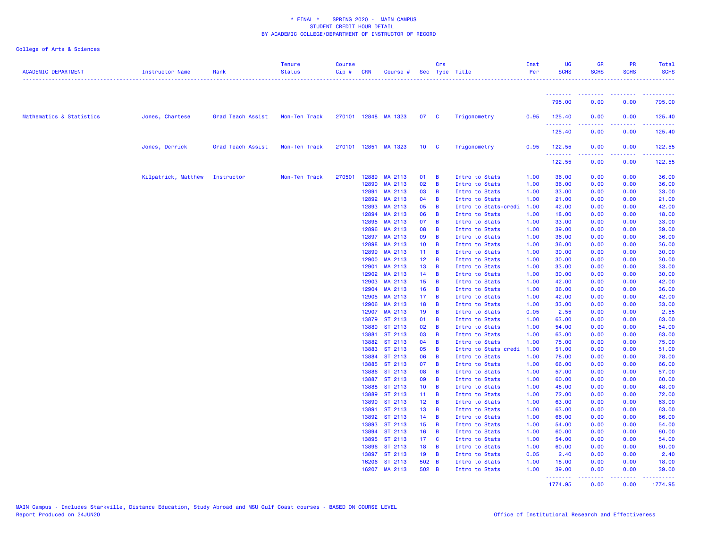| <b>ACADEMIC DEPARTMENT</b> | Instructor Name     | Rank              | <b>Tenure</b><br><b>Status</b> | <b>Course</b><br>Cip# | <b>CRN</b>     | Course #             |                                    | Crs                     | Sec Type Title                   | Inst<br>Per  | <b>UG</b><br><b>SCHS</b> | <b>GR</b><br><b>SCHS</b> | <b>PR</b><br><b>SCHS</b>                                                                               | <b>Total</b><br><b>SCHS</b> |
|----------------------------|---------------------|-------------------|--------------------------------|-----------------------|----------------|----------------------|------------------------------------|-------------------------|----------------------------------|--------------|--------------------------|--------------------------|--------------------------------------------------------------------------------------------------------|-----------------------------|
|                            |                     |                   |                                |                       |                |                      |                                    |                         |                                  |              | .                        |                          |                                                                                                        |                             |
|                            |                     |                   |                                |                       |                |                      |                                    |                         |                                  |              | 795.00                   | 0.00                     | 0.00                                                                                                   | 795.00                      |
| Mathematics & Statistics   | Jones, Chartese     | Grad Teach Assist | Non-Ten Track                  |                       |                | 270101 12848 MA 1323 | 07                                 | $\overline{\mathbf{C}}$ | Trigonometry                     | 0.95         | 125.40<br>.              | 0.00                     | 0.00<br>$\frac{1}{2} \left( \frac{1}{2} \right) \left( \frac{1}{2} \right) \left( \frac{1}{2} \right)$ | 125.40<br>.                 |
|                            |                     |                   |                                |                       |                |                      |                                    |                         |                                  |              | 125.40                   | 0.00                     | 0.00                                                                                                   | 125.40                      |
|                            | Jones, Derrick      | Grad Teach Assist | Non-Ten Track                  |                       |                | 270101 12851 MA 1323 | 10 <sub>c</sub>                    |                         | Trigonometry                     | 0.95         | 122.55<br>.              | 0.00<br>-----            | 0.00<br>.                                                                                              | 122.55<br><u> 22222</u>     |
|                            |                     |                   |                                |                       |                |                      |                                    |                         |                                  |              | 122.55                   | 0.00                     | 0.00                                                                                                   | 122.55                      |
|                            | Kilpatrick, Matthew | Instructor        | Non-Ten Track                  | 270501                | 12889          | MA 2113              | 01                                 | B                       | Intro to Stats                   | 1.00         | 36.00                    | 0.00                     | 0.00                                                                                                   | 36.00                       |
|                            |                     |                   |                                |                       | 12890          | MA 2113              | 02                                 | B                       | Intro to Stats                   | 1.00         | 36.00                    | 0.00                     | 0.00                                                                                                   | 36.00                       |
|                            |                     |                   |                                |                       | 12891          | MA 2113              | 03                                 | B                       | Intro to Stats                   | 1.00         | 33.00                    | 0.00                     | 0.00                                                                                                   | 33.00                       |
|                            |                     |                   |                                |                       | 12892          | MA 2113              | 04                                 | B                       | Intro to Stats                   | 1.00         | 21.00                    | 0.00                     | 0.00                                                                                                   | 21.00                       |
|                            |                     |                   |                                |                       | 12893<br>12894 | MA 2113<br>MA 2113   | 05<br>06                           | $\overline{B}$<br>B     | Intro to Stats-credi             | 1.00<br>1.00 | 42.00                    | 0.00                     | 0.00<br>0.00                                                                                           | 42.00<br>18.00              |
|                            |                     |                   |                                |                       | 12895          | MA 2113              | 07                                 | $\overline{B}$          | Intro to Stats<br>Intro to Stats | 1.00         | 18.00<br>33.00           | 0.00<br>0.00             | 0.00                                                                                                   | 33.00                       |
|                            |                     |                   |                                |                       | 12896          | MA 2113              | 08                                 | B                       | Intro to Stats                   | 1.00         | 39.00                    | 0.00                     | 0.00                                                                                                   | 39.00                       |
|                            |                     |                   |                                |                       | 12897          | MA 2113              | 09                                 | B                       | Intro to Stats                   | 1.00         | 36.00                    | 0.00                     | 0.00                                                                                                   | 36.00                       |
|                            |                     |                   |                                |                       | 12898          | MA 2113              | 10 <sub>1</sub>                    | B                       | Intro to Stats                   | 1.00         | 36.00                    | 0.00                     | 0.00                                                                                                   | 36.00                       |
|                            |                     |                   |                                |                       | 12899          | MA 2113              | 11 <sub>1</sub>                    | B                       | Intro to Stats                   | 1.00         | 30.00                    | 0.00                     | 0.00                                                                                                   | 30.00                       |
|                            |                     |                   |                                |                       | 12900          | MA 2113              | 12 <sub>2</sub>                    | B                       | Intro to Stats                   | 1.00         | 30.00                    | 0.00                     | 0.00                                                                                                   | 30.00                       |
|                            |                     |                   |                                |                       | 12901          | MA 2113              | 13                                 | B                       | Intro to Stats                   | 1.00         | 33.00                    | 0.00                     | 0.00                                                                                                   | 33.00                       |
|                            |                     |                   |                                |                       | 12902          | MA 2113              | 14                                 | B                       | Intro to Stats                   | 1.00         | 30.00                    | 0.00                     | 0.00                                                                                                   | 30.00                       |
|                            |                     |                   |                                |                       | 12903          | MA 2113              | 15                                 | B                       | Intro to Stats                   | 1.00         | 42.00                    | 0.00                     | 0.00                                                                                                   | 42.00                       |
|                            |                     |                   |                                |                       | 12904          | MA 2113              | 16                                 | $\overline{B}$          | Intro to Stats                   | 1.00         | 36.00                    | 0.00                     | 0.00                                                                                                   | 36.00                       |
|                            |                     |                   |                                |                       | 12905<br>12906 | MA 2113<br>MA 2113   | 17 <sub>1</sub><br>18              | B<br>B                  | Intro to Stats                   | 1.00<br>1.00 | 42.00<br>33.00           | 0.00<br>0.00             | 0.00<br>0.00                                                                                           | 42.00<br>33.00              |
|                            |                     |                   |                                |                       | 12907          | MA 2113              | 19                                 | $\overline{B}$          | Intro to Stats<br>Intro to Stats | 0.05         | 2.55                     | 0.00                     | 0.00                                                                                                   | 2.55                        |
|                            |                     |                   |                                |                       | 13879          | ST 2113              | 01                                 | B                       | Intro to Stats                   | 1.00         | 63.00                    | 0.00                     | 0.00                                                                                                   | 63.00                       |
|                            |                     |                   |                                |                       | 13880          | ST 2113              | 02                                 | $\overline{B}$          | Intro to Stats                   | 1.00         | 54.00                    | 0.00                     | 0.00                                                                                                   | 54.00                       |
|                            |                     |                   |                                |                       | 13881          | ST 2113              | 03                                 | B                       | Intro to Stats                   | 1.00         | 63.00                    | 0.00                     | 0.00                                                                                                   | 63.00                       |
|                            |                     |                   |                                |                       | 13882          | ST 2113              | 04                                 | B                       | Intro to Stats                   | 1.00         | 75.00                    | 0.00                     | 0.00                                                                                                   | 75.00                       |
|                            |                     |                   |                                |                       | 13883          | ST 2113              | 05                                 | B                       | Intro to Stats credi             | 1.00         | 51.00                    | 0.00                     | 0.00                                                                                                   | 51.00                       |
|                            |                     |                   |                                |                       | 13884          | ST 2113              | 06                                 | B                       | Intro to Stats                   | 1.00         | 78.00                    | 0.00                     | 0.00                                                                                                   | 78.00                       |
|                            |                     |                   |                                |                       | 13885          | ST 2113              | 07                                 | B                       | Intro to Stats                   | 1.00         | 66.00                    | 0.00                     | 0.00                                                                                                   | 66.00                       |
|                            |                     |                   |                                |                       | 13886          | ST 2113              | 08                                 | B                       | Intro to Stats                   | 1.00         | 57.00                    | 0.00                     | 0.00                                                                                                   | 57.00                       |
|                            |                     |                   |                                |                       | 13887          | ST 2113              | 09                                 | B                       | Intro to Stats                   | 1.00         | 60.00                    | 0.00                     | 0.00                                                                                                   | 60.00                       |
|                            |                     |                   |                                |                       | 13888          | ST 2113              | 10 <sub>1</sub>                    | B                       | Intro to Stats                   | 1.00         | 48.00                    | 0.00                     | 0.00                                                                                                   | 48.00                       |
|                            |                     |                   |                                |                       | 13889          | ST 2113<br>ST 2113   | 11 <sub>1</sub><br>12 <sub>1</sub> | B                       | Intro to Stats                   | 1.00         | 72.00                    | 0.00                     | 0.00                                                                                                   | 72.00                       |
|                            |                     |                   |                                |                       | 13890<br>13891 | ST 2113              | 13                                 | B<br>B                  | Intro to Stats<br>Intro to Stats | 1.00<br>1.00 | 63.00<br>63.00           | 0.00<br>0.00             | 0.00<br>0.00                                                                                           | 63.00<br>63.00              |
|                            |                     |                   |                                |                       | 13892          | ST 2113              | 14                                 | B                       | Intro to Stats                   | 1.00         | 66.00                    | 0.00                     | 0.00                                                                                                   | 66.00                       |
|                            |                     |                   |                                |                       | 13893          | ST 2113              | 15 <sub>1</sub>                    | B                       | Intro to Stats                   | 1.00         | 54.00                    | 0.00                     | 0.00                                                                                                   | 54.00                       |
|                            |                     |                   |                                |                       | 13894          | ST 2113              | 16                                 | B                       | Intro to Stats                   | 1.00         | 60.00                    | 0.00                     | 0.00                                                                                                   | 60.00                       |
|                            |                     |                   |                                |                       | 13895          | ST 2113              | 17 <sub>1</sub>                    | C                       | Intro to Stats                   | 1.00         | 54.00                    | 0.00                     | 0.00                                                                                                   | 54.00                       |
|                            |                     |                   |                                |                       | 13896          | ST 2113              | 18                                 | $\overline{B}$          | Intro to Stats                   | 1.00         | 60.00                    | 0.00                     | 0.00                                                                                                   | 60.00                       |
|                            |                     |                   |                                |                       | 13897          | ST 2113              | 19                                 | B                       | Intro to Stats                   | 0.05         | 2.40                     | 0.00                     | 0.00                                                                                                   | 2.40                        |
|                            |                     |                   |                                |                       | 16206          | ST 2113              | 502 B                              |                         | Intro to Stats                   | 1.00         | 18.00                    | 0.00                     | 0.00                                                                                                   | 18.00                       |
|                            |                     |                   |                                |                       | 16207          | MA 2113              | 502 B                              |                         | Intro to Stats                   | 1.00         | 39.00<br>.               | 0.00                     | 0.00                                                                                                   | 39.00                       |
|                            |                     |                   |                                |                       |                |                      |                                    |                         |                                  |              | 1774.95                  | 0.00                     | 0.00                                                                                                   | 1774.95                     |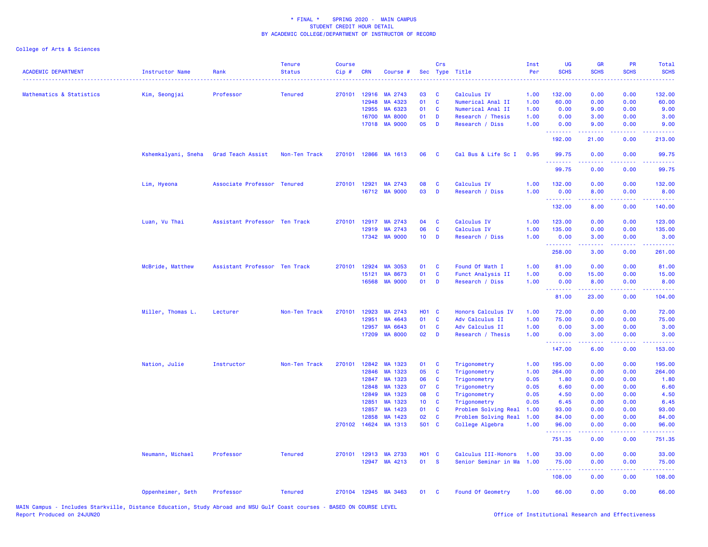| <b>ACADEMIC DEPARTMENT</b> | <b>Instructor Name</b> | Rank                          | <b>Tenure</b><br><b>Status</b> | <b>Course</b><br>Cip# | <b>CRN</b>     | Course #             |                 | Crs               | Sec Type Title                               | Inst<br>Per  | <b>UG</b><br><b>SCHS</b> | <b>GR</b><br><b>SCHS</b>                                                                                                                                     | <b>PR</b><br><b>SCHS</b>        | Total<br><b>SCHS</b><br>.                                                                                                                                      |
|----------------------------|------------------------|-------------------------------|--------------------------------|-----------------------|----------------|----------------------|-----------------|-------------------|----------------------------------------------|--------------|--------------------------|--------------------------------------------------------------------------------------------------------------------------------------------------------------|---------------------------------|----------------------------------------------------------------------------------------------------------------------------------------------------------------|
| Mathematics & Statistics   | Kim, Seongjai          | Professor                     | <b>Tenured</b>                 |                       | 270101 12916   | MA 2743              | 03              | C                 | Calculus IV                                  | 1.00         | 132.00                   | 0.00                                                                                                                                                         | 0.00                            | 132.00                                                                                                                                                         |
|                            |                        |                               |                                |                       | 12948          | MA 4323              | 01              | C                 | Numerical Anal II                            | 1.00         | 60.00                    | 0.00                                                                                                                                                         | 0.00                            | 60.00                                                                                                                                                          |
|                            |                        |                               |                                |                       | 12955          | MA 6323              | 01              | C                 | Numerical Anal II                            | 1.00         | 0.00                     | 9.00                                                                                                                                                         | 0.00                            | 9.00                                                                                                                                                           |
|                            |                        |                               |                                |                       | 16700          | <b>MA 8000</b>       | 01              | D                 | Research / Thesis                            | 1.00         | 0.00                     | 3.00                                                                                                                                                         | 0.00                            | 3.00                                                                                                                                                           |
|                            |                        |                               |                                |                       | 17018          | <b>MA 9000</b>       | 05              | D                 | Research / Diss                              | 1.00         | 0.00<br>.                | 9.00                                                                                                                                                         | 0.00                            | 9.00                                                                                                                                                           |
|                            |                        |                               |                                |                       |                |                      |                 |                   |                                              |              | 192.00                   | 21.00                                                                                                                                                        | 0.00                            | 213.00                                                                                                                                                         |
|                            | Kshemkalyani, Sneha    | Grad Teach Assist             | Non-Ten Track                  |                       |                | 270101 12866 MA 1613 | 06              | <b>C</b>          | Cal Bus & Life Sc I                          | 0.95         | 99.75<br>.               | 0.00                                                                                                                                                         | 0.00                            | 99.75<br>.                                                                                                                                                     |
|                            |                        |                               |                                |                       |                |                      |                 |                   |                                              |              | 99.75                    | 0.00                                                                                                                                                         | 0.00                            | 99.75                                                                                                                                                          |
|                            | Lim, Hyeona            | Associate Professor Tenured   |                                |                       | 270101 12921   | MA 2743              | 08              | C                 | Calculus IV                                  | 1.00         | 132.00                   | 0.00                                                                                                                                                         | 0.00                            | 132.00                                                                                                                                                         |
|                            |                        |                               |                                |                       |                | 16712 MA 9000        | 03              | D                 | Research / Diss                              | 1.00         | 0.00                     | 8.00                                                                                                                                                         | 0.00                            | 8.00                                                                                                                                                           |
|                            |                        |                               |                                |                       |                |                      |                 |                   |                                              |              | <u>.</u><br>132.00       | $\frac{1}{2} \left( \frac{1}{2} \right) \left( \frac{1}{2} \right) \left( \frac{1}{2} \right) \left( \frac{1}{2} \right) \left( \frac{1}{2} \right)$<br>8.00 | .<br>0.00                       | $\frac{1}{2} \left( \frac{1}{2} \right) \left( \frac{1}{2} \right) \left( \frac{1}{2} \right) \left( \frac{1}{2} \right) \left( \frac{1}{2} \right)$<br>140.00 |
|                            | Luan, Vu Thai          | Assistant Professor Ten Track |                                |                       |                | 270101 12917 MA 2743 | 04              | C                 | Calculus IV                                  | 1.00         | 123.00                   | 0.00                                                                                                                                                         | 0.00                            | 123.00                                                                                                                                                         |
|                            |                        |                               |                                |                       | 12919          | MA 2743              | 06              | C                 | Calculus IV                                  | 1.00         | 135.00                   | 0.00                                                                                                                                                         | 0.00                            | 135.00                                                                                                                                                         |
|                            |                        |                               |                                |                       |                | 17342 MA 9000        | 10 <sub>1</sub> | D                 | Research / Diss                              | 1.00         | 0.00<br>.                | 3.00                                                                                                                                                         | 0.00                            | 3.00                                                                                                                                                           |
|                            |                        |                               |                                |                       |                |                      |                 |                   |                                              |              | 258.00                   | 3.00                                                                                                                                                         | 0.00                            | 261.00                                                                                                                                                         |
|                            | McBride, Matthew       | Assistant Professor Ten Track |                                | 270101                | 12924          | MA 3053              | 01              | C                 | Found Of Math I                              | 1.00         | 81.00                    | 0.00                                                                                                                                                         | 0.00                            | 81.00                                                                                                                                                          |
|                            |                        |                               |                                |                       | 15121          | MA 8673              | 01              | $\mathbf{C}$      | Funct Analysis II                            | 1.00         | 0.00                     | 15.00                                                                                                                                                        | 0.00                            | 15.00                                                                                                                                                          |
|                            |                        |                               |                                |                       | 16568          | <b>MA 9000</b>       | 01              | D                 | Research / Diss                              | 1.00         | 0.00<br><u>.</u>         | 8.00<br>.                                                                                                                                                    | 0.00<br>.                       | 8.00<br><u>.</u>                                                                                                                                               |
|                            |                        |                               |                                |                       |                |                      |                 |                   |                                              |              | 81.00                    | 23.00                                                                                                                                                        | 0.00                            | 104.00                                                                                                                                                         |
|                            | Miller, Thomas L.      | Lecturer                      | Non-Ten Track                  | 270101                | 12923          | MA 2743              | <b>HO1 C</b>    |                   | Honors Calculus IV                           | 1.00         | 72.00                    | 0.00                                                                                                                                                         | 0.00                            | 72.00                                                                                                                                                          |
|                            |                        |                               |                                |                       | 12951          | MA 4643              | 01              | C                 | Adv Calculus II                              | 1.00         | 75.00                    | 0.00                                                                                                                                                         | 0.00                            | 75.00                                                                                                                                                          |
|                            |                        |                               |                                |                       | 12957          | MA 6643              | 01              | C                 | Adv Calculus II                              | 1.00         | 0.00                     | 3.00                                                                                                                                                         | 0.00                            | 3.00                                                                                                                                                           |
|                            |                        |                               |                                |                       | 17209          | <b>MA 8000</b>       | 02              | D                 | Research / Thesis                            | 1.00         | 0.00<br>.                | 3.00<br>.                                                                                                                                                    | 0.00<br>$\omega$ is $\omega$ in | 3.00                                                                                                                                                           |
|                            |                        |                               |                                |                       |                |                      |                 |                   |                                              |              | 147.00                   | 6.00                                                                                                                                                         | 0.00                            | 153.00                                                                                                                                                         |
|                            | Nation, Julie          | Instructor                    | Non-Ten Track                  | 270101                | 12842          | MA 1323              | 01              | C                 | Trigonometry                                 | 1.00         | 195.00                   | 0.00                                                                                                                                                         | 0.00                            | 195.00                                                                                                                                                         |
|                            |                        |                               |                                |                       | 12846          | MA 1323              | 05              | C                 | Trigonometry                                 | 1.00         | 264.00                   | 0.00                                                                                                                                                         | 0.00                            | 264.00                                                                                                                                                         |
|                            |                        |                               |                                |                       | 12847          | MA 1323              | 06              | C                 | Trigonometry                                 | 0.05         | 1.80                     | 0.00                                                                                                                                                         | 0.00                            | 1.80                                                                                                                                                           |
|                            |                        |                               |                                |                       | 12848          | MA 1323              | 07              | C                 | Trigonometry                                 | 0.05         | 6.60                     | 0.00                                                                                                                                                         | 0.00                            | 6.60                                                                                                                                                           |
|                            |                        |                               |                                |                       | 12849          | MA 1323              | 08              | C                 | Trigonometry                                 | 0.05         | 4.50                     | 0.00                                                                                                                                                         | 0.00                            | 4.50                                                                                                                                                           |
|                            |                        |                               |                                |                       | 12851          | MA 1323              | 10 <sub>1</sub> | C                 | Trigonometry                                 | 0.05         | 6.45                     | 0.00                                                                                                                                                         | 0.00                            | 6.45                                                                                                                                                           |
|                            |                        |                               |                                |                       | 12857<br>12858 | MA 1423<br>MA 1423   | 01<br>02        | C<br>$\mathbf{C}$ | Problem Solving Real<br>Problem Solving Real | 1.00<br>1.00 | 93.00<br>84.00           | 0.00<br>0.00                                                                                                                                                 | 0.00<br>0.00                    | 93.00                                                                                                                                                          |
|                            |                        |                               |                                | 270102                | 14624          | MA 1313              | 501 C           |                   | College Algebra                              | 1.00         | 96.00                    | 0.00                                                                                                                                                         | 0.00                            | 84.00<br>96.00                                                                                                                                                 |
|                            |                        |                               |                                |                       |                |                      |                 |                   |                                              |              | .                        |                                                                                                                                                              | $  -$                           | $\sim$ $\sim$ $\sim$ $\sim$                                                                                                                                    |
|                            |                        |                               |                                |                       |                |                      |                 |                   |                                              |              | 751.35                   | 0.00                                                                                                                                                         | 0.00                            | 751.35                                                                                                                                                         |
|                            | Neumann, Michael       | Professor                     | <b>Tenured</b>                 |                       | 270101 12913   | MA 2733              | <b>HO1 C</b>    |                   | Calculus III-Honors                          | 1.00         | 33.00                    | 0.00                                                                                                                                                         | 0.00                            | 33.00                                                                                                                                                          |
|                            |                        |                               |                                |                       |                | 12947 MA 4213        | 01              | <b>S</b>          | Senior Seminar in Ma                         | 1.00         | 75.00<br>.               | 0.00                                                                                                                                                         | 0.00                            | 75.00<br>.                                                                                                                                                     |
|                            |                        |                               |                                |                       |                |                      |                 |                   |                                              |              | 108.00                   | 0.00                                                                                                                                                         | 0.00                            | 108.00                                                                                                                                                         |
|                            | Oppenheimer, Seth      | Professor                     | <b>Tenured</b>                 |                       |                | 270104 12945 MA 3463 | 01              | <b>C</b>          | Found Of Geometry                            | 1.00         | 66.00                    | 0.00                                                                                                                                                         | 0.00                            | 66.00                                                                                                                                                          |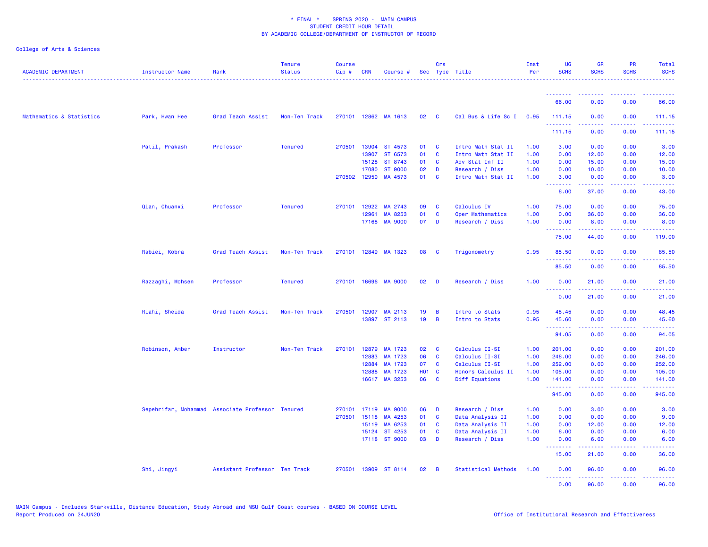| <b>ACADEMIC DEPARTMENT</b> | <b>Instructor Name</b> | Rank                                             | <b>Tenure</b><br><b>Status</b> | <b>Course</b><br>$Cip \#$ | <b>CRN</b>     | Course #                  |                    | Crs                     | Sec Type Title                       | Inst<br>Per  | <b>UG</b><br><b>SCHS</b> | <b>GR</b><br><b>SCHS</b>                                                                                                                                     | <b>PR</b><br><b>SCHS</b>        | Total<br><b>SCHS</b>                                                                                                                                           |
|----------------------------|------------------------|--------------------------------------------------|--------------------------------|---------------------------|----------------|---------------------------|--------------------|-------------------------|--------------------------------------|--------------|--------------------------|--------------------------------------------------------------------------------------------------------------------------------------------------------------|---------------------------------|----------------------------------------------------------------------------------------------------------------------------------------------------------------|
|                            |                        |                                                  |                                |                           |                |                           |                    |                         |                                      |              |                          |                                                                                                                                                              |                                 |                                                                                                                                                                |
|                            |                        |                                                  |                                |                           |                |                           |                    |                         |                                      |              | 66.00                    | 0.00                                                                                                                                                         | 0.00                            | 66.00                                                                                                                                                          |
| Mathematics & Statistics   | Park, Hwan Hee         | Grad Teach Assist                                | Non-Ten Track                  |                           |                | 270101 12862 MA 1613      | 02                 | $\overline{\mathbf{C}}$ | Cal Bus & Life Sc I                  | 0.95         | 111.15<br>.              | 0.00<br>22222                                                                                                                                                | 0.00                            | 111.15<br>$\frac{1}{2} \left( \frac{1}{2} \right) \left( \frac{1}{2} \right) \left( \frac{1}{2} \right) \left( \frac{1}{2} \right) \left( \frac{1}{2} \right)$ |
|                            |                        |                                                  |                                |                           |                |                           |                    |                         |                                      |              | 111.15                   | 0.00                                                                                                                                                         | 0.00                            | 111.15                                                                                                                                                         |
|                            | Patil, Prakash         | Professor                                        | <b>Tenured</b>                 |                           |                | 270501 13904 ST 4573      | 01 C               |                         | Intro Math Stat II                   | 1.00         | 3.00                     | 0.00                                                                                                                                                         | 0.00                            | 3.00                                                                                                                                                           |
|                            |                        |                                                  |                                |                           | 13907          | ST 6573                   | 01                 | $\mathbf{C}$            | Intro Math Stat II                   | 1.00         | 0.00                     | 12.00                                                                                                                                                        | 0.00                            | 12.00                                                                                                                                                          |
|                            |                        |                                                  |                                |                           | 15128          | ST 8743                   | 01                 | <b>C</b>                | Adv Stat Inf II                      | 1.00         | 0.00                     | 15.00                                                                                                                                                        | 0.00                            | 15.00                                                                                                                                                          |
|                            |                        |                                                  |                                |                           | 17080          | <b>ST 9000</b>            | 02                 | D                       | Research / Diss                      | 1.00         | 0.00                     | 10.00                                                                                                                                                        | 0.00                            | 10.00                                                                                                                                                          |
|                            |                        |                                                  |                                |                           | 270502 12950   | MA 4573                   | 01                 | $\mathbf{C}$            | Intro Math Stat II                   | 1.00         | 3.00<br>.                | 0.00<br>المتمامين                                                                                                                                            | 0.00<br>.                       | 3.00<br>.                                                                                                                                                      |
|                            |                        |                                                  |                                |                           |                |                           |                    |                         |                                      |              | 6.00                     | 37.00                                                                                                                                                        | 0.00                            | 43.00                                                                                                                                                          |
|                            | Qian, Chuanxi          | Professor                                        | <b>Tenured</b>                 | 270101                    | 12922          | MA 2743                   | 09                 | <b>C</b>                | Calculus IV                          | 1.00         | 75.00                    | 0.00                                                                                                                                                         | 0.00                            | 75.00                                                                                                                                                          |
|                            |                        |                                                  |                                |                           | 12961          | MA 8253                   | 01                 | $\mathbf{C}$            | Oper Mathematics                     | 1.00         | 0.00                     | 36.00                                                                                                                                                        | 0.00                            | 36.00                                                                                                                                                          |
|                            |                        |                                                  |                                |                           |                | 17168 MA 9000             | 07                 | D                       | Research / Diss                      | 1.00         | 0.00<br>.                | 8.00<br>$\frac{1}{2} \left( \frac{1}{2} \right) \left( \frac{1}{2} \right) \left( \frac{1}{2} \right) \left( \frac{1}{2} \right) \left( \frac{1}{2} \right)$ | 0.00<br>$\omega$ is $\omega$ in | 8.00<br>وعاعاها                                                                                                                                                |
|                            |                        |                                                  |                                |                           |                |                           |                    |                         |                                      |              | 75.00                    | 44.00                                                                                                                                                        | 0.00                            | 119.00                                                                                                                                                         |
|                            | Rabiei, Kobra          | Grad Teach Assist                                | Non-Ten Track                  | 270101                    |                | 12849 MA 1323             | 08                 | <b>C</b>                | Trigonometry                         | 0.95         | 85.50                    | 0.00                                                                                                                                                         | 0.00                            | 85.50                                                                                                                                                          |
|                            |                        |                                                  |                                |                           |                |                           |                    |                         |                                      |              | .<br>85.50               | 0.00                                                                                                                                                         | 0.00                            | 85.50                                                                                                                                                          |
|                            | Razzaghi, Mohsen       | Professor                                        | <b>Tenured</b>                 |                           |                | 270101 16696 MA 9000      | 02                 | D                       | Research / Diss                      | 1.00         | 0.00                     | 21.00                                                                                                                                                        | 0.00                            | 21.00                                                                                                                                                          |
|                            |                        |                                                  |                                |                           |                |                           |                    |                         |                                      |              | <u>.</u><br>0.00         | 21.00                                                                                                                                                        | 0.00                            | 21.00                                                                                                                                                          |
|                            | Riahi, Sheida          | Grad Teach Assist                                | Non-Ten Track                  | 270501                    | 12907          | MA 2113                   | 19                 | B                       | Intro to Stats                       | 0.95         | 48.45                    | 0.00                                                                                                                                                         | 0.00                            | 48.45                                                                                                                                                          |
|                            |                        |                                                  |                                |                           |                | 13897 ST 2113             | 19                 | $\overline{B}$          | Intro to Stats                       | 0.95         | 45.60<br>.               | 0.00<br>بالأباب                                                                                                                                              | 0.00<br>بالأباب                 | 45.60<br>.                                                                                                                                                     |
|                            |                        |                                                  |                                |                           |                |                           |                    |                         |                                      |              | 94.05                    | 0.00                                                                                                                                                         | 0.00                            | 94.05                                                                                                                                                          |
|                            | Robinson, Amber        | Instructor                                       | Non-Ten Track                  | 270101                    | 12879          | MA 1723                   | 02                 | $\mathbf{C}$            | Calculus II-SI                       | 1.00         | 201.00                   | 0.00                                                                                                                                                         | 0.00                            | 201.00                                                                                                                                                         |
|                            |                        |                                                  |                                |                           | 12883          | MA 1723                   | 06                 | $\mathbf{C}$            | Calculus II-SI                       | 1.00         | 246.00                   | 0.00                                                                                                                                                         | 0.00                            | 246.00                                                                                                                                                         |
|                            |                        |                                                  |                                |                           | 12884          | MA 1723                   | 07                 | $\mathbf{C}$            | Calculus II-SI                       | 1.00         | 252.00                   | 0.00                                                                                                                                                         | 0.00                            | 252.00                                                                                                                                                         |
|                            |                        |                                                  |                                |                           | 12888          | MA 1723<br>16617 MA 3253  | <b>HO1 C</b><br>06 | $\mathbf{C}$            | Honors Calculus II<br>Diff Equations | 1.00<br>1.00 | 105.00<br>141.00         | 0.00<br>0.00                                                                                                                                                 | 0.00<br>0.00                    | 105.00<br>141.00                                                                                                                                               |
|                            |                        |                                                  |                                |                           |                |                           |                    |                         |                                      |              | .<br>945.00              | .<br>0.00                                                                                                                                                    | 0.00                            | .<br>945.00                                                                                                                                                    |
|                            |                        |                                                  |                                |                           |                |                           |                    |                         |                                      |              |                          |                                                                                                                                                              |                                 |                                                                                                                                                                |
|                            |                        | Sepehrifar, Mohammad Associate Professor Tenured |                                | 270101<br>270501          | 17119<br>15118 | <b>MA 9000</b><br>MA 4253 | 06<br>01           | D<br>$\mathbf{C}$       | Research / Diss<br>Data Analysis II  | 1.00<br>1.00 | 0.00<br>9.00             | 3.00<br>0.00                                                                                                                                                 | 0.00<br>0.00                    | 3.00<br>9.00                                                                                                                                                   |
|                            |                        |                                                  |                                |                           | 15119          | MA 6253                   | 01                 | <b>C</b>                | Data Analysis II                     | 1.00         | 0.00                     | 12.00                                                                                                                                                        | 0.00                            | 12.00                                                                                                                                                          |
|                            |                        |                                                  |                                |                           |                | 15124 ST 4253             | 01                 | $\mathbf{C}$            | Data Analysis II                     | 1.00         | 6.00                     | 0.00                                                                                                                                                         | 0.00                            | 6.00                                                                                                                                                           |
|                            |                        |                                                  |                                |                           |                | 17118 ST 9000             | 03                 | D                       | Research / Diss                      | 1.00         | 0.00                     | 6.00                                                                                                                                                         | 0.00                            | 6.00                                                                                                                                                           |
|                            |                        |                                                  |                                |                           |                |                           |                    |                         |                                      |              | .<br>15.00               | .<br>21.00                                                                                                                                                   | .<br>0.00                       | .<br>36.00                                                                                                                                                     |
|                            | Shi, Jingyi            | Assistant Professor Ten Track                    |                                | 270501                    | 13909          | ST 8114                   | 02                 | $\overline{B}$          | <b>Statistical Methods</b>           | 1.00         | 0.00                     | 96.00                                                                                                                                                        | 0.00                            | 96.00                                                                                                                                                          |
|                            |                        |                                                  |                                |                           |                |                           |                    |                         |                                      |              | .<br>0.00                | المتمام المتمار<br>96.00                                                                                                                                     | .<br>0.00                       | .<br>96.00                                                                                                                                                     |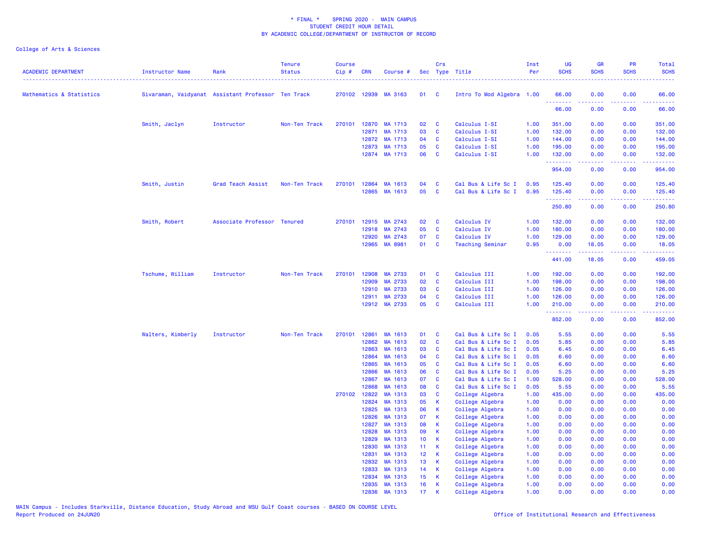| <b>ACADEMIC DEPARTMENT</b> | <b>Instructor Name</b> | Rank                                               | <b>Tenure</b><br><b>Status</b> | <b>Course</b><br>Cip# | <b>CRN</b>     | Course #             |                 | Crs           | Sec Type Title                             | Inst<br>Per  | <b>UG</b><br><b>SCHS</b> | <b>GR</b><br><b>SCHS</b> | <b>PR</b><br><b>SCHS</b>                                                                               | Total<br><b>SCHS</b> |
|----------------------------|------------------------|----------------------------------------------------|--------------------------------|-----------------------|----------------|----------------------|-----------------|---------------|--------------------------------------------|--------------|--------------------------|--------------------------|--------------------------------------------------------------------------------------------------------|----------------------|
| Mathematics & Statistics   |                        | Sivaraman, Vaidyanat Assistant Professor Ten Track |                                |                       |                | 270102 12939 MA 3163 | 01 C            |               | Intro To Mod Algebra 1.00                  |              | 66.00                    | 0.00                     | 0.00                                                                                                   | 66.00                |
|                            |                        |                                                    |                                |                       |                |                      |                 |               |                                            |              | .<br>66.00               | 0.00                     | 0.00                                                                                                   | 66.00                |
|                            | Smith, Jaclyn          | Instructor                                         | Non-Ten Track                  | 270101                | 12870          | MA 1713              | 02              | C             | Calculus I-SI                              | 1.00         | 351.00                   | 0.00                     | 0.00                                                                                                   | 351.00               |
|                            |                        |                                                    |                                |                       |                | 12871 MA 1713        | 03              | $\mathbf{C}$  | Calculus I-SI                              | 1.00         | 132.00                   | 0.00                     | 0.00                                                                                                   | 132.00               |
|                            |                        |                                                    |                                |                       | 12872          | MA 1713              | 04              | $\mathbf{C}$  | Calculus I-SI                              | 1.00         | 144.00                   | 0.00                     | 0.00                                                                                                   | 144.00               |
|                            |                        |                                                    |                                |                       | 12873          | MA 1713              | 05              | <b>C</b>      | Calculus I-SI                              | 1.00         | 195.00                   | 0.00                     | 0.00                                                                                                   | 195.00               |
|                            |                        |                                                    |                                |                       |                | 12874 MA 1713        | 06              | <b>C</b>      | Calculus I-SI                              | 1.00         | 132.00<br>.              | 0.00                     | 0.00                                                                                                   | 132.00<br>.          |
|                            |                        |                                                    |                                |                       |                |                      |                 |               |                                            |              | 954.00                   | 0.00                     | 0.00                                                                                                   | 954.00               |
|                            | Smith, Justin          | Grad Teach Assist                                  | Non-Ten Track                  |                       |                | 270101 12864 MA 1613 | 04              | C             | Cal Bus & Life Sc I                        | 0.95         | 125.40                   | 0.00                     | 0.00                                                                                                   | 125.40               |
|                            |                        |                                                    |                                |                       |                | 12865 MA 1613        | 05              | $\mathbf{C}$  | Cal Bus & Life Sc I                        | 0.95         | 125.40<br>.              | 0.00<br>.                | 0.00<br>.                                                                                              | 125.40<br>.          |
|                            |                        |                                                    |                                |                       |                |                      |                 |               |                                            |              | 250.80                   | 0.00                     | 0.00                                                                                                   | 250.80               |
|                            | Smith, Robert          | Associate Professor Tenured                        |                                | 270101                |                | 12915 MA 2743        | 02              | <b>C</b>      | Calculus IV                                | 1.00         | 132.00                   | 0.00                     | 0.00                                                                                                   | 132.00               |
|                            |                        |                                                    |                                |                       | 12918          | MA 2743              | 05              | C             | Calculus IV                                | 1.00         | 180.00                   | 0.00                     | 0.00                                                                                                   | 180.00               |
|                            |                        |                                                    |                                |                       | 12920          | MA 2743              | 07              | $\mathbf{C}$  | Calculus IV                                | 1.00         | 129.00                   | 0.00                     | 0.00                                                                                                   | 129.00               |
|                            |                        |                                                    |                                |                       | 12965          | MA 8981              | 01              | $\mathbf{C}$  | <b>Teaching Seminar</b>                    | 0.95         | 0.00<br>.                | 18.05                    | 0.00<br>$\frac{1}{2} \left( \frac{1}{2} \right) \left( \frac{1}{2} \right) \left( \frac{1}{2} \right)$ | 18.05<br>.           |
|                            |                        |                                                    |                                |                       |                |                      |                 |               |                                            |              | 441.00                   | 18.05                    | 0.00                                                                                                   | 459.05               |
|                            | Tschume, William       | Instructor                                         | Non-Ten Track                  | 270101                | 12908          | MA 2733              | 01              | C             | Calculus III                               | 1.00         | 192.00                   | 0.00                     | 0.00                                                                                                   | 192.00               |
|                            |                        |                                                    |                                |                       | 12909          | MA 2733              | 02              | <b>C</b>      | Calculus III                               | 1.00         | 198.00                   | 0.00                     | 0.00                                                                                                   | 198.00               |
|                            |                        |                                                    |                                |                       | 12910          | MA 2733              | 03              | <b>C</b>      | Calculus III                               | 1.00         | 126.00                   | 0.00                     | 0.00                                                                                                   | 126.00               |
|                            |                        |                                                    |                                |                       | 12911          | MA 2733              | 04              | <b>C</b>      | Calculus III                               | 1.00         | 126.00                   | 0.00                     | 0.00                                                                                                   | 126.00               |
|                            |                        |                                                    |                                |                       |                | 12912 MA 2733        | 05              | <b>C</b>      | Calculus III                               | 1.00         | 210.00<br>.              | 0.00<br>22222            | 0.00                                                                                                   | 210.00<br>.          |
|                            |                        |                                                    |                                |                       |                |                      |                 |               |                                            |              | 852.00                   | 0.00                     | 0.00                                                                                                   | 852.00               |
|                            | Walters, Kimberly      | Instructor                                         | Non-Ten Track                  | 270101                | 12861          | MA 1613              | 01              | C             | Cal Bus & Life Sc I                        | 0.05         | 5.55                     | 0.00                     | 0.00                                                                                                   | 5.55                 |
|                            |                        |                                                    |                                |                       | 12862          | MA 1613              | 02              | <b>C</b>      | Cal Bus & Life Sc I                        | 0.05         | 5.85                     | 0.00                     | 0.00                                                                                                   | 5.85                 |
|                            |                        |                                                    |                                |                       | 12863          | MA 1613              | 03              | <b>C</b>      | Cal Bus & Life Sc I                        | 0.05         | 6.45                     | 0.00                     | 0.00                                                                                                   | 6.45                 |
|                            |                        |                                                    |                                |                       | 12864          | MA 1613              | 04              | <b>C</b>      | Cal Bus & Life Sc I                        | 0.05         | 6.60                     | 0.00                     | 0.00                                                                                                   | 6.60                 |
|                            |                        |                                                    |                                |                       | 12865          | MA 1613              | 05              | <b>C</b>      | Cal Bus & Life Sc I                        | 0.05         | 6.60                     | 0.00                     | 0.00                                                                                                   | 6.60                 |
|                            |                        |                                                    |                                |                       | 12866<br>12867 | MA 1613<br>MA 1613   | 06<br>07        | <b>C</b><br>C | Cal Bus & Life Sc I<br>Cal Bus & Life Sc I | 0.05<br>1.00 | 5.25<br>528.00           | 0.00<br>0.00             | 0.00<br>0.00                                                                                           | 5.25<br>528.00       |
|                            |                        |                                                    |                                |                       | 12868          | MA 1613              | 08              | <b>C</b>      | Cal Bus & Life Sc I                        | 0.05         | 5.55                     | 0.00                     | 0.00                                                                                                   | 5.55                 |
|                            |                        |                                                    |                                |                       | 270102 12822   | MA 1313              | 03              | C             | College Algebra                            | 1.00         | 435.00                   | 0.00                     | 0.00                                                                                                   | 435.00               |
|                            |                        |                                                    |                                |                       | 12824          | MA 1313              | 05              | <b>K</b>      | College Algebra                            | 1.00         | 0.00                     | 0.00                     | 0.00                                                                                                   | 0.00                 |
|                            |                        |                                                    |                                |                       | 12825          | MA 1313              | 06              | K             | College Algebra                            | 1.00         | 0.00                     | 0.00                     | 0.00                                                                                                   | 0.00                 |
|                            |                        |                                                    |                                |                       | 12826          | MA 1313              | 07              | $\mathsf{K}$  | College Algebra                            | 1.00         | 0.00                     | 0.00                     | 0.00                                                                                                   | 0.00                 |
|                            |                        |                                                    |                                |                       | 12827          | MA 1313              | 08              | $\mathsf{K}$  | College Algebra                            | 1.00         | 0.00                     | 0.00                     | 0.00                                                                                                   | 0.00                 |
|                            |                        |                                                    |                                |                       | 12828          | MA 1313              | 09              | K             | College Algebra                            | 1.00         | 0.00                     | 0.00                     | 0.00                                                                                                   | 0.00                 |
|                            |                        |                                                    |                                |                       | 12829          | MA 1313              | 10 <sub>1</sub> | $\mathsf{K}$  | College Algebra                            | 1.00         | 0.00                     | 0.00                     | 0.00                                                                                                   | 0.00                 |
|                            |                        |                                                    |                                |                       | 12830          | MA 1313              | 11 <sub>1</sub> | $\mathsf{K}$  | College Algebra                            | 1.00         | 0.00                     | 0.00                     | 0.00                                                                                                   | 0.00                 |
|                            |                        |                                                    |                                |                       | 12831          | MA 1313              | 12 <sub>2</sub> | $\mathsf{K}$  | College Algebra                            | 1.00         | 0.00                     | 0.00                     | 0.00                                                                                                   | 0.00                 |
|                            |                        |                                                    |                                |                       | 12832          | MA 1313              | 13              | $\mathsf{K}$  | College Algebra                            | 1.00         | 0.00                     | 0.00                     | 0.00                                                                                                   | 0.00                 |
|                            |                        |                                                    |                                |                       | 12833          | MA 1313              | 14              | $\mathbf{K}$  | College Algebra                            | 1.00         | 0.00                     | 0.00                     | 0.00                                                                                                   | 0.00                 |
|                            |                        |                                                    |                                |                       | 12834          | MA 1313              | 15 <sub>1</sub> | $\mathsf{K}$  | College Algebra                            | 1.00         | 0.00                     | 0.00                     | 0.00                                                                                                   | 0.00                 |
|                            |                        |                                                    |                                |                       | 12835<br>12836 | MA 1313              | 16<br>17        | K<br>K        | College Algebra                            | 1.00         | 0.00<br>0.00             | 0.00<br>0.00             | 0.00<br>0.00                                                                                           | 0.00                 |
|                            |                        |                                                    |                                |                       |                | MA 1313              |                 |               | College Algebra                            | 1.00         |                          |                          |                                                                                                        | 0.00                 |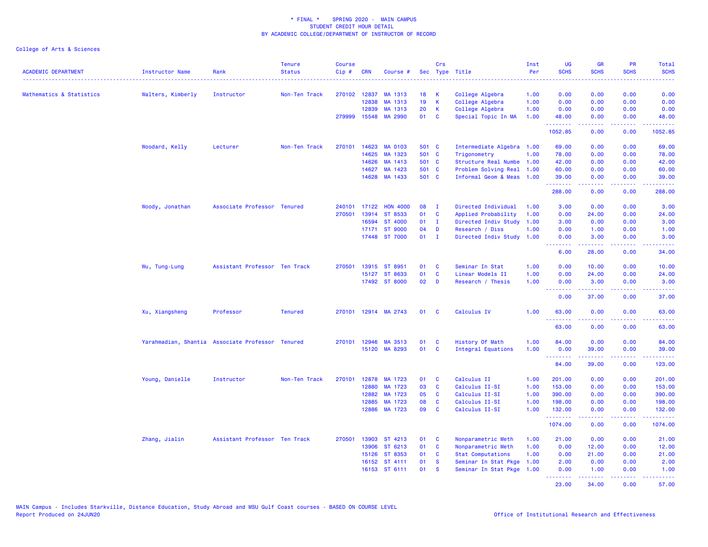| <b>ACADEMIC DEPARTMENT</b> | Instructor Name                                  | Rank                          | <b>Tenure</b><br><b>Status</b> | <b>Course</b><br>Cip# | <b>CRN</b>   | Course #             |                 | Crs            | Sec Type Title            | Inst<br>Per | <b>UG</b><br><b>SCHS</b>                            | <b>GR</b><br><b>SCHS</b>                                                                                                                                     | <b>PR</b><br><b>SCHS</b>            | Total<br><b>SCHS</b>                                                                                                                                            |
|----------------------------|--------------------------------------------------|-------------------------------|--------------------------------|-----------------------|--------------|----------------------|-----------------|----------------|---------------------------|-------------|-----------------------------------------------------|--------------------------------------------------------------------------------------------------------------------------------------------------------------|-------------------------------------|-----------------------------------------------------------------------------------------------------------------------------------------------------------------|
| Mathematics & Statistics   | Walters, Kimberly                                | Instructor                    | Non-Ten Track                  |                       | 270102 12837 | MA 1313              | 18              | К              | College Algebra           | 1.00        | 0.00                                                | 0.00                                                                                                                                                         | 0.00                                | 0.00                                                                                                                                                            |
|                            |                                                  |                               |                                |                       | 12838        | MA 1313              | 19              | $\mathsf K$    | College Algebra           | 1.00        | 0.00                                                | 0.00                                                                                                                                                         | 0.00                                | 0.00                                                                                                                                                            |
|                            |                                                  |                               |                                |                       | 12839        | MA 1313              | 20              | K              | College Algebra           | 1.00        | 0.00                                                | 0.00                                                                                                                                                         | 0.00                                | 0.00                                                                                                                                                            |
|                            |                                                  |                               |                                | 279999                | 15548        | MA 2990              | 01              | <b>C</b>       | Special Topic In MA       | 1.00        | 48.00                                               | 0.00                                                                                                                                                         | 0.00                                | 48.00                                                                                                                                                           |
|                            |                                                  |                               |                                |                       |              |                      |                 |                |                           |             | <b></b><br>1052.85                                  | .<br>0.00                                                                                                                                                    | $\sim$ $\sim$ $\sim$ $\sim$<br>0.00 | $\frac{1}{2} \left( \frac{1}{2} \right) \left( \frac{1}{2} \right) \left( \frac{1}{2} \right) \left( \frac{1}{2} \right) \left( \frac{1}{2} \right)$<br>1052.85 |
|                            | Woodard, Kelly                                   | Lecturer                      | Non-Ten Track                  | 270101                | 14623        | MA 0103              | 501 C           |                | Intermediate Algebra 1.00 |             | 69.00                                               | 0.00                                                                                                                                                         | 0.00                                | 69.00                                                                                                                                                           |
|                            |                                                  |                               |                                |                       | 14625        | MA 1323              | 501 C           |                | Trigonometry              | 1.00        | 78.00                                               | 0.00                                                                                                                                                         | 0.00                                | 78.00                                                                                                                                                           |
|                            |                                                  |                               |                                |                       | 14626        | MA 1413              | 501 C           |                | Structure Real Numbe      | 1.00        | 42.00                                               | 0.00                                                                                                                                                         | 0.00                                | 42.00                                                                                                                                                           |
|                            |                                                  |                               |                                |                       | 14627        | MA 1423              | 501 C           |                | Problem Solving Real      | 1.00        | 60.00                                               | 0.00                                                                                                                                                         | 0.00                                | 60.00                                                                                                                                                           |
|                            |                                                  |                               |                                |                       | 14628        | MA 1433              | 501 C           |                | Informal Geom & Meas      | 1.00        | 39.00<br>.                                          | 0.00<br>.                                                                                                                                                    | 0.00<br>.                           | 39.00<br>.                                                                                                                                                      |
|                            |                                                  |                               |                                |                       |              |                      |                 |                |                           |             | 288.00                                              | 0.00                                                                                                                                                         | 0.00                                | 288.00                                                                                                                                                          |
|                            | Woody, Jonathan                                  | Associate Professor Tenured   |                                | 240101                | 17122        | <b>HON 4000</b>      | 08              | $\mathbf{I}$   | Directed Individual       | 1.00        | 3.00                                                | 0.00                                                                                                                                                         | 0.00                                | 3.00                                                                                                                                                            |
|                            |                                                  |                               |                                | 270501                | 13914        | ST 8533              | 01              | C              | Applied Probability       | 1.00        | 0.00                                                | 24.00                                                                                                                                                        | 0.00                                | 24.00                                                                                                                                                           |
|                            |                                                  |                               |                                |                       | 16594        | ST 4000              | 01              | $\mathbf{I}$   | Directed Indiv Study      | 1.00        | 3.00                                                | 0.00                                                                                                                                                         | 0.00                                | 3.00                                                                                                                                                            |
|                            |                                                  |                               |                                |                       | 17171        | <b>ST 9000</b>       | 04              | D              | Research / Diss           | 1.00        | 0.00                                                | 1.00                                                                                                                                                         | 0.00                                | 1.00                                                                                                                                                            |
|                            |                                                  |                               |                                |                       |              | 17448 ST 7000        | 01              | $\blacksquare$ | Directed Indiv Study      | 1.00        | 0.00<br>.                                           | 3.00<br>$\frac{1}{2} \left( \frac{1}{2} \right) \left( \frac{1}{2} \right) \left( \frac{1}{2} \right) \left( \frac{1}{2} \right) \left( \frac{1}{2} \right)$ | 0.00<br>.                           | 3.00<br>.                                                                                                                                                       |
|                            |                                                  |                               |                                |                       |              |                      |                 |                |                           |             | 6.00                                                | 28.00                                                                                                                                                        | 0.00                                | 34.00                                                                                                                                                           |
|                            | Wu, Tung-Lung                                    | Assistant Professor Ten Track |                                | 270501                |              | 13915 ST 8951        | 01              | C              | Seminar In Stat           | 1.00        | 0.00                                                | 10.00                                                                                                                                                        | 0.00                                | 10.00                                                                                                                                                           |
|                            |                                                  |                               |                                |                       |              | 15127 ST 8633        | 01              | <b>C</b>       | Linear Models II          | 1.00        | 0.00                                                | 24.00                                                                                                                                                        | 0.00                                | 24.00                                                                                                                                                           |
|                            |                                                  |                               |                                |                       |              | 17492 ST 8000        | 02 <sub>o</sub> | D              | Research / Thesis         | 1.00        | 0.00                                                | 3.00                                                                                                                                                         | 0.00                                | 3.00                                                                                                                                                            |
|                            |                                                  |                               |                                |                       |              |                      |                 |                |                           |             | <b></b><br>0.00                                     | .<br>37.00                                                                                                                                                   | .<br>0.00                           | .<br>37.00                                                                                                                                                      |
|                            | Xu, Xiangsheng                                   | Professor                     | <b>Tenured</b>                 | 270101                |              | 12914 MA 2743        | 01              | <b>C</b>       | Calculus IV               | 1.00        | 63.00<br><b></b>                                    | 0.00<br>.                                                                                                                                                    | 0.00<br>.                           | 63.00<br>.                                                                                                                                                      |
|                            |                                                  |                               |                                |                       |              |                      |                 |                |                           |             | 63.00                                               | 0.00                                                                                                                                                         | 0.00                                | 63.00                                                                                                                                                           |
|                            | Yarahmadian, Shantia Associate Professor Tenured |                               |                                |                       |              | 270101 12946 MA 3513 | 01              | C              | History Of Math           | 1.00        | 84.00                                               | 0.00                                                                                                                                                         | 0.00                                | 84.00                                                                                                                                                           |
|                            |                                                  |                               |                                |                       |              | 15120 MA 8293        | 01              | <b>C</b>       | <b>Integral Equations</b> | 1.00        | 0.00                                                | 39.00                                                                                                                                                        | 0.00                                | 39.00                                                                                                                                                           |
|                            |                                                  |                               |                                |                       |              |                      |                 |                |                           |             | <b><i><u><u> - - - - - - -</u></u></i></b><br>84.00 | .<br>39.00                                                                                                                                                   | . <b>.</b><br>0.00                  | بالمستمات<br>123.00                                                                                                                                             |
|                            | Young, Danielle                                  | Instructor                    | Non-Ten Track                  | 270101                | 12878        | MA 1723              | 01              | C              | Calculus II               | 1.00        | 201.00                                              | 0.00                                                                                                                                                         | 0.00                                | 201.00                                                                                                                                                          |
|                            |                                                  |                               |                                |                       | 12880        | MA 1723              | 03              | $\mathbf{C}$   | Calculus II-SI            | 1.00        | 153.00                                              | 0.00                                                                                                                                                         | 0.00                                | 153.00                                                                                                                                                          |
|                            |                                                  |                               |                                |                       | 12882        | MA 1723              | 05              | C              | Calculus II-SI            | 1.00        | 390.00                                              | 0.00                                                                                                                                                         | 0.00                                | 390.00                                                                                                                                                          |
|                            |                                                  |                               |                                |                       | 12885        | MA 1723              | 08              | C              | Calculus II-SI            | 1.00        | 198.00                                              | 0.00                                                                                                                                                         | 0.00                                | 198.00                                                                                                                                                          |
|                            |                                                  |                               |                                |                       |              | 12886 MA 1723        | 09              | C              | Calculus II-SI            | 1.00        | 132.00                                              | 0.00                                                                                                                                                         | 0.00                                | 132.00                                                                                                                                                          |
|                            |                                                  |                               |                                |                       |              |                      |                 |                |                           |             | .<br>1074.00                                        | 22222<br>0.00                                                                                                                                                | .<br>0.00                           | .<br>1074.00                                                                                                                                                    |
|                            | Zhang, Jialin                                    | Assistant Professor Ten Track |                                | 270501                | 13903        | ST 4213              | 01              | C              | Nonparametric Meth        | 1.00        | 21.00                                               | 0.00                                                                                                                                                         | 0.00                                | 21.00                                                                                                                                                           |
|                            |                                                  |                               |                                |                       | 13906        | ST 6213              | 01              | <b>C</b>       | Nonparametric Meth        | 1.00        | 0.00                                                | 12.00                                                                                                                                                        | 0.00                                | 12.00                                                                                                                                                           |
|                            |                                                  |                               |                                |                       | 15126        | ST 8353              | 01              | <b>C</b>       | <b>Stat Computations</b>  | 1.00        | 0.00                                                | 21.00                                                                                                                                                        | 0.00                                | 21.00                                                                                                                                                           |
|                            |                                                  |                               |                                |                       |              | 16152 ST 4111        | 01              | <b>S</b>       | Seminar In Stat Pkge      | 1.00        | 2.00                                                | 0.00                                                                                                                                                         | 0.00                                | 2.00                                                                                                                                                            |
|                            |                                                  |                               |                                |                       |              | 16153 ST 6111        | 01              | $\mathbf{s}$   | Seminar In Stat Pkge      | 1.00        | 0.00                                                | 1.00                                                                                                                                                         | 0.00                                | 1.00                                                                                                                                                            |
|                            |                                                  |                               |                                |                       |              |                      |                 |                |                           |             | .<br>23.00                                          | $\omega$ is a set of<br>34.00                                                                                                                                | ن د د د<br>0.00                     | .<br>57.00                                                                                                                                                      |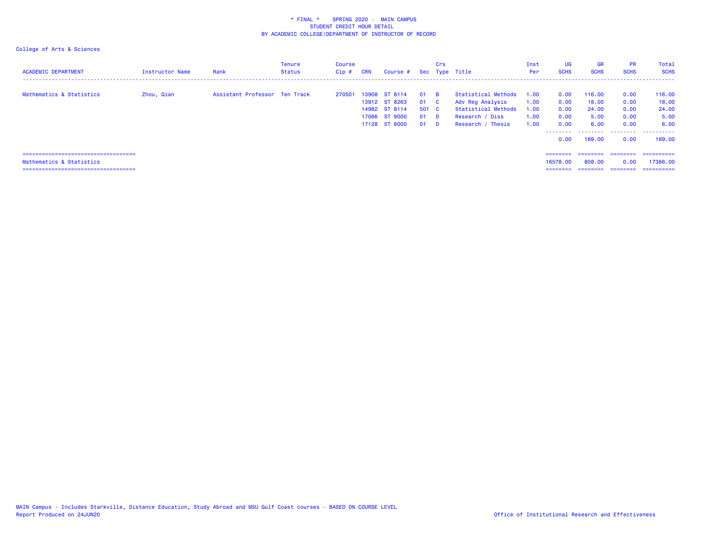| <b>ACADEMIC DEPARTMENT</b>                                                                                  | Instructor Name | Rank                          | Tenure<br><b>Status</b> | Course<br>Cip# | <b>CRN</b> | Course #                                                                          |                                   | <b>Crs</b>                       | Sec Type Title                                                                                                | Inst<br>Per                          | <b>UG</b><br><b>SCHS</b>                     | <b>GR</b><br><b>SCHS</b>                           | <b>PR</b><br><b>SCHS</b>                          | Total<br><b>SCHS</b>                                    |
|-------------------------------------------------------------------------------------------------------------|-----------------|-------------------------------|-------------------------|----------------|------------|-----------------------------------------------------------------------------------|-----------------------------------|----------------------------------|---------------------------------------------------------------------------------------------------------------|--------------------------------------|----------------------------------------------|----------------------------------------------------|---------------------------------------------------|---------------------------------------------------------|
| Mathematics & Statistics                                                                                    | Zhou, Qian      | Assistant Professor Ten Track |                         | 270501         |            | 13908 ST 8114<br>13912 ST 8263<br>14982 ST 8114<br>17066 ST 9000<br>17128 ST 8000 | - 01<br>01 C<br>501 C<br>01<br>01 | <b>R</b><br><b>D</b><br><b>D</b> | Statistical Methods<br>Adv Reg Analysis<br><b>Statistical Methods</b><br>Research / Diss<br>Research / Thesis | 1.00<br>1.00<br>1.00<br>1.00<br>1.00 | 0.00<br>0.00<br>0.00<br>0.00<br>0.00<br>0.00 | 116.00<br>18.00<br>24.00<br>5.00<br>6.00<br>169,00 | 0.00<br>0.00<br>0.00<br>0.00<br>0.00<br>.<br>0.00 | 116.00<br>18.00<br>24.00<br>5.00<br>6.00<br>.<br>169.00 |
| ======================================<br>Mathematics & Statistics<br>===================================== |                 |                               |                         |                |            |                                                                                   |                                   |                                  |                                                                                                               |                                      | $=$ = = = = = = =<br>16578.00<br>========    | ========<br>808,00                                 | ========<br>0.00<br>========                      | -----------<br>17386.00<br>==========                   |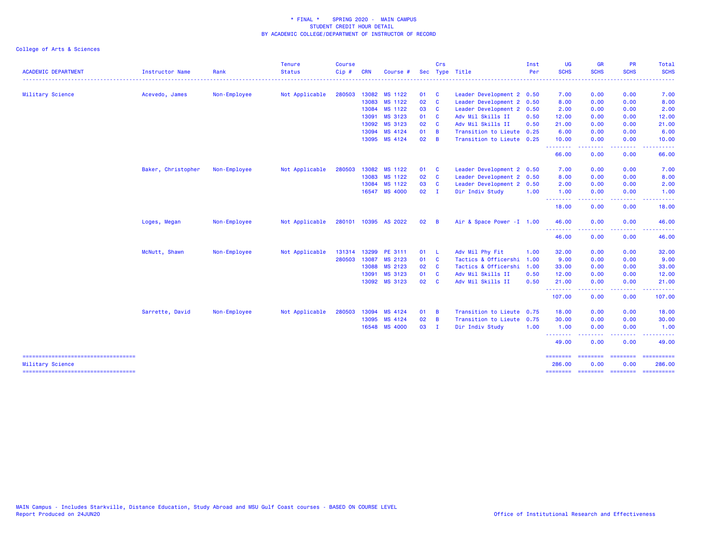|                                            |                        |              | <b>Tenure</b>  | <b>Course</b> |            |                      |              | Crs                     |                            | Inst | <b>UG</b>                 | <b>GR</b>                                                                                                                                                    | PR                                                                                                                                | Total                                                                                                                                                                                                                                                                                                                                                                                                                                                                                  |
|--------------------------------------------|------------------------|--------------|----------------|---------------|------------|----------------------|--------------|-------------------------|----------------------------|------|---------------------------|--------------------------------------------------------------------------------------------------------------------------------------------------------------|-----------------------------------------------------------------------------------------------------------------------------------|----------------------------------------------------------------------------------------------------------------------------------------------------------------------------------------------------------------------------------------------------------------------------------------------------------------------------------------------------------------------------------------------------------------------------------------------------------------------------------------|
| <b>ACADEMIC DEPARTMENT</b><br>. <b>.</b> . | <b>Instructor Name</b> | Rank         | <b>Status</b>  | Cip#          | <b>CRN</b> | Course               |              |                         | Sec Type Title             | Per  | <b>SCHS</b>               | <b>SCHS</b>                                                                                                                                                  | <b>SCHS</b>                                                                                                                       | <b>SCHS</b>                                                                                                                                                                                                                                                                                                                                                                                                                                                                            |
| Military Science                           | Acevedo, James         | Non-Employee | Not Applicable | 280503        | 13082      | MS 1122              | 01           | <b>C</b>                | Leader Development 2 0.50  |      | 7.00                      | 0.00                                                                                                                                                         | 0.00                                                                                                                              | 7.00                                                                                                                                                                                                                                                                                                                                                                                                                                                                                   |
|                                            |                        |              |                |               | 13083      | MS 1122              | 02           | <b>C</b>                | Leader Development 2 0.50  |      | 8.00                      | 0.00                                                                                                                                                         | 0.00                                                                                                                              | 8.00                                                                                                                                                                                                                                                                                                                                                                                                                                                                                   |
|                                            |                        |              |                |               | 13084      | MS 1122              | 03           | $\overline{\mathbf{c}}$ | Leader Development 2       | 0.50 | 2.00                      | 0.00                                                                                                                                                         | 0.00                                                                                                                              | 2.00                                                                                                                                                                                                                                                                                                                                                                                                                                                                                   |
|                                            |                        |              |                |               | 13091      | MS 3123              | 01 C         |                         | Adv Mil Skills II          | 0.50 | 12.00                     | 0.00                                                                                                                                                         | 0.00                                                                                                                              | 12.00                                                                                                                                                                                                                                                                                                                                                                                                                                                                                  |
|                                            |                        |              |                |               | 13092      | MS 3123              | 02           | <b>C</b>                | Adv Mil Skills II          | 0.50 | 21.00                     | 0.00                                                                                                                                                         | 0.00                                                                                                                              | 21.00                                                                                                                                                                                                                                                                                                                                                                                                                                                                                  |
|                                            |                        |              |                |               | 13094      | MS 4124              | 01 B         |                         | Transition to Lieute       | 0.25 | 6.00                      | 0.00                                                                                                                                                         | 0.00                                                                                                                              | 6.00                                                                                                                                                                                                                                                                                                                                                                                                                                                                                   |
|                                            |                        |              |                |               | 13095      | MS 4124              | 02           | $\overline{B}$          | Transition to Lieute 0.25  |      | 10.00                     | 0.00                                                                                                                                                         | 0.00                                                                                                                              | 10.00                                                                                                                                                                                                                                                                                                                                                                                                                                                                                  |
|                                            |                        |              |                |               |            |                      |              |                         |                            |      | - - - - - - - -<br>66.00  | .<br>0.00                                                                                                                                                    | $\frac{1}{2} \left( \frac{1}{2} \right) \left( \frac{1}{2} \right) \left( \frac{1}{2} \right) \left( \frac{1}{2} \right)$<br>0.00 | . <b>.</b><br>66.00                                                                                                                                                                                                                                                                                                                                                                                                                                                                    |
|                                            | Baker, Christopher     | Non-Employee | Not Applicable | 280503        | 13082      | MS 1122              | 01 C         |                         | Leader Development 2 0.50  |      | 7.00                      | 0.00                                                                                                                                                         | 0.00                                                                                                                              | 7.00                                                                                                                                                                                                                                                                                                                                                                                                                                                                                   |
|                                            |                        |              |                |               | 13083      | MS 1122              | 02           | $\overline{\mathbf{C}}$ | Leader Development 2 0.50  |      | 8.00                      | 0.00                                                                                                                                                         | 0.00                                                                                                                              | 8.00                                                                                                                                                                                                                                                                                                                                                                                                                                                                                   |
|                                            |                        |              |                |               | 13084      | MS 1122              | 03           | <b>C</b>                | Leader Development 2 0.50  |      | 2.00                      | 0.00                                                                                                                                                         | 0.00                                                                                                                              | 2.00                                                                                                                                                                                                                                                                                                                                                                                                                                                                                   |
|                                            |                        |              |                |               |            | 16547 MS 4000        | 02           | - 1                     | Dir Indiv Study            | 1.00 | 1.00                      | 0.00                                                                                                                                                         | 0.00                                                                                                                              | 1.00                                                                                                                                                                                                                                                                                                                                                                                                                                                                                   |
|                                            |                        |              |                |               |            |                      |              |                         |                            |      | .<br>18.00                | .<br>0.00                                                                                                                                                    | 0.00                                                                                                                              | .<br>18.00                                                                                                                                                                                                                                                                                                                                                                                                                                                                             |
|                                            | Loges, Megan           | Non-Employee | Not Applicable |               |            | 280101 10395 AS 2022 | $02 \quad B$ |                         | Air & Space Power - I 1.00 |      | 46.00                     | 0.00                                                                                                                                                         | 0.00                                                                                                                              | 46.00                                                                                                                                                                                                                                                                                                                                                                                                                                                                                  |
|                                            |                        |              |                |               |            |                      |              |                         |                            |      | .<br>46.00                | $\frac{1}{2} \left( \frac{1}{2} \right) \left( \frac{1}{2} \right) \left( \frac{1}{2} \right) \left( \frac{1}{2} \right) \left( \frac{1}{2} \right)$<br>0.00 | .<br>0.00                                                                                                                         | .<br>46.00                                                                                                                                                                                                                                                                                                                                                                                                                                                                             |
|                                            | McNutt, Shawn          | Non-Employee | Not Applicable | 131314 13299  |            | PE 3111              | 01 L         |                         | Adv Mil Phy Fit            | 1.00 | 32.00                     | 0.00                                                                                                                                                         | 0.00                                                                                                                              | 32.00                                                                                                                                                                                                                                                                                                                                                                                                                                                                                  |
|                                            |                        |              |                | 280503 13087  |            | MS 2123              | 01 C         |                         | Tactics & Officershi 1.00  |      | 9.00                      | 0.00                                                                                                                                                         | 0.00                                                                                                                              | 9.00                                                                                                                                                                                                                                                                                                                                                                                                                                                                                   |
|                                            |                        |              |                |               | 13088      | MS 2123              | 02 C         |                         | Tactics & Officershi       | 1.00 | 33.00                     | 0.00                                                                                                                                                         | 0.00                                                                                                                              | 33.00                                                                                                                                                                                                                                                                                                                                                                                                                                                                                  |
|                                            |                        |              |                |               | 13091      | MS 3123              | 01 C         |                         | Adv Mil Skills II          | 0.50 | 12.00                     | 0.00                                                                                                                                                         | 0.00                                                                                                                              | 12.00                                                                                                                                                                                                                                                                                                                                                                                                                                                                                  |
|                                            |                        |              |                |               |            | 13092 MS 3123        | 02 C         |                         | Adv Mil Skills II          | 0.50 | 21.00                     | 0.00<br>$  -$                                                                                                                                                | 0.00<br>$   -$                                                                                                                    | 21.00                                                                                                                                                                                                                                                                                                                                                                                                                                                                                  |
|                                            |                        |              |                |               |            |                      |              |                         |                            |      | - - - - - - - -<br>107.00 | 0.00                                                                                                                                                         | 0.00                                                                                                                              | 107.00                                                                                                                                                                                                                                                                                                                                                                                                                                                                                 |
|                                            | Sarrette, David        | Non-Employee | Not Applicable | 280503        | 13094      | MS 4124              | $01 \quad B$ |                         | Transition to Lieute 0.75  |      | 18.00                     | 0.00                                                                                                                                                         | 0.00                                                                                                                              | 18.00                                                                                                                                                                                                                                                                                                                                                                                                                                                                                  |
|                                            |                        |              |                |               | 13095      | MS 4124              | 02           | $\overline{B}$          | Transition to Lieute 0.75  |      | 30.00                     | 0.00                                                                                                                                                         | 0.00                                                                                                                              | 30.00                                                                                                                                                                                                                                                                                                                                                                                                                                                                                  |
|                                            |                        |              |                |               | 16548      | <b>MS 4000</b>       | 03           | $\blacksquare$          | Dir Indiv Study            | 1.00 | 1.00                      | 0.00                                                                                                                                                         | 0.00                                                                                                                              | 1.00                                                                                                                                                                                                                                                                                                                                                                                                                                                                                   |
|                                            |                        |              |                |               |            |                      |              |                         |                            |      | .<br>49.00                | 0.00                                                                                                                                                         | 0.00                                                                                                                              | 49.00                                                                                                                                                                                                                                                                                                                                                                                                                                                                                  |
| =====================================      |                        |              |                |               |            |                      |              |                         |                            |      | ========                  |                                                                                                                                                              | ========                                                                                                                          | $\begin{array}{cccccccccc} \multicolumn{2}{c}{} & \multicolumn{2}{c}{} & \multicolumn{2}{c}{} & \multicolumn{2}{c}{} & \multicolumn{2}{c}{} & \multicolumn{2}{c}{} & \multicolumn{2}{c}{} & \multicolumn{2}{c}{} & \multicolumn{2}{c}{} & \multicolumn{2}{c}{} & \multicolumn{2}{c}{} & \multicolumn{2}{c}{} & \multicolumn{2}{c}{} & \multicolumn{2}{c}{} & \multicolumn{2}{c}{} & \multicolumn{2}{c}{} & \multicolumn{2}{c}{} & \multicolumn{2}{c}{} & \multicolumn{2}{c}{} & \mult$ |
| Military Science                           |                        |              |                |               |            |                      |              |                         |                            |      | 286.00                    | 0.00                                                                                                                                                         | 0.00                                                                                                                              | 286.00<br>======== ======== ======== =========                                                                                                                                                                                                                                                                                                                                                                                                                                         |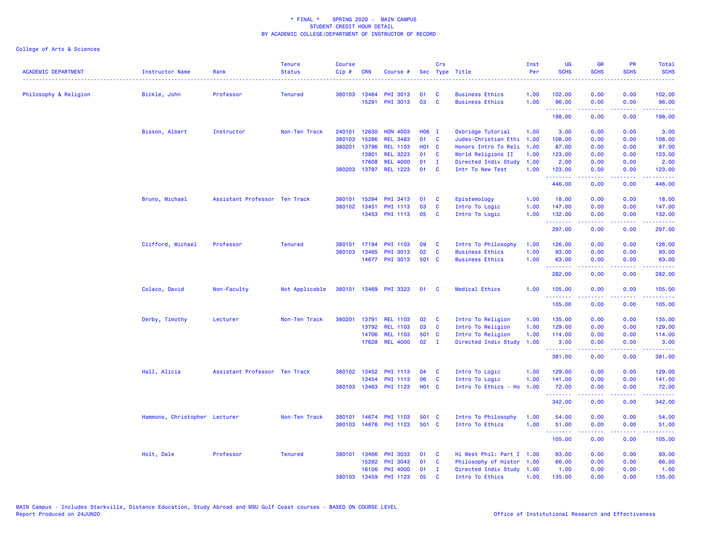| <b>ACADEMIC DEPARTMENT</b><br>------------------------------------ | Instructor Name<br><u>.</u>   | Rank                          | <b>Tenure</b><br><b>Status</b> | <b>Course</b><br>Cip# | <b>CRN</b>   | Course #              |              | Crs          | Sec Type Title            | Inst<br>Per | UG<br><b>SCHS</b>   | <b>GR</b><br><b>SCHS</b>                                                                                                                                     | PR<br><b>SCHS</b> | Total<br><b>SCHS</b>                                                                                                                                          |
|--------------------------------------------------------------------|-------------------------------|-------------------------------|--------------------------------|-----------------------|--------------|-----------------------|--------------|--------------|---------------------------|-------------|---------------------|--------------------------------------------------------------------------------------------------------------------------------------------------------------|-------------------|---------------------------------------------------------------------------------------------------------------------------------------------------------------|
| Philosophy & Religion                                              | Bickle, John                  | Professor                     | <b>Tenured</b>                 | 380103                | 13464        | <b>PHI 3013</b>       | 01           | - C          | <b>Business Ethics</b>    | 1.00        | 102.00              | 0.00                                                                                                                                                         | 0.00              | 102.00                                                                                                                                                        |
|                                                                    |                               |                               |                                |                       | 15291        | PHI 3013              | 03           | <b>C</b>     | <b>Business Ethics</b>    | 1.00        | 96.00<br>. <b>.</b> | 0.00<br>$- - - - -$                                                                                                                                          | 0.00<br>.         | 96.00<br>$\frac{1}{2} \left( \frac{1}{2} \right) \left( \frac{1}{2} \right) \left( \frac{1}{2} \right) \left( \frac{1}{2} \right) \left( \frac{1}{2} \right)$ |
|                                                                    |                               |                               |                                |                       |              |                       |              |              |                           |             | 198.00              | 0.00                                                                                                                                                         | 0.00              | 198.00                                                                                                                                                        |
|                                                                    | Bisson, Albert                | Instructor                    | Non-Ten Track                  | 240101                | 12630        | <b>HON 4003</b>       | H06 I        |              | Oxbridge Tutorial         | 1.00        | 3.00                | 0.00                                                                                                                                                         | 0.00              | 3.00                                                                                                                                                          |
|                                                                    |                               |                               |                                | 380103                | 15286        | <b>REL 3483</b>       | 01           | <b>C</b>     | Judeo-Christian Ethi      | 1.00        | 108.00              | 0.00                                                                                                                                                         | 0.00              | 108.00                                                                                                                                                        |
|                                                                    |                               |                               |                                | 380201                | 13796        | <b>REL 1103</b>       | <b>HO1 C</b> |              | Honors Intro To Reli      | 1.00        | 87.00               | 0.00                                                                                                                                                         | 0.00              | 87.00                                                                                                                                                         |
|                                                                    |                               |                               |                                |                       | 13801        | <b>REL 3223</b>       | 01           | <b>C</b>     | World Religions II        | 1.00        | 123.00              | 0.00                                                                                                                                                         | 0.00              | 123.00                                                                                                                                                        |
|                                                                    |                               |                               |                                |                       | 17608        | <b>REL 4000</b>       | 01           | - 1          | Directed Indiv Study      | 1.00        | 2.00                | 0.00                                                                                                                                                         | 0.00              | 2.00                                                                                                                                                          |
|                                                                    |                               |                               |                                |                       | 380203 13797 | <b>REL 1223</b>       | 01           | - C          | Intr To New Test          | 1.00        | 123.00<br>.         | 0.00<br>.                                                                                                                                                    | 0.00<br>.         | 123.00                                                                                                                                                        |
|                                                                    |                               |                               |                                |                       |              |                       |              |              |                           |             | 446.00              | 0.00                                                                                                                                                         | 0.00              | 446.00                                                                                                                                                        |
|                                                                    | Bruno, Michael                | Assistant Professor Ten Track |                                | 380101                | 15294        | PHI 3413              | 01           | $\mathbf{C}$ | Epistemology              | 1.00        | 18.00               | 0.00                                                                                                                                                         | 0.00              | 18.00                                                                                                                                                         |
|                                                                    |                               |                               |                                | 380102                | 13451        | PHI 1113              | 03           | $\mathbf{C}$ | Intro To Logic            | 1.00        | 147.00              | 0.00                                                                                                                                                         | 0.00              | 147.00                                                                                                                                                        |
|                                                                    |                               |                               |                                |                       | 13453        | <b>PHI 1113</b>       | 05           | - C          | Intro To Logic            | 1.00        | 132.00              | 0.00<br>.                                                                                                                                                    | 0.00<br>.         | 132.00<br>.                                                                                                                                                   |
|                                                                    |                               |                               |                                |                       |              |                       |              |              |                           |             | 297.00              | 0.00                                                                                                                                                         | 0.00              | 297.00                                                                                                                                                        |
|                                                                    | Clifford, Michael             | Professor                     | <b>Tenured</b>                 | 380101                | 17194        | PHI 1103              | 09           | <b>C</b>     | Intro To Philosophy       | 1.00        | 126.00              | 0.00                                                                                                                                                         | 0.00              | 126.00                                                                                                                                                        |
|                                                                    |                               |                               |                                | 380103                | 13465        | PHI 3013              | 02           | $\mathbf{C}$ | <b>Business Ethics</b>    | 1.00        | 93.00               | 0.00                                                                                                                                                         | 0.00              | 93.00                                                                                                                                                         |
|                                                                    |                               |                               |                                |                       |              | 14677 PHI 3013        | 501 C        |              | <b>Business Ethics</b>    | 1.00        | 63.00               | 0.00                                                                                                                                                         | 0.00              | 63.00                                                                                                                                                         |
|                                                                    |                               |                               |                                |                       |              |                       |              |              |                           |             | .<br>282.00         | <u>.</u><br>0.00                                                                                                                                             | .<br>0.00         | .<br>282.00                                                                                                                                                   |
|                                                                    | Colaco, David                 | Non-Faculty                   | Not Applicable                 |                       |              | 380101 13469 PHI 3323 | 01           | $\mathbf{C}$ | <b>Medical Ethics</b>     | 1.00        | 105.00              | 0.00                                                                                                                                                         | 0.00              | 105.00                                                                                                                                                        |
|                                                                    |                               |                               |                                |                       |              |                       |              |              |                           |             | .<br>105.00         | $\frac{1}{2} \left( \frac{1}{2} \right) \left( \frac{1}{2} \right) \left( \frac{1}{2} \right) \left( \frac{1}{2} \right) \left( \frac{1}{2} \right)$<br>0.00 | .<br>0.00         | .<br>105.00                                                                                                                                                   |
|                                                                    | Derby, Timothy                | Lecturer                      | Non-Ten Track                  | 380201                | 13791        | <b>REL 1103</b>       | 02           | - C          | Intro To Religion         | 1.00        | 135.00              | 0.00                                                                                                                                                         | 0.00              | 135.00                                                                                                                                                        |
|                                                                    |                               |                               |                                |                       | 13792        | <b>REL 1103</b>       | 03           | $\mathbf{C}$ | Intro To Religion         | 1.00        | 129.00              | 0.00                                                                                                                                                         | 0.00              | 129.00                                                                                                                                                        |
|                                                                    |                               |                               |                                |                       | 14706        | <b>REL 1103</b>       | 501 C        |              | Intro To Religion         | 1.00        | 114.00              | 0.00                                                                                                                                                         | 0.00              | 114.00                                                                                                                                                        |
|                                                                    |                               |                               |                                |                       | 17628        | <b>REL 4000</b>       | 02           | $\mathbf I$  | Directed Indiv Study      | 1.00        | 3.00<br>.           | 0.00                                                                                                                                                         | 0.00              | 3.00                                                                                                                                                          |
|                                                                    |                               |                               |                                |                       |              |                       |              |              |                           |             | 381.00              | 0.00                                                                                                                                                         | 0.00              | 381.00                                                                                                                                                        |
|                                                                    | Hall, Alicia                  | Assistant Professor Ten Track |                                |                       | 380102 13452 | PHI 1113              | 04           | $\mathbf{C}$ | Intro To Logic            | 1.00        | 129.00              | 0.00                                                                                                                                                         | 0.00              | 129.00                                                                                                                                                        |
|                                                                    |                               |                               |                                |                       | 13454        | PHI 1113              | 06           | <b>C</b>     | Intro To Logic            | 1.00        | 141.00              | 0.00                                                                                                                                                         | 0.00              | 141.00                                                                                                                                                        |
|                                                                    |                               |                               |                                |                       | 380103 13463 | PHI 1123              | <b>HO1 C</b> |              | Intro To Ethics - Ho      | 1.00        | 72.00<br>.          | 0.00                                                                                                                                                         | 0.00              | 72.00<br>.                                                                                                                                                    |
|                                                                    |                               |                               |                                |                       |              |                       |              |              |                           |             | 342.00              | 0.00                                                                                                                                                         | 0.00              | 342.00                                                                                                                                                        |
|                                                                    | Hammons, Christopher Lecturer |                               | Non-Ten Track                  |                       | 380101 14674 | PHI 1103              | 501 C        |              | Intro To Philosophy       | 1.00        | 54.00               | 0.00                                                                                                                                                         | 0.00              | 54.00                                                                                                                                                         |
|                                                                    |                               |                               |                                |                       |              | 380103 14676 PHI 1123 | 501 C        |              | Intro To Ethics           | 1.00        | 51.00<br>.          | 0.00<br>.                                                                                                                                                    | 0.00<br>.         | 51.00<br>.                                                                                                                                                    |
|                                                                    |                               |                               |                                |                       |              |                       |              |              |                           |             | 105.00              | 0.00                                                                                                                                                         | 0.00              | 105.00                                                                                                                                                        |
|                                                                    | Holt, Dale                    | Professor                     | <b>Tenured</b>                 | 380101                | 13466        | <b>PHI 3033</b>       | 01           | <b>C</b>     | Hi West Phil: Part I 1.00 |             | 93.00               | 0.00                                                                                                                                                         | 0.00              | 93.00                                                                                                                                                         |
|                                                                    |                               |                               |                                |                       | 15292        | PHI 3043              | 01           | C            | Philosophy of Histor 1.00 |             | 66.00               | 0.00                                                                                                                                                         | 0.00              | 66.00                                                                                                                                                         |
|                                                                    |                               |                               |                                |                       | 16106        | PHI 4000              | 01           | I            | Directed Indiv Study 1.00 |             | 1.00                | 0.00                                                                                                                                                         | 0.00              | 1.00                                                                                                                                                          |
|                                                                    |                               |                               |                                | 380103                | 13459        | PHI 1123              | 05           | <b>C</b>     | Intro To Ethics           | 1.00        | 135.00              | 0.00                                                                                                                                                         | 0.00              | 135.00                                                                                                                                                        |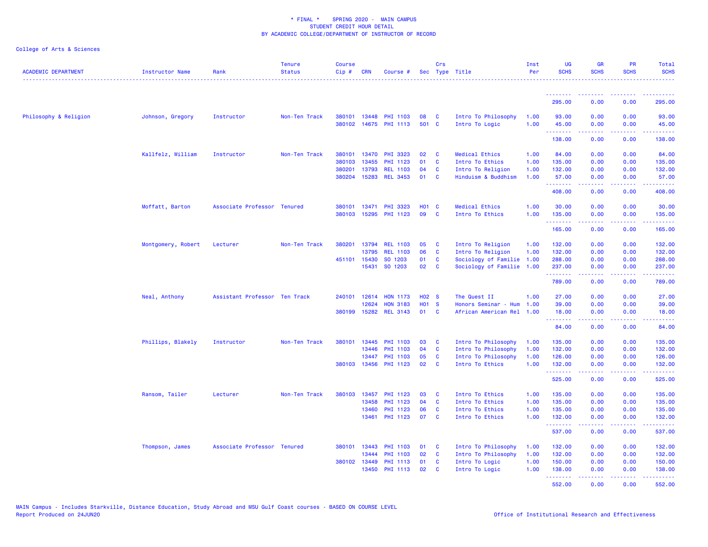| <b>ACADEMIC DEPARTMENT</b> | <b>Instructor Name</b> | Rank                          | <b>Tenure</b><br><b>Status</b> | <b>Course</b><br>Cip# | <b>CRN</b>   | Course #        |              | Crs          | Sec Type Title            | Inst<br>Per | <b>UG</b><br><b>SCHS</b> | <b>GR</b><br><b>SCHS</b>                                                                                                                                     | <b>PR</b><br><b>SCHS</b> | Total<br><b>SCHS</b>                                                                                                  |
|----------------------------|------------------------|-------------------------------|--------------------------------|-----------------------|--------------|-----------------|--------------|--------------|---------------------------|-------------|--------------------------|--------------------------------------------------------------------------------------------------------------------------------------------------------------|--------------------------|-----------------------------------------------------------------------------------------------------------------------|
|                            |                        |                               |                                |                       |              |                 |              |              |                           |             | .                        | --------                                                                                                                                                     | -----                    | $- - - - - - -$<br>.                                                                                                  |
|                            |                        |                               |                                |                       |              |                 |              |              |                           |             | 295.00                   | 0.00                                                                                                                                                         | 0.00                     | 295.00                                                                                                                |
| Philosophy & Religion      | Johnson, Gregory       | Instructor                    | Non-Ten Track                  |                       | 380101 13448 | <b>PHI 1103</b> | 08           | <b>C</b>     | Intro To Philosophy       | 1.00        | 93.00                    | 0.00                                                                                                                                                         | 0.00                     | 93.00                                                                                                                 |
|                            |                        |                               |                                |                       | 380102 14675 | <b>PHI 1113</b> | 501 C        |              | Intro To Logic            | 1.00        | 45.00<br><u>.</u>        | 0.00<br>.                                                                                                                                                    | 0.00<br>.                | 45.00<br>.                                                                                                            |
|                            |                        |                               |                                |                       |              |                 |              |              |                           |             | 138.00                   | 0.00                                                                                                                                                         | 0.00                     | 138.00                                                                                                                |
|                            | Kallfelz, William      | Instructor                    | Non-Ten Track                  | 380101                | 13470        | <b>PHI 3323</b> | 02           | $\mathbf{C}$ | Medical Ethics            | 1.00        | 84.00                    | 0.00                                                                                                                                                         | 0.00                     | 84.00                                                                                                                 |
|                            |                        |                               |                                | 380103                | 13455        | PHI 1123        | 01           | <b>C</b>     | Intro To Ethics           | 1.00        | 135.00                   | 0.00                                                                                                                                                         | 0.00                     | 135.00                                                                                                                |
|                            |                        |                               |                                | 380201                | 13793        | <b>REL 1103</b> | 04           | <b>C</b>     | Intro To Religion         | 1.00        | 132.00                   | 0.00                                                                                                                                                         | 0.00                     | 132.00                                                                                                                |
|                            |                        |                               |                                |                       | 380204 15283 | <b>REL 3453</b> | 01           | $\mathbf{C}$ | Hinduism & Buddhism       | 1.00        | 57.00<br>.               | 0.00<br>.                                                                                                                                                    | 0.00<br>22222            | 57.00<br>------                                                                                                       |
|                            |                        |                               |                                |                       |              |                 |              |              |                           |             | 408.00                   | 0.00                                                                                                                                                         | 0.00                     | 408.00                                                                                                                |
|                            | Moffatt, Barton        | Associate Professor Tenured   |                                | 380101 13471          |              | PHI 3323        | <b>HO1 C</b> |              | Medical Ethics            | 1.00        | 30.00                    | 0.00                                                                                                                                                         | 0.00                     | 30.00                                                                                                                 |
|                            |                        |                               |                                |                       | 380103 15295 | PHI 1123        | 09           | <b>C</b>     | Intro To Ethics           | 1.00        | 135.00                   | 0.00                                                                                                                                                         | 0.00                     | 135.00                                                                                                                |
|                            |                        |                               |                                |                       |              |                 |              |              |                           |             | . <u>.</u><br>165.00     | 0.00                                                                                                                                                         | 0.00                     | .<br>165.00                                                                                                           |
|                            | Montgomery, Robert     | Lecturer                      | Non-Ten Track                  | 380201                | 13794        | <b>REL 1103</b> | 05           | $\mathbf{C}$ | Intro To Religion         | 1.00        | 132.00                   | 0.00                                                                                                                                                         | 0.00                     | 132.00                                                                                                                |
|                            |                        |                               |                                |                       | 13795        | <b>REL 1103</b> | 06           | $\mathbf{C}$ | Intro To Religion         | 1.00        | 132.00                   | 0.00                                                                                                                                                         | 0.00                     | 132.00                                                                                                                |
|                            |                        |                               |                                |                       | 451101 15430 | SO 1203         | 01           | <b>C</b>     | Sociology of Familie 1.00 |             | 288.00                   | 0.00                                                                                                                                                         | 0.00                     | 288.00                                                                                                                |
|                            |                        |                               |                                |                       |              | 15431 SO 1203   | 02           | $\mathbf{C}$ | Sociology of Familie 1.00 |             | 237.00                   | 0.00                                                                                                                                                         | 0.00                     | 237.00                                                                                                                |
|                            |                        |                               |                                |                       |              |                 |              |              |                           |             | .<br>789.00              | $\frac{1}{2} \left( \frac{1}{2} \right) \left( \frac{1}{2} \right) \left( \frac{1}{2} \right) \left( \frac{1}{2} \right) \left( \frac{1}{2} \right)$<br>0.00 | .<br>0.00                | 222222<br>789.00                                                                                                      |
|                            | Neal, Anthony          | Assistant Professor Ten Track |                                |                       | 240101 12614 | <b>HON 1173</b> | <b>HO2 S</b> |              | The Quest II              | 1.00        | 27.00                    | 0.00                                                                                                                                                         | 0.00                     | 27.00                                                                                                                 |
|                            |                        |                               |                                |                       | 12624        | <b>HON 3183</b> | H01 S        |              | Honors Seminar - Hum      | 1.00        | 39.00                    | 0.00                                                                                                                                                         | 0.00                     | 39.00                                                                                                                 |
|                            |                        |                               |                                | 380199 15282          |              | <b>REL 3143</b> | 01 C         |              | African American Rel 1.00 |             | 18.00<br><u>.</u>        | 0.00<br>.                                                                                                                                                    | 0.00<br>.                | 18.00<br>.                                                                                                            |
|                            |                        |                               |                                |                       |              |                 |              |              |                           |             | 84.00                    | 0.00                                                                                                                                                         | 0.00                     | 84.00                                                                                                                 |
|                            | Phillips, Blakely      | Instructor                    | Non-Ten Track                  | 380101 13445          |              | <b>PHI 1103</b> | 03           | <b>C</b>     | Intro To Philosophy       | 1.00        | 135.00                   | 0.00                                                                                                                                                         | 0.00                     | 135.00                                                                                                                |
|                            |                        |                               |                                |                       | 13446        | <b>PHI 1103</b> | 04           | $\mathbf{C}$ | Intro To Philosophy       | 1.00        | 132.00                   | 0.00                                                                                                                                                         | 0.00                     | 132.00                                                                                                                |
|                            |                        |                               |                                |                       | 13447        | <b>PHI 1103</b> | 05           | <b>C</b>     | Intro To Philosophy       | 1.00        | 126.00                   | 0.00                                                                                                                                                         | 0.00                     | 126.00                                                                                                                |
|                            |                        |                               |                                |                       | 380103 13456 | PHI 1123        | 02           | $\mathbf{C}$ | Intro To Ethics           | 1.00        | 132.00<br>.              | 0.00                                                                                                                                                         | 0.00<br>.                | 132.00<br>$\begin{array}{cccccccccc} \bullet & \bullet & \bullet & \bullet & \bullet & \bullet & \bullet \end{array}$ |
|                            |                        |                               |                                |                       |              |                 |              |              |                           |             | 525.00                   | 0.00                                                                                                                                                         | 0.00                     | 525.00                                                                                                                |
|                            | Ransom, Tailer         | Lecturer                      | Non-Ten Track                  | 380103                | 13457        | PHI 1123        | 03           | <b>C</b>     | Intro To Ethics           | 1.00        | 135.00                   | 0.00                                                                                                                                                         | 0.00                     | 135.00                                                                                                                |
|                            |                        |                               |                                |                       | 13458        | <b>PHI 1123</b> | 04           | $\mathbf{C}$ | Intro To Ethics           | 1.00        | 135.00                   | 0.00                                                                                                                                                         | 0.00                     | 135.00                                                                                                                |
|                            |                        |                               |                                |                       | 13460        | PHI 1123        | 06           | $\mathbf{C}$ | Intro To Ethics           | 1.00        | 135.00                   | 0.00                                                                                                                                                         | 0.00                     | 135.00                                                                                                                |
|                            |                        |                               |                                |                       | 13461        | PHI 1123        | 07           | $\mathbf{C}$ | Intro To Ethics           | 1.00        | 132.00<br>.              | 0.00<br>المستملات                                                                                                                                            | 0.00<br>بالأبابات        | 132.00<br>$\begin{array}{cccccccccc} \bullet & \bullet & \bullet & \bullet & \bullet & \bullet & \bullet \end{array}$ |
|                            |                        |                               |                                |                       |              |                 |              |              |                           |             | 537.00                   | 0.00                                                                                                                                                         | 0.00                     | 537.00                                                                                                                |
|                            | Thompson, James        | Associate Professor Tenured   |                                | 380101 13443          |              | <b>PHI 1103</b> | 01           | $\mathbf{C}$ | Intro To Philosophy       | 1.00        | 132.00                   | 0.00                                                                                                                                                         | 0.00                     | 132.00                                                                                                                |
|                            |                        |                               |                                |                       | 13444        | <b>PHI 1103</b> | 02           | <b>C</b>     | Intro To Philosophy       | 1.00        | 132.00                   | 0.00                                                                                                                                                         | 0.00                     | 132.00                                                                                                                |
|                            |                        |                               |                                | 380102 13449          |              | <b>PHI 1113</b> | 01           | <b>C</b>     | Intro To Logic            | 1.00        | 150.00                   | 0.00                                                                                                                                                         | 0.00                     | 150.00                                                                                                                |
|                            |                        |                               |                                |                       | 13450        | <b>PHI 1113</b> | 02           | <b>C</b>     | Intro To Logic            | 1.00        | 138.00<br>.              | 0.00<br>. <b>.</b>                                                                                                                                           | 0.00<br>. <b>.</b>       | 138.00<br>$\begin{array}{cccccccccc} \bullet & \bullet & \bullet & \bullet & \bullet & \bullet & \bullet \end{array}$ |
|                            |                        |                               |                                |                       |              |                 |              |              |                           |             | 552.00                   | 0.00                                                                                                                                                         | 0.00                     | 552.00                                                                                                                |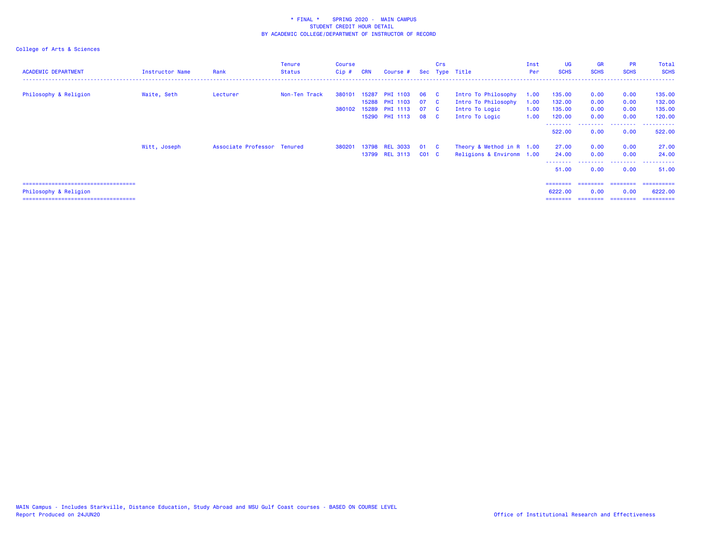| <b>ACADEMIC DEPARTMENT</b>                                     | <b>Instructor Name</b> | Rank                        | <b>Tenure</b><br><b>Status</b> | Course<br>$Cip \#$     | <b>CRN</b>     | Course #                                              |                | Crs                                          | Sec Type Title                                               | Inst<br>Per          | <b>UG</b><br><b>SCHS</b>   | <b>GR</b><br><b>SCHS</b> | <b>PR</b><br><b>SCHS</b> | Total<br><b>SCHS</b>       |
|----------------------------------------------------------------|------------------------|-----------------------------|--------------------------------|------------------------|----------------|-------------------------------------------------------|----------------|----------------------------------------------|--------------------------------------------------------------|----------------------|----------------------------|--------------------------|--------------------------|----------------------------|
| Philosophy & Religion                                          | Waite, Seth            | Lecturer                    | Non-Ten Track                  | 380101<br>380102 15289 | 15287<br>15288 | <b>PHI 1103</b><br><b>PHI 1103</b><br><b>PHI 1113</b> | 06<br>07<br>07 | $\mathbf{C}$<br>$\mathbf{C}$<br>$\mathbf{C}$ | Intro To Philosophy<br>Intro To Philosophy<br>Intro To Logic | 1.00<br>1.00<br>1.00 | 135.00<br>132.00<br>135.00 | 0.00<br>0.00<br>0.00     | 0.00<br>0.00<br>0.00     | 135.00<br>132.00<br>135.00 |
|                                                                |                        |                             |                                |                        |                | 15290 PHI 1113 08 C                                   |                |                                              | Intro To Logic                                               | 1.00                 | 120.00                     | 0.00                     | 0.00                     | 120.00                     |
|                                                                |                        |                             |                                |                        |                |                                                       |                |                                              |                                                              |                      | - - - - - - - -<br>522,00  | 0.00                     | --------<br>0.00         | -------<br>522,00          |
|                                                                | Witt, Joseph           | Associate Professor Tenured |                                | 380201                 | 13798          | <b>REL 3033</b>                                       | 01             | - C                                          | Theory & Method in R 1.00                                    |                      | 27.00                      | 0.00                     | 0.00                     | 27.00                      |
|                                                                |                        |                             |                                |                        |                | 13799 REL 3113                                        | $CO1$ $C$      |                                              | Religions & Environm 1.00                                    |                      | 24.00                      | 0.00                     | 0.00                     | 24.00<br>. <u>.</u> .      |
|                                                                |                        |                             |                                |                        |                |                                                       |                |                                              |                                                              |                      | --------<br>51.00          | 0.00                     | --------<br>0.00         | 51.00                      |
|                                                                |                        |                             |                                |                        |                |                                                       |                |                                              |                                                              |                      | ========                   | ========                 | ---------                | ==========                 |
| Philosophy & Religion<br>===================================== |                        |                             |                                |                        |                |                                                       |                |                                              |                                                              |                      | 6222.00                    | 0.00                     | 0.00                     | 6222.00<br>==========      |
|                                                                |                        |                             |                                |                        |                |                                                       |                |                                              |                                                              |                      |                            |                          |                          |                            |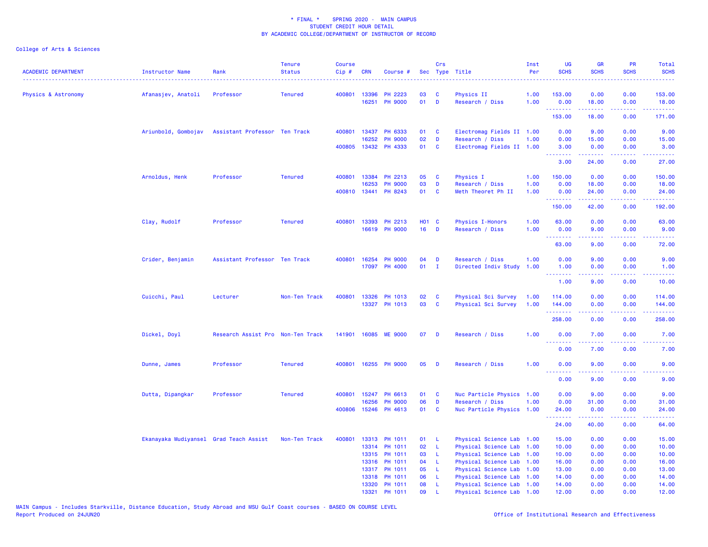| <b>ACADEMIC DEPARTMENT</b> | <b>Instructor Name</b>                 | Rank                              | <b>Tenure</b><br><b>Status</b> | <b>Course</b><br>$Cip$ # | <b>CRN</b>   | Course #                 |              | Crs          | Sec Type Title                                    | Inst<br>Per | <b>UG</b><br><b>SCHS</b> | <b>GR</b><br><b>SCHS</b>                                                                                                                                      | PR<br><b>SCHS</b> | Total<br><b>SCHS</b>                                                                                                               |
|----------------------------|----------------------------------------|-----------------------------------|--------------------------------|--------------------------|--------------|--------------------------|--------------|--------------|---------------------------------------------------|-------------|--------------------------|---------------------------------------------------------------------------------------------------------------------------------------------------------------|-------------------|------------------------------------------------------------------------------------------------------------------------------------|
| Physics & Astronomy        | Afanasjev, Anatoli                     | Professor                         | <b>Tenured</b>                 |                          | 400801 13396 | PH 2223                  | 03           | C            | Physics II                                        | 1.00        | 153.00                   | 0.00                                                                                                                                                          | 0.00              | 153.00                                                                                                                             |
|                            |                                        |                                   |                                |                          | 16251        | <b>PH 9000</b>           | 01           | D            | Research / Diss                                   | 1.00        | 0.00<br>.                | 18.00                                                                                                                                                         | 0.00              | 18.00                                                                                                                              |
|                            |                                        |                                   |                                |                          |              |                          |              |              |                                                   |             | 153.00                   | 18.00                                                                                                                                                         | 0.00              | 171.00                                                                                                                             |
|                            | Ariunbold, Gombojav                    | Assistant Professor Ten Track     |                                |                          | 400801 13437 | PH 6333                  | 01           | C            | Electromag Fields II 1.00                         |             | 0.00                     | 9.00                                                                                                                                                          | 0.00              | 9.00                                                                                                                               |
|                            |                                        |                                   |                                |                          | 16252        | <b>PH 9000</b>           | 02           | D            | Research / Diss                                   | 1.00        | 0.00                     | 15.00                                                                                                                                                         | 0.00              | 15.00                                                                                                                              |
|                            |                                        |                                   |                                |                          | 400805 13432 | PH 4333                  | 01           | C            | Electromag Fields II 1.00                         |             | 3.00<br>.                | 0.00                                                                                                                                                          | 0.00              | 3.00<br>.                                                                                                                          |
|                            |                                        |                                   |                                |                          |              |                          |              |              |                                                   |             | 3.00                     | 24.00                                                                                                                                                         | 0.00              | 27.00                                                                                                                              |
|                            | Arnoldus, Henk                         | Professor                         | <b>Tenured</b>                 | 400801                   | 13384        | PH 2213                  | 05           | C            | Physics I                                         | 1.00        | 150.00                   | 0.00                                                                                                                                                          | 0.00              | 150.00                                                                                                                             |
|                            |                                        |                                   |                                |                          | 16253        | <b>PH 9000</b>           | 03           | D            | Research / Diss                                   | 1.00        | 0.00                     | 18.00                                                                                                                                                         | 0.00              | 18.00                                                                                                                              |
|                            |                                        |                                   |                                |                          | 400810 13441 | PH 8243                  | 01           | C            | Meth Theoret Ph II                                | 1.00        | 0.00<br><u>.</u>         | 24.00<br>$\frac{1}{2} \left( \frac{1}{2} \right) \left( \frac{1}{2} \right) \left( \frac{1}{2} \right) \left( \frac{1}{2} \right) \left( \frac{1}{2} \right)$ | 0.00<br>.         | 24.00<br>.                                                                                                                         |
|                            |                                        |                                   |                                |                          |              |                          |              |              |                                                   |             | 150.00                   | 42.00                                                                                                                                                         | 0.00              | 192.00                                                                                                                             |
|                            | Clay, Rudolf                           | Professor                         | <b>Tenured</b>                 | 400801                   | 13393        | PH 2213                  | <b>HO1 C</b> |              | <b>Physics I-Honors</b>                           | 1.00        | 63.00                    | 0.00                                                                                                                                                          | 0.00              | 63.00                                                                                                                              |
|                            |                                        |                                   |                                |                          | 16619        | <b>PH 9000</b>           | 16           | <b>D</b>     | Research / Diss                                   | 1.00        | 0.00<br>.                | 9.00<br>22222                                                                                                                                                 | 0.00              | 9.00<br>.                                                                                                                          |
|                            |                                        |                                   |                                |                          |              |                          |              |              |                                                   |             | 63.00                    | 9.00                                                                                                                                                          | 0.00              | 72.00                                                                                                                              |
|                            | Crider, Benjamin                       | Assistant Professor Ten Track     |                                | 400801                   | 16254        | <b>PH 9000</b>           | 04           | D            | Research / Diss                                   | 1.00        | 0.00                     | 9.00                                                                                                                                                          | 0.00              | 9.00                                                                                                                               |
|                            |                                        |                                   |                                |                          | 17097        | <b>PH 4000</b>           | 01           | $\mathbf{I}$ | Directed Indiv Study                              | 1.00        | 1.00                     | 0.00                                                                                                                                                          | 0.00              | 1.00                                                                                                                               |
|                            |                                        |                                   |                                |                          |              |                          |              |              |                                                   |             | .<br>1.00                | .<br>9.00                                                                                                                                                     | .<br>0.00         | $\frac{1}{2} \left( \frac{1}{2} \right) \left( \frac{1}{2} \right) \left( \frac{1}{2} \right) \left( \frac{1}{2} \right)$<br>10.00 |
|                            | Cuicchi, Paul                          | Lecturer                          | Non-Ten Track                  | 400801                   | 13326        | PH 1013                  | 02           | C            | Physical Sci Survey                               | 1.00        | 114.00                   | 0.00                                                                                                                                                          | 0.00              | 114.00                                                                                                                             |
|                            |                                        |                                   |                                |                          |              | 13327 PH 1013            | 03           | C            | Physical Sci Survey                               | 1.00        | 144.00                   | 0.00                                                                                                                                                          | 0.00              | 144.00                                                                                                                             |
|                            |                                        |                                   |                                |                          |              |                          |              |              |                                                   |             | .<br>258.00              | 0.00                                                                                                                                                          | 0.00              | 258.00                                                                                                                             |
|                            | Dickel, Doyl                           | Research Assist Pro Non-Ten Track |                                |                          |              | 141901 16085 ME 9000     | 07           | D            | Research / Diss                                   | 1.00        | 0.00                     | 7.00                                                                                                                                                          | 0.00              | 7.00                                                                                                                               |
|                            |                                        |                                   |                                |                          |              |                          |              |              |                                                   |             | 0.00                     | 7.00                                                                                                                                                          | 0.00              | 7.00                                                                                                                               |
|                            | Dunne, James                           | Professor                         | <b>Tenured</b>                 |                          |              | 400801 16255 PH 9000     | 05           | D            | Research / Diss                                   | 1.00        | 0.00                     | 9.00                                                                                                                                                          | 0.00              | 9.00                                                                                                                               |
|                            |                                        |                                   |                                |                          |              |                          |              |              |                                                   |             | .<br>0.00                | .<br>9.00                                                                                                                                                     | 0.00              | .<br>9.00                                                                                                                          |
|                            | Dutta, Dipangkar                       | Professor                         | <b>Tenured</b>                 |                          | 400801 15247 | PH 6613                  | 01           | C            | Nuc Particle Physics                              | 1.00        | 0.00                     | 9.00                                                                                                                                                          | 0.00              | 9.00                                                                                                                               |
|                            |                                        |                                   |                                |                          | 16256        | <b>PH 9000</b>           | 06           | D            | Research / Diss                                   | 1.00        | 0.00                     | 31.00                                                                                                                                                         | 0.00              | 31.00                                                                                                                              |
|                            |                                        |                                   |                                | 400806                   | 15246        | PH 4613                  | 01           | C            | Nuc Particle Physics                              | 1.00        | 24.00<br>.               | 0.00                                                                                                                                                          | 0.00              | 24.00                                                                                                                              |
|                            |                                        |                                   |                                |                          |              |                          |              |              |                                                   |             | 24.00                    | 40.00                                                                                                                                                         | 0.00              | 64.00                                                                                                                              |
|                            | Ekanayaka Mudiyansel Grad Teach Assist |                                   | Non-Ten Track                  | 400801                   | 13313        | PH 1011                  | 01           | -L           | Physical Science Lab 1.00                         |             | 15.00                    | 0.00                                                                                                                                                          | 0.00              | 15.00                                                                                                                              |
|                            |                                        |                                   |                                |                          | 13314        | PH 1011                  | 02           | L            | Physical Science Lab                              | 1.00        | 10.00                    | 0.00                                                                                                                                                          | 0.00              | 10.00                                                                                                                              |
|                            |                                        |                                   |                                |                          | 13315        | PH 1011                  | 03           | L            | Physical Science Lab                              | 1.00        | 10.00                    | 0.00                                                                                                                                                          | 0.00              | 10.00                                                                                                                              |
|                            |                                        |                                   |                                |                          | 13316        | PH 1011                  | 04           | L            | Physical Science Lab                              | 1.00        | 16.00                    | 0.00                                                                                                                                                          | 0.00              | 16.00                                                                                                                              |
|                            |                                        |                                   |                                |                          | 13317        | PH 1011                  | 05           | L            | Physical Science Lab 1.00                         |             | 13.00                    | 0.00                                                                                                                                                          | 0.00              | 13.00                                                                                                                              |
|                            |                                        |                                   |                                |                          | 13318        | PH 1011                  | 06<br>08     | L            | Physical Science Lab 1.00                         |             | 14.00                    | 0.00                                                                                                                                                          | 0.00<br>0.00      | 14.00                                                                                                                              |
|                            |                                        |                                   |                                |                          | 13320        | PH 1011<br>13321 PH 1011 | 09           | L<br>L       | Physical Science Lab<br>Physical Science Lab 1.00 | 1.00        | 14.00<br>12.00           | 0.00<br>0.00                                                                                                                                                  | 0.00              | 14.00<br>12.00                                                                                                                     |
|                            |                                        |                                   |                                |                          |              |                          |              |              |                                                   |             |                          |                                                                                                                                                               |                   |                                                                                                                                    |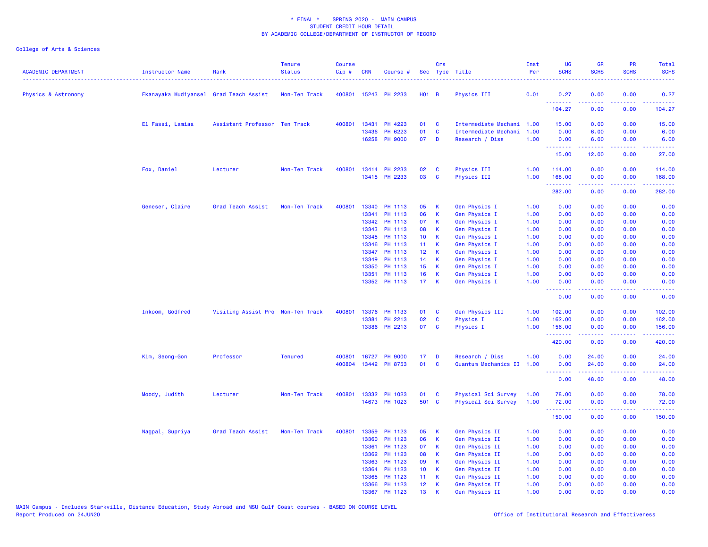| ACADEMIC DEPARTMENT | <b>Instructor Name</b>                 | Rank                              | <b>Tenure</b><br><b>Status</b> | <b>Course</b><br>Cip# | <b>CRN</b> | Course #       |                 | Crs          | Sec Type Title            | Inst<br>Per | UG<br><b>SCHS</b>                                  | <b>GR</b><br><b>SCHS</b> | PR<br><b>SCHS</b>                                                                                                                 | Total<br><b>SCHS</b>                                                                                                                                           |
|---------------------|----------------------------------------|-----------------------------------|--------------------------------|-----------------------|------------|----------------|-----------------|--------------|---------------------------|-------------|----------------------------------------------------|--------------------------|-----------------------------------------------------------------------------------------------------------------------------------|----------------------------------------------------------------------------------------------------------------------------------------------------------------|
| Physics & Astronomy | Ekanayaka Mudiyansel Grad Teach Assist |                                   | Non-Ten Track                  | 400801                |            | 15243 PH 2233  | $H01$ B         |              | Physics III               | 0.01        | 0.27                                               | 0.00                     | 0.00                                                                                                                              | 0.27                                                                                                                                                           |
|                     |                                        |                                   |                                |                       |            |                |                 |              |                           |             | .<br>104.27                                        | .<br>0.00                | والمحامر<br>0.00                                                                                                                  | 22222<br>104.27                                                                                                                                                |
|                     | El Fassi, Lamiaa                       | Assistant Professor Ten Track     |                                | 400801                | 13431      | PH 4223        | 01              | C            | Intermediate Mechani      | 1.00        | 15.00                                              | 0.00                     | 0.00                                                                                                                              | 15.00                                                                                                                                                          |
|                     |                                        |                                   |                                |                       | 13436      | PH 6223        | 01              | <b>C</b>     | Intermediate Mechani      | 1.00        | 0.00                                               | 6.00                     | 0.00                                                                                                                              | 6.00                                                                                                                                                           |
|                     |                                        |                                   |                                |                       | 16258      | <b>PH 9000</b> | 07              | D            | Research / Diss           | 1.00        | 0.00<br>.                                          | 6.00                     | 0.00<br>$\frac{1}{2} \left( \frac{1}{2} \right) \left( \frac{1}{2} \right) \left( \frac{1}{2} \right)$                            | 6.00<br>والدامات بداية                                                                                                                                         |
|                     |                                        |                                   |                                |                       |            |                |                 |              |                           |             | 15.00                                              | 12.00                    | 0.00                                                                                                                              | 27.00                                                                                                                                                          |
|                     | Fox, Daniel                            | Lecturer                          | Non-Ten Track                  | 400801                |            | 13414 PH 2233  | 02              | <b>C</b>     | Physics III               | 1.00        | 114.00                                             | 0.00                     | 0.00                                                                                                                              | 114.00                                                                                                                                                         |
|                     |                                        |                                   |                                |                       |            | 13415 PH 2233  | 03              | $\mathbf{C}$ | Physics III               | 1.00        | 168.00<br>.                                        | 0.00<br>.                | 0.00<br>.                                                                                                                         | 168.00<br>$\frac{1}{2} \left( \frac{1}{2} \right) \left( \frac{1}{2} \right) \left( \frac{1}{2} \right) \left( \frac{1}{2} \right) \left( \frac{1}{2} \right)$ |
|                     |                                        |                                   |                                |                       |            |                |                 |              |                           |             | 282.00                                             | 0.00                     | 0.00                                                                                                                              | 282.00                                                                                                                                                         |
|                     | Geneser, Claire                        | Grad Teach Assist                 | Non-Ten Track                  | 400801                |            | 13340 PH 1113  | 05              | к            | Gen Physics I             | 1.00        | 0.00                                               | 0.00                     | 0.00                                                                                                                              | 0.00                                                                                                                                                           |
|                     |                                        |                                   |                                |                       | 13341      | PH 1113        | 06              | $\mathsf K$  | <b>Gen Physics I</b>      | 1.00        | 0.00                                               | 0.00                     | 0.00                                                                                                                              | 0.00                                                                                                                                                           |
|                     |                                        |                                   |                                |                       |            | 13342 PH 1113  | 07              | К            | Gen Physics I             | 1.00        | 0.00                                               | 0.00                     | 0.00                                                                                                                              | 0.00                                                                                                                                                           |
|                     |                                        |                                   |                                |                       | 13343      | PH 1113        | 08              | К            | <b>Gen Physics I</b>      | 1.00        | 0.00                                               | 0.00                     | 0.00                                                                                                                              | 0.00                                                                                                                                                           |
|                     |                                        |                                   |                                |                       | 13345      | PH 1113        | 10 <sub>1</sub> | K            | Gen Physics I             | 1.00        | 0.00                                               | 0.00                     | 0.00                                                                                                                              | 0.00                                                                                                                                                           |
|                     |                                        |                                   |                                |                       | 13346      | PH 1113        | 11              | К            | Gen Physics I             | 1.00        | 0.00                                               | 0.00                     | 0.00                                                                                                                              | 0.00                                                                                                                                                           |
|                     |                                        |                                   |                                |                       | 13347      | PH 1113        | 12 <sup>°</sup> | К            | Gen Physics I             | 1.00        | 0.00                                               | 0.00                     | 0.00                                                                                                                              | 0.00                                                                                                                                                           |
|                     |                                        |                                   |                                |                       | 13349      | PH 1113        | 14              | K            | Gen Physics I             | 1.00        | 0.00                                               | 0.00                     | 0.00                                                                                                                              | 0.00                                                                                                                                                           |
|                     |                                        |                                   |                                |                       | 13350      | PH 1113        | 15              | K            | Gen Physics I             | 1.00        | 0.00                                               | 0.00                     | 0.00                                                                                                                              | 0.00                                                                                                                                                           |
|                     |                                        |                                   |                                |                       | 13351      | PH 1113        | 16              | K            | Gen Physics I             | 1.00        | 0.00                                               | 0.00                     | 0.00                                                                                                                              | 0.00                                                                                                                                                           |
|                     |                                        |                                   |                                |                       |            | 13352 PH 1113  | 17 <sub>1</sub> | K            | Gen Physics I             | 1.00        | 0.00<br><b><i><u><u> - - - - - - -</u></u></i></b> | 0.00<br>.                | 0.00<br>$\sim$ $\sim$ $\sim$ $\sim$                                                                                               | 0.00<br>.                                                                                                                                                      |
|                     |                                        |                                   |                                |                       |            |                |                 |              |                           |             | 0.00                                               | 0.00                     | 0.00                                                                                                                              | 0.00                                                                                                                                                           |
|                     | Inkoom, Godfred                        | Visiting Assist Pro Non-Ten Track |                                | 400801                |            | 13376 PH 1133  | 01              | C            | Gen Physics III           | 1.00        | 102.00                                             | 0.00                     | 0.00                                                                                                                              | 102.00                                                                                                                                                         |
|                     |                                        |                                   |                                |                       | 13381      | PH 2213        | 02              | C            | <b>Physics I</b>          | 1.00        | 162.00                                             | 0.00                     | 0.00                                                                                                                              | 162.00                                                                                                                                                         |
|                     |                                        |                                   |                                |                       |            | 13386 PH 2213  | 07              | C            | Physics I                 | 1.00        | 156.00<br>.                                        | 0.00                     | 0.00<br>$\frac{1}{2} \left( \frac{1}{2} \right) \left( \frac{1}{2} \right) \left( \frac{1}{2} \right) \left( \frac{1}{2} \right)$ | 156.00<br><u>.</u>                                                                                                                                             |
|                     |                                        |                                   |                                |                       |            |                |                 |              |                           |             | 420.00                                             | 0.00                     | 0.00                                                                                                                              | 420.00                                                                                                                                                         |
|                     | Kim, Seong-Gon                         | Professor                         | <b>Tenured</b>                 | 400801                |            | 16727 PH 9000  | 17              | D            | Research / Diss           | 1.00        | 0.00                                               | 24.00                    | 0.00                                                                                                                              | 24.00                                                                                                                                                          |
|                     |                                        |                                   |                                | 400804                |            | 13442 PH 8753  | 01              | $\mathbf{C}$ | Quantum Mechanics II 1.00 |             | 0.00<br><b><i><u><u> - - - - - - -</u></u></i></b> | 24.00<br>.               | 0.00<br>.                                                                                                                         | 24.00<br>.                                                                                                                                                     |
|                     |                                        |                                   |                                |                       |            |                |                 |              |                           |             | 0.00                                               | 48.00                    | 0.00                                                                                                                              | 48.00                                                                                                                                                          |
|                     | Moody, Judith                          | Lecturer                          | Non-Ten Track                  | 400801                |            | 13332 PH 1023  | 01              | C            | Physical Sci Survey       | 1.00        | 78.00                                              | 0.00                     | 0.00                                                                                                                              | 78.00                                                                                                                                                          |
|                     |                                        |                                   |                                |                       |            | 14673 PH 1023  | 501 C           |              | Physical Sci Survey       | 1.00        | 72.00                                              | 0.00                     | 0.00                                                                                                                              | 72.00                                                                                                                                                          |
|                     |                                        |                                   |                                |                       |            |                |                 |              |                           |             | .<br>150.00                                        | 0.00                     | د د د د<br>0.00                                                                                                                   | المتمامي<br>150.00                                                                                                                                             |
|                     | Nagpal, Supriya                        | Grad Teach Assist                 | Non-Ten Track                  | 400801                | 13359      | PH 1123        | 05              | К            | Gen Physics II            | 1.00        | 0.00                                               | 0.00                     | 0.00                                                                                                                              | 0.00                                                                                                                                                           |
|                     |                                        |                                   |                                |                       | 13360      | PH 1123        | 06              | K            | Gen Physics II            | 1.00        | 0.00                                               | 0.00                     | 0.00                                                                                                                              | 0.00                                                                                                                                                           |
|                     |                                        |                                   |                                |                       | 13361      | PH 1123        | 07              | K            | Gen Physics II            | 1.00        | 0.00                                               | 0.00                     | 0.00                                                                                                                              | 0.00                                                                                                                                                           |
|                     |                                        |                                   |                                |                       | 13362      | PH 1123        | 08              | K            | Gen Physics II            | 1.00        | 0.00                                               | 0.00                     | 0.00                                                                                                                              | 0.00                                                                                                                                                           |
|                     |                                        |                                   |                                |                       | 13363      | PH 1123        | 09              | K            | Gen Physics II            | 1.00        | 0.00                                               | 0.00                     | 0.00                                                                                                                              | 0.00                                                                                                                                                           |
|                     |                                        |                                   |                                |                       | 13364      | PH 1123        | 10 <sub>1</sub> | К            | Gen Physics II            | 1.00        | 0.00                                               | 0.00                     | 0.00                                                                                                                              | 0.00                                                                                                                                                           |
|                     |                                        |                                   |                                |                       | 13365      | PH 1123        | 11              | К            | Gen Physics II            | 1.00        | 0.00                                               | 0.00                     | 0.00                                                                                                                              | 0.00                                                                                                                                                           |
|                     |                                        |                                   |                                |                       |            | 13366 PH 1123  | 12 <sub>2</sub> | К            | Gen Physics II            | 1.00        | 0.00                                               | 0.00                     | 0.00                                                                                                                              | 0.00                                                                                                                                                           |
|                     |                                        |                                   |                                |                       |            | 13367 PH 1123  | 13              | К            | Gen Physics II            | 1.00        | 0.00                                               | 0.00                     | 0.00                                                                                                                              | 0.00                                                                                                                                                           |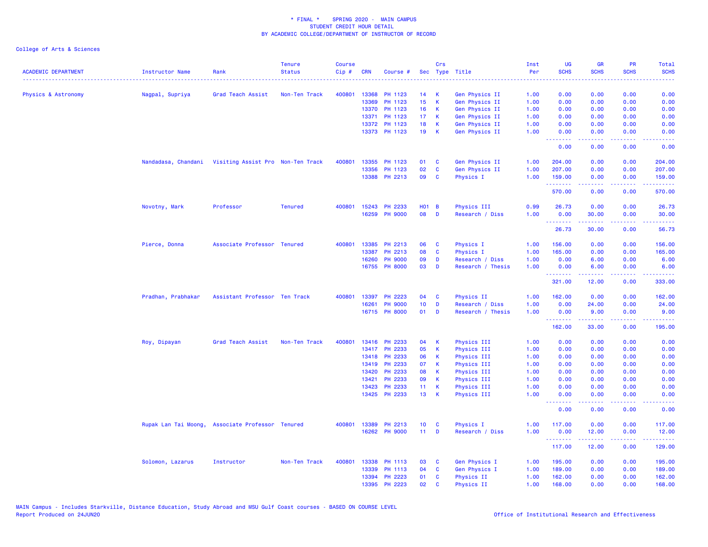|                            |                                                       |                                                  | <b>Tenure</b>  | <b>Course</b> |            |                |                 | Crs          |                   | Inst | UG                                                       | <b>GR</b>                                                                                                                          | <b>PR</b>        | Total                                                                                                                                                                                                                                                                                                                                                                                                                                                                                            |
|----------------------------|-------------------------------------------------------|--------------------------------------------------|----------------|---------------|------------|----------------|-----------------|--------------|-------------------|------|----------------------------------------------------------|------------------------------------------------------------------------------------------------------------------------------------|------------------|--------------------------------------------------------------------------------------------------------------------------------------------------------------------------------------------------------------------------------------------------------------------------------------------------------------------------------------------------------------------------------------------------------------------------------------------------------------------------------------------------|
| <b>ACADEMIC DEPARTMENT</b> | Instructor Name                                       | Rank<br>.                                        | <b>Status</b>  | Cip#          | <b>CRN</b> | Course #       |                 |              | Sec Type Title    | Per  | <b>SCHS</b><br>.                                         | <b>SCHS</b><br>.                                                                                                                   | <b>SCHS</b><br>. | <b>SCHS</b><br>$\frac{1}{2} \left( \frac{1}{2} \right) \left( \frac{1}{2} \right) \left( \frac{1}{2} \right) \left( \frac{1}{2} \right)$                                                                                                                                                                                                                                                                                                                                                         |
| Physics & Astronomy        | Nagpal, Supriya                                       | Grad Teach Assist                                | Non-Ten Track  | 400801        | 13368      | PH 1123        | 14              | К            | Gen Physics II    | 1.00 | 0.00                                                     | 0.00                                                                                                                               | 0.00             | 0.00                                                                                                                                                                                                                                                                                                                                                                                                                                                                                             |
|                            |                                                       |                                                  |                |               | 13369      | PH 1123        | 15 <sub>1</sub> | $\mathsf K$  | Gen Physics II    | 1.00 | 0.00                                                     | 0.00                                                                                                                               | 0.00             | 0.00                                                                                                                                                                                                                                                                                                                                                                                                                                                                                             |
|                            |                                                       |                                                  |                |               |            | 13370 PH 1123  | 16 <sup>1</sup> | К            | Gen Physics II    | 1.00 | 0.00                                                     | 0.00                                                                                                                               | 0.00             | 0.00                                                                                                                                                                                                                                                                                                                                                                                                                                                                                             |
|                            |                                                       |                                                  |                |               |            | 13371 PH 1123  | 17 <sub>1</sub> | K            | Gen Physics II    | 1.00 | 0.00                                                     | 0.00                                                                                                                               | 0.00             | 0.00                                                                                                                                                                                                                                                                                                                                                                                                                                                                                             |
|                            |                                                       |                                                  |                |               |            | 13372 PH 1123  | 18              | $\mathsf K$  | Gen Physics II    | 1.00 | 0.00                                                     | 0.00                                                                                                                               | 0.00             | 0.00                                                                                                                                                                                                                                                                                                                                                                                                                                                                                             |
|                            |                                                       |                                                  |                |               |            | 13373 PH 1123  | 19              | К            | Gen Physics II    | 1.00 | 0.00<br><b><i><u><u><b>Little Little</b></u></u></i></b> | 0.00<br>22222                                                                                                                      | 0.00<br>د د د د  | 0.00<br>$\omega$ is $\omega$ in                                                                                                                                                                                                                                                                                                                                                                                                                                                                  |
|                            |                                                       |                                                  |                |               |            |                |                 |              |                   |      | 0.00                                                     | 0.00                                                                                                                               | 0.00             | 0.00                                                                                                                                                                                                                                                                                                                                                                                                                                                                                             |
|                            | Nandadasa, Chandani Visiting Assist Pro Non-Ten Track |                                                  |                | 400801        |            | 13355 PH 1123  | 01              | <b>C</b>     | Gen Physics II    | 1.00 | 204.00                                                   | 0.00                                                                                                                               | 0.00             | 204.00                                                                                                                                                                                                                                                                                                                                                                                                                                                                                           |
|                            |                                                       |                                                  |                |               | 13356      | PH 1123        | 02              | C            | Gen Physics II    | 1.00 | 207.00                                                   | 0.00                                                                                                                               | 0.00             | 207.00                                                                                                                                                                                                                                                                                                                                                                                                                                                                                           |
|                            |                                                       |                                                  |                |               |            | 13388 PH 2213  | 09              | <b>C</b>     | Physics I         | 1.00 | 159.00<br>.                                              | 0.00<br>22222                                                                                                                      | 0.00<br>.        | 159.00<br>$\begin{array}{cccccccccc} \multicolumn{2}{c}{} & \multicolumn{2}{c}{} & \multicolumn{2}{c}{} & \multicolumn{2}{c}{} & \multicolumn{2}{c}{} & \multicolumn{2}{c}{} & \multicolumn{2}{c}{} & \multicolumn{2}{c}{} & \multicolumn{2}{c}{} & \multicolumn{2}{c}{} & \multicolumn{2}{c}{} & \multicolumn{2}{c}{} & \multicolumn{2}{c}{} & \multicolumn{2}{c}{} & \multicolumn{2}{c}{} & \multicolumn{2}{c}{} & \multicolumn{2}{c}{} & \multicolumn{2}{c}{} & \multicolumn{2}{c}{} & \mult$ |
|                            |                                                       |                                                  |                |               |            |                |                 |              |                   |      | 570.00                                                   | 0.00                                                                                                                               | 0.00             | 570.00                                                                                                                                                                                                                                                                                                                                                                                                                                                                                           |
|                            | Novotny, Mark                                         | Professor                                        | <b>Tenured</b> | 400801        |            | 15243 PH 2233  | $H01$ B         |              | Physics III       | 0.99 | 26.73                                                    | 0.00                                                                                                                               | 0.00             | 26.73                                                                                                                                                                                                                                                                                                                                                                                                                                                                                            |
|                            |                                                       |                                                  |                |               |            | 16259 PH 9000  | 08              | D            | Research / Diss   | 1.00 | 0.00                                                     | 30.00<br>الداعات عامات                                                                                                             | 0.00<br>.        | 30.00                                                                                                                                                                                                                                                                                                                                                                                                                                                                                            |
|                            |                                                       |                                                  |                |               |            |                |                 |              |                   |      | <b></b><br>26.73                                         | 30.00                                                                                                                              | 0.00             | .<br>56.73                                                                                                                                                                                                                                                                                                                                                                                                                                                                                       |
|                            | Pierce, Donna                                         | Associate Professor Tenured                      |                | 400801        |            | 13385 PH 2213  | 06              | C            | Physics I         | 1.00 | 156.00                                                   | 0.00                                                                                                                               | 0.00             | 156.00                                                                                                                                                                                                                                                                                                                                                                                                                                                                                           |
|                            |                                                       |                                                  |                |               | 13387      | PH 2213        | 08              | <b>C</b>     | Physics I         | 1.00 | 165.00                                                   | 0.00                                                                                                                               | 0.00             | 165.00                                                                                                                                                                                                                                                                                                                                                                                                                                                                                           |
|                            |                                                       |                                                  |                |               | 16260      | <b>PH 9000</b> | 09              | D            | Research / Diss   | 1.00 | 0.00                                                     | 6.00                                                                                                                               | 0.00             | 6.00                                                                                                                                                                                                                                                                                                                                                                                                                                                                                             |
|                            |                                                       |                                                  |                |               |            | 16755 PH 8000  | 03              | D            | Research / Thesis | 1.00 | 0.00                                                     | 6.00                                                                                                                               | 0.00             | 6.00                                                                                                                                                                                                                                                                                                                                                                                                                                                                                             |
|                            |                                                       |                                                  |                |               |            |                |                 |              |                   |      | <b></b><br>321.00                                        | $\frac{1}{2} \left( \frac{1}{2} \right) \left( \frac{1}{2} \right) \left( \frac{1}{2} \right) \left( \frac{1}{2} \right)$<br>12.00 | .<br>0.00        | 333.00                                                                                                                                                                                                                                                                                                                                                                                                                                                                                           |
|                            | Pradhan, Prabhakar                                    | Assistant Professor Ten Track                    |                | 400801        |            | 13397 PH 2223  | 04              | C            | Physics II        | 1.00 | 162.00                                                   | 0.00                                                                                                                               | 0.00             | 162.00                                                                                                                                                                                                                                                                                                                                                                                                                                                                                           |
|                            |                                                       |                                                  |                |               | 16261      | <b>PH 9000</b> | 10 <sub>1</sub> | D            | Research / Diss   | 1.00 | 0.00                                                     | 24.00                                                                                                                              | 0.00             | 24.00                                                                                                                                                                                                                                                                                                                                                                                                                                                                                            |
|                            |                                                       |                                                  |                |               |            | 16715 PH 8000  | 01              | D            | Research / Thesis | 1.00 | 0.00<br><u>.</u>                                         | 9.00                                                                                                                               | 0.00             | 9.00                                                                                                                                                                                                                                                                                                                                                                                                                                                                                             |
|                            |                                                       |                                                  |                |               |            |                |                 |              |                   |      | 162.00                                                   | 33.00                                                                                                                              | 0.00             | 195.00                                                                                                                                                                                                                                                                                                                                                                                                                                                                                           |
|                            | Roy, Dipayan                                          | Grad Teach Assist                                | Non-Ten Track  | 400801        |            | 13416 PH 2233  | 04              | К            | Physics III       | 1.00 | 0.00                                                     | 0.00                                                                                                                               | 0.00             | 0.00                                                                                                                                                                                                                                                                                                                                                                                                                                                                                             |
|                            |                                                       |                                                  |                |               |            | 13417 PH 2233  | 05              | $\mathsf K$  | Physics III       | 1.00 | 0.00                                                     | 0.00                                                                                                                               | 0.00             | 0.00                                                                                                                                                                                                                                                                                                                                                                                                                                                                                             |
|                            |                                                       |                                                  |                |               | 13418      | PH 2233        | 06              | К            | Physics III       | 1.00 | 0.00                                                     | 0.00                                                                                                                               | 0.00             | 0.00                                                                                                                                                                                                                                                                                                                                                                                                                                                                                             |
|                            |                                                       |                                                  |                |               | 13419      | PH 2233        | 07              | K            | Physics III       | 1.00 | 0.00                                                     | 0.00                                                                                                                               | 0.00             | 0.00                                                                                                                                                                                                                                                                                                                                                                                                                                                                                             |
|                            |                                                       |                                                  |                |               | 13420      | PH 2233        | 08              | K            | Physics III       | 1.00 | 0.00                                                     | 0.00                                                                                                                               | 0.00             | 0.00                                                                                                                                                                                                                                                                                                                                                                                                                                                                                             |
|                            |                                                       |                                                  |                |               | 13421      | PH 2233        | 09              | K            | Physics III       | 1.00 | 0.00                                                     | 0.00                                                                                                                               | 0.00             | 0.00                                                                                                                                                                                                                                                                                                                                                                                                                                                                                             |
|                            |                                                       |                                                  |                |               | 13423      | PH 2233        | 11 <sub>1</sub> | K            | Physics III       | 1.00 | 0.00                                                     | 0.00                                                                                                                               | 0.00             | 0.00                                                                                                                                                                                                                                                                                                                                                                                                                                                                                             |
|                            |                                                       |                                                  |                |               |            | 13425 PH 2233  | 13              | K            | Physics III       | 1.00 | 0.00<br><b><i><u><u> - - - - - - -</u></u></i></b>       | 0.00<br>.                                                                                                                          | 0.00<br>.        | 0.00<br><b>.</b>                                                                                                                                                                                                                                                                                                                                                                                                                                                                                 |
|                            |                                                       |                                                  |                |               |            |                |                 |              |                   |      | 0.00                                                     | 0.00                                                                                                                               | 0.00             | 0.00                                                                                                                                                                                                                                                                                                                                                                                                                                                                                             |
|                            |                                                       | Rupak Lan Tai Moong, Associate Professor Tenured |                | 400801        |            | 13389 PH 2213  | 10 <sub>1</sub> | C            | Physics I         | 1.00 | 117.00                                                   | 0.00                                                                                                                               | 0.00             | 117.00                                                                                                                                                                                                                                                                                                                                                                                                                                                                                           |
|                            |                                                       |                                                  |                |               |            | 16262 PH 9000  | $11 -$          | D            | Research / Diss   | 1.00 | 0.00                                                     | 12.00                                                                                                                              | 0.00             | 12.00                                                                                                                                                                                                                                                                                                                                                                                                                                                                                            |
|                            |                                                       |                                                  |                |               |            |                |                 |              |                   |      | <b><i><u><u> - - - - - - -</u></u></i></b><br>117.00     | .<br>12.00                                                                                                                         | .<br>0.00        | .<br>129.00                                                                                                                                                                                                                                                                                                                                                                                                                                                                                      |
|                            | Solomon, Lazarus                                      | Instructor                                       | Non-Ten Track  | 400801        |            | 13338 PH 1113  | 03              | C            | Gen Physics I     | 1.00 | 195.00                                                   | 0.00                                                                                                                               | 0.00             | 195.00                                                                                                                                                                                                                                                                                                                                                                                                                                                                                           |
|                            |                                                       |                                                  |                |               | 13339      | PH 1113        | 04              | C            | Gen Physics I     | 1.00 | 189.00                                                   | 0.00                                                                                                                               | 0.00             | 189.00                                                                                                                                                                                                                                                                                                                                                                                                                                                                                           |
|                            |                                                       |                                                  |                |               | 13394      | PH 2223        | 01              | <b>C</b>     | Physics II        | 1.00 | 162.00                                                   | 0.00                                                                                                                               | 0.00             | 162.00                                                                                                                                                                                                                                                                                                                                                                                                                                                                                           |
|                            |                                                       |                                                  |                |               |            | 13395 PH 2223  | 02              | $\mathbf{C}$ | Physics II        | 1.00 | 168.00                                                   | 0.00                                                                                                                               | 0.00             | 168.00                                                                                                                                                                                                                                                                                                                                                                                                                                                                                           |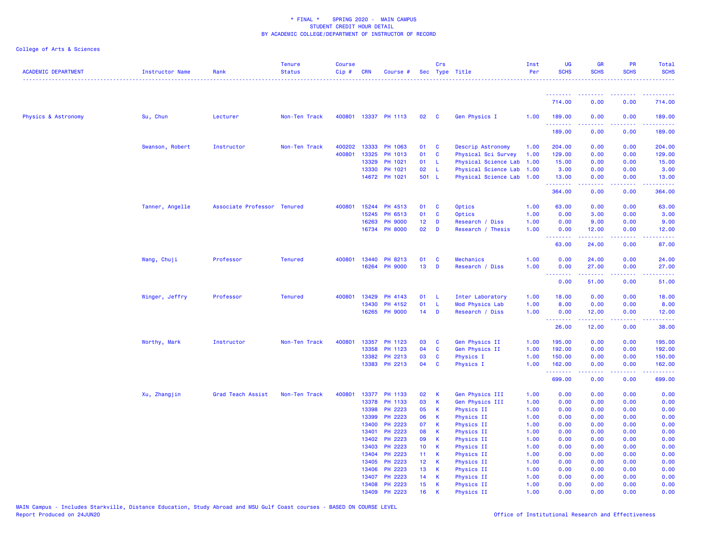| ACADEMIC DEPARTMENT | Instructor Name | Rank                        | <b>Tenure</b><br><b>Status</b> | <b>Course</b><br>$Cip \#$ | CRN          | Course #             |                 | Crs            | Sec Type Title            | Inst<br>Per | <b>UG</b><br><b>SCHS</b> | <b>GR</b><br><b>SCHS</b>                                                                                                                                      | <b>PR</b><br><b>SCHS</b> | Total<br><b>SCHS</b>                                                                                                                                                                      |
|---------------------|-----------------|-----------------------------|--------------------------------|---------------------------|--------------|----------------------|-----------------|----------------|---------------------------|-------------|--------------------------|---------------------------------------------------------------------------------------------------------------------------------------------------------------|--------------------------|-------------------------------------------------------------------------------------------------------------------------------------------------------------------------------------------|
|                     |                 |                             |                                |                           |              |                      |                 |                |                           |             |                          |                                                                                                                                                               |                          |                                                                                                                                                                                           |
|                     |                 |                             |                                |                           |              |                      |                 |                |                           |             | .<br>714.00              | <u> - - - - - - - -</u><br>0.00                                                                                                                               | 0.00                     | 714.00                                                                                                                                                                                    |
| Physics & Astronomy | Su, Chun        | Lecturer                    | Non-Ten Track                  |                           |              | 400801 13337 PH 1113 | 02              | $\mathbf{C}$   | Gen Physics I             | 1.00        | 189.00<br>.              | 0.00                                                                                                                                                          | 0.00                     | 189.00<br>$\begin{array}{cccccccccc} \bullet & \bullet & \bullet & \bullet & \bullet & \bullet & \bullet \end{array}$                                                                     |
|                     |                 |                             |                                |                           |              |                      |                 |                |                           |             | 189.00                   | 0.00                                                                                                                                                          | 0.00                     | 189.00                                                                                                                                                                                    |
|                     | Swanson, Robert | Instructor                  | Non-Ten Track                  | 400202                    | 13333        | PH 1063              | 01              | $\mathbf{C}$   | Descrip Astronomy         | 1.00        | 204.00                   | 0.00                                                                                                                                                          | 0.00                     | 204.00                                                                                                                                                                                    |
|                     |                 |                             |                                | 400801                    | 13325        | PH 1013              | 01              | $\mathbf{C}$   | Physical Sci Survey       | 1.00        | 129.00                   | 0.00                                                                                                                                                          | 0.00                     | 129.00                                                                                                                                                                                    |
|                     |                 |                             |                                |                           | 13329        | PH 1021              | 01              | L.             | Physical Science Lab      | 1.00        | 15.00                    | 0.00                                                                                                                                                          | 0.00                     | 15.00                                                                                                                                                                                     |
|                     |                 |                             |                                |                           | 13330        | PH 1021              | 02              | - L            | Physical Science Lab 1.00 |             | 3.00                     | 0.00                                                                                                                                                          | 0.00                     | 3.00                                                                                                                                                                                      |
|                     |                 |                             |                                |                           |              | 14672 PH 1021        | 501 L           |                | Physical Science Lab 1.00 |             | 13.00<br>.               | 0.00<br>.                                                                                                                                                     | 0.00<br>المتحدث          | 13.00                                                                                                                                                                                     |
|                     |                 |                             |                                |                           |              |                      |                 |                |                           |             | 364.00                   | 0.00                                                                                                                                                          | 0.00                     | 364.00                                                                                                                                                                                    |
|                     | Tanner, Angelle | Associate Professor Tenured |                                |                           | 400801 15244 | PH 4513              | 01 C            |                | Optics                    | 1.00        | 63.00                    | 0.00                                                                                                                                                          | 0.00                     | 63.00                                                                                                                                                                                     |
|                     |                 |                             |                                |                           | 15245        | PH 6513              | 01              | $\mathbf{C}$   | Optics                    | 1.00        | 0.00                     | 3.00                                                                                                                                                          | 0.00                     | 3.00                                                                                                                                                                                      |
|                     |                 |                             |                                |                           | 16263        | <b>PH 9000</b>       | 12 <sub>1</sub> | D              | Research / Diss           | 1.00        | 0.00                     | 9.00                                                                                                                                                          | 0.00                     | 9.00                                                                                                                                                                                      |
|                     |                 |                             |                                |                           |              | 16734 PH 8000        | 02              | D              | Research / Thesis         | 1.00        | 0.00<br>.                | 12.00<br>$\frac{1}{2} \left( \frac{1}{2} \right) \left( \frac{1}{2} \right) \left( \frac{1}{2} \right) \left( \frac{1}{2} \right) \left( \frac{1}{2} \right)$ | 0.00<br>المتحدث          | 12.00                                                                                                                                                                                     |
|                     |                 |                             |                                |                           |              |                      |                 |                |                           |             | 63.00                    | 24.00                                                                                                                                                         | 0.00                     | 87.00                                                                                                                                                                                     |
|                     | Wang, Chuji     | Professor                   | <b>Tenured</b>                 | 400801                    | 13440        | PH 8213              | 01              | $\mathbf c$    | Mechanics                 | 1.00        | 0.00                     | 24.00                                                                                                                                                         | 0.00                     | 24.00                                                                                                                                                                                     |
|                     |                 |                             |                                |                           | 16264        | <b>PH 9000</b>       | 13              | D              | Research / Diss           | 1.00        | 0.00                     | 27.00                                                                                                                                                         | 0.00                     | 27.00                                                                                                                                                                                     |
|                     |                 |                             |                                |                           |              |                      |                 |                |                           |             | .<br>0.00                | 51.00                                                                                                                                                         | 0.00                     | 51.00                                                                                                                                                                                     |
|                     | Winger, Jeffry  | Professor                   | <b>Tenured</b>                 | 400801                    | 13429        | PH 4143              | 01              | - L            | Inter Laboratory          | 1.00        | 18.00                    | 0.00                                                                                                                                                          | 0.00                     | 18.00                                                                                                                                                                                     |
|                     |                 |                             |                                |                           | 13430        | PH 4152              | 01              | - L            | Mod Physics Lab           | 1.00        | 8.00                     | 0.00                                                                                                                                                          | 0.00                     | 8.00                                                                                                                                                                                      |
|                     |                 |                             |                                |                           | 16265        | <b>PH 9000</b>       | 14              | $\blacksquare$ | Research / Diss           | 1.00        | 0.00                     | 12.00                                                                                                                                                         | 0.00                     | 12.00                                                                                                                                                                                     |
|                     |                 |                             |                                |                           |              |                      |                 |                |                           |             | .<br>26.00               | $\frac{1}{2} \left( \frac{1}{2} \right) \left( \frac{1}{2} \right) \left( \frac{1}{2} \right) \left( \frac{1}{2} \right) \left( \frac{1}{2} \right)$<br>12.00 | .<br>0.00                | .<br>38.00                                                                                                                                                                                |
|                     | Worthy, Mark    | Instructor                  | Non-Ten Track                  | 400801                    | 13357        | PH 1123              | 03              | <b>C</b>       | Gen Physics II            | 1.00        | 195.00                   | 0.00                                                                                                                                                          | 0.00                     | 195.00                                                                                                                                                                                    |
|                     |                 |                             |                                |                           | 13358        | PH 1123              | 04              | $\mathbf{C}$   | Gen Physics II            | 1.00        | 192.00                   | 0.00                                                                                                                                                          | 0.00                     | 192.00                                                                                                                                                                                    |
|                     |                 |                             |                                |                           | 13382        | PH 2213              | 03              | $\mathbf{C}$   | Physics I                 | 1.00        | 150.00                   | 0.00                                                                                                                                                          | 0.00                     | 150.00                                                                                                                                                                                    |
|                     |                 |                             |                                |                           | 13383        | PH 2213              | 04              | $\mathbf{C}$   | Physics I                 | 1.00        | 162.00<br>.              | 0.00<br>2.2.2.2.2                                                                                                                                             | 0.00<br>.                | 162.00<br>$\frac{1}{2} \left( \frac{1}{2} \right) \left( \frac{1}{2} \right) \left( \frac{1}{2} \right) \left( \frac{1}{2} \right) \left( \frac{1}{2} \right) \left( \frac{1}{2} \right)$ |
|                     |                 |                             |                                |                           |              |                      |                 |                |                           |             | 699.00                   | 0.00                                                                                                                                                          | 0.00                     | 699.00                                                                                                                                                                                    |
|                     | Xu, Zhangjin    | Grad Teach Assist           | Non-Ten Track                  | 400801                    | 13377        | PH 1133              | 02              | $\mathsf{K}$   | Gen Physics III           | 1.00        | 0.00                     | 0.00                                                                                                                                                          | 0.00                     | 0.00                                                                                                                                                                                      |
|                     |                 |                             |                                |                           | 13378        | PH 1133              | 03              | $\mathbf{K}$   | Gen Physics III           | 1.00        | 0.00                     | 0.00                                                                                                                                                          | 0.00                     | 0.00                                                                                                                                                                                      |
|                     |                 |                             |                                |                           | 13398        | PH 2223              | 05              | $\mathsf{K}$   | <b>Physics II</b>         | 1.00        | 0.00                     | 0.00                                                                                                                                                          | 0.00                     | 0.00                                                                                                                                                                                      |
|                     |                 |                             |                                |                           | 13399        | PH 2223              | 06              | $\mathsf{K}$   | <b>Physics II</b>         | 1.00        | 0.00                     | 0.00                                                                                                                                                          | 0.00                     | 0.00                                                                                                                                                                                      |
|                     |                 |                             |                                |                           | 13400        | PH 2223              | 07              | $\mathsf K$    | <b>Physics II</b>         | 1.00        | 0.00                     | 0.00                                                                                                                                                          | 0.00                     | 0.00                                                                                                                                                                                      |
|                     |                 |                             |                                |                           | 13401        | PH 2223              | 08              | K              | Physics II                | 1.00        | 0.00                     | 0.00                                                                                                                                                          | 0.00                     | 0.00                                                                                                                                                                                      |
|                     |                 |                             |                                |                           | 13402        | PH 2223              | 09              | $\mathsf{K}$   | <b>Physics II</b>         | 1.00        | 0.00                     | 0.00                                                                                                                                                          | 0.00                     | 0.00                                                                                                                                                                                      |
|                     |                 |                             |                                |                           | 13403        | PH 2223              | 10 <sub>1</sub> | $\mathbf{K}$   | Physics II                | 1.00        | 0.00                     | 0.00                                                                                                                                                          | 0.00                     | 0.00                                                                                                                                                                                      |
|                     |                 |                             |                                |                           | 13404        | PH 2223              | 11 K            |                | Physics II                | 1.00        | 0.00                     | 0.00                                                                                                                                                          | 0.00                     | 0.00                                                                                                                                                                                      |
|                     |                 |                             |                                |                           | 13405        | PH 2223              | 12 <sub>2</sub> | $\mathbf{K}$   | <b>Physics II</b>         | 1.00        | 0.00                     | 0.00                                                                                                                                                          | 0.00                     | 0.00                                                                                                                                                                                      |
|                     |                 |                             |                                |                           | 13406        | PH 2223              | 13              | $\mathbf{K}$   | <b>Physics II</b>         | 1.00        | 0.00                     | 0.00                                                                                                                                                          | 0.00                     | 0.00                                                                                                                                                                                      |
|                     |                 |                             |                                |                           | 13407        | PH 2223              | 14              | <b>K</b>       | Physics II                | 1.00        | 0.00                     | 0.00                                                                                                                                                          | 0.00                     | 0.00                                                                                                                                                                                      |
|                     |                 |                             |                                |                           | 13408        | PH 2223              | 15 <sub>1</sub> | K              | <b>Physics II</b>         | 1.00        | 0.00                     | 0.00                                                                                                                                                          | 0.00                     | 0.00                                                                                                                                                                                      |
|                     |                 |                             |                                |                           | 13409        | PH 2223              | 16              | К              | Physics II                | 1.00        | 0.00                     | 0.00                                                                                                                                                          | 0.00                     | 0.00                                                                                                                                                                                      |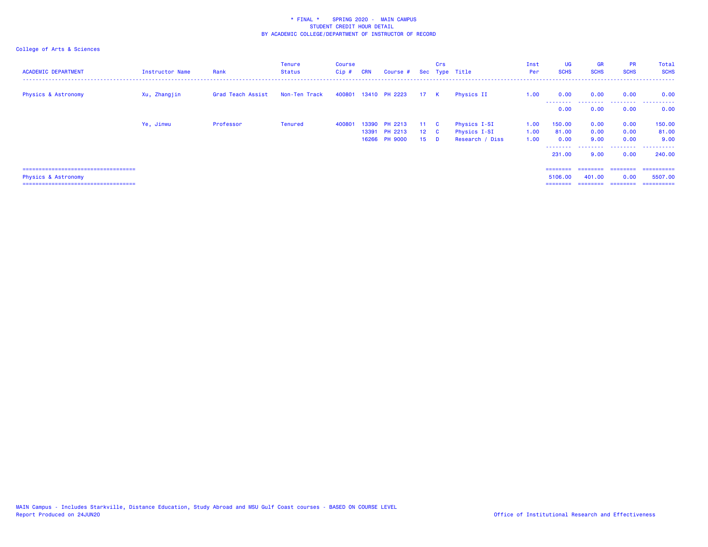| <b>ACADEMIC DEPARTMENT</b>            | Instructor Name | Rank              | Tenure<br><b>Status</b> | <b>Course</b><br>Cip# | <b>CRN</b> | Course #             |                 | Crs      | Sec Type Title  | Inst<br>Per | UG<br><b>SCHS</b> | <b>GR</b><br><b>SCHS</b> | <b>PR</b><br><b>SCHS</b> | Total<br><b>SCHS</b> |
|---------------------------------------|-----------------|-------------------|-------------------------|-----------------------|------------|----------------------|-----------------|----------|-----------------|-------------|-------------------|--------------------------|--------------------------|----------------------|
| <b>Physics &amp; Astronomy</b>        | Xu, Zhangjin    | Grad Teach Assist | Non-Ten Track           |                       |            | 400801 13410 PH 2223 | 17 K            |          | Physics II      | 1.00        | 0.00              | 0.00                     | 0.00                     | 0.00                 |
|                                       |                 |                   |                         |                       |            |                      |                 |          |                 |             | --------<br>0.00  | 0.00                     | .<br>0.00                | .<br>0.00            |
|                                       | Ye, Jinwu       | Professor         | <b>Tenured</b>          | 400801                | 13390      | PH 2213              | 11 C            |          | Physics I-SI    | 1.00        | 150.00            | 0.00                     | 0.00                     | 150.00               |
|                                       |                 |                   |                         |                       | 13391      | <b>PH 2213</b>       | $12\quad C$     |          | Physics I-SI    | 1.00        | 81.00             | 0.00                     | 0.00                     | 81.00                |
|                                       |                 |                   |                         |                       |            | 16266 PH 9000        | 15 <sup>1</sup> | <b>D</b> | Research / Diss | 1.00        | 0.00<br>.         | 9.00<br>.                | 0.00<br>.                | 9.00<br>.            |
|                                       |                 |                   |                         |                       |            |                      |                 |          |                 |             | 231,00            | 9.00                     | 0.00                     | 240,00               |
| ===================================== |                 |                   |                         |                       |            |                      |                 |          |                 |             | ========          | ========                 | ---------                | -----------          |
| Physics & Astronomy                   |                 |                   |                         |                       |            |                      |                 |          |                 |             | 5106.00           | 401.00                   | 0.00                     | 5507.00              |
| ===================================== |                 |                   |                         |                       |            |                      |                 |          |                 |             | ========          | ========                 | ========                 | ==========           |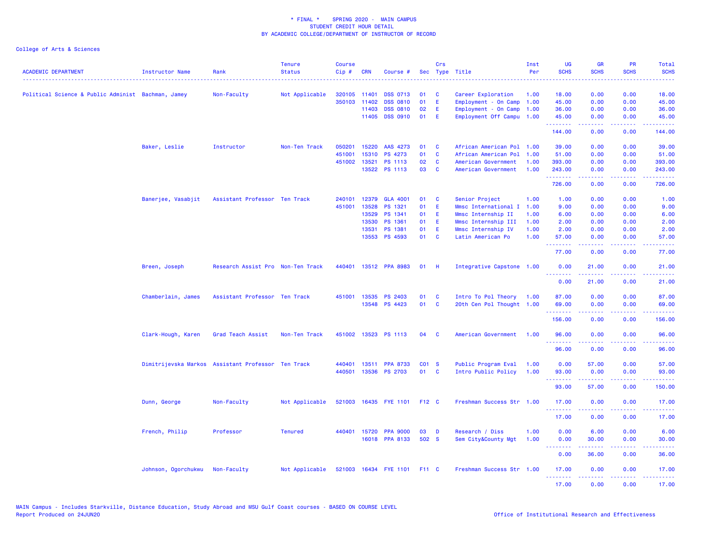| <b>ACADEMIC DEPARTMENT</b>                         | Instructor Name     | Rank                                               | <b>Tenure</b><br><b>Status</b> | <b>Course</b><br>Cip# | <b>CRN</b>   | Course #                    |       | Crs            | Sec Type Title            | Inst<br>Per | <b>UG</b><br><b>SCHS</b> | <b>GR</b><br><b>SCHS</b>                                                                                                                                      | PR<br><b>SCHS</b>                                                                                      | Total<br><b>SCHS</b> |
|----------------------------------------------------|---------------------|----------------------------------------------------|--------------------------------|-----------------------|--------------|-----------------------------|-------|----------------|---------------------------|-------------|--------------------------|---------------------------------------------------------------------------------------------------------------------------------------------------------------|--------------------------------------------------------------------------------------------------------|----------------------|
| Political Science & Public Administ Bachman, Jamey |                     | Non-Faculty                                        | Not Applicable                 |                       | 320105 11401 | <b>DSS 0713</b>             | 01    | <b>C</b>       | Career Exploration        | 1.00        | 18.00                    | 0.00                                                                                                                                                          | 0.00                                                                                                   | 18.00                |
|                                                    |                     |                                                    |                                |                       | 350103 11402 | <b>DSS 0810</b>             | 01    | E              | Employment - On Camp      | 1.00        | 45.00                    | 0.00                                                                                                                                                          | 0.00                                                                                                   | 45.00                |
|                                                    |                     |                                                    |                                |                       | 11403        | <b>DSS 0810</b>             | 02    | E.             | Employment - On Camp 1.00 |             | 36.00                    | 0.00                                                                                                                                                          | 0.00                                                                                                   | 36.00                |
|                                                    |                     |                                                    |                                |                       | 11405        | <b>DSS 0910</b>             | 01    | -E             | Employment Off Campu 1.00 |             | 45.00<br>.               | 0.00                                                                                                                                                          | 0.00                                                                                                   | 45.00                |
|                                                    |                     |                                                    |                                |                       |              |                             |       |                |                           |             | 144.00                   | 0.00                                                                                                                                                          | 0.00                                                                                                   | 144.00               |
|                                                    | Baker, Leslie       | Instructor                                         | Non-Ten Track                  | 050201                | 15220        | AAS 4273                    | 01    | <b>C</b>       | African American Pol 1.00 |             | 39.00                    | 0.00                                                                                                                                                          | 0.00                                                                                                   | 39.00                |
|                                                    |                     |                                                    |                                | 451001                | 15310        | PS 4273                     | 01    | $\mathbf{C}$   | African American Pol 1.00 |             | 51.00                    | 0.00                                                                                                                                                          | 0.00                                                                                                   | 51.00                |
|                                                    |                     |                                                    |                                |                       | 451002 13521 | PS 1113                     | 02    | $\mathbf{C}$   | American Government       | 1.00        | 393.00                   | 0.00                                                                                                                                                          | 0.00                                                                                                   | 393.00               |
|                                                    |                     |                                                    |                                |                       |              | 13522 PS 1113               | 03    | <b>C</b>       | American Government       | 1.00        | 243.00<br>.              | 0.00<br>22222                                                                                                                                                 | 0.00<br>$\frac{1}{2} \left( \frac{1}{2} \right) \left( \frac{1}{2} \right) \left( \frac{1}{2} \right)$ | 243.00               |
|                                                    |                     |                                                    |                                |                       |              |                             |       |                |                           |             | 726.00                   | 0.00                                                                                                                                                          | 0.00                                                                                                   | 726.00               |
|                                                    | Banerjee, Vasabjit  | Assistant Professor Ten Track                      |                                | 240101                | 12379        | <b>GLA 4001</b>             | 01    | $\mathbf{C}$   | Senior Project            | 1.00        | 1.00                     | 0.00                                                                                                                                                          | 0.00                                                                                                   | 1.00                 |
|                                                    |                     |                                                    |                                | 451001                | 13528        | PS 1321                     | 01    | E              | Mmsc International I 1.00 |             | 9.00                     | 0.00                                                                                                                                                          | 0.00                                                                                                   | 9.00                 |
|                                                    |                     |                                                    |                                |                       | 13529        | PS 1341                     | 01    | - E            | Mmsc Internship II        | 1.00        | 6.00                     | 0.00                                                                                                                                                          | 0.00                                                                                                   | 6.00                 |
|                                                    |                     |                                                    |                                |                       | 13530        | PS 1361                     | 01    | E.             | Mmsc Internship III       | 1.00        | 2.00                     | 0.00                                                                                                                                                          | 0.00                                                                                                   | 2.00                 |
|                                                    |                     |                                                    |                                |                       | 13531        | PS 1381                     | 01    | E.             | Mmsc Internship IV        | 1.00        | 2.00                     | 0.00                                                                                                                                                          | 0.00                                                                                                   | 2.00                 |
|                                                    |                     |                                                    |                                |                       | 13553        | PS 4593                     | 01 C  |                | Latin American Po         | 1.00        | 57.00<br>.               | 0.00                                                                                                                                                          | 0.00                                                                                                   | 57.00                |
|                                                    |                     |                                                    |                                |                       |              |                             |       |                |                           |             | 77.00                    | 0.00                                                                                                                                                          | 0.00                                                                                                   | 77.00                |
|                                                    | Breen, Joseph       | Research Assist Pro Non-Ten Track                  |                                |                       |              | 440401 13512 PPA 8983       | 01    | -н             | Integrative Capstone 1.00 |             | 0.00<br>.                | 21.00                                                                                                                                                         | 0.00                                                                                                   | 21.00                |
|                                                    |                     |                                                    |                                |                       |              |                             |       |                |                           |             | 0.00                     | 21.00                                                                                                                                                         | 0.00                                                                                                   | 21.00                |
|                                                    | Chamberlain, James  | Assistant Professor Ten Track                      |                                |                       |              | 451001 13535 PS 2403        | 01    | <b>C</b>       | Intro To Pol Theory 1.00  |             | 87.00                    | 0.00                                                                                                                                                          | 0.00                                                                                                   | 87.00                |
|                                                    |                     |                                                    |                                |                       |              | 13548 PS 4423               | 01    | $\overline{c}$ | 20th Cen Pol Thought 1.00 |             | 69.00                    | 0.00                                                                                                                                                          | 0.00                                                                                                   | 69.00                |
|                                                    |                     |                                                    |                                |                       |              |                             |       |                |                           |             | .<br>156.00              | $\frac{1}{2} \left( \frac{1}{2} \right) \left( \frac{1}{2} \right) \left( \frac{1}{2} \right) \left( \frac{1}{2} \right) \left( \frac{1}{2} \right)$<br>0.00  | . <b>.</b><br>0.00                                                                                     | ------<br>156.00     |
|                                                    | Clark-Hough, Karen  | Grad Teach Assist                                  | Non-Ten Track                  |                       |              | 451002 13523 PS 1113        | 04    | - C            | American Government       | 1.00        | 96.00<br>.               | 0.00                                                                                                                                                          | 0.00                                                                                                   | 96.00                |
|                                                    |                     |                                                    |                                |                       |              |                             |       |                |                           |             | 96.00                    | 0.00                                                                                                                                                          | 0.00                                                                                                   | 96.00                |
|                                                    |                     | Dimitrijevska Markos Assistant Professor Ten Track |                                |                       |              | 440401 13511 PPA 8733       | C01 S |                | Public Program Eval       | 1.00        | 0.00                     | 57.00                                                                                                                                                         | 0.00                                                                                                   | 57.00                |
|                                                    |                     |                                                    |                                |                       |              | 440501 13536 PS 2703        | 01 C  |                | Intro Public Policy       | 1.00        | 93.00<br>.               | 0.00<br>.                                                                                                                                                     | 0.00<br>.                                                                                              | 93.00<br>.           |
|                                                    |                     |                                                    |                                |                       |              |                             |       |                |                           |             | 93.00                    | 57.00                                                                                                                                                         | 0.00                                                                                                   | 150.00               |
|                                                    | Dunn, George        | Non-Faculty                                        | Not Applicable                 |                       |              | 521003 16435 FYE 1101       | F12 C |                | Freshman Success Str 1.00 |             | 17.00                    | 0.00                                                                                                                                                          | 0.00                                                                                                   | 17.00                |
|                                                    |                     |                                                    |                                |                       |              |                             |       |                |                           |             | <u>.</u><br>17.00        | .<br>0.00                                                                                                                                                     | .<br>0.00                                                                                              | .<br>17.00           |
|                                                    | French, Philip      | Professor                                          | <b>Tenured</b>                 |                       | 440401 15720 | <b>PPA 9000</b>             | 03    | $\blacksquare$ | Research / Diss           | 1.00        | 0.00                     | 6.00                                                                                                                                                          | 0.00                                                                                                   | 6.00                 |
|                                                    |                     |                                                    |                                |                       |              | 16018 PPA 8133              | 502 S |                | Sem City&County Mgt       | 1.00        | 0.00                     | 30.00                                                                                                                                                         | 0.00                                                                                                   | 30.00                |
|                                                    |                     |                                                    |                                |                       |              |                             |       |                |                           |             | .<br>0.00                | $\frac{1}{2} \left( \frac{1}{2} \right) \left( \frac{1}{2} \right) \left( \frac{1}{2} \right) \left( \frac{1}{2} \right) \left( \frac{1}{2} \right)$<br>36.00 | .<br>0.00                                                                                              | .<br>36.00           |
|                                                    | Johnson, Ogorchukwu | Non-Faculty                                        | Not Applicable                 |                       |              | 521003 16434 FYE 1101 F11 C |       |                | Freshman Success Str 1.00 |             | 17.00                    | 0.00                                                                                                                                                          | 0.00                                                                                                   | 17.00                |
|                                                    |                     |                                                    |                                |                       |              |                             |       |                |                           |             | <u>.</u><br>17.00        | <u> - - - - - - - -</u><br>0.00                                                                                                                               | .<br>0.00                                                                                              | <u>.</u><br>17.00    |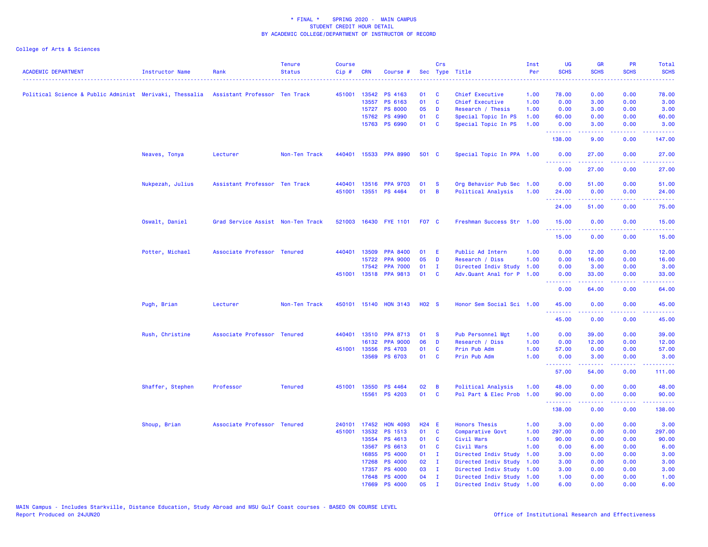| <b>ACADEMIC DEPARTMENT</b>                                                            | <b>Instructor Name</b> | Rank                              | <b>Tenure</b><br><b>Status</b> | <b>Course</b><br>Cip# | <b>CRN</b>   | Course #              |                   | Crs            | Sec Type Title            | Inst<br>Per | UG<br><b>SCHS</b> | <b>GR</b><br><b>SCHS</b>                                                                                                                                      | PR<br><b>SCHS</b>                                                                                      | Total<br><b>SCHS</b>                                                                                                                                                                                                                                                                                                                                                                                                                                                                   |
|---------------------------------------------------------------------------------------|------------------------|-----------------------------------|--------------------------------|-----------------------|--------------|-----------------------|-------------------|----------------|---------------------------|-------------|-------------------|---------------------------------------------------------------------------------------------------------------------------------------------------------------|--------------------------------------------------------------------------------------------------------|----------------------------------------------------------------------------------------------------------------------------------------------------------------------------------------------------------------------------------------------------------------------------------------------------------------------------------------------------------------------------------------------------------------------------------------------------------------------------------------|
|                                                                                       |                        |                                   |                                |                       |              |                       |                   |                |                           |             |                   |                                                                                                                                                               |                                                                                                        |                                                                                                                                                                                                                                                                                                                                                                                                                                                                                        |
| Political Science & Public Administ Merivaki, Thessalia Assistant Professor Ten Track |                        |                                   |                                |                       |              | 451001 13542 PS 4163  | 01                | C              | Chief Executive           | 1.00        | 78.00             | 0.00                                                                                                                                                          | 0.00                                                                                                   | 78.00                                                                                                                                                                                                                                                                                                                                                                                                                                                                                  |
|                                                                                       |                        |                                   |                                |                       | 13557        | PS 6163               | 01                | C              | Chief Executive           | 1.00        | 0.00              | 3.00                                                                                                                                                          | 0.00                                                                                                   | 3.00                                                                                                                                                                                                                                                                                                                                                                                                                                                                                   |
|                                                                                       |                        |                                   |                                |                       | 15727        | <b>PS 8000</b>        | 05                | D              | Research / Thesis         | 1.00        | 0.00              | 3.00                                                                                                                                                          | 0.00                                                                                                   | 3.00                                                                                                                                                                                                                                                                                                                                                                                                                                                                                   |
|                                                                                       |                        |                                   |                                |                       | 15762        | <b>PS 4990</b>        | 01                | C              | Special Topic In PS       | 1.00        | 60.00             | 0.00                                                                                                                                                          | 0.00                                                                                                   | 60.00                                                                                                                                                                                                                                                                                                                                                                                                                                                                                  |
|                                                                                       |                        |                                   |                                |                       |              | 15763 PS 6990         | 01                | C              | Special Topic In PS       | 1.00        | 0.00<br>.         | 3.00<br>$\frac{1}{2} \left( \frac{1}{2} \right) \left( \frac{1}{2} \right) \left( \frac{1}{2} \right) \left( \frac{1}{2} \right) \left( \frac{1}{2} \right)$  | 0.00<br>.                                                                                              | 3.00<br>22222                                                                                                                                                                                                                                                                                                                                                                                                                                                                          |
|                                                                                       |                        |                                   |                                |                       |              |                       |                   |                |                           |             | 138.00            | 9.00                                                                                                                                                          | 0.00                                                                                                   | 147.00                                                                                                                                                                                                                                                                                                                                                                                                                                                                                 |
|                                                                                       | Neaves, Tonya          | Lecturer                          | Non-Ten Track                  | 440401                |              | 15533 PPA 8990        | 501 C             |                | Special Topic In PPA 1.00 |             | 0.00<br>.         | 27.00<br>.                                                                                                                                                    | 0.00<br>$\frac{1}{2} \left( \frac{1}{2} \right) \left( \frac{1}{2} \right) \left( \frac{1}{2} \right)$ | 27.00<br>.                                                                                                                                                                                                                                                                                                                                                                                                                                                                             |
|                                                                                       |                        |                                   |                                |                       |              |                       |                   |                |                           |             | 0.00              | 27.00                                                                                                                                                         | 0.00                                                                                                   | 27.00                                                                                                                                                                                                                                                                                                                                                                                                                                                                                  |
|                                                                                       | Nukpezah, Julius       | Assistant Professor Ten Track     |                                |                       | 440401 13516 | <b>PPA 9703</b>       | 01                | - S            | Org Behavior Pub Sec 1.00 |             | 0.00              | 51.00                                                                                                                                                         | 0.00                                                                                                   | 51.00                                                                                                                                                                                                                                                                                                                                                                                                                                                                                  |
|                                                                                       |                        |                                   |                                |                       |              | 451001 13551 PS 4464  | 01                | $\overline{B}$ | Political Analysis        | 1.00        | 24.00             | 0.00                                                                                                                                                          | 0.00                                                                                                   | 24.00                                                                                                                                                                                                                                                                                                                                                                                                                                                                                  |
|                                                                                       |                        |                                   |                                |                       |              |                       |                   |                |                           |             | .                 | .                                                                                                                                                             | د د د د                                                                                                |                                                                                                                                                                                                                                                                                                                                                                                                                                                                                        |
|                                                                                       |                        |                                   |                                |                       |              |                       |                   |                |                           |             | 24.00             | 51.00                                                                                                                                                         | 0.00                                                                                                   | 75.00                                                                                                                                                                                                                                                                                                                                                                                                                                                                                  |
|                                                                                       | Oswalt, Daniel         | Grad Service Assist Non-Ten Track |                                |                       |              | 521003 16430 FYE 1101 | <b>F07 C</b>      |                | Freshman Success Str 1.00 |             | 15.00<br>.        | 0.00<br>$\frac{1}{2} \left( \frac{1}{2} \right) \left( \frac{1}{2} \right) \left( \frac{1}{2} \right) \left( \frac{1}{2} \right) \left( \frac{1}{2} \right)$  | 0.00<br>.                                                                                              | 15.00<br>.                                                                                                                                                                                                                                                                                                                                                                                                                                                                             |
|                                                                                       |                        |                                   |                                |                       |              |                       |                   |                |                           |             | 15.00             | 0.00                                                                                                                                                          | 0.00                                                                                                   | 15.00                                                                                                                                                                                                                                                                                                                                                                                                                                                                                  |
|                                                                                       | Potter, Michael        | Associate Professor Tenured       |                                |                       | 440401 13509 | <b>PPA 8400</b>       | 01                | E              | Public Ad Intern          | 1.00        | 0.00              | 12.00                                                                                                                                                         | 0.00                                                                                                   | 12.00                                                                                                                                                                                                                                                                                                                                                                                                                                                                                  |
|                                                                                       |                        |                                   |                                |                       | 15722        | <b>PPA 9000</b>       | 05                | D              | Research / Diss           | 1.00        | 0.00              | 16.00                                                                                                                                                         | 0.00                                                                                                   | 16.00                                                                                                                                                                                                                                                                                                                                                                                                                                                                                  |
|                                                                                       |                        |                                   |                                |                       | 17542        | <b>PPA 7000</b>       | 01                | T              | Directed Indiv Study      | 1.00        | 0.00              | 3.00                                                                                                                                                          | 0.00                                                                                                   | 3.00                                                                                                                                                                                                                                                                                                                                                                                                                                                                                   |
|                                                                                       |                        |                                   |                                |                       | 451001 13518 | <b>PPA 9813</b>       | 01                | C              | Adv.Quant Anal for P 1.00 |             | 0.00              | 33.00                                                                                                                                                         | 0.00                                                                                                   | 33.00                                                                                                                                                                                                                                                                                                                                                                                                                                                                                  |
|                                                                                       |                        |                                   |                                |                       |              |                       |                   |                |                           |             | .<br>0.00         | $\frac{1}{2} \left( \frac{1}{2} \right) \left( \frac{1}{2} \right) \left( \frac{1}{2} \right) \left( \frac{1}{2} \right) \left( \frac{1}{2} \right)$<br>64.00 | .<br>0.00                                                                                              | د د د د د<br>64.00                                                                                                                                                                                                                                                                                                                                                                                                                                                                     |
|                                                                                       | Pugh, Brian            | Lecturer                          | Non-Ten Track                  |                       |              | 450101 15140 HON 3143 | H <sub>02</sub> S |                | Honor Sem Social Sci 1.00 |             | 45.00             | 0.00                                                                                                                                                          | 0.00                                                                                                   | 45.00                                                                                                                                                                                                                                                                                                                                                                                                                                                                                  |
|                                                                                       |                        |                                   |                                |                       |              |                       |                   |                |                           |             | .<br>45.00        | 0.00                                                                                                                                                          | 0.00                                                                                                   | 45.00                                                                                                                                                                                                                                                                                                                                                                                                                                                                                  |
|                                                                                       | Rush, Christine        | Associate Professor               | Tenured                        | 440401                | 13510        | <b>PPA 8713</b>       | 01                | <b>S</b>       | <b>Pub Personnel Mgt</b>  | 1.00        | 0.00              | 39.00                                                                                                                                                         | 0.00                                                                                                   | 39.00                                                                                                                                                                                                                                                                                                                                                                                                                                                                                  |
|                                                                                       |                        |                                   |                                |                       | 16132        | <b>PPA 9000</b>       | 06                | D              | Research / Diss           | 1.00        | 0.00              | 12.00                                                                                                                                                         | 0.00                                                                                                   | 12.00                                                                                                                                                                                                                                                                                                                                                                                                                                                                                  |
|                                                                                       |                        |                                   |                                |                       | 451001 13556 | <b>PS 4703</b>        | 01                | C              | Prin Pub Adm              | 1.00        | 57.00             | 0.00                                                                                                                                                          | 0.00                                                                                                   | 57.00                                                                                                                                                                                                                                                                                                                                                                                                                                                                                  |
|                                                                                       |                        |                                   |                                |                       | 13569        | <b>PS 6703</b>        | 01                | <b>C</b>       | Prin Pub Adm              | 1.00        | 0.00              | 3.00                                                                                                                                                          | 0.00                                                                                                   | 3.00                                                                                                                                                                                                                                                                                                                                                                                                                                                                                   |
|                                                                                       |                        |                                   |                                |                       |              |                       |                   |                |                           |             | .<br>57.00        | $\frac{1}{2} \left( \frac{1}{2} \right) \left( \frac{1}{2} \right) \left( \frac{1}{2} \right) \left( \frac{1}{2} \right) \left( \frac{1}{2} \right)$<br>54.00 | والمحامر<br>0.00                                                                                       | $\begin{array}{cccccccccc} \bullet & \bullet & \bullet & \bullet & \bullet & \bullet & \bullet & \bullet \end{array}$<br>111.00                                                                                                                                                                                                                                                                                                                                                        |
|                                                                                       |                        | Professor                         | <b>Tenured</b>                 |                       | 451001 13550 | <b>PS 4464</b>        | 02                | B              | Political Analysis        | 1.00        | 48.00             | 0.00                                                                                                                                                          | 0.00                                                                                                   | 48.00                                                                                                                                                                                                                                                                                                                                                                                                                                                                                  |
|                                                                                       | Shaffer, Stephen       |                                   |                                |                       | 15561        | <b>PS 4203</b>        | 01                | C              | Pol Part & Elec Prob      | 1.00        | 90.00             | 0.00                                                                                                                                                          | 0.00                                                                                                   | 90.00                                                                                                                                                                                                                                                                                                                                                                                                                                                                                  |
|                                                                                       |                        |                                   |                                |                       |              |                       |                   |                |                           |             | .                 | $\frac{1}{2} \left( \frac{1}{2} \right) \left( \frac{1}{2} \right) \left( \frac{1}{2} \right) \left( \frac{1}{2} \right) \left( \frac{1}{2} \right)$          | a a a a al                                                                                             | $\begin{array}{cccccccccccccc} \multicolumn{2}{c}{} & \multicolumn{2}{c}{} & \multicolumn{2}{c}{} & \multicolumn{2}{c}{} & \multicolumn{2}{c}{} & \multicolumn{2}{c}{} & \multicolumn{2}{c}{} & \multicolumn{2}{c}{} & \multicolumn{2}{c}{} & \multicolumn{2}{c}{} & \multicolumn{2}{c}{} & \multicolumn{2}{c}{} & \multicolumn{2}{c}{} & \multicolumn{2}{c}{} & \multicolumn{2}{c}{} & \multicolumn{2}{c}{} & \multicolumn{2}{c}{} & \multicolumn{2}{c}{} & \multicolumn{2}{c}{} & \$ |
|                                                                                       |                        |                                   |                                |                       |              |                       |                   |                |                           |             | 138.00            | 0.00                                                                                                                                                          | 0.00                                                                                                   | 138.00                                                                                                                                                                                                                                                                                                                                                                                                                                                                                 |
|                                                                                       | Shoup, Brian           | Associate Professor Tenured       |                                | 240101                | 17452        | <b>HON 4093</b>       | $H24$ E           |                | <b>Honors Thesis</b>      | 1.00        | 3.00              | 0.00                                                                                                                                                          | 0.00                                                                                                   | 3.00                                                                                                                                                                                                                                                                                                                                                                                                                                                                                   |
|                                                                                       |                        |                                   |                                |                       | 451001 13532 | PS 1513               | 01                | C              | Comparative Govt          | 1.00        | 297.00            | 0.00                                                                                                                                                          | 0.00                                                                                                   | 297.00                                                                                                                                                                                                                                                                                                                                                                                                                                                                                 |
|                                                                                       |                        |                                   |                                |                       | 13554        | PS 4613               | 01                | <b>C</b>       | Civil Wars                | 1.00        | 90.00             | 0.00                                                                                                                                                          | 0.00                                                                                                   | 90.00                                                                                                                                                                                                                                                                                                                                                                                                                                                                                  |
|                                                                                       |                        |                                   |                                |                       | 13567        | PS 6613               | 01                | <b>C</b>       | Civil Wars                | 1.00        | 0.00              | 6.00                                                                                                                                                          | 0.00                                                                                                   | 6.00                                                                                                                                                                                                                                                                                                                                                                                                                                                                                   |
|                                                                                       |                        |                                   |                                |                       | 16855        | <b>PS 4000</b>        | 01                | - I            | Directed Indiv Study      | 1.00        | 3.00              | 0.00                                                                                                                                                          | 0.00                                                                                                   | 3.00                                                                                                                                                                                                                                                                                                                                                                                                                                                                                   |
|                                                                                       |                        |                                   |                                |                       | 17268        | <b>PS 4000</b>        | 02                | $\mathbf{I}$   | Directed Indiv Study      | 1.00        | 3.00              | 0.00                                                                                                                                                          | 0.00                                                                                                   | 3.00                                                                                                                                                                                                                                                                                                                                                                                                                                                                                   |
|                                                                                       |                        |                                   |                                |                       | 17357        | <b>PS 4000</b>        | 03                | - I            | Directed Indiv Study 1.00 |             | 3.00              | 0.00                                                                                                                                                          | 0.00                                                                                                   | 3.00                                                                                                                                                                                                                                                                                                                                                                                                                                                                                   |
|                                                                                       |                        |                                   |                                |                       | 17648        | <b>PS 4000</b>        | 04                | $\mathbf{I}$   | Directed Indiv Study 1.00 |             | 1.00              | 0.00                                                                                                                                                          | 0.00                                                                                                   | 1.00                                                                                                                                                                                                                                                                                                                                                                                                                                                                                   |
|                                                                                       |                        |                                   |                                |                       | 17669        | <b>PS 4000</b>        | 05                | T              | Directed Indiv Study 1.00 |             | 6.00              | 0.00                                                                                                                                                          | 0.00                                                                                                   | 6.00                                                                                                                                                                                                                                                                                                                                                                                                                                                                                   |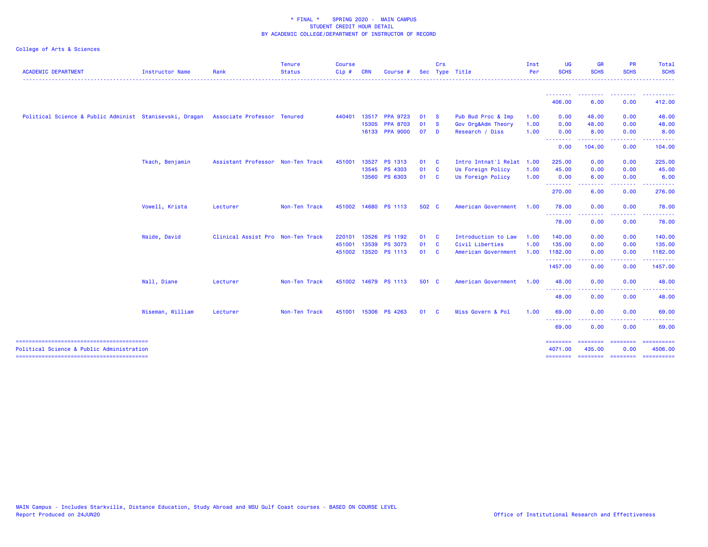| <b>ACADEMIC DEPARTMENT</b>                              | <b>Instructor Name</b> | Rank                              | <b>Tenure</b><br><b>Status</b> | <b>Course</b><br>Cip# | CRN            | Course                             |          | Crs<br>Sec Type Title   |                                       | Inst<br>Per  | <b>UG</b><br><b>SCHS</b> | <b>GR</b><br><b>SCHS</b>     | <b>PR</b><br><b>SCHS</b>                                                                                                                                     | Total<br><b>SCHS</b><br>$\frac{1}{2} \left( \frac{1}{2} \right) \left( \frac{1}{2} \right) \left( \frac{1}{2} \right) \left( \frac{1}{2} \right) \left( \frac{1}{2} \right)$ |
|---------------------------------------------------------|------------------------|-----------------------------------|--------------------------------|-----------------------|----------------|------------------------------------|----------|-------------------------|---------------------------------------|--------------|--------------------------|------------------------------|--------------------------------------------------------------------------------------------------------------------------------------------------------------|------------------------------------------------------------------------------------------------------------------------------------------------------------------------------|
|                                                         |                        |                                   |                                |                       |                |                                    |          |                         |                                       |              | 406.00                   | -----<br>6.00                | 0.00                                                                                                                                                         | 412.00                                                                                                                                                                       |
| Political Science & Public Administ Stanisevski, Dragan |                        | Associate Professor Tenured       |                                | 440401                |                | 13517 PPA 9723                     | 01       | <b>S</b>                | Pub Bud Proc & Imp                    | 1.00         | 0.00                     | 48.00                        | 0.00                                                                                                                                                         | 48.00                                                                                                                                                                        |
|                                                         |                        |                                   |                                |                       | 15305<br>16133 | <b>PPA 8703</b><br><b>PPA 9000</b> | 01<br>07 | <b>S</b><br><b>D</b>    | Gov Org&Adm Theory<br>Research / Diss | 1.00<br>1.00 | 0.00<br>0.00             | 48.00<br>8.00                | 0.00<br>0.00                                                                                                                                                 | 48.00<br>8.00                                                                                                                                                                |
|                                                         |                        |                                   |                                |                       |                |                                    |          |                         |                                       |              | --------<br>0.00         | .<br>104.00                  | -----<br>0.00                                                                                                                                                | .<br>104.00                                                                                                                                                                  |
|                                                         | Tkach, Benjamin        | Assistant Professor Non-Ten Track |                                | 451001                | 13527          | <b>PS 1313</b>                     | 01 C     |                         | Intro Intnat'l Relat 1.00             |              | 225.00                   | 0.00                         | 0.00                                                                                                                                                         | 225.00                                                                                                                                                                       |
|                                                         |                        |                                   |                                |                       |                | 13545 PS 4303                      | 01 C     |                         | Us Foreign Policy                     | 1.00         | 45.00                    | 0.00                         | 0.00                                                                                                                                                         | 45.00                                                                                                                                                                        |
|                                                         |                        |                                   |                                |                       |                | 13560 PS 6303                      | 01 C     |                         | Us Foreign Policy                     | 1.00         | 0.00<br>.                | 6.00<br>- - - - - - <b>-</b> | 0.00<br>-----                                                                                                                                                | 6.00<br>.                                                                                                                                                                    |
|                                                         |                        |                                   |                                |                       |                |                                    |          |                         |                                       |              | 270.00                   | 6.00                         | 0.00                                                                                                                                                         | 276.00                                                                                                                                                                       |
|                                                         | Vowell, Krista         | Lecturer                          | Non-Ten Track                  |                       |                | 451002 14680 PS 1113               | 502 C    |                         | American Government                   | 1.00         | 78.00                    | 0.00                         | 0.00                                                                                                                                                         | 78.00                                                                                                                                                                        |
|                                                         |                        |                                   |                                |                       |                |                                    |          |                         |                                       |              | .<br>78.00               | --------<br>0.00             | $\frac{1}{2} \left( \frac{1}{2} \right) \left( \frac{1}{2} \right) \left( \frac{1}{2} \right) \left( \frac{1}{2} \right) \left( \frac{1}{2} \right)$<br>0.00 | .<br>78.00                                                                                                                                                                   |
|                                                         | Waide, David           | Clinical Assist Pro Non-Ten Track |                                | 220101                | 13526          | <b>PS 1192</b>                     | 01       | $\overline{\mathbf{C}}$ | Introduction to Law                   | 1.00         | 140.00                   | 0.00                         | 0.00                                                                                                                                                         | 140.00                                                                                                                                                                       |
|                                                         |                        |                                   |                                | 451001                | 13539          | PS 3073                            | 01 C     |                         | Civil Liberties                       | 1.00         | 135.00                   | 0.00                         | 0.00                                                                                                                                                         | 135.00                                                                                                                                                                       |
|                                                         |                        |                                   |                                |                       |                | 451002 13520 PS 1113               | 01 C     |                         | American Government                   | 1.00         | 1182.00<br>.             | 0.00                         | 0.00                                                                                                                                                         | 1182.00                                                                                                                                                                      |
|                                                         |                        |                                   |                                |                       |                |                                    |          |                         |                                       |              | 1457.00                  | 0.00                         | 0.00                                                                                                                                                         | 1457.00                                                                                                                                                                      |
|                                                         | Wall, Diane            | Lecturer                          | Non-Ten Track                  |                       |                | 451002 14679 PS 1113               | 501 C    |                         | American Government                   | 1.00         | 48.00                    | 0.00                         | 0.00                                                                                                                                                         | 48.00                                                                                                                                                                        |
|                                                         |                        |                                   |                                |                       |                |                                    |          |                         |                                       |              | .<br>48.00               | 0.00                         | ----<br>0.00                                                                                                                                                 | 48.00                                                                                                                                                                        |
|                                                         | Wiseman, William       | Lecturer                          | Non-Ten Track                  |                       |                | 451001 15306 PS 4263               | 01       | $\mathbf{C}$            | Miss Govern & Pol                     | 1.00         | 69.00                    | 0.00                         | 0.00                                                                                                                                                         | 69.00                                                                                                                                                                        |
|                                                         |                        |                                   |                                |                       |                |                                    |          |                         |                                       |              | .<br>69.00               | . <b>.</b><br>0.00           | .<br>0.00                                                                                                                                                    | 69.00                                                                                                                                                                        |
| Political Science & Public Administration               |                        |                                   |                                |                       |                |                                    |          |                         |                                       |              | ========<br>4071,00      | <b>EEEEEEEE</b><br>435.00    | <b>CONSISTER</b><br>0.00                                                                                                                                     | 4506.00                                                                                                                                                                      |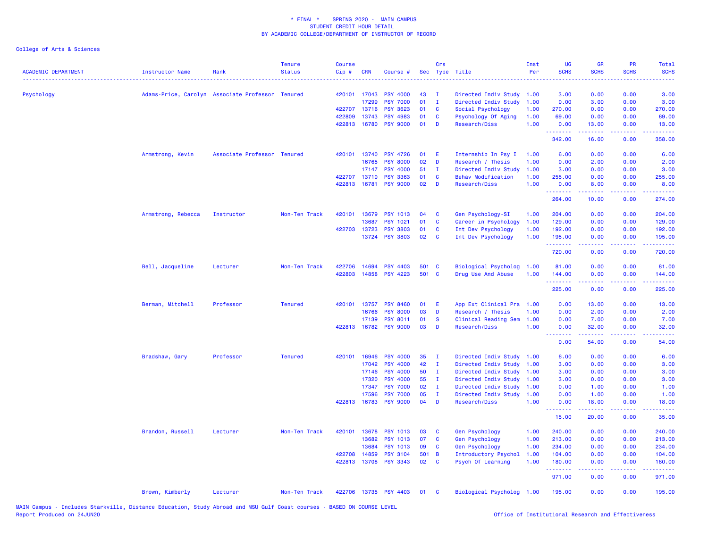| <b>ACADEMIC DEPARTMENT</b> | <b>Instructor Name</b> | Rank                                             | <b>Tenure</b><br><b>Status</b> | <b>Course</b><br>Cip# | <b>CRN</b> | Course #              |       | Crs          | Sec Type Title            | Inst<br>Per | <b>UG</b><br><b>SCHS</b><br>. | <b>GR</b><br><b>SCHS</b>                                                                                                                                      | <b>PR</b><br><b>SCHS</b> | Total<br><b>SCHS</b><br>$\frac{1}{2} \left( \frac{1}{2} \right) \left( \frac{1}{2} \right) \left( \frac{1}{2} \right) \left( \frac{1}{2} \right)$ |
|----------------------------|------------------------|--------------------------------------------------|--------------------------------|-----------------------|------------|-----------------------|-------|--------------|---------------------------|-------------|-------------------------------|---------------------------------------------------------------------------------------------------------------------------------------------------------------|--------------------------|---------------------------------------------------------------------------------------------------------------------------------------------------|
| Psychology                 |                        | Adams-Price, Carolyn Associate Professor Tenured |                                | 420101 17043          |            | <b>PSY 4000</b>       | 43    | $\mathbf{I}$ | Directed Indiv Study 1.00 |             | 3.00                          | 0.00                                                                                                                                                          | 0.00                     | 3.00                                                                                                                                              |
|                            |                        |                                                  |                                |                       | 17299      | <b>PSY 7000</b>       | 01    | $\mathbf I$  | Directed Indiv Study      | 1.00        | 0.00                          | 3.00                                                                                                                                                          | 0.00                     | 3.00                                                                                                                                              |
|                            |                        |                                                  |                                | 422707                | 13716      | <b>PSY 3623</b>       | 01    | <b>C</b>     | Social Psychology         | 1.00        | 270.00                        | 0.00                                                                                                                                                          | 0.00                     | 270.00                                                                                                                                            |
|                            |                        |                                                  |                                | 422809                | 13743      | <b>PSY 4983</b>       | 01    | <b>C</b>     | Psychology Of Aging       | 1.00        | 69.00                         | 0.00                                                                                                                                                          | 0.00                     | 69.00                                                                                                                                             |
|                            |                        |                                                  |                                | 422813 16780          |            | <b>PSY 9000</b>       | 01    | D            | Research/Diss             | 1.00        | 0.00<br>.                     | 13.00<br>$\frac{1}{2} \left( \frac{1}{2} \right) \left( \frac{1}{2} \right) \left( \frac{1}{2} \right) \left( \frac{1}{2} \right) \left( \frac{1}{2} \right)$ | 0.00<br>.                | 13.00                                                                                                                                             |
|                            |                        |                                                  |                                |                       |            |                       |       |              |                           |             | 342.00                        | 16.00                                                                                                                                                         | 0.00                     | 358.00                                                                                                                                            |
|                            | Armstrong, Kevin       | Associate Professor Tenured                      |                                | 420101 13740          |            | <b>PSY 4726</b>       | 01    | E            | Internship In Psy I       | 1.00        | 6.00                          | 0.00                                                                                                                                                          | 0.00                     | 6.00                                                                                                                                              |
|                            |                        |                                                  |                                |                       | 16765      | <b>PSY 8000</b>       | 02    | D            | Research / Thesis         | 1.00        | 0.00                          | 2.00                                                                                                                                                          | 0.00                     | 2.00                                                                                                                                              |
|                            |                        |                                                  |                                |                       | 17147      | <b>PSY 4000</b>       | 51    | $\mathbf{I}$ | Directed Indiv Study      | 1.00        | 3.00                          | 0.00                                                                                                                                                          | 0.00                     | 3.00                                                                                                                                              |
|                            |                        |                                                  |                                | 422707 13710          |            | <b>PSY 3363</b>       | 01    | <b>C</b>     | <b>Behav Modification</b> | 1.00        | 255.00                        | 0.00                                                                                                                                                          | 0.00                     | 255.00                                                                                                                                            |
|                            |                        |                                                  |                                | 422813 16781          |            | <b>PSY 9000</b>       | 02    | D            | <b>Research/Diss</b>      | 1.00        | 0.00                          | 8.00                                                                                                                                                          | 0.00                     | 8.00                                                                                                                                              |
|                            |                        |                                                  |                                |                       |            |                       |       |              |                           |             | .<br>264.00                   | .<br>10.00                                                                                                                                                    | .<br>0.00                | <u>.</u><br>274.00                                                                                                                                |
|                            | Armstrong, Rebecca     | Instructor                                       | Non-Ten Track                  | 420101                | 13679      | <b>PSY 1013</b>       | 04    | C            | Gen Psychology-SI         | 1.00        | 204.00                        | 0.00                                                                                                                                                          | 0.00                     | 204.00                                                                                                                                            |
|                            |                        |                                                  |                                |                       | 13687      | <b>PSY 1021</b>       | 01    | $\mathbf{C}$ | Career in Psychology      | 1.00        | 129.00                        | 0.00                                                                                                                                                          | 0.00                     | 129.00                                                                                                                                            |
|                            |                        |                                                  |                                | 422703 13723          |            | <b>PSY 3803</b>       | 01    | <b>C</b>     | Int Dev Psychology        | 1.00        | 192.00                        | 0.00                                                                                                                                                          | 0.00                     | 192.00                                                                                                                                            |
|                            |                        |                                                  |                                |                       | 13724      | <b>PSY 3803</b>       | 02    | $\mathbf{C}$ | Int Dev Psychology        | 1.00        | 195.00                        | 0.00                                                                                                                                                          | 0.00                     | 195.00                                                                                                                                            |
|                            |                        |                                                  |                                |                       |            |                       |       |              |                           |             | .<br>720.00                   | .<br>0.00                                                                                                                                                     | 0.00                     | $\begin{array}{cccccccccc} \bullet & \bullet & \bullet & \bullet & \bullet & \bullet & \bullet & \bullet \end{array}$<br>720.00                   |
|                            | Bell, Jacqueline       | Lecturer                                         | Non-Ten Track                  | 422706                | 14694      | <b>PSY 4403</b>       | 501 C |              | Biological Psycholog      | 1.00        | 81.00                         | 0.00                                                                                                                                                          | 0.00                     | 81.00                                                                                                                                             |
|                            |                        |                                                  |                                | 422803 14858          |            | <b>PSY 4223</b>       | 501 C |              | Drug Use And Abuse        | 1.00        | 144.00                        | 0.00                                                                                                                                                          | 0.00                     | 144.00                                                                                                                                            |
|                            |                        |                                                  |                                |                       |            |                       |       |              |                           |             | .<br>225.00                   | .<br>0.00                                                                                                                                                     | .<br>0.00                | .<br>225.00                                                                                                                                       |
|                            | Berman, Mitchell       | Professor                                        | <b>Tenured</b>                 | 420101 13757          |            | <b>PSY 8460</b>       | 01    | E            | App Ext Clinical Pra 1.00 |             | 0.00                          | 13.00                                                                                                                                                         | 0.00                     | 13.00                                                                                                                                             |
|                            |                        |                                                  |                                |                       | 16766      | <b>PSY</b><br>8000    | 03    | D            | Research / Thesis         | 1.00        | 0.00                          | 2.00                                                                                                                                                          | 0.00                     | 2.00                                                                                                                                              |
|                            |                        |                                                  |                                |                       | 17139      | <b>PSY 8011</b>       | 01    | <b>S</b>     | Clinical Reading Sem      | 1.00        | 0.00                          | 7.00                                                                                                                                                          | 0.00                     | 7.00                                                                                                                                              |
|                            |                        |                                                  |                                | 422813 16782          |            | <b>PSY 9000</b>       | 03    | D            | Research/Diss             | 1.00        | 0.00                          | 32.00                                                                                                                                                         | 0.00<br>.                | 32.00                                                                                                                                             |
|                            |                        |                                                  |                                |                       |            |                       |       |              |                           |             | .<br>0.00                     | د د د د د<br>54.00                                                                                                                                            | 0.00                     | .<br>54.00                                                                                                                                        |
|                            | Bradshaw, Gary         | Professor                                        | <b>Tenured</b>                 | 420101                | 16946      | <b>PSY 4000</b>       | 35    | $\mathbf I$  | Directed Indiv Study      | 1.00        | 6.00                          | 0.00                                                                                                                                                          | 0.00                     | 6.00                                                                                                                                              |
|                            |                        |                                                  |                                |                       | 17042      | <b>PSY 4000</b>       | 42    | $\mathbf{I}$ | Directed Indiv Study 1.00 |             | 3.00                          | 0.00                                                                                                                                                          | 0.00                     | 3.00                                                                                                                                              |
|                            |                        |                                                  |                                |                       | 17146      | <b>PSY 4000</b>       | 50    | I.           | Directed Indiv Study      | 1.00        | 3.00                          | 0.00                                                                                                                                                          | 0.00                     | 3.00                                                                                                                                              |
|                            |                        |                                                  |                                |                       | 17320      | <b>PSY 4000</b>       | 55    | - 1          | Directed Indiv Study 1.00 |             | 3.00                          | 0.00                                                                                                                                                          | 0.00                     | 3.00                                                                                                                                              |
|                            |                        |                                                  |                                |                       | 17347      | <b>PSY 7000</b>       | 02    | $\mathbf I$  | Directed Indiv Study      | 1.00        | 0.00                          | 1.00                                                                                                                                                          | 0.00                     | 1.00                                                                                                                                              |
|                            |                        |                                                  |                                |                       | 17596      | <b>PSY 7000</b>       | 05    | $\mathbf{I}$ | Directed Indiv Study 1.00 |             | 0.00                          | 1.00                                                                                                                                                          | 0.00                     | 1.00                                                                                                                                              |
|                            |                        |                                                  |                                | 422813 16783          |            | <b>PSY 9000</b>       | 04    | D            | Research/Diss             | 1.00        | 0.00<br>.                     | 18.00                                                                                                                                                         | 0.00                     | 18.00                                                                                                                                             |
|                            |                        |                                                  |                                |                       |            |                       |       |              |                           |             | 15.00                         | 20.00                                                                                                                                                         | 0.00                     | 35.00                                                                                                                                             |
|                            | Brandon, Russell       | Lecturer                                         | Non-Ten Track                  | 420101 13678          |            | <b>PSY 1013</b>       | 03    | C            | Gen Psychology            | 1.00        | 240.00                        | 0.00                                                                                                                                                          | 0.00                     | 240.00                                                                                                                                            |
|                            |                        |                                                  |                                |                       | 13682      | <b>PSY 1013</b>       | 07    | $\mathbf{C}$ | <b>Gen Psychology</b>     | 1.00        | 213.00                        | 0.00                                                                                                                                                          | 0.00                     | 213.00                                                                                                                                            |
|                            |                        |                                                  |                                |                       | 13684      | <b>PSY 1013</b>       | 09    | $\mathbf{C}$ | Gen Psychology            | 1.00        | 234.00                        | 0.00                                                                                                                                                          | 0.00                     | 234.00                                                                                                                                            |
|                            |                        |                                                  |                                | 422708                | 14859      | <b>PSY 3104</b>       | 501 B |              | Introductory Psychol      | 1.00        | 104.00                        | 0.00                                                                                                                                                          | 0.00                     | 104.00                                                                                                                                            |
|                            |                        |                                                  |                                | 422813 13708          |            | <b>PSY 3343</b>       | 02    | $\mathbf{C}$ | Psych Of Learning         | 1.00        | 180.00<br>.                   | 0.00                                                                                                                                                          | 0.00                     | 180.00                                                                                                                                            |
|                            |                        |                                                  |                                |                       |            |                       |       |              |                           |             | 971.00                        | 0.00                                                                                                                                                          | 0.00                     | 971.00                                                                                                                                            |
|                            | Brown, Kimberly        | Lecturer                                         | Non-Ten Track                  |                       |            | 422706 13735 PSY 4403 | 01    | $\mathbf{C}$ | Biological Psycholog 1.00 |             | 195.00                        | 0.00                                                                                                                                                          | 0.00                     | 195.00                                                                                                                                            |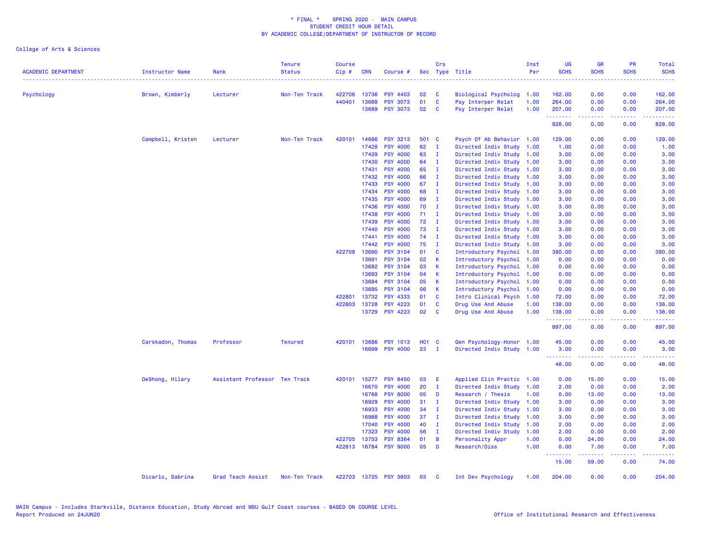| <b>ACADEMIC DEPARTMENT</b> | <b>Instructor Name</b> | Rank                          | <b>Tenure</b><br><b>Status</b> | <b>Course</b><br>Cip# | <b>CRN</b>   | Course #              |              | Crs          | Sec Type Title            | Inst<br>Per | UG<br><b>SCHS</b>                     | <b>GR</b><br><b>SCHS</b>                                                                                                                                                                                                                                                                                                                                                                                                                                                                       | <b>PR</b><br><b>SCHS</b> | <b>Total</b><br><b>SCHS</b>                                                                                                                                    |
|----------------------------|------------------------|-------------------------------|--------------------------------|-----------------------|--------------|-----------------------|--------------|--------------|---------------------------|-------------|---------------------------------------|------------------------------------------------------------------------------------------------------------------------------------------------------------------------------------------------------------------------------------------------------------------------------------------------------------------------------------------------------------------------------------------------------------------------------------------------------------------------------------------------|--------------------------|----------------------------------------------------------------------------------------------------------------------------------------------------------------|
| Psychology                 | Brown, Kimberly        | Lecturer                      | Non-Ten Track                  | 422706                | 13736        | <b>PSY 4403</b>       | 02           | C            | Biological Psycholog      | 1.00        | 162.00                                | 0.00                                                                                                                                                                                                                                                                                                                                                                                                                                                                                           | 0.00                     | 162.00                                                                                                                                                         |
|                            |                        |                               |                                | 440401                | 13688        | <b>PSY 3073</b>       | 01           | $\mathbf c$  | Psy Interper Relat        | 1.00        | 264.00                                | 0.00                                                                                                                                                                                                                                                                                                                                                                                                                                                                                           | 0.00                     | 264.00                                                                                                                                                         |
|                            |                        |                               |                                |                       | 13689        | <b>PSY 3073</b>       | 02           | <b>C</b>     | Psy Interper Relat        | 1.00        | 207.00<br>.                           | 0.00                                                                                                                                                                                                                                                                                                                                                                                                                                                                                           | 0.00<br>.                | 207.00<br>$\frac{1}{2} \left( \frac{1}{2} \right) \left( \frac{1}{2} \right) \left( \frac{1}{2} \right) \left( \frac{1}{2} \right) \left( \frac{1}{2} \right)$ |
|                            |                        |                               |                                |                       |              |                       |              |              |                           |             | 828.00                                | $\begin{array}{cccccccccccccc} \multicolumn{2}{c}{} & \multicolumn{2}{c}{} & \multicolumn{2}{c}{} & \multicolumn{2}{c}{} & \multicolumn{2}{c}{} & \multicolumn{2}{c}{} & \multicolumn{2}{c}{} & \multicolumn{2}{c}{} & \multicolumn{2}{c}{} & \multicolumn{2}{c}{} & \multicolumn{2}{c}{} & \multicolumn{2}{c}{} & \multicolumn{2}{c}{} & \multicolumn{2}{c}{} & \multicolumn{2}{c}{} & \multicolumn{2}{c}{} & \multicolumn{2}{c}{} & \multicolumn{2}{c}{} & \multicolumn{2}{c}{} & \$<br>0.00 | 0.00                     | 828.00                                                                                                                                                         |
|                            | Campbell, Kristen      | Lecturer                      | Non-Ten Track                  | 420101                | 14686        | <b>PSY 3213</b>       | 501 C        |              | Psych Of Ab Behavior 1.00 |             | 129.00                                | 0.00                                                                                                                                                                                                                                                                                                                                                                                                                                                                                           | 0.00                     | 129.00                                                                                                                                                         |
|                            |                        |                               |                                |                       | 17428        | <b>PSY 4000</b>       | 62           | $\mathbf{I}$ | Directed Indiv Study      | 1.00        | 1.00                                  | 0.00                                                                                                                                                                                                                                                                                                                                                                                                                                                                                           | 0.00                     | 1.00                                                                                                                                                           |
|                            |                        |                               |                                |                       | 17429        | <b>PSY 4000</b>       | 63           | $\mathbf{I}$ | Directed Indiv Study      | 1.00        | 3.00                                  | 0.00                                                                                                                                                                                                                                                                                                                                                                                                                                                                                           | 0.00                     | 3.00                                                                                                                                                           |
|                            |                        |                               |                                |                       | 17430        | <b>PSY 4000</b>       | 64           | <b>I</b>     | Directed Indiv Study      | 1.00        | 3.00                                  | 0.00                                                                                                                                                                                                                                                                                                                                                                                                                                                                                           | 0.00                     | 3.00                                                                                                                                                           |
|                            |                        |                               |                                |                       | 17431        | <b>PSY 4000</b>       | 65           | $\mathbf I$  | Directed Indiv Study      | 1.00        | 3.00                                  | 0.00                                                                                                                                                                                                                                                                                                                                                                                                                                                                                           | 0.00                     | 3.00                                                                                                                                                           |
|                            |                        |                               |                                |                       | 17432        | <b>PSY 4000</b>       | 66           | $\mathbf{I}$ | Directed Indiv Study      | 1.00        | 3.00                                  | 0.00                                                                                                                                                                                                                                                                                                                                                                                                                                                                                           | 0.00                     | 3.00                                                                                                                                                           |
|                            |                        |                               |                                |                       | 17433        | <b>PSY 4000</b>       | 67           | $\mathbf I$  | Directed Indiv Study      | 1.00        | 3.00                                  | 0.00                                                                                                                                                                                                                                                                                                                                                                                                                                                                                           | 0.00                     | 3.00                                                                                                                                                           |
|                            |                        |                               |                                |                       | 17434        | <b>PSY 4000</b>       | 68           | T            | Directed Indiv Study      | 1.00        | 3.00                                  | 0.00                                                                                                                                                                                                                                                                                                                                                                                                                                                                                           | 0.00                     | 3.00                                                                                                                                                           |
|                            |                        |                               |                                |                       | 17435        | <b>PSY 4000</b>       | 69           | - I          | Directed Indiv Study      | 1.00        | 3.00                                  | 0.00                                                                                                                                                                                                                                                                                                                                                                                                                                                                                           | 0.00                     | 3.00                                                                                                                                                           |
|                            |                        |                               |                                |                       | 17436        | <b>PSY 4000</b>       | 70           | $\mathbf{I}$ | Directed Indiv Study      | 1.00        | 3.00                                  | 0.00                                                                                                                                                                                                                                                                                                                                                                                                                                                                                           | 0.00                     | 3.00                                                                                                                                                           |
|                            |                        |                               |                                |                       | 17438        | <b>PSY 4000</b>       | 71           | $\mathbf I$  | Directed Indiv Study      | 1.00        | 3.00                                  | 0.00                                                                                                                                                                                                                                                                                                                                                                                                                                                                                           | 0.00                     | 3.00                                                                                                                                                           |
|                            |                        |                               |                                |                       | 17439        | <b>PSY 4000</b>       | 72           | $\mathbf{I}$ | Directed Indiv Study      | 1.00        | 3.00                                  | 0.00                                                                                                                                                                                                                                                                                                                                                                                                                                                                                           | 0.00                     | 3.00                                                                                                                                                           |
|                            |                        |                               |                                |                       | 17440        | <b>PSY 4000</b>       | 73           | - I          | Directed Indiv Study      | 1.00        | 3.00                                  | 0.00                                                                                                                                                                                                                                                                                                                                                                                                                                                                                           | 0.00                     | 3.00                                                                                                                                                           |
|                            |                        |                               |                                |                       | 17441        | <b>PSY 4000</b>       | 74           | - I          | Directed Indiv Study      | 1.00        | 3.00                                  | 0.00                                                                                                                                                                                                                                                                                                                                                                                                                                                                                           | 0.00                     | 3.00                                                                                                                                                           |
|                            |                        |                               |                                |                       | 17442        | <b>PSY 4000</b>       | 75           | $\mathbf{I}$ | Directed Indiv Study      | 1.00        | 3.00                                  | 0.00                                                                                                                                                                                                                                                                                                                                                                                                                                                                                           | 0.00                     | 3.00                                                                                                                                                           |
|                            |                        |                               |                                | 422708                | 13690        | <b>PSY 3104</b>       | 01           | C            | Introductory Psychol      | 1.00        | 380.00                                | 0.00                                                                                                                                                                                                                                                                                                                                                                                                                                                                                           | 0.00                     | 380.00                                                                                                                                                         |
|                            |                        |                               |                                |                       | 13691        | <b>PSY 3104</b>       | 02           | К            | Introductory Psychol      | 1.00        | 0.00                                  | 0.00                                                                                                                                                                                                                                                                                                                                                                                                                                                                                           | 0.00                     | 0.00                                                                                                                                                           |
|                            |                        |                               |                                |                       | 13692        | <b>PSY 3104</b>       | 03           | К            | Introductory Psychol      | 1.00        | 0.00                                  | 0.00                                                                                                                                                                                                                                                                                                                                                                                                                                                                                           | 0.00                     | 0.00                                                                                                                                                           |
|                            |                        |                               |                                |                       | 13693        | <b>PSY 3104</b>       | 04           | К            | Introductory Psychol      | 1.00        | 0.00                                  | 0.00                                                                                                                                                                                                                                                                                                                                                                                                                                                                                           | 0.00                     | 0.00                                                                                                                                                           |
|                            |                        |                               |                                |                       | 13694        | <b>PSY 3104</b>       | 05           | K            | Introductory Psychol      | 1.00        | 0.00                                  | 0.00                                                                                                                                                                                                                                                                                                                                                                                                                                                                                           | 0.00                     | 0.00                                                                                                                                                           |
|                            |                        |                               |                                |                       | 13695        | <b>PSY 3104</b>       | 06           | К            | Introductory Psychol      | 1.00        | 0.00                                  | 0.00                                                                                                                                                                                                                                                                                                                                                                                                                                                                                           | 0.00                     | 0.00                                                                                                                                                           |
|                            |                        |                               |                                | 422801                | 13732        | PSY 4333              | 01           | C            | Intro Clinical Psych      | 1.00        | 72.00                                 | 0.00                                                                                                                                                                                                                                                                                                                                                                                                                                                                                           | 0.00                     | 72.00                                                                                                                                                          |
|                            |                        |                               |                                | 422803                | 13728        | <b>PSY 4223</b>       | 01           | C            | Drug Use And Abuse        | 1.00        | 138.00                                | 0.00                                                                                                                                                                                                                                                                                                                                                                                                                                                                                           | 0.00                     | 138.00                                                                                                                                                         |
|                            |                        |                               |                                |                       | 13729        | <b>PSY 4223</b>       | 02           | $\mathbf{C}$ | Drug Use And Abuse        | 1.00        | 138.00<br><b><i><u>AAAAAA</u></i></b> | 0.00<br>$\frac{1}{2} \left( \frac{1}{2} \right) \left( \frac{1}{2} \right) \left( \frac{1}{2} \right) \left( \frac{1}{2} \right) \left( \frac{1}{2} \right)$                                                                                                                                                                                                                                                                                                                                   | 0.00<br>.                | 138.00<br>$\frac{1}{2} \left( \frac{1}{2} \right) \left( \frac{1}{2} \right) \left( \frac{1}{2} \right) \left( \frac{1}{2} \right) \left( \frac{1}{2} \right)$ |
|                            |                        |                               |                                |                       |              |                       |              |              |                           |             | 897.00                                | 0.00                                                                                                                                                                                                                                                                                                                                                                                                                                                                                           | 0.00                     | 897.00                                                                                                                                                         |
|                            | Carskadon, Thomas      | Professor                     | <b>Tenured</b>                 | 420101                | 13686        | <b>PSY 1013</b>       | <b>HO1 C</b> |              | Gen Psychology-Honor      | 1.00        | 45.00                                 | 0.00                                                                                                                                                                                                                                                                                                                                                                                                                                                                                           | 0.00                     | 45.00                                                                                                                                                          |
|                            |                        |                               |                                |                       | 16699        | <b>PSY 4000</b>       | 23           | - I          | Directed Indiv Study 1.00 |             | 3.00<br>.                             | 0.00<br>$\frac{1}{2} \left( \frac{1}{2} \right) \left( \frac{1}{2} \right) \left( \frac{1}{2} \right) \left( \frac{1}{2} \right) \left( \frac{1}{2} \right)$                                                                                                                                                                                                                                                                                                                                   | 0.00<br>.                | 3.00<br>.                                                                                                                                                      |
|                            |                        |                               |                                |                       |              |                       |              |              |                           |             | 48.00                                 | 0.00                                                                                                                                                                                                                                                                                                                                                                                                                                                                                           | 0.00                     | 48.00                                                                                                                                                          |
|                            | DeShong, Hilary        | Assistant Professor Ten Track |                                |                       | 420101 15277 | <b>PSY 8450</b>       | 03           | E            | Applied Clin Practic      | 1.00        | 0.00                                  | 15.00                                                                                                                                                                                                                                                                                                                                                                                                                                                                                          | 0.00                     | 15.00                                                                                                                                                          |
|                            |                        |                               |                                |                       | 16670        | <b>PSY 4000</b>       | 20           | $\mathbf{I}$ | Directed Indiv Study      | 1.00        | 2.00                                  | 0.00                                                                                                                                                                                                                                                                                                                                                                                                                                                                                           | 0.00                     | 2.00                                                                                                                                                           |
|                            |                        |                               |                                |                       | 16768        | <b>PSY 8000</b>       | 05           | D            | Research / Thesis         | 1.00        | 0.00                                  | 13.00                                                                                                                                                                                                                                                                                                                                                                                                                                                                                          | 0.00                     | 13.00                                                                                                                                                          |
|                            |                        |                               |                                |                       | 16929        | <b>PSY 4000</b>       | 31           | T            | Directed Indiv Study      | 1.00        | 3.00                                  | 0.00                                                                                                                                                                                                                                                                                                                                                                                                                                                                                           | 0.00                     | 3.00                                                                                                                                                           |
|                            |                        |                               |                                |                       | 16933        | <b>PSY 4000</b>       | 34           | $\mathbf{I}$ | Directed Indiv Study      | 1.00        | 3.00                                  | 0.00                                                                                                                                                                                                                                                                                                                                                                                                                                                                                           | 0.00                     | 3.00                                                                                                                                                           |
|                            |                        |                               |                                |                       | 16988        | <b>PSY 4000</b>       | 37           | $\mathbf I$  | Directed Indiv Study      | 1.00        | 3.00                                  | 0.00                                                                                                                                                                                                                                                                                                                                                                                                                                                                                           | 0.00                     | 3.00                                                                                                                                                           |
|                            |                        |                               |                                |                       | 17040        | <b>PSY 4000</b>       | 40           | $\mathbf{I}$ | Directed Indiv Study      | 1.00        | 2.00                                  | 0.00                                                                                                                                                                                                                                                                                                                                                                                                                                                                                           | 0.00                     | 2.00                                                                                                                                                           |
|                            |                        |                               |                                |                       | 17323        | <b>PSY 4000</b>       | 56           | $\mathbf{I}$ | Directed Indiv Study      | 1.00        | 2.00                                  | 0.00                                                                                                                                                                                                                                                                                                                                                                                                                                                                                           | 0.00                     | 2.00                                                                                                                                                           |
|                            |                        |                               |                                |                       | 422705 13753 | <b>PSY 8364</b>       | 01           | B            | Personality Appr          | 1.00        | 0.00                                  | 24.00                                                                                                                                                                                                                                                                                                                                                                                                                                                                                          | 0.00                     | 24.00                                                                                                                                                          |
|                            |                        |                               |                                |                       | 422813 16784 | <b>PSY 9000</b>       | 05           | D            | Research/Diss             | 1.00        | 0.00                                  | 7.00                                                                                                                                                                                                                                                                                                                                                                                                                                                                                           | 0.00                     | 7.00                                                                                                                                                           |
|                            |                        |                               |                                |                       |              |                       |              |              |                           |             | .<br>15.00                            | $\frac{1}{2} \left( \frac{1}{2} \right) \left( \frac{1}{2} \right) \left( \frac{1}{2} \right) \left( \frac{1}{2} \right) \left( \frac{1}{2} \right)$<br>59.00                                                                                                                                                                                                                                                                                                                                  | والمحامر<br>0.00         | 74.00                                                                                                                                                          |
|                            | Dicarlo, Sabrina       | Grad Teach Assist             | Non-Ten Track                  |                       |              | 422703 13725 PSY 3803 | 03           | <b>C</b>     | Int Dev Psychology        | 1.00        | 204.00                                | 0.00                                                                                                                                                                                                                                                                                                                                                                                                                                                                                           | 0.00                     | 204.00                                                                                                                                                         |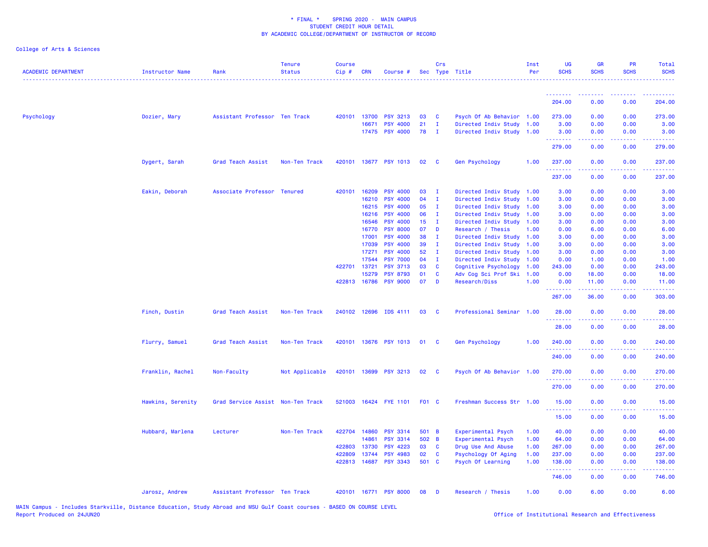| <b>ACADEMIC DEPARTMENT</b> | <b>Instructor Name</b> | Rank                              | <b>Tenure</b><br><b>Status</b> | <b>Course</b><br>Cip# | <b>CRN</b>   | Course #              |                 | Crs                     | Sec Type Title            | Inst<br>Per | UG<br><b>SCHS</b>       | <b>GR</b><br><b>SCHS</b>                                                                                                          | PR<br><b>SCHS</b> | <b>Total</b><br><b>SCHS</b> |
|----------------------------|------------------------|-----------------------------------|--------------------------------|-----------------------|--------------|-----------------------|-----------------|-------------------------|---------------------------|-------------|-------------------------|-----------------------------------------------------------------------------------------------------------------------------------|-------------------|-----------------------------|
|                            |                        |                                   |                                |                       |              |                       |                 |                         |                           |             | .                       | <b><i><u><u><b>a</b></u></u> a a a a a a a</i></b>                                                                                | 2.2.2.2.2         | .                           |
|                            |                        |                                   |                                |                       |              |                       |                 |                         |                           |             | 204.00                  | 0.00                                                                                                                              | 0.00              | 204.00                      |
| Psychology                 | Dozier, Mary           | Assistant Professor Ten Track     |                                | 420101                | 13700        | <b>PSY 3213</b>       | 03              | $\mathbf{C}$            | Psych Of Ab Behavior 1.00 |             | 273.00                  | 0.00                                                                                                                              | 0.00              | 273.00                      |
|                            |                        |                                   |                                |                       | 16671        | <b>PSY 4000</b>       | 21              | $\mathbf{I}$            | Directed Indiv Study 1.00 |             | 3.00                    | 0.00                                                                                                                              | 0.00              | 3.00                        |
|                            |                        |                                   |                                |                       |              | 17475 PSY 4000        | 78              | $\blacksquare$          | Directed Indiv Study 1.00 |             | 3.00                    | 0.00                                                                                                                              | 0.00              | 3.00                        |
|                            |                        |                                   |                                |                       |              |                       |                 |                         |                           |             | .<br>279.00             | ----<br>0.00                                                                                                                      | .<br>0.00         | 279.00                      |
|                            | Dygert, Sarah          | Grad Teach Assist                 | Non-Ten Track                  |                       |              | 420101 13677 PSY 1013 | 02              | $\mathbf{C}$            | Gen Psychology            | 1.00        | 237.00                  | 0.00                                                                                                                              | 0.00              | 237.00                      |
|                            |                        |                                   |                                |                       |              |                       |                 |                         |                           |             | .<br>237.00             | $\frac{1}{2} \left( \frac{1}{2} \right) \left( \frac{1}{2} \right) \left( \frac{1}{2} \right) \left( \frac{1}{2} \right)$<br>0.00 | .<br>0.00         | ------<br>237.00            |
|                            | Eakin, Deborah         | Associate Professor Tenured       |                                | 420101                | 16209        | <b>PSY 4000</b>       | 03              | $\mathbf{I}$            | Directed Indiv Study 1.00 |             | 3.00                    | 0.00                                                                                                                              | 0.00              | 3.00                        |
|                            |                        |                                   |                                |                       | 16210        | <b>PSY 4000</b>       | 04              | $\mathbf{I}$            | Directed Indiv Study      | 1.00        | 3.00                    | 0.00                                                                                                                              | 0.00              | 3.00                        |
|                            |                        |                                   |                                |                       | 16215        | <b>PSY 4000</b>       | 05              | л.                      | Directed Indiv Study 1.00 |             | 3.00                    | 0.00                                                                                                                              | 0.00              | 3.00                        |
|                            |                        |                                   |                                |                       | 16216        | <b>PSY 4000</b>       | 06              | $\mathbf{I}$            | Directed Indiv Study 1.00 |             | 3.00                    | 0.00                                                                                                                              | 0.00              | 3.00                        |
|                            |                        |                                   |                                |                       | 16546        | <b>PSY 4000</b>       | 15 <sub>1</sub> | $\mathbf{I}$            | Directed Indiv Study 1.00 |             | 3.00                    | 0.00                                                                                                                              | 0.00              | 3.00                        |
|                            |                        |                                   |                                |                       | 16770        | <b>PSY 8000</b>       | 07              | D                       | Research / Thesis         | 1.00        | 0.00                    | 6.00                                                                                                                              | 0.00              | 6.00                        |
|                            |                        |                                   |                                |                       | 17001        | <b>PSY 4000</b>       | 38              | л.                      | Directed Indiv Study 1.00 |             | 3.00                    | 0.00                                                                                                                              | 0.00              | 3.00                        |
|                            |                        |                                   |                                |                       | 17039        | <b>PSY 4000</b>       | 39              | $\mathbf{I}$            | Directed Indiv Study 1.00 |             | 3.00                    | 0.00                                                                                                                              | 0.00              | 3.00                        |
|                            |                        |                                   |                                |                       | 17271        | <b>PSY 4000</b>       | 52              | $\mathbf{I}$            | Directed Indiv Study 1.00 |             | 3.00                    | 0.00                                                                                                                              | 0.00              | 3.00                        |
|                            |                        |                                   |                                |                       | 17544        | <b>PSY 7000</b>       | 04              | $\mathbf{I}$            | Directed Indiv Study 1.00 |             | 0.00                    | 1.00                                                                                                                              | 0.00              | 1.00                        |
|                            |                        |                                   |                                |                       | 422701 13721 | <b>PSY 3713</b>       | 03              | <b>C</b>                | Cognitive Psychology      | 1.00        | 243.00                  | 0.00                                                                                                                              | 0.00              | 243.00                      |
|                            |                        |                                   |                                |                       | 15279        | <b>PSY 8793</b>       | 01              | $\mathbf{C}$            | Adv Cog Sci Prof Ski      | 1.00        | 0.00                    | 18.00                                                                                                                             | 0.00              | 18.00                       |
|                            |                        |                                   |                                | 422813                | 16786        | <b>PSY 9000</b>       | 07              | D                       | Research/Diss             | 1.00        | 0.00<br>.               | 11.00                                                                                                                             | 0.00              | 11.00                       |
|                            |                        |                                   |                                |                       |              |                       |                 |                         |                           |             | 267.00                  | 36.00                                                                                                                             | 0.00              | 303.00                      |
|                            | Finch, Dustin          | Grad Teach Assist                 | Non-Ten Track                  |                       | 240102 12696 | IDS 4111              | 03              | $\overline{\mathbf{C}}$ | Professional Seminar 1.00 |             | 28.00                   | 0.00                                                                                                                              | 0.00              | 28.00                       |
|                            |                        |                                   |                                |                       |              |                       |                 |                         |                           |             | 28.00                   | 0.00                                                                                                                              | 0.00              | 28.00                       |
|                            | Flurry, Samuel         | Grad Teach Assist                 | Non-Ten Track                  |                       |              | 420101 13676 PSY 1013 | 01 C            |                         | <b>Gen Psychology</b>     | 1.00        | 240.00<br>.             | 0.00                                                                                                                              | 0.00              | 240.00                      |
|                            |                        |                                   |                                |                       |              |                       |                 |                         |                           |             | 240.00                  | 0.00                                                                                                                              | 0.00              | 240.00                      |
|                            | Franklin, Rachel       | Non-Faculty                       | Not Applicable                 |                       |              | 420101 13699 PSY 3213 | 02 C            |                         | Psych Of Ab Behavior 1.00 |             | 270.00<br>.             | 0.00                                                                                                                              | 0.00              | 270.00                      |
|                            |                        |                                   |                                |                       |              |                       |                 |                         |                           |             | 270.00                  | 0.00                                                                                                                              | 0.00              | 270.00                      |
|                            | Hawkins, Serenity      | Grad Service Assist Non-Ten Track |                                |                       |              | 521003 16424 FYE 1101 | <b>F01 C</b>    |                         | Freshman Success Str 1.00 |             | 15.00<br>.              | 0.00                                                                                                                              | 0.00              | 15.00                       |
|                            |                        |                                   |                                |                       |              |                       |                 |                         |                           |             | 15.00                   | 0.00                                                                                                                              | 0.00              | 15.00                       |
|                            | Hubbard, Marlena       | Lecturer                          | Non-Ten Track                  |                       | 422704 14860 | <b>PSY 3314</b>       | 501 B           |                         | Experimental Psych        | 1.00        | 40.00                   | 0.00                                                                                                                              | 0.00              | 40.00                       |
|                            |                        |                                   |                                |                       | 14861        | <b>PSY 3314</b>       | 502 B           |                         | Experimental Psych        | 1.00        | 64.00                   | 0.00                                                                                                                              | 0.00              | 64.00                       |
|                            |                        |                                   |                                | 422803                | 13730        | <b>PSY 4223</b>       | 03              | $\mathbf{C}$            | Drug Use And Abuse        | 1.00        | 267.00                  | 0.00                                                                                                                              | 0.00              | 267.00                      |
|                            |                        |                                   |                                | 422809                | 13744        | <b>PSY 4983</b>       | 02              | $\mathbf{C}$            | Psychology Of Aging       | 1.00        | 237.00                  | 0.00                                                                                                                              | 0.00              | 237.00                      |
|                            |                        |                                   |                                |                       |              | 422813 14687 PSY 3343 | 501 C           |                         | Psych Of Learning         | 1.00        | 138.00<br>2.2.2.2.2.2.2 | 0.00                                                                                                                              | 0.00              | 138.00                      |
|                            |                        |                                   |                                |                       |              |                       |                 |                         |                           |             | 746.00                  | 0.00                                                                                                                              | 0.00              | 746.00                      |
|                            | Jarosz, Andrew         | Assistant Professor Ten Track     |                                |                       |              | 420101 16771 PSY 8000 | 08              | <b>D</b>                | Research / Thesis         | 1.00        | 0.00                    | 6.00                                                                                                                              | 0.00              | 6.00                        |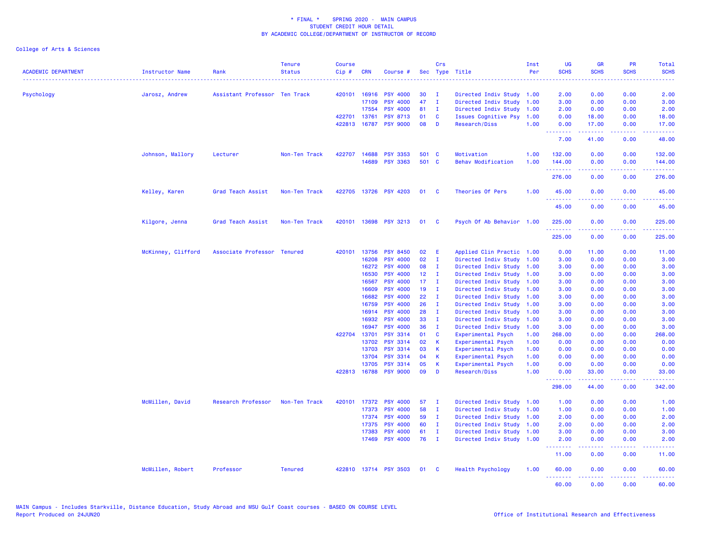| <b>ACADEMIC DEPARTMENT</b> | <b>Instructor Name</b> | Rank                          | <b>Tenure</b><br><b>Status</b> | <b>Course</b><br>Cip# | <b>CRN</b>     | Course #                           |                 | Crs            | Sec Type Title                           | Inst<br>Per  | UG<br><b>SCHS</b>       | <b>GR</b><br><b>SCHS</b>                                                                                                                                     | <b>PR</b><br><b>SCHS</b>                                                                               | <b>Total</b><br><b>SCHS</b>                                                                                                       |
|----------------------------|------------------------|-------------------------------|--------------------------------|-----------------------|----------------|------------------------------------|-----------------|----------------|------------------------------------------|--------------|-------------------------|--------------------------------------------------------------------------------------------------------------------------------------------------------------|--------------------------------------------------------------------------------------------------------|-----------------------------------------------------------------------------------------------------------------------------------|
| Psychology                 | Jarosz, Andrew         | Assistant Professor Ten Track |                                |                       | 420101 16916   | <b>PSY 4000</b>                    | 30              | л.             | Directed Indiv Study 1.00                |              | 2.00                    | 0.00                                                                                                                                                         | 0.00                                                                                                   | 2.00                                                                                                                              |
|                            |                        |                               |                                |                       | 17109          | <b>PSY 4000</b>                    | 47              | $\mathbf{I}$   | Directed Indiv Study                     | 1.00         | 3.00                    | 0.00                                                                                                                                                         | 0.00                                                                                                   | 3.00                                                                                                                              |
|                            |                        |                               |                                |                       | 17554          | <b>PSY 4000</b>                    | 81              | - I            | Directed Indiv Study                     | 1.00         | 2.00                    | 0.00                                                                                                                                                         | 0.00                                                                                                   | 2.00                                                                                                                              |
|                            |                        |                               |                                |                       | 422701 13761   | <b>PSY 8713</b>                    | 01              | <b>C</b>       | <b>Issues Cognitive Psy</b>              | 1.00         | 0.00                    | 18.00                                                                                                                                                        | 0.00                                                                                                   | 18.00                                                                                                                             |
|                            |                        |                               |                                |                       | 422813 16787   | <b>PSY 9000</b>                    | 08              | D              | Research/Diss                            | 1.00         | 0.00<br>.               | 17.00<br>.                                                                                                                                                   | 0.00<br>.                                                                                              | 17.00<br>.                                                                                                                        |
|                            |                        |                               |                                |                       |                |                                    |                 |                |                                          |              | 7.00                    | 41.00                                                                                                                                                        | 0.00                                                                                                   | 48.00                                                                                                                             |
|                            | Johnson, Mallory       | Lecturer                      | Non-Ten Track                  | 422707                | 14688          | <b>PSY 3353</b>                    | 501 C           |                | Motivation                               | 1.00         | 132.00                  | 0.00                                                                                                                                                         | 0.00                                                                                                   | 132.00                                                                                                                            |
|                            |                        |                               |                                |                       | 14689          | <b>PSY 3363</b>                    | 501 C           |                | <b>Behav Modification</b>                | 1.00         | 144.00<br><u>.</u>      | 0.00                                                                                                                                                         | 0.00                                                                                                   | 144.00                                                                                                                            |
|                            |                        |                               |                                |                       |                |                                    |                 |                |                                          |              | 276.00                  | 0.00                                                                                                                                                         | 0.00                                                                                                   | 276.00                                                                                                                            |
|                            | Kelley, Karen          | Grad Teach Assist             | Non-Ten Track                  | 422705                | 13726          | <b>PSY 4203</b>                    | 01              | - C            | Theories Of Pers                         | 1.00         | 45.00<br>بالأباء        | 0.00                                                                                                                                                         | 0.00                                                                                                   | 45.00                                                                                                                             |
|                            |                        |                               |                                |                       |                |                                    |                 |                |                                          |              | 45.00                   | 0.00                                                                                                                                                         | 0.00                                                                                                   | 45.00                                                                                                                             |
|                            | Kilgore, Jenna         | Grad Teach Assist             | Non-Ten Track                  |                       | 420101 13698   | <b>PSY 3213</b>                    | 01              | $\mathbf{C}$   | Psych Of Ab Behavior 1.00                |              | 225.00                  | 0.00                                                                                                                                                         | 0.00<br>$\frac{1}{2} \left( \frac{1}{2} \right) \left( \frac{1}{2} \right) \left( \frac{1}{2} \right)$ | 225.00                                                                                                                            |
|                            |                        |                               |                                |                       |                |                                    |                 |                |                                          |              | 225.00                  | 0.00                                                                                                                                                         | 0.00                                                                                                   | 225.00                                                                                                                            |
|                            | McKinney, Clifford     | Associate Professor Tenured   |                                |                       | 420101 13756   | <b>PSY 8450</b>                    | 02              | E              | Applied Clin Practic 1.00                |              | 0.00                    | 11.00                                                                                                                                                        | 0.00                                                                                                   | 11.00                                                                                                                             |
|                            |                        |                               |                                |                       | 16208          | <b>PSY 4000</b>                    | 02              | $\mathbf{I}$   | Directed Indiv Study                     | 1.00         | 3.00                    | 0.00                                                                                                                                                         | 0.00                                                                                                   | 3.00                                                                                                                              |
|                            |                        |                               |                                |                       | 16272          | <b>PSY 4000</b>                    | 08              | $\mathbf I$    | Directed Indiv Study                     | 1.00         | 3.00                    | 0.00                                                                                                                                                         | 0.00                                                                                                   | 3.00                                                                                                                              |
|                            |                        |                               |                                |                       | 16530          | <b>PSY 4000</b>                    | 12 <sub>2</sub> | - I            | Directed Indiv Study                     | 1.00         | 3.00                    | 0.00                                                                                                                                                         | 0.00                                                                                                   | 3.00                                                                                                                              |
|                            |                        |                               |                                |                       | 16567          | <b>PSY 4000</b>                    | 17 <sub>2</sub> | $\mathbf{I}$   | Directed Indiv Study                     | 1.00         | 3.00                    | 0.00                                                                                                                                                         | 0.00                                                                                                   | 3.00                                                                                                                              |
|                            |                        |                               |                                |                       | 16609          | <b>PSY 4000</b>                    | 19              | - 1            | Directed Indiv Study                     | 1.00         | 3.00                    | 0.00                                                                                                                                                         | 0.00                                                                                                   | 3.00                                                                                                                              |
|                            |                        |                               |                                |                       | 16682          | <b>PSY 4000</b>                    | 22              | $\mathbf{I}$   | Directed Indiv Study                     | 1.00         | 3.00                    | 0.00                                                                                                                                                         | 0.00                                                                                                   | 3.00                                                                                                                              |
|                            |                        |                               |                                |                       | 16759          | <b>PSY 4000</b>                    | 26              | $\mathbf{I}$   | Directed Indiv Study                     | 1.00         | 3.00                    | 0.00                                                                                                                                                         | 0.00                                                                                                   | 3.00                                                                                                                              |
|                            |                        |                               |                                |                       | 16914          | <b>PSY 4000</b>                    | 28              | $\mathbf I$    | Directed Indiv Study                     | 1.00         | 3.00                    | 0.00                                                                                                                                                         | 0.00                                                                                                   | 3.00                                                                                                                              |
|                            |                        |                               |                                |                       | 16932          | <b>PSY 4000</b>                    | 33              | $\mathbf{I}$   | Directed Indiv Study                     | 1.00         | 3.00                    | 0.00                                                                                                                                                         | 0.00                                                                                                   | 3.00                                                                                                                              |
|                            |                        |                               |                                |                       | 16947          | <b>PSY 4000</b>                    | 36              | $\mathbf{I}$   | Directed Indiv Study                     | 1.00         | 3.00                    | 0.00                                                                                                                                                         | 0.00                                                                                                   | 3.00                                                                                                                              |
|                            |                        |                               |                                | 422704                | 13701          | PSY 3314                           | 01<br>02        | C              | Experimental Psych                       | 1.00         | 268.00                  | 0.00                                                                                                                                                         | 0.00                                                                                                   | 268.00                                                                                                                            |
|                            |                        |                               |                                |                       | 13702<br>13703 | <b>PSY 3314</b><br><b>PSY 3314</b> | 03              | К<br>К         | Experimental Psych                       | 1.00<br>1.00 | 0.00<br>0.00            | 0.00<br>0.00                                                                                                                                                 | 0.00<br>0.00                                                                                           | 0.00                                                                                                                              |
|                            |                        |                               |                                |                       | 13704          | <b>PSY 3314</b>                    | 04              | К              | Experimental Psych<br>Experimental Psych | 1.00         | 0.00                    | 0.00                                                                                                                                                         | 0.00                                                                                                   | 0.00<br>0.00                                                                                                                      |
|                            |                        |                               |                                |                       | 13705          | <b>PSY 3314</b>                    | 05              | K              | Experimental Psych                       | 1.00         | 0.00                    | 0.00                                                                                                                                                         | 0.00                                                                                                   | 0.00                                                                                                                              |
|                            |                        |                               |                                |                       | 422813 16788   | <b>PSY 9000</b>                    | 09              | D              | Research/Diss                            | 1.00         | 0.00                    | 33.00                                                                                                                                                        | 0.00                                                                                                   | 33.00                                                                                                                             |
|                            |                        |                               |                                |                       |                |                                    |                 |                |                                          |              | .<br>298.00             | $\frac{1}{2} \left( \frac{1}{2} \right) \left( \frac{1}{2} \right) \left( \frac{1}{2} \right) \left( \frac{1}{2} \right)$<br>44.00                           | د د د د د<br>0.00                                                                                      | .<br>342.00                                                                                                                       |
|                            | McMillen, David        | Research Professor            | Non-Ten Track                  | 420101                | 17372          | <b>PSY 4000</b>                    | 57              | $\mathbf I$    | Directed Indiv Study                     | 1.00         | 1.00                    | 0.00                                                                                                                                                         | 0.00                                                                                                   | 1.00                                                                                                                              |
|                            |                        |                               |                                |                       | 17373          | <b>PSY 4000</b>                    | 58              | $\mathbf I$    | Directed Indiv Study                     | 1.00         | 1.00                    | 0.00                                                                                                                                                         | 0.00                                                                                                   | 1.00                                                                                                                              |
|                            |                        |                               |                                |                       | 17374          | <b>PSY 4000</b>                    | 59              | $\mathbf{I}$   | Directed Indiv Study                     | 1.00         | 2.00                    | 0.00                                                                                                                                                         | 0.00                                                                                                   | 2.00                                                                                                                              |
|                            |                        |                               |                                |                       | 17375          | <b>PSY 4000</b>                    | 60              | $\mathbf{I}$   | Directed Indiv Study                     | 1.00         | 2.00                    | 0.00                                                                                                                                                         | 0.00                                                                                                   | 2.00                                                                                                                              |
|                            |                        |                               |                                |                       | 17383          | <b>PSY 4000</b>                    | 61              | $\mathbf{I}$   | Directed Indiv Study                     | 1.00         | 3.00                    | 0.00                                                                                                                                                         | 0.00                                                                                                   | 3.00                                                                                                                              |
|                            |                        |                               |                                |                       | 17469          | <b>PSY 4000</b>                    | 76              | $\blacksquare$ | Directed Indiv Study 1.00                |              | 2.00<br>- - - - - - - - | 0.00<br>$\frac{1}{2} \left( \frac{1}{2} \right) \left( \frac{1}{2} \right) \left( \frac{1}{2} \right) \left( \frac{1}{2} \right) \left( \frac{1}{2} \right)$ | 0.00<br>.                                                                                              | 2.00<br>$\frac{1}{2} \left( \frac{1}{2} \right) \left( \frac{1}{2} \right) \left( \frac{1}{2} \right) \left( \frac{1}{2} \right)$ |
|                            |                        |                               |                                |                       |                |                                    |                 |                |                                          |              | 11.00                   | 0.00                                                                                                                                                         | 0.00                                                                                                   | 11.00                                                                                                                             |
|                            | McMillen, Robert       | Professor                     | <b>Tenured</b>                 | 422810                |                | 13714 PSY 3503                     | 01              | <b>C</b>       | <b>Health Psychology</b>                 | 1.00         | 60.00<br>.              | 0.00<br>$\frac{1}{2} \left( \frac{1}{2} \right) \left( \frac{1}{2} \right) \left( \frac{1}{2} \right) \left( \frac{1}{2} \right) \left( \frac{1}{2} \right)$ | 0.00<br>.                                                                                              | 60.00<br>.                                                                                                                        |
|                            |                        |                               |                                |                       |                |                                    |                 |                |                                          |              | 60.00                   | 0.00                                                                                                                                                         | 0.00                                                                                                   | 60.00                                                                                                                             |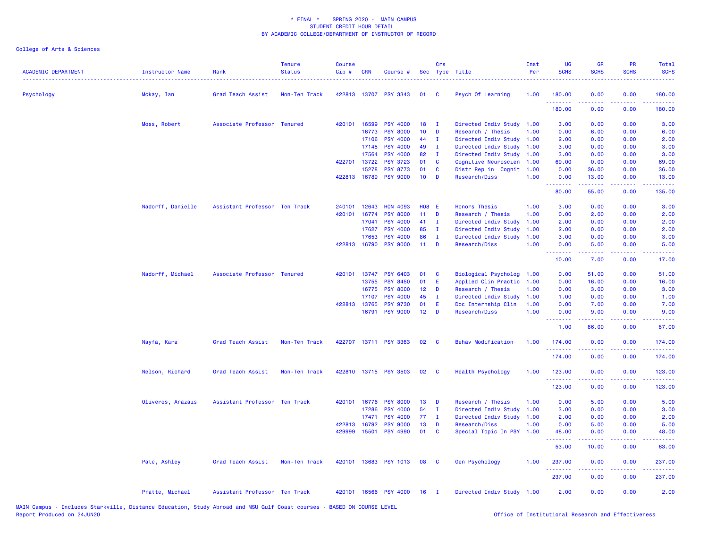| <b>ACADEMIC DEPARTMENT</b> | <b>Instructor Name</b> | Rank                          | <b>Tenure</b><br><b>Status</b> | <b>Course</b><br>Cip# | <b>CRN</b>   | Course #              |                 | Crs            | Sec Type Title              | Inst<br>Per | <b>UG</b><br><b>SCHS</b> | <b>GR</b><br><b>SCHS</b> | <b>PR</b><br><b>SCHS</b>            | Total<br><b>SCHS</b>                                                                                                                                           |
|----------------------------|------------------------|-------------------------------|--------------------------------|-----------------------|--------------|-----------------------|-----------------|----------------|-----------------------------|-------------|--------------------------|--------------------------|-------------------------------------|----------------------------------------------------------------------------------------------------------------------------------------------------------------|
| Psychology                 | Mckay, Ian             | Grad Teach Assist             | Non-Ten Track                  |                       |              | 422813 13707 PSY 3343 | 01              | - C            | Psych Of Learning           | 1.00        | 180.00<br>.              | 0.00                     | 0.00<br>$\sim$ $\sim$ $\sim$ $\sim$ | 180.00<br>$\frac{1}{2} \left( \frac{1}{2} \right) \left( \frac{1}{2} \right) \left( \frac{1}{2} \right) \left( \frac{1}{2} \right) \left( \frac{1}{2} \right)$ |
|                            |                        |                               |                                |                       |              |                       |                 |                |                             |             | 180.00                   | 0.00                     | 0.00                                | 180.00                                                                                                                                                         |
|                            | Moss, Robert           | Associate Professor Tenured   |                                | 420101                | 16599        | <b>PSY 4000</b>       | 18              | - I            | Directed Indiv Study        | 1.00        | 3.00                     | 0.00                     | 0.00                                | 3.00                                                                                                                                                           |
|                            |                        |                               |                                |                       | 16773        | <b>PSY 8000</b>       | 10              | D              | Research / Thesis           | 1.00        | 0.00                     | 6.00                     | 0.00                                | 6.00                                                                                                                                                           |
|                            |                        |                               |                                |                       | 17106        | <b>PSY 4000</b>       | 44              | $\mathbf{I}$   | Directed Indiv Study        | 1.00        | 2.00                     | 0.00                     | 0.00                                | 2.00                                                                                                                                                           |
|                            |                        |                               |                                |                       | 17145        | <b>PSY 4000</b>       | 49              | $\mathbf{I}$   | Directed Indiv Study        | 1.00        | 3.00                     | 0.00                     | 0.00                                | 3.00                                                                                                                                                           |
|                            |                        |                               |                                |                       | 17564        | <b>PSY 4000</b>       | 82              | $\mathbf{I}$   | Directed Indiv Study        | 1.00        | 3.00                     | 0.00                     | 0.00                                | 3.00                                                                                                                                                           |
|                            |                        |                               |                                |                       | 422701 13722 | <b>PSY 3723</b>       | 01              | C              | Cognitive Neuroscien        | 1.00        | 69.00                    | 0.00                     | 0.00                                | 69.00                                                                                                                                                          |
|                            |                        |                               |                                |                       | 15278        | <b>PSY 8773</b>       | 01              | C              | Distr Rep in Cognit 1.00    |             | 0.00                     | 36.00                    | 0.00                                | 36.00                                                                                                                                                          |
|                            |                        |                               |                                |                       | 422813 16789 | <b>PSY 9000</b>       | 10 <sub>1</sub> | D              | Research/Diss               | 1.00        | 0.00<br>.                | 13.00                    | 0.00                                | 13.00                                                                                                                                                          |
|                            |                        |                               |                                |                       |              |                       |                 |                |                             |             | 80.00                    | 55.00                    | 0.00                                | 135.00                                                                                                                                                         |
|                            | Nadorff, Danielle      | Assistant Professor Ten Track |                                | 240101                | 12643        | <b>HON 4093</b>       | <b>H08 E</b>    |                | <b>Honors Thesis</b>        | 1.00        | 3.00                     | 0.00                     | 0.00                                | 3.00                                                                                                                                                           |
|                            |                        |                               |                                | 420101                | 16774        | <b>PSY 8000</b>       | 11 <sub>1</sub> | D              | Research / Thesis           | 1.00        | 0.00                     | 2.00                     | 0.00                                | 2.00                                                                                                                                                           |
|                            |                        |                               |                                |                       | 17041        | <b>PSY 4000</b>       | 41              | $\mathbf{I}$   | Directed Indiv Study        | 1.00        | 2.00                     | 0.00                     | 0.00                                | 2.00                                                                                                                                                           |
|                            |                        |                               |                                |                       | 17627        | <b>PSY 4000</b>       | 85              | $\mathbf{I}$   | Directed Indiv Study        | 1.00        | 2.00                     | 0.00                     | 0.00                                | 2.00                                                                                                                                                           |
|                            |                        |                               |                                |                       | 17653        | <b>PSY 4000</b>       | 86              | $\mathbf{I}$   | Directed Indiv Study        | 1.00        | 3.00                     | 0.00                     | 0.00                                | 3.00                                                                                                                                                           |
|                            |                        |                               |                                |                       | 422813 16790 | <b>PSY 9000</b>       | 11 <sub>1</sub> | D              | Research/Diss               | 1.00        | 0.00<br>. <b>.</b>       | 5.00                     | 0.00<br>والمحامر                    | 5.00                                                                                                                                                           |
|                            |                        |                               |                                |                       |              |                       |                 |                |                             |             | 10.00                    | -----<br>7.00            | 0.00                                | 17.00                                                                                                                                                          |
|                            | Nadorff, Michael       | Associate Professor Tenured   |                                |                       | 420101 13747 | <b>PSY 6403</b>       | 01              | C              | <b>Biological Psycholog</b> | 1.00        | 0.00                     | 51.00                    | 0.00                                | 51.00                                                                                                                                                          |
|                            |                        |                               |                                |                       | 13755        | <b>PSY 8450</b>       | 01              | E              | Applied Clin Practic        | 1.00        | 0.00                     | 16.00                    | 0.00                                | 16.00                                                                                                                                                          |
|                            |                        |                               |                                |                       | 16775        | <b>PSY 8000</b>       | 12 <sub>2</sub> | D              | Research / Thesis           | 1.00        | 0.00                     | 3.00                     | 0.00                                | 3.00                                                                                                                                                           |
|                            |                        |                               |                                |                       | 17107        | <b>PSY 4000</b>       | 45              | п              | Directed Indiv Study        | 1.00        | 1.00                     | 0.00                     | 0.00                                | 1.00                                                                                                                                                           |
|                            |                        |                               |                                |                       | 422813 13765 | <b>PSY 9730</b>       | 01              | Ε              | Doc Internship Clin         | 1.00        | 0.00                     | 7.00                     | 0.00                                | 7.00                                                                                                                                                           |
|                            |                        |                               |                                |                       | 16791        | <b>PSY 9000</b>       | 12 <sup>°</sup> | D              | Research/Diss               | 1.00        | 0.00<br>.                | 9.00<br>.                | 0.00<br>$\omega$ and $\omega$       | 9.00<br>.                                                                                                                                                      |
|                            |                        |                               |                                |                       |              |                       |                 |                |                             |             | 1.00                     | 86.00                    | 0.00                                | 87.00                                                                                                                                                          |
|                            | Nayfa, Kara            | Grad Teach Assist             | Non-Ten Track                  |                       |              | 422707 13711 PSY 3363 | 02              | $\mathbf{C}$   | <b>Behav Modification</b>   | 1.00        | 174.00                   | 0.00                     | 0.00                                | 174.00                                                                                                                                                         |
|                            |                        |                               |                                |                       |              |                       |                 |                |                             |             | 174.00                   | 0.00                     | 0.00                                | 174.00                                                                                                                                                         |
|                            | Nelson, Richard        | Grad Teach Assist             | Non-Ten Track                  |                       |              | 422810 13715 PSY 3503 | 02              | $\mathbf{C}$   | <b>Health Psychology</b>    | 1.00        | 123.00<br>.              | 0.00                     | 0.00                                | 123.00                                                                                                                                                         |
|                            |                        |                               |                                |                       |              |                       |                 |                |                             |             | 123.00                   | 0.00                     | 0.00                                | 123.00                                                                                                                                                         |
|                            | Oliveros, Arazais      | Assistant Professor Ten Track |                                |                       | 420101 16776 | <b>PSY 8000</b>       | 13              | D              | Research / Thesis           | 1.00        | 0.00                     | 5.00                     | 0.00                                | 5.00                                                                                                                                                           |
|                            |                        |                               |                                |                       | 17286        | <b>PSY 4000</b>       | 54              | п              | Directed Indiv Study        | 1.00        | 3.00                     | 0.00                     | 0.00                                | 3.00                                                                                                                                                           |
|                            |                        |                               |                                |                       | 17471        | <b>PSY 4000</b>       | 77              | $\mathbf{I}$   | Directed Indiv Study        | 1.00        | 2.00                     | 0.00                     | 0.00                                | 2.00                                                                                                                                                           |
|                            |                        |                               |                                | 422813                | 16792        | <b>PSY 9000</b>       | 13              | D              | Research/Diss               | 1.00        | 0.00                     | 5.00                     | 0.00                                | 5.00                                                                                                                                                           |
|                            |                        |                               |                                | 429999                | 15501        | <b>PSY 4990</b>       | 01              | <b>C</b>       | Special Topic In PSY 1.00   |             | 48.00<br>.               | 0.00                     | 0.00                                | 48.00<br>وعاويات                                                                                                                                               |
|                            |                        |                               |                                |                       |              |                       |                 |                |                             |             | 53.00                    | 10.00                    | 0.00                                | 63.00                                                                                                                                                          |
|                            | Pate, Ashley           | Grad Teach Assist             | Non-Ten Track                  |                       |              | 420101 13683 PSY 1013 | 08              | <b>C</b>       | <b>Gen Psychology</b>       | 1.00        | 237.00<br>.              | 0.00                     | 0.00                                | 237.00<br>$\frac{1}{2} \left( \frac{1}{2} \right) \left( \frac{1}{2} \right) \left( \frac{1}{2} \right) \left( \frac{1}{2} \right) \left( \frac{1}{2} \right)$ |
|                            |                        |                               |                                |                       |              |                       |                 |                |                             |             | 237.00                   | 0.00                     | 0.00                                | 237.00                                                                                                                                                         |
|                            | Pratte, Michael        | Assistant Professor Ten Track |                                |                       |              | 420101 16566 PSY 4000 | 16              | $\blacksquare$ | Directed Indiv Study 1.00   |             | 2.00                     | 0.00                     | 0.00                                | 2.00                                                                                                                                                           |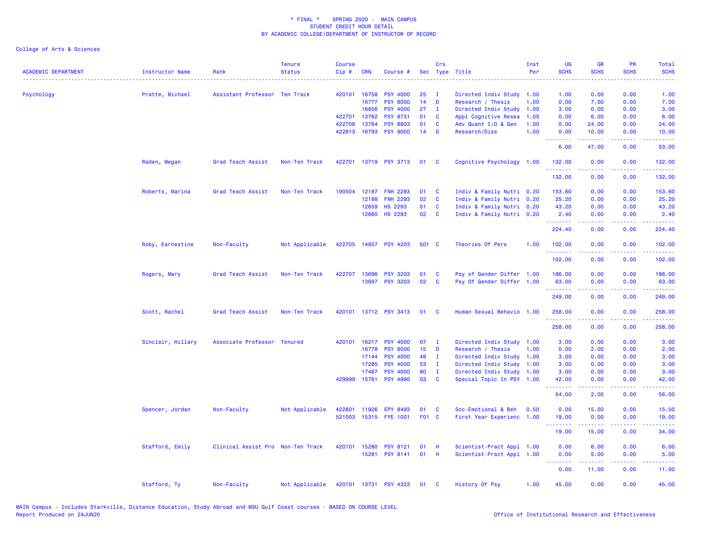| <b>ACADEMIC DEPARTMENT</b> | <b>Instructor Name</b><br>. | Rank                              | <b>Tenure</b><br><b>Status</b> | <b>Course</b><br>Cip# | <b>CRN</b>   | Course #              |       | Crs          | Sec Type Title            | Inst<br>Per | <b>UG</b><br><b>SCHS</b> | <b>GR</b><br><b>SCHS</b> | <b>PR</b><br><b>SCHS</b>            | Total<br><b>SCHS</b>      |
|----------------------------|-----------------------------|-----------------------------------|--------------------------------|-----------------------|--------------|-----------------------|-------|--------------|---------------------------|-------------|--------------------------|--------------------------|-------------------------------------|---------------------------|
| Psychology                 | Pratte, Michael             | Assistant Professor Ten Track     |                                | 420101                | 16758        | <b>PSY 4000</b>       | 25    | $\mathbf{I}$ | Directed Indiv Study      | 1.00        | 1.00                     | 0.00                     | 0.00                                | 1.00                      |
|                            |                             |                                   |                                |                       | 16777        | <b>PSY 8000</b>       | 14    | D            | Research / Thesis         | 1.00        | 0.00                     | 7.00                     | 0.00                                | 7.00                      |
|                            |                             |                                   |                                |                       | 16856        | <b>PSY 4000</b>       | 27    | $\mathbf{I}$ | Directed Indiv Study      | 1.00        | 3.00                     | 0.00                     | 0.00                                | 3.00                      |
|                            |                             |                                   |                                | 422701                | 13762        | <b>PSY 8731</b>       | 01    | C            | Appl Cognitive Resea      | 1.00        | 0.00                     | 6.00                     | 0.00                                | 6.00                      |
|                            |                             |                                   |                                | 422708                | 13764        | <b>PSY 8803</b>       | 01    | C            | Adv Quant I/O & Gen       | 1.00        | 0.00                     | 24.00                    | 0.00                                | 24.00                     |
|                            |                             |                                   |                                |                       | 422813 16793 | <b>PSY 9000</b>       | 14    | D            | Research/Diss             | 1.00        | 0.00<br><u>.</u>         | 10.00<br>المتمالين       | 0.00<br>بالأباب                     | 10.00<br>المستحب          |
|                            |                             |                                   |                                |                       |              |                       |       |              |                           |             | 6.00                     | 47.00                    | 0.00                                | 53.00                     |
|                            | Raden, Megan                | Grad Teach Assist                 | Non-Ten Track                  | 422701                |              | 13719 PSY 3713        | 01    | C            | Cognitive Psychology 1.00 |             | 132.00<br>.              | 0.00<br>.                | 0.00<br>.                           | 132.00<br>$- - - - - - -$ |
|                            |                             |                                   |                                |                       |              |                       |       |              |                           |             | 132.00                   | 0.00                     | 0.00                                | 132.00                    |
|                            | Roberts, Marina             | Grad Teach Assist                 | Non-Ten Track                  | 190504                | 12187        | <b>FNH 2293</b>       | 01    | C            | Indiv & Family Nutri 0.20 |             | 153.60                   | 0.00                     | 0.00                                | 153.60                    |
|                            |                             |                                   |                                |                       | 12188        | <b>FNH 2293</b>       | 02    | $\mathbf{C}$ | Indiv & Family Nutri 0.20 |             | 25.20                    | 0.00                     | 0.00                                | 25.20                     |
|                            |                             |                                   |                                |                       | 12659        | <b>HS 2293</b>        | 01    | C            | Indiv & Family Nutri 0.20 |             | 43.20                    | 0.00                     | 0.00                                | 43.20                     |
|                            |                             |                                   |                                |                       | 12660        | <b>HS 2293</b>        | 02    | <b>C</b>     | Indiv & Family Nutri 0.20 |             | 2.40<br>.                | 0.00                     | 0.00<br>$  -$                       | 2.40<br>.                 |
|                            |                             |                                   |                                |                       |              |                       |       |              |                           |             | 224.40                   | 0.00                     | 0.00                                | 224.40                    |
|                            | Roby, Earnestine            | Non-Faculty                       | Not Applicable                 |                       |              | 422705 14857 PSY 4203 | 501 C |              | Theories Of Pers          | 1.00        | 102.00<br>.              | 0.00                     | 0.00                                | 102.00                    |
|                            |                             |                                   |                                |                       |              |                       |       |              |                           |             | 102.00                   | 0.00                     | 0.00                                | 102.00                    |
|                            | Rogers, Mary                | Grad Teach Assist                 | Non-Ten Track                  |                       | 422707 13696 | <b>PSY 3203</b>       | 01    | C            | Psy of Gender Differ 1.00 |             | 186.00                   | 0.00                     | 0.00                                | 186.00                    |
|                            |                             |                                   |                                |                       |              | 13697 PSY 3203        | 02    | C            | Psy Of Gender Differ 1.00 |             | 63.00                    | 0.00                     | 0.00                                | 63.00                     |
|                            |                             |                                   |                                |                       |              |                       |       |              |                           |             | .<br>249.00              | <b></b><br>0.00          | .<br>0.00                           | .<br>249.00               |
|                            | Scott, Rachel               | Grad Teach Assist                 | Non-Ten Track                  | 420101                |              | 13712 PSY 3413        | 01    | <b>C</b>     | Human Sexual Behavio 1.00 |             | 258.00                   | 0.00                     | 0.00                                | 258.00                    |
|                            |                             |                                   |                                |                       |              |                       |       |              |                           |             | .<br>258.00              | .<br>0.00                | الأعامات<br>0.00                    | .<br>258.00               |
|                            | Sinclair, Hillary           | Associate Professor Tenured       |                                | 420101                | 16217        | <b>PSY 4000</b>       | 07    | $\mathbf{I}$ | Directed Indiv Study 1.00 |             | 3.00                     | 0.00                     | 0.00                                | 3.00                      |
|                            |                             |                                   |                                |                       | 16778        | <b>PSY 8000</b>       | 15    | D            | Research / Thesis         | 1.00        | 0.00                     | 2.00                     | 0.00                                | 2.00                      |
|                            |                             |                                   |                                |                       | 17144        | <b>PSY 4000</b>       | 48    | $\mathbf{I}$ | Directed Indiv Study 1.00 |             | 3.00                     | 0.00                     | 0.00                                | 3.00                      |
|                            |                             |                                   |                                |                       | 17285        | <b>PSY 4000</b>       | 53    | $\mathbf{I}$ | Directed Indiv Study 1.00 |             | 3.00                     | 0.00                     | 0.00                                | 3.00                      |
|                            |                             |                                   |                                |                       | 17487        | <b>PSY 4000</b>       | 80    | $\mathbf I$  | Directed Indiv Study 1.00 |             | 3.00                     | 0.00                     | 0.00                                | 3.00                      |
|                            |                             |                                   |                                |                       | 429999 15761 | <b>PSY 4990</b>       | 03    | C            | Special Topic In PSY 1.00 |             | 42.00<br>.               | 0.00<br>.                | 0.00<br>$\sim$ $\sim$ $\sim$ $\sim$ | 42.00                     |
|                            |                             |                                   |                                |                       |              |                       |       |              |                           |             | 54.00                    | 2.00                     | 0.00                                | 56.00                     |
|                            | Spencer, Jordan             | Non-Faculty                       | Not Applicable                 | 422801                | 11926        | <b>EPY 8493</b>       | 01    | <b>C</b>     | Soc-Emotional & Beh       | 0.50        | 0.00                     | 15.00                    | 0.00                                | 15.00                     |
|                            |                             |                                   |                                | 521003                |              | 15315 FYE 1001        | F01 C |              | First Year Experienc      | 1.00        | 19.00                    | 0.00                     | 0.00                                | 19.00                     |
|                            |                             |                                   |                                |                       |              |                       |       |              |                           |             | .                        | .                        | $   -$                              |                           |
|                            |                             |                                   |                                |                       |              |                       |       |              |                           |             | 19.00                    | 15.00                    | 0.00                                | 34.00                     |
|                            | Stafford, Emily             | Clinical Assist Pro Non-Ten Track |                                |                       | 420101 15280 | <b>PSY 8121</b>       | 01    | - H          | Scientist-Pract Appl 1.00 |             | 0.00                     | 6.00                     | 0.00                                | 6.00                      |
|                            |                             |                                   |                                |                       | 15281        | <b>PSY 8141</b>       | 01    | H            | Scientist-Pract Appl 1.00 |             | 0.00<br>.                | 5.00                     | 0.00                                | 5.00                      |
|                            |                             |                                   |                                |                       |              |                       |       |              |                           |             | 0.00                     | 11.00                    | 0.00                                | 11.00                     |
|                            | Stafford, Ty                | Non-Faculty                       | Not Applicable                 |                       |              | 420101 13731 PSY 4323 | 01 C  |              | History Of Psy            | 1.00        | 45.00                    | 0.00                     | 0.00                                | 45.00                     |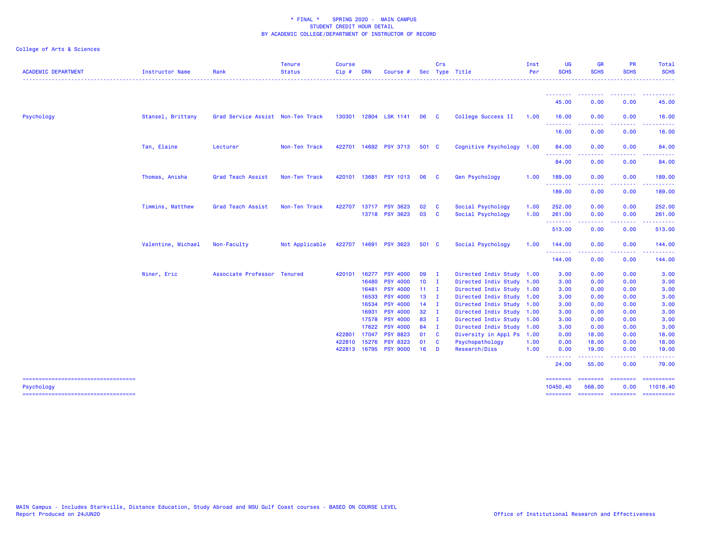| --------<br>45.00<br>0.00<br>0.00<br>Psychology<br>Stansel, Brittany<br>Grad Service Assist Non-Ten Track<br>130301 12804 LSK 1141<br>College Success II<br>16.00<br>0.00<br>0.00<br>06<br>1.00<br>$\mathbf{C}$<br>.<br>0.00<br>0.00<br>16.00<br>Tan, Elaine<br>422701 14692 PSY 3713<br>501 C<br>Cognitive Psychology 1.00<br>84.00<br>0.00<br>0.00<br>Lecturer<br>Non-Ten Track<br>----<br>. <u>.</u> .<br>0.00<br>0.00<br>84.00<br>Thomas, Anisha<br>Grad Teach Assist<br>Non-Ten Track<br>420101 13681 PSY 1013<br>Gen Psychology<br>1.00<br>189.00<br>0.00<br>0.00<br>06<br>$\mathbf{C}$<br>.<br>189.00<br>0.00<br>0.00<br>Timmins, Matthew<br>Grad Teach Assist<br><b>PSY 3623</b><br>02<br>Social Psychology<br>1.00<br>252.00<br>0.00<br>0.00<br>Non-Ten Track<br>422707<br>13717<br><b>C</b><br>13718 PSY 3623<br>03<br>$\overline{\mathbf{C}}$<br>Social Psychology<br>1.00<br>261.00<br>0.00<br>0.00<br><u>.</u><br>513.00<br>0.00<br>0.00<br>Valentine, Michael<br>Non-Faculty<br>Not Applicable<br>422707 14691 PSY 3623<br>501 C<br>Social Psychology<br>1.00<br>144.00<br>0.00<br>0.00<br>.<br>$\frac{1}{2} \left( \frac{1}{2} \right) \left( \frac{1}{2} \right) \left( \frac{1}{2} \right) \left( \frac{1}{2} \right)$<br>144.00<br>0.00<br>0.00<br>Associate Professor Tenured<br><b>PSY 4000</b><br>Winer, Eric<br>420101<br>16277<br>09<br>Directed Indiv Study 1.00<br>3.00<br>0.00<br>0.00<br>$\blacksquare$<br>16480<br><b>PSY 4000</b><br>10 <sup>°</sup><br>Directed Indiv Study 1.00<br>$\mathbf{I}$<br>3.00<br>0.00<br>0.00<br><b>PSY 4000</b><br>16481<br>$11 \quad I$<br>Directed Indiv Study 1.00<br>0.00<br>0.00<br>3.00<br><b>PSY 4000</b><br>13<br>16533<br>Directed Indiv Study 1.00<br>3.00<br>0.00<br>0.00<br>$\blacksquare$<br><b>PSY 4000</b><br>16534<br>$14$ I<br>Directed Indiv Study 1.00<br>3.00<br>0.00<br>0.00<br><b>PSY 4000</b><br>$32 \quad I$<br>16931<br>Directed Indiv Study 1.00<br>3.00<br>0.00<br>0.00<br>3.00<br>17578<br><b>PSY 4000</b><br>83 I<br>0.00<br>3.00<br>Directed Indiv Study 1.00<br>3.00<br>0.00<br><b>PSY 4000</b><br>17622<br>84 I<br>3.00<br>Directed Indiv Study 1.00<br>3.00<br>0.00<br>0.00<br>01<br>422801<br>17047<br><b>PSY 8823</b><br>$\overline{\mathbf{C}}$<br>Diversity in Appl Ps 1.00<br>0.00<br>18.00<br>0.00<br>18.00<br>18.00<br>422810<br>15276<br><b>PSY 8323</b><br>01<br><b>C</b><br>Psychopathology<br>0.00<br>18.00<br>0.00<br>1.00<br><b>PSY 9000</b><br>16<br>1.00<br>19.00<br>422813<br>16795<br><b>D</b><br>Research/Diss<br>0.00<br>19.00<br>0.00<br>--------<br>24.00<br>55.00<br>0.00<br>========<br>---------<br>568.00<br>0.00<br>Psychology<br>10450.40<br>===================================== | <b>ACADEMIC DEPARTMENT</b> | Instructor Name | Rank | <b>Tenure</b><br><b>Status</b> | <b>Course</b><br>Cip# | <b>CRN</b> | Course # | Crs | Sec Type Title | Inst<br>Per | <b>UG</b><br><b>SCHS</b> | <b>GR</b><br><b>SCHS</b> | <b>PR</b><br><b>SCHS</b> | Total<br><b>SCHS</b> |
|----------------------------------------------------------------------------------------------------------------------------------------------------------------------------------------------------------------------------------------------------------------------------------------------------------------------------------------------------------------------------------------------------------------------------------------------------------------------------------------------------------------------------------------------------------------------------------------------------------------------------------------------------------------------------------------------------------------------------------------------------------------------------------------------------------------------------------------------------------------------------------------------------------------------------------------------------------------------------------------------------------------------------------------------------------------------------------------------------------------------------------------------------------------------------------------------------------------------------------------------------------------------------------------------------------------------------------------------------------------------------------------------------------------------------------------------------------------------------------------------------------------------------------------------------------------------------------------------------------------------------------------------------------------------------------------------------------------------------------------------------------------------------------------------------------------------------------------------------------------------------------------------------------------------------------------------------------------------------------------------------------------------------------------------------------------------------------------------------------------------------------------------------------------------------------------------------------------------------------------------------------------------------------------------------------------------------------------------------------------------------------------------------------------------------------------------------------------------------------------------------------------------------------------------------------------------------------------------------------------------------------------------------------------------------------------------------------|----------------------------|-----------------|------|--------------------------------|-----------------------|------------|----------|-----|----------------|-------------|--------------------------|--------------------------|--------------------------|----------------------|
|                                                                                                                                                                                                                                                                                                                                                                                                                                                                                                                                                                                                                                                                                                                                                                                                                                                                                                                                                                                                                                                                                                                                                                                                                                                                                                                                                                                                                                                                                                                                                                                                                                                                                                                                                                                                                                                                                                                                                                                                                                                                                                                                                                                                                                                                                                                                                                                                                                                                                                                                                                                                                                                                                                          |                            |                 |      |                                |                       |            |          |     |                |             |                          |                          |                          |                      |
|                                                                                                                                                                                                                                                                                                                                                                                                                                                                                                                                                                                                                                                                                                                                                                                                                                                                                                                                                                                                                                                                                                                                                                                                                                                                                                                                                                                                                                                                                                                                                                                                                                                                                                                                                                                                                                                                                                                                                                                                                                                                                                                                                                                                                                                                                                                                                                                                                                                                                                                                                                                                                                                                                                          |                            |                 |      |                                |                       |            |          |     |                |             |                          |                          |                          | 45.00                |
|                                                                                                                                                                                                                                                                                                                                                                                                                                                                                                                                                                                                                                                                                                                                                                                                                                                                                                                                                                                                                                                                                                                                                                                                                                                                                                                                                                                                                                                                                                                                                                                                                                                                                                                                                                                                                                                                                                                                                                                                                                                                                                                                                                                                                                                                                                                                                                                                                                                                                                                                                                                                                                                                                                          |                            |                 |      |                                |                       |            |          |     |                |             |                          |                          |                          | 16.00                |
|                                                                                                                                                                                                                                                                                                                                                                                                                                                                                                                                                                                                                                                                                                                                                                                                                                                                                                                                                                                                                                                                                                                                                                                                                                                                                                                                                                                                                                                                                                                                                                                                                                                                                                                                                                                                                                                                                                                                                                                                                                                                                                                                                                                                                                                                                                                                                                                                                                                                                                                                                                                                                                                                                                          |                            |                 |      |                                |                       |            |          |     |                |             |                          |                          |                          | 16.00                |
|                                                                                                                                                                                                                                                                                                                                                                                                                                                                                                                                                                                                                                                                                                                                                                                                                                                                                                                                                                                                                                                                                                                                                                                                                                                                                                                                                                                                                                                                                                                                                                                                                                                                                                                                                                                                                                                                                                                                                                                                                                                                                                                                                                                                                                                                                                                                                                                                                                                                                                                                                                                                                                                                                                          |                            |                 |      |                                |                       |            |          |     |                |             |                          |                          |                          | 84.00                |
|                                                                                                                                                                                                                                                                                                                                                                                                                                                                                                                                                                                                                                                                                                                                                                                                                                                                                                                                                                                                                                                                                                                                                                                                                                                                                                                                                                                                                                                                                                                                                                                                                                                                                                                                                                                                                                                                                                                                                                                                                                                                                                                                                                                                                                                                                                                                                                                                                                                                                                                                                                                                                                                                                                          |                            |                 |      |                                |                       |            |          |     |                |             |                          |                          |                          | 84.00                |
|                                                                                                                                                                                                                                                                                                                                                                                                                                                                                                                                                                                                                                                                                                                                                                                                                                                                                                                                                                                                                                                                                                                                                                                                                                                                                                                                                                                                                                                                                                                                                                                                                                                                                                                                                                                                                                                                                                                                                                                                                                                                                                                                                                                                                                                                                                                                                                                                                                                                                                                                                                                                                                                                                                          |                            |                 |      |                                |                       |            |          |     |                |             |                          |                          |                          | 189.00               |
|                                                                                                                                                                                                                                                                                                                                                                                                                                                                                                                                                                                                                                                                                                                                                                                                                                                                                                                                                                                                                                                                                                                                                                                                                                                                                                                                                                                                                                                                                                                                                                                                                                                                                                                                                                                                                                                                                                                                                                                                                                                                                                                                                                                                                                                                                                                                                                                                                                                                                                                                                                                                                                                                                                          |                            |                 |      |                                |                       |            |          |     |                |             |                          |                          |                          | 189.00               |
|                                                                                                                                                                                                                                                                                                                                                                                                                                                                                                                                                                                                                                                                                                                                                                                                                                                                                                                                                                                                                                                                                                                                                                                                                                                                                                                                                                                                                                                                                                                                                                                                                                                                                                                                                                                                                                                                                                                                                                                                                                                                                                                                                                                                                                                                                                                                                                                                                                                                                                                                                                                                                                                                                                          |                            |                 |      |                                |                       |            |          |     |                |             |                          |                          |                          | 252.00               |
|                                                                                                                                                                                                                                                                                                                                                                                                                                                                                                                                                                                                                                                                                                                                                                                                                                                                                                                                                                                                                                                                                                                                                                                                                                                                                                                                                                                                                                                                                                                                                                                                                                                                                                                                                                                                                                                                                                                                                                                                                                                                                                                                                                                                                                                                                                                                                                                                                                                                                                                                                                                                                                                                                                          |                            |                 |      |                                |                       |            |          |     |                |             |                          |                          |                          | 261.00               |
|                                                                                                                                                                                                                                                                                                                                                                                                                                                                                                                                                                                                                                                                                                                                                                                                                                                                                                                                                                                                                                                                                                                                                                                                                                                                                                                                                                                                                                                                                                                                                                                                                                                                                                                                                                                                                                                                                                                                                                                                                                                                                                                                                                                                                                                                                                                                                                                                                                                                                                                                                                                                                                                                                                          |                            |                 |      |                                |                       |            |          |     |                |             |                          |                          |                          | 513.00               |
|                                                                                                                                                                                                                                                                                                                                                                                                                                                                                                                                                                                                                                                                                                                                                                                                                                                                                                                                                                                                                                                                                                                                                                                                                                                                                                                                                                                                                                                                                                                                                                                                                                                                                                                                                                                                                                                                                                                                                                                                                                                                                                                                                                                                                                                                                                                                                                                                                                                                                                                                                                                                                                                                                                          |                            |                 |      |                                |                       |            |          |     |                |             |                          |                          |                          | 144.00               |
|                                                                                                                                                                                                                                                                                                                                                                                                                                                                                                                                                                                                                                                                                                                                                                                                                                                                                                                                                                                                                                                                                                                                                                                                                                                                                                                                                                                                                                                                                                                                                                                                                                                                                                                                                                                                                                                                                                                                                                                                                                                                                                                                                                                                                                                                                                                                                                                                                                                                                                                                                                                                                                                                                                          |                            |                 |      |                                |                       |            |          |     |                |             |                          |                          |                          | 144.00               |
|                                                                                                                                                                                                                                                                                                                                                                                                                                                                                                                                                                                                                                                                                                                                                                                                                                                                                                                                                                                                                                                                                                                                                                                                                                                                                                                                                                                                                                                                                                                                                                                                                                                                                                                                                                                                                                                                                                                                                                                                                                                                                                                                                                                                                                                                                                                                                                                                                                                                                                                                                                                                                                                                                                          |                            |                 |      |                                |                       |            |          |     |                |             |                          |                          |                          | 3.00                 |
|                                                                                                                                                                                                                                                                                                                                                                                                                                                                                                                                                                                                                                                                                                                                                                                                                                                                                                                                                                                                                                                                                                                                                                                                                                                                                                                                                                                                                                                                                                                                                                                                                                                                                                                                                                                                                                                                                                                                                                                                                                                                                                                                                                                                                                                                                                                                                                                                                                                                                                                                                                                                                                                                                                          |                            |                 |      |                                |                       |            |          |     |                |             |                          |                          |                          | 3.00                 |
|                                                                                                                                                                                                                                                                                                                                                                                                                                                                                                                                                                                                                                                                                                                                                                                                                                                                                                                                                                                                                                                                                                                                                                                                                                                                                                                                                                                                                                                                                                                                                                                                                                                                                                                                                                                                                                                                                                                                                                                                                                                                                                                                                                                                                                                                                                                                                                                                                                                                                                                                                                                                                                                                                                          |                            |                 |      |                                |                       |            |          |     |                |             |                          |                          |                          | 3.00                 |
|                                                                                                                                                                                                                                                                                                                                                                                                                                                                                                                                                                                                                                                                                                                                                                                                                                                                                                                                                                                                                                                                                                                                                                                                                                                                                                                                                                                                                                                                                                                                                                                                                                                                                                                                                                                                                                                                                                                                                                                                                                                                                                                                                                                                                                                                                                                                                                                                                                                                                                                                                                                                                                                                                                          |                            |                 |      |                                |                       |            |          |     |                |             |                          |                          |                          | 3.00                 |
|                                                                                                                                                                                                                                                                                                                                                                                                                                                                                                                                                                                                                                                                                                                                                                                                                                                                                                                                                                                                                                                                                                                                                                                                                                                                                                                                                                                                                                                                                                                                                                                                                                                                                                                                                                                                                                                                                                                                                                                                                                                                                                                                                                                                                                                                                                                                                                                                                                                                                                                                                                                                                                                                                                          |                            |                 |      |                                |                       |            |          |     |                |             |                          |                          |                          | 3.00                 |
|                                                                                                                                                                                                                                                                                                                                                                                                                                                                                                                                                                                                                                                                                                                                                                                                                                                                                                                                                                                                                                                                                                                                                                                                                                                                                                                                                                                                                                                                                                                                                                                                                                                                                                                                                                                                                                                                                                                                                                                                                                                                                                                                                                                                                                                                                                                                                                                                                                                                                                                                                                                                                                                                                                          |                            |                 |      |                                |                       |            |          |     |                |             |                          |                          |                          |                      |
|                                                                                                                                                                                                                                                                                                                                                                                                                                                                                                                                                                                                                                                                                                                                                                                                                                                                                                                                                                                                                                                                                                                                                                                                                                                                                                                                                                                                                                                                                                                                                                                                                                                                                                                                                                                                                                                                                                                                                                                                                                                                                                                                                                                                                                                                                                                                                                                                                                                                                                                                                                                                                                                                                                          |                            |                 |      |                                |                       |            |          |     |                |             |                          |                          |                          |                      |
|                                                                                                                                                                                                                                                                                                                                                                                                                                                                                                                                                                                                                                                                                                                                                                                                                                                                                                                                                                                                                                                                                                                                                                                                                                                                                                                                                                                                                                                                                                                                                                                                                                                                                                                                                                                                                                                                                                                                                                                                                                                                                                                                                                                                                                                                                                                                                                                                                                                                                                                                                                                                                                                                                                          |                            |                 |      |                                |                       |            |          |     |                |             |                          |                          |                          |                      |
|                                                                                                                                                                                                                                                                                                                                                                                                                                                                                                                                                                                                                                                                                                                                                                                                                                                                                                                                                                                                                                                                                                                                                                                                                                                                                                                                                                                                                                                                                                                                                                                                                                                                                                                                                                                                                                                                                                                                                                                                                                                                                                                                                                                                                                                                                                                                                                                                                                                                                                                                                                                                                                                                                                          |                            |                 |      |                                |                       |            |          |     |                |             |                          |                          |                          |                      |
|                                                                                                                                                                                                                                                                                                                                                                                                                                                                                                                                                                                                                                                                                                                                                                                                                                                                                                                                                                                                                                                                                                                                                                                                                                                                                                                                                                                                                                                                                                                                                                                                                                                                                                                                                                                                                                                                                                                                                                                                                                                                                                                                                                                                                                                                                                                                                                                                                                                                                                                                                                                                                                                                                                          |                            |                 |      |                                |                       |            |          |     |                |             |                          |                          |                          |                      |
|                                                                                                                                                                                                                                                                                                                                                                                                                                                                                                                                                                                                                                                                                                                                                                                                                                                                                                                                                                                                                                                                                                                                                                                                                                                                                                                                                                                                                                                                                                                                                                                                                                                                                                                                                                                                                                                                                                                                                                                                                                                                                                                                                                                                                                                                                                                                                                                                                                                                                                                                                                                                                                                                                                          |                            |                 |      |                                |                       |            |          |     |                |             |                          |                          |                          |                      |
|                                                                                                                                                                                                                                                                                                                                                                                                                                                                                                                                                                                                                                                                                                                                                                                                                                                                                                                                                                                                                                                                                                                                                                                                                                                                                                                                                                                                                                                                                                                                                                                                                                                                                                                                                                                                                                                                                                                                                                                                                                                                                                                                                                                                                                                                                                                                                                                                                                                                                                                                                                                                                                                                                                          |                            |                 |      |                                |                       |            |          |     |                |             |                          |                          |                          | 79.00                |
|                                                                                                                                                                                                                                                                                                                                                                                                                                                                                                                                                                                                                                                                                                                                                                                                                                                                                                                                                                                                                                                                                                                                                                                                                                                                                                                                                                                                                                                                                                                                                                                                                                                                                                                                                                                                                                                                                                                                                                                                                                                                                                                                                                                                                                                                                                                                                                                                                                                                                                                                                                                                                                                                                                          |                            |                 |      |                                |                       |            |          |     |                |             |                          |                          |                          | ==========           |
|                                                                                                                                                                                                                                                                                                                                                                                                                                                                                                                                                                                                                                                                                                                                                                                                                                                                                                                                                                                                                                                                                                                                                                                                                                                                                                                                                                                                                                                                                                                                                                                                                                                                                                                                                                                                                                                                                                                                                                                                                                                                                                                                                                                                                                                                                                                                                                                                                                                                                                                                                                                                                                                                                                          |                            |                 |      |                                |                       |            |          |     |                |             |                          |                          |                          | 11018.40             |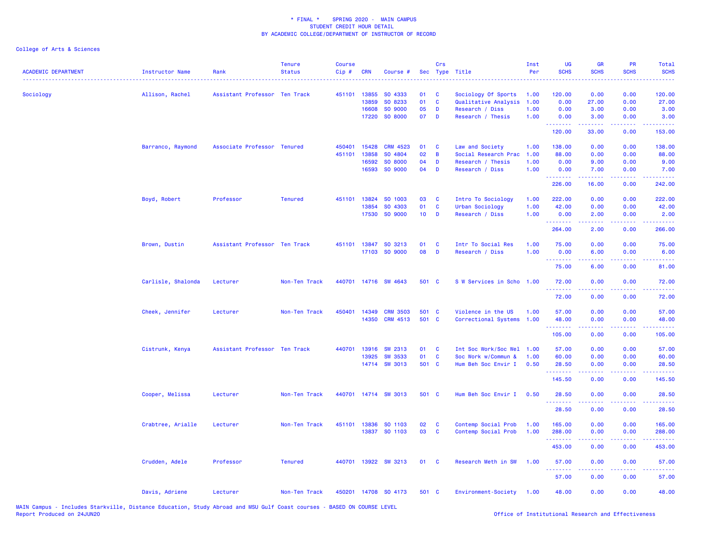| <b>ACADEMIC DEPARTMENT</b> | Instructor Name    | Rank                          | <b>Tenure</b><br><b>Status</b> | <b>Course</b><br>Cip# | <b>CRN</b>   | Course #             |                 | Crs          | Sec Type Title            | Inst<br>Per | <b>UG</b><br><b>SCHS</b> | <b>GR</b><br><b>SCHS</b> | <b>PR</b><br><b>SCHS</b>                                                                               | Total<br><b>SCHS</b>                                                                                                            |
|----------------------------|--------------------|-------------------------------|--------------------------------|-----------------------|--------------|----------------------|-----------------|--------------|---------------------------|-------------|--------------------------|--------------------------|--------------------------------------------------------------------------------------------------------|---------------------------------------------------------------------------------------------------------------------------------|
| Sociology                  | Allison, Rachel    | Assistant Professor Ten Track |                                |                       | 451101 13855 | SO 4333              | 01              | <b>C</b>     | Sociology Of Sports       | 1.00        | 120.00                   | 0.00                     | 0.00                                                                                                   | 120.00                                                                                                                          |
|                            |                    |                               |                                |                       | 13859        | SO 8233              | 01              | $\mathbf{C}$ | Qualitative Analysis      | 1.00        | 0.00                     | 27.00                    | 0.00                                                                                                   | 27.00                                                                                                                           |
|                            |                    |                               |                                |                       | 16608        | SO 9000              | 05              | D            | Research / Diss           | 1.00        | 0.00                     | 3.00                     | 0.00                                                                                                   | 3.00                                                                                                                            |
|                            |                    |                               |                                |                       | 17220        | SO 8000              | 07              | D            | Research / Thesis         | 1.00        | 0.00<br>.                | 3.00<br>.                | 0.00<br>$\frac{1}{2} \left( \frac{1}{2} \right) \left( \frac{1}{2} \right) \left( \frac{1}{2} \right)$ | 3.00<br>.                                                                                                                       |
|                            |                    |                               |                                |                       |              |                      |                 |              |                           |             | 120.00                   | 33.00                    | 0.00                                                                                                   | 153.00                                                                                                                          |
|                            | Barranco, Raymond  | Associate Professor Tenured   |                                | 450401                | 15428        | <b>CRM 4523</b>      | 01              | <b>C</b>     | Law and Society           | 1.00        | 138.00                   | 0.00                     | 0.00                                                                                                   | 138.00                                                                                                                          |
|                            |                    |                               |                                | 451101                | 13858        | SO 4804              | 02              | B            | Social Research Prac      | 1.00        | 88.00                    | 0.00                     | 0.00                                                                                                   | 88.00                                                                                                                           |
|                            |                    |                               |                                |                       | 16592        | SO 8000              | 04              | D            | Research / Thesis         | 1.00        | 0.00                     | 9.00                     | 0.00                                                                                                   | 9.00                                                                                                                            |
|                            |                    |                               |                                |                       | 16593        | SO 9000              | 04              | D            | Research / Diss           | 1.00        | 0.00<br>.                | 7.00<br>الداعات عامات    | 0.00<br>.                                                                                              | 7.00<br><u>.</u>                                                                                                                |
|                            |                    |                               |                                |                       |              |                      |                 |              |                           |             | 226.00                   | 16.00                    | 0.00                                                                                                   | 242.00                                                                                                                          |
|                            | Boyd, Robert       | Professor                     | <b>Tenured</b>                 |                       | 451101 13824 | SO 1003              | 03              | <b>C</b>     | Intro To Sociology        | 1.00        | 222.00                   | 0.00                     | 0.00                                                                                                   | 222.00                                                                                                                          |
|                            |                    |                               |                                |                       | 13854        | SO 4303              | 01              | $\mathbf{C}$ | Urban Sociology           | 1.00        | 42.00                    | 0.00                     | 0.00                                                                                                   | 42.00                                                                                                                           |
|                            |                    |                               |                                |                       | 17530        | SO 9000              | 10 <sub>1</sub> | D            | Research / Diss           | 1.00        | 0.00<br><u>.</u>         | 2.00<br>.                | 0.00                                                                                                   | 2.00<br>.                                                                                                                       |
|                            |                    |                               |                                |                       |              |                      |                 |              |                           |             | 264.00                   | 2.00                     | 0.00                                                                                                   | 266.00                                                                                                                          |
|                            | Brown, Dustin      | Assistant Professor Ten Track |                                |                       |              | 451101 13847 SO 3213 | 01              | C            | Intr To Social Res        | 1.00        | 75.00                    | 0.00                     | 0.00                                                                                                   | 75.00                                                                                                                           |
|                            |                    |                               |                                |                       |              | 17103 SO 9000        | 08              | D            | Research / Diss           | 1.00        | 0.00<br>.                | 6.00<br>.                | 0.00<br>.                                                                                              | 6.00<br>وعاعاها                                                                                                                 |
|                            |                    |                               |                                |                       |              |                      |                 |              |                           |             | 75.00                    | 6.00                     | 0.00                                                                                                   | 81.00                                                                                                                           |
|                            | Carlisle, Shalonda | Lecturer                      | Non-Ten Track                  |                       |              | 440701 14716 SW 4643 | 501 C           |              | S W Services in Scho 1.00 |             | 72.00                    | 0.00                     | 0.00                                                                                                   | 72.00                                                                                                                           |
|                            |                    |                               |                                |                       |              |                      |                 |              |                           |             | .<br>72.00               | .<br>0.00                | .<br>0.00                                                                                              | .<br>72.00                                                                                                                      |
|                            | Cheek, Jennifer    | Lecturer                      | Non-Ten Track                  | 450401                | 14349        | <b>CRM 3503</b>      | 501 C           |              | Violence in the US        | 1.00        | 57.00                    | 0.00                     | 0.00                                                                                                   | 57.00                                                                                                                           |
|                            |                    |                               |                                |                       | 14350        | <b>CRM 4513</b>      | 501 C           |              | Correctional Systems 1.00 |             | 48.00                    | 0.00                     | 0.00                                                                                                   | 48.00                                                                                                                           |
|                            |                    |                               |                                |                       |              |                      |                 |              |                           |             | .                        |                          |                                                                                                        |                                                                                                                                 |
|                            |                    |                               |                                |                       |              |                      |                 |              |                           |             | 105.00                   | 0.00                     | 0.00                                                                                                   | 105.00                                                                                                                          |
|                            | Cistrunk, Kenya    | Assistant Professor Ten Track |                                |                       | 440701 13916 | SW 2313              | 01              | <b>C</b>     | Int Soc Work/Soc Wel      | 1.00        | 57.00                    | 0.00                     | 0.00                                                                                                   | 57.00                                                                                                                           |
|                            |                    |                               |                                |                       | 13925        | <b>SW 3533</b>       | 01              | <b>C</b>     | Soc Work w/Commun &       | 1.00        | 60.00                    | 0.00                     | 0.00                                                                                                   | 60.00                                                                                                                           |
|                            |                    |                               |                                |                       |              | 14714 SW 3013        | 501 C           |              | Hum Beh Soc Envir I       | 0.50        | 28.50<br>.               | 0.00<br>22222            | 0.00<br>.                                                                                              | 28.50<br>.                                                                                                                      |
|                            |                    |                               |                                |                       |              |                      |                 |              |                           |             | 145.50                   | 0.00                     | 0.00                                                                                                   | 145.50                                                                                                                          |
|                            | Cooper, Melissa    | Lecturer                      | Non-Ten Track                  |                       |              | 440701 14714 SW 3013 | 501 C           |              | Hum Beh Soc Envir I       | 0.50        | 28.50<br>.               | 0.00<br><u>.</u>         | 0.00<br>$\sim$ $\sim$ $\sim$ $\sim$                                                                    | 28.50                                                                                                                           |
|                            |                    |                               |                                |                       |              |                      |                 |              |                           |             | 28.50                    | 0.00                     | 0.00                                                                                                   | 28.50                                                                                                                           |
|                            | Crabtree, Arialle  | Lecturer                      | Non-Ten Track                  | 451101                | 13836        | SO 1103              | 02              | <b>C</b>     | Contemp Social Prob       | 1.00        | 165.00                   | 0.00                     | 0.00                                                                                                   | 165.00                                                                                                                          |
|                            |                    |                               |                                |                       |              | 13837 SO 1103        | 03              | <b>C</b>     | Contemp Social Prob       | 1.00        | 288.00                   | 0.00                     | 0.00                                                                                                   | 288.00                                                                                                                          |
|                            |                    |                               |                                |                       |              |                      |                 |              |                           |             | .<br>453.00              | .<br>0.00                | المتمامين<br>0.00                                                                                      | $\begin{array}{cccccccccc} \bullet & \bullet & \bullet & \bullet & \bullet & \bullet & \bullet & \bullet \end{array}$<br>453.00 |
|                            | Crudden, Adele     | Professor                     | <b>Tenured</b>                 |                       |              | 440701 13922 SW 3213 | 01 C            |              | Research Meth in SW       | 1.00        | 57.00                    | 0.00                     | 0.00                                                                                                   | 57.00                                                                                                                           |
|                            |                    |                               |                                |                       |              |                      |                 |              |                           |             | .                        |                          |                                                                                                        |                                                                                                                                 |
|                            |                    |                               |                                |                       |              |                      |                 |              |                           |             | 57.00                    | 0.00                     | 0.00                                                                                                   | 57.00                                                                                                                           |
|                            | Davis, Adriene     | Lecturer                      | Non-Ten Track                  |                       |              | 450201 14708 SO 4173 | 501 C           |              | Environment-Society       | 1.00        | 48.00                    | 0.00                     | 0.00                                                                                                   | 48.00                                                                                                                           |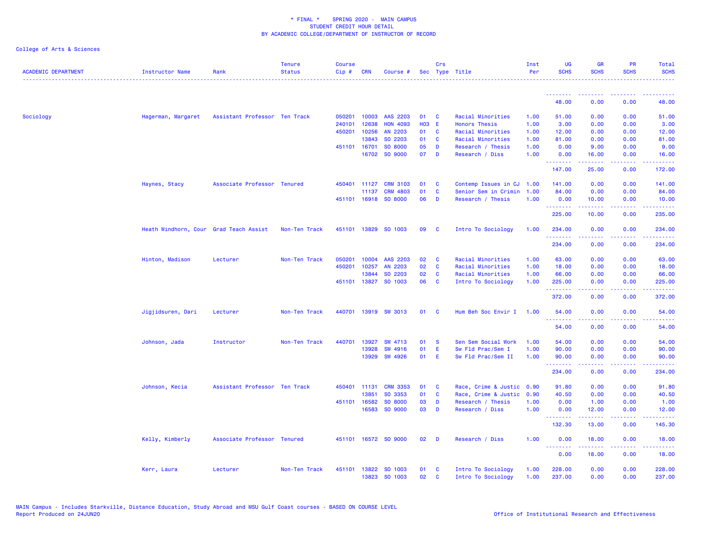| <b>ACADEMIC DEPARTMENT</b> | <b>Instructor Name</b>                 | Rank                          | <b>Tenure</b><br><b>Status</b> | <b>Course</b><br>Cip# | <b>CRN</b>   | Course #             |              | Crs          | Sec Type Title            | Inst<br>Per | <b>UG</b><br><b>SCHS</b> | <b>GR</b><br><b>SCHS</b> | <b>PR</b><br><b>SCHS</b> | Total<br><b>SCHS</b> |
|----------------------------|----------------------------------------|-------------------------------|--------------------------------|-----------------------|--------------|----------------------|--------------|--------------|---------------------------|-------------|--------------------------|--------------------------|--------------------------|----------------------|
|                            |                                        |                               |                                |                       |              |                      |              |              |                           |             |                          |                          |                          |                      |
|                            |                                        |                               |                                |                       |              |                      |              |              |                           |             | 48.00                    | 0.00                     | 0.00                     | 48.00                |
| Sociology                  | Hagerman, Margaret                     | Assistant Professor Ten Track |                                | 050201                | 10003        | AAS 2203             | 01           | <b>C</b>     | Racial Minorities         | 1.00        | 51.00                    | 0.00                     | 0.00                     | 51.00                |
|                            |                                        |                               |                                | 240101                | 12638        | <b>HON 4093</b>      | <b>HO3 E</b> |              | <b>Honors Thesis</b>      | 1.00        | 3.00                     | 0.00                     | 0.00                     | 3.00                 |
|                            |                                        |                               |                                | 450201                | 10256        | AN 2203              | 01           | C            | Racial Minorities         | 1.00        | 12.00                    | 0.00                     | 0.00                     | 12.00                |
|                            |                                        |                               |                                |                       | 13843        | SO 2203              | 01           | C            | Racial Minorities         | 1.00        | 81.00                    | 0.00                     | 0.00                     | 81.00                |
|                            |                                        |                               |                                |                       | 451101 16701 | SO 8000              | 05           | D            | Research / Thesis         | 1.00        | 0.00                     | 9.00                     | 0.00                     | 9.00                 |
|                            |                                        |                               |                                |                       | 16702        | SO 9000              | 07           | D            | Research / Diss           | 1.00        | 0.00<br>.                | 16.00<br>-----           | 0.00                     | 16.00<br>.           |
|                            |                                        |                               |                                |                       |              |                      |              |              |                           |             | 147.00                   | 25.00                    | 0.00                     | 172.00               |
|                            | Haynes, Stacy                          | Associate Professor Tenured   |                                | 450401                | 11127        | <b>CRM 3103</b>      | 01           | C            | Contemp Issues in CJ      | 1.00        | 141.00                   | 0.00                     | 0.00                     | 141.00               |
|                            |                                        |                               |                                |                       | 11137        | <b>CRM 4803</b>      | 01           | $\mathbf{C}$ | Senior Sem in Crimin      | 1.00        | 84.00                    | 0.00                     | 0.00                     | 84.00                |
|                            |                                        |                               |                                |                       |              | 451101 16918 SO 8000 | 06           | D            | Research / Thesis         | 1.00        | 0.00<br>.                | 10.00                    | 0.00                     | 10.00<br>.           |
|                            |                                        |                               |                                |                       |              |                      |              |              |                           |             | 225.00                   | 10.00                    | 0.00                     | 235.00               |
|                            | Heath Windhorn, Cour Grad Teach Assist |                               | Non-Ten Track                  |                       |              | 451101 13829 SO 1003 | 09           | - C          | Intro To Sociology        | 1.00        | 234.00                   | 0.00                     | 0.00                     | 234.00               |
|                            |                                        |                               |                                |                       |              |                      |              |              |                           |             | 234.00                   | 0.00                     | 0.00                     | 234.00               |
|                            | Hinton, Madison                        | Lecturer                      | Non-Ten Track                  | 050201                | 10004        | AAS 2203             | 02           | <b>C</b>     | Racial Minorities         | 1.00        | 63.00                    | 0.00                     | 0.00                     | 63.00                |
|                            |                                        |                               |                                | 450201                | 10257        | AN 2203              | 02           | $\mathbf{C}$ | Racial Minorities         | 1.00        | 18.00                    | 0.00                     | 0.00                     | 18.00                |
|                            |                                        |                               |                                |                       | 13844        | SO 2203              | 02           | $\mathbf{C}$ | Racial Minorities         | 1.00        | 66.00                    | 0.00                     | 0.00                     | 66.00                |
|                            |                                        |                               |                                |                       | 451101 13827 | SO 1003              | 06           | $\mathbf{C}$ | Intro To Sociology        | 1.00        | 225.00                   | 0.00<br>.                | 0.00<br>.                | 225.00<br>.          |
|                            |                                        |                               |                                |                       |              |                      |              |              |                           |             | 372.00                   | 0.00                     | 0.00                     | 372.00               |
|                            | Jigjidsuren, Dari                      | Lecturer                      | Non-Ten Track                  |                       |              | 440701 13919 SW 3013 | 01 C         |              | Hum Beh Soc Envir I       | 1.00        | 54.00                    | 0.00                     | 0.00                     | 54.00                |
|                            |                                        |                               |                                |                       |              |                      |              |              |                           |             | 54.00                    | 0.00                     | 0.00                     | 54.00                |
|                            | Johnson, Jada                          | Instructor                    | Non-Ten Track                  | 440701                | 13927        | SW 4713              | 01           | - S          | Sen Sem Social Work       | 1.00        | 54.00                    | 0.00                     | 0.00                     | 54.00                |
|                            |                                        |                               |                                |                       | 13928        | SW 4916              | 01           | E            | Sw Fld Prac/Sem I         | 1.00        | 90.00                    | 0.00                     | 0.00                     | 90.00                |
|                            |                                        |                               |                                |                       | 13929        | SW 4926              | 01           | - E          | Sw Fld Prac/Sem II        | 1.00        | 90.00<br>. <b>.</b> .    | 0.00<br><u>.</u>         | 0.00<br>.                | 90.00<br>.           |
|                            |                                        |                               |                                |                       |              |                      |              |              |                           |             | 234.00                   | 0.00                     | 0.00                     | 234.00               |
|                            | Johnson, Kecia                         | Assistant Professor Ten Track |                                | 450401                | 11131        | <b>CRM 3353</b>      | 01           | C            | Race, Crime & Justic 0.90 |             | 91.80                    | 0.00                     | 0.00                     | 91.80                |
|                            |                                        |                               |                                |                       | 13851        | SO 3353              | 01           | $\mathbf{C}$ | Race, Crime & Justic      | 0.90        | 40.50                    | 0.00                     | 0.00                     | 40.50                |
|                            |                                        |                               |                                |                       | 451101 16582 | SO 8000              | 03           | D            | Research / Thesis         | 1.00        | 0.00                     | 1.00                     | 0.00                     | 1.00                 |
|                            |                                        |                               |                                |                       | 16583        | SO 9000              | 03           | D            | Research / Diss           | 1.00        | 0.00                     | 12.00                    | 0.00                     | 12.00                |
|                            |                                        |                               |                                |                       |              |                      |              |              |                           |             | 132.30                   | 13.00                    | 0.00                     | 145.30               |
|                            | Kelly, Kimberly                        | Associate Professor Tenured   |                                |                       |              | 451101 16572 SO 9000 | 02           | <b>D</b>     | Research / Diss           | 1.00        | 0.00<br>.                | 18.00                    | 0.00                     | 18.00                |
|                            |                                        |                               |                                |                       |              |                      |              |              |                           |             | 0.00                     | 18.00                    | 0.00                     | 18.00                |
|                            | Kerr, Laura                            | Lecturer                      | Non-Ten Track                  | 451101                | 13822        | SO 1003              | 01           | - C          | Intro To Sociology        | 1.00        | 228.00                   | 0.00                     | 0.00                     | 228.00               |
|                            |                                        |                               |                                |                       | 13823        | SO 1003              | 02           | <b>C</b>     | Intro To Sociology        | 1.00        | 237.00                   | 0.00                     | 0.00                     | 237.00               |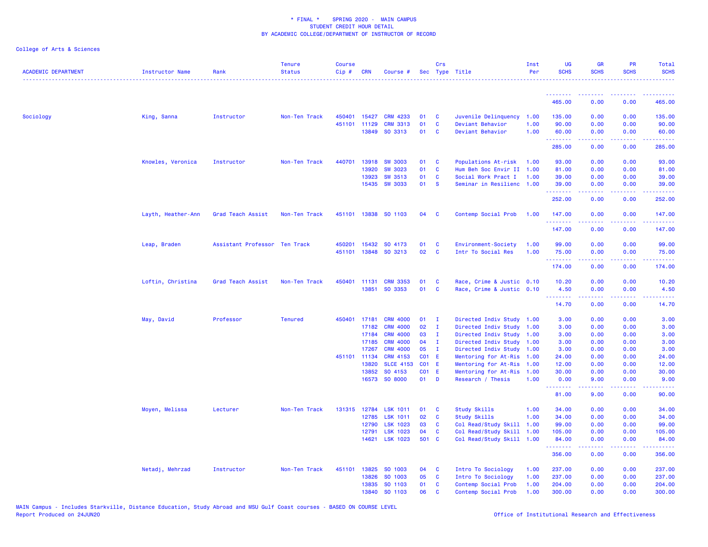| <b>ACADEMIC DEPARTMENT</b> | Instructor Name    | Rank                          | <b>Tenure</b><br>Status | <b>Course</b><br>Cip# | <b>CRN</b>     | Course #                           |                        | Crs            | Sec Type Title                                    | Inst<br>Per | <b>UG</b><br><b>SCHS</b> | <b>GR</b><br><b>SCHS</b>                                                                                                                                     | <b>PR</b><br><b>SCHS</b> | Total<br><b>SCHS</b> |
|----------------------------|--------------------|-------------------------------|-------------------------|-----------------------|----------------|------------------------------------|------------------------|----------------|---------------------------------------------------|-------------|--------------------------|--------------------------------------------------------------------------------------------------------------------------------------------------------------|--------------------------|----------------------|
|                            |                    |                               |                         |                       |                |                                    |                        |                |                                                   |             | .                        |                                                                                                                                                              |                          |                      |
|                            |                    |                               |                         |                       |                |                                    |                        |                |                                                   |             | 465.00                   | 0.00                                                                                                                                                         | 0.00                     | 465.00               |
| Sociology                  | King, Sanna        | Instructor                    | Non-Ten Track           | 450401                | 15427          | <b>CRM 4233</b>                    | 01                     | $\mathbf{C}$   | Juvenile Delinquency 1.00                         |             | 135.00                   | 0.00                                                                                                                                                         | 0.00                     | 135.00               |
|                            |                    |                               |                         | 451101                | 11129          | <b>CRM 3313</b>                    | 01                     | $\mathbf{C}$   | Deviant Behavior                                  | 1.00        | 90.00                    | 0.00                                                                                                                                                         | 0.00                     | 90.00                |
|                            |                    |                               |                         |                       | 13849          | SO 3313                            | 01                     | $\mathbf{C}$   | Deviant Behavior                                  | 1.00        | 60.00<br>.               | 0.00<br>المتمامين                                                                                                                                            | 0.00<br>المستما          | 60.00<br>.           |
|                            |                    |                               |                         |                       |                |                                    |                        |                |                                                   |             | 285.00                   | 0.00                                                                                                                                                         | 0.00                     | 285.00               |
|                            | Knowles, Veronica  | Instructor                    | Non-Ten Track           | 440701                | 13918          | <b>SW 3003</b>                     | 01                     | $\mathbf{C}$   | Populations At-risk                               | 1.00        | 93.00                    | 0.00                                                                                                                                                         | 0.00                     | 93.00                |
|                            |                    |                               |                         |                       | 13920          | <b>SW 3023</b>                     | 01                     | $\mathbf{C}$   | Hum Beh Soc Envir II 1.00                         |             | 81.00                    | 0.00                                                                                                                                                         | 0.00                     | 81.00                |
|                            |                    |                               |                         |                       | 13923          | <b>SW 3513</b>                     | 01                     | <b>C</b>       | Social Work Pract I                               | 1.00        | 39.00                    | 0.00                                                                                                                                                         | 0.00                     | 39.00                |
|                            |                    |                               |                         |                       | 15435          | <b>SW 3033</b>                     | 01                     | <b>S</b>       | Seminar in Resilienc 1.00                         |             | 39.00<br>.               | 0.00<br>$\mathbf{L}^{\prime} = \mathbf{L}^{\prime} + \mathbf{L}^{\prime} + \mathbf{L}^{\prime}$                                                              | 0.00<br>.                | 39.00                |
|                            |                    |                               |                         |                       |                |                                    |                        |                |                                                   |             | 252.00                   | 0.00                                                                                                                                                         | 0.00                     | 252.00               |
|                            | Layth, Heather-Ann | Grad Teach Assist             | Non-Ten Track           | 451101                |                | 13838 SO 1103                      | 04 C                   |                | Contemp Social Prob                               | 1.00        | 147.00<br>.              | 0.00<br>$- - - - -$                                                                                                                                          | 0.00<br>.                | 147.00<br>.          |
|                            |                    |                               |                         |                       |                |                                    |                        |                |                                                   |             | 147.00                   | 0.00                                                                                                                                                         | 0.00                     | 147.00               |
|                            | Leap, Braden       | Assistant Professor Ten Track |                         | 450201                | 15432          | SO 4173                            | 01                     | $\mathbf{C}$   | Environment-Society                               | 1.00        | 99.00                    | 0.00                                                                                                                                                         | 0.00                     | 99.00                |
|                            |                    |                               |                         | 451101                | 13848          | SO 3213                            | 02                     | $\mathbf{C}$   | Intr To Social Res                                | 1.00        | 75.00                    | 0.00                                                                                                                                                         | 0.00                     | 75.00                |
|                            |                    |                               |                         |                       |                |                                    |                        |                |                                                   |             | <u>.</u><br>174.00       | $\frac{1}{2} \left( \frac{1}{2} \right) \left( \frac{1}{2} \right) \left( \frac{1}{2} \right) \left( \frac{1}{2} \right) \left( \frac{1}{2} \right)$<br>0.00 | .<br>0.00                | 174.00               |
|                            | Loftin, Christina  | Grad Teach Assist             | Non-Ten Track           | 450401                | 11131          | <b>CRM 3353</b>                    | 01                     | <b>C</b>       | Race, Crime & Justic 0.10                         |             | 10.20                    | 0.00                                                                                                                                                         | 0.00                     | 10.20                |
|                            |                    |                               |                         |                       | 13851          | SO 3353                            | 01                     | $\mathbf{C}$   | Race, Crime & Justic 0.10                         |             | 4.50<br>.                | 0.00<br>بالأبابات                                                                                                                                            | 0.00<br>المتمالين        | 4.50<br>د د د د د د  |
|                            |                    |                               |                         |                       |                |                                    |                        |                |                                                   |             | 14.70                    | 0.00                                                                                                                                                         | 0.00                     | 14.70                |
|                            | May, David         | Professor                     | <b>Tenured</b>          | 450401                | 17181          | <b>CRM 4000</b>                    | 01                     | $\blacksquare$ | Directed Indiv Study 1.00                         |             | 3.00                     | 0.00                                                                                                                                                         | 0.00                     | 3.00                 |
|                            |                    |                               |                         |                       | 17182          | <b>CRM 4000</b>                    | 02                     | $\mathbf{I}$   | Directed Indiv Study 1.00                         |             | 3.00                     | 0.00                                                                                                                                                         | 0.00                     | 3.00                 |
|                            |                    |                               |                         |                       | 17184          | <b>CRM 4000</b>                    | 03                     | $\mathbf{I}$   | Directed Indiv Study                              | 1.00        | 3.00                     | 0.00                                                                                                                                                         | 0.00                     | 3.00                 |
|                            |                    |                               |                         |                       | 17185          | <b>CRM 4000</b>                    | 04                     | $\mathbf{I}$   | Directed Indiv Study 1.00                         |             | 3.00                     | 0.00                                                                                                                                                         | 0.00                     | 3.00                 |
|                            |                    |                               |                         |                       | 17267          | <b>CRM 4000</b>                    | 05                     | $\mathbf{I}$   | Directed Indiv Study                              | 1.00        | 3.00                     | 0.00                                                                                                                                                         | 0.00                     | 3.00                 |
|                            |                    |                               |                         |                       | 451101 11134   | <b>CRM 4153</b>                    | <b>CO1 E</b>           |                | Mentoring for At-Ris 1.00                         |             | 24.00                    | 0.00                                                                                                                                                         | 0.00                     | 24.00                |
|                            |                    |                               |                         |                       | 13820          | <b>SLCE 4153</b>                   | C01 E                  |                | Mentoring for At-Ris 1.00                         |             | 12.00                    | 0.00                                                                                                                                                         | 0.00                     | 12.00                |
|                            |                    |                               |                         |                       | 13852          | SO 4153<br>16573 SO 8000           | <b>CO1 E</b><br>$01$ D |                | Mentoring for At-Ris 1.00<br>Research / Thesis    | 1.00        | 30.00<br>0.00            | 0.00<br>9.00                                                                                                                                                 | 0.00<br>0.00             | 30.00<br>9.00        |
|                            |                    |                               |                         |                       |                |                                    |                        |                |                                                   |             | .<br>81.00               | 9.00                                                                                                                                                         | 0.00                     | .<br>90.00           |
|                            |                    |                               |                         |                       |                |                                    |                        |                |                                                   |             |                          |                                                                                                                                                              |                          |                      |
|                            | Moyen, Melissa     | Lecturer                      | Non-Ten Track           | 131315                | 12784          | <b>LSK 1011</b>                    | 01                     | $\mathbf{C}$   | <b>Study Skills</b>                               | 1.00        | 34.00                    | 0.00                                                                                                                                                         | 0.00                     | 34.00                |
|                            |                    |                               |                         |                       | 12785          | <b>LSK 1011</b>                    | 02                     | $\mathbf{C}$   | <b>Study Skills</b>                               | 1.00        | 34.00                    | 0.00                                                                                                                                                         | 0.00                     | 34.00                |
|                            |                    |                               |                         |                       | 12790          | <b>LSK 1023</b>                    | 03                     | $\mathbf{C}$   | Col Read/Study Skill                              | 1.00        | 99.00                    | 0.00                                                                                                                                                         | 0.00                     | 99.00                |
|                            |                    |                               |                         |                       | 12791<br>14621 | <b>LSK 1023</b><br><b>LSK 1023</b> | 04<br>501 C            | $\mathbf{C}$   | Col Read/Study Skill<br>Col Read/Study Skill 1.00 | 1.00        | 105.00<br>84.00          | 0.00<br>0.00                                                                                                                                                 | 0.00<br>0.00             | 105.00<br>84.00      |
|                            |                    |                               |                         |                       |                |                                    |                        |                |                                                   |             | <u> 222222</u><br>356.00 | 0.00                                                                                                                                                         | 0.00                     | .<br>356.00          |
|                            | Netadj, Mehrzad    | Instructor                    | Non-Ten Track           | 451101                | 13825          | SO 1003                            | 04 C                   |                | Intro To Sociology                                | 1.00        | 237.00                   | 0.00                                                                                                                                                         | 0.00                     | 237.00               |
|                            |                    |                               |                         |                       | 13826          | SO 1003                            | 05                     | $\mathbf{C}$   | Intro To Sociology                                | 1.00        | 237.00                   | 0.00                                                                                                                                                         | 0.00                     | 237.00               |
|                            |                    |                               |                         |                       | 13835          | SO 1103                            | 01                     | $\mathbf{C}$   | Contemp Social Prob                               | 1.00        | 204.00                   | 0.00                                                                                                                                                         | 0.00                     | 204.00               |
|                            |                    |                               |                         |                       | 13840          | SO 1103                            | 06                     | <b>C</b>       | Contemp Social Prob                               | 1.00        | 300.00                   | 0.00                                                                                                                                                         | 0.00                     | 300.00               |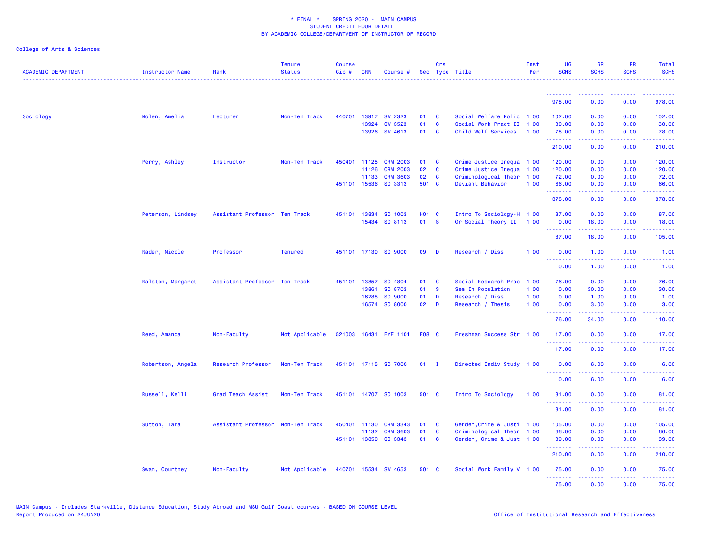| <b>ACADEMIC DEPARTMENT</b> | <b>Instructor Name</b> | Rank                              | <b>Tenure</b><br><b>Status</b> | <b>Course</b><br>Cip# | <b>CRN</b>   | Course #              |        | Crs          | Sec Type Title             | Inst<br>Per | UG<br><b>SCHS</b>  | <b>GR</b><br><b>SCHS</b>                                                                                                                                      | PR<br><b>SCHS</b>                                                                                      | <b>Total</b><br><b>SCHS</b>                                                                                                       |
|----------------------------|------------------------|-----------------------------------|--------------------------------|-----------------------|--------------|-----------------------|--------|--------------|----------------------------|-------------|--------------------|---------------------------------------------------------------------------------------------------------------------------------------------------------------|--------------------------------------------------------------------------------------------------------|-----------------------------------------------------------------------------------------------------------------------------------|
|                            |                        |                                   |                                |                       |              |                       |        |              |                            |             | .                  |                                                                                                                                                               |                                                                                                        |                                                                                                                                   |
|                            |                        |                                   |                                |                       |              |                       |        |              |                            |             | 978.00             | 0.00                                                                                                                                                          | 0.00                                                                                                   | 978.00                                                                                                                            |
| Sociology                  | Nolen, Amelia          | Lecturer                          | Non-Ten Track                  | 440701                | 13917        | <b>SW 2323</b>        | 01     | C            | Social Welfare Polic 1.00  |             | 102.00             | 0.00                                                                                                                                                          | 0.00                                                                                                   | 102.00                                                                                                                            |
|                            |                        |                                   |                                |                       | 13924        | <b>SW 3523</b>        | 01     | $\mathbf{c}$ | Social Work Pract II       | 1.00        | 30.00              | 0.00                                                                                                                                                          | 0.00                                                                                                   | 30.00                                                                                                                             |
|                            |                        |                                   |                                |                       | 13926        | SW 4613               | 01     | C            | Child Welf Services        | 1.00        | 78.00<br>.         | 0.00<br>.                                                                                                                                                     | 0.00<br>.                                                                                              | 78.00<br>.                                                                                                                        |
|                            |                        |                                   |                                |                       |              |                       |        |              |                            |             | 210.00             | 0.00                                                                                                                                                          | 0.00                                                                                                   | 210.00                                                                                                                            |
|                            | Perry, Ashley          | Instructor                        | Non-Ten Track                  |                       | 450401 11125 | <b>CRM 2003</b>       | 01     | C            | Crime Justice Inequa 1.00  |             | 120.00             | 0.00                                                                                                                                                          | 0.00                                                                                                   | 120.00                                                                                                                            |
|                            |                        |                                   |                                |                       | 11126        | <b>CRM 2003</b>       | 02     | $\mathbf c$  | Crime Justice Inequa       | 1.00        | 120.00             | 0.00                                                                                                                                                          | 0.00                                                                                                   | 120.00                                                                                                                            |
|                            |                        |                                   |                                |                       | 11133        | <b>CRM 3603</b>       | 02     | C            | Criminological Theor       | 1.00        | 72.00              | 0.00                                                                                                                                                          | 0.00                                                                                                   | 72.00                                                                                                                             |
|                            |                        |                                   |                                |                       | 451101 15536 | SO 3313               | 501 C  |              | Deviant Behavior           | 1.00        | 66.00<br>.         | 0.00<br>22222                                                                                                                                                 | 0.00<br>والمحامر                                                                                       | 66.00<br>.                                                                                                                        |
|                            |                        |                                   |                                |                       |              |                       |        |              |                            |             | 378.00             | 0.00                                                                                                                                                          | 0.00                                                                                                   | 378.00                                                                                                                            |
|                            | Peterson, Lindsey      | Assistant Professor Ten Track     |                                |                       | 451101 13834 | SO 1003               | H01 C  |              | Intro To Sociology-H 1.00  |             | 87.00              | 0.00                                                                                                                                                          | 0.00                                                                                                   | 87.00                                                                                                                             |
|                            |                        |                                   |                                |                       |              | 15434 SO 8113         | 01 S   |              | Gr Social Theory II 1.00   |             | 0.00<br>.          | 18.00<br>$\frac{1}{2} \left( \frac{1}{2} \right) \left( \frac{1}{2} \right) \left( \frac{1}{2} \right) \left( \frac{1}{2} \right) \left( \frac{1}{2} \right)$ | 0.00<br>.                                                                                              | 18.00<br>.                                                                                                                        |
|                            |                        |                                   |                                |                       |              |                       |        |              |                            |             | 87.00              | 18.00                                                                                                                                                         | 0.00                                                                                                   | 105.00                                                                                                                            |
|                            | Rader, Nicole          | Professor                         | <b>Tenured</b>                 |                       |              | 451101 17130 SO 9000  | 09     | D            | Research / Diss            | 1.00        | 0.00<br>.          | 1.00<br>.                                                                                                                                                     | 0.00<br>.                                                                                              | 1.00                                                                                                                              |
|                            |                        |                                   |                                |                       |              |                       |        |              |                            |             | 0.00               | 1.00                                                                                                                                                          | 0.00                                                                                                   | 1.00                                                                                                                              |
|                            | Ralston, Margaret      | Assistant Professor Ten Track     |                                | 451101                | 13857        | SO 4804               | 01     | <b>C</b>     | Social Research Prac       | 1.00        | 76.00              | 0.00                                                                                                                                                          | 0.00                                                                                                   | 76.00                                                                                                                             |
|                            |                        |                                   |                                |                       | 13861        | SO 8703               | 01     | <b>S</b>     | Sem In Population          | 1.00        | 0.00               | 30.00                                                                                                                                                         | 0.00                                                                                                   | 30.00                                                                                                                             |
|                            |                        |                                   |                                |                       | 16288        | SO 9000               | 01     | D            | Research / Diss            | 1.00        | 0.00               | 1.00                                                                                                                                                          | 0.00                                                                                                   | 1.00                                                                                                                              |
|                            |                        |                                   |                                |                       | 16574        | SO 8000               | 02     | D            | Research / Thesis          | 1.00        | 0.00<br>.          | 3.00<br>الداعات عامات                                                                                                                                         | 0.00<br>.                                                                                              | 3.00<br>.                                                                                                                         |
|                            |                        |                                   |                                |                       |              |                       |        |              |                            |             | 76.00              | 34.00                                                                                                                                                         | 0.00                                                                                                   | 110.00                                                                                                                            |
|                            | Reed, Amanda           | Non-Faculty                       | Not Applicable                 |                       |              | 521003 16431 FYE 1101 | F08 C  |              | Freshman Success Str 1.00  |             | 17.00<br>.         | 0.00                                                                                                                                                          | 0.00                                                                                                   | 17.00<br>.                                                                                                                        |
|                            |                        |                                   |                                |                       |              |                       |        |              |                            |             | 17.00              | 0.00                                                                                                                                                          | 0.00                                                                                                   | 17.00                                                                                                                             |
|                            | Robertson, Angela      | Research Professor                | Non-Ten Track                  |                       |              | 451101 17115 SO 7000  | $01$ I |              | Directed Indiv Study 1.00  |             | 0.00<br>.          | 6.00<br>.                                                                                                                                                     | 0.00<br>$\frac{1}{2} \left( \frac{1}{2} \right) \left( \frac{1}{2} \right) \left( \frac{1}{2} \right)$ | 6.00<br>$\frac{1}{2} \left( \frac{1}{2} \right) \left( \frac{1}{2} \right) \left( \frac{1}{2} \right) \left( \frac{1}{2} \right)$ |
|                            |                        |                                   |                                |                       |              |                       |        |              |                            |             | 0.00               | 6.00                                                                                                                                                          | 0.00                                                                                                   | 6.00                                                                                                                              |
|                            | Russell, Kelli         | Grad Teach Assist                 | Non-Ten Track                  |                       |              | 451101 14707 SO 1003  | 501 C  |              | Intro To Sociology         | 1.00        | 81.00              | 0.00                                                                                                                                                          | 0.00                                                                                                   | 81.00                                                                                                                             |
|                            |                        |                                   |                                |                       |              |                       |        |              |                            |             | .<br>81.00         | $\frac{1}{2} \left( \frac{1}{2} \right) \left( \frac{1}{2} \right) \left( \frac{1}{2} \right) \left( \frac{1}{2} \right)$<br>0.00                             | .<br>0.00                                                                                              | .<br>81.00                                                                                                                        |
|                            | Sutton, Tara           | Assistant Professor Non-Ten Track |                                |                       | 450401 11130 | <b>CRM 3343</b>       | 01     | C            | Gender, Crime & Justi 1.00 |             | 105.00             | 0.00                                                                                                                                                          | 0.00                                                                                                   | 105.00                                                                                                                            |
|                            |                        |                                   |                                |                       | 11132        | <b>CRM 3603</b>       | 01     | C            | Criminological Theor 1.00  |             | 66.00              | 0.00                                                                                                                                                          | 0.00                                                                                                   | 66.00                                                                                                                             |
|                            |                        |                                   |                                |                       | 451101 13850 | SO 3343               | 01     | <b>C</b>     | Gender, Crime & Just 1.00  |             | 39.00              | 0.00                                                                                                                                                          | 0.00                                                                                                   | 39.00                                                                                                                             |
|                            |                        |                                   |                                |                       |              |                       |        |              |                            |             | <u>.</u><br>210.00 | .<br>0.00                                                                                                                                                     | $  -$<br>0.00                                                                                          | .<br>210.00                                                                                                                       |
|                            | Swan, Courtney         | Non-Faculty                       | Not Applicable                 |                       |              | 440701 15534 SW 4653  | 501 C  |              | Social Work Family V 1.00  |             | 75.00              | 0.00                                                                                                                                                          | 0.00                                                                                                   | 75.00                                                                                                                             |
|                            |                        |                                   |                                |                       |              |                       |        |              |                            |             | <u>.</u><br>75.00  | $    -$<br>0.00                                                                                                                                               | .<br>0.00                                                                                              | <u>.</u><br>75.00                                                                                                                 |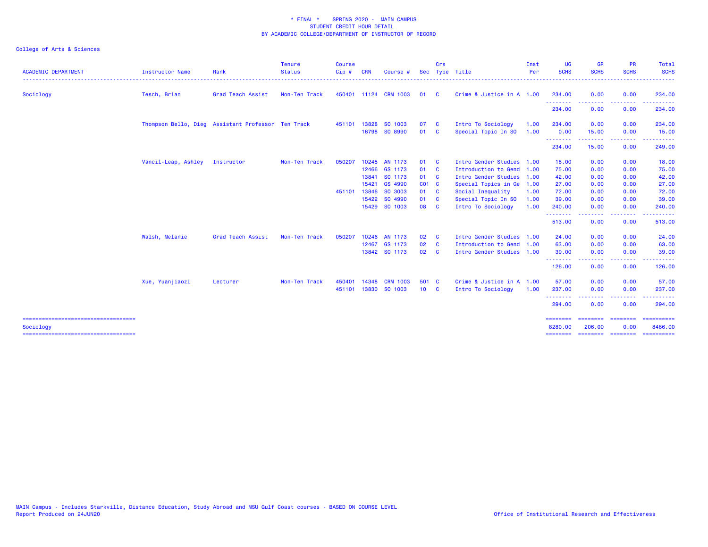| <b>ACADEMIC DEPARTMENT</b> | Instructor Name     | Rank                                               | <b>Tenure</b><br><b>Status</b> | <b>Course</b><br>Cip# | <b>CRN</b> | Course #              | <b>Sec</b> | Crs                     | Type Title                | Inst<br>Per | <b>UG</b><br><b>SCHS</b>         | <b>GR</b><br><b>SCHS</b> | <b>PR</b><br><b>SCHS</b> | Total<br><b>SCHS</b>      |
|----------------------------|---------------------|----------------------------------------------------|--------------------------------|-----------------------|------------|-----------------------|------------|-------------------------|---------------------------|-------------|----------------------------------|--------------------------|--------------------------|---------------------------|
| Sociology                  | Tesch, Brian        | Grad Teach Assist                                  | Non-Ten Track                  |                       |            | 450401 11124 CRM 1003 | 01         | $\mathbf{C}$            | Crime & Justice in A 1.00 |             | 234.00                           | 0.00                     | 0.00                     | 234.00                    |
|                            |                     |                                                    |                                |                       |            |                       |            |                         |                           |             | - - - - - - - -<br>234.00        | 0.00                     | 0.00                     | 234.00                    |
|                            |                     | Thompson Bello, Dieg Assistant Professor Ten Track |                                | 451101 13828          |            | SO 1003               | 07         | $\mathbf{C}$            | Intro To Sociology        | 1.00        | 234.00                           | 0.00                     | 0.00                     | 234.00                    |
|                            |                     |                                                    |                                |                       |            | 16798 SO 8990         | 01 C       |                         | Special Topic In SO       | 1.00        | 0.00                             | 15.00                    | 0.00                     | 15.00                     |
|                            |                     |                                                    |                                |                       |            |                       |            |                         |                           |             | <b></b><br>234.00                | -----<br>15.00           | ----<br>0.00             | 249.00                    |
|                            | Vancil-Leap, Ashley | Instructor                                         | Non-Ten Track                  | 050207                |            | 10245 AN 1173         | 01         | $\overline{\mathbf{C}}$ | Intro Gender Studies 1.00 |             | 18.00                            | 0.00                     | 0.00                     | 18.00                     |
|                            |                     |                                                    |                                |                       |            | 12466 GS 1173         | 01 C       |                         | Introduction to Gend 1.00 |             | 75.00                            | 0.00                     | 0.00                     | 75.00                     |
|                            |                     |                                                    |                                |                       |            | 13841 SO 1173         | 01 C       |                         | Intro Gender Studies 1.00 |             | 42.00                            | 0.00                     | 0.00                     | 42.00                     |
|                            |                     |                                                    |                                |                       | 15421      | GS 4990               | CO1 C      |                         | Special Topics in Ge 1.00 |             | 27.00                            | 0.00                     | 0.00                     | 27.00                     |
|                            |                     |                                                    |                                | 451101 13846          |            | SO 3003               | 01 C       |                         | Social Inequality         | 1.00        | 72.00                            | 0.00                     | 0.00                     | 72.00                     |
|                            |                     |                                                    |                                |                       |            | 15422 SO 4990         | 01 C       |                         | Special Topic In SO       | 1.00        | 39.00                            | 0.00                     | 0.00                     | 39.00                     |
|                            |                     |                                                    |                                |                       |            | 15429 SO 1003         | 08 C       |                         | Intro To Sociology        | 1.00        | 240.00                           | 0.00                     | 0.00                     | 240.00                    |
|                            |                     |                                                    |                                |                       |            |                       |            |                         |                           |             | <u>- - - - - - - -</u><br>513.00 | 0.00                     | 0.00                     | 513.00                    |
|                            | Walsh, Melanie      | Grad Teach Assist                                  | Non-Ten Track                  | 050207                |            | 10246 AN 1173         | 02 C       |                         | Intro Gender Studies 1.00 |             | 24.00                            | 0.00                     | 0.00                     | 24.00                     |
|                            |                     |                                                    |                                |                       |            | 12467 GS 1173         | 02 C       |                         | Introduction to Gend 1.00 |             | 63.00                            | 0.00                     | 0.00                     | 63.00                     |
|                            |                     |                                                    |                                |                       |            | 13842 SO 1173         | 02 C       |                         | Intro Gender Studies 1.00 |             | 39.00<br>--------                | 0.00                     | 0.00                     | 39.00                     |
|                            |                     |                                                    |                                |                       |            |                       |            |                         |                           |             | 126.00                           | 0.00                     | 0.00                     | 126.00                    |
|                            | Xue, Yuanjiaozi     | Lecturer                                           | Non-Ten Track                  | 450401                | 14348      | <b>CRM 1003</b>       | 501 C      |                         | Crime & Justice in A 1.00 |             | 57.00                            | 0.00                     | 0.00                     | 57.00                     |
|                            |                     |                                                    |                                | 451101                |            | 13830 SO 1003         | 10 C       |                         | Intro To Sociology        | 1.00        | 237.00                           | 0.00                     | 0.00                     | 237.00                    |
|                            |                     |                                                    |                                |                       |            |                       |            |                         |                           |             | 294.00                           | 0.00                     | 0.00                     | 294.00                    |
| Sociology                  |                     |                                                    |                                |                       |            |                       |            |                         |                           |             | ========<br>8280,00              | ========<br>206,00       | ========<br>0.00         | $=$ ==========<br>8486.00 |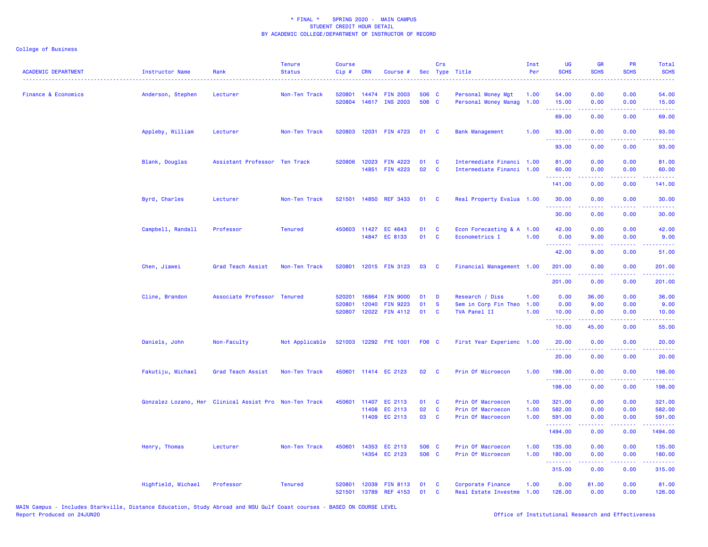| <b>ACADEMIC DEPARTMENT</b>     | <b>Instructor Name</b> | Rank                                                   | <b>Tenure</b><br><b>Status</b> | <b>Course</b><br>Cip# | <b>CRN</b>     | Course #                                |                | Crs           | Sec Type Title                                         | Inst<br>Per  | <b>UG</b><br><b>SCHS</b>                                  | <b>GR</b><br><b>SCHS</b> | <b>PR</b><br><b>SCHS</b> | Total<br><b>SCHS</b>   |
|--------------------------------|------------------------|--------------------------------------------------------|--------------------------------|-----------------------|----------------|-----------------------------------------|----------------|---------------|--------------------------------------------------------|--------------|-----------------------------------------------------------|--------------------------|--------------------------|------------------------|
| <b>Finance &amp; Economics</b> | Anderson, Stephen      | Lecturer                                               | Non-Ten Track                  | 520801<br>520804      | 14474          | <b>FIN 2003</b><br>14617 INS 2003       | 506 C<br>506 C |               | Personal Money Mgt<br>Personal Money Manag             | 1.00<br>1.00 | 54.00<br>15.00                                            | 0.00<br>0.00             | 0.00<br>0.00             | 54.00<br>15.00         |
|                                |                        |                                                        |                                |                       |                |                                         |                |               |                                                        |              | 69.00                                                     | 0.00                     | 0.00                     | 69.00                  |
|                                | Appleby, William       | Lecturer                                               | Non-Ten Track                  |                       |                | 520803 12031 FIN 4723                   | 01 C           |               | <b>Bank Management</b>                                 | 1.00         | 93.00                                                     | 0.00                     | 0.00                     | 93.00                  |
|                                |                        |                                                        |                                |                       |                |                                         |                |               |                                                        |              | <u>.</u><br>93.00                                         | 22222<br>0.00            | .<br>0.00                | .<br>93.00             |
|                                | Blank, Douglas         | Assistant Professor Ten Track                          |                                |                       |                | 520806 12023 FIN 4223<br>14851 FIN 4223 | 01<br>02       | C<br>C        | Intermediate Financi 1.00<br>Intermediate Financi 1.00 |              | 81.00<br>60.00                                            | 0.00<br>0.00             | 0.00<br>0.00             | 81.00<br>60.00         |
|                                |                        |                                                        |                                |                       |                |                                         |                |               |                                                        |              | . <b>.</b><br>141.00                                      | 0.00                     | والمستناء<br>0.00        | المتمامين<br>141.00    |
|                                | Byrd, Charles          | Lecturer                                               | Non-Ten Track                  |                       |                | 521501 14850 REF 3433                   | 01             | $\mathbf{C}$  | Real Property Evalua 1.00                              |              | 30.00                                                     | 0.00                     | 0.00                     | 30.00                  |
|                                |                        |                                                        |                                |                       |                |                                         |                |               |                                                        |              | .<br>30.00                                                | 0.00                     | 0.00                     | .<br>30.00             |
|                                | Campbell, Randall      | Professor                                              | <b>Tenured</b>                 |                       |                | 450603 11427 EC 4643<br>14847 EC 8133   | 01<br>01       | C<br><b>C</b> | Econ Forecasting & A 1.00<br>Econometrics I            | 1.00         | 42.00<br>0.00<br><u> - - - - - - - -</u>                  | 0.00<br>9.00             | 0.00<br>0.00<br>.        | 42.00<br>9.00<br>.     |
|                                |                        |                                                        |                                |                       |                |                                         |                |               |                                                        |              | 42.00                                                     | .<br>9.00                | 0.00                     | 51.00                  |
|                                | Chen, Jiawei           | Grad Teach Assist                                      | Non-Ten Track                  | 520801                |                | 12015 FIN 3123                          | 03             | <b>C</b>      | Financial Management 1.00                              |              | 201.00<br>.                                               | 0.00                     | 0.00<br>بالمحام          | 201.00<br>المتمام ماما |
|                                |                        |                                                        |                                |                       |                |                                         |                |               |                                                        |              | 201.00                                                    | 0.00                     | 0.00                     | 201.00                 |
|                                | Cline, Brandon         | Associate Professor Tenured                            |                                | 520201<br>520801      | 16864<br>12040 | <b>FIN 9000</b><br><b>FIN 9223</b>      | 01<br>01       | D<br><b>S</b> | Research / Diss<br>Sem in Corp Fin Theo                | 1.00<br>1.00 | 0.00<br>0.00                                              | 36.00<br>9.00            | 0.00<br>0.00             | 36.00<br>9.00          |
|                                |                        |                                                        |                                | 520807                |                | 12022 FIN 4112                          | 01             | C             | TVA Panel II                                           | 1.00         | 10.00<br><b><i><u><u><b>Little Little</b></u></u></i></b> | 0.00<br>.                | 0.00<br>.                | 10.00<br>.             |
|                                |                        |                                                        |                                |                       |                |                                         |                |               |                                                        |              | 10.00                                                     | 45.00                    | 0.00                     | 55.00                  |
|                                | Daniels, John          | Non-Faculty                                            | Not Applicable                 |                       |                | 521003 12292 FYE 1001                   | <b>F06 C</b>   |               | First Year Experienc 1.00                              |              | 20.00<br>.                                                | 0.00                     | 0.00<br>والمحامر         | 20.00                  |
|                                |                        |                                                        |                                |                       |                |                                         |                |               |                                                        |              | 20.00                                                     | 0.00                     | 0.00                     | 20.00                  |
|                                | Fakutiju, Michael      | Grad Teach Assist                                      | Non-Ten Track                  |                       |                | 450601 11414 EC 2123                    | 02             | <b>C</b>      | Prin Of Microecon                                      | 1.00         | 198.00<br><b><i><u><u> - - - - - -</u></u></i></b>        | 0.00<br>.                | 0.00<br>.                | 198.00<br>222223       |
|                                |                        |                                                        |                                |                       |                |                                         |                |               |                                                        |              | 198.00                                                    | 0.00                     | 0.00                     | 198.00                 |
|                                |                        | Gonzalez Lozano, Her Clinical Assist Pro Non-Ten Track |                                | 450601                |                | 11407 EC 2113                           | 01             | C             | Prin Of Macroecon                                      | 1.00         | 321.00                                                    | 0.00                     | 0.00                     | 321.00                 |
|                                |                        |                                                        |                                |                       | 11408          | EC 2113<br>11409 EC 2113                | 02<br>03       | C<br><b>C</b> | Prin Of Macroecon<br>Prin Of Macroecon                 | 1.00<br>1.00 | 582.00<br>591.00                                          | 0.00<br>0.00             | 0.00<br>0.00             | 582.00<br>591.00       |
|                                |                        |                                                        |                                |                       |                |                                         |                |               |                                                        |              | <u>.</u><br>1494.00                                       | 22222<br>0.00            | .<br>0.00                | .<br>1494.00           |
|                                | Henry, Thomas          | Lecturer                                               | Non-Ten Track                  | 450601                |                | 14353 EC 2113<br>14354 EC 2123          | 506 C<br>506 C |               | Prin Of Macroecon<br>Prin Of Microecon                 | 1.00<br>1.00 | 135.00<br>180.00                                          | 0.00<br>0.00             | 0.00<br>0.00             | 135.00<br>180.00       |
|                                |                        |                                                        |                                |                       |                |                                         |                |               |                                                        |              | .<br>315.00                                               | المستملة<br>0.00         | .<br>0.00                | .<br>315.00            |
|                                | Highfield, Michael     | Professor                                              | <b>Tenured</b>                 | 520801<br>521501      |                | 12039 FIN 8113<br>13789 REF 4153        | 01<br>01       | C<br>C        | Corporate Finance<br>Real Estate Investme              | 1.00<br>1.00 | 0.00<br>126.00                                            | 81.00<br>0.00            | 0.00<br>0.00             | 81.00<br>126.00        |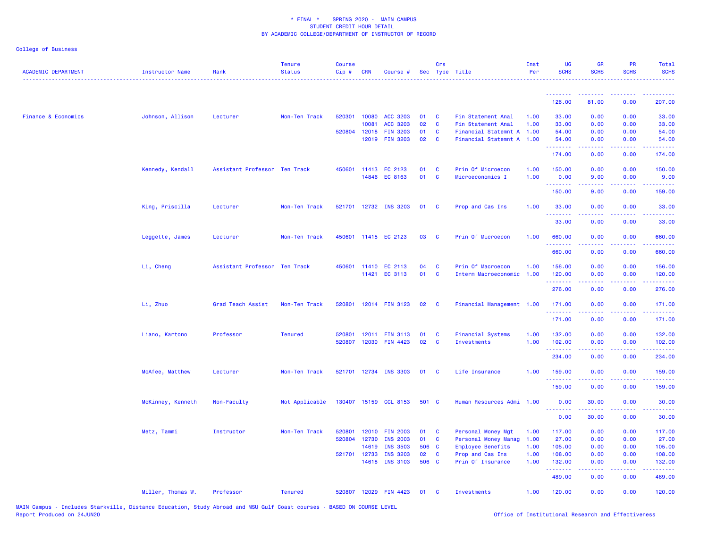| <b>ACADEMIC DEPARTMENT</b>     | Instructor Name   | Rank                          | <b>Tenure</b><br><b>Status</b> | <b>Course</b><br>Cip# | <b>CRN</b>   | Course #              |       | Crs                     | Sec Type Title            | Inst<br>Per | <b>UG</b><br><b>SCHS</b>                           | <b>GR</b><br><b>SCHS</b> | <b>PR</b><br><b>SCHS</b>                                                                                                          | Total<br><b>SCHS</b>                             |
|--------------------------------|-------------------|-------------------------------|--------------------------------|-----------------------|--------------|-----------------------|-------|-------------------------|---------------------------|-------------|----------------------------------------------------|--------------------------|-----------------------------------------------------------------------------------------------------------------------------------|--------------------------------------------------|
|                                |                   |                               |                                |                       |              |                       |       |                         |                           |             | --------                                           |                          |                                                                                                                                   |                                                  |
|                                |                   |                               |                                |                       |              |                       |       |                         |                           |             | 126.00                                             | 81.00                    | 0.00                                                                                                                              | 207.00                                           |
| <b>Finance &amp; Economics</b> | Johnson, Allison  | Lecturer                      | Non-Ten Track                  | 520301                | 10080        | <b>ACC 3203</b>       | 01    | $\mathbf{C}$            | Fin Statement Anal        | 1.00        | 33.00                                              | 0.00                     | 0.00                                                                                                                              | 33.00                                            |
|                                |                   |                               |                                |                       | 10081        | ACC 3203              | 02    | $\mathbf{C}$            | Fin Statement Anal        | 1.00        | 33.00                                              | 0.00                     | 0.00                                                                                                                              | 33.00                                            |
|                                |                   |                               |                                | 520804                | 12018        | <b>FIN 3203</b>       | 01    | $\mathbf{C}$            | Financial Statemnt A 1.00 |             | 54.00                                              | 0.00                     | 0.00                                                                                                                              | 54.00                                            |
|                                |                   |                               |                                |                       | 12019        | <b>FIN 3203</b>       | 02    | $\mathbf{C}$            | Financial Statemnt A 1.00 |             | 54.00<br>.                                         | 0.00<br>د د د د          | 0.00<br>$\omega$ is $\omega$ in                                                                                                   | 54.00<br>.                                       |
|                                |                   |                               |                                |                       |              |                       |       |                         |                           |             | 174.00                                             | 0.00                     | 0.00                                                                                                                              | 174.00                                           |
|                                | Kennedy, Kendall  | Assistant Professor Ten Track |                                | 450601                |              | 11413 EC 2123         | 01    | $\mathbf{C}$            | Prin Of Microecon         | 1.00        | 150.00                                             | 0.00                     | 0.00                                                                                                                              | 150.00                                           |
|                                |                   |                               |                                |                       |              | 14846 EC 8163         | 01    | $\mathbf{C}$            | Microeconomics I          | 1.00        | 0.00                                               | 9.00                     | 0.00                                                                                                                              | 9.00                                             |
|                                |                   |                               |                                |                       |              |                       |       |                         |                           |             | .<br>150.00                                        | 9.00                     | 0.00                                                                                                                              | 159.00                                           |
|                                | King, Priscilla   | Lecturer                      | Non-Ten Track                  |                       |              | 521701 12732 INS 3203 | 01    | $\mathbf{C}$            | Prop and Cas Ins          | 1.00        | 33.00<br>.                                         | 0.00                     | 0.00                                                                                                                              | 33.00                                            |
|                                |                   |                               |                                |                       |              |                       |       |                         |                           |             | 33.00                                              | 0.00                     | 0.00                                                                                                                              | 33.00                                            |
|                                | Leggette, James   | Lecturer                      | Non-Ten Track                  |                       |              | 450601 11415 EC 2123  | 03    | $\overline{\mathbf{C}}$ | Prin Of Microecon         | 1.00        | 660.00<br>.                                        | 0.00                     | 0.00                                                                                                                              | 660.00<br>.                                      |
|                                |                   |                               |                                |                       |              |                       |       |                         |                           |             | 660.00                                             | 0.00                     | 0.00                                                                                                                              | 660.00                                           |
|                                | Li, Cheng         | Assistant Professor Ten Track |                                |                       |              | 450601 11410 EC 2113  | 04    | <b>C</b>                | Prin Of Macroecon         | 1.00        | 156.00                                             | 0.00                     | 0.00                                                                                                                              | 156.00                                           |
|                                |                   |                               |                                |                       |              | 11421 EC 3113         | 01    | $\mathbf{C}$            | Interm Macroeconomic 1.00 |             | 120.00                                             | 0.00                     | 0.00                                                                                                                              | 120.00                                           |
|                                |                   |                               |                                |                       |              |                       |       |                         |                           |             | <b><i><u><u> - - - - - -</u></u></i></b><br>276.00 | 22222<br>0.00            | .<br>0.00                                                                                                                         | بالمتمام<br>276.00                               |
|                                | Li, Zhuo          | Grad Teach Assist             | Non-Ten Track                  | 520801                |              | 12014 FIN 3123        | 02    | $\overline{\mathbf{C}}$ | Financial Management 1.00 |             | 171.00<br>.                                        | 0.00<br>.                | 0.00<br>المتمالين                                                                                                                 | 171.00                                           |
|                                |                   |                               |                                |                       |              |                       |       |                         |                           |             | 171.00                                             | 0.00                     | 0.00                                                                                                                              | 171.00                                           |
|                                | Liano, Kartono    | Professor                     | <b>Tenured</b>                 | 520801                | 12011        | <b>FIN 3113</b>       | 01    | $\mathbf{C}$            | <b>Financial Systems</b>  | 1.00        | 132.00                                             | 0.00                     | 0.00                                                                                                                              | 132.00                                           |
|                                |                   |                               |                                | 520807                |              | 12030 FIN 4423        | 02    | $\mathbf{C}$            | <b>Investments</b>        | 1.00        | 102.00                                             | 0.00                     | 0.00                                                                                                                              | 102.00                                           |
|                                |                   |                               |                                |                       |              |                       |       |                         |                           |             | .<br>234.00                                        | 0.00                     | 0.00                                                                                                                              | 234.00                                           |
|                                | McAfee, Matthew   | Lecturer                      | Non-Ten Track                  |                       |              | 521701 12734 INS 3303 | 01    | $\mathbf{C}$            | Life Insurance            | 1.00        | 159.00                                             | 0.00                     | 0.00                                                                                                                              | 159.00                                           |
|                                |                   |                               |                                |                       |              |                       |       |                         |                           |             | .<br>159.00                                        | 0.00                     | $\frac{1}{2} \left( \frac{1}{2} \right) \left( \frac{1}{2} \right) \left( \frac{1}{2} \right) \left( \frac{1}{2} \right)$<br>0.00 | .<br>159.00                                      |
|                                | McKinney, Kenneth | Non-Faculty                   | Not Applicable                 |                       |              | 130407 15159 CCL 8153 | 501 C |                         | Human Resources Admi 1.00 |             | 0.00<br><u>.</u>                                   | 30.00                    | 0.00                                                                                                                              | 30.00                                            |
|                                |                   |                               |                                |                       |              |                       |       |                         |                           |             | 0.00                                               | 30.00                    | 0.00                                                                                                                              | 30.00                                            |
|                                | Metz, Tammi       | Instructor                    | Non-Ten Track                  | 520801                |              | 12010 FIN 2003        | 01 C  |                         | Personal Money Mgt        | 1.00        | 117.00                                             | 0.00                     | 0.00                                                                                                                              | 117.00                                           |
|                                |                   |                               |                                | 520804                | 12730        | <b>INS 2003</b>       | 01    | $\mathbf{C}$            | Personal Money Manag      | 1.00        | 27.00                                              | 0.00                     | 0.00                                                                                                                              | 27.00                                            |
|                                |                   |                               |                                |                       | 14619        | <b>INS 3503</b>       | 506 C |                         | Employee Benefits         | 1.00        | 105.00                                             | 0.00                     | 0.00                                                                                                                              | 105.00                                           |
|                                |                   |                               |                                |                       | 521701 12733 | <b>INS 3203</b>       | 02    | <b>C</b>                | Prop and Cas Ins          | 1.00        | 108.00                                             | 0.00                     | 0.00                                                                                                                              | 108.00                                           |
|                                |                   |                               |                                |                       | 14618        | <b>INS 3103</b>       | 506 C |                         | Prin Of Insurance         | 1.00        | 132.00<br>.                                        | 0.00<br>$- - - - -$      | 0.00<br>.                                                                                                                         | 132.00<br><b><i><u><u> - - - - -</u></u></i></b> |
|                                |                   |                               |                                |                       |              |                       |       |                         |                           |             | 489.00                                             | 0.00                     | 0.00                                                                                                                              | 489.00                                           |
|                                | Miller, Thomas W. | Professor                     | <b>Tenured</b>                 |                       |              | 520807 12029 FIN 4423 | 01    | $\mathbf{C}$            | <b>Investments</b>        | 1.00        | 120.00                                             | 0.00                     | 0.00                                                                                                                              | 120.00                                           |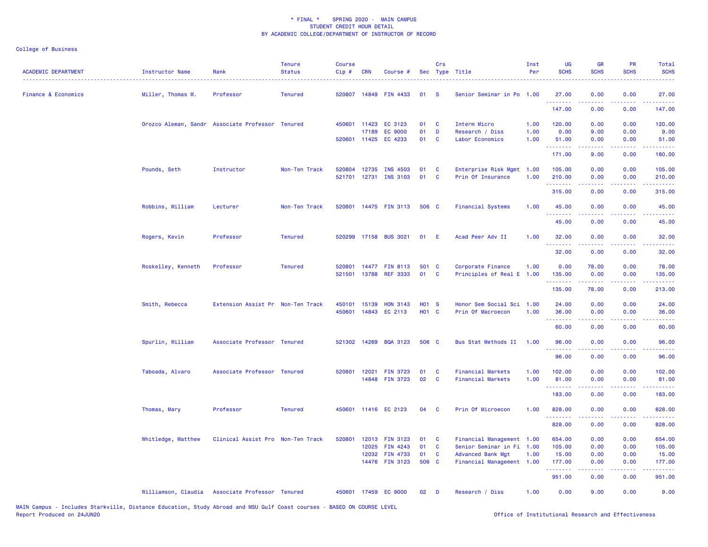| <b>ACADEMIC DEPARTMENT</b>     | Instructor Name    | Rank                                             | <b>Tenure</b><br><b>Status</b> | <b>Course</b><br>Cip# | CRN   | Course #              |              | Crs      | Sec Type Title            | Inst<br>Per | <b>UG</b><br><b>SCHS</b> | <b>GR</b><br><b>SCHS</b>                                                                                                                                     | <b>PR</b><br><b>SCHS</b>              | Total<br><b>SCHS</b>                                                                                                                                           |
|--------------------------------|--------------------|--------------------------------------------------|--------------------------------|-----------------------|-------|-----------------------|--------------|----------|---------------------------|-------------|--------------------------|--------------------------------------------------------------------------------------------------------------------------------------------------------------|---------------------------------------|----------------------------------------------------------------------------------------------------------------------------------------------------------------|
| <b>Finance &amp; Economics</b> | Miller, Thomas W.  | Professor                                        | <b>Tenured</b>                 |                       |       | 520807 14849 FIN 4433 | 01           | - S      | Senior Seminar in Po 1.00 |             | 27.00<br>.               | 0.00                                                                                                                                                         | 0.00<br><b><i><u><u>.</u></u></i></b> | 27.00<br><u>.</u>                                                                                                                                              |
|                                |                    |                                                  |                                |                       |       |                       |              |          |                           |             | 147.00                   | 0.00                                                                                                                                                         | 0.00                                  | 147.00                                                                                                                                                         |
|                                |                    | Orozco Aleman, Sandr Associate Professor Tenured |                                | 450601 11423          |       | EC 3123               | 01           | C        | Interm Micro              | 1.00        | 120.00                   | 0.00                                                                                                                                                         | 0.00                                  | 120.00                                                                                                                                                         |
|                                |                    |                                                  |                                |                       | 17189 | <b>EC 9000</b>        | 01           | D        | Research / Diss           | 1.00        | 0.00                     | 9.00                                                                                                                                                         | 0.00                                  | 9.00                                                                                                                                                           |
|                                |                    |                                                  |                                | 520601 11425          |       | EC 4233               | 01           | C        | Labor Economics           | 1.00        | 51.00<br>.               | 0.00<br>22222                                                                                                                                                | 0.00<br>.                             | 51.00<br>.                                                                                                                                                     |
|                                |                    |                                                  |                                |                       |       |                       |              |          |                           |             | 171.00                   | 9.00                                                                                                                                                         | 0.00                                  | 180.00                                                                                                                                                         |
|                                | Pounds, Seth       | Instructor                                       | Non-Ten Track                  | 520804                | 12735 | <b>INS 4503</b>       | 01           | C        | Enterprise Risk Mgmt      | 1.00        | 105.00                   | 0.00                                                                                                                                                         | 0.00                                  | 105.00                                                                                                                                                         |
|                                |                    |                                                  |                                | 521701                | 12731 | <b>INS 3103</b>       | 01           | C        | Prin Of Insurance         | 1.00        | 210.00<br>.              | 0.00                                                                                                                                                         | 0.00                                  | 210.00                                                                                                                                                         |
|                                |                    |                                                  |                                |                       |       |                       |              |          |                           |             | 315.00                   | 0.00                                                                                                                                                         | 0.00                                  | 315.00                                                                                                                                                         |
|                                | Robbins, William   | Lecturer                                         | Non-Ten Track                  |                       |       | 520801 14475 FIN 3113 | 506 C        |          | <b>Financial Systems</b>  | 1.00        | 45.00                    | 0.00                                                                                                                                                         | 0.00                                  | 45.00                                                                                                                                                          |
|                                |                    |                                                  |                                |                       |       |                       |              |          |                           |             | .<br>45.00               | 0.00                                                                                                                                                         | 0.00                                  | 45.00                                                                                                                                                          |
|                                | Rogers, Kevin      | Professor                                        | <b>Tenured</b>                 |                       |       | 520299 17158 BUS 3021 | 01           | -E       | Acad Peer Adv II          | 1.00        | 32.00                    | 0.00                                                                                                                                                         | 0.00                                  | 32.00                                                                                                                                                          |
|                                |                    |                                                  |                                |                       |       |                       |              |          |                           |             | .<br>32.00               | <u>.</u><br>0.00                                                                                                                                             | 0.00                                  | .<br>32.00                                                                                                                                                     |
|                                | Roskelley, Kenneth | Professor                                        | <b>Tenured</b>                 |                       |       | 520801 14477 FIN 8113 | 501 C        |          | Corporate Finance         | 1.00        | 0.00                     | 78.00                                                                                                                                                        | 0.00                                  | 78.00                                                                                                                                                          |
|                                |                    |                                                  |                                | 521501                | 13788 | <b>REF 3333</b>       | 01           | C        | Principles of Real E      | 1.00        | 135.00                   | 0.00                                                                                                                                                         | 0.00                                  | 135.00                                                                                                                                                         |
|                                |                    |                                                  |                                |                       |       |                       |              |          |                           |             | .<br>135.00              | .<br>78.00                                                                                                                                                   | .<br>0.00                             | والمواطنات لمارك<br>213.00                                                                                                                                     |
|                                | Smith, Rebecca     | Extension Assist Pr Non-Ten Track                |                                | 450101                | 15139 | <b>HON 3143</b>       | <b>HO1 S</b> |          | Honor Sem Social Sci 1.00 |             | 24.00                    | 0.00                                                                                                                                                         | 0.00                                  | 24.00                                                                                                                                                          |
|                                |                    |                                                  |                                |                       |       | 450601 14843 EC 2113  | H01 C        |          | Prin Of Macroecon         | 1.00        | 36.00                    | 0.00                                                                                                                                                         | 0.00                                  | 36.00                                                                                                                                                          |
|                                |                    |                                                  |                                |                       |       |                       |              |          |                           |             | .<br>60.00               | 0.00                                                                                                                                                         | 0.00                                  | .<br>60.00                                                                                                                                                     |
|                                |                    |                                                  |                                |                       |       |                       |              |          |                           |             |                          |                                                                                                                                                              |                                       |                                                                                                                                                                |
|                                | Spurlin, William   | Associate Professor Tenured                      |                                | 521302 14269          |       | <b>BQA 3123</b>       | 506 C        |          | Bus Stat Methods II       | 1.00        | 96.00<br>.               | 0.00                                                                                                                                                         | 0.00                                  | 96.00                                                                                                                                                          |
|                                |                    |                                                  |                                |                       |       |                       |              |          |                           |             | 96.00                    | 0.00                                                                                                                                                         | 0.00                                  | 96.00                                                                                                                                                          |
|                                | Taboada, Alvaro    | Associate Professor Tenured                      |                                | 520801 12021          |       | <b>FIN 3723</b>       | 01           | C        | <b>Financial Markets</b>  | 1.00        | 102.00                   | 0.00                                                                                                                                                         | 0.00                                  | 102.00                                                                                                                                                         |
|                                |                    |                                                  |                                |                       |       | 14848 FIN 3723        | 02           | C        | <b>Financial Markets</b>  | 1.00        | 81.00                    | 0.00                                                                                                                                                         | 0.00                                  | 81.00                                                                                                                                                          |
|                                |                    |                                                  |                                |                       |       |                       |              |          |                           |             | 183.00                   | $\frac{1}{2}$<br>0.00                                                                                                                                        | .<br>0.00                             | .<br>183.00                                                                                                                                                    |
|                                | Thomas, Mary       | Professor                                        | <b>Tenured</b>                 |                       |       | 450601 11416 EC 2123  | 04           | <b>C</b> | Prin Of Microecon         | 1.00        | 828.00                   | 0.00                                                                                                                                                         | 0.00                                  | 828.00                                                                                                                                                         |
|                                |                    |                                                  |                                |                       |       |                       |              |          |                           |             | .<br>828.00              | $\frac{1}{2} \left( \frac{1}{2} \right) \left( \frac{1}{2} \right) \left( \frac{1}{2} \right) \left( \frac{1}{2} \right) \left( \frac{1}{2} \right)$<br>0.00 | .<br>0.00                             | 2.2.2.2.2.<br>828.00                                                                                                                                           |
|                                | Whitledge, Matthew | Clinical Assist Pro Non-Ten Track                |                                | 520801                | 12013 | <b>FIN 3123</b>       | 01           | C        | Financial Management 1.00 |             | 654.00                   | 0.00                                                                                                                                                         | 0.00                                  | 654.00                                                                                                                                                         |
|                                |                    |                                                  |                                |                       | 12025 | <b>FIN 4243</b>       | 01           | C        | Senior Seminar in Fi 1.00 |             | 105.00                   | 0.00                                                                                                                                                         | 0.00                                  | 105.00                                                                                                                                                         |
|                                |                    |                                                  |                                |                       | 12032 | <b>FIN 4733</b>       | 01           | C        | <b>Advanced Bank Mgt</b>  | 1.00        | 15.00                    | 0.00                                                                                                                                                         | 0.00                                  | 15.00                                                                                                                                                          |
|                                |                    |                                                  |                                |                       |       | 14476 FIN 3123        | 506 C        |          | Financial Management 1.00 |             | 177.00<br>. <b>.</b>     | 0.00<br>-----                                                                                                                                                | 0.00<br>.                             | 177.00<br>$\frac{1}{2} \left( \frac{1}{2} \right) \left( \frac{1}{2} \right) \left( \frac{1}{2} \right) \left( \frac{1}{2} \right) \left( \frac{1}{2} \right)$ |
|                                |                    |                                                  |                                |                       |       |                       |              |          |                           |             | 951.00                   | 0.00                                                                                                                                                         | 0.00                                  | 951.00                                                                                                                                                         |
|                                |                    | Williamson, Claudia Associate Professor Tenured  |                                |                       |       | 450601 17459 EC 9000  | 02           | D        | Research / Diss           | 1.00        | 0.00                     | 9.00                                                                                                                                                         | 0.00                                  | 9.00                                                                                                                                                           |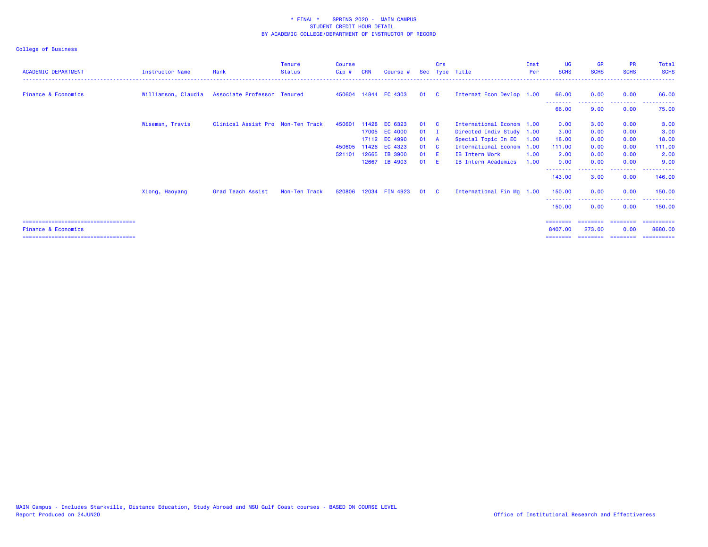| <b>ACADEMIC DEPARTMENT</b>            | <b>Instructor Name</b> | Rank                                            | <b>Tenure</b><br><b>Status</b> | <b>Course</b><br>$Cip$ # | <b>CRN</b> | Course #              |      | Crs          | Sec Type Title            | Inst<br><b>Per</b> | <b>UG</b><br><b>SCHS</b> | <b>GR</b><br><b>SCHS</b> | <b>PR</b><br><b>SCHS</b> | Total<br><b>SCHS</b> |
|---------------------------------------|------------------------|-------------------------------------------------|--------------------------------|--------------------------|------------|-----------------------|------|--------------|---------------------------|--------------------|--------------------------|--------------------------|--------------------------|----------------------|
| <b>Finance &amp; Economics</b>        |                        | Williamson, Claudia Associate Professor Tenured |                                |                          |            | 450604 14844 EC 4303  | 01 C |              | Internat Econ Devlop 1.00 |                    | 66.00                    | 0.00                     | 0.00                     | 66.00                |
|                                       |                        |                                                 |                                |                          |            |                       |      |              |                           |                    | 66.00                    | 9.00                     | 0.00                     | 75.00                |
|                                       | Wiseman, Travis        | Clinical Assist Pro Non-Ten Track               |                                | 450601                   |            | 11428 EC 6323         | 01 C |              | International Econom 1.00 |                    | 0.00                     | 3.00                     | 0.00                     | 3.00                 |
|                                       |                        |                                                 |                                |                          |            | 17005 EC 4000         | 01   | $\mathbf{I}$ | Directed Indiv Study 1.00 |                    | 3.00                     | 0.00                     | 0.00                     | 3.00                 |
|                                       |                        |                                                 |                                |                          |            | 17112 EC 4990         | 01 A |              | Special Topic In EC       | 1.00               | 18.00                    | 0.00                     | 0.00                     | 18.00                |
|                                       |                        |                                                 |                                | 450605                   |            | 11426 EC 4323         | 01   | $\mathbf{C}$ | International Econom      | 1.00               | 111.00                   | 0.00                     | 0.00                     | 111.00               |
|                                       |                        |                                                 |                                | 521101                   | 12665      | <b>IB 3900</b>        | 01   | - E          | IB Intern Work            | 1.00               | 2.00                     | 0.00                     | 0.00                     | 2.00                 |
|                                       |                        |                                                 |                                |                          | 12667      | IB 4903               | 01   | - E          | IB Intern Academics       | 1.00               | 9.00                     | 0.00                     | 0.00                     | 9.00                 |
|                                       |                        |                                                 |                                |                          |            |                       |      |              |                           |                    | 143.00                   | 3.00                     | 0.00                     | 146.00               |
|                                       | Xiong, Haoyang         | Grad Teach Assist                               | Non-Ten Track                  |                          |            | 520806 12034 FIN 4923 | 01 C |              | International Fin Mg 1.00 |                    | 150.00                   | 0.00                     | 0.00                     | 150.00               |
|                                       |                        |                                                 |                                |                          |            |                       |      |              |                           |                    | 150,00                   | 0.00                     | 0.00                     | 150.00               |
| ===================================== |                        |                                                 |                                |                          |            |                       |      |              |                           |                    | ========                 |                          |                          | =========            |
| <b>Finance &amp; Economics</b>        |                        |                                                 |                                |                          |            |                       |      |              |                           |                    | 8407.00                  | 273,00                   | 0.00                     | 8680,00              |
| ===================================== |                        |                                                 |                                |                          |            |                       |      |              |                           |                    | ========                 | ========                 | ---------                | ==========           |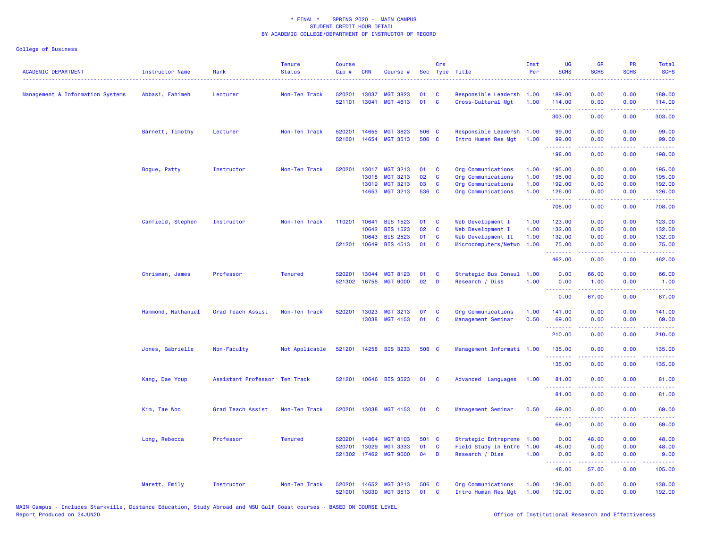| <b>ACADEMIC DEPARTMENT</b>       | Instructor Name    | Rank                          | <b>Tenure</b><br><b>Status</b> | Course<br>Cip# | <b>CRN</b>     | Course #        |             | Crs          | Sec Type Title            | Inst<br>Per | UG<br><b>SCHS</b>                                                                                                                                                                                                                                                                                                                                                                                                                                                                                | <b>GR</b><br><b>SCHS</b> | PR<br><b>SCHS</b>              | Total<br><b>SCHS</b>                                                                                                                                           |
|----------------------------------|--------------------|-------------------------------|--------------------------------|----------------|----------------|-----------------|-------------|--------------|---------------------------|-------------|--------------------------------------------------------------------------------------------------------------------------------------------------------------------------------------------------------------------------------------------------------------------------------------------------------------------------------------------------------------------------------------------------------------------------------------------------------------------------------------------------|--------------------------|--------------------------------|----------------------------------------------------------------------------------------------------------------------------------------------------------------|
| Management & Information Systems | Abbasi, Fahimeh    | Lecturer                      | Non-Ten Track                  | 520201         | 13037          | <b>MGT 3823</b> | 01          | - C          | Responsible Leadersh      | 1.00        | 189.00                                                                                                                                                                                                                                                                                                                                                                                                                                                                                           | 0.00                     | 0.00                           | 189.00                                                                                                                                                         |
|                                  |                    |                               |                                | 521101         | 13041          | <b>MGT 4613</b> | 01          | C            | Cross-Cultural Mgt        | 1.00        | 114.00<br>.                                                                                                                                                                                                                                                                                                                                                                                                                                                                                      | 0.00<br>.                | 0.00<br>.                      | 114.00<br>.                                                                                                                                                    |
|                                  |                    |                               |                                |                |                |                 |             |              |                           |             | 303.00                                                                                                                                                                                                                                                                                                                                                                                                                                                                                           | 0.00                     | 0.00                           | 303.00                                                                                                                                                         |
|                                  | Barnett, Timothy   | Lecturer                      | Non-Ten Track                  | 520201         | 14655          | <b>MGT 3823</b> | 506 C       |              | Responsible Leadersh      | 1.00        | 99.00                                                                                                                                                                                                                                                                                                                                                                                                                                                                                            | 0.00                     | 0.00                           | 99.00                                                                                                                                                          |
|                                  |                    |                               |                                | 521001         | 14654          | <b>MGT 3513</b> | 506 C       |              | Intro Human Res Mgt       | 1.00        | 99.00<br>222222                                                                                                                                                                                                                                                                                                                                                                                                                                                                                  | 0.00<br>.                | 0.00<br>$\omega$ is a $\omega$ | 99.00<br>المتمامين                                                                                                                                             |
|                                  |                    |                               |                                |                |                |                 |             |              |                           |             | 198.00                                                                                                                                                                                                                                                                                                                                                                                                                                                                                           | 0.00                     | 0.00                           | 198.00                                                                                                                                                         |
|                                  | Bogue, Patty       | Instructor                    | Non-Ten Track                  | 520201         | 13017          | <b>MGT 3213</b> | 01          | C            | Org Communications        | 1.00        | 195.00                                                                                                                                                                                                                                                                                                                                                                                                                                                                                           | 0.00                     | 0.00                           | 195.00                                                                                                                                                         |
|                                  |                    |                               |                                |                | 13018          | <b>MGT 3213</b> | 02          | C            | Org Communications        | 1.00        | 195.00                                                                                                                                                                                                                                                                                                                                                                                                                                                                                           | 0.00                     | 0.00                           | 195.00                                                                                                                                                         |
|                                  |                    |                               |                                |                | 13019<br>14653 | <b>MGT 3213</b> | 03<br>536 C | C            | Org Communications        | 1.00        | 192.00                                                                                                                                                                                                                                                                                                                                                                                                                                                                                           | 0.00                     | 0.00<br>0.00                   | 192.00                                                                                                                                                         |
|                                  |                    |                               |                                |                |                | MGT 3213        |             |              | Org Communications        | 1.00        | 126.00<br>$\begin{array}{cccccccccc} \multicolumn{2}{c}{} & \multicolumn{2}{c}{} & \multicolumn{2}{c}{} & \multicolumn{2}{c}{} & \multicolumn{2}{c}{} & \multicolumn{2}{c}{} & \multicolumn{2}{c}{} & \multicolumn{2}{c}{} & \multicolumn{2}{c}{} & \multicolumn{2}{c}{} & \multicolumn{2}{c}{} & \multicolumn{2}{c}{} & \multicolumn{2}{c}{} & \multicolumn{2}{c}{} & \multicolumn{2}{c}{} & \multicolumn{2}{c}{} & \multicolumn{2}{c}{} & \multicolumn{2}{c}{} & \multicolumn{2}{c}{} & \mult$ | 0.00<br>.                | د د د د .                      | 126.00<br>$\frac{1}{2} \left( \frac{1}{2} \right) \left( \frac{1}{2} \right) \left( \frac{1}{2} \right) \left( \frac{1}{2} \right) \left( \frac{1}{2} \right)$ |
|                                  |                    |                               |                                |                |                |                 |             |              |                           |             | 708.00                                                                                                                                                                                                                                                                                                                                                                                                                                                                                           | 0.00                     | 0.00                           | 708.00                                                                                                                                                         |
|                                  | Canfield, Stephen  | Instructor                    | Non-Ten Track                  | 110201         | 10641          | <b>BIS 1523</b> | 01          | C            | Web Development I         | 1.00        | 123.00                                                                                                                                                                                                                                                                                                                                                                                                                                                                                           | 0.00                     | 0.00                           | 123.00                                                                                                                                                         |
|                                  |                    |                               |                                |                | 10642          | <b>BIS 1523</b> | 02          | $\mathbf{C}$ | Web Development I         | 1.00        | 132.00                                                                                                                                                                                                                                                                                                                                                                                                                                                                                           | 0.00                     | 0.00                           | 132.00                                                                                                                                                         |
|                                  |                    |                               |                                |                | 10643          | <b>BIS 2523</b> | 01          | C            | Web Development II        | 1.00        | 132.00                                                                                                                                                                                                                                                                                                                                                                                                                                                                                           | 0.00                     | 0.00                           | 132.00                                                                                                                                                         |
|                                  |                    |                               |                                | 521201         | 10649          | <b>BIS 4513</b> | 01          | C            | Microcomputers/Netwo      | 1.00        | 75.00<br>.                                                                                                                                                                                                                                                                                                                                                                                                                                                                                       | 0.00<br>.                | 0.00<br>ت با با با             | 75.00<br>222223                                                                                                                                                |
|                                  |                    |                               |                                |                |                |                 |             |              |                           |             | 462.00                                                                                                                                                                                                                                                                                                                                                                                                                                                                                           | 0.00                     | 0.00                           | 462.00                                                                                                                                                         |
|                                  | Chrisman, James    | Professor                     | <b>Tenured</b>                 | 520201         | 13044          | <b>MGT 8123</b> | 01          | C            | Strategic Bus Consul      | 1.00        | 0.00                                                                                                                                                                                                                                                                                                                                                                                                                                                                                             | 66.00                    | 0.00                           | 66.00                                                                                                                                                          |
|                                  |                    |                               |                                | 521302         | 16756          | <b>MGT 9000</b> | 02          | D            | Research / Diss           | 1.00        | 0.00<br>.                                                                                                                                                                                                                                                                                                                                                                                                                                                                                        | 1.00                     | 0.00                           | 1.00                                                                                                                                                           |
|                                  |                    |                               |                                |                |                |                 |             |              |                           |             | 0.00                                                                                                                                                                                                                                                                                                                                                                                                                                                                                             | 67.00                    | 0.00                           | 67.00                                                                                                                                                          |
|                                  | Hammond, Nathaniel | Grad Teach Assist             | Non-Ten Track                  | 520201         | 13023          | MGT 3213        | 07          | C            | Org Communications        | 1.00        | 141.00                                                                                                                                                                                                                                                                                                                                                                                                                                                                                           | 0.00                     | 0.00                           | 141.00                                                                                                                                                         |
|                                  |                    |                               |                                |                |                | 13038 MGT 4153  | 01          | C            | Management Seminar        | 0.50        | 69.00                                                                                                                                                                                                                                                                                                                                                                                                                                                                                            | 0.00                     | 0.00                           | 69.00                                                                                                                                                          |
|                                  |                    |                               |                                |                |                |                 |             |              |                           |             | <u>.</u><br>210.00                                                                                                                                                                                                                                                                                                                                                                                                                                                                               | <u>.</u><br>0.00         | .<br>0.00                      | .<br>210.00                                                                                                                                                    |
|                                  | Jones, Gabrielle   | Non-Faculty                   | Not Applicable                 | 521201         |                | 14258 BIS 3233  | 506 C       |              | Management Informati 1.00 |             | 135.00                                                                                                                                                                                                                                                                                                                                                                                                                                                                                           | 0.00                     | 0.00<br><b>.</b>               | 135.00<br>.                                                                                                                                                    |
|                                  |                    |                               |                                |                |                |                 |             |              |                           |             | $\frac{1}{2} \left( \frac{1}{2} \right) \left( \frac{1}{2} \right) \left( \frac{1}{2} \right) \left( \frac{1}{2} \right) \left( \frac{1}{2} \right) \left( \frac{1}{2} \right)$<br>135.00                                                                                                                                                                                                                                                                                                        | 0.00                     | 0.00                           | 135.00                                                                                                                                                         |
|                                  | Kang, Dae Youp     | Assistant Professor Ten Track |                                | 521201         |                | 10646 BIS 3523  | 01          | <b>C</b>     | Advanced Languages        | 1.00        | 81.00                                                                                                                                                                                                                                                                                                                                                                                                                                                                                            | 0.00                     | 0.00                           | 81.00                                                                                                                                                          |
|                                  |                    |                               |                                |                |                |                 |             |              |                           |             | .<br>81.00                                                                                                                                                                                                                                                                                                                                                                                                                                                                                       | 0.00                     | $- - - -$<br>0.00              | .<br>81.00                                                                                                                                                     |
|                                  | Kim, Tae Woo       | Grad Teach Assist             | Non-Ten Track                  | 520201         | 13038          | <b>MGT 4153</b> | 01          | C            | Management Seminar        | 0.50        | 69.00                                                                                                                                                                                                                                                                                                                                                                                                                                                                                            | 0.00                     | 0.00                           | 69.00                                                                                                                                                          |
|                                  |                    |                               |                                |                |                |                 |             |              |                           |             | <b></b><br>69.00                                                                                                                                                                                                                                                                                                                                                                                                                                                                                 | 0.00                     | 0.00                           | 69.00                                                                                                                                                          |
|                                  | Long, Rebecca      | Professor                     | <b>Tenured</b>                 | 520201         | 14864          | <b>MGT 8103</b> | 501 C       |              | Strategic Entreprene 1.00 |             | 0.00                                                                                                                                                                                                                                                                                                                                                                                                                                                                                             | 48.00                    | 0.00                           | 48.00                                                                                                                                                          |
|                                  |                    |                               |                                | 520701         | 13029          | <b>MGT 3333</b> | 01          | $\mathbf{C}$ | Field Study In Entre      | 1.00        | 48.00                                                                                                                                                                                                                                                                                                                                                                                                                                                                                            | 0.00                     | 0.00                           | 48.00                                                                                                                                                          |
|                                  |                    |                               |                                | 521302         | 17462          | <b>MGT 9000</b> | 04          | D            | Research / Diss           | 1.00        | 0.00<br>.                                                                                                                                                                                                                                                                                                                                                                                                                                                                                        | 9.00<br>.                | 0.00<br>د د د د                | 9.00                                                                                                                                                           |
|                                  |                    |                               |                                |                |                |                 |             |              |                           |             | 48.00                                                                                                                                                                                                                                                                                                                                                                                                                                                                                            | 57.00                    | 0.00                           | 105.00                                                                                                                                                         |
|                                  | Marett, Emily      | Instructor                    | Non-Ten Track                  | 520201         | 14652          | <b>MGT 3213</b> | 506 C       |              | Org Communications        | 1.00        | 138.00                                                                                                                                                                                                                                                                                                                                                                                                                                                                                           | 0.00                     | 0.00                           | 138.00                                                                                                                                                         |
|                                  |                    |                               |                                | 521001         | 13030          | <b>MGT 3513</b> | 01          | <b>C</b>     | Intro Human Res Mgt       | 1.00        | 192.00                                                                                                                                                                                                                                                                                                                                                                                                                                                                                           | 0.00                     | 0.00                           | 192.00                                                                                                                                                         |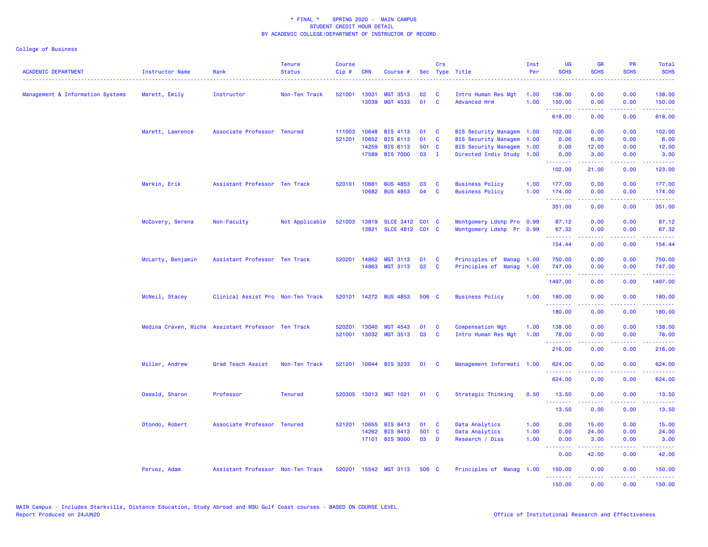| <b>ACADEMIC DEPARTMENT</b><br>------------------------------------ | Instructor Name   | Rank                                               | <b>Tenure</b><br><b>Status</b> | <b>Course</b><br>Cip# | <b>CRN</b>   | Course #              |           | Crs                     | Sec Type Title                     | Inst<br>Per | <b>UG</b><br><b>SCHS</b> | <b>GR</b><br><b>SCHS</b>                                                                                                                                     | PR<br><b>SCHS</b> | Total<br><b>SCHS</b>                        |
|--------------------------------------------------------------------|-------------------|----------------------------------------------------|--------------------------------|-----------------------|--------------|-----------------------|-----------|-------------------------|------------------------------------|-------------|--------------------------|--------------------------------------------------------------------------------------------------------------------------------------------------------------|-------------------|---------------------------------------------|
| Management & Information Systems                                   | Marett, Emily     | Instructor                                         | Non-Ten Track                  | 521001                | 13031        | <b>MGT 3513</b>       | 02        | <b>C</b>                | Intro Human Res Mgt                | 1.00        | 138.00                   | 0.00                                                                                                                                                         | 0.00              | 138.00                                      |
|                                                                    |                   |                                                    |                                |                       | 13039        | <b>MGT 4533</b>       | 01        | $\mathbf{C}$            | <b>Advanced Hrm</b>                | 1.00        | 150.00<br>.              | 0.00<br>$\frac{1}{2} \left( \frac{1}{2} \right) \left( \frac{1}{2} \right) \left( \frac{1}{2} \right) \left( \frac{1}{2} \right) \left( \frac{1}{2} \right)$ | 0.00<br>.         | 150.00<br>.                                 |
|                                                                    |                   |                                                    |                                |                       |              |                       |           |                         |                                    |             | 618.00                   | 0.00                                                                                                                                                         | 0.00              | 618.00                                      |
|                                                                    | Marett, Lawrence  | Associate Professor Tenured                        |                                | 111003                | 10648        | <b>BIS 4113</b>       | 01        | <b>C</b>                | BIS Security Managem 1.00          |             | 102.00                   | 0.00                                                                                                                                                         | 0.00              | 102.00                                      |
|                                                                    |                   |                                                    |                                | 521201                | 10652        | <b>BIS 6113</b>       | 01        | $\mathbf{C}$            | BIS Security Managem 1.00          |             | 0.00                     | 6.00                                                                                                                                                         | 0.00              | 6.00                                        |
|                                                                    |                   |                                                    |                                |                       | 14259        | <b>BIS 6113</b>       | 501 C     |                         | BIS Security Managem 1.00          |             | 0.00                     | 12.00                                                                                                                                                        | 0.00              | 12.00                                       |
|                                                                    |                   |                                                    |                                |                       | 17589        | <b>BIS 7000</b>       | 03        | $\mathbf I$             | Directed Indiv Study 1.00          |             | 0.00<br>.                | 3.00                                                                                                                                                         | 0.00              | 3.00                                        |
|                                                                    |                   |                                                    |                                |                       |              |                       |           |                         |                                    |             | 102.00                   | 21.00                                                                                                                                                        | 0.00              | 123.00                                      |
|                                                                    | Markin, Erik      | Assistant Professor Ten Track                      |                                |                       | 520101 10681 | <b>BUS 4853</b>       | 03        | <b>C</b>                | <b>Business Policy</b>             | 1.00        | 177.00                   | 0.00                                                                                                                                                         | 0.00              | 177.00                                      |
|                                                                    |                   |                                                    |                                |                       | 10682        | <b>BUS 4853</b>       | 04        | <b>C</b>                | <b>Business Policy</b>             | 1.00        | 174,00<br>.              | 0.00                                                                                                                                                         | 0.00              | 174.00                                      |
|                                                                    |                   |                                                    |                                |                       |              |                       |           |                         |                                    |             | 351.00                   | 0.00                                                                                                                                                         | 0.00              | 351.00                                      |
|                                                                    | McCovery, Serena  | Non-Faculty                                        | Not Applicable                 | 521003                | 13819        | <b>SLCE 3412</b>      | $CO1$ $C$ |                         | Montgomery Ldshp Pro 0.99          |             | 87.12                    | 0.00                                                                                                                                                         | 0.00              | 87.12                                       |
|                                                                    |                   |                                                    |                                |                       |              | 13821 SLCE 4812 C01 C |           |                         | Montgomery Ldshp Pr 0.99           |             | 67.32                    | 0.00                                                                                                                                                         | 0.00              | 67.32                                       |
|                                                                    |                   |                                                    |                                |                       |              |                       |           |                         |                                    |             | .<br>154.44              | $\frac{1}{2} \left( \frac{1}{2} \right) \left( \frac{1}{2} \right) \left( \frac{1}{2} \right) \left( \frac{1}{2} \right) \left( \frac{1}{2} \right)$<br>0.00 | .<br>0.00         | <b><i><u><u>AAAAA</u></u></i></b><br>154.44 |
|                                                                    | McLarty, Benjamin | Assistant Professor Ten Track                      |                                | 520201                | 14862        | <b>MGT 3113</b>       | 01        | <b>C</b>                | Principles of<br><b>Manag</b> 1.00 |             | 750.00                   | 0.00                                                                                                                                                         | 0.00              | 750.00                                      |
|                                                                    |                   |                                                    |                                |                       | 14863        | <b>MGT 3113</b>       | 02        | $\mathbf{C}$            | Principles of Manag 1.00           |             | 747.00                   | 0.00                                                                                                                                                         | 0.00              | 747.00                                      |
|                                                                    |                   |                                                    |                                |                       |              |                       |           |                         |                                    |             | . <u>.</u> .<br>1497.00  | 0.00                                                                                                                                                         | 0.00              | 1497.00                                     |
|                                                                    | McNeil, Stacey    | Clinical Assist Pro Non-Ten Track                  |                                |                       |              | 520101 14272 BUS 4853 | 506 C     |                         | <b>Business Policy</b>             | 1.00        | 180.00                   | 0.00                                                                                                                                                         | 0.00              | 180.00                                      |
|                                                                    |                   |                                                    |                                |                       |              |                       |           |                         |                                    |             | .<br>180.00              | 0.00                                                                                                                                                         | 0.00              | 180.00                                      |
|                                                                    |                   |                                                    |                                |                       |              |                       |           |                         |                                    |             |                          |                                                                                                                                                              |                   |                                             |
|                                                                    |                   | Medina Craven, Miche Assistant Professor Ten Track |                                | 520201                | 13040        | MGT 4543              | 01        | C                       | <b>Compensation Mgt</b>            | 1.00        | 138.00                   | 0.00                                                                                                                                                         | 0.00              | 138.00                                      |
|                                                                    |                   |                                                    |                                | 521001                | 13032        | <b>MGT 3513</b>       | 03        | $\mathbf{C}$            | Intro Human Res Mgt                | 1.00        | 78.00<br>.               | 0.00                                                                                                                                                         | 0.00              | 78.00                                       |
|                                                                    |                   |                                                    |                                |                       |              |                       |           |                         |                                    |             | 216.00                   | 0.00                                                                                                                                                         | 0.00              | 216.00                                      |
|                                                                    | Miller, Andrew    | Grad Teach Assist                                  | Non-Ten Track                  |                       |              | 521201 10644 BIS 3233 | 01 C      |                         | Management Informati 1.00          |             | 624.00<br><u>.</u>       | 0.00                                                                                                                                                         | 0.00              | 624.00                                      |
|                                                                    |                   |                                                    |                                |                       |              |                       |           |                         |                                    |             | 624.00                   | 0.00                                                                                                                                                         | 0.00              | 624.00                                      |
|                                                                    | Oswald, Sharon    | Professor                                          | <b>Tenured</b>                 |                       |              | 520305 13013 MGT 1021 | 01        | $\mathbf{C}$            | Strategic Thinking                 | 0.50        | 13.50                    | 0.00                                                                                                                                                         | 0.00              | 13.50                                       |
|                                                                    |                   |                                                    |                                |                       |              |                       |           |                         |                                    |             | .<br>13.50               | 0.00                                                                                                                                                         | 0.00              | 13.50                                       |
|                                                                    | Otondo, Robert    | Associate Professor Tenured                        |                                |                       | 521201 10655 | <b>BIS 8413</b>       | 01        | $\overline{\mathbf{C}}$ | Data Analytics                     | 1.00        | 0.00                     | 15.00                                                                                                                                                        | 0.00              | 15.00                                       |
|                                                                    |                   |                                                    |                                |                       | 14262        | <b>BIS 8413</b>       | 501 C     |                         | Data Analytics                     | 1.00        | 0.00                     | 24.00                                                                                                                                                        | 0.00              | 24.00                                       |
|                                                                    |                   |                                                    |                                |                       |              | 17101 BIS 9000        | 03        | D                       | Research / Diss                    | 1.00        | 0.00                     | 3.00                                                                                                                                                         | 0.00              | 3.00                                        |
|                                                                    |                   |                                                    |                                |                       |              |                       |           |                         |                                    |             | 0.00                     | 42.00                                                                                                                                                        | 0.00              | 42.00                                       |
|                                                                    | Pervez, Adam      | Assistant Professor Non-Ten Track                  |                                |                       |              | 520201 15542 MGT 3113 | 506 C     |                         | Principles of Manag 1.00           |             | 150.00<br>. <u>.</u> .   | 0.00                                                                                                                                                         | 0.00              | 150.00                                      |
|                                                                    |                   |                                                    |                                |                       |              |                       |           |                         |                                    |             | 150.00                   | 0.00                                                                                                                                                         | 0.00              | 150.00                                      |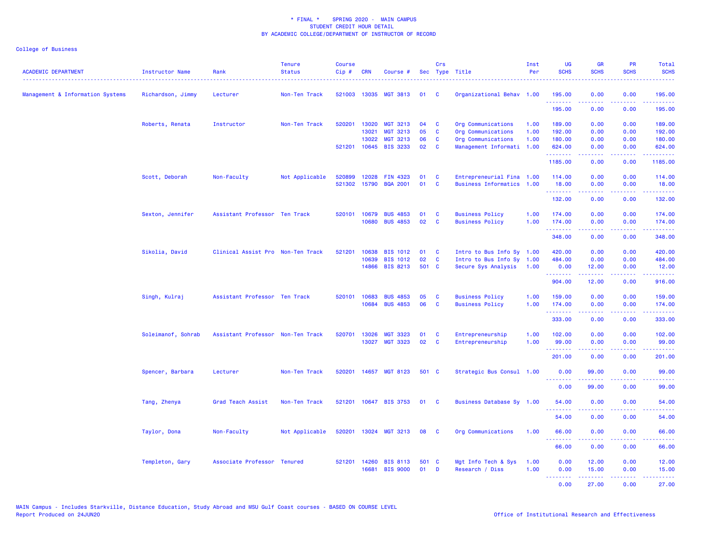| <b>ACADEMIC DEPARTMENT</b>       | <b>Instructor Name</b><br><u>.</u> | Rank                              | <b>Tenure</b><br><b>Status</b> | <b>Course</b><br>Cip# | <b>CRN</b>   | Course #              |       | Crs      | Sec Type Title            | Inst<br>Per | <b>UG</b><br><b>SCHS</b>                           | <b>GR</b><br><b>SCHS</b> | <b>PR</b><br><b>SCHS</b> | Total<br><b>SCHS</b>                                                                       |
|----------------------------------|------------------------------------|-----------------------------------|--------------------------------|-----------------------|--------------|-----------------------|-------|----------|---------------------------|-------------|----------------------------------------------------|--------------------------|--------------------------|--------------------------------------------------------------------------------------------|
| Management & Information Systems | Richardson, Jimmy                  | Lecturer                          | Non-Ten Track                  |                       | 521003 13035 | <b>MGT 3813</b>       | 01    | C        | Organizational Behav 1.00 |             | 195.00<br>.                                        | 0.00<br>.                | 0.00<br>$   -$           | 195.00<br><u>.</u>                                                                         |
|                                  |                                    |                                   |                                |                       |              |                       |       |          |                           |             | 195.00                                             | 0.00                     | 0.00                     | 195.00                                                                                     |
|                                  | Roberts, Renata                    | Instructor                        | Non-Ten Track                  | 520201                | 13020        | <b>MGT 3213</b>       | 04    | C        | Org Communications        | 1.00        | 189.00                                             | 0.00                     | 0.00                     | 189.00                                                                                     |
|                                  |                                    |                                   |                                |                       | 13021        | <b>MGT 3213</b>       | 05    | C        | Org Communications        | 1.00        | 192.00                                             | 0.00                     | 0.00                     | 192.00                                                                                     |
|                                  |                                    |                                   |                                |                       | 13022        | <b>MGT 3213</b>       | 06    | <b>C</b> | Org Communications        | 1.00        | 180.00                                             | 0.00                     | 0.00                     | 180.00                                                                                     |
|                                  |                                    |                                   |                                |                       |              | 521201 10645 BIS 3233 | 02    | C        | Management Informati 1.00 |             | 624.00<br>.                                        | 0.00<br>.                | 0.00<br>د د د د          | 624.00<br>.                                                                                |
|                                  |                                    |                                   |                                |                       |              |                       |       |          |                           |             | 1185.00                                            | 0.00                     | 0.00                     | 1185.00                                                                                    |
|                                  | Scott, Deborah                     | Non-Faculty                       | Not Applicable                 | 520899                | 12028        | <b>FIN 4323</b>       | 01    | C        | Entrepreneurial Fina 1.00 |             | 114.00                                             | 0.00                     | 0.00                     | 114.00                                                                                     |
|                                  |                                    |                                   |                                | 521302                | 15790        | <b>BQA 2001</b>       | 01    | C        | Business Informatics 1.00 |             | 18.00<br>.                                         | 0.00<br>.                | 0.00<br>.                | 18.00<br>والموالي الموالي                                                                  |
|                                  |                                    |                                   |                                |                       |              |                       |       |          |                           |             | 132.00                                             | 0.00                     | 0.00                     | 132.00                                                                                     |
|                                  | Sexton, Jennifer                   | Assistant Professor Ten Track     |                                | 520101                | 10679        | <b>BUS 4853</b>       | 01    | C        | <b>Business Policy</b>    | 1.00        | 174.00                                             | 0.00                     | 0.00                     | 174.00                                                                                     |
|                                  |                                    |                                   |                                |                       |              | 10680 BUS 4853        | 02    | C        | <b>Business Policy</b>    | 1.00        | 174.00<br><u>.</u>                                 | 0.00<br>.                | 0.00<br>.                | 174.00<br>2.2222                                                                           |
|                                  |                                    |                                   |                                |                       |              |                       |       |          |                           |             | 348.00                                             | 0.00                     | 0.00                     | 348.00                                                                                     |
|                                  | Sikolia, David                     | Clinical Assist Pro Non-Ten Track |                                | 521201                | 10638        | <b>BIS 1012</b>       | 01    | C        | Intro to Bus Info Sy 1.00 |             | 420.00                                             | 0.00                     | 0.00                     | 420.00                                                                                     |
|                                  |                                    |                                   |                                |                       | 10639        | <b>BIS 1012</b>       | 02    | <b>C</b> | Intro to Bus Info Sy 1.00 |             | 484.00                                             | 0.00                     | 0.00                     | 484.00                                                                                     |
|                                  |                                    |                                   |                                |                       |              | 14866 BIS 8213        | 501 C |          | Secure Sys Analysis       | 1.00        | 0.00<br>.                                          | 12.00<br>22222           | 0.00<br>د د د د          | 12.00<br>.                                                                                 |
|                                  |                                    |                                   |                                |                       |              |                       |       |          |                           |             | 904.00                                             | 12.00                    | 0.00                     | 916.00                                                                                     |
|                                  | Singh, Kulraj                      | Assistant Professor Ten Track     |                                |                       | 520101 10683 | <b>BUS 4853</b>       | 05    | C        | <b>Business Policy</b>    | 1.00        | 159.00                                             | 0.00                     | 0.00                     | 159.00                                                                                     |
|                                  |                                    |                                   |                                |                       | 10684        | <b>BUS 4853</b>       | 06    | C        | <b>Business Policy</b>    | 1.00        | 174.00<br>.                                        | 0.00<br>.                | 0.00<br>.                | 174.00<br>$\mathbf{1} \cdot \mathbf{1} \cdot \mathbf{1} \cdot \mathbf{1} \cdot \mathbf{1}$ |
|                                  |                                    |                                   |                                |                       |              |                       |       |          |                           |             | 333.00                                             | 0.00                     | 0.00                     | 333.00                                                                                     |
|                                  | Soleimanof, Sohrab                 | Assistant Professor Non-Ten Track |                                | 520701                | 13026        | <b>MGT 3323</b>       | 01    | C        | Entrepreneurship          | 1.00        | 102.00                                             | 0.00                     | 0.00                     | 102.00                                                                                     |
|                                  |                                    |                                   |                                |                       |              | 13027 MGT 3323        | 02    | C        | Entrepreneurship          | 1.00        | 99.00                                              | 0.00                     | 0.00                     | 99.00                                                                                      |
|                                  |                                    |                                   |                                |                       |              |                       |       |          |                           |             | .<br>201.00                                        | -----<br>0.00            | .<br>0.00                | والموالي الموالي<br>201.00                                                                 |
|                                  | Spencer, Barbara                   | Lecturer                          | Non-Ten Track                  | 520201                |              | 14657 MGT 8123        | 501 C |          | Strategic Bus Consul 1.00 |             | 0.00                                               | 99.00                    | 0.00                     | 99.00                                                                                      |
|                                  |                                    |                                   |                                |                       |              |                       |       |          |                           |             | <b></b>                                            | المستمالات               | .                        | .                                                                                          |
|                                  |                                    |                                   |                                |                       |              |                       |       |          |                           |             | 0.00                                               | 99.00                    | 0.00                     | 99.00                                                                                      |
|                                  | Tang, Zhenya                       | Grad Teach Assist                 | Non-Ten Track                  | 521201                |              | 10647 BIS 3753        | 01    | <b>C</b> | Business Database Sy 1.00 |             | 54.00                                              | 0.00                     | 0.00                     | 54.00                                                                                      |
|                                  |                                    |                                   |                                |                       |              |                       |       |          |                           |             | 54.00                                              | 0.00                     | 0.00                     | 54.00                                                                                      |
|                                  | Taylor, Dona                       | Non-Faculty                       | Not Applicable                 | 520201                | 13024        | <b>MGT 3213</b>       | 08    | C        | Org Communications        | 1.00        | 66.00<br><u> - - - - - - - -</u>                   | 0.00                     | 0.00                     | 66.00<br>.                                                                                 |
|                                  |                                    |                                   |                                |                       |              |                       |       |          |                           |             | 66.00                                              | 0.00                     | 0.00                     | 66.00                                                                                      |
|                                  | Templeton, Gary                    | Associate Professor Tenured       |                                | 521201                | 14260        | <b>BIS 8113</b>       | 501   | - C      | Mgt Info Tech & Sys       | 1.00        | 0.00                                               | 12.00                    | 0.00                     | 12.00                                                                                      |
|                                  |                                    |                                   |                                |                       | 16681        | <b>BIS 9000</b>       | 01    | D        | Research / Diss           | 1.00        | 0.00                                               | 15.00                    | 0.00                     | 15.00                                                                                      |
|                                  |                                    |                                   |                                |                       |              |                       |       |          |                           |             | <b><i><u><u> - - - - - - -</u></u></i></b><br>0.00 | .<br>27,00               | .<br>0.00                | .<br>27.00                                                                                 |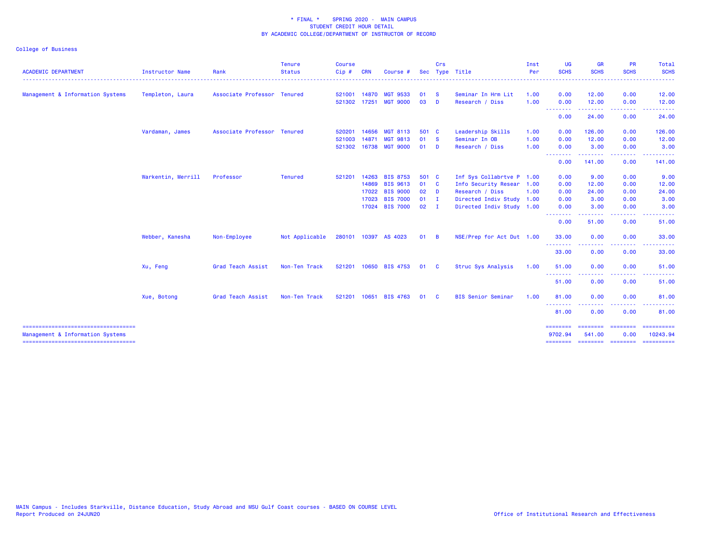| <b>ACADEMIC DEPARTMENT</b>                                                | Instructor Name    | Rank                        | <b>Tenure</b><br><b>Status</b> | <b>Course</b><br>Cip#  | <b>CRN</b> | <b>Course</b>                      | <b>Sec</b>   | Crs               | Type Title                            | Inst<br>Per  | <b>UG</b><br><b>SCHS</b>                                                                                                  | <b>GR</b><br><b>SCHS</b> | <b>PR</b><br><b>SCHS</b>                                                                                                                                     | Total<br><b>SCHS</b> |
|---------------------------------------------------------------------------|--------------------|-----------------------------|--------------------------------|------------------------|------------|------------------------------------|--------------|-------------------|---------------------------------------|--------------|---------------------------------------------------------------------------------------------------------------------------|--------------------------|--------------------------------------------------------------------------------------------------------------------------------------------------------------|----------------------|
|                                                                           |                    | Associate Professor Tenured |                                |                        |            |                                    |              |                   |                                       |              | $\frac{1}{2} \left( \frac{1}{2} \right) \left( \frac{1}{2} \right) \left( \frac{1}{2} \right) \left( \frac{1}{2} \right)$ | 12.00                    | 0.00                                                                                                                                                         | .                    |
| Management & Information Systems                                          | Templeton, Laura   |                             |                                | 521001 14870<br>521302 | 17251      | <b>MGT 9533</b><br><b>MGT 9000</b> | 01<br>03     | $\mathbf{s}$<br>D | Seminar In Hrm Lit<br>Research / Diss | 1.00<br>1.00 | 0.00<br>0.00                                                                                                              | 12.00                    | 0.00                                                                                                                                                         | 12.00<br>12.00       |
|                                                                           |                    |                             |                                |                        |            |                                    |              |                   |                                       |              | .<br>0.00                                                                                                                 | -----<br>24.00           | 0.00                                                                                                                                                         | 24.00                |
|                                                                           | Vardaman, James    | Associate Professor Tenured |                                | 520201                 | 14656      | <b>MGT 8113</b>                    | 501 C        |                   | Leadership Skills                     | 1.00         | 0.00                                                                                                                      | 126.00                   | 0.00                                                                                                                                                         | 126.00               |
|                                                                           |                    |                             |                                | 521003                 | 14871      | <b>MGT 9813</b>                    | 01           | <b>S</b>          | Seminar In OB                         | 1.00         | 0.00                                                                                                                      | 12.00                    | 0.00                                                                                                                                                         | 12.00                |
|                                                                           |                    |                             |                                | 521302 16738           |            | <b>MGT 9000</b>                    | $01$ D       |                   | Research / Diss                       | 1.00         | 0.00                                                                                                                      | 3.00                     | 0.00                                                                                                                                                         | 3.00                 |
|                                                                           |                    |                             |                                |                        |            |                                    |              |                   |                                       |              | --------<br>0.00                                                                                                          | --------<br>141.00       | .<br>0.00                                                                                                                                                    | 141.00               |
|                                                                           | Warkentin, Merrill | Professor                   | <b>Tenured</b>                 | 521201                 | 14263      | <b>BIS 8753</b>                    | 501 C        |                   | Inf Sys Collabrtve P 1.00             |              | 0.00                                                                                                                      | 9.00                     | 0.00                                                                                                                                                         | 9.00                 |
|                                                                           |                    |                             |                                |                        | 14869      | <b>BIS 9613</b>                    | 01 C         |                   | Info Security Resear 1.00             |              | 0.00                                                                                                                      | 12.00                    | 0.00                                                                                                                                                         | 12.00                |
|                                                                           |                    |                             |                                |                        | 17022      | <b>BIS 9000</b>                    | $02$ D       |                   | Research / Diss                       | 1.00         | 0.00                                                                                                                      | 24.00                    | 0.00                                                                                                                                                         | 24.00                |
|                                                                           |                    |                             |                                |                        | 17023      | <b>BIS 7000</b>                    | $01$ I       |                   | Directed Indiv Study 1.00             |              | 0.00                                                                                                                      | 3.00                     | 0.00                                                                                                                                                         | 3.00                 |
|                                                                           |                    |                             |                                |                        | 17024      | <b>BIS 7000</b>                    | 02           | - 1               | Directed Indiv Study 1.00             |              | 0.00<br>.                                                                                                                 | 3.00<br>.                | 0.00<br>.                                                                                                                                                    | 3.00                 |
|                                                                           |                    |                             |                                |                        |            |                                    |              |                   |                                       |              | 0.00                                                                                                                      | 51.00                    | 0.00                                                                                                                                                         | 51.00                |
|                                                                           | Webber, Kanesha    | Non-Employee                | Not Applicable                 |                        |            | 280101 10397 AS 4023               | $01 \quad B$ |                   | NSE/Prep for Act Dut 1.00             |              | 33.00                                                                                                                     | 0.00                     | 0.00                                                                                                                                                         | 33.00                |
|                                                                           |                    |                             |                                |                        |            |                                    |              |                   |                                       |              | .<br>33.00                                                                                                                | .<br>0.00                | $\frac{1}{2} \left( \frac{1}{2} \right) \left( \frac{1}{2} \right) \left( \frac{1}{2} \right) \left( \frac{1}{2} \right) \left( \frac{1}{2} \right)$<br>0.00 | .<br>33.00           |
|                                                                           | Xu, Feng           | Grad Teach Assist           | Non-Ten Track                  |                        |            | 521201 10650 BIS 4753              | 01           | $\mathbf{C}$      | Struc Sys Analysis                    | 1.00         | 51.00                                                                                                                     | 0.00                     | 0.00                                                                                                                                                         | 51.00                |
|                                                                           |                    |                             |                                |                        |            |                                    |              |                   |                                       |              | .<br>51.00                                                                                                                | .<br>0.00                | .<br>0.00                                                                                                                                                    | .<br>51.00           |
|                                                                           | Xue, Botong        | Grad Teach Assist           | Non-Ten Track                  | 521201                 | 10651      | <b>BIS 4763</b>                    | 01           | <b>C</b>          | <b>BIS Senior Seminar</b>             | 1.00         | 81.00                                                                                                                     | 0.00                     | 0.00                                                                                                                                                         | 81.00                |
|                                                                           |                    |                             |                                |                        |            |                                    |              |                   |                                       |              | .<br>81.00                                                                                                                | 0.00                     | ----<br>0.00                                                                                                                                                 | 81.00                |
| =====================================<br>Management & Information Systems |                    |                             |                                |                        |            |                                    |              |                   |                                       |              | ========<br>9702.94                                                                                                       | ========<br>541.00       | ========<br>0.00                                                                                                                                             | 10243.94             |
| =====================================                                     |                    |                             |                                |                        |            |                                    |              |                   |                                       |              |                                                                                                                           |                          | -------- ------- -------                                                                                                                                     |                      |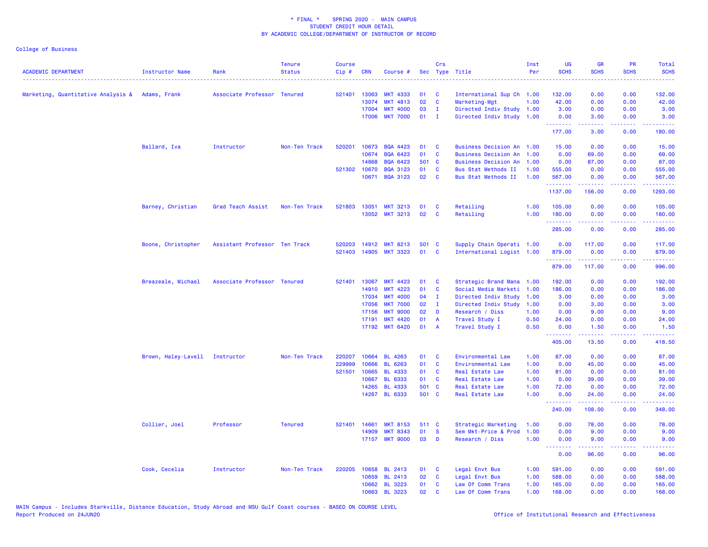| <b>ACADEMIC DEPARTMENT</b>                      | Instructor Name                | Rank                          | <b>Tenure</b><br><b>Status</b> | <b>Course</b><br>Cip# | <b>CRN</b>   | Course #        |       | Crs            | Sec Type Title              | Inst<br>Per | UG<br><b>SCHS</b>                 | <b>GR</b><br><b>SCHS</b> | PR<br><b>SCHS</b> | Total<br><b>SCHS</b>                                                                                                                                           |
|-------------------------------------------------|--------------------------------|-------------------------------|--------------------------------|-----------------------|--------------|-----------------|-------|----------------|-----------------------------|-------------|-----------------------------------|--------------------------|-------------------|----------------------------------------------------------------------------------------------------------------------------------------------------------------|
| Marketing, Quantitative Analysis & Adams, Frank |                                | Associate Professor Tenured   |                                | 521401                | 13063        | <b>MKT 4333</b> | 01    | C              | International Sup Ch 1.00   |             | 132.00                            | 0.00                     | 0.00              | 132.00                                                                                                                                                         |
|                                                 |                                |                               |                                |                       | 13074        | <b>MKT 4813</b> | 02    | C              | Marketing-Mgt               | 1.00        | 42.00                             | 0.00                     | 0.00              | 42.00                                                                                                                                                          |
|                                                 |                                |                               |                                |                       | 17004        | <b>MKT 4000</b> | 03    | $\mathbf{I}$   | Directed Indiv Study 1.00   |             | 3.00                              | 0.00                     | 0.00              | 3.00                                                                                                                                                           |
|                                                 |                                |                               |                                |                       | 17006        | <b>MKT 7000</b> | 01    | $\mathbf{I}$   | Directed Indiv Study 1.00   |             | 0.00                              | 3.00                     | 0.00              | 3.00                                                                                                                                                           |
|                                                 |                                |                               |                                |                       |              |                 |       |                |                             |             | <u> - - - - - - - -</u><br>177.00 | .<br>3.00                | .<br>0.00         | .<br>180.00                                                                                                                                                    |
|                                                 | Ballard, Iva                   | Instructor                    | Non-Ten Track                  | 520201                | 10673        | <b>BQA 4423</b> | 01    | C              | Business Decision An 1.00   |             | 15.00                             | 0.00                     | 0.00              | 15.00                                                                                                                                                          |
|                                                 |                                |                               |                                |                       | 10674        | <b>BQA 6423</b> | 01    | C              | <b>Business Decision An</b> | 1.00        | 0.00                              | 69.00                    | 0.00              | 69.00                                                                                                                                                          |
|                                                 |                                |                               |                                |                       | 14868        | <b>BQA 6423</b> | 501 C |                | <b>Business Decision An</b> | 1.00        | 0.00                              | 87.00                    | 0.00              | 87.00                                                                                                                                                          |
|                                                 |                                |                               |                                |                       | 521302 10670 | <b>BQA 3123</b> | 01    | C              | Bus Stat Methods II         | 1.00        | 555.00                            | 0.00                     | 0.00              | 555.00                                                                                                                                                         |
|                                                 |                                |                               |                                |                       | 10671        | <b>BQA 3123</b> | 02    | C              | Bus Stat Methods II         | 1.00        | 567.00<br><u>.</u>                | 0.00<br><u>.</u>         | 0.00<br>.         | 567.00<br>.                                                                                                                                                    |
|                                                 |                                |                               |                                |                       |              |                 |       |                |                             |             | 1137.00                           | 156.00                   | 0.00              | 1293.00                                                                                                                                                        |
|                                                 | Barney, Christian              | Grad Teach Assist             | Non-Ten Track                  |                       | 521803 13051 | <b>MKT 3213</b> | 01    | C              | Retailing                   | 1.00        | 105.00                            | 0.00                     | 0.00              | 105.00                                                                                                                                                         |
|                                                 |                                |                               |                                |                       | 13052        | <b>MKT 3213</b> | 02    | C              | Retailing                   | 1.00        | 180.00<br>.                       | 0.00<br>.                | 0.00<br>.         | 180.00<br>.                                                                                                                                                    |
|                                                 |                                |                               |                                |                       |              |                 |       |                |                             |             | 285.00                            | 0.00                     | 0.00              | 285.00                                                                                                                                                         |
|                                                 | Boone, Christopher             | Assistant Professor Ten Track |                                | 520203                | 14912        | <b>MKT 8213</b> | 501 C |                | Supply Chain Operati 1.00   |             | 0.00                              | 117.00                   | 0.00              | 117.00                                                                                                                                                         |
|                                                 |                                |                               |                                | 521403                |              | 14905 MKT 3323  | 01    | <b>C</b>       | International Logist 1.00   |             | 879.00<br><b></b>                 | 0.00<br><u>.</u>         | 0.00<br>د د د د   | 879.00<br>$\frac{1}{2} \left( \frac{1}{2} \right) \left( \frac{1}{2} \right) \left( \frac{1}{2} \right) \left( \frac{1}{2} \right) \left( \frac{1}{2} \right)$ |
|                                                 |                                |                               |                                |                       |              |                 |       |                |                             |             | 879.00                            | 117.00                   | 0.00              | 996.00                                                                                                                                                         |
|                                                 | Breazeale, Michael             | Associate Professor Tenured   |                                | 521401                | 13067        | <b>MKT 4423</b> | 01    | C              | Strategic Brand Mana        | 1.00        | 192.00                            | 0.00                     | 0.00              | 192.00                                                                                                                                                         |
|                                                 |                                |                               |                                |                       | 14910        | <b>MKT 4223</b> | 01    | $\mathbf{C}$   | Social Media Marketi        | 1.00        | 186.00                            | 0.00                     | 0.00              | 186.00                                                                                                                                                         |
|                                                 |                                |                               |                                |                       | 17034        | <b>MKT 4000</b> | 04    | $\mathbf{I}$   | Directed Indiv Study        | 1.00        | 3.00                              | 0.00                     | 0.00              | 3.00                                                                                                                                                           |
|                                                 |                                |                               |                                |                       | 17056        | <b>MKT 7000</b> | 02    | л.             | Directed Indiv Study        | 1.00        | 0.00                              | 3.00                     | 0.00              | 3.00                                                                                                                                                           |
|                                                 |                                |                               |                                |                       | 17156        | <b>MKT 9000</b> | 02    | D              | Research / Diss             | 1.00        | 0.00                              | 9.00                     | 0.00              | 9.00                                                                                                                                                           |
|                                                 |                                |                               |                                |                       | 17191        | <b>MKT 4420</b> | 01    | $\overline{A}$ | Travel Study I              | 0.50        | 24.00                             | 0.00                     | 0.00              | 24.00                                                                                                                                                          |
|                                                 |                                |                               |                                |                       | 17192        | <b>MKT 6420</b> | 01    | $\overline{A}$ | Travel Study I              | 0.50        | 0.00<br>.                         | 1.50                     | 0.00<br>والمحامر  | 1.50<br>.                                                                                                                                                      |
|                                                 |                                |                               |                                |                       |              |                 |       |                |                             |             | 405.00                            | 13.50                    | 0.00              | 418.50                                                                                                                                                         |
|                                                 | Brown, Haley-Lavell Instructor |                               | Non-Ten Track                  | 220207                | 10664        | <b>BL 4263</b>  | 01    | <b>C</b>       | Environmental Law           | 1.00        | 87.00                             | 0.00                     | 0.00              | 87.00                                                                                                                                                          |
|                                                 |                                |                               |                                | 229999                | 10666        | <b>BL 6263</b>  | 01    | C              | Environmental Law           | 1.00        | 0.00                              | 45.00                    | 0.00              | 45.00                                                                                                                                                          |
|                                                 |                                |                               |                                | 521501                | 10665        | <b>BL 4333</b>  | 01    | <b>C</b>       | Real Estate Law             | 1.00        | 81.00                             | 0.00                     | 0.00              | 81.00                                                                                                                                                          |
|                                                 |                                |                               |                                |                       | 10667        | <b>BL 6333</b>  | 01    | <b>C</b>       | Real Estate Law             | 1.00        | 0.00                              | 39.00                    | 0.00              | 39.00                                                                                                                                                          |
|                                                 |                                |                               |                                |                       | 14265        | <b>BL 4333</b>  | 501 C |                | Real Estate Law             | 1.00        | 72.00                             | 0.00                     | 0.00              | 72.00                                                                                                                                                          |
|                                                 |                                |                               |                                |                       |              | 14267 BL 6333   | 501 C |                | <b>Real Estate Law</b>      | 1.00        | 0.00<br><u> - - - - - - - -</u>   | 24.00<br><u>.</u>        | 0.00<br>.         | 24.00<br>.                                                                                                                                                     |
|                                                 |                                |                               |                                |                       |              |                 |       |                |                             |             | 240.00                            | 108.00                   | 0.00              | 348.00                                                                                                                                                         |
|                                                 | Collier, Joel                  | Professor                     | <b>Tenured</b>                 | 521401                | 14661        | <b>MKT 8153</b> | 511 C |                | Strategic Marketing         | 1.00        | 0.00                              | 78.00                    | 0.00              | 78.00                                                                                                                                                          |
|                                                 |                                |                               |                                |                       | 14909        | <b>MKT 8343</b> | 01    | <b>S</b>       | Sem Mkt-Price & Prod        | 1.00        | 0.00                              | 9.00                     | 0.00              | 9.00                                                                                                                                                           |
|                                                 |                                |                               |                                |                       |              | 17157 MKT 9000  | 03    | D              | Research / Diss             | 1.00        | 0.00<br><b></b>                   | 9.00<br><b>.</b>         | 0.00<br>.         | 9.00<br><u> - - - - - -</u>                                                                                                                                    |
|                                                 |                                |                               |                                |                       |              |                 |       |                |                             |             | 0.00                              | 96.00                    | 0.00              | 96.00                                                                                                                                                          |
|                                                 | Cook, Cecelia                  | Instructor                    | Non-Ten Track                  | 220205                | 10658        | <b>BL 2413</b>  | 01    | C              | Legal Envt Bus              | 1.00        | 591.00                            | 0.00                     | 0.00              | 591.00                                                                                                                                                         |
|                                                 |                                |                               |                                |                       | 10659        | <b>BL 2413</b>  | 02    | C              | Legal Envt Bus              | 1.00        | 588.00                            | 0.00                     | 0.00              | 588.00                                                                                                                                                         |
|                                                 |                                |                               |                                |                       | 10662        | <b>BL 3223</b>  | 01    | C              | Law Of Comm Trans           | 1.00        | 165.00                            | 0.00                     | 0.00              | 165.00                                                                                                                                                         |
|                                                 |                                |                               |                                |                       |              | 10663 BL 3223   | 02    | C              | Law Of Comm Trans           | 1.00        | 168.00                            | 0.00                     | 0.00              | 168.00                                                                                                                                                         |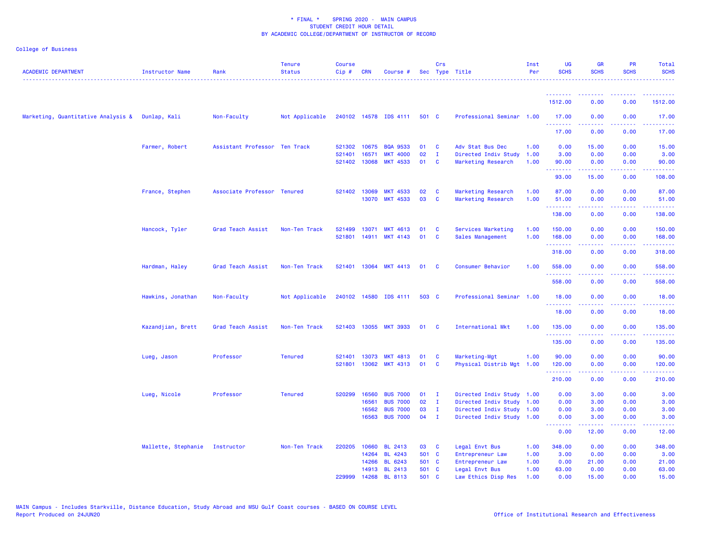| <b>ACADEMIC DEPARTMENT</b>                      | <b>Instructor Name</b> | Rank                          | <b>Tenure</b><br><b>Status</b> | <b>Course</b><br>Cip# | <b>CRN</b>   | Course #              |       | Crs          | Sec Type Title            | Inst<br>Per | UG<br><b>SCHS</b>                                            | <b>GR</b><br><b>SCHS</b>                                                                                                                                     | <b>PR</b><br><b>SCHS</b>                                                                                                          | Total<br><b>SCHS</b> |
|-------------------------------------------------|------------------------|-------------------------------|--------------------------------|-----------------------|--------------|-----------------------|-------|--------------|---------------------------|-------------|--------------------------------------------------------------|--------------------------------------------------------------------------------------------------------------------------------------------------------------|-----------------------------------------------------------------------------------------------------------------------------------|----------------------|
|                                                 |                        |                               |                                |                       |              |                       |       |              |                           |             |                                                              |                                                                                                                                                              |                                                                                                                                   |                      |
|                                                 |                        |                               |                                |                       |              |                       |       |              |                           |             | 1512.00                                                      | 0.00                                                                                                                                                         | 0.00                                                                                                                              | 1512.00              |
| Marketing, Quantitative Analysis & Dunlap, Kali |                        | Non-Faculty                   | Not Applicable                 |                       |              | 240102 14578 IDS 4111 | 501 C |              | Professional Seminar 1.00 |             | 17.00<br><u>.</u>                                            | 0.00<br><u>.</u>                                                                                                                                             | 0.00<br>$\frac{1}{2} \left( \frac{1}{2} \right) \left( \frac{1}{2} \right) \left( \frac{1}{2} \right) \left( \frac{1}{2} \right)$ | 17.00                |
|                                                 |                        |                               |                                |                       |              |                       |       |              |                           |             | 17.00                                                        | 0.00                                                                                                                                                         | 0.00                                                                                                                              | 17.00                |
|                                                 | Farmer, Robert         | Assistant Professor Ten Track |                                |                       | 521302 10675 | <b>BQA 9533</b>       | 01    | C            | Adv Stat Bus Dec          | 1.00        | 0.00                                                         | 15.00                                                                                                                                                        | 0.00                                                                                                                              | 15.00                |
|                                                 |                        |                               |                                | 521401                | 16571        | <b>MKT 4000</b>       | 02    | $\mathbf{I}$ | Directed Indiv Study      | 1.00        | 3.00                                                         | 0.00                                                                                                                                                         | 0.00                                                                                                                              | 3.00                 |
|                                                 |                        |                               |                                |                       | 521402 13068 | <b>MKT 4533</b>       | 01    | C            | Marketing Research        | 1.00        | 90.00<br><b></b>                                             | 0.00<br>$\frac{1}{2} \left( \frac{1}{2} \right) \left( \frac{1}{2} \right) \left( \frac{1}{2} \right) \left( \frac{1}{2} \right) \left( \frac{1}{2} \right)$ | 0.00<br>.                                                                                                                         | 90.00<br>.           |
|                                                 |                        |                               |                                |                       |              |                       |       |              |                           |             | 93.00                                                        | 15.00                                                                                                                                                        | 0.00                                                                                                                              | 108.00               |
|                                                 | France, Stephen        | Associate Professor Tenured   |                                |                       | 521402 13069 | <b>MKT 4533</b>       | 02    | <b>C</b>     | Marketing Research        | 1.00        | 87.00                                                        | 0.00                                                                                                                                                         | 0.00                                                                                                                              | 87.00                |
|                                                 |                        |                               |                                |                       | 13070        | <b>MKT 4533</b>       | 03    | $\mathbf c$  | Marketing Research        | 1.00        | 51.00<br>.                                                   | 0.00                                                                                                                                                         | 0.00                                                                                                                              | 51.00                |
|                                                 |                        |                               |                                |                       |              |                       |       |              |                           |             | 138.00                                                       | 0.00                                                                                                                                                         | 0.00                                                                                                                              | 138.00               |
|                                                 | Hancock, Tyler         | Grad Teach Assist             | Non-Ten Track                  | 521499                | 13071        | <b>MKT 4613</b>       | 01    | <b>C</b>     | Services Marketing        | 1.00        | 150.00                                                       | 0.00                                                                                                                                                         | 0.00                                                                                                                              | 150.00               |
|                                                 |                        |                               |                                | 521801                | 14911        | <b>MKT 4143</b>       | 01    | C            | Sales Management          | 1.00        | 168.00<br><b><i><u><u><b>A</b></u></u> A A A A A A A</i></b> | 0.00<br>.                                                                                                                                                    | 0.00<br>$\frac{1}{2} \left( \frac{1}{2} \right) \left( \frac{1}{2} \right) \left( \frac{1}{2} \right) \left( \frac{1}{2} \right)$ | 168.00<br>.          |
|                                                 |                        |                               |                                |                       |              |                       |       |              |                           |             | 318.00                                                       | 0.00                                                                                                                                                         | 0.00                                                                                                                              | 318.00               |
|                                                 | Hardman, Haley         | Grad Teach Assist             | Non-Ten Track                  |                       | 521401 13064 | <b>MKT 4413</b>       | 01    | <b>C</b>     | Consumer Behavior         | 1.00        | 558.00                                                       | 0.00                                                                                                                                                         | 0.00                                                                                                                              | 558.00               |
|                                                 |                        |                               |                                |                       |              |                       |       |              |                           |             | <u> 222222</u><br>558.00                                     | 0.00                                                                                                                                                         | 0.00                                                                                                                              | 558.00               |
|                                                 | Hawkins, Jonathan      | Non-Faculty                   | Not Applicable                 |                       |              | 240102 14580 IDS 4111 | 503 C |              | Professional Seminar      | 1.00        | 18.00                                                        | 0.00                                                                                                                                                         | 0.00                                                                                                                              | 18.00                |
|                                                 |                        |                               |                                |                       |              |                       |       |              |                           |             | .<br>18.00                                                   | $\frac{1}{2} \left( \frac{1}{2} \right) \left( \frac{1}{2} \right) \left( \frac{1}{2} \right) \left( \frac{1}{2} \right) \left( \frac{1}{2} \right)$<br>0.00 | .<br>0.00                                                                                                                         | .<br>18.00           |
|                                                 | Kazandjian, Brett      | Grad Teach Assist             | Non-Ten Track                  | 521403                | 13055        | <b>MKT 3933</b>       | 01    | - C          | International Mkt         | 1.00        | 135.00                                                       | 0.00                                                                                                                                                         | 0.00                                                                                                                              | 135.00               |
|                                                 |                        |                               |                                |                       |              |                       |       |              |                           |             | .<br>135.00                                                  | .<br>0.00                                                                                                                                                    | $\frac{1}{2}$<br>0.00                                                                                                             | .<br>135.00          |
|                                                 | Lueg, Jason            | Professor                     | <b>Tenured</b>                 | 521401                | 13073        | <b>MKT 4813</b>       | 01    | - C          | Marketing-Mgt             | 1.00        | 90.00                                                        | 0.00                                                                                                                                                         | 0.00                                                                                                                              | 90.00                |
|                                                 |                        |                               |                                |                       |              | 521801 13062 MKT 4313 | 01    | <b>C</b>     | Physical Distrib Mgt      | 1.00        | 120.00                                                       | 0.00                                                                                                                                                         | 0.00                                                                                                                              | 120.00               |
|                                                 |                        |                               |                                |                       |              |                       |       |              |                           |             | .<br>210.00                                                  | 0.00                                                                                                                                                         | .<br>0.00                                                                                                                         | .<br>210.00          |
|                                                 | Lueg, Nicole           | Professor                     | <b>Tenured</b>                 | 520299                | 16560        | <b>BUS 7000</b>       | 01    | $\mathbf{I}$ | Directed Indiv Study      | 1.00        | 0.00                                                         | 3.00                                                                                                                                                         | 0.00                                                                                                                              | 3.00                 |
|                                                 |                        |                               |                                |                       | 16561        | <b>BUS 7000</b>       | 02    | $\mathbf{I}$ | Directed Indiv Study      | 1.00        | 0.00                                                         | 3.00                                                                                                                                                         | 0.00                                                                                                                              | 3.00                 |
|                                                 |                        |                               |                                |                       | 16562        | <b>BUS 7000</b>       | 03    | $\mathbf I$  | Directed Indiv Study      | 1.00        | 0.00                                                         | 3.00                                                                                                                                                         | 0.00                                                                                                                              | 3.00                 |
|                                                 |                        |                               |                                |                       | 16563        | <b>BUS 7000</b>       | 04    | $\mathbf{I}$ | Directed Indiv Study 1.00 |             | 0.00<br><u>.</u>                                             | 3.00<br>$\frac{1}{2} \left( \frac{1}{2} \right) \left( \frac{1}{2} \right) \left( \frac{1}{2} \right) \left( \frac{1}{2} \right) \left( \frac{1}{2} \right)$ | 0.00<br>الداعات عا                                                                                                                | 3.00<br>الداعات عاد  |
|                                                 |                        |                               |                                |                       |              |                       |       |              |                           |             | 0.00                                                         | 12.00                                                                                                                                                        | 0.00                                                                                                                              | 12.00                |
|                                                 | Mallette, Stephanie    | Instructor                    | Non-Ten Track                  | 220205                | 10660        | <b>BL 2413</b>        | 03    | - C          | Legal Envt Bus            | 1.00        | 348.00                                                       | 0.00                                                                                                                                                         | 0.00                                                                                                                              | 348.00               |
|                                                 |                        |                               |                                |                       | 14264        | <b>BL 4243</b>        | 501 C |              | Entrepreneur Law          | 1.00        | 3.00                                                         | 0.00                                                                                                                                                         | 0.00                                                                                                                              | 3.00                 |
|                                                 |                        |                               |                                |                       | 14266        | <b>BL 6243</b>        | 501 C |              | Entrepreneur Law          | 1.00        | 0.00                                                         | 21.00                                                                                                                                                        | 0.00                                                                                                                              | 21.00                |
|                                                 |                        |                               |                                |                       |              | 14913 BL 2413         | 501 C |              | Legal Envt Bus            | 1.00        | 63.00                                                        | 0.00                                                                                                                                                         | 0.00                                                                                                                              | 63.00                |
|                                                 |                        |                               |                                | 229999                | 14268        | <b>BL 8113</b>        | 501   | - C          | Law Ethics Disp Res       | 1.00        | 0.00                                                         | 15.00                                                                                                                                                        | 0.00                                                                                                                              | 15.00                |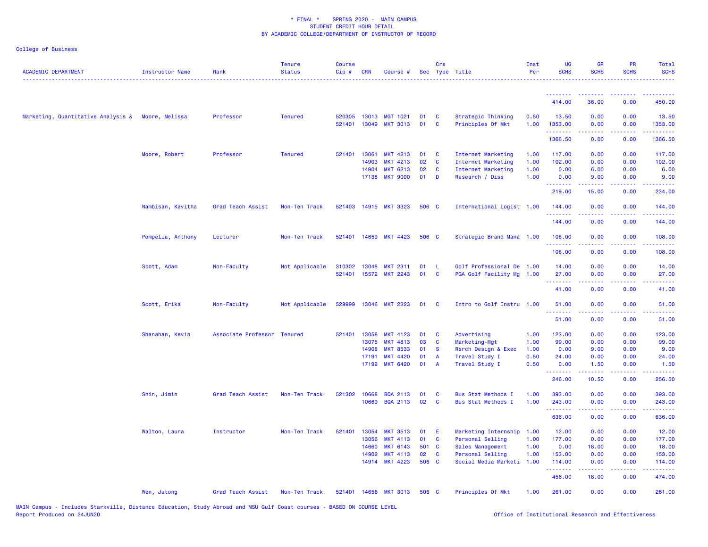| <b>ACADEMIC DEPARTMENT</b>                        | <b>Instructor Name</b> | Rank                | <b>Tenure</b><br><b>Status</b> | <b>Course</b><br>Cip# | <b>CRN</b>   | Course #              |       | Crs            | Sec Type Title            | Inst<br>Per | <b>UG</b><br><b>SCHS</b> | <b>GR</b><br><b>SCHS</b> | <b>PR</b><br><b>SCHS</b> | Total<br><b>SCHS</b><br>. <b>.</b>                                                                                                                             |
|---------------------------------------------------|------------------------|---------------------|--------------------------------|-----------------------|--------------|-----------------------|-------|----------------|---------------------------|-------------|--------------------------|--------------------------|--------------------------|----------------------------------------------------------------------------------------------------------------------------------------------------------------|
|                                                   |                        |                     |                                |                       |              |                       |       |                |                           |             | <u>.</u>                 |                          |                          |                                                                                                                                                                |
|                                                   |                        |                     |                                |                       |              |                       |       |                |                           |             | 414.00                   | 36.00                    | 0.00                     | 450.00                                                                                                                                                         |
| Marketing, Quantitative Analysis & Moore, Melissa |                        | Professor           | <b>Tenured</b>                 | 520305                |              | 13013 MGT 1021        | 01    | C              | Strategic Thinking        | 0.50        | 13.50                    | 0.00                     | 0.00                     | 13.50                                                                                                                                                          |
|                                                   |                        |                     |                                | 521401                |              | 13049 MKT 3013        | 01    | <b>C</b>       | Principles Of Mkt         | 1.00        | 1353.00<br>.             | 0.00                     | 0.00<br>والمالمات        | 1353.00<br>.                                                                                                                                                   |
|                                                   |                        |                     |                                |                       |              |                       |       |                |                           |             | 1366.50                  | 0.00                     | 0.00                     | 1366.50                                                                                                                                                        |
|                                                   | Moore, Robert          | Professor           | <b>Tenured</b>                 | 521401                | 13061        | <b>MKT 4213</b>       | 01    | <b>C</b>       | Internet Marketing        | 1.00        | 117.00                   | 0.00                     | 0.00                     | 117.00                                                                                                                                                         |
|                                                   |                        |                     |                                |                       | 14903        | <b>MKT 4213</b>       | 02    | C              | Internet Marketing        | 1.00        | 102.00                   | 0.00                     | 0.00                     | 102.00                                                                                                                                                         |
|                                                   |                        |                     |                                |                       | 14904        | <b>MKT 6213</b>       | 02    | C              | Internet Marketing        | 1.00        | 0.00                     | 6.00                     | 0.00                     | 6.00                                                                                                                                                           |
|                                                   |                        |                     |                                |                       | 17138        | <b>MKT 9000</b>       | 01    | D              | Research / Diss           | 1.00        | 0.00<br>.                | 9.00                     | 0.00                     | 9.00                                                                                                                                                           |
|                                                   |                        |                     |                                |                       |              |                       |       |                |                           |             | 219.00                   | 15.00                    | 0.00                     | 234.00                                                                                                                                                         |
|                                                   | Nambisan, Kavitha      | Grad Teach Assist   | Non-Ten Track                  |                       |              | 521403 14915 MKT 3323 | 506 C |                | International Logist 1.00 |             | 144.00<br>.              | 0.00                     | 0.00<br>.                | 144.00<br>.                                                                                                                                                    |
|                                                   |                        |                     |                                |                       |              |                       |       |                |                           |             | 144.00                   | 0.00                     | 0.00                     | 144.00                                                                                                                                                         |
|                                                   | Pompelia, Anthony      | Lecturer            | Non-Ten Track                  |                       | 521401 14659 | <b>MKT 4423</b>       | 506 C |                | Strategic Brand Mana 1.00 |             | 108.00                   | 0.00                     | 0.00                     | 108.00                                                                                                                                                         |
|                                                   |                        |                     |                                |                       |              |                       |       |                |                           |             | .<br>108.00              | 0.00                     | 0.00                     | 108.00                                                                                                                                                         |
|                                                   | Scott, Adam            | Non-Faculty         | Not Applicable                 | 310302                | 13048        | <b>MKT 2311</b>       | 01    | - L            | Golf Professional De 1.00 |             | 14.00                    | 0.00                     | 0.00                     | 14.00                                                                                                                                                          |
|                                                   |                        |                     |                                |                       |              | 521401 15572 MKT 2243 | 01    | $\mathbf{C}$   | PGA Golf Facility Mg 1.00 |             | 27.00                    | 0.00                     | 0.00                     | 27.00                                                                                                                                                          |
|                                                   |                        |                     |                                |                       |              |                       |       |                |                           |             | . <b>.</b> .<br>41.00    | .<br>0.00                | .<br>0.00                | .<br>41.00                                                                                                                                                     |
|                                                   | Scott, Erika           | Non-Faculty         | Not Applicable                 | 529999                |              | 13046 MKT 2223        | 01    | C              | Intro to Golf Instru 1.00 |             | 51.00                    | 0.00                     | 0.00                     | 51.00                                                                                                                                                          |
|                                                   |                        |                     |                                |                       |              |                       |       |                |                           |             | 51.00                    | .<br>0.00                | $  -$<br>0.00            | .<br>51.00                                                                                                                                                     |
|                                                   | Shanahan, Kevin        | Associate Professor | <b>Tenured</b>                 | 521401                | 13058        | <b>MKT 4123</b>       | 01    | C              | Advertising               | 1.00        | 123.00                   | 0.00                     | 0.00                     | 123.00                                                                                                                                                         |
|                                                   |                        |                     |                                |                       | 13075        | <b>MKT 4813</b>       | 03    | C              | Marketing-Mgt             | 1.00        | 99.00                    | 0.00                     | 0.00                     | 99.00                                                                                                                                                          |
|                                                   |                        |                     |                                |                       | 14908        | <b>MKT 8533</b>       | 01    | <b>S</b>       | Rsrch Design & Exec       | 1.00        | 0.00                     | 9.00                     | 0.00                     | 9.00                                                                                                                                                           |
|                                                   |                        |                     |                                |                       | 17191        | <b>MKT 4420</b>       | 01    | $\overline{A}$ | Travel Study I            | 0.50        | 24.00                    | 0.00                     | 0.00                     | 24.00                                                                                                                                                          |
|                                                   |                        |                     |                                |                       | 17192        | <b>MKT 6420</b>       | 01    | $\overline{A}$ | Travel Study I            | 0.50        | 0.00<br>.                | 1.50<br>22222            | 0.00<br>.                | 1.50<br>.                                                                                                                                                      |
|                                                   |                        |                     |                                |                       |              |                       |       |                |                           |             | 246.00                   | 10.50                    | 0.00                     | 256.50                                                                                                                                                         |
|                                                   | Shin, Jimin            | Grad Teach Assist   | Non-Ten Track                  | 521302                | 10668        | <b>BQA 2113</b>       | 01    | C              | <b>Bus Stat Methods I</b> | 1.00        | 393.00                   | 0.00                     | 0.00                     | 393.00                                                                                                                                                         |
|                                                   |                        |                     |                                |                       | 10669        | <b>BQA 2113</b>       | 02    | <b>C</b>       | <b>Bus Stat Methods I</b> | 1.00        | 243.00<br>.              | 0.00                     | 0.00                     | 243.00<br>$\frac{1}{2} \left( \frac{1}{2} \right) \left( \frac{1}{2} \right) \left( \frac{1}{2} \right) \left( \frac{1}{2} \right) \left( \frac{1}{2} \right)$ |
|                                                   |                        |                     |                                |                       |              |                       |       |                |                           |             | 636.00                   | 0.00                     | 0.00                     | 636.00                                                                                                                                                         |
|                                                   | Walton, Laura          | Instructor          | Non-Ten Track                  | 521401                | 13054        | <b>MKT 3513</b>       | 01    | E              | Marketing Internship 1.00 |             | 12.00                    | 0.00                     | 0.00                     | 12.00                                                                                                                                                          |
|                                                   |                        |                     |                                |                       | 13056        | <b>MKT 4113</b>       | 01    | C              | Personal Selling          | 1.00        | 177.00                   | 0.00                     | 0.00                     | 177.00                                                                                                                                                         |
|                                                   |                        |                     |                                |                       | 14660        | <b>MKT 6143</b>       | 501 C |                | Sales Management          | 1.00        | 0.00                     | 18.00                    | 0.00                     | 18.00                                                                                                                                                          |
|                                                   |                        |                     |                                |                       | 14902        | <b>MKT 4113</b>       | 02    | <b>C</b>       | Personal Selling          | 1.00        | 153.00                   | 0.00                     | 0.00                     | 153.00                                                                                                                                                         |
|                                                   |                        |                     |                                |                       |              | 14914 MKT 4223        | 506 C |                | Social Media Marketi      | 1.00        | 114.00                   | 0.00                     | 0.00                     | 114.00                                                                                                                                                         |
|                                                   |                        |                     |                                |                       |              |                       |       |                |                           |             | 456.00                   | 18.00                    | 0.00                     | 474.00                                                                                                                                                         |
|                                                   | Wen, Jutong            | Grad Teach Assist   | Non-Ten Track                  |                       |              | 521401 14658 MKT 3013 | 506 C |                | Principles Of Mkt         | 1.00        | 261.00                   | 0.00                     | 0.00                     | 261.00                                                                                                                                                         |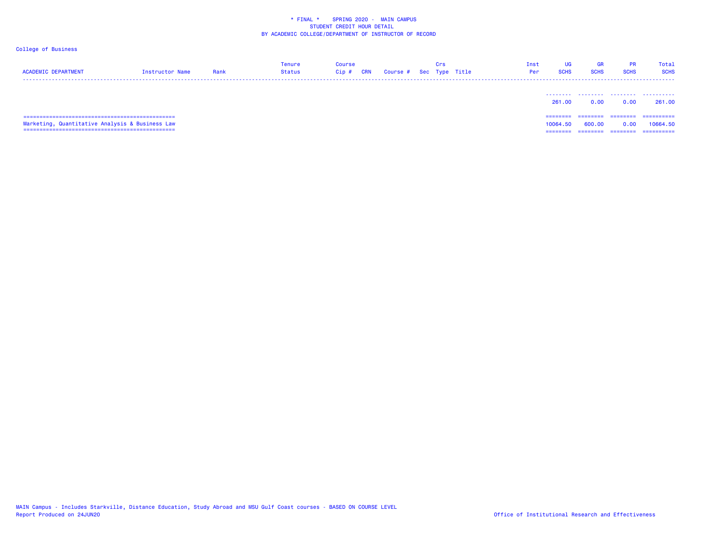| <b>ACADEMIC DEPARTMENT</b>                      | Instructor Name | Rank | Tenure<br><b>Status</b> | <b>Course</b><br>CRN<br>Cip # | Course # Sec Type Title | Crs | Inst<br>Per | UG<br><b>SCHS</b> | <b>GR</b><br><b>SCHS</b> | PR<br><b>SCHS</b> | Total<br><b>SCHS</b> |
|-------------------------------------------------|-----------------|------|-------------------------|-------------------------------|-------------------------|-----|-------------|-------------------|--------------------------|-------------------|----------------------|
|                                                 |                 |      |                         |                               |                         |     |             | 261.00            | 0.00                     | 0.00              | 261.00               |
|                                                 |                 |      |                         |                               |                         |     |             | ========          | -----                    | ========          | ==========           |
| Marketing, Quantitative Analysis & Business Law |                 |      |                         |                               |                         |     |             | 10064.<br>. 50.   | 600.00                   | 0.00              | 10664.50             |
|                                                 |                 |      |                         |                               |                         |     |             | --------          | --------                 | --------          | ==========           |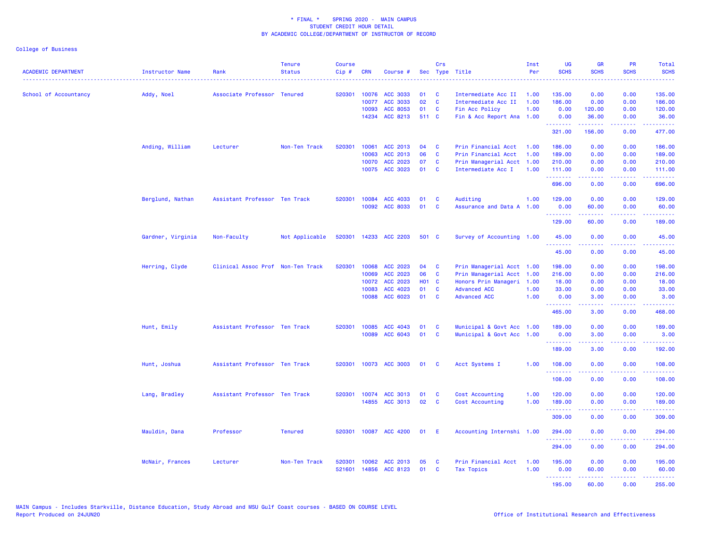| <b>ACADEMIC DEPARTMENT</b> | Instructor Name   | Rank                              | <b>Tenure</b><br><b>Status</b> | <b>Course</b><br>Cip# | <b>CRN</b> | Course #        |       | Crs          | Sec Type Title            | Inst<br>Per | <b>UG</b><br><b>SCHS</b> | <b>GR</b><br><b>SCHS</b>                                                                                                                                     | <b>PR</b><br><b>SCHS</b>                                                                                                          | Total<br><b>SCHS</b><br>.                                                                                                                                    |
|----------------------------|-------------------|-----------------------------------|--------------------------------|-----------------------|------------|-----------------|-------|--------------|---------------------------|-------------|--------------------------|--------------------------------------------------------------------------------------------------------------------------------------------------------------|-----------------------------------------------------------------------------------------------------------------------------------|--------------------------------------------------------------------------------------------------------------------------------------------------------------|
| School of Accountancy      | Addy, Noel        | Associate Professor Tenured       |                                | 520301                | 10076      | ACC 3033        | 01    | C            | Intermediate Acc II       | 1.00        | 135.00                   | 0.00                                                                                                                                                         | 0.00                                                                                                                              | 135.00                                                                                                                                                       |
|                            |                   |                                   |                                |                       | 10077      | <b>ACC 3033</b> | 02    | $\mathbf{C}$ | Intermediate Acc II       | 1.00        | 186.00                   | 0.00                                                                                                                                                         | 0.00                                                                                                                              | 186.00                                                                                                                                                       |
|                            |                   |                                   |                                |                       | 10093      | ACC 8053        | 01    | C            | Fin Acc Policy            | 1.00        | 0.00                     | 120.00                                                                                                                                                       | 0.00                                                                                                                              | 120.00                                                                                                                                                       |
|                            |                   |                                   |                                |                       | 14234      | ACC 8213        | 511 C |              | Fin & Acc Report Ana 1.00 |             | 0.00                     | 36.00<br>.                                                                                                                                                   | 0.00<br>.                                                                                                                         | 36.00                                                                                                                                                        |
|                            |                   |                                   |                                |                       |            |                 |       |              |                           |             | .<br>321.00              | 156.00                                                                                                                                                       | 0.00                                                                                                                              | 477.00                                                                                                                                                       |
|                            | Anding, William   | Lecturer                          | Non-Ten Track                  | 520301                | 10061      | ACC 2013        | 04    | C            | Prin Financial Acct       | 1.00        | 186.00                   | 0.00                                                                                                                                                         | 0.00                                                                                                                              | 186.00                                                                                                                                                       |
|                            |                   |                                   |                                |                       | 10063      | ACC 2013        | 06    | $\mathbf{C}$ | Prin Financial Acct       | 1.00        | 189.00                   | 0.00                                                                                                                                                         | 0.00                                                                                                                              | 189.00                                                                                                                                                       |
|                            |                   |                                   |                                |                       | 10070      | ACC 2023        | 07    | C            | Prin Managerial Acct 1.00 |             | 210.00                   | 0.00                                                                                                                                                         | 0.00                                                                                                                              | 210.00                                                                                                                                                       |
|                            |                   |                                   |                                |                       |            | 10075 ACC 3023  | 01    | <b>C</b>     | Intermediate Acc I        | 1.00        | 111.00<br>.              | 0.00<br>$\frac{1}{2} \left( \frac{1}{2} \right) \left( \frac{1}{2} \right) \left( \frac{1}{2} \right) \left( \frac{1}{2} \right) \left( \frac{1}{2} \right)$ | 0.00<br>.                                                                                                                         | 111.00<br>.                                                                                                                                                  |
|                            |                   |                                   |                                |                       |            |                 |       |              |                           |             | 696.00                   | 0.00                                                                                                                                                         | 0.00                                                                                                                              | 696.00                                                                                                                                                       |
|                            | Berglund, Nathan  | Assistant Professor Ten Track     |                                | 520301                | 10084      | ACC 4033        | 01    | C            | Auditing                  | 1.00        | 129.00                   | 0.00                                                                                                                                                         | 0.00                                                                                                                              | 129.00                                                                                                                                                       |
|                            |                   |                                   |                                |                       | 10092      | ACC 8033        | 01    | C            | Assurance and Data A 1.00 |             | 0.00<br>.                | 60.00<br>22222                                                                                                                                               | 0.00<br>الداعات عاد                                                                                                               | 60.00<br>$\frac{1}{2} \left( \frac{1}{2} \right) \left( \frac{1}{2} \right) \left( \frac{1}{2} \right) \left( \frac{1}{2} \right)$                           |
|                            |                   |                                   |                                |                       |            |                 |       |              |                           |             | 129.00                   | 60.00                                                                                                                                                        | 0.00                                                                                                                              | 189.00                                                                                                                                                       |
|                            | Gardner, Virginia | Non-Faculty                       | Not Applicable                 | 520301                |            | 14233 ACC 2203  | 501 C |              | Survey of Accounting 1.00 |             | 45.00<br>.               | 0.00<br>$- - - -$                                                                                                                                            | 0.00<br>.                                                                                                                         | 45.00                                                                                                                                                        |
|                            |                   |                                   |                                |                       |            |                 |       |              |                           |             | 45.00                    | 0.00                                                                                                                                                         | 0.00                                                                                                                              | 45.00                                                                                                                                                        |
|                            | Herring, Clyde    | Clinical Assoc Prof Non-Ten Track |                                | 520301                | 10068      | ACC 2023        | 04    | C            | Prin Managerial Acct 1.00 |             | 198.00                   | 0.00                                                                                                                                                         | 0.00                                                                                                                              | 198.00                                                                                                                                                       |
|                            |                   |                                   |                                |                       | 10069      | ACC 2023        | 06    | C            | Prin Managerial Acct 1.00 |             | 216.00                   | 0.00                                                                                                                                                         | 0.00                                                                                                                              | 216.00                                                                                                                                                       |
|                            |                   |                                   |                                |                       | 10072      | ACC 2023        | H01 C |              | Honors Prin Manageri 1.00 |             | 18.00                    | 0.00                                                                                                                                                         | 0.00                                                                                                                              | 18.00                                                                                                                                                        |
|                            |                   |                                   |                                |                       | 10083      | ACC 4023        | 01    | C            | <b>Advanced ACC</b>       | 1.00        | 33.00                    | 0.00                                                                                                                                                         | 0.00                                                                                                                              | 33.00                                                                                                                                                        |
|                            |                   |                                   |                                |                       | 10088      | ACC 6023        | 01    | <b>C</b>     | <b>Advanced ACC</b>       | 1.00        | 0.00<br>.                | 3.00<br><b><i><u><u> - - - -</u></u></i></b>                                                                                                                 | 0.00<br>.                                                                                                                         | 3.00<br>$\frac{1}{2} \left( \frac{1}{2} \right) \left( \frac{1}{2} \right) \left( \frac{1}{2} \right) \left( \frac{1}{2} \right) \left( \frac{1}{2} \right)$ |
|                            |                   |                                   |                                |                       |            |                 |       |              |                           |             | 465.00                   | 3.00                                                                                                                                                         | 0.00                                                                                                                              | 468.00                                                                                                                                                       |
|                            | Hunt, Emily       | Assistant Professor Ten Track     |                                | 520301                | 10085      | ACC 4043        | 01    | C            | Municipal & Govt Acc 1.00 |             | 189.00                   | 0.00                                                                                                                                                         | 0.00                                                                                                                              | 189.00                                                                                                                                                       |
|                            |                   |                                   |                                |                       | 10089      | ACC 6043        | 01    | C            | Municipal & Govt Acc 1.00 |             | 0.00                     | 3.00<br>22222                                                                                                                                                | 0.00<br>$  -$                                                                                                                     | 3.00                                                                                                                                                         |
|                            |                   |                                   |                                |                       |            |                 |       |              |                           |             | .<br>189.00              | 3.00                                                                                                                                                         | 0.00                                                                                                                              | 192.00                                                                                                                                                       |
|                            | Hunt, Joshua      | Assistant Professor Ten Track     |                                | 520301                |            | 10073 ACC 3003  | 01    | <b>C</b>     | Acct Systems I            | 1.00        | 108.00<br><u>.</u>       | 0.00<br>. <u>. .</u>                                                                                                                                         | 0.00<br>$\frac{1}{2} \left( \frac{1}{2} \right) \left( \frac{1}{2} \right) \left( \frac{1}{2} \right) \left( \frac{1}{2} \right)$ | 108.00                                                                                                                                                       |
|                            |                   |                                   |                                |                       |            |                 |       |              |                           |             | 108.00                   | 0.00                                                                                                                                                         | 0.00                                                                                                                              | . <b>.</b><br>108.00                                                                                                                                         |
|                            | Lang, Bradley     | Assistant Professor Ten Track     |                                | 520301                | 10074      | ACC 3013        | 01    | C            | Cost Accounting           | 1.00        | 120.00                   | 0.00                                                                                                                                                         | 0.00                                                                                                                              | 120.00                                                                                                                                                       |
|                            |                   |                                   |                                |                       | 14855      | ACC 3013        | 02    | C            | Cost Accounting           | 1.00        | 189.00<br>.              | 0.00                                                                                                                                                         | 0.00                                                                                                                              | 189.00                                                                                                                                                       |
|                            |                   |                                   |                                |                       |            |                 |       |              |                           |             | 309.00                   | 0.00                                                                                                                                                         | 0.00                                                                                                                              | 309.00                                                                                                                                                       |
|                            | Mauldin, Dana     | Professor                         | <b>Tenured</b>                 | 520301                |            | 10087 ACC 4200  | 01    | - E          | Accounting Internshi 1.00 |             | 294.00                   | 0.00                                                                                                                                                         | 0.00                                                                                                                              | 294.00                                                                                                                                                       |
|                            |                   |                                   |                                |                       |            |                 |       |              |                           |             | 294.00                   | 0.00                                                                                                                                                         | 0.00                                                                                                                              | 294.00                                                                                                                                                       |
|                            | McNair, Frances   | Lecturer                          | Non-Ten Track                  | 520301                | 10062      | ACC 2013        | 05    | C            | Prin Financial Acct       | 1.00        | 195.00                   | 0.00                                                                                                                                                         | 0.00                                                                                                                              | 195.00                                                                                                                                                       |
|                            |                   |                                   |                                | 521601                |            | 14856 ACC 8123  | 01    | $\mathbf{C}$ | <b>Tax Topics</b>         | 1.00        | 0.00                     | 60.00                                                                                                                                                        | 0.00                                                                                                                              | 60.00                                                                                                                                                        |
|                            |                   |                                   |                                |                       |            |                 |       |              |                           |             | .                        | بالمستمال                                                                                                                                                    | المتمالين                                                                                                                         | .                                                                                                                                                            |
|                            |                   |                                   |                                |                       |            |                 |       |              |                           |             | 195.00                   | 60.00                                                                                                                                                        | 0.00                                                                                                                              | 255.00                                                                                                                                                       |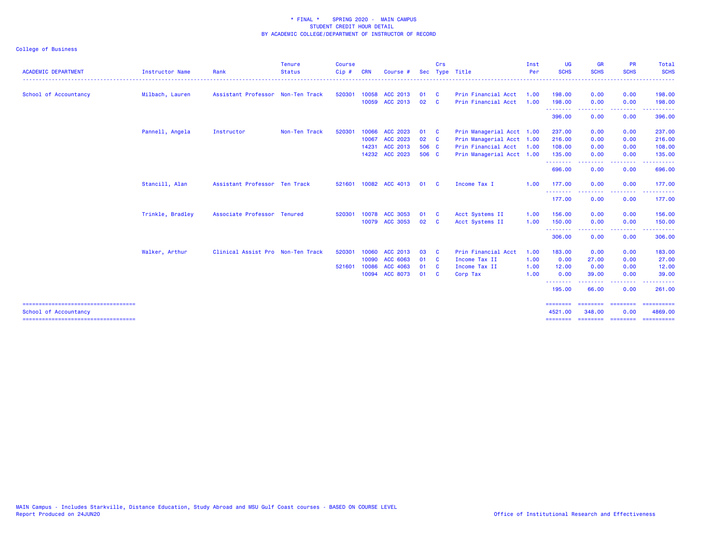|                                                                |                        |                                   | <b>Tenure</b> | <b>Course</b> |            |                       |       | Crs                     |                           | Inst | <b>UG</b>                 | <b>GR</b>                 | <b>PR</b>               | Total                 |
|----------------------------------------------------------------|------------------------|-----------------------------------|---------------|---------------|------------|-----------------------|-------|-------------------------|---------------------------|------|---------------------------|---------------------------|-------------------------|-----------------------|
| <b>ACADEMIC DEPARTMENT</b>                                     | <b>Instructor Name</b> | Rank                              | <b>Status</b> | $C$ ip $#$    | <b>CRN</b> | Course #              |       |                         | Sec Type Title            | Per  | <b>SCHS</b>               | <b>SCHS</b>               | <b>SCHS</b>             | <b>SCHS</b>           |
| School of Accountancy                                          | Milbach, Lauren        | Assistant Professor Non-Ten Track |               | 520301        |            | 10058 ACC 2013        | 01    | $\mathbf{C}$            | Prin Financial Acct       | 1.00 | 198.00                    | 0.00                      | 0.00                    | 198.00                |
|                                                                |                        |                                   |               |               | 10059      | ACC 2013              | 02    | <b>C</b>                | Prin Financial Acct       | 1.00 | 198.00<br>.               | 0.00<br>.                 | 0.00                    | 198.00                |
|                                                                |                        |                                   |               |               |            |                       |       |                         |                           |      | 396.00                    | 0.00                      | .<br>0.00               | 396.00                |
|                                                                | Pannell, Angela        | Instructor                        | Non-Ten Track | 520301        | 10066      | ACC 2023              | 01    | $\overline{\mathbf{C}}$ | Prin Managerial Acct 1.00 |      | 237.00                    | 0.00                      | 0.00                    | 237.00                |
|                                                                |                        |                                   |               |               | 10067      | ACC 2023              | 02 C  |                         | Prin Managerial Acct 1.00 |      | 216.00                    | 0.00                      | 0.00                    | 216.00                |
|                                                                |                        |                                   |               |               | 14231      | ACC 2013              | 506 C |                         | Prin Financial Acct 1.00  |      | 108.00                    | 0.00                      | 0.00                    | 108.00                |
|                                                                |                        |                                   |               |               |            | 14232 ACC 2023        | 506 C |                         | Prin Managerial Acct 1.00 |      | 135.00                    | 0.00                      | 0.00                    | 135.00                |
|                                                                |                        |                                   |               |               |            |                       |       |                         |                           |      | .<br>696.00               | 0.00                      | .<br>0.00               | .<br>696.00           |
|                                                                | Stancill, Alan         | Assistant Professor Ten Track     |               |               |            | 521601 10082 ACC 4013 | 01    | $\mathbf{C}$            | Income Tax I              | 1.00 | 177.00                    | 0.00                      | 0.00                    | 177.00                |
|                                                                |                        |                                   |               |               |            |                       |       |                         |                           |      | .<br>177.00               | -----<br>0.00             | -----<br>0.00           | 177.00                |
|                                                                | Trinkle, Bradley       | Associate Professor Tenured       |               | 520301        | 10078      | ACC 3053              | 01    | $\mathbf{C}$            | Acct Systems II           | 1.00 | 156.00                    | 0.00                      | 0.00                    | 156.00                |
|                                                                |                        |                                   |               |               |            | 10079 ACC 3053        | 02 C  |                         | Acct Systems II           | 1.00 | 150.00                    | 0.00                      | 0.00                    | 150.00                |
|                                                                |                        |                                   |               |               |            |                       |       |                         |                           |      | .<br>306.00               | 0.00                      | 0.00                    | 306.00                |
|                                                                | Walker, Arthur         | Clinical Assist Pro Non-Ten Track |               | 520301        | 10060      | ACC 2013              | 03    | <b>C</b>                | Prin Financial Acct       | 1.00 | 183,00                    | 0.00                      | 0.00                    | 183.00                |
|                                                                |                        |                                   |               |               | 10090      | ACC 6063              | 01 C  |                         | Income Tax II             | 1.00 | 0.00                      | 27.00                     | 0.00                    | 27.00                 |
|                                                                |                        |                                   |               | 521601        | 10086      | ACC 4063              | 01    | $\mathbf{C}$            | Income Tax II             | 1.00 | 12.00                     | 0.00                      | 0.00                    | 12.00                 |
|                                                                |                        |                                   |               |               | 10094      | <b>ACC 8073</b>       | 01 C  |                         | Corp Tax                  | 1.00 | 0.00                      | 39.00                     | 0.00                    | 39.00                 |
|                                                                |                        |                                   |               |               |            |                       |       |                         |                           |      | --------<br>195.00        | 66.00                     | .<br>0.00               | 261.00                |
| =====================================<br>School of Accountancy |                        |                                   |               |               |            |                       |       |                         |                           |      | <b>HEEREER</b><br>4521.00 | <b>EEEEEEEE</b><br>348.00 | <b>EEEEEEEE</b><br>0.00 | ==========<br>4869.00 |
| =====================================                          |                        |                                   |               |               |            |                       |       |                         |                           |      | ========                  |                           | ======== ========       | ==========            |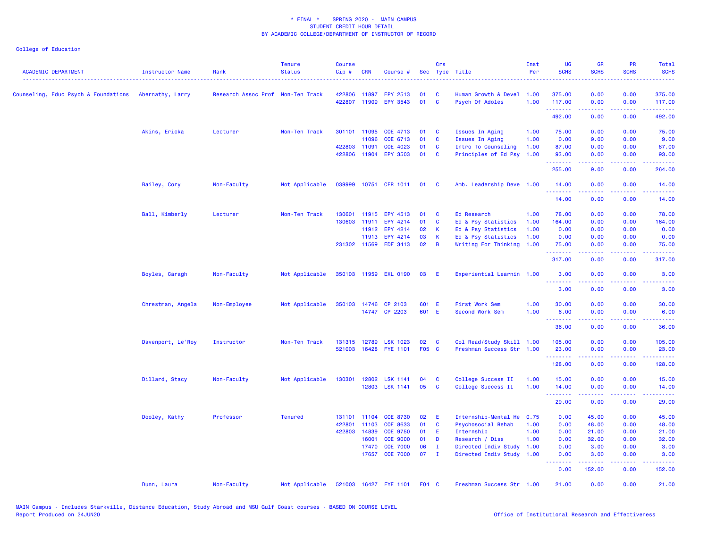| <b>ACADEMIC DEPARTMENT</b>           | <b>Instructor Name</b> | Rank                              | <b>Tenure</b><br><b>Status</b> | <b>Course</b><br>Cip# | <b>CRN</b>   | Course #              |       | Crs          | Sec Type Title            | Inst<br>Per | <b>UG</b><br><b>SCHS</b> | <b>GR</b><br><b>SCHS</b>                                                                                                                                     | <b>PR</b><br><b>SCHS</b>     | Total<br><b>SCHS</b>                                                                                                          |
|--------------------------------------|------------------------|-----------------------------------|--------------------------------|-----------------------|--------------|-----------------------|-------|--------------|---------------------------|-------------|--------------------------|--------------------------------------------------------------------------------------------------------------------------------------------------------------|------------------------------|-------------------------------------------------------------------------------------------------------------------------------|
| Counseling, Educ Psych & Foundations | Abernathy, Larry       | Research Assoc Prof Non-Ten Track |                                | 422806                | 11897        | EPY 2513              | 01    | <b>C</b>     | Human Growth & Devel 1.00 |             | 375.00                   | 0.00                                                                                                                                                         | 0.00                         | 375.00                                                                                                                        |
|                                      |                        |                                   |                                | 422807                |              | 11909 EPY 3543        | 01    | <b>C</b>     | Psych Of Adoles           | 1.00        | 117.00<br>.              | 0.00<br>.                                                                                                                                                    | 0.00<br>-----                | 117.00<br>.                                                                                                                   |
|                                      |                        |                                   |                                |                       |              |                       |       |              |                           |             | 492.00                   | 0.00                                                                                                                                                         | 0.00                         | 492.00                                                                                                                        |
|                                      | Akins, Ericka          | Lecturer                          | Non-Ten Track                  |                       | 301101 11095 | COE 4713              | 01    | C            | Issues In Aging           | 1.00        | 75.00                    | 0.00                                                                                                                                                         | 0.00                         | 75.00                                                                                                                         |
|                                      |                        |                                   |                                |                       | 11096        | COE 6713              | 01    | <b>C</b>     | Issues In Aging           | 1.00        | 0.00                     | 9.00                                                                                                                                                         | 0.00                         | 9.00                                                                                                                          |
|                                      |                        |                                   |                                | 422803                | 11091        | COE 4023              | 01    | <b>C</b>     | Intro To Counseling       | 1.00        | 87.00                    | 0.00                                                                                                                                                         | 0.00                         | 87.00                                                                                                                         |
|                                      |                        |                                   |                                | 422806                | 11904        | <b>EPY 3503</b>       | 01    | $\mathbf{C}$ | Principles of Ed Psy 1.00 |             | 93.00                    | 0.00                                                                                                                                                         | 0.00                         | 93.00                                                                                                                         |
|                                      |                        |                                   |                                |                       |              |                       |       |              |                           |             | .<br>255.00              | $\frac{1}{2} \left( \frac{1}{2} \right) \left( \frac{1}{2} \right) \left( \frac{1}{2} \right) \left( \frac{1}{2} \right) \left( \frac{1}{2} \right)$<br>9.00 | .<br>0.00                    | .<br>264.00                                                                                                                   |
|                                      | Bailey, Cory           | Non-Faculty                       | Not Applicable                 |                       |              | 039999 10751 CFR 1011 | 01    | <b>C</b>     | Amb. Leadership Deve 1.00 |             | 14.00<br>.               | 0.00<br>.                                                                                                                                                    | 0.00<br>$\sim$ $\sim$ $\sim$ | 14.00<br>.                                                                                                                    |
|                                      |                        |                                   |                                |                       |              |                       |       |              |                           |             | 14.00                    | 0.00                                                                                                                                                         | 0.00                         | 14.00                                                                                                                         |
|                                      | Ball, Kimberly         | Lecturer                          | Non-Ten Track                  | 130601                | 11915        | EPY 4513              | 01    | <b>C</b>     | Ed Research               | 1.00        | 78.00                    | 0.00                                                                                                                                                         | 0.00                         | 78.00                                                                                                                         |
|                                      |                        |                                   |                                | 130603                | 11911        | EPY 4214              | 01    | C            | Ed & Psy Statistics       | 1.00        | 164.00                   | 0.00                                                                                                                                                         | 0.00                         | 164.00                                                                                                                        |
|                                      |                        |                                   |                                |                       | 11912        | EPY 4214              | 02    | К            | Ed & Psy Statistics       | 1.00        | 0.00                     | 0.00                                                                                                                                                         | 0.00                         | 0.00                                                                                                                          |
|                                      |                        |                                   |                                |                       | 11913        | EPY 4214              | 03    | К            | Ed & Psy Statistics       | 1.00        | 0.00                     | 0.00                                                                                                                                                         | 0.00                         | 0.00                                                                                                                          |
|                                      |                        |                                   |                                |                       | 231302 11569 | <b>EDF 3413</b>       | 02    | B            | Writing For Thinking      | 1.00        | 75.00                    | 0.00                                                                                                                                                         | 0.00                         | 75.00                                                                                                                         |
|                                      |                        |                                   |                                |                       |              |                       |       |              |                           |             | <u>.</u><br>317.00       | المتمام المتمار<br>0.00                                                                                                                                      | .<br>0.00                    | والمتحدث للمنابذ<br>317.00                                                                                                    |
|                                      | Boyles, Caragh         | Non-Faculty                       | Not Applicable                 |                       |              | 350103 11959 EXL 0190 | 03    | -E           | Experiential Learnin 1.00 |             | 3.00<br>.                | 0.00                                                                                                                                                         | 0.00                         | 3.00                                                                                                                          |
|                                      |                        |                                   |                                |                       |              |                       |       |              |                           |             | 3.00                     | 0.00                                                                                                                                                         | 0.00                         | 3.00                                                                                                                          |
|                                      | Chrestman, Angela      | Non-Employee                      | Not Applicable                 | 350103                | 14746        | CP 2103               | 601 E |              | First Work Sem            | 1.00        | 30.00                    | 0.00                                                                                                                                                         | 0.00                         | 30.00                                                                                                                         |
|                                      |                        |                                   |                                |                       |              | 14747 CP 2203         | 601 E |              | Second Work Sem           | 1.00        | 6.00                     | 0.00                                                                                                                                                         | 0.00                         | 6.00                                                                                                                          |
|                                      |                        |                                   |                                |                       |              |                       |       |              |                           |             | <u>.</u><br>36.00        | 0.00                                                                                                                                                         | 0.00                         | 36.00                                                                                                                         |
|                                      | Davenport, Le'Roy      | Instructor                        | Non-Ten Track                  | 131315                | 12789        | <b>LSK 1023</b>       | 02    | $\mathbf{C}$ | Col Read/Study Skill 1.00 |             | 105.00                   | 0.00                                                                                                                                                         | 0.00                         | 105.00                                                                                                                        |
|                                      |                        |                                   |                                |                       |              | 521003 16428 FYE 1101 | F05 C |              | Freshman Success Str 1.00 |             | 23.00                    | 0.00                                                                                                                                                         | 0.00                         | 23.00                                                                                                                         |
|                                      |                        |                                   |                                |                       |              |                       |       |              |                           |             | <u>.</u><br>128.00       | 0.00                                                                                                                                                         | .<br>0.00                    | .<br>128.00                                                                                                                   |
|                                      | Dillard, Stacy         | Non-Faculty                       | Not Applicable                 | 130301                | 12802        | <b>LSK 1141</b>       | 04    | C            | College Success II        | 1.00        | 15.00                    | 0.00                                                                                                                                                         | 0.00                         | 15.00                                                                                                                         |
|                                      |                        |                                   |                                |                       |              | 12803 LSK 1141        | 05    | <b>C</b>     | College Success II        | 1.00        | 14.00<br>.               | 0.00<br>-----                                                                                                                                                | 0.00<br>والمسامين            | 14.00<br>.                                                                                                                    |
|                                      |                        |                                   |                                |                       |              |                       |       |              |                           |             | 29.00                    | 0.00                                                                                                                                                         | 0.00                         | 29.00                                                                                                                         |
|                                      | Dooley, Kathy          | Professor                         | <b>Tenured</b>                 |                       | 131101 11104 | <b>COE 8730</b>       | 02    | Ε            | Internship-Mental He      | 0.75        | 0.00                     | 45.00                                                                                                                                                        | 0.00                         | 45.00                                                                                                                         |
|                                      |                        |                                   |                                |                       | 422801 11103 | COE 8633              | 01    | <b>C</b>     | Psychosocial Rehab        | 1.00        | 0.00                     | 48.00                                                                                                                                                        | 0.00                         | 48.00                                                                                                                         |
|                                      |                        |                                   |                                | 422803                | 14839        | <b>COE 9750</b>       | 01    | Е            | Internship                | 1.00        | 0.00                     | 21.00                                                                                                                                                        | 0.00                         | 21.00                                                                                                                         |
|                                      |                        |                                   |                                |                       | 16001        | <b>COE 9000</b>       | 01    | D            | Research / Diss           | 1.00        | 0.00                     | 32.00                                                                                                                                                        | 0.00                         | 32.00                                                                                                                         |
|                                      |                        |                                   |                                |                       | 17470        | <b>COE 7000</b>       | 06    | $\mathbf{I}$ | Directed Indiv Study 1.00 |             | 0.00                     | 3.00                                                                                                                                                         | 0.00                         | 3.00                                                                                                                          |
|                                      |                        |                                   |                                |                       | 17657        | <b>COE 7000</b>       | 07    | $\mathbf{I}$ | Directed Indiv Study 1.00 |             | 0.00<br><b>.</b> .       | 3.00<br>.                                                                                                                                                    | 0.00<br>.                    | 3.00<br>$\begin{array}{cccccccccc} \bullet & \bullet & \bullet & \bullet & \bullet & \bullet & \bullet & \bullet \end{array}$ |
|                                      |                        |                                   |                                |                       |              |                       |       |              |                           |             | 0.00                     | 152.00                                                                                                                                                       | 0.00                         | 152.00                                                                                                                        |
|                                      | Dunn, Laura            | Non-Faculty                       | Not Applicable                 | 521003                |              | 16427 FYE 1101        | F04 C |              | Freshman Success Str 1.00 |             | 21.00                    | 0.00                                                                                                                                                         | 0.00                         | 21.00                                                                                                                         |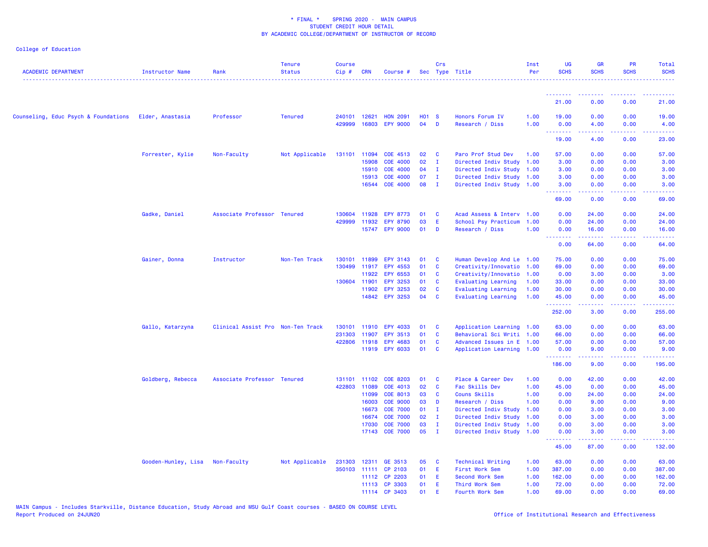| <b>ACADEMIC DEPARTMENT</b>           | <b>Instructor Name</b> | Rank                              | <b>Tenure</b><br><b>Status</b> | <b>Course</b><br>Cip# | <b>CRN</b>   | Course #        |              | Crs            | Sec Type Title             | Inst<br>Per | <b>UG</b><br><b>SCHS</b>                                                                                                                  | <b>GR</b><br><b>SCHS</b> | <b>PR</b><br><b>SCHS</b> | Total<br><b>SCHS</b> |
|--------------------------------------|------------------------|-----------------------------------|--------------------------------|-----------------------|--------------|-----------------|--------------|----------------|----------------------------|-------------|-------------------------------------------------------------------------------------------------------------------------------------------|--------------------------|--------------------------|----------------------|
|                                      |                        |                                   |                                |                       |              |                 |              |                |                            |             | <u>.</u>                                                                                                                                  | د د د د د                |                          |                      |
|                                      |                        |                                   |                                |                       |              |                 |              |                |                            |             | 21.00                                                                                                                                     | 0.00                     | 0.00                     | 21.00                |
| Counseling, Educ Psych & Foundations | Elder, Anastasia       | Professor                         | <b>Tenured</b>                 | 240101                | 12621        | <b>HON 2091</b> | <b>HO1 S</b> |                | Honors Forum IV            | 1.00        | 19.00                                                                                                                                     | 0.00                     | 0.00                     | 19.00                |
|                                      |                        |                                   |                                | 429999                | 16803        | <b>EPY 9000</b> | 04           | D              | Research / Diss            | 1.00        | 0.00<br>.                                                                                                                                 | 4.00                     | 0.00                     | 4.00                 |
|                                      |                        |                                   |                                |                       |              |                 |              |                |                            |             | 19.00                                                                                                                                     | 4.00                     | 0.00                     | 23.00                |
|                                      | Forrester, Kylie       | Non-Faculty                       | Not Applicable                 | 131101 11094          |              | COE 4513        | 02           | C              | Paro Prof Stud Dev         | 1.00        | 57.00                                                                                                                                     | 0.00                     | 0.00                     | 57.00                |
|                                      |                        |                                   |                                |                       | 15908        | <b>COE 4000</b> | 02           | $\mathbf{I}$   | Directed Indiv Study 1.00  |             | 3.00                                                                                                                                      | 0.00                     | 0.00                     | 3.00                 |
|                                      |                        |                                   |                                |                       | 15910        | <b>COE 4000</b> | 04           | $\mathbf{I}$   | Directed Indiv Study 1.00  |             | 3.00                                                                                                                                      | 0.00                     | 0.00                     | 3.00                 |
|                                      |                        |                                   |                                |                       | 15913        | <b>COE 4000</b> | 07           | $\mathbf{I}$   | Directed Indiv Study 1.00  |             | 3.00                                                                                                                                      | 0.00                     | 0.00                     | 3.00                 |
|                                      |                        |                                   |                                |                       |              | 16544 COE 4000  | 08           | $\blacksquare$ | Directed Indiv Study 1.00  |             | 3.00<br>.                                                                                                                                 | 0.00<br>.                | 0.00<br>.                | 3.00<br>.            |
|                                      |                        |                                   |                                |                       |              |                 |              |                |                            |             | 69.00                                                                                                                                     | 0.00                     | 0.00                     | 69.00                |
|                                      | Gadke, Daniel          | Associate Professor Tenured       |                                | 130604                | 11928        | <b>EPY 8773</b> | 01           | <b>C</b>       | Acad Assess & Interv 1.00  |             | 0.00                                                                                                                                      | 24.00                    | 0.00                     | 24.00                |
|                                      |                        |                                   |                                | 429999                | 11932        | <b>EPY 8790</b> | 03           | Ε              | School Psy Practicum 1.00  |             | 0.00                                                                                                                                      | 24.00                    | 0.00                     | 24.00                |
|                                      |                        |                                   |                                |                       |              | 15747 EPY 9000  | 01           | D              | Research / Diss            | 1.00        | 0.00<br><b>.</b>                                                                                                                          | 16.00<br>.               | 0.00<br>.                | 16.00<br>.           |
|                                      |                        |                                   |                                |                       |              |                 |              |                |                            |             | 0.00                                                                                                                                      | 64.00                    | 0.00                     | 64.00                |
|                                      | Gainer, Donna          | Instructor                        | Non-Ten Track                  | 130101                | 11899        | EPY 3143        | 01           | C              | Human Develop And Le 1.00  |             | 75.00                                                                                                                                     | 0.00                     | 0.00                     | 75.00                |
|                                      |                        |                                   |                                | 130499                | 11917        | <b>EPY 4553</b> | 01           | C              | Creativity/Innovatio 1.00  |             | 69.00                                                                                                                                     | 0.00                     | 0.00                     | 69.00                |
|                                      |                        |                                   |                                |                       | 11922        | EPY 6553        | 01           | C              | Creativity/Innovatio 1.00  |             | 0.00                                                                                                                                      | 3.00                     | 0.00                     | 3.00                 |
|                                      |                        |                                   |                                |                       | 130604 11901 | <b>EPY 3253</b> | 01           | C              | <b>Evaluating Learning</b> | 1.00        | 33.00                                                                                                                                     | 0.00                     | 0.00                     | 33.00                |
|                                      |                        |                                   |                                |                       | 11902        | <b>EPY 3253</b> | 02           | $\mathbf{C}$   | <b>Evaluating Learning</b> | 1.00        | 30.00                                                                                                                                     | 0.00                     | 0.00                     | 30.00                |
|                                      |                        |                                   |                                |                       |              | 14842 EPY 3253  | 04           | <b>C</b>       | <b>Evaluating Learning</b> | 1.00        | 45.00                                                                                                                                     | 0.00                     | 0.00                     | 45.00                |
|                                      |                        |                                   |                                |                       |              |                 |              |                |                            |             | $\begin{array}{cccccccccc} \bullet & \bullet & \bullet & \bullet & \bullet & \bullet & \bullet & \bullet & \bullet \end{array}$<br>252.00 | 3.00                     | 0.00                     | 255.00               |
|                                      | Gallo, Katarzyna       | Clinical Assist Pro Non-Ten Track |                                |                       | 130101 11910 | <b>EPY 4033</b> | 01           | C              | Application Learning 1.00  |             | 63.00                                                                                                                                     | 0.00                     | 0.00                     | 63.00                |
|                                      |                        |                                   |                                | 231303                | 11907        | EPY 3513        | 01           | C              | Behavioral Sci Writi 1.00  |             | 66.00                                                                                                                                     | 0.00                     | 0.00                     | 66.00                |
|                                      |                        |                                   |                                | 422806                | 11918        | <b>EPY 4683</b> | 01           | $\mathbf{C}$   | Advanced Issues in E 1.00  |             | 57.00                                                                                                                                     | 0.00                     | 0.00                     | 57.00                |
|                                      |                        |                                   |                                |                       |              | 11919 EPY 6033  | 01           | C              | Application Learning 1.00  |             | 0.00                                                                                                                                      | 9.00                     | 0.00                     | 9.00                 |
|                                      |                        |                                   |                                |                       |              |                 |              |                |                            |             | .<br>186.00                                                                                                                               | 9.00                     | 0.00                     | 195.00               |
|                                      | Goldberg, Rebecca      | Associate Professor Tenured       |                                |                       | 131101 11102 | <b>COE 8203</b> | 01           | C              | Place & Career Dev         | 1.00        | 0.00                                                                                                                                      | 42.00                    | 0.00                     | 42.00                |
|                                      |                        |                                   |                                | 422803                | 11089        | COE 4013        | 02           | <b>C</b>       | Fac Skills Dev             | 1.00        | 45.00                                                                                                                                     | 0.00                     | 0.00                     | 45.00                |
|                                      |                        |                                   |                                |                       | 11099        | COE 8013        | 03           | C              | Couns Skills               | 1.00        | 0.00                                                                                                                                      | 24.00                    | 0.00                     | 24.00                |
|                                      |                        |                                   |                                |                       | 16003        | <b>COE 9000</b> | 03           | D              | Research / Diss            | 1.00        | 0.00                                                                                                                                      | 9.00                     | 0.00                     | 9.00                 |
|                                      |                        |                                   |                                |                       | 16673        | <b>COE 7000</b> | 01           | $\mathbf{I}$   | Directed Indiv Study       | 1.00        | 0.00                                                                                                                                      | 3.00                     | 0.00                     | 3.00                 |
|                                      |                        |                                   |                                |                       | 16674        | <b>COE 7000</b> | 02           | $\mathbf{I}$   | Directed Indiv Study 1.00  |             | 0.00                                                                                                                                      | 3.00                     | 0.00                     | 3.00                 |
|                                      |                        |                                   |                                |                       | 17030        | <b>COE 7000</b> | 03           | $\mathbf{I}$   | Directed Indiv Study 1.00  |             | 0.00                                                                                                                                      | 3.00                     | 0.00                     | 3.00                 |
|                                      |                        |                                   |                                |                       |              | 17143 COE 7000  | 05           | $\mathbf{I}$   | Directed Indiv Study 1.00  |             | 0.00                                                                                                                                      | 3.00                     | 0.00                     | 3.00                 |
|                                      |                        |                                   |                                |                       |              |                 |              |                |                            |             | 45.00                                                                                                                                     | 87.00                    | 0.00                     | 132.00               |
|                                      | Gooden-Hunley, Lisa    | Non-Faculty                       | Not Applicable                 | 231303                | 12311        | GE 3513         | 05           | C              | <b>Technical Writing</b>   | 1.00        | 63.00                                                                                                                                     | 0.00                     | 0.00                     | 63.00                |
|                                      |                        |                                   |                                |                       | 350103 11111 | CP 2103         | 01           | E              | First Work Sem             | 1.00        | 387.00                                                                                                                                    | 0.00                     | 0.00                     | 387.00               |
|                                      |                        |                                   |                                |                       | 11112        | CP 2203         | 01           | E              | Second Work Sem            | 1.00        | 162.00                                                                                                                                    | 0.00                     | 0.00                     | 162.00               |
|                                      |                        |                                   |                                |                       |              | 11113 CP 3303   | 01           | E              | Third Work Sem             | 1.00        | 72.00                                                                                                                                     | 0.00                     | 0.00                     | 72.00                |
|                                      |                        |                                   |                                |                       |              | 11114 CP 3403   | 01           | E              | <b>Fourth Work Sem</b>     | 1.00        | 69.00                                                                                                                                     | 0.00                     | 0.00                     | 69.00                |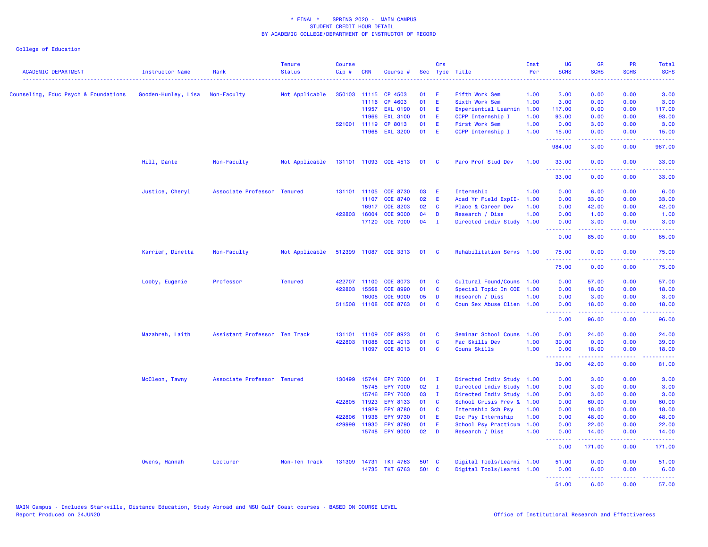| <b>ACADEMIC DEPARTMENT</b>           | Instructor Name     | Rank                          | <b>Tenure</b><br><b>Status</b> | <b>Course</b><br>$Cip$ # | <b>CRN</b>   | Course #              |        | Crs          | Sec Type Title            | Inst<br>Per | <b>UG</b><br><b>SCHS</b> | <b>GR</b><br><b>SCHS</b>                                                                                                                                     | PR<br><b>SCHS</b> | Total<br><b>SCHS</b> |
|--------------------------------------|---------------------|-------------------------------|--------------------------------|--------------------------|--------------|-----------------------|--------|--------------|---------------------------|-------------|--------------------------|--------------------------------------------------------------------------------------------------------------------------------------------------------------|-------------------|----------------------|
| Counseling, Educ Psych & Foundations | Gooden-Hunley, Lisa | Non-Faculty                   | Not Applicable                 |                          | 350103 11115 | CP 4503               | 01     | - E          | Fifth Work Sem            | 1.00        | 3.00                     | 0.00                                                                                                                                                         | 0.00              | 3.00                 |
|                                      |                     |                               |                                |                          | 11116        | CP 4603               | 01     | E            | Sixth Work Sem            | 1.00        | 3.00                     | 0.00                                                                                                                                                         | 0.00              | 3.00                 |
|                                      |                     |                               |                                |                          | 11957        | <b>EXL 0190</b>       | 01 E   |              | Experiential Learnin      | 1.00        | 117.00                   | 0.00                                                                                                                                                         | 0.00              | 117.00               |
|                                      |                     |                               |                                |                          | 11966        | <b>EXL 3100</b>       | 01     | E.           | CCPP Internship I         | 1.00        | 93.00                    | 0.00                                                                                                                                                         | 0.00              | 93.00                |
|                                      |                     |                               |                                |                          | 521001 11119 | CP 8013               | 01     | E            | First Work Sem            | 1.00        | 0.00                     | 3.00                                                                                                                                                         | 0.00              | 3.00                 |
|                                      |                     |                               |                                |                          | 11968        | <b>EXL 3200</b>       | 01     | E            | CCPP Internship I         | 1.00        | 15.00                    | 0.00                                                                                                                                                         | 0.00              | 15.00                |
|                                      |                     |                               |                                |                          |              |                       |        |              |                           |             | .<br>984.00              | .<br>3.00                                                                                                                                                    | .<br>0.00         | 222222<br>987.00     |
|                                      | Hill, Dante         | Non-Faculty                   | Not Applicable                 |                          |              | 131101 11093 COE 4513 | 01 C   |              | Paro Prof Stud Dev        | 1.00        | 33.00<br>.               | 0.00                                                                                                                                                         | 0.00              | 33,00                |
|                                      |                     |                               |                                |                          |              |                       |        |              |                           |             | 33.00                    | 0.00                                                                                                                                                         | 0.00              | 33.00                |
|                                      | Justice, Cheryl     | Associate Professor Tenured   |                                |                          | 131101 11105 | COE 8730              | 03     | - E          | Internship                | 1.00        | 0.00                     | 6.00                                                                                                                                                         | 0.00              | 6.00                 |
|                                      |                     |                               |                                |                          | 11107        | <b>COE 8740</b>       | 02     | E            | Acad Yr Field ExpII-      | 1.00        | 0.00                     | 33.00                                                                                                                                                        | 0.00              | 33.00                |
|                                      |                     |                               |                                |                          | 16917        | <b>COE 8203</b>       | 02     | $\mathbf{C}$ | Place & Career Dev        | 1.00        | 0.00                     | 42.00                                                                                                                                                        | 0.00              | 42.00                |
|                                      |                     |                               |                                | 422803                   | 16004        | <b>COE 9000</b>       | 04     | D            | Research / Diss           | 1.00        | 0.00                     | 1.00                                                                                                                                                         | 0.00              | 1.00                 |
|                                      |                     |                               |                                |                          | 17120        | <b>COE 7000</b>       | $04$ I |              | Directed Indiv Study      | 1.00        | 0.00<br><u>.</u>         | 3.00<br>.                                                                                                                                                    | 0.00<br>د د د د   | 3.00<br>وساعات       |
|                                      |                     |                               |                                |                          |              |                       |        |              |                           |             | 0.00                     | 85.00                                                                                                                                                        | 0.00              | 85.00                |
|                                      | Karriem, Dinetta    | Non-Faculty                   | Not Applicable                 |                          |              | 512399 11087 COE 3313 | 01 C   |              | Rehabilitation Servs 1.00 |             | 75.00<br>.               | 0.00<br>$\frac{1}{2} \left( \frac{1}{2} \right) \left( \frac{1}{2} \right) \left( \frac{1}{2} \right) \left( \frac{1}{2} \right) \left( \frac{1}{2} \right)$ | 0.00<br>المتحدث   | 75.00<br>.           |
|                                      |                     |                               |                                |                          |              |                       |        |              |                           |             | 75.00                    | 0.00                                                                                                                                                         | 0.00              | 75.00                |
|                                      | Looby, Eugenie      | Professor                     | <b>Tenured</b>                 | 422707                   | 11100        | <b>COE 8073</b>       | 01     | $\mathbf{C}$ | Cultural Found/Couns 1.00 |             | 0.00                     | 57.00                                                                                                                                                        | 0.00              | 57.00                |
|                                      |                     |                               |                                | 422803                   | 15568        | <b>COE 8990</b>       | 01     | <b>C</b>     | Special Topic In COE 1.00 |             | 0.00                     | 18.00                                                                                                                                                        | 0.00              | 18.00                |
|                                      |                     |                               |                                |                          | 16005        | <b>COE 9000</b>       | 05     | D            | Research / Diss           | 1.00        | 0.00                     | 3.00                                                                                                                                                         | 0.00              | 3.00                 |
|                                      |                     |                               |                                |                          | 511508 11108 | <b>COE 8763</b>       | 01     | $\mathbf{C}$ | Coun Sex Abuse Clien 1.00 |             | 0.00<br><u>.</u>         | 18.00<br>.                                                                                                                                                   | 0.00<br>.         | 18.00<br>.           |
|                                      |                     |                               |                                |                          |              |                       |        |              |                           |             | 0.00                     | 96.00                                                                                                                                                        | 0.00              | 96.00                |
|                                      | Mazahreh, Laith     | Assistant Professor Ten Track |                                | 131101 11109             |              | COE 8923              | 01     | $\mathbf{C}$ | Seminar School Couns      | 1.00        | 0.00                     | 24.00                                                                                                                                                        | 0.00              | 24.00                |
|                                      |                     |                               |                                | 422803 11088             |              | COE 4013              | 01     | C            | Fac Skills Dev            | 1.00        | 39.00                    | 0.00                                                                                                                                                         | 0.00              | 39.00                |
|                                      |                     |                               |                                |                          | 11097        | <b>COE 8013</b>       | 01     | <b>C</b>     | Couns Skills              | 1.00        | 0.00                     | 18.00                                                                                                                                                        | 0.00              | 18.00                |
|                                      |                     |                               |                                |                          |              |                       |        |              |                           |             | .<br>39.00               | المستملة<br>42.00                                                                                                                                            | الأبالات<br>0.00  | .<br>81.00           |
|                                      | McCleon, Tawny      | Associate Professor Tenured   |                                | 130499                   | 15744        | <b>EPY 7000</b>       | 01     | $\mathbf{I}$ | Directed Indiv Study 1.00 |             | 0.00                     | 3.00                                                                                                                                                         | 0.00              | 3.00                 |
|                                      |                     |                               |                                |                          | 15745        | <b>EPY 7000</b>       | 02     | $\mathbf{I}$ | Directed Indiv Study 1.00 |             | 0.00                     | 3.00                                                                                                                                                         | 0.00              | 3.00                 |
|                                      |                     |                               |                                |                          | 15746        | <b>EPY 7000</b>       | 03     | $\mathbf{I}$ | Directed Indiv Study 1.00 |             | 0.00                     | 3.00                                                                                                                                                         | 0.00              | 3.00                 |
|                                      |                     |                               |                                | 422805 11923             |              | EPY 8133              | 01     | $\mathbf{C}$ | School Crisis Prev & 1.00 |             | 0.00                     | 60.00                                                                                                                                                        | 0.00              | 60.00                |
|                                      |                     |                               |                                |                          | 11929        | <b>EPY 8780</b>       | 01     | $\mathbf{C}$ | Internship Sch Psy        | 1.00        | 0.00                     | 18.00                                                                                                                                                        | 0.00              | 18.00                |
|                                      |                     |                               |                                | 422806                   | 11936        | <b>EPY 9730</b>       | 01     | E            | Doc Psy Internship        | 1.00        | 0.00                     | 48.00                                                                                                                                                        | 0.00              | 48.00                |
|                                      |                     |                               |                                | 429999                   | 11930        | <b>EPY 8790</b>       | 01     | - E          | School Psy Practicum      | 1.00        | 0.00                     | 22.00                                                                                                                                                        | 0.00              | 22.00                |
|                                      |                     |                               |                                |                          | 15748        | <b>EPY 9000</b>       | $02$ D |              | Research / Diss           | 1.00        | 0.00<br>.                | 14.00<br><b><i><u></u></i></b>                                                                                                                               | 0.00<br>22222     | 14.00                |
|                                      |                     |                               |                                |                          |              |                       |        |              |                           |             | 0.00                     | 171.00                                                                                                                                                       | 0.00              | 171.00               |
|                                      | Owens, Hannah       | Lecturer                      | Non-Ten Track                  | 131309                   |              | 14731 TKT 4763        | 501 C  |              | Digital Tools/Learni 1.00 |             | 51.00                    | 0.00                                                                                                                                                         | 0.00              | 51.00                |
|                                      |                     |                               |                                |                          |              | 14735 TKT 6763        | 501 C  |              | Digital Tools/Learni 1.00 |             | 0.00                     | 6.00                                                                                                                                                         | 0.00              | 6.00                 |
|                                      |                     |                               |                                |                          |              |                       |        |              |                           |             | .<br>51.00               | $\frac{1}{2} \left( \frac{1}{2} \right) \left( \frac{1}{2} \right) \left( \frac{1}{2} \right) \left( \frac{1}{2} \right) \left( \frac{1}{2} \right)$<br>6.00 | .<br>0.00         | .<br>57.00           |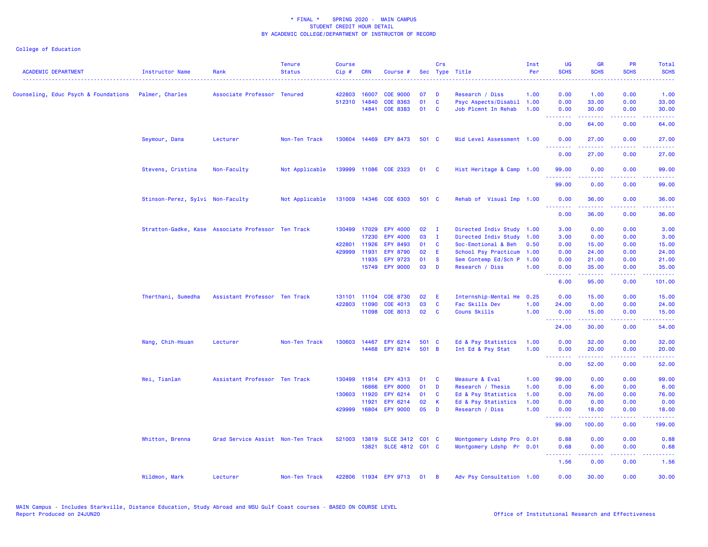| <b>ACADEMIC DEPARTMENT</b>           | <b>Instructor Name</b>           | Rank                                               | <b>Tenure</b><br><b>Status</b> | <b>Course</b><br>Cip# | <b>CRN</b>   | Course #                           |          | Crs                          | Sec Type Title                                   | Inst<br>Per | <b>UG</b><br><b>SCHS</b><br>$\omega$ is a $\omega$ . | <b>GR</b><br><b>SCHS</b> | <b>PR</b><br><b>SCHS</b>                                                                               | Total<br><b>SCHS</b><br>د د د د د                                                                                                  |
|--------------------------------------|----------------------------------|----------------------------------------------------|--------------------------------|-----------------------|--------------|------------------------------------|----------|------------------------------|--------------------------------------------------|-------------|------------------------------------------------------|--------------------------|--------------------------------------------------------------------------------------------------------|------------------------------------------------------------------------------------------------------------------------------------|
| Counseling, Educ Psych & Foundations | Palmer, Charles                  | Associate Professor Tenured                        |                                | 422803                | 16007        | <b>COE 9000</b>                    | 07       | <b>D</b>                     | Research / Diss                                  | 1.00        | 0.00                                                 | 1.00                     | 0.00                                                                                                   | 1.00                                                                                                                               |
|                                      |                                  |                                                    |                                | 512310 14840          | 14841        | <b>COE 8363</b><br><b>COE 8383</b> | 01<br>01 | $\mathbf{C}$<br>$\mathbf{C}$ | Psyc Aspects/Disabil 1.00<br>Job Plcmnt In Rehab | 1.00        | 0.00<br>0.00                                         | 33.00<br>30.00           | 0.00<br>0.00                                                                                           | 33.00<br>30.00                                                                                                                     |
|                                      |                                  |                                                    |                                |                       |              |                                    |          |                              |                                                  |             | .<br>0.00                                            | <u>.</u><br>64.00        | $\frac{1}{2} \left( \frac{1}{2} \right) \left( \frac{1}{2} \right) \left( \frac{1}{2} \right)$<br>0.00 | $\frac{1}{2} \left( \frac{1}{2} \right) \left( \frac{1}{2} \right) \left( \frac{1}{2} \right) \left( \frac{1}{2} \right)$<br>64.00 |
|                                      | Seymour, Dana                    | Lecturer                                           | Non-Ten Track                  |                       |              | 130604 14469 EPY 8473              | 501 C    |                              | Mid Level Assessment 1.00                        |             | 0.00                                                 | 27.00                    | 0.00                                                                                                   | 27.00                                                                                                                              |
|                                      |                                  |                                                    |                                |                       |              |                                    |          |                              |                                                  |             | 0.00                                                 | 27.00                    | 0.00                                                                                                   | 27.00                                                                                                                              |
|                                      | Stevens, Cristina                | Non-Faculty                                        | Not Applicable                 |                       |              | 139999 11086 COE 2323              | 01 C     |                              | Hist Heritage & Camp 1.00                        |             | 99.00<br>بالمحام                                     | 0.00                     | 0.00                                                                                                   | 99.00                                                                                                                              |
|                                      |                                  |                                                    |                                |                       |              |                                    |          |                              |                                                  |             | 99.00                                                | 0.00                     | 0.00                                                                                                   | 99.00                                                                                                                              |
|                                      | Stinson-Perez, Sylvi Non-Faculty |                                                    | Not Applicable                 |                       |              | 131009 14346 COE 6303              | 501 C    |                              | Rehab of Visual Imp 1.00                         |             | 0.00<br>.                                            | 36.00<br>بالأبادي        | 0.00<br>.                                                                                              | 36.00<br>.                                                                                                                         |
|                                      |                                  |                                                    |                                |                       |              |                                    |          |                              |                                                  |             | 0.00                                                 | 36.00                    | 0.00                                                                                                   | 36.00                                                                                                                              |
|                                      |                                  | Stratton-Gadke, Kase Associate Professor Ten Track |                                |                       | 130499 17029 | EPY 4000                           | 02       | $\mathbf{I}$                 | Directed Indiv Study 1.00                        |             | 3.00                                                 | 0.00                     | 0.00                                                                                                   | 3.00                                                                                                                               |
|                                      |                                  |                                                    |                                |                       | 17230        | <b>EPY 4000</b>                    | 03       | $\mathbf{I}$                 | Directed Indiv Study 1.00                        |             | 3.00                                                 | 0.00                     | 0.00                                                                                                   | 3.00                                                                                                                               |
|                                      |                                  |                                                    |                                | 422801 11926          |              | EPY 8493                           | 01       | $\mathbf{C}$                 | Soc-Emotional & Beh                              | 0.50        | 0.00                                                 | 15.00                    | 0.00                                                                                                   | 15.00                                                                                                                              |
|                                      |                                  |                                                    |                                | 429999                | 11931        | <b>EPY 8790</b>                    | 02       | E                            | School Psy Practicum                             | 1.00        | 0.00                                                 | 24.00                    | 0.00                                                                                                   | 24.00                                                                                                                              |
|                                      |                                  |                                                    |                                |                       | 11935        | <b>EPY 9723</b>                    | 01       | <b>S</b>                     | Sem Contemp Ed/Sch P                             | 1.00        | 0.00                                                 | 21.00                    | 0.00                                                                                                   | 21.00                                                                                                                              |
|                                      |                                  |                                                    |                                |                       |              | 15749 EPY 9000                     | 03       | $\mathbf{D}$                 | Research / Diss                                  | 1.00        | 0.00<br><b></b>                                      | 35.00<br>.               | 0.00<br>.                                                                                              | 35.00<br>.                                                                                                                         |
|                                      |                                  |                                                    |                                |                       |              |                                    |          |                              |                                                  |             | 6.00                                                 | 95.00                    | 0.00                                                                                                   | 101.00                                                                                                                             |
|                                      | Therthani, Sumedha               | Assistant Professor Ten Track                      |                                |                       | 131101 11104 | <b>COE 8730</b>                    | 02       | - E                          | Internship-Mental He                             | 0.25        | 0.00                                                 | 15.00                    | 0.00                                                                                                   | 15.00                                                                                                                              |
|                                      |                                  |                                                    |                                | 422803                | 11090        | COE 4013                           | 03       | $\mathbf{C}$                 | Fac Skills Dev                                   | 1.00        | 24.00                                                | 0.00                     | 0.00                                                                                                   | 24.00                                                                                                                              |
|                                      |                                  |                                                    |                                |                       |              | 11098 COE 8013                     | 02       | $\overline{\mathbf{C}}$      | Couns Skills                                     | 1.00        | 0.00                                                 | 15.00                    | 0.00                                                                                                   | 15.00                                                                                                                              |
|                                      |                                  |                                                    |                                |                       |              |                                    |          |                              |                                                  |             | <b></b><br>24.00                                     | .<br>30.00               | .<br>0.00                                                                                              | .<br>54.00                                                                                                                         |
|                                      | Wang, Chih-Hsuan                 | Lecturer                                           | Non-Ten Track                  | 130603                | 14467        | EPY 6214                           | 501 C    |                              | Ed & Psy Statistics                              | 1.00        | 0.00                                                 | 32.00                    | 0.00                                                                                                   | 32.00                                                                                                                              |
|                                      |                                  |                                                    |                                |                       |              | 14468 EPY 8214                     | 501 B    |                              | Int Ed & Psy Stat                                | 1.00        | 0.00<br><b></b>                                      | 20.00<br>د د د د د       | 0.00<br>.                                                                                              | 20.00<br>.                                                                                                                         |
|                                      |                                  |                                                    |                                |                       |              |                                    |          |                              |                                                  |             | 0.00                                                 | 52.00                    | 0.00                                                                                                   | 52.00                                                                                                                              |
|                                      | Wei, Tianlan                     | Assistant Professor Ten Track                      |                                | 130499                |              | 11914 EPY 4313                     | 01       | $\mathbf{C}$                 | Measure & Eval                                   | 1.00        | 99.00                                                | 0.00                     | 0.00                                                                                                   | 99.00                                                                                                                              |
|                                      |                                  |                                                    |                                |                       | 16866        | <b>EPY 8000</b>                    | 01       | $\blacksquare$               | Research / Thesis                                | 1.00        | 0.00                                                 | 6.00                     | 0.00                                                                                                   | 6.00                                                                                                                               |
|                                      |                                  |                                                    |                                | 130603                | 11920        | EPY 6214                           | 01       | <b>C</b>                     | Ed & Psy Statistics                              | 1.00        | 0.00                                                 | 76.00                    | 0.00                                                                                                   | 76.00                                                                                                                              |
|                                      |                                  |                                                    |                                |                       | 11921        | EPY 6214                           | 02       | K                            | Ed & Psy Statistics                              | 1.00        | 0.00                                                 | 0.00                     | 0.00                                                                                                   | 0.00                                                                                                                               |
|                                      |                                  |                                                    |                                | 429999                | 16804        | <b>EPY 9000</b>                    | 05       | D                            | Research / Diss                                  | 1.00        | 0.00<br><b></b>                                      | 18.00<br>.               | 0.00<br>. <b>.</b> .                                                                                   | 18.00<br>.                                                                                                                         |
|                                      |                                  |                                                    |                                |                       |              |                                    |          |                              |                                                  |             | 99.00                                                | 100.00                   | 0.00                                                                                                   | 199.00                                                                                                                             |
|                                      | Whitton, Brenna                  | Grad Service Assist Non-Ten Track                  |                                |                       |              | 521003 13819 SLCE 3412 C01 C       |          |                              | Montgomery Ldshp Pro 0.01                        |             | 0.88                                                 | 0.00                     | 0.00                                                                                                   | 0.88                                                                                                                               |
|                                      |                                  |                                                    |                                |                       |              | 13821 SLCE 4812 C01 C              |          |                              | Montgomery Ldshp Pr 0.01                         |             | 0.68<br>د د د د                                      | 0.00                     | 0.00<br>وعاويا                                                                                         | 0.68                                                                                                                               |
|                                      |                                  |                                                    |                                |                       |              |                                    |          |                              |                                                  |             | 1.56                                                 | 0.00                     | 0.00                                                                                                   | 1.56                                                                                                                               |
|                                      | Wildmon, Mark                    | Lecturer                                           | Non-Ten Track                  |                       |              | 422806 11934 EPY 9713 01 B         |          |                              | Adv Psy Consultation 1.00                        |             | 0.00                                                 | 30.00                    | 0.00                                                                                                   | 30.00                                                                                                                              |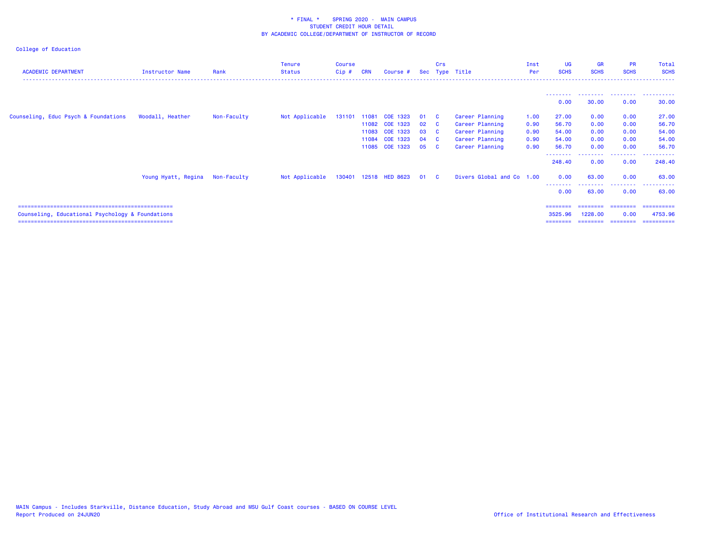| <b>ACADEMIC DEPARTMENT</b>                       | <b>Instructor Name</b> | Rank        | <b>Tenure</b><br><b>Status</b> | <b>Course</b><br>Cip # | <b>CRN</b> | Course #              |              | Crs | Sec Type Title            | Inst<br>Per | UG<br><b>SCHS</b> | <b>GR</b><br><b>SCHS</b> | <b>PR</b><br><b>SCHS</b> | Total<br><b>SCHS</b>    |
|--------------------------------------------------|------------------------|-------------|--------------------------------|------------------------|------------|-----------------------|--------------|-----|---------------------------|-------------|-------------------|--------------------------|--------------------------|-------------------------|
|                                                  |                        |             |                                |                        |            |                       |              |     |                           |             | ---------         |                          |                          | . <b>.</b>              |
|                                                  |                        |             |                                |                        |            |                       |              |     |                           |             | 0.00              | 30.00                    | 0.00                     | 30.00                   |
| Counseling, Educ Psych & Foundations             | Woodall, Heather       | Non-Faculty | Not Applicable                 | 131101                 | 11081      | COE 1323              | 01 C         |     | Career Planning           | 1.00        | 27.00             | 0.00                     | 0.00                     | 27.00                   |
|                                                  |                        |             |                                |                        |            | 11082 COE 1323        | $02\qquad C$ |     | Career Planning           | 0.90        | 56.70             | 0.00                     | 0.00                     | 56.70                   |
|                                                  |                        |             |                                |                        | 11083      | COE 1323              | 03 C         |     | Career Planning           | 0.90        | 54.00             | 0.00                     | 0.00                     | 54.00                   |
|                                                  |                        |             |                                |                        | 11084      | COE 1323              | 04 C         |     | Career Planning           | 0.90        | 54.00             | 0.00                     | 0.00                     | 54.00                   |
|                                                  |                        |             |                                |                        | 11085      | COE 1323              | 05 C         |     | Career Planning           | 0.90        | 56.70             | 0.00                     | 0.00                     | 56.70                   |
|                                                  |                        |             |                                |                        |            |                       |              |     |                           |             | 248.40            | 0.00                     | --------<br>0.00         | - - - - - - -<br>248.40 |
|                                                  | Young Hyatt, Regina    | Non-Faculty | Not Applicable                 |                        |            | 130401 12518 HED 8623 | 01 C         |     | Divers Global and Co 1.00 |             | 0.00              | 63.00                    | 0.00                     | 63.00                   |
|                                                  |                        |             |                                |                        |            |                       |              |     |                           |             | --------<br>0.00  | ------<br>63.00          | ---------<br>0.00        | .<br>63.00              |
|                                                  |                        |             |                                |                        |            |                       |              |     |                           |             | ========          | ========                 | ========                 | ==========              |
| Counseling, Educational Psychology & Foundations |                        |             |                                |                        |            |                       |              |     |                           |             | 3525.96           | 1228,00                  | 0.00                     | 4753.96                 |
|                                                  |                        |             |                                |                        |            |                       |              |     |                           |             | ========          | ========                 | ========                 | ==========              |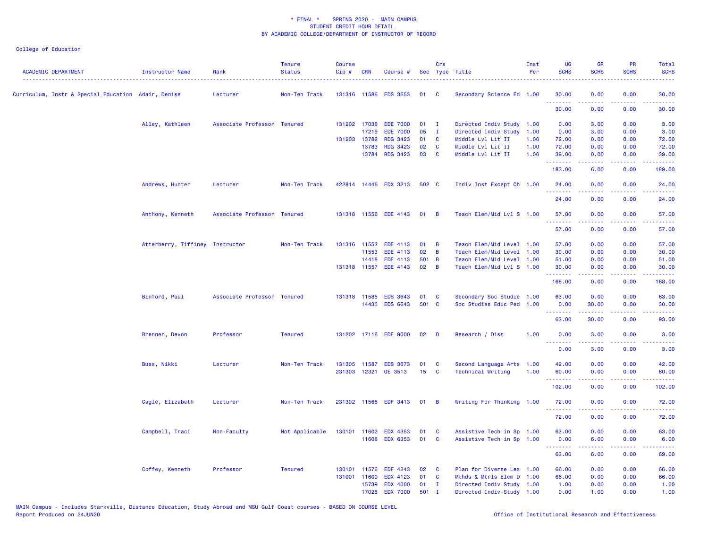| <b>ACADEMIC DEPARTMENT</b>                          | <b>Instructor Name</b>          | Rank                        | <b>Tenure</b><br><b>Status</b> | <b>Course</b><br>Cip# | <b>CRN</b>   | Course #              |           | Crs            | Sec Type Title            | Inst<br>Per | <b>UG</b><br><b>SCHS</b>                                                                                                           | <b>GR</b><br><b>SCHS</b>                                                                                                                                     | <b>PR</b><br><b>SCHS</b>                                                                                                          | Total<br><b>SCHS</b>                                                                                                              |
|-----------------------------------------------------|---------------------------------|-----------------------------|--------------------------------|-----------------------|--------------|-----------------------|-----------|----------------|---------------------------|-------------|------------------------------------------------------------------------------------------------------------------------------------|--------------------------------------------------------------------------------------------------------------------------------------------------------------|-----------------------------------------------------------------------------------------------------------------------------------|-----------------------------------------------------------------------------------------------------------------------------------|
| Curriculum, Instr & Special Education Adair, Denise |                                 | Lecturer                    | Non-Ten Track                  |                       |              | 131316 11586 EDS 3653 | <b>01</b> | <b>C</b>       | Secondary Science Ed 1.00 |             | 30.00<br>.                                                                                                                         | 0.00<br>.                                                                                                                                                    | 0.00                                                                                                                              | 30.00                                                                                                                             |
|                                                     |                                 |                             |                                |                       |              |                       |           |                |                           |             | 30.00                                                                                                                              | 0.00                                                                                                                                                         | 0.00                                                                                                                              | 30.00                                                                                                                             |
|                                                     | Alley, Kathleen                 | Associate Professor Tenured |                                |                       | 131202 17036 | <b>EDE 7000</b>       | 01        | $\mathbf{I}$   | Directed Indiv Study 1.00 |             | 0.00                                                                                                                               | 3.00                                                                                                                                                         | 0.00                                                                                                                              | 3.00                                                                                                                              |
|                                                     |                                 |                             |                                |                       | 17219        | <b>EDE 7000</b>       | 05        | $\mathbf{I}$   | Directed Indiv Study 1.00 |             | 0.00                                                                                                                               | 3.00                                                                                                                                                         | 0.00                                                                                                                              | 3.00                                                                                                                              |
|                                                     |                                 |                             |                                | 131203                | 13782        | <b>RDG 3423</b>       | 01        | $\mathbf{C}$   | Middle Lvl Lit II         | 1.00        | 72.00                                                                                                                              | 0.00                                                                                                                                                         | 0.00                                                                                                                              | 72.00                                                                                                                             |
|                                                     |                                 |                             |                                |                       | 13783        | <b>RDG 3423</b>       | 02        | <b>C</b>       | Middle Lvl Lit II         | 1.00        | 72.00                                                                                                                              | 0.00                                                                                                                                                         | 0.00                                                                                                                              | 72.00                                                                                                                             |
|                                                     |                                 |                             |                                |                       | 13784        | RDG 3423              | 03        | <b>C</b>       | Middle Lvl Lit II         | 1.00        | 39.00<br>.                                                                                                                         | 0.00<br>.                                                                                                                                                    | 0.00<br>$\frac{1}{2} \left( \frac{1}{2} \right) \left( \frac{1}{2} \right) \left( \frac{1}{2} \right) \left( \frac{1}{2} \right)$ | 39.00<br>.                                                                                                                        |
|                                                     |                                 |                             |                                |                       |              |                       |           |                |                           |             | 183.00                                                                                                                             | 6.00                                                                                                                                                         | 0.00                                                                                                                              | 189.00                                                                                                                            |
|                                                     | Andrews, Hunter                 | Lecturer                    | Non-Ten Track                  |                       |              | 422814 14446 EDX 3213 | 502 C     |                | Indiv Inst Except Ch 1.00 |             | 24.00<br>$\frac{1}{2} \left( \frac{1}{2} \right) \left( \frac{1}{2} \right) \left( \frac{1}{2} \right) \left( \frac{1}{2} \right)$ | 0.00                                                                                                                                                         | 0.00<br>$\frac{1}{2} \left( \frac{1}{2} \right) \left( \frac{1}{2} \right) \left( \frac{1}{2} \right) \left( \frac{1}{2} \right)$ | 24.00                                                                                                                             |
|                                                     |                                 |                             |                                |                       |              |                       |           |                |                           |             | 24.00                                                                                                                              | 0.00                                                                                                                                                         | 0.00                                                                                                                              | 24.00                                                                                                                             |
|                                                     | Anthony, Kenneth                | Associate Professor Tenured |                                |                       |              | 131318 11556 EDE 4143 | 01        | $\overline{B}$ | Teach Elem/Mid Lvl S 1.00 |             | 57.00                                                                                                                              | 0.00                                                                                                                                                         | 0.00                                                                                                                              | 57.00                                                                                                                             |
|                                                     |                                 |                             |                                |                       |              |                       |           |                |                           |             | .<br>57.00                                                                                                                         | $\frac{1}{2} \left( \frac{1}{2} \right) \left( \frac{1}{2} \right) \left( \frac{1}{2} \right) \left( \frac{1}{2} \right) \left( \frac{1}{2} \right)$<br>0.00 | .<br>0.00                                                                                                                         | .<br>57.00                                                                                                                        |
|                                                     | Atterberry, Tiffiney Instructor |                             | Non-Ten Track                  |                       | 131316 11552 | <b>EDE 4113</b>       | 01        | B              | Teach Elem/Mid Level 1.00 |             | 57.00                                                                                                                              | 0.00                                                                                                                                                         | 0.00                                                                                                                              | 57.00                                                                                                                             |
|                                                     |                                 |                             |                                |                       | 11553        | EDE 4113              | 02        | B              | Teach Elem/Mid Level 1.00 |             | 30.00                                                                                                                              | 0.00                                                                                                                                                         | 0.00                                                                                                                              | 30.00                                                                                                                             |
|                                                     |                                 |                             |                                |                       | 14418        | <b>EDE 4113</b>       | 501 B     |                | Teach Elem/Mid Level 1.00 |             | 51.00                                                                                                                              | 0.00                                                                                                                                                         | 0.00                                                                                                                              | 51.00                                                                                                                             |
|                                                     |                                 |                             |                                | 131318 11557          |              | <b>EDE 4143</b>       | 02        | $\overline{B}$ | Teach Elem/Mid Lvl S 1.00 |             | 30.00                                                                                                                              | 0.00                                                                                                                                                         | 0.00                                                                                                                              | 30.00                                                                                                                             |
|                                                     |                                 |                             |                                |                       |              |                       |           |                |                           |             | .<br>168.00                                                                                                                        | بالمستمال<br>0.00                                                                                                                                            | الأبالات<br>0.00                                                                                                                  | .<br>168.00                                                                                                                       |
|                                                     | Binford, Paul                   | Associate Professor Tenured |                                |                       |              | 131318 11585 EDS 3643 | 01        | C              | Secondary Soc Studie 1.00 |             | 63.00                                                                                                                              | 0.00                                                                                                                                                         | 0.00                                                                                                                              | 63.00                                                                                                                             |
|                                                     |                                 |                             |                                |                       |              | 14435 EDS 6643        | 501 C     |                | Soc Studies Educ Ped 1.00 |             | 0.00                                                                                                                               | 30.00                                                                                                                                                        | 0.00                                                                                                                              | 30.00                                                                                                                             |
|                                                     |                                 |                             |                                |                       |              |                       |           |                |                           |             | <u>.</u>                                                                                                                           |                                                                                                                                                              |                                                                                                                                   |                                                                                                                                   |
|                                                     |                                 |                             |                                |                       |              |                       |           |                |                           |             | 63.00                                                                                                                              | 30.00                                                                                                                                                        | 0.00                                                                                                                              | 93.00                                                                                                                             |
|                                                     | Brenner, Devon                  | Professor                   | <b>Tenured</b>                 |                       |              | 131202 17116 EDE 9000 | 02        | D              | Research / Diss           | 1.00        | 0.00<br>.                                                                                                                          | 3.00<br>.                                                                                                                                                    | 0.00                                                                                                                              | 3.00<br>$\frac{1}{2} \left( \frac{1}{2} \right) \left( \frac{1}{2} \right) \left( \frac{1}{2} \right) \left( \frac{1}{2} \right)$ |
|                                                     |                                 |                             |                                |                       |              |                       |           |                |                           |             | 0.00                                                                                                                               | 3.00                                                                                                                                                         | 0.00                                                                                                                              | 3.00                                                                                                                              |
|                                                     | Buss, Nikki                     | Lecturer                    | Non-Ten Track                  | 131305                | 11587        | <b>EDS 3673</b>       | 01        | C              | Second Language Arts 1.00 |             | 42.00                                                                                                                              | 0.00                                                                                                                                                         | 0.00                                                                                                                              | 42.00                                                                                                                             |
|                                                     |                                 |                             |                                | 231303                | 12321        | GE 3513               | 15        | <b>C</b>       | <b>Technical Writing</b>  | 1.00        | 60.00                                                                                                                              | 0.00                                                                                                                                                         | 0.00                                                                                                                              | 60.00                                                                                                                             |
|                                                     |                                 |                             |                                |                       |              |                       |           |                |                           |             | .<br>102.00                                                                                                                        | بالأباب<br>0.00                                                                                                                                              | $\sim$ $\sim$ $\sim$ $\sim$<br>0.00                                                                                               | $\sim$ $\sim$ $\sim$ $\sim$<br>102.00                                                                                             |
|                                                     | Cagle, Elizabeth                | Lecturer                    | Non-Ten Track                  |                       |              | 231302 11568 EDF 3413 | 01        | B              | Writing For Thinking 1.00 |             | 72.00                                                                                                                              | 0.00                                                                                                                                                         | 0.00                                                                                                                              | 72.00                                                                                                                             |
|                                                     |                                 |                             |                                |                       |              |                       |           |                |                           |             | .                                                                                                                                  | $\frac{1}{2} \left( \frac{1}{2} \right) \left( \frac{1}{2} \right) \left( \frac{1}{2} \right) \left( \frac{1}{2} \right) \left( \frac{1}{2} \right)$         | .                                                                                                                                 | .                                                                                                                                 |
|                                                     |                                 |                             |                                |                       |              |                       |           |                |                           |             | 72.00                                                                                                                              | 0.00                                                                                                                                                         | 0.00                                                                                                                              | 72.00                                                                                                                             |
|                                                     | Campbell, Traci                 | Non-Faculty                 | Not Applicable                 | 130101                | 11602        | <b>EDX 4353</b>       | 01        | C              | Assistive Tech in Sp 1.00 |             | 63.00                                                                                                                              | 0.00                                                                                                                                                         | 0.00                                                                                                                              | 63.00                                                                                                                             |
|                                                     |                                 |                             |                                |                       |              | 11608 EDX 6353        | 01        | C              | Assistive Tech in Sp 1.00 |             | 0.00<br>.                                                                                                                          | 6.00<br>.                                                                                                                                                    | 0.00                                                                                                                              | 6.00<br>.                                                                                                                         |
|                                                     |                                 |                             |                                |                       |              |                       |           |                |                           |             | 63.00                                                                                                                              | 6.00                                                                                                                                                         | 0.00                                                                                                                              | 69.00                                                                                                                             |
|                                                     | Coffey, Kenneth                 | Professor                   | <b>Tenured</b>                 | 130101 11576          |              | EDF 4243              | 02        | C              | Plan for Diverse Lea 1.00 |             | 66.00                                                                                                                              | 0.00                                                                                                                                                         | 0.00                                                                                                                              | 66.00                                                                                                                             |
|                                                     |                                 |                             |                                | 131001 11600          |              | <b>EDX 4123</b>       | 01        | C              | Mthds & Mtrls Elem D 1.00 |             | 66.00                                                                                                                              | 0.00                                                                                                                                                         | 0.00                                                                                                                              | 66.00                                                                                                                             |
|                                                     |                                 |                             |                                |                       | 15739        | <b>EDX 4000</b>       | 01        | $\mathbf{I}$   | Directed Indiv Study 1.00 |             | 1.00                                                                                                                               | 0.00                                                                                                                                                         | 0.00                                                                                                                              | 1.00                                                                                                                              |
|                                                     |                                 |                             |                                |                       | 17028        | <b>EDX 7000</b>       | $501$ I   |                | Directed Indiv Study 1.00 |             | 0.00                                                                                                                               | 1.00                                                                                                                                                         | 0.00                                                                                                                              | 1.00                                                                                                                              |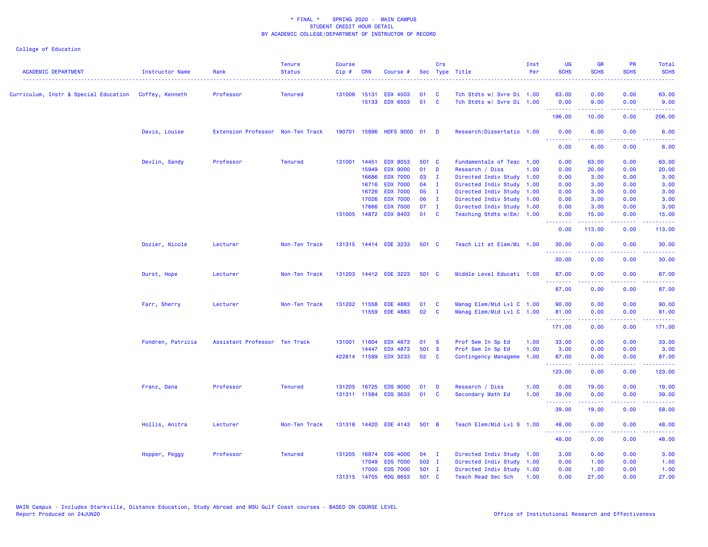| <b>ACADEMIC DEPARTMENT</b> | Instructor Name   | Rank                              | <b>Tenure</b><br><b>Status</b> | <b>Course</b><br>$Cip$ # | <b>CRN</b>   | Course #              |        | Crs                     | Sec Type Title            | Inst<br>Per | UG<br><b>SCHS</b> | <b>GR</b><br><b>SCHS</b>                                                                                                                                     | <b>PR</b><br><b>SCHS</b>                                                                               | Total<br><b>SCHS</b> |
|----------------------------|-------------------|-----------------------------------|--------------------------------|--------------------------|--------------|-----------------------|--------|-------------------------|---------------------------|-------------|-------------------|--------------------------------------------------------------------------------------------------------------------------------------------------------------|--------------------------------------------------------------------------------------------------------|----------------------|
|                            |                   | Professor                         | <b>Tenured</b>                 | 131006 15131             |              | <b>EDX 4503</b>       | 01     | <b>C</b>                | Tch Stdts w/ Svre Di 1.00 |             | 63.00             | 0.00                                                                                                                                                         | 0.00                                                                                                   | 63.00                |
|                            |                   |                                   |                                |                          | 15133        | <b>EDX 6503</b>       | 01     | <b>C</b>                | Tch Stdts w/ Svre Di 1.00 |             | 0.00<br>.         | 9.00<br>.                                                                                                                                                    | 0.00<br>د د د د                                                                                        | 9.00<br>.            |
|                            |                   |                                   |                                |                          |              |                       |        |                         |                           |             | 196.00            | 10.00                                                                                                                                                        | 0.00                                                                                                   | 206.00               |
|                            | Davis, Louise     | Extension Professor Non-Ten Track |                                |                          | 190701 15896 | HDFS 9000 01 D        |        |                         | Research/Dissertatio 1.00 |             | 0.00              | 6.00                                                                                                                                                         | 0.00                                                                                                   | 6.00                 |
|                            |                   |                                   |                                |                          |              |                       |        |                         |                           |             | .<br>0.00         | 6.00                                                                                                                                                         | 0.00                                                                                                   | 6.00                 |
|                            | Devlin, Sandy     | Professor                         | <b>Tenured</b>                 | 131001 14451             |              | <b>EDX 8053</b>       | 501 C  |                         | Fundamentals of Teac 1.00 |             | 0.00              | 63.00                                                                                                                                                        | 0.00                                                                                                   | 63.00                |
|                            |                   |                                   |                                |                          | 15949        | <b>EDX 9000</b>       | 01     | $\mathbf{D}$            | Research / Diss           | 1.00        | 0.00              | 20.00                                                                                                                                                        | 0.00                                                                                                   | 20.00                |
|                            |                   |                                   |                                |                          | 16686        | <b>EDX 7000</b>       | 03     | $\mathbf{I}$            | Directed Indiv Study 1.00 |             | 0.00              | 3.00                                                                                                                                                         | 0.00                                                                                                   | 3.00                 |
|                            |                   |                                   |                                |                          | 16716        | <b>EDX 7000</b>       | 04     | $\mathbf{I}$            | Directed Indiv Study 1.00 |             | 0.00              | 3.00                                                                                                                                                         | 0.00                                                                                                   | 3.00                 |
|                            |                   |                                   |                                |                          | 16726        | <b>EDX 7000</b>       | 05     | $\mathbf{I}$            | Directed Indiv Study 1.00 |             | 0.00              | 3.00                                                                                                                                                         | 0.00                                                                                                   | 3.00                 |
|                            |                   |                                   |                                |                          | 17026        | <b>EDX 7000</b>       | 06     | - I                     | Directed Indiv Study 1.00 |             | 0.00              | 3.00                                                                                                                                                         | 0.00                                                                                                   | 3.00                 |
|                            |                   |                                   |                                |                          | 17666        | <b>EDX 7000</b>       | 07     | $\mathbf{I}$            | Directed Indiv Study 1.00 |             | 0.00              | 3.00                                                                                                                                                         | 0.00                                                                                                   | 3.00                 |
|                            |                   |                                   |                                |                          | 131005 14872 | <b>EDX 8403</b>       | 01     | C                       | Teaching Stdts w/Em/ 1.00 |             | 0.00<br>--------  | 15.00<br>.                                                                                                                                                   | 0.00<br>.                                                                                              | 15.00<br>22222)      |
|                            |                   |                                   |                                |                          |              |                       |        |                         |                           |             | 0.00              | 113.00                                                                                                                                                       | 0.00                                                                                                   | 113.00               |
|                            | Dozier, Nicole    | Lecturer                          | Non-Ten Track                  |                          |              | 131315 14414 EDE 3233 | 501 C  |                         | Teach Lit at Elem/Mi 1.00 |             | 30.00<br>.        | 0.00                                                                                                                                                         | 0.00<br>$-1$                                                                                           | 30.00<br>.           |
|                            |                   |                                   |                                |                          |              |                       |        |                         |                           |             | 30.00             | 0.00                                                                                                                                                         | 0.00                                                                                                   | 30.00                |
|                            | Durst, Hope       | Lecturer                          | Non-Ten Track                  |                          |              | 131203 14412 EDE 3223 | 501 C  |                         | Middle Level Educati 1.00 |             | 87.00             | 0.00                                                                                                                                                         | 0.00                                                                                                   | 87.00                |
|                            |                   |                                   |                                |                          |              |                       |        |                         |                           |             | .<br>87.00        | <u>.</u><br>0.00                                                                                                                                             | $\frac{1}{2} \left( \frac{1}{2} \right) \left( \frac{1}{2} \right) \left( \frac{1}{2} \right)$<br>0.00 | .<br>87.00           |
|                            | Farr, Sherry      | Lecturer                          | Non-Ten Track                  |                          | 131202 11558 | <b>EDE 4883</b>       | 01     | <b>C</b>                | Manag Elem/Mid Lvl C 1.00 |             | 90.00             | 0.00                                                                                                                                                         | 0.00                                                                                                   | 90.00                |
|                            |                   |                                   |                                |                          |              | 11559 EDE 4883        | 02     | $\mathbf{C}$            | Manag Elem/Mid Lvl C 1.00 |             | 81.00             | 0.00                                                                                                                                                         | 0.00                                                                                                   | 81.00                |
|                            |                   |                                   |                                |                          |              |                       |        |                         |                           |             | .                 |                                                                                                                                                              | .                                                                                                      | 22222)               |
|                            |                   |                                   |                                |                          |              |                       |        |                         |                           |             | 171.00            | 0.00                                                                                                                                                         | 0.00                                                                                                   | 171.00               |
|                            | Fondren, Patricia | Assistant Professor Ten Track     |                                |                          | 131001 11604 | <b>EDX 4873</b>       | 01     | $\mathbf{s}$            | Prof Sem In Sp Ed         | 1.00        | 33.00             | 0.00                                                                                                                                                         | 0.00                                                                                                   | 33.00                |
|                            |                   |                                   |                                |                          | 14447        | <b>EDX 4873</b>       | 501 S  |                         | Prof Sem In Sp Ed         | 1.00        | 3.00              | 0.00                                                                                                                                                         | 0.00                                                                                                   | 3.00                 |
|                            |                   |                                   |                                |                          | 422814 11599 | <b>EDX 3233</b>       | 02     | $\mathbf{C}$            | Contingency Manageme      | 1.00        | 87.00<br>.        | 0.00<br>$\frac{1}{2} \left( \frac{1}{2} \right) \left( \frac{1}{2} \right) \left( \frac{1}{2} \right) \left( \frac{1}{2} \right) \left( \frac{1}{2} \right)$ | 0.00<br>.                                                                                              | 87.00<br>.           |
|                            |                   |                                   |                                |                          |              |                       |        |                         |                           |             | 123.00            | 0.00                                                                                                                                                         | 0.00                                                                                                   | 123.00               |
|                            | Franz, Dana       | Professor                         | <b>Tenured</b>                 |                          | 131205 16725 | <b>EDS 9000</b>       | 01     | D                       | Research / Diss           | 1.00        | 0.00              | 19.00                                                                                                                                                        | 0.00                                                                                                   | 19.00                |
|                            |                   |                                   |                                |                          |              | 131311 11584 EDS 3633 | 01     | $\overline{\mathbf{c}}$ | Secondary Math Ed         | 1.00        | 39.00             | 0.00                                                                                                                                                         | 0.00                                                                                                   | 39.00                |
|                            |                   |                                   |                                |                          |              |                       |        |                         |                           |             | .                 | $\omega$ is $\omega$ in $\omega$                                                                                                                             | بالأباب                                                                                                | وبالمناب             |
|                            |                   |                                   |                                |                          |              |                       |        |                         |                           |             | 39.00             | 19.00                                                                                                                                                        | 0.00                                                                                                   | 58.00                |
|                            | Hollis, Anitra    | Lecturer                          | Non-Ten Track                  |                          |              | 131318 14420 EDE 4143 | 501 B  |                         | Teach Elem/Mid Lvl S 1.00 |             | 48.00<br>.        | 0.00                                                                                                                                                         | 0.00                                                                                                   | 48.00                |
|                            |                   |                                   |                                |                          |              |                       |        |                         |                           |             | 48.00             | 0.00                                                                                                                                                         | 0.00                                                                                                   | 48.00                |
|                            | Hopper, Peggy     | Professor                         | <b>Tenured</b>                 |                          | 131205 16874 | <b>EDS 4000</b>       | $04$ I |                         | Directed Indiv Study 1.00 |             | 3.00              | 0.00                                                                                                                                                         | 0.00                                                                                                   | 3.00                 |
|                            |                   |                                   |                                |                          | 17049        | <b>EDS 7000</b>       | 502 I  |                         | Directed Indiv Study 1.00 |             | 0.00              | 1.00                                                                                                                                                         | 0.00                                                                                                   | 1.00                 |
|                            |                   |                                   |                                |                          | 17050        | <b>EDS 7000</b>       | 501 I  |                         | Directed Indiv Study 1.00 |             | 0.00              | 1.00                                                                                                                                                         | 0.00                                                                                                   | 1.00                 |
|                            |                   |                                   |                                |                          | 131315 14705 | <b>RDG 8653</b>       | 501 C  |                         | <b>Teach Read Sec Sch</b> | 1.00        | 0.00              | 27.00                                                                                                                                                        | 0.00                                                                                                   | 27.00                |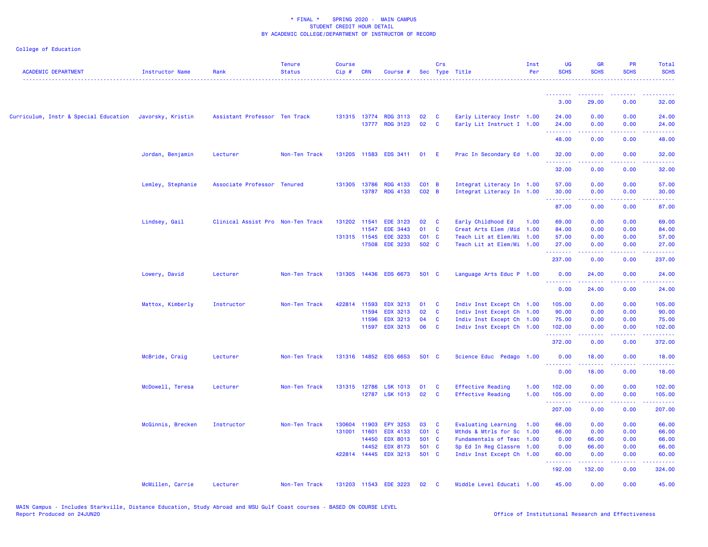| <b>ACADEMIC DEPARTMENT</b>                              | <b>Instructor Name</b> | Rank                              | <b>Tenure</b><br><b>Status</b> | <b>Course</b><br>Cip# | <b>CRN</b>   | Course #                                |                         | Crs                          | Sec Type Title                                         | Inst<br>Per | <b>UG</b><br><b>SCHS</b> | <b>GR</b><br><b>SCHS</b> | PR<br><b>SCHS</b> | Total<br><b>SCHS</b> |
|---------------------------------------------------------|------------------------|-----------------------------------|--------------------------------|-----------------------|--------------|-----------------------------------------|-------------------------|------------------------------|--------------------------------------------------------|-------------|--------------------------|--------------------------|-------------------|----------------------|
|                                                         |                        |                                   |                                |                       |              |                                         |                         |                              |                                                        |             | <u> - - - - - - - -</u>  |                          |                   |                      |
|                                                         |                        |                                   |                                |                       |              |                                         |                         |                              |                                                        |             | 3.00                     | 29.00                    | 0.00              | 32.00                |
| Curriculum, Instr & Special Education Javorsky, Kristin |                        | Assistant Professor Ten Track     |                                |                       |              | 131315 13774 RDG 3113<br>13777 RDG 3123 | 02 <sub>2</sub><br>02 C | $\mathbf{C}$                 | Early Literacy Instr 1.00<br>Early Lit Instruct I 1.00 |             | 24.00<br>24.00           | 0.00<br>0.00             | 0.00<br>0.00      | 24.00<br>24.00       |
|                                                         |                        |                                   |                                |                       |              |                                         |                         |                              |                                                        |             | .<br>48.00               | ------<br>0.00           | .<br>0.00         | .<br>48.00           |
|                                                         |                        | Lecturer                          | Non-Ten Track                  |                       |              | 131205 11583 EDS 3411                   | 01 E                    |                              |                                                        |             | 32.00                    | 0.00                     | 0.00              | 32.00                |
|                                                         | Jordan, Benjamin       |                                   |                                |                       |              |                                         |                         |                              | Prac In Secondary Ed 1.00                              |             | .                        | .                        | .                 | .                    |
|                                                         |                        |                                   |                                |                       |              |                                         |                         |                              |                                                        |             | 32.00                    | 0.00                     | 0.00              | 32.00                |
|                                                         | Lemley, Stephanie      | Associate Professor Tenured       |                                |                       | 131305 13786 | <b>RDG 4133</b><br>13787 RDG 4133       | $CO1$ B<br>$CO2$ B      |                              | Integrat Literacy In 1.00<br>Integrat Literacy In 1.00 |             | 57.00<br>30.00           | 0.00<br>0.00             | 0.00<br>0.00      | 57.00<br>30.00       |
|                                                         |                        |                                   |                                |                       |              |                                         |                         |                              |                                                        |             | .                        | .                        | .                 | .                    |
|                                                         |                        |                                   |                                |                       |              |                                         |                         |                              |                                                        |             | 87.00                    | 0.00                     | 0.00              | 87.00                |
|                                                         | Lindsey, Gail          | Clinical Assist Pro Non-Ten Track |                                |                       | 131202 11541 | <b>EDE 3123</b>                         | 02                      | <b>C</b>                     | Early Childhood Ed                                     | 1.00        | 69.00                    | 0.00                     | 0.00              | 69.00                |
|                                                         |                        |                                   |                                |                       | 11547        | <b>EDE 3443</b>                         | 01                      | $\mathbf{C}$                 | Creat Arts Elem / Mid 1.00                             |             | 84.00                    | 0.00                     | 0.00              | 84.00                |
|                                                         |                        |                                   |                                |                       |              | 131315 11545 EDE 3233                   | CO1 C                   |                              | Teach Lit at Elem/Mi 1.00                              |             | 57.00                    | 0.00                     | 0.00              | 57.00                |
|                                                         |                        |                                   |                                |                       |              | 17508 EDE 3233                          | 502 C                   |                              | Teach Lit at Elem/Mi 1.00                              |             | 27.00<br>.               | 0.00<br>.                | 0.00              | 27.00<br>.           |
|                                                         |                        |                                   |                                |                       |              |                                         |                         |                              |                                                        |             | 237.00                   | 0.00                     | 0.00              | 237.00               |
|                                                         | Lowery, David          | Lecturer                          | Non-Ten Track                  |                       |              | 131305 14436 EDS 6673                   | 501 C                   |                              | Language Arts Educ P 1.00                              |             | 0.00<br>.                | 24.00<br>.               | 0.00<br>.         | 24.00<br>.           |
|                                                         |                        |                                   |                                |                       |              |                                         |                         |                              |                                                        |             | 0.00                     | 24.00                    | 0.00              | 24.00                |
|                                                         | Mattox, Kimberly       | Instructor                        | Non-Ten Track                  |                       | 422814 11593 | <b>EDX 3213</b>                         | 01 C                    |                              | Indiv Inst Except Ch 1.00                              |             | 105.00                   | 0.00                     | 0.00              | 105.00               |
|                                                         |                        |                                   |                                |                       | 11594        | <b>EDX 3213</b>                         | 02                      | $\overline{\mathbf{C}}$      | Indiv Inst Except Ch 1.00                              |             | 90.00                    | 0.00                     | 0.00              | 90.00                |
|                                                         |                        |                                   |                                |                       | 11596        | <b>EDX 3213</b>                         | 04                      | $\mathbf{C}$<br>$\mathbf{C}$ | Indiv Inst Except Ch 1.00                              |             | 75.00                    | 0.00                     | 0.00              | 75.00                |
|                                                         |                        |                                   |                                |                       |              | 11597 EDX 3213                          | 06                      |                              | Indiv Inst Except Ch 1.00                              |             | 102.00<br>.              | 0.00<br>.                | 0.00<br>.         | 102.00<br>بالأبابات  |
|                                                         |                        |                                   |                                |                       |              |                                         |                         |                              |                                                        |             | 372.00                   | 0.00                     | 0.00              | 372.00               |
|                                                         | McBride, Craig         | Lecturer                          | Non-Ten Track                  |                       |              | 131316 14852 EDS 6653                   | 501 C                   |                              | Science Educ Pedago 1.00                               |             | 0.00<br>.                | 18.00                    | 0.00<br>$  -$     | 18.00<br>. <u>.</u>  |
|                                                         |                        |                                   |                                |                       |              |                                         |                         |                              |                                                        |             | 0.00                     | 18.00                    | 0.00              | 18.00                |
|                                                         | McDowell, Teresa       | Lecturer                          | Non-Ten Track                  |                       |              | 131315 12786 LSK 1013                   | 01 C                    |                              | <b>Effective Reading</b>                               | 1.00        | 102.00                   | 0.00                     | 0.00              | 102.00               |
|                                                         |                        |                                   |                                |                       |              | 12787 LSK 1013                          | 02                      | $\overline{\mathbf{C}}$      | <b>Effective Reading</b>                               | 1.00        | 105.00<br>.              | 0.00                     | 0.00              | 105.00               |
|                                                         |                        |                                   |                                |                       |              |                                         |                         |                              |                                                        |             | 207.00                   | 0.00                     | 0.00              | 207.00               |
|                                                         | McGinnis, Brecken      | Instructor                        | Non-Ten Track                  |                       |              | 130604 11903 EPY 3253                   | 03 C                    |                              | Evaluating Learning                                    | 1.00        | 66.00                    | 0.00                     | 0.00              | 66.00                |
|                                                         |                        |                                   |                                | 131001 11601          |              | <b>EDX 4133</b>                         | CO1 C                   |                              | Mthds & Mtrls for Sc 1.00                              |             | 66.00                    | 0.00                     | 0.00              | 66.00                |
|                                                         |                        |                                   |                                |                       | 14450        | <b>EDX 8013</b><br>14452 EDX 8173       | 501 C<br>501 C          |                              | Fundamentals of Teac 1.00<br>Sp Ed In Reg Classrm 1.00 |             | 0.00<br>0.00             | 66.00<br>66.00           | 0.00<br>0.00      | 66.00<br>66.00       |
|                                                         |                        |                                   |                                |                       |              | 422814 14445 EDX 3213                   | 501 C                   |                              | Indiv Inst Except Ch 1.00                              |             | 60.00                    | 0.00                     | 0.00              | 60.00                |
|                                                         |                        |                                   |                                |                       |              |                                         |                         |                              |                                                        |             | .                        | .                        | 22222             | <b>.</b>             |
|                                                         |                        |                                   |                                |                       |              |                                         |                         |                              |                                                        |             | 192.00                   | 132.00                   | 0.00              | 324.00               |
|                                                         | McMillen, Carrie       | Lecturer                          | Non-Ten Track                  |                       |              | 131203 11543 EDE 3223                   | 02                      | $\mathbf{C}$                 | Middle Level Educati 1.00                              |             | 45.00                    | 0.00                     | 0.00              | 45.00                |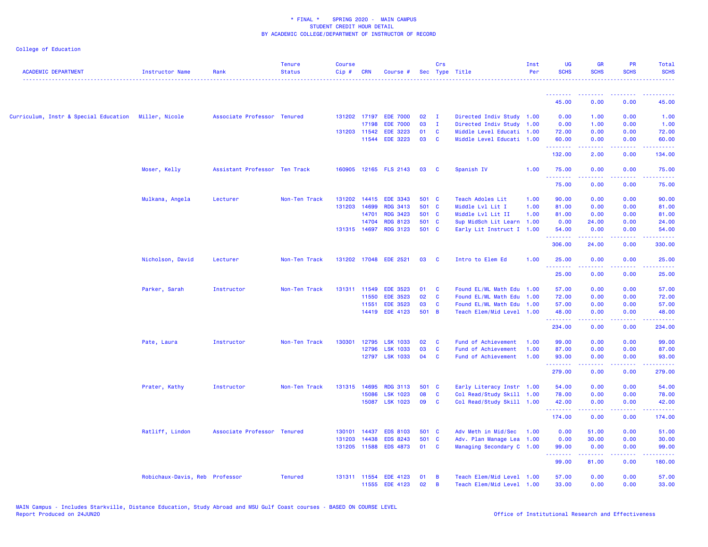| <b>ACADEMIC DEPARTMENT</b>                           | <b>Instructor Name</b>         | Rank                          | <b>Tenure</b><br><b>Status</b> | <b>Course</b><br>Cip# | <b>CRN</b>   | Course #              |       | Crs            | Sec Type Title            | Inst<br>Per | <b>UG</b><br><b>SCHS</b> | <b>GR</b><br><b>SCHS</b>                                                                                                                                     | <b>PR</b><br><b>SCHS</b> | Total<br><b>SCHS</b> |
|------------------------------------------------------|--------------------------------|-------------------------------|--------------------------------|-----------------------|--------------|-----------------------|-------|----------------|---------------------------|-------------|--------------------------|--------------------------------------------------------------------------------------------------------------------------------------------------------------|--------------------------|----------------------|
|                                                      |                                |                               |                                |                       |              |                       |       |                |                           |             | --------<br>45.00        | --------<br>0.00                                                                                                                                             | 0.00                     | 45.00                |
|                                                      |                                |                               |                                |                       |              |                       |       |                |                           |             |                          |                                                                                                                                                              |                          |                      |
| Curriculum, Instr & Special Education Miller, Nicole |                                | Associate Professor Tenured   |                                |                       |              | 131202 17197 EDE 7000 | 02    | $\mathbf{I}$   | Directed Indiv Study 1.00 |             | 0.00                     | 1.00                                                                                                                                                         | 0.00                     | 1.00                 |
|                                                      |                                |                               |                                |                       | 17198        | <b>EDE 7000</b>       | 03    | $\mathbf{I}$   | Directed Indiv Study 1.00 |             | 0.00                     | 1.00                                                                                                                                                         | 0.00                     | 1.00                 |
|                                                      |                                |                               |                                | 131203 11542          |              | <b>EDE 3223</b>       | 01 C  |                | Middle Level Educati 1.00 |             | 72.00                    | 0.00                                                                                                                                                         | 0.00                     | 72.00                |
|                                                      |                                |                               |                                |                       |              | 11544 EDE 3223        | 03    | $\mathbf{C}$   | Middle Level Educati 1.00 |             | 60.00<br><u>.</u>        | 0.00<br>.                                                                                                                                                    | 0.00                     | 60.00                |
|                                                      |                                |                               |                                |                       |              |                       |       |                |                           |             | 132.00                   | 2.00                                                                                                                                                         | 0.00                     | 134.00               |
|                                                      | Moser, Kelly                   | Assistant Professor Ten Track |                                |                       |              | 160905 12165 FLS 2143 | 03    | $\mathbf{C}$   | Spanish IV                | 1.00        | 75.00                    | 0.00                                                                                                                                                         | 0.00                     | 75.00                |
|                                                      |                                |                               |                                |                       |              |                       |       |                |                           |             | .<br>75.00               | 0.00                                                                                                                                                         | .<br>0.00                | 75.00                |
|                                                      | Mulkana, Angela                | Lecturer                      | Non-Ten Track                  | 131202                |              | 14415 EDE 3343        | 501 C |                | Teach Adoles Lit          | 1.00        | 90.00                    | 0.00                                                                                                                                                         | 0.00                     | 90.00                |
|                                                      |                                |                               |                                | 131203                | 14699        | <b>RDG 3413</b>       | 501 C |                | Middle Lvl Lit I          | 1.00        | 81.00                    | 0.00                                                                                                                                                         | 0.00                     | 81.00                |
|                                                      |                                |                               |                                |                       | 14701        | <b>RDG 3423</b>       | 501 C |                | Middle Lvl Lit II         | 1.00        | 81.00                    | 0.00                                                                                                                                                         | 0.00                     | 81.00                |
|                                                      |                                |                               |                                |                       | 14704        | <b>RDG 8123</b>       | 501 C |                | Sup MidSch Lit Learn 1.00 |             | 0.00                     | 24.00                                                                                                                                                        | 0.00                     | 24.00                |
|                                                      |                                |                               |                                | 131315 14697          |              | <b>RDG 3123</b>       | 501 C |                | Early Lit Instruct I 1.00 |             | 54.00                    | 0.00                                                                                                                                                         | 0.00                     | 54.00                |
|                                                      |                                |                               |                                |                       |              |                       |       |                |                           |             | .<br>306.00              | 2.2.2.2.2<br>24.00                                                                                                                                           | .<br>0.00                | .<br>330.00          |
|                                                      | Nicholson, David               | Lecturer                      | Non-Ten Track                  |                       |              | 131202 17048 EDE 2521 | 03    | $\mathbf{C}$   | Intro to Elem Ed          | 1.00        | 25.00                    | 0.00                                                                                                                                                         | 0.00                     | 25.00                |
|                                                      |                                |                               |                                |                       |              |                       |       |                |                           |             | .<br>25.00               | 0.00                                                                                                                                                         | 0.00                     | .<br>25.00           |
|                                                      | Parker, Sarah                  | Instructor                    | Non-Ten Track                  |                       | 131311 11549 | <b>EDE 3523</b>       | 01    | C              | Found EL/ML Math Edu 1.00 |             | 57.00                    | 0.00                                                                                                                                                         | 0.00                     | 57.00                |
|                                                      |                                |                               |                                |                       | 11550        | <b>EDE 3523</b>       | 02    | $\mathbf{C}$   | Found EL/ML Math Edu 1.00 |             | 72.00                    | 0.00                                                                                                                                                         | 0.00                     | 72.00                |
|                                                      |                                |                               |                                |                       | 11551        | <b>EDE 3523</b>       | 03    | <b>C</b>       | Found EL/ML Math Edu 1.00 |             | 57.00                    | 0.00                                                                                                                                                         | 0.00                     | 57.00                |
|                                                      |                                |                               |                                |                       |              | 14419 EDE 4123        | 501 B |                | Teach Elem/Mid Level 1.00 |             | 48.00                    | 0.00                                                                                                                                                         | 0.00                     | 48.00                |
|                                                      |                                |                               |                                |                       |              |                       |       |                |                           |             |                          |                                                                                                                                                              |                          |                      |
|                                                      |                                |                               |                                |                       |              |                       |       |                |                           |             | 234.00                   | 0.00                                                                                                                                                         | 0.00                     | 234.00               |
|                                                      | Pate, Laura                    | Instructor                    | Non-Ten Track                  | 130301                | 12795        | <b>LSK 1033</b>       | 02    | <b>C</b>       | Fund of Achievement       | 1.00        | 99.00                    | 0.00                                                                                                                                                         | 0.00                     | 99.00                |
|                                                      |                                |                               |                                |                       | 12796        | <b>LSK 1033</b>       | 03    | $\mathbf{C}$   | Fund of Achievement       | 1.00        | 87.00                    | 0.00                                                                                                                                                         | 0.00                     | 87.00                |
|                                                      |                                |                               |                                |                       | 12797        | <b>LSK 1033</b>       | 04    | <b>C</b>       | Fund of Achievement       | 1.00        | 93.00<br>.               | 0.00                                                                                                                                                         | 0.00                     | 93.00<br>.           |
|                                                      |                                |                               |                                |                       |              |                       |       |                |                           |             | 279.00                   | 0.00                                                                                                                                                         | 0.00                     | 279.00               |
|                                                      | Prater, Kathy                  | Instructor                    | Non-Ten Track                  | 131315                | 14695        | <b>RDG 3113</b>       | 501 C |                | Early Literacy Instr 1.00 |             | 54.00                    | 0.00                                                                                                                                                         | 0.00                     | 54.00                |
|                                                      |                                |                               |                                |                       | 15086        | <b>LSK 1023</b>       | 08    | $\mathbf{C}$   | Col Read/Study Skill 1.00 |             | 78.00                    | 0.00                                                                                                                                                         | 0.00                     | 78.00                |
|                                                      |                                |                               |                                |                       | 15087        | <b>LSK 1023</b>       | 09    | $\mathbf{C}$   | Col Read/Study Skill 1.00 |             | 42.00                    | 0.00                                                                                                                                                         | 0.00                     | 42.00                |
|                                                      |                                |                               |                                |                       |              |                       |       |                |                           |             | <u>.</u>                 | <b></b>                                                                                                                                                      | .                        | .                    |
|                                                      |                                |                               |                                |                       |              |                       |       |                |                           |             | 174.00                   | 0.00                                                                                                                                                         | 0.00                     | 174.00               |
|                                                      | Ratliff, Lindon                | Associate Professor Tenured   |                                | 130101                | 14437        | <b>EDS 8103</b>       | 501 C |                | Adv Meth in Mid/Sec       | 1.00        | 0.00                     | 51.00                                                                                                                                                        | 0.00                     | 51.00                |
|                                                      |                                |                               |                                | 131203                | 14438        | <b>EDS 8243</b>       | 501 C |                | Adv. Plan Manage Lea 1.00 |             | 0.00                     | 30.00                                                                                                                                                        | 0.00                     | 30.00                |
|                                                      |                                |                               |                                | 131205                |              | 11588 EDS 4873        | 01 C  |                | Managing Secondary C 1.00 |             | 99.00<br>.               | 0.00<br>$\frac{1}{2} \left( \frac{1}{2} \right) \left( \frac{1}{2} \right) \left( \frac{1}{2} \right) \left( \frac{1}{2} \right) \left( \frac{1}{2} \right)$ | 0.00<br>بالأباب          | 99.00<br>المستمين    |
|                                                      |                                |                               |                                |                       |              |                       |       |                |                           |             | 99.00                    | 81.00                                                                                                                                                        | 0.00                     | 180.00               |
|                                                      | Robichaux-Davis, Reb Professor |                               | <b>Tenured</b>                 |                       | 131311 11554 | <b>EDE 4123</b>       | 01    | B              | Teach Elem/Mid Level 1.00 |             | 57.00                    | 0.00                                                                                                                                                         | 0.00                     | 57.00                |
|                                                      |                                |                               |                                |                       |              | 11555 EDE 4123        | 02    | $\overline{B}$ | Teach Elem/Mid Level 1.00 |             | 33.00                    | 0.00                                                                                                                                                         | 0.00                     | 33.00                |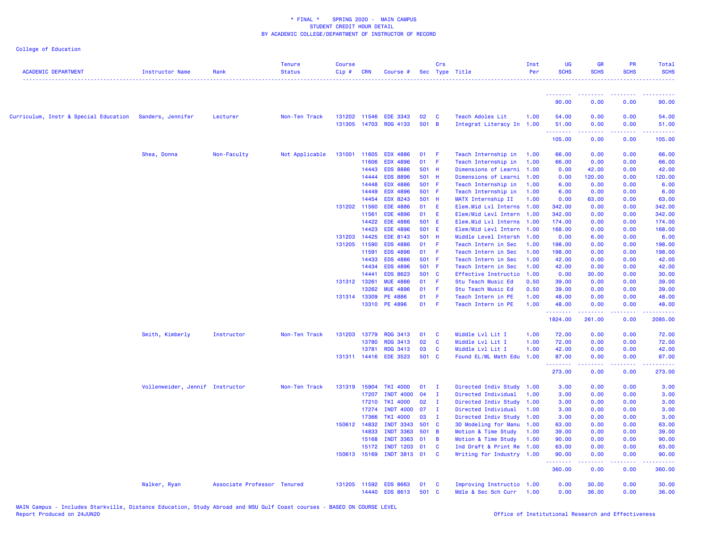| <b>ACADEMIC DEPARTMENT</b>                                | <b>Instructor Name</b>          | Rank                        | <b>Tenure</b><br><b>Status</b> | <b>Course</b><br>$Cip$ # | <b>CRN</b>   | Course #                          |             | Crs          | Sec Type Title                                | Inst<br>Per | <b>UG</b><br><b>SCHS</b> | <b>GR</b><br><b>SCHS</b>                                                                                                                                     | <b>PR</b><br><b>SCHS</b>                                                                                                          | Total<br><b>SCHS</b>   |
|-----------------------------------------------------------|---------------------------------|-----------------------------|--------------------------------|--------------------------|--------------|-----------------------------------|-------------|--------------|-----------------------------------------------|-------------|--------------------------|--------------------------------------------------------------------------------------------------------------------------------------------------------------|-----------------------------------------------------------------------------------------------------------------------------------|------------------------|
|                                                           |                                 |                             |                                |                          |              |                                   |             |              |                                               |             | .<br>90.00               | --------<br>0.00                                                                                                                                             | 0.00                                                                                                                              | 90.00                  |
| Curriculum, Instr & Special Education - Sanders, Jennifer |                                 | Lecturer                    | Non-Ten Track                  | 131305                   | 131202 11546 | <b>EDE 3343</b><br>14703 RDG 4133 | 02<br>501 B | $\mathbf{C}$ | Teach Adoles Lit<br>Integrat Literacy In 1.00 | 1.00        | 54.00<br>51.00           | 0.00<br>0.00                                                                                                                                                 | 0.00<br>0.00                                                                                                                      | 54.00<br>51.00         |
|                                                           |                                 |                             |                                |                          |              |                                   |             |              |                                               |             | .<br>105.00              | $\frac{1}{2} \left( \frac{1}{2} \right) \left( \frac{1}{2} \right) \left( \frac{1}{2} \right) \left( \frac{1}{2} \right) \left( \frac{1}{2} \right)$<br>0.00 | .<br>0.00                                                                                                                         | الماعات عاما<br>105.00 |
|                                                           |                                 |                             |                                |                          |              |                                   |             |              |                                               |             |                          |                                                                                                                                                              |                                                                                                                                   |                        |
|                                                           | Shea, Donna                     | Non-Faculty                 | Not Applicable                 | 131001 11605             |              | <b>EDX 4886</b>                   | 01          | - F          | Teach Internship in                           | 1.00        | 66.00                    | 0.00                                                                                                                                                         | 0.00                                                                                                                              | 66.00                  |
|                                                           |                                 |                             |                                |                          | 11606        | <b>EDX 4896</b>                   | 01          | $-$ F        | Teach Internship in                           | 1.00        | 66.00                    | 0.00                                                                                                                                                         | 0.00                                                                                                                              | 66.00                  |
|                                                           |                                 |                             |                                |                          | 14443        | <b>EDS 8886</b>                   | 501 H       |              | Dimensions of Learni                          | 1.00        | 0.00                     | 42.00                                                                                                                                                        | 0.00                                                                                                                              | 42.00                  |
|                                                           |                                 |                             |                                |                          | 14444        | <b>EDS 8896</b>                   | 501 H       |              | Dimensions of Learni                          | 1.00        | 0.00                     | 120.00                                                                                                                                                       | 0.00                                                                                                                              | 120.00                 |
|                                                           |                                 |                             |                                |                          | 14448        | <b>EDX 4886</b>                   | 501 F       |              | Teach Internship in                           | 1.00        | 6.00                     | 0.00                                                                                                                                                         | 0.00                                                                                                                              | 6.00                   |
|                                                           |                                 |                             |                                |                          | 14449        | <b>EDX 4896</b>                   | 501 F       |              | Teach Internship in                           | 1.00        | 6.00                     | 0.00                                                                                                                                                         | 0.00                                                                                                                              | 6.00                   |
|                                                           |                                 |                             |                                |                          | 14454        | <b>EDX 8243</b>                   | 501 H       |              | MATX Internship II                            | 1.00        | 0.00                     | 63.00                                                                                                                                                        | 0.00                                                                                                                              | 63.00                  |
|                                                           |                                 |                             |                                |                          | 131202 11560 | <b>EDE 4886</b>                   | 01          | - E          | Elem.Mid Lvl Interns 1.00                     |             | 342.00                   | 0.00                                                                                                                                                         | 0.00                                                                                                                              | 342.00                 |
|                                                           |                                 |                             |                                |                          | 11561        | <b>EDE 4896</b>                   | 01          | - E          | Elem/Mid Levl Intern 1.00                     |             | 342.00                   | 0.00                                                                                                                                                         | 0.00                                                                                                                              | 342.00                 |
|                                                           |                                 |                             |                                |                          | 14422        | <b>EDE 4886</b>                   | 501 E       |              | Elem.Mid Lvl Interns                          | 1.00        | 174.00                   | 0.00                                                                                                                                                         | 0.00                                                                                                                              | 174.00                 |
|                                                           |                                 |                             |                                |                          | 14423        | <b>EDE 4896</b>                   | 501 E       |              | Elem/Mid Levl Intern 1.00                     |             | 168.00                   | 0.00                                                                                                                                                         | 0.00                                                                                                                              | 168.00                 |
|                                                           |                                 |                             |                                |                          | 131203 14425 | EDE 8143                          | 501 H       |              | Middle Level Intersh 1.00                     |             | 0.00                     | 6.00                                                                                                                                                         | 0.00                                                                                                                              | 6.00                   |
|                                                           |                                 |                             |                                |                          | 131205 11590 | <b>EDS 4886</b>                   | 01          | - F          | Teach Intern in Sec                           | 1.00        | 198.00                   | 0.00                                                                                                                                                         | 0.00                                                                                                                              | 198.00                 |
|                                                           |                                 |                             |                                |                          | 11591        | <b>EDS 4896</b>                   | 01 F        |              | Teach Intern in Sec                           | 1.00        | 198.00                   | 0.00                                                                                                                                                         | 0.00                                                                                                                              | 198.00                 |
|                                                           |                                 |                             |                                |                          | 14433        | <b>EDS 4886</b>                   | 501 F       |              | Teach Intern in Sec                           | 1.00        | 42.00                    | 0.00                                                                                                                                                         | 0.00                                                                                                                              | 42.00                  |
|                                                           |                                 |                             |                                |                          | 14434        | <b>EDS 4896</b>                   | 501 F       |              | Teach Intern in Sec                           | 1.00        | 42.00                    | 0.00                                                                                                                                                         | 0.00                                                                                                                              | 42.00                  |
|                                                           |                                 |                             |                                |                          | 14441        | <b>EDS 8623</b>                   | 501 C       |              | Effective Instructio                          | 1.00        | 0.00                     | 30.00                                                                                                                                                        | 0.00                                                                                                                              | 30.00                  |
|                                                           |                                 |                             |                                | 131312 13261             |              | <b>MUE 4886</b>                   | 01          | - F          | Stu Teach Music Ed                            | 0.50        | 39.00                    | 0.00                                                                                                                                                         | 0.00                                                                                                                              | 39.00                  |
|                                                           |                                 |                             |                                |                          | 13262        | <b>MUE 4896</b>                   | 01          | - F          | Stu Teach Music Ed                            | 0.50        | 39.00                    | 0.00                                                                                                                                                         | 0.00                                                                                                                              | 39.00                  |
|                                                           |                                 |                             |                                | 131314 13309             |              | PE 4886                           | $01$ F      |              | Teach Intern in PE                            | 1.00        | 48.00                    | 0.00                                                                                                                                                         | 0.00                                                                                                                              | 48.00                  |
|                                                           |                                 |                             |                                |                          |              | 13310 PE 4896                     | $01$ F      |              | Teach Intern in PE                            | 1.00        | 48.00<br>.               | 0.00                                                                                                                                                         | 0.00                                                                                                                              | 48.00<br>.             |
|                                                           |                                 |                             |                                |                          |              |                                   |             |              |                                               |             | 1824.00                  | 261.00                                                                                                                                                       | 0.00                                                                                                                              | 2085.00                |
|                                                           | Smith, Kimberly                 | Instructor                  | Non-Ten Track                  | 131203                   | 13779        | <b>RDG 3413</b>                   | 01          | <b>C</b>     | Middle Lvl Lit I                              | 1.00        | 72.00                    | 0.00                                                                                                                                                         | 0.00                                                                                                                              | 72.00                  |
|                                                           |                                 |                             |                                |                          | 13780        | <b>RDG 3413</b>                   | 02          | $\mathbf{C}$ | Middle Lvl Lit I                              | 1.00        | 72.00                    | 0.00                                                                                                                                                         | 0.00                                                                                                                              | 72.00                  |
|                                                           |                                 |                             |                                |                          | 13781        | <b>RDG 3413</b>                   | 03          | <b>C</b>     | Middle Lvl Lit I                              | 1.00        | 42.00                    | 0.00                                                                                                                                                         | 0.00                                                                                                                              | 42.00                  |
|                                                           |                                 |                             |                                |                          |              | 131311 14416 EDE 3523             | 501 C       |              | Found EL/ML Math Edu 1.00                     |             | 87.00<br>.               | 0.00<br>$\frac{1}{2} \left( \frac{1}{2} \right) \left( \frac{1}{2} \right) \left( \frac{1}{2} \right) \left( \frac{1}{2} \right) \left( \frac{1}{2} \right)$ | 0.00<br>.                                                                                                                         | 87.00<br>والمستوات بما |
|                                                           |                                 |                             |                                |                          |              |                                   |             |              |                                               |             | 273.00                   | 0.00                                                                                                                                                         | 0.00                                                                                                                              | 273.00                 |
|                                                           | Vollenweider, Jennif Instructor |                             | Non-Ten Track                  | 131319                   | 15904        | <b>TKI 4000</b>                   | 01          | - I          | Directed Indiv Study 1.00                     |             | 3.00                     | 0.00                                                                                                                                                         | 0.00                                                                                                                              | 3.00                   |
|                                                           |                                 |                             |                                |                          | 17207        | <b>INDT 4000</b>                  | 04          | $\mathbf{I}$ | Directed Individual                           | 1.00        | 3.00                     | 0.00                                                                                                                                                         | 0.00                                                                                                                              | 3.00                   |
|                                                           |                                 |                             |                                |                          | 17210        | <b>TKI 4000</b>                   | 02          | $\mathbf{I}$ | Directed Indiv Study                          | 1.00        | 3.00                     | 0.00                                                                                                                                                         | 0.00                                                                                                                              | 3.00                   |
|                                                           |                                 |                             |                                |                          | 17274        | <b>INDT 4000</b>                  | 07          | $\mathbf{I}$ | Directed Individual                           | 1.00        | 3.00                     | 0.00                                                                                                                                                         | 0.00                                                                                                                              | 3.00                   |
|                                                           |                                 |                             |                                |                          | 17366        | <b>TKI 4000</b>                   | 03          | - I          | Directed Indiv Study                          | 1.00        | 3.00                     | 0.00                                                                                                                                                         | 0.00                                                                                                                              | 3.00                   |
|                                                           |                                 |                             |                                | 150612 14832             |              | <b>INDT 3343</b>                  | 501 C       |              | 3D Modeling for Manu                          | 1.00        | 63.00                    | 0.00                                                                                                                                                         | 0.00                                                                                                                              | 63.00                  |
|                                                           |                                 |                             |                                |                          | 14833        | <b>INDT 3363</b>                  | 501 B       |              | Motion & Time Study                           | 1.00        | 39.00                    | 0.00                                                                                                                                                         | 0.00                                                                                                                              | 39.00                  |
|                                                           |                                 |                             |                                |                          | 15168        | <b>INDT 3363</b>                  | 01          | - B          | Motion & Time Study                           | 1.00        | 90.00                    | 0.00                                                                                                                                                         | 0.00                                                                                                                              | 90.00                  |
|                                                           |                                 |                             |                                |                          | 15172        | <b>INDT 1203</b>                  | 01          | $\mathbf{C}$ | Ind Draft & Print Re 1.00                     |             | 63.00                    | 0.00                                                                                                                                                         | 0.00                                                                                                                              | 63.00                  |
|                                                           |                                 |                             |                                | 150613 15169             |              | INDT 3813 01                      |             | - C          | Writing for Industry 1.00                     |             | 90.00                    | 0.00                                                                                                                                                         | 0.00                                                                                                                              | 90.00                  |
|                                                           |                                 |                             |                                |                          |              |                                   |             |              |                                               |             | <u>.</u><br>360.00       | .<br>0.00                                                                                                                                                    | $\frac{1}{2} \left( \frac{1}{2} \right) \left( \frac{1}{2} \right) \left( \frac{1}{2} \right) \left( \frac{1}{2} \right)$<br>0.00 | .<br>360.00            |
|                                                           | Walker, Ryan                    | Associate Professor Tenured |                                |                          | 131205 11592 | <b>EDS 8663</b>                   | 01          | $\mathbf{C}$ | Improving Instructio 1.00                     |             | 0.00                     | 30.00                                                                                                                                                        | 0.00                                                                                                                              | 30.00                  |
|                                                           |                                 |                             |                                |                          | 14440        | <b>EDS 8613</b>                   | 501 C       |              | Mdle & Sec Sch Curr                           | 1.00        | 0.00                     | 36.00                                                                                                                                                        | 0.00                                                                                                                              | 36.00                  |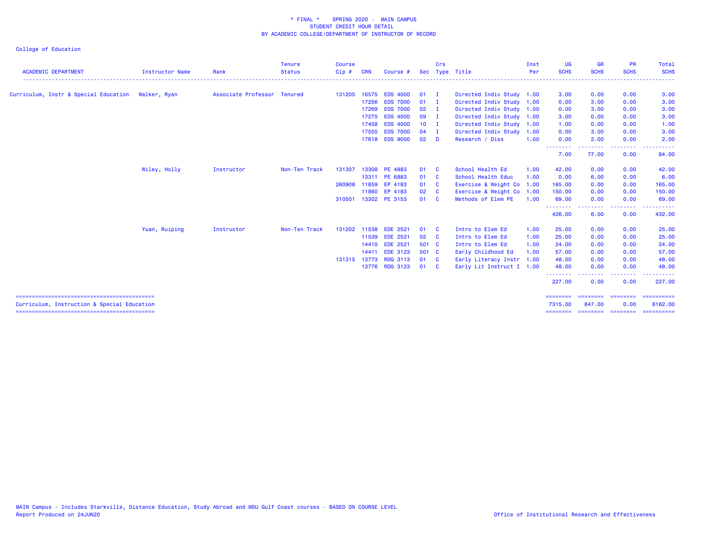| <b>ACADEMIC DEPARTMENT</b>                         | <b>Instructor Name</b> | Rank                        | Tenure<br><b>Status</b> | <b>Course</b><br>Cip# | <b>CRN</b> | Course #              |               | Crs | Sec Type Title            | Inst<br>Per | <b>UG</b><br><b>SCHS</b>  | <b>GR</b><br><b>SCHS</b> | <b>PR</b><br><b>SCHS</b>                                                                                                          | Total<br><b>SCHS</b>                                                                                                                                                                                                                                                                                                                                                                                                                                                                   |
|----------------------------------------------------|------------------------|-----------------------------|-------------------------|-----------------------|------------|-----------------------|---------------|-----|---------------------------|-------------|---------------------------|--------------------------|-----------------------------------------------------------------------------------------------------------------------------------|----------------------------------------------------------------------------------------------------------------------------------------------------------------------------------------------------------------------------------------------------------------------------------------------------------------------------------------------------------------------------------------------------------------------------------------------------------------------------------------|
| Curriculum, Instr & Special Education Walker, Ryan |                        | Associate Professor Tenured |                         |                       |            | 131205 16575 EDS 4000 | $01$ I        |     | Directed Indiv Study 1.00 |             | 3.00                      | 0.00                     | 0.00                                                                                                                              | 3.00                                                                                                                                                                                                                                                                                                                                                                                                                                                                                   |
|                                                    |                        |                             |                         |                       |            | 17256 EDS 7000        | $01$ I        |     | Directed Indiv Study 1.00 |             | 0.00                      | 3.00                     | 0.00                                                                                                                              | 3.00                                                                                                                                                                                                                                                                                                                                                                                                                                                                                   |
|                                                    |                        |                             |                         |                       |            | 17269 EDS 7000        | $02 \qquad I$ |     | Directed Indiv Study 1.00 |             | 0.00                      | 3.00                     | 0.00                                                                                                                              | 3.00                                                                                                                                                                                                                                                                                                                                                                                                                                                                                   |
|                                                    |                        |                             |                         |                       | 17275      | <b>EDS 4000</b>       | 09 I          |     | Directed Indiv Study 1.00 |             | 3.00                      | 0.00                     | 0.00                                                                                                                              | 3.00                                                                                                                                                                                                                                                                                                                                                                                                                                                                                   |
|                                                    |                        |                             |                         |                       | 17458      | <b>EDS 4000</b>       | $10$ I        |     | Directed Indiv Study 1.00 |             | 1.00                      | 0.00                     | 0.00                                                                                                                              | 1.00                                                                                                                                                                                                                                                                                                                                                                                                                                                                                   |
|                                                    |                        |                             |                         |                       | 17555      | <b>EDS 7000</b>       | 04            |     | Directed Indiv Study 1.00 |             | 0.00                      | 3.00                     | 0.00                                                                                                                              | 3.00                                                                                                                                                                                                                                                                                                                                                                                                                                                                                   |
|                                                    |                        |                             |                         |                       |            | 17618 EDS 9000        | $02$ D        |     | Research / Diss           | 1.00        | 0.00                      | 2.00                     | 0.00                                                                                                                              | 2.00                                                                                                                                                                                                                                                                                                                                                                                                                                                                                   |
|                                                    |                        |                             |                         |                       |            |                       |               |     |                           |             | --------<br>7.00          | .<br>77.00               | $\frac{1}{2} \left( \frac{1}{2} \right) \left( \frac{1}{2} \right) \left( \frac{1}{2} \right) \left( \frac{1}{2} \right)$<br>0.00 | 84.00                                                                                                                                                                                                                                                                                                                                                                                                                                                                                  |
|                                                    | Wiley, Holly           | Instructor                  | Non-Ten Track           | 131307                |            | 13308 PE 4883         | 01 C          |     | School Health Ed          | 1.00        | 42.00                     | 0.00                     | 0.00                                                                                                                              | 42.00                                                                                                                                                                                                                                                                                                                                                                                                                                                                                  |
|                                                    |                        |                             |                         |                       |            | 13311 PE 6883         | 01 C          |     | School Health Educ        | 1.00        | 0.00                      | 6.00                     | 0.00                                                                                                                              | 6.00                                                                                                                                                                                                                                                                                                                                                                                                                                                                                   |
|                                                    |                        |                             |                         | 260908                |            | 11859 EP 4183         | 01 C          |     | Exercise & Weight Co 1.00 |             | 165.00                    | 0.00                     | 0.00                                                                                                                              | 165.00                                                                                                                                                                                                                                                                                                                                                                                                                                                                                 |
|                                                    |                        |                             |                         |                       |            | 11860 EP 4183         | 02 C          |     | Exercise & Weight Co 1.00 |             | 150.00                    | 0.00                     | 0.00                                                                                                                              | 150.00                                                                                                                                                                                                                                                                                                                                                                                                                                                                                 |
|                                                    |                        |                             |                         |                       |            | 310501 13302 PE 3153  | 01 C          |     | Methods of Elem PE        | 1.00        | 69.00                     | 0.00                     | 0.00                                                                                                                              | 69.00                                                                                                                                                                                                                                                                                                                                                                                                                                                                                  |
|                                                    |                        |                             |                         |                       |            |                       |               |     |                           |             | --------<br>426.00        | .<br>6.00                | -----<br>0.00                                                                                                                     | .<br>432.00                                                                                                                                                                                                                                                                                                                                                                                                                                                                            |
|                                                    | Yuan, Ruiping          | Instructor                  | Non-Ten Track           | 131202                |            | 11538 EDE 2521        | 01 C          |     | Intro to Elem Ed          | 1.00        | 25.00                     | 0.00                     | 0.00                                                                                                                              | 25.00                                                                                                                                                                                                                                                                                                                                                                                                                                                                                  |
|                                                    |                        |                             |                         |                       | 11539      | <b>EDE 2521</b>       | 02 C          |     | Intro to Elem Ed          | 1.00        | 25.00                     | 0.00                     | 0.00                                                                                                                              | 25.00                                                                                                                                                                                                                                                                                                                                                                                                                                                                                  |
|                                                    |                        |                             |                         |                       |            | 14410 EDE 2521        | 501 C         |     | Intro to Elem Ed          | 1.00        | 24.00                     | 0.00                     | 0.00                                                                                                                              | 24.00                                                                                                                                                                                                                                                                                                                                                                                                                                                                                  |
|                                                    |                        |                             |                         |                       |            | 14411 EDE 3123        | 501 C         |     | Early Childhood Ed        | 1.00        | 57.00                     | 0.00                     | 0.00                                                                                                                              | 57.00                                                                                                                                                                                                                                                                                                                                                                                                                                                                                  |
|                                                    |                        |                             |                         |                       |            | 131315 13773 RDG 3113 | 01 C          |     | Early Literacy Instr 1.00 |             | 48.00                     | 0.00                     | 0.00                                                                                                                              | 48.00                                                                                                                                                                                                                                                                                                                                                                                                                                                                                  |
|                                                    |                        |                             |                         |                       |            | 13776 RDG 3123        | 01 C          |     | Early Lit Instruct I 1.00 |             | 48.00                     | 0.00                     | 0.00                                                                                                                              | 48.00                                                                                                                                                                                                                                                                                                                                                                                                                                                                                  |
|                                                    |                        |                             |                         |                       |            |                       |               |     |                           |             | - - - - - - - -<br>227.00 | 0.00                     | 0.00                                                                                                                              | 227,00                                                                                                                                                                                                                                                                                                                                                                                                                                                                                 |
|                                                    |                        |                             |                         |                       |            |                       |               |     |                           |             | ========                  | ========                 | ========                                                                                                                          | $\begin{array}{cccccccccc} \multicolumn{2}{c}{} & \multicolumn{2}{c}{} & \multicolumn{2}{c}{} & \multicolumn{2}{c}{} & \multicolumn{2}{c}{} & \multicolumn{2}{c}{} & \multicolumn{2}{c}{} & \multicolumn{2}{c}{} & \multicolumn{2}{c}{} & \multicolumn{2}{c}{} & \multicolumn{2}{c}{} & \multicolumn{2}{c}{} & \multicolumn{2}{c}{} & \multicolumn{2}{c}{} & \multicolumn{2}{c}{} & \multicolumn{2}{c}{} & \multicolumn{2}{c}{} & \multicolumn{2}{c}{} & \multicolumn{2}{c}{} & \mult$ |
| Curriculum, Instruction & Special Education        |                        |                             |                         |                       |            |                       |               |     |                           |             | 7315,00                   | 847,00                   | 0.00                                                                                                                              | 8162.00<br>======== ======== ======== ==========                                                                                                                                                                                                                                                                                                                                                                                                                                       |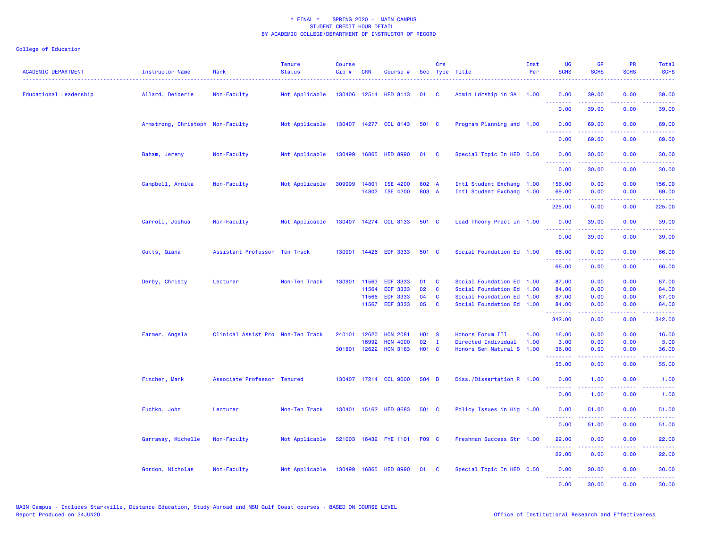| <b>ACADEMIC DEPARTMENT</b> | Instructor Name                  | Rank                              | <b>Tenure</b><br><b>Status</b> | <b>Course</b><br>Cip# | <b>CRN</b>   | Course #                    |                   | Crs          | Sec Type Title            | Inst<br>Per | <b>UG</b><br><b>SCHS</b> | <b>GR</b><br><b>SCHS</b>                                                                                                                                      | <b>PR</b><br><b>SCHS</b> | Total<br><b>SCHS</b>                                                                                                               |
|----------------------------|----------------------------------|-----------------------------------|--------------------------------|-----------------------|--------------|-----------------------------|-------------------|--------------|---------------------------|-------------|--------------------------|---------------------------------------------------------------------------------------------------------------------------------------------------------------|--------------------------|------------------------------------------------------------------------------------------------------------------------------------|
| Educational Leadership     | Allard, Deiderie                 | Non-Faculty                       | Not Applicable                 |                       |              | 130406 12514 HED 8113       | 01                | <b>C</b>     | Admin Ldrship in SA 1.00  |             | 0.00<br>.                | 39.00<br>2.2.2.2.2                                                                                                                                            | 0.00                     | 39.00                                                                                                                              |
|                            |                                  |                                   |                                |                       |              |                             |                   |              |                           |             | 0.00                     | 39.00                                                                                                                                                         | 0.00                     | $\frac{1}{2} \left( \frac{1}{2} \right) \left( \frac{1}{2} \right) \left( \frac{1}{2} \right) \left( \frac{1}{2} \right)$<br>39.00 |
|                            | Armstrong, Christoph Non-Faculty |                                   | Not Applicable                 |                       |              | 130407 14277 CCL 8143       | 501 C             |              | Program Planning and 1.00 |             | 0.00<br>د د د د          | 69.00                                                                                                                                                         | 0.00<br>والمحامل         | 69.00                                                                                                                              |
|                            |                                  |                                   |                                |                       |              |                             |                   |              |                           |             | 0.00                     | 69.00                                                                                                                                                         | 0.00                     | 69.00                                                                                                                              |
|                            | Baham, Jeremy                    | Non-Faculty                       | Not Applicable                 |                       |              | 130499 16865 HED 8990       | 01 C              |              | Special Topic In HED 0.50 |             | 0.00<br>.                | 30.00<br>الداعات عامات                                                                                                                                        | 0.00<br>.                | 30.00<br>.                                                                                                                         |
|                            |                                  |                                   |                                |                       |              |                             |                   |              |                           |             | 0.00                     | 30.00                                                                                                                                                         | 0.00                     | 30.00                                                                                                                              |
|                            | Campbell, Annika                 | Non-Faculty                       | Not Applicable                 | 309999                | 14801        | <b>ISE 4200</b>             | 802 A             |              | Intl Student Exchang 1.00 |             | 156.00                   | 0.00                                                                                                                                                          | 0.00                     | 156.00                                                                                                                             |
|                            |                                  |                                   |                                |                       |              | 14802 ISE 4200              | 803 A             |              | Intl Student Exchang 1.00 |             | 69.00                    | 0.00                                                                                                                                                          | 0.00                     | 69.00                                                                                                                              |
|                            |                                  |                                   |                                |                       |              |                             |                   |              |                           |             | .<br>225.00              | .<br>0.00                                                                                                                                                     | .<br>0.00                | 225.00                                                                                                                             |
|                            | Carroll, Joshua                  | Non-Faculty                       | Not Applicable                 |                       |              | 130407 14274 CCL 8133       | 501 C             |              | Lead Theory Pract in 1.00 |             | 0.00                     | 39.00                                                                                                                                                         | 0.00                     | 39.00                                                                                                                              |
|                            |                                  |                                   |                                |                       |              |                             |                   |              |                           |             | <u>.</u><br>0.00         | .<br>39.00                                                                                                                                                    | .<br>0.00                | .<br>39.00                                                                                                                         |
|                            | Cutts, Qiana                     | Assistant Professor Ten Track     |                                |                       | 130901 14426 | <b>EDF 3333</b>             | 501 C             |              | Social Foundation Ed 1.00 |             | 66.00                    | 0.00                                                                                                                                                          | 0.00                     | 66.00                                                                                                                              |
|                            |                                  |                                   |                                |                       |              |                             |                   |              |                           |             | .<br>66.00               | .<br>0.00                                                                                                                                                     | .<br>0.00                | .<br>66.00                                                                                                                         |
|                            | Derby, Christy                   | Lecturer                          | Non-Ten Track                  | 130901                | 11563        | <b>EDF 3333</b>             | 01                | C            | Social Foundation Ed      | 1.00        | 87.00                    | 0.00                                                                                                                                                          | 0.00                     | 87.00                                                                                                                              |
|                            |                                  |                                   |                                |                       | 11564        | <b>EDF 3333</b>             | 02                | C            | Social Foundation Ed      | 1.00        | 84.00                    | 0.00                                                                                                                                                          | 0.00                     | 84.00                                                                                                                              |
|                            |                                  |                                   |                                |                       | 11566        | <b>EDF 3333</b>             | 04                | C            | Social Foundation Ed      | 1.00        | 87.00                    | 0.00                                                                                                                                                          | 0.00                     | 87.00                                                                                                                              |
|                            |                                  |                                   |                                |                       | 11567        | <b>EDF 3333</b>             | 05                | C            | Social Foundation Ed 1.00 |             | 84.00                    | 0.00                                                                                                                                                          | 0.00                     | 84.00                                                                                                                              |
|                            |                                  |                                   |                                |                       |              |                             |                   |              |                           |             | 342.00                   | 0.00                                                                                                                                                          | 0.00                     | 342.00                                                                                                                             |
|                            | Farmer, Angela                   | Clinical Assist Pro Non-Ten Track |                                | 240101                | 12620        | <b>HON 2081</b>             | H <sub>01</sub> S |              | Honors Forum III          | 1.00        | 16.00                    | 0.00                                                                                                                                                          | 0.00                     | 16.00                                                                                                                              |
|                            |                                  |                                   |                                |                       | 16992        | <b>HON 4000</b>             | 02                | $\mathbf{I}$ | Directed Individual       | 1.00        | 3.00                     | 0.00                                                                                                                                                          | 0.00                     | 3.00                                                                                                                               |
|                            |                                  |                                   |                                |                       | 301801 12622 | <b>HON 3163</b>             | <b>HO1 C</b>      |              | Honors Sem Natural S 1.00 |             | 36.00<br>.               | 0.00<br>$\omega$ is a set of                                                                                                                                  | 0.00<br>.                | 36.00<br>.                                                                                                                         |
|                            |                                  |                                   |                                |                       |              |                             |                   |              |                           |             | 55.00                    | 0.00                                                                                                                                                          | 0.00                     | 55.00                                                                                                                              |
|                            | Fincher, Mark                    | Associate Professor Tenured       |                                |                       |              | 130407 17214 CCL 9000       | 504 D             |              | Diss./Dissertation R 1.00 |             | 0.00<br><u>.</u>         | 1.00<br>.                                                                                                                                                     | 0.00                     | 1.00<br>.                                                                                                                          |
|                            |                                  |                                   |                                |                       |              |                             |                   |              |                           |             | 0.00                     | 1.00                                                                                                                                                          | 0.00                     | 1.00                                                                                                                               |
|                            | Fuchko, John                     | Lecturer                          | Non-Ten Track                  |                       |              | 130401 15162 HED 8683       | 501 C             |              | Policy Issues in Hig 1.00 |             | 0.00<br>.                | 51.00<br>$\frac{1}{2} \left( \frac{1}{2} \right) \left( \frac{1}{2} \right) \left( \frac{1}{2} \right) \left( \frac{1}{2} \right) \left( \frac{1}{2} \right)$ | 0.00<br>$  -$            | 51.00<br>.                                                                                                                         |
|                            |                                  |                                   |                                |                       |              |                             |                   |              |                           |             | 0.00                     | 51.00                                                                                                                                                         | 0.00                     | 51.00                                                                                                                              |
|                            | Garraway, Michelle               | Non-Faculty                       | Not Applicable                 |                       |              | 521003 16432 FYE 1101 F09 C |                   |              | Freshman Success Str 1.00 |             | 22.00                    | 0.00                                                                                                                                                          | 0.00                     | 22.00                                                                                                                              |
|                            |                                  |                                   |                                |                       |              |                             |                   |              |                           |             | .<br>22.00               | .<br>0.00                                                                                                                                                     | .<br>0.00                | .<br>22.00                                                                                                                         |
|                            | Gordon, Nicholas                 | Non-Faculty                       | Not Applicable                 | 130499 16865          |              | <b>HED 8990</b>             | 01                | <b>C</b>     | Special Topic In HED 0.50 |             | 0.00<br>.                | 30.00<br>.                                                                                                                                                    | 0.00<br>. <b>.</b>       | 30.00<br>.                                                                                                                         |
|                            |                                  |                                   |                                |                       |              |                             |                   |              |                           |             | 0.00                     | 30.00                                                                                                                                                         | 0.00                     | 30.00                                                                                                                              |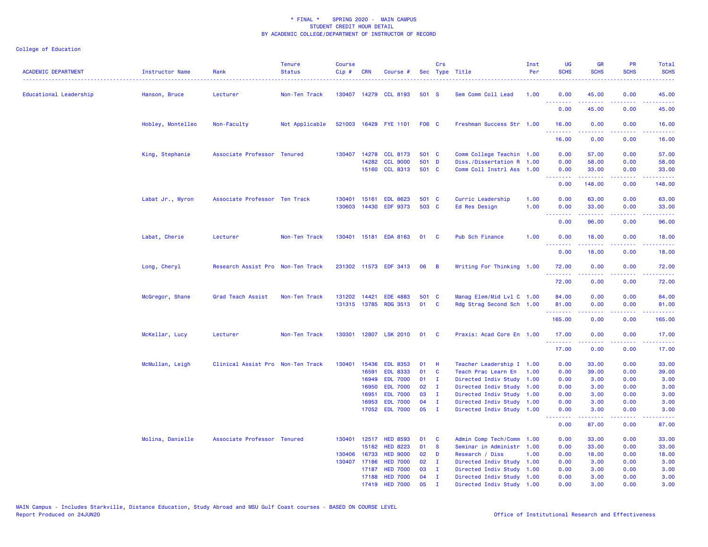| <b>ACADEMIC DEPARTMENT</b>    | Instructor Name   | Rank                              | <b>Tenure</b><br><b>Status</b> | <b>Course</b><br>Cip# | <b>CRN</b>   | Course #              |       | Crs            | Sec Type Title            | Inst<br>Per | <b>UG</b><br><b>SCHS</b>                                  | <b>GR</b><br><b>SCHS</b> | PR<br><b>SCHS</b>                                                                                                                 | Total<br><b>SCHS</b> |
|-------------------------------|-------------------|-----------------------------------|--------------------------------|-----------------------|--------------|-----------------------|-------|----------------|---------------------------|-------------|-----------------------------------------------------------|--------------------------|-----------------------------------------------------------------------------------------------------------------------------------|----------------------|
| <b>Educational Leadership</b> | Hanson, Bruce     | Lecturer                          | Non-Ten Track                  |                       |              | 130407 14279 CCL 8193 | 501 S |                | Sem Comm Coll Lead        | 1.00        | 0.00<br><u> - - - - - - - -</u>                           | 45.00                    | 0.00<br>.                                                                                                                         | 45.00                |
|                               |                   |                                   |                                |                       |              |                       |       |                |                           |             | 0.00                                                      | 45.00                    | 0.00                                                                                                                              | 45.00                |
|                               | Hobley, Montelleo | Non-Faculty                       | Not Applicable                 |                       |              | 521003 16429 FYE 1101 | F06 C |                | Freshman Success Str 1.00 |             | 16.00                                                     | 0.00                     | 0.00                                                                                                                              | 16.00                |
|                               |                   |                                   |                                |                       |              |                       |       |                |                           |             | .<br>16.00                                                | -----<br>0.00            | .<br>0.00                                                                                                                         | .<br>16.00           |
|                               | King, Stephanie   | Associate Professor Tenured       |                                | 130407                | 14278        | <b>CCL 8173</b>       | 501 C |                | Comm College Teachin 1.00 |             | 0.00                                                      | 57.00                    | 0.00                                                                                                                              | 57.00                |
|                               |                   |                                   |                                |                       | 14282        | <b>CCL 9000</b>       | 501 D |                | Diss./Dissertation R 1.00 |             | 0.00                                                      | 58.00                    | 0.00                                                                                                                              | 58.00                |
|                               |                   |                                   |                                |                       |              | 15160 CCL 8313        | 501 C |                | Comm Coll Instrl Ass 1.00 |             | 0.00                                                      | 33.00                    | 0.00                                                                                                                              | 33.00                |
|                               |                   |                                   |                                |                       |              |                       |       |                |                           |             | <b></b><br>0.00                                           | .<br>148.00              | بالابات<br>0.00                                                                                                                   | .<br>148.00          |
|                               |                   |                                   |                                |                       |              |                       |       |                |                           |             |                                                           |                          |                                                                                                                                   |                      |
|                               | Labat Jr., Myron  | Associate Professor Ten Track     |                                | 130401                | 15161        | <b>EDL 8623</b>       | 501 C |                | Curric Leadership         | 1.00        | 0.00                                                      | 63.00                    | 0.00                                                                                                                              | 63.00                |
|                               |                   |                                   |                                |                       |              | 130603 14430 EDF 9373 | 503 C |                | Ed Res Design             | 1.00        | 0.00<br><b></b>                                           | 33.00<br>-----           | 0.00<br>.                                                                                                                         | 33.00<br>.           |
|                               |                   |                                   |                                |                       |              |                       |       |                |                           |             | 0.00                                                      | 96.00                    | 0.00                                                                                                                              | 96.00                |
|                               | Labat, Cherie     | Lecturer                          | Non-Ten Track                  |                       |              | 130401 15181 EDA 8163 | 01    | <b>C</b>       | Pub Sch Finance           | 1.00        | 0.00                                                      | 18.00                    | 0.00                                                                                                                              | 18.00                |
|                               |                   |                                   |                                |                       |              |                       |       |                |                           |             | .<br>0.00                                                 | <b>.</b><br>18.00        | $\frac{1}{2} \left( \frac{1}{2} \right) \left( \frac{1}{2} \right) \left( \frac{1}{2} \right) \left( \frac{1}{2} \right)$<br>0.00 | .<br>18.00           |
|                               | Long, Cheryl      | Research Assist Pro Non-Ten Track |                                |                       |              | 231302 11573 EDF 3413 | 06    | $\overline{B}$ | Writing For Thinking 1.00 |             | 72.00                                                     | 0.00                     | 0.00                                                                                                                              | 72.00                |
|                               |                   |                                   |                                |                       |              |                       |       |                |                           |             | <b></b><br>72.00                                          | <u>.</u><br>0.00         | .<br>0.00                                                                                                                         | .<br>72.00           |
|                               |                   | Grad Teach Assist                 | Non-Ten Track                  |                       | 131202 14421 | <b>EDE 4883</b>       | 501 C |                | Manag Elem/Mid Lvl C 1.00 |             | 84.00                                                     | 0.00                     | 0.00                                                                                                                              | 84.00                |
|                               | McGregor, Shane   |                                   |                                |                       |              | 131315 13785 RDG 3513 | 01    | $\mathbf{C}$   | Rdg Strag Second Sch 1.00 |             | 81.00                                                     | 0.00                     | 0.00                                                                                                                              | 81.00                |
|                               |                   |                                   |                                |                       |              |                       |       |                |                           |             | .                                                         | .                        | .                                                                                                                                 | .                    |
|                               |                   |                                   |                                |                       |              |                       |       |                |                           |             | 165.00                                                    | 0.00                     | 0.00                                                                                                                              | 165.00               |
|                               | McKellar, Lucy    | Lecturer                          | Non-Ten Track                  | 130301                |              | 12807 LSK 2010        | 01    | <b>C</b>       | Praxis: Acad Core En 1.00 |             | 17.00                                                     | 0.00                     | 0.00                                                                                                                              | 17.00                |
|                               |                   |                                   |                                |                       |              |                       |       |                |                           |             | <b><i><u><u><b>Little Little</b></u></u></i></b><br>17.00 | 22222<br>0.00            | .<br>0.00                                                                                                                         | .<br>17.00           |
|                               | McMullan, Leigh   | Clinical Assist Pro Non-Ten Track |                                |                       |              | 130401 15436 EDL 8353 | 01    | -H             | Teacher Leadership I 1.00 |             | 0.00                                                      | 33.00                    | 0.00                                                                                                                              | 33.00                |
|                               |                   |                                   |                                |                       | 16591        | <b>EDL 8333</b>       | 01    | <b>C</b>       | Teach Prac Learn En       | 1.00        | 0.00                                                      | 39.00                    | 0.00                                                                                                                              | 39.00                |
|                               |                   |                                   |                                |                       | 16949        | <b>EDL 7000</b>       | 01    | $\mathbf{I}$   | Directed Indiv Study 1.00 |             | 0.00                                                      | 3.00                     | 0.00                                                                                                                              | 3.00                 |
|                               |                   |                                   |                                |                       | 16950        | <b>EDL 7000</b>       | 02    | I.             | Directed Indiv Study 1.00 |             | 0.00                                                      | 3.00                     | 0.00                                                                                                                              | 3.00                 |
|                               |                   |                                   |                                |                       | 16951        | <b>EDL 7000</b>       | 03    | $\mathbf{I}$   | Directed Indiv Study 1.00 |             | 0.00                                                      | 3.00                     | 0.00                                                                                                                              | 3.00                 |
|                               |                   |                                   |                                |                       | 16953        | <b>EDL 7000</b>       | 04    | $\mathbf{I}$   | Directed Indiv Study 1.00 |             | 0.00                                                      | 3.00                     | 0.00                                                                                                                              | 3.00                 |
|                               |                   |                                   |                                |                       |              | 17052 EDL 7000        | 05    | $\blacksquare$ | Directed Indiv Study 1.00 |             | 0.00<br>المتمامين                                         | 3.00<br>-----            | 0.00<br>بالمحام                                                                                                                   | 3.00                 |
|                               |                   |                                   |                                |                       |              |                       |       |                |                           |             | 0.00                                                      | 87.00                    | 0.00                                                                                                                              | 87.00                |
|                               | Molina, Danielle  | Associate Professor Tenured       |                                |                       | 130401 12517 | <b>HED 8593</b>       | 01    | C              | Admin Comp Tech/Comm      | 1.00        | 0.00                                                      | 33.00                    | 0.00                                                                                                                              | 33.00                |
|                               |                   |                                   |                                |                       | 15182        | <b>HED 8223</b>       | 01    | <b>S</b>       | Seminar in Administr 1.00 |             | 0.00                                                      | 33.00                    | 0.00                                                                                                                              | 33.00                |
|                               |                   |                                   |                                |                       | 130406 16733 | <b>HED 9000</b>       | 02    | D              | Research / Diss           | 1.00        | 0.00                                                      | 18.00                    | 0.00                                                                                                                              | 18.00                |
|                               |                   |                                   |                                |                       | 130407 17186 | <b>HED 7000</b>       | 02    | $\mathbf{I}$   | Directed Indiv Study 1.00 |             | 0.00                                                      | 3.00                     | 0.00                                                                                                                              | 3.00                 |
|                               |                   |                                   |                                |                       | 17187        | <b>HED 7000</b>       | 03    | $\mathbf{I}$   | Directed Indiv Study 1.00 |             | 0.00                                                      | 3.00                     | 0.00                                                                                                                              | 3.00                 |
|                               |                   |                                   |                                |                       | 17188        | <b>HED 7000</b>       | 04    | $\mathbf{I}$   | Directed Indiv Study 1.00 |             | 0.00                                                      | 3.00                     | 0.00                                                                                                                              | 3.00                 |
|                               |                   |                                   |                                |                       | 17419        | <b>HED 7000</b>       | 05    | $\mathbf{r}$   | Directed Indiv Study 1.00 |             | 0.00                                                      | 3.00                     | 0.00                                                                                                                              | 3.00                 |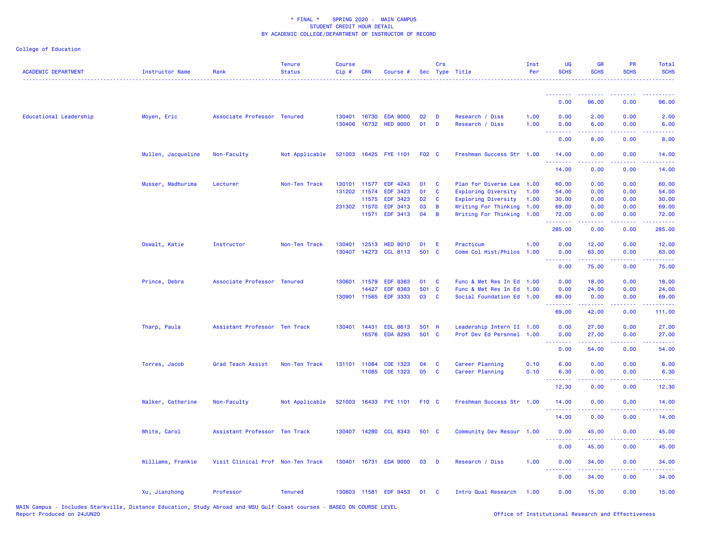| <b>ACADEMIC DEPARTMENT</b> | Instructor Name    | Rank                              | <b>Tenure</b><br><b>Status</b><br>. | <b>Course</b><br>Cip# | <b>CRN</b>                   | Course #                           |          | Crs            | Sec Type Title                     | Inst<br>Per  | <b>UG</b><br><b>SCHS</b>                                                                                                                                                                                                                                                                                                                                                                                                                                                                       | <b>GR</b><br><b>SCHS</b>                                                                                                          | <b>PR</b><br><b>SCHS</b> | <b>Total</b><br><b>SCHS</b>                                                                                                        |
|----------------------------|--------------------|-----------------------------------|-------------------------------------|-----------------------|------------------------------|------------------------------------|----------|----------------|------------------------------------|--------------|------------------------------------------------------------------------------------------------------------------------------------------------------------------------------------------------------------------------------------------------------------------------------------------------------------------------------------------------------------------------------------------------------------------------------------------------------------------------------------------------|-----------------------------------------------------------------------------------------------------------------------------------|--------------------------|------------------------------------------------------------------------------------------------------------------------------------|
|                            |                    |                                   |                                     |                       |                              |                                    |          |                |                                    |              | <u>.</u>                                                                                                                                                                                                                                                                                                                                                                                                                                                                                       | <u>.</u>                                                                                                                          | .                        | .                                                                                                                                  |
|                            |                    |                                   |                                     |                       |                              |                                    |          |                |                                    |              | 0.00                                                                                                                                                                                                                                                                                                                                                                                                                                                                                           | 96.00                                                                                                                             | 0.00                     | 96.00                                                                                                                              |
| Educational Leadership     | Moyen, Eric        | Associate Professor Tenured       |                                     |                       | 130401 16730<br>130406 16732 | <b>EDA 9000</b><br><b>HED 9000</b> | 02<br>01 | D<br>D         | Research / Diss<br>Research / Diss | 1.00<br>1.00 | 0.00<br>0.00                                                                                                                                                                                                                                                                                                                                                                                                                                                                                   | 2.00<br>6.00                                                                                                                      | 0.00<br>0.00             | 2.00<br>6.00                                                                                                                       |
|                            |                    |                                   |                                     |                       |                              |                                    |          |                |                                    |              | .<br>0.00                                                                                                                                                                                                                                                                                                                                                                                                                                                                                      | 8.00                                                                                                                              | 0.00                     | 8.00                                                                                                                               |
|                            | Mullen, Jacqueline | Non-Faculty                       | Not Applicable                      |                       |                              | 521003 16425 FYE 1101 F02 C        |          |                | Freshman Success Str 1.00          |              | 14.00<br>.                                                                                                                                                                                                                                                                                                                                                                                                                                                                                     | 0.00                                                                                                                              | 0.00                     | 14.00                                                                                                                              |
|                            |                    |                                   |                                     |                       |                              |                                    |          |                |                                    |              | 14.00                                                                                                                                                                                                                                                                                                                                                                                                                                                                                          | 0.00                                                                                                                              | 0.00                     | 14.00                                                                                                                              |
|                            | Musser, Madhurima  | Lecturer                          | Non-Ten Track                       |                       |                              | 130101 11577 EDF 4243              | 01       | $\mathbf{C}$   | Plan for Diverse Lea 1.00          |              | 60.00                                                                                                                                                                                                                                                                                                                                                                                                                                                                                          | 0.00                                                                                                                              | 0.00                     | 60.00                                                                                                                              |
|                            |                    |                                   |                                     |                       | 131202 11574                 | EDF 3423                           | 01       | $\mathbf{C}$   | Exploring Diversity 1.00           |              | 54.00                                                                                                                                                                                                                                                                                                                                                                                                                                                                                          | 0.00                                                                                                                              | 0.00                     | 54.00                                                                                                                              |
|                            |                    |                                   |                                     |                       | 11575                        | <b>EDF 3423</b>                    | 02       | $\mathbf{C}$   | Exploring Diversity                | 1.00         | 30.00                                                                                                                                                                                                                                                                                                                                                                                                                                                                                          | 0.00                                                                                                                              | 0.00                     | 30.00                                                                                                                              |
|                            |                    |                                   |                                     |                       | 231302 11570                 | <b>EDF 3413</b>                    | 03       | B              | Writing For Thinking 1.00          |              | 69.00                                                                                                                                                                                                                                                                                                                                                                                                                                                                                          | 0.00                                                                                                                              | 0.00                     | 69.00                                                                                                                              |
|                            |                    |                                   |                                     |                       | 11571                        | <b>EDF 3413</b>                    | 04       | $\overline{B}$ | Writing For Thinking 1.00          |              | 72.00<br>.                                                                                                                                                                                                                                                                                                                                                                                                                                                                                     | 0.00<br>$\frac{1}{2} \left( \frac{1}{2} \right) \left( \frac{1}{2} \right) \left( \frac{1}{2} \right) \left( \frac{1}{2} \right)$ | 0.00                     | 72.00<br>$\frac{1}{2} \left( \frac{1}{2} \right) \left( \frac{1}{2} \right) \left( \frac{1}{2} \right) \left( \frac{1}{2} \right)$ |
|                            |                    |                                   |                                     |                       |                              |                                    |          |                |                                    |              | 285.00                                                                                                                                                                                                                                                                                                                                                                                                                                                                                         | 0.00                                                                                                                              | 0.00                     | 285.00                                                                                                                             |
|                            | Oswalt, Katie      | Instructor                        | Non-Ten Track                       |                       | 130401 12513                 | <b>HED 8010</b>                    | 01       | -E             | Practicum                          | 1.00         | 0.00                                                                                                                                                                                                                                                                                                                                                                                                                                                                                           | 12.00                                                                                                                             | 0.00                     | 12.00                                                                                                                              |
|                            |                    |                                   |                                     |                       |                              | 130407 14273 CCL 8113              | 501 C    |                | Comm Col Hist/Philos 1.00          |              | 0.00                                                                                                                                                                                                                                                                                                                                                                                                                                                                                           | 63.00                                                                                                                             | 0.00                     | 63.00                                                                                                                              |
|                            |                    |                                   |                                     |                       |                              |                                    |          |                |                                    |              | $\begin{array}{cccccccccc} \multicolumn{2}{c}{} & \multicolumn{2}{c}{} & \multicolumn{2}{c}{} & \multicolumn{2}{c}{} & \multicolumn{2}{c}{} & \multicolumn{2}{c}{} & \multicolumn{2}{c}{} & \multicolumn{2}{c}{} & \multicolumn{2}{c}{} & \multicolumn{2}{c}{} & \multicolumn{2}{c}{} & \multicolumn{2}{c}{} & \multicolumn{2}{c}{} & \multicolumn{2}{c}{} & \multicolumn{2}{c}{} & \multicolumn{2}{c}{} & \multicolumn{2}{c}{} & \multicolumn{2}{c}{} & \multicolumn{2}{c}{} & \mult$<br>0.00 | .<br>75.00                                                                                                                        | . <b>.</b> .<br>0.00     | .<br>75.00                                                                                                                         |
|                            | Prince, Debra      | Associate Professor Tenured       |                                     |                       | 130601 11579                 | <b>EDF 8363</b>                    | 01       | $\mathbf{C}$   | Func & Met Res In Ed 1.00          |              | 0.00                                                                                                                                                                                                                                                                                                                                                                                                                                                                                           | 18.00                                                                                                                             | 0.00                     | 18.00                                                                                                                              |
|                            |                    |                                   |                                     |                       | 14427                        | <b>EDF 8363</b>                    | 501 C    |                | Func & Met Res In Ed 1.00          |              | 0.00                                                                                                                                                                                                                                                                                                                                                                                                                                                                                           | 24.00                                                                                                                             | 0.00                     | 24.00                                                                                                                              |
|                            |                    |                                   |                                     |                       | 130901 11565                 | <b>EDF 3333</b>                    | 03       | <b>C</b>       | Social Foundation Ed 1.00          |              | 69.00                                                                                                                                                                                                                                                                                                                                                                                                                                                                                          | 0.00                                                                                                                              | 0.00                     | 69.00                                                                                                                              |
|                            |                    |                                   |                                     |                       |                              |                                    |          |                |                                    |              | <u>.</u><br>69.00                                                                                                                                                                                                                                                                                                                                                                                                                                                                              | .<br>42.00                                                                                                                        | .<br>0.00                | 111.00                                                                                                                             |
|                            | Tharp, Paula       | Assistant Professor Ten Track     |                                     |                       |                              | 130401 14431 EDL 8613              | 501 H    |                | Leadership Intern II 1.00          |              | 0.00                                                                                                                                                                                                                                                                                                                                                                                                                                                                                           | 27.00                                                                                                                             | 0.00                     | 27.00                                                                                                                              |
|                            |                    |                                   |                                     |                       |                              | 16576 EDA 8293                     | 501 C    |                | Prof Dev Ed Persnnel 1.00          |              | 0.00                                                                                                                                                                                                                                                                                                                                                                                                                                                                                           | 27.00                                                                                                                             | 0.00                     | 27.00                                                                                                                              |
|                            |                    |                                   |                                     |                       |                              |                                    |          |                |                                    |              | .                                                                                                                                                                                                                                                                                                                                                                                                                                                                                              | .                                                                                                                                 | .                        | د د د د د                                                                                                                          |
|                            |                    |                                   |                                     |                       |                              |                                    |          |                |                                    |              | 0.00                                                                                                                                                                                                                                                                                                                                                                                                                                                                                           | 54.00                                                                                                                             | 0.00                     | 54.00                                                                                                                              |
|                            | Torres, Jacob      | Grad Teach Assist                 | Non-Ten Track                       |                       |                              | 131101 11084 COE 1323              | 04       | $\mathbf{C}$   | Career Planning                    | 0.10         | 6.00                                                                                                                                                                                                                                                                                                                                                                                                                                                                                           | 0.00                                                                                                                              | 0.00                     | 6.00                                                                                                                               |
|                            |                    |                                   |                                     |                       |                              | 11085 COE 1323                     | 05       | $\mathbf{C}$   | Career Planning                    | 0.10         | 6.30<br><b></b>                                                                                                                                                                                                                                                                                                                                                                                                                                                                                | 0.00                                                                                                                              | 0.00                     | 6.30                                                                                                                               |
|                            |                    |                                   |                                     |                       |                              |                                    |          |                |                                    |              | 12.30                                                                                                                                                                                                                                                                                                                                                                                                                                                                                          | 0.00                                                                                                                              | 0.00                     | 12.30                                                                                                                              |
|                            | Walker, Catherine  | Non-Faculty                       | Not Applicable                      |                       |                              | 521003 16433 FYE 1101              | F10 C    |                | Freshman Success Str 1.00          |              | 14.00                                                                                                                                                                                                                                                                                                                                                                                                                                                                                          | 0.00                                                                                                                              | 0.00                     | 14.00                                                                                                                              |
|                            |                    |                                   |                                     |                       |                              |                                    |          |                |                                    |              | <u>.</u><br>14.00                                                                                                                                                                                                                                                                                                                                                                                                                                                                              | 0.00                                                                                                                              | 0.00                     | 14.00                                                                                                                              |
|                            | White, Carol       | Assistant Professor Ten Track     |                                     |                       |                              | 130407 14280 CCL 8343              | 501 C    |                | Community Dev Resour 1.00          |              | 0.00                                                                                                                                                                                                                                                                                                                                                                                                                                                                                           | 45.00                                                                                                                             | 0.00                     | 45.00                                                                                                                              |
|                            |                    |                                   |                                     |                       |                              |                                    |          |                |                                    |              | <u>.</u><br>0.00                                                                                                                                                                                                                                                                                                                                                                                                                                                                               | 45.00                                                                                                                             | 0.00                     | 45.00                                                                                                                              |
|                            | Williams, Frankie  | Visit Clinical Prof Non-Ten Track |                                     |                       | 130401 16731                 | <b>EDA 9000</b>                    | 03       | <b>D</b>       | Research / Diss                    | 1.00         | 0.00                                                                                                                                                                                                                                                                                                                                                                                                                                                                                           | 34.00                                                                                                                             | 0.00                     | 34.00                                                                                                                              |
|                            |                    |                                   |                                     |                       |                              |                                    |          |                |                                    |              | 0.00                                                                                                                                                                                                                                                                                                                                                                                                                                                                                           | 34.00                                                                                                                             | 0.00                     | 34.00                                                                                                                              |
|                            | Xu, Jianzhong      | Professor                         | <b>Tenured</b>                      |                       |                              | 130603 11581 EDF 9453              | 01       | $\mathbf{C}$   | Intro Qual Research                | 1.00         | 0.00                                                                                                                                                                                                                                                                                                                                                                                                                                                                                           | 15.00                                                                                                                             | 0.00                     | 15.00                                                                                                                              |
|                            |                    |                                   |                                     |                       |                              |                                    |          |                |                                    |              |                                                                                                                                                                                                                                                                                                                                                                                                                                                                                                |                                                                                                                                   |                          |                                                                                                                                    |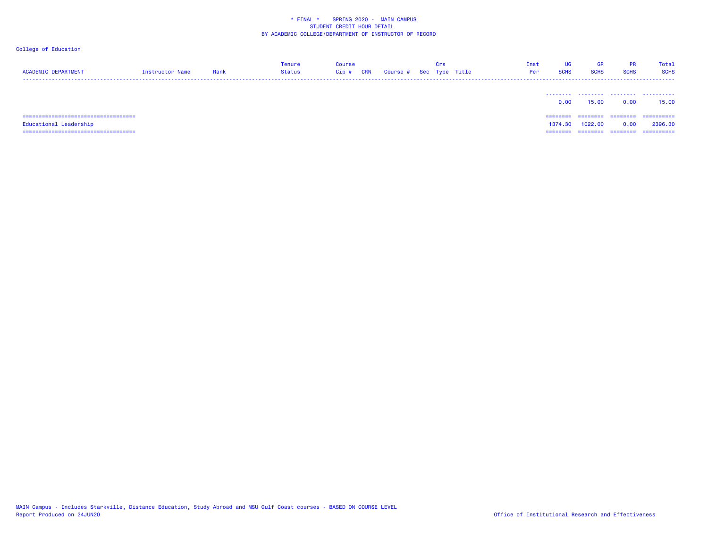| <b>ACADEMIC DEPARTMENT</b>             | Instructor Name | Rank | Tenure<br><b>Status</b> | Course<br>Cip# | <b>CRN</b> | Course # Sec Type Title | Crs | Inst<br>Per | UG<br><b>SCHS</b> | <b>GR</b><br><b>SCHS</b> | <b>PR</b><br><b>SCHS</b> | <b>Total</b><br><b>SCHS</b> |
|----------------------------------------|-----------------|------|-------------------------|----------------|------------|-------------------------|-----|-------------|-------------------|--------------------------|--------------------------|-----------------------------|
|                                        |                 |      |                         |                |            |                         |     |             | 0.00              | 15.00                    | 0.00                     | .<br>15.00                  |
|                                        |                 |      |                         |                |            |                         |     |             | ========          | ========                 | ---------                | ==========                  |
| Educational Leadership                 |                 |      |                         |                |            |                         |     |             | 1374.30           | 1022,00                  | 0.00                     | 2396.30                     |
| ====================================== |                 |      |                         |                |            |                         |     |             | ========          | ========                 | ========                 | ==========                  |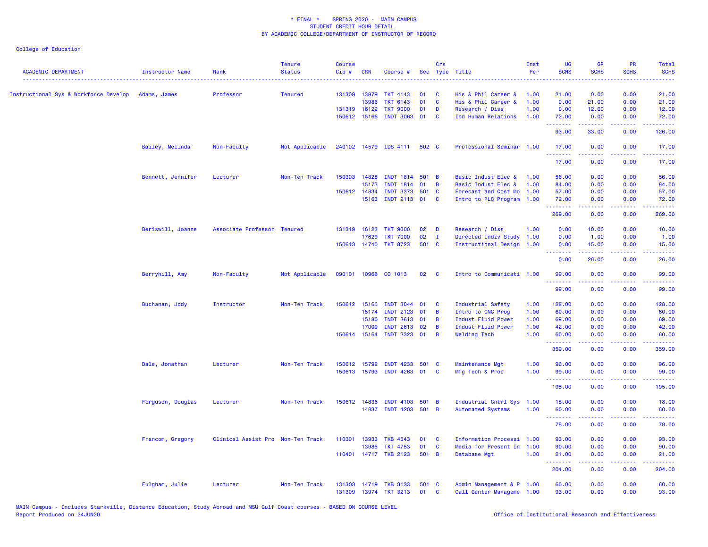| <b>ACADEMIC DEPARTMENT</b>            | Instructor Name   | Rank                              | <b>Tenure</b><br><b>Status</b> | <b>Course</b><br>Cip# | <b>CRN</b> | Course #                    |       | Crs            | Sec Type Title            | Inst<br>Per | <b>UG</b><br><b>SCHS</b> | <b>GR</b><br><b>SCHS</b> | PR<br><b>SCHS</b>                   | Total<br><b>SCHS</b> |
|---------------------------------------|-------------------|-----------------------------------|--------------------------------|-----------------------|------------|-----------------------------|-------|----------------|---------------------------|-------------|--------------------------|--------------------------|-------------------------------------|----------------------|
| Instructional Sys & Workforce Develop | Adams, James      | Professor                         | <b>Tenured</b>                 | 131309                | 13979      | <b>TKT 4143</b>             | 01    | <b>C</b>       | His & Phil Career &       | 1.00        | 21.00                    | 0.00                     | 0.00                                | 21.00                |
|                                       |                   |                                   |                                |                       | 13986      | <b>TKT 6143</b>             | 01    | $\mathbf{C}$   | His & Phil Career &       | 1.00        | 0.00                     | 21.00                    | 0.00                                | 21.00                |
|                                       |                   |                                   |                                | 131319 16122          |            | <b>TKT 9000</b>             | 01    | D              | Research / Diss           | 1.00        | 0.00                     | 12.00                    | 0.00                                | 12.00                |
|                                       |                   |                                   |                                | 150612 15166          |            | <b>INDT 3063</b>            | 01    | $\mathbf{C}$   | Ind Human Relations       | 1.00        | 72.00                    | 0.00                     | 0.00                                | 72.00                |
|                                       |                   |                                   |                                |                       |            |                             |       |                |                           |             | .<br>93.00               | 33.00                    | $\sim$ $\sim$ $\sim$ $\sim$<br>0.00 | المستمات<br>126.00   |
|                                       | Bailey, Melinda   | Non-Faculty                       | Not Applicable                 |                       |            | 240102 14579 IDS 4111       | 502 C |                | Professional Seminar 1.00 |             | 17.00<br>.               | 0.00                     | 0.00<br>$  -$                       | 17.00<br>.           |
|                                       |                   |                                   |                                |                       |            |                             |       |                |                           |             | 17.00                    | 0.00                     | 0.00                                | 17.00                |
|                                       | Bennett, Jennifer | Lecturer                          | Non-Ten Track                  | 150303                | 14828      | <b>INDT 1814</b>            | 501 B |                | Basic Indust Elec &       | 1.00        | 56.00                    | 0.00                     | 0.00                                | 56.00                |
|                                       |                   |                                   |                                |                       | 15173      | <b>INDT 1814</b>            | 01    | $\overline{B}$ | Basic Indust Elec &       | 1.00        | 84.00                    | 0.00                     | 0.00                                | 84.00                |
|                                       |                   |                                   |                                | 150612 14834          |            | <b>INDT 3373</b>            | 501 C |                | Forecast and Cost Mo 1.00 |             | 57.00                    | 0.00                     | 0.00                                | 57.00                |
|                                       |                   |                                   |                                |                       | 15163      | INDT 2113 01                |       | $\mathbf{C}$   | Intro to PLC Program 1.00 |             | 72.00<br>.               | 0.00                     | 0.00                                | 72.00<br>.           |
|                                       |                   |                                   |                                |                       |            |                             |       |                |                           |             | 269.00                   | 0.00                     | 0.00                                | 269.00               |
|                                       | Beriswill, Joanne | Associate Professor Tenured       |                                | 131319 16123          |            | <b>TKT 9000</b>             | 02    | $\mathbf{D}$   | Research / Diss           | 1.00        | 0.00                     | 10.00                    | 0.00                                | 10.00                |
|                                       |                   |                                   |                                |                       | 17629      | <b>TKT 7000</b>             | 02    | $\mathbf{I}$   | Directed Indiv Study 1.00 |             | 0.00                     | 1.00                     | 0.00                                | 1.00                 |
|                                       |                   |                                   |                                | 150613 14740          |            | <b>TKT 8723</b>             | 501 C |                | Instructional Design 1.00 |             | 0.00                     | 15.00                    | 0.00                                | 15.00                |
|                                       |                   |                                   |                                |                       |            |                             |       |                |                           |             | <u>.</u><br>0.00         | المستملة<br>26.00        | د د د د .<br>0.00                   | وبالمحام<br>26.00    |
|                                       | Berryhill, Amy    | Non-Faculty                       | Not Applicable                 | 090101                |            | 10966 CO 1013               | 02    | $\mathbf{C}$   | Intro to Communicati 1.00 |             | 99.00<br>.               | 0.00<br><b>.</b>         | 0.00<br>$  -$                       | 99.00<br>.           |
|                                       |                   |                                   |                                |                       |            |                             |       |                |                           |             | 99.00                    | 0.00                     | 0.00                                | 99.00                |
|                                       | Buchanan, Jody    | Instructor                        | Non-Ten Track                  | 150612 15165          |            | <b>INDT 3044</b>            | 01    | $\mathbf{C}$   | Industrial Safety         | 1.00        | 128.00                   | 0.00                     | 0.00                                | 128.00               |
|                                       |                   |                                   |                                |                       | 15174      | <b>INDT 2123</b>            | 01    | B              | Intro to CNC Prog         | 1.00        | 60.00                    | 0.00                     | 0.00                                | 60.00                |
|                                       |                   |                                   |                                |                       | 15180      | INDT 2613 01                |       | $\overline{B}$ | Indust Fluid Power        | 1.00        | 69.00                    | 0.00                     | 0.00                                | 69.00                |
|                                       |                   |                                   |                                |                       | 17000      | <b>INDT 2613</b>            | 02    | B              | Indust Fluid Power        | 1.00        | 42.00                    | 0.00                     | 0.00                                | 42.00                |
|                                       |                   |                                   |                                | 150614 15164          |            | INDT 2323 01                |       | $\overline{B}$ | <b>Welding Tech</b>       | 1.00        | 60.00                    | 0.00                     | 0.00                                | 60.00                |
|                                       |                   |                                   |                                |                       |            |                             |       |                |                           |             | .<br>359.00              | .<br>0.00                | $  -$<br>0.00                       | المتمام<br>359.00    |
|                                       | Dale, Jonathan    | Lecturer                          | Non-Ten Track                  | 150612                | 15792      | <b>INDT 4233</b>            | 501 C |                | Maintenance Mgt           | 1.00        | 96.00                    | 0.00                     | 0.00                                | 96.00                |
|                                       |                   |                                   |                                |                       |            | 150613 15793 INDT 4263 01 C |       |                | Mfg Tech & Proc           | 1.00        | 99.00                    | 0.00                     | 0.00                                | 99.00                |
|                                       |                   |                                   |                                |                       |            |                             |       |                |                           |             | . <b>.</b><br>195.00     | -----<br>0.00            | .<br>0.00                           | .<br>195.00          |
|                                       | Ferguson, Douglas | Lecturer                          | Non-Ten Track                  | 150612 14836          |            | <b>INDT 4103</b>            | 501 B |                | Industrial Cntrl Sys 1.00 |             | 18.00                    | 0.00                     | 0.00                                | 18.00                |
|                                       |                   |                                   |                                |                       | 14837      | INDT 4203 501 B             |       |                | <b>Automated Systems</b>  | 1.00        | 60.00<br>.               | 0.00                     | 0.00<br>.                           | 60.00                |
|                                       |                   |                                   |                                |                       |            |                             |       |                |                           |             | 78.00                    | 0.00                     | 0.00                                | 78.00                |
|                                       | Francom, Gregory  | Clinical Assist Pro Non-Ten Track |                                | 110301                | 13933      | <b>TKB 4543</b>             | 01    | $\mathbf{C}$   | Information Processi 1.00 |             | 93.00                    | 0.00                     | 0.00                                | 93.00                |
|                                       |                   |                                   |                                |                       | 13985      | <b>TKT 4753</b>             | 01    | $\mathbf{C}$   | Media for Present In 1.00 |             | 90.00                    | 0.00                     | 0.00                                | 90.00                |
|                                       |                   |                                   |                                |                       |            | 110401 14717 TKB 2123       | 501 B |                | Database Mgt              | 1.00        | 21.00<br>.               | 0.00<br>22222            | 0.00<br>.                           | 21.00<br>.           |
|                                       |                   |                                   |                                |                       |            |                             |       |                |                           |             | 204.00                   | 0.00                     | 0.00                                | 204.00               |
|                                       | Fulgham, Julie    | Lecturer                          | Non-Ten Track                  | 131303                | 14719      | <b>TKB 3133</b>             | 501 C |                | Admin Management & P 1.00 |             | 60.00                    | 0.00                     | 0.00                                | 60.00                |
|                                       |                   |                                   |                                | 131309                |            | 13974 TKT 3213              | 01    | $\mathbf{C}$   | Call Center Manageme 1.00 |             | 93.00                    | 0.00                     | 0.00                                | 93.00                |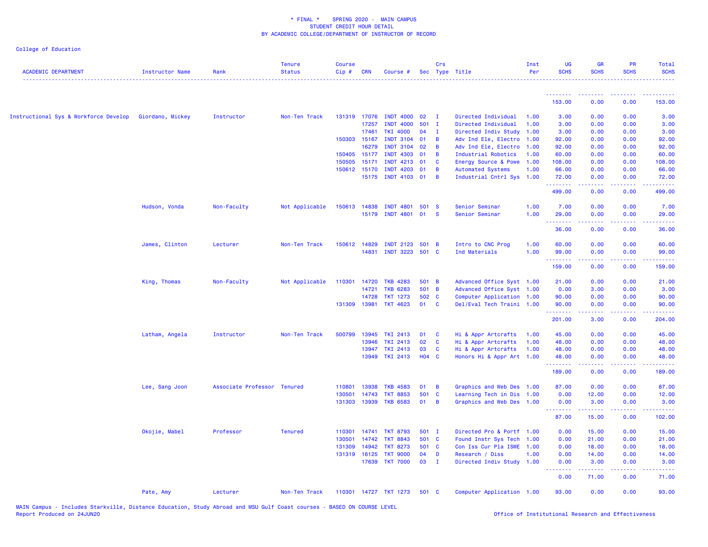| <b>ACADEMIC DEPARTMENT</b>            | <b>Instructor Name</b> | Rank                        | <b>Tenure</b><br><b>Status</b> | <b>Course</b><br>Cip# | <b>CRN</b>     | Course #                                  |                | Crs            | Sec Type Title                                        | Inst<br>Per  | UG<br><b>SCHS</b> | <b>GR</b><br><b>SCHS</b>                     | PR<br><b>SCHS</b>           | Total<br><b>SCHS</b> |
|---------------------------------------|------------------------|-----------------------------|--------------------------------|-----------------------|----------------|-------------------------------------------|----------------|----------------|-------------------------------------------------------|--------------|-------------------|----------------------------------------------|-----------------------------|----------------------|
|                                       |                        |                             |                                |                       |                |                                           |                |                |                                                       |              | <u>.</u>          | .                                            |                             |                      |
|                                       |                        |                             |                                |                       |                |                                           |                |                |                                                       |              | 153.00            | 0.00                                         | 0.00                        | 153.00               |
| Instructional Sys & Workforce Develop | Giordano, Mickey       | Instructor                  | Non-Ten Track                  | 131319                |                | 17076 INDT 4000                           | 02             | $\mathbf{I}$   | Directed Individual                                   | 1.00         | 3.00              | 0.00                                         | 0.00                        | 3.00                 |
|                                       |                        |                             |                                |                       | 17257          | <b>INDT 4000</b>                          | $501$ I        |                | Directed Individual                                   | 1.00         | 3.00              | 0.00                                         | 0.00                        | 3.00                 |
|                                       |                        |                             |                                |                       | 17461          | <b>TKI 4000</b>                           | 04             | $\mathbf{I}$   | Directed Indiv Study 1.00                             |              | 3.00              | 0.00                                         | 0.00                        | 3.00                 |
|                                       |                        |                             |                                |                       | 150303 15167   | <b>INDT 3104</b>                          | 01             | B              | Adv Ind Ele, Electro 1.00                             |              | 92.00             | 0.00                                         | 0.00                        | 92.00                |
|                                       |                        |                             |                                |                       | 16279          | <b>INDT 3104</b>                          | 02             | B              | Adv Ind Ele, Electro 1.00                             |              | 92.00             | 0.00                                         | 0.00                        | 92.00                |
|                                       |                        |                             |                                | 150405                |                | 15177 INDT 4303                           | 01             | B<br><b>C</b>  | Industrial Robotics                                   | 1.00         | 60.00             | 0.00                                         | 0.00                        | 60.00                |
|                                       |                        |                             |                                | 150505<br>150612      | 15171<br>15170 | INDT 4213 01<br><b>INDT 4203</b>          | 01             | B              | Energy Source & Powe 1.00<br><b>Automated Systems</b> | 1.00         | 108.00<br>66.00   | 0.00<br>0.00                                 | 0.00<br>0.00                | 108.00<br>66.00      |
|                                       |                        |                             |                                |                       |                | 15175 INDT 4103 01                        |                | $\overline{B}$ | Industrial Cntrl Sys 1.00                             |              | 72.00             | 0.00                                         | 0.00                        | 72.00                |
|                                       |                        |                             |                                |                       |                |                                           |                |                |                                                       |              | .                 | .                                            | $\sim$ $\sim$ $\sim$ $\sim$ | .                    |
|                                       |                        |                             |                                |                       |                |                                           |                |                |                                                       |              | 499.00            | 0.00                                         | 0.00                        | 499.00               |
|                                       | Hudson, Vonda          | Non-Faculty                 | Not Applicable                 | 150613                |                | 14838 INDT 4801                           | 501 S          |                | Senior Seminar                                        | 1.00         | 7.00              | 0.00                                         | 0.00                        | 7.00                 |
|                                       |                        |                             |                                |                       |                | 15179 INDT 4801 01 S                      |                |                | Senior Seminar                                        | 1.00         | 29.00             | 0.00                                         | 0.00                        | 29.00                |
|                                       |                        |                             |                                |                       |                |                                           |                |                |                                                       |              | وساعات<br>36.00   | 0.00                                         | 0.00                        | 36.00                |
|                                       |                        |                             |                                |                       |                |                                           |                |                |                                                       |              |                   |                                              |                             |                      |
|                                       | James, Clinton         | Lecturer                    | Non-Ten Track                  |                       |                | 150612 14829 INDT 2123<br>14831 INDT 3223 | 501 B<br>501 C |                | Intro to CNC Prog<br>Ind Materials                    | 1.00<br>1.00 | 60.00<br>99.00    | 0.00                                         | 0.00<br>0.00                | 60.00                |
|                                       |                        |                             |                                |                       |                |                                           |                |                |                                                       |              | .                 | 0.00<br>.                                    | .                           | 99.00<br>.           |
|                                       |                        |                             |                                |                       |                |                                           |                |                |                                                       |              | 159.00            | 0.00                                         | 0.00                        | 159.00               |
|                                       | King, Thomas           | Non-Faculty                 | Not Applicable                 | 110301                | 14720          | <b>TKB 4283</b>                           | 501 B          |                | Advanced Office Syst 1.00                             |              | 21.00             | 0.00                                         | 0.00                        | 21.00                |
|                                       |                        |                             |                                |                       | 14721          | <b>TKB 6283</b>                           | 501 B          |                | Advanced Office Syst 1.00                             |              | 0.00              | 3.00                                         | 0.00                        | 3.00                 |
|                                       |                        |                             |                                |                       | 14728          | <b>TKT 1273</b>                           | 502 C          |                | Computer Application 1.00                             |              | 90.00             | 0.00                                         | 0.00                        | 90.00                |
|                                       |                        |                             |                                |                       | 131309 13981   | <b>TKT 4623</b>                           | 01             | <b>C</b>       | Del/Eval Tech Traini 1.00                             |              | 90.00<br>.        | 0.00<br>$\sim$ $\sim$ $\sim$ $\sim$          | 0.00<br>.                   | 90.00<br>المستمال    |
|                                       |                        |                             |                                |                       |                |                                           |                |                |                                                       |              | 201.00            | 3.00                                         | 0.00                        | 204.00               |
|                                       | Latham, Angela         | Instructor                  | Non-Ten Track                  | 500799                |                | 13945 TKI 2413                            | 01             | <b>C</b>       | Hi & Appr Artcrafts                                   | 1.00         | 45.00             | 0.00                                         | 0.00                        | 45.00                |
|                                       |                        |                             |                                |                       |                | 13946 TKI 2413                            | 02             | $\mathbf{C}$   | Hi & Appr Artcrafts                                   | 1.00         | 48.00             | 0.00                                         | 0.00                        | 48.00                |
|                                       |                        |                             |                                |                       |                | 13947 TKI 2413                            | 03             | $\mathbf{C}$   | Hi & Appr Artcrafts                                   | 1.00         | 48.00             | 0.00                                         | 0.00                        | 48.00                |
|                                       |                        |                             |                                |                       |                | 13949 TKI 2413                            | H04 C          |                | Honors Hi & Appr Art 1.00                             |              | 48.00<br>.        | 0.00<br><b><i><u><u> - - - -</u></u></i></b> | 0.00<br>.                   | 48.00<br>.           |
|                                       |                        |                             |                                |                       |                |                                           |                |                |                                                       |              | 189.00            | 0.00                                         | 0.00                        | 189.00               |
|                                       | Lee, Sang Joon         | Associate Professor Tenured |                                | 110801                | 13938          | <b>TKB 4583</b>                           | 01             | $\overline{B}$ | Graphics and Web Des 1.00                             |              | 87.00             | 0.00                                         | 0.00                        | 87.00                |
|                                       |                        |                             |                                | 130501                | 14743          | <b>TKT 8853</b>                           | 501            | $\mathbf{C}$   | Learning Tech in Dis 1.00                             |              | 0.00              | 12.00                                        | 0.00                        | 12.00                |
|                                       |                        |                             |                                | 131303                |                | 13939 TKB 6583                            | 01             | $\overline{B}$ | Graphics and Web Des 1.00                             |              | 0.00<br><u>.</u>  | 3.00                                         | 0.00                        | 3.00                 |
|                                       |                        |                             |                                |                       |                |                                           |                |                |                                                       |              | 87.00             | 15.00                                        | 0.00                        | 102.00               |
|                                       | Okojie, Mabel          | Professor                   | <b>Tenured</b>                 | 110301                |                | 14741 TKT 8793                            | 501 I          |                | Directed Pro & Portf 1.00                             |              | 0.00              | 15.00                                        | 0.00                        | 15.00                |
|                                       |                        |                             |                                | 130501                |                | 14742 TKT 8843                            | 501 C          |                | Found Instr Sys Tech 1.00                             |              | 0.00              | 21.00                                        | 0.00                        | 21.00                |
|                                       |                        |                             |                                | 131309                | 14942          | <b>TKT 8273</b>                           | 501 C          |                | Con Iss Cur Pla ISWE 1.00                             |              | 0.00              | 18.00                                        | 0.00                        | 18.00                |
|                                       |                        |                             |                                | 131319                |                | 16125 TKT 9000                            | 04             | D              | Research / Diss                                       | 1.00         | 0.00              | 14.00                                        | 0.00                        | 14.00                |
|                                       |                        |                             |                                |                       |                | 17639 TKT 7000                            | $03$ I         |                | Directed Indiv Study 1.00                             |              | 0.00<br>.         | 3.00<br>المتمام المتمار                      | 0.00<br>.                   | 3.00<br>.            |
|                                       |                        |                             |                                |                       |                |                                           |                |                |                                                       |              | 0.00              | 71.00                                        | 0.00                        | 71.00                |
|                                       | Pate, Amy              | Lecturer                    | Non-Ten Track                  |                       |                | 110301 14727 TKT 1273                     | 501 C          |                | Computer Application 1.00                             |              | 93.00             | 0.00                                         | 0.00                        | 93.00                |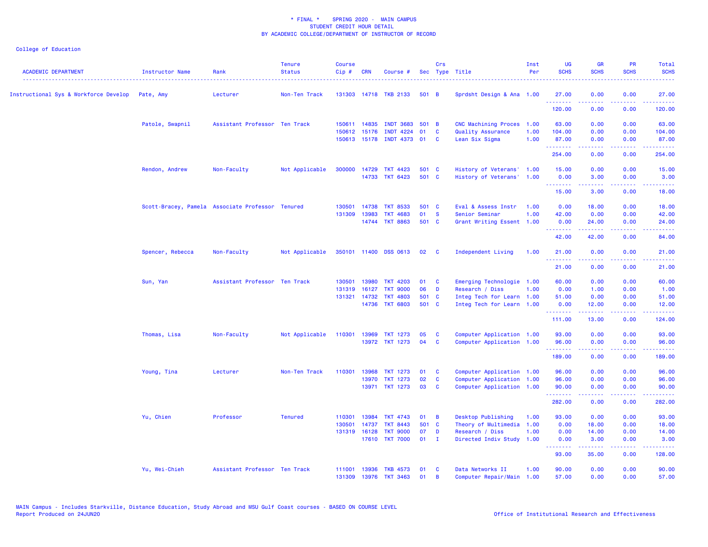| <b>ACADEMIC DEPARTMENT</b>            | Instructor Name  | Rank                                             | <b>Tenure</b><br><b>Status</b> | <b>Course</b><br>Cip# | <b>CRN</b>   | Course #                  |              | Crs            | Sec Type Title              | Inst<br>Per | <b>UG</b><br><b>SCHS</b> | <b>GR</b><br><b>SCHS</b>                                                                                                           | <b>PR</b><br><b>SCHS</b>                                                                               | Total<br><b>SCHS</b>                                                                                                                                          |
|---------------------------------------|------------------|--------------------------------------------------|--------------------------------|-----------------------|--------------|---------------------------|--------------|----------------|-----------------------------|-------------|--------------------------|------------------------------------------------------------------------------------------------------------------------------------|--------------------------------------------------------------------------------------------------------|---------------------------------------------------------------------------------------------------------------------------------------------------------------|
| Instructional Sys & Workforce Develop | Pate, Amy        | Lecturer                                         | Non-Ten Track                  |                       |              | 131303 14718 TKB 2133     | 501 B        |                | Sprdsht Design & Ana 1.00   |             | 27.00<br>.               | 0.00<br>.                                                                                                                          | 0.00<br>$  -$                                                                                          | 27.00<br>.                                                                                                                                                    |
|                                       |                  |                                                  |                                |                       |              |                           |              |                |                             |             | 120.00                   | 0.00                                                                                                                               | 0.00                                                                                                   | 120.00                                                                                                                                                        |
|                                       | Patole, Swapnil  | Assistant Professor Ten Track                    |                                |                       | 150611 14835 | <b>INDT 3683</b>          | 501 B        |                | <b>CNC Machining Proces</b> | 1.00        | 63.00                    | 0.00                                                                                                                               | 0.00                                                                                                   | 63.00                                                                                                                                                         |
|                                       |                  |                                                  |                                | 150612                | 15176        | <b>INDT 4224</b>          | 01           | <b>C</b>       | Quality Assurance           | 1.00        | 104.00                   | 0.00                                                                                                                               | 0.00                                                                                                   | 104.00                                                                                                                                                        |
|                                       |                  |                                                  |                                |                       |              | 150613 15178 INDT 4373 01 |              | <b>C</b>       | Lean Six Sigma              | 1.00        | 87.00<br>.               | 0.00<br>22222                                                                                                                      | 0.00<br>.                                                                                              | 87.00<br>$\begin{array}{cccccccccc} \bullet & \bullet & \bullet & \bullet & \bullet & \bullet & \bullet & \bullet \end{array}$                                |
|                                       |                  |                                                  |                                |                       |              |                           |              |                |                             |             | 254.00                   | 0.00                                                                                                                               | 0.00                                                                                                   | 254.00                                                                                                                                                        |
|                                       | Rendon, Andrew   | Non-Faculty                                      | Not Applicable                 |                       | 300000 14729 | <b>TKT 4423</b>           | 501 C        |                | History of Veterans' 1.00   |             | 15.00                    | 0.00                                                                                                                               | 0.00                                                                                                   | 15.00                                                                                                                                                         |
|                                       |                  |                                                  |                                |                       | 14733        | <b>TKT 6423</b>           | 501 C        |                | History of Veterans'        | 1.00        | 0.00                     | 3.00                                                                                                                               | 0.00                                                                                                   | 3.00                                                                                                                                                          |
|                                       |                  |                                                  |                                |                       |              |                           |              |                |                             |             | .<br>15.00               | .<br>3.00                                                                                                                          | $\sim$ $\sim$ $\sim$ $\sim$<br>0.00                                                                    | $\frac{1}{2} \left( \frac{1}{2} \right) \left( \frac{1}{2} \right) \left( \frac{1}{2} \right) \left( \frac{1}{2} \right) \left( \frac{1}{2} \right)$<br>18.00 |
|                                       |                  | Scott-Bracey, Pamela Associate Professor Tenured |                                | 130501                | 14738        | <b>TKT 8533</b>           | 501 C        |                | Eval & Assess Instr         | 1.00        | 0.00                     | 18.00                                                                                                                              | 0.00                                                                                                   | 18.00                                                                                                                                                         |
|                                       |                  |                                                  |                                | 131309                | 13983        | <b>TKT 4683</b>           | 01           | <b>S</b>       | Senior Seminar              | 1.00        | 42.00                    | 0.00                                                                                                                               | 0.00                                                                                                   | 42.00                                                                                                                                                         |
|                                       |                  |                                                  |                                |                       | 14744        | <b>TKT 8863</b>           | 501 C        |                | Grant Writing Essent 1.00   |             | 0.00<br>.                | 24.00<br>بالأباب                                                                                                                   | 0.00<br>$\omega = \omega/\omega$                                                                       | 24.00<br>$\omega$ is a set                                                                                                                                    |
|                                       |                  |                                                  |                                |                       |              |                           |              |                |                             |             | 42.00                    | 42.00                                                                                                                              | 0.00                                                                                                   | 84.00                                                                                                                                                         |
|                                       | Spencer, Rebecca | Non-Faculty                                      | Not Applicable                 |                       |              | 350101 11400 DSS 0613     | 02           | <b>C</b>       | Independent Living          | 1.00        | 21.00<br>.               | 0.00                                                                                                                               | 0.00                                                                                                   | 21.00<br>د د د د د                                                                                                                                            |
|                                       |                  |                                                  |                                |                       |              |                           |              |                |                             |             | 21.00                    | 0.00                                                                                                                               | 0.00                                                                                                   | 21.00                                                                                                                                                         |
|                                       | Sun, Yan         | Assistant Professor Ten Track                    |                                |                       | 130501 13980 | <b>TKT 4203</b>           | 01           | <b>C</b>       | Emerging Technologie 1.00   |             | 60.00                    | 0.00                                                                                                                               | 0.00                                                                                                   | 60.00                                                                                                                                                         |
|                                       |                  |                                                  |                                | 131319                | 16127        | <b>TKT 9000</b>           | 06           | D              | Research / Diss             | 1.00        | 0.00                     | 1.00                                                                                                                               | 0.00                                                                                                   | 1.00                                                                                                                                                          |
|                                       |                  |                                                  |                                |                       | 131321 14732 | <b>TKT 4803</b>           | 501 C        |                | Integ Tech for Learn 1.00   |             | 51.00                    | 0.00                                                                                                                               | 0.00                                                                                                   | 51.00                                                                                                                                                         |
|                                       |                  |                                                  |                                |                       |              | 14736 TKT 6803            | 501 C        |                | Integ Tech for Learn 1.00   |             | 0.00<br>.                | 12.00<br>$\frac{1}{2} \left( \frac{1}{2} \right) \left( \frac{1}{2} \right) \left( \frac{1}{2} \right) \left( \frac{1}{2} \right)$ | 0.00<br>د د د د                                                                                        | 12.00<br>.                                                                                                                                                    |
|                                       |                  |                                                  |                                |                       |              |                           |              |                |                             |             | 111.00                   | 13.00                                                                                                                              | 0.00                                                                                                   | 124.00                                                                                                                                                        |
|                                       | Thomas, Lisa     | Non-Faculty                                      | Not Applicable                 | 110301                | 13969        | <b>TKT 1273</b>           | 05           | <b>C</b>       | Computer Application 1.00   |             | 93.00                    | 0.00                                                                                                                               | 0.00                                                                                                   | 93.00                                                                                                                                                         |
|                                       |                  |                                                  |                                |                       |              | 13972 TKT 1273            | 04           | $\mathbf{C}$   | Computer Application 1.00   |             | 96.00<br>.               | 0.00<br>.                                                                                                                          | 0.00<br>$\frac{1}{2} \left( \frac{1}{2} \right) \left( \frac{1}{2} \right) \left( \frac{1}{2} \right)$ | 96.00<br>.                                                                                                                                                    |
|                                       |                  |                                                  |                                |                       |              |                           |              |                |                             |             | 189.00                   | 0.00                                                                                                                               | 0.00                                                                                                   | 189.00                                                                                                                                                        |
|                                       | Young, Tina      | Lecturer                                         | Non-Ten Track                  | 110301                | 13968        | <b>TKT 1273</b>           | 01           | <b>C</b>       | Computer Application 1.00   |             | 96.00                    | 0.00                                                                                                                               | 0.00                                                                                                   | 96.00                                                                                                                                                         |
|                                       |                  |                                                  |                                |                       | 13970        | <b>TKT 1273</b>           | 02           | $\mathbf{C}$   | Computer Application 1.00   |             | 96.00                    | 0.00                                                                                                                               | 0.00                                                                                                   | 96.00                                                                                                                                                         |
|                                       |                  |                                                  |                                |                       |              | 13971 TKT 1273            | 03           | <b>C</b>       | Computer Application 1.00   |             | 90.00<br>.               | 0.00<br>.                                                                                                                          | 0.00<br>بالأباد                                                                                        | 90.00<br>.                                                                                                                                                    |
|                                       |                  |                                                  |                                |                       |              |                           |              |                |                             |             | 282.00                   | 0.00                                                                                                                               | 0.00                                                                                                   | 282.00                                                                                                                                                        |
|                                       | Yu, Chien        | Professor                                        | <b>Tenured</b>                 | 110301                | 13984        | <b>TKT 4743</b>           | 01           | $\overline{B}$ | Desktop Publishing          | 1.00        | 93.00                    | 0.00                                                                                                                               | 0.00                                                                                                   | 93.00                                                                                                                                                         |
|                                       |                  |                                                  |                                | 130501                | 14737        | <b>TKT 8443</b>           | 501 C        |                | Theory of Multimedia 1.00   |             | 0.00                     | 18.00                                                                                                                              | 0.00                                                                                                   | 18.00                                                                                                                                                         |
|                                       |                  |                                                  |                                | 131319                | 16128        | <b>TKT 9000</b>           | 07           | D              | Research / Diss             | 1.00        | 0.00                     | 14.00                                                                                                                              | 0.00                                                                                                   | 14.00                                                                                                                                                         |
|                                       |                  |                                                  |                                |                       |              | 17610 TKT 7000            | $01 \quad I$ |                | Directed Indiv Study 1.00   |             | 0.00<br>.                | 3.00<br>.                                                                                                                          | 0.00<br>.                                                                                              | 3.00<br><b><i><u><u> - - - - -</u></u></i></b>                                                                                                                |
|                                       |                  |                                                  |                                |                       |              |                           |              |                |                             |             | 93.00                    | 35.00                                                                                                                              | 0.00                                                                                                   | 128.00                                                                                                                                                        |
|                                       | Yu, Wei-Chieh    | Assistant Professor Ten Track                    |                                | 111001                | 13936        | <b>TKB 4573</b>           | 01           | - C            | Data Networks II            | 1.00        | 90.00                    | 0.00                                                                                                                               | 0.00                                                                                                   | 90.00                                                                                                                                                         |
|                                       |                  |                                                  |                                | 131309                | 13976        | <b>TKT 3463</b>           | 01           | B              | Computer Repair/Main 1.00   |             | 57.00                    | 0.00                                                                                                                               | 0.00                                                                                                   | 57.00                                                                                                                                                         |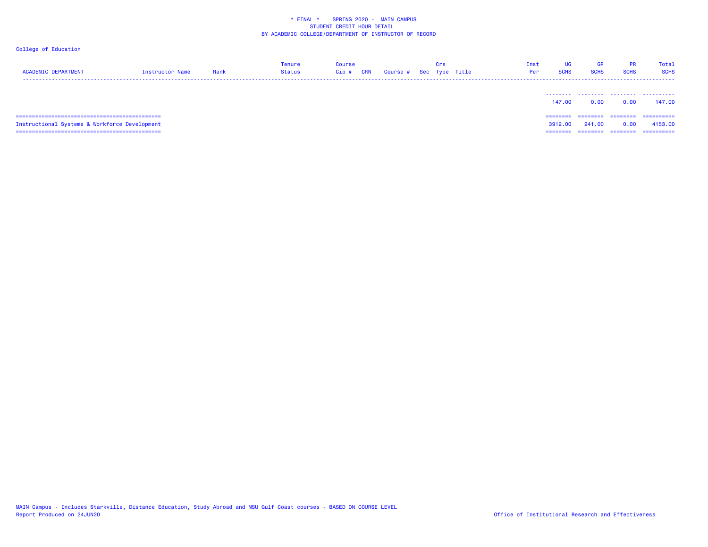| <b>ACADEMIC DEPARTMENT</b><br>Instructor Name | Rank | Tenure<br>Status | Course<br>Cip# | <b>CRN</b> | Course # Sec Type Title | Crs | Inst<br>Per | UG<br><b>SCHS</b>   | GR<br><b>SCHS</b> | <b>PR</b><br><b>SCHS</b> | Total<br><b>SCHS</b>  |
|-----------------------------------------------|------|------------------|----------------|------------|-------------------------|-----|-------------|---------------------|-------------------|--------------------------|-----------------------|
|                                               |      |                  |                |            |                         |     |             | .<br>147.00         | 0.00              | 0.00                     | <br>147.00            |
| Instructional Systems & Workforce Development |      |                  |                |            |                         |     |             | ========<br>3912,00 | 241.00            | ---------<br>0.00        | ==========<br>4153.00 |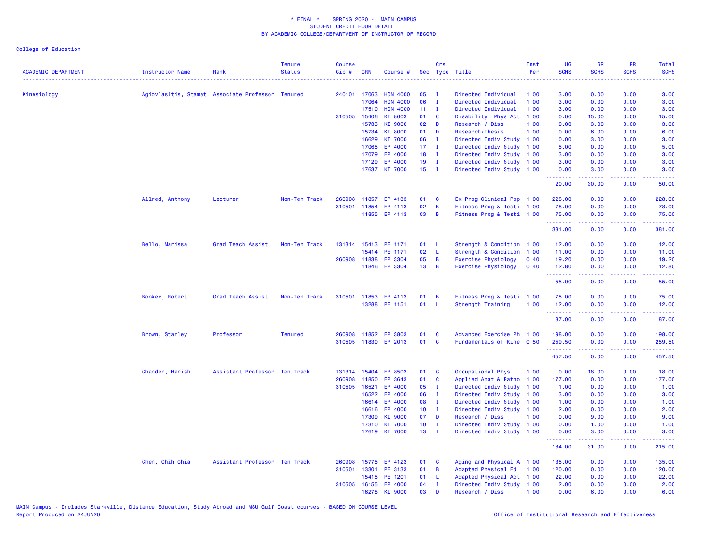| <b>ACADEMIC DEPARTMENT</b> | <b>Instructor Name</b> | Rank                                             | <b>Tenure</b><br><b>Status</b> | <b>Course</b><br>Cip# | <b>CRN</b>     | Course #             |                 | Crs          | Sec Type Title                               | Inst<br>Per  | UG<br><b>SCHS</b>   | <b>GR</b><br><b>SCHS</b>                                                                                                                                     | PR<br><b>SCHS</b>                                                                                                                 | Total<br><b>SCHS</b>                                                                                                 |
|----------------------------|------------------------|--------------------------------------------------|--------------------------------|-----------------------|----------------|----------------------|-----------------|--------------|----------------------------------------------|--------------|---------------------|--------------------------------------------------------------------------------------------------------------------------------------------------------------|-----------------------------------------------------------------------------------------------------------------------------------|----------------------------------------------------------------------------------------------------------------------|
|                            |                        |                                                  |                                |                       |                |                      |                 |              |                                              |              |                     |                                                                                                                                                              |                                                                                                                                   |                                                                                                                      |
| Kinesiology                |                        | Agiovlasitis, Stamat Associate Professor Tenured |                                |                       | 240101 17063   | <b>HON 4000</b>      | 05              | - I          | Directed Individual                          | 1.00         | 3.00                | 0.00                                                                                                                                                         | 0.00                                                                                                                              | 3.00                                                                                                                 |
|                            |                        |                                                  |                                |                       | 17064          | <b>HON 4000</b>      | 06              | $\mathbf{I}$ | Directed Individual                          | 1.00         | 3.00                | 0.00                                                                                                                                                         | 0.00                                                                                                                              | 3.00                                                                                                                 |
|                            |                        |                                                  |                                |                       | 17510          | <b>HON 4000</b>      | 11 <sub>1</sub> | $\mathbf{I}$ | Directed Individual                          | 1.00         | 3.00                | 0.00                                                                                                                                                         | 0.00                                                                                                                              | 3.00                                                                                                                 |
|                            |                        |                                                  |                                |                       | 310505 15406   | KI 8603              | 01              | C            | Disability, Phys Act                         | 1.00         | 0.00                | 15.00                                                                                                                                                        | 0.00                                                                                                                              | 15.00                                                                                                                |
|                            |                        |                                                  |                                |                       | 15733<br>15734 | KI 9000<br>KI 8000   | 02<br>01        | D<br>D       | Research / Diss<br>Research/Thesis           | 1.00<br>1.00 | 0.00<br>0.00        | 3.00<br>6.00                                                                                                                                                 | 0.00<br>0.00                                                                                                                      | 3.00<br>6.00                                                                                                         |
|                            |                        |                                                  |                                |                       | 16629          | KI 7000              | 06              | $\mathbf{I}$ |                                              | 1.00         | 0.00                | 3.00                                                                                                                                                         | 0.00                                                                                                                              | 3.00                                                                                                                 |
|                            |                        |                                                  |                                |                       | 17065          | EP 4000              | 17 <sub>1</sub> | $\mathbf{I}$ | Directed Indiv Study<br>Directed Indiv Study | 1.00         | 5.00                | 0.00                                                                                                                                                         | 0.00                                                                                                                              | 5.00                                                                                                                 |
|                            |                        |                                                  |                                |                       | 17079          | EP 4000              | 18              | $\mathbf{I}$ | Directed Indiv Study 1.00                    |              | 3.00                | 0.00                                                                                                                                                         | 0.00                                                                                                                              | 3.00                                                                                                                 |
|                            |                        |                                                  |                                |                       | 17129          | EP 4000              | 19              | $\mathbf{I}$ | Directed Indiv Study 1.00                    |              | 3.00                | 0.00                                                                                                                                                         | 0.00                                                                                                                              | 3.00                                                                                                                 |
|                            |                        |                                                  |                                |                       | 17637          | KI 7000              | 15              | $\mathbf{I}$ | Directed Indiv Study 1.00                    |              | 0.00                | 3.00                                                                                                                                                         | 0.00                                                                                                                              | 3.00                                                                                                                 |
|                            |                        |                                                  |                                |                       |                |                      |                 |              |                                              |              | .                   | 2.2.2.2.2                                                                                                                                                    | .                                                                                                                                 | .                                                                                                                    |
|                            |                        |                                                  |                                |                       |                |                      |                 |              |                                              |              | 20.00               | 30.00                                                                                                                                                        | 0.00                                                                                                                              | 50.00                                                                                                                |
|                            | Allred, Anthony        | Lecturer                                         | Non-Ten Track                  | 260908                | 11857          | EP 4133              | 01              | C            | Ex Prog Clinical Pop 1.00                    |              | 228,00              | 0.00                                                                                                                                                         | 0.00                                                                                                                              | 228.00                                                                                                               |
|                            |                        |                                                  |                                |                       | 310501 11854   | EP 4113              | 02              | B            | Fitness Prog & Testi 1.00                    |              | 78.00               | 0.00                                                                                                                                                         | 0.00                                                                                                                              | 78.00                                                                                                                |
|                            |                        |                                                  |                                |                       |                | 11855 EP 4113        | 03              | B            | Fitness Prog & Testi 1.00                    |              | 75.00<br>.          | 0.00<br>.                                                                                                                                                    | 0.00<br>. <b>.</b>                                                                                                                | 75.00<br>$\begin{array}{cccccccccc} \bullet & \bullet & \bullet & \bullet & \bullet & \bullet & \bullet \end{array}$ |
|                            |                        |                                                  |                                |                       |                |                      |                 |              |                                              |              | 381.00              | 0.00                                                                                                                                                         | 0.00                                                                                                                              | 381.00                                                                                                               |
|                            | Bello, Marissa         | Grad Teach Assist                                | Non-Ten Track                  |                       |                | 131314 15413 PE 1171 | 01              | L            | Strength & Condition 1.00                    |              | 12.00               | 0.00                                                                                                                                                         | 0.00                                                                                                                              | 12.00                                                                                                                |
|                            |                        |                                                  |                                |                       | 15414          | PE 1171              | 02              | L            | Strength & Condition                         | 1.00         | 11.00               | 0.00                                                                                                                                                         | 0.00                                                                                                                              | 11.00                                                                                                                |
|                            |                        |                                                  |                                |                       | 260908 11838   | EP 3304              | 05              | B            | <b>Exercise Physiology</b>                   | 0.40         | 19.20               | 0.00                                                                                                                                                         | 0.00                                                                                                                              | 19.20                                                                                                                |
|                            |                        |                                                  |                                |                       | 11846          | EP 3304              | 13              | B            | <b>Exercise Physiology</b>                   | 0.40         | 12.80<br>.          | 0.00<br>.                                                                                                                                                    | 0.00<br>$\frac{1}{2} \left( \frac{1}{2} \right) \left( \frac{1}{2} \right) \left( \frac{1}{2} \right) \left( \frac{1}{2} \right)$ | 12.80<br>.                                                                                                           |
|                            |                        |                                                  |                                |                       |                |                      |                 |              |                                              |              | 55.00               | 0.00                                                                                                                                                         | 0.00                                                                                                                              | 55.00                                                                                                                |
|                            | Booker, Robert         | Grad Teach Assist                                | Non-Ten Track                  |                       | 310501 11853   | EP 4113              | 01              | B            | Fitness Prog & Testi 1.00                    |              | 75.00               | 0.00                                                                                                                                                         | 0.00                                                                                                                              | 75.00                                                                                                                |
|                            |                        |                                                  |                                |                       |                | 13288 PE 1151        | 01              | -L           | Strength Training                            | 1.00         | 12.00               | 0.00                                                                                                                                                         | 0.00                                                                                                                              | 12.00                                                                                                                |
|                            |                        |                                                  |                                |                       |                |                      |                 |              |                                              |              | .<br>87.00          | $\frac{1}{2} \left( \frac{1}{2} \right) \left( \frac{1}{2} \right) \left( \frac{1}{2} \right) \left( \frac{1}{2} \right) \left( \frac{1}{2} \right)$<br>0.00 | $\frac{1}{2} \left( \frac{1}{2} \right) \left( \frac{1}{2} \right) \left( \frac{1}{2} \right) \left( \frac{1}{2} \right)$<br>0.00 | .<br>87.00                                                                                                           |
|                            | Brown, Stanley         | Professor                                        | <b>Tenured</b>                 |                       | 260908 11852   | <b>EP 3803</b>       | 01              | C            | Advanced Exercise Ph 1.00                    |              | 198.00              | 0.00                                                                                                                                                         | 0.00                                                                                                                              | 198.00                                                                                                               |
|                            |                        |                                                  |                                |                       | 310505 11830   | EP 2013              | 01              | C            | Fundamentals of Kine 0.50                    |              | 259.50              | 0.00                                                                                                                                                         | 0.00                                                                                                                              | 259.50                                                                                                               |
|                            |                        |                                                  |                                |                       |                |                      |                 |              |                                              |              | ---------<br>457.50 | .<br>0.00                                                                                                                                                    | المتمامين<br>0.00                                                                                                                 | .<br>457.50                                                                                                          |
|                            | Chander, Harish        | Assistant Professor Ten Track                    |                                |                       | 131314 15404   | EP 8503              | 01              | C            | Occupational Phys                            | 1.00         | 0.00                | 18.00                                                                                                                                                        | 0.00                                                                                                                              | 18.00                                                                                                                |
|                            |                        |                                                  |                                | 260908                | 11850          | EP 3643              | 01              | C            | Applied Anat & Patho                         | 1.00         | 177.00              | 0.00                                                                                                                                                         | 0.00                                                                                                                              | 177.00                                                                                                               |
|                            |                        |                                                  |                                |                       | 310505 16521   | EP 4000              | 05              | $\mathbf{I}$ | Directed Indiv Study                         | 1.00         | 1.00                | 0.00                                                                                                                                                         | 0.00                                                                                                                              | 1.00                                                                                                                 |
|                            |                        |                                                  |                                |                       | 16522          | EP 4000              | 06              | $\mathbf{I}$ | Directed Indiv Study                         | 1.00         | 3.00                | 0.00                                                                                                                                                         | 0.00                                                                                                                              | 3.00                                                                                                                 |
|                            |                        |                                                  |                                |                       | 16614          | EP 4000              | 08              | - I          | Directed Indiv Study                         | 1.00         | 1.00                | 0.00                                                                                                                                                         | 0.00                                                                                                                              | 1.00                                                                                                                 |
|                            |                        |                                                  |                                |                       | 16616          | EP 4000              | 10 <sub>1</sub> | $\mathbf{I}$ | Directed Indiv Study 1.00                    |              | 2.00                | 0.00                                                                                                                                                         | 0.00                                                                                                                              | 2.00                                                                                                                 |
|                            |                        |                                                  |                                |                       | 17309          | KI 9000              | 07              | D            | Research / Diss                              | 1.00         | 0.00                | 9.00                                                                                                                                                         | 0.00                                                                                                                              | 9.00                                                                                                                 |
|                            |                        |                                                  |                                |                       | 17310          | KI 7000              | 10 <sub>1</sub> | $\mathbf{I}$ | Directed Indiv Study                         | 1.00         | 0.00                | 1.00                                                                                                                                                         | 0.00                                                                                                                              | 1.00                                                                                                                 |
|                            |                        |                                                  |                                |                       |                | 17619 KI 7000        | 13 <sup>°</sup> | $\mathbf{I}$ | Directed Indiv Study 1.00                    |              | 0.00<br>.           | 3.00                                                                                                                                                         | 0.00                                                                                                                              | 3.00<br>.                                                                                                            |
|                            |                        |                                                  |                                |                       |                |                      |                 |              |                                              |              | 184.00              | 31.00                                                                                                                                                        | 0.00                                                                                                                              | 215.00                                                                                                               |
|                            | Chen, Chih Chia        | Assistant Professor Ten Track                    |                                | 260908                |                | 15775 EP 4123        | 01              | C            | Aging and Physical A 1.00                    |              | 135.00              | 0.00                                                                                                                                                         | 0.00                                                                                                                              | 135.00                                                                                                               |
|                            |                        |                                                  |                                | 310501                | 13301          | PE 3133              | 01              | B            | Adapted Physical Ed                          | 1.00         | 120.00              | 0.00                                                                                                                                                         | 0.00                                                                                                                              | 120.00                                                                                                               |
|                            |                        |                                                  |                                |                       |                | 15415 PE 1201        | 01              | L            | Adapted Physical Act 1.00                    |              | 22.00               | 0.00                                                                                                                                                         | 0.00                                                                                                                              | 22.00                                                                                                                |
|                            |                        |                                                  |                                |                       |                | 310505 16155 EP 4000 | 04              | $\mathbf{I}$ | Directed Indiv Study 1.00                    |              | 2.00                | 0.00                                                                                                                                                         | 0.00                                                                                                                              | 2.00                                                                                                                 |
|                            |                        |                                                  |                                |                       | 16278          | KI 9000              | 03              | D            | Research / Diss                              | 1.00         | 0.00                | 6.00                                                                                                                                                         | 0.00                                                                                                                              | 6.00                                                                                                                 |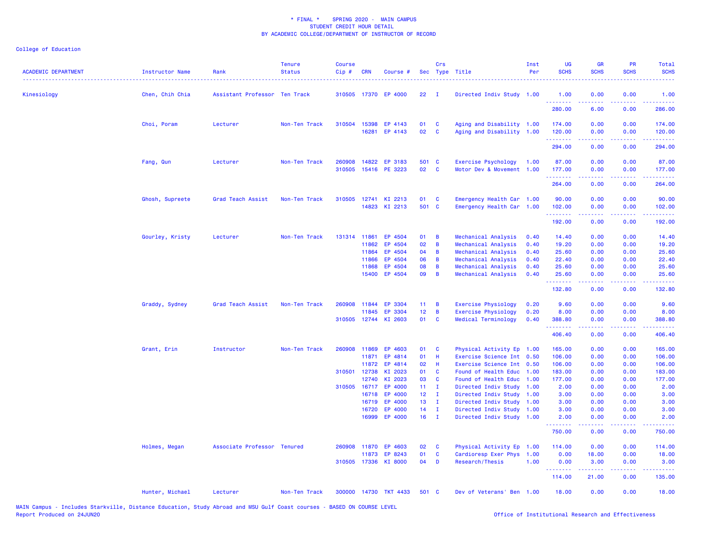| <b>ACADEMIC DEPARTMENT</b> | Instructor Name | Rank                          | <b>Tenure</b><br><b>Status</b> | <b>Course</b><br>Cip# | <b>CRN</b>            | Course #              |                 | Crs                     | Sec Type Title                                         | Inst<br>Per  | <b>UG</b><br><b>SCHS</b> | <b>GR</b><br><b>SCHS</b>                                                                                                                                     | <b>PR</b><br><b>SCHS</b>              | Total<br><b>SCHS</b>                                                                                                            |
|----------------------------|-----------------|-------------------------------|--------------------------------|-----------------------|-----------------------|-----------------------|-----------------|-------------------------|--------------------------------------------------------|--------------|--------------------------|--------------------------------------------------------------------------------------------------------------------------------------------------------------|---------------------------------------|---------------------------------------------------------------------------------------------------------------------------------|
| Kinesiology                | Chen, Chih Chia | Assistant Professor Ten Track |                                |                       |                       | 310505 17370 EP 4000  | 22              | - 1                     | Directed Indiv Study 1.00                              |              | 1.00<br>.                | 0.00<br>$\frac{1}{2} \left( \frac{1}{2} \right) \left( \frac{1}{2} \right) \left( \frac{1}{2} \right) \left( \frac{1}{2} \right) \left( \frac{1}{2} \right)$ | 0.00                                  | 1.00                                                                                                                            |
|                            |                 |                               |                                |                       |                       |                       |                 |                         |                                                        |              | 280.00                   | 6.00                                                                                                                                                         | 0.00                                  | 286.00                                                                                                                          |
|                            | Choi, Poram     | Lecturer                      | Non-Ten Track                  |                       | 310504 15398          | EP 4143               | 01              | $\mathbf{C}$            | Aging and Disability 1.00                              |              | 174.00                   | 0.00                                                                                                                                                         | 0.00                                  | 174.00                                                                                                                          |
|                            |                 |                               |                                |                       |                       | 16281 EP 4143         | 02 <sub>o</sub> | $\overline{\mathbf{C}}$ | Aging and Disability 1.00                              |              | 120.00<br>.              | 0.00<br>$\frac{1}{2} \left( \frac{1}{2} \right) \left( \frac{1}{2} \right) \left( \frac{1}{2} \right) \left( \frac{1}{2} \right) \left( \frac{1}{2} \right)$ | 0.00<br>.                             | 120.00<br>$\begin{array}{cccccccccc} \bullet & \bullet & \bullet & \bullet & \bullet & \bullet & \bullet & \bullet \end{array}$ |
|                            |                 |                               |                                |                       |                       |                       |                 |                         |                                                        |              | 294.00                   | 0.00                                                                                                                                                         | 0.00                                  | 294.00                                                                                                                          |
|                            | Fang, Qun       | Lecturer                      | Non-Ten Track                  | 260908                |                       | 14822 EP 3183         | 501 C           |                         | Exercise Psychology                                    | 1.00         | 87.00                    | 0.00                                                                                                                                                         | 0.00                                  | 87.00                                                                                                                           |
|                            |                 |                               |                                |                       |                       | 310505 15416 PE 3223  | 02              | $\overline{\mathbf{C}}$ | Motor Dev & Movement 1.00                              |              | 177.00<br>.              | 0.00<br>2.2.2.2.2                                                                                                                                            | 0.00<br>.                             | 177.00<br>.                                                                                                                     |
|                            |                 |                               |                                |                       |                       |                       |                 |                         |                                                        |              | 264.00                   | 0.00                                                                                                                                                         | 0.00                                  | 264.00                                                                                                                          |
|                            | Ghosh, Supreete | Grad Teach Assist             | Non-Ten Track                  |                       |                       | 310505 12741 KI 2213  | 01              | $\mathbf{C}$            | Emergency Health Car 1.00                              |              | 90.00                    | 0.00                                                                                                                                                         | 0.00                                  | 90.00                                                                                                                           |
|                            |                 |                               |                                |                       |                       | 14823 KI 2213         | 501 C           |                         | Emergency Health Car 1.00                              |              | 102.00<br>.              | 0.00<br>بالأباب                                                                                                                                              | 0.00<br>.                             | 102.00<br><b><i><u><u> - - - - -</u></u></i></b>                                                                                |
|                            |                 |                               |                                |                       |                       |                       |                 |                         |                                                        |              | 192.00                   | 0.00                                                                                                                                                         | 0.00                                  | 192.00                                                                                                                          |
|                            | Gourley, Kristy | Lecturer                      | Non-Ten Track                  |                       | 131314 11861          | EP 4504               | 01              | $\overline{B}$          | Mechanical Analysis                                    | 0.40         | 14.40                    | 0.00                                                                                                                                                         | 0.00                                  | 14.40                                                                                                                           |
|                            |                 |                               |                                |                       | 11862                 | EP 4504               | 02              | $\overline{B}$          | Mechanical Analysis                                    | 0.40         | 19.20                    | 0.00                                                                                                                                                         | 0.00                                  | 19.20                                                                                                                           |
|                            |                 |                               |                                |                       | 11864<br>11866        | EP 4504<br>EP 4504    | 04<br>06        | B<br>$\overline{B}$     | Mechanical Analysis                                    | 0.40<br>0.40 | 25.60<br>22.40           | 0.00<br>0.00                                                                                                                                                 | 0.00<br>0.00                          | 25.60<br>22.40                                                                                                                  |
|                            |                 |                               |                                |                       | 11868                 | EP 4504               | 08              | B                       | Mechanical Analysis<br>Mechanical Analysis             | 0.40         | 25.60                    | 0.00                                                                                                                                                         | 0.00                                  | 25.60                                                                                                                           |
|                            |                 |                               |                                |                       | 15400                 | EP 4504               | 09              | $\overline{B}$          | Mechanical Analysis                                    | 0.40         | 25.60                    | 0.00                                                                                                                                                         | 0.00                                  | 25.60                                                                                                                           |
|                            |                 |                               |                                |                       |                       |                       |                 |                         |                                                        |              | <u>.</u><br>132.80       | .<br>0.00                                                                                                                                                    | <b><i><u><u>.</u></u></i></b><br>0.00 | .<br>132.80                                                                                                                     |
|                            | Graddy, Sydney  | Grad Teach Assist             | Non-Ten Track                  | 260908                | 11844                 | EP 3304               | $11 -$          | $\overline{B}$          | <b>Exercise Physiology</b>                             | 0.20         | 9.60                     | 0.00                                                                                                                                                         | 0.00                                  | 9.60                                                                                                                            |
|                            |                 |                               |                                |                       | 11845                 | EP 3304               | 12 <sup>2</sup> | $\overline{B}$          | <b>Exercise Physiology</b>                             | 0.20         | 8.00                     | 0.00                                                                                                                                                         | 0.00                                  | 8.00                                                                                                                            |
|                            |                 |                               |                                |                       |                       | 310505 12744 KI 2603  | 01              | $\mathbf{C}$            | Medical Terminology                                    | 0.40         | 388.80<br>.              | 0.00<br>د د د د                                                                                                                                              | 0.00                                  | 388.80<br>.                                                                                                                     |
|                            |                 |                               |                                |                       |                       |                       |                 |                         |                                                        |              | 406.40                   | 0.00                                                                                                                                                         | 0.00                                  | 406.40                                                                                                                          |
|                            | Grant, Erin     | Instructor                    | Non-Ten Track                  |                       | 260908 11869          | EP 4603               | 01              | $\mathbf{C}$            | Physical Activity Ep 1.00                              |              | 165.00                   | 0.00                                                                                                                                                         | 0.00                                  | 165.00                                                                                                                          |
|                            |                 |                               |                                |                       | 11871                 | EP 4814               | 01 H            |                         | Exercise Science Int 0.50                              |              | 106.00                   | 0.00                                                                                                                                                         | 0.00                                  | 106.00                                                                                                                          |
|                            |                 |                               |                                |                       | 11872                 | EP 4814               | 02              | H                       | Exercise Science Int 0.50                              |              | 106.00                   | 0.00                                                                                                                                                         | 0.00                                  | 106.00                                                                                                                          |
|                            |                 |                               |                                |                       | 310501 12738<br>12740 | KI 2023<br>KI 2023    | 01<br>03        | <b>C</b><br><b>C</b>    | Found of Health Educ 1.00<br>Found of Health Educ 1.00 |              | 183.00<br>177.00         | 0.00<br>0.00                                                                                                                                                 | 0.00<br>0.00                          | 183.00<br>177.00                                                                                                                |
|                            |                 |                               |                                |                       | 310505 16717          | EP 4000               | $11 \quad I$    |                         | Directed Indiv Study 1.00                              |              | 2.00                     | 0.00                                                                                                                                                         | 0.00                                  | 2.00                                                                                                                            |
|                            |                 |                               |                                |                       | 16718                 | EP 4000               | $12 \quad I$    |                         | Directed Indiv Study 1.00                              |              | 3.00                     | 0.00                                                                                                                                                         | 0.00                                  | 3.00                                                                                                                            |
|                            |                 |                               |                                |                       | 16719                 | EP 4000               | 13 <sup>7</sup> | $\blacksquare$          | Directed Indiv Study 1.00                              |              | 3.00                     | 0.00                                                                                                                                                         | 0.00                                  | 3.00                                                                                                                            |
|                            |                 |                               |                                |                       | 16720                 | EP 4000               | $14$ I          |                         | Directed Indiv Study 1.00                              |              | 3.00                     | 0.00                                                                                                                                                         | 0.00                                  | 3.00                                                                                                                            |
|                            |                 |                               |                                |                       | 16999                 | EP 4000               | $16$ I          |                         | Directed Indiv Study 1.00                              |              | 2.00<br>.                | 0.00<br>$\frac{1}{2} \left( \frac{1}{2} \right) \left( \frac{1}{2} \right) \left( \frac{1}{2} \right) \left( \frac{1}{2} \right)$                            | 0.00<br>.                             | 2.00<br>$\begin{array}{cccccccccc} \bullet & \bullet & \bullet & \bullet & \bullet & \bullet & \bullet \end{array}$             |
|                            |                 |                               |                                |                       |                       |                       |                 |                         |                                                        |              | 750.00                   | 0.00                                                                                                                                                         | 0.00                                  | 750.00                                                                                                                          |
|                            | Holmes, Megan   | Associate Professor Tenured   |                                | 260908                | 11870                 | EP 4603               | 02              | $\mathbf{C}$            | Physical Activity Ep 1.00                              |              | 114.00                   | 0.00                                                                                                                                                         | 0.00                                  | 114.00                                                                                                                          |
|                            |                 |                               |                                |                       | 11873                 | EP 8243               | 01              | $\mathbf{C}$            | Cardioresp Exer Phys 1.00                              |              | 0.00                     | 18.00                                                                                                                                                        | 0.00                                  | 18.00                                                                                                                           |
|                            |                 |                               |                                |                       | 310505 17336          | KI 8000               | $04$ D          |                         | Research/Thesis                                        | 1.00         | 0.00<br>.                | 3.00<br>$- - - - -$                                                                                                                                          | 0.00                                  | 3.00<br>.                                                                                                                       |
|                            |                 |                               |                                |                       |                       |                       |                 |                         |                                                        |              | 114.00                   | 21.00                                                                                                                                                        | 0.00                                  | 135.00                                                                                                                          |
|                            | Hunter, Michael | Lecturer                      | Non-Ten Track                  |                       |                       | 300000 14730 TKT 4433 | 501 C           |                         | Dev of Veterans' Ben 1.00                              |              | 18.00                    | 0.00                                                                                                                                                         | 0.00                                  | 18.00                                                                                                                           |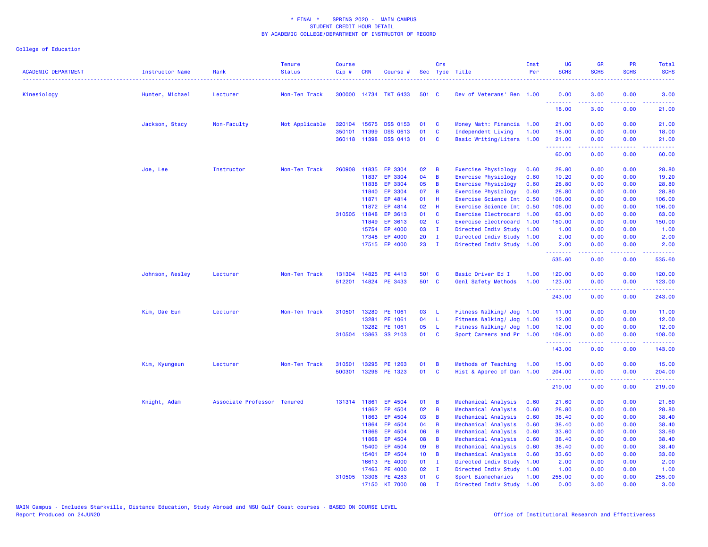| <b>ACADEMIC DEPARTMENT</b> | Instructor Name | Rank                        | <b>Tenure</b><br><b>Status</b> | <b>Course</b><br>$Cip \#$ | <b>CRN</b>            | Course #                           |                 | Crs                          | Sec Type Title                                         | Inst<br>Per | <b>UG</b><br><b>SCHS</b> | <b>GR</b><br><b>SCHS</b>                     | PR<br><b>SCHS</b> | Total<br><b>SCHS</b><br>$\frac{1}{2} \left( \frac{1}{2} \right) \left( \frac{1}{2} \right) \left( \frac{1}{2} \right) \left( \frac{1}{2} \right) \left( \frac{1}{2} \right)$ |
|----------------------------|-----------------|-----------------------------|--------------------------------|---------------------------|-----------------------|------------------------------------|-----------------|------------------------------|--------------------------------------------------------|-------------|--------------------------|----------------------------------------------|-------------------|------------------------------------------------------------------------------------------------------------------------------------------------------------------------------|
| Kinesiology                | Hunter, Michael | Lecturer                    | Non-Ten Track                  |                           |                       | 300000 14734 TKT 6433              | 501 C           |                              | Dev of Veterans' Ben 1.00                              |             | 0.00                     | 3.00                                         | 0.00              | 3.00                                                                                                                                                                         |
|                            |                 |                             |                                |                           |                       |                                    |                 |                              |                                                        |             | .<br>18.00               | د د د د<br>3.00                              | بالأباد<br>0.00   | بالمحامين<br>21.00                                                                                                                                                           |
|                            | Jackson, Stacy  | Non-Faculty                 | Not Applicable                 | 320104                    | 15675                 | <b>DSS 0153</b>                    | 01              | <b>C</b>                     | Money Math: Financia 1.00                              |             | 21.00                    | 0.00                                         | 0.00              | 21.00                                                                                                                                                                        |
|                            |                 |                             |                                | 350101                    | 11399<br>360118 11398 | <b>DSS 0613</b><br><b>DSS 0413</b> | 01<br>01        | C<br>$\mathbf{C}$            | Independent Living<br>Basic Writing/Litera 1.00        | 1.00        | 18.00<br>21.00           | 0.00<br>0.00                                 | 0.00<br>0.00      | 18.00<br>21.00                                                                                                                                                               |
|                            |                 |                             |                                |                           |                       |                                    |                 |                              |                                                        |             | --------<br>60.00        | .<br>0.00                                    | .<br>0.00         | .<br>60.00                                                                                                                                                                   |
|                            |                 |                             |                                |                           |                       |                                    |                 |                              |                                                        |             |                          |                                              |                   |                                                                                                                                                                              |
|                            | Joe, Lee        | Instructor                  | Non-Ten Track                  | 260908                    | 11835                 | EP 3304                            | 02              | B                            | Exercise Physiology                                    | 0.60        | 28.80                    | 0.00                                         | 0.00              | 28.80                                                                                                                                                                        |
|                            |                 |                             |                                |                           | 11837                 | EP 3304                            | 04              | $\overline{B}$               | <b>Exercise Physiology</b>                             | 0.60        | 19.20                    | 0.00                                         | 0.00              | 19.20                                                                                                                                                                        |
|                            |                 |                             |                                |                           | 11838                 | EP 3304                            | 05              | $\overline{B}$               | Exercise Physiology                                    | 0.60        | 28.80                    | 0.00                                         | 0.00              | 28.80                                                                                                                                                                        |
|                            |                 |                             |                                |                           | 11840                 | EP 3304                            | 07              | $\overline{B}$               | <b>Exercise Physiology</b>                             | 0.60        | 28.80                    | 0.00                                         | 0.00              | 28.80                                                                                                                                                                        |
|                            |                 |                             |                                |                           | 11871                 | EP 4814                            | 01              | H                            | Exercise Science Int 0.50                              |             | 106.00                   | 0.00                                         | 0.00              | 106.00                                                                                                                                                                       |
|                            |                 |                             |                                | 310505                    | 11872<br>11848        | EP 4814<br>EP 3613                 | 02<br>01        | -H                           | Exercise Science Int 0.50                              |             | 106.00                   | 0.00                                         | 0.00<br>0.00      | 106.00<br>63.00                                                                                                                                                              |
|                            |                 |                             |                                |                           | 11849                 | EP 3613                            | 02              | <b>C</b><br><b>C</b>         | Exercise Electrocard 1.00<br>Exercise Electrocard 1.00 |             | 63.00<br>150.00          | 0.00<br>0.00                                 | 0.00              | 150.00                                                                                                                                                                       |
|                            |                 |                             |                                |                           | 15754                 | EP 4000                            | 03              | $\mathbf{I}$                 | Directed Indiv Study                                   | 1.00        | 1.00                     | 0.00                                         | 0.00              | 1.00                                                                                                                                                                         |
|                            |                 |                             |                                |                           | 17348                 | EP 4000                            | 20              | $\mathbf{I}$                 | Directed Indiv Study 1.00                              |             | 2.00                     | 0.00                                         | 0.00              | 2.00                                                                                                                                                                         |
|                            |                 |                             |                                |                           |                       | 17515 EP 4000                      | 23              | $\mathbf{I}$                 | Directed Indiv Study 1.00                              |             | 2.00                     | 0.00                                         | 0.00              | 2.00                                                                                                                                                                         |
|                            |                 |                             |                                |                           |                       |                                    |                 |                              |                                                        |             | .<br>535.60              | .<br>0.00                                    | والمحامر<br>0.00  | .<br>535.60                                                                                                                                                                  |
|                            | Johnson, Wesley | Lecturer                    | Non-Ten Track                  | 131304                    |                       | 14825 PE 4413                      | 501 C           |                              | Basic Driver Ed I                                      | 1.00        | 120.00                   | 0.00                                         | 0.00              | 120.00                                                                                                                                                                       |
|                            |                 |                             |                                | 512201                    |                       | 14824 PE 3433                      | 501 C           |                              | Genl Safety Methods                                    | 1.00        | 123.00                   | 0.00                                         | 0.00              | 123.00                                                                                                                                                                       |
|                            |                 |                             |                                |                           |                       |                                    |                 |                              |                                                        |             | .<br>243.00              | .<br>0.00                                    | -----<br>0.00     | .<br>243.00                                                                                                                                                                  |
|                            |                 |                             |                                |                           |                       |                                    |                 |                              |                                                        |             |                          |                                              |                   |                                                                                                                                                                              |
|                            | Kim, Dae Eun    | Lecturer                    | Non-Ten Track                  | 310501                    | 13280                 | PE 1061                            | 03              | - L                          | Fitness Walking/ Jog 1.00                              |             | 11.00                    | 0.00                                         | 0.00              | 11.00                                                                                                                                                                        |
|                            |                 |                             |                                |                           | 13281                 | PE 1061                            | 04              | $\mathsf{L}$                 | Fitness Walking/ Jog                                   | 1.00        | 12.00                    | 0.00                                         | 0.00              | 12.00                                                                                                                                                                        |
|                            |                 |                             |                                |                           | 13282                 | PE 1061                            | 05              | - L                          | Fitness Walking/ Jog 1.00                              |             | 12.00                    | 0.00                                         | 0.00              | 12.00                                                                                                                                                                        |
|                            |                 |                             |                                | 310504                    |                       | 13863 SS 2103                      | 01              | <b>C</b>                     | Sport Careers and Pr 1.00                              |             | 108.00<br>.              | 0.00<br>.                                    | 0.00<br>.         | 108.00<br>بالأبابات                                                                                                                                                          |
|                            |                 |                             |                                |                           |                       |                                    |                 |                              |                                                        |             | 143.00                   | 0.00                                         | 0.00              | 143.00                                                                                                                                                                       |
|                            | Kim, Kyungeun   | Lecturer                    | Non-Ten Track                  | 310501                    |                       | 13295 PE 1263                      | 01              | B                            | Methods of Teaching                                    | 1.00        | 15.00                    | 0.00                                         | 0.00              | 15.00                                                                                                                                                                        |
|                            |                 |                             |                                | 500301                    |                       | 13296 PE 1323                      | 01              | <b>C</b>                     | Hist & Apprec of Dan 1.00                              |             | 204.00                   | 0.00                                         | 0.00              | 204.00<br>.                                                                                                                                                                  |
|                            |                 |                             |                                |                           |                       |                                    |                 |                              |                                                        |             | ---------<br>219.00      | <b><i><u><u> - - - -</u></u></i></b><br>0.00 | 22222<br>0.00     | 219.00                                                                                                                                                                       |
|                            | Knight, Adam    | Associate Professor Tenured |                                | 131314                    | 11861                 | EP 4504                            | 01              | $\overline{B}$               | Mechanical Analysis                                    | 0.60        | 21.60                    | 0.00                                         | 0.00              | 21.60                                                                                                                                                                        |
|                            |                 |                             |                                |                           | 11862                 | EP 4504                            | 02              | B                            | Mechanical Analysis                                    | 0.60        | 28.80                    | 0.00                                         | 0.00              | 28.80                                                                                                                                                                        |
|                            |                 |                             |                                |                           | 11863                 | EP 4504                            | 03              | $\overline{B}$               | Mechanical Analysis                                    | 0.60        | 38.40                    | 0.00                                         | 0.00              | 38.40                                                                                                                                                                        |
|                            |                 |                             |                                |                           | 11864                 | EP 4504                            | 04              | B                            | Mechanical Analysis                                    | 0.60        | 38.40                    | 0.00                                         | 0.00              | 38.40                                                                                                                                                                        |
|                            |                 |                             |                                |                           | 11866                 | EP 4504                            | 06              | B                            | Mechanical Analysis                                    | 0.60        | 33.60                    | 0.00                                         | 0.00              | 33.60                                                                                                                                                                        |
|                            |                 |                             |                                |                           | 11868                 | EP 4504                            | 08              | $\overline{B}$               | Mechanical Analysis                                    | 0.60        | 38.40                    | 0.00                                         | 0.00              | 38.40                                                                                                                                                                        |
|                            |                 |                             |                                |                           | 15400                 | EP 4504                            | 09              | $\overline{B}$               | Mechanical Analysis                                    | 0.60        | 38.40                    | 0.00                                         | 0.00              | 38.40                                                                                                                                                                        |
|                            |                 |                             |                                |                           | 15401                 | EP 4504                            | 10 <sub>1</sub> | $\overline{B}$               | Mechanical Analysis                                    | 0.60        | 33.60                    | 0.00                                         | 0.00              | 33.60                                                                                                                                                                        |
|                            |                 |                             |                                |                           | 16613                 | PE 4000                            | 01              | $\mathbf{I}$                 | Directed Indiv Study                                   | 1.00        | 2.00                     | 0.00                                         | 0.00              | 2.00                                                                                                                                                                         |
|                            |                 |                             |                                |                           | 17463                 | PE 4000                            | 02              | $\mathbf{I}$                 | Directed Indiv Study                                   | 1.00        | 1.00                     | 0.00                                         | 0.00              | 1.00                                                                                                                                                                         |
|                            |                 |                             |                                | 310505                    | 13306<br>17150        | PE 4283                            | 01<br>80        | $\mathbf{C}$<br>$\mathbf{I}$ | Sport Biomechanics                                     | 1.00        | 255.00                   | 0.00<br>3.00                                 | 0.00<br>0.00      | 255.00<br>3.00                                                                                                                                                               |
|                            |                 |                             |                                |                           |                       | KI 7000                            |                 |                              | Directed Indiv Study                                   | 1.00        | 0.00                     |                                              |                   |                                                                                                                                                                              |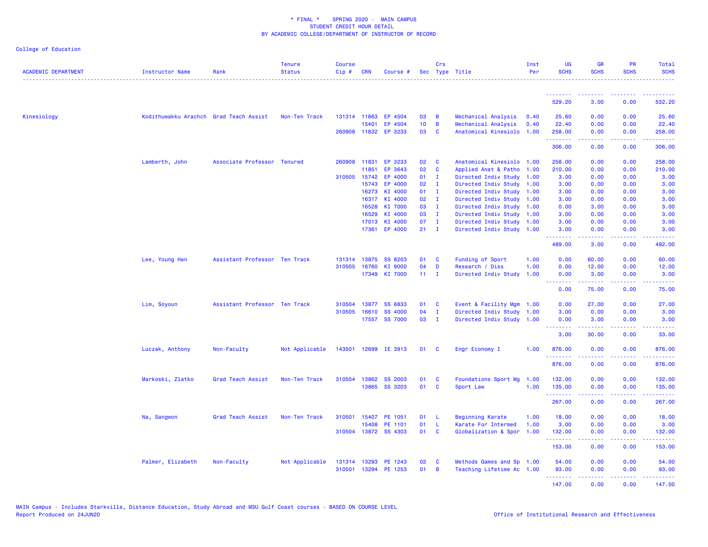| <b>ACADEMIC DEPARTMENT</b> | <b>Instructor Name</b>                 | Rank                          | <b>Tenure</b><br><b>Status</b> | <b>Course</b><br>$Cip \#$ | <b>CRN</b>     | Course #             |                 | Crs                          | Sec Type Title                                    | Inst<br>Per | <b>UG</b><br><b>SCHS</b> | <b>GR</b><br><b>SCHS</b>                                                                                                                             | <b>PR</b><br><b>SCHS</b>            | Total<br><b>SCHS</b>  |
|----------------------------|----------------------------------------|-------------------------------|--------------------------------|---------------------------|----------------|----------------------|-----------------|------------------------------|---------------------------------------------------|-------------|--------------------------|------------------------------------------------------------------------------------------------------------------------------------------------------|-------------------------------------|-----------------------|
|                            |                                        |                               |                                |                           |                |                      |                 |                              |                                                   |             | .                        |                                                                                                                                                      |                                     |                       |
|                            |                                        |                               |                                |                           |                |                      |                 |                              |                                                   |             | 529.20                   | 3.00                                                                                                                                                 | 0.00                                | 532.20                |
| Kinesiology                | Kodithuwakku Arachch Grad Teach Assist |                               | Non-Ten Track                  |                           | 131314 11863   | EP 4504              | 03              | B                            | Mechanical Analysis                               | 0.40        | 25.60                    | 0.00                                                                                                                                                 | 0.00                                | 25.60                 |
|                            |                                        |                               |                                |                           | 15401          | EP 4504              | 10 <sub>1</sub> | B                            | Mechanical Analysis                               | 0.40        | 22.40                    | 0.00                                                                                                                                                 | 0.00                                | 22.40                 |
|                            |                                        |                               |                                |                           |                | 260908 11832 EP 3233 | 03              | $\mathbf{C}$                 | Anatomical Kinesiolo 1.00                         |             | 258.00<br>.              | 0.00<br>-----                                                                                                                                        | 0.00<br>$\sim$ $\sim$ $\sim$ $\sim$ | 258.00<br>.           |
|                            |                                        |                               |                                |                           |                |                      |                 |                              |                                                   |             | 306.00                   | 0.00                                                                                                                                                 | 0.00                                | 306.00                |
|                            | Lamberth, John                         | Associate Professor Tenured   |                                | 260908                    | 11831          | EP 3233              | 02              | C                            | Anatomical Kinesiolo 1.00                         |             | 258.00                   | 0.00                                                                                                                                                 | 0.00                                | 258.00                |
|                            |                                        |                               |                                |                           | 11851          | EP 3643              | 02              | $\mathbf{C}$                 | Applied Anat & Patho 1.00                         |             | 210.00                   | 0.00                                                                                                                                                 | 0.00                                | 210.00                |
|                            |                                        |                               |                                |                           | 310505 15742   | EP 4000              | 01              | $\mathbf{I}$                 | Directed Indiv Study 1.00                         |             | 3.00                     | 0.00                                                                                                                                                 | 0.00                                | 3.00                  |
|                            |                                        |                               |                                |                           | 15743          | EP 4000              | 02              | $\mathbf{I}$                 | Directed Indiv Study 1.00                         |             | 3.00                     | 0.00                                                                                                                                                 | 0.00                                | 3.00                  |
|                            |                                        |                               |                                |                           | 16273          | KI 4000              | 01              | $\mathbf{I}$                 | Directed Indiv Study 1.00                         |             | 3.00                     | 0.00                                                                                                                                                 | 0.00                                | 3.00                  |
|                            |                                        |                               |                                |                           | 16317<br>16528 | KI 4000<br>KI 7000   | 02<br>03        | $\mathbf{I}$<br>$\mathbf{I}$ | Directed Indiv Study 1.00<br>Directed Indiv Study | 1.00        | 3.00<br>0.00             | 0.00<br>3.00                                                                                                                                         | 0.00<br>0.00                        | 3.00<br>3.00          |
|                            |                                        |                               |                                |                           | 16529          | KI 4000              | 03              | $\mathbf{I}$                 | Directed Indiv Study 1.00                         |             | 3.00                     | 0.00                                                                                                                                                 | 0.00                                | 3.00                  |
|                            |                                        |                               |                                |                           | 17013          | KI 4000              | 07              | $\mathbf{I}$                 | Directed Indiv Study 1.00                         |             | 3.00                     | 0.00                                                                                                                                                 | 0.00                                | 3.00                  |
|                            |                                        |                               |                                |                           | 17361          | EP 4000              | 21              | $\mathbf{I}$                 | Directed Indiv Study 1.00                         |             | 3.00                     | 0.00                                                                                                                                                 | 0.00                                | 3.00                  |
|                            |                                        |                               |                                |                           |                |                      |                 |                              |                                                   |             | .<br>489.00              | 3.00                                                                                                                                                 | $\sim$ $\sim$ $\sim$ $\sim$<br>0.00 | 492.00                |
|                            | Lee, Young Han                         | Assistant Professor Ten Track |                                |                           | 131314 13875   | SS 8203              | 01              | C                            | Funding of Sport                                  | 1.00        | 0.00                     | 60.00                                                                                                                                                | 0.00                                | 60.00                 |
|                            |                                        |                               |                                | 310505                    | 16760          | KI 9000              | 04              | D                            | Research / Diss                                   | 1.00        | 0.00                     | 12.00                                                                                                                                                | 0.00                                | 12.00                 |
|                            |                                        |                               |                                |                           | 17349          | KI 7000              | 11 <sub>1</sub> | $\mathbf{I}$                 | Directed Indiv Study                              | 1.00        | 0.00                     | 3.00                                                                                                                                                 | 0.00                                | 3.00                  |
|                            |                                        |                               |                                |                           |                |                      |                 |                              |                                                   |             | <b>.</b> .<br>0.00       | المتمامين<br>75.00                                                                                                                                   | المتمامين<br>0.00                   | .<br>75.00            |
|                            | Lim, Soyoun                            | Assistant Professor Ten Track |                                | 310504                    | 13877          | <b>SS 8833</b>       | 01              | C                            | Event & Facility Mgm                              | 1.00        | 0.00                     | 27.00                                                                                                                                                | 0.00                                | 27.00                 |
|                            |                                        |                               |                                | 310505                    | 16610          | SS 4000              | 04              | $\mathbf I$                  | Directed Indiv Study 1.00                         |             | 3.00                     | 0.00                                                                                                                                                 | 0.00                                | 3.00                  |
|                            |                                        |                               |                                |                           |                | 17557 SS 7000        | 03              | $\mathbf{I}$                 | Directed Indiv Study 1.00                         |             | 0.00                     | 3.00                                                                                                                                                 | 0.00                                | 3.00                  |
|                            |                                        |                               |                                |                           |                |                      |                 |                              |                                                   |             | - - - - - - - -<br>3.00  | .<br>30.00                                                                                                                                           | .<br>0.00                           | .<br>33.00            |
|                            | Luczak, Anthony                        | Non-Faculty                   | Not Applicable                 | 143501                    |                | 12699 IE 3913        | 01              | C                            | Engr Economy I                                    | 1.00        | 876.00<br>.              | 0.00<br><u>.</u>                                                                                                                                     | 0.00<br>.                           | 876.00<br>.           |
|                            |                                        |                               |                                |                           |                |                      |                 |                              |                                                   |             | 876.00                   | 0.00                                                                                                                                                 | 0.00                                | 876.00                |
|                            | Markoski, Zlatko                       | Grad Teach Assist             | Non-Ten Track                  | 310504                    | 13862          | <b>SS 2003</b>       | 01              | C                            | Foundations Sport Mg 1.00                         |             | 132.00                   | 0.00                                                                                                                                                 | 0.00                                | 132.00                |
|                            |                                        |                               |                                |                           |                | 13865 SS 3203        | 01              | $\mathbf{C}$                 | Sport Law                                         | 1.00        | 135.00                   | 0.00                                                                                                                                                 | 0.00                                | 135.00                |
|                            |                                        |                               |                                |                           |                |                      |                 |                              |                                                   |             | .<br>267.00              | .<br>0.00                                                                                                                                            | $\sim$ $\sim$ $\sim$ $\sim$<br>0.00 | $- - - - -$<br>267.00 |
|                            | Na, Sangwon                            | Grad Teach Assist             | Non-Ten Track                  | 310501                    | 15407          | PE 1051              | 01              | -L                           | <b>Beginning Karate</b>                           | 1.00        | 18.00                    | 0.00                                                                                                                                                 | 0.00                                | 18.00                 |
|                            |                                        |                               |                                |                           | 15408          | PE 1101              | 01              | L                            | Karate For Intermed                               | 1.00        | 3.00                     | 0.00                                                                                                                                                 | 0.00                                | 3.00                  |
|                            |                                        |                               |                                |                           |                | 310504 13872 SS 4303 | 01              | C                            | Globalization & Spor                              | 1.00        | 132.00                   | 0.00                                                                                                                                                 | 0.00                                | 132.00                |
|                            |                                        |                               |                                |                           |                |                      |                 |                              |                                                   |             | .<br>153.00              | <b><i><u><u>.</u></u></i></b><br>0.00                                                                                                                | .<br>0.00                           | <u>.</u><br>153.00    |
|                            | Palmer, Elizabeth                      | Non-Faculty                   | Not Applicable                 |                           | 131314 13293   | PE 1243              | 02              | C                            | Methods Games and Sp 1.00                         |             | 54.00                    | 0.00                                                                                                                                                 | 0.00                                | 54.00                 |
|                            |                                        |                               |                                | 310501                    | 13294          | PE 1253              | 01              | B                            | Teaching Lifetime Ac 1.00                         |             | 93.00                    | 0.00                                                                                                                                                 | 0.00                                | 93.00                 |
|                            |                                        |                               |                                |                           |                |                      |                 |                              |                                                   |             | .                        | $\frac{1}{2} \left( \frac{1}{2} \right) \left( \frac{1}{2} \right) \left( \frac{1}{2} \right) \left( \frac{1}{2} \right) \left( \frac{1}{2} \right)$ | .                                   | .                     |
|                            |                                        |                               |                                |                           |                |                      |                 |                              |                                                   |             | 147.00                   | 0.00                                                                                                                                                 | 0.00                                | 147.00                |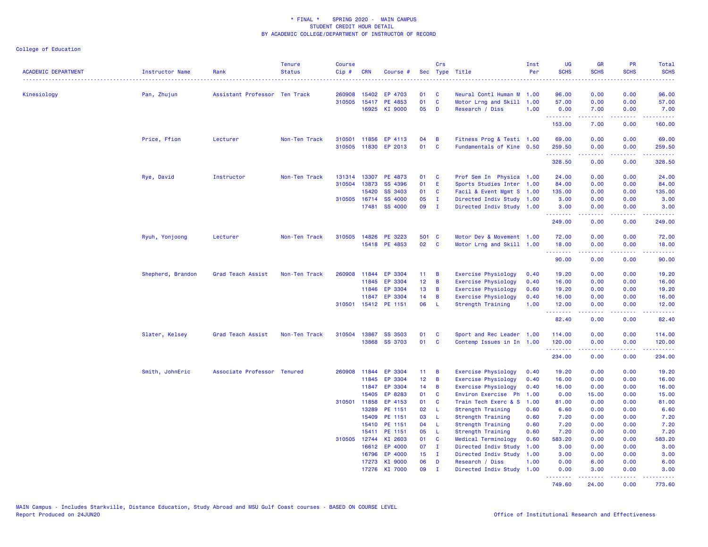| ACADEMIC DEPARTMENT | Instructor Name   | Rank                          | <b>Tenure</b><br><b>Status</b> | <b>Course</b><br>Cip# | <b>CRN</b>     | Course #                        |                 | Crs               | Sec Type Title                            | Inst<br>Per  | <b>UG</b><br><b>SCHS</b> | <b>GR</b><br><b>SCHS</b>                                                                                                                                     | <b>PR</b><br><b>SCHS</b> | Total<br><b>SCHS</b>       |
|---------------------|-------------------|-------------------------------|--------------------------------|-----------------------|----------------|---------------------------------|-----------------|-------------------|-------------------------------------------|--------------|--------------------------|--------------------------------------------------------------------------------------------------------------------------------------------------------------|--------------------------|----------------------------|
| Kinesiology         | Pan, Zhujun       | Assistant Professor Ten Track |                                | 260908                | 15402          | EP 4703                         | 01              | <b>C</b>          | Neural Contl Human M 1.00                 |              | 96.00                    | 0.00                                                                                                                                                         | 0.00                     | 96.00                      |
|                     |                   |                               |                                |                       |                | 310505 15417 PE 4853            | 01              | $\mathbf{C}$      | Motor Lrng and Skill 1.00                 |              | 57.00                    | 0.00                                                                                                                                                         | 0.00                     | 57.00                      |
|                     |                   |                               |                                |                       |                | 16925 KI 9000                   | 05              | D                 | Research / Diss                           | 1.00         | 0.00                     | 7.00                                                                                                                                                         | 0.00                     | 7.00                       |
|                     |                   |                               |                                |                       |                |                                 |                 |                   |                                           |              | .<br>153.00              | $\frac{1}{2} \left( \frac{1}{2} \right) \left( \frac{1}{2} \right) \left( \frac{1}{2} \right) \left( \frac{1}{2} \right) \left( \frac{1}{2} \right)$<br>7.00 | .<br>0.00                | . <b>.</b><br>160.00       |
|                     |                   |                               |                                |                       |                |                                 |                 |                   |                                           |              |                          |                                                                                                                                                              |                          |                            |
|                     | Price, Ffion      | Lecturer                      | Non-Ten Track                  |                       | 310501 11856   | EP 4113<br>310505 11830 EP 2013 | 04<br>01        | B<br>$\mathbf{C}$ | Fitness Prog & Testi 1.00                 |              | 69.00                    | 0.00<br>0.00                                                                                                                                                 | 0.00<br>0.00             | 69.00                      |
|                     |                   |                               |                                |                       |                |                                 |                 |                   | Fundamentals of Kine 0.50                 |              | 259.50<br>.              | .                                                                                                                                                            | 22222                    | 259.50<br>المتمام والمناور |
|                     |                   |                               |                                |                       |                |                                 |                 |                   |                                           |              | 328.50                   | 0.00                                                                                                                                                         | 0.00                     | 328.50                     |
|                     | Rye, David        | Instructor                    | Non-Ten Track                  | 131314                | 13307          | PE 4873                         | 01              | $\mathbf{C}$      | Prof Sem In Physica 1.00                  |              | 24.00                    | 0.00                                                                                                                                                         | 0.00                     | 24.00                      |
|                     |                   |                               |                                | 310504                | 13873          | SS 4396                         | 01              | - E               | Sports Studies Inter 1.00                 |              | 84.00                    | 0.00                                                                                                                                                         | 0.00                     | 84.00                      |
|                     |                   |                               |                                |                       | 15420          | SS 3403                         | 01              | C                 | Facil & Event Mgmt S 1.00                 |              | 135.00                   | 0.00                                                                                                                                                         | 0.00                     | 135.00                     |
|                     |                   |                               |                                |                       | 310505 16714   | <b>SS 4000</b>                  | 05              | $\mathbf{I}$      | Directed Indiv Study 1.00                 |              | 3.00                     | 0.00                                                                                                                                                         | 0.00                     | 3.00                       |
|                     |                   |                               |                                |                       | 17481          | SS 4000                         | 09              | $\mathbf{I}$      | Directed Indiv Study 1.00                 |              | 3.00                     | 0.00                                                                                                                                                         | 0.00                     | 3.00                       |
|                     |                   |                               |                                |                       |                |                                 |                 |                   |                                           |              | .<br>249.00              | <b><i><u><u> - - - -</u></u></i></b><br>0.00                                                                                                                 | .<br>0.00                | .<br>249.00                |
|                     | Ryuh, Yonjoong    | Lecturer                      | Non-Ten Track                  |                       |                | 310505 14826 PE 3223            | 501 C           |                   | Motor Dev & Movement 1.00                 |              | 72.00                    | 0.00                                                                                                                                                         | 0.00                     | 72.00                      |
|                     |                   |                               |                                |                       |                | 15418 PE 4853                   | 02 C            |                   | Motor Lrng and Skill 1.00                 |              | 18.00                    | 0.00                                                                                                                                                         | 0.00                     | 18.00                      |
|                     |                   |                               |                                |                       |                |                                 |                 |                   |                                           |              | <b>.</b> .               | بالمستما                                                                                                                                                     | المالم لمالماني          | .                          |
|                     |                   |                               |                                |                       |                |                                 |                 |                   |                                           |              | 90.00                    | 0.00                                                                                                                                                         | 0.00                     | 90.00                      |
|                     | Shepherd, Brandon | Grad Teach Assist             | Non-Ten Track                  | 260908                | 11844          | EP 3304                         | 11 <sub>1</sub> | B                 | <b>Exercise Physiology</b>                | 0.40         | 19.20                    | 0.00                                                                                                                                                         | 0.00                     | 19.20                      |
|                     |                   |                               |                                |                       | 11845          | EP 3304                         | 12 <sub>2</sub> | B                 | <b>Exercise Physiology</b>                | 0.40         | 16.00                    | 0.00                                                                                                                                                         | 0.00                     | 16.00                      |
|                     |                   |                               |                                |                       | 11846          | EP 3304                         | 13              | B                 | <b>Exercise Physiology</b>                | 0.60         | 19.20                    | 0.00                                                                                                                                                         | 0.00                     | 19.20                      |
|                     |                   |                               |                                |                       | 11847          | EP 3304                         | 14              | B                 | <b>Exercise Physiology</b>                | 0.40         | 16.00                    | 0.00                                                                                                                                                         | 0.00                     | 16.00                      |
|                     |                   |                               |                                |                       |                | 310501 15412 PE 1151            | 06              | - L               | Strength Training                         | 1.00         | 12.00<br>.               | 0.00<br>المتمام والمناور                                                                                                                                     | 0.00<br>22222            | 12.00<br>------            |
|                     |                   |                               |                                |                       |                |                                 |                 |                   |                                           |              | 82.40                    | 0.00                                                                                                                                                         | 0.00                     | 82.40                      |
|                     | Slater, Kelsey    | Grad Teach Assist             | Non-Ten Track                  | 310504                | 13867          | <b>SS 3503</b>                  | 01              | C                 | Sport and Rec Leader 1.00                 |              | 114.00                   | 0.00                                                                                                                                                         | 0.00                     | 114.00                     |
|                     |                   |                               |                                |                       | 13868          | <b>SS 3703</b>                  | 01              | $\mathbf{C}$      | Contemp Issues in In 1.00                 |              | 120.00                   | 0.00                                                                                                                                                         | 0.00                     | 120.00                     |
|                     |                   |                               |                                |                       |                |                                 |                 |                   |                                           |              | .                        | a a a a a                                                                                                                                                    | . <b>.</b>               | .                          |
|                     |                   |                               |                                |                       |                |                                 |                 |                   |                                           |              | 234.00                   | 0.00                                                                                                                                                         | 0.00                     | 234.00                     |
|                     | Smith, JohnEric   | Associate Professor Tenured   |                                | 260908                | 11844          | EP 3304                         | 11 <sub>1</sub> | - B               | Exercise Physiology                       | 0.40         | 19.20                    | 0.00                                                                                                                                                         | 0.00                     | 19.20                      |
|                     |                   |                               |                                |                       | 11845          | EP 3304                         | 12 <sub>2</sub> | B                 | <b>Exercise Physiology</b>                | 0.40         | 16.00                    | 0.00                                                                                                                                                         | 0.00                     | 16.00                      |
|                     |                   |                               |                                |                       | 11847          | EP 3304                         | 14              | B                 | <b>Exercise Physiology</b>                | 0.40         | 16.00                    | 0.00                                                                                                                                                         | 0.00                     | 16.00                      |
|                     |                   |                               |                                |                       | 15405          | EP 8283                         | 01<br>01        | <b>C</b><br>C     | Environ Exercise Ph                       | 1.00         | 0.00                     | 15.00<br>0.00                                                                                                                                                | 0.00                     | 15.00                      |
|                     |                   |                               |                                | 310501                | 11858<br>13289 | EP 4153<br>PE 1151              | 02              | - L               | Train Tech Exerc & S<br>Strength Training | 1.00<br>0.60 | 81.00<br>6.60            | 0.00                                                                                                                                                         | 0.00<br>0.00             | 81.00<br>6.60              |
|                     |                   |                               |                                |                       | 15409          | PE 1151                         | 03              | - L               |                                           | 0.60         | 7.20                     | 0.00                                                                                                                                                         | 0.00                     |                            |
|                     |                   |                               |                                |                       | 15410          | PE 1151                         | 04              | - L               | Strength Training<br>Strength Training    | 0.60         | 7.20                     | 0.00                                                                                                                                                         | 0.00                     | 7.20<br>7.20               |
|                     |                   |                               |                                |                       | 15411          | PE 1151                         | 05              | $\mathsf{L}$      | Strength Training                         | 0.60         | 7.20                     | 0.00                                                                                                                                                         | 0.00                     | 7.20                       |
|                     |                   |                               |                                |                       | 310505 12744   | KI 2603                         | 01              | $\mathbf{C}$      | Medical Terminology                       | 0.60         | 583.20                   | 0.00                                                                                                                                                         | 0.00                     | 583.20                     |
|                     |                   |                               |                                |                       |                | 16612 EP 4000                   | 07              | $\mathbf{I}$      | Directed Indiv Study                      | 1.00         | 3.00                     | 0.00                                                                                                                                                         | 0.00                     | 3.00                       |
|                     |                   |                               |                                |                       | 16796          | EP 4000                         | 15 <sub>1</sub> | $\blacksquare$    | Directed Indiv Study                      | 1.00         | 3.00                     | 0.00                                                                                                                                                         | 0.00                     | 3.00                       |
|                     |                   |                               |                                |                       | 17273          | KI 9000                         | 06              | D                 | Research / Diss                           | 1.00         | 0.00                     | 6.00                                                                                                                                                         | 0.00                     | 6.00                       |
|                     |                   |                               |                                |                       |                | 17276 KI 7000                   | 09              | $\mathbf{I}$      | Directed Indiv Study                      | 1.00         | 0.00                     | 3.00                                                                                                                                                         | 0.00                     | 3.00                       |
|                     |                   |                               |                                |                       |                |                                 |                 |                   |                                           |              | .<br>749.60              | <u>.</u><br>24.00                                                                                                                                            | .<br>0.00                | <b>.</b> .<br>773.60       |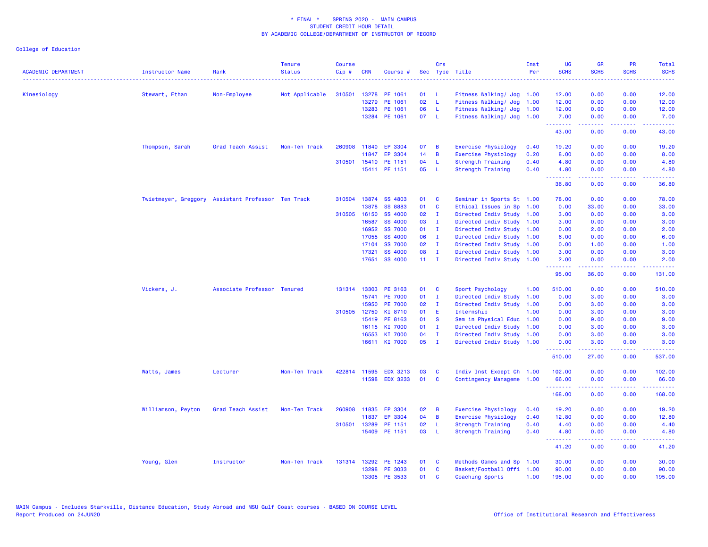| <b>ACADEMIC DEPARTMENT</b> | Instructor Name                                    | Rank                        | <b>Tenure</b><br><b>Status</b> | <b>Course</b><br>Cip# | <b>CRN</b>   | Course #        |                 | Crs            | Sec Type Title             | Inst<br>Per | <b>UG</b><br><b>SCHS</b>        | <b>GR</b><br><b>SCHS</b>                                                                                                                                     | <b>PR</b><br><b>SCHS</b>                                                                               | Total<br><b>SCHS</b><br>$- - - -$                                                                                                                             |
|----------------------------|----------------------------------------------------|-----------------------------|--------------------------------|-----------------------|--------------|-----------------|-----------------|----------------|----------------------------|-------------|---------------------------------|--------------------------------------------------------------------------------------------------------------------------------------------------------------|--------------------------------------------------------------------------------------------------------|---------------------------------------------------------------------------------------------------------------------------------------------------------------|
| Kinesiology                | Stewart, Ethan                                     | Non-Employee                | Not Applicable                 | 310501                | 13278        | PE 1061         | 01              | - L            | Fitness Walking/ Jog 1.00  |             | 12.00                           | 0.00                                                                                                                                                         | 0.00                                                                                                   | 12.00                                                                                                                                                         |
|                            |                                                    |                             |                                |                       | 13279        | PE 1061         | 02 <sub>o</sub> | - L            | Fitness Walking/ Jog       | 1.00        | 12.00                           | 0.00                                                                                                                                                         | 0.00                                                                                                   | 12.00                                                                                                                                                         |
|                            |                                                    |                             |                                |                       | 13283        | PE 1061         | 06              | $\mathsf{L}$   | Fitness Walking/ Jog       | 1.00        | 12.00                           | 0.00                                                                                                                                                         | 0.00                                                                                                   | 12.00                                                                                                                                                         |
|                            |                                                    |                             |                                |                       |              | 13284 PE 1061   | 07 L            |                | Fitness Walking/ Jog 1.00  |             | 7.00<br><b>.</b>                | 0.00<br>$\frac{1}{2} \left( \frac{1}{2} \right) \left( \frac{1}{2} \right) \left( \frac{1}{2} \right) \left( \frac{1}{2} \right) \left( \frac{1}{2} \right)$ | 0.00<br>.                                                                                              | 7.00<br>.                                                                                                                                                     |
|                            |                                                    |                             |                                |                       |              |                 |                 |                |                            |             | 43.00                           | 0.00                                                                                                                                                         | 0.00                                                                                                   | 43.00                                                                                                                                                         |
|                            | Thompson, Sarah                                    | Grad Teach Assist           | Non-Ten Track                  |                       | 260908 11840 | EP 3304         | 07              | B              | <b>Exercise Physiology</b> | 0.40        | 19.20                           | 0.00                                                                                                                                                         | 0.00                                                                                                   | 19.20                                                                                                                                                         |
|                            |                                                    |                             |                                |                       | 11847        | EP 3304         | 14              | B              | <b>Exercise Physiology</b> | 0.20        | 8.00                            | 0.00                                                                                                                                                         | 0.00                                                                                                   | 8.00                                                                                                                                                          |
|                            |                                                    |                             |                                | 310501                | 15410        | PE 1151         | 04              | L.             | <b>Strength Training</b>   | 0.40        | 4.80                            | 0.00                                                                                                                                                         | 0.00                                                                                                   | 4.80                                                                                                                                                          |
|                            |                                                    |                             |                                |                       |              | 15411 PE 1151   | 05              | - L            | <b>Strength Training</b>   | 0.40        | 4.80<br>د د د د                 | 0.00<br>.                                                                                                                                                    | 0.00<br>بالمحامي                                                                                       | 4.80<br>والمناصبات                                                                                                                                            |
|                            |                                                    |                             |                                |                       |              |                 |                 |                |                            |             | 36.80                           | 0.00                                                                                                                                                         | 0.00                                                                                                   | 36.80                                                                                                                                                         |
|                            | Twietmeyer, Greggory Assistant Professor Ten Track |                             |                                | 310504                | 13874        | SS 4803         | 01              | C              | Seminar in Sports St 1.00  |             | 78.00                           | 0.00                                                                                                                                                         | 0.00                                                                                                   | 78.00                                                                                                                                                         |
|                            |                                                    |                             |                                |                       | 13878        | <b>SS 8883</b>  | 01              | C              | Ethical Issues in Sp       | 1.00        | 0.00                            | 33.00                                                                                                                                                        | 0.00                                                                                                   | 33.00                                                                                                                                                         |
|                            |                                                    |                             |                                |                       | 310505 16150 | <b>SS 4000</b>  | 02              | $\mathbf{I}$   | Directed Indiv Study 1.00  |             | 3.00                            | 0.00                                                                                                                                                         | 0.00                                                                                                   | 3.00                                                                                                                                                          |
|                            |                                                    |                             |                                |                       | 16587        | <b>SS 4000</b>  | 03              | $\mathbf{I}$   | Directed Indiv Study 1.00  |             | 3.00                            | 0.00                                                                                                                                                         | 0.00                                                                                                   | 3.00                                                                                                                                                          |
|                            |                                                    |                             |                                |                       | 16952        | <b>SS 7000</b>  | 01              | $\mathbf{I}$   | Directed Indiv Study 1.00  |             | 0.00                            | 2.00                                                                                                                                                         | 0.00                                                                                                   | 2.00                                                                                                                                                          |
|                            |                                                    |                             |                                |                       | 17055        | <b>SS 4000</b>  | 06              | $\mathbf{I}$   | Directed Indiv Study 1.00  |             | 6.00                            | 0.00                                                                                                                                                         | 0.00                                                                                                   | 6.00                                                                                                                                                          |
|                            |                                                    |                             |                                |                       | 17104        | <b>SS 7000</b>  | 02              | $\mathbf{I}$   | Directed Indiv Study 1.00  |             | 0.00                            | 1.00                                                                                                                                                         | 0.00                                                                                                   | 1.00                                                                                                                                                          |
|                            |                                                    |                             |                                |                       | 17321        | <b>SS 4000</b>  | 08              | $\mathbf{I}$   | Directed Indiv Study 1.00  |             | 3.00                            | 0.00                                                                                                                                                         | 0.00                                                                                                   | 3.00                                                                                                                                                          |
|                            |                                                    |                             |                                |                       |              | 17651 SS 4000   | $11 \quad I$    |                | Directed Indiv Study 1.00  |             | 2.00<br><b>.</b>                | 0.00<br>د د د د د                                                                                                                                            | 0.00<br>الأنابات                                                                                       | 2.00<br>. <b>.</b>                                                                                                                                            |
|                            |                                                    |                             |                                |                       |              |                 |                 |                |                            |             | 95.00                           | 36.00                                                                                                                                                        | 0.00                                                                                                   | 131.00                                                                                                                                                        |
|                            | Vickers, J.                                        | Associate Professor Tenured |                                |                       | 131314 13303 | PE 3163         | 01              | C              | Sport Psychology           | 1.00        | 510.00                          | 0.00                                                                                                                                                         | 0.00                                                                                                   | 510.00                                                                                                                                                        |
|                            |                                                    |                             |                                |                       | 15741        | <b>PE 7000</b>  | 01              | $\mathbf{I}$   | Directed Indiv Study       | 1.00        | 0.00                            | 3.00                                                                                                                                                         | 0.00                                                                                                   | 3.00                                                                                                                                                          |
|                            |                                                    |                             |                                |                       | 15950        | <b>PE 7000</b>  | 02              | $\mathbf{I}$   | Directed Indiv Study       | 1.00        | 0.00                            | 3.00                                                                                                                                                         | 0.00                                                                                                   | 3.00                                                                                                                                                          |
|                            |                                                    |                             |                                |                       | 310505 12750 | KI 8710         | 01              | E              | Internship                 | 1.00        | 0.00                            | 3.00                                                                                                                                                         | 0.00                                                                                                   | 3.00                                                                                                                                                          |
|                            |                                                    |                             |                                |                       | 15419        | PE 8163         | 01              | <b>S</b>       | Sem in Physical Educ       | 1.00        | 0.00                            | 9.00                                                                                                                                                         | 0.00                                                                                                   | 9.00                                                                                                                                                          |
|                            |                                                    |                             |                                |                       | 16115        | KI 7000         | 01              | $\mathbf{I}$   | Directed Indiv Study       | 1.00        | 0.00                            | 3.00                                                                                                                                                         | 0.00                                                                                                   | 3.00                                                                                                                                                          |
|                            |                                                    |                             |                                |                       | 16553        | KI 7000         | 04              | $\mathbf{I}$   | Directed Indiv Study       | 1.00        | 0.00                            | 3.00                                                                                                                                                         | 0.00                                                                                                   | 3.00                                                                                                                                                          |
|                            |                                                    |                             |                                |                       |              | 16611 KI 7000   | 05              | $\blacksquare$ | Directed Indiv Study 1.00  |             | 0.00<br><u>.</u>                | 3.00<br>.                                                                                                                                                    | 0.00<br>.                                                                                              | 3.00<br><u>.</u>                                                                                                                                              |
|                            |                                                    |                             |                                |                       |              |                 |                 |                |                            |             | 510.00                          | 27.00                                                                                                                                                        | 0.00                                                                                                   | 537.00                                                                                                                                                        |
|                            | Watts, James                                       | Lecturer                    | Non-Ten Track                  |                       | 422814 11595 | <b>EDX 3213</b> | 03              | C              | Indiv Inst Except Ch 1.00  |             | 102.00                          | 0.00                                                                                                                                                         | 0.00                                                                                                   | 102.00                                                                                                                                                        |
|                            |                                                    |                             |                                |                       | 11598        | <b>EDX 3233</b> | 01              | C              | Contingency Manageme 1.00  |             | 66.00<br>.                      | 0.00<br>$\frac{1}{2} \left( \frac{1}{2} \right) \left( \frac{1}{2} \right) \left( \frac{1}{2} \right) \left( \frac{1}{2} \right) \left( \frac{1}{2} \right)$ | 0.00<br>بالأباب                                                                                        | 66.00<br>$\frac{1}{2} \left( \frac{1}{2} \right) \left( \frac{1}{2} \right) \left( \frac{1}{2} \right) \left( \frac{1}{2} \right) \left( \frac{1}{2} \right)$ |
|                            |                                                    |                             |                                |                       |              |                 |                 |                |                            |             | 168.00                          | 0.00                                                                                                                                                         | 0.00                                                                                                   | 168.00                                                                                                                                                        |
|                            | Williamson, Peyton                                 | Grad Teach Assist           | Non-Ten Track                  | 260908                | 11835        | EP 3304         | 02              | B              | <b>Exercise Physiology</b> | 0.40        | 19.20                           | 0.00                                                                                                                                                         | 0.00                                                                                                   | 19.20                                                                                                                                                         |
|                            |                                                    |                             |                                |                       | 11837        | EP 3304         | 04              | B              | <b>Exercise Physiology</b> | 0.40        | 12.80                           | 0.00                                                                                                                                                         | 0.00                                                                                                   | 12.80                                                                                                                                                         |
|                            |                                                    |                             |                                |                       | 310501 13289 | PE 1151         | 02              | - L            | Strength Training          | 0.40        | 4.40                            | 0.00                                                                                                                                                         | 0.00                                                                                                   | 4.40                                                                                                                                                          |
|                            |                                                    |                             |                                |                       | 15409        | PE 1151         | 03              | - L            | Strength Training          | 0.40        | 4.80<br><u> - - - - - - - -</u> | 0.00<br>.                                                                                                                                                    | 0.00<br>$\frac{1}{2} \left( \frac{1}{2} \right) \left( \frac{1}{2} \right) \left( \frac{1}{2} \right)$ | 4.80<br>$    -$                                                                                                                                               |
|                            |                                                    |                             |                                |                       |              |                 |                 |                |                            |             | 41.20                           | 0.00                                                                                                                                                         | 0.00                                                                                                   | 41.20                                                                                                                                                         |
|                            | Young, Glen                                        | Instructor                  | Non-Ten Track                  |                       | 131314 13292 | PE 1243         | 01              | <b>C</b>       | Methods Games and Sp       | 1.00        | 30.00                           | 0.00                                                                                                                                                         | 0.00                                                                                                   | 30.00                                                                                                                                                         |
|                            |                                                    |                             |                                |                       | 13298        | PE 3033         | 01              | C              | Basket/Football Offi 1.00  |             | 90.00                           | 0.00                                                                                                                                                         | 0.00                                                                                                   | 90.00                                                                                                                                                         |
|                            |                                                    |                             |                                |                       |              | 13305 PE 3533   | 01              | <b>C</b>       | Coaching Sports            | 1.00        | 195.00                          | 0.00                                                                                                                                                         | 0.00                                                                                                   | 195.00                                                                                                                                                        |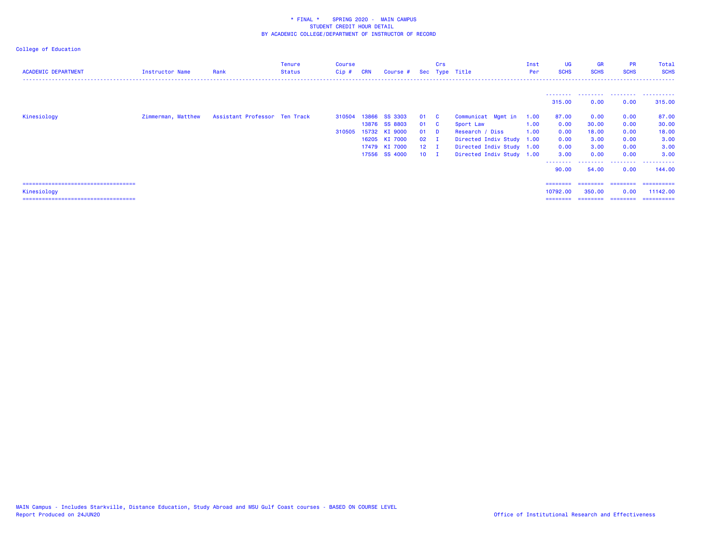| <b>ACADEMIC DEPARTMENT</b>             | <b>Instructor Name</b> | Rank                          | Tenure<br><b>Status</b> | Course<br>$Cip$ # | <b>CRN</b> | Course #      |               | Crs          | Sec Type Title            | Inst<br>Per | UG<br><b>SCHS</b> | <b>GR</b><br><b>SCHS</b> | <b>PR</b><br><b>SCHS</b> | Total<br><b>SCHS</b> |
|----------------------------------------|------------------------|-------------------------------|-------------------------|-------------------|------------|---------------|---------------|--------------|---------------------------|-------------|-------------------|--------------------------|--------------------------|----------------------|
|                                        |                        |                               |                         |                   |            |               |               |              |                           |             | ---------         |                          |                          | .                    |
|                                        |                        |                               |                         |                   |            |               |               |              |                           |             | 315.00            | 0.00                     | 0.00                     | 315.00               |
| Kinesiology                            | Zimmerman, Matthew     | Assistant Professor Ten Track |                         | 310504            |            | 13866 SS 3303 | 01            | $\mathbf{C}$ | Communicat Mgmt in        | 1.00        | 87.00             | 0.00                     | 0.00                     | 87.00                |
|                                        |                        |                               |                         |                   |            | 13876 SS 8803 | 01 C          |              | Sport Law                 | 1.00        | 0.00              | 30.00                    | 0.00                     | 30.00                |
|                                        |                        |                               |                         | 310505            |            | 15732 KI 9000 | 01            | <b>D</b>     | Research / Diss           | 1.00        | 0.00              | 18.00                    | 0.00                     | 18.00                |
|                                        |                        |                               |                         |                   |            | 16205 KI 7000 | $02 \qquad I$ |              | Directed Indiv Study 1.00 |             | 0.00              | 3.00                     | 0.00                     | 3.00                 |
|                                        |                        |                               |                         |                   |            | 17479 KI 7000 | $12 \quad I$  |              | Directed Indiv Study 1.00 |             | 0.00              | 3.00                     | 0.00                     | 3.00                 |
|                                        |                        |                               |                         |                   |            | 17556 SS 4000 | $10$ I        |              | Directed Indiv Study 1.00 |             | 3.00              | 0.00                     | 0.00                     | 3.00                 |
|                                        |                        |                               |                         |                   |            |               |               |              |                           |             | --------<br>90.00 | 54.00                    | .<br>0.00                | .<br>144.00          |
| ====================================== |                        |                               |                         |                   |            |               |               |              |                           |             | ========          | ========                 | ---------                | ==========           |
| Kinesiology                            |                        |                               |                         |                   |            |               |               |              |                           |             | 10792.00          | 350.00                   | 0.00                     | 11142.00             |
| =====================================  |                        |                               |                         |                   |            |               |               |              |                           |             | ========          | ========                 | ---------                | ==========           |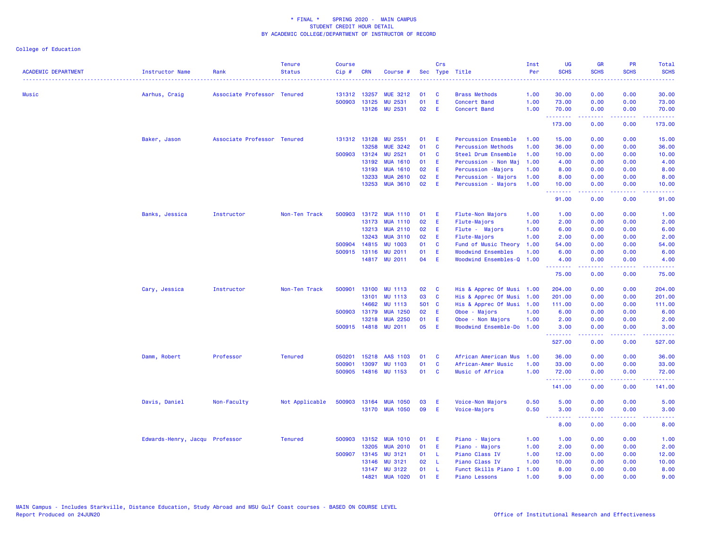| <b>ACADEMIC DEPARTMENT</b> | <b>Instructor Name</b>         | Rank                        | <b>Tenure</b><br><b>Status</b> | <b>Course</b><br>Cip# | <b>CRN</b>   | Course #              |       | Crs      | Sec Type Title             | Inst<br>Per | <b>UG</b><br><b>SCHS</b> | <b>GR</b><br><b>SCHS</b>                                                                                                                                     | <b>PR</b><br><b>SCHS</b>                                                                                                          | Total<br><b>SCHS</b> |
|----------------------------|--------------------------------|-----------------------------|--------------------------------|-----------------------|--------------|-----------------------|-------|----------|----------------------------|-------------|--------------------------|--------------------------------------------------------------------------------------------------------------------------------------------------------------|-----------------------------------------------------------------------------------------------------------------------------------|----------------------|
| Music                      | Aarhus, Craig                  | Associate Professor Tenured |                                | 131312                | 13257        | <b>MUE 3212</b>       | 01    | <b>C</b> | <b>Brass Methods</b>       | 1.00        | 30.00                    | 0.00                                                                                                                                                         | 0.00                                                                                                                              | 30.00                |
|                            |                                |                             |                                | 500903                | 13125        | MU 2531               | 01    | E        | <b>Concert Band</b>        | 1.00        | 73.00                    | 0.00                                                                                                                                                         | 0.00                                                                                                                              | 73.00                |
|                            |                                |                             |                                |                       |              | 13126 MU 2531         | 02    | E        | Concert Band               | 1.00        | 70.00                    | 0.00                                                                                                                                                         | 0.00                                                                                                                              | 70.00                |
|                            |                                |                             |                                |                       |              |                       |       |          |                            |             | .<br>173.00              | $\frac{1}{2} \left( \frac{1}{2} \right) \left( \frac{1}{2} \right) \left( \frac{1}{2} \right) \left( \frac{1}{2} \right) \left( \frac{1}{2} \right)$<br>0.00 | .<br>0.00                                                                                                                         | .<br>173.00          |
|                            | Baker, Jason                   | Associate Professor Tenured |                                |                       | 131312 13128 | MU 2551               | 01    | Ε        | <b>Percussion Ensemble</b> | 1.00        | 15.00                    | 0.00                                                                                                                                                         | 0.00                                                                                                                              | 15.00                |
|                            |                                |                             |                                |                       | 13258        | <b>MUE 3242</b>       | 01    | C        | <b>Percussion Methods</b>  | 1.00        | 36.00                    | 0.00                                                                                                                                                         | 0.00                                                                                                                              | 36.00                |
|                            |                                |                             |                                |                       | 500903 13124 | <b>MU 2521</b>        | 01    | C        | Steel Drum Ensemble        | 1.00        | 10.00                    | 0.00                                                                                                                                                         | 0.00                                                                                                                              | 10.00                |
|                            |                                |                             |                                |                       | 13192        | <b>MUA 1610</b>       | 01    | Ε        | Percussion - Non Maj       | 1.00        | 4.00                     | 0.00                                                                                                                                                         | 0.00                                                                                                                              | 4.00                 |
|                            |                                |                             |                                |                       | 13193        | <b>MUA 1610</b>       | 02    | E        | Percussion -Majors         | 1.00        | 8.00                     | 0.00                                                                                                                                                         | 0.00                                                                                                                              | 8.00                 |
|                            |                                |                             |                                |                       | 13233        | <b>MUA 2610</b>       | 02    | E        | Percussion - Majors        | 1.00        | 8.00                     | 0.00                                                                                                                                                         | 0.00                                                                                                                              | 8.00                 |
|                            |                                |                             |                                |                       | 13253        | <b>MUA 3610</b>       | 02    | Æ        | Percussion - Majors        | 1.00        | 10.00<br><u>.</u>        | 0.00<br>22222                                                                                                                                                | 0.00<br>$\frac{1}{2} \left( \frac{1}{2} \right) \left( \frac{1}{2} \right) \left( \frac{1}{2} \right) \left( \frac{1}{2} \right)$ | 10.00<br>.           |
|                            |                                |                             |                                |                       |              |                       |       |          |                            |             | 91.00                    | 0.00                                                                                                                                                         | 0.00                                                                                                                              | 91.00                |
|                            | Banks, Jessica                 | Instructor                  | Non-Ten Track                  |                       |              | 500903 13172 MUA 1110 | 01    | E        | Flute-Non Majors           | 1.00        | 1.00                     | 0.00                                                                                                                                                         | 0.00                                                                                                                              | 1.00                 |
|                            |                                |                             |                                |                       | 13173        | <b>MUA 1110</b>       | 02    | E        | Flute-Majors               | 1.00        | 2.00                     | 0.00                                                                                                                                                         | 0.00                                                                                                                              | 2.00                 |
|                            |                                |                             |                                |                       | 13213        | <b>MUA 2110</b>       | 02    | E        | Flute - Majors             | 1.00        | 6.00                     | 0.00                                                                                                                                                         | 0.00                                                                                                                              | 6.00                 |
|                            |                                |                             |                                |                       | 13243        | <b>MUA 3110</b>       | 02    | E        | Flute-Majors               | 1.00        | 2.00                     | 0.00                                                                                                                                                         | 0.00                                                                                                                              | 2.00                 |
|                            |                                |                             |                                |                       | 500904 14815 | <b>MU 1003</b>        | 01    | C        | Fund of Music Theory       | 1.00        | 54.00                    | 0.00                                                                                                                                                         | 0.00                                                                                                                              | 54.00                |
|                            |                                |                             |                                | 500915                | 13116        | <b>MU 2011</b>        | 01    | Ε        | <b>Woodwind Ensembles</b>  | 1.00        | 6.00                     | 0.00                                                                                                                                                         | 0.00                                                                                                                              | 6.00                 |
|                            |                                |                             |                                |                       |              | 14817 MU 2011         | 04    | Æ        | Woodwind Ensembles-Q 1.00  |             | 4.00                     | 0.00                                                                                                                                                         | 0.00                                                                                                                              | 4.00                 |
|                            |                                |                             |                                |                       |              |                       |       |          |                            |             | .<br>75.00               | $\frac{1}{2} \left( \frac{1}{2} \right) \left( \frac{1}{2} \right) \left( \frac{1}{2} \right) \left( \frac{1}{2} \right) \left( \frac{1}{2} \right)$<br>0.00 | .<br>0.00                                                                                                                         | .<br>75.00           |
|                            | Cary, Jessica                  | Instructor                  | Non-Ten Track                  | 500901                | 13100        | <b>MU 1113</b>        | 02    | C        | His & Apprec Of Musi       | 1.00        | 204.00                   | 0.00                                                                                                                                                         | 0.00                                                                                                                              | 204.00               |
|                            |                                |                             |                                |                       | 13101        | <b>MU 1113</b>        | 03    | C        | His & Apprec Of Musi       | 1.00        | 201.00                   | 0.00                                                                                                                                                         | 0.00                                                                                                                              | 201.00               |
|                            |                                |                             |                                |                       | 14662        | <b>MU 1113</b>        | 501 C |          | His & Apprec Of Musi       | 1.00        | 111.00                   | 0.00                                                                                                                                                         | 0.00                                                                                                                              | 111.00               |
|                            |                                |                             |                                |                       | 500903 13179 | <b>MUA 1250</b>       | 02    | E        | Oboe - Majors              | 1.00        | 6.00                     | 0.00                                                                                                                                                         | 0.00                                                                                                                              | 6.00                 |
|                            |                                |                             |                                |                       | 13218        | <b>MUA 2250</b>       | 01    | Ε        | Oboe - Non Majors          | 1.00        | 2.00                     | 0.00                                                                                                                                                         | 0.00                                                                                                                              | 2.00                 |
|                            |                                |                             |                                |                       |              | 500915 14818 MU 2011  | 05    | Æ        | Woodwind Ensemble-Do       | 1.00        | 3.00                     | 0.00                                                                                                                                                         | 0.00                                                                                                                              | 3.00                 |
|                            |                                |                             |                                |                       |              |                       |       |          |                            |             | . <b>.</b><br>527.00     | -----<br>0.00                                                                                                                                                | .<br>0.00                                                                                                                         | -----<br>527.00      |
|                            | Damm, Robert                   | Professor                   | <b>Tenured</b>                 | 050201                | 15218        | AAS 1103              | 01    | C        | African American Mus       | 1.00        | 36.00                    | 0.00                                                                                                                                                         | 0.00                                                                                                                              | 36.00                |
|                            |                                |                             |                                | 500901                | 13097        | <b>MU 1103</b>        | 01    | C        | African-Amer Music         | 1.00        | 33.00                    | 0.00                                                                                                                                                         | 0.00                                                                                                                              | 33.00                |
|                            |                                |                             |                                | 500905                |              | 14816 MU 1153         | 01    | C        | Music of Africa            | 1.00        | 72.00                    | 0.00                                                                                                                                                         | 0.00                                                                                                                              | 72.00                |
|                            |                                |                             |                                |                       |              |                       |       |          |                            |             | .<br>141.00              | -----<br>0.00                                                                                                                                                | $\sim$ $\sim$ $\sim$<br>0.00                                                                                                      | 141.00               |
|                            | Davis, Daniel                  | Non-Faculty                 | Not Applicable                 | 500903                | 13164        | <b>MUA 1050</b>       | 03    | E        | Voice-Non Majors           | 0.50        | 5.00                     | 0.00                                                                                                                                                         | 0.00                                                                                                                              | 5.00                 |
|                            |                                |                             |                                |                       |              | 13170 MUA 1050        | 09    | Æ        | Voice-Majors               | 0.50        | 3.00                     | 0.00                                                                                                                                                         | 0.00                                                                                                                              | 3.00                 |
|                            |                                |                             |                                |                       |              |                       |       |          |                            |             | <u>.</u><br>8.00         | 0.00                                                                                                                                                         | 0.00                                                                                                                              | 8.00                 |
|                            | Edwards-Henry, Jacqu Professor |                             | <b>Tenured</b>                 |                       | 500903 13152 | <b>MUA 1010</b>       | 01    | E        | Piano - Majors             | 1.00        | 1.00                     | 0.00                                                                                                                                                         | 0.00                                                                                                                              | 1.00                 |
|                            |                                |                             |                                |                       | 13205        | <b>MUA 2010</b>       | 01    | E        | Piano - Majors             | 1.00        | 2.00                     | 0.00                                                                                                                                                         | 0.00                                                                                                                              | 2.00                 |
|                            |                                |                             |                                | 500907                | 13145        | MU 3121               | 01    | -L.      | Piano Class IV             | 1.00        | 12.00                    | 0.00                                                                                                                                                         | 0.00                                                                                                                              | 12.00                |
|                            |                                |                             |                                |                       | 13146        | MU 3121               | 02    | L        | Piano Class IV             | 1.00        | 10.00                    | 0.00                                                                                                                                                         | 0.00                                                                                                                              | 10.00                |
|                            |                                |                             |                                |                       | 13147        | <b>MU 3122</b>        | 01    | L        | Funct Skills Piano I       | 1.00        | 8.00                     | 0.00                                                                                                                                                         | 0.00                                                                                                                              | 8.00                 |
|                            |                                |                             |                                |                       | 14821        | <b>MUA 1020</b>       | 01    | Ε        | <b>Piano Lessons</b>       | 1.00        | 9.00                     | 0.00                                                                                                                                                         | 0.00                                                                                                                              | 9.00                 |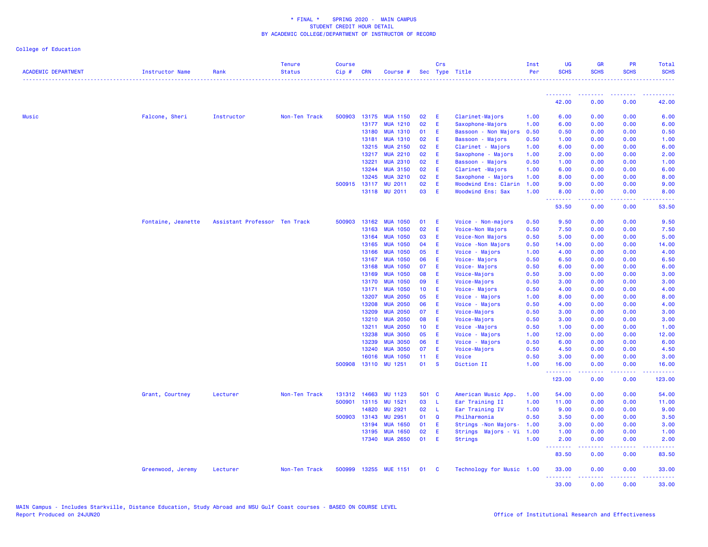| <b>ACADEMIC DEPARTMENT</b> | Instructor Name    | Rank                          | <b>Tenure</b><br><b>Status</b> | <b>Course</b><br>Cip# | <b>CRN</b>   | Course #             |                 | Crs          | Sec Type Title            | Inst<br>Per | <b>UG</b><br><b>SCHS</b>                     | <b>GR</b><br><b>SCHS</b>                                                                                                                                     | <b>PR</b><br><b>SCHS</b>               | Total<br><b>SCHS</b><br>.                                                                                                                                    |
|----------------------------|--------------------|-------------------------------|--------------------------------|-----------------------|--------------|----------------------|-----------------|--------------|---------------------------|-------------|----------------------------------------------|--------------------------------------------------------------------------------------------------------------------------------------------------------------|----------------------------------------|--------------------------------------------------------------------------------------------------------------------------------------------------------------|
|                            |                    |                               |                                |                       |              |                      |                 |              |                           |             | <b><i><u><u> - - - - - - - -</u></u></i></b> | <b><i><u>A A A A A A A A A</u></i></b>                                                                                                                       | <b><i><u><u><b>A</b></u></u> A</i></b> | <u> - - - - - - - - - -</u>                                                                                                                                  |
|                            |                    |                               |                                |                       |              |                      |                 |              |                           |             | 42.00                                        | 0.00                                                                                                                                                         | 0.00                                   | 42.00                                                                                                                                                        |
| <b>Music</b>               | Falcone, Sheri     | Instructor                    | Non-Ten Track                  | 500903                | 13175        | <b>MUA 1150</b>      | 02              | E            | Clarinet-Majors           | 1.00        | 6.00                                         | 0.00                                                                                                                                                         | 0.00                                   | 6.00                                                                                                                                                         |
|                            |                    |                               |                                |                       | 13177        | <b>MUA 1210</b>      | 02              | -E           | Saxophone-Majors          | 1.00        | 6.00                                         | 0.00                                                                                                                                                         | 0.00                                   | 6.00                                                                                                                                                         |
|                            |                    |                               |                                |                       | 13180        | <b>MUA 1310</b>      | 01              | - E          | Bassoon - Non Majors      | 0.50        | 0.50                                         | 0.00                                                                                                                                                         | 0.00                                   | 0.50                                                                                                                                                         |
|                            |                    |                               |                                |                       | 13181        | <b>MUA 1310</b>      | 02              | - E          | Bassoon - Majors          | 0.50        | 1.00                                         | 0.00                                                                                                                                                         | 0.00                                   | 1.00                                                                                                                                                         |
|                            |                    |                               |                                |                       | 13215        | <b>MUA 2150</b>      | 02              | -E           | Clarinet - Majors         | 1.00        | 6.00                                         | 0.00                                                                                                                                                         | 0.00                                   | 6.00                                                                                                                                                         |
|                            |                    |                               |                                |                       | 13217        | <b>MUA 2210</b>      | 02              | E            | Saxophone - Majors        | 1.00        | 2.00                                         | 0.00                                                                                                                                                         | 0.00                                   | 2.00                                                                                                                                                         |
|                            |                    |                               |                                |                       | 13221        | <b>MUA 2310</b>      | 02              | - E          | Bassoon - Majors          | 0.50        | 1.00                                         | 0.00                                                                                                                                                         | 0.00                                   | 1.00                                                                                                                                                         |
|                            |                    |                               |                                |                       | 13244        | <b>MUA 3150</b>      | 02              | E            | Clarinet -Majors          | 1.00        | 6.00                                         | 0.00                                                                                                                                                         | 0.00                                   | 6.00                                                                                                                                                         |
|                            |                    |                               |                                |                       | 13245        | <b>MUA 3210</b>      | 02              | E            | Saxophone - Majors        | 1.00        | 8.00                                         | 0.00                                                                                                                                                         | 0.00                                   | 8.00                                                                                                                                                         |
|                            |                    |                               |                                |                       | 500915 13117 | <b>MU 2011</b>       | 02              | E.           | Woodwind Ens: Clarin      | 1.00        | 9.00                                         | 0.00                                                                                                                                                         | 0.00                                   | 9.00                                                                                                                                                         |
|                            |                    |                               |                                |                       |              | 13118 MU 2011        | 03              | - E          | <b>Woodwind Ens: Sax</b>  | 1.00        | 8.00<br>.                                    | 0.00<br>$- - - - -$                                                                                                                                          | 0.00<br>.                              | 8.00<br>$\frac{1}{2} \left( \frac{1}{2} \right) \left( \frac{1}{2} \right) \left( \frac{1}{2} \right) \left( \frac{1}{2} \right) \left( \frac{1}{2} \right)$ |
|                            |                    |                               |                                |                       |              |                      |                 |              |                           |             | 53.50                                        | 0.00                                                                                                                                                         | 0.00                                   | 53.50                                                                                                                                                        |
|                            | Fontaine, Jeanette | Assistant Professor Ten Track |                                | 500903                | 13162        | <b>MUA 1050</b>      | 01              | - E          | Voice - Non-majors        | 0.50        | 9.50                                         | 0.00                                                                                                                                                         | 0.00                                   | 9.50                                                                                                                                                         |
|                            |                    |                               |                                |                       | 13163        | <b>MUA 1050</b>      | 02              | - E          | Voice-Non Majors          | 0.50        | 7.50                                         | 0.00                                                                                                                                                         | 0.00                                   | 7.50                                                                                                                                                         |
|                            |                    |                               |                                |                       | 13164        | <b>MUA 1050</b>      | 03              | E            | Voice-Non Majors          | 0.50        | 5.00                                         | 0.00                                                                                                                                                         | 0.00                                   | 5.00                                                                                                                                                         |
|                            |                    |                               |                                |                       | 13165        | <b>MUA 1050</b>      | 04              | - E          | Voice - Non Majors        | 0.50        | 14.00                                        | 0.00                                                                                                                                                         | 0.00                                   | 14.00                                                                                                                                                        |
|                            |                    |                               |                                |                       | 13166        | <b>MUA 1050</b>      | 05              | - E          | Voice - Majors            | 1.00        | 4.00                                         | 0.00                                                                                                                                                         | 0.00                                   | 4.00                                                                                                                                                         |
|                            |                    |                               |                                |                       | 13167        | <b>MUA 1050</b>      | 06              | -E           | Voice- Majors             | 0.50        | 6.50                                         | 0.00                                                                                                                                                         | 0.00                                   | 6.50                                                                                                                                                         |
|                            |                    |                               |                                |                       | 13168        | <b>MUA 1050</b>      | 07              | -E           | Voice- Majors             | 0.50        | 6.00                                         | 0.00                                                                                                                                                         | 0.00                                   | 6.00                                                                                                                                                         |
|                            |                    |                               |                                |                       | 13169        | <b>MUA 1050</b>      | 08              | - E          | Voice-Majors              | 0.50        | 3.00                                         | 0.00                                                                                                                                                         | 0.00                                   | 3.00                                                                                                                                                         |
|                            |                    |                               |                                |                       | 13170        | <b>MUA 1050</b>      | 09              | -E           | Voice-Majors              | 0.50        | 3.00                                         | 0.00                                                                                                                                                         | 0.00                                   | 3.00                                                                                                                                                         |
|                            |                    |                               |                                |                       | 13171        | <b>MUA 1050</b>      | 10 <sub>1</sub> | E            | Voice- Majors             | 0.50        | 4.00                                         | 0.00                                                                                                                                                         | 0.00                                   | 4.00                                                                                                                                                         |
|                            |                    |                               |                                |                       | 13207        | <b>MUA 2050</b>      | 05              | - E          | Voice - Majors            | 1.00        | 8.00                                         | 0.00                                                                                                                                                         | 0.00                                   | 8.00                                                                                                                                                         |
|                            |                    |                               |                                |                       | 13208        | <b>MUA 2050</b>      | 06              | - E          | Voice - Majors            | 0.50        | 4.00                                         | 0.00                                                                                                                                                         | 0.00                                   | 4.00                                                                                                                                                         |
|                            |                    |                               |                                |                       | 13209        | <b>MUA 2050</b>      | 07              | -E           | Voice-Majors              | 0.50        | 3.00                                         | 0.00                                                                                                                                                         | 0.00                                   | 3.00                                                                                                                                                         |
|                            |                    |                               |                                |                       | 13210        | <b>MUA 2050</b>      | 08              | - E          | Voice-Majors              | 0.50        | 3.00                                         | 0.00                                                                                                                                                         | 0.00                                   | 3.00                                                                                                                                                         |
|                            |                    |                               |                                |                       | 13211        | <b>MUA 2050</b>      | 10 <sub>1</sub> | - E          | Voice - Majors            | 0.50        | 1.00                                         | 0.00                                                                                                                                                         | 0.00                                   | 1.00                                                                                                                                                         |
|                            |                    |                               |                                |                       | 13238        | <b>MUA 3050</b>      | 05              | -E           | Voice - Majors            | 1.00        | 12.00                                        | 0.00                                                                                                                                                         | 0.00                                   | 12.00                                                                                                                                                        |
|                            |                    |                               |                                |                       | 13239        | <b>MUA 3050</b>      | 06              | -E           | Voice - Majors            | 0.50        | 6.00                                         | 0.00                                                                                                                                                         | 0.00                                   | 6.00                                                                                                                                                         |
|                            |                    |                               |                                |                       | 13240        | <b>MUA 3050</b>      | 07              | - E          | Voice-Majors              | 0.50        | 4.50                                         | 0.00                                                                                                                                                         | 0.00                                   | 4.50                                                                                                                                                         |
|                            |                    |                               |                                |                       | 16016        | <b>MUA 1050</b>      | 11              | E            | Voice                     | 0.50        | 3.00                                         | 0.00                                                                                                                                                         | 0.00                                   | 3.00                                                                                                                                                         |
|                            |                    |                               |                                |                       |              | 500908 13110 MU 1251 | 01              | <b>S</b>     | Diction II                | 1.00        | 16.00<br>.                                   | 0.00<br>$\frac{1}{2} \left( \frac{1}{2} \right) \left( \frac{1}{2} \right) \left( \frac{1}{2} \right) \left( \frac{1}{2} \right) \left( \frac{1}{2} \right)$ | 0.00<br>.                              | 16.00<br><b>.</b>                                                                                                                                            |
|                            |                    |                               |                                |                       |              |                      |                 |              |                           |             | 123.00                                       | 0.00                                                                                                                                                         | 0.00                                   | 123.00                                                                                                                                                       |
|                            | Grant, Courtney    | Lecturer                      | Non-Ten Track                  | 131312                | 14663        | MU 1123              |                 | 501 C        | American Music App.       | 1.00        | 54.00                                        | 0.00                                                                                                                                                         | 0.00                                   | 54.00                                                                                                                                                        |
|                            |                    |                               |                                | 500901                | 13115        | MU 1521              | 03              | - L          | Ear Training II           | 1.00        | 11.00                                        | 0.00                                                                                                                                                         | 0.00                                   | 11.00                                                                                                                                                        |
|                            |                    |                               |                                |                       | 14820        | <b>MU 2921</b>       | 02              | - L          | Ear Training IV           | 1.00        | 9.00                                         | 0.00                                                                                                                                                         | 0.00                                   | 9.00                                                                                                                                                         |
|                            |                    |                               |                                | 500903                | 13143        | <b>MU 2951</b>       | 01              | Q            | Philharmonia              | 0.50        | 3.50                                         | 0.00                                                                                                                                                         | 0.00                                   | 3.50                                                                                                                                                         |
|                            |                    |                               |                                |                       | 13194        | <b>MUA 1650</b>      | 01              | - E          | Strings - Non Majors-     | 1.00        | 3.00                                         | 0.00                                                                                                                                                         | 0.00                                   | 3.00                                                                                                                                                         |
|                            |                    |                               |                                |                       | 13195        | <b>MUA 1650</b>      | 02              | E            | Strings Majors - Vi       | 1.00        | 1.00                                         | 0.00                                                                                                                                                         | 0.00                                   | 1.00                                                                                                                                                         |
|                            |                    |                               |                                |                       | 17340        | <b>MUA 2650</b>      | 01              | -E           | <b>Strings</b>            | 1.00        | 2.00<br>.                                    | 0.00<br>$\frac{1}{2} \left( \frac{1}{2} \right) \left( \frac{1}{2} \right) \left( \frac{1}{2} \right) \left( \frac{1}{2} \right) \left( \frac{1}{2} \right)$ | 0.00<br>.                              | 2.00<br>.                                                                                                                                                    |
|                            |                    |                               |                                |                       |              |                      |                 |              |                           |             | 83.50                                        | 0.00                                                                                                                                                         | 0.00                                   | 83.50                                                                                                                                                        |
|                            | Greenwood, Jeremy  | Lecturer                      | Non-Ten Track                  | 500999                | 13255        | <b>MUE 1151</b>      | 01              | $\mathbf{C}$ | Technology for Music 1.00 |             | 33.00<br><u>.</u>                            | 0.00                                                                                                                                                         | 0.00                                   | 33.00                                                                                                                                                        |
|                            |                    |                               |                                |                       |              |                      |                 |              |                           |             | 33.00                                        | 0.00                                                                                                                                                         | 0.00                                   | 33.00                                                                                                                                                        |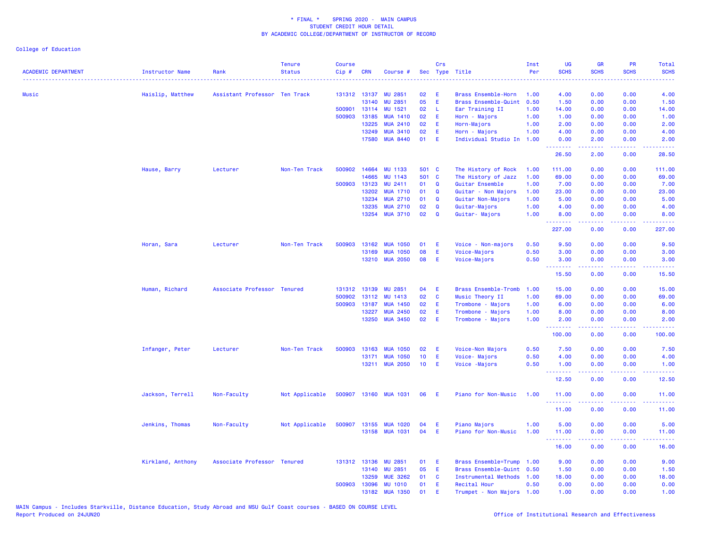| <b>ACADEMIC DEPARTMENT</b>           | <b>Instructor Name</b> | Rank                          | <b>Tenure</b><br><b>Status</b> | <b>Course</b><br>Cip# | <b>CRN</b>   | Course #              |                 | Crs         | Sec Type Title            | Inst<br>Per | <b>UG</b><br><b>SCHS</b>         | <b>GR</b><br><b>SCHS</b> | <b>PR</b><br><b>SCHS</b>            | Total<br><b>SCHS</b>         |
|--------------------------------------|------------------------|-------------------------------|--------------------------------|-----------------------|--------------|-----------------------|-----------------|-------------|---------------------------|-------------|----------------------------------|--------------------------|-------------------------------------|------------------------------|
| ------------------------------------ | .                      |                               |                                |                       |              |                       |                 |             |                           |             |                                  |                          |                                     | .                            |
| Music                                | Haislip, Matthew       | Assistant Professor Ten Track |                                |                       | 131312 13137 | <b>MU 2851</b>        | 02              | E           | Brass Ensemble-Horn       | 1.00        | 4.00                             | 0.00                     | 0.00                                | 4.00                         |
|                                      |                        |                               |                                |                       | 13140        | <b>MU</b><br>2851     | 05              | E           | Brass Ensemble-Quint      | 0.50        | 1.50                             | 0.00                     | 0.00                                | 1.50                         |
|                                      |                        |                               |                                | 500901                | 13114        | MU 1521               | 02              | -L          | Ear Training II           | 1.00        | 14.00                            | 0.00                     | 0.00                                | 14.00                        |
|                                      |                        |                               |                                | 500903                | 13185        | <b>MUA 1410</b>       | 02              | E           | Horn - Majors             | 1.00        | 1.00                             | 0.00                     | 0.00                                | 1.00                         |
|                                      |                        |                               |                                |                       | 13225        | <b>MUA 2410</b>       | 02              | E           | Horn-Majors               | 1.00        | 2.00                             | 0.00                     | 0.00                                | 2.00                         |
|                                      |                        |                               |                                |                       | 13249        | <b>MUA 3410</b>       | 02              | E           | Horn - Majors             | 1.00        | 4.00                             | 0.00                     | 0.00                                | 4.00                         |
|                                      |                        |                               |                                |                       | 17580        | <b>MUA 8440</b>       | 01              | E           | Individual Studio In      | 1.00        | 0.00<br>.                        | 2.00<br>.                | 0.00<br>.                           | 2.00<br>.                    |
|                                      |                        |                               |                                |                       |              |                       |                 |             |                           |             | 26.50                            | 2.00                     | 0.00                                | 28.50                        |
|                                      | Hause, Barry           | Lecturer                      | Non-Ten Track                  | 500902                | 14664        | <b>MU 1133</b>        | 501 C           |             | The History of Rock       | 1.00        | 111.00                           | 0.00                     | 0.00                                | 111.00                       |
|                                      |                        |                               |                                |                       | 14665        | <b>MU 1143</b>        | 501 C           |             | The History of Jazz       | 1.00        | 69.00                            | 0.00                     | 0.00                                | 69.00                        |
|                                      |                        |                               |                                |                       | 500903 13123 | MU 2411               | 01              | $\mathbf Q$ | Guitar Ensemble           | 1.00        | 7.00                             | 0.00                     | 0.00                                | 7.00                         |
|                                      |                        |                               |                                |                       | 13202        | <b>MUA 1710</b>       | 01              | Q           | Guitar - Non Majors       | 1.00        | 23.00                            | 0.00                     | 0.00                                | 23.00                        |
|                                      |                        |                               |                                |                       | 13234        | <b>MUA 2710</b>       | 01              | Q           | Guitar Non-Majors         | 1.00        | 5.00                             | 0.00                     | 0.00                                | 5.00                         |
|                                      |                        |                               |                                |                       | 13235        | <b>MUA 2710</b>       | 02              | Q           | Guitar-Majors             | 1.00        | 4.00                             | 0.00                     | 0.00                                | 4.00                         |
|                                      |                        |                               |                                |                       | 13254        | <b>MUA 3710</b>       | 02              | $\mathbf Q$ | Guitar- Majors            | 1.00        | 8.00<br>.                        | 0.00<br>.                | 0.00<br>الأعامات                    | 8.00<br>.                    |
|                                      |                        |                               |                                |                       |              |                       |                 |             |                           |             | 227.00                           | 0.00                     | 0.00                                | 227.00                       |
|                                      | Horan, Sara            | Lecturer                      | Non-Ten Track                  | 500903                | 13162        | <b>MUA 1050</b>       | 01              | E.          | Voice - Non-majors        | 0.50        | 9.50                             | 0.00                     | 0.00                                | 9.50                         |
|                                      |                        |                               |                                |                       | 13169        | <b>MUA 1050</b>       | 08              | E           | Voice-Majors              | 0.50        | 3.00                             | 0.00                     | 0.00                                | 3.00                         |
|                                      |                        |                               |                                |                       |              | 13210 MUA 2050        | 08              | Æ           | Voice-Majors              | 0.50        | 3.00<br>.                        | 0.00                     | 0.00<br>$\omega$ is a $\omega$      | 3.00                         |
|                                      |                        |                               |                                |                       |              |                       |                 |             |                           |             | 15.50                            | 0.00                     | 0.00                                | 15.50                        |
|                                      | Human, Richard         | Associate Professor Tenured   |                                |                       |              | 131312 13139 MU 2851  | 04              | E           | Brass Ensemble-Tromb      | 1.00        | 15.00                            | 0.00                     | 0.00                                | 15.00                        |
|                                      |                        |                               |                                | 500902                | 13112        | <b>MU 1413</b>        | 02              | C           | Music Theory II           | 1.00        | 69.00                            | 0.00                     | 0.00                                | 69.00                        |
|                                      |                        |                               |                                | 500903                | 13187        | <b>MUA 1450</b>       | 02              | Æ           | Trombone - Majors         | 1.00        | 6.00                             | 0.00                     | 0.00                                | 6.00                         |
|                                      |                        |                               |                                |                       | 13227        | <b>MUA 2450</b>       | 02              | E           | Trombone - Majors         | 1.00        | 8.00                             | 0.00                     | 0.00                                | 8.00                         |
|                                      |                        |                               |                                |                       | 13250        | <b>MUA 3450</b>       | 02              | E           | Trombone - Majors         | 1.00        | 2.00<br>.                        | 0.00<br>22222            | 0.00<br>.                           | 2.00<br>.                    |
|                                      |                        |                               |                                |                       |              |                       |                 |             |                           |             | 100.00                           | 0.00                     | 0.00                                | 100.00                       |
|                                      | Infanger, Peter        | Lecturer                      | Non-Ten Track                  | 500903                | 13163        | <b>MUA 1050</b>       | 02              | E           | Voice-Non Majors          | 0.50        | 7.50                             | 0.00                     | 0.00                                | 7.50                         |
|                                      |                        |                               |                                |                       | 13171        | <b>MUA 1050</b>       | 10              | E           | Voice-Majors              | 0.50        | 4.00                             | 0.00                     | 0.00                                | 4.00                         |
|                                      |                        |                               |                                |                       |              | 13211 MUA 2050        | 10 <sub>1</sub> | -E          | Voice -Majors             | 0.50        | 1.00<br>.                        | 0.00<br>.                | 0.00<br>والأناب                     | 1.00<br>$\sim$ $\sim$ $\sim$ |
|                                      |                        |                               |                                |                       |              |                       |                 |             |                           |             | 12.50                            | 0.00                     | 0.00                                | 12.50                        |
|                                      | Jackson, Terrell       | Non-Faculty                   | Not Applicable                 |                       |              | 500907 13160 MUA 1031 | 06              | E           | Piano for Non-Music       | 1.00        | 11.00                            | 0.00                     | 0.00                                | 11.00                        |
|                                      |                        |                               |                                |                       |              |                       |                 |             |                           |             | .<br>11.00                       | .<br>0.00                | $\sim$ $\sim$ $\sim$ $\sim$<br>0.00 | .<br>11.00                   |
|                                      | Jenkins, Thomas        | Non-Faculty                   | Not Applicable                 | 500907                |              | 13155 MUA 1020        | 04              | E           | Piano Majors              | 1.00        | 5.00                             | 0.00                     | 0.00                                | 5.00                         |
|                                      |                        |                               |                                |                       |              | 13158 MUA 1031        | 04              | E           | Piano for Non-Music       | 1.00        | 11.00                            | 0.00                     | 0.00                                | 11.00                        |
|                                      |                        |                               |                                |                       |              |                       |                 |             |                           |             | <u> - - - - - - - -</u><br>16.00 | .<br>0.00                | .<br>0.00                           | .<br>16.00                   |
|                                      | Kirkland, Anthony      | Associate Professor Tenured   |                                |                       | 131312 13136 | <b>MU 2851</b>        | 01              | Æ           | Brass Ensemble=Trump      | 1.00        | 9.00                             | 0.00                     | 0.00                                | 9.00                         |
|                                      |                        |                               |                                |                       | 13140        | <b>MU 2851</b>        | 05              | E           | Brass Ensemble-Quint 0.50 |             | 1.50                             | 0.00                     | 0.00                                | 1.50                         |
|                                      |                        |                               |                                |                       | 13259        | <b>MUE 3262</b>       | 01              | C           | Instrumental Methods      | 1.00        | 18.00                            | 0.00                     | 0.00                                | 18.00                        |
|                                      |                        |                               |                                |                       | 500903 13096 | <b>MU 1010</b>        | 01              | E           | Recital Hour              | 0.50        | 0.00                             | 0.00                     | 0.00                                | 0.00                         |
|                                      |                        |                               |                                |                       | 13182        | <b>MUA 1350</b>       | 01              | F.          | Trumpet - Non Majors 1.00 |             | 1.00                             | 0.00                     | 0.00                                | 1.00                         |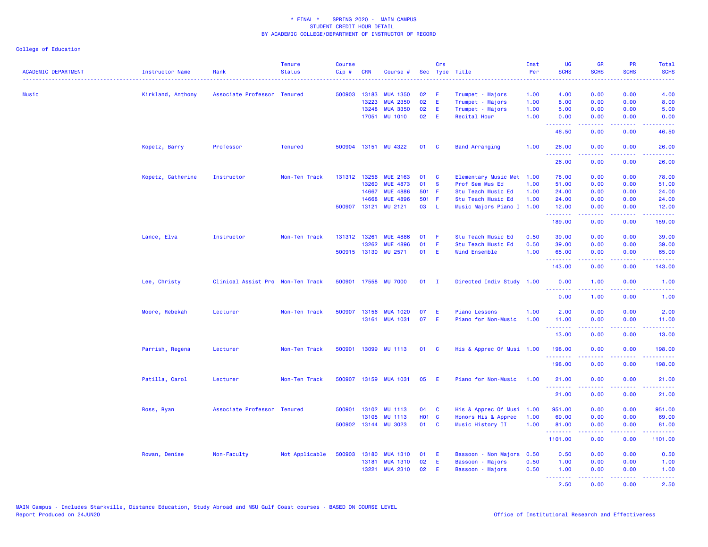| <b>ACADEMIC DEPARTMENT</b> | Instructor Name   | Rank                              | <b>Tenure</b><br><b>Status</b> | <b>Course</b><br>Cip# | <b>CRN</b>     | Course #                   |               | Crs          | Sec Type Title                                  | Inst<br>Per | <b>UG</b><br><b>SCHS</b> | <b>GR</b><br><b>SCHS</b>                                                                                                                                     | PR<br><b>SCHS</b>    | Total<br><b>SCHS</b> |
|----------------------------|-------------------|-----------------------------------|--------------------------------|-----------------------|----------------|----------------------------|---------------|--------------|-------------------------------------------------|-------------|--------------------------|--------------------------------------------------------------------------------------------------------------------------------------------------------------|----------------------|----------------------|
| Music                      | Kirkland, Anthony | Associate Professor Tenured       |                                | 500903                | 13183          | <b>MUA 1350</b>            | 02            | - E          | Trumpet - Majors                                | 1.00        | 4.00                     | 0.00                                                                                                                                                         | 0.00                 | 4.00                 |
|                            |                   |                                   |                                |                       | 13223          | <b>MUA 2350</b>            | 02            | E.           | Trumpet - Majors                                | 1.00        | 8.00                     | 0.00                                                                                                                                                         | 0.00                 | 8.00                 |
|                            |                   |                                   |                                |                       | 13248          | <b>MUA 3350</b>            | 02            | E.           | Trumpet - Majors                                | 1.00        | 5.00                     | 0.00                                                                                                                                                         | 0.00                 | 5.00                 |
|                            |                   |                                   |                                |                       | 17051          | <b>MU 1010</b>             | 02            | -E           | Recital Hour                                    | 1.00        | 0.00<br><u>.</u>         | 0.00<br>.                                                                                                                                                    | 0.00                 | 0.00<br>.            |
|                            |                   |                                   |                                |                       |                |                            |               |              |                                                 |             | 46.50                    | 0.00                                                                                                                                                         | 0.00                 | 46.50                |
|                            | Kopetz, Barry     | Professor                         | <b>Tenured</b>                 |                       |                | 500904 13151 MU 4322       | 01            | $\mathbf{C}$ | <b>Band Arranging</b>                           | 1.00        | 26.00<br>.               | 0.00<br>-----                                                                                                                                                | 0.00<br>.            | 26.00<br>.           |
|                            |                   |                                   |                                |                       |                |                            |               |              |                                                 |             | 26.00                    | 0.00                                                                                                                                                         | 0.00                 | 26.00                |
|                            | Kopetz, Catherine | Instructor                        | Non-Ten Track                  | 131312                | 13256          | <b>MUE 2163</b>            | 01            | $\mathbf{C}$ | Elementary Music Met 1.00                       |             | 78.00                    | 0.00                                                                                                                                                         | 0.00                 | 78.00                |
|                            |                   |                                   |                                |                       | 13260          | <b>MUE 4873</b>            | 01            | <b>S</b>     | Prof Sem Mus Ed                                 | 1.00        | 51.00                    | 0.00                                                                                                                                                         | 0.00                 | 51.00                |
|                            |                   |                                   |                                |                       | 14667          | <b>MUE 4886</b>            | 501 F         |              | Stu Teach Music Ed                              | 1.00        | 24.00                    | 0.00                                                                                                                                                         | 0.00                 | 24.00                |
|                            |                   |                                   |                                | 500907                | 14668<br>13121 | <b>MUE 4896</b><br>MU 2121 | 501 F<br>03 L |              | Stu Teach Music Ed<br>Music Majors Piano I 1.00 | 1.00        | 24.00<br>12.00           | 0.00<br>0.00                                                                                                                                                 | 0.00<br>0.00         | 24.00<br>12.00       |
|                            |                   |                                   |                                |                       |                |                            |               |              |                                                 |             | .<br>189.00              | 0.00                                                                                                                                                         | 0.00                 | 189.00               |
|                            | Lance, Elva       | Instructor                        | Non-Ten Track                  | 131312 13261          |                | <b>MUE 4886</b>            | 01            | - F          | Stu Teach Music Ed                              | 0.50        | 39.00                    | 0.00                                                                                                                                                         | 0.00                 | 39.00                |
|                            |                   |                                   |                                |                       | 13262          | <b>MUE 4896</b>            | 01            | - F          | Stu Teach Music Ed                              | 0.50        | 39.00                    | 0.00                                                                                                                                                         | 0.00                 | 39.00                |
|                            |                   |                                   |                                |                       | 500915 13130   | MU 2571                    | 01            | E            | <b>Wind Ensemble</b>                            | 1.00        | 65.00<br>.               | 0.00<br>$\mathbf{L}^{\prime} = \mathbf{L}^{\prime} + \mathbf{L}^{\prime} + \mathbf{L}^{\prime}$                                                              | 0.00<br>. <b>.</b> . | 65.00<br>222222      |
|                            |                   |                                   |                                |                       |                |                            |               |              |                                                 |             | 143.00                   | 0.00                                                                                                                                                         | 0.00                 | 143.00               |
|                            | Lee, Christy      | Clinical Assist Pro Non-Ten Track |                                | 500901                |                | 17558 MU 7000              | $01$ I        |              | Directed Indiv Study 1.00                       |             | 0.00<br>.                | 1.00                                                                                                                                                         | 0.00                 | 1.00                 |
|                            |                   |                                   |                                |                       |                |                            |               |              |                                                 |             | 0.00                     | 1.00                                                                                                                                                         | 0.00                 | 1.00                 |
|                            | Moore, Rebekah    | Lecturer                          | Non-Ten Track                  | 500907                | 13156          | <b>MUA 1020</b>            | 07            | E            | <b>Piano Lessons</b>                            | 1.00        | 2.00                     | 0.00                                                                                                                                                         | 0.00                 | 2.00                 |
|                            |                   |                                   |                                |                       |                | 13161 MUA 1031             | 07            | - E          | Piano for Non-Music                             | 1.00        | 11.00                    | 0.00                                                                                                                                                         | 0.00                 | 11.00                |
|                            |                   |                                   |                                |                       |                |                            |               |              |                                                 |             | .<br>13.00               | .<br>0.00                                                                                                                                                    | .<br>0.00            | <b>.</b><br>13.00    |
|                            | Parrish, Regena   | Lecturer                          | Non-Ten Track                  | 500901                |                | 13099 MU 1113              | 01 C          |              | His & Apprec Of Musi 1.00                       |             | 198.00                   | 0.00                                                                                                                                                         | 0.00                 | 198.00               |
|                            |                   |                                   |                                |                       |                |                            |               |              |                                                 |             | .<br>198.00              | .<br>0.00                                                                                                                                                    | .<br>0.00            | <b>.</b><br>198.00   |
|                            | Patilla, Carol    | Lecturer                          | Non-Ten Track                  |                       |                | 500907 13159 MUA 1031      | 05            | - E          | Piano for Non-Music                             | 1.00        | 21.00                    | 0.00                                                                                                                                                         | 0.00                 | 21.00                |
|                            |                   |                                   |                                |                       |                |                            |               |              |                                                 |             | <u>.</u><br>21.00        | 0.00                                                                                                                                                         | 0.00                 | 21.00                |
|                            | Ross, Ryan        | Associate Professor Tenured       |                                |                       | 500901 13102   | <b>MU 1113</b>             | 04 C          |              | His & Apprec Of Musi 1.00                       |             | 951.00                   | 0.00                                                                                                                                                         | 0.00                 | 951.00               |
|                            |                   |                                   |                                |                       | 13105          | <b>MU 1113</b>             | H01 C         |              | Honors His & Apprec                             | 1.00        | 69.00                    | 0.00                                                                                                                                                         | 0.00                 | 69.00                |
|                            |                   |                                   |                                | 500902                |                | 13144 MU 3023              | 01 C          |              | Music History II                                | 1.00        | 81.00<br><u>.</u>        | 0.00<br>22222                                                                                                                                                | 0.00<br>.            | 81.00<br>2.2.2.2.2.2 |
|                            |                   |                                   |                                |                       |                |                            |               |              |                                                 |             | 1101.00                  | 0.00                                                                                                                                                         | 0.00                 | 1101.00              |
|                            | Rowan, Denise     | Non-Faculty                       | Not Applicable                 | 500903                | 13180          | <b>MUA 1310</b>            | 01            | - E          | Bassoon - Non Majors 0.50                       |             | 0.50                     | 0.00                                                                                                                                                         | 0.00                 | 0.50                 |
|                            |                   |                                   |                                |                       | 13181          | <b>MUA 1310</b>            | 02            | E.           | Bassoon - Majors                                | 0.50        | 1.00                     | 0.00                                                                                                                                                         | 0.00                 | 1.00                 |
|                            |                   |                                   |                                |                       | 13221          | <b>MUA 2310</b>            | 02            | - E          | Bassoon - Majors                                | 0.50        | 1.00                     | 0.00                                                                                                                                                         | 0.00                 | 1.00                 |
|                            |                   |                                   |                                |                       |                |                            |               |              |                                                 |             | <u>.</u><br>2.50         | $\frac{1}{2} \left( \frac{1}{2} \right) \left( \frac{1}{2} \right) \left( \frac{1}{2} \right) \left( \frac{1}{2} \right) \left( \frac{1}{2} \right)$<br>0.00 | .<br>0.00            | 22222<br>2.50        |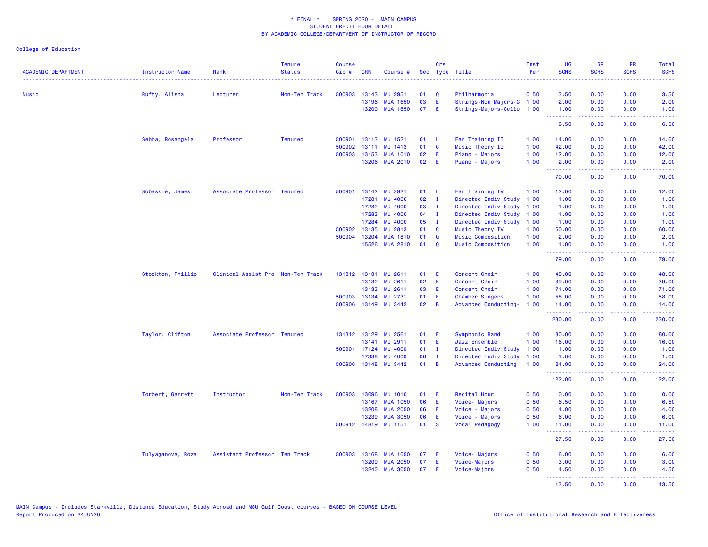| <b>ACADEMIC DEPARTMENT</b> | <b>Instructor Name</b> | Rank                              | <b>Tenure</b><br><b>Status</b> | <b>Course</b><br>Cip# | <b>CRN</b>            | Course #                          |          | Crs            | Sec Type Title                       | Inst<br>Per  | <b>UG</b><br><b>SCHS</b><br>الداعات | <b>GR</b><br><b>SCHS</b>                                                                                                                                     | <b>PR</b><br><b>SCHS</b>            | Total<br><b>SCHS</b>                                                                                                              |
|----------------------------|------------------------|-----------------------------------|--------------------------------|-----------------------|-----------------------|-----------------------------------|----------|----------------|--------------------------------------|--------------|-------------------------------------|--------------------------------------------------------------------------------------------------------------------------------------------------------------|-------------------------------------|-----------------------------------------------------------------------------------------------------------------------------------|
| Music                      | Rufty, Alisha          | Lecturer                          | Non-Ten Track                  | 500903                | 13143                 | <b>MU 2951</b>                    | 01       | Q              | Philharmonia                         | 0.50         | 3.50                                | 0.00                                                                                                                                                         | 0.00                                | 3.50                                                                                                                              |
|                            |                        |                                   |                                |                       | 13196                 | <b>MUA 1650</b>                   | 03       | E              | Strings-Non Majors-C 1.00            |              | 2.00                                | 0.00                                                                                                                                                         | 0.00                                | 2.00                                                                                                                              |
|                            |                        |                                   |                                |                       | 13200                 | <b>MUA 1650</b>                   | 07       | E              | Strings-Majors-Cello 1.00            |              | 1.00                                | 0.00<br>22222                                                                                                                                                | 0.00                                | 1.00                                                                                                                              |
|                            |                        |                                   |                                |                       |                       |                                   |          |                |                                      |              | .<br>6.50                           | 0.00                                                                                                                                                         | $\sim$ $\sim$ $\sim$ $\sim$<br>0.00 | $\frac{1}{2} \left( \frac{1}{2} \right) \left( \frac{1}{2} \right) \left( \frac{1}{2} \right) \left( \frac{1}{2} \right)$<br>6.50 |
|                            | Sebba, Rosangela       | Professor                         | <b>Tenured</b>                 | 500901                |                       | 13113 MU 1521                     | 01       | -L             | Ear Training II                      | 1.00         | 14.00                               | 0.00                                                                                                                                                         | 0.00                                | 14.00                                                                                                                             |
|                            |                        |                                   |                                | 500902                | 13111                 | MU 1413                           | 01       | C              | Music Theory II                      | 1.00         | 42.00                               | 0.00                                                                                                                                                         | 0.00                                | 42.00                                                                                                                             |
|                            |                        |                                   |                                | 500903                | 13153                 | <b>MUA 1010</b>                   | 02       | E              | Piano - Majors                       | 1.00         | 12.00                               | 0.00                                                                                                                                                         | 0.00                                | 12.00                                                                                                                             |
|                            |                        |                                   |                                |                       | 13206                 | <b>MUA 2010</b>                   | 02       | E              | Piano - Majors                       | 1.00         | 2.00<br>.                           | 0.00<br>-----                                                                                                                                                | 0.00<br>.                           | 2.00<br>.                                                                                                                         |
|                            |                        |                                   |                                |                       |                       |                                   |          |                |                                      |              | 70.00                               | 0.00                                                                                                                                                         | 0.00                                | 70.00                                                                                                                             |
|                            | Sobaskie, James        | Associate Professor Tenured       |                                |                       | 500901 13142          | <b>MU 2921</b>                    | 01       | -L             | Ear Training IV                      | 1.00         | 12.00                               | 0.00                                                                                                                                                         | 0.00                                | 12.00                                                                                                                             |
|                            |                        |                                   |                                |                       | 17281                 | <b>MU 4000</b>                    | 02       | $\mathbf{I}$   | Directed Indiv Study                 | 1.00         | 1.00                                | 0.00                                                                                                                                                         | 0.00                                | 1.00                                                                                                                              |
|                            |                        |                                   |                                |                       | 17282                 | <b>MU 4000</b>                    | 03       | $\mathbf{I}$   | Directed Indiv Study                 | 1.00         | 1.00                                | 0.00                                                                                                                                                         | 0.00                                | 1.00                                                                                                                              |
|                            |                        |                                   |                                |                       | 17283                 | <b>MU 4000</b>                    | 04       | $\mathbf{I}$   | Directed Indiv Study                 | 1.00         | 1.00                                | 0.00                                                                                                                                                         | 0.00                                | 1.00                                                                                                                              |
|                            |                        |                                   |                                |                       | 17284                 | <b>MU 4000</b>                    | 05       | $\mathbf{I}$   | Directed Indiv Study                 | 1.00         | 1.00                                | 0.00                                                                                                                                                         | 0.00                                | 1.00                                                                                                                              |
|                            |                        |                                   |                                | 500902                | 13135<br>500904 13204 | <b>MU 2813</b><br><b>MUA 1810</b> | 01<br>01 | C<br>Q         | Music Theory IV<br>Music Composition | 1.00<br>1.00 | 60.00<br>2.00                       | 0.00<br>0.00                                                                                                                                                 | 0.00<br>0.00                        | 60.00<br>2.00                                                                                                                     |
|                            |                        |                                   |                                |                       | 15526                 | <b>MUA 2810</b>                   | 01       | Q              | Music Composition                    | 1.00         | 1.00                                | 0.00                                                                                                                                                         | 0.00                                | 1.00                                                                                                                              |
|                            |                        |                                   |                                |                       |                       |                                   |          |                |                                      |              | .<br>79.00                          | .<br>0.00                                                                                                                                                    | $\sim$ $\sim$ $\sim$<br>0.00        | 79.00                                                                                                                             |
|                            | Stockton, Phillip      | Clinical Assist Pro Non-Ten Track |                                |                       |                       | 131312 13131 MU 2611              | 01       | Æ              | Concert Choir                        | 1.00         | 48.00                               | 0.00                                                                                                                                                         | 0.00                                | 48.00                                                                                                                             |
|                            |                        |                                   |                                |                       | 13132                 | <b>MU 2611</b>                    | 02       | Ε              | Concert Choir                        | 1.00         | 39.00                               | 0.00                                                                                                                                                         | 0.00                                | 39.00                                                                                                                             |
|                            |                        |                                   |                                |                       | 13133                 | <b>MU 2611</b>                    | 03       | Ε              | Concert Choir                        | 1.00         | 71.00                               | 0.00                                                                                                                                                         | 0.00                                | 71.00                                                                                                                             |
|                            |                        |                                   |                                |                       | 500903 13134          | MU 2731                           | 01       | Ε              | Chamber Singers                      | 1.00         | 58.00                               | 0.00                                                                                                                                                         | 0.00                                | 58.00                                                                                                                             |
|                            |                        |                                   |                                |                       |                       | 500906 13149 MU 3442              | 02       | B              | Advanced Conducting-                 | 1.00         | 14.00                               | 0.00                                                                                                                                                         | 0.00                                | 14.00                                                                                                                             |
|                            |                        |                                   |                                |                       |                       |                                   |          |                |                                      |              | .<br>230.00                         | 0.00                                                                                                                                                         | والمحامر<br>0.00                    | 230.00                                                                                                                            |
|                            | Taylor, Clifton        | Associate Professor Tenured       |                                |                       | 131312 13129          | <b>MU 2561</b>                    | 01       | Ε              | Symphonic Band                       | 1.00         | 80.00                               | 0.00                                                                                                                                                         | 0.00                                | 80.00                                                                                                                             |
|                            |                        |                                   |                                |                       | 13141                 | <b>MU 2911</b>                    | 01       | E              | Jazz Ensemble                        | 1.00         | 16.00                               | 0.00                                                                                                                                                         | 0.00                                | 16.00                                                                                                                             |
|                            |                        |                                   |                                |                       | 500901 17124          | <b>MU 4000</b>                    | 01       | $\mathbf{I}$   | Directed Indiv Study                 | 1.00         | 1.00                                | 0.00                                                                                                                                                         | 0.00                                | 1.00                                                                                                                              |
|                            |                        |                                   |                                |                       | 17338                 | <b>MU 4000</b>                    | 06       | $\mathbf{I}$   | Directed Indiv Study                 | 1.00         | 1.00                                | 0.00                                                                                                                                                         | 0.00                                | 1.00                                                                                                                              |
|                            |                        |                                   |                                |                       |                       | 500906 13148 MU 3442              | 01       | $\overline{B}$ | <b>Advanced Conducting</b>           | 1.00         | 24.00<br>بالمستمام                  | 0.00                                                                                                                                                         | 0.00<br>$\sim$ $\sim$ $\sim$ $\sim$ | 24.00                                                                                                                             |
|                            |                        |                                   |                                |                       |                       |                                   |          |                |                                      |              | 122.00                              | 0.00                                                                                                                                                         | 0.00                                | 122.00                                                                                                                            |
|                            | Torbert, Garrett       | Instructor                        | Non-Ten Track                  | 500903                | 13096                 | <b>MU 1010</b>                    | 01       | E              | Recital Hour                         | 0.50         | 0.00                                | 0.00                                                                                                                                                         | 0.00                                | 0.00                                                                                                                              |
|                            |                        |                                   |                                |                       | 13167                 | <b>MUA 1050</b>                   | 06       | E              | Voice-Majors                         | 0.50         | 6.50                                | 0.00                                                                                                                                                         | 0.00                                | 6.50                                                                                                                              |
|                            |                        |                                   |                                |                       | 13208                 | <b>MUA 2050</b>                   | 06       | Ε              | Voice - Majors                       | 0.50         | 4.00                                | 0.00                                                                                                                                                         | 0.00                                | 4.00                                                                                                                              |
|                            |                        |                                   |                                |                       | 13239                 | <b>MUA 3050</b>                   | 06       | E              | Voice - Majors                       | 0.50         | 6.00                                | 0.00                                                                                                                                                         | 0.00                                | 6.00                                                                                                                              |
|                            |                        |                                   |                                |                       | 500912 14819          | <b>MU 1151</b>                    | 01       | <b>S</b>       | Vocal Pedagogy                       | 1.00         | 11.00<br>.                          | 0.00                                                                                                                                                         | 0.00                                | 11.00                                                                                                                             |
|                            |                        |                                   |                                |                       |                       |                                   |          |                |                                      |              | 27.50                               | 0.00                                                                                                                                                         | 0.00                                | 27.50                                                                                                                             |
|                            | Tulyaganova, Roza      | Assistant Professor Ten Track     |                                |                       | 500903 13168          | <b>MUA 1050</b>                   | 07       | E              | Voice-Majors                         | 0.50         | 6.00                                | 0.00                                                                                                                                                         | 0.00                                | 6.00                                                                                                                              |
|                            |                        |                                   |                                |                       | 13209                 | <b>MUA 2050</b>                   | 07       | Ε              | Voice-Majors                         | 0.50         | 3.00                                | 0.00                                                                                                                                                         | 0.00                                | 3.00                                                                                                                              |
|                            |                        |                                   |                                |                       | 13240                 | <b>MUA 3050</b>                   | 07       | E              | Voice-Majors                         | 0.50         | 4.50<br>.                           | 0.00<br>$\frac{1}{2} \left( \frac{1}{2} \right) \left( \frac{1}{2} \right) \left( \frac{1}{2} \right) \left( \frac{1}{2} \right) \left( \frac{1}{2} \right)$ | 0.00<br>.                           | 4.50                                                                                                                              |
|                            |                        |                                   |                                |                       |                       |                                   |          |                |                                      |              | 13.50                               | 0.00                                                                                                                                                         | 0.00                                | .<br>13.50                                                                                                                        |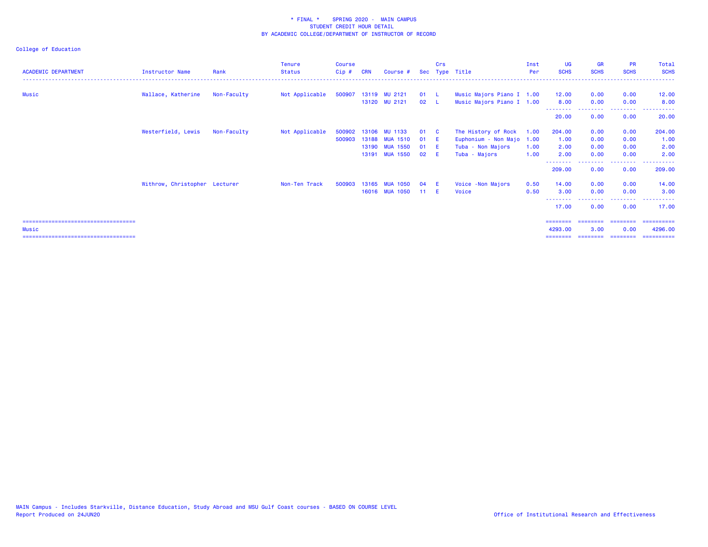| <b>ACADEMIC DEPARTMENT</b>             | <b>Instructor Name</b>        | Rank        | <b>Tenure</b><br><b>Status</b> | <b>Course</b><br>Cip# | <b>CRN</b> | Course #             |              | Crs          | Sec Type Title            | Inst<br><b>Per</b> | <b>UG</b><br><b>SCHS</b> | <b>GR</b><br><b>SCHS</b> | <b>PR</b><br><b>SCHS</b> | Total<br><b>SCHS</b> |
|----------------------------------------|-------------------------------|-------------|--------------------------------|-----------------------|------------|----------------------|--------------|--------------|---------------------------|--------------------|--------------------------|--------------------------|--------------------------|----------------------|
| Music                                  | Wallace, Katherine            | Non-Faculty | Not Applicable                 |                       |            | 500907 13119 MU 2121 | 01 L         |              | Music Majors Piano I 1.00 |                    | 12.00                    | 0.00                     | 0.00                     | 12.00                |
|                                        |                               |             |                                |                       |            | 13120 MU 2121        | $02 \quad L$ |              | Music Majors Piano I 1.00 |                    | 8.00                     | 0.00                     | 0.00                     | 8.00                 |
|                                        |                               |             |                                |                       |            |                      |              |              |                           |                    | 20.00                    | 0.00                     | 0.00                     | 20.00                |
|                                        | Westerfield, Lewis            | Non-Faculty | Not Applicable                 | 500902                | 13106      | MU 1133              | 01           | $\mathbf{C}$ | The History of Rock       | 1.00               | 204.00                   | 0.00                     | 0.00                     | 204.00               |
|                                        |                               |             |                                | 500903                | 13188      | <b>MUA 1510</b>      | 01           | - E          | Euphonium - Non Majo 1.00 |                    | 1.00                     | 0.00                     | 0.00                     | 1.00                 |
|                                        |                               |             |                                |                       |            | 13190 MUA 1550       | 01           | - E          | Tuba - Non Majors         | 1.00               | 2.00                     | 0.00                     | 0.00                     | 2.00                 |
|                                        |                               |             |                                |                       |            | 13191 MUA 1550       | 02           | - F          | Tuba - Majors             | 1.00               | 2.00                     | 0.00                     | 0.00                     | 2.00                 |
|                                        |                               |             |                                |                       |            |                      |              |              |                           |                    | 209.00                   | 0.00                     | --------<br>0.00         | 209.00               |
|                                        | Withrow, Christopher Lecturer |             | Non-Ten Track                  | 500903                | 13165      | <b>MUA 1050</b>      | 04           | -E           | Voice - Non Majors        | 0.50               | 14.00                    | 0.00                     | 0.00                     | 14.00                |
|                                        |                               |             |                                |                       |            | 16016 MUA 1050       | 11           | - F          | Voice                     | 0.50               | 3.00                     | 0.00                     | 0.00                     | 3.00                 |
|                                        |                               |             |                                |                       |            |                      |              |              |                           |                    | 17.00                    | 0.00                     | 0.00                     | 17.00                |
| ====================================== |                               |             |                                |                       |            |                      |              |              |                           |                    | ========                 | ========                 | ========                 | ==========           |
| Music                                  |                               |             |                                |                       |            |                      |              |              |                           |                    | 4293.00                  | 3.00                     | 0.00                     | 4296.00              |
| ====================================   |                               |             |                                |                       |            |                      |              |              |                           |                    |                          |                          |                          | ==========           |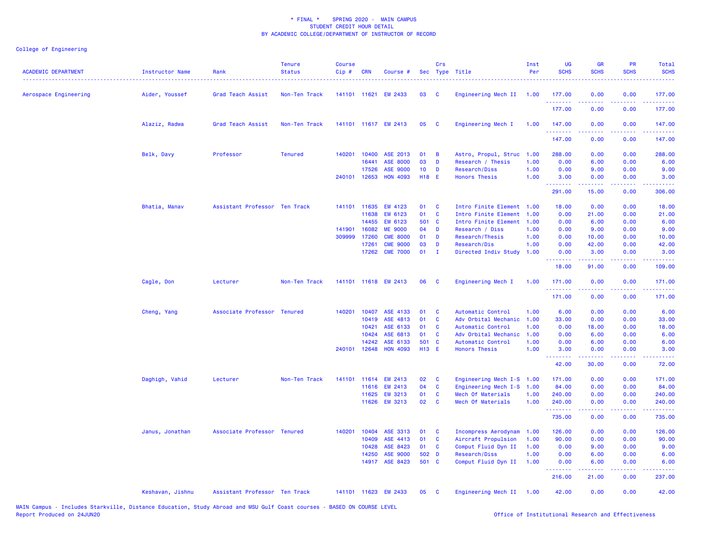| <b>ACADEMIC DEPARTMENT</b> | Instructor Name  | Rank                          | <b>Tenure</b><br><b>Status</b> | <b>Course</b><br>Cip# | <b>CRN</b>   | Course #             |                 | Crs          | Sec Type Title            | Inst<br>Per | UG<br><b>SCHS</b> | <b>GR</b><br><b>SCHS</b>                                  | <b>PR</b><br><b>SCHS</b> | Total<br><b>SCHS</b> |
|----------------------------|------------------|-------------------------------|--------------------------------|-----------------------|--------------|----------------------|-----------------|--------------|---------------------------|-------------|-------------------|-----------------------------------------------------------|--------------------------|----------------------|
| Aerospace Engineering      | Aider, Youssef   | Grad Teach Assist             | Non-Ten Track                  | 141101 11621          |              | <b>EM 2433</b>       | 03              | <b>C</b>     | Engineering Mech II 1.00  |             | 177.00            | 0.00                                                      | 0.00                     | 177.00               |
|                            |                  |                               |                                |                       |              |                      |                 |              |                           |             | .<br>177.00       | 0.00                                                      | 0.00                     | 177.00               |
|                            | Alaziz, Radwa    | Grad Teach Assist             | Non-Ten Track                  |                       |              | 141101 11617 EM 2413 | 05              | <b>C</b>     | Engineering Mech I        | 1.00        | 147.00<br>.       | 0.00                                                      | 0.00                     | 147.00               |
|                            |                  |                               |                                |                       |              |                      |                 |              |                           |             | 147.00            | 0.00                                                      | 0.00                     | 147.00               |
|                            | Belk, Davy       | Professor                     | <b>Tenured</b>                 | 140201                | 10400        | ASE 2013             | 01              | <b>B</b>     | Astro, Propul, Struc      | 1.00        | 288.00            | 0.00                                                      | 0.00                     | 288.00               |
|                            |                  |                               |                                |                       | 16441        | <b>ASE 8000</b>      | 03              | D            | Research / Thesis         | 1.00        | 0.00              | 6.00                                                      | 0.00                     | 6.00                 |
|                            |                  |                               |                                |                       | 17526        | <b>ASE 9000</b>      | 10 <sup>°</sup> | D            | Research/Diss             | 1.00        | 0.00              | 9.00                                                      | 0.00                     | 9.00                 |
|                            |                  |                               |                                | 240101 12653          |              | <b>HON 4093</b>      | <b>H18 E</b>    |              | <b>Honors Thesis</b>      | 1.00        | 3.00<br><u>.</u>  | 0.00                                                      | 0.00                     | 3.00                 |
|                            |                  |                               |                                |                       |              |                      |                 |              |                           |             | 291.00            | 15.00                                                     | 0.00                     | 306.00               |
|                            | Bhatia, Manav    | Assistant Professor Ten Track |                                | 141101 11635          |              | <b>EM 4123</b>       | 01              | $\mathbf{C}$ | Intro Finite Element 1.00 |             | 18.00             | 0.00                                                      | 0.00                     | 18.00                |
|                            |                  |                               |                                |                       | 11638        | EM 6123              | 01              | $\mathbf{C}$ | Intro Finite Element 1.00 |             | 0.00              | 21.00                                                     | 0.00                     | 21.00                |
|                            |                  |                               |                                |                       | 14455        | EM 6123              | 501 C           |              | Intro Finite Element 1.00 |             | 0.00              | 6.00                                                      | 0.00                     | 6.00                 |
|                            |                  |                               |                                | 141901                | 16082        | <b>ME 9000</b>       | 04              | D            | Research / Diss           | 1.00        | 0.00              | 9.00                                                      | 0.00                     | 9.00                 |
|                            |                  |                               |                                | 309999                | 17260        | <b>CME 8000</b>      | 01              | D            | Research/Thesis           | 1.00        | 0.00              | 10.00                                                     | 0.00                     | 10.00                |
|                            |                  |                               |                                |                       | 17261        | <b>CME 9000</b>      | 03              | D            | Research/Dis              | 1.00        | 0.00              | 42.00                                                     | 0.00                     | 42.00                |
|                            |                  |                               |                                |                       | 17262        | <b>CME 7000</b>      | 01              | $\mathbf{I}$ | Directed Indiv Study 1.00 |             | 0.00<br>والمستوات | 3.00<br>$\omega_{\alpha}=\omega_{\alpha}=\omega_{\alpha}$ | 0.00<br>بالأباب          | 3.00<br>بالأباليات   |
|                            |                  |                               |                                |                       |              |                      |                 |              |                           |             | 18.00             | 91.00                                                     | 0.00                     | 109.00               |
|                            | Cagle, Don       | Lecturer                      | Non-Ten Track                  |                       |              | 141101 11618 EM 2413 | 06              | <b>C</b>     | Engineering Mech I        | 1.00        | 171.00<br>.       | 0.00<br>.                                                 | 0.00<br>المتمالين        | 171.00               |
|                            |                  |                               |                                |                       |              |                      |                 |              |                           |             | 171.00            | 0.00                                                      | 0.00                     | 171.00               |
|                            | Cheng, Yang      | Associate Professor Tenured   |                                | 140201                | 10407        | ASE 4133             | 01              | <b>C</b>     | Automatic Control         | 1.00        | 6.00              | 0.00                                                      | 0.00                     | 6.00                 |
|                            |                  |                               |                                |                       | 10419        | ASE 4813             | 01              | <b>C</b>     | Adv Orbital Mechanic      | 1.00        | 33.00             | 0.00                                                      | 0.00                     | 33.00                |
|                            |                  |                               |                                |                       | 10421        | ASE 6133             | 01              | $\mathbf{C}$ | Automatic Control         | 1.00        | 0.00              | 18.00                                                     | 0.00                     | 18.00                |
|                            |                  |                               |                                |                       | 10424        | ASE 6813             | 01              | $\mathbf{C}$ | Adv Orbital Mechanic      | 1.00        | 0.00              | 6.00                                                      | 0.00                     | 6.00                 |
|                            |                  |                               |                                |                       | 14242        | ASE 6133             | 501 C           |              | Automatic Control         | 1.00        | 0.00              | 6.00                                                      | 0.00                     | 6.00                 |
|                            |                  |                               |                                |                       | 240101 12648 | <b>HON 4093</b>      | <b>H13 E</b>    |              | <b>Honors Thesis</b>      | 1.00        | 3.00<br>.         | 0.00                                                      | 0.00                     | 3.00                 |
|                            |                  |                               |                                |                       |              |                      |                 |              |                           |             | 42.00             | 30.00                                                     | 0.00                     | 72.00                |
|                            | Daghigh, Vahid   | Lecturer                      | Non-Ten Track                  | 141101                | 11614        | <b>EM 2413</b>       | 02              | <b>C</b>     | Engineering Mech I-S 1.00 |             | 171.00            | 0.00                                                      | 0.00                     | 171.00               |
|                            |                  |                               |                                |                       | 11616        | <b>EM 2413</b>       | 04              | $\mathbf{C}$ | Engineering Mech I-S 1.00 |             | 84.00             | 0.00                                                      | 0.00                     | 84.00                |
|                            |                  |                               |                                |                       | 11625        | <b>EM 3213</b>       | 01              | $\mathbf{C}$ | Mech Of Materials         | 1.00        | 240.00            | 0.00                                                      | 0.00                     | 240.00               |
|                            |                  |                               |                                |                       | 11626        | <b>EM 3213</b>       | 02              | <b>C</b>     | Mech Of Materials         | 1.00        | 240.00<br>.       | 0.00                                                      | 0.00                     | 240.00               |
|                            |                  |                               |                                |                       |              |                      |                 |              |                           |             | 735.00            | 0.00                                                      | 0.00                     | 735.00               |
|                            | Janus, Jonathan  | Associate Professor Tenured   |                                |                       | 140201 10404 | ASE 3313             | 01              | $\mathbf{C}$ | Incompress Aerodynam 1.00 |             | 126.00            | 0.00                                                      | 0.00                     | 126.00               |
|                            |                  |                               |                                |                       | 10409        | ASE 4413             | 01              | $\mathbf{C}$ | Aircraft Propulsion       | 1.00        | 90.00             | 0.00                                                      | 0.00                     | 90.00                |
|                            |                  |                               |                                |                       | 10428        | ASE 8423             | 01              | $\mathbf{C}$ | Comput Fluid Dyn II       | 1.00        | 0.00              | 9.00                                                      | 0.00                     | 9.00                 |
|                            |                  |                               |                                |                       | 14250        | <b>ASE 9000</b>      | 502 D           |              | Research/Diss             | 1.00        | 0.00              | 6.00                                                      | 0.00                     | 6.00                 |
|                            |                  |                               |                                |                       |              | 14917 ASE 8423       | 501 C           |              | Comput Fluid Dyn II       | 1.00        | 0.00<br>.         | 6.00                                                      | 0.00                     | 6.00                 |
|                            |                  |                               |                                |                       |              |                      |                 |              |                           |             | 216.00            | 21.00                                                     | 0.00                     | 237.00               |
|                            | Keshavan, Jishnu | Assistant Professor Ten Track |                                |                       |              | 141101 11623 EM 2433 | 05              | $\mathbf{C}$ | Engineering Mech II 1.00  |             | 42.00             | 0.00                                                      | 0.00                     | 42.00                |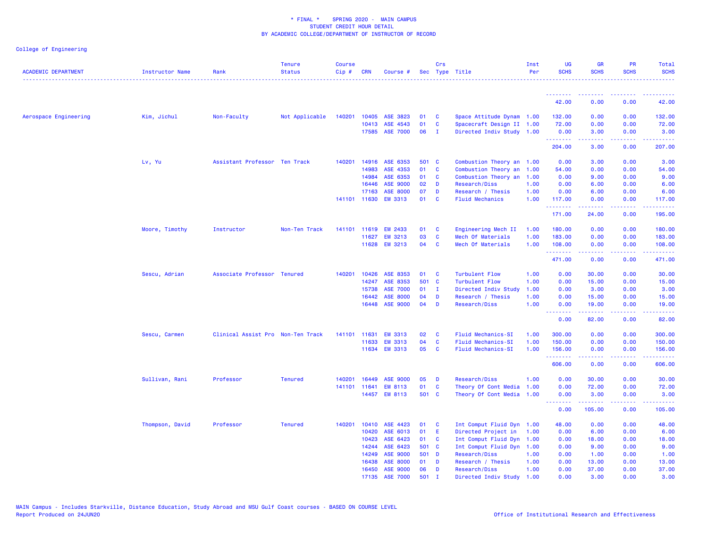| <b>ACADEMIC DEPARTMENT</b> | Instructor Name | Rank                              | <b>Tenure</b><br><b>Status</b> | <b>Course</b><br>Cip# | <b>CRN</b>   | Course #        |       | Crs          | Sec Type Title            | Inst<br>Per | UG<br><b>SCHS</b> | <b>GR</b><br><b>SCHS</b>                 | PR<br><b>SCHS</b>                   | Total<br><b>SCHS</b>                                                                                                                                           |
|----------------------------|-----------------|-----------------------------------|--------------------------------|-----------------------|--------------|-----------------|-------|--------------|---------------------------|-------------|-------------------|------------------------------------------|-------------------------------------|----------------------------------------------------------------------------------------------------------------------------------------------------------------|
|                            |                 |                                   |                                |                       |              |                 |       |              |                           |             | .                 |                                          |                                     |                                                                                                                                                                |
|                            |                 |                                   |                                |                       |              |                 |       |              |                           |             | 42.00             | 0.00                                     | 0.00                                | 42.00                                                                                                                                                          |
| Aerospace Engineering      | Kim, Jichul     | Non-Faculty                       | Not Applicable                 | 140201                | 10405        | ASE 3823        | 01    | C            | Space Attitude Dynam 1.00 |             | 132.00            | 0.00                                     | 0.00                                | 132.00                                                                                                                                                         |
|                            |                 |                                   |                                |                       | 10413        | ASE 4543        | 01    | $\mathbf{C}$ | Spacecraft Design II 1.00 |             | 72.00             | 0.00                                     | 0.00                                | 72.00                                                                                                                                                          |
|                            |                 |                                   |                                |                       | 17585        | <b>ASE 7000</b> | 06    | $\mathbf{I}$ | Directed Indiv Study 1.00 |             | 0.00<br>.         | 3.00                                     | 0.00<br>والمستناء                   | 3.00<br>.                                                                                                                                                      |
|                            |                 |                                   |                                |                       |              |                 |       |              |                           |             | 204.00            | 3.00                                     | 0.00                                | 207.00                                                                                                                                                         |
|                            | Lv, Yu          | Assistant Professor Ten Track     |                                | 140201                | 14916        | ASE 6353        | 501   | $\mathbf{C}$ | Combustion Theory an 1.00 |             | 0.00              | 3.00                                     | 0.00                                | 3.00                                                                                                                                                           |
|                            |                 |                                   |                                |                       | 14983        | ASE 4353        | 01    | <b>C</b>     | Combustion Theory an 1.00 |             | 54.00             | 0.00                                     | 0.00                                | 54.00                                                                                                                                                          |
|                            |                 |                                   |                                |                       | 14984        | ASE 6353        | 01    | C            | Combustion Theory an      | 1.00        | 0.00              | 9.00                                     | 0.00                                | 9.00                                                                                                                                                           |
|                            |                 |                                   |                                |                       | 16446        | <b>ASE 9000</b> | 02    | D            | Research/Diss             | 1.00        | 0.00              | 6.00                                     | 0.00                                | 6.00                                                                                                                                                           |
|                            |                 |                                   |                                |                       | 17163        | <b>ASE 8000</b> | 07    | D            | Research / Thesis         | 1.00        | 0.00              | 6.00                                     | 0.00                                | 6.00                                                                                                                                                           |
|                            |                 |                                   |                                |                       | 141101 11630 | <b>EM 3313</b>  | 01    | <b>C</b>     | <b>Fluid Mechanics</b>    | 1.00        | 117.00<br>.       | 0.00                                     | 0.00<br>$\sim$ $\sim$ $\sim$ $\sim$ | 117.00<br>22222)                                                                                                                                               |
|                            |                 |                                   |                                |                       |              |                 |       |              |                           |             | 171.00            | 24.00                                    | 0.00                                | 195.00                                                                                                                                                         |
|                            | Moore, Timothy  | Instructor                        | Non-Ten Track                  |                       | 141101 11619 | <b>EM 2433</b>  | 01    | C            | Engineering Mech II       | 1.00        | 180.00            | 0.00                                     | 0.00                                | 180.00                                                                                                                                                         |
|                            |                 |                                   |                                |                       | 11627        | <b>EM 3213</b>  | 03    | $\mathbf{C}$ | Mech Of Materials         | 1.00        | 183.00            | 0.00                                     | 0.00                                | 183.00                                                                                                                                                         |
|                            |                 |                                   |                                |                       | 11628        | <b>EM 3213</b>  | 04    | C            | Mech Of Materials         | 1.00        | 108.00<br>.       | 0.00<br>-----                            | 0.00<br>.                           | 108.00<br>$\frac{1}{2} \left( \frac{1}{2} \right) \left( \frac{1}{2} \right) \left( \frac{1}{2} \right) \left( \frac{1}{2} \right) \left( \frac{1}{2} \right)$ |
|                            |                 |                                   |                                |                       |              |                 |       |              |                           |             | 471.00            | 0.00                                     | 0.00                                | 471.00                                                                                                                                                         |
|                            | Sescu, Adrian   | Associate Professor Tenured       |                                | 140201                | 10426        | ASE 8353        | 01    | C            | <b>Turbulent Flow</b>     | 1.00        | 0.00              | 30.00                                    | 0.00                                | 30.00                                                                                                                                                          |
|                            |                 |                                   |                                |                       | 14247        | ASE 8353        | 501 C |              | <b>Turbulent Flow</b>     | 1.00        | 0.00              | 15.00                                    | 0.00                                | 15.00                                                                                                                                                          |
|                            |                 |                                   |                                |                       | 15738        | <b>ASE 7000</b> | 01    | $\mathbf{I}$ | Directed Indiv Study      | 1.00        | 0.00              | 3.00                                     | 0.00                                | 3.00                                                                                                                                                           |
|                            |                 |                                   |                                |                       | 16442        | <b>ASE 8000</b> | 04    | D            | Research / Thesis         | 1.00        | 0.00              | 15.00                                    | 0.00                                | 15.00                                                                                                                                                          |
|                            |                 |                                   |                                |                       | 16448        | <b>ASE 9000</b> | 04    | D            | Research/Diss             | 1.00        | 0.00<br>--------  | 19.00<br>المستمعا                        | 0.00<br>المتمالين                   | 19.00<br>.                                                                                                                                                     |
|                            |                 |                                   |                                |                       |              |                 |       |              |                           |             | 0.00              | 82.00                                    | 0.00                                | 82.00                                                                                                                                                          |
|                            | Sescu, Carmen   | Clinical Assist Pro Non-Ten Track |                                | 141101                | 11631        | <b>EM 3313</b>  | 02    | C            | <b>Fluid Mechanics-SI</b> | 1.00        | 300.00            | 0.00                                     | 0.00                                | 300.00                                                                                                                                                         |
|                            |                 |                                   |                                |                       | 11633        | <b>EM 3313</b>  | 04    | C            | <b>Fluid Mechanics-SI</b> | 1.00        | 150.00            | 0.00                                     | 0.00                                | 150.00                                                                                                                                                         |
|                            |                 |                                   |                                |                       |              | 11634 EM 3313   | 05    | C            | <b>Fluid Mechanics-SI</b> | 1.00        | 156.00<br>.       | 0.00<br>22222                            | 0.00<br>.                           | 156.00<br>$\mathbf{1} \cdot \mathbf{1} \cdot \mathbf{1} \cdot \mathbf{1} \cdot \mathbf{1} \cdot \mathbf{1}$                                                    |
|                            |                 |                                   |                                |                       |              |                 |       |              |                           |             | 606.00            | 0.00                                     | 0.00                                | 606.00                                                                                                                                                         |
|                            | Sullivan, Rani  | Professor                         | <b>Tenured</b>                 | 140201                | 16449        | <b>ASE 9000</b> | 05    | D            | Research/Diss             | 1.00        | 0.00              | 30.00                                    | 0.00                                | 30.00                                                                                                                                                          |
|                            |                 |                                   |                                | 141101                | 11641        | <b>EM 8113</b>  | 01    | C            | Theory Of Cont Media      | 1.00        | 0.00              | 72.00                                    | 0.00                                | 72.00                                                                                                                                                          |
|                            |                 |                                   |                                |                       |              | 14457 EM 8113   | 501 C |              | Theory Of Cont Media      | 1.00        | 0.00<br>.         | 3.00<br>$\omega$ is $\omega$ in $\omega$ | 0.00<br>بالأباب                     | 3.00<br>المستمين                                                                                                                                               |
|                            |                 |                                   |                                |                       |              |                 |       |              |                           |             | 0.00              | 105.00                                   | 0.00                                | 105.00                                                                                                                                                         |
|                            | Thompson, David | Professor                         | <b>Tenured</b>                 | 140201                | 10410        | ASE 4423        | 01    | C            | Int Comput Fluid Dyn      | 1.00        | 48.00             | 0.00                                     | 0.00                                | 48.00                                                                                                                                                          |
|                            |                 |                                   |                                |                       | 10420        | ASE 6013        | 01    | Ε            | Directed Project in       | 1.00        | 0.00              | 6.00                                     | 0.00                                | 6.00                                                                                                                                                           |
|                            |                 |                                   |                                |                       | 10423        | ASE 6423        | 01    | <b>C</b>     | Int Comput Fluid Dyn      | 1.00        | 0.00              | 18.00                                    | 0.00                                | 18.00                                                                                                                                                          |
|                            |                 |                                   |                                |                       | 14244        | ASE 6423        | 501 C |              | Int Comput Fluid Dyn      | 1.00        | 0.00              | 9.00                                     | 0.00                                | 9.00                                                                                                                                                           |
|                            |                 |                                   |                                |                       | 14249        | <b>ASE 9000</b> | 501 D |              | Research/Diss             | 1.00        | 0.00              | 1.00                                     | 0.00                                | 1.00                                                                                                                                                           |
|                            |                 |                                   |                                |                       | 16438        | <b>ASE 8000</b> | 01    | D            | Research / Thesis         | 1.00        | 0.00              | 13.00                                    | 0.00                                | 13.00                                                                                                                                                          |
|                            |                 |                                   |                                |                       | 16450        | <b>ASE 9000</b> | 06    | D            | Research/Diss             | 1.00        | 0.00              | 37.00                                    | 0.00                                | 37.00                                                                                                                                                          |
|                            |                 |                                   |                                |                       |              | 17135 ASE 7000  | 501   | $\mathbf{I}$ | Directed Indiv Study      | 1.00        | 0.00              | 3.00                                     | 0.00                                | 3.00                                                                                                                                                           |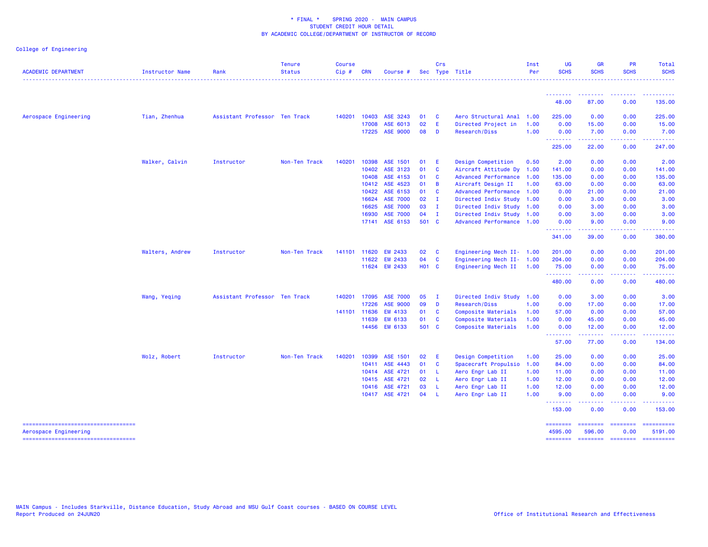| <b>ACADEMIC DEPARTMENT</b>                                   | Instructor Name | Rank                          | <b>Tenure</b><br><b>Status</b> | <b>Course</b><br>Cip# | <b>CRN</b>   | Course #        |              | Crs            | Sec Type Title            | Inst<br>Per | <b>UG</b><br><b>SCHS</b> | <b>GR</b><br><b>SCHS</b>                                                                                                                                      | <b>PR</b><br><b>SCHS</b>                                                                                                          | Total<br><b>SCHS</b>                                                                                                          |
|--------------------------------------------------------------|-----------------|-------------------------------|--------------------------------|-----------------------|--------------|-----------------|--------------|----------------|---------------------------|-------------|--------------------------|---------------------------------------------------------------------------------------------------------------------------------------------------------------|-----------------------------------------------------------------------------------------------------------------------------------|-------------------------------------------------------------------------------------------------------------------------------|
|                                                              |                 |                               |                                |                       |              |                 |              |                |                           |             |                          |                                                                                                                                                               |                                                                                                                                   |                                                                                                                               |
|                                                              |                 |                               |                                |                       |              |                 |              |                |                           |             | 48.00                    | 87.00                                                                                                                                                         | 0.00                                                                                                                              | 135.00                                                                                                                        |
| Aerospace Engineering                                        | Tian, Zhenhua   | Assistant Professor Ten Track |                                | 140201                | 10403        | ASE 3243        | 01           | <b>C</b>       | Aero Structural Anal      | 1.00        | 225.00                   | 0.00                                                                                                                                                          | 0.00                                                                                                                              | 225.00                                                                                                                        |
|                                                              |                 |                               |                                |                       | 17008        | ASE 6013        | 02           | -E             | Directed Project in       | 1.00        | 0.00                     | 15.00                                                                                                                                                         | 0.00                                                                                                                              | 15.00                                                                                                                         |
|                                                              |                 |                               |                                |                       | 17225        | <b>ASE 9000</b> | 08           | <b>D</b>       | Research/Diss             | 1.00        | 0.00<br><u>.</u>         | 7.00<br>.                                                                                                                                                     | 0.00<br>$\frac{1}{2} \left( \frac{1}{2} \right) \left( \frac{1}{2} \right) \left( \frac{1}{2} \right) \left( \frac{1}{2} \right)$ | 7.00                                                                                                                          |
|                                                              |                 |                               |                                |                       |              |                 |              |                |                           |             | 225.00                   | 22.00                                                                                                                                                         | 0.00                                                                                                                              | 247.00                                                                                                                        |
|                                                              | Walker, Calvin  | Instructor                    | Non-Ten Track                  | 140201                | 10398        | ASE 1501        | 01           | - E            | Design Competition        | 0.50        | 2.00                     | 0.00                                                                                                                                                          | 0.00                                                                                                                              | 2.00                                                                                                                          |
|                                                              |                 |                               |                                |                       | 10402        | ASE 3123        | 01           | $\mathbf{C}$   | Aircraft Attitude Dy 1.00 |             | 141.00                   | 0.00                                                                                                                                                          | 0.00                                                                                                                              | 141.00                                                                                                                        |
|                                                              |                 |                               |                                |                       | 10408        | ASE 4153        | 01           | <b>C</b>       | Advanced Performance 1.00 |             | 135.00                   | 0.00                                                                                                                                                          | 0.00                                                                                                                              | 135.00                                                                                                                        |
|                                                              |                 |                               |                                |                       | 10412        | ASE 4523        | 01           | $\overline{B}$ | Aircraft Design II        | 1.00        | 63.00                    | 0.00                                                                                                                                                          | 0.00                                                                                                                              | 63.00                                                                                                                         |
|                                                              |                 |                               |                                |                       | 10422        | ASE 6153        | 01           | <b>C</b>       | Advanced Performance 1.00 |             | 0.00                     | 21.00                                                                                                                                                         | 0.00                                                                                                                              | 21.00                                                                                                                         |
|                                                              |                 |                               |                                |                       | 16624        | <b>ASE 7000</b> | 02           | $\mathbf I$    | Directed Indiv Study 1.00 |             | 0.00                     | 3.00                                                                                                                                                          | 0.00                                                                                                                              | 3.00                                                                                                                          |
|                                                              |                 |                               |                                |                       | 16625        | <b>ASE 7000</b> | 03           | $\blacksquare$ | Directed Indiv Study 1.00 |             | 0.00                     | 3.00                                                                                                                                                          | 0.00                                                                                                                              | 3.00                                                                                                                          |
|                                                              |                 |                               |                                |                       | 16930        | <b>ASE 7000</b> | 04           | $\blacksquare$ | Directed Indiv Study 1.00 |             | 0.00                     | 3.00                                                                                                                                                          | 0.00                                                                                                                              | 3.00                                                                                                                          |
|                                                              |                 |                               |                                |                       | 17141        | ASE 6153        | 501 C        |                | Advanced Performance 1.00 |             | 0.00<br><u>.</u>         | 9.00                                                                                                                                                          | 0.00                                                                                                                              | 9.00                                                                                                                          |
|                                                              |                 |                               |                                |                       |              |                 |              |                |                           |             | 341.00                   | 39.00                                                                                                                                                         | 0.00                                                                                                                              | 380.00                                                                                                                        |
|                                                              | Walters, Andrew | Instructor                    | Non-Ten Track                  |                       | 141101 11620 | <b>EM 2433</b>  | 02           | $\mathbf{C}$   | Engineering Mech II- 1.00 |             | 201.00                   | 0.00                                                                                                                                                          | 0.00                                                                                                                              | 201.00                                                                                                                        |
|                                                              |                 |                               |                                |                       | 11622        | <b>EM 2433</b>  | 04           | $\mathbf{C}$   | Engineering Mech II- 1.00 |             | 204.00                   | 0.00                                                                                                                                                          | 0.00                                                                                                                              | 204.00                                                                                                                        |
|                                                              |                 |                               |                                |                       |              | 11624 EM 2433   | <b>HO1 C</b> |                | Engineering Mech II 1.00  |             | 75.00<br>.               | 0.00<br>22222                                                                                                                                                 | 0.00<br>.                                                                                                                         | 75.00<br>222222                                                                                                               |
|                                                              |                 |                               |                                |                       |              |                 |              |                |                           |             | 480.00                   | 0.00                                                                                                                                                          | 0.00                                                                                                                              | 480.00                                                                                                                        |
|                                                              | Wang, Yeqing    | Assistant Professor Ten Track |                                | 140201                | 17095        | <b>ASE 7000</b> | 05           | $\mathbf I$    | Directed Indiv Study 1.00 |             | 0.00                     | 3.00                                                                                                                                                          | 0.00                                                                                                                              | 3.00                                                                                                                          |
|                                                              |                 |                               |                                |                       | 17226        | ASE 9000        | 09           | $\mathbf{D}$   | <b>Research/Diss</b>      | 1.00        | 0.00                     | 17.00                                                                                                                                                         | 0.00                                                                                                                              | 17.00                                                                                                                         |
|                                                              |                 |                               |                                |                       | 141101 11636 | EM 4133         | 01           | <b>C</b>       | Composite Materials       | 1.00        | 57.00                    | 0.00                                                                                                                                                          | 0.00                                                                                                                              | 57.00                                                                                                                         |
|                                                              |                 |                               |                                |                       | 11639        | EM 6133         | 01 C         |                | Composite Materials       | 1.00        | 0.00                     | 45.00                                                                                                                                                         | 0.00                                                                                                                              | 45.00                                                                                                                         |
|                                                              |                 |                               |                                |                       |              | 14456 EM 6133   | 501 C        |                | Composite Materials       | 1.00        | 0.00<br>.                | 12.00<br>$\frac{1}{2} \left( \frac{1}{2} \right) \left( \frac{1}{2} \right) \left( \frac{1}{2} \right) \left( \frac{1}{2} \right) \left( \frac{1}{2} \right)$ | 0.00<br>.                                                                                                                         | 12.00                                                                                                                         |
|                                                              |                 |                               |                                |                       |              |                 |              |                |                           |             | 57.00                    | 77.00                                                                                                                                                         | 0.00                                                                                                                              | 134.00                                                                                                                        |
|                                                              | Wolz, Robert    | Instructor                    | Non-Ten Track                  | 140201                | 10399        | ASE 1501        | 02           | -E             | Design Competition        | 1.00        | 25.00                    | 0.00                                                                                                                                                          | 0.00                                                                                                                              | 25.00                                                                                                                         |
|                                                              |                 |                               |                                |                       | 10411        | ASE 4443        | 01           | $\mathbf{C}$   | Spacecraft Propulsio      | 1.00        | 84.00                    | 0.00                                                                                                                                                          | 0.00                                                                                                                              | 84.00                                                                                                                         |
|                                                              |                 |                               |                                |                       | 10414        | ASE 4721        | 01           | - L            | Aero Engr Lab II          | 1.00        | 11.00                    | 0.00                                                                                                                                                          | 0.00                                                                                                                              | 11.00                                                                                                                         |
|                                                              |                 |                               |                                |                       | 10415        | ASE 4721        | 02           | - L            | Aero Engr Lab II          | 1.00        | 12.00                    | 0.00                                                                                                                                                          | 0.00                                                                                                                              | 12.00                                                                                                                         |
|                                                              |                 |                               |                                |                       | 10416        | ASE 4721        | 03           | - 1.           | Aero Engr Lab II          | 1.00        | 12.00                    | 0.00                                                                                                                                                          | 0.00                                                                                                                              | 12.00                                                                                                                         |
|                                                              |                 |                               |                                |                       |              | 10417 ASE 4721  | 04           | - L            | Aero Engr Lab II          | 1.00        | 9.00<br>--------         | 0.00<br>المستسمين                                                                                                                                             | 0.00<br>.                                                                                                                         | 9.00<br>$\begin{array}{cccccccccc} \bullet & \bullet & \bullet & \bullet & \bullet & \bullet & \bullet & \bullet \end{array}$ |
|                                                              |                 |                               |                                |                       |              |                 |              |                |                           |             | 153.00                   | 0.00                                                                                                                                                          | 0.00                                                                                                                              | 153.00                                                                                                                        |
| -----------------------------------<br>Aerospace Engineering |                 |                               |                                |                       |              |                 |              |                |                           |             | ========<br>4595.00      | ========<br>596.00                                                                                                                                            | <b>CONSIGNS</b><br>0.00                                                                                                           | ==========<br>5191.00                                                                                                         |
| ----------------------------------                           |                 |                               |                                |                       |              |                 |              |                |                           |             | <b>ESSESSED</b>          |                                                                                                                                                               | sceneses essesses                                                                                                                 | ==========                                                                                                                    |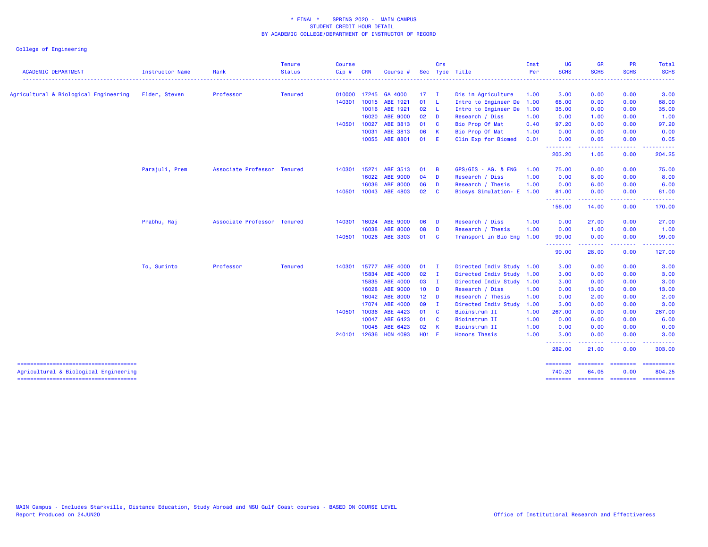|                                                                                 |                 |                             | <b>Tenure</b>  | <b>Course</b> |            |                       |              | Crs            |                           | Inst | UG                               | <b>GR</b>                                                                                                                                                    | <b>PR</b>               | Total                 |
|---------------------------------------------------------------------------------|-----------------|-----------------------------|----------------|---------------|------------|-----------------------|--------------|----------------|---------------------------|------|----------------------------------|--------------------------------------------------------------------------------------------------------------------------------------------------------------|-------------------------|-----------------------|
| <b>ACADEMIC DEPARTMENT</b>                                                      | Instructor Name | Rank                        | <b>Status</b>  | Cip#          | <b>CRN</b> | Course #              |              |                | Sec Type Title            | Per  | <b>SCHS</b>                      | <b>SCHS</b>                                                                                                                                                  | <b>SCHS</b>             | <b>SCHS</b>           |
| Agricultural & Biological Engineering                                           | Elder, Steven   | Professor                   | <b>Tenured</b> | 010000        |            | 17245 GA 4000         | $17 \quad I$ |                | Dis in Agriculture        | 1.00 | 3.00                             | 0.00                                                                                                                                                         | 0.00                    | 3.00                  |
|                                                                                 |                 |                             |                | 140301        | 10015      | ABE 1921              | 01 L         |                | Intro to Engineer De 1.00 |      | 68.00                            | 0.00                                                                                                                                                         | 0.00                    | 68.00                 |
|                                                                                 |                 |                             |                |               |            | 10016 ABE 1921        | 02 L         |                | Intro to Engineer De      | 1.00 | 35.00                            | 0.00                                                                                                                                                         | 0.00                    | 35.00                 |
|                                                                                 |                 |                             |                |               | 16020      | <b>ABE 9000</b>       | 02           | D              | Research / Diss           | 1.00 | 0.00                             | 1.00                                                                                                                                                         | 0.00                    | 1.00                  |
|                                                                                 |                 |                             |                | 140501        | 10027      | ABE 3813              | 01 C         |                | Bio Prop Of Mat           | 0.40 | 97.20                            | 0.00                                                                                                                                                         | 0.00                    | 97.20                 |
|                                                                                 |                 |                             |                |               | 10031      | ABE 3813              | 06           | $\mathbf{K}$   | Bio Prop Of Mat           | 1.00 | 0.00                             | 0.00                                                                                                                                                         | 0.00                    | 0.00                  |
|                                                                                 |                 |                             |                |               |            | 10055 ABE 8801        | 01 E         |                | Clin Exp for Biomed       | 0.01 | 0.00<br>.                        | 0.05<br>$\frac{1}{2} \left( \frac{1}{2} \right) \left( \frac{1}{2} \right) \left( \frac{1}{2} \right) \left( \frac{1}{2} \right) \left( \frac{1}{2} \right)$ | 0.00<br>.               | 0.05<br>. <u>.</u> .  |
|                                                                                 |                 |                             |                |               |            |                       |              |                |                           |      | 203.20                           | 1.05                                                                                                                                                         | 0.00                    | 204.25                |
|                                                                                 | Parajuli, Prem  | Associate Professor Tenured |                | 140301 15271  |            | ABE 3513              | 01           | - B            | GPS/GIS - AG. & ENG       | 1.00 | 75.00                            | 0.00                                                                                                                                                         | 0.00                    | 75.00                 |
|                                                                                 |                 |                             |                |               | 16022      | <b>ABE 9000</b>       | $04$ D       |                | Research / Diss           | 1.00 | 0.00                             | 8.00                                                                                                                                                         | 0.00                    | 8.00                  |
|                                                                                 |                 |                             |                |               | 16036      | <b>ABE 8000</b>       | 06 D         |                | Research / Thesis         | 1.00 | 0.00                             | 6.00                                                                                                                                                         | 0.00                    | 6.00                  |
|                                                                                 |                 |                             |                | 140501        |            | 10043 ABE 4803        | 02 C         |                | Biosys Simulation- E 1.00 |      | 81.00<br><u> - - - - - - - -</u> | 0.00<br>. <u>.</u>                                                                                                                                           | 0.00<br>.               | 81.00<br>. <u>.</u> . |
|                                                                                 |                 |                             |                |               |            |                       |              |                |                           |      | 156.00                           | 14.00                                                                                                                                                        | 0.00                    | 170.00                |
|                                                                                 | Prabhu, Raj     | Associate Professor Tenured |                | 140301        | 16024      | <b>ABE 9000</b>       | 06           | D              | Research / Diss           | 1.00 | 0.00                             | 27.00                                                                                                                                                        | 0.00                    | 27.00                 |
|                                                                                 |                 |                             |                |               | 16038      | <b>ABE 8000</b>       | 08           | D              | Research / Thesis         | 1.00 | 0.00                             | 1.00                                                                                                                                                         | 0.00                    | 1.00                  |
|                                                                                 |                 |                             |                | 140501 10026  |            | ABE 3303              | 01 C         |                | Transport in Bio Eng 1.00 |      | 99.00<br>.                       | 0.00<br>.                                                                                                                                                    | 0.00<br>.               | 99.00                 |
|                                                                                 |                 |                             |                |               |            |                       |              |                |                           |      | 99.00                            | 28.00                                                                                                                                                        | 0.00                    | 127.00                |
|                                                                                 | To, Suminto     | Professor                   | <b>Tenured</b> |               |            | 140301 15777 ABE 4000 | $01 \quad I$ |                | Directed Indiv Study 1.00 |      | 3.00                             | 0.00                                                                                                                                                         | 0.00                    | 3.00                  |
|                                                                                 |                 |                             |                |               | 15834      | ABE 4000              | 02           | $\blacksquare$ | Directed Indiv Study 1.00 |      | 3.00                             | 0.00                                                                                                                                                         | 0.00                    | 3.00                  |
|                                                                                 |                 |                             |                |               | 15835      | ABE 4000              | 03           | $\mathbf{I}$   | Directed Indiv Study 1.00 |      | 3.00                             | 0.00                                                                                                                                                         | 0.00                    | 3.00                  |
|                                                                                 |                 |                             |                |               | 16028      | <b>ABE 9000</b>       | $10$ D       |                | Research / Diss           | 1.00 | 0.00                             | 13.00                                                                                                                                                        | 0.00                    | 13.00                 |
|                                                                                 |                 |                             |                |               |            | 16042 ABE 8000        | $12$ D       |                | Research / Thesis         | 1.00 | 0.00                             | 2.00                                                                                                                                                         | 0.00                    | 2.00                  |
|                                                                                 |                 |                             |                |               | 17074      | ABE 4000              | 09           | $\mathbf I$    | Directed Indiv Study      | 1.00 | 3.00                             | 0.00                                                                                                                                                         | 0.00                    | 3.00                  |
|                                                                                 |                 |                             |                | 140501        | 10036      | ABE 4423              | 01           | $\mathbf{C}$   | Bioinstrum II             | 1.00 | 267.00                           | 0.00                                                                                                                                                         | 0.00                    | 267.00                |
|                                                                                 |                 |                             |                |               | 10047      | ABE 6423              | 01 C         |                | Bioinstrum II             | 1.00 | 0.00                             | 6.00                                                                                                                                                         | 0.00                    | 6.00                  |
|                                                                                 |                 |                             |                |               | 10048      | ABE 6423              | 02           | $\mathsf{K}$   | Bioinstrum II             | 1.00 | 0.00                             | 0.00                                                                                                                                                         | 0.00                    | 0.00                  |
|                                                                                 |                 |                             |                | 240101        |            | 12636 HON 4093        | $H01$ E      |                | <b>Honors Thesis</b>      | 1.00 | 3.00<br>--------                 | 0.00<br>.                                                                                                                                                    | 0.00<br>.               | 3.00                  |
|                                                                                 |                 |                             |                |               |            |                       |              |                |                           |      | 282.00                           | 21.00                                                                                                                                                        | 0.00                    | 303.00                |
| --------------------------------------<br>Agricultural & Biological Engineering |                 |                             |                |               |            |                       |              |                |                           |      | ---------<br>740.20              | --------<br>64.05                                                                                                                                            | <b>EEEEEEEE</b><br>0.00 | ==========<br>804.25  |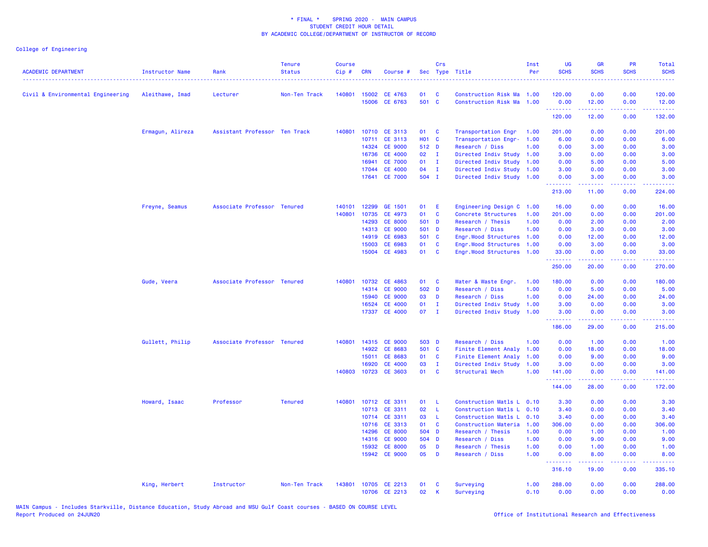| 140801<br>15002 CE 4763<br>120.00<br>0.00<br>0.00<br>120.00<br>Civil & Environmental Engineering<br>Aleithawe, Imad<br>Non-Ten Track<br>01<br>C<br>Construction Risk Ma 1.00<br>Lecturer<br>501 C<br>15006<br>CE 6763<br>Construction Risk Ma 1.00<br>0.00<br>0.00<br>12.00<br>12.00<br><u>.</u><br>. <b>.</b><br>.<br>لأعاط عاطات<br>120.00<br>12.00<br>0.00<br>132.00<br>Ermagun, Alireza<br>Assistant Professor Ten Track<br>140801<br>10710 CE 3113<br>01<br><b>C</b><br>Transportation Engr<br>201.00<br>0.00<br>0.00<br>201.00<br>1.00<br>H01 C<br>10711<br>CE 3113<br>Transportation Engr-<br>1.00<br>6.00<br>0.00<br>0.00<br>6.00<br>14324<br><b>CE 9000</b><br>512 D<br>Research / Diss<br>1.00<br>0.00<br>0.00<br>3.00<br>3.00<br>CE 4000<br>02<br>Directed Indiv Study<br>3.00<br>0.00<br>16736<br>$\mathbf{I}$<br>1.00<br>0.00<br>3.00<br><b>CE 7000</b><br>01<br>0.00<br>5.00<br>0.00<br>5.00<br>16941<br>$\mathbf{I}$<br>Directed Indiv Study<br>1.00<br><b>CE 4000</b><br>17044<br>04<br>$\mathbf{I}$<br>Directed Indiv Study<br>1.00<br>3.00<br>0.00<br>0.00<br>3.00<br>504 I<br>17641 CE 7000<br>Directed Indiv Study 1.00<br>0.00<br>3.00<br>0.00<br>3.00<br>.<br>22222<br>.<br>المتمام ماما<br>213.00<br>11.00<br>0.00<br>224.00<br>Associate Professor Tenured<br>140101<br>12299<br>GE 1501<br>0.00<br>0.00<br>16.00<br>Freyne, Seamus<br>01<br>Ε<br>Engineering Design C 1.00<br>16.00<br>140801<br>10735<br>CE 4973<br>01<br>C<br>201.00<br>0.00<br>Concrete Structures<br>1.00<br>0.00<br>201.00<br>14293<br><b>CE 8000</b><br>501<br>0.00<br><b>D</b><br>Research / Thesis<br>1.00<br>0.00<br>2.00<br>2.00<br><b>CE 9000</b><br>14313<br>501 D<br>Research / Diss<br>1.00<br>0.00<br>3.00<br>0.00<br>3.00<br>CE 6983<br>14919<br>501 C<br>Engr.Wood Structures 1.00<br>0.00<br>12.00<br>0.00<br>12.00<br>15003<br>CE 6983<br>01<br>C<br>Engr.Wood Structures<br>1.00<br>0.00<br>3.00<br>0.00<br>3.00<br>15004 CE 4983<br>01<br>$\mathbf{C}$<br>Engr.Wood Structures 1.00<br>33.00<br>0.00<br>0.00<br>33.00<br>.<br>22222)<br>$\frac{1}{2} \left( \frac{1}{2} \right) \left( \frac{1}{2} \right) \left( \frac{1}{2} \right) \left( \frac{1}{2} \right) \left( \frac{1}{2} \right)$<br>.<br>250.00<br>20.00<br>0.00<br>270.00<br>10732 CE 4863<br>Gude, Veera<br>Associate Professor Tenured<br>140801<br>01<br><b>C</b><br>Water & Waste Engr.<br>1.00<br>180.00<br>0.00<br>0.00<br>180.00<br><b>CE 9000</b><br>502 D<br>14314<br>Research / Diss<br>1.00<br>0.00<br>5.00<br>0.00<br>5.00<br>15940<br><b>CE 9000</b><br>03<br>D<br>Research / Diss<br>1.00<br>0.00<br>24.00<br>0.00<br>24.00<br><b>CE 4000</b><br>16524<br>01<br>$\mathbf{I}$<br>Directed Indiv Study<br>1.00<br>3.00<br>0.00<br>0.00<br>3.00<br>17337 CE 4000<br>$07$ I<br>Directed Indiv Study 1.00<br>3.00<br>0.00<br>0.00<br>3.00<br>.<br>.<br>.<br>.<br>186.00<br>29.00<br>0.00<br>215.00<br>Gullett, Philip<br><b>CE 9000</b><br>503 D<br>0.00<br>Associate Professor Tenured<br>140801<br>14315<br>Research / Diss<br>1.00<br>1.00<br>0.00<br>1.00<br>501 C<br>14922<br>CE 8683<br>Finite Element Analy<br>1.00<br>0.00<br>18.00<br>0.00<br>18.00<br>15011<br>CE 8683<br>01<br><b>C</b><br>Finite Element Analy<br>1.00<br>0.00<br>9.00<br>0.00<br>9.00<br>CE 4000<br>03<br>$\mathbf{I}$<br>1.00<br>0.00<br>16920<br>Directed Indiv Study<br>3.00<br>0.00<br>3.00<br>140803 10723 CE 3603<br>01<br>$\mathbf{C}$<br>Structural Mech<br>1.00<br>141.00<br>0.00<br>0.00<br>141.00<br>22222<br>.<br>.<br>.<br>28.00<br>0.00<br>144.00<br>172.00<br>10712 CE 3311<br>3.30<br>0.00<br>3.30<br>Howard, Isaac<br>Professor<br><b>Tenured</b><br>140801<br>01<br>- L<br>Construction Matls L<br>0.10<br>0.00<br>10713 CE 3311<br>02<br>- L<br>Construction Matls L<br>0.10<br>3.40<br>0.00<br>0.00<br>3.40<br>10714 CE 3311<br>03<br>3.40<br>0.00<br>- L<br>Construction Matls L<br>0.10<br>0.00<br>3.40<br>10716 CE 3313<br>01<br><b>C</b><br>306.00<br>Construction Materia<br>1.00<br>306.00<br>0.00<br>0.00<br><b>CE 8000</b><br>504 D<br>14296<br>Research / Thesis<br>1.00<br>0.00<br>1.00<br>0.00<br>1.00<br><b>CE 9000</b><br>504 D<br>0.00<br>14316<br>1.00<br>0.00<br>9.00<br>9.00<br>Research / Diss<br>05<br>15932<br><b>CE 8000</b><br>D<br>1.00<br>0.00<br>1.00<br>0.00<br>1.00<br>Research / Thesis<br>05<br>15942 CE 9000<br>D<br>Research / Diss<br>1.00<br>0.00<br>8.00<br>0.00<br>8.00<br>.<br>.<br>المتمالين<br>.<br>316.10<br>19.00<br>0.00<br>335.10<br>143801<br>288.00<br>0.00<br>0.00<br>King, Herbert<br>Instructor<br>Non-Ten Track<br>10705 CE 2213<br>01<br>C<br>Surveying<br>1.00<br>288.00<br>10706 CE 2213<br>02<br>0.00<br>0.00<br>0.00 | <b>ACADEMIC DEPARTMENT</b> | <b>Instructor Name</b> | Rank | <b>Tenure</b><br><b>Status</b> | <b>Course</b><br>Cip# | <b>CRN</b> | Course # | Crs | Sec Type Title | Inst<br>Per | UG<br><b>SCHS</b> | <b>GR</b><br><b>SCHS</b> | PR<br><b>SCHS</b> | Total<br><b>SCHS</b> |
|----------------------------------------------------------------------------------------------------------------------------------------------------------------------------------------------------------------------------------------------------------------------------------------------------------------------------------------------------------------------------------------------------------------------------------------------------------------------------------------------------------------------------------------------------------------------------------------------------------------------------------------------------------------------------------------------------------------------------------------------------------------------------------------------------------------------------------------------------------------------------------------------------------------------------------------------------------------------------------------------------------------------------------------------------------------------------------------------------------------------------------------------------------------------------------------------------------------------------------------------------------------------------------------------------------------------------------------------------------------------------------------------------------------------------------------------------------------------------------------------------------------------------------------------------------------------------------------------------------------------------------------------------------------------------------------------------------------------------------------------------------------------------------------------------------------------------------------------------------------------------------------------------------------------------------------------------------------------------------------------------------------------------------------------------------------------------------------------------------------------------------------------------------------------------------------------------------------------------------------------------------------------------------------------------------------------------------------------------------------------------------------------------------------------------------------------------------------------------------------------------------------------------------------------------------------------------------------------------------------------------------------------------------------------------------------------------------------------------------------------------------------------------------------------------------------------------------------------------------------------------------------------------------------------------------------------------------------------------------------------------------------------------------------------------------------------------------------------------------------------------------------------------------------------------------------------------------------------------------------------------------------------------------------------------------------------------------------------------------------------------------------------------------------------------------------------------------------------------------------------------------------------------------------------------------------------------------------------------------------------------------------------------------------------------------------------------------------------------------------------------------------------------------------------------------------------------------------------------------------------------------------------------------------------------------------------------------------------------------------------------------------------------------------------------------------------------------------------------------------------------------------------------------------------------------------------------------------------------------------------------------------------------------------------------------------------------------------------------------------------------------------------------------------------------------------------------------------------------------------------------------------------------------------------------------------------------------------------------------------------------------------------------------------|----------------------------|------------------------|------|--------------------------------|-----------------------|------------|----------|-----|----------------|-------------|-------------------|--------------------------|-------------------|----------------------|
|                                                                                                                                                                                                                                                                                                                                                                                                                                                                                                                                                                                                                                                                                                                                                                                                                                                                                                                                                                                                                                                                                                                                                                                                                                                                                                                                                                                                                                                                                                                                                                                                                                                                                                                                                                                                                                                                                                                                                                                                                                                                                                                                                                                                                                                                                                                                                                                                                                                                                                                                                                                                                                                                                                                                                                                                                                                                                                                                                                                                                                                                                                                                                                                                                                                                                                                                                                                                                                                                                                                                                                                                                                                                                                                                                                                                                                                                                                                                                                                                                                                                                                                                                                                                                                                                                                                                                                                                                                                                                                                                                                                                                                                                |                            |                        |      |                                |                       |            |          |     |                |             |                   |                          |                   |                      |
|                                                                                                                                                                                                                                                                                                                                                                                                                                                                                                                                                                                                                                                                                                                                                                                                                                                                                                                                                                                                                                                                                                                                                                                                                                                                                                                                                                                                                                                                                                                                                                                                                                                                                                                                                                                                                                                                                                                                                                                                                                                                                                                                                                                                                                                                                                                                                                                                                                                                                                                                                                                                                                                                                                                                                                                                                                                                                                                                                                                                                                                                                                                                                                                                                                                                                                                                                                                                                                                                                                                                                                                                                                                                                                                                                                                                                                                                                                                                                                                                                                                                                                                                                                                                                                                                                                                                                                                                                                                                                                                                                                                                                                                                |                            |                        |      |                                |                       |            |          |     |                |             |                   |                          |                   |                      |
|                                                                                                                                                                                                                                                                                                                                                                                                                                                                                                                                                                                                                                                                                                                                                                                                                                                                                                                                                                                                                                                                                                                                                                                                                                                                                                                                                                                                                                                                                                                                                                                                                                                                                                                                                                                                                                                                                                                                                                                                                                                                                                                                                                                                                                                                                                                                                                                                                                                                                                                                                                                                                                                                                                                                                                                                                                                                                                                                                                                                                                                                                                                                                                                                                                                                                                                                                                                                                                                                                                                                                                                                                                                                                                                                                                                                                                                                                                                                                                                                                                                                                                                                                                                                                                                                                                                                                                                                                                                                                                                                                                                                                                                                |                            |                        |      |                                |                       |            |          |     |                |             |                   |                          |                   |                      |
|                                                                                                                                                                                                                                                                                                                                                                                                                                                                                                                                                                                                                                                                                                                                                                                                                                                                                                                                                                                                                                                                                                                                                                                                                                                                                                                                                                                                                                                                                                                                                                                                                                                                                                                                                                                                                                                                                                                                                                                                                                                                                                                                                                                                                                                                                                                                                                                                                                                                                                                                                                                                                                                                                                                                                                                                                                                                                                                                                                                                                                                                                                                                                                                                                                                                                                                                                                                                                                                                                                                                                                                                                                                                                                                                                                                                                                                                                                                                                                                                                                                                                                                                                                                                                                                                                                                                                                                                                                                                                                                                                                                                                                                                |                            |                        |      |                                |                       |            |          |     |                |             |                   |                          |                   |                      |
|                                                                                                                                                                                                                                                                                                                                                                                                                                                                                                                                                                                                                                                                                                                                                                                                                                                                                                                                                                                                                                                                                                                                                                                                                                                                                                                                                                                                                                                                                                                                                                                                                                                                                                                                                                                                                                                                                                                                                                                                                                                                                                                                                                                                                                                                                                                                                                                                                                                                                                                                                                                                                                                                                                                                                                                                                                                                                                                                                                                                                                                                                                                                                                                                                                                                                                                                                                                                                                                                                                                                                                                                                                                                                                                                                                                                                                                                                                                                                                                                                                                                                                                                                                                                                                                                                                                                                                                                                                                                                                                                                                                                                                                                |                            |                        |      |                                |                       |            |          |     |                |             |                   |                          |                   |                      |
|                                                                                                                                                                                                                                                                                                                                                                                                                                                                                                                                                                                                                                                                                                                                                                                                                                                                                                                                                                                                                                                                                                                                                                                                                                                                                                                                                                                                                                                                                                                                                                                                                                                                                                                                                                                                                                                                                                                                                                                                                                                                                                                                                                                                                                                                                                                                                                                                                                                                                                                                                                                                                                                                                                                                                                                                                                                                                                                                                                                                                                                                                                                                                                                                                                                                                                                                                                                                                                                                                                                                                                                                                                                                                                                                                                                                                                                                                                                                                                                                                                                                                                                                                                                                                                                                                                                                                                                                                                                                                                                                                                                                                                                                |                            |                        |      |                                |                       |            |          |     |                |             |                   |                          |                   |                      |
|                                                                                                                                                                                                                                                                                                                                                                                                                                                                                                                                                                                                                                                                                                                                                                                                                                                                                                                                                                                                                                                                                                                                                                                                                                                                                                                                                                                                                                                                                                                                                                                                                                                                                                                                                                                                                                                                                                                                                                                                                                                                                                                                                                                                                                                                                                                                                                                                                                                                                                                                                                                                                                                                                                                                                                                                                                                                                                                                                                                                                                                                                                                                                                                                                                                                                                                                                                                                                                                                                                                                                                                                                                                                                                                                                                                                                                                                                                                                                                                                                                                                                                                                                                                                                                                                                                                                                                                                                                                                                                                                                                                                                                                                |                            |                        |      |                                |                       |            |          |     |                |             |                   |                          |                   |                      |
|                                                                                                                                                                                                                                                                                                                                                                                                                                                                                                                                                                                                                                                                                                                                                                                                                                                                                                                                                                                                                                                                                                                                                                                                                                                                                                                                                                                                                                                                                                                                                                                                                                                                                                                                                                                                                                                                                                                                                                                                                                                                                                                                                                                                                                                                                                                                                                                                                                                                                                                                                                                                                                                                                                                                                                                                                                                                                                                                                                                                                                                                                                                                                                                                                                                                                                                                                                                                                                                                                                                                                                                                                                                                                                                                                                                                                                                                                                                                                                                                                                                                                                                                                                                                                                                                                                                                                                                                                                                                                                                                                                                                                                                                |                            |                        |      |                                |                       |            |          |     |                |             |                   |                          |                   |                      |
|                                                                                                                                                                                                                                                                                                                                                                                                                                                                                                                                                                                                                                                                                                                                                                                                                                                                                                                                                                                                                                                                                                                                                                                                                                                                                                                                                                                                                                                                                                                                                                                                                                                                                                                                                                                                                                                                                                                                                                                                                                                                                                                                                                                                                                                                                                                                                                                                                                                                                                                                                                                                                                                                                                                                                                                                                                                                                                                                                                                                                                                                                                                                                                                                                                                                                                                                                                                                                                                                                                                                                                                                                                                                                                                                                                                                                                                                                                                                                                                                                                                                                                                                                                                                                                                                                                                                                                                                                                                                                                                                                                                                                                                                |                            |                        |      |                                |                       |            |          |     |                |             |                   |                          |                   |                      |
|                                                                                                                                                                                                                                                                                                                                                                                                                                                                                                                                                                                                                                                                                                                                                                                                                                                                                                                                                                                                                                                                                                                                                                                                                                                                                                                                                                                                                                                                                                                                                                                                                                                                                                                                                                                                                                                                                                                                                                                                                                                                                                                                                                                                                                                                                                                                                                                                                                                                                                                                                                                                                                                                                                                                                                                                                                                                                                                                                                                                                                                                                                                                                                                                                                                                                                                                                                                                                                                                                                                                                                                                                                                                                                                                                                                                                                                                                                                                                                                                                                                                                                                                                                                                                                                                                                                                                                                                                                                                                                                                                                                                                                                                |                            |                        |      |                                |                       |            |          |     |                |             |                   |                          |                   |                      |
|                                                                                                                                                                                                                                                                                                                                                                                                                                                                                                                                                                                                                                                                                                                                                                                                                                                                                                                                                                                                                                                                                                                                                                                                                                                                                                                                                                                                                                                                                                                                                                                                                                                                                                                                                                                                                                                                                                                                                                                                                                                                                                                                                                                                                                                                                                                                                                                                                                                                                                                                                                                                                                                                                                                                                                                                                                                                                                                                                                                                                                                                                                                                                                                                                                                                                                                                                                                                                                                                                                                                                                                                                                                                                                                                                                                                                                                                                                                                                                                                                                                                                                                                                                                                                                                                                                                                                                                                                                                                                                                                                                                                                                                                |                            |                        |      |                                |                       |            |          |     |                |             |                   |                          |                   |                      |
|                                                                                                                                                                                                                                                                                                                                                                                                                                                                                                                                                                                                                                                                                                                                                                                                                                                                                                                                                                                                                                                                                                                                                                                                                                                                                                                                                                                                                                                                                                                                                                                                                                                                                                                                                                                                                                                                                                                                                                                                                                                                                                                                                                                                                                                                                                                                                                                                                                                                                                                                                                                                                                                                                                                                                                                                                                                                                                                                                                                                                                                                                                                                                                                                                                                                                                                                                                                                                                                                                                                                                                                                                                                                                                                                                                                                                                                                                                                                                                                                                                                                                                                                                                                                                                                                                                                                                                                                                                                                                                                                                                                                                                                                |                            |                        |      |                                |                       |            |          |     |                |             |                   |                          |                   |                      |
|                                                                                                                                                                                                                                                                                                                                                                                                                                                                                                                                                                                                                                                                                                                                                                                                                                                                                                                                                                                                                                                                                                                                                                                                                                                                                                                                                                                                                                                                                                                                                                                                                                                                                                                                                                                                                                                                                                                                                                                                                                                                                                                                                                                                                                                                                                                                                                                                                                                                                                                                                                                                                                                                                                                                                                                                                                                                                                                                                                                                                                                                                                                                                                                                                                                                                                                                                                                                                                                                                                                                                                                                                                                                                                                                                                                                                                                                                                                                                                                                                                                                                                                                                                                                                                                                                                                                                                                                                                                                                                                                                                                                                                                                |                            |                        |      |                                |                       |            |          |     |                |             |                   |                          |                   |                      |
|                                                                                                                                                                                                                                                                                                                                                                                                                                                                                                                                                                                                                                                                                                                                                                                                                                                                                                                                                                                                                                                                                                                                                                                                                                                                                                                                                                                                                                                                                                                                                                                                                                                                                                                                                                                                                                                                                                                                                                                                                                                                                                                                                                                                                                                                                                                                                                                                                                                                                                                                                                                                                                                                                                                                                                                                                                                                                                                                                                                                                                                                                                                                                                                                                                                                                                                                                                                                                                                                                                                                                                                                                                                                                                                                                                                                                                                                                                                                                                                                                                                                                                                                                                                                                                                                                                                                                                                                                                                                                                                                                                                                                                                                |                            |                        |      |                                |                       |            |          |     |                |             |                   |                          |                   |                      |
|                                                                                                                                                                                                                                                                                                                                                                                                                                                                                                                                                                                                                                                                                                                                                                                                                                                                                                                                                                                                                                                                                                                                                                                                                                                                                                                                                                                                                                                                                                                                                                                                                                                                                                                                                                                                                                                                                                                                                                                                                                                                                                                                                                                                                                                                                                                                                                                                                                                                                                                                                                                                                                                                                                                                                                                                                                                                                                                                                                                                                                                                                                                                                                                                                                                                                                                                                                                                                                                                                                                                                                                                                                                                                                                                                                                                                                                                                                                                                                                                                                                                                                                                                                                                                                                                                                                                                                                                                                                                                                                                                                                                                                                                |                            |                        |      |                                |                       |            |          |     |                |             |                   |                          |                   |                      |
|                                                                                                                                                                                                                                                                                                                                                                                                                                                                                                                                                                                                                                                                                                                                                                                                                                                                                                                                                                                                                                                                                                                                                                                                                                                                                                                                                                                                                                                                                                                                                                                                                                                                                                                                                                                                                                                                                                                                                                                                                                                                                                                                                                                                                                                                                                                                                                                                                                                                                                                                                                                                                                                                                                                                                                                                                                                                                                                                                                                                                                                                                                                                                                                                                                                                                                                                                                                                                                                                                                                                                                                                                                                                                                                                                                                                                                                                                                                                                                                                                                                                                                                                                                                                                                                                                                                                                                                                                                                                                                                                                                                                                                                                |                            |                        |      |                                |                       |            |          |     |                |             |                   |                          |                   |                      |
|                                                                                                                                                                                                                                                                                                                                                                                                                                                                                                                                                                                                                                                                                                                                                                                                                                                                                                                                                                                                                                                                                                                                                                                                                                                                                                                                                                                                                                                                                                                                                                                                                                                                                                                                                                                                                                                                                                                                                                                                                                                                                                                                                                                                                                                                                                                                                                                                                                                                                                                                                                                                                                                                                                                                                                                                                                                                                                                                                                                                                                                                                                                                                                                                                                                                                                                                                                                                                                                                                                                                                                                                                                                                                                                                                                                                                                                                                                                                                                                                                                                                                                                                                                                                                                                                                                                                                                                                                                                                                                                                                                                                                                                                |                            |                        |      |                                |                       |            |          |     |                |             |                   |                          |                   |                      |
|                                                                                                                                                                                                                                                                                                                                                                                                                                                                                                                                                                                                                                                                                                                                                                                                                                                                                                                                                                                                                                                                                                                                                                                                                                                                                                                                                                                                                                                                                                                                                                                                                                                                                                                                                                                                                                                                                                                                                                                                                                                                                                                                                                                                                                                                                                                                                                                                                                                                                                                                                                                                                                                                                                                                                                                                                                                                                                                                                                                                                                                                                                                                                                                                                                                                                                                                                                                                                                                                                                                                                                                                                                                                                                                                                                                                                                                                                                                                                                                                                                                                                                                                                                                                                                                                                                                                                                                                                                                                                                                                                                                                                                                                |                            |                        |      |                                |                       |            |          |     |                |             |                   |                          |                   |                      |
|                                                                                                                                                                                                                                                                                                                                                                                                                                                                                                                                                                                                                                                                                                                                                                                                                                                                                                                                                                                                                                                                                                                                                                                                                                                                                                                                                                                                                                                                                                                                                                                                                                                                                                                                                                                                                                                                                                                                                                                                                                                                                                                                                                                                                                                                                                                                                                                                                                                                                                                                                                                                                                                                                                                                                                                                                                                                                                                                                                                                                                                                                                                                                                                                                                                                                                                                                                                                                                                                                                                                                                                                                                                                                                                                                                                                                                                                                                                                                                                                                                                                                                                                                                                                                                                                                                                                                                                                                                                                                                                                                                                                                                                                |                            |                        |      |                                |                       |            |          |     |                |             |                   |                          |                   |                      |
|                                                                                                                                                                                                                                                                                                                                                                                                                                                                                                                                                                                                                                                                                                                                                                                                                                                                                                                                                                                                                                                                                                                                                                                                                                                                                                                                                                                                                                                                                                                                                                                                                                                                                                                                                                                                                                                                                                                                                                                                                                                                                                                                                                                                                                                                                                                                                                                                                                                                                                                                                                                                                                                                                                                                                                                                                                                                                                                                                                                                                                                                                                                                                                                                                                                                                                                                                                                                                                                                                                                                                                                                                                                                                                                                                                                                                                                                                                                                                                                                                                                                                                                                                                                                                                                                                                                                                                                                                                                                                                                                                                                                                                                                |                            |                        |      |                                |                       |            |          |     |                |             |                   |                          |                   |                      |
|                                                                                                                                                                                                                                                                                                                                                                                                                                                                                                                                                                                                                                                                                                                                                                                                                                                                                                                                                                                                                                                                                                                                                                                                                                                                                                                                                                                                                                                                                                                                                                                                                                                                                                                                                                                                                                                                                                                                                                                                                                                                                                                                                                                                                                                                                                                                                                                                                                                                                                                                                                                                                                                                                                                                                                                                                                                                                                                                                                                                                                                                                                                                                                                                                                                                                                                                                                                                                                                                                                                                                                                                                                                                                                                                                                                                                                                                                                                                                                                                                                                                                                                                                                                                                                                                                                                                                                                                                                                                                                                                                                                                                                                                |                            |                        |      |                                |                       |            |          |     |                |             |                   |                          |                   |                      |
|                                                                                                                                                                                                                                                                                                                                                                                                                                                                                                                                                                                                                                                                                                                                                                                                                                                                                                                                                                                                                                                                                                                                                                                                                                                                                                                                                                                                                                                                                                                                                                                                                                                                                                                                                                                                                                                                                                                                                                                                                                                                                                                                                                                                                                                                                                                                                                                                                                                                                                                                                                                                                                                                                                                                                                                                                                                                                                                                                                                                                                                                                                                                                                                                                                                                                                                                                                                                                                                                                                                                                                                                                                                                                                                                                                                                                                                                                                                                                                                                                                                                                                                                                                                                                                                                                                                                                                                                                                                                                                                                                                                                                                                                |                            |                        |      |                                |                       |            |          |     |                |             |                   |                          |                   |                      |
|                                                                                                                                                                                                                                                                                                                                                                                                                                                                                                                                                                                                                                                                                                                                                                                                                                                                                                                                                                                                                                                                                                                                                                                                                                                                                                                                                                                                                                                                                                                                                                                                                                                                                                                                                                                                                                                                                                                                                                                                                                                                                                                                                                                                                                                                                                                                                                                                                                                                                                                                                                                                                                                                                                                                                                                                                                                                                                                                                                                                                                                                                                                                                                                                                                                                                                                                                                                                                                                                                                                                                                                                                                                                                                                                                                                                                                                                                                                                                                                                                                                                                                                                                                                                                                                                                                                                                                                                                                                                                                                                                                                                                                                                |                            |                        |      |                                |                       |            |          |     |                |             |                   |                          |                   |                      |
|                                                                                                                                                                                                                                                                                                                                                                                                                                                                                                                                                                                                                                                                                                                                                                                                                                                                                                                                                                                                                                                                                                                                                                                                                                                                                                                                                                                                                                                                                                                                                                                                                                                                                                                                                                                                                                                                                                                                                                                                                                                                                                                                                                                                                                                                                                                                                                                                                                                                                                                                                                                                                                                                                                                                                                                                                                                                                                                                                                                                                                                                                                                                                                                                                                                                                                                                                                                                                                                                                                                                                                                                                                                                                                                                                                                                                                                                                                                                                                                                                                                                                                                                                                                                                                                                                                                                                                                                                                                                                                                                                                                                                                                                |                            |                        |      |                                |                       |            |          |     |                |             |                   |                          |                   |                      |
|                                                                                                                                                                                                                                                                                                                                                                                                                                                                                                                                                                                                                                                                                                                                                                                                                                                                                                                                                                                                                                                                                                                                                                                                                                                                                                                                                                                                                                                                                                                                                                                                                                                                                                                                                                                                                                                                                                                                                                                                                                                                                                                                                                                                                                                                                                                                                                                                                                                                                                                                                                                                                                                                                                                                                                                                                                                                                                                                                                                                                                                                                                                                                                                                                                                                                                                                                                                                                                                                                                                                                                                                                                                                                                                                                                                                                                                                                                                                                                                                                                                                                                                                                                                                                                                                                                                                                                                                                                                                                                                                                                                                                                                                |                            |                        |      |                                |                       |            |          |     |                |             |                   |                          |                   |                      |
|                                                                                                                                                                                                                                                                                                                                                                                                                                                                                                                                                                                                                                                                                                                                                                                                                                                                                                                                                                                                                                                                                                                                                                                                                                                                                                                                                                                                                                                                                                                                                                                                                                                                                                                                                                                                                                                                                                                                                                                                                                                                                                                                                                                                                                                                                                                                                                                                                                                                                                                                                                                                                                                                                                                                                                                                                                                                                                                                                                                                                                                                                                                                                                                                                                                                                                                                                                                                                                                                                                                                                                                                                                                                                                                                                                                                                                                                                                                                                                                                                                                                                                                                                                                                                                                                                                                                                                                                                                                                                                                                                                                                                                                                |                            |                        |      |                                |                       |            |          |     |                |             |                   |                          |                   |                      |
|                                                                                                                                                                                                                                                                                                                                                                                                                                                                                                                                                                                                                                                                                                                                                                                                                                                                                                                                                                                                                                                                                                                                                                                                                                                                                                                                                                                                                                                                                                                                                                                                                                                                                                                                                                                                                                                                                                                                                                                                                                                                                                                                                                                                                                                                                                                                                                                                                                                                                                                                                                                                                                                                                                                                                                                                                                                                                                                                                                                                                                                                                                                                                                                                                                                                                                                                                                                                                                                                                                                                                                                                                                                                                                                                                                                                                                                                                                                                                                                                                                                                                                                                                                                                                                                                                                                                                                                                                                                                                                                                                                                                                                                                |                            |                        |      |                                |                       |            |          |     |                |             |                   |                          |                   |                      |
|                                                                                                                                                                                                                                                                                                                                                                                                                                                                                                                                                                                                                                                                                                                                                                                                                                                                                                                                                                                                                                                                                                                                                                                                                                                                                                                                                                                                                                                                                                                                                                                                                                                                                                                                                                                                                                                                                                                                                                                                                                                                                                                                                                                                                                                                                                                                                                                                                                                                                                                                                                                                                                                                                                                                                                                                                                                                                                                                                                                                                                                                                                                                                                                                                                                                                                                                                                                                                                                                                                                                                                                                                                                                                                                                                                                                                                                                                                                                                                                                                                                                                                                                                                                                                                                                                                                                                                                                                                                                                                                                                                                                                                                                |                            |                        |      |                                |                       |            |          |     |                |             |                   |                          |                   |                      |
|                                                                                                                                                                                                                                                                                                                                                                                                                                                                                                                                                                                                                                                                                                                                                                                                                                                                                                                                                                                                                                                                                                                                                                                                                                                                                                                                                                                                                                                                                                                                                                                                                                                                                                                                                                                                                                                                                                                                                                                                                                                                                                                                                                                                                                                                                                                                                                                                                                                                                                                                                                                                                                                                                                                                                                                                                                                                                                                                                                                                                                                                                                                                                                                                                                                                                                                                                                                                                                                                                                                                                                                                                                                                                                                                                                                                                                                                                                                                                                                                                                                                                                                                                                                                                                                                                                                                                                                                                                                                                                                                                                                                                                                                |                            |                        |      |                                |                       |            |          |     |                |             |                   |                          |                   |                      |
|                                                                                                                                                                                                                                                                                                                                                                                                                                                                                                                                                                                                                                                                                                                                                                                                                                                                                                                                                                                                                                                                                                                                                                                                                                                                                                                                                                                                                                                                                                                                                                                                                                                                                                                                                                                                                                                                                                                                                                                                                                                                                                                                                                                                                                                                                                                                                                                                                                                                                                                                                                                                                                                                                                                                                                                                                                                                                                                                                                                                                                                                                                                                                                                                                                                                                                                                                                                                                                                                                                                                                                                                                                                                                                                                                                                                                                                                                                                                                                                                                                                                                                                                                                                                                                                                                                                                                                                                                                                                                                                                                                                                                                                                |                            |                        |      |                                |                       |            |          |     |                |             |                   |                          |                   |                      |
|                                                                                                                                                                                                                                                                                                                                                                                                                                                                                                                                                                                                                                                                                                                                                                                                                                                                                                                                                                                                                                                                                                                                                                                                                                                                                                                                                                                                                                                                                                                                                                                                                                                                                                                                                                                                                                                                                                                                                                                                                                                                                                                                                                                                                                                                                                                                                                                                                                                                                                                                                                                                                                                                                                                                                                                                                                                                                                                                                                                                                                                                                                                                                                                                                                                                                                                                                                                                                                                                                                                                                                                                                                                                                                                                                                                                                                                                                                                                                                                                                                                                                                                                                                                                                                                                                                                                                                                                                                                                                                                                                                                                                                                                |                            |                        |      |                                |                       |            |          |     |                |             |                   |                          |                   |                      |
|                                                                                                                                                                                                                                                                                                                                                                                                                                                                                                                                                                                                                                                                                                                                                                                                                                                                                                                                                                                                                                                                                                                                                                                                                                                                                                                                                                                                                                                                                                                                                                                                                                                                                                                                                                                                                                                                                                                                                                                                                                                                                                                                                                                                                                                                                                                                                                                                                                                                                                                                                                                                                                                                                                                                                                                                                                                                                                                                                                                                                                                                                                                                                                                                                                                                                                                                                                                                                                                                                                                                                                                                                                                                                                                                                                                                                                                                                                                                                                                                                                                                                                                                                                                                                                                                                                                                                                                                                                                                                                                                                                                                                                                                |                            |                        |      |                                |                       |            |          |     |                |             |                   |                          |                   |                      |
|                                                                                                                                                                                                                                                                                                                                                                                                                                                                                                                                                                                                                                                                                                                                                                                                                                                                                                                                                                                                                                                                                                                                                                                                                                                                                                                                                                                                                                                                                                                                                                                                                                                                                                                                                                                                                                                                                                                                                                                                                                                                                                                                                                                                                                                                                                                                                                                                                                                                                                                                                                                                                                                                                                                                                                                                                                                                                                                                                                                                                                                                                                                                                                                                                                                                                                                                                                                                                                                                                                                                                                                                                                                                                                                                                                                                                                                                                                                                                                                                                                                                                                                                                                                                                                                                                                                                                                                                                                                                                                                                                                                                                                                                |                            |                        |      |                                |                       |            |          |     |                |             |                   |                          |                   |                      |
|                                                                                                                                                                                                                                                                                                                                                                                                                                                                                                                                                                                                                                                                                                                                                                                                                                                                                                                                                                                                                                                                                                                                                                                                                                                                                                                                                                                                                                                                                                                                                                                                                                                                                                                                                                                                                                                                                                                                                                                                                                                                                                                                                                                                                                                                                                                                                                                                                                                                                                                                                                                                                                                                                                                                                                                                                                                                                                                                                                                                                                                                                                                                                                                                                                                                                                                                                                                                                                                                                                                                                                                                                                                                                                                                                                                                                                                                                                                                                                                                                                                                                                                                                                                                                                                                                                                                                                                                                                                                                                                                                                                                                                                                |                            |                        |      |                                |                       |            |          |     |                |             |                   |                          |                   |                      |
|                                                                                                                                                                                                                                                                                                                                                                                                                                                                                                                                                                                                                                                                                                                                                                                                                                                                                                                                                                                                                                                                                                                                                                                                                                                                                                                                                                                                                                                                                                                                                                                                                                                                                                                                                                                                                                                                                                                                                                                                                                                                                                                                                                                                                                                                                                                                                                                                                                                                                                                                                                                                                                                                                                                                                                                                                                                                                                                                                                                                                                                                                                                                                                                                                                                                                                                                                                                                                                                                                                                                                                                                                                                                                                                                                                                                                                                                                                                                                                                                                                                                                                                                                                                                                                                                                                                                                                                                                                                                                                                                                                                                                                                                |                            |                        |      |                                |                       |            |          |     |                |             |                   |                          |                   |                      |
|                                                                                                                                                                                                                                                                                                                                                                                                                                                                                                                                                                                                                                                                                                                                                                                                                                                                                                                                                                                                                                                                                                                                                                                                                                                                                                                                                                                                                                                                                                                                                                                                                                                                                                                                                                                                                                                                                                                                                                                                                                                                                                                                                                                                                                                                                                                                                                                                                                                                                                                                                                                                                                                                                                                                                                                                                                                                                                                                                                                                                                                                                                                                                                                                                                                                                                                                                                                                                                                                                                                                                                                                                                                                                                                                                                                                                                                                                                                                                                                                                                                                                                                                                                                                                                                                                                                                                                                                                                                                                                                                                                                                                                                                |                            |                        |      |                                |                       |            |          |     |                |             |                   |                          |                   |                      |
|                                                                                                                                                                                                                                                                                                                                                                                                                                                                                                                                                                                                                                                                                                                                                                                                                                                                                                                                                                                                                                                                                                                                                                                                                                                                                                                                                                                                                                                                                                                                                                                                                                                                                                                                                                                                                                                                                                                                                                                                                                                                                                                                                                                                                                                                                                                                                                                                                                                                                                                                                                                                                                                                                                                                                                                                                                                                                                                                                                                                                                                                                                                                                                                                                                                                                                                                                                                                                                                                                                                                                                                                                                                                                                                                                                                                                                                                                                                                                                                                                                                                                                                                                                                                                                                                                                                                                                                                                                                                                                                                                                                                                                                                |                            |                        |      |                                |                       |            |          |     |                |             |                   |                          |                   |                      |
|                                                                                                                                                                                                                                                                                                                                                                                                                                                                                                                                                                                                                                                                                                                                                                                                                                                                                                                                                                                                                                                                                                                                                                                                                                                                                                                                                                                                                                                                                                                                                                                                                                                                                                                                                                                                                                                                                                                                                                                                                                                                                                                                                                                                                                                                                                                                                                                                                                                                                                                                                                                                                                                                                                                                                                                                                                                                                                                                                                                                                                                                                                                                                                                                                                                                                                                                                                                                                                                                                                                                                                                                                                                                                                                                                                                                                                                                                                                                                                                                                                                                                                                                                                                                                                                                                                                                                                                                                                                                                                                                                                                                                                                                |                            |                        |      |                                |                       |            |          |     |                |             |                   |                          |                   |                      |
|                                                                                                                                                                                                                                                                                                                                                                                                                                                                                                                                                                                                                                                                                                                                                                                                                                                                                                                                                                                                                                                                                                                                                                                                                                                                                                                                                                                                                                                                                                                                                                                                                                                                                                                                                                                                                                                                                                                                                                                                                                                                                                                                                                                                                                                                                                                                                                                                                                                                                                                                                                                                                                                                                                                                                                                                                                                                                                                                                                                                                                                                                                                                                                                                                                                                                                                                                                                                                                                                                                                                                                                                                                                                                                                                                                                                                                                                                                                                                                                                                                                                                                                                                                                                                                                                                                                                                                                                                                                                                                                                                                                                                                                                |                            |                        |      |                                |                       |            |          |     |                |             |                   |                          |                   |                      |
|                                                                                                                                                                                                                                                                                                                                                                                                                                                                                                                                                                                                                                                                                                                                                                                                                                                                                                                                                                                                                                                                                                                                                                                                                                                                                                                                                                                                                                                                                                                                                                                                                                                                                                                                                                                                                                                                                                                                                                                                                                                                                                                                                                                                                                                                                                                                                                                                                                                                                                                                                                                                                                                                                                                                                                                                                                                                                                                                                                                                                                                                                                                                                                                                                                                                                                                                                                                                                                                                                                                                                                                                                                                                                                                                                                                                                                                                                                                                                                                                                                                                                                                                                                                                                                                                                                                                                                                                                                                                                                                                                                                                                                                                |                            |                        |      |                                |                       |            |          |     |                |             |                   |                          |                   |                      |
|                                                                                                                                                                                                                                                                                                                                                                                                                                                                                                                                                                                                                                                                                                                                                                                                                                                                                                                                                                                                                                                                                                                                                                                                                                                                                                                                                                                                                                                                                                                                                                                                                                                                                                                                                                                                                                                                                                                                                                                                                                                                                                                                                                                                                                                                                                                                                                                                                                                                                                                                                                                                                                                                                                                                                                                                                                                                                                                                                                                                                                                                                                                                                                                                                                                                                                                                                                                                                                                                                                                                                                                                                                                                                                                                                                                                                                                                                                                                                                                                                                                                                                                                                                                                                                                                                                                                                                                                                                                                                                                                                                                                                                                                |                            |                        |      |                                |                       |            |          | К   | Surveying      | 0.10        |                   |                          |                   | 0.00                 |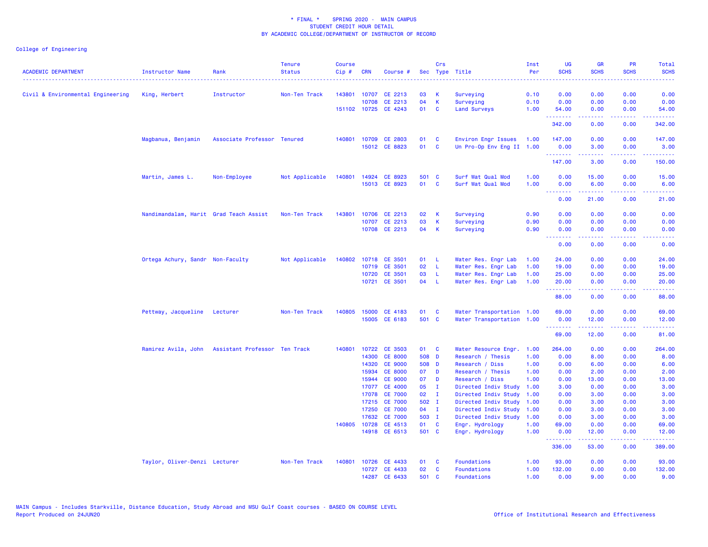|                                   |                                        |                               | <b>Tenure</b>  | <b>Course</b> |              |                      |       | Crs          |                           | Inst | <b>UG</b>        | <b>GR</b>                                                                                                                                                     | <b>PR</b>                    | Total                                                                                                                                                        |
|-----------------------------------|----------------------------------------|-------------------------------|----------------|---------------|--------------|----------------------|-------|--------------|---------------------------|------|------------------|---------------------------------------------------------------------------------------------------------------------------------------------------------------|------------------------------|--------------------------------------------------------------------------------------------------------------------------------------------------------------|
| <b>ACADEMIC DEPARTMENT</b>        | <b>Instructor Name</b>                 | Rank                          | <b>Status</b>  | Cip#          | <b>CRN</b>   | Course #             |       |              | Sec Type Title            | Per  | <b>SCHS</b>      | <b>SCHS</b>                                                                                                                                                   | <b>SCHS</b>                  | <b>SCHS</b><br>.                                                                                                                                             |
| Civil & Environmental Engineering | King, Herbert                          | Instructor                    | Non-Ten Track  | 143801        | 10707        | CE 2213              | 03    | K            | Surveying                 | 0.10 | 0.00             | 0.00                                                                                                                                                          | 0.00                         | 0.00                                                                                                                                                         |
|                                   |                                        |                               |                |               | 10708        | CE 2213              | 04    | К            | Surveying                 | 0.10 | 0.00             | 0.00                                                                                                                                                          | 0.00                         | 0.00                                                                                                                                                         |
|                                   |                                        |                               |                |               | 151102 10725 | CE 4243              | 01    | C            | <b>Land Surveys</b>       | 1.00 | 54.00            | 0.00                                                                                                                                                          | 0.00                         | 54.00                                                                                                                                                        |
|                                   |                                        |                               |                |               |              |                      |       |              |                           |      | .<br>342.00      | 22222<br>0.00                                                                                                                                                 | $\sim$ $\sim$ $\sim$<br>0.00 | .<br>342.00                                                                                                                                                  |
|                                   | Magbanua, Benjamin                     | Associate Professor Tenured   |                |               | 140801 10709 | <b>CE 2803</b>       | 01    | <b>C</b>     | Environ Engr Issues       | 1.00 | 147.00           | 0.00                                                                                                                                                          | 0.00                         | 147.00                                                                                                                                                       |
|                                   |                                        |                               |                |               |              | 15012 CE 8823        | 01    | <b>C</b>     | Un Pro-Op Env Eng II 1.00 |      | 0.00<br>.        | 3.00<br>$\frac{1}{2} \left( \frac{1}{2} \right) \left( \frac{1}{2} \right) \left( \frac{1}{2} \right) \left( \frac{1}{2} \right) \left( \frac{1}{2} \right)$  | 0.00<br>.                    | 3.00<br>$\frac{1}{2} \left( \frac{1}{2} \right) \left( \frac{1}{2} \right) \left( \frac{1}{2} \right) \left( \frac{1}{2} \right) \left( \frac{1}{2} \right)$ |
|                                   |                                        |                               |                |               |              |                      |       |              |                           |      | 147.00           | 3.00                                                                                                                                                          | 0.00                         | 150.00                                                                                                                                                       |
|                                   | Martin, James L.                       | Non-Employee                  | Not Applicable | 140801        | 14924        | CE 8923              | 501 C |              | Surf Wat Qual Mod         | 1.00 | 0.00             | 15.00                                                                                                                                                         | 0.00                         | 15.00                                                                                                                                                        |
|                                   |                                        |                               |                |               |              | 15013 CE 8923        | 01    | C            | Surf Wat Qual Mod         | 1.00 | 0.00<br>.        | 6.00<br>$\frac{1}{2} \left( \frac{1}{2} \right) \left( \frac{1}{2} \right) \left( \frac{1}{2} \right) \left( \frac{1}{2} \right) \left( \frac{1}{2} \right)$  | 0.00                         | 6.00<br>$\frac{1}{2} \left( \frac{1}{2} \right) \left( \frac{1}{2} \right) \left( \frac{1}{2} \right) \left( \frac{1}{2} \right)$                            |
|                                   |                                        |                               |                |               |              |                      |       |              |                           |      | 0.00             | 21.00                                                                                                                                                         | 0.00                         | 21.00                                                                                                                                                        |
|                                   | Nandimandalam, Harit Grad Teach Assist |                               | Non-Ten Track  | 143801        |              | 10706 CE 2213        | 02    | К            | Surveying                 | 0.90 | 0.00             | 0.00                                                                                                                                                          | 0.00                         | 0.00                                                                                                                                                         |
|                                   |                                        |                               |                |               | 10707        | CE 2213              | 03    | К            | Surveying                 | 0.90 | 0.00             | 0.00                                                                                                                                                          | 0.00                         | 0.00                                                                                                                                                         |
|                                   |                                        |                               |                |               | 10708        | CE 2213              | 04    | K            | Surveying                 | 0.90 | 0.00<br><u>.</u> | 0.00<br>22222                                                                                                                                                 | 0.00<br>د د د د              | 0.00<br>$\frac{1}{2} \left( \frac{1}{2} \right) \left( \frac{1}{2} \right) \left( \frac{1}{2} \right) \left( \frac{1}{2} \right)$                            |
|                                   |                                        |                               |                |               |              |                      |       |              |                           |      | 0.00             | 0.00                                                                                                                                                          | 0.00                         | 0.00                                                                                                                                                         |
|                                   | Ortega Achury, Sandr Non-Faculty       |                               | Not Applicable |               |              | 140802 10718 CE 3501 | 01    | -L           | Water Res. Engr Lab       | 1.00 | 24.00            | 0.00                                                                                                                                                          | 0.00                         | 24.00                                                                                                                                                        |
|                                   |                                        |                               |                |               | 10719        | CE 3501              | 02    | L            | Water Res. Engr Lab       | 1.00 | 19.00            | 0.00                                                                                                                                                          | 0.00                         | 19.00                                                                                                                                                        |
|                                   |                                        |                               |                |               | 10720        | CE 3501              | 03    | -L           | Water Res. Engr Lab       | 1.00 | 25.00            | 0.00                                                                                                                                                          | 0.00                         | 25.00                                                                                                                                                        |
|                                   |                                        |                               |                |               |              | 10721 CE 3501        | 04    | -L           | Water Res. Engr Lab       | 1.00 | 20.00<br>.       | 0.00<br>$- - - - -$                                                                                                                                           | 0.00<br>.                    | 20.00<br>.                                                                                                                                                   |
|                                   |                                        |                               |                |               |              |                      |       |              |                           |      | 88.00            | 0.00                                                                                                                                                          | 0.00                         | 88.00                                                                                                                                                        |
|                                   | Pettway, Jacqueline                    | Lecturer                      | Non-Ten Track  | 140805        | 15000        | CE 4183              | 01    | C            | Water Transportation 1.00 |      | 69.00            | 0.00                                                                                                                                                          | 0.00                         | 69.00                                                                                                                                                        |
|                                   |                                        |                               |                |               |              | 15005 CE 6183        | 501 C |              | Water Transportation 1.00 |      | 0.00<br>.        | 12.00<br>$\frac{1}{2} \left( \frac{1}{2} \right) \left( \frac{1}{2} \right) \left( \frac{1}{2} \right) \left( \frac{1}{2} \right) \left( \frac{1}{2} \right)$ | 0.00                         | 12.00                                                                                                                                                        |
|                                   |                                        |                               |                |               |              |                      |       |              |                           |      | 69.00            | 12.00                                                                                                                                                         | 0.00                         | وعاعاتها<br>81.00                                                                                                                                            |
|                                   | Ramirez Avila, John                    | Assistant Professor Ten Track |                |               |              | 140801 10722 CE 3503 | 01 C  |              | Water Resource Engr.      | 1.00 | 264.00           | 0.00                                                                                                                                                          | 0.00                         | 264.00                                                                                                                                                       |
|                                   |                                        |                               |                |               | 14300        | <b>CE 8000</b>       | 508 D |              | Research / Thesis         | 1.00 | 0.00             | 8.00                                                                                                                                                          | 0.00                         | 8.00                                                                                                                                                         |
|                                   |                                        |                               |                |               | 14320        | <b>CE 9000</b>       | 508 D |              | Research / Diss           | 1.00 | 0.00             | 6.00                                                                                                                                                          | 0.00                         | 6.00                                                                                                                                                         |
|                                   |                                        |                               |                |               | 15934        | <b>CE 8000</b>       | 07    | <b>D</b>     | Research / Thesis         | 1.00 | 0.00             | 2.00                                                                                                                                                          | 0.00                         | 2.00                                                                                                                                                         |
|                                   |                                        |                               |                |               | 15944        | <b>CE 9000</b>       | 07    | D            | Research / Diss           | 1.00 | 0.00             | 13.00                                                                                                                                                         | 0.00                         | 13.00                                                                                                                                                        |
|                                   |                                        |                               |                |               | 17077        | <b>CE 4000</b>       | 05    | <b>I</b>     | Directed Indiv Study      | 1.00 | 3.00             | 0.00                                                                                                                                                          | 0.00                         | 3.00                                                                                                                                                         |
|                                   |                                        |                               |                |               | 17078        | <b>CE 7000</b>       | 02    | $\mathbf{I}$ | Directed Indiv Study      | 1.00 | 0.00             | 3.00                                                                                                                                                          | 0.00                         | 3.00                                                                                                                                                         |
|                                   |                                        |                               |                |               | 17215        | <b>CE 7000</b>       | 502 I |              | Directed Indiv Study      | 1.00 | 0.00             | 3.00                                                                                                                                                          | 0.00                         | 3.00                                                                                                                                                         |
|                                   |                                        |                               |                |               | 17250        | <b>CE 7000</b>       | 04    | $\mathbf I$  | Directed Indiv Study      | 1.00 | 0.00             | 3.00                                                                                                                                                          | 0.00                         | 3.00                                                                                                                                                         |
|                                   |                                        |                               |                |               | 17632        | <b>CE 7000</b>       | 503 I |              | Directed Indiv Study      | 1.00 | 0.00             | 3.00                                                                                                                                                          | 0.00                         | 3.00                                                                                                                                                         |
|                                   |                                        |                               |                | 140805 10728  |              | CE 4513              | 01    | C            | Engr. Hydrology           | 1.00 | 69.00            | 0.00                                                                                                                                                          | 0.00                         | 69.00                                                                                                                                                        |
|                                   |                                        |                               |                |               |              | 14918 CE 6513        | 501 C |              | Engr. Hydrology           | 1.00 | 0.00<br>.        | 12.00                                                                                                                                                         | 0.00                         | 12.00<br>.                                                                                                                                                   |
|                                   |                                        |                               |                |               |              |                      |       |              |                           |      | 336.00           | 53.00                                                                                                                                                         | 0.00                         | 389.00                                                                                                                                                       |
|                                   | Taylor, Oliver-Denzi Lecturer          |                               | Non-Ten Track  | 140801        |              | 10726 CE 4433        | 01    | <b>C</b>     | Foundations               | 1.00 | 93.00            | 0.00                                                                                                                                                          | 0.00                         | 93.00                                                                                                                                                        |
|                                   |                                        |                               |                |               | 10727        | CE 4433              | 02    | C            | Foundations               | 1.00 | 132.00           | 0.00                                                                                                                                                          | 0.00                         | 132.00                                                                                                                                                       |
|                                   |                                        |                               |                |               |              | 14287 CE 6433        | 501 C |              | Foundations               | 1.00 | 0.00             | 9.00                                                                                                                                                          | 0.00                         | 9.00                                                                                                                                                         |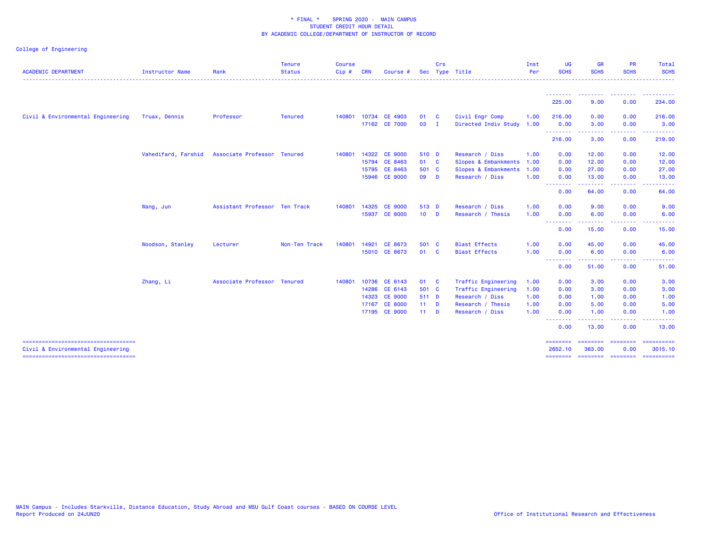|                                                                          |                        |                               | <b>Tenure</b>  | <b>Course</b> |            |                |        | Crs            |                      | Inst | <b>UG</b>                | <b>GR</b>                       | <b>PR</b>                                                                                              | Total                                                                                                                                                                                   |
|--------------------------------------------------------------------------|------------------------|-------------------------------|----------------|---------------|------------|----------------|--------|----------------|----------------------|------|--------------------------|---------------------------------|--------------------------------------------------------------------------------------------------------|-----------------------------------------------------------------------------------------------------------------------------------------------------------------------------------------|
| <b>ACADEMIC DEPARTMENT</b>                                               | <b>Instructor Name</b> | Rank                          | <b>Status</b>  | Cip#          | <b>CRN</b> | Course         | Sec    |                | Type Title           | Per  | <b>SCHS</b>              | <b>SCHS</b>                     | <b>SCHS</b>                                                                                            | <b>SCHS</b>                                                                                                                                                                             |
|                                                                          |                        |                               |                |               |            |                |        |                |                      |      | 225.00                   | <u> - - - - - - - -</u><br>9.00 | <b>.</b><br>0.00                                                                                       | . <b>.</b> .<br>234.00                                                                                                                                                                  |
|                                                                          |                        |                               |                |               |            |                |        |                |                      |      |                          |                                 |                                                                                                        |                                                                                                                                                                                         |
| Civil & Environmental Engineering                                        | Truax, Dennis          | Professor                     | <b>Tenured</b> | 140801        |            | 10734 CE 4903  | 01     | $\mathbf{C}$   | Civil Engr Comp      | 1.00 | 216.00                   | 0.00                            | 0.00                                                                                                   | 216.00                                                                                                                                                                                  |
|                                                                          |                        |                               |                |               |            | 17162 CE 7000  | 03     | $\blacksquare$ | Directed Indiv Study | 1.00 | 0.00<br>---------        | 3.00<br><b></b>                 | 0.00<br>.                                                                                              | 3.00<br>$\frac{1}{2} \left( \frac{1}{2} \right) \left( \frac{1}{2} \right) \left( \frac{1}{2} \right) \left( \frac{1}{2} \right) \left( \frac{1}{2} \right) \left( \frac{1}{2} \right)$ |
|                                                                          |                        |                               |                |               |            |                |        |                |                      |      | 216.00                   | 3.00                            | 0.00                                                                                                   | 219.00                                                                                                                                                                                  |
|                                                                          | Vahedifard, Farshid    | Associate Professor Tenured   |                | 140801        | 14322      | <b>CE 9000</b> | 510 D  |                | Research / Diss      | 1.00 | 0.00                     | 12.00                           | 0.00                                                                                                   | 12.00                                                                                                                                                                                   |
|                                                                          |                        |                               |                |               |            | 15794 CE 8463  | 01 C   |                | Slopes & Embankments | 1.00 | 0.00                     | 12.00                           | 0.00                                                                                                   | 12.00                                                                                                                                                                                   |
|                                                                          |                        |                               |                |               | 15795      | CE 8463        | 501 C  |                | Slopes & Embankments | 1.00 | 0.00                     | 27.00                           | 0.00                                                                                                   | 27.00                                                                                                                                                                                   |
|                                                                          |                        |                               |                |               |            | 15946 CE 9000  | 09 D   |                | Research / Diss      | 1.00 | 0.00<br>.                | 13.00<br>-----                  | 0.00<br>.                                                                                              | 13.00                                                                                                                                                                                   |
|                                                                          |                        |                               |                |               |            |                |        |                |                      |      | 0.00                     | 64.00                           | 0.00                                                                                                   | 64.00                                                                                                                                                                                   |
|                                                                          | Wang, Jun              | Assistant Professor Ten Track |                | 140801        | 14325      | <b>CE 9000</b> | 513 D  |                | Research / Diss      | 1.00 | 0.00                     | 9.00                            | 0.00                                                                                                   | 9.00                                                                                                                                                                                    |
|                                                                          |                        |                               |                |               |            | 15937 CE 8000  | $10$ D |                | Research / Thesis    | 1.00 | 0.00                     | 6.00                            | 0.00                                                                                                   | 6.00                                                                                                                                                                                    |
|                                                                          |                        |                               |                |               |            |                |        |                |                      |      | <u> 22222222</u><br>0.00 | . <b>.</b><br>15.00             | .<br>0.00                                                                                              | $\frac{1}{2} \left( \frac{1}{2} \right) \left( \frac{1}{2} \right) \left( \frac{1}{2} \right) \left( \frac{1}{2} \right)$<br>15.00                                                      |
|                                                                          | Woodson, Stanley       | Lecturer                      | Non-Ten Track  | 140801        | 14921      | CE 8673        | 501 C  |                | <b>Blast Effects</b> | 1.00 | 0.00                     | 45.00                           | 0.00                                                                                                   | 45.00                                                                                                                                                                                   |
|                                                                          |                        |                               |                |               |            | 15010 CE 8673  | 01 C   |                | <b>Blast Effects</b> | 1.00 | 0.00                     | 6.00                            | 0.00                                                                                                   | 6.00                                                                                                                                                                                    |
|                                                                          |                        |                               |                |               |            |                |        |                |                      |      | <b></b><br>0.00          | <u>.</u><br>51.00               | .<br>0.00                                                                                              | 51.00                                                                                                                                                                                   |
|                                                                          | Zhang, Li              | Associate Professor Tenured   |                | 140801        |            | 10736 CE 6143  | 01 C   |                | Traffic Engineering  | 1.00 | 0.00                     | 3.00                            | 0.00                                                                                                   | 3.00                                                                                                                                                                                    |
|                                                                          |                        |                               |                |               | 14286      | CE 6143        | 501 C  |                | Traffic Engineering  | 1.00 | 0.00                     | 3.00                            | 0.00                                                                                                   | 3.00                                                                                                                                                                                    |
|                                                                          |                        |                               |                |               |            | 14323 CE 9000  | 511 D  |                | Research / Diss      | 1.00 | 0.00                     | 1.00                            | 0.00                                                                                                   | 1.00                                                                                                                                                                                    |
|                                                                          |                        |                               |                |               |            | 17167 CE 8000  | $11$ D |                | Research / Thesis    | 1.00 | 0.00                     | 5.00                            | 0.00                                                                                                   | 5.00                                                                                                                                                                                    |
|                                                                          |                        |                               |                |               |            | 17195 CE 9000  | $11$ D |                | Research / Diss      | 1.00 | 0.00                     | 1.00                            | 0.00                                                                                                   | 1.00                                                                                                                                                                                    |
|                                                                          |                        |                               |                |               |            |                |        |                |                      |      | 0.00                     | 13.00                           | $\frac{1}{2} \left( \frac{1}{2} \right) \left( \frac{1}{2} \right) \left( \frac{1}{2} \right)$<br>0.00 | 13.00                                                                                                                                                                                   |
| -----------------------------------<br>Civil & Environmental Engineering |                        |                               |                |               |            |                |        |                |                      |      | ========<br>2652.10      | ========<br>363.00              | $=$ ========<br>0.00                                                                                   | ==========<br>3015.10                                                                                                                                                                   |
| =====================================                                    |                        |                               |                |               |            |                |        |                |                      |      |                          | -------- -------- -------       |                                                                                                        | ==========                                                                                                                                                                              |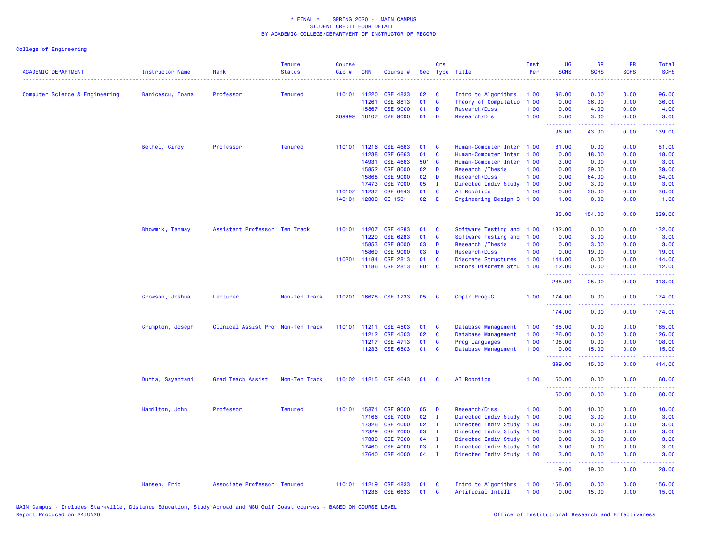| <b>ACADEMIC DEPARTMENT</b>     | Instructor Name  | Rank                              | <b>Tenure</b><br><b>Status</b> | <b>Course</b><br>Cip# | <b>CRN</b>     | Course #                           | <b>Sec</b>        | Crs               | Type Title                                 | Inst<br>Per  | <b>UG</b><br><b>SCHS</b>         | <b>GR</b><br><b>SCHS</b>                                                                                                           | PR<br><b>SCHS</b><br>بالأباد   | Total<br><b>SCHS</b><br>وعاعات                                                                                                                                 |
|--------------------------------|------------------|-----------------------------------|--------------------------------|-----------------------|----------------|------------------------------------|-------------------|-------------------|--------------------------------------------|--------------|----------------------------------|------------------------------------------------------------------------------------------------------------------------------------|--------------------------------|----------------------------------------------------------------------------------------------------------------------------------------------------------------|
| Computer Science & Engineering | Banicescu, Ioana | Professor                         | <b>Tenured</b>                 |                       | 110101 11220   | <b>CSE 4833</b>                    | 02                | <b>C</b>          | Intro to Algorithms                        | 1.00         | 96.00                            | 0.00                                                                                                                               | 0.00                           | 96.00                                                                                                                                                          |
|                                |                  |                                   |                                |                       | 11261          | <b>CSE 8813</b>                    | 01                | C                 | Theory of Computatio                       | 1.00         | 0.00                             | 36.00                                                                                                                              | 0.00                           | 36.00                                                                                                                                                          |
|                                |                  |                                   |                                |                       | 15867          | <b>CSE 9000</b>                    | 01                | D                 | Research/Diss                              | 1.00         | 0.00                             | 4.00                                                                                                                               | 0.00                           | 4.00                                                                                                                                                           |
|                                |                  |                                   |                                | 309999                | 16107          | <b>CME 9000</b>                    | 01                | D                 | Research/Dis                               | 1.00         | 0.00<br>الدالد الدالد            | 3.00                                                                                                                               | 0.00<br>$- - - -$              | 3.00                                                                                                                                                           |
|                                |                  |                                   |                                |                       |                |                                    |                   |                   |                                            |              | 96.00                            | 43.00                                                                                                                              | 0.00                           | 139.00                                                                                                                                                         |
|                                | Bethel, Cindy    | Professor                         | <b>Tenured</b>                 | 110101                | 11216          | CSE 4663                           | 01                | <b>C</b>          | Human-Computer Inter 1.00                  |              | 81.00                            | 0.00                                                                                                                               | 0.00                           | 81.00                                                                                                                                                          |
|                                |                  |                                   |                                |                       | 11238          | CSE 6663                           | 01                | C                 | Human-Computer Inter                       | 1.00         | 0.00                             | 18.00                                                                                                                              | 0.00                           | 18.00                                                                                                                                                          |
|                                |                  |                                   |                                |                       | 14931          | CSE 4663                           | 501 C             |                   | Human-Computer Inter                       | 1.00         | 3.00                             | 0.00                                                                                                                               | 0.00                           | 3.00                                                                                                                                                           |
|                                |                  |                                   |                                |                       | 15852          | <b>CSE 8000</b>                    | 02                | D                 | Research / Thesis                          | 1.00         | 0.00                             | 39.00                                                                                                                              | 0.00                           | 39.00                                                                                                                                                          |
|                                |                  |                                   |                                |                       | 15868<br>17473 | <b>CSE 9000</b><br><b>CSE 7000</b> | 02<br>05          | D<br>$\mathbf I$  | Research/Diss<br>Directed Indiv Study 1.00 | 1.00         | 0.00<br>0.00                     | 64.00                                                                                                                              | 0.00                           | 64.00<br>3.00                                                                                                                                                  |
|                                |                  |                                   |                                |                       | 110102 11237   | CSE 6643                           | 01                | <b>C</b>          | <b>AI Robotics</b>                         | 1.00         | 0.00                             | 3.00<br>30.00                                                                                                                      | 0.00<br>0.00                   | 30.00                                                                                                                                                          |
|                                |                  |                                   |                                | 140101                | 12300          | GE 1501                            | 02                | E                 | Engineering Design C                       | 1.00         | 1.00                             | 0.00                                                                                                                               | 0.00                           | 1.00                                                                                                                                                           |
|                                |                  |                                   |                                |                       |                |                                    |                   |                   |                                            |              | <u>.</u><br>85.00                | 154.00                                                                                                                             | د د د د<br>0.00                | .<br>239.00                                                                                                                                                    |
|                                | Bhowmik, Tanmay  | Assistant Professor Ten Track     |                                | 110101                | 11207          | <b>CSE 4283</b>                    | 01                | <b>C</b>          | Software Testing and 1.00                  |              | 132.00                           | 0.00                                                                                                                               | 0.00                           | 132.00                                                                                                                                                         |
|                                |                  |                                   |                                |                       | 11229          | CSE 6283                           | 01                | $\mathbf{C}$      | Software Testing and                       | 1.00         | 0.00                             | 3.00                                                                                                                               | 0.00                           | 3.00                                                                                                                                                           |
|                                |                  |                                   |                                |                       | 15853          | <b>CSE 8000</b>                    | 03                | D                 | Research / Thesis                          | 1.00         | 0.00                             | 3.00                                                                                                                               | 0.00                           | 3.00                                                                                                                                                           |
|                                |                  |                                   |                                |                       | 15869          | <b>CSE 9000</b>                    | 03                | D                 | Research/Diss                              | 1.00         | 0.00                             | 19.00                                                                                                                              | 0.00                           | 19.00                                                                                                                                                          |
|                                |                  |                                   |                                | 110201                | 11184          | <b>CSE 2813</b>                    | 01                | <b>C</b>          | Discrete Structures                        | 1.00         | 144.00                           | 0.00                                                                                                                               | 0.00                           | 144.00                                                                                                                                                         |
|                                |                  |                                   |                                |                       |                | 11186 CSE 2813                     | H <sub>01</sub> C |                   | Honors Discrete Stru 1.00                  |              | 12.00<br>.                       | 0.00<br>.                                                                                                                          | 0.00<br>.                      | 12.00<br>.                                                                                                                                                     |
|                                |                  |                                   |                                |                       |                |                                    |                   |                   |                                            |              | 288.00                           | 25.00                                                                                                                              | 0.00                           | 313.00                                                                                                                                                         |
|                                | Crowson, Joshua  | Lecturer                          | Non-Ten Track                  | 110201                |                | 16678 CSE 1233                     | 05                | <b>C</b>          | Cmptr Prog-C                               | 1.00         | 174.00<br><u>.</u>               | 0.00<br>.                                                                                                                          | 0.00<br>د د د د                | 174.00<br>$\frac{1}{2} \left( \frac{1}{2} \right) \left( \frac{1}{2} \right) \left( \frac{1}{2} \right) \left( \frac{1}{2} \right) \left( \frac{1}{2} \right)$ |
|                                |                  |                                   |                                |                       |                |                                    |                   |                   |                                            |              | 174.00                           | 0.00                                                                                                                               | 0.00                           | 174.00                                                                                                                                                         |
|                                | Crumpton, Joseph | Clinical Assist Pro Non-Ten Track |                                | 110101                | 11211          | <b>CSE 4503</b>                    | 01                | C                 | Database Management                        | 1.00         | 165.00                           | 0.00                                                                                                                               | 0.00                           | 165.00                                                                                                                                                         |
|                                |                  |                                   |                                |                       | 11212          | CSE 4503                           | 02                | $\mathbf{C}$      | Database Management                        | 1.00         | 126.00                           | 0.00                                                                                                                               | 0.00                           | 126.00                                                                                                                                                         |
|                                |                  |                                   |                                |                       | 11217          | CSE 4713                           | 01                | $\mathbf{C}$      | Prog Languages                             | 1.00         | 108.00                           | 0.00                                                                                                                               | 0.00                           | 108.00                                                                                                                                                         |
|                                |                  |                                   |                                |                       | 11233          | CSE 6503                           | 01                | <b>C</b>          | Database Management                        | 1.00         | 0.00<br>.                        | 15.00<br>$\frac{1}{2} \left( \frac{1}{2} \right) \left( \frac{1}{2} \right) \left( \frac{1}{2} \right) \left( \frac{1}{2} \right)$ | 0.00<br>$\omega$ is a $\omega$ | 15.00<br>.                                                                                                                                                     |
|                                |                  |                                   |                                |                       |                |                                    |                   |                   |                                            |              | 399.00                           | 15.00                                                                                                                              | 0.00                           | 414.00                                                                                                                                                         |
|                                | Dutta, Sayantani | Grad Teach Assist                 | Non-Ten Track                  |                       |                | 110102 11215 CSE 4643              | 01                | <b>C</b>          | AI Robotics                                | 1.00         | 60.00<br><u> - - - - - - - -</u> | 0.00<br>.                                                                                                                          | 0.00<br>.                      | 60.00<br>.                                                                                                                                                     |
|                                |                  |                                   |                                |                       |                |                                    |                   |                   |                                            |              | 60.00                            | 0.00                                                                                                                               | 0.00                           | 60.00                                                                                                                                                          |
|                                | Hamilton, John   | Professor                         | <b>Tenured</b>                 | 110101                | 15871          | <b>CSE 9000</b>                    | 05                | D                 | Research/Diss                              | 1.00         | 0.00                             | 10.00                                                                                                                              | 0.00                           | 10.00                                                                                                                                                          |
|                                |                  |                                   |                                |                       | 17166          | <b>CSE 7000</b>                    | 02                | $\mathbf{I}$      | Directed Indiv Study                       | 1.00         | 0.00                             | 3.00                                                                                                                               | 0.00                           | 3.00                                                                                                                                                           |
|                                |                  |                                   |                                |                       | 17326          | <b>CSE 4000</b>                    | 02                | п.                | Directed Indiv Study 1.00                  |              | 3.00                             | 0.00                                                                                                                               | 0.00                           | 3.00                                                                                                                                                           |
|                                |                  |                                   |                                |                       | 17329          | <b>CSE 7000</b>                    | 03                | $\mathbf I$       | Directed Indiv Study 1.00                  |              | 0.00                             | 3.00                                                                                                                               | 0.00                           | 3.00                                                                                                                                                           |
|                                |                  |                                   |                                |                       | 17330          | <b>CSE 7000</b>                    | 04                | $\mathbf I$       | Directed Indiv Study 1.00                  |              | 0.00                             | 3.00                                                                                                                               | 0.00                           | 3.00                                                                                                                                                           |
|                                |                  |                                   |                                |                       | 17460          | <b>CSE 4000</b>                    | 03                | $\mathbf I$       | Directed Indiv Study 1.00                  |              | 3.00                             | 0.00                                                                                                                               | 0.00                           | 3.00                                                                                                                                                           |
|                                |                  |                                   |                                |                       | 17640          | <b>CSE 4000</b>                    | 04                | $\mathbf{I}$      | Directed Indiv Study 1.00                  |              | 3.00<br>$\omega$ is a $\omega$   | 0.00<br>.                                                                                                                          | 0.00<br>$\omega$ is a $\omega$ | 3.00<br>2222                                                                                                                                                   |
|                                |                  |                                   |                                |                       |                |                                    |                   |                   |                                            |              | 9.00                             | 19.00                                                                                                                              | 0.00                           | 28.00                                                                                                                                                          |
|                                | Hansen, Eric     | Associate Professor Tenured       |                                | 110101                |                | 11219 CSE 4833<br>11236 CSE 6633   | 01<br>01          | C<br>$\mathbf{C}$ | Intro to Algorithms<br>Artificial Intell   | 1.00<br>1.00 | 156.00<br>0.00                   | 0.00<br>15.00                                                                                                                      | 0.00<br>0.00                   | 156.00<br>15.00                                                                                                                                                |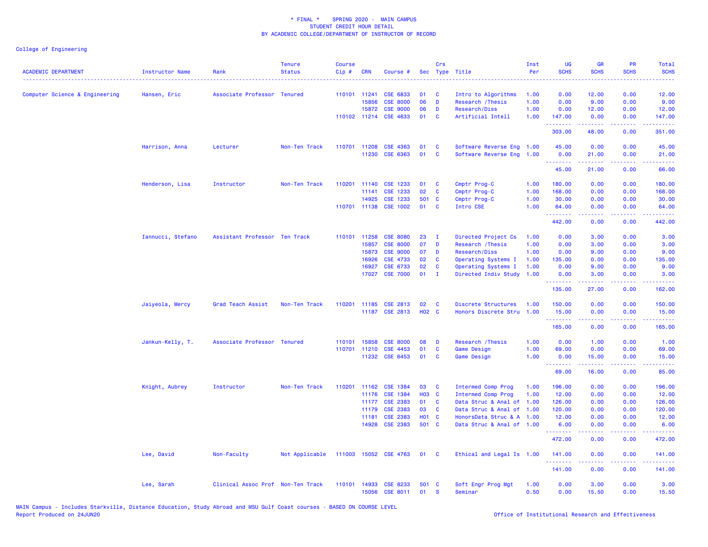| <b>ACADEMIC DEPARTMENT</b>     | <b>Instructor Name</b> | Rank                              | <b>Tenure</b><br><b>Status</b> | <b>Course</b><br>Cip# | <b>CRN</b>   | Course #        | Sec          | Crs          | Type Title                | Inst<br>Per | <b>UG</b><br><b>SCHS</b> | <b>GR</b><br><b>SCHS</b>                                                                                                                                     | PR<br><b>SCHS</b>            | Total<br><b>SCHS</b>                                                                                                                                         |
|--------------------------------|------------------------|-----------------------------------|--------------------------------|-----------------------|--------------|-----------------|--------------|--------------|---------------------------|-------------|--------------------------|--------------------------------------------------------------------------------------------------------------------------------------------------------------|------------------------------|--------------------------------------------------------------------------------------------------------------------------------------------------------------|
| Computer Science & Engineering | Hansen, Eric           | Associate Professor Tenured       |                                |                       | 110101 11241 | CSE 6833        | 01           | <b>C</b>     | Intro to Algorithms       | 1.00        | 0.00                     | 12.00                                                                                                                                                        | 0.00                         | 12.00                                                                                                                                                        |
|                                |                        |                                   |                                |                       | 15856        | <b>CSE 8000</b> | 06           | D            | Research / Thesis         | 1.00        | 0.00                     | 9.00                                                                                                                                                         | 0.00                         | 9.00                                                                                                                                                         |
|                                |                        |                                   |                                |                       | 15872        | <b>CSE 9000</b> | 06           | D            | Research/Diss             | 1.00        | 0.00                     | 12.00                                                                                                                                                        | 0.00                         | 12.00                                                                                                                                                        |
|                                |                        |                                   |                                |                       | 110102 11214 | CSE 4633        | 01           | C            | Artificial Intell         | 1.00        | 147.00<br>.              | 0.00<br>2.2.2.2.2                                                                                                                                            | 0.00<br>.                    | 147.00<br>2.2.2.2.2.                                                                                                                                         |
|                                |                        |                                   |                                |                       |              |                 |              |              |                           |             | 303.00                   | 48.00                                                                                                                                                        | 0.00                         | 351.00                                                                                                                                                       |
|                                | Harrison, Anna         | Lecturer                          | Non-Ten Track                  |                       | 110701 11208 | <b>CSE 4363</b> | 01           | C            | Software Reverse Eng 1.00 |             | 45.00                    | 0.00                                                                                                                                                         | 0.00                         | 45.00                                                                                                                                                        |
|                                |                        |                                   |                                |                       | 11230        | CSE 6363        | 01           | C            | Software Reverse Eng 1.00 |             | 0.00<br>.                | 21.00<br>$\frac{1}{2} \left( \frac{1}{2} \right) \left( \frac{1}{2} \right) \left( \frac{1}{2} \right) \left( \frac{1}{2} \right)$                           | 0.00                         | 21.00<br>.                                                                                                                                                   |
|                                |                        |                                   |                                |                       |              |                 |              |              |                           |             | 45.00                    | 21.00                                                                                                                                                        | 0.00                         | 66.00                                                                                                                                                        |
|                                | Henderson, Lisa        | Instructor                        | Non-Ten Track                  |                       | 110201 11140 | CSE 1233        | 01           | C            | Cmptr Prog-C              | 1.00        | 180.00                   | 0.00                                                                                                                                                         | 0.00                         | 180.00                                                                                                                                                       |
|                                |                        |                                   |                                |                       | 11141        | CSE 1233        | 02           | C            | Cmptr Prog-C              | 1.00        | 168.00                   | 0.00                                                                                                                                                         | 0.00                         | 168.00                                                                                                                                                       |
|                                |                        |                                   |                                |                       | 14925        | CSE 1233        | 501 C        |              | Cmptr Prog-C              | 1.00        | 30.00                    | 0.00                                                                                                                                                         | 0.00                         | 30.00                                                                                                                                                        |
|                                |                        |                                   |                                |                       | 110701 11138 | <b>CSE 1002</b> | 01           | C            | Intro CSE                 | 1.00        | 64.00<br>.               | 0.00<br>22222                                                                                                                                                | 0.00<br>.                    | 64.00<br><b><i><u><u> - - - - -</u></u></i></b>                                                                                                              |
|                                |                        |                                   |                                |                       |              |                 |              |              |                           |             | 442.00                   | 0.00                                                                                                                                                         | 0.00                         | 442.00                                                                                                                                                       |
|                                | Iannucci, Stefano      | Assistant Professor Ten Track     |                                |                       | 110101 11258 | <b>CSE 8080</b> | 23           | п            | Directed Project Cs       | 1.00        | 0.00                     | 3.00                                                                                                                                                         | 0.00                         | 3.00                                                                                                                                                         |
|                                |                        |                                   |                                |                       | 15857        | <b>CSE 8000</b> | 07           | D            | Research / Thesis         | 1.00        | 0.00                     | 3.00                                                                                                                                                         | 0.00                         | 3.00                                                                                                                                                         |
|                                |                        |                                   |                                |                       | 15873        | <b>CSE 9000</b> | 07           | D            | Research/Diss             | 1.00        | 0.00                     | 9.00                                                                                                                                                         | 0.00                         | 9.00                                                                                                                                                         |
|                                |                        |                                   |                                |                       | 16926        | <b>CSE 4733</b> | 02           | C            | Operating Systems I       | 1.00        | 135.00                   | 0.00                                                                                                                                                         | 0.00                         | 135.00                                                                                                                                                       |
|                                |                        |                                   |                                |                       | 16927        | CSE 6733        | 02           | C            | Operating Systems I       | 1.00        | 0.00                     | 9.00                                                                                                                                                         | 0.00                         | 9.00                                                                                                                                                         |
|                                |                        |                                   |                                |                       | 17027        | <b>CSE 7000</b> | 01           | $\mathbf{I}$ | Directed Indiv Study      | 1.00        | 0.00<br>.                | 3.00<br>.                                                                                                                                                    | 0.00<br>.                    | 3.00<br>$\frac{1}{2} \left( \frac{1}{2} \right) \left( \frac{1}{2} \right) \left( \frac{1}{2} \right) \left( \frac{1}{2} \right) \left( \frac{1}{2} \right)$ |
|                                |                        |                                   |                                |                       |              |                 |              |              |                           |             | 135.00                   | 27.00                                                                                                                                                        | 0.00                         | 162.00                                                                                                                                                       |
|                                | Jaiyeola, Mercy        | Grad Teach Assist                 | Non-Ten Track                  |                       | 110201 11185 | <b>CSE 2813</b> | 02           | C            | Discrete Structures       | 1.00        | 150.00                   | 0.00                                                                                                                                                         | 0.00                         | 150.00                                                                                                                                                       |
|                                |                        |                                   |                                |                       |              | 11187 CSE 2813  | <b>HO2 C</b> |              | Honors Discrete Stru 1.00 |             | 15.00                    | 0.00                                                                                                                                                         | 0.00                         | 15.00                                                                                                                                                        |
|                                |                        |                                   |                                |                       |              |                 |              |              |                           |             | .<br>165.00              | $\frac{1}{2} \left( \frac{1}{2} \right) \left( \frac{1}{2} \right) \left( \frac{1}{2} \right) \left( \frac{1}{2} \right) \left( \frac{1}{2} \right)$<br>0.00 | .<br>0.00                    | لأعاط عاطات<br>165.00                                                                                                                                        |
|                                | Jankun-Kelly, T.       | Associate Professor Tenured       |                                | 110101                | 15858        | <b>CSE 8000</b> | 08           | D            | Research / Thesis         | 1.00        | 0.00                     | 1.00                                                                                                                                                         | 0.00                         | 1.00                                                                                                                                                         |
|                                |                        |                                   |                                | 110701                | 11210        | <b>CSE 4453</b> | 01           | $\mathbf c$  | Game Design               | 1.00        | 69.00                    | 0.00                                                                                                                                                         | 0.00                         | 69.00                                                                                                                                                        |
|                                |                        |                                   |                                |                       | 11232        | CSE 6453        | 01           | C            | <b>Game Design</b>        | 1.00        | 0.00                     | 15.00                                                                                                                                                        | 0.00                         | 15.00                                                                                                                                                        |
|                                |                        |                                   |                                |                       |              |                 |              |              |                           |             | .<br>69.00               | 16.00                                                                                                                                                        | 0.00                         | 85.00                                                                                                                                                        |
|                                | Knight, Aubrey         | Instructor                        | Non-Ten Track                  | 110201                | 11162        | <b>CSE 1384</b> | 03           | <b>C</b>     | Intermed Comp Prog        | 1.00        | 196.00                   | 0.00                                                                                                                                                         | 0.00                         | 196.00                                                                                                                                                       |
|                                |                        |                                   |                                |                       | 11176        | <b>CSE 1384</b> | <b>H03 C</b> |              | Intermed Comp Prog        | 1.00        | 12.00                    | 0.00                                                                                                                                                         | 0.00                         | 12.00                                                                                                                                                        |
|                                |                        |                                   |                                |                       | 11177        | <b>CSE 2383</b> | 01           | C            | Data Struc & Anal of      | 1.00        | 126.00                   | 0.00                                                                                                                                                         | 0.00                         | 126.00                                                                                                                                                       |
|                                |                        |                                   |                                |                       | 11179        | <b>CSE 2383</b> | 03           | C            | Data Struc & Anal of      | 1.00        | 120.00                   | 0.00                                                                                                                                                         | 0.00                         | 120.00                                                                                                                                                       |
|                                |                        |                                   |                                |                       | 11181        | <b>CSE 2383</b> | H01 C        |              | HonorsData Struc & A 1.00 |             | 12.00                    | 0.00                                                                                                                                                         | 0.00                         | 12.00                                                                                                                                                        |
|                                |                        |                                   |                                |                       | 14928        | <b>CSE 2383</b> | 501 C        |              | Data Struc & Anal of 1.00 |             | 6.00<br>.                | 0.00                                                                                                                                                         | 0.00<br>والمسامين            | 6.00<br>.                                                                                                                                                    |
|                                |                        |                                   |                                |                       |              |                 |              |              |                           |             | 472.00                   | 0.00                                                                                                                                                         | 0.00                         | 472.00                                                                                                                                                       |
|                                | Lee, David             | Non-Faculty                       | Not Applicable                 | 111003                |              | 15052 CSE 4763  | 01           | <b>C</b>     | Ethical and Legal Is 1.00 |             | 141.00                   | 0.00                                                                                                                                                         | 0.00                         | 141.00                                                                                                                                                       |
|                                |                        |                                   |                                |                       |              |                 |              |              |                           |             | .<br>141.00              | 0.00                                                                                                                                                         | $\sim$ $\sim$ $\sim$<br>0.00 | 141.00                                                                                                                                                       |
|                                | Lee, Sarah             | Clinical Assoc Prof Non-Ten Track |                                | 110101                | 14933        | <b>CSE 8233</b> | 501 C        |              | Soft Engr Prog Mgt        | 1.00        | 0.00                     | 3.00                                                                                                                                                         | 0.00                         | 3.00                                                                                                                                                         |
|                                |                        |                                   |                                |                       | 15056        | <b>CSE 8011</b> | 01           | <b>S</b>     | Seminar                   | 0.50        | 0.00                     | 15.50                                                                                                                                                        | 0.00                         | 15.50                                                                                                                                                        |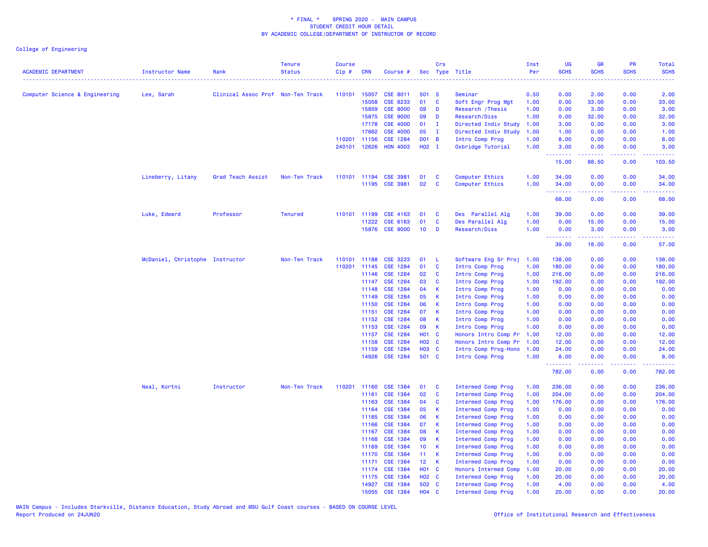| <b>ACADEMIC DEPARTMENT</b>     | Instructor Name                 | Rank                              | <b>Tenure</b><br><b>Status</b> | <b>Course</b><br>Cip# | <b>CRN</b>   | Course #        |                   | Crs          | Sec Type Title            | Inst<br>Per | <b>UG</b><br><b>SCHS</b> | <b>GR</b><br><b>SCHS</b>                                                                                                                                     | <b>PR</b><br><b>SCHS</b>     | Total<br><b>SCHS</b>                                                                                                                                         |
|--------------------------------|---------------------------------|-----------------------------------|--------------------------------|-----------------------|--------------|-----------------|-------------------|--------------|---------------------------|-------------|--------------------------|--------------------------------------------------------------------------------------------------------------------------------------------------------------|------------------------------|--------------------------------------------------------------------------------------------------------------------------------------------------------------|
|                                |                                 |                                   |                                |                       |              |                 |                   |              |                           |             |                          |                                                                                                                                                              |                              | $\frac{1}{2} \left( \frac{1}{2} \right) \left( \frac{1}{2} \right) \left( \frac{1}{2} \right) \left( \frac{1}{2} \right)$                                    |
| Computer Science & Engineering | Lee, Sarah                      | Clinical Assoc Prof Non-Ten Track |                                |                       | 110101 15057 | <b>CSE 8011</b> | 501 S             |              | Seminar                   | 0.50        | 0.00                     | 2.00                                                                                                                                                         | 0.00                         | 2.00                                                                                                                                                         |
|                                |                                 |                                   |                                |                       | 15058        | CSE 8233        | 01                | C            | Soft Engr Prog Mgt        | 1.00        | 0.00                     | 33.00                                                                                                                                                        | 0.00                         | 33.00                                                                                                                                                        |
|                                |                                 |                                   |                                |                       | 15859        | <b>CSE 8000</b> | 09                | D            | Research / Thesis         | 1.00        | 0.00                     | 3.00                                                                                                                                                         | 0.00                         | 3.00                                                                                                                                                         |
|                                |                                 |                                   |                                |                       | 15875        | <b>CSE 9000</b> | 09                | D            | Research/Diss             | 1.00        | 0.00                     | 32.00                                                                                                                                                        | 0.00                         | 32.00                                                                                                                                                        |
|                                |                                 |                                   |                                |                       | 17178        | <b>CSE 4000</b> | 01                | T            | Directed Indiv Study      | 1.00        | 3.00                     | 0.00                                                                                                                                                         | 0.00                         | 3.00                                                                                                                                                         |
|                                |                                 |                                   |                                |                       | 17662        | <b>CSE 4000</b> | 05                | $\mathbf{I}$ | Directed Indiv Study      | 1.00        | 1.00                     | 0.00                                                                                                                                                         | 0.00                         | 1.00                                                                                                                                                         |
|                                |                                 |                                   |                                |                       | 110201 11156 | CSE 1284        | D01 B             |              | Intro Comp Prog           | 1.00        | 8.00                     | 0.00                                                                                                                                                         | 0.00                         | 8.00                                                                                                                                                         |
|                                |                                 |                                   |                                |                       | 240101 12626 | <b>HON 4003</b> | H02 I             |              | Oxbridge Tutorial         | 1.00        | 3.00<br>.                | 0.00<br>$- - - - -$                                                                                                                                          | 0.00<br>$\sim$ $\sim$ $\sim$ | 3.00                                                                                                                                                         |
|                                |                                 |                                   |                                |                       |              |                 |                   |              |                           |             | 15.00                    | 88.50                                                                                                                                                        | 0.00                         | 103.50                                                                                                                                                       |
|                                | Lineberry, Litany               | Grad Teach Assist                 | Non-Ten Track                  |                       | 110101 11194 | <b>CSE 3981</b> | 01                | C            | <b>Computer Ethics</b>    | 1.00        | 34.00                    | 0.00                                                                                                                                                         | 0.00                         | 34.00                                                                                                                                                        |
|                                |                                 |                                   |                                |                       | 11195        | <b>CSE 3981</b> | 02                | C            | Computer Ethics           | 1.00        | 34.00<br>.               | 0.00<br>.                                                                                                                                                    | 0.00<br>.                    | 34.00<br>د د د د د                                                                                                                                           |
|                                |                                 |                                   |                                |                       |              |                 |                   |              |                           |             | 68.00                    | 0.00                                                                                                                                                         | 0.00                         | 68.00                                                                                                                                                        |
|                                | Luke, Edward                    | Professor                         | <b>Tenured</b>                 | 110101                | 11199        | CSE 4163        | 01                | C            | Des Parallel Alg          | 1.00        | 39.00                    | 0.00                                                                                                                                                         | 0.00                         | 39.00                                                                                                                                                        |
|                                |                                 |                                   |                                |                       | 11222        | CSE 6163        | 01                | C            | Des Parallel Alg          | 1.00        | 0.00                     | 15.00                                                                                                                                                        | 0.00                         | 15.00                                                                                                                                                        |
|                                |                                 |                                   |                                |                       | 15876        | <b>CSE 9000</b> | 10 <sub>1</sub>   | D            | Research/Diss             | 1.00        | 0.00<br>.                | 3.00<br>$\frac{1}{2} \left( \frac{1}{2} \right) \left( \frac{1}{2} \right) \left( \frac{1}{2} \right) \left( \frac{1}{2} \right) \left( \frac{1}{2} \right)$ | 0.00<br>.                    | 3.00<br>.                                                                                                                                                    |
|                                |                                 |                                   |                                |                       |              |                 |                   |              |                           |             | 39.00                    | 18.00                                                                                                                                                        | 0.00                         | 57.00                                                                                                                                                        |
|                                | McDaniel, Christophe Instructor |                                   | Non-Ten Track                  | 110101                | 11188        | CSE 3223        | 01                | -L           | Software Eng Sr Proj      | 1.00        | 138.00                   | 0.00                                                                                                                                                         | 0.00                         | 138.00                                                                                                                                                       |
|                                |                                 |                                   |                                | 110201                | 11145        | <b>CSE 1284</b> | 01                | C            | Intro Comp Prog           | 1.00        | 180.00                   | 0.00                                                                                                                                                         | 0.00                         | 180.00                                                                                                                                                       |
|                                |                                 |                                   |                                |                       | 11146        | <b>CSE 1284</b> | 02                | C            | Intro Comp Prog           | 1.00        | 216.00                   | 0.00                                                                                                                                                         | 0.00                         | 216.00                                                                                                                                                       |
|                                |                                 |                                   |                                |                       | 11147        | CSE 1284        | 03                | C            | Intro Comp Prog           | 1.00        | 192.00                   | 0.00                                                                                                                                                         | 0.00                         | 192.00                                                                                                                                                       |
|                                |                                 |                                   |                                |                       | 11148        | CSE 1284        | 04                | К            | Intro Comp Prog           | 1.00        | 0.00                     | 0.00                                                                                                                                                         | 0.00                         | 0.00                                                                                                                                                         |
|                                |                                 |                                   |                                |                       | 11149        | CSE 1284        | 05                | К            | Intro Comp Prog           | 1.00        | 0.00                     | 0.00                                                                                                                                                         | 0.00                         | 0.00                                                                                                                                                         |
|                                |                                 |                                   |                                |                       | 11150        | CSE 1284        | 06                | $\mathsf{K}$ | Intro Comp Prog           | 1.00        | 0.00                     | 0.00                                                                                                                                                         | 0.00                         | 0.00                                                                                                                                                         |
|                                |                                 |                                   |                                |                       | 11151        | CSE 1284        | 07                | К            | Intro Comp Prog           | 1.00        | 0.00                     | 0.00                                                                                                                                                         | 0.00                         | 0.00                                                                                                                                                         |
|                                |                                 |                                   |                                |                       | 11152        | CSE 1284        | 08                | K            | Intro Comp Prog           | 1.00        | 0.00                     | 0.00                                                                                                                                                         | 0.00                         | 0.00                                                                                                                                                         |
|                                |                                 |                                   |                                |                       | 11153        | CSE 1284        | 09                | K            | Intro Comp Prog           | 1.00        | 0.00                     | 0.00                                                                                                                                                         | 0.00                         | 0.00                                                                                                                                                         |
|                                |                                 |                                   |                                |                       | 11157        | <b>CSE 1284</b> | H01 C             |              | Honors Intro Comp Pr      | 1.00        | 12.00                    | 0.00                                                                                                                                                         | 0.00                         | 12.00                                                                                                                                                        |
|                                |                                 |                                   |                                |                       | 11158        | <b>CSE 1284</b> | H <sub>02</sub> C |              | Honors Intro Comp Pr      | 1.00        | 12.00                    | 0.00                                                                                                                                                         | 0.00                         | 12.00                                                                                                                                                        |
|                                |                                 |                                   |                                |                       | 11159        | <b>CSE 1284</b> | <b>HO3 C</b>      |              | Intro Comp Prog-Hono      | 1.00        | 24.00                    | 0.00                                                                                                                                                         | 0.00                         | 24.00                                                                                                                                                        |
|                                |                                 |                                   |                                |                       | 14926        | <b>CSE 1284</b> | 501 C             |              | Intro Comp Prog           | 1.00        | 8.00<br>.                | 0.00<br>.                                                                                                                                                    | 0.00<br>.                    | 8.00<br>$\frac{1}{2} \left( \frac{1}{2} \right) \left( \frac{1}{2} \right) \left( \frac{1}{2} \right) \left( \frac{1}{2} \right) \left( \frac{1}{2} \right)$ |
|                                |                                 |                                   |                                |                       |              |                 |                   |              |                           |             | 782.00                   | 0.00                                                                                                                                                         | 0.00                         | 782.00                                                                                                                                                       |
|                                | Neal, Kortni                    | Instructor                        | Non-Ten Track                  | 110201                | 11160        | <b>CSE 1384</b> | 01                | C            | Intermed Comp Prog        | 1.00        | 236.00                   | 0.00                                                                                                                                                         | 0.00                         | 236.00                                                                                                                                                       |
|                                |                                 |                                   |                                |                       | 11161        | CSE 1384        | 02                | C            | <b>Intermed Comp Prog</b> | 1.00        | 204,00                   | 0.00                                                                                                                                                         | 0.00                         | 204.00                                                                                                                                                       |
|                                |                                 |                                   |                                |                       | 11163        | CSE 1384        | 04                | C            | Intermed Comp Prog        | 1.00        | 176.00                   | 0.00                                                                                                                                                         | 0.00                         | 176.00                                                                                                                                                       |
|                                |                                 |                                   |                                |                       | 11164        | <b>CSE 1384</b> | 05                | К            | <b>Intermed Comp Prog</b> | 1.00        | 0.00                     | 0.00                                                                                                                                                         | 0.00                         | 0.00                                                                                                                                                         |
|                                |                                 |                                   |                                |                       | 11165        | <b>CSE 1384</b> | 06                | К            | Intermed Comp Prog        | 1.00        | 0.00                     | 0.00                                                                                                                                                         | 0.00                         | 0.00                                                                                                                                                         |
|                                |                                 |                                   |                                |                       | 11166        | <b>CSE 1384</b> | 07                | К            | Intermed Comp Prog        | 1.00        | 0.00                     | 0.00                                                                                                                                                         | 0.00                         | 0.00                                                                                                                                                         |
|                                |                                 |                                   |                                |                       | 11167        | <b>CSE 1384</b> | 08                | K            | Intermed Comp Prog        | 1.00        | 0.00                     | 0.00                                                                                                                                                         | 0.00                         | 0.00                                                                                                                                                         |
|                                |                                 |                                   |                                |                       | 11168        | CSE 1384        | 09                | K            | <b>Intermed Comp Prog</b> | 1.00        | 0.00                     | 0.00                                                                                                                                                         | 0.00                         | 0.00                                                                                                                                                         |
|                                |                                 |                                   |                                |                       | 11169        | <b>CSE 1384</b> | 10                | K            | Intermed Comp Prog        | 1.00        | 0.00                     | 0.00                                                                                                                                                         | 0.00                         | 0.00                                                                                                                                                         |
|                                |                                 |                                   |                                |                       | 11170        | <b>CSE 1384</b> | 11 <sub>1</sub>   | К            | Intermed Comp Prog        | 1.00        | 0.00                     | 0.00                                                                                                                                                         | 0.00                         | 0.00                                                                                                                                                         |
|                                |                                 |                                   |                                |                       | 11171        | <b>CSE 1384</b> | 12 <sub>2</sub>   | К            | <b>Intermed Comp Prog</b> | 1.00        | 0.00                     | 0.00                                                                                                                                                         | 0.00                         | 0.00                                                                                                                                                         |
|                                |                                 |                                   |                                |                       | 11174        | <b>CSE 1384</b> | <b>HO1 C</b>      |              | Honors Intermed Comp      | 1.00        | 20.00                    | 0.00                                                                                                                                                         | 0.00                         | 20.00                                                                                                                                                        |
|                                |                                 |                                   |                                |                       | 11175        | <b>CSE 1384</b> | H <sub>02</sub> C |              | Intermed Comp Prog        | 1.00        | 20.00                    | 0.00                                                                                                                                                         | 0.00                         | 20.00                                                                                                                                                        |
|                                |                                 |                                   |                                |                       | 14927        | CSE 1384        | 502 C             |              | Intermed Comp Prog        | 1.00        | 4.00                     | 0.00                                                                                                                                                         | 0.00                         | 4.00                                                                                                                                                         |
|                                |                                 |                                   |                                |                       | 15055        | CSE 1384        | $H04$ C           |              | <b>Intermed Comp Prog</b> | 1.00        | 20.00                    | 0.00                                                                                                                                                         | 0.00                         | 20.00                                                                                                                                                        |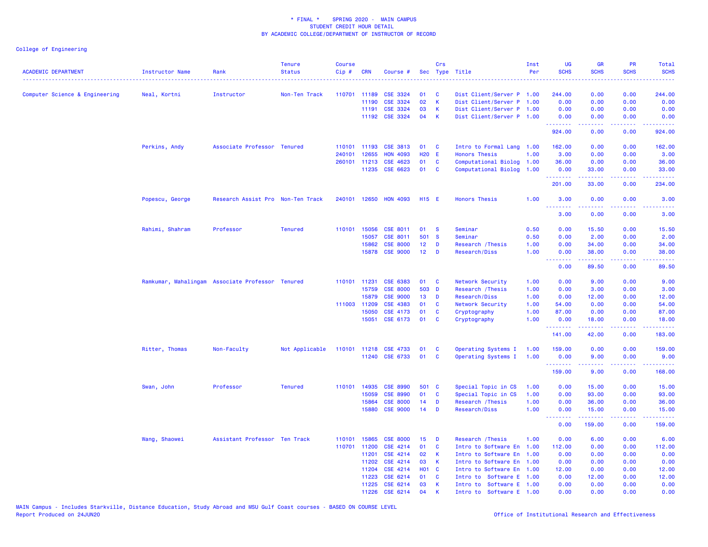| <b>ACADEMIC DEPARTMENT</b>     | Instructor Name | Rank<br>. <u>.</u> .                             | <b>Tenure</b><br><b>Status</b> | <b>Course</b><br>Cip# | <b>CRN</b>   | Course #              |                   | Crs          | Sec Type Title            | Inst<br>Per | <b>UG</b><br><b>SCHS</b> | <b>GR</b><br><b>SCHS</b>                                                                                                           | <b>PR</b><br><b>SCHS</b> | Total<br><b>SCHS</b><br>$\frac{1}{2} \left( \frac{1}{2} \right) \left( \frac{1}{2} \right) \left( \frac{1}{2} \right) \left( \frac{1}{2} \right)$ |
|--------------------------------|-----------------|--------------------------------------------------|--------------------------------|-----------------------|--------------|-----------------------|-------------------|--------------|---------------------------|-------------|--------------------------|------------------------------------------------------------------------------------------------------------------------------------|--------------------------|---------------------------------------------------------------------------------------------------------------------------------------------------|
| Computer Science & Engineering | Neal, Kortni    | Instructor                                       | Non-Ten Track                  | 110701 11189          |              | CSE 3324              | 01                | <b>C</b>     | Dist Client/Server P 1.00 |             | 244.00                   | 0.00                                                                                                                               | 0.00                     | 244.00                                                                                                                                            |
|                                |                 |                                                  |                                |                       | 11190        | CSE 3324              | 02                | $\mathsf{K}$ | Dist Client/Server P 1.00 |             | 0.00                     | 0.00                                                                                                                               | 0.00                     | 0.00                                                                                                                                              |
|                                |                 |                                                  |                                |                       | 11191        | CSE 3324              | 03                | $\mathsf{K}$ | Dist Client/Server P 1.00 |             | 0.00                     | 0.00                                                                                                                               | 0.00                     | 0.00                                                                                                                                              |
|                                |                 |                                                  |                                |                       | 11192        | CSE 3324              | 04                | K            | Dist Client/Server P 1.00 |             | 0.00<br>.                | 0.00                                                                                                                               | 0.00                     | 0.00                                                                                                                                              |
|                                |                 |                                                  |                                |                       |              |                       |                   |              |                           |             | 924.00                   | 0.00                                                                                                                               | 0.00                     | 924.00                                                                                                                                            |
|                                | Perkins, Andy   | Associate Professor Tenured                      |                                |                       | 110101 11193 | <b>CSE 3813</b>       | 01                | <b>C</b>     | Intro to Formal Lang 1.00 |             | 162.00                   | 0.00                                                                                                                               | 0.00                     | 162.00                                                                                                                                            |
|                                |                 |                                                  |                                | 240101                | 12655        | <b>HON 4093</b>       | H <sub>20</sub> E |              | <b>Honors Thesis</b>      | 1.00        | 3.00                     | 0.00                                                                                                                               | 0.00                     | 3.00                                                                                                                                              |
|                                |                 |                                                  |                                |                       | 260101 11213 | CSE 4623              | 01                | C            | Computational Biolog 1.00 |             | 36.00                    | 0.00                                                                                                                               | 0.00                     | 36.00                                                                                                                                             |
|                                |                 |                                                  |                                |                       | 11235        | CSE 6623              | 01                | <b>C</b>     | Computational Biolog      | 1.00        | 0.00<br>.                | 33.00<br>.                                                                                                                         | 0.00<br>.                | 33.00<br>.                                                                                                                                        |
|                                |                 |                                                  |                                |                       |              |                       |                   |              |                           |             | 201.00                   | 33.00                                                                                                                              | 0.00                     | 234.00                                                                                                                                            |
|                                | Popescu, George | Research Assist Pro Non-Ten Track                |                                | 240101 12650          |              | <b>HON 4093</b>       | H15 E             |              | <b>Honors Thesis</b>      | 1.00        | 3.00<br>.                | 0.00                                                                                                                               | 0.00                     | 3.00                                                                                                                                              |
|                                |                 |                                                  |                                |                       |              |                       |                   |              |                           |             | 3.00                     | 0.00                                                                                                                               | 0.00                     | 3.00                                                                                                                                              |
|                                | Rahimi, Shahram | Professor                                        | <b>Tenured</b>                 |                       | 110101 15056 | CSE 8011              | 01                | <b>S</b>     | Seminar                   | 0.50        | 0.00                     | 15.50                                                                                                                              | 0.00                     | 15.50                                                                                                                                             |
|                                |                 |                                                  |                                |                       | 15057        | <b>CSE 8011</b>       | 501 S             |              | Seminar                   | 0.50        | 0.00                     | 2.00                                                                                                                               | 0.00                     | 2.00                                                                                                                                              |
|                                |                 |                                                  |                                |                       | 15862        | <b>CSE 8000</b>       | 12 <sub>2</sub>   | D            | Research / Thesis         | 1.00        | 0.00                     | 34.00                                                                                                                              | 0.00                     | 34.00                                                                                                                                             |
|                                |                 |                                                  |                                |                       | 15878        | <b>CSE 9000</b>       | 12 <sub>2</sub>   | D            | Research/Diss             | 1.00        | 0.00<br><u>.</u>         | 38.00<br>.                                                                                                                         | 0.00                     | 38.00                                                                                                                                             |
|                                |                 |                                                  |                                |                       |              |                       |                   |              |                           |             | 0.00                     | 89.50                                                                                                                              | 0.00                     | 89.50                                                                                                                                             |
|                                |                 | Ramkumar, Mahalingam Associate Professor Tenured |                                |                       | 110101 11231 | CSE 6383              | 01                | C            | Network Security          | 1.00        | 0.00                     | 9.00                                                                                                                               | 0.00                     | 9.00                                                                                                                                              |
|                                |                 |                                                  |                                |                       | 15759        | <b>CSE 8000</b>       | 503 D             |              | Research / Thesis         | 1.00        | 0.00                     | 3.00                                                                                                                               | 0.00                     | 3.00                                                                                                                                              |
|                                |                 |                                                  |                                |                       | 15879        | <b>CSE 9000</b>       | 13                | D            | Research/Diss             | 1.00        | 0.00                     | 12.00                                                                                                                              | 0.00                     | 12.00                                                                                                                                             |
|                                |                 |                                                  |                                |                       | 111003 11209 | <b>CSE 4383</b>       | 01                | C            | Network Security          | 1.00        | 54.00                    | 0.00                                                                                                                               | 0.00                     | 54.00                                                                                                                                             |
|                                |                 |                                                  |                                |                       | 15050        | CSE 4173              | 01                | C            | Cryptography              | 1.00        | 87.00                    | 0.00                                                                                                                               | 0.00                     | 87.00                                                                                                                                             |
|                                |                 |                                                  |                                |                       | 15051        | CSE 6173              | 01                | C            | Cryptography              | 1.00        | 0.00<br>.                | 18.00<br>$\frac{1}{2} \left( \frac{1}{2} \right) \left( \frac{1}{2} \right) \left( \frac{1}{2} \right) \left( \frac{1}{2} \right)$ | 0.00<br>.                | 18.00<br>.                                                                                                                                        |
|                                |                 |                                                  |                                |                       |              |                       |                   |              |                           |             | 141.00                   | 42.00                                                                                                                              | 0.00                     | 183.00                                                                                                                                            |
|                                | Ritter, Thomas  | Non-Faculty                                      | Not Applicable                 |                       |              | 110101 11218 CSE 4733 | 01                | C            | Operating Systems I       | 1.00        | 159.00                   | 0.00                                                                                                                               | 0.00                     | 159.00                                                                                                                                            |
|                                |                 |                                                  |                                |                       |              | 11240 CSE 6733        | 01                | <b>C</b>     | Operating Systems I       | 1.00        | 0.00<br>.                | 9.00<br>والمستوات                                                                                                                  | 0.00<br>.                | 9.00                                                                                                                                              |
|                                |                 |                                                  |                                |                       |              |                       |                   |              |                           |             | 159.00                   | 9.00                                                                                                                               | 0.00                     | 168.00                                                                                                                                            |
|                                | Swan, John      | Professor                                        | <b>Tenured</b>                 |                       | 110101 14935 | <b>CSE 8990</b>       | 501 C             |              | Special Topic in CS       | 1.00        | 0.00                     | 15.00                                                                                                                              | 0.00                     | 15.00                                                                                                                                             |
|                                |                 |                                                  |                                |                       | 15059        | <b>CSE 8990</b>       | 01                | C            | Special Topic in CS       | 1.00        | 0.00                     | 93.00                                                                                                                              | 0.00                     | 93.00                                                                                                                                             |
|                                |                 |                                                  |                                |                       | 15864        | <b>CSE 8000</b>       | 14                | D            | Research / Thesis         | 1.00        | 0.00                     | 36.00                                                                                                                              | 0.00                     | 36.00                                                                                                                                             |
|                                |                 |                                                  |                                |                       | 15880        | <b>CSE 9000</b>       | 14                | D            | Research/Diss             | 1.00        | 0.00                     | 15.00                                                                                                                              | 0.00                     | 15.00                                                                                                                                             |
|                                |                 |                                                  |                                |                       |              |                       |                   |              |                           |             | .<br>0.00                | 159.00                                                                                                                             | 0.00                     | 159.00                                                                                                                                            |
|                                | Wang, Shaowei   | Assistant Professor Ten Track                    |                                | 110101 15865          |              | <b>CSE 8000</b>       | 15                | D            | Research / Thesis         | 1.00        | 0.00                     | 6.00                                                                                                                               | 0.00                     | 6.00                                                                                                                                              |
|                                |                 |                                                  |                                |                       | 110701 11200 | CSE 4214              | 01                | <b>C</b>     | Intro to Software En 1.00 |             | 112.00                   | 0.00                                                                                                                               | 0.00                     | 112.00                                                                                                                                            |
|                                |                 |                                                  |                                |                       | 11201        | CSE 4214              | 02                | K            | Intro to Software En 1.00 |             | 0.00                     | 0.00                                                                                                                               | 0.00                     | 0.00                                                                                                                                              |
|                                |                 |                                                  |                                |                       | 11202        | CSE 4214              | 03                | К            | Intro to Software En 1.00 |             | 0.00                     | 0.00                                                                                                                               | 0.00                     | 0.00                                                                                                                                              |
|                                |                 |                                                  |                                |                       | 11204        | CSE 4214              | <b>HO1</b>        | $\mathbf{C}$ | Intro to Software En 1.00 |             | 12.00                    | 0.00                                                                                                                               | 0.00                     | 12.00                                                                                                                                             |
|                                |                 |                                                  |                                |                       | 11223        | CSE 6214              | 01                | C            | Intro to Software E 1.00  |             | 0.00                     | 12.00                                                                                                                              | 0.00                     | 12.00                                                                                                                                             |
|                                |                 |                                                  |                                |                       | 11225        | CSE 6214              | 03                | К            | Intro to Software E 1.00  |             | 0.00                     | 0.00                                                                                                                               | 0.00                     | 0.00                                                                                                                                              |
|                                |                 |                                                  |                                |                       | 11226        | CSE 6214              | 04                | K            | Intro to Software E 1.00  |             | 0.00                     | 0.00                                                                                                                               | 0.00                     | 0.00                                                                                                                                              |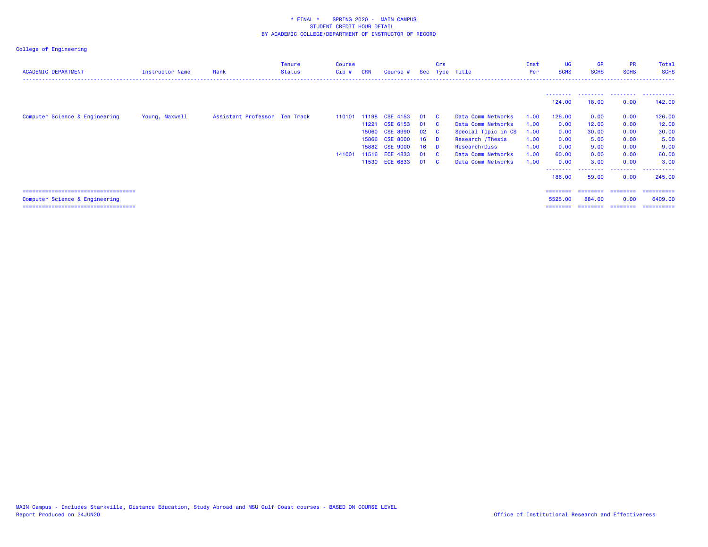| <b>ACADEMIC DEPARTMENT</b>                                                                                        | <b>Instructor Name</b> | Rank                          | Tenure<br><b>Status</b> | Course<br>Cip#   | <b>CRN</b>              | Course #                                                                                                               |                                                       | Crs                                    | Sec Type Title                                                                                                                                    | Inst<br>Per                                          | UG<br><b>SCHS</b>                                                 | <b>GR</b><br><b>SCHS</b>                                        | <b>PR</b><br><b>SCHS</b>                                     | Total<br><b>SCHS</b>                                                |
|-------------------------------------------------------------------------------------------------------------------|------------------------|-------------------------------|-------------------------|------------------|-------------------------|------------------------------------------------------------------------------------------------------------------------|-------------------------------------------------------|----------------------------------------|---------------------------------------------------------------------------------------------------------------------------------------------------|------------------------------------------------------|-------------------------------------------------------------------|-----------------------------------------------------------------|--------------------------------------------------------------|---------------------------------------------------------------------|
|                                                                                                                   |                        |                               |                         |                  |                         |                                                                                                                        |                                                       |                                        |                                                                                                                                                   |                                                      | 124.00                                                            | 18.00                                                           | 0.00                                                         | 142.00                                                              |
| Computer Science & Engineering                                                                                    | Young, Maxwell         | Assistant Professor Ten Track |                         | 110101<br>141001 | 11221<br>15060<br>11530 | 11198 CSE 4153<br>CSE 6153<br><b>CSE 8990</b><br>15866 CSE 8000<br>15882 CSE 9000<br>11516 ECE 4833<br><b>ECE 6833</b> | - 01<br>01<br>02<br>16 <sup>1</sup><br>16<br>01<br>01 | - C<br>- C<br>- C<br>- D<br>- D<br>- C | Data Comm Networks<br>Data Comm Networks<br>Special Topic in CS<br>Research / Thesis<br>Research/Diss<br>Data Comm Networks<br>Data Comm Networks | 1.00<br>1.00<br>1.00<br>1.00<br>1.00<br>1.00<br>1.00 | 126,00<br>0.00<br>0.00<br>0.00<br>0.00<br>60.00<br>0.00<br>186.00 | 0.00<br>12.00<br>30.00<br>5.00<br>9.00<br>0.00<br>3.00<br>59.00 | 0.00<br>0.00<br>0.00<br>0.00<br>0.00<br>0.00<br>0.00<br>0.00 | 126.00<br>12.00<br>30.00<br>5.00<br>9.00<br>60.00<br>3.00<br>245,00 |
| ======================================<br>Computer Science & Engineering<br>===================================== |                        |                               |                         |                  |                         |                                                                                                                        |                                                       |                                        |                                                                                                                                                   |                                                      | ========<br>5525.00<br>========                                   | ========= ========<br>884,00<br>---------                       | 0.00<br>---------                                            | ==========<br>6409,00<br>==========                                 |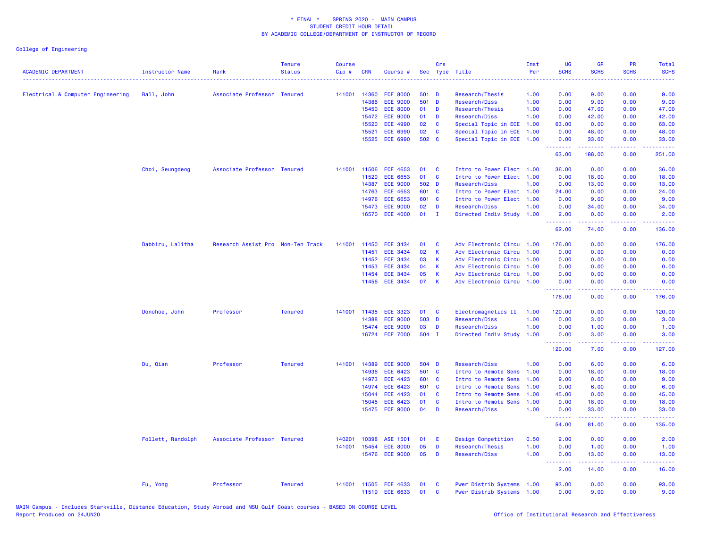| <b>ACADEMIC DEPARTMENT</b>        | <b>Instructor Name</b> | Rank                              | <b>Tenure</b><br><b>Status</b> | <b>Course</b><br>Cip# | <b>CRN</b>   | Course #        |       | Crs          | Sec Type Title            | Inst<br>Per | UG<br><b>SCHS</b>                                        | <b>GR</b><br><b>SCHS</b> | PR<br><b>SCHS</b> | <b>Total</b><br><b>SCHS</b><br>. |
|-----------------------------------|------------------------|-----------------------------------|--------------------------------|-----------------------|--------------|-----------------|-------|--------------|---------------------------|-------------|----------------------------------------------------------|--------------------------|-------------------|----------------------------------|
| Electrical & Computer Engineering | Ball, John             | Associate Professor Tenured       |                                | 141001                | 14360        | <b>ECE 8000</b> | 501 D |              | Research/Thesis           | 1.00        | 0.00                                                     | 9.00                     | 0.00              | 9.00                             |
|                                   |                        |                                   |                                |                       | 14386        | <b>ECE 9000</b> | 501   | $\mathbf{D}$ | Research/Diss             | 1.00        | 0.00                                                     | 9.00                     | 0.00              | 9.00                             |
|                                   |                        |                                   |                                |                       | 15450        | <b>ECE 8000</b> | 01    | D            | Research/Thesis           | 1.00        | 0.00                                                     | 47.00                    | 0.00              | 47.00                            |
|                                   |                        |                                   |                                |                       | 15472        | <b>ECE 9000</b> | 01    | D            | Research/Diss             | 1.00        | 0.00                                                     | 42.00                    | 0.00              | 42.00                            |
|                                   |                        |                                   |                                |                       | 15520        | <b>ECE 4990</b> | 02    | C            | Special Topic in ECE      | 1.00        | 63.00                                                    | 0.00                     | 0.00              | 63.00                            |
|                                   |                        |                                   |                                |                       | 15521        | ECE 6990        | 02    | C            | Special Topic in ECE      | 1.00        | 0.00                                                     | 48.00                    | 0.00              | 48.00                            |
|                                   |                        |                                   |                                |                       | 15525        | ECE 6990        | 502   | $\mathbf{C}$ | Special Topic in ECE 1.00 |             | 0.00<br>.                                                | 33.00<br>.               | 0.00<br>22222     | 33.00<br><u>.</u>                |
|                                   |                        |                                   |                                |                       |              |                 |       |              |                           |             | 63.00                                                    | 188.00                   | 0.00              | 251.00                           |
|                                   | Choi, Seungdeog        | Associate Professor Tenured       |                                | 141001                | 11506        | <b>ECE 4653</b> | 01    | C            | Intro to Power Elect 1.00 |             | 36.00                                                    | 0.00                     | 0.00              | 36.00                            |
|                                   |                        |                                   |                                |                       | 11520        | <b>ECE 6653</b> | 01    | C            | Intro to Power Elect 1.00 |             | 0.00                                                     | 18.00                    | 0.00              | 18.00                            |
|                                   |                        |                                   |                                |                       | 14387        | <b>ECE 9000</b> | 502   | D            | Research/Diss             | 1.00        | 0.00                                                     | 13.00                    | 0.00              | 13.00                            |
|                                   |                        |                                   |                                |                       | 14763        | <b>ECE 4653</b> | 601 C |              | Intro to Power Elect 1.00 |             | 24.00                                                    | 0.00                     | 0.00              | 24.00                            |
|                                   |                        |                                   |                                |                       | 14976        | <b>ECE 6653</b> | 601 C |              | Intro to Power Elect 1.00 |             | 0.00                                                     | 9.00                     | 0.00              | 9.00                             |
|                                   |                        |                                   |                                |                       | 15473        | <b>ECE 9000</b> | 02    | D            | Research/Diss             | 1.00        | 0.00                                                     | 34.00                    | 0.00              | 34.00                            |
|                                   |                        |                                   |                                |                       |              | 16570 ECE 4000  | 01    | $\mathbf{I}$ | Directed Indiv Study 1.00 |             | 2.00<br><b><i><u><u><b>a</b></u></u> a a a a a a</i></b> | 0.00<br>.                | 0.00<br>22222     | 2.00<br>.                        |
|                                   |                        |                                   |                                |                       |              |                 |       |              |                           |             | 62.00                                                    | 74.00                    | 0.00              | 136.00                           |
|                                   | Dabbiru, Lalitha       | Research Assist Pro Non-Ten Track |                                | 141001                | 11450        | <b>ECE 3434</b> | 01    | C            | Adv Electronic Circu 1.00 |             | 176.00                                                   | 0.00                     | 0.00              | 176.00                           |
|                                   |                        |                                   |                                |                       | 11451        | <b>ECE 3434</b> | 02    | K            | Adv Electronic Circu      | 1.00        | 0.00                                                     | 0.00                     | 0.00              | 0.00                             |
|                                   |                        |                                   |                                |                       | 11452        | <b>ECE 3434</b> | 03    | K            | Adv Electronic Circu      | 1.00        | 0.00                                                     | 0.00                     | 0.00              | 0.00                             |
|                                   |                        |                                   |                                |                       | 11453        | <b>ECE 3434</b> | 04    | K            | Adv Electronic Circu      | 1.00        | 0.00                                                     | 0.00                     | 0.00              | 0.00                             |
|                                   |                        |                                   |                                |                       | 11454        | <b>ECE 3434</b> | 05    | $\mathsf K$  | Adv Electronic Circu      | 1.00        | 0.00                                                     | 0.00                     | 0.00              | 0.00                             |
|                                   |                        |                                   |                                |                       | 11456        | <b>ECE 3434</b> | 07    | $\mathsf{K}$ | Adv Electronic Circu 1.00 |             | 0.00<br><b><i><u><u><b>Little Little</b></u></u></i></b> | 0.00                     | 0.00<br>د د د د   | 0.00<br><u>.</u>                 |
|                                   |                        |                                   |                                |                       |              |                 |       |              |                           |             | 176.00                                                   | 0.00                     | 0.00              | 176.00                           |
|                                   | Donohoe, John          | Professor                         | <b>Tenured</b>                 |                       | 141001 11435 | <b>ECE 3323</b> | 01    | <b>C</b>     | Electromagnetics II       | 1.00        | 120.00                                                   | 0.00                     | 0.00              | 120.00                           |
|                                   |                        |                                   |                                |                       | 14388        | <b>ECE 9000</b> | 503   | D            | Research/Diss             | 1.00        | 0.00                                                     | 3.00                     | 0.00              | 3.00                             |
|                                   |                        |                                   |                                |                       | 15474        | <b>ECE 9000</b> | 03    | D            | Research/Diss             | 1.00        | 0.00                                                     | 1.00                     | 0.00              | 1.00                             |
|                                   |                        |                                   |                                |                       |              | 16724 ECE 7000  | 504 I |              | Directed Indiv Study      | 1.00        | 0.00<br><u>.</u>                                         | 3.00<br><u>.</u>         | 0.00<br>.         | 3.00<br>.                        |
|                                   |                        |                                   |                                |                       |              |                 |       |              |                           |             | 120.00                                                   | 7.00                     | 0.00              | 127.00                           |
|                                   | Du, Qian               | Professor                         | <b>Tenured</b>                 | 141001                | 14389        | <b>ECE 9000</b> | 504   | <b>D</b>     | Research/Diss             | 1.00        | 0.00                                                     | 6.00                     | 0.00              | 6.00                             |
|                                   |                        |                                   |                                |                       | 14936        | <b>ECE 6423</b> | 501 C |              | Intro to Remote Sens      | 1.00        | 0.00                                                     | 18.00                    | 0.00              | 18.00                            |
|                                   |                        |                                   |                                |                       | 14973        | <b>ECE 4423</b> | 601 C |              | Intro to Remote Sens      | 1.00        | 9.00                                                     | 0.00                     | 0.00              | 9.00                             |
|                                   |                        |                                   |                                |                       | 14974        | <b>ECE 6423</b> | 601 C |              | Intro to Remote Sens      | 1.00        | 0.00                                                     | 6.00                     | 0.00              | 6.00                             |
|                                   |                        |                                   |                                |                       | 15044        | <b>ECE 4423</b> | 01    | C            | Intro to Remote Sens      | 1.00        | 45.00                                                    | 0.00                     | 0.00              | 45.00                            |
|                                   |                        |                                   |                                |                       | 15045        | <b>ECE 6423</b> | 01    | $\mathbf{C}$ | Intro to Remote Sens      | 1.00        | 0.00                                                     | 18.00                    | 0.00              | 18.00                            |
|                                   |                        |                                   |                                |                       | 15475        | <b>ECE 9000</b> | 04    | D            | Research/Diss             | 1.00        | 0.00                                                     | 33.00                    | 0.00              | 33.00                            |
|                                   |                        |                                   |                                |                       |              |                 |       |              |                           |             | 54.00                                                    | 81.00                    | 0.00              | 135.00                           |
|                                   | Follett, Randolph      | Associate Professor Tenured       |                                | 140201                | 10398        | ASE 1501        | 01    | E            | Design Competition        | 0.50        | 2.00                                                     | 0.00                     | 0.00              | 2.00                             |
|                                   |                        |                                   |                                | 141001                | 15454        | <b>ECE 8000</b> | 05    | D            | Research/Thesis           | 1.00        | 0.00                                                     | 1.00                     | 0.00              | 1.00                             |
|                                   |                        |                                   |                                |                       |              | 15476 ECE 9000  | 05    | D            | Research/Diss             | 1.00        | 0.00<br><b></b>                                          | 13.00<br>.               | 0.00<br>.         | 13.00<br>.                       |
|                                   |                        |                                   |                                |                       |              |                 |       |              |                           |             | 2.00                                                     | 14.00                    | 0.00              | 16.00                            |
|                                   | Fu, Yong               | Professor                         | <b>Tenured</b>                 | 141001                | 11505        | <b>ECE 4633</b> | 01    | C            | Pwer Distrib Systems 1.00 |             | 93.00                                                    | 0.00                     | 0.00              | 93.00                            |
|                                   |                        |                                   |                                |                       |              | 11519 ECE 6633  | 01    | $\mathbf{C}$ | Pwer Distrib Systems 1.00 |             | 0.00                                                     | 9.00                     | 0.00              | 9.00                             |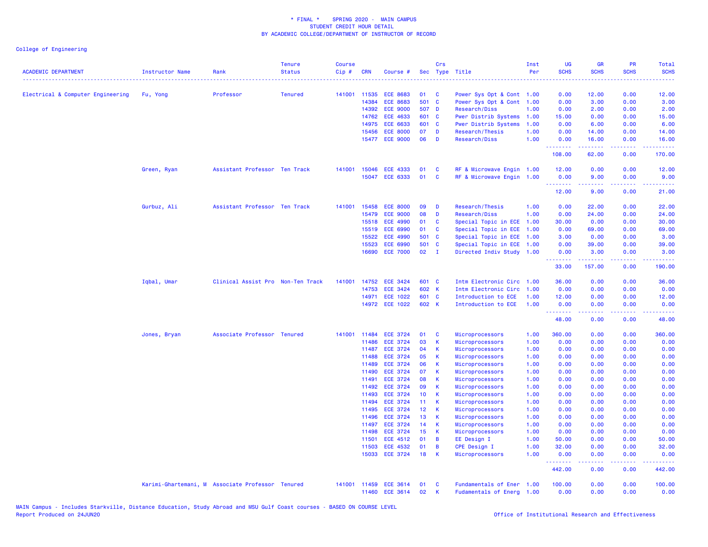| <b>ACADEMIC DEPARTMENT</b>        | <b>Instructor Name</b> | Rank                                             | <b>Tenure</b><br><b>Status</b> | <b>Course</b><br>Cip# | <b>CRN</b>            | Course #                           |                 | Crs           | Sec Type Title                                         | Inst<br>Per  | UG<br><b>SCHS</b><br>الدائد بدايد | <b>GR</b><br><b>SCHS</b>                                                                                                                                     | PR<br><b>SCHS</b> | Total<br><b>SCHS</b><br>.                                                                                                                                      |
|-----------------------------------|------------------------|--------------------------------------------------|--------------------------------|-----------------------|-----------------------|------------------------------------|-----------------|---------------|--------------------------------------------------------|--------------|-----------------------------------|--------------------------------------------------------------------------------------------------------------------------------------------------------------|-------------------|----------------------------------------------------------------------------------------------------------------------------------------------------------------|
| Electrical & Computer Engineering | Fu, Yong               | Professor                                        | <b>Tenured</b>                 |                       | 141001 11535          | <b>ECE 8683</b>                    | 01              | <b>C</b>      | Power Sys Opt & Cont 1.00                              |              | 0.00                              | 12.00                                                                                                                                                        | 0.00              | 12.00                                                                                                                                                          |
|                                   |                        |                                                  |                                |                       | 14384                 | <b>ECE 8683</b>                    | 501 C           |               | Power Sys Opt & Cont 1.00                              |              | 0.00                              | 3.00                                                                                                                                                         | 0.00              | 3.00                                                                                                                                                           |
|                                   |                        |                                                  |                                |                       | 14392                 | <b>ECE 9000</b>                    | 507 D           |               | Research/Diss                                          | 1.00         | 0.00                              | 2.00                                                                                                                                                         | 0.00              | 2.00                                                                                                                                                           |
|                                   |                        |                                                  |                                |                       | 14762                 | <b>ECE 4633</b>                    | 601 C           |               | Pwer Distrib Systems                                   | 1.00         | 15.00                             | 0.00                                                                                                                                                         | 0.00              | 15.00                                                                                                                                                          |
|                                   |                        |                                                  |                                |                       | 14975                 | <b>ECE 6633</b>                    | 601 C           |               | <b>Pwer Distrib Systems</b>                            | 1.00         | 0.00                              | 6.00                                                                                                                                                         | 0.00              | 6.00                                                                                                                                                           |
|                                   |                        |                                                  |                                |                       | 15456                 | <b>ECE 8000</b>                    | 07              | D             | Research/Thesis                                        | 1.00         | 0.00                              | 14.00                                                                                                                                                        | 0.00              | 14.00                                                                                                                                                          |
|                                   |                        |                                                  |                                |                       | 15477                 | <b>ECE 9000</b>                    | 06              | D             | Research/Diss                                          | 1.00         | 0.00<br>.                         | 16.00<br>المتمامين                                                                                                                                           | 0.00<br>.         | 16.00<br>.                                                                                                                                                     |
|                                   |                        |                                                  |                                |                       |                       |                                    |                 |               |                                                        |              | 108.00                            | 62.00                                                                                                                                                        | 0.00              | 170.00                                                                                                                                                         |
|                                   | Green, Ryan            | Assistant Professor Ten Track                    |                                | 141001                | 15046                 | <b>ECE 4333</b>                    | 01              | C             | RF & Microwave Engin 1.00                              |              | 12.00                             | 0.00                                                                                                                                                         | 0.00              | 12.00                                                                                                                                                          |
|                                   |                        |                                                  |                                |                       | 15047                 | ECE 6333                           | 01              | C             | RF & Microwave Engin 1.00                              |              | 0.00<br>.                         | 9.00                                                                                                                                                         | 0.00              | 9.00                                                                                                                                                           |
|                                   |                        |                                                  |                                |                       |                       |                                    |                 |               |                                                        |              | 12.00                             | 9.00                                                                                                                                                         | 0.00              | 21.00                                                                                                                                                          |
|                                   | Gurbuz, Ali            | Assistant Professor Ten Track                    |                                | 141001                | 15458                 | <b>ECE 8000</b>                    | 09              | D             | Research/Thesis                                        | 1.00         | 0.00                              | 22.00                                                                                                                                                        | 0.00              | 22.00                                                                                                                                                          |
|                                   |                        |                                                  |                                |                       | 15479                 | <b>ECE 9000</b>                    | 08              | D             | Research/Diss                                          | 1.00         | 0.00                              | 24.00                                                                                                                                                        | 0.00              | 24.00                                                                                                                                                          |
|                                   |                        |                                                  |                                |                       | 15518                 | <b>ECE 4990</b>                    | 01              | C             | Special Topic in ECE                                   | 1.00         | 30.00                             | 0.00                                                                                                                                                         | 0.00              | 30.00                                                                                                                                                          |
|                                   |                        |                                                  |                                |                       | 15519                 | <b>ECE 6990</b>                    | 01              | C             | Special Topic in ECE                                   | 1.00         | 0.00                              | 69.00                                                                                                                                                        | 0.00              | 69.00                                                                                                                                                          |
|                                   |                        |                                                  |                                |                       | 15522                 | <b>ECE 4990</b>                    | 501             | $\mathbf{C}$  | Special Topic in ECE 1.00                              |              | 3.00                              | 0.00                                                                                                                                                         | 0.00              | 3.00                                                                                                                                                           |
|                                   |                        |                                                  |                                |                       | 15523                 | <b>ECE 6990</b>                    | 501 C           |               | Special Topic in ECE                                   | 1.00         | 0.00                              | 39.00                                                                                                                                                        | 0.00              | 39.00                                                                                                                                                          |
|                                   |                        |                                                  |                                |                       | 16690                 | <b>ECE 7000</b>                    | 02              | $\mathbf{I}$  | Directed Indiv Study 1.00                              |              | 0.00<br>.                         | 3.00<br>.                                                                                                                                                    | 0.00<br>.         | 3.00                                                                                                                                                           |
|                                   |                        |                                                  |                                |                       |                       |                                    |                 |               |                                                        |              | 33.00                             | 157.00                                                                                                                                                       | 0.00              | 190.00                                                                                                                                                         |
|                                   | Iqbal, Umar            | Clinical Assist Pro Non-Ten Track                |                                | 141001                | 14752                 | <b>ECE 3424</b>                    | 601 C           |               | Intm Electronic Circ 1.00                              |              | 36.00                             | 0.00                                                                                                                                                         | 0.00              | 36.00                                                                                                                                                          |
|                                   |                        |                                                  |                                |                       | 14753                 | <b>ECE 3424</b>                    | 602 K           |               | Intm Electronic Circ                                   | 1.00         | 0.00                              | 0.00                                                                                                                                                         | 0.00              | 0.00                                                                                                                                                           |
|                                   |                        |                                                  |                                |                       | 14971                 | <b>ECE 1022</b>                    | 601 C           |               | Introduction to ECE                                    | 1.00         | 12.00                             | 0.00                                                                                                                                                         | 0.00              | 12.00                                                                                                                                                          |
|                                   |                        |                                                  |                                |                       | 14972                 | <b>ECE 1022</b>                    | 602 K           |               | Introduction to ECE                                    | 1.00         | 0.00<br>.                         | 0.00                                                                                                                                                         | 0.00              | 0.00                                                                                                                                                           |
|                                   |                        |                                                  |                                |                       |                       |                                    |                 |               |                                                        |              | 48.00                             | 0.00                                                                                                                                                         | 0.00              | 48.00                                                                                                                                                          |
|                                   | Jones, Bryan           | Associate Professor Tenured                      |                                |                       | 141001 11484          | <b>ECE 3724</b>                    | 01              | C             | Microprocessors                                        | 1.00         | 360.00                            | 0.00                                                                                                                                                         | 0.00              | 360.00                                                                                                                                                         |
|                                   |                        |                                                  |                                |                       | 11486                 | <b>ECE 3724</b>                    | 03              | $\mathsf{K}$  | Microprocessors                                        | 1.00         | 0.00                              | 0.00                                                                                                                                                         | 0.00              | 0.00                                                                                                                                                           |
|                                   |                        |                                                  |                                |                       | 11487                 | <b>ECE 3724</b>                    | 04              | К             | Microprocessors                                        | 1.00         | 0.00                              | 0.00                                                                                                                                                         | 0.00              | 0.00                                                                                                                                                           |
|                                   |                        |                                                  |                                |                       | 11488                 | <b>ECE 3724</b>                    | 05              | К             | Microprocessors                                        | 1.00         | 0.00                              | 0.00                                                                                                                                                         | 0.00              | 0.00                                                                                                                                                           |
|                                   |                        |                                                  |                                |                       | 11489                 | <b>ECE 3724</b>                    | 06              | K             | Microprocessors                                        | 1.00         | 0.00                              | 0.00                                                                                                                                                         | 0.00              | 0.00                                                                                                                                                           |
|                                   |                        |                                                  |                                |                       | 11490                 | <b>ECE 3724</b>                    | 07              | К             | Microprocessors                                        | 1.00         | 0.00                              | 0.00                                                                                                                                                         | 0.00              | 0.00                                                                                                                                                           |
|                                   |                        |                                                  |                                |                       | 11491                 | <b>ECE 3724</b>                    | 08              | К             | Microprocessors                                        | 1.00         | 0.00                              | 0.00                                                                                                                                                         | 0.00              | 0.00                                                                                                                                                           |
|                                   |                        |                                                  |                                |                       | 11492<br>11493        | <b>ECE 3724</b><br><b>ECE 3724</b> | 09<br>10        | К             | Microprocessors                                        | 1.00         | 0.00<br>0.00                      | 0.00                                                                                                                                                         | 0.00<br>0.00      | 0.00                                                                                                                                                           |
|                                   |                        |                                                  |                                |                       | 11494                 | <b>ECE 3724</b>                    | 11              | К<br>K        | Microprocessors<br>Microprocessors                     | 1.00<br>1.00 | 0.00                              | 0.00<br>0.00                                                                                                                                                 | 0.00              | 0.00<br>0.00                                                                                                                                                   |
|                                   |                        |                                                  |                                |                       | 11495                 | <b>ECE 3724</b>                    | 12 <sup>°</sup> | К             | Microprocessors                                        | 1.00         | 0.00                              | 0.00                                                                                                                                                         | 0.00              | 0.00                                                                                                                                                           |
|                                   |                        |                                                  |                                |                       | 11496                 | <b>ECE 3724</b>                    | 13              | K             | Microprocessors                                        | 1.00         | 0.00                              | 0.00                                                                                                                                                         | 0.00              | 0.00                                                                                                                                                           |
|                                   |                        |                                                  |                                |                       | 11497                 | <b>ECE 3724</b>                    | 14              | К             | Microprocessors                                        | 1.00         | 0.00                              | 0.00                                                                                                                                                         | 0.00              | 0.00                                                                                                                                                           |
|                                   |                        |                                                  |                                |                       | 11498                 | <b>ECE 3724</b>                    | 15              | K             | Microprocessors                                        | 1.00         | 0.00                              | 0.00                                                                                                                                                         | 0.00              | 0.00                                                                                                                                                           |
|                                   |                        |                                                  |                                |                       | 11501                 | <b>ECE 4512</b>                    | 01              | B             | EE Design I                                            | 1.00         | 50.00                             | 0.00                                                                                                                                                         | 0.00              | 50.00                                                                                                                                                          |
|                                   |                        |                                                  |                                |                       | 11503                 | <b>ECE 4532</b>                    | 01              | B             | <b>CPE Design I</b>                                    | 1.00         | 32.00                             | 0.00                                                                                                                                                         | 0.00              | 32.00                                                                                                                                                          |
|                                   |                        |                                                  |                                |                       | 15033                 | <b>ECE 3724</b>                    | 18              | К             | Microprocessors                                        | 1.00         | 0.00                              | 0.00                                                                                                                                                         | 0.00              | 0.00                                                                                                                                                           |
|                                   |                        |                                                  |                                |                       |                       |                                    |                 |               |                                                        |              | .<br>442.00                       | $\frac{1}{2} \left( \frac{1}{2} \right) \left( \frac{1}{2} \right) \left( \frac{1}{2} \right) \left( \frac{1}{2} \right) \left( \frac{1}{2} \right)$<br>0.00 | .<br>0.00         | $\frac{1}{2} \left( \frac{1}{2} \right) \left( \frac{1}{2} \right) \left( \frac{1}{2} \right) \left( \frac{1}{2} \right) \left( \frac{1}{2} \right)$<br>442.00 |
|                                   |                        | Karimi-Ghartemani, M Associate Professor Tenured |                                |                       | 141001 11459<br>11460 | ECE 3614<br><b>ECE 3614</b>        | 01<br>02        | <b>C</b><br>К | Fundamentals of Ener 1.00<br>Fudamentals of Energ 1.00 |              | 100.00<br>0.00                    | 0.00<br>0.00                                                                                                                                                 | 0.00<br>0.00      | 100.00<br>0.00                                                                                                                                                 |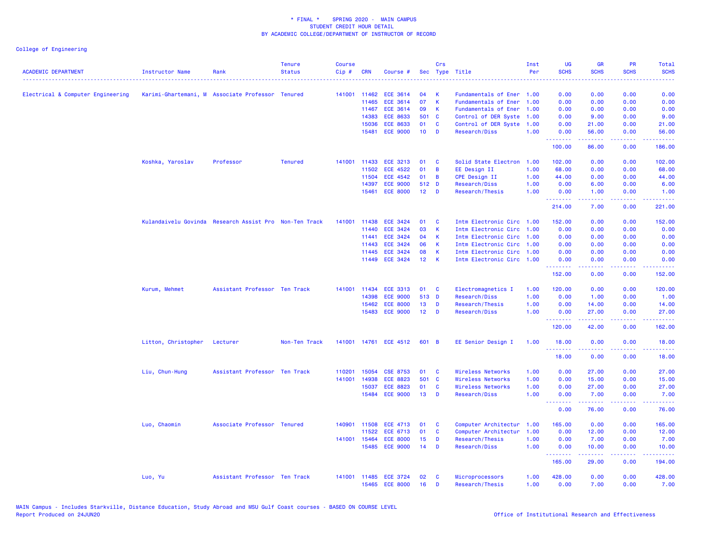| <b>ACADEMIC DEPARTMENT</b>        | Instructor Name                                  | Rank                                                   | <b>Tenure</b><br><b>Status</b> | <b>Course</b><br>$Cip$ # | <b>CRN</b>   | Course #                         |                  | Crs          | Sec Type Title                     | Inst<br>Per  | <b>UG</b><br><b>SCHS</b> | <b>GR</b><br><b>SCHS</b>                                                                                                                                      | PR<br><b>SCHS</b> | Total<br><b>SCHS</b> |
|-----------------------------------|--------------------------------------------------|--------------------------------------------------------|--------------------------------|--------------------------|--------------|----------------------------------|------------------|--------------|------------------------------------|--------------|--------------------------|---------------------------------------------------------------------------------------------------------------------------------------------------------------|-------------------|----------------------|
| Electrical & Computer Engineering | Karimi-Ghartemani, M Associate Professor Tenured |                                                        |                                |                          | 141001 11462 | <b>ECE 3614</b>                  | 04               | K            | Fundamentals of Ener 1.00          |              | 0.00                     | 0.00                                                                                                                                                          | 0.00              | 0.00                 |
|                                   |                                                  |                                                        |                                |                          | 11465        | <b>ECE 3614</b>                  | 07               | $\mathbf{K}$ | Fundamentals of Ener               | 1.00         | 0.00                     | 0.00                                                                                                                                                          | 0.00              | 0.00                 |
|                                   |                                                  |                                                        |                                |                          | 11467        | <b>ECE 3614</b>                  | 09               | К            | Fundamentals of Ener               | 1.00         | 0.00                     | 0.00                                                                                                                                                          | 0.00              | 0.00                 |
|                                   |                                                  |                                                        |                                |                          | 14383        | <b>ECE 8633</b>                  | 501 C            |              | Control of DER Syste 1.00          |              | 0.00                     | 9.00                                                                                                                                                          | 0.00              | 9.00                 |
|                                   |                                                  |                                                        |                                |                          | 15036        | <b>ECE 8633</b>                  | 01               | $\mathbf{C}$ | Control of DER Syste 1.00          |              | 0.00                     | 21.00                                                                                                                                                         | 0.00              | 21.00                |
|                                   |                                                  |                                                        |                                |                          | 15481        | <b>ECE 9000</b>                  | 10 <sub>1</sub>  | D            | Research/Diss                      | 1.00         | 0.00<br>.                | 56.00<br>$\frac{1}{2} \left( \frac{1}{2} \right) \left( \frac{1}{2} \right) \left( \frac{1}{2} \right) \left( \frac{1}{2} \right) \left( \frac{1}{2} \right)$ | 0.00<br>د د د د   | 56.00<br>وعاعاها     |
|                                   |                                                  |                                                        |                                |                          |              |                                  |                  |              |                                    |              | 100.00                   | 86.00                                                                                                                                                         | 0.00              | 186.00               |
|                                   | Koshka, Yaroslav                                 | Professor                                              | <b>Tenured</b>                 | 141001                   | 11433        | <b>ECE 3213</b>                  | 01               | <b>C</b>     | Solid State Electron 1.00          |              | 102.00                   | 0.00                                                                                                                                                          | 0.00              | 102.00               |
|                                   |                                                  |                                                        |                                |                          | 11502        | <b>ECE 4522</b>                  | 01               | B            | EE Design II                       | 1.00         | 68.00                    | 0.00                                                                                                                                                          | 0.00              | 68.00                |
|                                   |                                                  |                                                        |                                |                          | 11504        | <b>ECE 4542</b>                  | 01               | B            | <b>CPE Design II</b>               | 1.00         | 44.00                    | 0.00                                                                                                                                                          | 0.00              | 44.00                |
|                                   |                                                  |                                                        |                                |                          | 14397        | <b>ECE 9000</b>                  | 512 D            |              | Research/Diss                      | 1.00         | 0.00                     | 6.00                                                                                                                                                          | 0.00              | 6.00                 |
|                                   |                                                  |                                                        |                                |                          | 15461        | <b>ECE 8000</b>                  | 12 <sub>1</sub>  | $\mathbf{D}$ | Research/Thesis                    | 1.00         | 0.00<br><u>.</u>         | 1.00<br>2.2.2.2.2                                                                                                                                             | 0.00<br>.         | 1.00<br>.            |
|                                   |                                                  |                                                        |                                |                          |              |                                  |                  |              |                                    |              | 214.00                   | 7.00                                                                                                                                                          | 0.00              | 221.00               |
|                                   |                                                  | Kulandaivelu Govinda Research Assist Pro Non-Ten Track |                                | 141001                   | 11438        | <b>ECE 3424</b>                  | 01               | <b>C</b>     | Intm Electronic Circ 1.00          |              | 152.00                   | 0.00                                                                                                                                                          | 0.00              | 152.00               |
|                                   |                                                  |                                                        |                                |                          | 11440        | <b>ECE 3424</b>                  | 03               | $\mathsf{K}$ | Intm Electronic Circ 1.00          |              | 0.00                     | 0.00                                                                                                                                                          | 0.00              | 0.00                 |
|                                   |                                                  |                                                        |                                |                          | 11441        | <b>ECE 3424</b>                  | 04               | K            | Intm Electronic Circ 1.00          |              | 0.00                     | 0.00                                                                                                                                                          | 0.00              | 0.00                 |
|                                   |                                                  |                                                        |                                |                          | 11443        | <b>ECE 3424</b>                  | 06               | K            | Intm Electronic Circ 1.00          |              | 0.00                     | 0.00                                                                                                                                                          | 0.00              | 0.00                 |
|                                   |                                                  |                                                        |                                |                          | 11445        | <b>ECE 3424</b>                  | 08               | K            | Intm Electronic Circ 1.00          |              | 0.00                     | 0.00                                                                                                                                                          | 0.00              | 0.00                 |
|                                   |                                                  |                                                        |                                |                          |              | 11449 ECE 3424                   | 12 <sup>12</sup> | $\mathsf{K}$ | Intm Electronic Circ 1.00          |              | 0.00                     | 0.00                                                                                                                                                          | 0.00              | 0.00                 |
|                                   |                                                  |                                                        |                                |                          |              |                                  |                  |              |                                    |              | <u>.</u><br>152.00       | .<br>0.00                                                                                                                                                     | .<br>0.00         | <u>.</u><br>152.00   |
|                                   | Kurum, Mehmet                                    | Assistant Professor Ten Track                          |                                | 141001                   | 11434        | <b>ECE 3313</b>                  | 01               | <b>C</b>     | Electromagnetics I                 | 1.00         | 120.00                   | 0.00                                                                                                                                                          | 0.00              | 120.00               |
|                                   |                                                  |                                                        |                                |                          | 14398        | <b>ECE 9000</b>                  | 513 D            |              | Research/Diss                      | 1.00         | 0.00                     | 1.00                                                                                                                                                          | 0.00              | 1.00                 |
|                                   |                                                  |                                                        |                                |                          | 15462        | <b>ECE 8000</b>                  | 13               | D            | Research/Thesis                    | 1.00         | 0.00                     | 14.00                                                                                                                                                         | 0.00              | 14.00                |
|                                   |                                                  |                                                        |                                |                          | 15483        | <b>ECE 9000</b>                  | 12 <sub>2</sub>  | <b>D</b>     | Research/Diss                      | 1.00         | 0.00<br><u>.</u>         | 27.00                                                                                                                                                         | 0.00              | 27.00<br>.           |
|                                   |                                                  |                                                        |                                |                          |              |                                  |                  |              |                                    |              | 120.00                   | 42.00                                                                                                                                                         | 0.00              | 162.00               |
|                                   | Litton, Christopher                              | Lecturer                                               | Non-Ten Track                  | 141001                   |              | 14761 ECE 4512                   | 601 B            |              | EE Senior Design I                 | 1.00         | 18.00                    | 0.00                                                                                                                                                          | 0.00              | 18.00                |
|                                   |                                                  |                                                        |                                |                          |              |                                  |                  |              |                                    |              | .<br>18.00               | والمستبدات<br>0.00                                                                                                                                            | د د د د .<br>0.00 | وعاعاها<br>18.00     |
|                                   | Liu, Chun-Hung                                   | Assistant Professor Ten Track                          |                                | 110201                   | 15054        | <b>CSE 8753</b>                  | 01               | <b>C</b>     | Wireless Networks                  | 1.00         | 0.00                     | 27.00                                                                                                                                                         | 0.00              | 27.00                |
|                                   |                                                  |                                                        |                                | 141001                   | 14938        | <b>ECE 8823</b>                  | 501 C            |              | <b>Wireless Networks</b>           | 1.00         | 0.00                     | 15.00                                                                                                                                                         | 0.00              | 15.00                |
|                                   |                                                  |                                                        |                                |                          | 15037        | <b>ECE 8823</b>                  | 01               | C            | Wireless Networks                  | 1.00         | 0.00                     | 27.00                                                                                                                                                         | 0.00              | 27.00                |
|                                   |                                                  |                                                        |                                |                          |              | 15484 ECE 9000                   | 13               | <b>D</b>     | Research/Diss                      | 1.00         | 0.00                     | 7.00                                                                                                                                                          | 0.00              | 7.00                 |
|                                   |                                                  |                                                        |                                |                          |              |                                  |                  |              |                                    |              | <u>.</u><br>0.00         | .<br>76.00                                                                                                                                                    | .<br>0.00         | .<br>76.00           |
|                                   | Luo, Chaomin                                     | Associate Professor Tenured                            |                                | 140901                   | 11508        | ECE 4713                         | 01               | C            | Computer Architectur               | 1.00         | 165.00                   | 0.00                                                                                                                                                          | 0.00              | 165.00               |
|                                   |                                                  |                                                        |                                |                          | 11522        | <b>ECE 6713</b>                  | 01               | C            | Computer Architectur               | 1.00         | 0.00                     | 12.00                                                                                                                                                         | 0.00              | 12.00                |
|                                   |                                                  |                                                        |                                | 141001                   | 15464        | <b>ECE 8000</b>                  | 15               | D            | Research/Thesis                    | 1.00         | 0.00                     | 7.00                                                                                                                                                          | 0.00              | 7.00                 |
|                                   |                                                  |                                                        |                                |                          | 15485        | <b>ECE 9000</b>                  | 14               | D            | Research/Diss                      | 1.00         | 0.00                     | 10.00<br>.                                                                                                                                                    | 0.00<br>.         | 10.00<br>.           |
|                                   |                                                  |                                                        |                                |                          |              |                                  |                  |              |                                    |              | 165.00                   | 29.00                                                                                                                                                         | 0.00              | 194.00               |
|                                   | Luo, Yu                                          | Assistant Professor Ten Track                          |                                | 141001                   |              | 11485 ECE 3724<br>15465 ECE 8000 | 02<br>16         | C<br>D       | Microprocessors<br>Research/Thesis | 1.00<br>1.00 | 428.00<br>0.00           | 0.00<br>7.00                                                                                                                                                  | 0.00<br>0.00      | 428.00<br>7.00       |
|                                   |                                                  |                                                        |                                |                          |              |                                  |                  |              |                                    |              |                          |                                                                                                                                                               |                   |                      |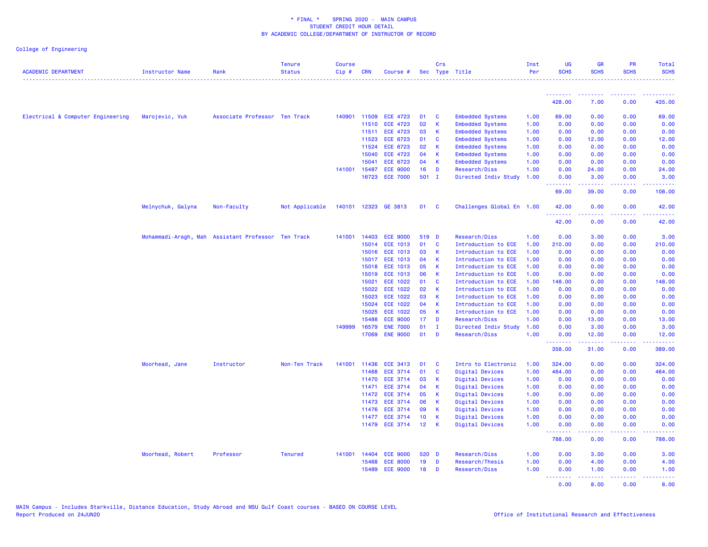| <b>ACADEMIC DEPARTMENT</b>        | Instructor Name      | Rank                          | <b>Tenure</b><br><b>Status</b> | <b>Course</b><br>Cip# | <b>CRN</b>   | Course #        |                 | Crs                     | Sec Type Title            | Inst<br>Per | <b>UG</b><br><b>SCHS</b> | <b>GR</b><br><b>SCHS</b>                                                                                                                                      | <b>PR</b><br><b>SCHS</b> | Total<br><b>SCHS</b> |
|-----------------------------------|----------------------|-------------------------------|--------------------------------|-----------------------|--------------|-----------------|-----------------|-------------------------|---------------------------|-------------|--------------------------|---------------------------------------------------------------------------------------------------------------------------------------------------------------|--------------------------|----------------------|
|                                   |                      |                               |                                |                       |              |                 |                 |                         |                           |             | <b></b>                  | <b><i><u>AAAAAAAA</u></i></b>                                                                                                                                 | <u>.</u>                 |                      |
|                                   |                      |                               |                                |                       |              |                 |                 |                         |                           |             | 428.00                   | 7.00                                                                                                                                                          | 0.00                     | 435.00               |
| Electrical & Computer Engineering | Marojevic, Vuk       | Associate Professor Ten Track |                                | 140901                | 11509        | <b>ECE 4723</b> | 01              | <b>C</b>                | <b>Embedded Systems</b>   | 1.00        | 69.00                    | 0.00                                                                                                                                                          | 0.00                     | 69.00                |
|                                   |                      |                               |                                |                       | 11510        | <b>ECE 4723</b> | 02              | $\mathbf{K}$            | <b>Embedded Systems</b>   | 1.00        | 0.00                     | 0.00                                                                                                                                                          | 0.00                     | 0.00                 |
|                                   |                      |                               |                                |                       | 11511        | <b>ECE 4723</b> | 03              | <b>K</b>                | <b>Embedded Systems</b>   | 1.00        | 0.00                     | 0.00                                                                                                                                                          | 0.00                     | 0.00                 |
|                                   |                      |                               |                                |                       | 11523        | <b>ECE 6723</b> | 01              | <b>C</b>                | <b>Embedded Systems</b>   | 1.00        | 0.00                     | 12.00                                                                                                                                                         | 0.00                     | 12.00                |
|                                   |                      |                               |                                |                       | 11524        | <b>ECE 6723</b> | 02              | K                       | <b>Embedded Systems</b>   | 1.00        | 0.00                     | 0.00                                                                                                                                                          | 0.00                     | 0.00                 |
|                                   |                      |                               |                                |                       | 15040        | <b>ECE 4723</b> | 04              | <b>K</b>                | <b>Embedded Systems</b>   | 1.00        | 0.00                     | 0.00                                                                                                                                                          | 0.00                     | 0.00                 |
|                                   |                      |                               |                                |                       | 15041        | <b>ECE 6723</b> | 04              | K                       | <b>Embedded Systems</b>   | 1.00        | 0.00                     | 0.00                                                                                                                                                          | 0.00                     | 0.00                 |
|                                   |                      |                               |                                | 141001                | 15487        | <b>ECE 9000</b> | 16              | $\mathbf{D}$            | Research/Diss             | 1.00        | 0.00                     | 24.00                                                                                                                                                         | 0.00                     | 24.00                |
|                                   |                      |                               |                                |                       | 16723        | <b>ECE 7000</b> | $501$ I         |                         | Directed Indiv Study      | 1.00        | 0.00<br>.                | 3.00<br>$\frac{1}{2} \left( \frac{1}{2} \right) \left( \frac{1}{2} \right) \left( \frac{1}{2} \right) \left( \frac{1}{2} \right) \left( \frac{1}{2} \right)$  | 0.00<br>.                | 3.00<br>المستمالات   |
|                                   |                      |                               |                                |                       |              |                 |                 |                         |                           |             | 69.00                    | 39.00                                                                                                                                                         | 0.00                     | 108.00               |
|                                   | Melnychuk, Galyna    | Non-Faculty                   | Not Applicable                 | 140101                |              | 12323 GE 3813   | 01              | $\overline{\mathbf{C}}$ | Challenges Global En 1.00 |             | 42.00<br>.               | 0.00                                                                                                                                                          | 0.00                     | 42.00                |
|                                   |                      |                               |                                |                       |              |                 |                 |                         |                           |             | 42.00                    | 0.00                                                                                                                                                          | 0.00                     | 42.00                |
|                                   | Mohammadi-Aragh, Mah | Assistant Professor Ten Track |                                | 141001                | 14403        | <b>ECE 9000</b> | 519 D           |                         | Research/Diss             | 1.00        | 0.00                     | 3.00                                                                                                                                                          | 0.00                     | 3.00                 |
|                                   |                      |                               |                                |                       | 15014        | <b>ECE 1013</b> | 01              | $\mathbf{C}$            | Introduction to ECE       | 1.00        | 210.00                   | 0.00                                                                                                                                                          | 0.00                     | 210.00               |
|                                   |                      |                               |                                |                       | 15016        | <b>ECE 1013</b> | 03              | K                       | Introduction to ECE       | 1.00        | 0.00                     | 0.00                                                                                                                                                          | 0.00                     | 0.00                 |
|                                   |                      |                               |                                |                       | 15017        | <b>ECE 1013</b> | 04              | K                       | Introduction to ECE       | 1.00        | 0.00                     | 0.00                                                                                                                                                          | 0.00                     | 0.00                 |
|                                   |                      |                               |                                |                       | 15018        | <b>ECE 1013</b> | 05              | $\mathbf{K}$            | Introduction to ECE       | 1.00        | 0.00                     | 0.00                                                                                                                                                          | 0.00                     | 0.00                 |
|                                   |                      |                               |                                |                       | 15019        | <b>ECE 1013</b> | 06              | $\mathsf{K}$            | Introduction to ECE       | 1.00        | 0.00                     | 0.00                                                                                                                                                          | 0.00                     | 0.00                 |
|                                   |                      |                               |                                |                       | 15021        | <b>ECE 1022</b> | 01              | <b>C</b>                | Introduction to ECE       | 1.00        | 148.00                   | 0.00                                                                                                                                                          | 0.00                     | 148.00               |
|                                   |                      |                               |                                |                       | 15022        | <b>ECE 1022</b> | 02              | K                       | Introduction to ECE       | 1.00        | 0.00                     | 0.00                                                                                                                                                          | 0.00                     | 0.00                 |
|                                   |                      |                               |                                |                       | 15023        | <b>ECE 1022</b> | 03              | K                       | Introduction to ECE       | 1.00        | 0.00                     | 0.00                                                                                                                                                          | 0.00                     | 0.00                 |
|                                   |                      |                               |                                |                       | 15024        | ECE 1022        | 04              | K                       | Introduction to ECE       | 1.00        | 0.00                     | 0.00                                                                                                                                                          | 0.00                     | 0.00                 |
|                                   |                      |                               |                                |                       | 15025        | <b>ECE 1022</b> | 05              | K                       | Introduction to ECE       | 1.00        | 0.00                     | 0.00                                                                                                                                                          | 0.00                     | 0.00                 |
|                                   |                      |                               |                                |                       | 15488        | <b>ECE 9000</b> | 17              | <b>D</b>                | Research/Diss             | 1.00        | 0.00                     | 13.00                                                                                                                                                         | 0.00                     | 13.00                |
|                                   |                      |                               |                                | 149999                | 16579        | <b>ENE 7000</b> | 01              | $\mathbf{I}$            | Directed Indiv Study      | 1.00        | 0.00                     | 3.00                                                                                                                                                          | 0.00                     | 3.00                 |
|                                   |                      |                               |                                |                       | 17069        | <b>ENE 9000</b> | 01              | <b>D</b>                | Research/Diss             | 1.00        | 0.00                     | 12.00                                                                                                                                                         | 0.00                     | 12.00                |
|                                   |                      |                               |                                |                       |              |                 |                 |                         |                           |             | .<br>358.00              | $\frac{1}{2} \left( \frac{1}{2} \right) \left( \frac{1}{2} \right) \left( \frac{1}{2} \right) \left( \frac{1}{2} \right) \left( \frac{1}{2} \right)$<br>31.00 | .<br>0.00                | .<br>389.00          |
|                                   | Moorhead, Jane       | Instructor                    | Non-Ten Track                  |                       | 141001 11436 | <b>ECE 3413</b> | 01              | $\mathbf{C}$            | Intro to Electronic       | 1.00        | 324.00                   | 0.00                                                                                                                                                          | 0.00                     | 324.00               |
|                                   |                      |                               |                                |                       | 11468        | <b>ECE 3714</b> | 01              | $\mathbf{C}$            | Digital Devices           | 1.00        | 464.00                   | 0.00                                                                                                                                                          | 0.00                     | 464.00               |
|                                   |                      |                               |                                |                       | 11470        | <b>ECE 3714</b> | 03              | - K                     | Digital Devices           | 1.00        | 0.00                     | 0.00                                                                                                                                                          | 0.00                     | 0.00                 |
|                                   |                      |                               |                                |                       | 11471        | <b>ECE 3714</b> | 04              | $\mathbf{K}$            | Digital Devices           | 1.00        | 0.00                     | 0.00                                                                                                                                                          | 0.00                     | 0.00                 |
|                                   |                      |                               |                                |                       | 11472        | <b>ECE 3714</b> | 05              | $\overline{\mathbf{K}}$ | Digital Devices           | 1.00        | 0.00                     | 0.00                                                                                                                                                          | 0.00                     | 0.00                 |
|                                   |                      |                               |                                |                       | 11473        | <b>ECE 3714</b> | 06              | - K                     | Digital Devices           | 1.00        | 0.00                     | 0.00                                                                                                                                                          | 0.00                     | 0.00                 |
|                                   |                      |                               |                                |                       | 11476        | <b>ECE 3714</b> | 09              | $\mathbf{K}$            | Digital Devices           | 1.00        | 0.00                     | 0.00                                                                                                                                                          | 0.00                     | 0.00                 |
|                                   |                      |                               |                                |                       | 11477        | <b>ECE 3714</b> | 10              | $\overline{\mathbf{K}}$ | Digital Devices           | 1.00        | 0.00                     | 0.00                                                                                                                                                          | 0.00                     | 0.00                 |
|                                   |                      |                               |                                |                       |              | 11479 ECE 3714  | 12 <sub>2</sub> | <b>K</b>                | Digital Devices           | 1.00        | 0.00<br>.                | 0.00                                                                                                                                                          | 0.00                     | 0.00                 |
|                                   |                      |                               |                                |                       |              |                 |                 |                         |                           |             | 788.00                   | 0.00                                                                                                                                                          | 0.00                     | 788.00               |
|                                   | Moorhead, Robert     | Professor                     | <b>Tenured</b>                 |                       | 141001 14404 | <b>ECE 9000</b> | 520 D           |                         | <b>Research/Diss</b>      | 1.00        | 0.00                     | 3.00                                                                                                                                                          | 0.00                     | 3.00                 |
|                                   |                      |                               |                                |                       | 15468        | <b>ECE 8000</b> | 19              | <b>D</b>                | Research/Thesis           | 1.00        | 0.00                     | 4.00                                                                                                                                                          | 0.00                     | 4.00                 |
|                                   |                      |                               |                                |                       | 15489        | <b>ECE 9000</b> | 18              | D                       | Research/Diss             | 1.00        | 0.00                     | 1.00                                                                                                                                                          | 0.00                     | 1.00                 |
|                                   |                      |                               |                                |                       |              |                 |                 |                         |                           |             | .<br>0.00                | 8.00                                                                                                                                                          | 0.00                     | 8.00                 |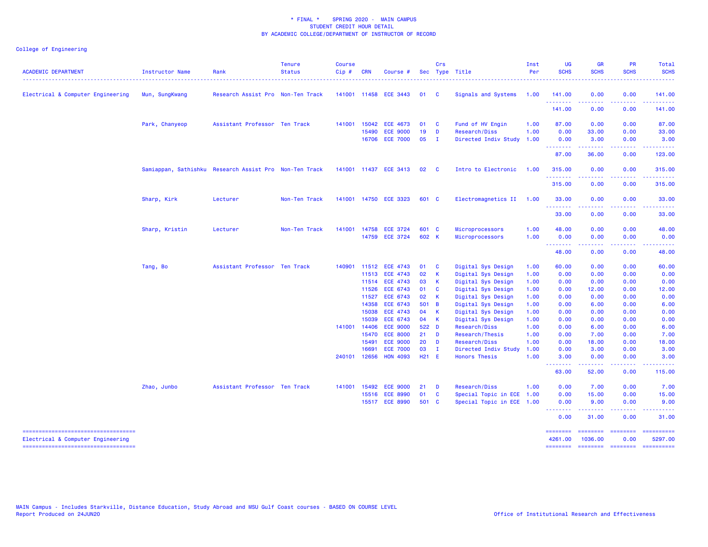# College of Engineering

| <b>ACADEMIC DEPARTMENT</b>                                               | Instructor Name | Rank                                                   | <b>Tenure</b><br><b>Status</b> | <b>Course</b><br>Cip# | <b>CRN</b>     | Course #                           |                   | Crs                          | Sec Type Title                        | Inst<br>Per  | <b>UG</b><br><b>SCHS</b> | <b>GR</b><br><b>SCHS</b>                                                                                                                                     | PR<br><b>SCHS</b>    | Total<br><b>SCHS</b><br><u>.</u> |
|--------------------------------------------------------------------------|-----------------|--------------------------------------------------------|--------------------------------|-----------------------|----------------|------------------------------------|-------------------|------------------------------|---------------------------------------|--------------|--------------------------|--------------------------------------------------------------------------------------------------------------------------------------------------------------|----------------------|----------------------------------|
| Electrical & Computer Engineering                                        | Mun, SungKwang  | Research Assist Pro Non-Ten Track                      |                                |                       |                | 141001 11458 ECE 3443              | 01                | $\mathbf{C}$                 | Signals and Systems                   | 1.00         | 141.00                   | 0.00                                                                                                                                                         | 0.00                 | 141.00                           |
|                                                                          |                 |                                                        |                                |                       |                |                                    |                   |                              |                                       |              | .<br>141.00              | 0.00                                                                                                                                                         | 0.00                 | 141.00                           |
|                                                                          | Park, Chanyeop  | Assistant Professor Ten Track                          |                                | 141001                | 15042          | <b>ECE 4673</b>                    | 01                | $\mathbf{C}$                 | Fund of HV Engin                      | 1.00         | 87.00                    | 0.00                                                                                                                                                         | 0.00                 | 87.00                            |
|                                                                          |                 |                                                        |                                |                       | 15490          | <b>ECE 9000</b>                    | 19                | D                            | Research/Diss                         | 1.00         | 0.00                     | 33.00                                                                                                                                                        | 0.00                 | 33.00                            |
|                                                                          |                 |                                                        |                                |                       | 16706          | <b>ECE 7000</b>                    | 05                | $\mathbf{I}$                 | Directed Indiv Study                  | 1.00         | 0.00                     | 3.00                                                                                                                                                         | 0.00                 | 3.00                             |
|                                                                          |                 |                                                        |                                |                       |                |                                    |                   |                              |                                       |              | --------<br>87.00        | . <u>.</u><br>36.00                                                                                                                                          | .<br>0.00            | <u>.</u><br>123.00               |
|                                                                          |                 | Samiappan, Sathishku Research Assist Pro Non-Ten Track |                                |                       |                | 141001 11437 ECE 3413              | 02                | $\overline{\mathbf{C}}$      | Intro to Electronic                   | 1.00         | 315.00                   | 0.00                                                                                                                                                         | 0.00                 | 315.00                           |
|                                                                          |                 |                                                        |                                |                       |                |                                    |                   |                              |                                       |              | <u>.</u><br>315.00       | $\frac{1}{2} \left( \frac{1}{2} \right) \left( \frac{1}{2} \right) \left( \frac{1}{2} \right) \left( \frac{1}{2} \right) \left( \frac{1}{2} \right)$<br>0.00 | .<br>0.00            | .<br>315.00                      |
|                                                                          | Sharp, Kirk     | Lecturer                                               | Non-Ten Track                  |                       |                | 141001 14750 ECE 3323              | 601 C             |                              | Electromagnetics II 1.00              |              | 33.00                    | 0.00                                                                                                                                                         | 0.00                 | 33.00                            |
|                                                                          |                 |                                                        |                                |                       |                |                                    |                   |                              |                                       |              | --------<br>33.00        | 0.00                                                                                                                                                         | . <b>.</b> .<br>0.00 | 33.00                            |
|                                                                          | Sharp, Kristin  | Lecturer                                               | Non-Ten Track                  | 141001                | 14758          | <b>ECE 3724</b>                    | 601 C             |                              | Microprocessors                       | 1.00         | 48.00                    | 0.00                                                                                                                                                         | 0.00                 | 48.00                            |
|                                                                          |                 |                                                        |                                |                       |                | 14759 ECE 3724                     | 602 K             |                              | Microprocessors                       | 1.00         | 0.00                     | 0.00                                                                                                                                                         | 0.00                 | 0.00                             |
|                                                                          |                 |                                                        |                                |                       |                |                                    |                   |                              |                                       |              | ---------<br>48.00       | <b>.</b><br>0.00                                                                                                                                             | .<br>0.00            | .<br>48.00                       |
|                                                                          | Tang, Bo        | Assistant Professor Ten Track                          |                                | 140901                | 11512          | <b>ECE 4743</b>                    | 01                | <b>C</b>                     | Digital Sys Design                    | 1.00         | 60.00                    | 0.00                                                                                                                                                         | 0.00                 | 60.00                            |
|                                                                          |                 |                                                        |                                |                       | 11513          | <b>ECE 4743</b>                    | 02                | $\mathbf{K}$                 | Digital Sys Design                    | 1.00         | 0.00                     | 0.00                                                                                                                                                         | 0.00                 | 0.00                             |
|                                                                          |                 |                                                        |                                |                       |                | 11514 ECE 4743                     | 03                | $\mathbf{K}$                 | Digital Sys Design                    | 1.00         | 0.00                     | 0.00                                                                                                                                                         | 0.00                 | 0.00                             |
|                                                                          |                 |                                                        |                                |                       | 11526          | ECE 6743                           | 01                | $\mathbf{C}$                 | Digital Sys Design                    | 1.00         | 0.00                     | 12.00                                                                                                                                                        | 0.00                 | 12.00                            |
|                                                                          |                 |                                                        |                                |                       | 11527          | <b>ECE 6743</b>                    | 02                | - K                          | Digital Sys Design                    | 1.00         | 0.00                     | 0.00                                                                                                                                                         | 0.00                 | 0.00                             |
|                                                                          |                 |                                                        |                                |                       | 14358          | <b>ECE 6743</b>                    | 501 B             |                              | Digital Sys Design                    | 1.00         | 0.00                     | 6.00                                                                                                                                                         | 0.00                 | 6.00                             |
|                                                                          |                 |                                                        |                                |                       | 15038          | <b>ECE 4743</b>                    | 04                | $\mathsf{K}$                 | Digital Sys Design                    | 1.00         | 0.00                     | 0.00                                                                                                                                                         | 0.00                 | 0.00                             |
|                                                                          |                 |                                                        |                                |                       | 15039          | <b>ECE 6743</b>                    | 04 K              |                              | Digital Sys Design                    | 1.00         | 0.00                     | 0.00                                                                                                                                                         | 0.00                 | 0.00                             |
|                                                                          |                 |                                                        |                                | 141001                | 14406          | <b>ECE 9000</b>                    | 522 D             |                              | Research/Diss                         | 1.00         | 0.00                     | 6.00                                                                                                                                                         | 0.00                 | 6.00                             |
|                                                                          |                 |                                                        |                                |                       | 15470<br>15491 | <b>ECE 8000</b>                    | $21$ D            |                              | Research/Thesis                       | 1.00         | 0.00                     | 7.00                                                                                                                                                         | 0.00                 | 7.00                             |
|                                                                          |                 |                                                        |                                |                       | 16691          | <b>ECE 9000</b><br><b>ECE 7000</b> | 20<br>03          | $\mathbf{D}$<br>$\mathbf{I}$ | Research/Diss<br>Directed Indiv Study | 1.00<br>1.00 | 0.00<br>0.00             | 18.00<br>3.00                                                                                                                                                | 0.00<br>0.00         | 18.00<br>3.00                    |
|                                                                          |                 |                                                        |                                | 240101                | 12656          | <b>HON 4093</b>                    | H <sub>21</sub> E |                              | <b>Honors Thesis</b>                  | 1.00         | 3.00                     | 0.00                                                                                                                                                         | 0.00                 | 3.00                             |
|                                                                          |                 |                                                        |                                |                       |                |                                    |                   |                              |                                       |              | 63.00                    | 52.00                                                                                                                                                        | 0.00                 | 115.00                           |
|                                                                          | Zhao, Junbo     | Assistant Professor Ten Track                          |                                | 141001                | 15492          | <b>ECE 9000</b>                    | 21                | $\blacksquare$               | Research/Diss                         | 1.00         | 0.00                     | 7.00                                                                                                                                                         | 0.00                 | 7.00                             |
|                                                                          |                 |                                                        |                                |                       | 15516          | <b>ECE 8990</b>                    | 01                | $\mathbf{C}$                 | Special Topic in ECE 1.00             |              | 0.00                     | 15.00                                                                                                                                                        | 0.00                 | 15.00                            |
|                                                                          |                 |                                                        |                                |                       |                | 15517 ECE 8990                     | 501 C             |                              | Special Topic in ECE 1.00             |              | 0.00                     | 9.00                                                                                                                                                         | 0.00                 | 9.00                             |
|                                                                          |                 |                                                        |                                |                       |                |                                    |                   |                              |                                       |              | <u>.</u><br>0.00         | .<br>31.00                                                                                                                                                   | .<br>0.00            | .<br>31.00                       |
| -----------------------------------<br>Electrical & Computer Engineering |                 |                                                        |                                |                       |                |                                    |                   |                              |                                       |              | ========<br>4261.00      | ========<br>1036.00                                                                                                                                          | $=$ ========<br>0.00 | ==========<br>5297.00            |

======== ======== ======== ==========

===================================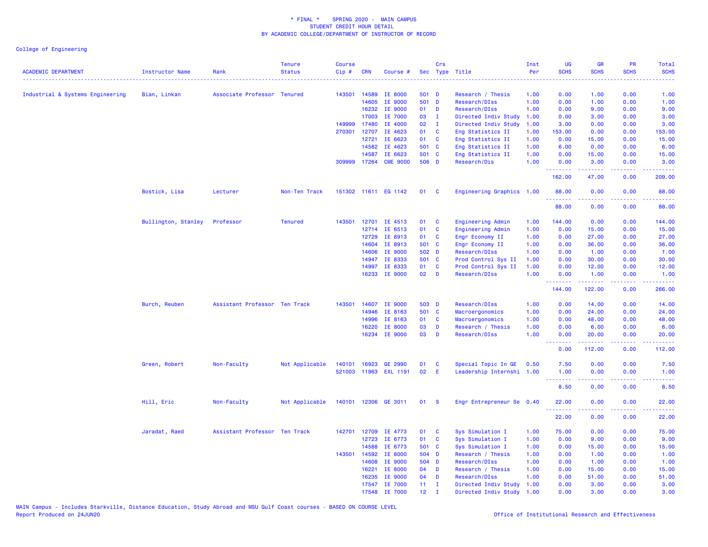| <b>ACADEMIC DEPARTMENT</b><br>------------------------------------ | <b>Instructor Name</b><br>. | Rank                          | <b>Tenure</b><br><b>Status</b> | Course<br>Cip# | <b>CRN</b>   | Course #                 |                                    | Crs                          | Sec Type Title            | Inst<br>Per | UG<br><b>SCHS</b> | <b>GR</b><br><b>SCHS</b> | PR<br><b>SCHS</b>                  | Total<br><b>SCHS</b>   |
|--------------------------------------------------------------------|-----------------------------|-------------------------------|--------------------------------|----------------|--------------|--------------------------|------------------------------------|------------------------------|---------------------------|-------------|-------------------|--------------------------|------------------------------------|------------------------|
| Industrial & Systems Engineering                                   | Bian, Linkan                | Associate Professor Tenured   |                                | 143501         | 14589        | IE 8000                  | 501 D                              |                              | Research / Thesis         | 1.00        | 0.00              | 1.00                     | 0.00                               | 1.00                   |
|                                                                    |                             |                               |                                |                | 14605        | IE 9000                  | 501 D                              |                              | Research/DIss             | 1.00        | 0.00              | 1.00                     | 0.00                               | 1.00                   |
|                                                                    |                             |                               |                                |                | 16232        | IE 9000                  | 01                                 | D                            | Research/DIss             | 1.00        | 0.00              | 9.00                     | 0.00                               | 9.00                   |
|                                                                    |                             |                               |                                |                | 17003        | IE 7000                  | 03                                 | $\mathbf{I}$                 | Directed Indiv Study      | 1.00        | 0.00              | 3.00                     | 0.00                               | 3.00                   |
|                                                                    |                             |                               |                                | 149999         | 17480        | IE 4000                  | 02                                 | $\mathbf{I}$                 | Directed Indiv Study      | 1.00        | 3.00              | 0.00                     | 0.00                               | 3.00                   |
|                                                                    |                             |                               |                                | 270301         | 12707        | IE 4623                  | 01                                 | $\mathbf{C}$                 | Eng Statistics II         | 1.00        | 153.00            | 0.00                     | 0.00                               | 153.00                 |
|                                                                    |                             |                               |                                |                | 12721        | IE 6623                  | 01                                 | C                            | Eng Statistics II         | 1.00        | 0.00              | 15.00                    | 0.00                               | 15.00                  |
|                                                                    |                             |                               |                                |                | 14582        | IE 4623                  | 501 C                              |                              | Eng Statistics II         | 1.00        | 6.00              | 0.00                     | 0.00                               | 6.00                   |
|                                                                    |                             |                               |                                |                | 14587        | IE 6623                  | 501 C                              |                              | Eng Statistics II         | 1.00        | 0.00              | 15.00                    | 0.00                               | 15.00                  |
|                                                                    |                             |                               |                                |                | 309999 17264 | <b>CME 9000</b>          | 506 D                              |                              | Research/Dis              | 1.00        | 0.00<br>.         | 3.00<br>22222            | 0.00<br>$\omega = \omega / \omega$ | 3.00<br>.              |
|                                                                    |                             |                               |                                |                |              |                          |                                    |                              |                           |             | 162.00            | 47.00                    | 0.00                               | 209.00                 |
|                                                                    | Bostick, Lisa               | Lecturer                      | Non-Ten Track                  |                |              | 151302 11611 EG 1142     | 01                                 | <b>C</b>                     | Engineering Graphics 1.00 |             | 88.00<br>.        | 0.00                     | 0.00                               | 88.00                  |
|                                                                    |                             |                               |                                |                |              |                          |                                    |                              |                           |             | 88.00             | 0.00                     | 0.00                               | 88.00                  |
|                                                                    | Bullington, Stanley         | Professor                     | <b>Tenured</b>                 | 143501         |              | 12701 IE 4513            | 01                                 | <b>C</b>                     | Engineering Admin         | 1.00        | 144.00            | 0.00                     | 0.00                               | 144.00                 |
|                                                                    |                             |                               |                                |                | 12714        | IE 6513                  | 01                                 | C                            | Engineering Admin         | 1.00        | 0.00              | 15.00                    | 0.00                               | 15.00                  |
|                                                                    |                             |                               |                                |                | 12729        | IE 8913                  | 01                                 | <b>C</b>                     | Engr Economy II           | 1.00        | 0.00              | 27.00                    | 0.00                               | 27.00                  |
|                                                                    |                             |                               |                                |                | 14604        | IE 8913                  | 501 C                              |                              | Engr Economy II           | 1.00        | 0.00              | 36.00                    | 0.00                               | 36.00                  |
|                                                                    |                             |                               |                                |                | 14606        | IE 9000                  | 502 D                              |                              | Research/DIss             | 1.00        | 0.00              | 1.00                     | 0.00                               | 1.00                   |
|                                                                    |                             |                               |                                |                | 14947        | IE 8333                  | 501 C                              |                              | Prod Control Sys II       | 1.00        | 0.00              | 30.00                    | 0.00                               | 30.00                  |
|                                                                    |                             |                               |                                |                | 14997        | IE 8333                  | 01                                 | $\mathbf{C}$                 | Prod Control Sys II       | 1.00        | 0.00              | 12.00                    | 0.00                               | 12.00                  |
|                                                                    |                             |                               |                                |                |              | 16233 IE 9000            | 02                                 | $\blacksquare$               | Research/DIss             | 1.00        | 0.00<br>--------  | 1.00<br>.                | 0.00<br>.                          | 1.00<br>------         |
|                                                                    |                             |                               |                                |                |              |                          |                                    |                              |                           |             | 144.00            | 122.00                   | 0.00                               | 266.00                 |
|                                                                    | Burch, Reuben               | Assistant Professor Ten Track |                                | 143501         | 14607        | <b>IE 9000</b>           | 503 D                              |                              | Research/DIss             | 1.00        | 0.00              | 14.00                    | 0.00                               | 14.00                  |
|                                                                    |                             |                               |                                |                | 14946        | IE 8163                  | 501 C                              |                              | Macroergonomics           | 1.00        | 0.00              | 24.00                    | 0.00                               | 24.00                  |
|                                                                    |                             |                               |                                |                | 14996        | IE 8163                  | 01                                 | C                            | Macroergonomics           | 1.00        | 0.00              | 48.00                    | 0.00                               | 48.00                  |
|                                                                    |                             |                               |                                |                | 16220        | IE 8000                  | 03                                 | D                            | Research / Thesis         | 1.00        | 0.00              | 6.00                     | 0.00                               | 6.00                   |
|                                                                    |                             |                               |                                |                |              | 16234 IE 9000            | 03                                 | D                            | Research/DIss             | 1.00        | 0.00              | 20.00                    | 0.00                               | 20.00                  |
|                                                                    |                             |                               |                                |                |              |                          |                                    |                              |                           |             | 0.00              | 112.00                   | 0.00                               | 112.00                 |
|                                                                    | Green, Robert               | Non-Faculty                   | Not Applicable                 | 140101         |              | 16923 GE 2990            | 01                                 | C                            | Special Topic In GE       | 0.50        | 7.50              | 0.00                     | 0.00                               | 7.50                   |
|                                                                    |                             |                               |                                | 521003         | 11963        | <b>EXL 1191</b>          | 02                                 | E                            | Leadership Internshi 1.00 |             | 1.00<br>.         | 0.00<br>.                | 0.00<br>$   -$                     | 1.00<br>المالمانية الم |
|                                                                    |                             |                               |                                |                |              |                          |                                    |                              |                           |             | 8.50              | 0.00                     | 0.00                               | 8.50                   |
|                                                                    | Hill, Eric                  | Non-Faculty                   | Not Applicable                 |                |              | 140101 12306 GE 3011     | 01                                 | $\mathbf{s}$                 | Engr Entrepreneur Se 0.40 |             | 22.00             | 0.00                     | 0.00                               | 22.00                  |
|                                                                    |                             |                               |                                |                |              |                          |                                    |                              |                           |             | 22.00             | 0.00                     | 0.00                               | 22.00                  |
|                                                                    | Jaradat, Raed               | Assistant Professor Ten Track |                                |                | 142701 12709 | IE 4773                  | 01                                 | <b>C</b>                     | Sys Simulation I          | 1.00        | 75.00             | 0.00                     | 0.00                               | 75.00                  |
|                                                                    |                             |                               |                                |                | 12723        | IE 6773                  | 01                                 | C                            | Sys Simulation I          | 1.00        | 0.00              | 9.00                     | 0.00                               | 9.00                   |
|                                                                    |                             |                               |                                |                | 14588        | IE 6773                  | 501 C                              |                              | Sys Simulation I          | 1.00        | 0.00              | 15.00                    | 0.00                               | 15.00                  |
|                                                                    |                             |                               |                                | 143501         | 14592        | IE 8000                  | 504 D                              |                              | Research / Thesis         | 1.00        | 0.00              | 1.00                     | 0.00                               | 1.00                   |
|                                                                    |                             |                               |                                |                | 14608        | IE 9000                  | 504 D                              |                              | Research/DIss             | 1.00        | 0.00              | 1.00                     | 0.00                               | 1.00                   |
|                                                                    |                             |                               |                                |                | 16221        | IE 8000                  | 04                                 | D                            | Research / Thesis         | 1.00        | 0.00              | 15.00                    | 0.00                               | 15.00                  |
|                                                                    |                             |                               |                                |                | 16235        | IE 9000                  | 04                                 | D                            | Research/DIss             | 1.00        | 0.00              | 51.00                    | 0.00                               | 51.00                  |
|                                                                    |                             |                               |                                |                |              | 17547 IE 7000<br>IE 7000 | 11 <sub>1</sub><br>12 <sub>1</sub> | $\mathbf{I}$<br>$\mathbf{T}$ | Directed Indiv Study      | 1.00        | 0.00              | 3.00<br>3.00             | 0.00<br>0.00                       | 3.00                   |
|                                                                    |                             |                               |                                |                | 17548        |                          |                                    |                              | Directed Indiv Study      | 1.00        | 0.00              |                          |                                    | 3.00                   |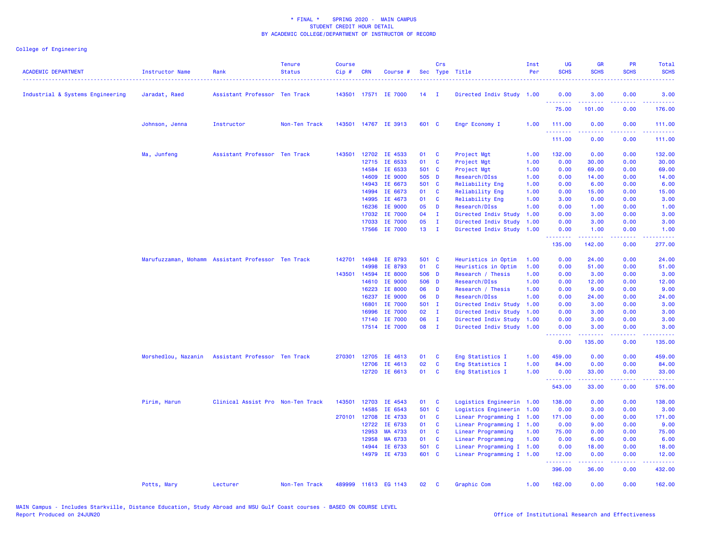| <b>ACADEMIC DEPARTMENT</b>       | <b>Instructor Name</b>                             | Rank                              | <b>Tenure</b><br><b>Status</b> | <b>Course</b><br>Cip# | <b>CRN</b> | Course #             |                 | Crs            | Sec Type Title            | Inst<br>Per | <b>UG</b><br><b>SCHS</b> | <b>GR</b><br><b>SCHS</b> | <b>PR</b><br><b>SCHS</b> | Total<br><b>SCHS</b> |
|----------------------------------|----------------------------------------------------|-----------------------------------|--------------------------------|-----------------------|------------|----------------------|-----------------|----------------|---------------------------|-------------|--------------------------|--------------------------|--------------------------|----------------------|
| Industrial & Systems Engineering | Jaradat, Raed                                      | Assistant Professor Ten Track     |                                |                       |            | 143501 17571 IE 7000 | 14              | $\blacksquare$ | Directed Indiv Study 1.00 |             | 0.00<br>.                | 3.00                     | 0.00                     | 3.00                 |
|                                  |                                                    |                                   |                                |                       |            |                      |                 |                |                           |             | 75.00                    | 101.00                   | 0.00                     | 176.00               |
|                                  | Johnson, Jenna                                     | Instructor                        | Non-Ten Track                  |                       |            | 143501 14767 IE 3913 | 601 C           |                | Engr Economy I            | 1.00        | 111.00<br>.              | 0.00                     | 0.00<br>2222             | 111.00               |
|                                  |                                                    |                                   |                                |                       |            |                      |                 |                |                           |             | 111.00                   | 0.00                     | 0.00                     | 111.00               |
|                                  | Ma, Junfeng                                        | Assistant Professor Ten Track     |                                | 143501                | 12702      | IE 4533              | 01              | C              | Project Mgt               | 1.00        | 132.00                   | 0.00                     | 0.00                     | 132.00               |
|                                  |                                                    |                                   |                                |                       | 12715      | IE 6533              | 01              | C              | Project Mgt               | 1.00        | 0.00                     | 30.00                    | 0.00                     | 30.00                |
|                                  |                                                    |                                   |                                |                       | 14584      | IE 6533              | 501 C           |                | Project Mgt               | 1.00        | 0.00                     | 69.00                    | 0.00                     | 69.00                |
|                                  |                                                    |                                   |                                |                       | 14609      | IE 9000              | 505 D           |                | Research/DIss             | 1.00        | 0.00                     | 14.00                    | 0.00                     | 14.00                |
|                                  |                                                    |                                   |                                |                       | 14943      | IE 6673              | 501 C           |                | Reliability Eng           | 1.00        | 0.00                     | 6.00                     | 0.00                     | 6.00                 |
|                                  |                                                    |                                   |                                |                       | 14994      | IE 6673              | 01              | <b>C</b>       | Reliability Eng           | 1.00        | 0.00                     | 15.00                    | 0.00                     | 15.00                |
|                                  |                                                    |                                   |                                |                       | 14995      | IE 4673              | 01              | C              | Reliability Eng           | 1.00        | 3.00                     | 0.00                     | 0.00                     | 3.00                 |
|                                  |                                                    |                                   |                                |                       | 16236      | IE 9000              | 05              | D              | Research/DIss             | 1.00        | 0.00                     | 1.00                     | 0.00                     | 1.00                 |
|                                  |                                                    |                                   |                                |                       | 17032      | IE 7000              | 04              | $\mathbf{I}$   | Directed Indiv Study      | 1.00        | 0.00                     | 3.00                     | 0.00                     | 3.00                 |
|                                  |                                                    |                                   |                                |                       | 17033      | IE 7000              | 05              | $\mathbf{I}$   | Directed Indiv Study      | 1.00        | 0.00                     | 3.00                     | 0.00                     | 3.00                 |
|                                  |                                                    |                                   |                                |                       | 17566      | IE 7000              | 13 <sup>°</sup> | $\mathbf{I}$   | Directed Indiv Study      | 1.00        | 0.00<br>والمتواويات      | 1.00<br>بالأباليات       | 0.00<br>الأنابات         | 1.00<br>.            |
|                                  |                                                    |                                   |                                |                       |            |                      |                 |                |                           |             | 135.00                   | 142.00                   | 0.00                     | 277.00               |
|                                  | Marufuzzaman, Mohamm Assistant Professor Ten Track |                                   |                                | 142701                | 14948      | IE 8793              | 501 C           |                | Heuristics in Optim       | 1.00        | 0.00                     | 24.00                    | 0.00                     | 24.00                |
|                                  |                                                    |                                   |                                |                       | 14998      | IE 8793              | 01              | C              | Heuristics in Optim       | 1.00        | 0.00                     | 51.00                    | 0.00                     | 51.00                |
|                                  |                                                    |                                   |                                | 143501                | 14594      | IE 8000              | 506 D           |                | Research / Thesis         | 1.00        | 0.00                     | 3.00                     | 0.00                     | 3.00                 |
|                                  |                                                    |                                   |                                |                       | 14610      | IE 9000              | 506 D           |                | Research/DIss             | 1.00        | 0.00                     | 12.00                    | 0.00                     | 12.00                |
|                                  |                                                    |                                   |                                |                       | 16223      | IE 8000              | 06              | D              | Research / Thesis         | 1.00        | 0.00                     | 9.00                     | 0.00                     | 9.00                 |
|                                  |                                                    |                                   |                                |                       | 16237      | IE 9000              | 06              | D              | Research/DIss             | 1.00        | 0.00                     | 24.00                    | 0.00                     | 24.00                |
|                                  |                                                    |                                   |                                |                       | 16801      | IE 7000              | 501 I           |                | Directed Indiv Study      | 1.00        | 0.00                     | 3.00                     | 0.00                     | 3.00                 |
|                                  |                                                    |                                   |                                |                       | 16996      | IE 7000              | 02              | $\mathbf{I}$   | Directed Indiv Study      | 1.00        | 0.00                     | 3.00                     | 0.00                     | 3.00                 |
|                                  |                                                    |                                   |                                |                       | 17140      | IE 7000              | 06              | $\mathbf{I}$   | Directed Indiv Study      | 1.00        | 0.00                     | 3.00                     | 0.00                     | 3.00                 |
|                                  |                                                    |                                   |                                |                       |            | 17514 IE 7000        | 08 I            |                | Directed Indiv Study 1.00 |             | 0.00<br><u>.</u>         | 3.00<br>.                | 0.00<br>.                | 3.00<br>.            |
|                                  |                                                    |                                   |                                |                       |            |                      |                 |                |                           |             | 0.00                     | 135.00                   | 0.00                     | 135.00               |
|                                  | Morshedlou, Nazanin Assistant Professor Ten Track  |                                   |                                | 270301                | 12705      | IE 4613              | 01              | C              | Eng Statistics I          | 1.00        | 459.00                   | 0.00                     | 0.00                     | 459.00               |
|                                  |                                                    |                                   |                                |                       | 12706      | IE 4613              | 02              | C              | Eng Statistics I          | 1.00        | 84.00                    | 0.00                     | 0.00                     | 84.00                |
|                                  |                                                    |                                   |                                |                       |            | 12720 IE 6613        | 01              | C              | Eng Statistics I          | 1.00        | 0.00                     | 33.00                    | 0.00<br>د د د د          | 33.00                |
|                                  |                                                    |                                   |                                |                       |            |                      |                 |                |                           |             | <b></b><br>543.00        | 22222<br>33.00           | 0.00                     | د د د د<br>576.00    |
|                                  | Pirim, Harun                                       | Clinical Assist Pro Non-Ten Track |                                | 143501                |            | 12703 IE 4543        | 01              | <b>C</b>       | Logistics Engineerin 1.00 |             | 138.00                   | 0.00                     | 0.00                     | 138.00               |
|                                  |                                                    |                                   |                                |                       | 14585      | IE 6543              | 501 C           |                | Logistics Engineerin 1.00 |             | 0.00                     | 3.00                     | 0.00                     | 3.00                 |
|                                  |                                                    |                                   |                                | 270101                | 12708      | IE 4733              | 01              | C              | Linear Programming I 1.00 |             | 171.00                   | 0.00                     | 0.00                     | 171.00               |
|                                  |                                                    |                                   |                                |                       | 12722      | IE 6733              | 01              | <b>C</b>       | Linear Programming I 1.00 |             | 0.00                     | 9.00                     | 0.00                     | 9.00                 |
|                                  |                                                    |                                   |                                |                       | 12953      | MA 4733              | 01              | $\mathbf{C}$   | Linear Programming        | 1.00        | 75.00                    | 0.00                     | 0.00                     | 75.00                |
|                                  |                                                    |                                   |                                |                       | 12958      | MA 6733              | 01              | <b>C</b>       | Linear Programming        | 1.00        | 0.00                     | 6.00                     | 0.00                     | 6.00                 |
|                                  |                                                    |                                   |                                |                       | 14944      | IE 6733              | 501 C           |                | Linear Programming I 1.00 |             | 0.00                     | 18.00                    | 0.00                     | 18.00                |
|                                  |                                                    |                                   |                                |                       |            | 14979 IE 4733        | 601 C           |                | Linear Programming I 1.00 |             | 12.00<br>.               | 0.00<br>المتمامين        | 0.00<br>22222            | 12.00<br><u>.</u>    |
|                                  |                                                    |                                   |                                |                       |            |                      |                 |                |                           |             | 396.00                   | 36.00                    | 0.00                     | 432.00               |
|                                  | Potts, Mary                                        | Lecturer                          | Non-Ten Track                  |                       |            | 489999 11613 EG 1143 | 02              | C              | Graphic Com               | 1.00        | 162.00                   | 0.00                     | 0.00                     | 162.00               |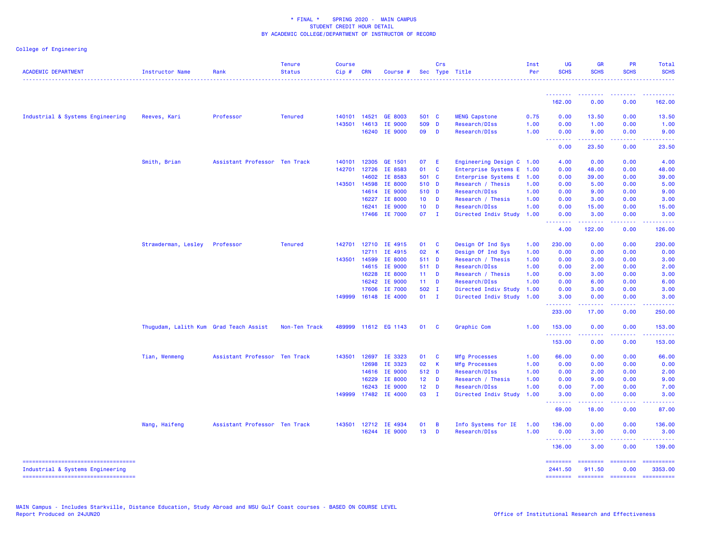| <b>ACADEMIC DEPARTMENT</b>                                                | <b>Instructor Name</b>                 | Rank                          | <b>Tenure</b><br><b>Status</b><br>. <u>.</u> | <b>Course</b><br>Cip# | <b>CRN</b>   | Course #             |                 | Crs            | Sec Type Title            | Inst<br>Per | <b>UG</b><br><b>SCHS</b> | <b>GR</b><br><b>SCHS</b>                                                                                                                                     | PR<br><b>SCHS</b>                   | Total<br><b>SCHS</b><br>.                                                                                                                                      |
|---------------------------------------------------------------------------|----------------------------------------|-------------------------------|----------------------------------------------|-----------------------|--------------|----------------------|-----------------|----------------|---------------------------|-------------|--------------------------|--------------------------------------------------------------------------------------------------------------------------------------------------------------|-------------------------------------|----------------------------------------------------------------------------------------------------------------------------------------------------------------|
|                                                                           |                                        |                               |                                              |                       |              |                      |                 |                |                           |             | <u>.</u> .               | <b><i><u><u><b>A</b></u></u></i></b>                                                                                                                         | <u> - - - - - - - -</u>             | .                                                                                                                                                              |
|                                                                           |                                        |                               |                                              |                       |              |                      |                 |                |                           |             | 162.00                   | 0.00                                                                                                                                                         | 0.00                                | 162.00                                                                                                                                                         |
| Industrial & Systems Engineering                                          | Reeves, Kari                           | Professor                     | <b>Tenured</b>                               |                       | 140101 14521 | GE 8003              | 501 C           |                | <b>MENG Capstone</b>      | 0.75        | 0.00                     | 13.50                                                                                                                                                        | 0.00                                | 13.50                                                                                                                                                          |
|                                                                           |                                        |                               |                                              | 143501                | 14613        | IE 9000              | 509 D           |                | Research/DIss             | 1.00        | 0.00                     | 1.00                                                                                                                                                         | 0.00                                | 1.00                                                                                                                                                           |
|                                                                           |                                        |                               |                                              |                       | 16240        | IE 9000              | 09              | D              | Research/DIss             | 1.00        | 0.00                     | 9.00                                                                                                                                                         | 0.00                                | 9.00                                                                                                                                                           |
|                                                                           |                                        |                               |                                              |                       |              |                      |                 |                |                           |             | <u>.</u><br>0.00         | <u>.</u><br>23.50                                                                                                                                            | .<br>0.00                           | .<br>23.50                                                                                                                                                     |
|                                                                           | Smith, Brian                           | Assistant Professor Ten Track |                                              | 140101                | 12305        | GE 1501              | 07              | - E            | Engineering Design C 1.00 |             | 4.00                     | 0.00                                                                                                                                                         | 0.00                                | 4.00                                                                                                                                                           |
|                                                                           |                                        |                               |                                              | 142701                | 12726        | IE 8583              | 01              | $\mathbf{C}$   | Enterprise Systems E 1.00 |             | 0.00                     | 48.00                                                                                                                                                        | 0.00                                | 48.00                                                                                                                                                          |
|                                                                           |                                        |                               |                                              |                       | 14602        | IE 8583              | 501 C           |                | Enterprise Systems E      | 1.00        | 0.00                     | 39.00                                                                                                                                                        | 0.00                                | 39.00                                                                                                                                                          |
|                                                                           |                                        |                               |                                              | 143501                | 14598        | IE 8000              | 510 D           |                | Research / Thesis         | 1.00        | 0.00                     | 5.00                                                                                                                                                         | 0.00                                | 5.00                                                                                                                                                           |
|                                                                           |                                        |                               |                                              |                       | 14614        | IE 9000              | 510 D           |                | Research/DIss             | 1.00        | 0.00                     | 9.00                                                                                                                                                         | 0.00                                | 9.00                                                                                                                                                           |
|                                                                           |                                        |                               |                                              |                       | 16227        | IE 8000              | 10              | D              | Research / Thesis         | 1.00        | 0.00                     | 3.00                                                                                                                                                         | 0.00                                | 3.00                                                                                                                                                           |
|                                                                           |                                        |                               |                                              |                       | 16241        | IE 9000              | $10$ D          |                | Research/DIss             | 1.00        | 0.00                     | 15.00                                                                                                                                                        | 0.00                                | 15.00                                                                                                                                                          |
|                                                                           |                                        |                               |                                              |                       |              | 17466 IE 7000        | $07$ I          |                | Directed Indiv Study      | 1.00        | 0.00                     | 3.00                                                                                                                                                         | 0.00<br>.                           | 3.00                                                                                                                                                           |
|                                                                           |                                        |                               |                                              |                       |              |                      |                 |                |                           |             | .<br>4.00                | .<br>122.00                                                                                                                                                  | 0.00                                | .<br>126.00                                                                                                                                                    |
|                                                                           | Strawderman, Lesley                    | Professor                     | <b>Tenured</b>                               | 142701                |              | 12710 IE 4915        | 01 C            |                | Design Of Ind Sys         | 1.00        | 230.00                   | 0.00                                                                                                                                                         | 0.00                                | 230.00                                                                                                                                                         |
|                                                                           |                                        |                               |                                              |                       | 12711        | IE 4915              | 02              | $\mathbf{K}$   | Design Of Ind Sys         | 1.00        | 0.00                     | 0.00                                                                                                                                                         | 0.00                                | 0.00                                                                                                                                                           |
|                                                                           |                                        |                               |                                              |                       | 143501 14599 | IE 8000              | 511 D           |                | Research / Thesis         | 1.00        | 0.00                     | 3.00                                                                                                                                                         | 0.00                                | 3.00                                                                                                                                                           |
|                                                                           |                                        |                               |                                              |                       | 14615        | IE 9000              | 511 D           |                | Research/DIss             | 1.00        | 0.00                     | 2.00                                                                                                                                                         | 0.00                                | 2.00                                                                                                                                                           |
|                                                                           |                                        |                               |                                              |                       | 16228        | IE 8000              | $11 -$          | D              | Research / Thesis         | 1.00        | 0.00                     | 3.00                                                                                                                                                         | 0.00                                | 3.00                                                                                                                                                           |
|                                                                           |                                        |                               |                                              |                       | 16242        | IE 9000              | 11              | D              | Research/DIss             | 1.00        | 0.00                     | 6.00                                                                                                                                                         | 0.00                                | 6.00                                                                                                                                                           |
|                                                                           |                                        |                               |                                              |                       | 17606        | IE 7000              | 502 I           |                | Directed Indiv Study      | 1.00        | 0.00                     | 3.00                                                                                                                                                         | 0.00                                | 3.00                                                                                                                                                           |
|                                                                           |                                        |                               |                                              | 149999                | 16148        | IE 4000              | $01$ I          |                | Directed Indiv Study      | 1.00        | 3.00<br>.                | 0.00                                                                                                                                                         | 0.00                                | 3.00                                                                                                                                                           |
|                                                                           |                                        |                               |                                              |                       |              |                      |                 |                |                           |             | 233.00                   | 17.00                                                                                                                                                        | 0.00                                | 250.00                                                                                                                                                         |
|                                                                           | Thugudam, Lalith Kum Grad Teach Assist |                               | Non-Ten Track                                | 489999                |              | 11612 EG 1143        | 01              | <b>C</b>       | Graphic Com               | 1.00        | 153.00<br>.              | 0.00<br>-----                                                                                                                                                | 0.00                                | 153.00<br>$\frac{1}{2} \left( \frac{1}{2} \right) \left( \frac{1}{2} \right) \left( \frac{1}{2} \right) \left( \frac{1}{2} \right) \left( \frac{1}{2} \right)$ |
|                                                                           |                                        |                               |                                              |                       |              |                      |                 |                |                           |             | 153.00                   | 0.00                                                                                                                                                         | 0.00                                | 153.00                                                                                                                                                         |
|                                                                           | Tian, Wenmeng                          | Assistant Professor Ten Track |                                              | 143501                | 12697        | IE 3323              | 01              | <b>C</b>       | Mfg Processes             | 1.00        | 66.00                    | 0.00                                                                                                                                                         | 0.00                                | 66.00                                                                                                                                                          |
|                                                                           |                                        |                               |                                              |                       | 12698        | IE 3323              | 02              | $\mathsf{K}$   | <b>Mfg Processes</b>      | 1.00        | 0.00                     | 0.00                                                                                                                                                         | 0.00                                | 0.00                                                                                                                                                           |
|                                                                           |                                        |                               |                                              |                       | 14616        | IE 9000              | 512 D           |                | Research/DIss             | 1.00        | 0.00                     | 2.00                                                                                                                                                         | 0.00                                | 2.00                                                                                                                                                           |
|                                                                           |                                        |                               |                                              |                       | 16229        | IE 8000              | $12$ D          |                | Research / Thesis         | 1.00        | 0.00                     | 9.00                                                                                                                                                         | 0.00                                | 9.00                                                                                                                                                           |
|                                                                           |                                        |                               |                                              |                       | 16243        | IE 9000              | 12 <sub>2</sub> | D              | Research/DIss             | 1.00        | 0.00                     | 7.00                                                                                                                                                         | 0.00                                | 7.00                                                                                                                                                           |
|                                                                           |                                        |                               |                                              |                       |              | 149999 17482 IE 4000 | 03              | $\blacksquare$ | Directed Indiv Study      | 1.00        | 3.00<br>.                | 0.00<br>$\frac{1}{2} \left( \frac{1}{2} \right) \left( \frac{1}{2} \right) \left( \frac{1}{2} \right) \left( \frac{1}{2} \right) \left( \frac{1}{2} \right)$ | 0.00<br>$\sim$ $\sim$ $\sim$ $\sim$ | 3.00                                                                                                                                                           |
|                                                                           |                                        |                               |                                              |                       |              |                      |                 |                |                           |             | 69.00                    | 18.00                                                                                                                                                        | 0.00                                | 87.00                                                                                                                                                          |
|                                                                           | Wang, Haifeng                          | Assistant Professor Ten Track |                                              | 143501                | 12712        | IE 4934              | 01              | $\overline{B}$ | Info Systems for IE       | 1.00        | 136.00                   | 0.00                                                                                                                                                         | 0.00                                | 136.00                                                                                                                                                         |
|                                                                           |                                        |                               |                                              |                       |              | 16244 IE 9000        | 13              | D              | Research/DIss             | 1.00        | 0.00<br>.                | 3.00                                                                                                                                                         | 0.00                                | 3.00<br>$- - - - - -$                                                                                                                                          |
|                                                                           |                                        |                               |                                              |                       |              |                      |                 |                |                           |             | 136.00                   | $\frac{1}{2} \left( \frac{1}{2} \right) \left( \frac{1}{2} \right) \left( \frac{1}{2} \right) \left( \frac{1}{2} \right) \left( \frac{1}{2} \right)$<br>3.00 | .<br>0.00                           | 139.00                                                                                                                                                         |
| =====================================<br>Industrial & Systems Engineering |                                        |                               |                                              |                       |              |                      |                 |                |                           |             | ========<br>2441.50      | ========<br>911.50                                                                                                                                           | <b>ESSESSE</b><br>0.00              | ==========<br>3353.00                                                                                                                                          |
| ----------------------------------                                        |                                        |                               |                                              |                       |              |                      |                 |                |                           |             | ========                 |                                                                                                                                                              |                                     | ======== ======== =========                                                                                                                                    |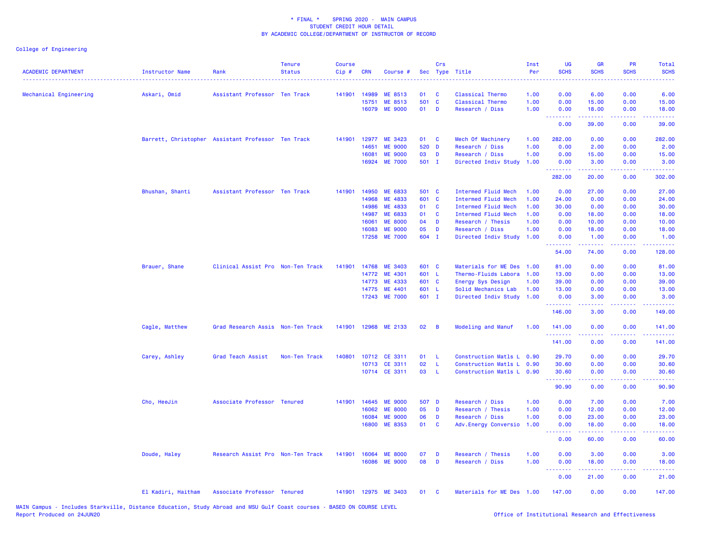| <b>ACADEMIC DEPARTMENT</b> | Instructor Name                                    | Rank                              | <b>Tenure</b><br><b>Status</b> | <b>Course</b><br>Cip# | CRN   | Course #             |        | Crs          | Sec Type Title             | Inst<br>Per | UG<br><b>SCHS</b>                            | <b>GR</b><br><b>SCHS</b>                                                                         | PR<br><b>SCHS</b>                                                                                      | Total<br><b>SCHS</b> |
|----------------------------|----------------------------------------------------|-----------------------------------|--------------------------------|-----------------------|-------|----------------------|--------|--------------|----------------------------|-------------|----------------------------------------------|--------------------------------------------------------------------------------------------------|--------------------------------------------------------------------------------------------------------|----------------------|
| Mechanical Engineering     | Askari, Omid                                       | Assistant Professor Ten Track     |                                | 141901                | 14989 | ME 8513              | 01     | <b>C</b>     | Classical Thermo           | 1.00        | 0.00                                         | 6.00                                                                                             | 0.00                                                                                                   | 6.00                 |
|                            |                                                    |                                   |                                |                       | 15751 | ME 8513              | 501 C  |              | <b>Classical Thermo</b>    | 1.00        | 0.00                                         | 15.00                                                                                            | 0.00                                                                                                   | 15.00                |
|                            |                                                    |                                   |                                |                       |       | 16079 ME 9000        | $01$ D |              | Research / Diss            | 1.00        | 0.00<br><b><i><u><u><b>A</b></u></u></i></b> | 18.00<br>.                                                                                       | 0.00<br>.                                                                                              | 18.00<br>.           |
|                            |                                                    |                                   |                                |                       |       |                      |        |              |                            |             | 0.00                                         | 39.00                                                                                            | 0.00                                                                                                   | 39.00                |
|                            | Barrett, Christopher Assistant Professor Ten Track |                                   |                                | 141901                |       | 12977 ME 3423        | 01 C   |              | Mech Of Machinery          | 1.00        | 282.00                                       | 0.00                                                                                             | 0.00                                                                                                   | 282.00               |
|                            |                                                    |                                   |                                |                       | 14651 | <b>ME 9000</b>       | 520 D  |              | Research / Diss            | 1.00        | 0.00                                         | 2.00                                                                                             | 0.00                                                                                                   | 2.00                 |
|                            |                                                    |                                   |                                |                       | 16081 | <b>ME 9000</b>       | 03     | D            | Research / Diss            | 1.00        | 0.00                                         | 15.00                                                                                            | 0.00                                                                                                   | 15.00                |
|                            |                                                    |                                   |                                |                       |       | 16924 ME 7000        | 501 I  |              | Directed Indiv Study       | 1.00        | 0.00<br>.                                    | 3.00<br>.                                                                                        | 0.00<br>$- - - -$                                                                                      | 3.00                 |
|                            |                                                    |                                   |                                |                       |       |                      |        |              |                            |             | 282.00                                       | 20.00                                                                                            | 0.00                                                                                                   | 302.00               |
|                            | Bhushan, Shanti                                    | Assistant Professor Ten Track     |                                | 141901                | 14950 | ME 6833              | 501 C  |              | Intermed Fluid Mech        | 1.00        | 0.00                                         | 27.00                                                                                            | 0.00                                                                                                   | 27.00                |
|                            |                                                    |                                   |                                |                       | 14968 | ME 4833              | 601 C  |              | <b>Intermed Fluid Mech</b> | 1.00        | 24.00                                        | 0.00                                                                                             | 0.00                                                                                                   | 24.00                |
|                            |                                                    |                                   |                                |                       | 14986 | ME 4833              | 01     | <b>C</b>     | Intermed Fluid Mech        | 1.00        | 30.00                                        | 0.00                                                                                             | 0.00                                                                                                   | 30.00                |
|                            |                                                    |                                   |                                |                       | 14987 | ME 6833              | 01     | <b>C</b>     | Intermed Fluid Mech        | 1.00        | 0.00                                         | 18.00                                                                                            | 0.00                                                                                                   | 18.00                |
|                            |                                                    |                                   |                                |                       | 16061 | <b>ME 8000</b>       | 04     | D            | Research / Thesis          | 1.00        | 0.00                                         | 10.00                                                                                            | 0.00                                                                                                   | 10.00                |
|                            |                                                    |                                   |                                |                       | 16083 | <b>ME 9000</b>       | 05     | D            | Research / Diss            | 1.00        | 0.00                                         | 18.00                                                                                            | 0.00                                                                                                   | 18.00                |
|                            |                                                    |                                   |                                |                       | 17258 | <b>ME 7000</b>       | 604 I  |              | Directed Indiv Study       | 1.00        | 0.00<br><u>.</u>                             | 1.00                                                                                             | 0.00<br>$\frac{1}{2} \left( \frac{1}{2} \right) \left( \frac{1}{2} \right) \left( \frac{1}{2} \right)$ | 1.00<br>.            |
|                            |                                                    |                                   |                                |                       |       |                      |        |              |                            |             | 54.00                                        | 74.00                                                                                            | 0.00                                                                                                   | 128.00               |
|                            | Brauer, Shane                                      | Clinical Assist Pro Non-Ten Track |                                | 141901                | 14768 | <b>ME 3403</b>       | 601 C  |              | Materials for ME Des 1.00  |             | 81.00                                        | 0.00                                                                                             | 0.00                                                                                                   | 81.00                |
|                            |                                                    |                                   |                                |                       | 14772 | ME 4301              | 601 L  |              | Thermo-Fluids Labora       | 1.00        | 13.00                                        | 0.00                                                                                             | 0.00                                                                                                   | 13.00                |
|                            |                                                    |                                   |                                |                       | 14773 | ME 4333              | 601 C  |              | Energy Sys Design          | 1.00        | 39.00                                        | 0.00                                                                                             | 0.00                                                                                                   | 39.00                |
|                            |                                                    |                                   |                                |                       | 14775 | ME 4401              | 601 L  |              | Solid Mechanics Lab        | 1.00        | 13.00                                        | 0.00                                                                                             | 0.00                                                                                                   | 13.00                |
|                            |                                                    |                                   |                                |                       |       | 17243 ME 7000        | 601 I  |              | Directed Indiv Study       | 1.00        | 0.00<br><b>.</b>                             | 3.00<br>.                                                                                        | 0.00<br>د د د د                                                                                        | 3.00<br>.            |
|                            |                                                    |                                   |                                |                       |       |                      |        |              |                            |             | 146.00                                       | 3.00                                                                                             | 0.00                                                                                                   | 149.00               |
|                            | Cagle, Matthew                                     | Grad Research Assis Non-Ten Track |                                | 141901                |       | 12968 ME 2133        | 02     | B            | Modeling and Manuf         | 1.00        | 141.00<br>.                                  | 0.00<br>-----                                                                                    | 0.00<br>د د د د                                                                                        | 141.00<br>.          |
|                            |                                                    |                                   |                                |                       |       |                      |        |              |                            |             | 141.00                                       | 0.00                                                                                             | 0.00                                                                                                   | 141.00               |
|                            | Carey, Ashley                                      | Grad Teach Assist                 | Non-Ten Track                  | 140801                |       | 10712 CE 3311        | 01     | L            | Construction Matls L 0.90  |             | 29.70                                        | 0.00                                                                                             | 0.00                                                                                                   | 29.70                |
|                            |                                                    |                                   |                                |                       |       | 10713 CE 3311        | 02     | L.           | Construction Matls L 0.90  |             | 30.60                                        | 0.00                                                                                             | 0.00                                                                                                   | 30.60                |
|                            |                                                    |                                   |                                |                       |       | 10714 CE 3311        | 03     | -L.          | Construction Matls L 0.90  |             | 30.60<br><u>.</u>                            | 0.00                                                                                             | 0.00<br>د د د د .                                                                                      | 30.60<br>المتمامين   |
|                            |                                                    |                                   |                                |                       |       |                      |        |              |                            |             | 90.90                                        | -----<br>0.00                                                                                    | 0.00                                                                                                   | 90.90                |
|                            | Cho, HeeJin                                        | Associate Professor Tenured       |                                | 141901                | 14645 | <b>ME 9000</b>       | 507 D  |              | Research / Diss            | 1.00        | 0.00                                         | 7.00                                                                                             | 0.00                                                                                                   | 7.00                 |
|                            |                                                    |                                   |                                |                       | 16062 | <b>ME 8000</b>       | 05     | D            | Research / Thesis          | 1.00        | 0.00                                         | 12.00                                                                                            | 0.00                                                                                                   | 12.00                |
|                            |                                                    |                                   |                                |                       | 16084 | <b>ME 9000</b>       | 06     | D            | Research / Diss            | 1.00        | 0.00                                         | 23.00                                                                                            | 0.00                                                                                                   | 23.00                |
|                            |                                                    |                                   |                                |                       | 16800 | ME 8353              | 01     | $\mathbf{C}$ | Adv.Energy Conversio       | 1.00        | 0.00<br>.                                    | 18.00<br>$\mathbf{L}^{\prime} = \mathbf{L}^{\prime} + \mathbf{L}^{\prime} + \mathbf{L}^{\prime}$ | 0.00<br>.                                                                                              | 18.00<br>بالأنابات   |
|                            |                                                    |                                   |                                |                       |       |                      |        |              |                            |             | 0.00                                         | 60.00                                                                                            | 0.00                                                                                                   | 60.00                |
|                            | Doude, Haley                                       | Research Assist Pro Non-Ten Track |                                | 141901                | 16064 | <b>ME 8000</b>       | 07     | D            | Research / Thesis          | 1.00        | 0.00                                         | 3.00                                                                                             | 0.00                                                                                                   | 3.00                 |
|                            |                                                    |                                   |                                |                       |       | 16086 ME 9000        | 08     | D            | Research / Diss            | 1.00        | 0.00                                         | 18.00                                                                                            | 0.00                                                                                                   | 18.00                |
|                            |                                                    |                                   |                                |                       |       |                      |        |              |                            |             | <b></b><br>0.00                              | 21.00                                                                                            | 0.00                                                                                                   | .<br>21.00           |
|                            | El Kadiri, Haitham                                 | Associate Professor Tenured       |                                |                       |       | 141901 12975 ME 3403 | 01     | <b>C</b>     | Materials for ME Des 1.00  |             | 147.00                                       | 0.00                                                                                             | 0.00                                                                                                   | 147.00               |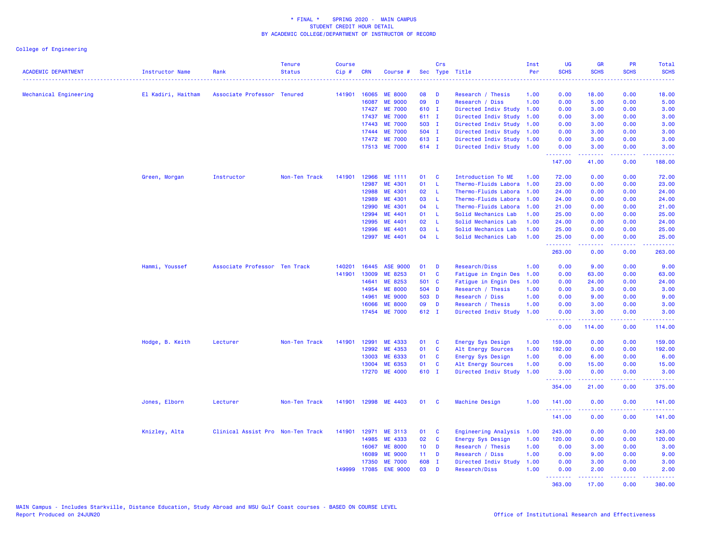| <b>ACADEMIC DEPARTMENT</b> | Instructor Name    | Rank                              | <b>Tenure</b><br><b>Status</b> | <b>Course</b><br>Cip# | <b>CRN</b> | Course #        |                 | Crs          | Sec Type Title            | Inst<br>Per | <b>UG</b><br><b>SCHS</b>          | <b>GR</b><br><b>SCHS</b>                                                                        | PR<br><b>SCHS</b> | Total<br><b>SCHS</b>                                                                                                                                           |
|----------------------------|--------------------|-----------------------------------|--------------------------------|-----------------------|------------|-----------------|-----------------|--------------|---------------------------|-------------|-----------------------------------|-------------------------------------------------------------------------------------------------|-------------------|----------------------------------------------------------------------------------------------------------------------------------------------------------------|
| Mechanical Engineering     | El Kadiri, Haitham | Associate Professor Tenured       |                                | 141901                | 16065      | <b>ME 8000</b>  | 08              | D            | Research / Thesis         | 1.00        | 0.00                              | 18.00                                                                                           | 0.00              | 18.00                                                                                                                                                          |
|                            |                    |                                   |                                |                       | 16087      | <b>ME 9000</b>  | 09              | D            | Research / Diss           | 1.00        | 0.00                              | 5.00                                                                                            | 0.00              | 5.00                                                                                                                                                           |
|                            |                    |                                   |                                |                       | 17427      | <b>ME 7000</b>  | 610 I           |              | Directed Indiv Study      | 1.00        | 0.00                              | 3.00                                                                                            | 0.00              | 3.00                                                                                                                                                           |
|                            |                    |                                   |                                |                       | 17437      | <b>ME 7000</b>  | 611 I           |              | Directed Indiv Study      | 1.00        | 0.00                              | 3.00                                                                                            | 0.00              | 3.00                                                                                                                                                           |
|                            |                    |                                   |                                |                       | 17443      | <b>ME 7000</b>  | 503 I           |              | Directed Indiv Study      | 1.00        | 0.00                              | 3.00                                                                                            | 0.00              | 3.00                                                                                                                                                           |
|                            |                    |                                   |                                |                       | 17444      | <b>ME 7000</b>  | 504 I           |              | Directed Indiv Study      | 1.00        | 0.00                              | 3.00                                                                                            | 0.00              | 3.00                                                                                                                                                           |
|                            |                    |                                   |                                |                       | 17472      | <b>ME 7000</b>  | 613 I           |              | Directed Indiv Study      | 1.00        | 0.00                              | 3.00                                                                                            | 0.00              | 3.00                                                                                                                                                           |
|                            |                    |                                   |                                |                       |            | 17513 ME 7000   | 614 I           |              | Directed Indiv Study 1.00 |             | 0.00                              | 3.00                                                                                            | 0.00              | 3.00                                                                                                                                                           |
|                            |                    |                                   |                                |                       |            |                 |                 |              |                           |             | <u> - - - - - - - -</u><br>147.00 | .<br>41.00                                                                                      | .<br>0.00         | .<br>188.00                                                                                                                                                    |
|                            | Green, Morgan      | Instructor                        | Non-Ten Track                  | 141901                | 12966      | ME 1111         | 01              | <b>C</b>     | Introduction To ME        | 1.00        | 72.00                             | 0.00                                                                                            | 0.00              | 72.00                                                                                                                                                          |
|                            |                    |                                   |                                |                       | 12987      | ME 4301         | 01              | L.           | Thermo-Fluids Labora      | 1.00        | 23.00                             | 0.00                                                                                            | 0.00              | 23.00                                                                                                                                                          |
|                            |                    |                                   |                                |                       | 12988      | ME 4301         | 02              | $\mathbf{L}$ | Thermo-Fluids Labora      | 1.00        | 24.00                             | 0.00                                                                                            | 0.00              | 24.00                                                                                                                                                          |
|                            |                    |                                   |                                |                       | 12989      | ME 4301         | 03              | L            | Thermo-Fluids Labora      | 1.00        | 24.00                             | 0.00                                                                                            | 0.00              | 24.00                                                                                                                                                          |
|                            |                    |                                   |                                |                       | 12990      | ME 4301         | 04              | L.           | Thermo-Fluids Labora      | 1.00        | 21.00                             | 0.00                                                                                            | 0.00              | 21.00                                                                                                                                                          |
|                            |                    |                                   |                                |                       | 12994      | ME 4401         | 01              | L            | Solid Mechanics Lab       | 1.00        | 25.00                             | 0.00                                                                                            | 0.00              | 25.00                                                                                                                                                          |
|                            |                    |                                   |                                |                       | 12995      | ME 4401         | 02              | L.           | Solid Mechanics Lab       | 1.00        | 24.00                             | 0.00                                                                                            | 0.00              | 24.00                                                                                                                                                          |
|                            |                    |                                   |                                |                       | 12996      | ME 4401         | 03              | L.           | Solid Mechanics Lab       | 1.00        | 25.00                             | 0.00                                                                                            | 0.00              | 25.00                                                                                                                                                          |
|                            |                    |                                   |                                |                       | 12997      | ME 4401         | 04              | <b>L</b>     | Solid Mechanics Lab       | 1.00        | 25.00<br><u>.</u>                 | 0.00<br>بالأبابات                                                                               | 0.00<br>بالاناباذ | 25.00<br>------                                                                                                                                                |
|                            |                    |                                   |                                |                       |            |                 |                 |              |                           |             | 263.00                            | 0.00                                                                                            | 0.00              | 263.00                                                                                                                                                         |
|                            | Hammi, Youssef     | Associate Professor Ten Track     |                                | 140201                | 16445      | <b>ASE 9000</b> | 01              | D            | <b>Research/Diss</b>      | 1.00        | 0.00                              | 9.00                                                                                            | 0.00              | 9.00                                                                                                                                                           |
|                            |                    |                                   |                                | 141901                | 13009      | ME 8253         | 01              | <b>C</b>     | Fatigue in Engin Des      | 1.00        | 0.00                              | 63.00                                                                                           | 0.00              | 63.00                                                                                                                                                          |
|                            |                    |                                   |                                |                       | 14641      | ME 8253         | 501 C           |              | Fatigue in Engin Des      | 1.00        | 0.00                              | 24.00                                                                                           | 0.00              | 24.00                                                                                                                                                          |
|                            |                    |                                   |                                |                       | 14954      | <b>ME 8000</b>  | 504 D           |              | Research / Thesis         | 1.00        | 0.00                              | 3.00                                                                                            | 0.00              | 3.00                                                                                                                                                           |
|                            |                    |                                   |                                |                       | 14961      | <b>ME 9000</b>  | 503 D           |              | Research / Diss           | 1.00        | 0.00                              | 9.00                                                                                            | 0.00              | 9.00                                                                                                                                                           |
|                            |                    |                                   |                                |                       | 16066      | <b>ME 8000</b>  | 09              | D            | Research / Thesis         | 1.00        | 0.00                              | 3.00                                                                                            | 0.00              | 3.00                                                                                                                                                           |
|                            |                    |                                   |                                |                       | 17454      | <b>ME 7000</b>  | 612 I           |              | Directed Indiv Study      | 1.00        | 0.00<br><b>.</b> .                | 3.00<br>.                                                                                       | 0.00<br>.         | 3.00<br>$- - - - - - -$                                                                                                                                        |
|                            |                    |                                   |                                |                       |            |                 |                 |              |                           |             | 0.00                              | 114.00                                                                                          | 0.00              | 114.00                                                                                                                                                         |
|                            | Hodge, B. Keith    | Lecturer                          | Non-Ten Track                  | 141901                | 12991      | ME 4333         | 01              | <b>C</b>     | Energy Sys Design         | 1.00        | 159.00                            | 0.00                                                                                            | 0.00              | 159.00                                                                                                                                                         |
|                            |                    |                                   |                                |                       | 12992      | ME 4353         | 01              | $\mathbf{C}$ | Alt Energy Sources        | 1.00        | 192.00                            | 0.00                                                                                            | 0.00              | 192.00                                                                                                                                                         |
|                            |                    |                                   |                                |                       | 13003      | ME 6333         | 01              | <b>C</b>     | Energy Sys Design         | 1.00        | 0.00                              | 6.00                                                                                            | 0.00              | 6.00                                                                                                                                                           |
|                            |                    |                                   |                                |                       | 13004      | ME 6353         | 01              | <b>C</b>     | Alt Energy Sources        | 1.00        | 0.00                              | 15.00                                                                                           | 0.00              | 15.00                                                                                                                                                          |
|                            |                    |                                   |                                |                       | 17270      | <b>ME 4000</b>  | 610 I           |              | Directed Indiv Study      | 1.00        | 3.00<br>.                         | 0.00<br>.                                                                                       | 0.00<br>.         | 3.00<br>$\begin{array}{cccccccccc} \bullet & \bullet & \bullet & \bullet & \bullet & \bullet & \bullet \end{array}$                                            |
|                            |                    |                                   |                                |                       |            |                 |                 |              |                           |             | 354.00                            | 21.00                                                                                           | 0.00              | 375.00                                                                                                                                                         |
|                            | Jones, Elborn      | Lecturer                          | Non-Ten Track                  | 141901                |            | 12998 ME 4403   | 01              | - C          | Machine Design            | 1.00        | 141.00                            | 0.00                                                                                            | 0.00              | 141.00<br>$\frac{1}{2} \left( \frac{1}{2} \right) \left( \frac{1}{2} \right) \left( \frac{1}{2} \right) \left( \frac{1}{2} \right) \left( \frac{1}{2} \right)$ |
|                            |                    |                                   |                                |                       |            |                 |                 |              |                           |             | 141.00                            | 0.00                                                                                            | 0.00              | 141.00                                                                                                                                                         |
|                            | Knizley, Alta      | Clinical Assist Pro Non-Ten Track |                                | 141901                | 12971      | ME 3113         | 01              | C            | Engineering Analysis      | 1.00        | 243.00                            | 0.00                                                                                            | 0.00              | 243.00                                                                                                                                                         |
|                            |                    |                                   |                                |                       | 14985      | ME 4333         | 02              | $\mathbf{C}$ | Energy Sys Design         | 1.00        | 120.00                            | 0.00                                                                                            | 0.00              | 120.00                                                                                                                                                         |
|                            |                    |                                   |                                |                       | 16067      | <b>ME 8000</b>  | 10 <sub>1</sub> | D            | Research / Thesis         | 1.00        | 0.00                              | 3.00                                                                                            | 0.00              | 3.00                                                                                                                                                           |
|                            |                    |                                   |                                |                       | 16089      | <b>ME 9000</b>  | 11              | D            | Research / Diss           | 1.00        | 0.00                              | 9.00                                                                                            | 0.00              | 9.00                                                                                                                                                           |
|                            |                    |                                   |                                |                       | 17350      | <b>ME 7000</b>  | 608             | $\mathbf{I}$ | Directed Indiv Study      | 1.00        | 0.00                              | 3.00                                                                                            | 0.00              | 3.00                                                                                                                                                           |
|                            |                    |                                   |                                | 149999                | 17085      | <b>ENE 9000</b> | 03              | D            | <b>Research/Diss</b>      | 1.00        | 0.00<br>.                         | 2.00<br>$\mathbf{L}^{\prime} = \mathbf{L}^{\prime} + \mathbf{L}^{\prime} + \mathbf{L}^{\prime}$ | 0.00<br>22222     | 2.00<br>$\begin{array}{cccccccccc} \bullet & \bullet & \bullet & \bullet & \bullet & \bullet & \bullet \end{array}$                                            |
|                            |                    |                                   |                                |                       |            |                 |                 |              |                           |             | 363.00                            | 17.00                                                                                           | 0.00              | 380.00                                                                                                                                                         |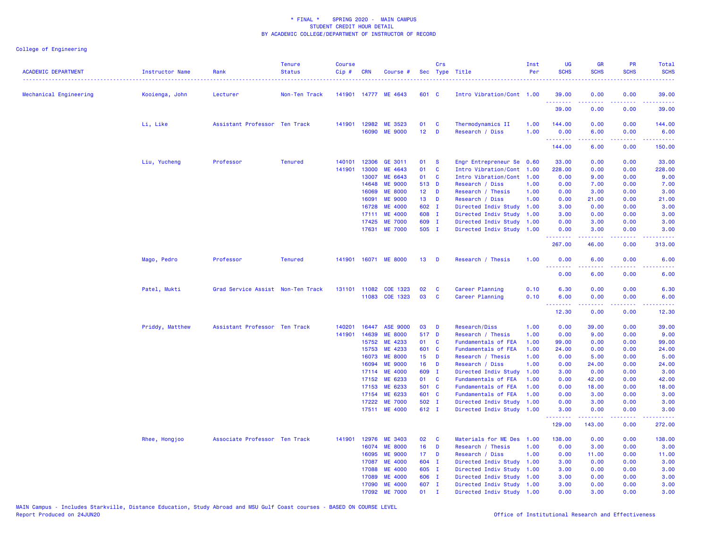| <b>ACADEMIC DEPARTMENT</b> | Instructor Name | Rank                              | <b>Tenure</b><br><b>Status</b> | <b>Course</b><br>Cip# | <b>CRN</b>     | Course #                         |                                    | Crs          | Sec Type Title                       | Inst<br>Per  | UG<br><b>SCHS</b> | <b>GR</b><br><b>SCHS</b>                                                                                                                                     | PR<br><b>SCHS</b>            | Total<br><b>SCHS</b>                                                                                                              |
|----------------------------|-----------------|-----------------------------------|--------------------------------|-----------------------|----------------|----------------------------------|------------------------------------|--------------|--------------------------------------|--------------|-------------------|--------------------------------------------------------------------------------------------------------------------------------------------------------------|------------------------------|-----------------------------------------------------------------------------------------------------------------------------------|
| Mechanical Engineering     | Kooienga, John  | Lecturer                          | Non-Ten Track                  |                       |                | 141901 14777 ME 4643             | 601 C                              |              | Intro Vibration/Cont 1.00            |              | 39.00<br>.        | 0.00<br>22222                                                                                                                                                | 0.00<br>$\sim$ $\sim$ $\sim$ | 39.00<br>.                                                                                                                        |
|                            |                 |                                   |                                |                       |                |                                  |                                    |              |                                      |              | 39.00             | 0.00                                                                                                                                                         | 0.00                         | 39.00                                                                                                                             |
|                            | Li, Like        | Assistant Professor Ten Track     |                                |                       | 141901 12982   | ME 3523                          | 01                                 | C            | Thermodynamics II                    | 1.00         | 144.00            | 0.00                                                                                                                                                         | 0.00                         | 144.00                                                                                                                            |
|                            |                 |                                   |                                |                       | 16090          | <b>ME 9000</b>                   | 12 <sub>2</sub>                    | $\mathbf{D}$ | Research / Diss                      | 1.00         | 0.00<br>.         | 6.00<br>-----                                                                                                                                                | 0.00<br>.                    | 6.00<br>.                                                                                                                         |
|                            |                 |                                   |                                |                       |                |                                  |                                    |              |                                      |              | 144.00            | 6.00                                                                                                                                                         | 0.00                         | 150.00                                                                                                                            |
|                            | Liu, Yucheng    | Professor                         | <b>Tenured</b>                 | 140101                | 12306          | GE 3011                          | 01                                 | - S          | Engr Entrepreneur Se 0.60            |              | 33.00             | 0.00                                                                                                                                                         | 0.00                         | 33.00                                                                                                                             |
|                            |                 |                                   |                                | 141901                | 13000          | ME 4643                          | 01                                 | <b>C</b>     | Intro Vibration/Cont                 | 1.00         | 228.00            | 0.00                                                                                                                                                         | 0.00                         | 228.00                                                                                                                            |
|                            |                 |                                   |                                |                       | 13007          | ME 6643                          | 01                                 | C            | Intro Vibration/Cont 1.00            |              | 0.00              | 9.00                                                                                                                                                         | 0.00                         | 9.00                                                                                                                              |
|                            |                 |                                   |                                |                       | 14648          | <b>ME 9000</b>                   | 513 D                              |              | Research / Diss                      | 1.00         | 0.00              | 7.00                                                                                                                                                         | 0.00                         | 7.00                                                                                                                              |
|                            |                 |                                   |                                |                       | 16069<br>16091 | <b>ME 8000</b><br><b>ME 9000</b> | 12 <sup>7</sup><br>13 <sup>°</sup> | D<br>D       | Research / Thesis<br>Research / Diss | 1.00<br>1.00 | 0.00<br>0.00      | 3.00<br>21.00                                                                                                                                                | 0.00<br>0.00                 | 3.00<br>21.00                                                                                                                     |
|                            |                 |                                   |                                |                       | 16728          | <b>ME 4000</b>                   | 602 I                              |              | Directed Indiv Study                 | 1.00         | 3.00              | 0.00                                                                                                                                                         | 0.00                         | 3.00                                                                                                                              |
|                            |                 |                                   |                                |                       | 17111          | <b>ME 4000</b>                   | 608 I                              |              | Directed Indiv Study                 | 1.00         | 3.00              | 0.00                                                                                                                                                         | 0.00                         | 3.00                                                                                                                              |
|                            |                 |                                   |                                |                       | 17425          | <b>ME 7000</b>                   | 609 I                              |              | Directed Indiv Study                 | 1.00         | 0.00              | 3.00                                                                                                                                                         | 0.00                         | 3.00                                                                                                                              |
|                            |                 |                                   |                                |                       | 17631          | <b>ME 7000</b>                   | 505 I                              |              | Directed Indiv Study 1.00            |              | 0.00              | 3.00                                                                                                                                                         | 0.00                         | 3.00                                                                                                                              |
|                            |                 |                                   |                                |                       |                |                                  |                                    |              |                                      |              | .<br>267.00       | <u>.</u><br>46.00                                                                                                                                            | .<br>0.00                    | .<br>313.00                                                                                                                       |
|                            | Mago, Pedro     | Professor                         | <b>Tenured</b>                 |                       |                | 141901 16071 ME 8000             | $13$ D                             |              | Research / Thesis                    | 1.00         | 0.00              | 6.00                                                                                                                                                         | 0.00                         | 6.00                                                                                                                              |
|                            |                 |                                   |                                |                       |                |                                  |                                    |              |                                      |              | <b></b><br>0.00   | 2.2.2.2.2<br>6.00                                                                                                                                            | .<br>0.00                    | $\frac{1}{2} \left( \frac{1}{2} \right) \left( \frac{1}{2} \right) \left( \frac{1}{2} \right) \left( \frac{1}{2} \right)$<br>6.00 |
|                            | Patel, Mukti    | Grad Service Assist Non-Ten Track |                                |                       | 131101 11082   | COE 1323                         | 02                                 | <b>C</b>     | Career Planning                      | 0.10         | 6.30              | 0.00                                                                                                                                                         | 0.00                         | 6.30                                                                                                                              |
|                            |                 |                                   |                                |                       | 11083          | COE 1323                         | 03                                 | C            | Career Planning                      | 0.10         | 6.00<br>.         | 0.00<br>$\frac{1}{2} \left( \frac{1}{2} \right) \left( \frac{1}{2} \right) \left( \frac{1}{2} \right) \left( \frac{1}{2} \right) \left( \frac{1}{2} \right)$ | 0.00<br>.                    | 6.00                                                                                                                              |
|                            |                 |                                   |                                |                       |                |                                  |                                    |              |                                      |              | 12.30             | 0.00                                                                                                                                                         | 0.00                         | 12.30                                                                                                                             |
|                            | Priddy, Matthew | Assistant Professor Ten Track     |                                | 140201                | 16447          | <b>ASE 9000</b>                  | 03                                 | D            | Research/Diss                        | 1.00         | 0.00              | 39.00                                                                                                                                                        | 0.00                         | 39.00                                                                                                                             |
|                            |                 |                                   |                                | 141901                | 14639          | <b>ME 8000</b>                   | 517 D                              |              | Research / Thesis                    | 1.00         | 0.00              | 9.00                                                                                                                                                         | 0.00                         | 9.00                                                                                                                              |
|                            |                 |                                   |                                |                       | 15752          | ME 4233                          | 01                                 | <b>C</b>     | Fundamentals of FEA                  | 1.00         | 99.00             | 0.00                                                                                                                                                         | 0.00                         | 99.00                                                                                                                             |
|                            |                 |                                   |                                |                       | 15753          | ME 4233                          | 601 C                              |              | Fundamentals of FEA                  | 1.00         | 24.00             | 0.00                                                                                                                                                         | 0.00                         | 24.00                                                                                                                             |
|                            |                 |                                   |                                |                       | 16073          | <b>ME 8000</b>                   | 15 <sub>1</sub>                    | D            | Research / Thesis                    | 1.00         | 0.00              | 5.00                                                                                                                                                         | 0.00                         | 5.00                                                                                                                              |
|                            |                 |                                   |                                |                       | 16094          | <b>ME 9000</b>                   | $16$ D                             |              | Research / Diss                      | 1.00         | 0.00              | 24.00                                                                                                                                                        | 0.00                         | 24.00                                                                                                                             |
|                            |                 |                                   |                                |                       | 17114          | <b>ME 4000</b>                   | 609 I                              |              | Directed Indiv Study                 | 1.00         | 3.00              | 0.00                                                                                                                                                         | 0.00                         | 3.00                                                                                                                              |
|                            |                 |                                   |                                |                       | 17152          | ME 6233                          | 01                                 | <b>C</b>     | Fundamentals of FEA                  | 1.00         | 0.00              | 42.00                                                                                                                                                        | 0.00                         | 42.00                                                                                                                             |
|                            |                 |                                   |                                |                       | 17153          | ME 6233                          | 501 C                              |              | Fundamentals of FEA                  | 1.00         | 0.00              | 18.00                                                                                                                                                        | 0.00                         | 18.00                                                                                                                             |
|                            |                 |                                   |                                |                       | 17154          | ME 6233                          | 601 C                              |              | Fundamentals of FEA                  | 1.00         | 0.00              | 3.00                                                                                                                                                         | 0.00                         | 3.00                                                                                                                              |
|                            |                 |                                   |                                |                       | 17222          | <b>ME 7000</b>                   | 502 I                              |              | Directed Indiv Study                 | 1.00         | 0.00              | 3.00                                                                                                                                                         | 0.00                         | 3.00                                                                                                                              |
|                            |                 |                                   |                                |                       |                | 17511 ME 4000                    | 612 I                              |              | Directed Indiv Study 1.00            |              | 3.00<br>.         | 0.00<br><u>.</u>                                                                                                                                             | 0.00<br>.                    | 3.00<br>.                                                                                                                         |
|                            |                 |                                   |                                |                       |                |                                  |                                    |              |                                      |              | 129.00            | 143.00                                                                                                                                                       | 0.00                         | 272.00                                                                                                                            |
|                            | Rhee, Hongjoo   | Associate Professor Ten Track     |                                |                       |                | 141901 12976 ME 3403             | 02                                 | <b>C</b>     | Materials for ME Des                 | 1.00         | 138.00            | 0.00                                                                                                                                                         | 0.00                         | 138.00                                                                                                                            |
|                            |                 |                                   |                                |                       | 16074          | <b>ME 8000</b>                   | 16                                 | D            | Research / Thesis                    | 1.00         | 0.00              | 3.00                                                                                                                                                         | 0.00                         | 3.00                                                                                                                              |
|                            |                 |                                   |                                |                       | 16095          | <b>ME 9000</b>                   | 17 <sup>7</sup>                    | D            | Research / Diss                      | 1.00         | 0.00              | 11.00                                                                                                                                                        | 0.00                         | 11.00                                                                                                                             |
|                            |                 |                                   |                                |                       | 17087          | <b>ME 4000</b>                   | 604 I                              |              | Directed Indiv Study                 | 1.00         | 3.00              | 0.00                                                                                                                                                         | 0.00                         | 3.00                                                                                                                              |
|                            |                 |                                   |                                |                       | 17088          | <b>ME 4000</b>                   | 605 I                              |              | Directed Indiv Study                 | 1.00         | 3.00              | 0.00                                                                                                                                                         | 0.00                         | 3.00                                                                                                                              |
|                            |                 |                                   |                                |                       | 17089          | <b>ME 4000</b>                   | 606 I                              |              | Directed Indiv Study 1.00            |              | 3.00              | 0.00                                                                                                                                                         | 0.00                         | 3.00                                                                                                                              |
|                            |                 |                                   |                                |                       | 17090          | <b>ME 4000</b>                   | 607 I                              |              | Directed Indiv Study 1.00            |              | 3.00              | 0.00                                                                                                                                                         | 0.00                         | 3.00                                                                                                                              |
|                            |                 |                                   |                                |                       | 17092          | <b>ME 7000</b>                   | 01                                 | $\mathbf{I}$ | Directed Indiv Study 1.00            |              | 0.00              | 3.00                                                                                                                                                         | 0.00                         | 3.00                                                                                                                              |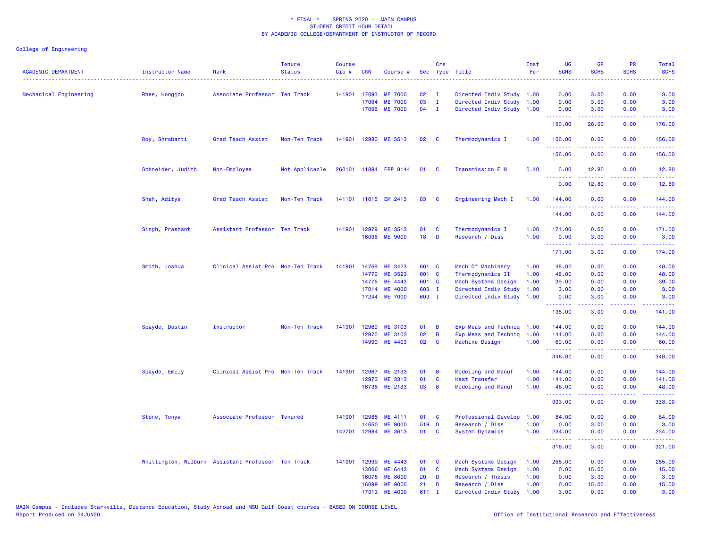| <b>ACADEMIC DEPARTMENT</b> | <b>Instructor Name</b> | Rank                                               | <b>Tenure</b><br><b>Status</b> | <b>Course</b><br>Cip# | <b>CRN</b>     | Course #                         |           | Crs                     | Sec Type Title                          | Inst<br>Per  | <b>UG</b><br><b>SCHS</b><br>. | <b>GR</b><br><b>SCHS</b>                                                                                                                                     | PR<br><b>SCHS</b> | Total<br><b>SCHS</b>                                                                                                                                           |
|----------------------------|------------------------|----------------------------------------------------|--------------------------------|-----------------------|----------------|----------------------------------|-----------|-------------------------|-----------------------------------------|--------------|-------------------------------|--------------------------------------------------------------------------------------------------------------------------------------------------------------|-------------------|----------------------------------------------------------------------------------------------------------------------------------------------------------------|
| Mechanical Engineering     | Rhee, Hongjoo          | Associate Professor Ten Track                      |                                | 141901                | 17093          | <b>ME 7000</b>                   | 02        | $\mathbf{I}$            | Directed Indiv Study 1.00               |              | 0.00                          | 3.00                                                                                                                                                         | 0.00              | 3.00                                                                                                                                                           |
|                            |                        |                                                    |                                |                       | 17094          | <b>ME 7000</b>                   | 03        | $\mathbf{I}$            | Directed Indiv Study 1.00               |              | 0.00                          | 3.00                                                                                                                                                         | 0.00              | 3.00                                                                                                                                                           |
|                            |                        |                                                    |                                |                       |                | 17096 ME 7000                    | 04        | $\mathbf{I}$            | Directed Indiv Study 1.00               |              | 0.00<br>.                     | 3.00<br>.                                                                                                                                                    | 0.00<br>.         | 3.00<br><u>.</u>                                                                                                                                               |
|                            |                        |                                                    |                                |                       |                |                                  |           |                         |                                         |              | 150.00                        | 26.00                                                                                                                                                        | 0.00              | 176.00                                                                                                                                                         |
|                            | Roy, Shrabanti         | Grad Teach Assist                                  | Non-Ten Track                  |                       |                | 141901 12980 ME 3513             | 02        | - C                     | Thermodynamics I                        | 1.00         | 156.00<br><u>.</u>            | 0.00                                                                                                                                                         | 0.00              | 156.00<br>.                                                                                                                                                    |
|                            |                        |                                                    |                                |                       |                |                                  |           |                         |                                         |              | 156.00                        | 0.00                                                                                                                                                         | 0.00              | 156.00                                                                                                                                                         |
|                            | Schneider, Judith      | Non-Employee                                       | Not Applicable                 |                       |                | 260101 11894 EPP 8144            | 01        | $\mathbf{C}$            | Transmission E M                        | 0.40         | 0.00<br>.                     | 12.80                                                                                                                                                        | 0.00              | 12.80                                                                                                                                                          |
|                            |                        |                                                    |                                |                       |                |                                  |           |                         |                                         |              | 0.00                          | 12.80                                                                                                                                                        | 0.00              | 12.80                                                                                                                                                          |
|                            | Shah, Aditya           | Grad Teach Assist                                  | Non-Ten Track                  |                       |                | 141101 11615 EM 2413             | 03        | $\overline{\mathbf{C}}$ | Engineering Mech I                      | 1.00         | 144.00<br>.                   | 0.00                                                                                                                                                         | 0.00              | 144.00                                                                                                                                                         |
|                            |                        |                                                    |                                |                       |                |                                  |           |                         |                                         |              | 144.00                        | 0.00                                                                                                                                                         | 0.00              | 144.00                                                                                                                                                         |
|                            | Singh, Prashant        | Assistant Professor Ten Track                      |                                |                       | 141901 12979   | ME 3513                          | 01        | $\mathbf{C}$            | Thermodynamics I                        | 1.00         | 171.00                        | 0.00                                                                                                                                                         | 0.00              | 171.00                                                                                                                                                         |
|                            |                        |                                                    |                                |                       |                | 16096 ME 9000                    | 18        | $\blacksquare$          | Research / Diss                         | 1.00         | 0.00                          | 3.00                                                                                                                                                         | 0.00              | 3.00                                                                                                                                                           |
|                            |                        |                                                    |                                |                       |                |                                  |           |                         |                                         |              | .<br>171.00                   | <u>.</u><br>3.00                                                                                                                                             | .<br>0.00         | $\frac{1}{2} \left( \frac{1}{2} \right) \left( \frac{1}{2} \right) \left( \frac{1}{2} \right) \left( \frac{1}{2} \right) \left( \frac{1}{2} \right)$<br>174.00 |
|                            | Smith, Joshua          | Clinical Assist Pro Non-Ten Track                  |                                | 141901                | 14769          | ME 3423                          | 601 C     |                         | Mech Of Machinery                       | 1.00         | 48.00                         | 0.00                                                                                                                                                         | 0.00              | 48.00                                                                                                                                                          |
|                            |                        |                                                    |                                |                       | 14770          | ME 3523                          | 601 C     |                         | Thermodynamics II                       | 1.00         | 48.00                         | 0.00                                                                                                                                                         | 0.00              | 48.00                                                                                                                                                          |
|                            |                        |                                                    |                                |                       | 14776          | ME 4443                          | 601 C     |                         | Mech Systems Design                     | 1.00         | 39.00                         | 0.00                                                                                                                                                         | 0.00              | 39.00                                                                                                                                                          |
|                            |                        |                                                    |                                |                       | 17014          | <b>ME 4000</b>                   | 603 I     |                         | Directed Indiv Study                    | 1.00         | 3.00                          | 0.00                                                                                                                                                         | 0.00              | 3.00                                                                                                                                                           |
|                            |                        |                                                    |                                |                       | 17244          | <b>ME 7000</b>                   | 603 I     |                         | Directed Indiv Study 1.00               |              | 0.00<br>.                     | 3.00                                                                                                                                                         | 0.00              | 3.00                                                                                                                                                           |
|                            |                        |                                                    |                                |                       |                |                                  |           |                         |                                         |              | 138.00                        | 3.00                                                                                                                                                         | 0.00              | 141.00                                                                                                                                                         |
|                            | Spayde, Dustin         | Instructor                                         | Non-Ten Track                  | 141901                | 12969          | ME 3103                          | 01        | $\overline{B}$          | Exp Meas and Techniq 1.00               |              | 144.00                        | 0.00                                                                                                                                                         | 0.00              | 144.00                                                                                                                                                         |
|                            |                        |                                                    |                                |                       | 12970          | ME 3103                          | 02        | $\overline{B}$          | Exp Meas and Techniq 1.00               |              | 144.00                        | 0.00                                                                                                                                                         | 0.00              | 144.00                                                                                                                                                         |
|                            |                        |                                                    |                                |                       | 14990          | ME 4403                          | 02        | <b>C</b>                | Machine Design                          | 1.00         | 60.00<br>.                    | 0.00<br>$\frac{1}{2} \left( \frac{1}{2} \right) \left( \frac{1}{2} \right) \left( \frac{1}{2} \right) \left( \frac{1}{2} \right) \left( \frac{1}{2} \right)$ | 0.00<br>22222     | 60.00                                                                                                                                                          |
|                            |                        |                                                    |                                |                       |                |                                  |           |                         |                                         |              | 348.00                        | 0.00                                                                                                                                                         | 0.00              | 348.00                                                                                                                                                         |
|                            | Spayde, Emily          | Clinical Assist Pro Non-Ten Track                  |                                | 141901                | 12967          | ME 2133                          | 01        | $\overline{B}$          | Modeling and Manuf                      | 1.00         | 144.00                        | 0.00                                                                                                                                                         | 0.00              | 144.00                                                                                                                                                         |
|                            |                        |                                                    |                                |                       | 12973          | ME 3313                          | 01        | $\mathbf{C}$            | Heat Transfer                           | 1.00         | 141.00                        | 0.00                                                                                                                                                         | 0.00              | 141.00                                                                                                                                                         |
|                            |                        |                                                    |                                |                       |                | 16735 ME 2133                    | 03        | $\overline{B}$          | Modeling and Manuf                      | 1.00         | 48.00<br>.                    | 0.00                                                                                                                                                         | 0.00              | 48.00<br>.                                                                                                                                                     |
|                            |                        |                                                    |                                |                       |                |                                  |           |                         |                                         |              | 333.00                        | 0.00                                                                                                                                                         | 0.00              | 333.00                                                                                                                                                         |
|                            | Stone, Tonya           | Associate Professor Tenured                        |                                |                       | 141901 12985   | ME 4111                          | 01 C      |                         | Professional Develop                    | 1.00         | 84.00                         | 0.00                                                                                                                                                         | 0.00              | 84.00                                                                                                                                                          |
|                            |                        |                                                    |                                |                       | 14650          | <b>ME 9000</b>                   | 519 D     |                         | Research / Diss                         | 1.00         | 0.00                          | 3.00                                                                                                                                                         | 0.00              | 3.00                                                                                                                                                           |
|                            |                        |                                                    |                                | 142701                | 12984          | <b>ME 3613</b>                   | 01 C      |                         | System Dynamics                         | 1.00         | 234.00<br>.                   | 0.00                                                                                                                                                         | 0.00              | 234.00<br>د د د د د                                                                                                                                            |
|                            |                        |                                                    |                                |                       |                |                                  |           |                         |                                         |              | 318.00                        | 3.00                                                                                                                                                         | 0.00              | 321.00                                                                                                                                                         |
|                            |                        | Whittington, Wilburn Assistant Professor Ten Track |                                |                       | 141901 12999   | ME 4443                          | 01        | $\mathbf{C}$            | Mech Systems Design                     | 1.00         | 255.00                        | 0.00                                                                                                                                                         | 0.00              | 255.00                                                                                                                                                         |
|                            |                        |                                                    |                                |                       | 13006          | ME 6443                          | 01 C      |                         | Mech Systems Design                     | 1.00         | 0.00                          | 15.00                                                                                                                                                        | 0.00              | 15.00                                                                                                                                                          |
|                            |                        |                                                    |                                |                       | 16078          | <b>ME 8000</b>                   | 20        | D                       | Research / Thesis                       | 1.00         | 0.00                          | 3.00                                                                                                                                                         | 0.00              | 3.00                                                                                                                                                           |
|                            |                        |                                                    |                                |                       | 16099<br>17313 | <b>ME 9000</b><br><b>ME 4000</b> | 21<br>611 | D<br>$\mathbf I$        | Research / Diss<br>Directed Indiv Study | 1.00<br>1.00 | 0.00<br>3.00                  | 15.00<br>0.00                                                                                                                                                | 0.00<br>0.00      | 15.00<br>3.00                                                                                                                                                  |
|                            |                        |                                                    |                                |                       |                |                                  |           |                         |                                         |              |                               |                                                                                                                                                              |                   |                                                                                                                                                                |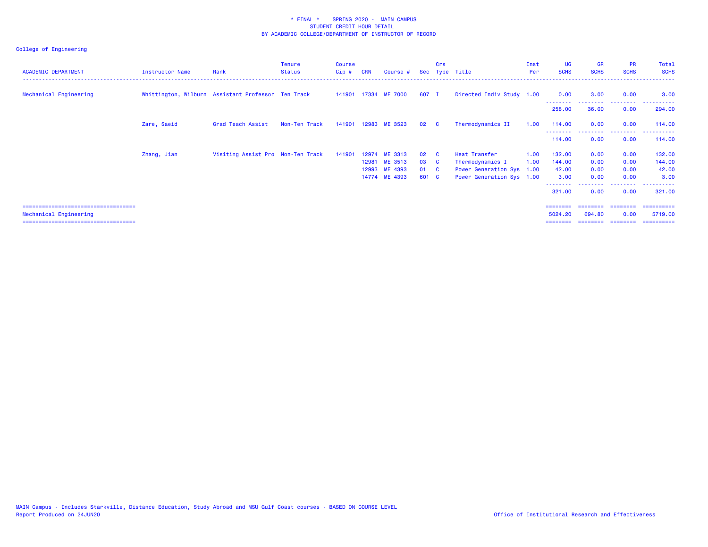| <b>ACADEMIC DEPARTMENT</b>             | Instructor Name | Rank                                               | <b>Tenure</b><br><b>Status</b> | <b>Course</b><br>$Cip$ # | <b>CRN</b> | Course #                       |            | Crs                     | Sec Type Title                                    | Inst<br>Per | <b>UG</b><br><b>SCHS</b> | <b>GR</b><br><b>SCHS</b> | <b>PR</b><br><b>SCHS</b>        | Total<br><b>SCHS</b>                   |
|----------------------------------------|-----------------|----------------------------------------------------|--------------------------------|--------------------------|------------|--------------------------------|------------|-------------------------|---------------------------------------------------|-------------|--------------------------|--------------------------|---------------------------------|----------------------------------------|
| Mechanical Engineering                 |                 | Whittington, Wilburn Assistant Professor Ten Track |                                |                          |            | 141901 17334 ME 7000           | 607 I      |                         | Directed Indiv Study 1.00                         |             | 0.00                     | 3.00                     | 0.00                            | 3.00                                   |
|                                        |                 |                                                    |                                |                          |            |                                |            |                         |                                                   |             | 258.00                   | 36.00                    | 0.00                            | 294.00                                 |
|                                        | Zare, Saeid     | Grad Teach Assist                                  | Non-Ten Track                  | 141901                   |            | 12983 ME 3523                  | 02         | $\overline{c}$          | Thermodynamics II                                 | 1.00        | 114.00                   | 0.00                     | 0.00                            | 114.00                                 |
|                                        |                 |                                                    |                                |                          |            |                                |            |                         |                                                   |             | 114.00                   | 0.00                     | <u> - - - - - - - -</u><br>0.00 | 114.00                                 |
|                                        | Zhang, Jian     | Visiting Assist Pro Non-Ten Track                  |                                | 141901                   |            | 12974 ME 3313                  | 02         | $\overline{\mathbf{C}}$ | Heat Transfer                                     | 1.00        | 132.00                   | 0.00                     | 0.00                            | 132.00                                 |
|                                        |                 |                                                    |                                |                          |            | 12981 ME 3513<br>12993 ME 4393 | 03 C<br>01 |                         | Thermodynamics I                                  | 1.00        | 144.00                   | 0.00                     | 0.00                            | 144.00<br>42.00                        |
|                                        |                 |                                                    |                                |                          |            | 14774 ME 4393                  | 601 C      | <b>C</b>                | Power Generation Sys<br>Power Generation Sys 1.00 | 1.00        | 42.00<br>3.00            | 0.00<br>0.00             | 0.00<br>0.00                    | 3.00                                   |
|                                        |                 |                                                    |                                |                          |            |                                |            |                         |                                                   |             | 321.00                   | 0.00                     | 0.00                            | - - - - - - - - - <b>-</b> .<br>321.00 |
| ====================================== |                 |                                                    |                                |                          |            |                                |            |                         |                                                   |             | ========                 | ========                 | ========                        | ==========                             |
| Mechanical Engineering                 |                 |                                                    |                                |                          |            |                                |            |                         |                                                   |             | 5024.20                  | 694.80                   | 0.00                            | 5719.00                                |
| ====================================   |                 |                                                    |                                |                          |            |                                |            |                         |                                                   |             |                          |                          |                                 |                                        |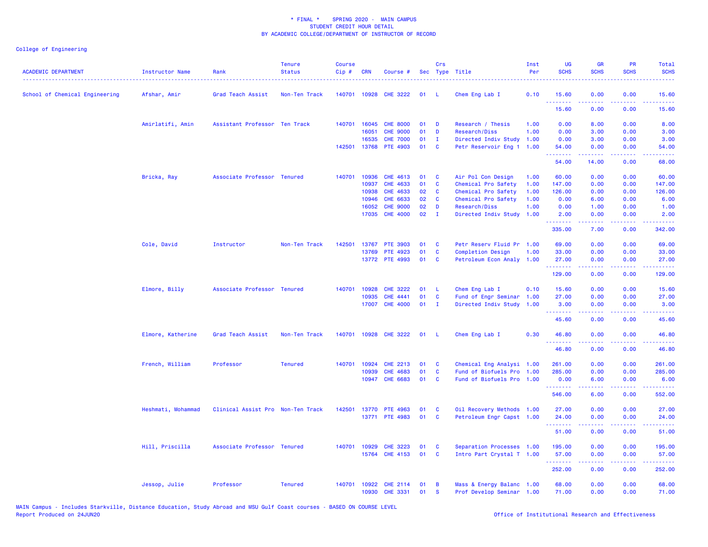| <b>ACADEMIC DEPARTMENT</b>     | <b>Instructor Name</b> | Rank                              | <b>Tenure</b><br><b>Status</b> | <b>Course</b><br>Cip# | <b>CRN</b>   | Course #              |    | Crs            | Sec Type Title                                         | Inst<br>Per | UG<br><b>SCHS</b> | <b>GR</b><br><b>SCHS</b>                                                                                                                                     | PR<br><b>SCHS</b> | Total<br><b>SCHS</b> |
|--------------------------------|------------------------|-----------------------------------|--------------------------------|-----------------------|--------------|-----------------------|----|----------------|--------------------------------------------------------|-------------|-------------------|--------------------------------------------------------------------------------------------------------------------------------------------------------------|-------------------|----------------------|
| School of Chemical Engineering | Afshar, Amir           | Grad Teach Assist                 | Non-Ten Track                  |                       | 140701 10928 | <b>CHE 3222</b>       | 01 | -1.            | Chem Eng Lab I                                         | 0.10        | 15.60             | 0.00                                                                                                                                                         | 0.00              | 15.60                |
|                                |                        |                                   |                                |                       |              |                       |    |                |                                                        |             | .<br>15.60        | 0.00                                                                                                                                                         | 0.00              | 15.60                |
|                                | Amirlatifi, Amin       | Assistant Professor Ten Track     |                                |                       | 140701 16045 | <b>CHE 8000</b>       | 01 | D              | Research / Thesis                                      | 1.00        | 0.00              | 8.00                                                                                                                                                         | 0.00              | 8.00                 |
|                                |                        |                                   |                                |                       | 16051        | <b>CHE 9000</b>       | 01 | D              | Research/Diss                                          | 1.00        | 0.00              | 3.00                                                                                                                                                         | 0.00              | 3.00                 |
|                                |                        |                                   |                                |                       | 16535        | <b>CHE 7000</b>       | 01 | $\mathbf{I}$   | Directed Indiv Study                                   | 1.00        | 0.00              | 3.00                                                                                                                                                         | 0.00              | 3.00                 |
|                                |                        |                                   |                                |                       | 142501 13768 | PTE 4903              | 01 | <b>C</b>       | Petr Reservoir Eng 1                                   | 1.00        | 54.00<br>.        | 0.00<br>بالمستمال                                                                                                                                            | 0.00              | 54.00                |
|                                |                        |                                   |                                |                       |              |                       |    |                |                                                        |             | 54.00             | 14.00                                                                                                                                                        | 0.00              | 68.00                |
|                                | Bricka, Ray            | Associate Professor Tenured       |                                | 140701                | 10936        | <b>CHE 4613</b>       | 01 | C              | Air Pol Con Design                                     | 1.00        | 60.00             | 0.00                                                                                                                                                         | 0.00              | 60.00                |
|                                |                        |                                   |                                |                       | 10937        | CHE 4633              | 01 | $\mathbf c$    | Chemical Pro Safety                                    | 1.00        | 147.00            | 0.00                                                                                                                                                         | 0.00              | 147.00               |
|                                |                        |                                   |                                |                       | 10938        | CHE 4633              | 02 | C              | Chemical Pro Safety                                    | 1.00        | 126.00            | 0.00                                                                                                                                                         | 0.00              | 126.00               |
|                                |                        |                                   |                                |                       | 10946        | CHE 6633              | 02 | C              | Chemical Pro Safety                                    | 1.00        | 0.00              | 6.00                                                                                                                                                         | 0.00              | 6.00                 |
|                                |                        |                                   |                                |                       | 16052        | <b>CHE 9000</b>       | 02 | D              | Research/Diss                                          | 1.00        | 0.00              | 1.00                                                                                                                                                         | 0.00              | 1.00                 |
|                                |                        |                                   |                                |                       | 17035        | <b>CHE 4000</b>       | 02 | $\mathbf I$    | Directed Indiv Study 1.00                              |             | 2.00<br>.         | 0.00<br>22222                                                                                                                                                | 0.00<br>.         | 2.00<br>. <b>.</b>   |
|                                |                        |                                   |                                |                       |              |                       |    |                |                                                        |             | 335.00            | 7.00                                                                                                                                                         | 0.00              | 342.00               |
|                                | Cole, David            | Instructor                        | Non-Ten Track                  | 142501                | 13767        | <b>PTE 3903</b>       | 01 | <b>C</b>       | Petr Reserv Fluid Pr 1.00                              |             | 69.00             | 0.00                                                                                                                                                         | 0.00              | 69.00                |
|                                |                        |                                   |                                |                       | 13769        | PTE 4923              | 01 | C              | <b>Completion Design</b>                               | 1.00        | 33.00             | 0.00                                                                                                                                                         | 0.00              | 33.00                |
|                                |                        |                                   |                                |                       |              | 13772 PTE 4993        | 01 | <b>C</b>       | Petroleum Econ Analy 1.00                              |             | 27.00<br>.        | 0.00<br>.                                                                                                                                                    | 0.00<br>$  -$     | 27.00<br>.           |
|                                |                        |                                   |                                |                       |              |                       |    |                |                                                        |             | 129.00            | 0.00                                                                                                                                                         | 0.00              | 129.00               |
|                                | Elmore, Billy          | Associate Professor Tenured       |                                |                       | 140701 10928 | <b>CHE 3222</b>       | 01 | L              | Chem Eng Lab I                                         | 0.10        | 15.60             | 0.00                                                                                                                                                         | 0.00              | 15.60                |
|                                |                        |                                   |                                |                       | 10935        | <b>CHE 4441</b>       | 01 | C              | Fund of Engr Seminar                                   | 1.00        | 27.00             | 0.00                                                                                                                                                         | 0.00              | 27.00                |
|                                |                        |                                   |                                |                       | 17007        | <b>CHE 4000</b>       | 01 | $\blacksquare$ | Directed Indiv Study                                   | 1.00        | 3.00<br>.         | 0.00                                                                                                                                                         | 0.00              | 3.00<br>.            |
|                                |                        |                                   |                                |                       |              |                       |    |                |                                                        |             | 45.60             | 0.00                                                                                                                                                         | 0.00              | 45.60                |
|                                | Elmore, Katherine      | Grad Teach Assist                 | Non-Ten Track                  |                       |              | 140701 10928 CHE 3222 | 01 | - 1.           | Chem Eng Lab I                                         | 0.30        | 46.80             | 0.00                                                                                                                                                         | 0.00              | 46.80                |
|                                |                        |                                   |                                |                       |              |                       |    |                |                                                        |             | .<br>46.80        | 0.00                                                                                                                                                         | 0.00              | 46.80                |
|                                | French, William        | Professor                         | <b>Tenured</b>                 | 140701                | 10924        | <b>CHE 2213</b>       | 01 | C              | Chemical Eng Analysi 1.00                              |             | 261.00            | 0.00                                                                                                                                                         | 0.00              | 261.00               |
|                                |                        |                                   |                                |                       | 10939        | <b>CHE 4683</b>       | 01 | C              | Fund of Biofuels Pro                                   | 1.00        | 285.00            | 0.00                                                                                                                                                         | 0.00              | 285.00               |
|                                |                        |                                   |                                |                       | 10947        | <b>CHE 6683</b>       | 01 | <b>C</b>       | Fund of Biofuels Pro 1.00                              |             | 0.00              | 6.00                                                                                                                                                         | 0.00              | 6.00                 |
|                                |                        |                                   |                                |                       |              |                       |    |                |                                                        |             | .<br>546.00       | $\frac{1}{2} \left( \frac{1}{2} \right) \left( \frac{1}{2} \right) \left( \frac{1}{2} \right) \left( \frac{1}{2} \right) \left( \frac{1}{2} \right)$<br>6.00 | .<br>0.00         | 552.00               |
|                                | Heshmati, Mohammad     | Clinical Assist Pro Non-Ten Track |                                | 142501                | 13770        | PTE 4963              | 01 | <b>C</b>       | Oil Recovery Methods 1.00                              |             | 27.00             | 0.00                                                                                                                                                         | 0.00              | 27.00                |
|                                |                        |                                   |                                |                       |              | 13771 PTE 4983        | 01 | C              | Petroleum Engr Capst 1.00                              |             | 24.00             | 0.00                                                                                                                                                         | 0.00              | 24.00                |
|                                |                        |                                   |                                |                       |              |                       |    |                |                                                        |             | .<br>51.00        | 22222<br>0.00                                                                                                                                                | 0.00              | .<br>51.00           |
|                                | Hill, Priscilla        | Associate Professor Tenured       |                                | 140701                | 10929        | <b>CHE 3223</b>       | 01 | C              | Separation Processes 1.00                              |             | 195.00            | 0.00                                                                                                                                                         | 0.00              | 195.00               |
|                                |                        |                                   |                                |                       | 15764        | CHE 4153              | 01 | C              | Intro Part Crystal T 1.00                              |             | 57.00             | 0.00                                                                                                                                                         | 0.00              | 57.00                |
|                                |                        |                                   |                                |                       |              |                       |    |                |                                                        |             | .<br>252.00       | $\frac{1}{2} \left( \frac{1}{2} \right) \left( \frac{1}{2} \right) \left( \frac{1}{2} \right) \left( \frac{1}{2} \right) \left( \frac{1}{2} \right)$<br>0.00 | .<br>0.00         | 22222)<br>252.00     |
|                                | Jessop, Julie          | Professor                         | <b>Tenured</b>                 | 140701                | 10922        | <b>CHE 2114</b>       | 01 | B              |                                                        |             | 68.00             | 0.00                                                                                                                                                         | 0.00              | 68.00                |
|                                |                        |                                   |                                |                       | 10930        | CHE 3331              | 01 | <b>S</b>       | Mass & Energy Balanc 1.00<br>Prof Develop Seminar 1.00 |             | 71.00             | 0.00                                                                                                                                                         | 0.00              | 71.00                |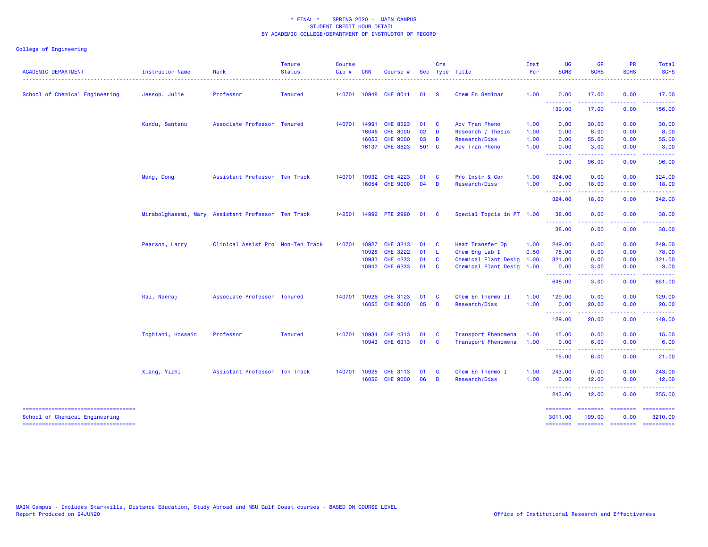| <b>ACADEMIC DEPARTMENT</b><br>------------------------------------    | Instructor Name   | Rank                                               | <b>Tenure</b><br><b>Status</b> | <b>Course</b><br>$Cip \#$ | <b>CRN</b>   | Course #              |        | Crs                     | Sec Type Title            | Inst<br>Per | <b>UG</b><br><b>SCHS</b>                             | <b>GR</b><br><b>SCHS</b> | <b>PR</b><br><b>SCHS</b>  | Total<br><b>SCHS</b><br>. <u>.</u> .                                                                                                                                                                                                                                                                                                                                                                                                                                                              |
|-----------------------------------------------------------------------|-------------------|----------------------------------------------------|--------------------------------|---------------------------|--------------|-----------------------|--------|-------------------------|---------------------------|-------------|------------------------------------------------------|--------------------------|---------------------------|---------------------------------------------------------------------------------------------------------------------------------------------------------------------------------------------------------------------------------------------------------------------------------------------------------------------------------------------------------------------------------------------------------------------------------------------------------------------------------------------------|
| School of Chemical Engineering                                        | Jessop, Julie     | Professor                                          | <b>Tenured</b>                 |                           |              | 140701 10948 CHE 8011 | 01     | $\mathbf{s}$            | Chem En Seminar           | 1.00        | 0.00                                                 | 17.00                    | 0.00                      | 17.00                                                                                                                                                                                                                                                                                                                                                                                                                                                                                             |
|                                                                       |                   |                                                    |                                |                           |              |                       |        |                         |                           |             | --------<br>139.00                                   | .<br>17.00               | .<br>0.00                 | .<br>156.00                                                                                                                                                                                                                                                                                                                                                                                                                                                                                       |
|                                                                       | Kundu, Santanu    | Associate Professor Tenured                        |                                | 140701 14991              |              | CHE 8523              | 01     | $\mathbf{C}$            | Adv Tran Pheno            | 1.00        | 0.00                                                 | 30.00                    | 0.00                      | 30.00                                                                                                                                                                                                                                                                                                                                                                                                                                                                                             |
|                                                                       |                   |                                                    |                                |                           | 16046        | <b>CHE 8000</b>       | $02$ D |                         | Research / Thesis         | 1.00        | 0.00                                                 | 8.00                     | 0.00                      | 8.00                                                                                                                                                                                                                                                                                                                                                                                                                                                                                              |
|                                                                       |                   |                                                    |                                |                           | 16053        | <b>CHE 9000</b>       | 03     | <b>D</b>                | Research/Diss             | 1.00        | 0.00                                                 | 55.00                    | 0.00                      | 55.00                                                                                                                                                                                                                                                                                                                                                                                                                                                                                             |
|                                                                       |                   |                                                    |                                |                           | 16137        | <b>CHE 8523</b>       | 501 C  |                         | Adv Tran Pheno            | 1.00        | 0.00<br><b></b>                                      | 3.00                     | 0.00                      | 3.00                                                                                                                                                                                                                                                                                                                                                                                                                                                                                              |
|                                                                       |                   |                                                    |                                |                           |              |                       |        |                         |                           |             | 0.00                                                 | 96.00                    | 0.00                      | 96.00                                                                                                                                                                                                                                                                                                                                                                                                                                                                                             |
|                                                                       | Meng, Dong        | Assistant Professor Ten Track                      |                                | 140701 10932              |              | CHE 4223              | 01     | $\mathbf{C}$            | Pro Instr & Con           | 1.00        | 324.00                                               | 0.00                     | 0.00                      | 324.00                                                                                                                                                                                                                                                                                                                                                                                                                                                                                            |
|                                                                       |                   |                                                    |                                |                           |              | 16054 CHE 9000        | 04     | <b>D</b>                | Research/Diss             | 1.00        | 0.00<br><b>.</b> .                                   | 18.00<br>.               | 0.00<br>المتمامين         | 18.00<br>222222                                                                                                                                                                                                                                                                                                                                                                                                                                                                                   |
|                                                                       |                   |                                                    |                                |                           |              |                       |        |                         |                           |             | 324.00                                               | 18.00                    | 0.00                      | 342.00                                                                                                                                                                                                                                                                                                                                                                                                                                                                                            |
|                                                                       |                   | Mirabolghasemi, Mary Assistant Professor Ten Track |                                |                           |              | 142501 14992 PTE 2990 | 01     | $\overline{\mathbf{C}}$ | Special Topcis in PT 1.00 |             | 38.00                                                | 0.00                     | 0.00                      | 38.00                                                                                                                                                                                                                                                                                                                                                                                                                                                                                             |
|                                                                       |                   |                                                    |                                |                           |              |                       |        |                         |                           |             | <b>.</b> .<br>38.00                                  | .<br>0.00                | .<br>0.00                 | .<br>38.00                                                                                                                                                                                                                                                                                                                                                                                                                                                                                        |
|                                                                       | Pearson, Larry    | Clinical Assist Pro Non-Ten Track                  |                                | 140701 10927              |              | CHE 3213              | 01     | $\mathbf{C}$            | Heat Transfer Op          | 1.00        | 249.00                                               | 0.00                     | 0.00                      | 249.00                                                                                                                                                                                                                                                                                                                                                                                                                                                                                            |
|                                                                       |                   |                                                    |                                |                           | 10928        | <b>CHE 3222</b>       | 01     | - L                     | Chem Eng Lab I            | 0.50        | 78.00                                                | 0.00                     | 0.00                      | 78.00                                                                                                                                                                                                                                                                                                                                                                                                                                                                                             |
|                                                                       |                   |                                                    |                                |                           | 10933        | CHE 4233              | 01     | $\mathbf{C}$            | Chemical Plant Desig      | 1.00        | 321.00                                               | 0.00                     | 0.00                      | 321.00                                                                                                                                                                                                                                                                                                                                                                                                                                                                                            |
|                                                                       |                   |                                                    |                                |                           | 10942        | CHE 6233              | 01     | <b>C</b>                | Chemical Plant Desig      | 1.00        | 0.00<br><u> - - - - - - - -</u>                      | 3.00<br>.                | 0.00                      | 3.00                                                                                                                                                                                                                                                                                                                                                                                                                                                                                              |
|                                                                       |                   |                                                    |                                |                           |              |                       |        |                         |                           |             | 648.00                                               | 3.00                     | 0.00                      | 651.00                                                                                                                                                                                                                                                                                                                                                                                                                                                                                            |
|                                                                       | Rai, Neeraj       | Associate Professor Tenured                        |                                | 140701 10926              |              | CHE 3123              | 01     | <b>C</b>                | Chem En Thermo II         | 1.00        | 129.00                                               | 0.00                     | 0.00                      | 129.00                                                                                                                                                                                                                                                                                                                                                                                                                                                                                            |
|                                                                       |                   |                                                    |                                |                           | 16055        | <b>CHE 9000</b>       | 05     | $\mathbf{D}$            | Research/Diss             | 1.00        | 0.00<br><b>.</b> .                                   | 20.00<br>.               | 0.00<br>د د د د           | 20.00<br>$\frac{1}{2} \left( \frac{1}{2} \right) \left( \frac{1}{2} \right) \left( \frac{1}{2} \right) \left( \frac{1}{2} \right) \left( \frac{1}{2} \right)$                                                                                                                                                                                                                                                                                                                                     |
|                                                                       |                   |                                                    |                                |                           |              |                       |        |                         |                           |             | 129.00                                               | 20.00                    | 0.00                      | 149.00                                                                                                                                                                                                                                                                                                                                                                                                                                                                                            |
|                                                                       | Toghiani, Hossein | Professor                                          | <b>Tenured</b>                 | 140701                    | 10934        | <b>CHE 4313</b>       | 01     | <b>C</b>                | Transport Phenomena       | 1.00        | 15.00                                                | 0.00                     | 0.00                      | 15.00                                                                                                                                                                                                                                                                                                                                                                                                                                                                                             |
|                                                                       |                   |                                                    |                                |                           |              | 10943 CHE 6313        | 01     | $\mathbf{C}$            | Transport Phenomena       | 1.00        | 0.00<br><b><i><u><u> - - - - - - - -</u></u></i></b> | 6.00<br>- - - - -        | 0.00<br>. <b>.</b>        | 6.00                                                                                                                                                                                                                                                                                                                                                                                                                                                                                              |
|                                                                       |                   |                                                    |                                |                           |              |                       |        |                         |                           |             | 15.00                                                | 6.00                     | 0.00                      | 21.00                                                                                                                                                                                                                                                                                                                                                                                                                                                                                             |
|                                                                       | Xiang, Yizhi      | Assistant Professor Ten Track                      |                                |                           | 140701 10925 | <b>CHE 3113</b>       | 01     | $\mathbf{C}$            | Chem En Thermo I          | 1.00        | 243.00                                               | 0.00                     | 0.00                      | 243.00                                                                                                                                                                                                                                                                                                                                                                                                                                                                                            |
|                                                                       |                   |                                                    |                                |                           |              | 16056 CHE 9000        | 06     | $\mathbf{D}$            | Research/Diss             | 1.00        | 0.00<br>--------                                     | 12.00                    | 0.00                      | 12.00                                                                                                                                                                                                                                                                                                                                                                                                                                                                                             |
|                                                                       |                   |                                                    |                                |                           |              |                       |        |                         |                           |             | 243.00                                               | 12.00                    | 0.00                      | 255.00                                                                                                                                                                                                                                                                                                                                                                                                                                                                                            |
| -----------------------------------<br>School of Chemical Engineering |                   |                                                    |                                |                           |              |                       |        |                         |                           |             | ========<br>3011.00                                  | ========<br>199.00       | ========<br>0.00          | $\begin{array}{cccccccccc} \multicolumn{2}{c}{} & \multicolumn{2}{c}{} & \multicolumn{2}{c}{} & \multicolumn{2}{c}{} & \multicolumn{2}{c}{} & \multicolumn{2}{c}{} & \multicolumn{2}{c}{} & \multicolumn{2}{c}{} & \multicolumn{2}{c}{} & \multicolumn{2}{c}{} & \multicolumn{2}{c}{} & \multicolumn{2}{c}{} & \multicolumn{2}{c}{} & \multicolumn{2}{c}{} & \multicolumn{2}{c}{} & \multicolumn{2}{c}{} & \multicolumn{2}{c}{} & \multicolumn{2}{c}{} & \multicolumn{2}{c}{} & \mult$<br>3210.00 |
| -----------------------------------                                   |                   |                                                    |                                |                           |              |                       |        |                         |                           |             | ========                                             |                          | -------- ------- -------- |                                                                                                                                                                                                                                                                                                                                                                                                                                                                                                   |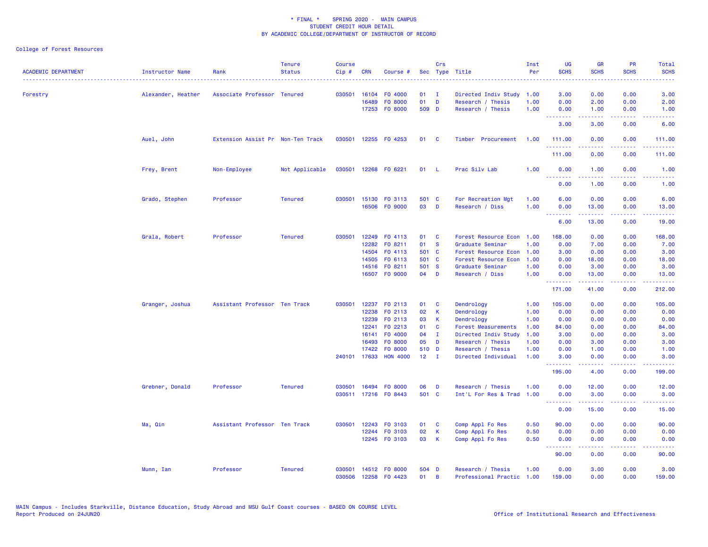## College of Forest Resources

| <b>ACADEMIC DEPARTMENT</b> | Instructor Name    | Rank                              | <b>Tenure</b><br><b>Status</b> | <b>Course</b><br>Cip# | <b>CRN</b> | Course #              |              | Crs          | Sec Type Title             | Inst<br>Per | <b>UG</b><br><b>SCHS</b> | <b>GR</b><br><b>SCHS</b>                                                                                                                                      | PR<br><b>SCHS</b> | Total<br><b>SCHS</b> |
|----------------------------|--------------------|-----------------------------------|--------------------------------|-----------------------|------------|-----------------------|--------------|--------------|----------------------------|-------------|--------------------------|---------------------------------------------------------------------------------------------------------------------------------------------------------------|-------------------|----------------------|
|                            |                    |                                   |                                |                       |            |                       |              |              |                            |             |                          |                                                                                                                                                               |                   |                      |
| Forestry                   | Alexander, Heather | Associate Professor Tenured       |                                | 030501                |            | 16104 F0 4000         | 01           | $\mathbf{I}$ | Directed Indiv Study       | 1.00        | 3.00                     | 0.00                                                                                                                                                          | 0.00              | 3.00                 |
|                            |                    |                                   |                                |                       | 16489      | FO 8000               | 01           | D            | Research / Thesis          | 1.00        | 0.00                     | 2.00                                                                                                                                                          | 0.00              | 2.00                 |
|                            |                    |                                   |                                |                       |            | 17253 FO 8000         | 509 D        |              | Research / Thesis          | 1.00        | 0.00<br>--------         | 1.00<br>22222                                                                                                                                                 | 0.00<br>.         | 1.00<br>والمستناط    |
|                            |                    |                                   |                                |                       |            |                       |              |              |                            |             | 3.00                     | 3.00                                                                                                                                                          | 0.00              | 6.00                 |
|                            | Auel, John         | Extension Assist Pr Non-Ten Track |                                | 030501                |            | 12255 FO 4253         | 01           | <b>C</b>     | Timber Procurement         | 1.00        | 111.00<br>.              | 0.00<br>.                                                                                                                                                     | 0.00<br>بالمحام   | 111.00<br>.          |
|                            |                    |                                   |                                |                       |            |                       |              |              |                            |             | 111.00                   | 0.00                                                                                                                                                          | 0.00              | 111.00               |
|                            | Frey, Brent        | Non-Employee                      | Not Applicable                 | 030501                |            | 12268 FO 6221         | 01           | - L          | Prac Silv Lab              | 1.00        | 0.00<br><b></b>          | 1.00<br>.                                                                                                                                                     | 0.00<br>.         | 1.00<br>.            |
|                            |                    |                                   |                                |                       |            |                       |              |              |                            |             | 0.00                     | 1.00                                                                                                                                                          | 0.00              | 1.00                 |
|                            | Grado, Stephen     | Professor                         | <b>Tenured</b>                 | 030501                |            | 15130 FO 3113         | 501 C        |              | For Recreation Mgt         | 1.00        | 6.00                     | 0.00                                                                                                                                                          | 0.00              | 6.00                 |
|                            |                    |                                   |                                |                       |            | 16506 FO 9000         | 03           | D            | Research / Diss            | 1.00        | 0.00<br><b></b>          | 13.00<br>$\frac{1}{2} \left( \frac{1}{2} \right) \left( \frac{1}{2} \right) \left( \frac{1}{2} \right) \left( \frac{1}{2} \right) \left( \frac{1}{2} \right)$ | 0.00<br>بالأباء   | 13.00<br>.           |
|                            |                    |                                   |                                |                       |            |                       |              |              |                            |             | 6.00                     | 13.00                                                                                                                                                         | 0.00              | 19.00                |
|                            | Grala, Robert      | Professor                         | <b>Tenured</b>                 | 030501                |            | 12249 FO 4113         | 01           | C            | Forest Resource Econ 1.00  |             | 168.00                   | 0.00                                                                                                                                                          | 0.00              | 168.00               |
|                            |                    |                                   |                                |                       | 12282      | FO 8211               | 01           | <b>S</b>     | Graduate Seminar           | 1.00        | 0.00                     | 7.00                                                                                                                                                          | 0.00              | 7.00                 |
|                            |                    |                                   |                                |                       | 14504      | FO 4113               | 501 C        |              | Forest Resource Econ       | 1.00        | 3.00                     | 0.00                                                                                                                                                          | 0.00              | 3.00                 |
|                            |                    |                                   |                                |                       |            | 14505 FO 6113         | 501 C        |              | Forest Resource Econ       | 1.00        | 0.00                     | 18.00                                                                                                                                                         | 0.00              | 18.00                |
|                            |                    |                                   |                                |                       |            | 14516 FO 8211         | 501 S        |              | Graduate Seminar           | 1.00        | 0.00                     | 3.00                                                                                                                                                          | 0.00              | 3.00                 |
|                            |                    |                                   |                                |                       |            | 16507 FO 9000         | 04           | D            | Research / Diss            | 1.00        | 0.00<br><u>.</u>         | 13.00<br>22222                                                                                                                                                | 0.00<br>د د د د   | 13.00                |
|                            |                    |                                   |                                |                       |            |                       |              |              |                            |             | 171.00                   | 41.00                                                                                                                                                         | 0.00              | 212.00               |
|                            | Granger, Joshua    | Assistant Professor Ten Track     |                                | 030501                |            | 12237 FO 2113         | 01           | C            | Dendrology                 | 1.00        | 105.00                   | 0.00                                                                                                                                                          | 0.00              | 105.00               |
|                            |                    |                                   |                                |                       | 12238      | FO 2113               | 02           | K            | Dendrology                 | 1.00        | 0.00                     | 0.00                                                                                                                                                          | 0.00              | 0.00                 |
|                            |                    |                                   |                                |                       | 12239      | FO 2113               | 03           | К            | Dendrology                 | 1.00        | 0.00                     | 0.00                                                                                                                                                          | 0.00              | 0.00                 |
|                            |                    |                                   |                                |                       | 12241      | FO 2213               | 01           | C            | <b>Forest Measurements</b> | 1.00        | 84.00                    | 0.00                                                                                                                                                          | 0.00              | 84.00                |
|                            |                    |                                   |                                |                       | 16141      | F0 4000               | 04           | $\mathbf{I}$ | Directed Indiv Study       | 1.00        | 3.00                     | 0.00                                                                                                                                                          | 0.00              | 3.00                 |
|                            |                    |                                   |                                |                       | 16493      | FO 8000               | 05           | D            | Research / Thesis          | 1.00        | 0.00                     | 3.00                                                                                                                                                          | 0.00              | 3.00                 |
|                            |                    |                                   |                                |                       | 17422      | FO 8000               | 510 D        |              | Research / Thesis          | 1.00        | 0.00                     | 1.00                                                                                                                                                          | 0.00              | 1.00                 |
|                            |                    |                                   |                                |                       |            | 240101 17633 HON 4000 | $12 \quad I$ |              | Directed Individual        | 1.00        | 3.00<br><u>.</u>         | 0.00<br>22222                                                                                                                                                 | 0.00<br>.         | 3.00<br>.            |
|                            |                    |                                   |                                |                       |            |                       |              |              |                            |             | 195.00                   | 4.00                                                                                                                                                          | 0.00              | 199.00               |
|                            | Grebner, Donald    | Professor                         | <b>Tenured</b>                 | 030501                | 16494      | FO 8000               | 06           | D            | Research / Thesis          | 1.00        | 0.00                     | 12.00                                                                                                                                                         | 0.00              | 12.00                |
|                            |                    |                                   |                                |                       |            | 030511 17216 FO 8443  | 501 C        |              | Int'L For Res & Trad 1.00  |             | 0.00                     | 3.00<br>.                                                                                                                                                     | 0.00<br>.         | 3.00<br>.            |
|                            |                    |                                   |                                |                       |            |                       |              |              |                            |             | <b></b><br>0.00          | 15.00                                                                                                                                                         | 0.00              | 15.00                |
|                            | Ma, Qin            | Assistant Professor Ten Track     |                                | 030501                |            | 12243 FO 3103         | 01           | C            | Comp Appl Fo Res           | 0.50        | 90.00                    | 0.00                                                                                                                                                          | 0.00              | 90.00                |
|                            |                    |                                   |                                |                       |            | 12244 F0 3103         | 02           | K            | Comp Appl Fo Res           | 0.50        | 0.00                     | 0.00                                                                                                                                                          | 0.00              | 0.00                 |
|                            |                    |                                   |                                |                       |            | 12245 FO 3103         | 03           | К            | Comp Appl Fo Res           | 0.50        | 0.00<br><b>.</b> .       | 0.00<br>-----                                                                                                                                                 | 0.00<br>.         | 0.00<br>المتمامين    |
|                            |                    |                                   |                                |                       |            |                       |              |              |                            |             | 90.00                    | 0.00                                                                                                                                                          | 0.00              | 90.00                |
|                            | Munn, Ian          | Professor                         | <b>Tenured</b>                 | 030501                |            | 14512 FO 8000         | 504 D        |              | Research / Thesis          | 1.00        | 0.00                     | 3.00                                                                                                                                                          | 0.00              | 3.00                 |
|                            |                    |                                   |                                | 030506                |            | 12258 FO 4423         | 01           | B            | Professional Practic 1.00  |             | 159.00                   | 0.00                                                                                                                                                          | 0.00              | 159.00               |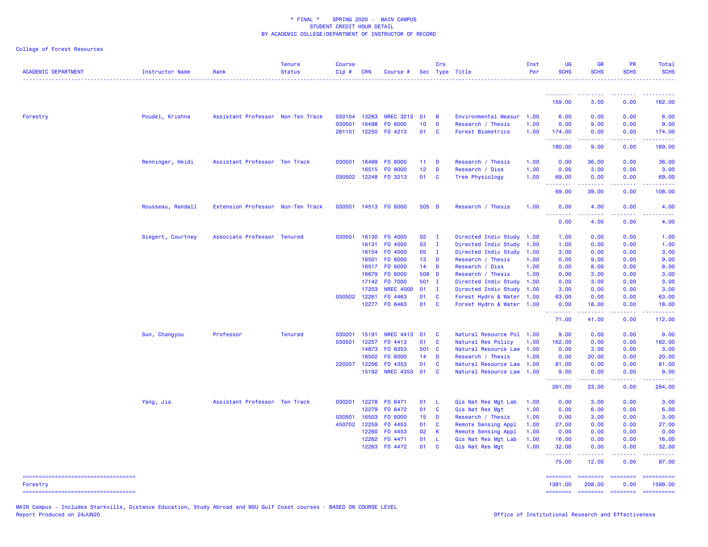College of Forest Resources

| <b>ACADEMIC DEPARTMENT</b>                      | Instructor Name   | Rank                              | <b>Tenure</b><br><b>Status</b> | <b>Course</b><br>Cip# | <b>CRN</b>   | Course #                  |                 | Crs            | Sec Type Title            | Inst<br>Per | <b>UG</b><br><b>SCHS</b> | <b>GR</b><br><b>SCHS</b>                             | <b>PR</b><br><b>SCHS</b>      | Total<br><b>SCHS</b><br>$\begin{array}{cccccccccccccc} \multicolumn{2}{c}{} & \multicolumn{2}{c}{} & \multicolumn{2}{c}{} & \multicolumn{2}{c}{} & \multicolumn{2}{c}{} & \multicolumn{2}{c}{} & \multicolumn{2}{c}{} & \multicolumn{2}{c}{} & \multicolumn{2}{c}{} & \multicolumn{2}{c}{} & \multicolumn{2}{c}{} & \multicolumn{2}{c}{} & \multicolumn{2}{c}{} & \multicolumn{2}{c}{} & \multicolumn{2}{c}{} & \multicolumn{2}{c}{} & \multicolumn{2}{c}{} & \multicolumn{2}{c}{} & \multicolumn{2}{c}{} & \$ |
|-------------------------------------------------|-------------------|-----------------------------------|--------------------------------|-----------------------|--------------|---------------------------|-----------------|----------------|---------------------------|-------------|--------------------------|------------------------------------------------------|-------------------------------|----------------------------------------------------------------------------------------------------------------------------------------------------------------------------------------------------------------------------------------------------------------------------------------------------------------------------------------------------------------------------------------------------------------------------------------------------------------------------------------------------------------|
|                                                 |                   |                                   |                                |                       |              |                           |                 |                |                           |             | <u> - - - - - - - -</u>  | <b><i><u><u><b>A</b></u></u> A A A A A A A A</i></b> |                               |                                                                                                                                                                                                                                                                                                                                                                                                                                                                                                                |
|                                                 |                   |                                   |                                |                       |              |                           |                 |                |                           |             | 159.00                   | 3.00                                                 | 0.00                          | 162.00                                                                                                                                                                                                                                                                                                                                                                                                                                                                                                         |
| Forestry                                        | Poudel, Krishna   | Assistant Professor Non-Ten Track |                                |                       | 030104 13263 | <b>NREC 3213</b>          | 01              | $\overline{B}$ | Environmental Measur 1.00 |             | 6.00                     | 0.00                                                 | 0.00                          | 6.00                                                                                                                                                                                                                                                                                                                                                                                                                                                                                                           |
|                                                 |                   |                                   |                                | 030501                | 16498        | F0 8000                   | 10              | D              | Research / Thesis         | 1.00        | 0.00                     | 9.00                                                 | 0.00                          | 9.00                                                                                                                                                                                                                                                                                                                                                                                                                                                                                                           |
|                                                 |                   |                                   |                                |                       | 261101 12250 | F0 4213                   | 01              | $\mathbf{C}$   | Forest Biometrics         | 1.00        | 174.00<br><u>.</u>       | 0.00<br>.                                            | 0.00<br>. <b>.</b>            | 174.00<br>.                                                                                                                                                                                                                                                                                                                                                                                                                                                                                                    |
|                                                 |                   |                                   |                                |                       |              |                           |                 |                |                           |             | 180.00                   | 9.00                                                 | 0.00                          | 189.00                                                                                                                                                                                                                                                                                                                                                                                                                                                                                                         |
|                                                 | Renninger, Heidi  | Assistant Professor Ten Track     |                                | 030501                | 16499        | F0 8000                   | 11              | D              | Research / Thesis         | 1.00        | 0.00                     | 36.00                                                | 0.00                          | 36.00                                                                                                                                                                                                                                                                                                                                                                                                                                                                                                          |
|                                                 |                   |                                   |                                |                       | 16515        | F0 9000                   | 12 <sub>2</sub> | D              | Research / Diss           | 1.00        | 0.00                     | 3.00                                                 | 0.00                          | 3.00                                                                                                                                                                                                                                                                                                                                                                                                                                                                                                           |
|                                                 |                   |                                   |                                |                       |              | 030502 12248 F0 3213      | 01 C            |                | Tree Physiology           | 1.00        | 69.00<br>.               | 0.00<br>.                                            | 0.00<br>.                     | 69.00<br>.                                                                                                                                                                                                                                                                                                                                                                                                                                                                                                     |
|                                                 |                   |                                   |                                |                       |              |                           |                 |                |                           |             | 69.00                    | 39.00                                                | 0.00                          | 108.00                                                                                                                                                                                                                                                                                                                                                                                                                                                                                                         |
|                                                 | Rousseau, Randall | Extension Professor Non-Ten Track |                                |                       |              | 030501 14513 FO 8000      | 505 D           |                | Research / Thesis         | 1.00        | 0.00<br>.                | 4.00<br>.                                            | 0.00<br>$\omega$ and $\omega$ | 4.00                                                                                                                                                                                                                                                                                                                                                                                                                                                                                                           |
|                                                 |                   |                                   |                                |                       |              |                           |                 |                |                           |             | 0.00                     | 4.00                                                 | 0.00                          | 4.00                                                                                                                                                                                                                                                                                                                                                                                                                                                                                                           |
|                                                 | Siegert, Courtney | Associate Professor Tenured       |                                | 030501                | 16130        | F0 4000                   | 02              | $\mathbf{I}$   | Directed Indiv Study 1.00 |             | 1.00                     | 0.00                                                 | 0.00                          | 1.00                                                                                                                                                                                                                                                                                                                                                                                                                                                                                                           |
|                                                 |                   |                                   |                                |                       | 16131        | F0 4000                   | 03              | $\mathbf{I}$   | Directed Indiv Study 1.00 |             | 1.00                     | 0.00                                                 | 0.00                          | 1.00                                                                                                                                                                                                                                                                                                                                                                                                                                                                                                           |
|                                                 |                   |                                   |                                |                       | 16154        | F0 4000                   | 05              | $\mathbf{I}$   | Directed Indiv Study 1.00 |             | 3.00                     | 0.00                                                 | 0.00                          | 3.00                                                                                                                                                                                                                                                                                                                                                                                                                                                                                                           |
|                                                 |                   |                                   |                                |                       | 16501        | F0 8000                   | 13 <sup>7</sup> | $\blacksquare$ | Research / Thesis         | 1.00        | 0.00                     | 9.00                                                 | 0.00                          | 9.00                                                                                                                                                                                                                                                                                                                                                                                                                                                                                                           |
|                                                 |                   |                                   |                                |                       | 16517        | F0 9000                   | 14              | D              | Research / Diss           | 1.00        | 0.00                     | 8.00                                                 | 0.00                          | 8.00                                                                                                                                                                                                                                                                                                                                                                                                                                                                                                           |
|                                                 |                   |                                   |                                |                       | 16679        | F0 8000                   | 508 D           |                | Research / Thesis         | 1.00        | 0.00                     | 3.00                                                 | 0.00                          | 3.00                                                                                                                                                                                                                                                                                                                                                                                                                                                                                                           |
|                                                 |                   |                                   |                                |                       | 17142        | F0 7000                   | 501 I           |                | Directed Indiv Study 1.00 |             | 0.00                     | 3.00                                                 | 0.00                          | 3.00                                                                                                                                                                                                                                                                                                                                                                                                                                                                                                           |
|                                                 |                   |                                   |                                |                       | 17203        | <b>NREC 4000</b>          | 01              | $\mathbf{I}$   | Directed Indiv Study 1.00 |             | 3.00                     | 0.00                                                 | 0.00                          | 3.00                                                                                                                                                                                                                                                                                                                                                                                                                                                                                                           |
|                                                 |                   |                                   |                                |                       | 030502 12261 | F0 4463                   | 01              | $\mathbf{C}$   | Forest Hydro & Water 1.00 |             | 63.00                    | 0.00                                                 | 0.00                          | 63.00                                                                                                                                                                                                                                                                                                                                                                                                                                                                                                          |
|                                                 |                   |                                   |                                |                       |              | 12277 FO 6463             | 01 C            |                | Forest Hydro & Water 1.00 |             | 0.00<br><u>.</u>         | 18.00                                                | 0.00                          | 18.00                                                                                                                                                                                                                                                                                                                                                                                                                                                                                                          |
|                                                 |                   |                                   |                                |                       |              |                           |                 |                |                           |             | 71.00                    | 41.00                                                | 0.00                          | 112.00                                                                                                                                                                                                                                                                                                                                                                                                                                                                                                         |
|                                                 | Sun, Changyou     | Professor                         | <b>Tenured</b>                 |                       |              | 030201 15191 NREC 4413 01 |                 | <b>C</b>       | Natural Resource Pol 1.00 |             | 9.00                     | 0.00                                                 | 0.00                          | 9.00                                                                                                                                                                                                                                                                                                                                                                                                                                                                                                           |
|                                                 |                   |                                   |                                | 030501                | 12257        | FO 4413                   | 01              | $\mathbf{C}$   | Natural Res Policy        | 1.00        | 162.00                   | 0.00                                                 | 0.00                          | 162.00                                                                                                                                                                                                                                                                                                                                                                                                                                                                                                         |
|                                                 |                   |                                   |                                |                       | 14873        | F0 6353                   | 501 C           |                | Natural Resource Law 1.00 |             | 0.00                     | 3.00                                                 | 0.00                          | 3.00                                                                                                                                                                                                                                                                                                                                                                                                                                                                                                           |
|                                                 |                   |                                   |                                |                       | 16502        | F0 8000                   | 14              | D              | Research / Thesis         | 1.00        | 0.00                     | 20.00                                                | 0.00                          | 20.00                                                                                                                                                                                                                                                                                                                                                                                                                                                                                                          |
|                                                 |                   |                                   |                                |                       | 220207 12256 | F0 4353                   | 01              | <b>C</b>       | Natural Resource Law 1.00 |             | 81.00                    | 0.00                                                 | 0.00                          | 81.00                                                                                                                                                                                                                                                                                                                                                                                                                                                                                                          |
|                                                 |                   |                                   |                                |                       |              | 15192 NREC 4353           | 01              | <b>C</b>       | Natural Resource Law      | 1.00        | 9.00<br>.                | 0.00<br>2.2.2.2.2                                    | 0.00<br>.                     | 9.00<br>.                                                                                                                                                                                                                                                                                                                                                                                                                                                                                                      |
|                                                 |                   |                                   |                                |                       |              |                           |                 |                |                           |             | 261.00                   | 23.00                                                | 0.00                          | 284.00                                                                                                                                                                                                                                                                                                                                                                                                                                                                                                         |
|                                                 | Yang, Jia         | Assistant Professor Ten Track     |                                |                       | 030201 12278 | FO 6471                   | 01              | - L            | Gis Nat Res Mgt Lab       | 1.00        | 0.00                     | 3.00                                                 | 0.00                          | 3.00                                                                                                                                                                                                                                                                                                                                                                                                                                                                                                           |
|                                                 |                   |                                   |                                |                       | 12279        | F0 6472                   | 01              | $\mathbf{C}$   | Gis Nat Res Mgt           | 1.00        | 0.00                     | 6.00                                                 | 0.00                          | 6.00                                                                                                                                                                                                                                                                                                                                                                                                                                                                                                           |
|                                                 |                   |                                   |                                | 030501                | 16503        | F0 8000                   | 15              | $\blacksquare$ | Research / Thesis         | 1.00        | 0.00                     | 3.00                                                 | 0.00                          | 3.00                                                                                                                                                                                                                                                                                                                                                                                                                                                                                                           |
|                                                 |                   |                                   |                                |                       | 450702 12259 | FO 4453                   | 01              | <b>C</b>       | Remote Sensing Appl       | 1.00        | 27.00                    | 0.00                                                 | 0.00                          | 27.00                                                                                                                                                                                                                                                                                                                                                                                                                                                                                                          |
|                                                 |                   |                                   |                                |                       | 12260        | FO 4453                   | 02              | - K            | Remote Sensing Appl       | 1.00        | 0.00                     | 0.00                                                 | 0.00                          | 0.00                                                                                                                                                                                                                                                                                                                                                                                                                                                                                                           |
|                                                 |                   |                                   |                                |                       | 12262        | FO 4471                   | 01              | -L             | Gis Nat Res Mgt Lab       | 1.00        | 16.00                    | 0.00                                                 | 0.00                          | 16.00                                                                                                                                                                                                                                                                                                                                                                                                                                                                                                          |
|                                                 |                   |                                   |                                |                       | 12263        | FO 4472                   | 01 C            |                | Gis Nat Res Mgt           | 1.00        | 32.00<br>.               | 0.00<br><u>.</u>                                     | 0.00                          | 32.00                                                                                                                                                                                                                                                                                                                                                                                                                                                                                                          |
|                                                 |                   |                                   |                                |                       |              |                           |                 |                |                           |             | 75.00                    | 12.00                                                | 0.00                          | 87.00                                                                                                                                                                                                                                                                                                                                                                                                                                                                                                          |
| -----------------------------------<br>Forestry |                   |                                   |                                |                       |              |                           |                 |                |                           |             | 1391.00                  | 208.00                                               | 0.00                          | ==========<br>1599.00                                                                                                                                                                                                                                                                                                                                                                                                                                                                                          |
| =====================================           |                   |                                   |                                |                       |              |                           |                 |                |                           |             | ========                 | <b>ESSESSER</b>                                      | $= 10000000000$               | -----------                                                                                                                                                                                                                                                                                                                                                                                                                                                                                                    |

MAIN Campus - Includes Starkville, Distance Education, Study Abroad and MSU Gulf Coast courses - BASED ON COURSE LEVEL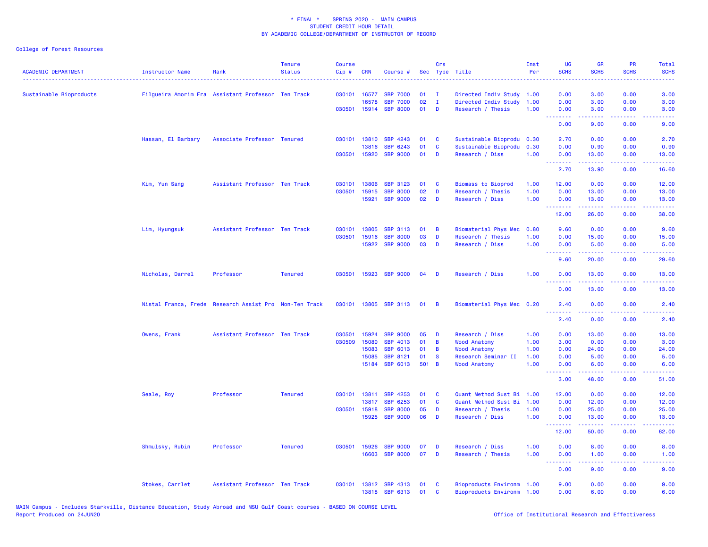College of Forest Resources

| <b>ACADEMIC DEPARTMENT</b> | Instructor Name    | Rank                                                   | <b>Status</b>  | <b>Course</b><br>Cip# | <b>CRN</b>   | Course #                         |          | Crs          | Sec Type Title                                         | Inst<br>Per | <b>UG</b><br><b>SCHS</b>                             | <b>GR</b><br><b>SCHS</b>                                                                                                                                      | <b>PR</b><br><b>SCHS</b>                                                                                                          | <b>Total</b><br><b>SCHS</b><br>.                                                                                                   |
|----------------------------|--------------------|--------------------------------------------------------|----------------|-----------------------|--------------|----------------------------------|----------|--------------|--------------------------------------------------------|-------------|------------------------------------------------------|---------------------------------------------------------------------------------------------------------------------------------------------------------------|-----------------------------------------------------------------------------------------------------------------------------------|------------------------------------------------------------------------------------------------------------------------------------|
| Sustainable Bioproducts    |                    | Filgueira Amorim Fra Assistant Professor Ten Track     |                |                       | 030101 16577 | <b>SBP 7000</b>                  | 01       | $\mathbf{I}$ | Directed Indiv Study 1.00                              |             | 0.00                                                 | 3.00                                                                                                                                                          | 0.00                                                                                                                              | 3.00                                                                                                                               |
|                            |                    |                                                        |                |                       | 16578        | <b>SBP 7000</b>                  | 02       | $\mathbf{I}$ | Directed Indiv Study                                   | 1.00        | 0.00                                                 | 3.00                                                                                                                                                          | 0.00                                                                                                                              | 3.00                                                                                                                               |
|                            |                    |                                                        |                |                       | 030501 15914 | <b>SBP 8000</b>                  | 01       | D            | Research / Thesis                                      | 1.00        | 0.00<br><b><i><u><u> - - - - - - - -</u></u></i></b> | 3.00<br>$\omega = \omega \omega + \omega$                                                                                                                     | 0.00<br>.                                                                                                                         | 3.00<br>----                                                                                                                       |
|                            |                    |                                                        |                |                       |              |                                  |          |              |                                                        |             | 0.00                                                 | 9.00                                                                                                                                                          | 0.00                                                                                                                              | 9.00                                                                                                                               |
|                            | Hassan, El Barbary | Associate Professor Tenured                            |                |                       | 030101 13810 | SBP 4243                         | 01       | C            | Sustainable Bioprodu                                   | 0.30        | 2.70                                                 | 0.00                                                                                                                                                          | 0.00                                                                                                                              | 2.70                                                                                                                               |
|                            |                    |                                                        |                |                       | 13816        | SBP 6243                         | 01       | C            | Sustainable Bioprodu                                   | 0.30        | 0.00                                                 | 0.90                                                                                                                                                          | 0.00                                                                                                                              | 0.90                                                                                                                               |
|                            |                    |                                                        |                | 030501                | 15920        | <b>SBP 9000</b>                  | 01       | D            | Research / Diss                                        | 1.00        | 0.00<br><b></b>                                      | 13.00<br>2.2.2.2.2                                                                                                                                            | 0.00<br>$  -$                                                                                                                     | 13.00                                                                                                                              |
|                            |                    |                                                        |                |                       |              |                                  |          |              |                                                        |             | 2.70                                                 | 13.90                                                                                                                                                         | 0.00                                                                                                                              | 16.60                                                                                                                              |
|                            | Kim, Yun Sang      | Assistant Professor Ten Track                          |                | 030101                | 13806        | <b>SBP 3123</b>                  | 01       | C            | <b>Biomass to Bioprod</b>                              | 1.00        | 12.00                                                | 0.00                                                                                                                                                          | 0.00                                                                                                                              | 12.00                                                                                                                              |
|                            |                    |                                                        |                | 030501                | 15915        | <b>SBP 8000</b>                  | 02       | D            | Research / Thesis                                      | 1.00        | 0.00                                                 | 13.00                                                                                                                                                         | 0.00                                                                                                                              | 13.00                                                                                                                              |
|                            |                    |                                                        |                |                       | 15921        | <b>SBP 9000</b>                  | 02       | D            | Research / Diss                                        | 1.00        | 0.00<br>.                                            | 13.00<br>$\frac{1}{2} \left( \frac{1}{2} \right) \left( \frac{1}{2} \right) \left( \frac{1}{2} \right) \left( \frac{1}{2} \right) \left( \frac{1}{2} \right)$ | 0.00                                                                                                                              | 13.00                                                                                                                              |
|                            |                    |                                                        |                |                       |              |                                  |          |              |                                                        |             | 12.00                                                | 26.00                                                                                                                                                         | 0.00                                                                                                                              | 38.00                                                                                                                              |
|                            | Lim, Hyungsuk      | Assistant Professor Ten Track                          |                | 030101                | 13805        | <b>SBP 3113</b>                  | 01       | B            | Biomaterial Phys Mec                                   | 0.80        | 9.60                                                 | 0.00                                                                                                                                                          | 0.00                                                                                                                              | 9.60                                                                                                                               |
|                            |                    |                                                        |                | 030501                | 15916        | <b>SBP 8000</b>                  | 03       | D            | Research / Thesis                                      | 1.00        | 0.00                                                 | 15.00                                                                                                                                                         | 0.00                                                                                                                              | 15.00                                                                                                                              |
|                            |                    |                                                        |                |                       | 15922        | <b>SBP 9000</b>                  | 03       | D            | Research / Diss                                        | 1.00        | 0.00                                                 | 5.00                                                                                                                                                          | 0.00<br>$\frac{1}{2} \left( \frac{1}{2} \right) \left( \frac{1}{2} \right) \left( \frac{1}{2} \right) \left( \frac{1}{2} \right)$ | 5.00                                                                                                                               |
|                            |                    |                                                        |                |                       |              |                                  |          |              |                                                        |             | .<br>9.60                                            | $\frac{1}{2} \left( \frac{1}{2} \right) \left( \frac{1}{2} \right) \left( \frac{1}{2} \right) \left( \frac{1}{2} \right) \left( \frac{1}{2} \right)$<br>20.00 | 0.00                                                                                                                              | $\frac{1}{2} \left( \frac{1}{2} \right) \left( \frac{1}{2} \right) \left( \frac{1}{2} \right) \left( \frac{1}{2} \right)$<br>29.60 |
|                            | Nicholas, Darrel   | Professor                                              | <b>Tenured</b> | 030501                | 15923        | <b>SBP 9000</b>                  | 04       | D            | Research / Diss                                        | 1.00        | 0.00<br>.                                            | 13.00<br>$- - - -$                                                                                                                                            | 0.00<br>$\frac{1}{2}$                                                                                                             | 13.00<br>.                                                                                                                         |
|                            |                    |                                                        |                |                       |              |                                  |          |              |                                                        |             | 0.00                                                 | 13.00                                                                                                                                                         | 0.00                                                                                                                              | 13.00                                                                                                                              |
|                            |                    | Nistal Franca, Frede Research Assist Pro Non-Ten Track |                | 030101 13805          |              | <b>SBP 3113</b>                  | 01       | - B          | Biomaterial Phys Mec 0.20                              |             | 2.40                                                 | 0.00                                                                                                                                                          | 0.00                                                                                                                              | 2.40                                                                                                                               |
|                            |                    |                                                        |                |                       |              |                                  |          |              |                                                        |             | 2.40                                                 | 0.00                                                                                                                                                          | 0.00                                                                                                                              | 2.40                                                                                                                               |
|                            | Owens, Frank       | Assistant Professor Ten Track                          |                | 030501                | 15924        | <b>SBP 9000</b>                  | 05       | D            | Research / Diss                                        | 1.00        | 0.00                                                 | 13.00                                                                                                                                                         | 0.00                                                                                                                              | 13.00                                                                                                                              |
|                            |                    |                                                        |                | 030509                | 15080        | <b>SBP 4013</b>                  | 01       | B            | <b>Wood Anatomy</b>                                    | 1.00        | 3.00                                                 | 0.00                                                                                                                                                          | 0.00                                                                                                                              | 3.00                                                                                                                               |
|                            |                    |                                                        |                |                       | 15083        | <b>SBP 6013</b>                  | 01       | B            | <b>Wood Anatomy</b>                                    | 1.00        | 0.00                                                 | 24.00                                                                                                                                                         | 0.00                                                                                                                              | 24.00                                                                                                                              |
|                            |                    |                                                        |                |                       | 15085        | <b>SBP 8121</b>                  | 01       | <b>S</b>     | Research Seminar II                                    | 1.00        | 0.00                                                 | 5.00                                                                                                                                                          | 0.00                                                                                                                              | 5.00                                                                                                                               |
|                            |                    |                                                        |                |                       | 15184        | <b>SBP 6013</b>                  | 501 B    |              | <b>Wood Anatomy</b>                                    | 1.00        | 0.00<br>.                                            | 6.00                                                                                                                                                          | 0.00                                                                                                                              | 6.00                                                                                                                               |
|                            |                    |                                                        |                |                       |              |                                  |          |              |                                                        |             | 3.00                                                 | 48.00                                                                                                                                                         | 0.00                                                                                                                              | 51.00                                                                                                                              |
|                            | Seale, Roy         | Professor                                              | <b>Tenured</b> |                       | 030101 13811 | SBP 4253                         | 01       | C            | Quant Method Sust Bi                                   | 1.00        | 12.00                                                | 0.00                                                                                                                                                          | 0.00                                                                                                                              | 12.00                                                                                                                              |
|                            |                    |                                                        |                |                       | 13817        | <b>SBP</b><br>6253               | 01       | C            | Quant Method Sust Bi                                   | 1.00        | 0.00                                                 | 12.00                                                                                                                                                         | 0.00                                                                                                                              | 12.00                                                                                                                              |
|                            |                    |                                                        |                | 030501                | 15918        | <b>SBP 8000</b>                  | 05       | D            | Research / Thesis                                      | 1.00        | 0.00                                                 | 25.00                                                                                                                                                         | 0.00                                                                                                                              | 25.00                                                                                                                              |
|                            |                    |                                                        |                |                       | 15925        | <b>SBP 9000</b>                  | 06       | D            | Research / Diss                                        | 1.00        | 0.00                                                 | 13.00                                                                                                                                                         | 0.00                                                                                                                              | 13.00                                                                                                                              |
|                            |                    |                                                        |                |                       |              |                                  |          |              |                                                        |             | .<br>12.00                                           | د د د د د<br>50.00                                                                                                                                            | 0.00                                                                                                                              | وعاعاتها<br>62.00                                                                                                                  |
|                            | Shmulsky, Rubin    | Professor                                              | <b>Tenured</b> | 030501                | 15926        | <b>SBP 9000</b>                  | 07       | D            | Research / Diss                                        | 1.00        | 0.00                                                 | 8.00                                                                                                                                                          | 0.00                                                                                                                              | 8.00                                                                                                                               |
|                            |                    |                                                        |                |                       | 16603        | <b>SBP 8000</b>                  | 07       | D            | Research / Thesis                                      | 1.00        | 0.00                                                 | 1.00                                                                                                                                                          | 0.00                                                                                                                              | 1.00                                                                                                                               |
|                            |                    |                                                        |                |                       |              |                                  |          |              |                                                        |             | .<br>0.00                                            | .<br>9.00                                                                                                                                                     | $\sim$ $\sim$ $\sim$<br>0.00                                                                                                      | 9.00                                                                                                                               |
|                            | Stokes, Carrlet    | Assistant Professor Ten Track                          |                | 030101                |              | 13812 SBP 4313<br>13818 SBP 6313 | 01<br>01 | C<br>C       | Bioproducts Environm 1.00<br>Bioproducts Environm 1.00 |             | 9.00<br>0.00                                         | 0.00<br>6.00                                                                                                                                                  | 0.00<br>0.00                                                                                                                      | 9.00<br>6.00                                                                                                                       |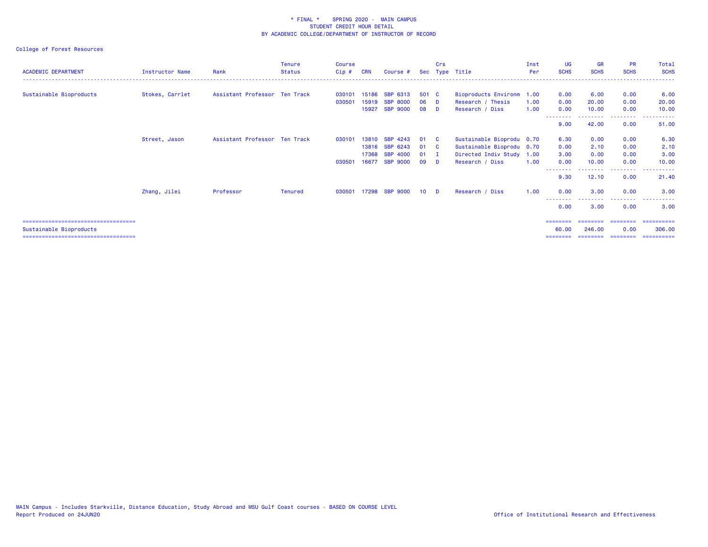## College of Forest Resources

| <b>ACADEMIC DEPARTMENT</b>             | <b>Instructor Name</b> | Rank                          | Tenure<br><b>Status</b> | <b>Course</b><br>Cip# | <b>CRN</b> | Course #           |                 | <b>Crs</b><br>Sec Type Title |                             | Inst<br>Per | <b>UG</b><br><b>SCHS</b> | <b>GR</b><br><b>SCHS</b> | <b>PR</b><br><b>SCHS</b> | Total<br><b>SCHS</b>                 |
|----------------------------------------|------------------------|-------------------------------|-------------------------|-----------------------|------------|--------------------|-----------------|------------------------------|-----------------------------|-------------|--------------------------|--------------------------|--------------------------|--------------------------------------|
| Sustainable Bioproducts                | Stokes, Carrlet        | Assistant Professor Ten Track |                         | 030101                | 15186      | SBP 6313           | 501 C           |                              | <b>Bioproducts Environm</b> | 1.00        | 0.00                     | 6.00                     | 0.00                     | 6.00                                 |
|                                        |                        |                               |                         | 030501                | 15919      | <b>SBP</b><br>8000 | 06              | <b>D</b>                     | Research / Thesis           | 1.00        | 0.00                     | 20.00                    | 0.00                     | 20.00                                |
|                                        |                        |                               |                         |                       | 15927      | <b>SBP 9000</b>    | 08              | - D                          | Research / Diss             | 1.00        | 0.00                     | 10.00                    | 0.00                     | 10.00                                |
|                                        |                        |                               |                         |                       |            |                    |                 |                              |                             |             | 9.00                     | 42.00                    | .<br>0.00                | <u> - - - - - - - - - -</u><br>51.00 |
|                                        | Street, Jason          | Assistant Professor Ten Track |                         | 030101                | 13810      | <b>SBP</b><br>4243 | 01              | - C                          | Sustainable Bioprodu 0.70   |             | 6.30                     | 0.00                     | 0.00                     | 6.30                                 |
|                                        |                        |                               |                         |                       | 13816      | SBP 6243           | 01              | - C                          | Sustainable Bioprodu 0.70   |             | 0.00                     | 2.10                     | 0.00                     | 2.10                                 |
|                                        |                        |                               |                         |                       | 17368      | <b>SBP</b><br>4000 | 01              | - I                          | Directed Indiv Study 1.00   |             | 3.00                     | 0.00                     | 0.00                     | 3.00                                 |
|                                        |                        |                               |                         | 030501                | 16677      | <b>SBP 9000</b>    | 09              | - D                          | Research / Diss             | 1.00        | 0.00                     | 10.00                    | 0.00                     | 10.00                                |
|                                        |                        |                               |                         |                       |            |                    |                 |                              |                             |             | 9.30                     | 12.10                    | 0.00                     | 21.40                                |
|                                        | Zhang, Jilei           | Professor                     | <b>Tenured</b>          | 030501                | 17298      | <b>SBP 9000</b>    | 10 <sup>1</sup> | <b>D</b>                     | Research / Diss             | 1.00        | 0.00                     | 3.00                     | 0.00                     | 3.00                                 |
|                                        |                        |                               |                         |                       |            |                    |                 |                              |                             |             | --------<br>0.00         | 3.00                     | .<br>0.00                | ------<br>$\cdots$<br>3.00           |
| =====================================  |                        |                               |                         |                       |            |                    |                 |                              |                             |             | ========                 | ========                 |                          | ====================                 |
| Sustainable Bioproducts                |                        |                               |                         |                       |            |                    |                 |                              |                             |             | 60.00                    | 246,00                   | 0.00                     | 306.00                               |
| ====================================== |                        |                               |                         |                       |            |                    |                 |                              |                             |             | ========                 | ========                 | ========                 | ==========                           |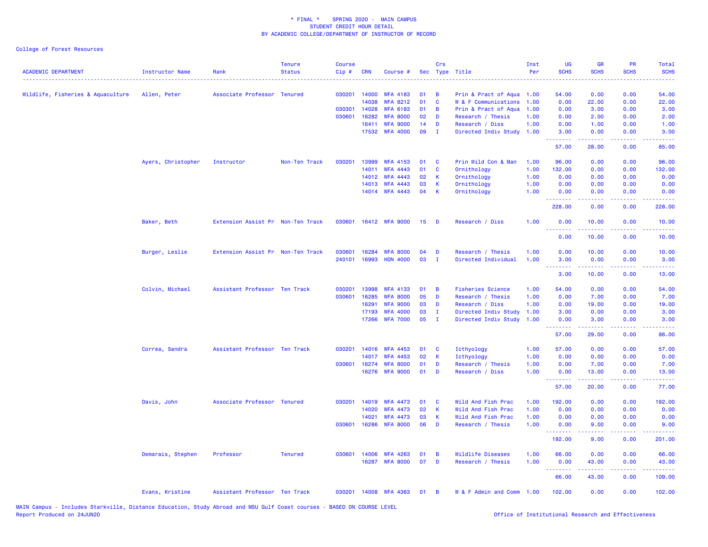College of Forest Resources

| <b>ACADEMIC DEPARTMENT</b>        | Instructor Name    | Rank                              | <b>Tenure</b><br><b>Status</b> | <b>Course</b><br>Cip# | <b>CRN</b>     | Course #                           |          | Crs<br>Sec Type Title |                                          | Inst<br>Per  | UG<br><b>SCHS</b>               | <b>GR</b><br><b>SCHS</b> | PR<br><b>SCHS</b><br>222 L          | Total<br><b>SCHS</b><br>$\sim$ $\sim$ $\sim$ $\sim$ $\sim$                                                                        |
|-----------------------------------|--------------------|-----------------------------------|--------------------------------|-----------------------|----------------|------------------------------------|----------|-----------------------|------------------------------------------|--------------|---------------------------------|--------------------------|-------------------------------------|-----------------------------------------------------------------------------------------------------------------------------------|
| Wildlife, Fisheries & Aquaculture | Allen, Peter       | Associate Professor Tenured       |                                | 030201                | 14000          | <b>WFA 4183</b>                    | 01       | B                     | Prin & Pract of Aqua 1.00                |              | 54.00                           | 0.00                     | 0.00                                | 54.00                                                                                                                             |
|                                   |                    |                                   |                                |                       | 14038          | <b>WFA 8212</b>                    | 01       | $\mathbf{C}$          | W & F Communications                     | 1.00         | 0.00                            | 22.00                    | 0.00                                | 22.00                                                                                                                             |
|                                   |                    |                                   |                                | 030301                | 14028          | <b>WFA 6183</b>                    | 01       | B                     | Prin & Pract of Aqua                     | 1.00         | 0.00                            | 3.00                     | 0.00                                | 3.00                                                                                                                              |
|                                   |                    |                                   |                                | 030601                | 16282          | <b>WFA 8000</b>                    | 02       | D                     | Research / Thesis                        | 1.00         | 0.00                            | 2.00                     | 0.00                                | 2.00                                                                                                                              |
|                                   |                    |                                   |                                |                       | 16411          | <b>WFA 9000</b>                    | 14       | D                     | Research / Diss                          | 1.00         | 0.00                            | 1.00                     | 0.00                                | 1.00                                                                                                                              |
|                                   |                    |                                   |                                |                       |                | 17532 WFA 4000                     | 09       | п.                    | Directed Indiv Study                     | 1.00         | 3.00<br><u>.</u>                | 0.00<br>22222            | 0.00<br>$\omega$ is $\omega$ in     | 3.00<br>$\frac{1}{2} \left( \frac{1}{2} \right) \left( \frac{1}{2} \right) \left( \frac{1}{2} \right)$                            |
|                                   |                    |                                   |                                |                       |                |                                    |          |                       |                                          |              | 57.00                           | 28.00                    | 0.00                                | 85.00                                                                                                                             |
|                                   | Ayers, Christopher | Instructor                        | Non-Ten Track                  | 030201                | 13999          | <b>WFA 4153</b>                    | 01       | <b>C</b>              | Prin Wild Con & Man                      | 1.00         | 96.00                           | 0.00                     | 0.00                                | 96.00                                                                                                                             |
|                                   |                    |                                   |                                |                       | 14011          | <b>WFA 4443</b>                    | 01       | C                     | Ornithology                              | 1.00         | 132.00                          | 0.00                     | 0.00                                | 132.00                                                                                                                            |
|                                   |                    |                                   |                                |                       | 14012          | <b>WFA 4443</b>                    | 02       | К                     | Ornithology                              | 1.00         | 0.00                            | 0.00                     | 0.00                                | 0.00                                                                                                                              |
|                                   |                    |                                   |                                |                       | 14013          | <b>WFA 4443</b>                    | 03       | K                     | Ornithology                              | 1.00         | 0.00                            | 0.00                     | 0.00                                | 0.00                                                                                                                              |
|                                   |                    |                                   |                                |                       |                | 14014 WFA 4443                     | 04       | $\mathsf K$           | Ornithology                              | 1.00         | 0.00<br><u> - - - - - - - -</u> | 0.00<br><u>.</u>         | 0.00<br>.                           | 0.00<br>.                                                                                                                         |
|                                   |                    |                                   |                                |                       |                |                                    |          |                       |                                          |              | 228.00                          | 0.00                     | 0.00                                | 228.00                                                                                                                            |
|                                   | Baker, Beth        | Extension Assist Pr Non-Ten Track |                                | 030601                |                | 16412 WFA 9000                     | 15       | - D                   | Research / Diss                          | 1.00         | 0.00<br>ولايات                  | 10.00<br>22222           | 0.00<br>$\sim$ $\sim$ $\sim$ $\sim$ | 10.00<br>وعامات                                                                                                                   |
|                                   |                    |                                   |                                |                       |                |                                    |          |                       |                                          |              | 0.00                            | 10.00                    | 0.00                                | 10.00                                                                                                                             |
|                                   |                    |                                   |                                |                       |                |                                    |          |                       |                                          |              |                                 |                          |                                     |                                                                                                                                   |
|                                   | Burger, Leslie     | Extension Assist Pr Non-Ten Track |                                | 030601<br>240101      | 16284<br>16993 | <b>WFA 8000</b><br><b>HON 4000</b> | 04<br>03 | D<br>$\mathbf I$      | Research / Thesis<br>Directed Individual | 1.00<br>1.00 | 0.00<br>3.00                    | 10.00<br>0.00            | 0.00<br>0.00                        | 10.00<br>3.00                                                                                                                     |
|                                   |                    |                                   |                                |                       |                |                                    |          |                       |                                          |              | .                               |                          |                                     | $\frac{1}{2} \left( \frac{1}{2} \right) \left( \frac{1}{2} \right) \left( \frac{1}{2} \right) \left( \frac{1}{2} \right)$         |
|                                   |                    |                                   |                                |                       |                |                                    |          |                       |                                          |              | 3.00                            | 10.00                    | 0.00                                | 13.00                                                                                                                             |
|                                   | Colvin, Michael    | Assistant Professor Ten Track     |                                | 030201                | 13998          | <b>WFA 4133</b>                    | 01       | B                     | <b>Fisheries Science</b>                 | 1.00         | 54.00                           | 0.00                     | 0.00                                | 54.00                                                                                                                             |
|                                   |                    |                                   |                                | 030601                | 16285          | <b>WFA 8000</b>                    | 05       | D                     | Research / Thesis                        | 1.00         | 0.00                            | 7.00                     | 0.00                                | 7.00                                                                                                                              |
|                                   |                    |                                   |                                |                       | 16291          | <b>WFA 9000</b>                    | 03       | D                     | Research / Diss                          | 1.00         | 0.00                            | 19.00                    | 0.00                                | 19.00                                                                                                                             |
|                                   |                    |                                   |                                |                       | 17193          | <b>WFA 4000</b>                    | 03       | $\mathbf I$           | Directed Indiv Study                     | 1.00         | 3.00                            | 0.00                     | 0.00                                | 3.00                                                                                                                              |
|                                   |                    |                                   |                                |                       | 17266          | <b>WFA 7000</b>                    | 05       | I.                    | Directed Indiv Study                     | 1.00         | 0.00<br>.                       | 3.00                     | 0.00                                | 3.00<br>$\frac{1}{2} \left( \frac{1}{2} \right) \left( \frac{1}{2} \right) \left( \frac{1}{2} \right) \left( \frac{1}{2} \right)$ |
|                                   |                    |                                   |                                |                       |                |                                    |          |                       |                                          |              | 57.00                           | 29.00                    | 0.00                                | 86.00                                                                                                                             |
|                                   | Correa, Sandra     | Assistant Professor Ten Track     |                                | 030201                | 14016          | <b>WFA 4453</b>                    | 01       | <b>C</b>              | Icthyology                               | 1.00         | 57.00                           | 0.00                     | 0.00                                | 57.00                                                                                                                             |
|                                   |                    |                                   |                                |                       | 14017          | <b>WFA 4453</b>                    | 02       | K                     | Icthyology                               | 1.00         | 0.00                            | 0.00                     | 0.00                                | 0.00                                                                                                                              |
|                                   |                    |                                   |                                | 030601                | 16274          | <b>WFA 8000</b>                    | 01       | D                     | Research / Thesis                        | 1.00         | 0.00                            | 7.00                     | 0.00                                | 7.00                                                                                                                              |
|                                   |                    |                                   |                                |                       |                | 16276 WFA 9000                     | 01       | D                     | Research / Diss                          | 1.00         | 0.00<br>.                       | 13.00<br>-----           | 0.00<br>بالمحامي                    | 13.00<br>المتمامين                                                                                                                |
|                                   |                    |                                   |                                |                       |                |                                    |          |                       |                                          |              | 57.00                           | 20.00                    | 0.00                                | 77.00                                                                                                                             |
|                                   | Davis, John        | Associate Professor Tenured       |                                | 030201                | 14019          | <b>WFA 4473</b>                    | 01       | <b>C</b>              | Wild And Fish Prac                       | 1.00         | 192.00                          | 0.00                     | 0.00                                | 192.00                                                                                                                            |
|                                   |                    |                                   |                                |                       | 14020          | <b>WFA 4473</b>                    | 02       | K                     | Wild And Fish Prac                       | 1.00         | 0.00                            | 0.00                     | 0.00                                | 0.00                                                                                                                              |
|                                   |                    |                                   |                                |                       | 14021          | <b>WFA 4473</b>                    | 03       | $\mathsf K$           | Wild And Fish Prac                       | 1.00         | 0.00                            | 0.00                     | 0.00                                | 0.00                                                                                                                              |
|                                   |                    |                                   |                                | 030601                | 16286          | <b>WFA 8000</b>                    | 06       | D                     | Research / Thesis                        | 1.00         | 0.00<br>.                       | 9.00<br>.                | 0.00<br>د د د د                     | 9.00<br>.                                                                                                                         |
|                                   |                    |                                   |                                |                       |                |                                    |          |                       |                                          |              | 192.00                          | 9.00                     | 0.00                                | 201.00                                                                                                                            |
|                                   | Demarais, Stephen  | Professor                         | <b>Tenured</b>                 | 030601                | 14006          | <b>WFA 4263</b>                    | 01       | B                     | Wildlife Diseases                        | 1.00         | 66.00                           | 0.00                     | 0.00                                | 66.00                                                                                                                             |
|                                   |                    |                                   |                                |                       | 16287          | <b>WFA 8000</b>                    | 07       | D                     | Research / Thesis                        | 1.00         | 0.00                            | 43.00                    | 0.00                                | 43.00                                                                                                                             |
|                                   |                    |                                   |                                |                       |                |                                    |          |                       |                                          |              | <u>.</u><br>66.00               | 43.00                    | 0.00                                | .<br>109.00                                                                                                                       |
|                                   | Evans, Kristine    | Assistant Professor Ten Track     |                                | 030201                |                | 14008 WFA 4363                     | 01       | B                     | W & F Admin and Comm 1.00                |              | 102.00                          | 0.00                     | 0.00                                | 102.00                                                                                                                            |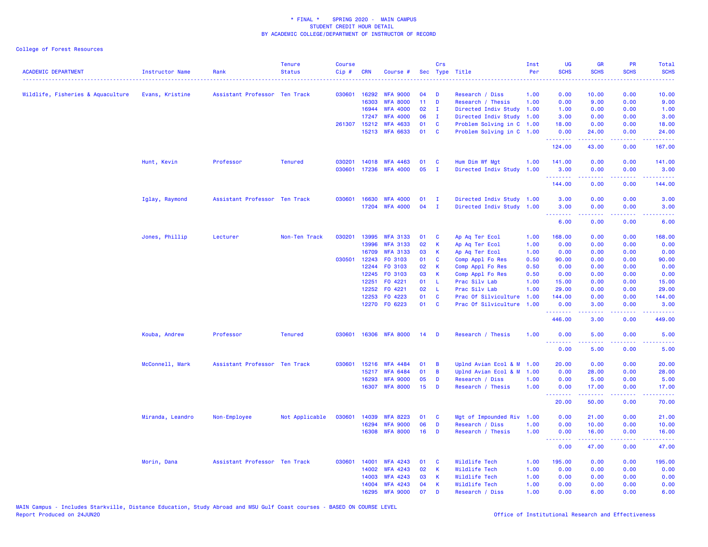College of Forest Resources

| <b>ACADEMIC DEPARTMENT</b>        | <b>Instructor Name</b> | Rank                          | <b>Tenure</b><br><b>Status</b> | <b>Course</b><br>$Cip \#$ | <b>CRN</b>   | Course #        |                 | Crs          | Sec Type Title            | Inst<br>Per | UG<br><b>SCHS</b>                                                                                                                                                                                                                                                                                                                                                                                                                                                                              | GR<br><b>SCHS</b>        | PR<br><b>SCHS</b> | Total<br><b>SCHS</b>                                                                                                              |
|-----------------------------------|------------------------|-------------------------------|--------------------------------|---------------------------|--------------|-----------------|-----------------|--------------|---------------------------|-------------|------------------------------------------------------------------------------------------------------------------------------------------------------------------------------------------------------------------------------------------------------------------------------------------------------------------------------------------------------------------------------------------------------------------------------------------------------------------------------------------------|--------------------------|-------------------|-----------------------------------------------------------------------------------------------------------------------------------|
| Wildlife, Fisheries & Aquaculture | Evans, Kristine        | Assistant Professor Ten Track |                                |                           | 030601 16292 | <b>WFA 9000</b> | 04              | D            | Research / Diss           | 1.00        | 0.00                                                                                                                                                                                                                                                                                                                                                                                                                                                                                           | 10.00                    | 0.00              | 10.00                                                                                                                             |
|                                   |                        |                               |                                |                           | 16303        | <b>WFA 8000</b> | 11 <sub>1</sub> | D            | Research / Thesis         | 1.00        | 0.00                                                                                                                                                                                                                                                                                                                                                                                                                                                                                           | 9.00                     | 0.00              | 9.00                                                                                                                              |
|                                   |                        |                               |                                |                           | 16944        | <b>WFA 4000</b> | 02              | $\mathbf{I}$ | Directed Indiv Study      | 1.00        | 1.00                                                                                                                                                                                                                                                                                                                                                                                                                                                                                           | 0.00                     | 0.00              | 1.00                                                                                                                              |
|                                   |                        |                               |                                |                           | 17247        | <b>WFA 4000</b> | 06              | $\mathbf{I}$ | Directed Indiv Study      | 1.00        | 3.00                                                                                                                                                                                                                                                                                                                                                                                                                                                                                           | 0.00                     | 0.00              | 3.00                                                                                                                              |
|                                   |                        |                               |                                |                           | 261307 15212 | <b>WFA 4633</b> | 01              | C            | Problem Solving in C 1.00 |             | 18.00                                                                                                                                                                                                                                                                                                                                                                                                                                                                                          | 0.00                     | 0.00              | 18.00                                                                                                                             |
|                                   |                        |                               |                                |                           |              | 15213 WFA 6633  | 01              | <b>C</b>     | Problem Solving in C 1.00 |             | 0.00<br>.                                                                                                                                                                                                                                                                                                                                                                                                                                                                                      | 24.00<br>المستملة        | 0.00<br>الأنابات  | 24.00<br>.                                                                                                                        |
|                                   |                        |                               |                                |                           |              |                 |                 |              |                           |             | 124.00                                                                                                                                                                                                                                                                                                                                                                                                                                                                                         | 43.00                    | 0.00              | 167.00                                                                                                                            |
|                                   | Hunt, Kevin            | Professor                     | <b>Tenured</b>                 | 030201                    |              | 14018 WFA 4463  | 01              | C            | Hum Dim Wf Mgt            | 1.00        | 141.00                                                                                                                                                                                                                                                                                                                                                                                                                                                                                         | 0.00                     | 0.00              | 141.00                                                                                                                            |
|                                   |                        |                               |                                | 030601                    | 17236        | <b>WFA 4000</b> | 05              | $\mathbf{I}$ | Directed Indiv Study      | 1.00        | 3.00<br>.                                                                                                                                                                                                                                                                                                                                                                                                                                                                                      | 0.00<br>الدامات مال      | 0.00<br>22222     | 3.00<br>.                                                                                                                         |
|                                   |                        |                               |                                |                           |              |                 |                 |              |                           |             | 144.00                                                                                                                                                                                                                                                                                                                                                                                                                                                                                         | 0.00                     | 0.00              | 144.00                                                                                                                            |
|                                   | Iglay, Raymond         | Assistant Professor Ten Track |                                | 030601                    | 16630        | <b>WFA 4000</b> | 01              | Ι.           | Directed Indiv Study 1.00 |             | 3.00                                                                                                                                                                                                                                                                                                                                                                                                                                                                                           | 0.00                     | 0.00              | 3.00                                                                                                                              |
|                                   |                        |                               |                                |                           |              | 17204 WFA 4000  | 04              | $\mathbf{I}$ | Directed Indiv Study 1.00 |             | 3.00<br>.                                                                                                                                                                                                                                                                                                                                                                                                                                                                                      | 0.00<br><u>.</u>         | 0.00<br>.         | 3.00<br>$\frac{1}{2} \left( \frac{1}{2} \right) \left( \frac{1}{2} \right) \left( \frac{1}{2} \right) \left( \frac{1}{2} \right)$ |
|                                   |                        |                               |                                |                           |              |                 |                 |              |                           |             | 6.00                                                                                                                                                                                                                                                                                                                                                                                                                                                                                           | 0.00                     | 0.00              | 6.00                                                                                                                              |
|                                   | Jones, Phillip         | Lecturer                      | Non-Ten Track                  | 030201                    | 13995        | <b>WFA 3133</b> | 01              | C            | Ap Aq Ter Ecol            | 1.00        | 168.00                                                                                                                                                                                                                                                                                                                                                                                                                                                                                         | 0.00                     | 0.00              | 168.00                                                                                                                            |
|                                   |                        |                               |                                |                           | 13996        | <b>WFA 3133</b> | 02              | K            | Ap Aq Ter Ecol            | 1.00        | 0.00                                                                                                                                                                                                                                                                                                                                                                                                                                                                                           | 0.00                     | 0.00              | 0.00                                                                                                                              |
|                                   |                        |                               |                                |                           | 16709        | <b>WFA 3133</b> | 03              | К            | Ap Aq Ter Ecol            | 1.00        | 0.00                                                                                                                                                                                                                                                                                                                                                                                                                                                                                           | 0.00                     | 0.00              | 0.00                                                                                                                              |
|                                   |                        |                               |                                | 030501                    | 12243        | FO 3103         | 01              | C            | Comp Appl Fo Res          | 0.50        | 90.00                                                                                                                                                                                                                                                                                                                                                                                                                                                                                          | 0.00                     | 0.00              | 90.00                                                                                                                             |
|                                   |                        |                               |                                |                           | 12244        | F0 3103         | 02              | К            | Comp Appl Fo Res          | 0.50        | 0.00                                                                                                                                                                                                                                                                                                                                                                                                                                                                                           | 0.00                     | 0.00              | 0.00                                                                                                                              |
|                                   |                        |                               |                                |                           | 12245        | F0 3103         | 03              | К            | Comp Appl Fo Res          | 0.50        | 0.00                                                                                                                                                                                                                                                                                                                                                                                                                                                                                           | 0.00                     | 0.00              | 0.00                                                                                                                              |
|                                   |                        |                               |                                |                           | 12251        | F0 4221         | 01              | - L          | Prac Silv Lab             | 1.00        | 15.00                                                                                                                                                                                                                                                                                                                                                                                                                                                                                          | 0.00                     | 0.00              | 15.00                                                                                                                             |
|                                   |                        |                               |                                |                           | 12252        | FO 4221         | 02              | - L          | Prac Silv Lab             | 1.00        | 29.00                                                                                                                                                                                                                                                                                                                                                                                                                                                                                          | 0.00                     | 0.00              | 29.00                                                                                                                             |
|                                   |                        |                               |                                |                           | 12253        | F0 4223         | 01              | C            | Prac Of Silviculture      | 1.00        | 144.00                                                                                                                                                                                                                                                                                                                                                                                                                                                                                         | 0.00                     | 0.00              | 144.00                                                                                                                            |
|                                   |                        |                               |                                |                           |              | 12270 F0 6223   | 01              | <b>C</b>     | Prac Of Silviculture      | 1.00        | 0.00<br>.                                                                                                                                                                                                                                                                                                                                                                                                                                                                                      | 3.00                     | 0.00              | 3.00                                                                                                                              |
|                                   |                        |                               |                                |                           |              |                 |                 |              |                           |             | 446.00                                                                                                                                                                                                                                                                                                                                                                                                                                                                                         | 3.00                     | 0.00              | 449.00                                                                                                                            |
|                                   | Kouba, Andrew          | Professor                     | <b>Tenured</b>                 | 030601                    |              | 16306 WFA 8000  | 14              | - D          | Research / Thesis         | 1.00        | 0.00<br>.                                                                                                                                                                                                                                                                                                                                                                                                                                                                                      | 5.00<br><b></b>          | 0.00<br>.         | 5.00<br>$\frac{1}{2} \left( \frac{1}{2} \right) \left( \frac{1}{2} \right) \left( \frac{1}{2} \right) \left( \frac{1}{2} \right)$ |
|                                   |                        |                               |                                |                           |              |                 |                 |              |                           |             | 0.00                                                                                                                                                                                                                                                                                                                                                                                                                                                                                           | 5.00                     | 0.00              | 5.00                                                                                                                              |
|                                   | McConnell, Mark        | Assistant Professor Ten Track |                                | 030601                    | 15216        | <b>WFA 4484</b> | 01              | B            | Uplnd Avian Ecol & M 1.00 |             | 20.00                                                                                                                                                                                                                                                                                                                                                                                                                                                                                          | 0.00                     | 0.00              | 20.00                                                                                                                             |
|                                   |                        |                               |                                |                           | 15217        | <b>WFA 6484</b> | 01              | B            | Uplnd Avian Ecol & M      | 1.00        | 0.00                                                                                                                                                                                                                                                                                                                                                                                                                                                                                           | 28.00                    | 0.00              | 28.00                                                                                                                             |
|                                   |                        |                               |                                |                           | 16293        | <b>WFA 9000</b> | 05              | D            | Research / Diss           | 1.00        | 0.00                                                                                                                                                                                                                                                                                                                                                                                                                                                                                           | 5.00                     | 0.00              | 5.00                                                                                                                              |
|                                   |                        |                               |                                |                           | 16307        | <b>WFA 8000</b> | 15              | D            | Research / Thesis         | 1.00        | 0.00<br>$\begin{array}{cccccccccccccc} \multicolumn{2}{c}{} & \multicolumn{2}{c}{} & \multicolumn{2}{c}{} & \multicolumn{2}{c}{} & \multicolumn{2}{c}{} & \multicolumn{2}{c}{} & \multicolumn{2}{c}{} & \multicolumn{2}{c}{} & \multicolumn{2}{c}{} & \multicolumn{2}{c}{} & \multicolumn{2}{c}{} & \multicolumn{2}{c}{} & \multicolumn{2}{c}{} & \multicolumn{2}{c}{} & \multicolumn{2}{c}{} & \multicolumn{2}{c}{} & \multicolumn{2}{c}{} & \multicolumn{2}{c}{} & \multicolumn{2}{c}{} & \$ | 17.00<br>المتمام المتمار | 0.00<br>.         | 17.00<br>.                                                                                                                        |
|                                   |                        |                               |                                |                           |              |                 |                 |              |                           |             | 20.00                                                                                                                                                                                                                                                                                                                                                                                                                                                                                          | 50.00                    | 0.00              | 70.00                                                                                                                             |
|                                   | Miranda, Leandro       | Non-Employee                  | Not Applicable                 | 030601                    | 14039        | <b>WFA 8223</b> | 01              | C            | Mgt of Impounded Riv      | 1.00        | 0.00                                                                                                                                                                                                                                                                                                                                                                                                                                                                                           | 21.00                    | 0.00              | 21.00                                                                                                                             |
|                                   |                        |                               |                                |                           | 16294        | <b>WFA 9000</b> | 06              | D            | Research / Diss           | 1.00        | 0.00                                                                                                                                                                                                                                                                                                                                                                                                                                                                                           | 10.00                    | 0.00              | 10.00                                                                                                                             |
|                                   |                        |                               |                                |                           | 16308        | <b>WFA 8000</b> | 16              | D            | Research / Thesis         | 1.00        | 0.00<br>$\begin{array}{cccccccccccccc} \multicolumn{2}{c}{} & \multicolumn{2}{c}{} & \multicolumn{2}{c}{} & \multicolumn{2}{c}{} & \multicolumn{2}{c}{} & \multicolumn{2}{c}{} & \multicolumn{2}{c}{} & \multicolumn{2}{c}{} & \multicolumn{2}{c}{} & \multicolumn{2}{c}{} & \multicolumn{2}{c}{} & \multicolumn{2}{c}{} & \multicolumn{2}{c}{} & \multicolumn{2}{c}{} & \multicolumn{2}{c}{} & \multicolumn{2}{c}{} & \multicolumn{2}{c}{} & \multicolumn{2}{c}{} & \multicolumn{2}{c}{} & \$ | 16.00<br>$- - - - -$     | 0.00<br>.         | 16.00<br>.                                                                                                                        |
|                                   |                        |                               |                                |                           |              |                 |                 |              |                           |             | 0.00                                                                                                                                                                                                                                                                                                                                                                                                                                                                                           | 47.00                    | 0.00              | 47.00                                                                                                                             |
|                                   | Morin, Dana            | Assistant Professor Ten Track |                                | 030601                    | 14001        | <b>WFA 4243</b> | 01              | - C          | Wildlife Tech             | 1.00        | 195.00                                                                                                                                                                                                                                                                                                                                                                                                                                                                                         | 0.00                     | 0.00              | 195.00                                                                                                                            |
|                                   |                        |                               |                                |                           | 14002        | <b>WFA 4243</b> | 02              | $\mathsf K$  | Wildlife Tech             | 1.00        | 0.00                                                                                                                                                                                                                                                                                                                                                                                                                                                                                           | 0.00                     | 0.00              | 0.00                                                                                                                              |
|                                   |                        |                               |                                |                           | 14003        | <b>WFA 4243</b> | 03              | K            | Wildlife Tech             | 1.00        | 0.00                                                                                                                                                                                                                                                                                                                                                                                                                                                                                           | 0.00                     | 0.00              | 0.00                                                                                                                              |
|                                   |                        |                               |                                |                           | 14004        | <b>WFA 4243</b> | 04              | К            | Wildlife Tech             | 1.00        | 0.00                                                                                                                                                                                                                                                                                                                                                                                                                                                                                           | 0.00                     | 0.00              | 0.00                                                                                                                              |
|                                   |                        |                               |                                |                           | 16295        | <b>WFA 9000</b> | 07              | D            | Research / Diss           | 1.00        | 0.00                                                                                                                                                                                                                                                                                                                                                                                                                                                                                           | 6.00                     | 0.00              | 6.00                                                                                                                              |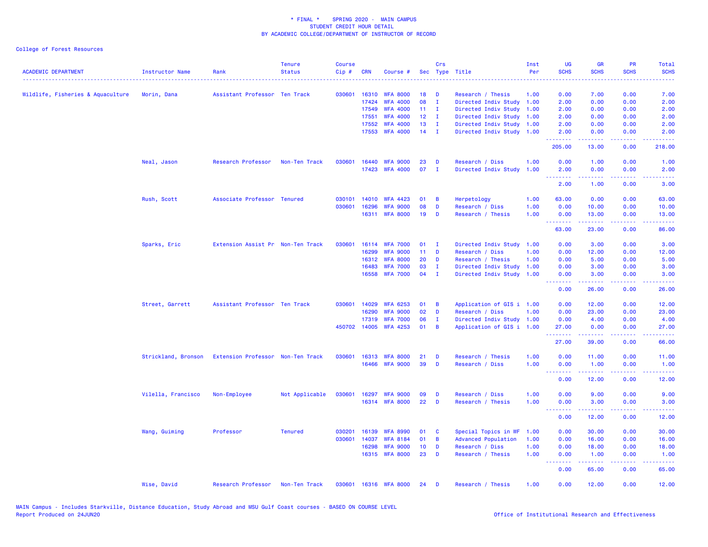### College of Forest Resources

| <b>ACADEMIC DEPARTMENT</b>        | <b>Instructor Name</b> | Rank                              | <b>Tenure</b><br><b>Status</b> | <b>Course</b><br>Cip# | CRN   | Course #                          |                 | Crs            | Sec Type Title                       | Inst<br>Per  | <b>UG</b><br><b>SCHS</b><br>$- - - -$ | <b>GR</b><br><b>SCHS</b>                                                                                                                             | <b>PR</b><br><b>SCHS</b> | Total<br><b>SCHS</b><br>.                                                                                                         |
|-----------------------------------|------------------------|-----------------------------------|--------------------------------|-----------------------|-------|-----------------------------------|-----------------|----------------|--------------------------------------|--------------|---------------------------------------|------------------------------------------------------------------------------------------------------------------------------------------------------|--------------------------|-----------------------------------------------------------------------------------------------------------------------------------|
| Wildlife, Fisheries & Aquaculture | Morin, Dana            | Assistant Professor Ten Track     |                                | 030601                | 16310 | <b>WFA 8000</b>                   | 18              | D              | Research / Thesis                    | 1.00         | 0.00                                  | 7.00                                                                                                                                                 | 0.00                     | 7.00                                                                                                                              |
|                                   |                        |                                   |                                |                       | 17424 | <b>WFA 4000</b>                   | 08              | $\mathbf{I}$   | Directed Indiv Study 1.00            |              | 2.00                                  | 0.00                                                                                                                                                 | 0.00                     | 2.00                                                                                                                              |
|                                   |                        |                                   |                                |                       | 17549 | <b>WFA 4000</b>                   | 11              | $\mathbf{I}$   | Directed Indiv Study                 | 1.00         | 2.00                                  | 0.00                                                                                                                                                 | 0.00                     | 2.00                                                                                                                              |
|                                   |                        |                                   |                                |                       | 17551 | <b>WFA 4000</b>                   | 12              | $\mathbf I$    | Directed Indiv Study 1.00            |              | 2.00                                  | 0.00                                                                                                                                                 | 0.00                     | 2.00                                                                                                                              |
|                                   |                        |                                   |                                |                       | 17552 | <b>WFA 4000</b>                   | 13              | $\mathbf I$    | Directed Indiv Study 1.00            |              | 2.00                                  | 0.00                                                                                                                                                 | 0.00                     | 2.00                                                                                                                              |
|                                   |                        |                                   |                                |                       | 17553 | <b>WFA 4000</b>                   | 14              | $\mathbf{I}$   | Directed Indiv Study 1.00            |              | 2.00<br>.                             | 0.00<br>$\frac{1}{2} \left( \frac{1}{2} \right) \left( \frac{1}{2} \right) \left( \frac{1}{2} \right) \left( \frac{1}{2} \right)$                    | 0.00<br>د د د د          | 2.00<br>المتمامين                                                                                                                 |
|                                   |                        |                                   |                                |                       |       |                                   |                 |                |                                      |              | 205.00                                | 13.00                                                                                                                                                | 0.00                     | 218.00                                                                                                                            |
|                                   | Neal, Jason            | Research Professor                | Non-Ten Track                  | 030601                | 16440 | <b>WFA 9000</b>                   | 23              | D              | Research / Diss                      | 1.00         | 0.00                                  | 1.00                                                                                                                                                 | 0.00                     | 1.00                                                                                                                              |
|                                   |                        |                                   |                                |                       |       | 17423 WFA 4000                    | 07              | $\mathbf{I}$   | Directed Indiv Study                 | 1.00         | 2.00<br><u>.</u>                      | 0.00<br>22222                                                                                                                                        | 0.00<br>.                | 2.00<br>$\frac{1}{2} \left( \frac{1}{2} \right) \left( \frac{1}{2} \right) \left( \frac{1}{2} \right) \left( \frac{1}{2} \right)$ |
|                                   |                        |                                   |                                |                       |       |                                   |                 |                |                                      |              | 2.00                                  | 1.00                                                                                                                                                 | 0.00                     | 3.00                                                                                                                              |
|                                   | Rush, Scott            | Associate Professor Tenured       |                                | 030101                | 14010 | <b>WFA 4423</b>                   | 01              | B              | Herpetology                          | 1.00         | 63.00                                 | 0.00                                                                                                                                                 | 0.00                     | 63.00                                                                                                                             |
|                                   |                        |                                   |                                | 030601                | 16296 | <b>WFA 9000</b>                   | 08              | D              | Research / Diss                      | 1.00         | 0.00                                  | 10.00                                                                                                                                                | 0.00                     | 10.00                                                                                                                             |
|                                   |                        |                                   |                                |                       |       | 16311 WFA 8000                    | 19              | D              | Research / Thesis                    | 1.00         | 0.00<br>.                             | 13.00<br>.                                                                                                                                           | 0.00<br>.                | 13.00<br>.                                                                                                                        |
|                                   |                        |                                   |                                |                       |       |                                   |                 |                |                                      |              | 63.00                                 | 23.00                                                                                                                                                | 0.00                     | 86.00                                                                                                                             |
|                                   | Sparks, Eric           | Extension Assist Pr Non-Ten Track |                                | 030601                |       | 16114 WFA 7000                    | 01              | - 1            | Directed Indiv Study                 | 1.00         | 0.00                                  | 3.00                                                                                                                                                 | 0.00                     | 3.00                                                                                                                              |
|                                   |                        |                                   |                                |                       | 16299 | <b>WFA 9000</b>                   | 11 <sub>1</sub> | D              | Research / Diss                      | 1.00         | 0.00                                  | 12.00                                                                                                                                                | 0.00                     | 12.00                                                                                                                             |
|                                   |                        |                                   |                                |                       | 16312 | <b>WFA 8000</b>                   | 20              | D              | Research / Thesis                    | 1.00         | 0.00                                  | 5.00                                                                                                                                                 | 0.00                     | 5.00                                                                                                                              |
|                                   |                        |                                   |                                |                       | 16483 | <b>WFA 7000</b>                   | 03              | I.             | Directed Indiv Study                 | 1.00         | 0.00                                  | 3.00                                                                                                                                                 | 0.00                     | 3.00                                                                                                                              |
|                                   |                        |                                   |                                |                       |       | 16558 WFA 7000                    | 04              | $\mathbf{I}$   | Directed Indiv Study 1.00            |              | 0.00                                  | 3.00                                                                                                                                                 | 0.00                     | 3.00                                                                                                                              |
|                                   |                        |                                   |                                |                       |       |                                   |                 |                |                                      |              | بالأباد<br>0.00                       | د د د د د<br>26.00                                                                                                                                   | وبالأباد<br>0.00         | 26.00                                                                                                                             |
|                                   | Street, Garrett        | Assistant Professor Ten Track     |                                | 030601                | 14029 | <b>WFA 6253</b>                   | 01              | B              | Application of GIS i 1.00            |              | 0.00                                  | 12.00                                                                                                                                                | 0.00                     | 12.00                                                                                                                             |
|                                   |                        |                                   |                                |                       | 16290 | <b>WFA 9000</b>                   | 02              | D              | Research / Diss                      | 1.00         | 0.00                                  | 23.00                                                                                                                                                | 0.00                     | 23.00                                                                                                                             |
|                                   |                        |                                   |                                |                       | 17319 | <b>WFA 7000</b>                   | 06              | $\mathbf I$    | Directed Indiv Study 1.00            |              | 0.00                                  | 4.00                                                                                                                                                 | 0.00                     | 4.00                                                                                                                              |
|                                   |                        |                                   |                                |                       |       | 450702 14005 WFA 4253             | 01              | $\overline{B}$ | Application of GIS i 1.00            |              | 27.00                                 | 0.00                                                                                                                                                 | 0.00                     | 27.00                                                                                                                             |
|                                   |                        |                                   |                                |                       |       |                                   |                 |                |                                      |              | .<br>27.00                            | د د د د د<br>39.00                                                                                                                                   | .<br>0.00                | .<br>66.00                                                                                                                        |
|                                   | Strickland, Bronson    | Extension Professor Non-Ten Track |                                | 030601                |       | 16313 WFA 8000                    | 21              | D              | Research / Thesis                    | 1.00         | 0.00                                  | 11.00                                                                                                                                                | 0.00                     | 11.00                                                                                                                             |
|                                   |                        |                                   |                                |                       |       | 16466 WFA 9000                    | 39              | D              | Research / Diss                      | 1.00         | 0.00                                  | 1.00                                                                                                                                                 | 0.00                     | 1.00                                                                                                                              |
|                                   |                        |                                   |                                |                       |       |                                   |                 |                |                                      |              | .<br>0.00                             | د د د د د<br>12.00                                                                                                                                   | .<br>0.00                | .<br>12.00                                                                                                                        |
|                                   |                        |                                   |                                |                       |       |                                   |                 |                |                                      |              |                                       |                                                                                                                                                      |                          |                                                                                                                                   |
|                                   | Vilella, Francisco     | Non-Employee                      | Not Applicable                 | 030601                | 16297 | <b>WFA 9000</b><br>16314 WFA 8000 | 09<br>22        | D<br>D         | Research / Diss<br>Research / Thesis | 1.00<br>1.00 | 0.00<br>0.00                          | 9.00<br>3.00                                                                                                                                         | 0.00<br>0.00             | 9.00<br>3.00                                                                                                                      |
|                                   |                        |                                   |                                |                       |       |                                   |                 |                |                                      |              | .                                     | $\frac{1}{2} \left( \frac{1}{2} \right) \left( \frac{1}{2} \right) \left( \frac{1}{2} \right) \left( \frac{1}{2} \right) \left( \frac{1}{2} \right)$ | .                        | وساعات                                                                                                                            |
|                                   |                        |                                   |                                |                       |       |                                   |                 |                |                                      |              | 0.00                                  | 12.00                                                                                                                                                | 0.00                     | 12.00                                                                                                                             |
|                                   | Wang, Guiming          | Professor                         | <b>Tenured</b>                 | 030201                | 16139 | <b>WFA 8990</b>                   | 01              | <b>C</b>       | Special Topics in WF                 | 1.00         | 0.00                                  | 30.00                                                                                                                                                | 0.00                     | 30.00                                                                                                                             |
|                                   |                        |                                   |                                | 030601                | 14037 | <b>WFA 8184</b>                   | 01              | B              | <b>Advanced Population</b>           | 1.00         | 0.00                                  | 16.00                                                                                                                                                | 0.00                     | 16.00                                                                                                                             |
|                                   |                        |                                   |                                |                       | 16298 | <b>WFA 9000</b>                   | 10              | D              | Research / Diss                      | 1.00         | 0.00                                  | 18.00                                                                                                                                                | 0.00                     | 18.00                                                                                                                             |
|                                   |                        |                                   |                                |                       |       | 16315 WFA 8000                    | 23              | D              | Research / Thesis                    | 1.00         | 0.00<br><b></b>                       | 1.00<br>بالأبال                                                                                                                                      | 0.00<br>بالأباب          | 1.00<br>وساعات                                                                                                                    |
|                                   |                        |                                   |                                |                       |       |                                   |                 |                |                                      |              | 0.00                                  | 65.00                                                                                                                                                | 0.00                     | 65.00                                                                                                                             |
|                                   | Wise, David            | Research Professor                | Non-Ten Track                  | 030601                |       | 16316 WFA 8000                    | 24              | D              | Research / Thesis                    | 1.00         | 0.00                                  | 12.00                                                                                                                                                | 0.00                     | 12.00                                                                                                                             |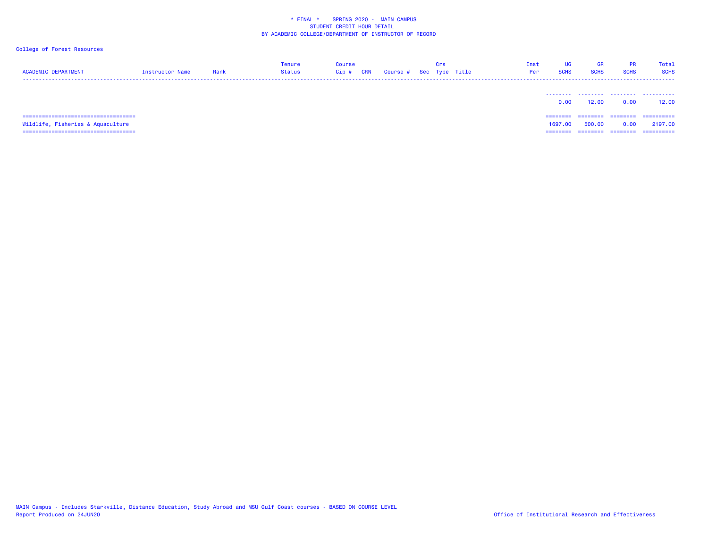### College of Forest Resources

| <b>ACADEMIC DEPARTMENT</b>                                                   | Instructor Name | Rank | <b>Tenure</b><br><b>Status</b> | <b>Course</b><br><b>CRN</b><br>$Cip$ # | Course # Sec Type Title | Crs | Inst<br>Per | UG<br><b>SCHS</b> | <b>GR</b><br><b>SCHS</b> | PR.<br><b>SCHS</b> | Total<br><b>SCHS</b>  |
|------------------------------------------------------------------------------|-----------------|------|--------------------------------|----------------------------------------|-------------------------|-----|-------------|-------------------|--------------------------|--------------------|-----------------------|
|                                                                              |                 |      |                                |                                        |                         |     |             | 0.00              | 12.00                    | .<br>0.00          | .<br>12.00            |
| ;=============================<br>=====<br>Wildlife, Fisheries & Aquaculture |                 |      |                                |                                        |                         |     |             | =====<br>1697.00  | 500.00                   | ========<br>0.06   | ==========<br>2197.00 |

===================================

MAIN Campus - Includes Starkville, Distance Education, Study Abroad and MSU Gulf Coast courses - BASED ON COURSE LEVEL

======== ======== ======== ==========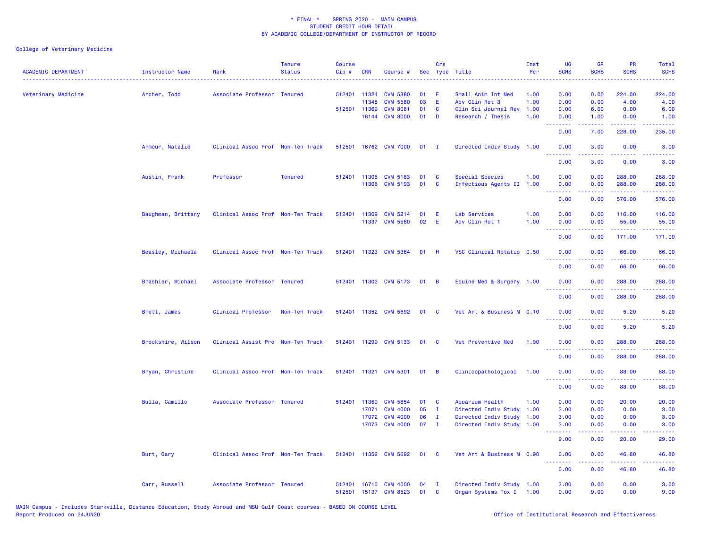| <b>ACADEMIC DEPARTMENT</b> | <b>Instructor Name</b> | Rank                              | <b>Tenure</b><br><b>Status</b> | <b>Course</b><br>Cip# | <b>CRN</b>   | Course #              | Sec | Crs            | Type Title                | Inst<br>Per | <b>UG</b><br><b>SCHS</b>    | <b>GR</b><br><b>SCHS</b> | <b>PR</b><br><b>SCHS</b>                        | Total<br><b>SCHS</b>                                                                                                                                           |
|----------------------------|------------------------|-----------------------------------|--------------------------------|-----------------------|--------------|-----------------------|-----|----------------|---------------------------|-------------|-----------------------------|--------------------------|-------------------------------------------------|----------------------------------------------------------------------------------------------------------------------------------------------------------------|
| Veterinary Medicine        | Archer, Todd           | Associate Professor Tenured       |                                |                       | 512401 11324 | <b>CVM 5380</b>       | 01  | E              | Small Anim Int Med        | 1.00        | 0.00                        | 0.00                     | 224.00                                          | 224.00                                                                                                                                                         |
|                            |                        |                                   |                                |                       | 11345        | <b>CVM 5580</b>       | 03  | E              | Adv Clin Rot 3            | 1.00        | 0.00                        | 0.00                     | 4.00                                            | 4.00                                                                                                                                                           |
|                            |                        |                                   |                                |                       | 512501 11369 | <b>CVM 8081</b>       | 01  | C              | Clin Sci Journal Rev      | 1.00        | 0.00                        | 6.00                     | 0.00                                            | 6.00                                                                                                                                                           |
|                            |                        |                                   |                                |                       | 16144        | <b>CVM 8000</b>       | 01  | D              | Research / Thesis         | 1.00        | 0.00<br>.                   | 1.00<br>22222            | 0.00<br>22222                                   | 1.00<br>.                                                                                                                                                      |
|                            |                        |                                   |                                |                       |              |                       |     |                |                           |             | 0.00                        | 7.00                     | 228.00                                          | 235.00                                                                                                                                                         |
|                            | Armour, Natalie        | Clinical Assoc Prof Non-Ten Track |                                | 512501                |              | 16762 CVM 7000        | 01  | $\mathbf{I}$   | Directed Indiv Study      | 1.00        | 0.00<br>.                   | 3.00                     | 0.00                                            | 3.00                                                                                                                                                           |
|                            |                        |                                   |                                |                       |              |                       |     |                |                           |             | 0.00                        | 3.00                     | 0.00                                            | 3.00                                                                                                                                                           |
|                            | Austin, Frank          | Professor                         | <b>Tenured</b>                 |                       | 512401 11305 | <b>CVM 5183</b>       | 01  | C              | Special Species           | 1.00        | 0.00                        | 0.00                     | 288.00                                          | 288.00                                                                                                                                                         |
|                            |                        |                                   |                                |                       | 11306        | <b>CVM 5193</b>       | 01  | <b>C</b>       | Infectious Agents II 1.00 |             | 0.00                        | 0.00                     | 288.00                                          | 288.00                                                                                                                                                         |
|                            |                        |                                   |                                |                       |              |                       |     |                |                           |             | $\sim$ $\sim$ $\sim$ $\sim$ |                          | ------                                          |                                                                                                                                                                |
|                            |                        |                                   |                                |                       |              |                       |     |                |                           |             | 0.00                        | 0.00                     | 576.00                                          | 576.00                                                                                                                                                         |
|                            | Baughman, Brittany     | Clinical Assoc Prof Non-Ten Track |                                |                       | 512401 11309 | <b>CVM 5214</b>       | 01  | E              | Lab Services              | 1.00        | 0.00                        | 0.00                     | 116.00                                          | 116.00                                                                                                                                                         |
|                            |                        |                                   |                                |                       | 11337        | <b>CVM 5560</b>       | 02  | E              | Adv Clin Rot 1            | 1.00        | 0.00<br>.                   | 0.00                     | 55.00<br><b><i><u><u> - - - - -</u></u></i></b> | 55.00<br>22222                                                                                                                                                 |
|                            |                        |                                   |                                |                       |              |                       |     |                |                           |             | 0.00                        | 0.00                     | 171.00                                          | 171.00                                                                                                                                                         |
|                            | Beasley, Michaela      | Clinical Assoc Prof Non-Ten Track |                                |                       |              | 512401 11323 CVM 5364 | 01  | - H            | VSC Clinical Rotatio 0.50 |             | 0.00                        | 0.00                     | 66.00                                           | 66.00                                                                                                                                                          |
|                            |                        |                                   |                                |                       |              |                       |     |                |                           |             | 0.00                        | 0.00                     | 66.00                                           | 66.00                                                                                                                                                          |
|                            | Brashier, Michael      | Associate Professor Tenured       |                                |                       |              | 512401 11302 CVM 5173 | 01  | <b>B</b>       | Equine Med & Surgery 1.00 |             | 0.00                        | 0.00                     | 288.00                                          | 288.00                                                                                                                                                         |
|                            |                        |                                   |                                |                       |              |                       |     |                |                           |             | .<br>0.00                   | 0.00                     | . <u>.</u><br>288.00                            | $\frac{1}{2} \left( \frac{1}{2} \right) \left( \frac{1}{2} \right) \left( \frac{1}{2} \right) \left( \frac{1}{2} \right) \left( \frac{1}{2} \right)$<br>288.00 |
|                            | Brett, James           | Clinical Professor                | Non-Ten Track                  |                       |              | 512401 11352 CVM 5692 | 01  | C              | Vet Art & Business M 0.10 |             | 0.00                        | 0.00                     | 5.20                                            | 5.20                                                                                                                                                           |
|                            |                        |                                   |                                |                       |              |                       |     |                |                           |             | .<br>0.00                   | 0.00                     | 5.20                                            | 5.20                                                                                                                                                           |
|                            | Brookshire, Wilson     | Clinical Assist Pro Non-Ten Track |                                |                       |              | 512401 11299 CVM 5133 | 01  | C              | Vet Preventive Med        | 1.00        | 0.00                        | 0.00                     | 288.00                                          | 288.00                                                                                                                                                         |
|                            |                        |                                   |                                |                       |              |                       |     |                |                           |             | .                           |                          | .                                               | .                                                                                                                                                              |
|                            |                        |                                   |                                |                       |              |                       |     |                |                           |             | 0.00                        | 0.00                     | 288.00                                          | 288.00                                                                                                                                                         |
|                            | Bryan, Christine       | Clinical Assoc Prof Non-Ten Track |                                |                       |              | 512401 11321 CVM 5301 | 01  | $\overline{B}$ | Clinicopathological       | 1.00        | 0.00<br>.                   | 0.00<br>.                | 88.00<br>.                                      | 88.00<br>.                                                                                                                                                     |
|                            |                        |                                   |                                |                       |              |                       |     |                |                           |             | 0.00                        | 0.00                     | 88.00                                           | 88.00                                                                                                                                                          |
|                            | Bulla, Camillo         | Associate Professor Tenured       |                                |                       | 512401 11360 | <b>CVM 5854</b>       | 01  | C              | Aquarium Health           | 1.00        | 0.00                        | 0.00                     | 20.00                                           | 20.00                                                                                                                                                          |
|                            |                        |                                   |                                |                       | 17071        | <b>CVM 4000</b>       | 05  | $\mathbf{I}$   | Directed Indiv Study      | 1.00        | 3.00                        | 0.00                     | 0.00                                            | 3.00                                                                                                                                                           |
|                            |                        |                                   |                                |                       | 17072        | <b>CVM 4000</b>       | 06  | $\mathbf{I}$   | Directed Indiv Study      | 1.00        | 3.00                        | 0.00                     | 0.00                                            | 3.00                                                                                                                                                           |
|                            |                        |                                   |                                |                       |              | 17073 CVM 4000        | 07  | $\mathbf{I}$   | Directed Indiv Study 1.00 |             | 3.00<br>----                | 0.00                     | 0.00<br>.                                       | 3.00                                                                                                                                                           |
|                            |                        |                                   |                                |                       |              |                       |     |                |                           |             | 9.00                        | 0.00                     | 20.00                                           | 29.00                                                                                                                                                          |
|                            | Burt, Gary             | Clinical Assoc Prof Non-Ten Track |                                |                       |              | 512401 11352 CVM 5692 | 01  | C              | Vet Art & Business M 0.90 |             | 0.00<br>.                   | 0.00                     | 46.80<br>.                                      | 46.80                                                                                                                                                          |
|                            |                        |                                   |                                |                       |              |                       |     |                |                           |             | 0.00                        | 0.00                     | 46.80                                           | 46.80                                                                                                                                                          |
|                            | Carr, Russell          | Associate Professor Tenured       |                                | 512401                |              | 16710 CVM 4000        | 04  | $\mathbf{I}$   | Directed Indiv Study 1.00 |             | 3.00                        | 0.00                     | 0.00                                            | 3.00                                                                                                                                                           |
|                            |                        |                                   |                                |                       |              | 512501 15137 CVM 8523 | 01  | C              | Organ Systems Tox I 1.00  |             | 0.00                        | 9.00                     | 0.00                                            | 9.00                                                                                                                                                           |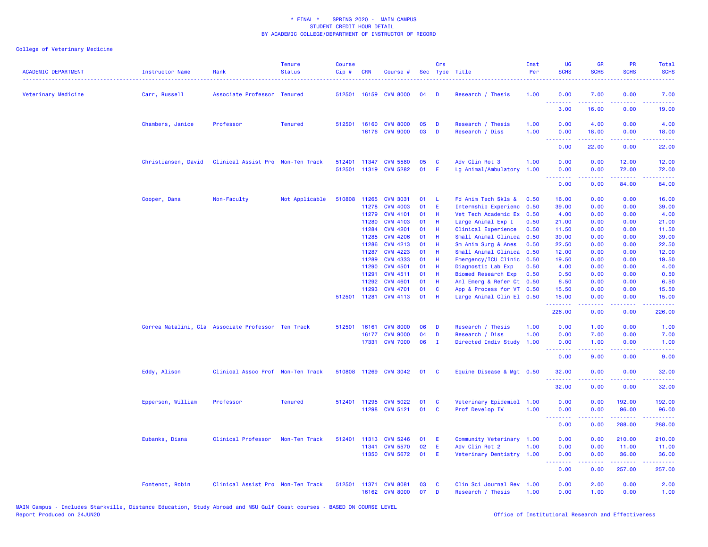| <b>ACADEMIC DEPARTMENT</b> | <b>Instructor Name</b>                             | Rank                              | <b>Tenure</b><br><b>Status</b> | <b>Course</b><br>Cip# | <b>CRN</b>     | Course #              |          | <b>Crs</b>   | Sec Type Title             | Inst<br>Per  | <b>UG</b><br><b>SCHS</b> | <b>GR</b><br><b>SCHS</b> | PR<br><b>SCHS</b>                                                                                                                                                                                                                                                                                                                                                                                                                                                                               | <b>Total</b><br><b>SCHS</b> |
|----------------------------|----------------------------------------------------|-----------------------------------|--------------------------------|-----------------------|----------------|-----------------------|----------|--------------|----------------------------|--------------|--------------------------|--------------------------|-------------------------------------------------------------------------------------------------------------------------------------------------------------------------------------------------------------------------------------------------------------------------------------------------------------------------------------------------------------------------------------------------------------------------------------------------------------------------------------------------|-----------------------------|
| Veterinary Medicine        | Carr, Russell                                      | Associate Professor Tenured       |                                |                       |                | 512501 16159 CVM 8000 | 04       | Ð            | Research / Thesis          | 1.00         | 0.00<br><u>.</u>         | 7.00                     | 0.00                                                                                                                                                                                                                                                                                                                                                                                                                                                                                            | 7.00                        |
|                            |                                                    |                                   |                                |                       |                |                       |          |              |                            |              | 3.00                     | 16.00                    | 0.00                                                                                                                                                                                                                                                                                                                                                                                                                                                                                            | 19.00                       |
|                            | Chambers, Janice                                   | Professor                         | <b>Tenured</b>                 |                       |                | 512501 16160 CVM 8000 | 05       | D            | Research / Thesis          | 1.00         | 0.00                     | 4.00                     | 0.00                                                                                                                                                                                                                                                                                                                                                                                                                                                                                            | 4.00                        |
|                            |                                                    |                                   |                                |                       |                | 16176 CVM 9000        | 03       | D            | Research / Diss            | 1.00         | 0.00<br><b></b>          | 18.00<br>د د د د د       | 0.00<br>.                                                                                                                                                                                                                                                                                                                                                                                                                                                                                       | 18.00<br>وعاعاها            |
|                            |                                                    |                                   |                                |                       |                |                       |          |              |                            |              | 0.00                     | 22.00                    | 0.00                                                                                                                                                                                                                                                                                                                                                                                                                                                                                            | 22.00                       |
|                            | Christiansen, David                                | Clinical Assist Pro Non-Ten Track |                                | 512401                |                | 11347 CVM 5580        | 05       | C            | Adv Clin Rot 3             | 1.00         | 0.00                     | 0.00                     | 12.00                                                                                                                                                                                                                                                                                                                                                                                                                                                                                           | 12.00                       |
|                            |                                                    |                                   |                                | 512501                |                | 11319 CVM 5282        | 01       | E            | Lg Animal/Ambulatory       | 1.00         | 0.00                     | 0.00                     | 72.00                                                                                                                                                                                                                                                                                                                                                                                                                                                                                           | 72.00                       |
|                            |                                                    |                                   |                                |                       |                |                       |          |              |                            |              | 0.00                     | 0.00                     | 84.00                                                                                                                                                                                                                                                                                                                                                                                                                                                                                           | 84.00                       |
|                            | Cooper, Dana                                       | Non-Faculty                       | Not Applicable                 | 510808                | 11265          | <b>CVM 3031</b>       | 01       | -L           | Fd Anim Tech Skls &        | 0.50         | 16.00                    | 0.00                     | 0.00                                                                                                                                                                                                                                                                                                                                                                                                                                                                                            | 16.00                       |
|                            |                                                    |                                   |                                |                       | 11278          | <b>CVM 4003</b>       | 01       | E            | Internship Experienc       | 0.50         | 39.00                    | 0.00                     | 0.00                                                                                                                                                                                                                                                                                                                                                                                                                                                                                            | 39.00                       |
|                            |                                                    |                                   |                                |                       | 11279          | <b>CVM 4101</b>       | 01       | H            | Vet Tech Academic Ex       | 0.50         | 4.00                     | 0.00                     | 0.00                                                                                                                                                                                                                                                                                                                                                                                                                                                                                            | 4.00                        |
|                            |                                                    |                                   |                                |                       | 11280          | <b>CVM 4103</b>       | 01       | Н            | Large Animal Exp I         | 0.50         | 21.00                    | 0.00                     | 0.00                                                                                                                                                                                                                                                                                                                                                                                                                                                                                            | 21.00                       |
|                            |                                                    |                                   |                                |                       | 11284<br>11285 | <b>CVM 4201</b>       | 01<br>01 | Н<br>H       | Clinical Experience        | 0.50<br>0.50 | 11.50                    | 0.00<br>0.00             | 0.00<br>0.00                                                                                                                                                                                                                                                                                                                                                                                                                                                                                    | 11.50                       |
|                            |                                                    |                                   |                                |                       | 11286          | <b>CVM 4206</b>       | 01       | H            | Small Animal Clinica       |              | 39.00                    |                          | 0.00                                                                                                                                                                                                                                                                                                                                                                                                                                                                                            | 39.00                       |
|                            |                                                    |                                   |                                |                       |                | <b>CVM 4213</b>       |          |              | Sm Anim Surg & Anes        | 0.50         | 22.50                    | 0.00                     |                                                                                                                                                                                                                                                                                                                                                                                                                                                                                                 | 22.50                       |
|                            |                                                    |                                   |                                |                       | 11287          | <b>CVM 4223</b>       | 01       | Н            | Small Animal Clinica       | 0.50         | 12.00                    | 0.00                     | 0.00                                                                                                                                                                                                                                                                                                                                                                                                                                                                                            | 12.00                       |
|                            |                                                    |                                   |                                |                       | 11289          | <b>CVM 4333</b>       | 01       | н            | Emergency/ICU Clinic       | 0.50         | 19.50                    | 0.00                     | 0.00                                                                                                                                                                                                                                                                                                                                                                                                                                                                                            | 19.50                       |
|                            |                                                    |                                   |                                |                       | 11290          | <b>CVM 4501</b>       | 01       | H            | Diagnostic Lab Exp         | 0.50         | 4.00                     | 0.00                     | 0.00                                                                                                                                                                                                                                                                                                                                                                                                                                                                                            | 4.00                        |
|                            |                                                    |                                   |                                |                       | 11291          | <b>CVM 4511</b>       | 01       | Н            | <b>Biomed Research Exp</b> | 0.50         | 0.50                     | 0.00                     | 0.00                                                                                                                                                                                                                                                                                                                                                                                                                                                                                            | 0.50                        |
|                            |                                                    |                                   |                                |                       | 11292          | <b>CVM 4601</b>       | 01       | H            | Anl Emerg & Refer Ct 0.50  |              | 6.50                     | 0.00                     | 0.00                                                                                                                                                                                                                                                                                                                                                                                                                                                                                            | 6.50                        |
|                            |                                                    |                                   |                                |                       | 11293          | <b>CVM 4701</b>       | 01<br>01 | C<br>H       | App & Process for VT 0.50  |              | 15.50                    | 0.00                     | 0.00<br>0.00                                                                                                                                                                                                                                                                                                                                                                                                                                                                                    | 15.50                       |
|                            |                                                    |                                   |                                |                       | 512501 11281   | <b>CVM 4113</b>       |          |              | Large Animal Clin El 0.50  |              | 15.00<br>.               | 0.00<br>22222            | .                                                                                                                                                                                                                                                                                                                                                                                                                                                                                               | 15.00<br>.                  |
|                            |                                                    |                                   |                                |                       |                |                       |          |              |                            |              | 226.00                   | 0.00                     | 0.00                                                                                                                                                                                                                                                                                                                                                                                                                                                                                            | 226.00                      |
|                            | Correa Natalini, Cla Associate Professor Ten Track |                                   |                                | 512501                | 16161          | <b>CVM 8000</b>       | 06       | D            | Research / Thesis          | 1.00         | 0.00                     | 1.00                     | 0.00                                                                                                                                                                                                                                                                                                                                                                                                                                                                                            | 1.00                        |
|                            |                                                    |                                   |                                |                       | 16177          | <b>CVM 9000</b>       | 04       | D            | Research / Diss            | 1.00         | 0.00                     | 7.00                     | 0.00                                                                                                                                                                                                                                                                                                                                                                                                                                                                                            | 7.00                        |
|                            |                                                    |                                   |                                |                       |                | 17331 CVM 7000        | 06       | $\mathbf{I}$ | Directed Indiv Study       | 1.00         | 0.00<br>.                | 1.00                     | 0.00<br>د د د د .                                                                                                                                                                                                                                                                                                                                                                                                                                                                               | 1.00<br>2222                |
|                            |                                                    |                                   |                                |                       |                |                       |          |              |                            |              | 0.00                     | 9.00                     | 0.00                                                                                                                                                                                                                                                                                                                                                                                                                                                                                            | 9.00                        |
|                            | Eddy, Alison                                       | Clinical Assoc Prof Non-Ten Track |                                |                       |                | 510808 11269 CVM 3042 | 01       | <b>C</b>     | Equine Disease & Mgt 0.50  |              | 32.00                    | 0.00                     | 0.00                                                                                                                                                                                                                                                                                                                                                                                                                                                                                            | 32.00                       |
|                            |                                                    |                                   |                                |                       |                |                       |          |              |                            |              | <u>.</u><br>32.00        | .<br>0.00                | .<br>0.00                                                                                                                                                                                                                                                                                                                                                                                                                                                                                       | .<br>32.00                  |
|                            | Epperson, William                                  | Professor                         | <b>Tenured</b>                 | 512401                | 11295          | <b>CVM 5022</b>       | 01       | C            | Veterinary Epidemiol       | 1.00         | 0.00                     | 0.00                     | 192.00                                                                                                                                                                                                                                                                                                                                                                                                                                                                                          | 192.00                      |
|                            |                                                    |                                   |                                |                       | 11298          | <b>CVM 5121</b>       | 01       | <b>C</b>     | Prof Develop IV            | 1.00         | 0.00                     | 0.00                     | 96.00                                                                                                                                                                                                                                                                                                                                                                                                                                                                                           | 96.00                       |
|                            |                                                    |                                   |                                |                       |                |                       |          |              |                            |              | <b></b><br>0.00          | 0.00                     | .<br>288.00                                                                                                                                                                                                                                                                                                                                                                                                                                                                                     | .<br>288.00                 |
|                            | Eubanks, Diana                                     | Clinical Professor                | Non-Ten Track                  | 512401                | 11313          | <b>CVM 5246</b>       | 01       | Ε            | Community Veterinary 1.00  |              | 0.00                     | 0.00                     | 210.00                                                                                                                                                                                                                                                                                                                                                                                                                                                                                          | 210.00                      |
|                            |                                                    |                                   |                                |                       | 11341          | <b>CVM 5570</b>       | 02       | Е            | Adv Clin Rot 2             | 1.00         | 0.00                     | 0.00                     | 11.00                                                                                                                                                                                                                                                                                                                                                                                                                                                                                           | 11.00                       |
|                            |                                                    |                                   |                                |                       |                | 11350 CVM 5672        | 01       | E            | Veterinary Dentistry 1.00  |              | 0.00<br>.                | 0.00<br>.                | 36.00<br>$\begin{array}{cccccccccc} \multicolumn{2}{c}{} & \multicolumn{2}{c}{} & \multicolumn{2}{c}{} & \multicolumn{2}{c}{} & \multicolumn{2}{c}{} & \multicolumn{2}{c}{} & \multicolumn{2}{c}{} & \multicolumn{2}{c}{} & \multicolumn{2}{c}{} & \multicolumn{2}{c}{} & \multicolumn{2}{c}{} & \multicolumn{2}{c}{} & \multicolumn{2}{c}{} & \multicolumn{2}{c}{} & \multicolumn{2}{c}{} & \multicolumn{2}{c}{} & \multicolumn{2}{c}{} & \multicolumn{2}{c}{} & \multicolumn{2}{c}{} & \mult$ | 36.00<br>22222              |
|                            |                                                    |                                   |                                |                       |                |                       |          |              |                            |              | 0.00                     | 0.00                     | 257.00                                                                                                                                                                                                                                                                                                                                                                                                                                                                                          | 257.00                      |
|                            | Fontenot, Robin                                    | Clinical Assist Pro Non-Ten Track |                                | 512501                | 11371          | <b>CVM 8081</b>       | 03       | C            | Clin Sci Journal Rev       | 1.00         | 0.00                     | 2.00                     | 0.00                                                                                                                                                                                                                                                                                                                                                                                                                                                                                            | 2.00                        |
|                            |                                                    |                                   |                                |                       |                | 16162 CVM 8000        | 07       | D            | Research / Thesis          | 1.00         | 0.00                     | 1.00                     | 0.00                                                                                                                                                                                                                                                                                                                                                                                                                                                                                            | 1.00                        |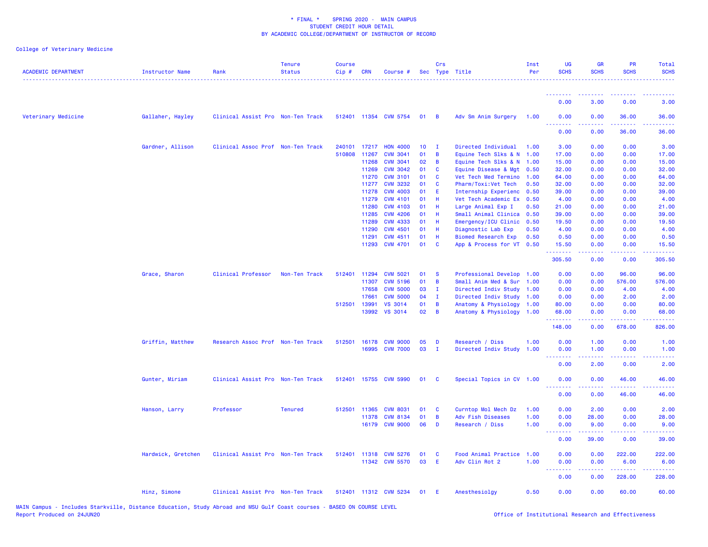| <b>ACADEMIC DEPARTMENT</b> | <b>Instructor Name</b> | Rank                              | <b>Tenure</b><br><b>Status</b> | <b>Course</b><br>Cip# | <b>CRN</b>   | Course #              |                 | Crs            | Sec Type Title            | Inst<br>Per | UG<br><b>SCHS</b>                                                                              | <b>GR</b><br><b>SCHS</b>        | <b>PR</b><br><b>SCHS</b>                                                                               | Total<br><b>SCHS</b>                                                                                                              |
|----------------------------|------------------------|-----------------------------------|--------------------------------|-----------------------|--------------|-----------------------|-----------------|----------------|---------------------------|-------------|------------------------------------------------------------------------------------------------|---------------------------------|--------------------------------------------------------------------------------------------------------|-----------------------------------------------------------------------------------------------------------------------------------|
|                            |                        |                                   |                                |                       |              |                       |                 |                |                           |             | <b></b><br>0.00                                                                                | <u> - - - - - - - -</u><br>3.00 | $\frac{1}{2} \left( \frac{1}{2} \right) \left( \frac{1}{2} \right) \left( \frac{1}{2} \right)$<br>0.00 | 3.00                                                                                                                              |
| Veterinary Medicine        | Gallaher, Hayley       | Clinical Assist Pro Non-Ten Track |                                |                       |              | 512401 11354 CVM 5754 | 01              | $\overline{B}$ | Adv Sm Anim Surgery       | 1.00        | 0.00                                                                                           | 0.00                            | 36.00                                                                                                  | 36.00                                                                                                                             |
|                            |                        |                                   |                                |                       |              |                       |                 |                |                           |             | $\frac{1}{2} \left( \frac{1}{2} \right) \left( \frac{1}{2} \right) \left( \frac{1}{2} \right)$ |                                 |                                                                                                        |                                                                                                                                   |
|                            |                        |                                   |                                |                       |              |                       |                 |                |                           |             | 0.00                                                                                           | 0.00                            | 36.00                                                                                                  | 36.00                                                                                                                             |
|                            | Gardner, Allison       | Clinical Assoc Prof Non-Ten Track |                                | 240101                | 17217        | <b>HON 4000</b>       | 10 <sub>1</sub> | $\mathbf{I}$   | Directed Individual       | 1.00        | 3.00                                                                                           | 0.00                            | 0.00                                                                                                   | 3.00                                                                                                                              |
|                            |                        |                                   |                                | 510808                | 11267        | <b>CVM 3041</b>       | 01              | B              | Equine Tech Slks & N      | 1.00        | 17.00                                                                                          | 0.00                            | 0.00                                                                                                   | 17.00                                                                                                                             |
|                            |                        |                                   |                                |                       | 11268        | <b>CVM 3041</b>       | 02              | B              | Equine Tech Slks & N 1.00 |             | 15.00                                                                                          | 0.00                            | 0.00                                                                                                   | 15.00                                                                                                                             |
|                            |                        |                                   |                                |                       | 11269        | <b>CVM 3042</b>       | 01              | C              | Equine Disease & Mgt      | 0.50        | 32.00                                                                                          | 0.00                            | 0.00                                                                                                   | 32.00                                                                                                                             |
|                            |                        |                                   |                                |                       | 11270        | <b>CVM 3101</b>       | 01              | C              | Vet Tech Med Termino      | 1.00        | 64.00                                                                                          | 0.00                            | 0.00                                                                                                   | 64.00                                                                                                                             |
|                            |                        |                                   |                                |                       | 11277        | <b>CVM 3232</b>       | 01              | C              | Pharm/Toxi:Vet Tech       | 0.50        | 32.00                                                                                          | 0.00                            | 0.00                                                                                                   | 32.00                                                                                                                             |
|                            |                        |                                   |                                |                       | 11278        | <b>CVM 4003</b>       | 01              | E              | Internship Experienc 0.50 |             | 39.00                                                                                          | 0.00                            | 0.00                                                                                                   | 39.00                                                                                                                             |
|                            |                        |                                   |                                |                       | 11279        | <b>CVM 4101</b>       | 01              | н              | Vet Tech Academic Ex      | 0.50        | 4.00                                                                                           | 0.00                            | 0.00                                                                                                   | 4.00                                                                                                                              |
|                            |                        |                                   |                                |                       | 11280        | <b>CVM 4103</b>       | 01              | н              | Large Animal Exp I        | 0.50        | 21.00                                                                                          | 0.00                            | 0.00                                                                                                   | 21.00                                                                                                                             |
|                            |                        |                                   |                                |                       | 11285        | <b>CVM 4206</b>       | 01              | н              | Small Animal Clinica      | 0.50        | 39.00                                                                                          | 0.00                            | 0.00                                                                                                   | 39.00                                                                                                                             |
|                            |                        |                                   |                                |                       | 11289        | <b>CVM 4333</b>       | 01              | н              | Emergency/ICU Clinic      | 0.50        | 19.50                                                                                          | 0.00                            | 0.00                                                                                                   | 19.50                                                                                                                             |
|                            |                        |                                   |                                |                       | 11290        | <b>CVM 4501</b>       | 01              | н              | Diagnostic Lab Exp        | 0.50        | 4.00                                                                                           | 0.00                            | 0.00                                                                                                   | 4.00                                                                                                                              |
|                            |                        |                                   |                                |                       | 11291        | <b>CVM 4511</b>       | 01              | н              | Biomed Research Exp       | 0.50        | 0.50                                                                                           | 0.00                            | 0.00                                                                                                   | 0.50                                                                                                                              |
|                            |                        |                                   |                                |                       |              | 11293 CVM 4701        | 01              | C              | App & Process for VT 0.50 |             | 15.50<br>.                                                                                     | 0.00<br>-----                   | 0.00<br>.                                                                                              | 15.50<br>.                                                                                                                        |
|                            |                        |                                   |                                |                       |              |                       |                 |                |                           |             | 305.50                                                                                         | 0.00                            | 0.00                                                                                                   | 305.50                                                                                                                            |
|                            | Grace, Sharon          | Clinical Professor                | Non-Ten Track                  | 512401                | 11294        | <b>CVM 5021</b>       | 01              | <b>S</b>       | Professional Develop      | 1.00        | 0.00                                                                                           | 0.00                            | 96.00                                                                                                  | 96.00                                                                                                                             |
|                            |                        |                                   |                                |                       | 11307        | <b>CVM 5196</b>       | 01              | B              | Small Anim Med & Sur      | 1.00        | 0.00                                                                                           | 0.00                            | 576.00                                                                                                 | 576.00                                                                                                                            |
|                            |                        |                                   |                                |                       | 17658        | <b>CVM 5000</b>       | 03              | - 1            | Directed Indiv Study 1.00 |             | 0.00                                                                                           | 0.00                            | 4.00                                                                                                   | 4.00                                                                                                                              |
|                            |                        |                                   |                                |                       | 17661        | <b>CVM 5000</b>       | 04              | $\mathbf I$    | Directed Indiv Study 1.00 |             | 0.00                                                                                           | 0.00                            | 2.00                                                                                                   | 2.00                                                                                                                              |
|                            |                        |                                   |                                | 512501                | 13991        | <b>VS 3014</b>        | 01              | B              | Anatomy & Physiology 1.00 |             | 80.00                                                                                          | 0.00                            | 0.00                                                                                                   | 80.00                                                                                                                             |
|                            |                        |                                   |                                |                       | 13992        | <b>VS 3014</b>        | 02 <sub>o</sub> | $\overline{B}$ | Anatomy & Physiology      | 1.00        | 68.00                                                                                          | 0.00                            | 0.00                                                                                                   | 68.00<br>$\omega$ is a $\omega$                                                                                                   |
|                            |                        |                                   |                                |                       |              |                       |                 |                |                           |             | 148.00                                                                                         | 0.00                            | 678.00                                                                                                 | 826.00                                                                                                                            |
|                            | Griffin, Matthew       | Research Assoc Prof Non-Ten Track |                                | 512501                | 16178        | <b>CVM 9000</b>       | 05              | Ð              | Research / Diss           | 1.00        | 0.00                                                                                           | 1.00                            | 0.00                                                                                                   | 1.00                                                                                                                              |
|                            |                        |                                   |                                |                       |              | 16995 CVM 7000        | 03              | $\mathbf{I}$   | Directed Indiv Study      | 1.00        | 0.00                                                                                           | 1.00                            | 0.00                                                                                                   | 1.00                                                                                                                              |
|                            |                        |                                   |                                |                       |              |                       |                 |                |                           |             | .<br>0.00                                                                                      | .<br>2.00                       | .<br>0.00                                                                                              | $\frac{1}{2} \left( \frac{1}{2} \right) \left( \frac{1}{2} \right) \left( \frac{1}{2} \right) \left( \frac{1}{2} \right)$<br>2.00 |
|                            |                        |                                   |                                |                       |              |                       |                 |                |                           |             |                                                                                                |                                 |                                                                                                        |                                                                                                                                   |
|                            | Gunter, Miriam         | Clinical Assist Pro Non-Ten Track |                                |                       |              | 512401 15755 CVM 5990 | 01              | <b>C</b>       | Special Topics in CV 1.00 |             | 0.00                                                                                           | 0.00                            | 46.00                                                                                                  | 46.00                                                                                                                             |
|                            |                        |                                   |                                |                       |              |                       |                 |                |                           |             | 0.00                                                                                           | 0.00                            | 46.00                                                                                                  | 46.00                                                                                                                             |
|                            | Hanson, Larry          | Professor                         | <b>Tenured</b>                 |                       | 512501 11365 | <b>CVM 8031</b>       | 01              | C              | Curntop Mol Mech Dz       | 1.00        | 0.00                                                                                           | 2.00                            | 0.00                                                                                                   | 2.00                                                                                                                              |
|                            |                        |                                   |                                |                       | 11378        | <b>CVM 8134</b>       | 01              | B              | Adv Fish Diseases         | 1.00        | 0.00                                                                                           | 28.00                           | 0.00                                                                                                   | 28.00                                                                                                                             |
|                            |                        |                                   |                                |                       | 16179        | <b>CVM 9000</b>       | 06              | D              | Research / Diss           | 1.00        | 0.00<br><u>.</u>                                                                               | 9.00                            | 0.00                                                                                                   | 9.00<br>المتمامين                                                                                                                 |
|                            |                        |                                   |                                |                       |              |                       |                 |                |                           |             | 0.00                                                                                           | 39.00                           | 0.00                                                                                                   | 39.00                                                                                                                             |
|                            | Hardwick, Gretchen     | Clinical Assist Pro Non-Ten Track |                                |                       | 512401 11318 | <b>CVM 5276</b>       | 01              | C              | Food Animal Practice      | 1.00        | 0.00                                                                                           | 0.00                            | 222.00                                                                                                 | 222.00                                                                                                                            |
|                            |                        |                                   |                                |                       |              | 11342 CVM 5570        | 03              | Ε              | Adv Clin Rot 2            | 1.00        | 0.00                                                                                           | 0.00                            | 6.00                                                                                                   | 6.00                                                                                                                              |
|                            |                        |                                   |                                |                       |              |                       |                 |                |                           |             | <b>.</b>                                                                                       |                                 | <u>.</u>                                                                                               | .                                                                                                                                 |
|                            |                        |                                   |                                |                       |              |                       |                 |                |                           |             | 0.00                                                                                           | 0.00                            | 228.00                                                                                                 | 228.00                                                                                                                            |
|                            | Hinz, Simone           | Clinical Assist Pro Non-Ten Track |                                |                       |              | 512401 11312 CVM 5234 | 01              | E              | Anesthesiolgy             | 0.50        | 0.00                                                                                           | 0.00                            | 60.00                                                                                                  | 60.00                                                                                                                             |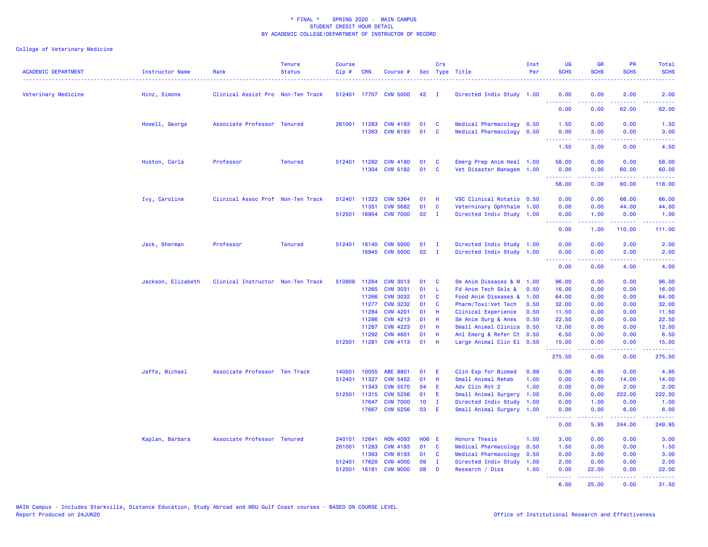| <b>ACADEMIC DEPARTMENT</b> | Instructor Name    | Rank                              | <b>Tenure</b><br><b>Status</b> | <b>Course</b><br>Cip# | <b>CRN</b>   | Course #                                 |              | <b>Crs</b>        | Sec Type Title                                         | Inst<br>Per | <b>UG</b><br><b>SCHS</b>            | <b>GR</b><br><b>SCHS</b>                                                                                                                                     | PR<br><b>SCHS</b> | <b>Total</b><br><b>SCHS</b>                                                                                                       |
|----------------------------|--------------------|-----------------------------------|--------------------------------|-----------------------|--------------|------------------------------------------|--------------|-------------------|--------------------------------------------------------|-------------|-------------------------------------|--------------------------------------------------------------------------------------------------------------------------------------------------------------|-------------------|-----------------------------------------------------------------------------------------------------------------------------------|
| Veterinary Medicine        | Hinz, Simone       | Clinical Assist Pro Non-Ten Track |                                |                       |              | 512401 17707 CVM 5000                    | 42           | $\mathbf{I}$      | Directed Indiv Study 1.00                              |             | 0.00<br><u>.</u>                    | 0.00<br>.                                                                                                                                                    | 2.00<br>.         | 2.00<br>$\frac{1}{2} \left( \frac{1}{2} \right) \left( \frac{1}{2} \right) \left( \frac{1}{2} \right) \left( \frac{1}{2} \right)$ |
|                            |                    |                                   |                                |                       |              |                                          |              |                   |                                                        |             | 0.00                                | 0.00                                                                                                                                                         | 62.00             | 62.00                                                                                                                             |
|                            | Howell, George     | Associate Professor Tenured       |                                |                       |              | 261001 11283 CVM 4193<br>11363 CVM 6193  | 01<br>01     | <b>C</b><br>C     | Medical Pharmacology 0.50<br>Medical Pharmacology      | 0.50        | 1.50<br>0.00                        | 0.00<br>3.00                                                                                                                                                 | 0.00<br>0.00      | 1.50<br>3.00                                                                                                                      |
|                            |                    |                                   |                                |                       |              |                                          |              |                   |                                                        |             | .<br>1.50                           | .<br>3.00                                                                                                                                                    | د د د د<br>0.00   | $\frac{1}{2} \left( \frac{1}{2} \right) \left( \frac{1}{2} \right) \left( \frac{1}{2} \right) \left( \frac{1}{2} \right)$<br>4.50 |
|                            | Huston, Carla      | Professor                         | <b>Tenured</b>                 |                       |              | 512401 11282 CVM 4180<br>11304 CVM 5182  | 01<br>01     | <b>C</b><br>C     | Emerg Prep Anim Heal 1.00<br>Vet Disaster Managem 1.00 |             | 58.00<br>0.00                       | 0.00<br>0.00                                                                                                                                                 | 0.00<br>60.00     | 58.00<br>60.00                                                                                                                    |
|                            |                    |                                   |                                |                       |              |                                          |              |                   |                                                        |             | .<br>58.00                          | 0.00                                                                                                                                                         | .<br>60.00        | المتمامين<br>118.00                                                                                                               |
|                            | Ivy, Caroline      | Clinical Assoc Prof Non-Ten Track |                                | 512401                | 11323        | <b>CVM 5364</b>                          | 01           | H                 | VSC Clinical Rotatio 0.50                              |             | 0.00                                | 0.00                                                                                                                                                         | 66.00             | 66.00                                                                                                                             |
|                            |                    |                                   |                                |                       | 11351        | <b>CVM 5682</b><br>512501 16954 CVM 7000 | 01<br>02     | C<br>$\mathbf{I}$ | Veterninary Ophthalm 1.00<br>Directed Indiv Study 1.00 |             | 0.00<br>0.00                        | 0.00<br>1.00                                                                                                                                                 | 44.00<br>0.00     | 44.00<br>1.00                                                                                                                     |
|                            |                    |                                   |                                |                       |              |                                          |              |                   |                                                        |             | .<br>0.00                           | $\frac{1}{2} \left( \frac{1}{2} \right) \left( \frac{1}{2} \right) \left( \frac{1}{2} \right) \left( \frac{1}{2} \right) \left( \frac{1}{2} \right)$<br>1.00 | .<br>110.00       | .<br>111.00                                                                                                                       |
|                            | Jack, Sherman      | Professor                         | <b>Tenured</b>                 | 512401                | 16140        | <b>CVM 5000</b>                          | 01           | п                 | Directed Indiv Study 1.00                              |             | 0.00                                | 0.00                                                                                                                                                         | 2.00              | 2.00                                                                                                                              |
|                            |                    |                                   |                                |                       | 16945        | <b>CVM 5000</b>                          | 02           | $\mathbf{I}$      | Directed Indiv Study 1.00                              |             | 0.00                                | 0.00                                                                                                                                                         | 2.00              | 2.00                                                                                                                              |
|                            |                    |                                   |                                |                       |              |                                          |              |                   |                                                        |             | .<br>0.00                           | .<br>0.00                                                                                                                                                    | .<br>4.00         | .<br>4.00                                                                                                                         |
|                            | Jackson, Elizabeth | Clinical Instructor Non-Ten Track |                                | 510808                | 11264        | <b>CVM 3013</b>                          | 01           | C                 | Sm Anim Diseases & M 1.00                              |             | 96.00                               | 0.00                                                                                                                                                         | 0.00              | 96.00                                                                                                                             |
|                            |                    |                                   |                                |                       | 11265        | <b>CVM 3031</b>                          | 01           | L                 | Fd Anim Tech Skls &                                    | 0.50        | 16.00                               | 0.00                                                                                                                                                         | 0.00              | 16.00                                                                                                                             |
|                            |                    |                                   |                                |                       | 11266        | <b>CVM 3032</b>                          | 01           | <b>C</b>          | Food Anim Diseases &                                   | 1.00        | 64.00                               | 0.00                                                                                                                                                         | 0.00              | 64.00                                                                                                                             |
|                            |                    |                                   |                                |                       | 11277        | <b>CVM 3232</b>                          | 01           | C                 | Pharm/Toxi:Vet Tech                                    | 0.50        | 32.00                               | 0.00                                                                                                                                                         | 0.00              | 32.00                                                                                                                             |
|                            |                    |                                   |                                |                       | 11284        | <b>CVM 4201</b>                          | 01           | Н                 | Clinical Experience                                    | 0.50        | 11.50                               | 0.00                                                                                                                                                         | 0.00              | 11.50                                                                                                                             |
|                            |                    |                                   |                                |                       | 11286        | <b>CVM 4213</b>                          | 01           | H                 | Sm Anim Surg & Anes                                    | 0.50        | 22.50                               | 0.00                                                                                                                                                         | 0.00              | 22.50                                                                                                                             |
|                            |                    |                                   |                                |                       | 11287        | <b>CVM 4223</b>                          | 01           | Н                 | Small Animal Clinica                                   | 0.50        | 12.00                               | 0.00                                                                                                                                                         | 0.00              | 12.00                                                                                                                             |
|                            |                    |                                   |                                |                       | 11292        | <b>CVM 4601</b><br>512501 11281 CVM 4113 | 01<br>01     | -H<br>H           | Anl Emerg & Refer Ct 0.50<br>Large Animal Clin El 0.50 |             | 6.50<br>15.00                       | 0.00<br>0.00                                                                                                                                                 | 0.00<br>0.00      | 6.50<br>15.00                                                                                                                     |
|                            |                    |                                   |                                |                       |              |                                          |              |                   |                                                        |             | .<br>275.50                         | .<br>0.00                                                                                                                                                    | .<br>0.00         | .<br>275.50                                                                                                                       |
|                            | Jaffe, Michael     | Associate Professor Ten Track     |                                | 140501                | 10055        | ABE 8801                                 | 01           | E                 | Clin Exp for Biomed                                    | 0.99        | 0.00                                | 4.95                                                                                                                                                         | 0.00              | 4.95                                                                                                                              |
|                            |                    |                                   |                                | 512401                | 11327        | <b>CVM 5452</b>                          | 01           | Н                 | Small Animal Rehab                                     | 1.00        | 0.00                                | 0.00                                                                                                                                                         | 14.00             | 14.00                                                                                                                             |
|                            |                    |                                   |                                |                       | 11343        | <b>CVM 5570</b>                          | 04           | Ε                 | Adv Clin Rot 2                                         | 1.00        | 0.00                                | 0.00                                                                                                                                                         | 2.00              | 2.00                                                                                                                              |
|                            |                    |                                   |                                |                       | 512501 11315 | <b>CVM 5256</b>                          | 01           | E.                | Small Animal Surgery 1.00                              |             | 0.00                                | 0.00                                                                                                                                                         | 222.00            | 222.00                                                                                                                            |
|                            |                    |                                   |                                |                       | 17647        | <b>CVM 7000</b>                          | 10           | $\mathbf{I}$      | Directed Indiv Study                                   | 1.00        | 0.00                                | 1.00                                                                                                                                                         | 0.00              | 1.00                                                                                                                              |
|                            |                    |                                   |                                |                       | 17667        | <b>CVM 5256</b>                          | 03           | -E                | Small Animal Surgery 1.00                              |             | 0.00<br>$\sim$ $\sim$ $\sim$ $\sim$ | 0.00                                                                                                                                                         | 6.00              | 6.00                                                                                                                              |
|                            |                    |                                   |                                |                       |              |                                          |              |                   |                                                        |             | 0.00                                | 5.95                                                                                                                                                         | 244.00            | 249.95                                                                                                                            |
|                            | Kaplan, Barbara    | Associate Professor Tenured       |                                | 240101                | 12641        | <b>HON 4093</b>                          | <b>HO6 E</b> |                   | <b>Honors Thesis</b>                                   | 1.00        | 3.00                                | 0.00                                                                                                                                                         | 0.00              | 3.00                                                                                                                              |
|                            |                    |                                   |                                | 261001                | 11283        | <b>CVM 4193</b>                          | 01           | C                 | Medical Pharmacology                                   | 0.50        | 1.50                                | 0.00                                                                                                                                                         | 0.00              | 1.50                                                                                                                              |
|                            |                    |                                   |                                |                       | 11363        | <b>CVM 6193</b>                          | 01           | C                 | Medical Pharmacology                                   | 0.50        | 0.00                                | 3.00                                                                                                                                                         | 0.00              | 3.00                                                                                                                              |
|                            |                    |                                   |                                |                       | 512401 17620 | <b>CVM 4000</b>                          | 09           | $\mathbf{I}$      | Directed Indiv Study                                   | 1.00        | 2.00                                | 0.00                                                                                                                                                         | 0.00              | 2.00                                                                                                                              |
|                            |                    |                                   |                                | 512501                | 16181        | <b>CVM 9000</b>                          | 08           | D                 | Research / Diss                                        | 1.00        | 0.00<br>.                           | 22.00<br>$\omega = \omega \omega + \omega$                                                                                                                   | 0.00<br>.         | 22.00<br>.                                                                                                                        |
|                            |                    |                                   |                                |                       |              |                                          |              |                   |                                                        |             | 6.50                                | 25.00                                                                                                                                                        | 0.00              | 31.50                                                                                                                             |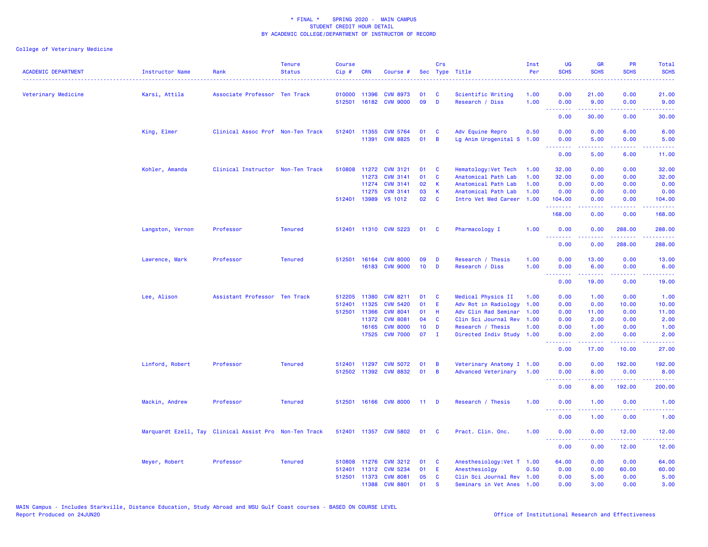| Veterinary Medicine<br>Karsi, Attila<br>Associate Professor Ten Track<br>010000<br>11396<br><b>CVM 8973</b><br>01<br>C<br>Scientific Writing<br>1.00<br>0.00<br>21.00<br>09<br>512501 16182 CVM 9000<br>D<br>Research / Diss<br>1.00<br>0.00<br>9.00<br>.<br>.<br>. <u>.</u><br>0.00<br>30.00<br>0.00<br>King, Elmer<br>Clinical Assoc Prof Non-Ten Track<br><b>CVM 5764</b><br>Adv Equine Repro<br>0.50<br>0.00<br>0.00<br>512401<br>11355<br>01<br><b>C</b><br>11391 CVM 8825<br>01<br>$\overline{B}$<br>Lg Anim Urogenital S 1.00<br>0.00<br>5.00<br>$\frac{1}{2} \left( \frac{1}{2} \right) \left( \frac{1}{2} \right) \left( \frac{1}{2} \right)$<br>.<br>0.00<br>5.00<br>Kohler, Amanda<br>Clinical Instructor Non-Ten Track<br>510808 11272 CVM 3121<br>32.00<br>0.00<br>01<br><b>C</b><br>Hematology: Vet Tech<br>1.00<br>11273<br><b>CVM 3141</b><br>01<br>C<br>Anatomical Path Lab<br>1.00<br>32.00<br>0.00<br>02<br>11274<br><b>CVM 3141</b><br>K.<br>Anatomical Path Lab<br>1.00<br>0.00<br>0.00<br>11275<br><b>CVM 3141</b><br>03<br>K<br>Anatomical Path Lab<br>1.00<br>0.00<br>0.00<br>512401 13989 VS 1012<br>02<br><b>C</b><br>Intro Vet Med Career 1.00<br>104.00<br>0.00<br>0.00<br><b>.</b> .<br>22222<br>.<br>168.00<br>0.00<br>Langston, Vernon<br><b>Tenured</b><br>512401 11310 CVM 5223<br>Pharmacology I<br>1.00<br>0.00<br>0.00<br>Professor<br>01<br>$\mathbf{C}$<br>.<br>$  -$<br>0.00<br>0.00<br>Lawrence, Mark<br><b>Tenured</b><br>512501 16164 CVM 8000<br>09<br>Research / Thesis<br>1.00<br>0.00<br>13.00<br>Professor<br>D<br>1.00<br>16183 CVM 9000<br>10 <sub>1</sub><br>Research / Diss<br>0.00<br>6.00<br>D<br>$- - - -$<br>.<br>0.00<br>19.00<br>Lee, Alison<br>Assistant Professor Ten Track<br>512205<br>11380<br><b>CVM 8211</b><br>Medical Physics II<br>0.00<br>1.00<br>01<br>$\mathbf{C}$<br>1.00<br>11325<br>512401<br><b>CVM 5420</b><br>01<br>E.<br>Adv Rot in Radiology<br>1.00<br>0.00<br>0.00<br><b>CVM 8041</b><br>01<br>Adv Clin Rad Seminar<br>0.00<br>512501 11366<br>-H<br>1.00<br>11.00<br>04<br>11372<br><b>CVM 8081</b><br><b>C</b><br>Clin Sci Journal Rev 1.00<br>0.00<br>2.00<br><b>CVM 8000</b><br>10<br>16165<br>Research / Thesis<br>1.00<br>0.00<br>D<br>1.00<br>07<br><b>CVM 7000</b><br>$\mathbf{I}$<br>17525<br>Directed Indiv Study 1.00<br>0.00<br>2.00<br><u>.</u><br>0.00<br>17.00<br>Linford, Robert<br>Professor<br><b>Tenured</b><br>512401 11297 CVM 5072<br>01<br>B<br>Veterinary Anatomy I 1.00<br>0.00<br>0.00<br>512502 11392 CVM 8832<br>01<br>B<br>Advanced Veterinary<br>1.00<br>0.00<br>8.00<br><u>.</u><br>.<br><u>.</u><br>0.00<br>8.00<br>192.00<br>Mackin, Andrew<br>Professor<br><b>Tenured</b><br>512501 16166 CVM 8000<br>Research / Thesis<br>1.00<br>$11$ D<br>0.00<br>1.00<br><u> - - - - - - - -</u><br>0.00<br>1.00 | <b>ACADEMIC DEPARTMENT</b> | Instructor Name<br>. <u>.</u> | Rank | <b>Tenure</b><br><b>Status</b> | <b>Course</b><br>$Cip$ # | <b>CRN</b> | Course # | Crs<br>Sec Type Title | Inst<br>Per | <b>UG</b><br><b>SCHS</b> | <b>GR</b><br><b>SCHS</b> | <b>PR</b><br><b>SCHS</b> | Total<br><b>SCHS</b>                                                                                                              |
|------------------------------------------------------------------------------------------------------------------------------------------------------------------------------------------------------------------------------------------------------------------------------------------------------------------------------------------------------------------------------------------------------------------------------------------------------------------------------------------------------------------------------------------------------------------------------------------------------------------------------------------------------------------------------------------------------------------------------------------------------------------------------------------------------------------------------------------------------------------------------------------------------------------------------------------------------------------------------------------------------------------------------------------------------------------------------------------------------------------------------------------------------------------------------------------------------------------------------------------------------------------------------------------------------------------------------------------------------------------------------------------------------------------------------------------------------------------------------------------------------------------------------------------------------------------------------------------------------------------------------------------------------------------------------------------------------------------------------------------------------------------------------------------------------------------------------------------------------------------------------------------------------------------------------------------------------------------------------------------------------------------------------------------------------------------------------------------------------------------------------------------------------------------------------------------------------------------------------------------------------------------------------------------------------------------------------------------------------------------------------------------------------------------------------------------------------------------------------------------------------------------------------------------------------------------------------------------------------------------------------------------------------------------------------------------------------------------------------------------------------------------------------------------------------------------------|----------------------------|-------------------------------|------|--------------------------------|--------------------------|------------|----------|-----------------------|-------------|--------------------------|--------------------------|--------------------------|-----------------------------------------------------------------------------------------------------------------------------------|
|                                                                                                                                                                                                                                                                                                                                                                                                                                                                                                                                                                                                                                                                                                                                                                                                                                                                                                                                                                                                                                                                                                                                                                                                                                                                                                                                                                                                                                                                                                                                                                                                                                                                                                                                                                                                                                                                                                                                                                                                                                                                                                                                                                                                                                                                                                                                                                                                                                                                                                                                                                                                                                                                                                                                                                                                                        |                            |                               |      |                                |                          |            |          |                       |             |                          |                          | 0.00                     | 21.00                                                                                                                             |
|                                                                                                                                                                                                                                                                                                                                                                                                                                                                                                                                                                                                                                                                                                                                                                                                                                                                                                                                                                                                                                                                                                                                                                                                                                                                                                                                                                                                                                                                                                                                                                                                                                                                                                                                                                                                                                                                                                                                                                                                                                                                                                                                                                                                                                                                                                                                                                                                                                                                                                                                                                                                                                                                                                                                                                                                                        |                            |                               |      |                                |                          |            |          |                       |             |                          |                          | 0.00                     | 9.00<br>.                                                                                                                         |
|                                                                                                                                                                                                                                                                                                                                                                                                                                                                                                                                                                                                                                                                                                                                                                                                                                                                                                                                                                                                                                                                                                                                                                                                                                                                                                                                                                                                                                                                                                                                                                                                                                                                                                                                                                                                                                                                                                                                                                                                                                                                                                                                                                                                                                                                                                                                                                                                                                                                                                                                                                                                                                                                                                                                                                                                                        |                            |                               |      |                                |                          |            |          |                       |             |                          |                          |                          | 30.00                                                                                                                             |
|                                                                                                                                                                                                                                                                                                                                                                                                                                                                                                                                                                                                                                                                                                                                                                                                                                                                                                                                                                                                                                                                                                                                                                                                                                                                                                                                                                                                                                                                                                                                                                                                                                                                                                                                                                                                                                                                                                                                                                                                                                                                                                                                                                                                                                                                                                                                                                                                                                                                                                                                                                                                                                                                                                                                                                                                                        |                            |                               |      |                                |                          |            |          |                       |             |                          |                          | 6.00                     | 6.00                                                                                                                              |
|                                                                                                                                                                                                                                                                                                                                                                                                                                                                                                                                                                                                                                                                                                                                                                                                                                                                                                                                                                                                                                                                                                                                                                                                                                                                                                                                                                                                                                                                                                                                                                                                                                                                                                                                                                                                                                                                                                                                                                                                                                                                                                                                                                                                                                                                                                                                                                                                                                                                                                                                                                                                                                                                                                                                                                                                                        |                            |                               |      |                                |                          |            |          |                       |             |                          |                          | 0.00                     | 5.00<br>وعاماما                                                                                                                   |
|                                                                                                                                                                                                                                                                                                                                                                                                                                                                                                                                                                                                                                                                                                                                                                                                                                                                                                                                                                                                                                                                                                                                                                                                                                                                                                                                                                                                                                                                                                                                                                                                                                                                                                                                                                                                                                                                                                                                                                                                                                                                                                                                                                                                                                                                                                                                                                                                                                                                                                                                                                                                                                                                                                                                                                                                                        |                            |                               |      |                                |                          |            |          |                       |             |                          |                          | 6.00                     | 11.00                                                                                                                             |
|                                                                                                                                                                                                                                                                                                                                                                                                                                                                                                                                                                                                                                                                                                                                                                                                                                                                                                                                                                                                                                                                                                                                                                                                                                                                                                                                                                                                                                                                                                                                                                                                                                                                                                                                                                                                                                                                                                                                                                                                                                                                                                                                                                                                                                                                                                                                                                                                                                                                                                                                                                                                                                                                                                                                                                                                                        |                            |                               |      |                                |                          |            |          |                       |             |                          |                          | 0.00                     | 32.00                                                                                                                             |
|                                                                                                                                                                                                                                                                                                                                                                                                                                                                                                                                                                                                                                                                                                                                                                                                                                                                                                                                                                                                                                                                                                                                                                                                                                                                                                                                                                                                                                                                                                                                                                                                                                                                                                                                                                                                                                                                                                                                                                                                                                                                                                                                                                                                                                                                                                                                                                                                                                                                                                                                                                                                                                                                                                                                                                                                                        |                            |                               |      |                                |                          |            |          |                       |             |                          |                          | 0.00                     | 32.00                                                                                                                             |
|                                                                                                                                                                                                                                                                                                                                                                                                                                                                                                                                                                                                                                                                                                                                                                                                                                                                                                                                                                                                                                                                                                                                                                                                                                                                                                                                                                                                                                                                                                                                                                                                                                                                                                                                                                                                                                                                                                                                                                                                                                                                                                                                                                                                                                                                                                                                                                                                                                                                                                                                                                                                                                                                                                                                                                                                                        |                            |                               |      |                                |                          |            |          |                       |             |                          |                          | 0.00                     | 0.00                                                                                                                              |
|                                                                                                                                                                                                                                                                                                                                                                                                                                                                                                                                                                                                                                                                                                                                                                                                                                                                                                                                                                                                                                                                                                                                                                                                                                                                                                                                                                                                                                                                                                                                                                                                                                                                                                                                                                                                                                                                                                                                                                                                                                                                                                                                                                                                                                                                                                                                                                                                                                                                                                                                                                                                                                                                                                                                                                                                                        |                            |                               |      |                                |                          |            |          |                       |             |                          |                          | 0.00                     | 0.00                                                                                                                              |
|                                                                                                                                                                                                                                                                                                                                                                                                                                                                                                                                                                                                                                                                                                                                                                                                                                                                                                                                                                                                                                                                                                                                                                                                                                                                                                                                                                                                                                                                                                                                                                                                                                                                                                                                                                                                                                                                                                                                                                                                                                                                                                                                                                                                                                                                                                                                                                                                                                                                                                                                                                                                                                                                                                                                                                                                                        |                            |                               |      |                                |                          |            |          |                       |             |                          |                          |                          | 104.00<br>.                                                                                                                       |
|                                                                                                                                                                                                                                                                                                                                                                                                                                                                                                                                                                                                                                                                                                                                                                                                                                                                                                                                                                                                                                                                                                                                                                                                                                                                                                                                                                                                                                                                                                                                                                                                                                                                                                                                                                                                                                                                                                                                                                                                                                                                                                                                                                                                                                                                                                                                                                                                                                                                                                                                                                                                                                                                                                                                                                                                                        |                            |                               |      |                                |                          |            |          |                       |             |                          |                          | 0.00                     | 168.00                                                                                                                            |
|                                                                                                                                                                                                                                                                                                                                                                                                                                                                                                                                                                                                                                                                                                                                                                                                                                                                                                                                                                                                                                                                                                                                                                                                                                                                                                                                                                                                                                                                                                                                                                                                                                                                                                                                                                                                                                                                                                                                                                                                                                                                                                                                                                                                                                                                                                                                                                                                                                                                                                                                                                                                                                                                                                                                                                                                                        |                            |                               |      |                                |                          |            |          |                       |             |                          |                          | 288.00                   | 288.00                                                                                                                            |
|                                                                                                                                                                                                                                                                                                                                                                                                                                                                                                                                                                                                                                                                                                                                                                                                                                                                                                                                                                                                                                                                                                                                                                                                                                                                                                                                                                                                                                                                                                                                                                                                                                                                                                                                                                                                                                                                                                                                                                                                                                                                                                                                                                                                                                                                                                                                                                                                                                                                                                                                                                                                                                                                                                                                                                                                                        |                            |                               |      |                                |                          |            |          |                       |             |                          |                          | 288.00                   | .<br>288.00                                                                                                                       |
|                                                                                                                                                                                                                                                                                                                                                                                                                                                                                                                                                                                                                                                                                                                                                                                                                                                                                                                                                                                                                                                                                                                                                                                                                                                                                                                                                                                                                                                                                                                                                                                                                                                                                                                                                                                                                                                                                                                                                                                                                                                                                                                                                                                                                                                                                                                                                                                                                                                                                                                                                                                                                                                                                                                                                                                                                        |                            |                               |      |                                |                          |            |          |                       |             |                          |                          | 0.00                     | 13.00                                                                                                                             |
|                                                                                                                                                                                                                                                                                                                                                                                                                                                                                                                                                                                                                                                                                                                                                                                                                                                                                                                                                                                                                                                                                                                                                                                                                                                                                                                                                                                                                                                                                                                                                                                                                                                                                                                                                                                                                                                                                                                                                                                                                                                                                                                                                                                                                                                                                                                                                                                                                                                                                                                                                                                                                                                                                                                                                                                                                        |                            |                               |      |                                |                          |            |          |                       |             |                          |                          | 0.00                     | 6.00                                                                                                                              |
|                                                                                                                                                                                                                                                                                                                                                                                                                                                                                                                                                                                                                                                                                                                                                                                                                                                                                                                                                                                                                                                                                                                                                                                                                                                                                                                                                                                                                                                                                                                                                                                                                                                                                                                                                                                                                                                                                                                                                                                                                                                                                                                                                                                                                                                                                                                                                                                                                                                                                                                                                                                                                                                                                                                                                                                                                        |                            |                               |      |                                |                          |            |          |                       |             |                          |                          | 0.00                     | 19.00                                                                                                                             |
|                                                                                                                                                                                                                                                                                                                                                                                                                                                                                                                                                                                                                                                                                                                                                                                                                                                                                                                                                                                                                                                                                                                                                                                                                                                                                                                                                                                                                                                                                                                                                                                                                                                                                                                                                                                                                                                                                                                                                                                                                                                                                                                                                                                                                                                                                                                                                                                                                                                                                                                                                                                                                                                                                                                                                                                                                        |                            |                               |      |                                |                          |            |          |                       |             |                          |                          | 0.00                     | 1.00                                                                                                                              |
|                                                                                                                                                                                                                                                                                                                                                                                                                                                                                                                                                                                                                                                                                                                                                                                                                                                                                                                                                                                                                                                                                                                                                                                                                                                                                                                                                                                                                                                                                                                                                                                                                                                                                                                                                                                                                                                                                                                                                                                                                                                                                                                                                                                                                                                                                                                                                                                                                                                                                                                                                                                                                                                                                                                                                                                                                        |                            |                               |      |                                |                          |            |          |                       |             |                          |                          | 10.00                    | 10.00                                                                                                                             |
|                                                                                                                                                                                                                                                                                                                                                                                                                                                                                                                                                                                                                                                                                                                                                                                                                                                                                                                                                                                                                                                                                                                                                                                                                                                                                                                                                                                                                                                                                                                                                                                                                                                                                                                                                                                                                                                                                                                                                                                                                                                                                                                                                                                                                                                                                                                                                                                                                                                                                                                                                                                                                                                                                                                                                                                                                        |                            |                               |      |                                |                          |            |          |                       |             |                          |                          | 0.00                     | 11.00                                                                                                                             |
|                                                                                                                                                                                                                                                                                                                                                                                                                                                                                                                                                                                                                                                                                                                                                                                                                                                                                                                                                                                                                                                                                                                                                                                                                                                                                                                                                                                                                                                                                                                                                                                                                                                                                                                                                                                                                                                                                                                                                                                                                                                                                                                                                                                                                                                                                                                                                                                                                                                                                                                                                                                                                                                                                                                                                                                                                        |                            |                               |      |                                |                          |            |          |                       |             |                          |                          | 0.00                     | 2.00                                                                                                                              |
|                                                                                                                                                                                                                                                                                                                                                                                                                                                                                                                                                                                                                                                                                                                                                                                                                                                                                                                                                                                                                                                                                                                                                                                                                                                                                                                                                                                                                                                                                                                                                                                                                                                                                                                                                                                                                                                                                                                                                                                                                                                                                                                                                                                                                                                                                                                                                                                                                                                                                                                                                                                                                                                                                                                                                                                                                        |                            |                               |      |                                |                          |            |          |                       |             |                          |                          | 0.00                     | 1.00                                                                                                                              |
|                                                                                                                                                                                                                                                                                                                                                                                                                                                                                                                                                                                                                                                                                                                                                                                                                                                                                                                                                                                                                                                                                                                                                                                                                                                                                                                                                                                                                                                                                                                                                                                                                                                                                                                                                                                                                                                                                                                                                                                                                                                                                                                                                                                                                                                                                                                                                                                                                                                                                                                                                                                                                                                                                                                                                                                                                        |                            |                               |      |                                |                          |            |          |                       |             |                          |                          | 0.00                     | 2.00<br>.                                                                                                                         |
|                                                                                                                                                                                                                                                                                                                                                                                                                                                                                                                                                                                                                                                                                                                                                                                                                                                                                                                                                                                                                                                                                                                                                                                                                                                                                                                                                                                                                                                                                                                                                                                                                                                                                                                                                                                                                                                                                                                                                                                                                                                                                                                                                                                                                                                                                                                                                                                                                                                                                                                                                                                                                                                                                                                                                                                                                        |                            |                               |      |                                |                          |            |          |                       |             |                          |                          | 10.00                    | 27.00                                                                                                                             |
|                                                                                                                                                                                                                                                                                                                                                                                                                                                                                                                                                                                                                                                                                                                                                                                                                                                                                                                                                                                                                                                                                                                                                                                                                                                                                                                                                                                                                                                                                                                                                                                                                                                                                                                                                                                                                                                                                                                                                                                                                                                                                                                                                                                                                                                                                                                                                                                                                                                                                                                                                                                                                                                                                                                                                                                                                        |                            |                               |      |                                |                          |            |          |                       |             |                          |                          | 192.00                   | 192.00                                                                                                                            |
|                                                                                                                                                                                                                                                                                                                                                                                                                                                                                                                                                                                                                                                                                                                                                                                                                                                                                                                                                                                                                                                                                                                                                                                                                                                                                                                                                                                                                                                                                                                                                                                                                                                                                                                                                                                                                                                                                                                                                                                                                                                                                                                                                                                                                                                                                                                                                                                                                                                                                                                                                                                                                                                                                                                                                                                                                        |                            |                               |      |                                |                          |            |          |                       |             |                          |                          | 0.00                     | 8.00<br>.                                                                                                                         |
|                                                                                                                                                                                                                                                                                                                                                                                                                                                                                                                                                                                                                                                                                                                                                                                                                                                                                                                                                                                                                                                                                                                                                                                                                                                                                                                                                                                                                                                                                                                                                                                                                                                                                                                                                                                                                                                                                                                                                                                                                                                                                                                                                                                                                                                                                                                                                                                                                                                                                                                                                                                                                                                                                                                                                                                                                        |                            |                               |      |                                |                          |            |          |                       |             |                          |                          |                          | 200.00                                                                                                                            |
|                                                                                                                                                                                                                                                                                                                                                                                                                                                                                                                                                                                                                                                                                                                                                                                                                                                                                                                                                                                                                                                                                                                                                                                                                                                                                                                                                                                                                                                                                                                                                                                                                                                                                                                                                                                                                                                                                                                                                                                                                                                                                                                                                                                                                                                                                                                                                                                                                                                                                                                                                                                                                                                                                                                                                                                                                        |                            |                               |      |                                |                          |            |          |                       |             |                          |                          | 0.00                     | 1.00                                                                                                                              |
|                                                                                                                                                                                                                                                                                                                                                                                                                                                                                                                                                                                                                                                                                                                                                                                                                                                                                                                                                                                                                                                                                                                                                                                                                                                                                                                                                                                                                                                                                                                                                                                                                                                                                                                                                                                                                                                                                                                                                                                                                                                                                                                                                                                                                                                                                                                                                                                                                                                                                                                                                                                                                                                                                                                                                                                                                        |                            |                               |      |                                |                          |            |          |                       |             |                          |                          | 0.00                     | $\frac{1}{2} \left( \frac{1}{2} \right) \left( \frac{1}{2} \right) \left( \frac{1}{2} \right) \left( \frac{1}{2} \right)$<br>1.00 |
| Marquardt Ezell, Tay Clinical Assist Pro Non-Ten Track<br>512401 11357 CVM 5802<br>01<br><b>C</b><br>Pract. Clin. Onc.<br>1.00<br>0.00<br>0.00                                                                                                                                                                                                                                                                                                                                                                                                                                                                                                                                                                                                                                                                                                                                                                                                                                                                                                                                                                                                                                                                                                                                                                                                                                                                                                                                                                                                                                                                                                                                                                                                                                                                                                                                                                                                                                                                                                                                                                                                                                                                                                                                                                                                                                                                                                                                                                                                                                                                                                                                                                                                                                                                         |                            |                               |      |                                |                          |            |          |                       |             |                          |                          | 12.00                    | 12.00                                                                                                                             |
| .<br>$\frac{1}{2} \left( \frac{1}{2} \right) \left( \frac{1}{2} \right) \left( \frac{1}{2} \right) \left( \frac{1}{2} \right) \left( \frac{1}{2} \right)$<br>.<br>0.00<br>0.00                                                                                                                                                                                                                                                                                                                                                                                                                                                                                                                                                                                                                                                                                                                                                                                                                                                                                                                                                                                                                                                                                                                                                                                                                                                                                                                                                                                                                                                                                                                                                                                                                                                                                                                                                                                                                                                                                                                                                                                                                                                                                                                                                                                                                                                                                                                                                                                                                                                                                                                                                                                                                                         |                            |                               |      |                                |                          |            |          |                       |             |                          |                          | 12.00                    | .<br>12.00                                                                                                                        |
| Meyer, Robert<br>Professor<br><b>Tenured</b><br>510808<br>11276 CVM 3212<br><b>C</b><br>Anesthesiology: Vet T 1.00<br>64.00<br>0.00<br>01                                                                                                                                                                                                                                                                                                                                                                                                                                                                                                                                                                                                                                                                                                                                                                                                                                                                                                                                                                                                                                                                                                                                                                                                                                                                                                                                                                                                                                                                                                                                                                                                                                                                                                                                                                                                                                                                                                                                                                                                                                                                                                                                                                                                                                                                                                                                                                                                                                                                                                                                                                                                                                                                              |                            |                               |      |                                |                          |            |          |                       |             |                          |                          | 0.00                     | 64.00                                                                                                                             |
| 512401<br>11312<br><b>CVM 5234</b><br>01<br>E<br>Anesthesiolgy<br>0.50<br>0.00<br>0.00                                                                                                                                                                                                                                                                                                                                                                                                                                                                                                                                                                                                                                                                                                                                                                                                                                                                                                                                                                                                                                                                                                                                                                                                                                                                                                                                                                                                                                                                                                                                                                                                                                                                                                                                                                                                                                                                                                                                                                                                                                                                                                                                                                                                                                                                                                                                                                                                                                                                                                                                                                                                                                                                                                                                 |                            |                               |      |                                |                          |            |          |                       |             |                          |                          | 60.00                    | 60.00                                                                                                                             |
| 05<br>512501 11373 CVM 8081<br>$\mathbf{C}$<br>Clin Sci Journal Rev 1.00<br>0.00<br>5.00                                                                                                                                                                                                                                                                                                                                                                                                                                                                                                                                                                                                                                                                                                                                                                                                                                                                                                                                                                                                                                                                                                                                                                                                                                                                                                                                                                                                                                                                                                                                                                                                                                                                                                                                                                                                                                                                                                                                                                                                                                                                                                                                                                                                                                                                                                                                                                                                                                                                                                                                                                                                                                                                                                                               |                            |                               |      |                                |                          |            |          |                       |             |                          |                          | 0.00                     | 5.00                                                                                                                              |
| 11388<br><b>CVM 8801</b><br>01<br>0.00<br>s<br>Seminars in Vet Anes 1.00<br>3.00                                                                                                                                                                                                                                                                                                                                                                                                                                                                                                                                                                                                                                                                                                                                                                                                                                                                                                                                                                                                                                                                                                                                                                                                                                                                                                                                                                                                                                                                                                                                                                                                                                                                                                                                                                                                                                                                                                                                                                                                                                                                                                                                                                                                                                                                                                                                                                                                                                                                                                                                                                                                                                                                                                                                       |                            |                               |      |                                |                          |            |          |                       |             |                          |                          | 0.00                     | 3.00                                                                                                                              |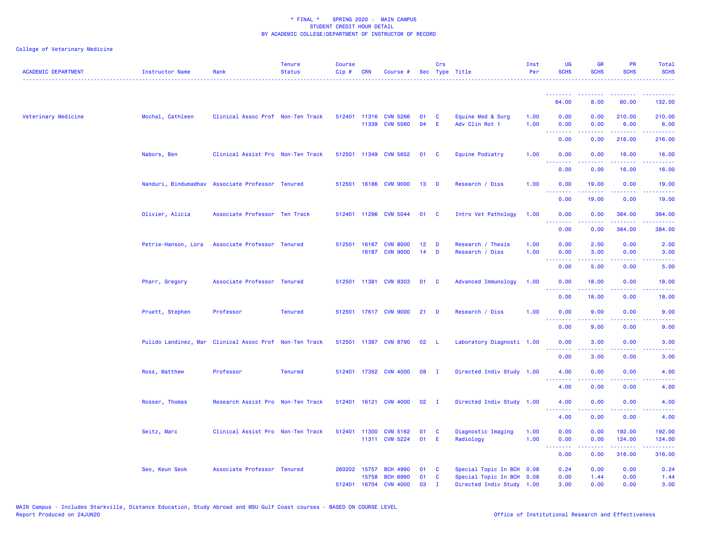| <b>ACADEMIC DEPARTMENT</b> | Instructor Name     | Rank                                                   | <b>Tenure</b><br><b>Status</b> | <b>Course</b><br>Cip# | CRN            | Course #                                 |          | Crs                        | Sec Type Title                                         | Inst<br>Per  | UG<br><b>SCHS</b>               | <b>GR</b><br><b>SCHS</b>                                                                                                                                     | <b>PR</b><br><b>SCHS</b>    | Total<br><b>SCHS</b>                |
|----------------------------|---------------------|--------------------------------------------------------|--------------------------------|-----------------------|----------------|------------------------------------------|----------|----------------------------|--------------------------------------------------------|--------------|---------------------------------|--------------------------------------------------------------------------------------------------------------------------------------------------------------|-----------------------------|-------------------------------------|
|                            |                     |                                                        |                                |                       |                |                                          |          |                            |                                                        |              | <u>.</u>                        |                                                                                                                                                              |                             |                                     |
|                            |                     |                                                        |                                |                       |                |                                          |          |                            |                                                        |              | 64.00                           | 8.00                                                                                                                                                         | 60.00                       | 132.00                              |
| Veterinary Medicine        | Mochal, Cathleen    | Clinical Assoc Prof Non-Ten Track                      |                                |                       | 11339          | 512401 11316 CVM 5266<br><b>CVM 5560</b> | 01<br>04 | C<br>E                     | Equine Med & Surg<br>Adv Clin Rot 1                    | 1.00<br>1.00 | 0.00<br>0.00<br>.               | 0.00<br>0.00                                                                                                                                                 | 210.00<br>6.00<br>$- - - -$ | 210.00<br>6.00<br>.                 |
|                            |                     |                                                        |                                |                       |                |                                          |          |                            |                                                        |              | 0.00                            | 0.00                                                                                                                                                         | 216.00                      | 216.00                              |
|                            | Nabors, Ben         | Clinical Assist Pro Non-Ten Track                      |                                |                       |                | 512501 11349 CVM 5652                    | 01       | $\mathbf{C}$               | Equine Podiatry                                        | 1.00         | 0.00<br>.                       | 0.00                                                                                                                                                         | 16.00<br>.                  | 16.00<br>.                          |
|                            |                     |                                                        |                                |                       |                |                                          |          |                            |                                                        |              | 0.00                            | 0.00                                                                                                                                                         | 16.00                       | 16.00                               |
|                            |                     | Nanduri, Bindumadhav Associate Professor Tenured       |                                |                       |                | 512501 16186 CVM 9000                    | 13       | <b>D</b>                   | Research / Diss                                        | 1.00         | 0.00<br>.                       | 19.00                                                                                                                                                        | 0.00                        | 19.00                               |
|                            |                     |                                                        |                                |                       |                |                                          |          |                            |                                                        |              | 0.00                            | 19.00                                                                                                                                                        | 0.00                        | 19.00                               |
|                            | Olivier, Alicia     | Associate Professor Ten Track                          |                                |                       |                | 512401 11296 CVM 5044                    | 01       | <b>C</b>                   | Intro Vet Pathology                                    | 1.00         | 0.00<br><u> - - - - - - - -</u> | 0.00                                                                                                                                                         | 384.00<br><b></b>           | 384.00                              |
|                            |                     |                                                        |                                |                       |                |                                          |          |                            |                                                        |              | 0.00                            | 0.00                                                                                                                                                         | 384.00                      | 384.00                              |
|                            | Petrie-Hanson, Lora | Associate Professor Tenured                            |                                |                       | 512501 16167   | <b>CVM 8000</b>                          | 12       | D                          | Research / Thesis                                      | 1.00         | 0.00                            | 2.00                                                                                                                                                         | 0.00                        | 2.00                                |
|                            |                     |                                                        |                                |                       | 16187          | <b>CVM 9000</b>                          | 14       | D                          | Research / Diss                                        | 1.00         | 0.00                            | 3.00                                                                                                                                                         | 0.00                        | 3.00                                |
|                            |                     |                                                        |                                |                       |                |                                          |          |                            |                                                        |              | .<br>0.00                       | $\frac{1}{2} \left( \frac{1}{2} \right) \left( \frac{1}{2} \right) \left( \frac{1}{2} \right) \left( \frac{1}{2} \right)$<br>5.00                            | 0.00                        | 5.00                                |
|                            | Pharr, Gregory      | Associate Professor Tenured                            |                                |                       |                | 512501 11381 CVM 8303                    | 01       | $\overline{\phantom{a}}$ c | Advanced Immunology                                    | 1.00         | 0.00                            | 18.00                                                                                                                                                        | 0.00                        | 18.00                               |
|                            |                     |                                                        |                                |                       |                |                                          |          |                            |                                                        |              | .<br>0.00                       | $- - - - -$<br>18.00                                                                                                                                         | 0.00                        | 18.00                               |
|                            |                     |                                                        |                                |                       |                |                                          |          |                            |                                                        |              |                                 |                                                                                                                                                              |                             |                                     |
|                            | Pruett, Stephen     | Professor                                              | <b>Tenured</b>                 |                       |                | 512501 17617 CVM 9000                    | 21       | D                          | Research / Diss                                        | 1.00         | 0.00<br><u>.</u>                | 9.00<br><u>.</u>                                                                                                                                             | 0.00<br>$  -$               | 9.00                                |
|                            |                     |                                                        |                                |                       |                |                                          |          |                            |                                                        |              | 0.00                            | 9.00                                                                                                                                                         | 0.00                        | 9.00                                |
|                            |                     | Pulido Landinez, Mar Clinical Assoc Prof Non-Ten Track |                                |                       |                | 512501 11387 CVM 8790                    | 02       | $\perp$                    | Laboratory Diagnosti 1.00                              |              | 0.00<br><u> - - - - - - - -</u> | 3.00<br>$\frac{1}{2} \left( \frac{1}{2} \right) \left( \frac{1}{2} \right) \left( \frac{1}{2} \right) \left( \frac{1}{2} \right) \left( \frac{1}{2} \right)$ | 0.00<br>.                   | 3.00<br>$  -$                       |
|                            |                     |                                                        |                                |                       |                |                                          |          |                            |                                                        |              | 0.00                            | 3.00                                                                                                                                                         | 0.00                        | 3.00                                |
|                            | Ross, Matthew       | Professor                                              | <b>Tenured</b>                 |                       |                | 512401 17352 CVM 4000                    | 08       | - I                        | Directed Indiv Study 1.00                              |              | 4.00                            | 0.00                                                                                                                                                         | 0.00                        | 4.00                                |
|                            |                     |                                                        |                                |                       |                |                                          |          |                            |                                                        |              | <u> - - - - - - - -</u><br>4.00 | $- - - - -$<br>0.00                                                                                                                                          | .<br>0.00                   | $\sim$ $\sim$ $\sim$ $\sim$<br>4.00 |
|                            | Rosser, Thomas      | Research Assist Pro Non-Ten Track                      |                                |                       |                | 512401 16121 CVM 4000                    | 02       | $\mathbf I$                | Directed Indiv Study 1.00                              |              | 4.00                            | 0.00                                                                                                                                                         | 0.00                        | 4.00                                |
|                            |                     |                                                        |                                |                       |                |                                          |          |                            |                                                        |              | <u> - - - - - - - -</u><br>4.00 | 0.00                                                                                                                                                         | 0.00                        | 4.00                                |
|                            | Seitz, Marc         | Clinical Assist Pro Non-Ten Track                      |                                |                       | 512401 11300   | <b>CVM 5162</b>                          | 01       | C                          | Diagnostic Imaging                                     | 1.00         | 0.00                            | 0.00                                                                                                                                                         | 192.00                      | 192.00                              |
|                            |                     |                                                        |                                |                       |                | 11311 CVM 5224                           | 01       | E                          | Radiology                                              | 1.00         | 0.00                            | 0.00                                                                                                                                                         | 124.00                      | 124.00                              |
|                            |                     |                                                        |                                |                       |                |                                          |          |                            |                                                        |              | <b></b><br>0.00                 | .<br>0.00                                                                                                                                                    | .<br>316.00                 | . <u>.</u> .<br>316.00              |
|                            | Seo, Keun Seok      | Associate Professor Tenured                            |                                | 260202                | 15757          | <b>BCH 4990</b>                          | 01       | C                          | Special Topic In BCH 0.08                              |              | 0.24                            | 0.00                                                                                                                                                         | 0.00                        | 0.24                                |
|                            |                     |                                                        |                                | 512401                | 15758<br>16704 | <b>BCH 6990</b><br><b>CVM 4000</b>       | 01<br>03 | C<br>$\mathbf{T}$          | Special Topic In BCH 0.08<br>Directed Indiv Study 1.00 |              | 0.00<br>3.00                    | 1.44<br>0.00                                                                                                                                                 | 0.00<br>0.00                | 1.44<br>3.00                        |
|                            |                     |                                                        |                                |                       |                |                                          |          |                            |                                                        |              |                                 |                                                                                                                                                              |                             |                                     |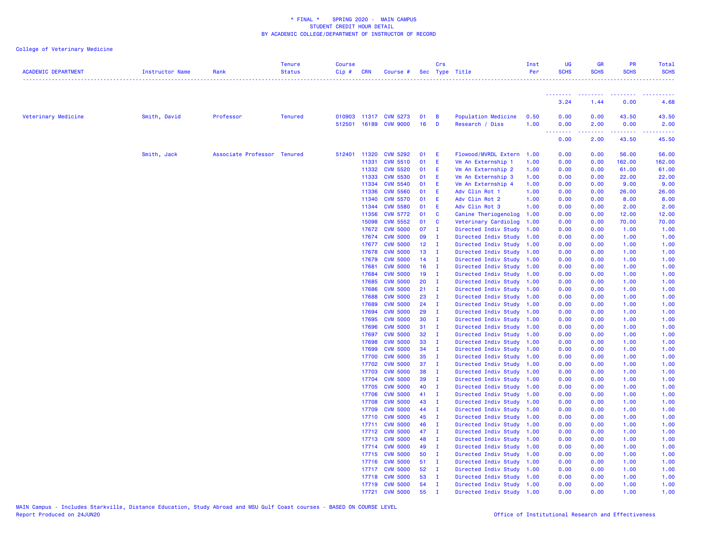| <b>ACADEMIC DEPARTMENT</b> | Instructor Name | Rank                        | <b>Tenure</b><br><b>Status</b> | <b>Course</b><br>$Cip \#$ | <b>CRN</b>     | Course #                                       |                         | Crs                            | Sec Type Title                                         | Inst<br>Per  | UG<br><b>SCHS</b>  | <b>GR</b><br><b>SCHS</b>                                                                                                                                                                                                                                                                                                                                                                                                                                                                       | PR<br><b>SCHS</b>       | Total<br><b>SCHS</b>    |
|----------------------------|-----------------|-----------------------------|--------------------------------|---------------------------|----------------|------------------------------------------------|-------------------------|--------------------------------|--------------------------------------------------------|--------------|--------------------|------------------------------------------------------------------------------------------------------------------------------------------------------------------------------------------------------------------------------------------------------------------------------------------------------------------------------------------------------------------------------------------------------------------------------------------------------------------------------------------------|-------------------------|-------------------------|
|                            |                 |                             |                                |                           |                |                                                |                         |                                |                                                        |              | <b>.</b> .<br>3.24 | $\begin{array}{cccccccccccccc} \multicolumn{2}{c}{} & \multicolumn{2}{c}{} & \multicolumn{2}{c}{} & \multicolumn{2}{c}{} & \multicolumn{2}{c}{} & \multicolumn{2}{c}{} & \multicolumn{2}{c}{} & \multicolumn{2}{c}{} & \multicolumn{2}{c}{} & \multicolumn{2}{c}{} & \multicolumn{2}{c}{} & \multicolumn{2}{c}{} & \multicolumn{2}{c}{} & \multicolumn{2}{c}{} & \multicolumn{2}{c}{} & \multicolumn{2}{c}{} & \multicolumn{2}{c}{} & \multicolumn{2}{c}{} & \multicolumn{2}{c}{} & \$<br>1.44 | 0.00                    | 4.68                    |
|                            |                 |                             |                                |                           |                |                                                |                         |                                |                                                        |              |                    |                                                                                                                                                                                                                                                                                                                                                                                                                                                                                                |                         |                         |
| Veterinary Medicine        | Smith, David    | Professor                   | <b>Tenured</b>                 |                           |                | 010903 11317 CVM 5273<br>512501 16189 CVM 9000 | 01<br>16                | $\overline{B}$<br>$\mathbf{D}$ | Population Medicine<br>Research / Diss                 | 0.50<br>1.00 | 0.00<br>0.00<br>.  | 0.00<br>2.00<br>$\frac{1}{2} \left( \frac{1}{2} \right) \left( \frac{1}{2} \right) \left( \frac{1}{2} \right) \left( \frac{1}{2} \right) \left( \frac{1}{2} \right)$                                                                                                                                                                                                                                                                                                                           | 43.50<br>0.00<br>------ | 43.50<br>2.00<br>------ |
|                            |                 |                             |                                |                           |                |                                                |                         |                                |                                                        |              | 0.00               | 2.00                                                                                                                                                                                                                                                                                                                                                                                                                                                                                           | 43.50                   | 45.50                   |
|                            | Smith, Jack     | Associate Professor Tenured |                                |                           | 512401 11320   | <b>CVM 5292</b>                                | 01                      | E.                             | Flowood/MVRDL Extern 1.00                              |              | 0.00               | 0.00                                                                                                                                                                                                                                                                                                                                                                                                                                                                                           | 56.00                   | 56.00                   |
|                            |                 |                             |                                |                           | 11331          | <b>CVM 5510</b>                                | 01                      | E                              | Vm An Externship 1                                     | 1.00         | 0.00               | 0.00                                                                                                                                                                                                                                                                                                                                                                                                                                                                                           | 162.00                  | 162.00                  |
|                            |                 |                             |                                |                           | 11332          | <b>CVM 5520</b>                                | 01                      | - E                            | Vm An Externship 2                                     | 1.00         | 0.00               | 0.00                                                                                                                                                                                                                                                                                                                                                                                                                                                                                           | 61.00                   | 61.00                   |
|                            |                 |                             |                                |                           | 11333          | <b>CVM 5530</b>                                | 01                      | E                              | Vm An Externship 3                                     | 1.00         | 0.00               | 0.00                                                                                                                                                                                                                                                                                                                                                                                                                                                                                           | 22.00                   | 22.00                   |
|                            |                 |                             |                                |                           | 11334          | <b>CVM 5540</b>                                | 01 E                    |                                | Vm An Externship 4                                     | 1.00         | 0.00               | 0.00                                                                                                                                                                                                                                                                                                                                                                                                                                                                                           | 9.00                    | 9.00                    |
|                            |                 |                             |                                |                           | 11336          | <b>CVM 5560</b>                                | 01 E                    |                                | Adv Clin Rot 1                                         | 1.00         | 0.00               | 0.00                                                                                                                                                                                                                                                                                                                                                                                                                                                                                           | 26.00                   | 26.00                   |
|                            |                 |                             |                                |                           | 11340          | <b>CVM 5570</b>                                | 01                      | E                              | Adv Clin Rot 2                                         | 1.00         | 0.00               | 0.00                                                                                                                                                                                                                                                                                                                                                                                                                                                                                           | 8.00                    | 8.00                    |
|                            |                 |                             |                                |                           | 11344          | <b>CVM 5580</b>                                | 01                      | E.                             | Adv Clin Rot 3                                         | 1.00         | 0.00               | 0.00                                                                                                                                                                                                                                                                                                                                                                                                                                                                                           | 2.00                    | 2.00                    |
|                            |                 |                             |                                |                           | 11356          | <b>CVM 5772</b>                                | 01 C                    |                                | Canine Theriogenolog 1.00                              |              | 0.00               | 0.00                                                                                                                                                                                                                                                                                                                                                                                                                                                                                           | 12.00                   | 12.00                   |
|                            |                 |                             |                                |                           | 15098<br>17672 | <b>CVM 5552</b><br><b>CVM 5000</b>             | 01 C<br>07              |                                | Veterinary Cardiolog                                   | 1.00         | 0.00               | 0.00<br>0.00                                                                                                                                                                                                                                                                                                                                                                                                                                                                                   | 70.00<br>1.00           | 70.00                   |
|                            |                 |                             |                                |                           | 17674          | <b>CVM 5000</b>                                | 09 I                    | $\blacksquare$                 | Directed Indiv Study 1.00<br>Directed Indiv Study 1.00 |              | 0.00<br>0.00       | 0.00                                                                                                                                                                                                                                                                                                                                                                                                                                                                                           | 1.00                    | 1.00<br>1.00            |
|                            |                 |                             |                                |                           | 17677          | <b>CVM 5000</b>                                | $12 \quad I$            |                                | Directed Indiv Study 1.00                              |              | 0.00               | 0.00                                                                                                                                                                                                                                                                                                                                                                                                                                                                                           | 1.00                    | 1.00                    |
|                            |                 |                             |                                |                           | 17678          | <b>CVM 5000</b>                                | $13$ I                  |                                | Directed Indiv Study 1.00                              |              | 0.00               | 0.00                                                                                                                                                                                                                                                                                                                                                                                                                                                                                           | 1.00                    | 1.00                    |
|                            |                 |                             |                                |                           | 17679          | <b>CVM 5000</b>                                | $14$ I                  |                                | Directed Indiv Study 1.00                              |              | 0.00               | 0.00                                                                                                                                                                                                                                                                                                                                                                                                                                                                                           | 1.00                    | 1.00                    |
|                            |                 |                             |                                |                           | 17681          | <b>CVM 5000</b>                                | $16$ I                  |                                | Directed Indiv Study 1.00                              |              | 0.00               | 0.00                                                                                                                                                                                                                                                                                                                                                                                                                                                                                           | 1.00                    | 1.00                    |
|                            |                 |                             |                                |                           | 17684          | <b>CVM 5000</b>                                | $19$ I                  |                                | Directed Indiv Study 1.00                              |              | 0.00               | 0.00                                                                                                                                                                                                                                                                                                                                                                                                                                                                                           | 1.00                    | 1.00                    |
|                            |                 |                             |                                |                           | 17685          | <b>CVM 5000</b>                                | 20                      | $\blacksquare$                 | Directed Indiv Study 1.00                              |              | 0.00               | 0.00                                                                                                                                                                                                                                                                                                                                                                                                                                                                                           | 1.00                    | 1.00                    |
|                            |                 |                             |                                |                           | 17686          | <b>CVM 5000</b>                                | $21 \quad I$            |                                | Directed Indiv Study 1.00                              |              | 0.00               | 0.00                                                                                                                                                                                                                                                                                                                                                                                                                                                                                           | 1.00                    | 1.00                    |
|                            |                 |                             |                                |                           | 17688          | <b>CVM 5000</b>                                | $23$ I                  |                                | Directed Indiv Study 1.00                              |              | 0.00               | 0.00                                                                                                                                                                                                                                                                                                                                                                                                                                                                                           | 1.00                    | 1.00                    |
|                            |                 |                             |                                |                           | 17689          | <b>CVM 5000</b>                                | 24                      | $\blacksquare$                 | Directed Indiv Study 1.00                              |              | 0.00               | 0.00                                                                                                                                                                                                                                                                                                                                                                                                                                                                                           | 1.00                    | 1.00                    |
|                            |                 |                             |                                |                           | 17694          | <b>CVM 5000</b>                                | 29                      | $\mathbf{I}$                   | Directed Indiv Study 1.00                              |              | 0.00               | 0.00                                                                                                                                                                                                                                                                                                                                                                                                                                                                                           | 1.00                    | 1.00                    |
|                            |                 |                             |                                |                           | 17695          | <b>CVM 5000</b>                                | 30                      | $\mathbf{I}$                   | Directed Indiv Study 1.00                              |              | 0.00               | 0.00                                                                                                                                                                                                                                                                                                                                                                                                                                                                                           | 1.00                    | 1.00                    |
|                            |                 |                             |                                |                           | 17696          | <b>CVM 5000</b>                                | $31$ I                  |                                | Directed Indiv Study 1.00                              |              | 0.00               | 0.00                                                                                                                                                                                                                                                                                                                                                                                                                                                                                           | 1.00                    | 1.00                    |
|                            |                 |                             |                                |                           | 17697          | <b>CVM 5000</b>                                | 32 <sub>2</sub><br>33 I | $\blacksquare$                 | Directed Indiv Study 1.00                              |              | 0.00               | 0.00                                                                                                                                                                                                                                                                                                                                                                                                                                                                                           | 1.00                    | 1.00                    |
|                            |                 |                             |                                |                           | 17698<br>17699 | <b>CVM 5000</b><br><b>CVM 5000</b>             | $34$ I                  |                                | Directed Indiv Study 1.00<br>Directed Indiv Study 1.00 |              | 0.00<br>0.00       | 0.00<br>0.00                                                                                                                                                                                                                                                                                                                                                                                                                                                                                   | 1.00<br>1.00            | 1.00<br>1.00            |
|                            |                 |                             |                                |                           | 17700          | <b>CVM 5000</b>                                | 35                      | $\blacksquare$                 | Directed Indiv Study 1.00                              |              | 0.00               | 0.00                                                                                                                                                                                                                                                                                                                                                                                                                                                                                           | 1.00                    | 1.00                    |
|                            |                 |                             |                                |                           | 17702          | <b>CVM 5000</b>                                | $37 \quad I$            |                                | Directed Indiv Study 1.00                              |              | 0.00               | 0.00                                                                                                                                                                                                                                                                                                                                                                                                                                                                                           | 1.00                    | 1.00                    |
|                            |                 |                             |                                |                           | 17703          | <b>CVM 5000</b>                                | 38                      | $\mathbf{I}$                   | Directed Indiv Study 1.00                              |              | 0.00               | 0.00                                                                                                                                                                                                                                                                                                                                                                                                                                                                                           | 1.00                    | 1.00                    |
|                            |                 |                             |                                |                           | 17704          | <b>CVM 5000</b>                                | 39                      | $\mathbf{I}$                   | Directed Indiv Study 1.00                              |              | 0.00               | 0.00                                                                                                                                                                                                                                                                                                                                                                                                                                                                                           | 1.00                    | 1.00                    |
|                            |                 |                             |                                |                           | 17705          | <b>CVM 5000</b>                                | 40                      | $\mathbf{I}$                   | Directed Indiv Study 1.00                              |              | 0.00               | 0.00                                                                                                                                                                                                                                                                                                                                                                                                                                                                                           | 1.00                    | 1.00                    |
|                            |                 |                             |                                |                           | 17706          | <b>CVM 5000</b>                                | 41 I                    |                                | Directed Indiv Study 1.00                              |              | 0.00               | 0.00                                                                                                                                                                                                                                                                                                                                                                                                                                                                                           | 1.00                    | 1.00                    |
|                            |                 |                             |                                |                           | 17708          | <b>CVM 5000</b>                                | 43 I                    |                                | Directed Indiv Study 1.00                              |              | 0.00               | 0.00                                                                                                                                                                                                                                                                                                                                                                                                                                                                                           | 1.00                    | 1.00                    |
|                            |                 |                             |                                |                           | 17709          | <b>CVM 5000</b>                                | 44 I                    |                                | Directed Indiv Study 1.00                              |              | 0.00               | 0.00                                                                                                                                                                                                                                                                                                                                                                                                                                                                                           | 1.00                    | 1.00                    |
|                            |                 |                             |                                |                           | 17710          | <b>CVM 5000</b>                                | 45                      | $\mathbf{I}$                   | Directed Indiv Study 1.00                              |              | 0.00               | 0.00                                                                                                                                                                                                                                                                                                                                                                                                                                                                                           | 1.00                    | 1.00                    |
|                            |                 |                             |                                |                           | 17711          | <b>CVM 5000</b>                                | 46                      | $\mathbf{I}$                   | Directed Indiv Study 1.00                              |              | 0.00               | 0.00                                                                                                                                                                                                                                                                                                                                                                                                                                                                                           | 1.00                    | 1.00                    |
|                            |                 |                             |                                |                           | 17712          | <b>CVM 5000</b>                                | 47                      | $\mathbf{I}$                   | Directed Indiv Study 1.00                              |              | 0.00               | 0.00                                                                                                                                                                                                                                                                                                                                                                                                                                                                                           | 1.00                    | 1.00                    |
|                            |                 |                             |                                |                           | 17713          | <b>CVM 5000</b>                                | 48                      | $\blacksquare$                 | Directed Indiv Study 1.00                              |              | 0.00               | 0.00                                                                                                                                                                                                                                                                                                                                                                                                                                                                                           | 1.00                    | 1.00                    |
|                            |                 |                             |                                |                           | 17714          | <b>CVM 5000</b>                                | 49                      | $\mathbf{I}$                   | Directed Indiv Study 1.00                              |              | 0.00               | 0.00                                                                                                                                                                                                                                                                                                                                                                                                                                                                                           | 1.00                    | 1.00                    |
|                            |                 |                             |                                |                           | 17715          | <b>CVM 5000</b>                                | 50 I                    |                                | Directed Indiv Study 1.00                              |              | 0.00               | 0.00                                                                                                                                                                                                                                                                                                                                                                                                                                                                                           | 1.00                    | 1.00                    |
|                            |                 |                             |                                |                           | 17716          | <b>CVM 5000</b>                                | 51 I                    |                                | Directed Indiv Study 1.00                              |              | 0.00               | 0.00                                                                                                                                                                                                                                                                                                                                                                                                                                                                                           | 1.00                    | 1.00                    |
|                            |                 |                             |                                |                           |                | 17717 CVM 5000                                 | $52 \quad I$            |                                | Directed Indiv Study 1.00                              |              | 0.00               | 0.00                                                                                                                                                                                                                                                                                                                                                                                                                                                                                           | 1.00                    | 1.00                    |
|                            |                 |                             |                                |                           | 17718          | <b>CVM 5000</b>                                | 53                      | $\blacksquare$                 | Directed Indiv Study 1.00                              |              | 0.00               | 0.00                                                                                                                                                                                                                                                                                                                                                                                                                                                                                           | 1.00                    | 1.00                    |
|                            |                 |                             |                                |                           |                | 17719 CVM 5000                                 | 54                      | $\mathbf{I}$                   | Directed Indiv Study 1.00                              |              | 0.00               | 0.00                                                                                                                                                                                                                                                                                                                                                                                                                                                                                           | 1.00                    | 1.00                    |
|                            |                 |                             |                                |                           | 17721          | <b>CVM 5000</b>                                | 55                      | $\mathbf{I}$                   | Directed Indiv Study 1.00                              |              | 0.00               | 0.00                                                                                                                                                                                                                                                                                                                                                                                                                                                                                           | 1.00                    | 1.00                    |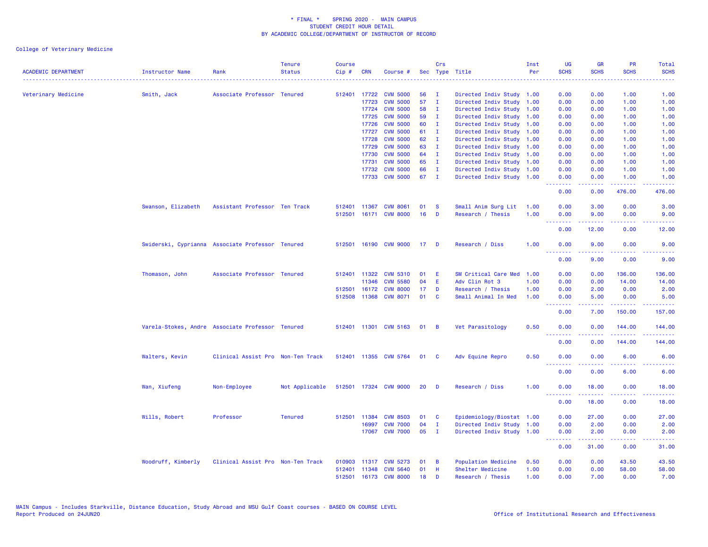| <b>ACADEMIC DEPARTMENT</b> | Instructor Name                                  | Rank                              | <b>Tenure</b><br><b>Status</b> | <b>Course</b><br>Cip# | <b>CRN</b>   | Course #              |                 | Crs            | Sec Type Title            | Inst<br>Per | UG<br><b>SCHS</b>                                                                                                                                                                                                                                                                                                                                                                                                                                                                              | <b>GR</b><br><b>SCHS</b> | <b>PR</b><br><b>SCHS</b>                                                                               | Total<br><b>SCHS</b>                                                                                                              |
|----------------------------|--------------------------------------------------|-----------------------------------|--------------------------------|-----------------------|--------------|-----------------------|-----------------|----------------|---------------------------|-------------|------------------------------------------------------------------------------------------------------------------------------------------------------------------------------------------------------------------------------------------------------------------------------------------------------------------------------------------------------------------------------------------------------------------------------------------------------------------------------------------------|--------------------------|--------------------------------------------------------------------------------------------------------|-----------------------------------------------------------------------------------------------------------------------------------|
| Veterinary Medicine        | Smith, Jack                                      | Associate Professor Tenured       |                                |                       | 512401 17722 | <b>CVM 5000</b>       | 56              | п.             | Directed Indiv Study 1.00 |             | 0.00                                                                                                                                                                                                                                                                                                                                                                                                                                                                                           | 0.00                     | 1.00                                                                                                   | 1.00                                                                                                                              |
|                            |                                                  |                                   |                                |                       | 17723        | <b>CVM 5000</b>       | 57              | $\mathbf{I}$   | Directed Indiv Study 1.00 |             | 0.00                                                                                                                                                                                                                                                                                                                                                                                                                                                                                           | 0.00                     | 1.00                                                                                                   | 1.00                                                                                                                              |
|                            |                                                  |                                   |                                |                       | 17724        | <b>CVM 5000</b>       | 58              | п.             | Directed Indiv Study 1.00 |             | 0.00                                                                                                                                                                                                                                                                                                                                                                                                                                                                                           | 0.00                     | 1.00                                                                                                   | 1.00                                                                                                                              |
|                            |                                                  |                                   |                                |                       | 17725        | <b>CVM 5000</b>       | 59              | $\mathbf I$    | Directed Indiv Study 1.00 |             | 0.00                                                                                                                                                                                                                                                                                                                                                                                                                                                                                           | 0.00                     | 1.00                                                                                                   | 1.00                                                                                                                              |
|                            |                                                  |                                   |                                |                       | 17726        | <b>CVM 5000</b>       | 60              | I.             | Directed Indiv Study 1.00 |             | 0.00                                                                                                                                                                                                                                                                                                                                                                                                                                                                                           | 0.00                     | 1.00                                                                                                   | 1.00                                                                                                                              |
|                            |                                                  |                                   |                                |                       | 17727        | <b>CVM 5000</b>       | 61              | $\mathbf I$    | Directed Indiv Study      | 1.00        | 0.00                                                                                                                                                                                                                                                                                                                                                                                                                                                                                           | 0.00                     | 1.00                                                                                                   | 1.00                                                                                                                              |
|                            |                                                  |                                   |                                |                       | 17728        | <b>CVM 5000</b>       | 62              | $\mathbf{I}$   | Directed Indiv Study 1.00 |             | 0.00                                                                                                                                                                                                                                                                                                                                                                                                                                                                                           | 0.00                     | 1.00                                                                                                   | 1.00                                                                                                                              |
|                            |                                                  |                                   |                                |                       | 17729        | <b>CVM 5000</b>       | 63              | $\mathbf{I}$   | Directed Indiv Study 1.00 |             | 0.00                                                                                                                                                                                                                                                                                                                                                                                                                                                                                           | 0.00                     | 1.00                                                                                                   | 1.00                                                                                                                              |
|                            |                                                  |                                   |                                |                       | 17730        | <b>CVM 5000</b>       | 64              | $\mathbf{I}$   | Directed Indiv Study 1.00 |             | 0.00                                                                                                                                                                                                                                                                                                                                                                                                                                                                                           | 0.00                     | 1.00                                                                                                   | 1.00                                                                                                                              |
|                            |                                                  |                                   |                                |                       | 17731        | <b>CVM 5000</b>       | 65              | I.             | Directed Indiv Study 1.00 |             | 0.00                                                                                                                                                                                                                                                                                                                                                                                                                                                                                           | 0.00                     | 1.00                                                                                                   | 1.00                                                                                                                              |
|                            |                                                  |                                   |                                |                       | 17732        | <b>CVM 5000</b>       | 66              | T              | Directed Indiv Study 1.00 |             | 0.00                                                                                                                                                                                                                                                                                                                                                                                                                                                                                           | 0.00                     | 1.00                                                                                                   | 1.00                                                                                                                              |
|                            |                                                  |                                   |                                |                       | 17733        | <b>CVM 5000</b>       | 67              | $\mathbf{I}$   | Directed Indiv Study 1.00 |             | 0.00                                                                                                                                                                                                                                                                                                                                                                                                                                                                                           | 0.00                     | 1.00                                                                                                   | 1.00                                                                                                                              |
|                            |                                                  |                                   |                                |                       |              |                       |                 |                |                           |             | .<br>0.00                                                                                                                                                                                                                                                                                                                                                                                                                                                                                      | .<br>0.00                | .<br>476.00                                                                                            | .<br>476.00                                                                                                                       |
|                            | Swanson, Elizabeth                               | Assistant Professor Ten Track     |                                | 512401                | 11367        | <b>CVM 8061</b>       | 01              | <b>S</b>       | Small Anim Surg Lit       | 1.00        | 0.00                                                                                                                                                                                                                                                                                                                                                                                                                                                                                           | 3.00                     | 0.00                                                                                                   | 3.00                                                                                                                              |
|                            |                                                  |                                   |                                | 512501                |              | 16171 CVM 8000        | 16              | D              | Research / Thesis         | 1.00        | 0.00                                                                                                                                                                                                                                                                                                                                                                                                                                                                                           | 9.00                     | 0.00                                                                                                   | 9.00                                                                                                                              |
|                            |                                                  |                                   |                                |                       |              |                       |                 |                |                           |             | --------                                                                                                                                                                                                                                                                                                                                                                                                                                                                                       | -----                    | المستمال                                                                                               | د عام عام عا                                                                                                                      |
|                            |                                                  |                                   |                                |                       |              |                       |                 |                |                           |             | 0.00                                                                                                                                                                                                                                                                                                                                                                                                                                                                                           | 12.00                    | 0.00                                                                                                   | 12.00                                                                                                                             |
|                            | Swiderski, Cyprianna Associate Professor Tenured |                                   |                                | 512501                |              | 16190 CVM 9000        | 17 <sub>1</sub> | <b>D</b>       | Research / Diss           | 1.00        | 0.00<br><u> - - - - - - - -</u>                                                                                                                                                                                                                                                                                                                                                                                                                                                                | 9.00<br>.                | 0.00<br>$\frac{1}{2} \left( \frac{1}{2} \right) \left( \frac{1}{2} \right) \left( \frac{1}{2} \right)$ | 9.00<br>$\frac{1}{2} \left( \frac{1}{2} \right) \left( \frac{1}{2} \right) \left( \frac{1}{2} \right) \left( \frac{1}{2} \right)$ |
|                            |                                                  |                                   |                                |                       |              |                       |                 |                |                           |             | 0.00                                                                                                                                                                                                                                                                                                                                                                                                                                                                                           | 9.00                     | 0.00                                                                                                   | 9.00                                                                                                                              |
|                            | Thomason, John                                   | Associate Professor Tenured       |                                |                       | 512401 11322 | <b>CVM 5310</b>       | 01              | E              | SM Critical Care Med      | 1.00        | 0.00                                                                                                                                                                                                                                                                                                                                                                                                                                                                                           | 0.00                     | 136.00                                                                                                 | 136.00                                                                                                                            |
|                            |                                                  |                                   |                                |                       | 11346        | <b>CVM 5580</b>       | 04              | E              | Adv Clin Rot 3            | 1.00        | 0.00                                                                                                                                                                                                                                                                                                                                                                                                                                                                                           | 0.00                     | 14.00                                                                                                  | 14.00                                                                                                                             |
|                            |                                                  |                                   |                                | 512501                | 16172        | <b>CVM 8000</b>       | 17              | D              | Research / Thesis         | 1.00        | 0.00                                                                                                                                                                                                                                                                                                                                                                                                                                                                                           | 2.00                     | 0.00                                                                                                   | 2.00                                                                                                                              |
|                            |                                                  |                                   |                                | 512508                | 11368        | <b>CVM 8071</b>       | 01              | <b>C</b>       | Small Animal In Med       | 1.00        | 0.00<br>$\begin{array}{cccccccccccccc} \multicolumn{2}{c}{} & \multicolumn{2}{c}{} & \multicolumn{2}{c}{} & \multicolumn{2}{c}{} & \multicolumn{2}{c}{} & \multicolumn{2}{c}{} & \multicolumn{2}{c}{} & \multicolumn{2}{c}{} & \multicolumn{2}{c}{} & \multicolumn{2}{c}{} & \multicolumn{2}{c}{} & \multicolumn{2}{c}{} & \multicolumn{2}{c}{} & \multicolumn{2}{c}{} & \multicolumn{2}{c}{} & \multicolumn{2}{c}{} & \multicolumn{2}{c}{} & \multicolumn{2}{c}{} & \multicolumn{2}{c}{} & \$ | 5.00<br>.                | 0.00<br>.                                                                                              | 5.00<br>$- - - - - -$                                                                                                             |
|                            |                                                  |                                   |                                |                       |              |                       |                 |                |                           |             | 0.00                                                                                                                                                                                                                                                                                                                                                                                                                                                                                           | 7.00                     | 150.00                                                                                                 | 157.00                                                                                                                            |
|                            | Varela-Stokes, Andre Associate Professor Tenured |                                   |                                |                       |              | 512401 11301 CVM 5163 | $01$ B          |                | Vet Parasitology          | 0.50        | 0.00<br><u>.</u>                                                                                                                                                                                                                                                                                                                                                                                                                                                                               | 0.00                     | 144.00<br>.                                                                                            | 144.00<br>2.2.2.2.2.                                                                                                              |
|                            |                                                  |                                   |                                |                       |              |                       |                 |                |                           |             | 0.00                                                                                                                                                                                                                                                                                                                                                                                                                                                                                           | 0.00                     | 144.00                                                                                                 | 144.00                                                                                                                            |
|                            | Walters, Kevin                                   | Clinical Assist Pro Non-Ten Track |                                |                       |              | 512401 11355 CVM 5764 | 01 C            |                | Adv Equine Repro          | 0.50        | 0.00                                                                                                                                                                                                                                                                                                                                                                                                                                                                                           | 0.00                     | 6.00                                                                                                   | 6.00                                                                                                                              |
|                            |                                                  |                                   |                                |                       |              |                       |                 |                |                           |             | 0.00                                                                                                                                                                                                                                                                                                                                                                                                                                                                                           | 0.00                     | 6.00                                                                                                   | 6.00                                                                                                                              |
|                            | Wan, Xiufeng                                     | Non-Employee                      | Not Applicable                 |                       |              | 512501 17324 CVM 9000 | 20              | <b>D</b>       | Research / Diss           | 1.00        | 0.00                                                                                                                                                                                                                                                                                                                                                                                                                                                                                           | 18.00                    | 0.00                                                                                                   | 18.00                                                                                                                             |
|                            |                                                  |                                   |                                |                       |              |                       |                 |                |                           |             | <u>.</u><br>0.00                                                                                                                                                                                                                                                                                                                                                                                                                                                                               | 18.00                    | 0.00                                                                                                   | وعاديات<br>18.00                                                                                                                  |
|                            | Wills, Robert                                    | Professor                         | <b>Tenured</b>                 |                       | 512501 11384 | <b>CVM 8503</b>       | 01              | <b>C</b>       | Epidemiology/Biostat 1.00 |             | 0.00                                                                                                                                                                                                                                                                                                                                                                                                                                                                                           | 27.00                    | 0.00                                                                                                   | 27.00                                                                                                                             |
|                            |                                                  |                                   |                                |                       | 16997        | <b>CVM 7000</b>       | 04              | $\mathbf{I}$   | Directed Indiv Study 1.00 |             | 0.00                                                                                                                                                                                                                                                                                                                                                                                                                                                                                           | 2.00                     | 0.00                                                                                                   | 2.00                                                                                                                              |
|                            |                                                  |                                   |                                |                       | 17067        | <b>CVM 7000</b>       | 05              | $\mathbf{I}$   | Directed Indiv Study 1.00 |             | 0.00                                                                                                                                                                                                                                                                                                                                                                                                                                                                                           | 2.00                     | 0.00                                                                                                   | 2.00                                                                                                                              |
|                            |                                                  |                                   |                                |                       |              |                       |                 |                |                           |             | <u>.</u><br>0.00                                                                                                                                                                                                                                                                                                                                                                                                                                                                               | 31.00                    | .<br>0.00                                                                                              | .<br>31.00                                                                                                                        |
|                            | Woodruff, Kimberly                               | Clinical Assist Pro Non-Ten Track |                                | 010903                |              | 11317 CVM 5273        | 01              | $\overline{B}$ | Population Medicine       | 0.50        | 0.00                                                                                                                                                                                                                                                                                                                                                                                                                                                                                           | 0.00                     | 43.50                                                                                                  | 43.50                                                                                                                             |
|                            |                                                  |                                   |                                | 512401                | 11348        | <b>CVM 5640</b>       | 01              | H              | Shelter Medicine          | 1.00        | 0.00                                                                                                                                                                                                                                                                                                                                                                                                                                                                                           | 0.00                     | 58.00                                                                                                  | 58.00                                                                                                                             |
|                            |                                                  |                                   |                                | 512501                |              | 16173 CVM 8000        | 18              | D              | Research / Thesis         | 1.00        | 0.00                                                                                                                                                                                                                                                                                                                                                                                                                                                                                           | 7.00                     | 0.00                                                                                                   | 7.00                                                                                                                              |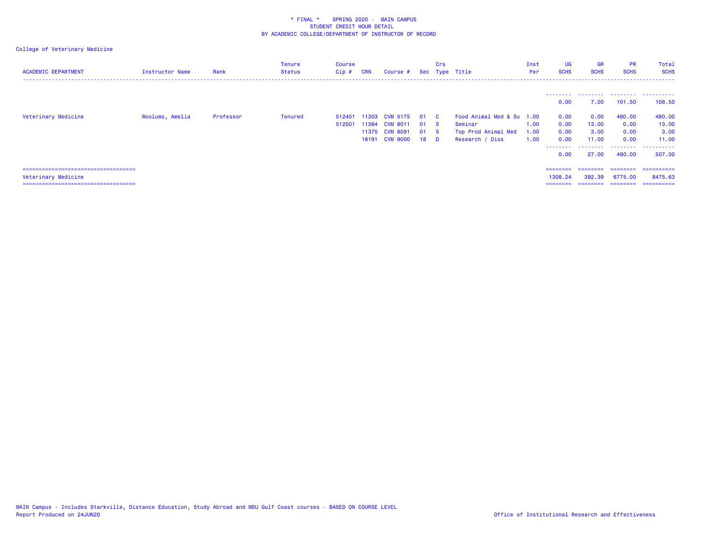| <b>ACADEMIC DEPARTMENT</b>             | Instructor Name | Rank      | Tenure<br><b>Status</b> | <b>Course</b><br>$Cip$ # | <b>CRN</b> | Course # Sec Type Title |    | Crs          |                           | Inst<br>Per | <b>UG</b><br><b>SCHS</b> | <b>GR</b><br><b>SCHS</b> | <b>PR</b><br><b>SCHS</b> | Total<br><b>SCHS</b> |
|----------------------------------------|-----------------|-----------|-------------------------|--------------------------|------------|-------------------------|----|--------------|---------------------------|-------------|--------------------------|--------------------------|--------------------------|----------------------|
|                                        |                 |           |                         |                          |            |                         |    |              |                           |             | ---------                | .                        | .                        | .                    |
|                                        |                 |           |                         |                          |            |                         |    |              |                           |             | 0.00                     | 7.00                     | 101.50                   | 108.50               |
| Veterinary Medicine                    | Woolums, Amelia | Professor | <b>Tenured</b>          | 512401                   | 11303      | <b>CVM 5175</b>         | 01 | $\mathbf{C}$ | Food Animal Med & Su 1.00 |             | 0.00                     | 0.00                     | 480.00                   | 480.00               |
|                                        |                 |           |                         | 512501                   | 11364      | <b>CVM 8011</b>         | 01 | <b>S</b>     | Seminar                   | 1.00        | 0.00                     | 13.00                    | 0.00                     | 13.00                |
|                                        |                 |           |                         |                          |            | 11375 CVM 8091          | 01 | <b>S</b>     | Top Prod Animal Med       | 1.00        | 0.00                     | 3.00                     | 0.00                     | 3.00                 |
|                                        |                 |           |                         |                          |            | 16191 CVM 9000          | 18 | D.           | Research / Diss           | 1.00        | 0.00                     | 11.00                    | 0.00                     | 11.00                |
|                                        |                 |           |                         |                          |            |                         |    |              |                           |             | .<br>0.00                | .<br>27.00               | 480.00                   | 507.00               |
| ====================================== |                 |           |                         |                          |            |                         |    |              |                           |             | ========                 | ========                 | ========                 | -----------          |
| Veterinary Medicine                    |                 |           |                         |                          |            |                         |    |              |                           |             | 1308.24                  | 392.39                   | 6775.00                  | 8475.63              |
| =====================================  |                 |           |                         |                          |            |                         |    |              |                           |             | ========                 | ========                 | ========                 | ==========           |